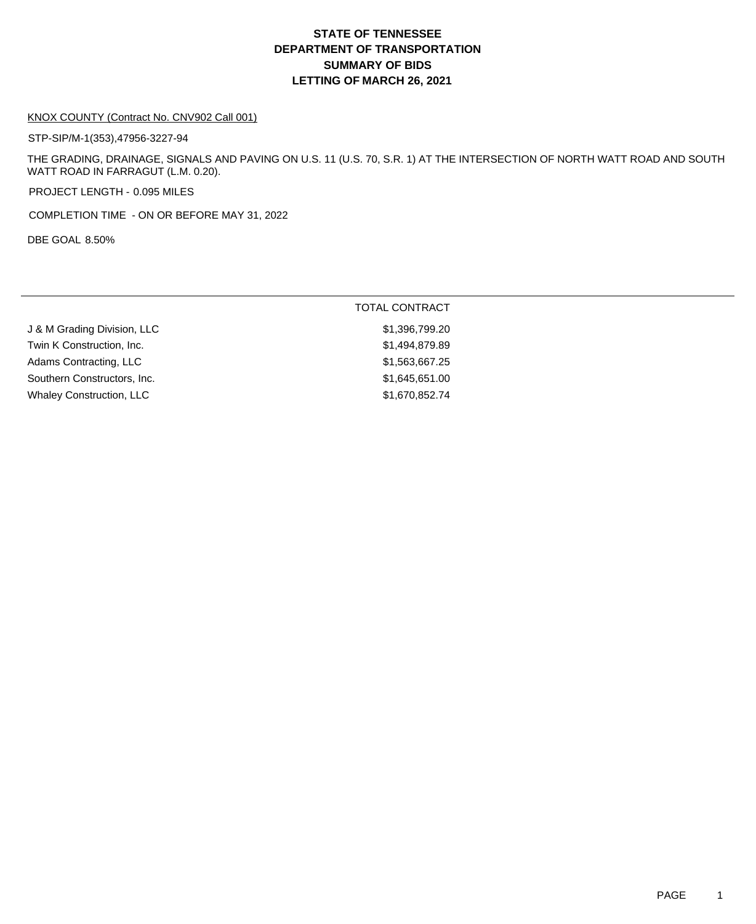# **DEPARTMENT OF TRANSPORTATION SUMMARY OF BIDS LETTING OF MARCH 26, 2021 STATE OF TENNESSEE**

#### KNOX COUNTY (Contract No. CNV902 Call 001)

STP-SIP/M-1(353),47956-3227-94

THE GRADING, DRAINAGE, SIGNALS AND PAVING ON U.S. 11 (U.S. 70, S.R. 1) AT THE INTERSECTION OF NORTH WATT ROAD AND SOUTH WATT ROAD IN FARRAGUT (L.M. 0.20).

PROJECT LENGTH - 0.095 MILES

COMPLETION TIME - ON OR BEFORE MAY 31, 2022

DBE GOAL 8.50%

|                             | <b>TOTAL CONTRACT</b> |
|-----------------------------|-----------------------|
| J & M Grading Division, LLC | \$1,396,799.20        |
| Twin K Construction, Inc.   | \$1,494,879.89        |
| Adams Contracting, LLC      | \$1,563,667.25        |
| Southern Constructors, Inc. | \$1,645,651.00        |
| Whaley Construction, LLC    | \$1,670,852.74        |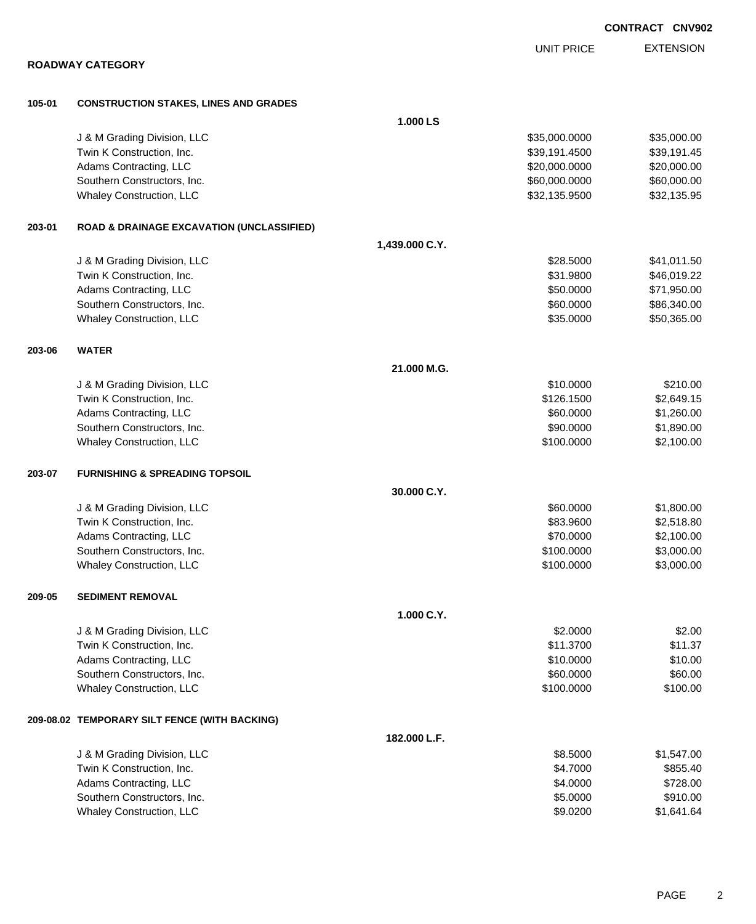**ROADWAY CATEGORY 105-01 CONSTRUCTION STAKES, LINES AND GRADES 1.000 LS** J & M Grading Division, LLC \$35,000.0000 \$35,000.00 Twin K Construction, Inc. 639,191.45 Adams Contracting, LLC 620,000.000 \$20,000.000 \$20,000.000 \$20,000.000 \$20,000.000 \$20,000.00 Southern Constructors, Inc. 660,000.000 \$60,000.000 \$60,000.000 \$60,000.000 \$60,000.000 \$60,000.00 Whaley Construction, LLC 632,135.9500 \$32,135.9500 \$32,135.9500 **203-01 ROAD & DRAINAGE EXCAVATION (UNCLASSIFIED) 1,439.000 C.Y.** J & M Grading Division, LLC  $$28.5000$   $$41,011.50$ Twin K Construction, Inc. 66,019.22 Adams Contracting, LLC 6. The state of the state of the state of the state of the state of the state of the state of the state of the state of the state of the state of the state of the state of the state of the state of t Southern Constructors, Inc. 60000 \$86,340.00 Whaley Construction, LLC 650,365.000 \$50,365.00 **203-06 WATER 21.000 M.G.** J & M Grading Division, LLC \$10.000 \$210.00 Twin K Construction, Inc. 6. The Construction of the Construction, Inc. 6. The Construction, Inc. 6. The Construction of the Construction of the Construction of the Construction of the Construction of the Construction of t Adams Contracting, LLC 60.000 \$1,260.000 \$1,260.000 \$1,260.000 \$1,260.000 \$1,260.000 \$1,260.00 Southern Constructors, Inc. 6. The Constructors of the Constructors, Inc. 6. The Constructors, Inc. 6. The Constructors of the Constructors of the Constructors of the Constructors of the Constructors of the Constructors of Whaley Construction, LLC 62,100.000 \$2,100.000 \$2,100.000 \$2,100.000 **203-07 FURNISHING & SPREADING TOPSOIL 30.000 C.Y.** U & M Grading Division, LLC & Case of the Material State of the State of the State of State of the State of St Twin K Construction, Inc. 6. The Second Second Second Second Second Second Second Second Second Second Second Second Second Second Second Second Second Second Second Second Second Second Second Second Second Second Second Adams Contracting, LLC 6. The state of the state of the state of the state of the state of the state of the state of the state of the state of the state of the state of the state of the state of the state of the state of t Southern Constructors, Inc. 6. The Constructors of the Constructors, Inc. 6. The Constructors, Inc. 6. The Constructors of the Constructors of the Constructors of the Constructors of the Constructors of the Constructors of Whaley Construction, LLC **\$100.0000 \$3,000.00 209-05 SEDIMENT REMOVAL 1.000 C.Y.** J & M Grading Division, LLC  $$2.000$ Twin K Construction, Inc. \$11.3700 \$11.3700 \$11.3700 \$11.3700 \$11.3700 \$11.3700 \$11.37 Adams Contracting, LLC 6. The state of the state of the state of the state of the state of the state of the state of the state of the state of the state of the state of the state of the state of the state of the state of t Southern Constructors, Inc. 60.000 \$60.000 \$60.000 \$60.000 \$60.000 \$60.000 \$60.000 \$60.00 Whaley Construction, LLC 6100.000 \$100.000 \$100.000 \$100.000 \$100.000 \$100.000 \$100.00 **209-08.02 TEMPORARY SILT FENCE (WITH BACKING) 182.000 L.F.** J & M Grading Division, LLC **\$8.5000** \$1,547.00 Twin K Construction, Inc. 6855.40 Adams Contracting, LLC 6728.00

Southern Constructors, Inc. 6910.00 \$910.00 \$910.00 \$910.00 Whaley Construction, LLC 641.64

**CONTRACT CNV902**

EXTENSION UNIT PRICE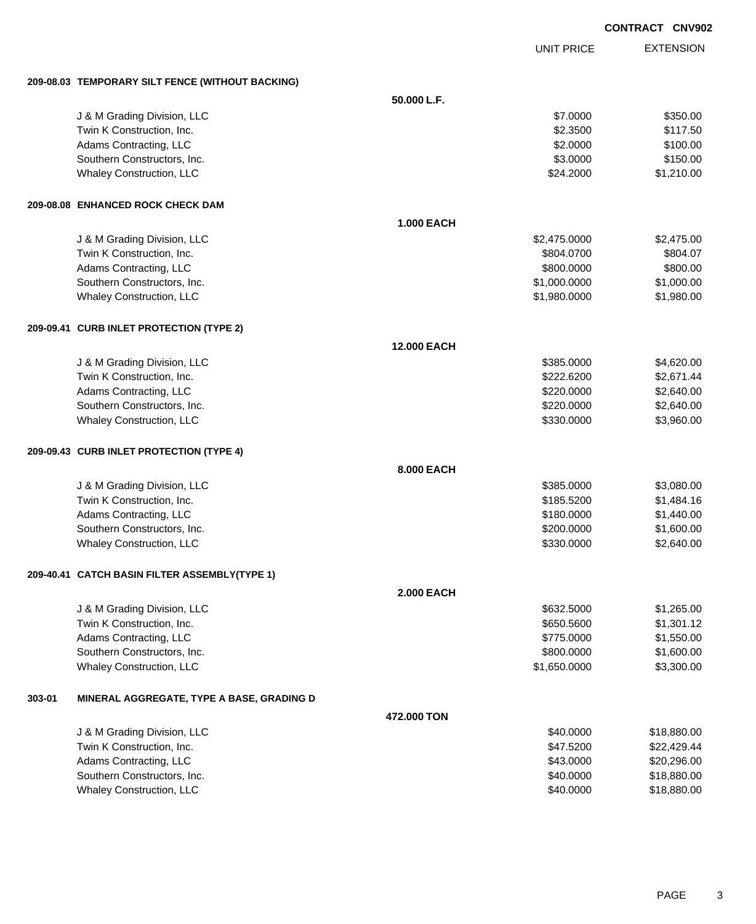|        |                                                  |                   |                   | <b>CONTRACT CNV902</b> |
|--------|--------------------------------------------------|-------------------|-------------------|------------------------|
|        |                                                  |                   | <b>UNIT PRICE</b> | <b>EXTENSION</b>       |
|        | 209-08.03 TEMPORARY SILT FENCE (WITHOUT BACKING) |                   |                   |                        |
|        |                                                  | 50.000 L.F.       |                   |                        |
|        | J & M Grading Division, LLC                      |                   | \$7.0000          | \$350.00               |
|        | Twin K Construction, Inc.                        |                   | \$2.3500          | \$117.50               |
|        | Adams Contracting, LLC                           |                   | \$2.0000          | \$100.00               |
|        | Southern Constructors, Inc.                      |                   | \$3.0000          | \$150.00               |
|        | Whaley Construction, LLC                         |                   | \$24.2000         | \$1,210.00             |
|        | 209-08.08 ENHANCED ROCK CHECK DAM                |                   |                   |                        |
|        |                                                  | <b>1.000 EACH</b> |                   |                        |
|        | J & M Grading Division, LLC                      |                   | \$2,475.0000      | \$2,475.00             |
|        | Twin K Construction, Inc.                        |                   | \$804.0700        | \$804.07               |
|        | Adams Contracting, LLC                           |                   | \$800.0000        | \$800.00               |
|        | Southern Constructors, Inc.                      |                   | \$1,000.0000      | \$1,000.00             |
|        | Whaley Construction, LLC                         |                   | \$1,980.0000      | \$1,980.00             |
|        | 209-09.41 CURB INLET PROTECTION (TYPE 2)         |                   |                   |                        |
|        |                                                  | 12.000 EACH       |                   |                        |
|        | J & M Grading Division, LLC                      |                   | \$385.0000        | \$4,620.00             |
|        | Twin K Construction, Inc.                        |                   | \$222.6200        | \$2,671.44             |
|        | Adams Contracting, LLC                           |                   | \$220.0000        | \$2,640.00             |
|        | Southern Constructors, Inc.                      |                   | \$220.0000        | \$2,640.00             |
|        | Whaley Construction, LLC                         |                   | \$330.0000        | \$3,960.00             |
|        | 209-09.43 CURB INLET PROTECTION (TYPE 4)         |                   |                   |                        |
|        |                                                  | <b>8.000 EACH</b> |                   |                        |
|        | J & M Grading Division, LLC                      |                   | \$385.0000        | \$3,080.00             |
|        | Twin K Construction, Inc.                        |                   | \$185.5200        | \$1,484.16             |
|        | Adams Contracting, LLC                           |                   | \$180.0000        | \$1,440.00             |
|        | Southern Constructors, Inc.                      |                   | \$200.0000        | \$1,600.00             |
|        | Whaley Construction, LLC                         |                   | \$330.0000        | \$2,640.00             |
|        | 209-40.41 CATCH BASIN FILTER ASSEMBLY(TYPE 1)    |                   |                   |                        |
|        |                                                  | <b>2.000 EACH</b> |                   |                        |
|        | J & M Grading Division, LLC                      |                   | \$632.5000        | \$1,265.00             |
|        | Twin K Construction, Inc.                        |                   | \$650.5600        | \$1,301.12             |
|        | Adams Contracting, LLC                           |                   | \$775.0000        | \$1,550.00             |
|        | Southern Constructors, Inc.                      |                   | \$800.0000        | \$1,600.00             |
|        | Whaley Construction, LLC                         |                   | \$1,650.0000      | \$3,300.00             |
| 303-01 | MINERAL AGGREGATE, TYPE A BASE, GRADING D        |                   |                   |                        |
|        |                                                  | 472.000 TON       |                   |                        |
|        | J & M Grading Division, LLC                      |                   | \$40.0000         | \$18,880.00            |
|        | Twin K Construction, Inc.                        |                   | \$47.5200         | \$22,429.44            |
|        | Adams Contracting, LLC                           |                   | \$43.0000         | \$20,296.00            |
|        | Southern Constructors, Inc.                      |                   | \$40.0000         | \$18,880.00            |
|        | Whaley Construction, LLC                         |                   | \$40.0000         | \$18,880.00            |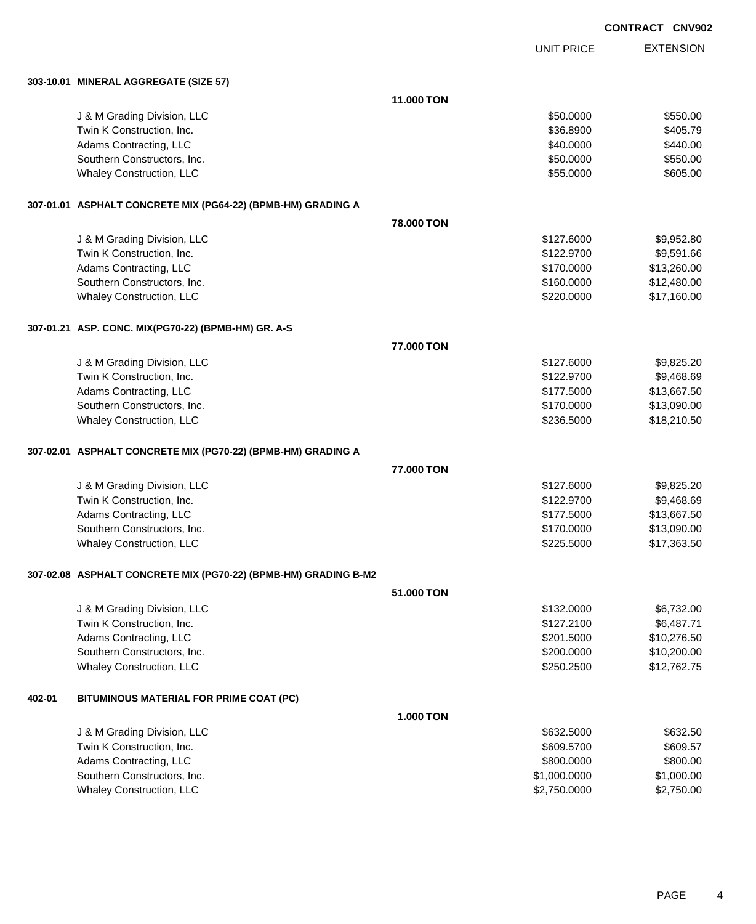UNIT PRICE EXTENSION

**303-10.01 MINERAL AGGREGATE (SIZE 57)**

|        |                                                                 | 11.000 TON       |              |             |
|--------|-----------------------------------------------------------------|------------------|--------------|-------------|
|        | J & M Grading Division, LLC                                     |                  | \$50.0000    | \$550.00    |
|        | Twin K Construction, Inc.                                       |                  | \$36.8900    | \$405.79    |
|        | Adams Contracting, LLC                                          |                  | \$40.0000    | \$440.00    |
|        | Southern Constructors, Inc.                                     |                  | \$50.0000    | \$550.00    |
|        | Whaley Construction, LLC                                        |                  | \$55.0000    | \$605.00    |
|        |                                                                 |                  |              |             |
|        | 307-01.01 ASPHALT CONCRETE MIX (PG64-22) (BPMB-HM) GRADING A    |                  |              |             |
|        |                                                                 | 78.000 TON       |              |             |
|        | J & M Grading Division, LLC                                     |                  | \$127.6000   | \$9,952.80  |
|        | Twin K Construction, Inc.                                       |                  | \$122.9700   | \$9,591.66  |
|        | Adams Contracting, LLC                                          |                  | \$170.0000   | \$13,260.00 |
|        | Southern Constructors, Inc.                                     |                  | \$160.0000   | \$12,480.00 |
|        | Whaley Construction, LLC                                        |                  | \$220.0000   | \$17,160.00 |
|        |                                                                 |                  |              |             |
|        | 307-01.21 ASP. CONC. MIX(PG70-22) (BPMB-HM) GR. A-S             |                  |              |             |
|        |                                                                 | 77,000 TON       |              |             |
|        | J & M Grading Division, LLC                                     |                  | \$127,6000   | \$9,825.20  |
|        | Twin K Construction, Inc.                                       |                  | \$122.9700   | \$9,468.69  |
|        | Adams Contracting, LLC                                          |                  | \$177.5000   | \$13,667.50 |
|        | Southern Constructors, Inc.                                     |                  | \$170.0000   | \$13,090.00 |
|        | Whaley Construction, LLC                                        |                  | \$236.5000   | \$18,210.50 |
|        |                                                                 |                  |              |             |
|        | 307-02.01 ASPHALT CONCRETE MIX (PG70-22) (BPMB-HM) GRADING A    | 77.000 TON       |              |             |
|        |                                                                 |                  |              |             |
|        | J & M Grading Division, LLC                                     |                  | \$127.6000   | \$9,825.20  |
|        | Twin K Construction, Inc.                                       |                  | \$122.9700   | \$9,468.69  |
|        | Adams Contracting, LLC                                          |                  | \$177.5000   | \$13,667.50 |
|        | Southern Constructors, Inc.                                     |                  | \$170.0000   | \$13,090.00 |
|        | Whaley Construction, LLC                                        |                  | \$225.5000   | \$17,363.50 |
|        | 307-02.08 ASPHALT CONCRETE MIX (PG70-22) (BPMB-HM) GRADING B-M2 |                  |              |             |
|        |                                                                 | 51,000 TON       |              |             |
|        | J & M Grading Division, LLC                                     |                  | \$132.0000   | \$6,732.00  |
|        | Twin K Construction, Inc.                                       |                  | \$127.2100   | \$6,487.71  |
|        | Adams Contracting, LLC                                          |                  | \$201.5000   | \$10,276.50 |
|        | Southern Constructors, Inc.                                     |                  | \$200.0000   | \$10,200.00 |
|        | Whaley Construction, LLC                                        |                  | \$250.2500   | \$12,762.75 |
|        |                                                                 |                  |              |             |
| 402-01 | BITUMINOUS MATERIAL FOR PRIME COAT (PC)                         |                  |              |             |
|        |                                                                 | <b>1.000 TON</b> |              |             |
|        | J & M Grading Division, LLC                                     |                  | \$632.5000   | \$632.50    |
|        | Twin K Construction, Inc.                                       |                  | \$609.5700   | \$609.57    |
|        | Adams Contracting, LLC                                          |                  | \$800.0000   | \$800.00    |
|        | Southern Constructors, Inc.                                     |                  | \$1,000.0000 | \$1,000.00  |
|        | <b>Whaley Construction, LLC</b>                                 |                  | \$2,750.0000 | \$2,750.00  |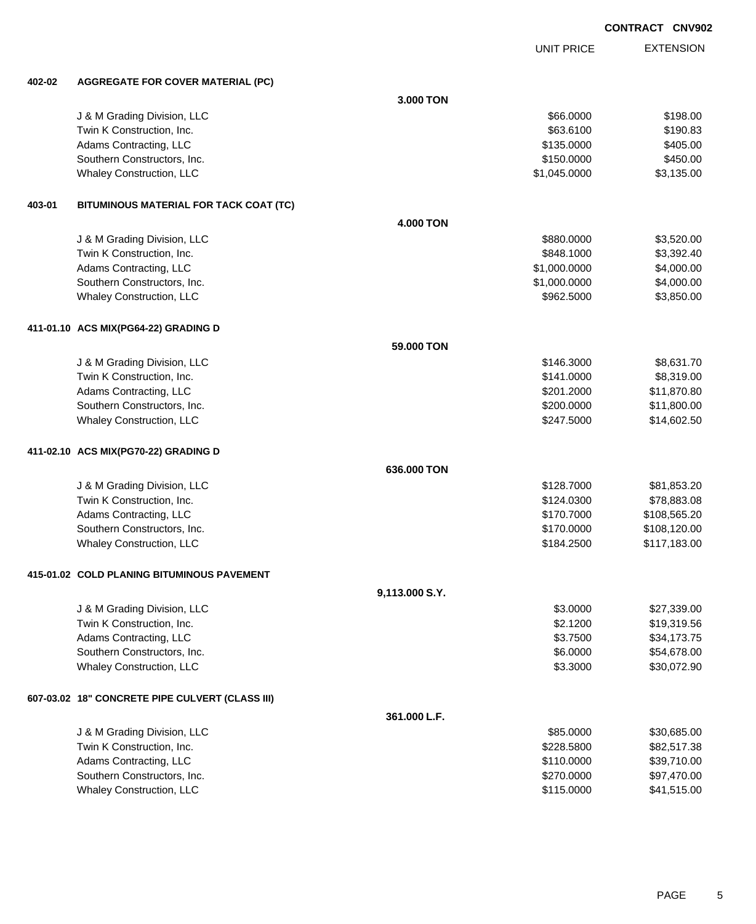|        |                                                 |                  |                   | <b>CONTRACT CNV902</b> |
|--------|-------------------------------------------------|------------------|-------------------|------------------------|
|        |                                                 |                  | <b>UNIT PRICE</b> | <b>EXTENSION</b>       |
| 402-02 | <b>AGGREGATE FOR COVER MATERIAL (PC)</b>        |                  |                   |                        |
|        |                                                 | 3.000 TON        |                   |                        |
|        | J & M Grading Division, LLC                     |                  | \$66.0000         | \$198.00               |
|        | Twin K Construction, Inc.                       |                  | \$63.6100         | \$190.83               |
|        | Adams Contracting, LLC                          |                  | \$135.0000        | \$405.00               |
|        | Southern Constructors, Inc.                     |                  | \$150.0000        | \$450.00               |
|        | Whaley Construction, LLC                        |                  | \$1,045.0000      | \$3,135.00             |
| 403-01 | BITUMINOUS MATERIAL FOR TACK COAT (TC)          |                  |                   |                        |
|        |                                                 | <b>4.000 TON</b> |                   |                        |
|        | J & M Grading Division, LLC                     |                  | \$880.0000        | \$3,520.00             |
|        | Twin K Construction, Inc.                       |                  | \$848.1000        | \$3,392.40             |
|        | Adams Contracting, LLC                          |                  | \$1,000.0000      | \$4,000.00             |
|        | Southern Constructors, Inc.                     |                  | \$1,000.0000      | \$4,000.00             |
|        | Whaley Construction, LLC                        |                  | \$962.5000        | \$3,850.00             |
|        | 411-01.10 ACS MIX(PG64-22) GRADING D            |                  |                   |                        |
|        |                                                 | 59.000 TON       |                   |                        |
|        | J & M Grading Division, LLC                     |                  | \$146.3000        | \$8,631.70             |
|        | Twin K Construction, Inc.                       |                  | \$141.0000        | \$8,319.00             |
|        | Adams Contracting, LLC                          |                  | \$201.2000        | \$11,870.80            |
|        | Southern Constructors, Inc.                     |                  | \$200.0000        | \$11,800.00            |
|        | Whaley Construction, LLC                        |                  | \$247.5000        | \$14,602.50            |
|        | 411-02.10 ACS MIX(PG70-22) GRADING D            |                  |                   |                        |
|        |                                                 | 636.000 TON      |                   |                        |
|        | J & M Grading Division, LLC                     |                  | \$128.7000        | \$81,853.20            |
|        | Twin K Construction, Inc.                       |                  | \$124.0300        | \$78,883.08            |
|        | Adams Contracting, LLC                          |                  | \$170.7000        | \$108,565.20           |
|        | Southern Constructors, Inc.                     |                  | \$170,0000        | \$108,120.00           |
|        | <b>Whaley Construction, LLC</b>                 |                  | \$184.2500        | \$117,183.00           |
|        | 415-01.02 COLD PLANING BITUMINOUS PAVEMENT      |                  |                   |                        |
|        |                                                 | 9,113.000 S.Y.   |                   |                        |
|        | J & M Grading Division, LLC                     |                  | \$3.0000          | \$27,339.00            |
|        | Twin K Construction, Inc.                       |                  | \$2.1200          | \$19,319.56            |
|        | Adams Contracting, LLC                          |                  | \$3.7500          | \$34,173.75            |
|        | Southern Constructors, Inc.                     |                  | \$6.0000          | \$54,678.00            |
|        | Whaley Construction, LLC                        |                  | \$3.3000          | \$30,072.90            |
|        | 607-03.02 18" CONCRETE PIPE CULVERT (CLASS III) |                  |                   |                        |
|        |                                                 | 361.000 L.F.     |                   |                        |
|        | J & M Grading Division, LLC                     |                  | \$85.0000         | \$30,685.00            |
|        | Twin K Construction, Inc.                       |                  | \$228.5800        | \$82,517.38            |
|        | Adams Contracting, LLC                          |                  | \$110.0000        | \$39,710.00            |
|        | Southern Constructors, Inc.                     |                  | \$270.0000        | \$97,470.00            |

Whaley Construction, LLC 641,515.000 \$41,515.000 \$41,515.000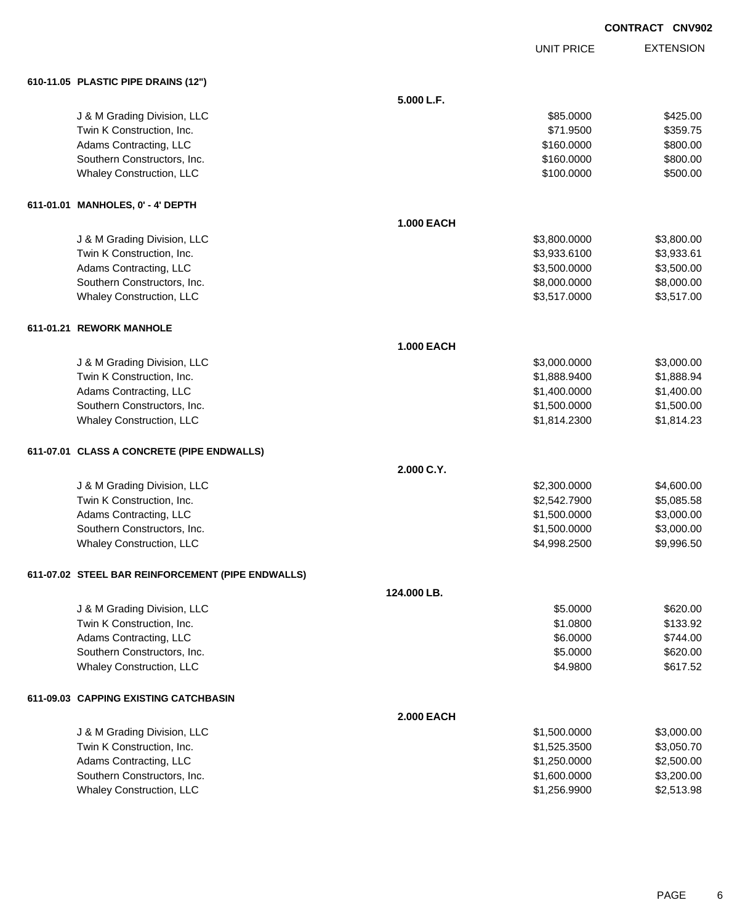|            | <b>CONTRACT CNV902</b> |                  |
|------------|------------------------|------------------|
| UNIT PRICE |                        | <b>EXTENSION</b> |

# **610-11.05 PLASTIC PIPE DRAINS (12")**

| 610-11.05 PLASTIC PIPE DRAINS (12")               |                   |              |            |
|---------------------------------------------------|-------------------|--------------|------------|
|                                                   | 5.000 L.F.        |              |            |
| J & M Grading Division, LLC                       |                   | \$85.0000    | \$425.00   |
| Twin K Construction, Inc.                         |                   | \$71.9500    | \$359.75   |
| Adams Contracting, LLC                            |                   | \$160.0000   | \$800.00   |
| Southern Constructors, Inc.                       |                   | \$160.0000   | \$800.00   |
| <b>Whaley Construction, LLC</b>                   |                   | \$100.0000   | \$500.00   |
| 611-01.01 MANHOLES, 0' - 4' DEPTH                 |                   |              |            |
|                                                   | <b>1.000 EACH</b> |              |            |
| J & M Grading Division, LLC                       |                   | \$3,800.0000 | \$3,800.00 |
| Twin K Construction, Inc.                         |                   | \$3,933.6100 | \$3,933.61 |
| Adams Contracting, LLC                            |                   | \$3,500.0000 | \$3,500.00 |
| Southern Constructors, Inc.                       |                   | \$8,000.0000 | \$8,000.00 |
| <b>Whaley Construction, LLC</b>                   |                   | \$3,517.0000 | \$3,517.00 |
| 611-01.21   REWORK MANHOLE                        |                   |              |            |
|                                                   | <b>1.000 EACH</b> |              |            |
| J & M Grading Division, LLC                       |                   | \$3,000.0000 | \$3,000.00 |
| Twin K Construction, Inc.                         |                   | \$1,888.9400 | \$1,888.94 |
| Adams Contracting, LLC                            |                   | \$1,400.0000 | \$1,400.00 |
| Southern Constructors, Inc.                       |                   | \$1,500.0000 | \$1,500.00 |
| Whaley Construction, LLC                          |                   | \$1,814.2300 | \$1,814.23 |
| 611-07.01 CLASS A CONCRETE (PIPE ENDWALLS)        |                   |              |            |
|                                                   | 2.000 C.Y.        |              |            |
| J & M Grading Division, LLC                       |                   | \$2,300.0000 | \$4,600.00 |
| Twin K Construction, Inc.                         |                   | \$2,542.7900 | \$5,085.58 |
| Adams Contracting, LLC                            |                   | \$1,500.0000 | \$3,000.00 |
| Southern Constructors, Inc.                       |                   | \$1,500.0000 | \$3,000.00 |
| Whaley Construction, LLC                          |                   | \$4,998.2500 | \$9,996.50 |
| 611-07.02 STEEL BAR REINFORCEMENT (PIPE ENDWALLS) |                   |              |            |
|                                                   | 124.000 LB.       |              |            |
| J & M Grading Division, LLC                       |                   | \$5.0000     | \$620.00   |
| Twin K Construction, Inc.                         |                   | \$1.0800     | \$133.92   |
| Adams Contracting, LLC                            |                   | \$6.0000     | \$744.00   |
| Southern Constructors, Inc.                       |                   | \$5.0000     | \$620.00   |
| <b>Whaley Construction, LLC</b>                   |                   | \$4.9800     | \$617.52   |
| 611-09.03 CAPPING EXISTING CATCHBASIN             |                   |              |            |
|                                                   | <b>2.000 EACH</b> |              |            |
| J & M Grading Division, LLC                       |                   | \$1,500.0000 | \$3,000.00 |
| Twin K Construction, Inc.                         |                   | \$1,525.3500 | \$3,050.70 |
| Adams Contracting, LLC                            |                   | \$1,250.0000 | \$2,500.00 |
| Southern Constructors, Inc.                       |                   | \$1,600.0000 | \$3,200.00 |
| <b>Whaley Construction, LLC</b>                   |                   | \$1,256.9900 | \$2,513.98 |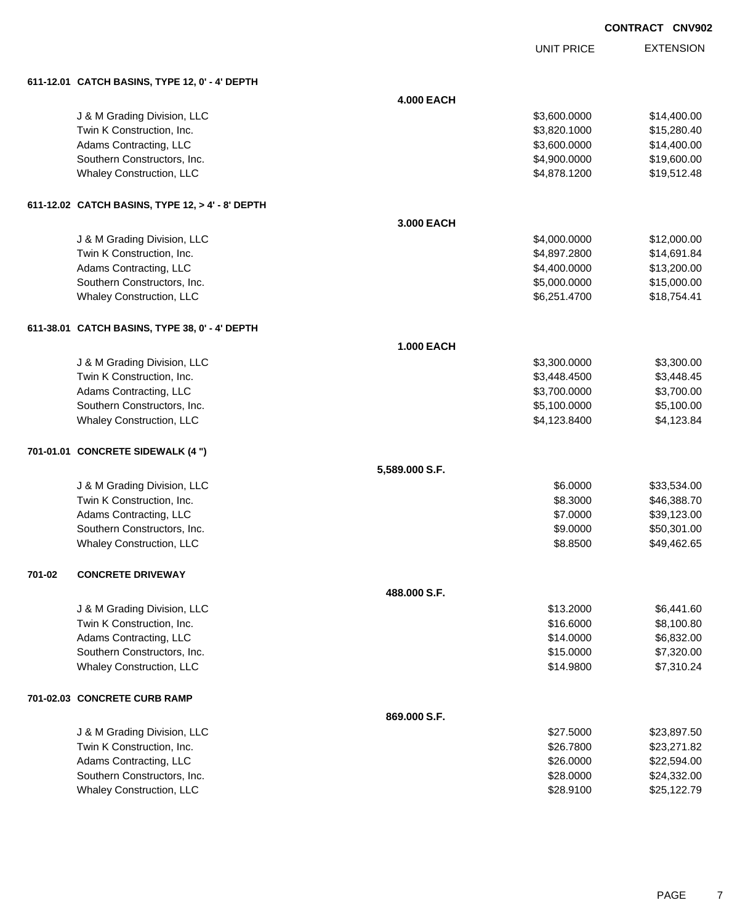| CONTRACT CNV902 |  |
|-----------------|--|
|-----------------|--|

UNIT PRICE

EXTENSION

|  | 611-12.01 CATCH BASINS, TYPE 12, 0' - 4' DEPTH |  |
|--|------------------------------------------------|--|

|        | 611-12.01   CATCH BASINS, TYPE 12, 0' - 4' DEPTH |                   |              |             |
|--------|--------------------------------------------------|-------------------|--------------|-------------|
|        |                                                  | <b>4.000 EACH</b> |              |             |
|        | J & M Grading Division, LLC                      |                   | \$3,600.0000 | \$14,400.00 |
|        | Twin K Construction, Inc.                        |                   | \$3,820.1000 | \$15,280.40 |
|        | Adams Contracting, LLC                           |                   | \$3,600.0000 | \$14,400.00 |
|        | Southern Constructors, Inc.                      |                   | \$4,900.0000 | \$19,600.00 |
|        | Whaley Construction, LLC                         |                   | \$4,878.1200 | \$19,512.48 |
|        | 611-12.02 CATCH BASINS, TYPE 12, > 4' - 8' DEPTH |                   |              |             |
|        |                                                  | 3.000 EACH        |              |             |
|        | J & M Grading Division, LLC                      |                   | \$4,000.0000 | \$12,000.00 |
|        | Twin K Construction, Inc.                        |                   | \$4,897.2800 | \$14,691.84 |
|        | Adams Contracting, LLC                           |                   | \$4,400.0000 | \$13,200.00 |
|        | Southern Constructors, Inc.                      |                   | \$5,000.0000 | \$15,000.00 |
|        | <b>Whaley Construction, LLC</b>                  |                   | \$6,251.4700 | \$18,754.41 |
|        | 611-38.01   CATCH BASINS, TYPE 38, 0' - 4' DEPTH |                   |              |             |
|        |                                                  | <b>1.000 EACH</b> |              |             |
|        | J & M Grading Division, LLC                      |                   | \$3,300.0000 | \$3,300.00  |
|        | Twin K Construction, Inc.                        |                   | \$3,448.4500 | \$3,448.45  |
|        | Adams Contracting, LLC                           |                   | \$3,700.0000 | \$3,700.00  |
|        | Southern Constructors, Inc.                      |                   | \$5,100.0000 | \$5,100.00  |
|        | Whaley Construction, LLC                         |                   | \$4,123.8400 | \$4,123.84  |
|        | 701-01.01 CONCRETE SIDEWALK (4 ")                |                   |              |             |
|        |                                                  | 5,589.000 S.F.    |              |             |
|        | J & M Grading Division, LLC                      |                   | \$6.0000     | \$33,534.00 |
|        | Twin K Construction, Inc.                        |                   | \$8.3000     | \$46,388.70 |
|        | Adams Contracting, LLC                           |                   | \$7.0000     | \$39,123.00 |
|        | Southern Constructors, Inc.                      |                   | \$9.0000     | \$50,301.00 |
|        | Whaley Construction, LLC                         |                   | \$8.8500     | \$49,462.65 |
| 701-02 | <b>CONCRETE DRIVEWAY</b>                         |                   |              |             |
|        |                                                  | 488,000 S.F.      |              |             |
|        | J & M Grading Division, LLC                      |                   | \$13.2000    | \$6,441.60  |
|        | Twin K Construction, Inc.                        |                   | \$16.6000    | \$8,100.80  |
|        | Adams Contracting, LLC                           |                   | \$14.0000    | \$6,832.00  |
|        | Southern Constructors, Inc.                      |                   | \$15.0000    | \$7,320.00  |
|        | <b>Whaley Construction, LLC</b>                  |                   | \$14.9800    | \$7,310.24  |
|        | 701-02.03 CONCRETE CURB RAMP                     |                   |              |             |
|        |                                                  | 869.000 S.F.      |              |             |
|        | J & M Grading Division, LLC                      |                   | \$27.5000    | \$23,897.50 |
|        | Twin K Construction, Inc.                        |                   | \$26.7800    | \$23,271.82 |
|        | Adams Contracting, LLC                           |                   | \$26.0000    | \$22,594.00 |
|        | Southern Constructors, Inc.                      |                   | \$28.0000    | \$24,332.00 |
|        | <b>Whaley Construction, LLC</b>                  |                   | \$28.9100    | \$25,122.79 |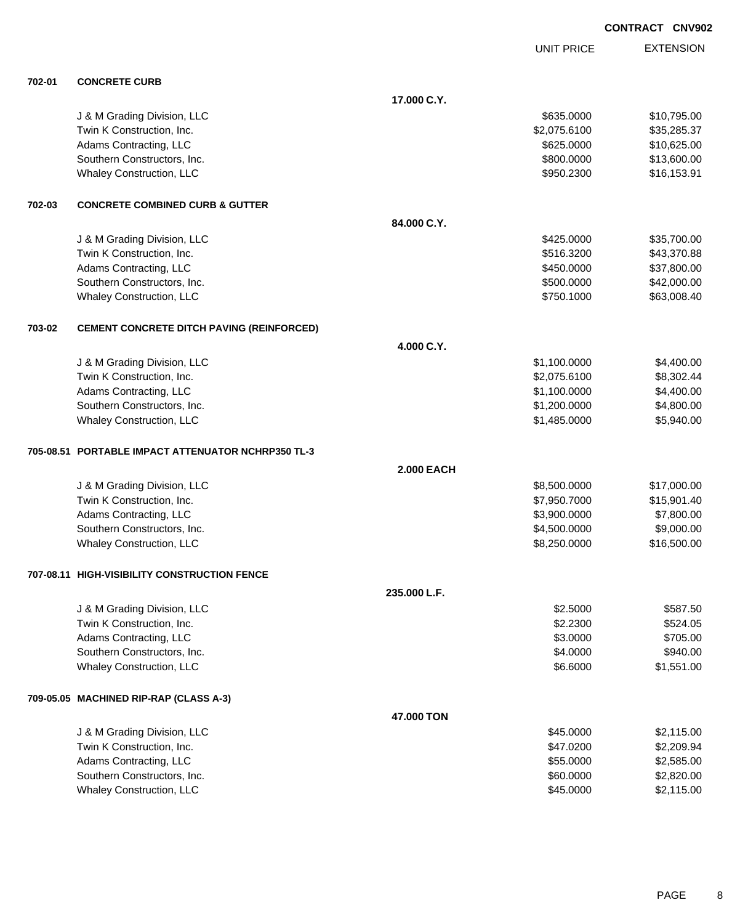UNIT PRICE

EXTENSION

| 702-01 | <b>CONCRETE CURB</b>                               |                   |             |
|--------|----------------------------------------------------|-------------------|-------------|
|        |                                                    | 17.000 C.Y.       |             |
|        | J & M Grading Division, LLC                        | \$635.0000        | \$10,795.00 |
|        | Twin K Construction, Inc.                          | \$2,075.6100      | \$35,285.37 |
|        | Adams Contracting, LLC                             | \$625.0000        | \$10,625.00 |
|        | Southern Constructors, Inc.                        | \$800.0000        | \$13,600.00 |
|        | Whaley Construction, LLC                           | \$950.2300        | \$16,153.91 |
| 702-03 | <b>CONCRETE COMBINED CURB &amp; GUTTER</b>         |                   |             |
|        |                                                    | 84.000 C.Y.       |             |
|        | J & M Grading Division, LLC                        | \$425.0000        | \$35,700.00 |
|        | Twin K Construction, Inc.                          | \$516.3200        | \$43,370.88 |
|        | Adams Contracting, LLC                             | \$450.0000        | \$37,800.00 |
|        | Southern Constructors, Inc.                        | \$500.0000        | \$42,000.00 |
|        | <b>Whaley Construction, LLC</b>                    | \$750.1000        | \$63,008.40 |
| 703-02 | <b>CEMENT CONCRETE DITCH PAVING (REINFORCED)</b>   |                   |             |
|        |                                                    | 4.000 C.Y.        |             |
|        | J & M Grading Division, LLC                        | \$1,100.0000      | \$4,400.00  |
|        | Twin K Construction, Inc.                          | \$2,075.6100      | \$8,302.44  |
|        | Adams Contracting, LLC                             | \$1,100.0000      | \$4,400.00  |
|        | Southern Constructors, Inc.                        | \$1,200.0000      | \$4,800.00  |
|        | Whaley Construction, LLC                           | \$1,485.0000      | \$5,940.00  |
|        | 705-08.51 PORTABLE IMPACT ATTENUATOR NCHRP350 TL-3 |                   |             |
|        |                                                    | <b>2.000 EACH</b> |             |
|        | J & M Grading Division, LLC                        | \$8,500.0000      | \$17,000.00 |
|        | Twin K Construction, Inc.                          | \$7,950.7000      | \$15,901.40 |
|        | Adams Contracting, LLC                             | \$3,900.0000      | \$7,800.00  |
|        | Southern Constructors, Inc.                        | \$4,500.0000      | \$9,000.00  |
|        | <b>Whaley Construction, LLC</b>                    | \$8,250.0000      | \$16,500.00 |
|        | 707-08.11 HIGH-VISIBILITY CONSTRUCTION FENCE       |                   |             |
|        |                                                    | 235,000 L.F.      |             |
|        | J & M Grading Division, LLC                        | \$2.5000          | \$587.50    |
|        | Twin K Construction, Inc.                          | \$2.2300          | \$524.05    |
|        | Adams Contracting, LLC                             | \$3.0000          | \$705.00    |
|        | Southern Constructors, Inc.                        | \$4.0000          | \$940.00    |
|        | Whaley Construction, LLC                           | \$6.6000          | \$1,551.00  |
|        | 709-05.05 MACHINED RIP-RAP (CLASS A-3)             |                   |             |
|        |                                                    | 47.000 TON        |             |
|        | J & M Grading Division, LLC                        | \$45.0000         | \$2,115.00  |
|        | Twin K Construction, Inc.                          | \$47.0200         | \$2,209.94  |
|        | Adams Contracting, LLC                             | \$55.0000         | \$2,585.00  |
|        | Southern Constructors, Inc.                        | \$60.0000         | \$2,820.00  |
|        | <b>Whaley Construction, LLC</b>                    | \$45.0000         | \$2,115.00  |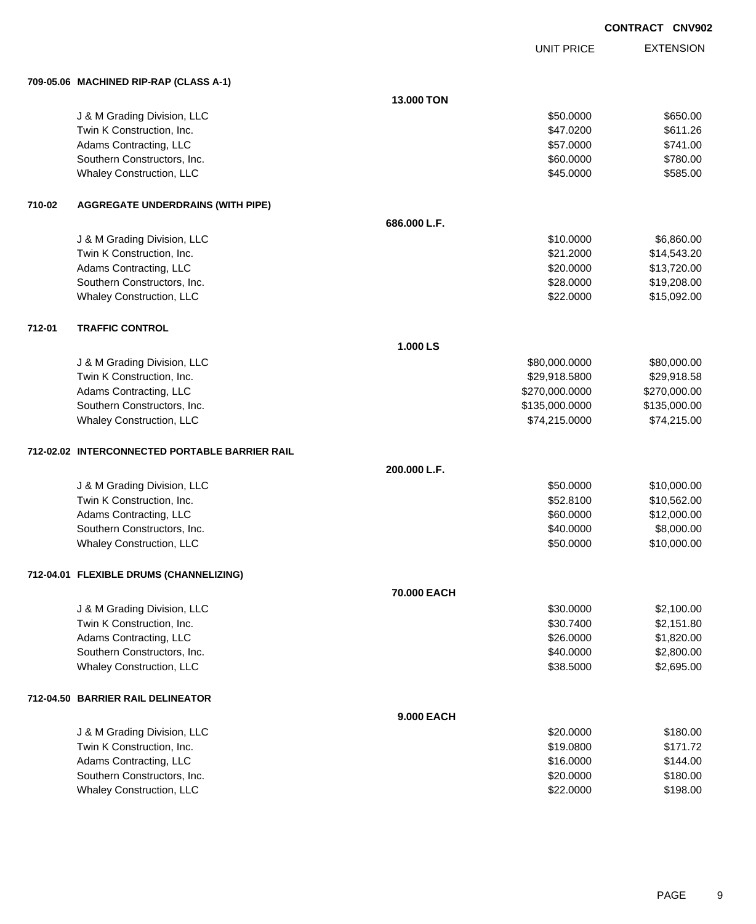|        |                                                |              |                   | <b>CONTRACT CNV902</b> |
|--------|------------------------------------------------|--------------|-------------------|------------------------|
|        |                                                |              | <b>UNIT PRICE</b> | <b>EXTENSION</b>       |
|        | 709-05.06 MACHINED RIP-RAP (CLASS A-1)         |              |                   |                        |
|        |                                                | 13.000 TON   |                   |                        |
|        | J & M Grading Division, LLC                    |              | \$50.0000         | \$650.00               |
|        | Twin K Construction, Inc.                      |              | \$47.0200         | \$611.26               |
|        | Adams Contracting, LLC                         |              | \$57.0000         | \$741.00               |
|        | Southern Constructors, Inc.                    |              | \$60.0000         | \$780.00               |
|        | Whaley Construction, LLC                       |              | \$45.0000         | \$585.00               |
| 710-02 | <b>AGGREGATE UNDERDRAINS (WITH PIPE)</b>       |              |                   |                        |
|        |                                                | 686.000 L.F. |                   |                        |
|        | J & M Grading Division, LLC                    |              | \$10.0000         | \$6,860.00             |
|        | Twin K Construction, Inc.                      |              | \$21.2000         | \$14,543.20            |
|        | Adams Contracting, LLC                         |              | \$20.0000         | \$13,720.00            |
|        | Southern Constructors, Inc.                    |              | \$28.0000         | \$19,208.00            |
|        | Whaley Construction, LLC                       |              | \$22.0000         | \$15,092.00            |
| 712-01 | <b>TRAFFIC CONTROL</b>                         |              |                   |                        |
|        |                                                | 1.000 LS     |                   |                        |
|        | J & M Grading Division, LLC                    |              | \$80,000.0000     | \$80,000.00            |
|        | Twin K Construction, Inc.                      |              | \$29,918.5800     | \$29,918.58            |
|        | Adams Contracting, LLC                         |              | \$270,000.0000    | \$270,000.00           |
|        | Southern Constructors, Inc.                    |              | \$135,000.0000    | \$135,000.00           |
|        | Whaley Construction, LLC                       |              | \$74,215.0000     | \$74,215.00            |
|        | 712-02.02 INTERCONNECTED PORTABLE BARRIER RAIL |              |                   |                        |
|        |                                                | 200.000 L.F. |                   |                        |
|        | J & M Grading Division, LLC                    |              | \$50.0000         | \$10,000.00            |
|        | Twin K Construction, Inc.                      |              | \$52.8100         | \$10,562.00            |
|        | Adams Contracting, LLC                         |              | \$60.0000         | \$12,000.00            |
|        | Southern Constructors, Inc.                    |              | \$40.0000         | \$8,000.00             |
|        | <b>Whaley Construction, LLC</b>                |              | \$50.0000         | \$10,000.00            |
|        | 712-04.01 FLEXIBLE DRUMS (CHANNELIZING)        |              |                   |                        |
|        |                                                | 70.000 EACH  |                   |                        |
|        | J & M Grading Division, LLC                    |              | \$30.0000         | \$2,100.00             |
|        | Twin K Construction, Inc.                      |              | \$30.7400         | \$2,151.80             |
|        | Adams Contracting, LLC                         |              | \$26.0000         | \$1,820.00             |
|        | Southern Constructors, Inc.                    |              | \$40.0000         | \$2,800.00             |
|        | Whaley Construction, LLC                       |              | \$38.5000         | \$2,695.00             |
|        | 712-04.50 BARRIER RAIL DELINEATOR              |              |                   |                        |

|                                 | <b>9.000 EACH</b> |          |
|---------------------------------|-------------------|----------|
| J & M Grading Division, LLC     | \$20,0000         | \$180.00 |
| Twin K Construction, Inc.       | \$19,0800         | \$171.72 |
| Adams Contracting, LLC          | \$16,0000         | \$144.00 |
| Southern Constructors, Inc.     | \$20,0000         | \$180.00 |
| <b>Whaley Construction, LLC</b> | \$22,0000         | \$198.00 |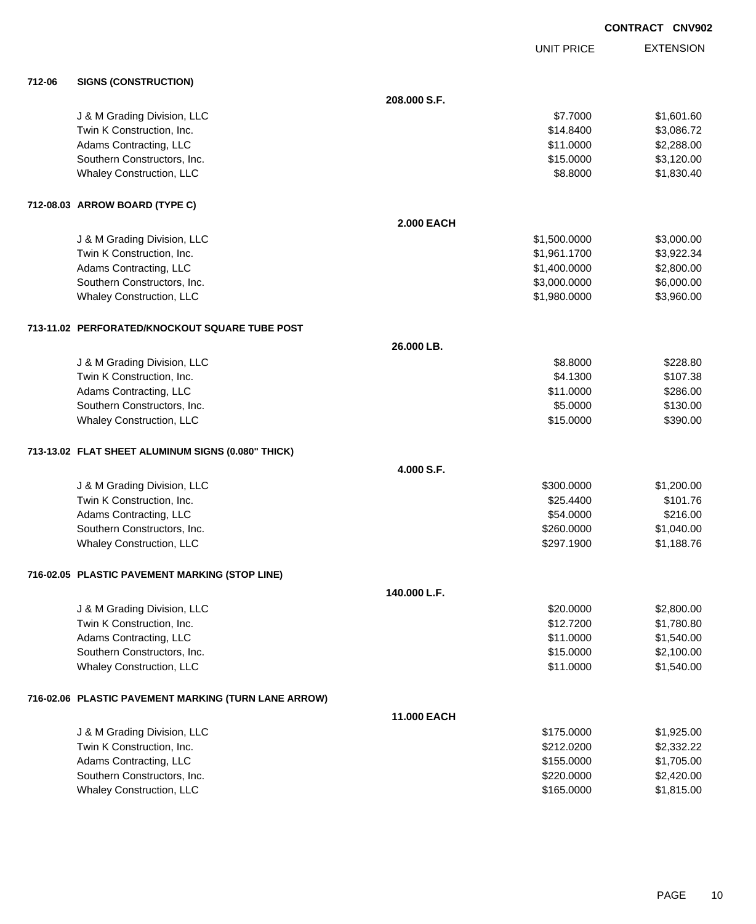| <b>CONTRACT CNV902</b> |  |
|------------------------|--|
|------------------------|--|

UNIT PRICE

EXTENSION

| 712-06 | <b>SIGNS (CONSTRUCTION)</b>                          |                   |              |            |
|--------|------------------------------------------------------|-------------------|--------------|------------|
|        |                                                      | 208.000 S.F.      |              |            |
|        | J & M Grading Division, LLC                          |                   | \$7.7000     | \$1,601.60 |
|        | Twin K Construction, Inc.                            |                   | \$14.8400    | \$3,086.72 |
|        | Adams Contracting, LLC                               |                   | \$11.0000    | \$2,288.00 |
|        | Southern Constructors, Inc.                          |                   | \$15.0000    | \$3,120.00 |
|        | Whaley Construction, LLC                             |                   | \$8.8000     | \$1,830.40 |
|        | 712-08.03 ARROW BOARD (TYPE C)                       |                   |              |            |
|        |                                                      | <b>2.000 EACH</b> |              |            |
|        | J & M Grading Division, LLC                          |                   | \$1,500.0000 | \$3,000.00 |
|        | Twin K Construction, Inc.                            |                   | \$1,961.1700 | \$3,922.34 |
|        | Adams Contracting, LLC                               |                   | \$1,400.0000 | \$2,800.00 |
|        | Southern Constructors, Inc.                          |                   | \$3,000.0000 | \$6,000.00 |
|        | Whaley Construction, LLC                             |                   | \$1,980.0000 | \$3,960.00 |
|        | 713-11.02 PERFORATED/KNOCKOUT SQUARE TUBE POST       |                   |              |            |
|        |                                                      | 26,000 LB.        |              |            |
|        | J & M Grading Division, LLC                          |                   | \$8.8000     | \$228.80   |
|        | Twin K Construction, Inc.                            |                   | \$4.1300     | \$107.38   |
|        | Adams Contracting, LLC                               |                   | \$11.0000    | \$286.00   |
|        | Southern Constructors, Inc.                          |                   | \$5.0000     | \$130.00   |
|        | Whaley Construction, LLC                             |                   | \$15.0000    | \$390.00   |
|        | 713-13.02 FLAT SHEET ALUMINUM SIGNS (0.080" THICK)   |                   |              |            |
|        |                                                      | 4.000 S.F.        |              |            |
|        | J & M Grading Division, LLC                          |                   | \$300.0000   | \$1,200.00 |
|        | Twin K Construction, Inc.                            |                   | \$25.4400    | \$101.76   |
|        | Adams Contracting, LLC                               |                   | \$54.0000    | \$216.00   |
|        | Southern Constructors, Inc.                          |                   | \$260.0000   | \$1,040.00 |
|        | Whaley Construction, LLC                             |                   | \$297.1900   | \$1,188.76 |
|        | 716-02.05 PLASTIC PAVEMENT MARKING (STOP LINE)       |                   |              |            |
|        |                                                      | 140.000 L.F.      |              |            |
|        | J & M Grading Division, LLC                          |                   | \$20.0000    | \$2,800.00 |
|        | Twin K Construction, Inc.                            |                   | \$12.7200    | \$1,780.80 |
|        | Adams Contracting, LLC                               |                   | \$11.0000    | \$1,540.00 |
|        | Southern Constructors, Inc.                          |                   | \$15.0000    | \$2,100.00 |
|        | Whaley Construction, LLC                             |                   | \$11.0000    | \$1,540.00 |
|        | 716-02.06 PLASTIC PAVEMENT MARKING (TURN LANE ARROW) |                   |              |            |
|        |                                                      | 11.000 EACH       |              |            |
|        | J & M Grading Division, LLC                          |                   | \$175.0000   | \$1,925.00 |
|        | Twin K Construction, Inc.                            |                   | \$212.0200   | \$2,332.22 |
|        | Adams Contracting, LLC                               |                   | \$155.0000   | \$1,705.00 |
|        | Southern Constructors, Inc.                          |                   | \$220.0000   | \$2,420.00 |
|        | Whaley Construction, LLC                             |                   | \$165.0000   | \$1,815.00 |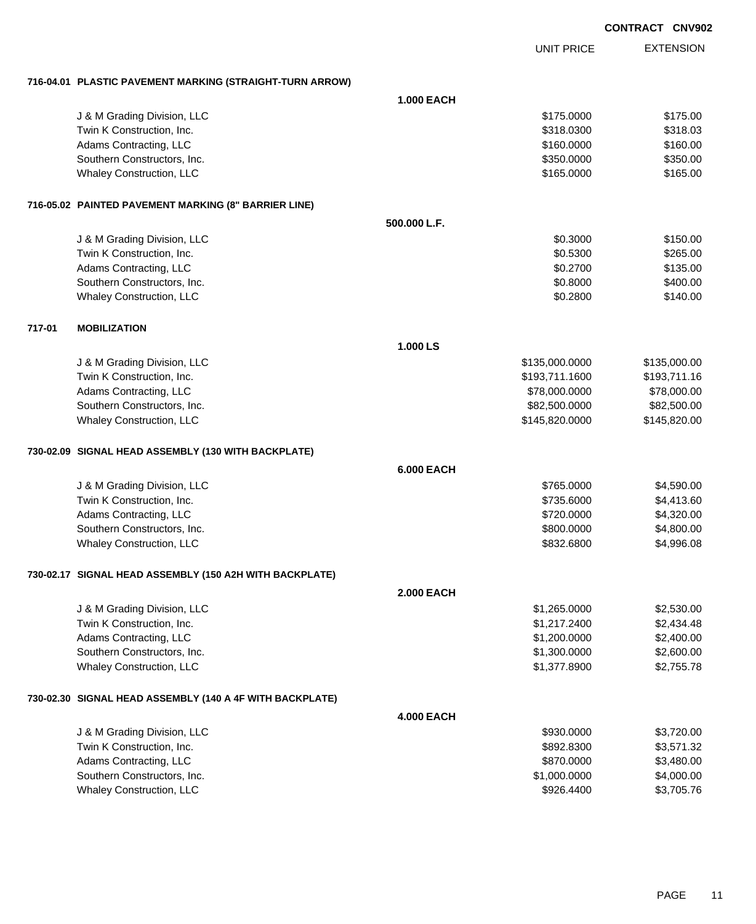EXTENSION **CONTRACT CNV902** UNIT PRICE **716-04.01 PLASTIC PAVEMENT MARKING (STRAIGHT-TURN ARROW) 1.000 EACH** J & M Grading Division, LLC \$175.000 \$175.000 \$175.000 \$175.000 \$175.000 \$175.000 \$175.000 \$175.00 Twin K Construction, Inc. 6318.0300 \$318.0300 \$318.0300 \$318.0300 \$318.0300 \$318.03 Adams Contracting, LLC 6160.000 \$160.000 \$160.000 \$160.000 \$160.000 \$160.000 \$160.000 \$160.00 Southern Constructors, Inc. 6350.000 \$350.000 \$350.000 \$350.000 \$350.000 \$350.000 \$350.000 \$350.00 Whaley Construction, LLC 6165.000 \$165.000 \$165.000 \$165.000 \$165.000 \$165.000 \$165.000 \$165.00 **716-05.02 PAINTED PAVEMENT MARKING (8" BARRIER LINE) 500.000 L.F.** J & M Grading Division, LLC \$150.00 Twin K Construction, Inc. 6265.00 \$265.00 \$265.00 \$265.00 Adams Contracting, LLC 6135.00 \$135.00 Southern Constructors, Inc. 6400.00 \$400.00 \$400.00 \$400.00 \$400.00 \$400.00 \$400.00 \$400.00 \$400.00 \$400.00 \$400 Whaley Construction, LLC 6140.00 **717-01 MOBILIZATION 1.000 LS** J & M Grading Division, LLC \$135,000.0000 \$135,000.00 Twin K Construction, Inc. 6. The Second State of the State of the State of State of State of State of State of State of State of State of State of State of State of State of State of State of State of State of State of Sta Adams Contracting, LLC 6. 2012 12:00:000 \$78,000.000 \$78,000.000 \$78,000.000 \$78,000.00 Southern Constructors, Inc. 682,500.000 \$82,500.000 \$82,500.000 \$82,500.000 \$82,500.000 \$82,500.00 Whaley Construction, LLC 6. 2010 12:0000 \$145,820.000 \$145,820.000 \$145,820.000 **730-02.09 SIGNAL HEAD ASSEMBLY (130 WITH BACKPLATE) 6.000 EACH** J & M Grading Division, LLC \$765.0000 \$4,590.00 Twin K Construction, Inc. 66 and the state of the state of the state of the state of the state of the state of the state of the state of the state of the state of the state of the state of the state of the state of the sta Adams Contracting, LLC 6. 2012 12:0000 \$4,320.000 \$4,320.000 \$4,320.000 \$4,320.00 Southern Constructors, Inc. 6. The Constructors of the Constructors, Inc. 6. The Constructors, Inc. 6. The Constructors of the Constructors of the Constructors of the Constructors of the Constructors of the Constructors of Whaley Construction, LLC **\$832.6800** \$4,996.08 **730-02.17 SIGNAL HEAD ASSEMBLY (150 A2H WITH BACKPLATE) 2.000 EACH** J & M Grading Division, LLC \$1,265.0000 \$2,530.00 Twin K Construction, Inc. \$1,217.2400 \$2,434.48 Adams Contracting, LLC 6. 2.400.00 \$2,400.00 \$2,400.00 \$2,400.00 \$2,400.00 \$2,400.00 \$2,400.00 \$2,400.00 \$2,400 Southern Constructors, Inc. 6. The Constructors of the Constructors, Inc. 6. The Constructors, Inc. 6. The Constructors of the Constructors of the Constructors of the Constructors of the Constructors of the Constructors of Whaley Construction, LLC 62,755.78 **730-02.30 SIGNAL HEAD ASSEMBLY (140 A 4F WITH BACKPLATE) 4.000 EACH** J & M Grading Division, LLC \$930.0000 \$3,720.00 Twin K Construction, Inc. 63,571.32 Adams Contracting, LLC 6. 2012 12:0000 \$3,480.00 Southern Constructors, Inc. 6. The Constructors of the Constructors, Inc. 6. The Constructors, Inc. 6. The Constructors of the Constructors of the Constructors of the Constructors of the Constructors of the Constructors of

Whaley Construction, LLC 63,705.76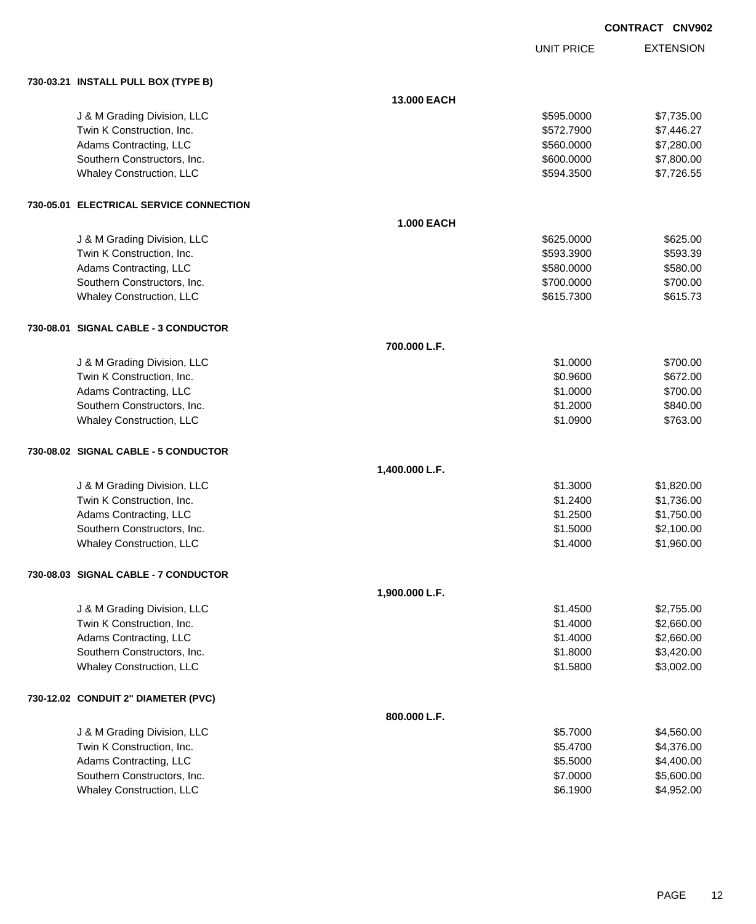|                                         |                   |                   | <b>CONTRACT CNV902</b> |                  |
|-----------------------------------------|-------------------|-------------------|------------------------|------------------|
|                                         |                   | <b>UNIT PRICE</b> |                        | <b>EXTENSION</b> |
| 730-03.21 INSTALL PULL BOX (TYPE B)     |                   |                   |                        |                  |
|                                         | 13.000 EACH       |                   |                        |                  |
| J & M Grading Division, LLC             |                   | \$595.0000        |                        | \$7,735.00       |
| Twin K Construction, Inc.               |                   | \$572.7900        |                        | \$7,446.27       |
| Adams Contracting, LLC                  |                   | \$560.0000        |                        | \$7,280.00       |
| Southern Constructors, Inc.             |                   | \$600.0000        |                        | \$7,800.00       |
| Whaley Construction, LLC                |                   | \$594.3500        |                        | \$7,726.55       |
| 730-05.01 ELECTRICAL SERVICE CONNECTION |                   |                   |                        |                  |
|                                         | <b>1.000 EACH</b> |                   |                        |                  |
| J & M Grading Division, LLC             |                   | \$625.0000        |                        | \$625.00         |
| Twin K Construction, Inc.               |                   | \$593.3900        |                        | \$593.39         |
| Adams Contracting, LLC                  |                   | \$580.0000        |                        | \$580.00         |
| Southern Constructors, Inc.             |                   | \$700.0000        |                        | \$700.00         |
| Whaley Construction, LLC                |                   | \$615.7300        |                        | \$615.73         |
| 730-08.01 SIGNAL CABLE - 3 CONDUCTOR    |                   |                   |                        |                  |
|                                         | 700.000 L.F.      |                   |                        |                  |
| J & M Grading Division, LLC             |                   | \$1.0000          |                        | \$700.00         |
| Twin K Construction, Inc.               |                   | \$0.9600          |                        | \$672.00         |
| Adams Contracting, LLC                  |                   | \$1.0000          |                        | \$700.00         |
| Southern Constructors, Inc.             |                   | \$1.2000          |                        | \$840.00         |
| Whaley Construction, LLC                |                   | \$1.0900          |                        | \$763.00         |
| 730-08.02 SIGNAL CABLE - 5 CONDUCTOR    |                   |                   |                        |                  |
|                                         | 1,400.000 L.F.    |                   |                        |                  |
| J & M Grading Division, LLC             |                   | \$1.3000          |                        | \$1,820.00       |
| Twin K Construction, Inc.               |                   | \$1.2400          |                        | \$1,736.00       |
| Adams Contracting, LLC                  |                   | \$1.2500          |                        | \$1,750.00       |
| Southern Constructors, Inc.             |                   | \$1.5000          |                        | \$2,100.00       |
| Whaley Construction, LLC                |                   | \$1.4000          |                        | \$1,960.00       |
| 730-08.03 SIGNAL CABLE - 7 CONDUCTOR    |                   |                   |                        |                  |
|                                         | 1,900.000 L.F.    |                   |                        |                  |
| J & M Grading Division, LLC             |                   | \$1.4500          |                        | \$2,755.00       |
| Twin K Construction, Inc.               |                   | \$1.4000          |                        | \$2,660.00       |
| Adams Contracting, LLC                  |                   | \$1.4000          |                        | \$2,660.00       |
| Southern Constructors, Inc.             |                   | \$1.8000          |                        | \$3,420.00       |
| Whaley Construction, LLC                |                   | \$1.5800          |                        | \$3,002.00       |
| 730-12.02 CONDUIT 2" DIAMETER (PVC)     |                   |                   |                        |                  |
|                                         | 800.000 L.F.      |                   |                        |                  |
| J & M Grading Division, LLC             |                   | \$5.7000          |                        | \$4,560.00       |
| Twin K Construction, Inc.               |                   | \$5.4700          |                        | \$4,376.00       |
| Adams Contracting, LLC                  |                   | \$5.5000          |                        | \$4,400.00       |
| Southern Constructors, Inc.             |                   | \$7.0000          |                        | \$5,600.00       |
| Whaley Construction, LLC                |                   | \$6.1900          |                        | \$4,952.00       |
|                                         |                   |                   |                        |                  |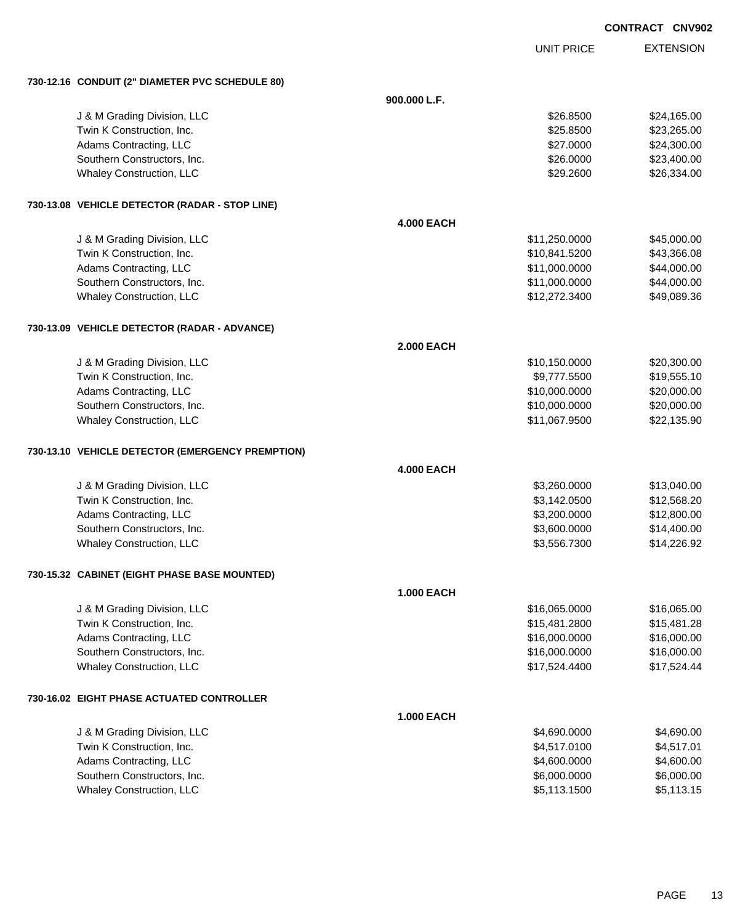UNIT PRICE

EXTENSION

| 730-12.16 CONDUIT (2" DIAMETER PVC SCHEDULE 80)  |                   |                          |
|--------------------------------------------------|-------------------|--------------------------|
|                                                  | 900.000 L.F.      |                          |
| J & M Grading Division, LLC                      |                   | \$24,165.00<br>\$26.8500 |
| Twin K Construction, Inc.                        |                   | \$25.8500<br>\$23,265.00 |
| Adams Contracting, LLC                           |                   | \$24,300.00<br>\$27.0000 |
| Southern Constructors, Inc.                      |                   | \$23,400.00<br>\$26.0000 |
| Whaley Construction, LLC                         |                   | \$26,334.00<br>\$29.2600 |
| 730-13.08 VEHICLE DETECTOR (RADAR - STOP LINE)   |                   |                          |
|                                                  | <b>4.000 EACH</b> |                          |
| J & M Grading Division, LLC                      | \$11,250.0000     | \$45,000.00              |
| Twin K Construction, Inc.                        | \$10,841.5200     | \$43,366.08              |
| Adams Contracting, LLC                           | \$11,000.0000     | \$44,000.00              |
| Southern Constructors, Inc.                      | \$11,000.0000     | \$44,000.00              |
| <b>Whaley Construction, LLC</b>                  | \$12,272.3400     | \$49,089.36              |
| 730-13.09 VEHICLE DETECTOR (RADAR - ADVANCE)     |                   |                          |
|                                                  | <b>2.000 EACH</b> |                          |
| J & M Grading Division, LLC                      | \$10,150.0000     | \$20,300.00              |
| Twin K Construction, Inc.                        | \$9,777.5500      | \$19,555.10              |
| Adams Contracting, LLC                           | \$10,000.0000     | \$20,000.00              |
| Southern Constructors, Inc.                      | \$10,000.0000     | \$20,000.00              |
| Whaley Construction, LLC                         | \$11,067.9500     | \$22,135.90              |
| 730-13.10 VEHICLE DETECTOR (EMERGENCY PREMPTION) |                   |                          |
|                                                  | <b>4.000 EACH</b> |                          |
| J & M Grading Division, LLC                      | \$3,260.0000      | \$13,040.00              |
| Twin K Construction, Inc.                        | \$3,142.0500      | \$12,568.20              |
| Adams Contracting, LLC                           | \$3,200.0000      | \$12,800.00              |
| Southern Constructors, Inc.                      | \$3,600.0000      | \$14,400.00              |
| Whaley Construction, LLC                         | \$3,556.7300      | \$14,226.92              |
| 730-15.32 CABINET (EIGHT PHASE BASE MOUNTED)     |                   |                          |
|                                                  | <b>1.000 EACH</b> |                          |
| J & M Grading Division, LLC                      | \$16,065.0000     | \$16,065.00              |
| Twin K Construction, Inc.                        | \$15,481.2800     | \$15,481.28              |
| Adams Contracting, LLC                           | \$16,000.0000     | \$16,000.00              |
| Southern Constructors, Inc.                      | \$16,000.0000     | \$16,000.00              |
| <b>Whaley Construction, LLC</b>                  | \$17,524.4400     | \$17,524.44              |
| 730-16.02 EIGHT PHASE ACTUATED CONTROLLER        |                   |                          |
|                                                  | <b>1.000 EACH</b> |                          |
| J & M Grading Division, LLC                      | \$4,690.0000      | \$4,690.00               |
| Twin K Construction, Inc.                        | \$4,517.0100      | \$4,517.01               |
| Adams Contracting, LLC                           | \$4,600.0000      | \$4,600.00               |
| Southern Constructors, Inc.                      | \$6,000.0000      | \$6,000.00               |
| <b>Whaley Construction, LLC</b>                  | \$5,113.1500      | \$5,113.15               |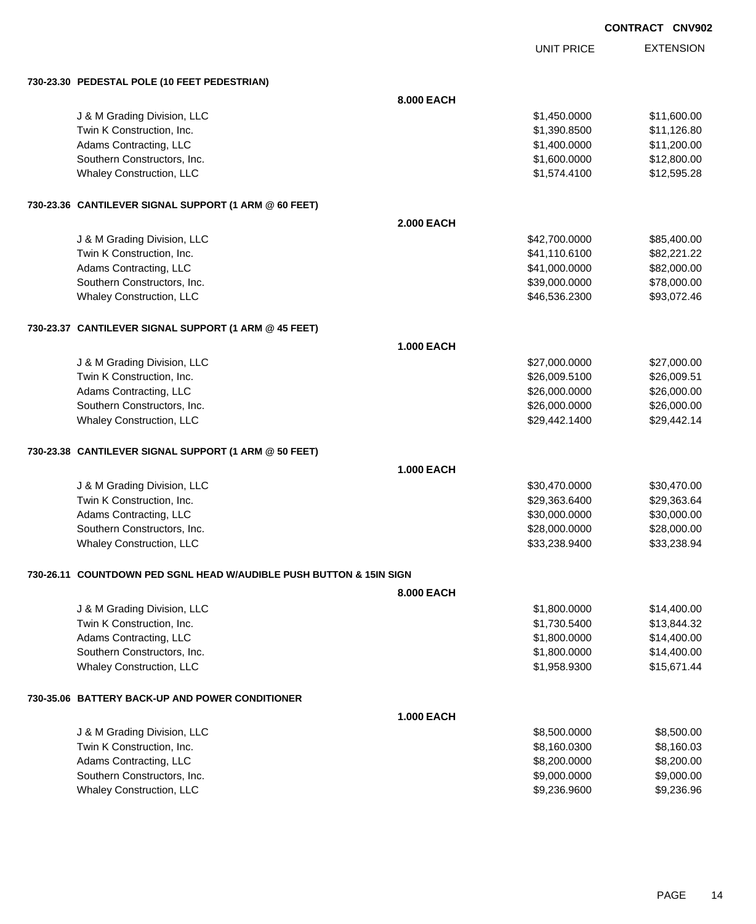|            | CONTRACT CNV902 |                  |
|------------|-----------------|------------------|
| UNIT PRICE |                 | <b>EXTENSION</b> |

**730-23.30 PEDESTAL POLE (10 FEET PEDESTRIAN)**

|                                                                     | 8.000 EACH        |               |             |  |
|---------------------------------------------------------------------|-------------------|---------------|-------------|--|
| J & M Grading Division, LLC                                         |                   | \$1,450.0000  | \$11,600.00 |  |
| Twin K Construction, Inc.                                           |                   | \$1,390.8500  | \$11,126.80 |  |
| Adams Contracting, LLC                                              |                   | \$1,400.0000  | \$11,200.00 |  |
| Southern Constructors, Inc.                                         |                   | \$1,600.0000  | \$12,800.00 |  |
| Whaley Construction, LLC                                            |                   | \$1,574.4100  | \$12,595.28 |  |
| 730-23.36 CANTILEVER SIGNAL SUPPORT (1 ARM @ 60 FEET)               |                   |               |             |  |
|                                                                     | <b>2.000 EACH</b> |               |             |  |
| J & M Grading Division, LLC                                         |                   | \$42,700.0000 | \$85,400.00 |  |
| Twin K Construction, Inc.                                           |                   | \$41,110.6100 | \$82,221.22 |  |
| Adams Contracting, LLC                                              |                   | \$41,000.0000 | \$82,000.00 |  |
| Southern Constructors, Inc.                                         |                   | \$39,000.0000 | \$78,000.00 |  |
| Whaley Construction, LLC                                            |                   | \$46,536.2300 | \$93,072.46 |  |
| 730-23.37 CANTILEVER SIGNAL SUPPORT (1 ARM @ 45 FEET)               |                   |               |             |  |
|                                                                     | 1.000 EACH        |               |             |  |
| J & M Grading Division, LLC                                         |                   | \$27,000.0000 | \$27,000.00 |  |
| Twin K Construction, Inc.                                           |                   | \$26,009.5100 | \$26,009.51 |  |
| Adams Contracting, LLC                                              |                   | \$26,000.0000 | \$26,000.00 |  |
| Southern Constructors, Inc.                                         |                   | \$26,000.0000 | \$26,000.00 |  |
| Whaley Construction, LLC                                            |                   | \$29,442.1400 | \$29,442.14 |  |
| 730-23.38 CANTILEVER SIGNAL SUPPORT (1 ARM @ 50 FEET)               |                   |               |             |  |
|                                                                     | <b>1.000 EACH</b> |               |             |  |
| J & M Grading Division, LLC                                         |                   | \$30,470.0000 | \$30,470.00 |  |
| Twin K Construction, Inc.                                           |                   | \$29,363.6400 | \$29,363.64 |  |
| Adams Contracting, LLC                                              |                   | \$30,000.0000 | \$30,000.00 |  |
| Southern Constructors, Inc.                                         |                   | \$28,000.0000 | \$28,000.00 |  |
| Whaley Construction, LLC                                            |                   | \$33,238.9400 | \$33,238.94 |  |
| 730-26.11 COUNTDOWN PED SGNL HEAD W/AUDIBLE PUSH BUTTON & 15IN SIGN |                   |               |             |  |
|                                                                     | 8.000 EACH        |               |             |  |
| J & M Grading Division, LLC                                         |                   | \$1,800.0000  | \$14,400.00 |  |
| Twin K Construction, Inc.                                           |                   | \$1,730.5400  | \$13,844.32 |  |
| Adams Contracting, LLC                                              |                   | \$1,800.0000  | \$14,400.00 |  |
| Southern Constructors, Inc.                                         |                   | \$1,800.0000  | \$14,400.00 |  |
| <b>Whaley Construction, LLC</b>                                     |                   | \$1,958.9300  | \$15,671.44 |  |
| 730-35.06 BATTERY BACK-UP AND POWER CONDITIONER                     |                   |               |             |  |
|                                                                     | <b>1.000 EACH</b> |               |             |  |
| J & M Grading Division, LLC                                         |                   | \$8,500.0000  | \$8,500.00  |  |
| Twin K Construction, Inc.                                           |                   | \$8,160.0300  | \$8,160.03  |  |
| Adams Contracting, LLC                                              |                   | \$8,200.0000  | \$8,200.00  |  |
| Southern Constructors, Inc.                                         |                   | \$9,000.0000  | \$9,000.00  |  |
| Whaley Construction, LLC                                            |                   | \$9,236.9600  | \$9,236.96  |  |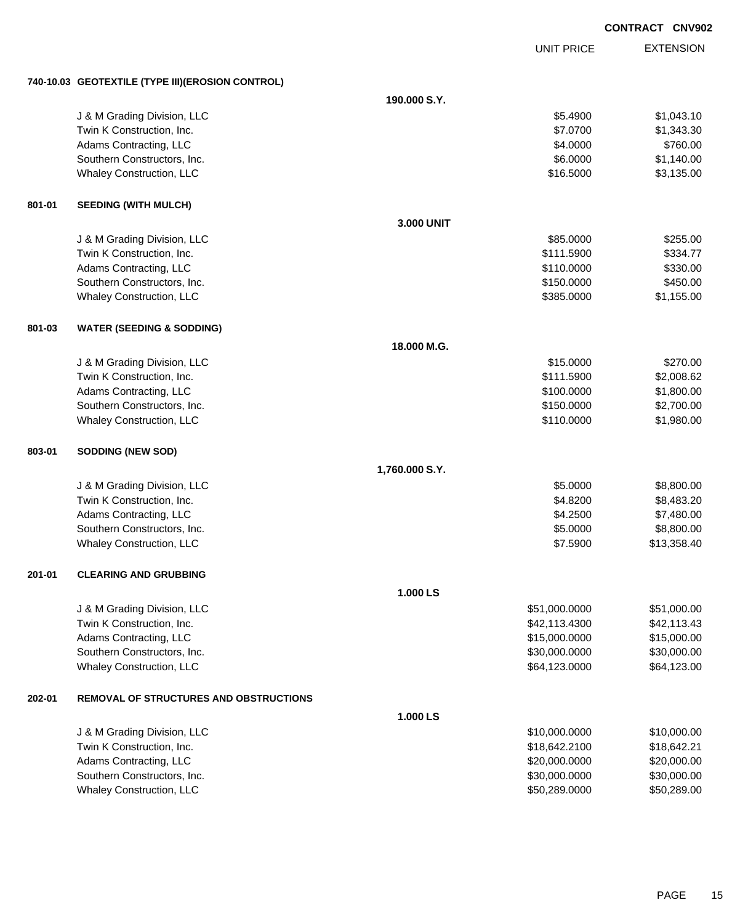|        |                                                   |                |                   | <b>CONTRACT CNV902</b> |                  |
|--------|---------------------------------------------------|----------------|-------------------|------------------------|------------------|
|        |                                                   |                | <b>UNIT PRICE</b> |                        | <b>EXTENSION</b> |
|        | 740-10.03 GEOTEXTILE (TYPE III) (EROSION CONTROL) |                |                   |                        |                  |
|        |                                                   | 190.000 S.Y.   |                   |                        |                  |
|        | J & M Grading Division, LLC                       |                | \$5.4900          |                        | \$1,043.10       |
|        | Twin K Construction, Inc.                         |                | \$7.0700          |                        | \$1,343.30       |
|        | Adams Contracting, LLC                            |                | \$4.0000          |                        | \$760.00         |
|        | Southern Constructors, Inc.                       |                | \$6.0000          |                        | \$1,140.00       |
|        | Whaley Construction, LLC                          |                | \$16.5000         |                        | \$3,135.00       |
| 801-01 | <b>SEEDING (WITH MULCH)</b>                       |                |                   |                        |                  |
|        |                                                   | 3.000 UNIT     |                   |                        |                  |
|        | J & M Grading Division, LLC                       |                | \$85.0000         |                        | \$255.00         |
|        | Twin K Construction, Inc.                         |                | \$111.5900        |                        | \$334.77         |
|        | Adams Contracting, LLC                            |                | \$110.0000        |                        | \$330.00         |
|        | Southern Constructors, Inc.                       |                | \$150.0000        |                        | \$450.00         |
|        | Whaley Construction, LLC                          |                | \$385.0000        |                        | \$1,155.00       |
| 801-03 | <b>WATER (SEEDING &amp; SODDING)</b>              |                |                   |                        |                  |
|        |                                                   | 18.000 M.G.    |                   |                        |                  |
|        | J & M Grading Division, LLC                       |                | \$15.0000         |                        | \$270.00         |
|        | Twin K Construction, Inc.                         |                | \$111.5900        |                        | \$2,008.62       |
|        | Adams Contracting, LLC                            |                | \$100.0000        |                        | \$1,800.00       |
|        | Southern Constructors, Inc.                       |                | \$150.0000        |                        | \$2,700.00       |
|        | Whaley Construction, LLC                          |                | \$110.0000        |                        | \$1,980.00       |
| 803-01 | <b>SODDING (NEW SOD)</b>                          |                |                   |                        |                  |
|        |                                                   | 1,760.000 S.Y. |                   |                        |                  |
|        | J & M Grading Division, LLC                       |                | \$5.0000          |                        | \$8,800.00       |
|        | Twin K Construction, Inc.                         |                | \$4.8200          |                        | \$8,483.20       |
|        | Adams Contracting, LLC                            |                | \$4.2500          |                        | \$7,480.00       |
|        | Southern Constructors, Inc.                       |                | \$5.0000          |                        | \$8,800.00       |
|        | <b>Whaley Construction, LLC</b>                   |                | \$7.5900          |                        | \$13,358.40      |
| 201-01 | <b>CLEARING AND GRUBBING</b>                      |                |                   |                        |                  |
|        |                                                   | 1.000 LS       |                   |                        |                  |
|        | J & M Grading Division, LLC                       |                | \$51,000.0000     |                        | \$51,000.00      |
|        | Twin K Construction, Inc.                         |                | \$42,113.4300     |                        | \$42,113.43      |
|        | Adams Contracting, LLC                            |                | \$15,000.0000     |                        | \$15,000.00      |
|        | Southern Constructors, Inc.                       |                | \$30,000.0000     |                        | \$30,000.00      |
|        | <b>Whaley Construction, LLC</b>                   |                | \$64,123.0000     |                        | \$64,123.00      |
| 202-01 | <b>REMOVAL OF STRUCTURES AND OBSTRUCTIONS</b>     |                |                   |                        |                  |
|        |                                                   | 1.000 LS       |                   |                        |                  |
|        | J & M Grading Division, LLC                       |                | \$10,000.0000     |                        | \$10,000.00      |
|        | Twin K Construction, Inc.                         |                | \$18,642.2100     |                        | \$18,642.21      |
|        | Adams Contracting, LLC                            |                | \$20,000.0000     |                        | \$20,000.00      |
|        | Southern Constructors, Inc.                       |                | \$30,000.0000     |                        | \$30,000.00      |

Whaley Construction, LLC 60000 \$50,289.000 \$50,289.000 \$50,289.000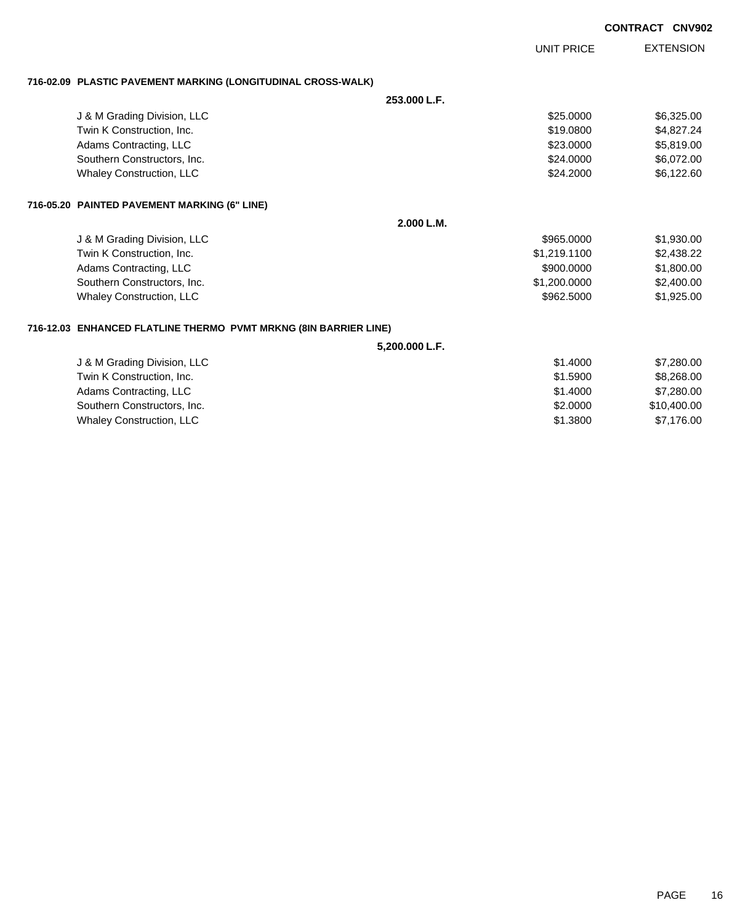UNIT PRICE

EXTENSION

**716-02.09 PLASTIC PAVEMENT MARKING (LONGITUDINAL CROSS-WALK)**

**253.000 L.F.**

|                                 | ZJJ.UUU L.F. |            |
|---------------------------------|--------------|------------|
| J & M Grading Division, LLC     | \$25,0000    | \$6.325.00 |
| Twin K Construction, Inc.       | \$19,0800    | \$4,827,24 |
| Adams Contracting, LLC          | \$23,0000    | \$5.819.00 |
| Southern Constructors, Inc.     | \$24,0000    | \$6,072,00 |
| <b>Whaley Construction, LLC</b> | \$24,2000    | \$6,122.60 |
|                                 |              |            |

#### **716-05.20 PAINTED PAVEMENT MARKING (6" LINE)**

**2.000 L.M.**

| J & M Grading Division, LLC     | \$965,0000   | \$1,930.00 |
|---------------------------------|--------------|------------|
| Twin K Construction, Inc.       | \$1,219,1100 | \$2,438.22 |
| Adams Contracting, LLC          | \$900,0000   | \$1,800,00 |
| Southern Constructors, Inc.     | \$1,200,0000 | \$2,400.00 |
| <b>Whaley Construction, LLC</b> | \$962,5000   | \$1,925,00 |

#### **716-12.03 ENHANCED FLATLINE THERMO PVMT MRKNG (8IN BARRIER LINE)**

**5,200.000 L.F.**

| J & M Grading Division, LLC     | \$1,4000 | \$7.280.00  |
|---------------------------------|----------|-------------|
| Twin K Construction, Inc.       | \$1,5900 | \$8,268,00  |
| Adams Contracting, LLC          | \$1,4000 | \$7,280,00  |
| Southern Constructors, Inc.     | \$2,0000 | \$10,400,00 |
| <b>Whaley Construction, LLC</b> | \$1,3800 | \$7.176.00  |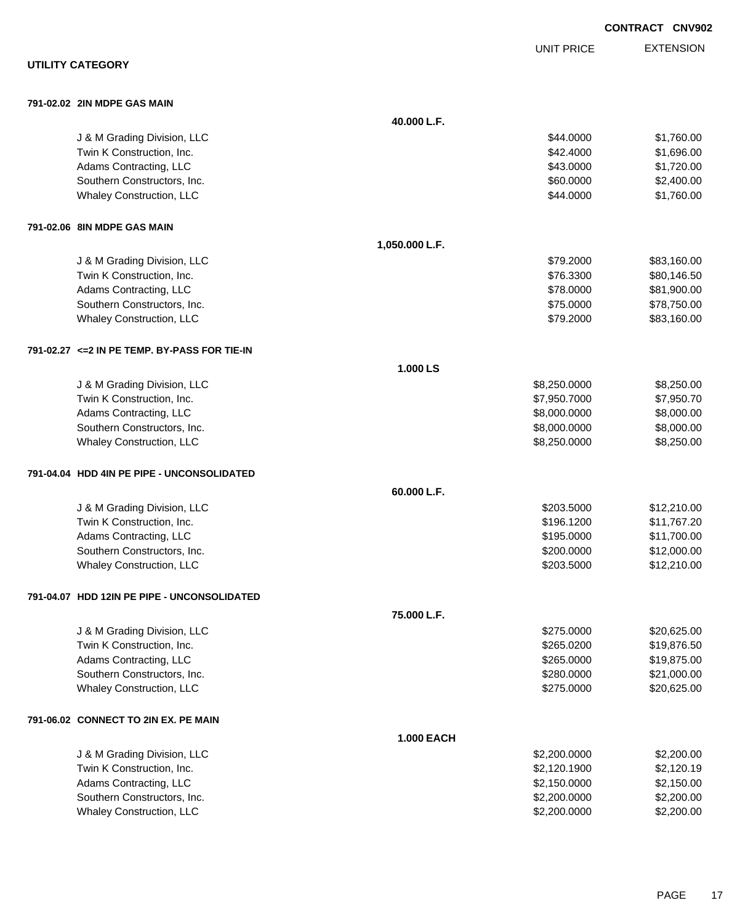|                                               |                   |                   | <b>CONTRACT CNV902</b> |
|-----------------------------------------------|-------------------|-------------------|------------------------|
|                                               |                   | <b>UNIT PRICE</b> | <b>EXTENSION</b>       |
| <b>UTILITY CATEGORY</b>                       |                   |                   |                        |
| 791-02.02 2IN MDPE GAS MAIN                   |                   |                   |                        |
|                                               | 40.000 L.F.       |                   |                        |
| J & M Grading Division, LLC                   |                   | \$44.0000         | \$1,760.00             |
| Twin K Construction, Inc.                     |                   | \$42.4000         | \$1,696.00             |
| Adams Contracting, LLC                        |                   | \$43.0000         | \$1,720.00             |
| Southern Constructors, Inc.                   |                   | \$60.0000         | \$2,400.00             |
| Whaley Construction, LLC                      |                   | \$44.0000         | \$1,760.00             |
| 791-02.06 8IN MDPE GAS MAIN                   |                   |                   |                        |
|                                               | 1,050.000 L.F.    |                   |                        |
| J & M Grading Division, LLC                   |                   | \$79,2000         | \$83,160.00            |
| Twin K Construction, Inc.                     |                   | \$76.3300         | \$80,146.50            |
| Adams Contracting, LLC                        |                   | \$78.0000         | \$81,900.00            |
| Southern Constructors, Inc.                   |                   | \$75.0000         | \$78,750.00            |
| <b>Whaley Construction, LLC</b>               |                   | \$79.2000         | \$83,160.00            |
| 791-02.27 <= 2 IN PE TEMP. BY-PASS FOR TIE-IN |                   |                   |                        |
|                                               | 1.000 LS          |                   |                        |
| J & M Grading Division, LLC                   |                   | \$8,250.0000      | \$8,250.00             |
| Twin K Construction, Inc.                     |                   | \$7,950.7000      | \$7,950.70             |
| Adams Contracting, LLC                        |                   | \$8,000.0000      | \$8,000.00             |
| Southern Constructors, Inc.                   |                   | \$8,000.0000      | \$8,000.00             |
| Whaley Construction, LLC                      |                   | \$8,250.0000      | \$8,250.00             |
| 791-04.04 HDD 4IN PE PIPE - UNCONSOLIDATED    |                   |                   |                        |
|                                               | 60.000 L.F.       |                   |                        |
| J & M Grading Division, LLC                   |                   | \$203.5000        | \$12,210.00            |
| Twin K Construction, Inc.                     |                   | \$196.1200        | \$11,767.20            |
| Adams Contracting, LLC                        |                   | \$195,0000        | \$11,700.00            |
| Southern Constructors, Inc.                   |                   | \$200.0000        | \$12,000.00            |
| Whaley Construction, LLC                      |                   | \$203.5000        | \$12,210.00            |
| 791-04.07 HDD 12IN PE PIPE - UNCONSOLIDATED   |                   |                   |                        |
|                                               | 75.000 L.F.       |                   |                        |
| J & M Grading Division, LLC                   |                   | \$275.0000        | \$20,625.00            |
| Twin K Construction, Inc.                     |                   | \$265.0200        | \$19,876.50            |
| Adams Contracting, LLC                        |                   | \$265.0000        | \$19,875.00            |
| Southern Constructors, Inc.                   |                   | \$280.0000        | \$21,000.00            |
| Whaley Construction, LLC                      |                   | \$275.0000        | \$20,625.00            |
| 791-06.02 CONNECT TO 2IN EX. PE MAIN          |                   |                   |                        |
|                                               | <b>1.000 EACH</b> |                   |                        |
| J & M Grading Division, LLC                   |                   | \$2,200.0000      | \$2,200.00             |
| Twin K Construction, Inc.                     |                   | \$2,120.1900      | \$2,120.19             |
| Adams Contracting, LLC                        |                   | \$2,150.0000      | \$2,150.00             |
| Southern Constructors, Inc.                   |                   | \$2,200.0000      | \$2,200.00             |
| Whaley Construction, LLC                      |                   | \$2,200.0000      | \$2,200.00             |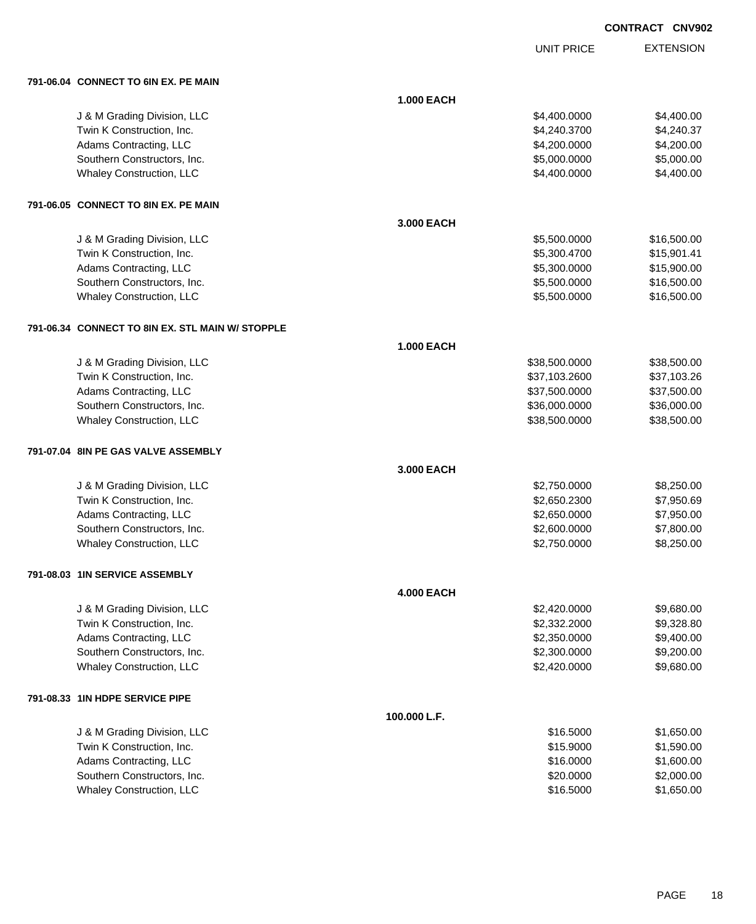|  |  | <b>CONTRACT</b> | <b>CNV902</b> |
|--|--|-----------------|---------------|
|--|--|-----------------|---------------|

|                                                       |                   | <b>UNIT PRICE</b>            | <b>EXTENSION</b>         |
|-------------------------------------------------------|-------------------|------------------------------|--------------------------|
| 791-06.04 CONNECT TO 6IN EX. PE MAIN                  |                   |                              |                          |
|                                                       | <b>1.000 EACH</b> |                              |                          |
|                                                       |                   |                              |                          |
| J & M Grading Division, LLC                           |                   | \$4,400.0000                 | \$4,400.00               |
| Twin K Construction, Inc.                             |                   | \$4,240.3700<br>\$4,200.0000 | \$4,240.37<br>\$4,200.00 |
| Adams Contracting, LLC<br>Southern Constructors, Inc. |                   | \$5,000.0000                 | \$5,000.00               |
| Whaley Construction, LLC                              |                   | \$4,400.0000                 | \$4,400.00               |
|                                                       |                   |                              |                          |
| 791-06.05 CONNECT TO 8IN EX. PE MAIN                  |                   |                              |                          |
|                                                       | 3.000 EACH        |                              |                          |
| J & M Grading Division, LLC                           |                   | \$5,500.0000                 | \$16,500.00              |
| Twin K Construction, Inc.                             |                   | \$5,300.4700                 | \$15,901.41              |
| Adams Contracting, LLC                                |                   | \$5,300.0000                 | \$15,900.00              |
| Southern Constructors, Inc.                           |                   | \$5,500.0000                 | \$16,500.00              |
| Whaley Construction, LLC                              |                   | \$5,500.0000                 | \$16,500.00              |
| 791-06.34 CONNECT TO 8IN EX. STL MAIN W/ STOPPLE      |                   |                              |                          |
|                                                       | <b>1.000 EACH</b> |                              |                          |
| J & M Grading Division, LLC                           |                   | \$38,500.0000                | \$38,500.00              |
| Twin K Construction, Inc.                             |                   | \$37,103.2600                | \$37,103.26              |
| Adams Contracting, LLC                                |                   | \$37,500.0000                | \$37,500.00              |
| Southern Constructors, Inc.                           |                   | \$36,000.0000                | \$36,000.00              |
| Whaley Construction, LLC                              |                   | \$38,500.0000                | \$38,500.00              |
| 791-07.04 8IN PE GAS VALVE ASSEMBLY                   |                   |                              |                          |
|                                                       | 3.000 EACH        |                              |                          |
| J & M Grading Division, LLC                           |                   | \$2,750.0000                 | \$8,250.00               |
| Twin K Construction, Inc.                             |                   | \$2,650.2300                 | \$7,950.69               |
| Adams Contracting, LLC                                |                   | \$2,650.0000                 | \$7,950.00               |
| Southern Constructors, Inc.                           |                   | \$2,600.0000                 | \$7,800.00               |
| Whaley Construction, LLC                              |                   | \$2,750.0000                 | \$8,250.00               |
| 791-08.03 1IN SERVICE ASSEMBLY                        |                   |                              |                          |
|                                                       | <b>4.000 EACH</b> |                              |                          |
| J & M Grading Division, LLC                           |                   | \$2,420.0000                 | \$9,680.00               |
| Twin K Construction, Inc.                             |                   | \$2,332.2000                 | \$9,328.80               |
| Adams Contracting, LLC                                |                   | \$2,350.0000                 | \$9,400.00               |
| Southern Constructors, Inc.                           |                   | \$2,300.0000                 | \$9,200.00               |
| Whaley Construction, LLC                              |                   | \$2,420.0000                 | \$9,680.00               |
| 791-08.33 1IN HDPE SERVICE PIPE                       |                   |                              |                          |
|                                                       | 100.000 L.F.      |                              |                          |
| J & M Grading Division, LLC                           |                   | \$16.5000                    | \$1,650.00               |
| Twin K Construction, Inc.                             |                   | \$15.9000                    | \$1,590.00               |
| Adams Contracting, LLC                                |                   | \$16.0000                    | \$1,600.00               |
| Southern Constructors, Inc.                           |                   | \$20.0000                    | \$2,000.00               |
| Whaley Construction, LLC                              |                   | \$16.5000                    | \$1,650.00               |
|                                                       |                   |                              |                          |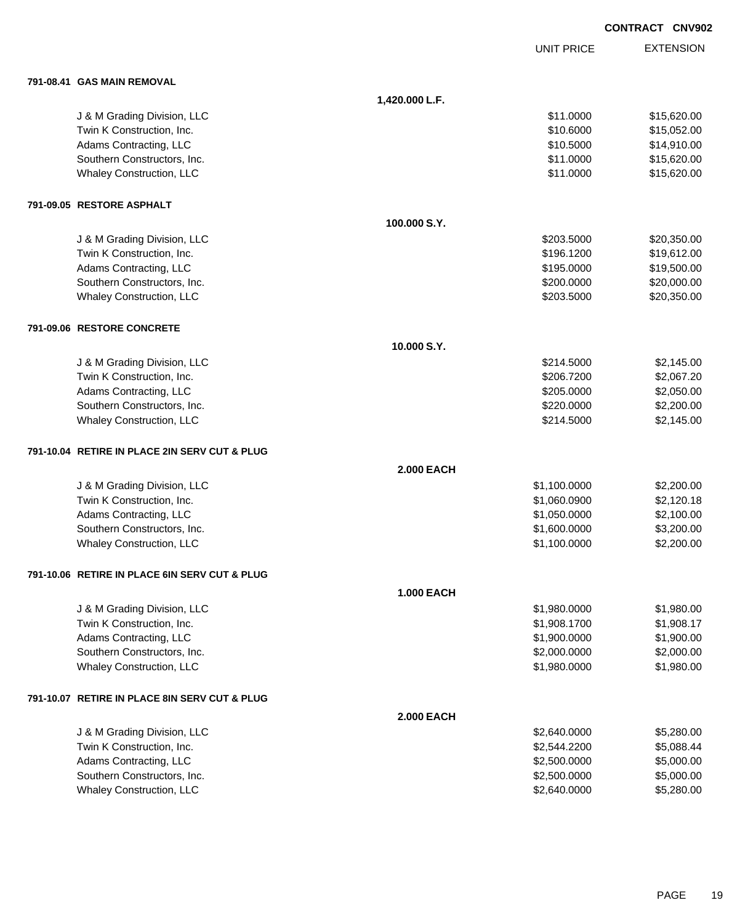|                                               |                   |                   | <b>CONTRACT CNV902</b> |
|-----------------------------------------------|-------------------|-------------------|------------------------|
|                                               |                   | <b>UNIT PRICE</b> | <b>EXTENSION</b>       |
| 791-08.41 GAS MAIN REMOVAL                    |                   |                   |                        |
|                                               | 1,420.000 L.F.    |                   |                        |
| J & M Grading Division, LLC                   |                   | \$11.0000         | \$15,620.00            |
| Twin K Construction, Inc.                     |                   | \$10.6000         | \$15,052.00            |
| Adams Contracting, LLC                        |                   | \$10.5000         | \$14,910.00            |
| Southern Constructors, Inc.                   |                   | \$11.0000         | \$15,620.00            |
| Whaley Construction, LLC                      |                   | \$11.0000         | \$15,620.00            |
| 791-09.05 RESTORE ASPHALT                     |                   |                   |                        |
|                                               | 100.000 S.Y.      |                   |                        |
| J & M Grading Division, LLC                   |                   | \$203.5000        | \$20,350.00            |
| Twin K Construction, Inc.                     |                   | \$196.1200        | \$19,612.00            |
| Adams Contracting, LLC                        |                   | \$195.0000        | \$19,500.00            |
| Southern Constructors, Inc.                   |                   | \$200.0000        | \$20,000.00            |
| Whaley Construction, LLC                      |                   | \$203.5000        | \$20,350.00            |
| 791-09.06 RESTORE CONCRETE                    |                   |                   |                        |
|                                               | 10.000 S.Y.       |                   |                        |
| J & M Grading Division, LLC                   |                   | \$214.5000        | \$2,145.00             |
| Twin K Construction, Inc.                     |                   | \$206.7200        | \$2,067.20             |
| Adams Contracting, LLC                        |                   | \$205.0000        | \$2,050.00             |
| Southern Constructors, Inc.                   |                   | \$220.0000        | \$2,200.00             |
| Whaley Construction, LLC                      |                   | \$214.5000        | \$2,145.00             |
| 791-10.04 RETIRE IN PLACE 2IN SERV CUT & PLUG |                   |                   |                        |
|                                               | <b>2.000 EACH</b> |                   |                        |
| J & M Grading Division, LLC                   |                   | \$1,100.0000      | \$2,200.00             |
| Twin K Construction, Inc.                     |                   | \$1,060.0900      | \$2,120.18             |
| Adams Contracting, LLC                        |                   | \$1,050.0000      | \$2,100.00             |
| Southern Constructors, Inc.                   |                   | \$1,600.0000      | \$3,200.00             |
| <b>Whaley Construction, LLC</b>               |                   | \$1,100.0000      | \$2,200.00             |
| 791-10.06 RETIRE IN PLACE 6IN SERV CUT & PLUG |                   |                   |                        |
|                                               | <b>1.000 EACH</b> |                   |                        |
| J & M Grading Division, LLC                   |                   | \$1,980.0000      | \$1,980.00             |
| Twin K Construction, Inc.                     |                   | \$1,908.1700      | \$1,908.17             |
| Adams Contracting, LLC                        |                   | \$1,900.0000      | \$1,900.00             |
| Southern Constructors, Inc.                   |                   | \$2,000.0000      | \$2,000.00             |
| Whaley Construction, LLC                      |                   | \$1,980.0000      | \$1,980.00             |
| 791-10.07 RETIRE IN PLACE 8IN SERV CUT & PLUG |                   |                   |                        |
|                                               | <b>2.000 EACH</b> |                   |                        |
| J & M Grading Division, LLC                   |                   | \$2,640.0000      | \$5,280.00             |
| Twin K Construction, Inc.                     |                   | \$2,544.2200      | \$5,088.44             |
| Adams Contracting, LLC                        |                   | \$2,500.0000      | \$5,000.00             |
| Southern Constructors, Inc.                   |                   | \$2,500.0000      | \$5,000.00             |

Whaley Construction, LLC 65,280.00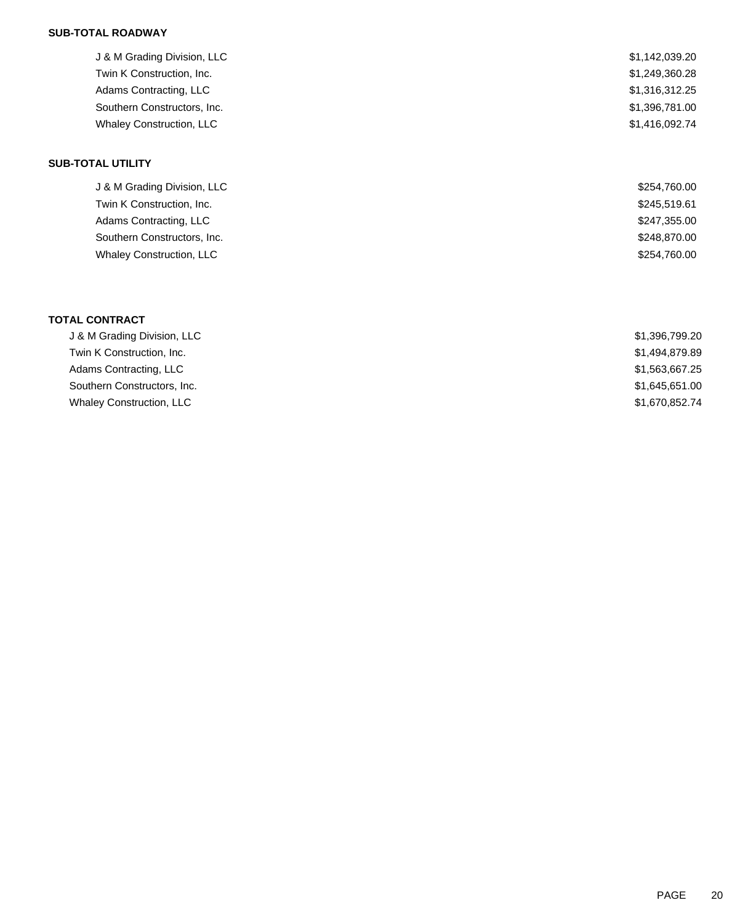### **SUB-TOTAL ROADWAY**

| J & M Grading Division, LLC | \$1,142,039.20 |
|-----------------------------|----------------|
| Twin K Construction, Inc.   | \$1,249,360.28 |
| Adams Contracting, LLC      | \$1,316,312.25 |
| Southern Constructors, Inc. | \$1,396,781.00 |
| Whaley Construction, LLC    | \$1,416,092.74 |
| <b>SUB-TOTAL UTILITY</b>    |                |
| J & M Grading Division, LLC | \$254,760.00   |
| Twin K Construction, Inc.   | \$245,519.61   |

| Adams Contracting, LLC          | \$247,355.00 |
|---------------------------------|--------------|
| Southern Constructors, Inc.     | \$248,870.00 |
| <b>Whaley Construction, LLC</b> | \$254,760.00 |

### **TOTAL CONTRACT**

| J & M Grading Division, LLC     | \$1,396,799.20 |
|---------------------------------|----------------|
| Twin K Construction, Inc.       | \$1,494,879.89 |
| Adams Contracting, LLC          | \$1,563,667.25 |
| Southern Constructors, Inc.     | \$1,645,651.00 |
| <b>Whaley Construction, LLC</b> | \$1,670,852.74 |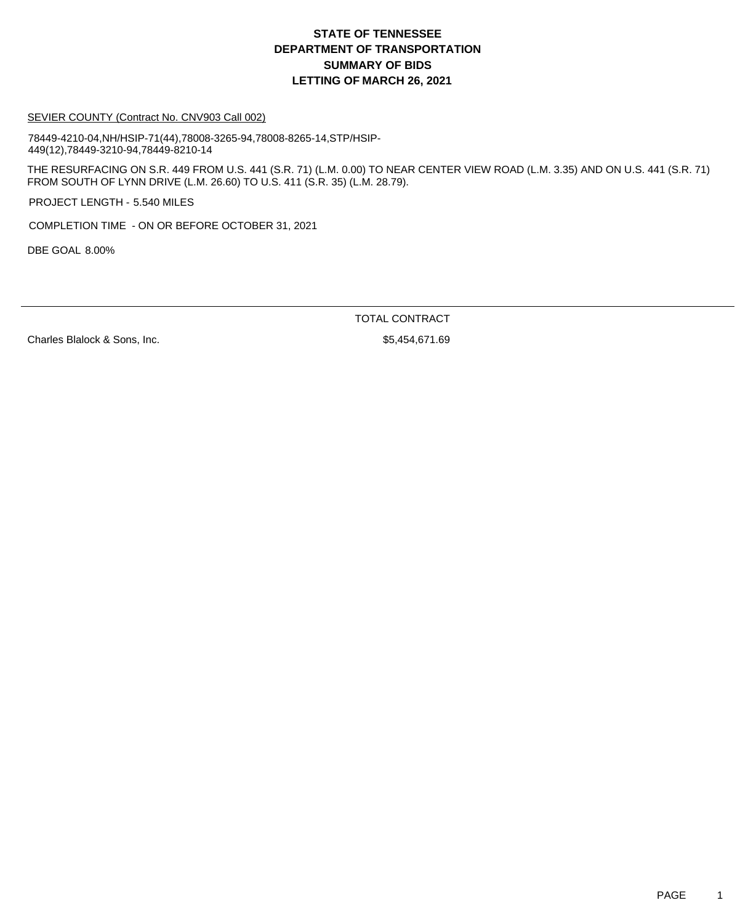# **DEPARTMENT OF TRANSPORTATION SUMMARY OF BIDS LETTING OF MARCH 26, 2021 STATE OF TENNESSEE**

#### SEVIER COUNTY (Contract No. CNV903 Call 002)

78449-4210-04,NH/HSIP-71(44),78008-3265-94,78008-8265-14,STP/HSIP-449(12),78449-3210-94,78449-8210-14

THE RESURFACING ON S.R. 449 FROM U.S. 441 (S.R. 71) (L.M. 0.00) TO NEAR CENTER VIEW ROAD (L.M. 3.35) AND ON U.S. 441 (S.R. 71) FROM SOUTH OF LYNN DRIVE (L.M. 26.60) TO U.S. 411 (S.R. 35) (L.M. 28.79).

PROJECT LENGTH - 5.540 MILES

COMPLETION TIME - ON OR BEFORE OCTOBER 31, 2021

DBE GOAL 8.00%

TOTAL CONTRACT

Charles Blalock & Sons, Inc.  $$5,454,671.69$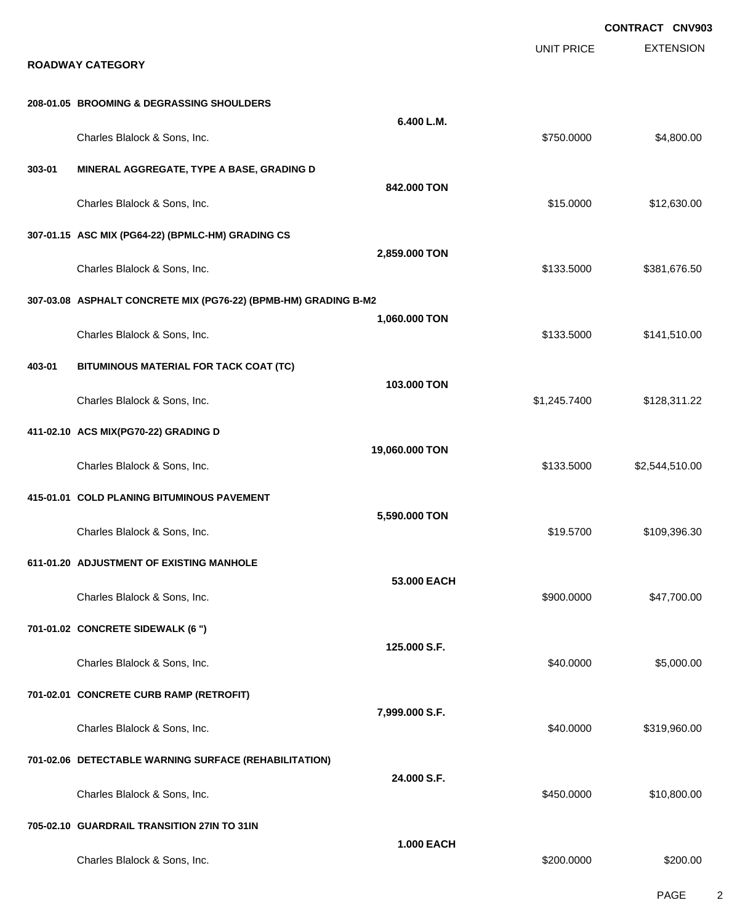|        |                                                                 |                   |                   | <b>CONTRACT CNV903</b> |
|--------|-----------------------------------------------------------------|-------------------|-------------------|------------------------|
|        | <b>ROADWAY CATEGORY</b>                                         |                   | <b>UNIT PRICE</b> | <b>EXTENSION</b>       |
|        | 208-01.05 BROOMING & DEGRASSING SHOULDERS                       |                   |                   |                        |
|        | Charles Blalock & Sons, Inc.                                    | 6.400 L.M.        | \$750.0000        | \$4,800.00             |
| 303-01 | MINERAL AGGREGATE, TYPE A BASE, GRADING D                       |                   |                   |                        |
|        | Charles Blalock & Sons, Inc.                                    | 842.000 TON       | \$15.0000         | \$12,630.00            |
|        | 307-01.15 ASC MIX (PG64-22) (BPMLC-HM) GRADING CS               |                   |                   |                        |
|        | Charles Blalock & Sons, Inc.                                    | 2,859.000 TON     | \$133.5000        | \$381,676.50           |
|        | 307-03.08 ASPHALT CONCRETE MIX (PG76-22) (BPMB-HM) GRADING B-M2 |                   |                   |                        |
|        | Charles Blalock & Sons, Inc.                                    | 1,060.000 TON     | \$133.5000        | \$141,510.00           |
| 403-01 | BITUMINOUS MATERIAL FOR TACK COAT (TC)                          |                   |                   |                        |
|        | Charles Blalock & Sons, Inc.                                    | 103.000 TON       | \$1,245.7400      | \$128,311.22           |
|        | 411-02.10 ACS MIX(PG70-22) GRADING D                            |                   |                   |                        |
|        | Charles Blalock & Sons, Inc.                                    | 19,060.000 TON    | \$133.5000        | \$2,544,510.00         |
|        | 415-01.01 COLD PLANING BITUMINOUS PAVEMENT                      |                   |                   |                        |
|        | Charles Blalock & Sons, Inc.                                    | 5,590.000 TON     | \$19.5700         | \$109,396.30           |
|        | 611-01.20 ADJUSTMENT OF EXISTING MANHOLE                        |                   |                   |                        |
|        | Charles Blalock & Sons, Inc.                                    | 53.000 EACH       | \$900.0000        | \$47,700.00            |
|        | 701-01.02 CONCRETE SIDEWALK (6 ")                               |                   |                   |                        |
|        | Charles Blalock & Sons, Inc.                                    | 125.000 S.F.      | \$40.0000         | \$5,000.00             |
|        | 701-02.01 CONCRETE CURB RAMP (RETROFIT)                         |                   |                   |                        |
|        | Charles Blalock & Sons, Inc.                                    | 7,999.000 S.F.    | \$40.0000         | \$319,960.00           |
|        | 701-02.06 DETECTABLE WARNING SURFACE (REHABILITATION)           |                   |                   |                        |
|        | Charles Blalock & Sons, Inc.                                    | 24.000 S.F.       | \$450.0000        | \$10,800.00            |
|        | 705-02.10 GUARDRAIL TRANSITION 27IN TO 31IN                     |                   |                   |                        |
|        | Charles Blalock & Sons, Inc.                                    | <b>1.000 EACH</b> | \$200.0000        | \$200.00               |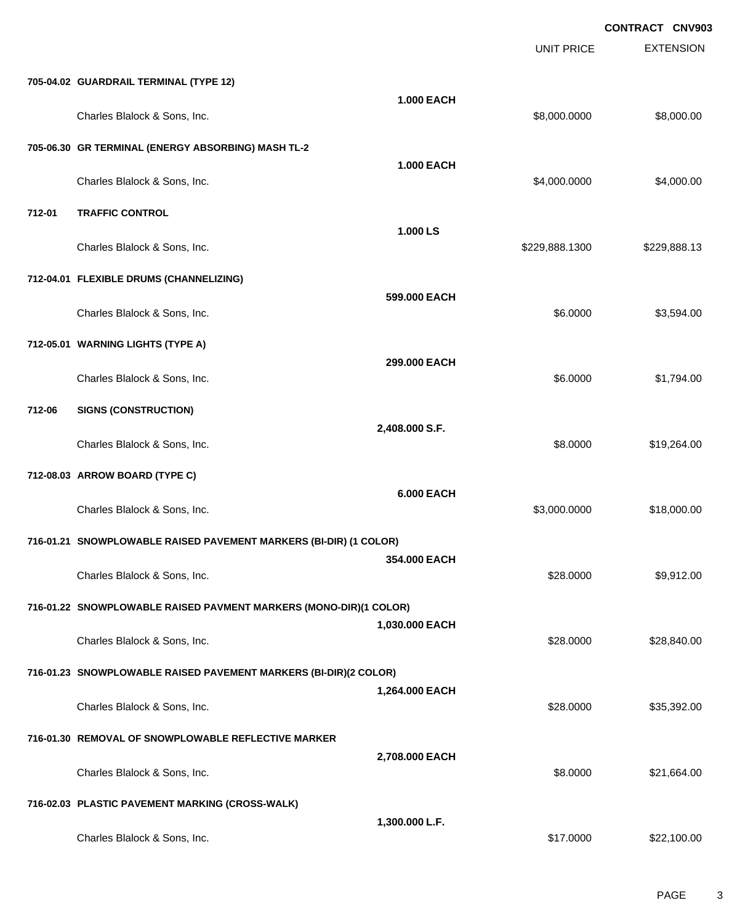EXTENSION **CONTRACT CNV903** UNIT PRICE **705-04.02 GUARDRAIL TERMINAL (TYPE 12) 1.000 EACH** Charles Blalock & Sons, Inc. 6. 2010 12:00:000 \$8,000.000 \$8,000.000 \$8,000.000 \$8,000.000 \$8,000.00 **705-06.30 GR TERMINAL (ENERGY ABSORBING) MASH TL-2 1.000 EACH** Charles Blalock & Sons, Inc. \$4,000.000 \$4,000.000 \$4,000.000 \$4,000.000 **712-01 TRAFFIC CONTROL 1.000 LS** Charles Blalock & Sons, Inc. \$229,888.1300 \$229,888.1300 \$229,888.1300 **712-04.01 FLEXIBLE DRUMS (CHANNELIZING) 599.000 EACH** Charles Blalock & Sons, Inc. 6. 2010 1. 2010 1. 2010 1. 2010 1. 2010 1. 2010 1. 35,594.000 \$3,594.00 **712-05.01 WARNING LIGHTS (TYPE A) 299.000 EACH** Charles Blalock & Sons, Inc. 6.0000 \$1,794.00 **712-06 SIGNS (CONSTRUCTION) 2,408.000 S.F.** Charles Blalock & Sons, Inc. 6. 2010 12:30 12:30 12:30 12:30 12:30 12:30 12:30 12:30 12:30 12:30 12:30 12:30 1 **712-08.03 ARROW BOARD (TYPE C) 6.000 EACH** Charles Blalock & Sons, Inc. 6. 2010 12:00:000 \$18,000.000 \$18,000.000 \$18,000.00 **716-01.21 SNOWPLOWABLE RAISED PAVEMENT MARKERS (BI-DIR) (1 COLOR) 354.000 EACH** Charles Blalock & Sons, Inc. \$28.0000 \$9,912.00 **716-01.22 SNOWPLOWABLE RAISED PAVMENT MARKERS (MONO-DIR)(1 COLOR) 1,030.000 EACH** Charles Blalock & Sons, Inc. 6. 28.0000 \$28,840.00 **716-01.23 SNOWPLOWABLE RAISED PAVEMENT MARKERS (BI-DIR)(2 COLOR) 1,264.000 EACH** Charles Blalock & Sons, Inc. 6. 2012. The State of the State of the State of the State of the State of the State of State of the State of State of State of State of State of State of State of State of State of State of Sta **716-01.30 REMOVAL OF SNOWPLOWABLE REFLECTIVE MARKER 2,708.000 EACH** Charles Blalock & Sons, Inc. 64.000 \$21,664.00 **716-02.03 PLASTIC PAVEMENT MARKING (CROSS-WALK) 1,300.000 L.F.** Charles Blalock & Sons, Inc. 6. 2012. The State of the State of the State of the State of State of State of State of State of State of State of State of State of State of State of State of State of State of State of State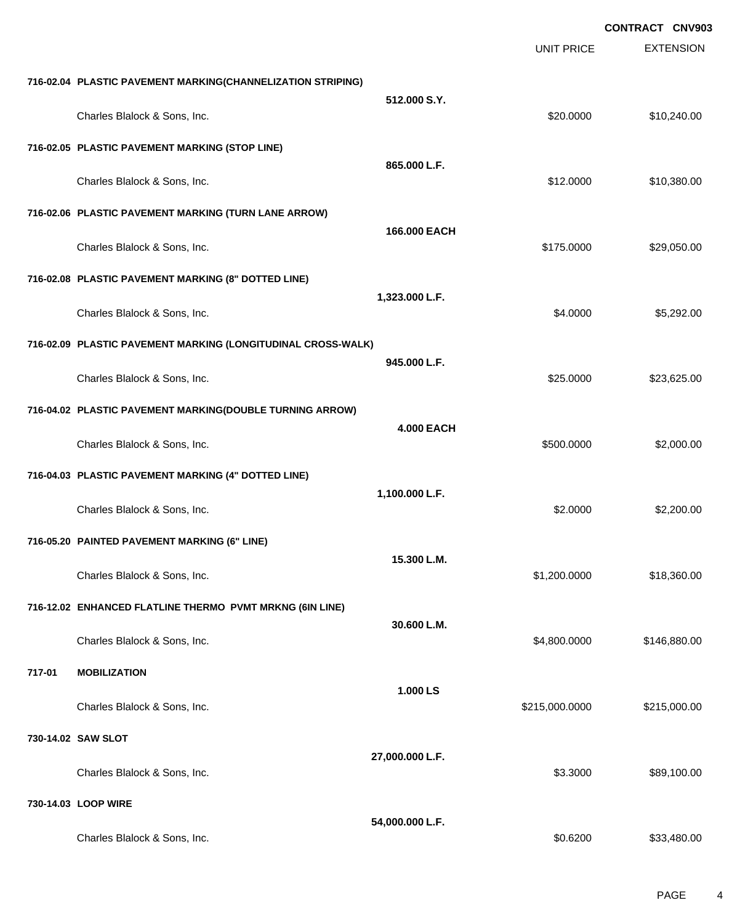|        |                                                              |                   |                   | <b>CONTRACT CNV903</b> |
|--------|--------------------------------------------------------------|-------------------|-------------------|------------------------|
|        |                                                              |                   | <b>UNIT PRICE</b> | <b>EXTENSION</b>       |
|        | 716-02.04 PLASTIC PAVEMENT MARKING(CHANNELIZATION STRIPING)  |                   |                   |                        |
|        | Charles Blalock & Sons, Inc.                                 | 512.000 S.Y.      | \$20.0000         | \$10,240.00            |
|        | 716-02.05 PLASTIC PAVEMENT MARKING (STOP LINE)               |                   |                   |                        |
|        | Charles Blalock & Sons, Inc.                                 | 865.000 L.F.      | \$12.0000         | \$10,380.00            |
|        | 716-02.06 PLASTIC PAVEMENT MARKING (TURN LANE ARROW)         |                   |                   |                        |
|        | Charles Blalock & Sons, Inc.                                 | 166,000 EACH      | \$175.0000        | \$29,050.00            |
|        | 716-02.08 PLASTIC PAVEMENT MARKING (8" DOTTED LINE)          |                   |                   |                        |
|        | Charles Blalock & Sons, Inc.                                 | 1,323.000 L.F.    | \$4.0000          | \$5,292.00             |
|        | 716-02.09 PLASTIC PAVEMENT MARKING (LONGITUDINAL CROSS-WALK) |                   |                   |                        |
|        | Charles Blalock & Sons, Inc.                                 | 945.000 L.F.      | \$25.0000         | \$23,625.00            |
|        | 716-04.02 PLASTIC PAVEMENT MARKING(DOUBLE TURNING ARROW)     |                   |                   |                        |
|        | Charles Blalock & Sons, Inc.                                 | <b>4.000 EACH</b> | \$500.0000        | \$2,000.00             |
|        | 716-04.03 PLASTIC PAVEMENT MARKING (4" DOTTED LINE)          |                   |                   |                        |
|        | Charles Blalock & Sons, Inc.                                 | 1,100.000 L.F.    | \$2.0000          | \$2,200.00             |
|        | 716-05.20 PAINTED PAVEMENT MARKING (6" LINE)                 |                   |                   |                        |
|        | Charles Blalock & Sons, Inc.                                 | 15.300 L.M.       | \$1,200.0000      | \$18,360.00            |
|        | 716-12.02 ENHANCED FLATLINE THERMO PVMT MRKNG (6IN LINE)     |                   |                   |                        |
|        | Charles Blalock & Sons, Inc.                                 | 30.600 L.M.       | \$4,800.0000      | \$146,880.00           |
| 717-01 | <b>MOBILIZATION</b>                                          |                   |                   |                        |
|        | Charles Blalock & Sons, Inc.                                 | 1.000 LS          | \$215,000.0000    | \$215,000.00           |
|        | 730-14.02 SAW SLOT                                           |                   |                   |                        |
|        | Charles Blalock & Sons, Inc.                                 | 27,000.000 L.F.   | \$3.3000          | \$89,100.00            |
|        | 730-14.03 LOOP WIRE                                          |                   |                   |                        |
|        | Charles Blalock & Sons, Inc.                                 | 54,000.000 L.F.   | \$0.6200          | \$33,480.00            |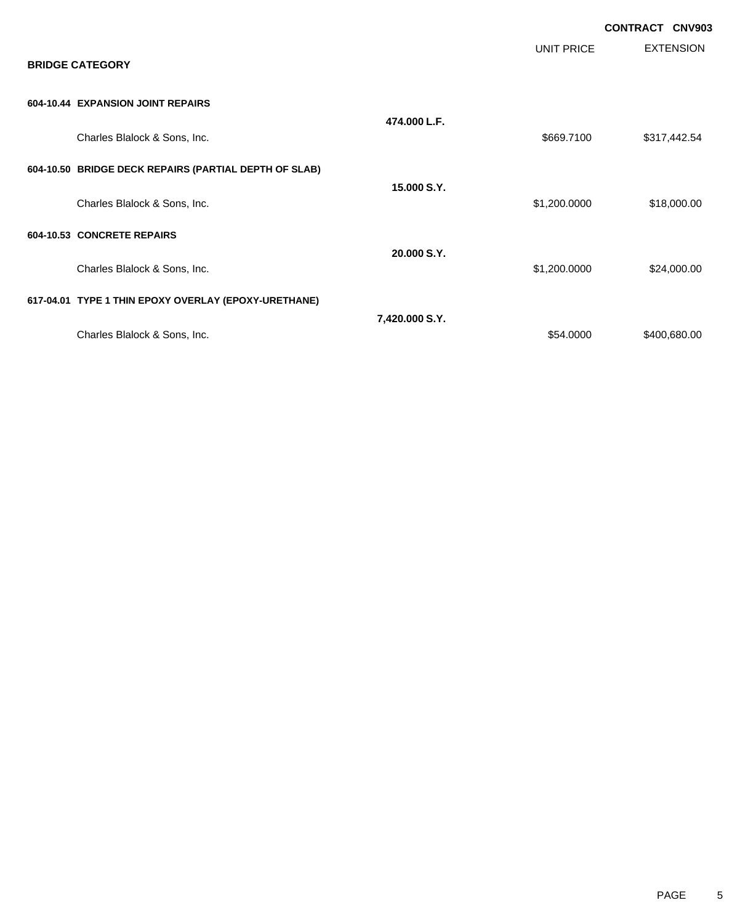|                                                       |                |              | <b>CONTRACT CNV903</b> |
|-------------------------------------------------------|----------------|--------------|------------------------|
| <b>BRIDGE CATEGORY</b>                                |                | UNIT PRICE   | <b>EXTENSION</b>       |
| 604-10.44 EXPANSION JOINT REPAIRS                     |                |              |                        |
| Charles Blalock & Sons, Inc.                          | 474.000 L.F.   | \$669.7100   | \$317,442.54           |
| 604-10.50 BRIDGE DECK REPAIRS (PARTIAL DEPTH OF SLAB) |                |              |                        |
| Charles Blalock & Sons, Inc.                          | 15,000 S.Y.    | \$1,200.0000 | \$18,000.00            |
| 604-10.53 CONCRETE REPAIRS                            |                |              |                        |
| Charles Blalock & Sons, Inc.                          | 20.000 S.Y.    | \$1,200.0000 | \$24,000.00            |
| 617-04.01 TYPE 1 THIN EPOXY OVERLAY (EPOXY-URETHANE)  |                |              |                        |
| Charles Blalock & Sons, Inc.                          | 7,420.000 S.Y. | \$54.0000    | \$400,680.00           |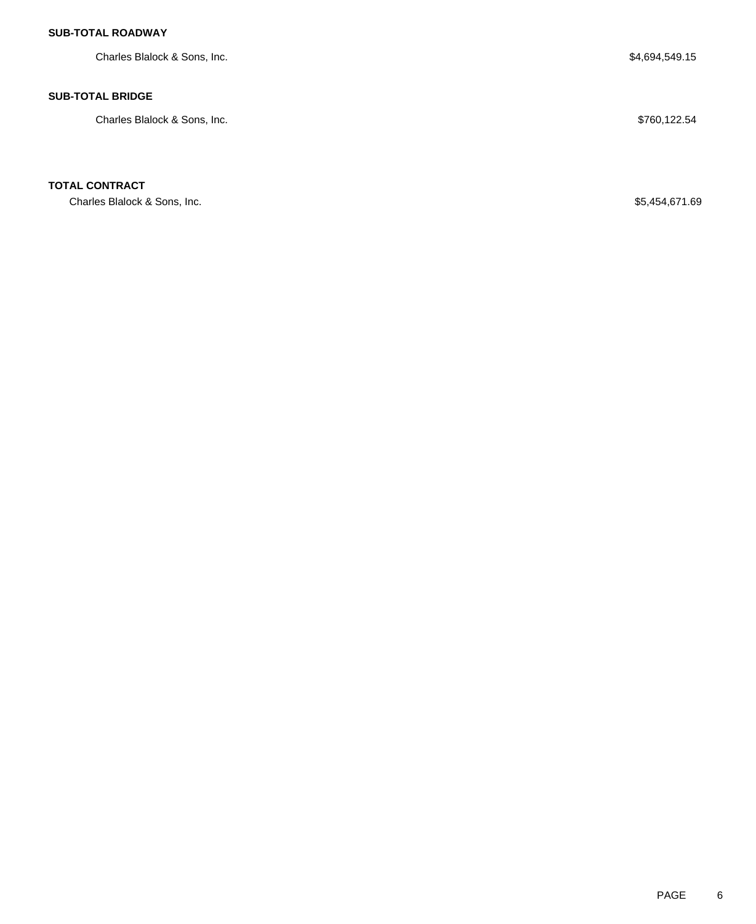### **SUB-TOTAL ROADWAY**

Charles Blalock & Sons, Inc. 6. The South of the State of the State of the State of State of State of State of State of State of State of State of State of State of State of State of State of State of State of State of Sta

### **SUB-TOTAL BRIDGE**

Charles Blalock & Sons, Inc.  $$760,122.54$ 

### **TOTAL CONTRACT**

Charles Blalock & Sons, Inc. 69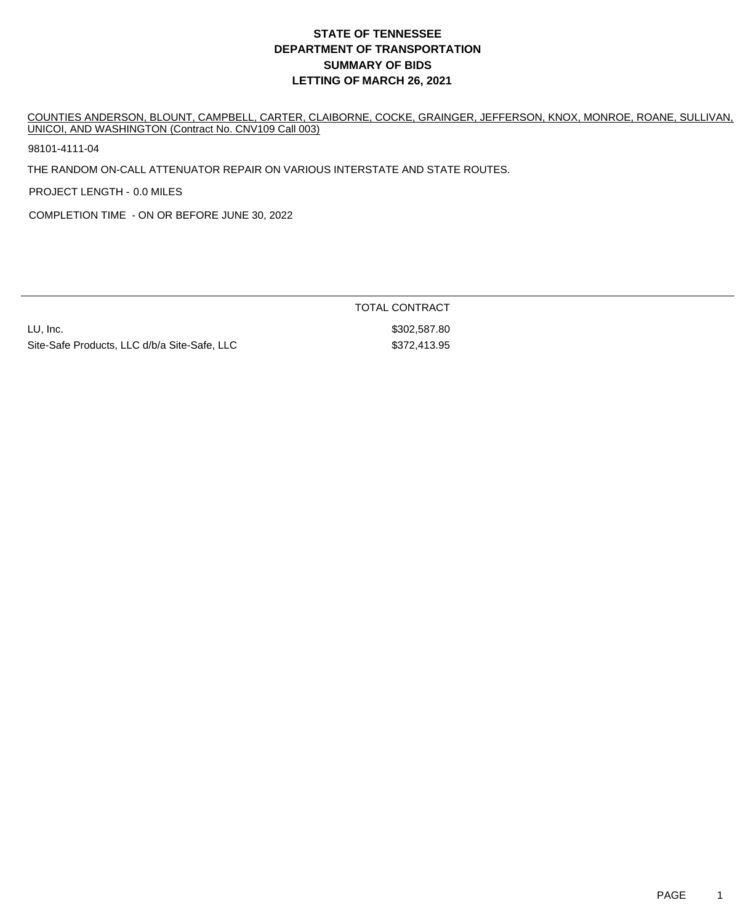# **DEPARTMENT OF TRANSPORTATION SUMMARY OF BIDS LETTING OF MARCH 26, 2021 STATE OF TENNESSEE**

COUNTIES ANDERSON, BLOUNT, CAMPBELL, CARTER, CLAIBORNE, COCKE, GRAINGER, JEFFERSON, KNOX, MONROE, ROANE, SULLIVAN, UNICOI, AND WASHINGTON (Contract No. CNV109 Call 003)

98101-4111-04

THE RANDOM ON-CALL ATTENUATOR REPAIR ON VARIOUS INTERSTATE AND STATE ROUTES.

PROJECT LENGTH - 0.0 MILES

COMPLETION TIME - ON OR BEFORE JUNE 30, 2022

LU, Inc. \$302,587.80 Site-Safe Products, LLC d/b/a Site-Safe, LLC  $$372,413.95$ 

TOTAL CONTRACT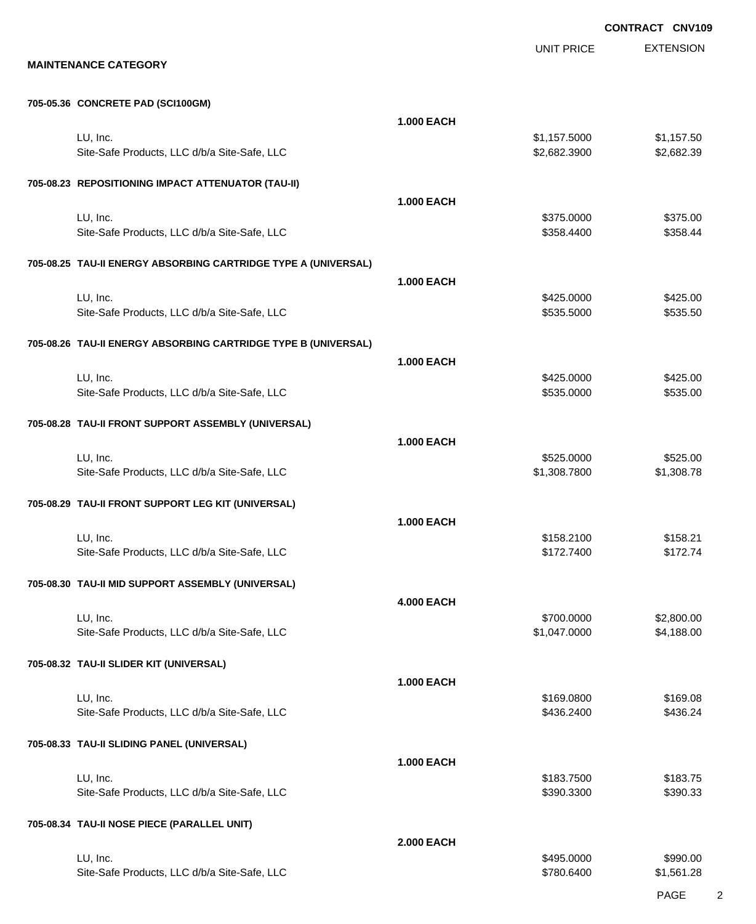UNIT PRICE

EXTENSION

#### **705-05.36 CONCRETE PAD (SCI100GM)**

|                                                                | <b>1.000 EACH</b> |                              |                          |
|----------------------------------------------------------------|-------------------|------------------------------|--------------------------|
| LU, Inc.<br>Site-Safe Products, LLC d/b/a Site-Safe, LLC       |                   | \$1,157.5000<br>\$2,682.3900 | \$1,157.50<br>\$2,682.39 |
| 705-08.23 REPOSITIONING IMPACT ATTENUATOR (TAU-II)             |                   |                              |                          |
|                                                                | <b>1.000 EACH</b> |                              |                          |
| LU, Inc.<br>Site-Safe Products, LLC d/b/a Site-Safe, LLC       |                   | \$375.0000<br>\$358.4400     | \$375.00<br>\$358.44     |
| 705-08.25 TAU-II ENERGY ABSORBING CARTRIDGE TYPE A (UNIVERSAL) |                   |                              |                          |
| LU, Inc.                                                       | <b>1.000 EACH</b> | \$425.0000                   | \$425.00                 |
| Site-Safe Products, LLC d/b/a Site-Safe, LLC                   |                   | \$535.5000                   | \$535.50                 |
| 705-08.26 TAU-II ENERGY ABSORBING CARTRIDGE TYPE B (UNIVERSAL) |                   |                              |                          |
|                                                                | <b>1.000 EACH</b> |                              |                          |
| LU, Inc.<br>Site-Safe Products, LLC d/b/a Site-Safe, LLC       |                   | \$425.0000<br>\$535.0000     | \$425.00<br>\$535.00     |
| 705-08.28 TAU-II FRONT SUPPORT ASSEMBLY (UNIVERSAL)            |                   |                              |                          |
|                                                                | <b>1.000 EACH</b> |                              |                          |
| LU, Inc.<br>Site-Safe Products, LLC d/b/a Site-Safe, LLC       |                   | \$525.0000<br>\$1,308.7800   | \$525.00<br>\$1,308.78   |
| 705-08.29 TAU-II FRONT SUPPORT LEG KIT (UNIVERSAL)             |                   |                              |                          |
|                                                                | <b>1.000 EACH</b> |                              |                          |
| LU, Inc.<br>Site-Safe Products, LLC d/b/a Site-Safe, LLC       |                   | \$158.2100<br>\$172.7400     | \$158.21<br>\$172.74     |
| 705-08.30 TAU-II MID SUPPORT ASSEMBLY (UNIVERSAL)              |                   |                              |                          |
|                                                                | <b>4.000 EACH</b> |                              |                          |
| LU, Inc.<br>Site-Safe Products, LLC d/b/a Site-Safe, LLC       |                   | \$700.0000<br>\$1,047.0000   | \$2,800.00<br>\$4,188.00 |
| 705-08.32 TAU-II SLIDER KIT (UNIVERSAL)                        |                   |                              |                          |
|                                                                | <b>1.000 EACH</b> |                              |                          |
| LU, Inc.<br>Site-Safe Products, LLC d/b/a Site-Safe, LLC       |                   | \$169.0800<br>\$436.2400     | \$169.08<br>\$436.24     |
| 705-08.33 TAU-II SLIDING PANEL (UNIVERSAL)                     |                   |                              |                          |
|                                                                | <b>1.000 EACH</b> |                              |                          |
| LU, Inc.<br>Site-Safe Products, LLC d/b/a Site-Safe, LLC       |                   | \$183.7500<br>\$390.3300     | \$183.75<br>\$390.33     |
| 705-08.34 TAU-II NOSE PIECE (PARALLEL UNIT)                    |                   |                              |                          |
|                                                                | <b>2.000 EACH</b> |                              |                          |
| LU, Inc.<br>Site-Safe Products, LLC d/b/a Site-Safe, LLC       |                   | \$495.0000<br>\$780.6400     | \$990.00<br>\$1,561.28   |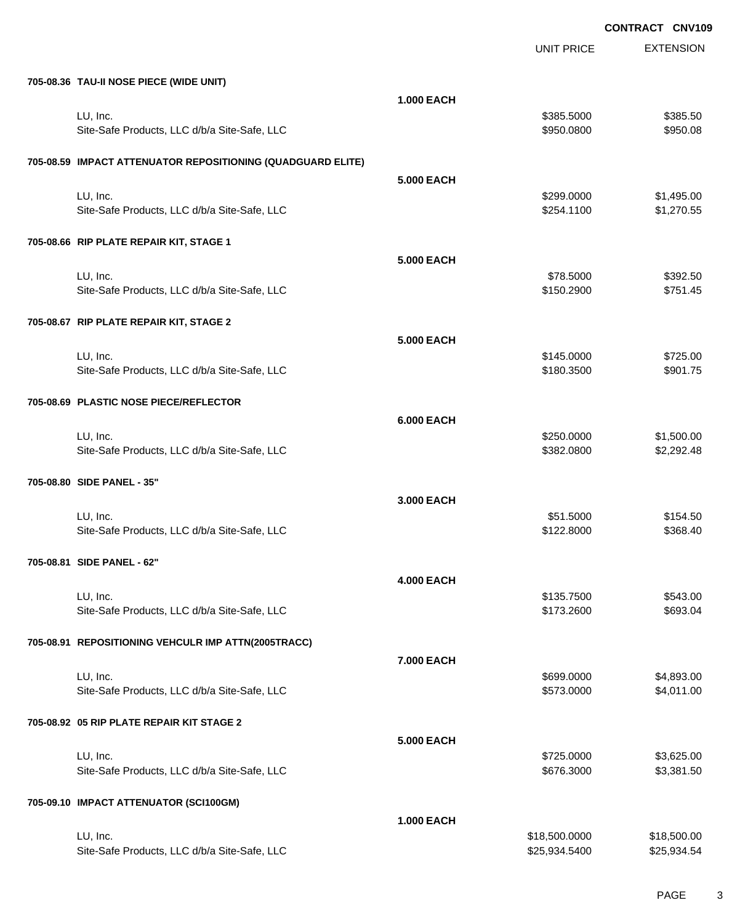UNIT PRICE

EXTENSION

| 705-08.36 TAU-II NOSE PIECE (WIDE UNIT)                     |                   |                          |                          |
|-------------------------------------------------------------|-------------------|--------------------------|--------------------------|
| LU, Inc.<br>Site-Safe Products, LLC d/b/a Site-Safe, LLC    | <b>1.000 EACH</b> | \$385.5000<br>\$950.0800 | \$385.50<br>\$950.08     |
| 705-08.59 IMPACT ATTENUATOR REPOSITIONING (QUADGUARD ELITE) |                   |                          |                          |
| LU, Inc.<br>Site-Safe Products, LLC d/b/a Site-Safe, LLC    | <b>5.000 EACH</b> | \$299.0000<br>\$254.1100 | \$1,495.00<br>\$1,270.55 |
| 705-08.66 RIP PLATE REPAIR KIT, STAGE 1                     |                   |                          |                          |
| LU, Inc.<br>Site-Safe Products, LLC d/b/a Site-Safe, LLC    | <b>5.000 EACH</b> | \$78.5000<br>\$150.2900  | \$392.50<br>\$751.45     |
| 705-08.67 RIP PLATE REPAIR KIT, STAGE 2                     |                   |                          |                          |
| LU, Inc.<br>Site-Safe Products, LLC d/b/a Site-Safe, LLC    | <b>5.000 EACH</b> | \$145.0000<br>\$180.3500 | \$725.00<br>\$901.75     |
| 705-08.69 PLASTIC NOSE PIECE/REFLECTOR                      |                   |                          |                          |
| LU, Inc.<br>Site-Safe Products, LLC d/b/a Site-Safe, LLC    | <b>6.000 EACH</b> | \$250.0000<br>\$382.0800 | \$1,500.00<br>\$2,292.48 |
| 705-08.80 SIDE PANEL - 35"                                  |                   |                          |                          |
| LU, Inc.<br>Site-Safe Products, LLC d/b/a Site-Safe, LLC    | 3.000 EACH        | \$51.5000<br>\$122.8000  | \$154.50<br>\$368.40     |
| 705-08.81 SIDE PANEL - 62"                                  |                   |                          |                          |
| LU, Inc.<br>Site-Safe Products, LLC d/b/a Site-Safe, LLC    | <b>4.000 EACH</b> | \$135.7500<br>\$173.2600 | \$543.00<br>\$693.04     |
| 705-08.91 REPOSITIONING VEHCULR IMP ATTN(2005TRACC)         |                   |                          |                          |
| LU, Inc.<br>Site-Safe Products, LLC d/b/a Site-Safe, LLC    | 7.000 EACH        | \$699.0000<br>\$573.0000 | \$4,893.00<br>\$4,011.00 |
| 705-08.92 05 RIP PLATE REPAIR KIT STAGE 2                   |                   |                          |                          |
| LU, Inc.<br>Site-Safe Products, LLC d/b/a Site-Safe, LLC    | 5.000 EACH        | \$725.0000<br>\$676.3000 | \$3,625.00<br>\$3,381.50 |
| 705-09.10 IMPACT ATTENUATOR (SCI100GM)                      |                   |                          |                          |
| LU, Inc.                                                    | <b>1.000 EACH</b> | \$18,500.0000            | \$18,500.00              |
| Site-Safe Products, LLC d/b/a Site-Safe, LLC                |                   | \$25,934.5400            | \$25,934.54              |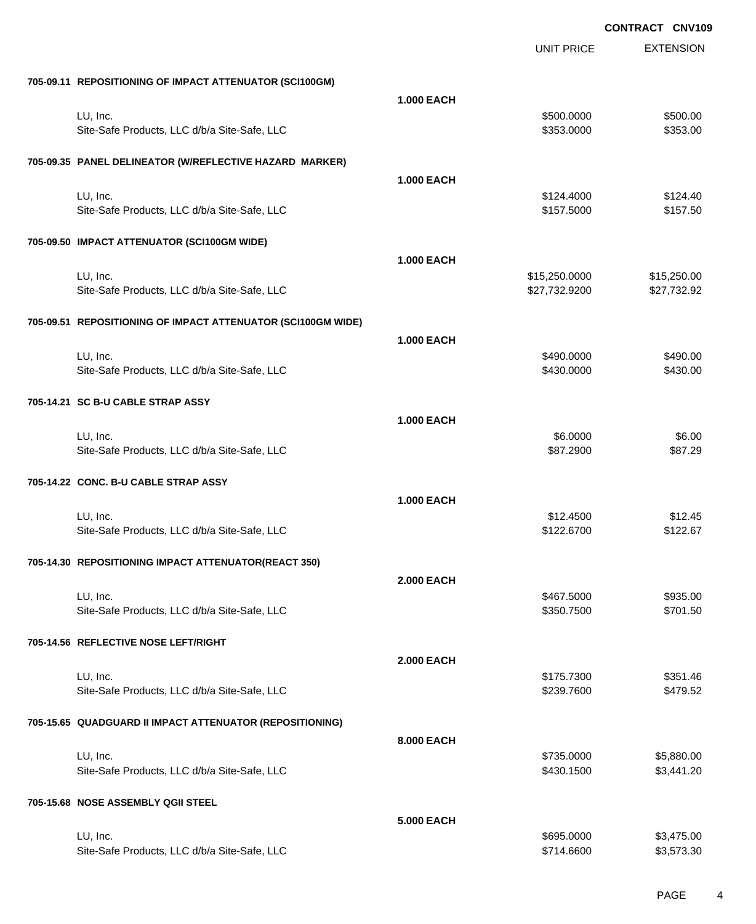|                                                              |                   | <b>UNIT PRICE</b> | <b>EXTENSION</b> |
|--------------------------------------------------------------|-------------------|-------------------|------------------|
| 705-09.11 REPOSITIONING OF IMPACT ATTENUATOR (SCI100GM)      |                   |                   |                  |
|                                                              | <b>1.000 EACH</b> |                   |                  |
| LU, Inc.                                                     |                   | \$500.0000        | \$500.00         |
| Site-Safe Products, LLC d/b/a Site-Safe, LLC                 |                   | \$353.0000        | \$353.00         |
| 705-09.35 PANEL DELINEATOR (W/REFLECTIVE HAZARD MARKER)      |                   |                   |                  |
|                                                              | <b>1.000 EACH</b> |                   |                  |
| LU, Inc.                                                     |                   | \$124,4000        | \$124.40         |
| Site-Safe Products, LLC d/b/a Site-Safe, LLC                 |                   | \$157.5000        | \$157.50         |
| 705-09.50 IMPACT ATTENUATOR (SCI100GM WIDE)                  |                   |                   |                  |
|                                                              | <b>1.000 EACH</b> |                   |                  |
| LU, Inc.                                                     |                   | \$15,250.0000     | \$15,250.00      |
| Site-Safe Products, LLC d/b/a Site-Safe, LLC                 |                   | \$27,732.9200     | \$27,732.92      |
| 705-09.51 REPOSITIONING OF IMPACT ATTENUATOR (SCI100GM WIDE) |                   |                   |                  |
|                                                              | <b>1.000 EACH</b> |                   |                  |
| LU, Inc.                                                     |                   | \$490.0000        | \$490.00         |
| Site-Safe Products, LLC d/b/a Site-Safe, LLC                 |                   | \$430.0000        | \$430.00         |
| 705-14.21 SC B-U CABLE STRAP ASSY                            |                   |                   |                  |
|                                                              | <b>1.000 EACH</b> |                   |                  |
| LU, Inc.                                                     |                   | \$6.0000          | \$6.00           |
| Site-Safe Products, LLC d/b/a Site-Safe, LLC                 |                   | \$87.2900         | \$87.29          |
| 705-14.22 CONC. B-U CABLE STRAP ASSY                         |                   |                   |                  |
|                                                              | <b>1.000 EACH</b> |                   |                  |
| LU, Inc.                                                     |                   | \$12.4500         | \$12.45          |
| Site-Safe Products, LLC d/b/a Site-Safe, LLC                 |                   | \$122.6700        | \$122.67         |
|                                                              |                   |                   |                  |
| 705-14.30 REPOSITIONING IMPACT ATTENUATOR(REACT 350)         |                   |                   |                  |
|                                                              | <b>2.000 EACH</b> |                   |                  |
| LU, Inc.                                                     |                   | \$467.5000        | \$935.00         |
| Site-Safe Products, LLC d/b/a Site-Safe, LLC                 |                   | \$350.7500        | \$701.50         |
| 705-14.56 REFLECTIVE NOSE LEFT/RIGHT                         |                   |                   |                  |
|                                                              | <b>2.000 EACH</b> |                   |                  |
| LU, Inc.                                                     |                   | \$175.7300        | \$351.46         |
| Site-Safe Products, LLC d/b/a Site-Safe, LLC                 |                   | \$239.7600        | \$479.52         |
| 705-15.65 QUADGUARD II IMPACT ATTENUATOR (REPOSITIONING)     |                   |                   |                  |
|                                                              | 8.000 EACH        |                   |                  |
| LU, Inc.                                                     |                   | \$735.0000        | \$5,880.00       |
| Site-Safe Products, LLC d/b/a Site-Safe, LLC                 |                   | \$430.1500        | \$3,441.20       |
| 705-15.68 NOSE ASSEMBLY QGII STEEL                           |                   |                   |                  |
|                                                              | 5.000 EACH        |                   |                  |
| LU, Inc.                                                     |                   | \$695.0000        | \$3,475.00       |
| Site-Safe Products, LLC d/b/a Site-Safe, LLC                 |                   | \$714.6600        | \$3,573.30       |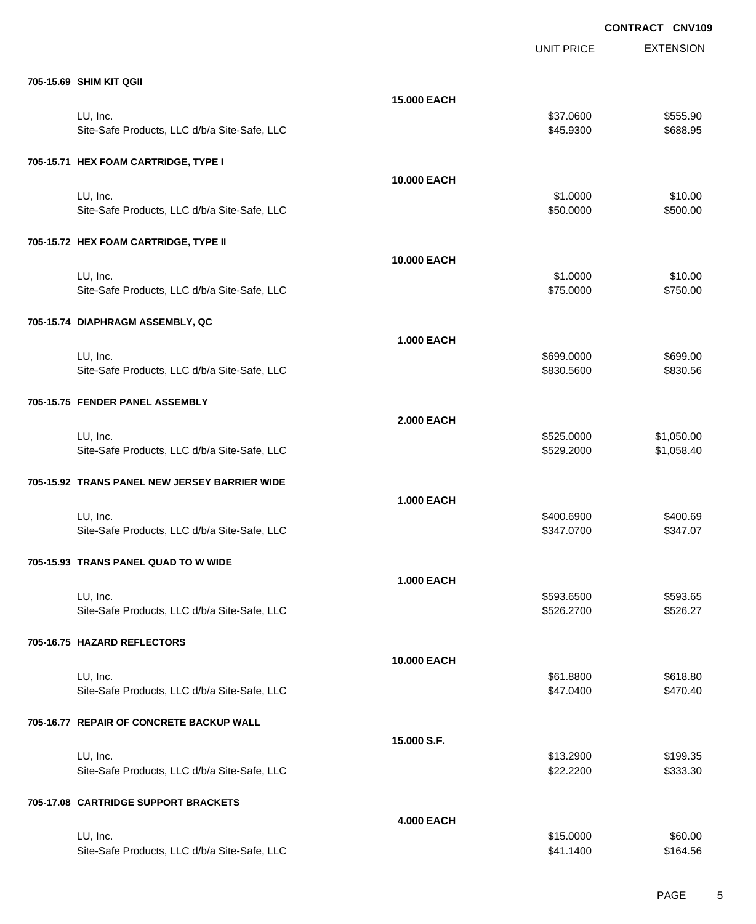EXTENSION **CONTRACT CNV109** UNIT PRICE **705-15.69 SHIM KIT QGII 15.000 EACH** LU, Inc. \$37.0600 \$555.90 Site-Safe Products, LLC d/b/a Site-Safe, LLC \$45.9300 \$688.95 **705-15.71 HEX FOAM CARTRIDGE, TYPE I 10.000 EACH** LU, Inc. \$1.0000 \$10.00 Site-Safe Products, LLC d/b/a Site-Safe, LLC \$50.000 \$50.000 \$500.00 **705-15.72 HEX FOAM CARTRIDGE, TYPE II 10.000 EACH** LU, Inc. \$1.0000 \$10.00 Site-Safe Products, LLC d/b/a Site-Safe, LLC \$750.00 \$750.000 \$750.00 **705-15.74 DIAPHRAGM ASSEMBLY, QC 1.000 EACH** LU, Inc. \$699.0000 \$699.00 Site-Safe Products, LLC d/b/a Site-Safe, LLC  $$830.5600$  \$830.5600 \$830.5600 **705-15.75 FENDER PANEL ASSEMBLY 2.000 EACH** LU, Inc. \$525.0000 \$1,050.00 Site-Safe Products, LLC d/b/a Site-Safe, LLC \$529.2000 \$1,058.40 **705-15.92 TRANS PANEL NEW JERSEY BARRIER WIDE 1.000 EACH** LU, Inc. \$400.6900 \$400.69 Site-Safe Products, LLC d/b/a Site-Safe, LLC  $$347.0700$  \$347.0700 \$347.070 **705-15.93 TRANS PANEL QUAD TO W WIDE 1.000 EACH** LU, Inc. \$593.6500 \$593.65 Site-Safe Products, LLC d/b/a Site-Safe, LLC \$526.2700 \$526.2700 \$526.27 **705-16.75 HAZARD REFLECTORS 10.000 EACH** LU, Inc. \$61.8800 \$618.80 Site-Safe Products, LLC d/b/a Site-Safe, LLC  $$47.0400$  \$47.0400  $$47.040$ **705-16.77 REPAIR OF CONCRETE BACKUP WALL 15.000 S.F.** LU, Inc. \$13.2900 \$199.35 Site-Safe Products, LLC d/b/a Site-Safe, LLC  $$22.2200$  \$333.30 **705-17.08 CARTRIDGE SUPPORT BRACKETS 4.000 EACH** LU, Inc. \$15.0000 \$60.00

Site-Safe Products, LLC d/b/a Site-Safe, LLC  $$41.1400$  \$164.56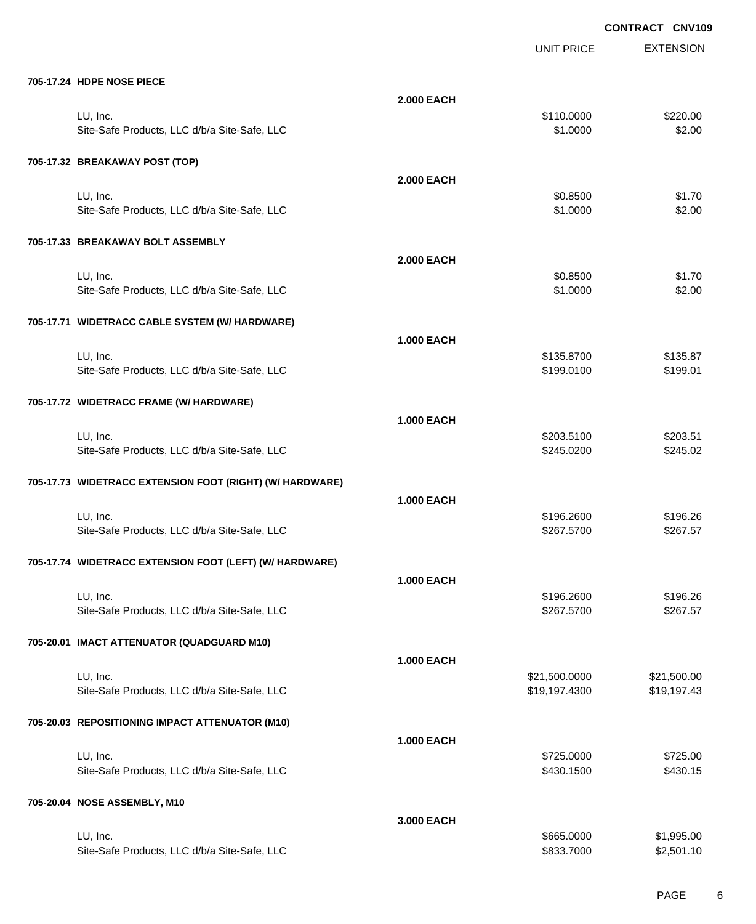EXTENSION **CONTRACT CNV109** UNIT PRICE **705-17.24 HDPE NOSE PIECE 2.000 EACH** LU, Inc. \$110.0000 \$220.00 Site-Safe Products, LLC d/b/a Site-Safe, LLC  $$3.00$ **705-17.32 BREAKAWAY POST (TOP) 2.000 EACH** LU, Inc. \$0.8500 \$1.70 Site-Safe Products, LLC d/b/a Site-Safe, LLC  $$1.0000$  \$2.00 **705-17.33 BREAKAWAY BOLT ASSEMBLY 2.000 EACH** LU, Inc. \$0.8500 \$1.70 Site-Safe Products, LLC d/b/a Site-Safe, LLC  $$1.0000$  \$2.00 **705-17.71 WIDETRACC CABLE SYSTEM (W/ HARDWARE) 1.000 EACH** LU, Inc. \$135.8700 \$135.87 Site-Safe Products, LLC d/b/a Site-Safe, LLC  $$199.01$ **705-17.72 WIDETRACC FRAME (W/ HARDWARE) 1.000 EACH** LU, Inc. \$203.5100 \$203.51 Site-Safe Products, LLC d/b/a Site-Safe, LLC \$245.02 \$245.0200 \$245.02 **705-17.73 WIDETRACC EXTENSION FOOT (RIGHT) (W/ HARDWARE) 1.000 EACH** LU, Inc. \$196.2600 \$196.26 Site-Safe Products, LLC d/b/a Site-Safe, LLC  $$267.5700$  \$267.5700 \$267.5700 **705-17.74 WIDETRACC EXTENSION FOOT (LEFT) (W/ HARDWARE) 1.000 EACH** LU, Inc. \$196.2600 \$196.26 Site-Safe Products, LLC d/b/a Site-Safe, LLC  $$267.5700$  \$267.5700 \$267.5700 **705-20.01 IMACT ATTENUATOR (QUADGUARD M10) 1.000 EACH** LU, Inc. \$21,500.0000 \$21,500.00 Site-Safe Products, LLC d/b/a Site-Safe, LLC  $$19,197.4300$  \$19,197.4300 \$19,197.43 **705-20.03 REPOSITIONING IMPACT ATTENUATOR (M10) 1.000 EACH** LU, Inc. \$725.0000 \$725.00 Site-Safe Products, LLC d/b/a Site-Safe, LLC  $$430.1500$  \$430.1500 \$430.1500 **705-20.04 NOSE ASSEMBLY, M10 3.000 EACH**

LU, Inc. \$665.0000 \$1,995.00 Site-Safe Products, LLC d/b/a Site-Safe, LLC  $$833.7000$  \$2,501.10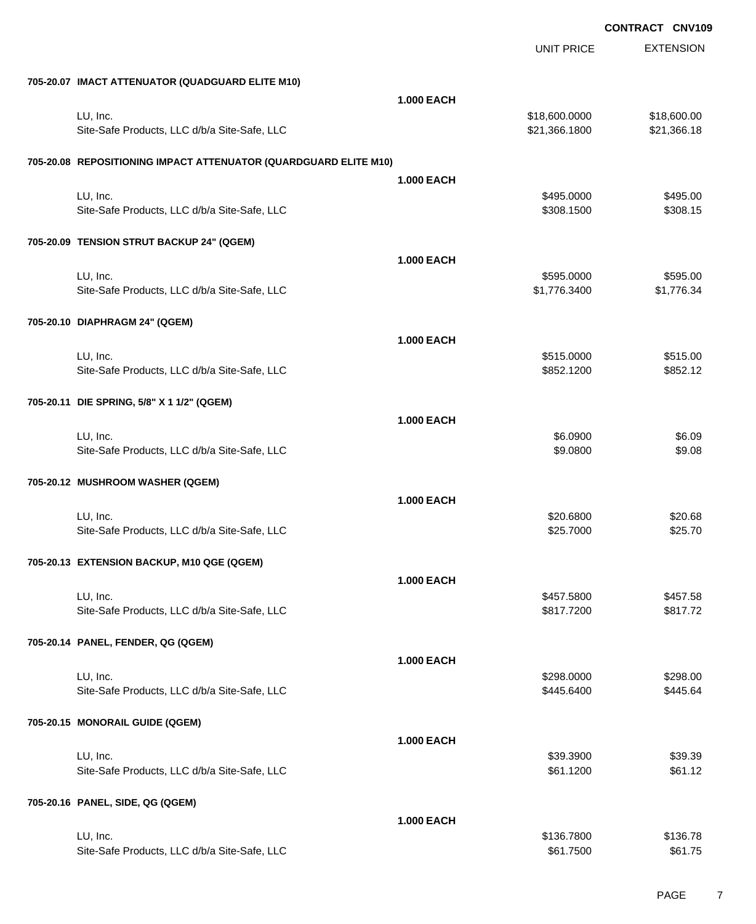EXTENSION **CONTRACT CNV109** UNIT PRICE **705-20.07 IMACT ATTENUATOR (QUADGUARD ELITE M10) 1.000 EACH** LU, Inc. \$18,600.0000 \$18,600.00 Site-Safe Products, LLC d/b/a Site-Safe, LLC \$21,366.1800 \$21,366.1800 \$21,366.18 **705-20.08 REPOSITIONING IMPACT ATTENUATOR (QUARDGUARD ELITE M10) 1.000 EACH** لال العربية التي يتم المسافرة التي يتم التي يتم التي يتم التي يتم التي يتم التي يتم التي يتم التي يتم التي يتم Site-Safe Products, LLC d/b/a Site-Safe, LLC  $$308.1500$  \$308.1500 \$308.15 **705-20.09 TENSION STRUT BACKUP 24" (QGEM) 1.000 EACH** LU, Inc. \$595.0000 \$595.00 Site-Safe Products, LLC d/b/a Site-Safe, LLC \$1,776.3400 \$1,776.3400 \$1,776.3400 **705-20.10 DIAPHRAGM 24" (QGEM) 1.000 EACH** LU, Inc. \$515.0000 \$515.00 Site-Safe Products, LLC d/b/a Site-Safe, LLC  $$852.1200$  \$852.1200 \$852.12 **705-20.11 DIE SPRING, 5/8" X 1 1/2" (QGEM) 1.000 EACH** لى الله عن الله عن الله عن الله عن الله عن الله عن الله عن الله عن الله عن الله عن الله عن الله عن الله عن الل Site-Safe Products, LLC d/b/a Site-Safe, LLC  $$9.0800$  \$9.0800 \$9.08 **705-20.12 MUSHROOM WASHER (QGEM) 1.000 EACH** LU, Inc. \$20.6800 \$20.68 Site-Safe Products, LLC d/b/a Site-Safe, LLC  $$25.7000$  \$25.7000 \$25.70 **705-20.13 EXTENSION BACKUP, M10 QGE (QGEM) 1.000 EACH** LU, Inc. \$457.5800 \$457.58 Site-Safe Products, LLC d/b/a Site-Safe, LLC  $$817.7200$  \$817.7200 \$817.72 **705-20.14 PANEL, FENDER, QG (QGEM) 1.000 EACH** LU, Inc. \$298.0000 \$298.00 Site-Safe Products, LLC d/b/a Site-Safe, LLC  $$445.64$ **705-20.15 MONORAIL GUIDE (QGEM) 1.000 EACH** لى الله عن المركز التي يتم الله عن الله عن الله عن الله عن الله عن الله عن الله عن الله عن الله عن الله عن الل Site-Safe Products, LLC d/b/a Site-Safe, LLC  $$61.12$ **705-20.16 PANEL, SIDE, QG (QGEM) 1.000 EACH** LU, Inc. \$136.7800 \$136.78

Site-Safe Products, LLC d/b/a Site-Safe, LLC  $$61.7500$  \$61.7500 \$61.75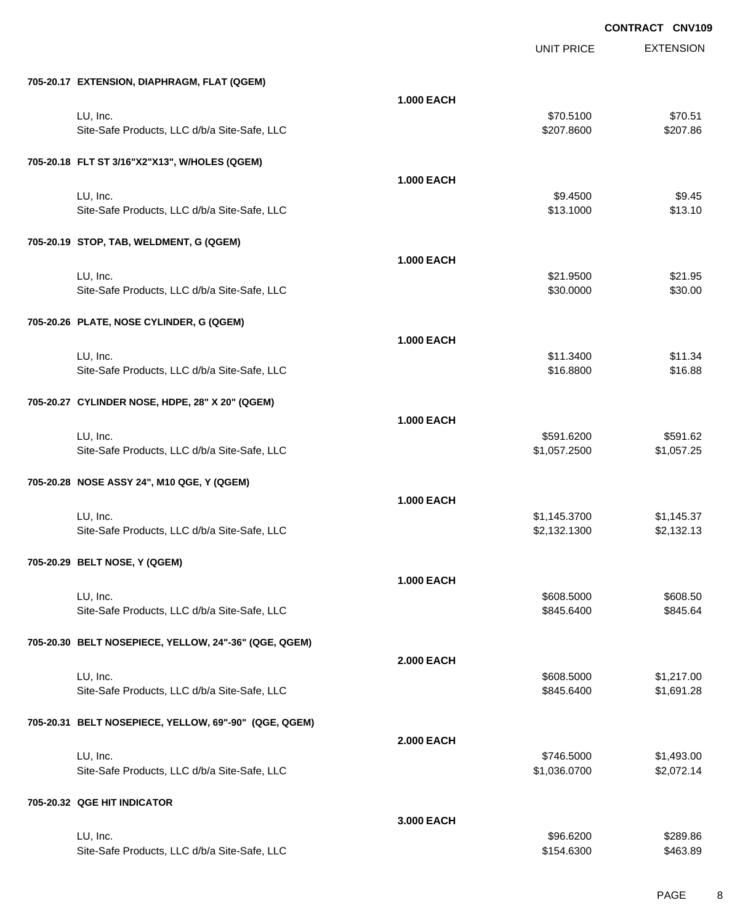|                                                       |                   | <b>UNIT PRICE</b> | <b>EXTENSION</b> |
|-------------------------------------------------------|-------------------|-------------------|------------------|
| 705-20.17 EXTENSION, DIAPHRAGM, FLAT (QGEM)           |                   |                   |                  |
|                                                       | <b>1.000 EACH</b> |                   |                  |
| LU, Inc.                                              |                   | \$70.5100         | \$70.51          |
| Site-Safe Products, LLC d/b/a Site-Safe, LLC          |                   | \$207.8600        | \$207.86         |
| 705-20.18 FLT ST 3/16"X2"X13", W/HOLES (QGEM)         |                   |                   |                  |
|                                                       | <b>1.000 EACH</b> |                   |                  |
| LU, Inc.                                              |                   | \$9.4500          | \$9.45           |
| Site-Safe Products, LLC d/b/a Site-Safe, LLC          |                   | \$13.1000         | \$13.10          |
| 705-20.19 STOP, TAB, WELDMENT, G (QGEM)               |                   |                   |                  |
|                                                       | <b>1.000 EACH</b> |                   |                  |
| LU, Inc.                                              |                   | \$21.9500         | \$21.95          |
| Site-Safe Products, LLC d/b/a Site-Safe, LLC          |                   | \$30.0000         | \$30.00          |
| 705-20.26 PLATE, NOSE CYLINDER, G (QGEM)              |                   |                   |                  |
|                                                       | <b>1.000 EACH</b> |                   |                  |
| LU, Inc.                                              |                   | \$11.3400         | \$11.34          |
| Site-Safe Products, LLC d/b/a Site-Safe, LLC          |                   | \$16.8800         | \$16.88          |
| 705-20.27 CYLINDER NOSE, HDPE, 28" X 20" (QGEM)       |                   |                   |                  |
|                                                       | <b>1.000 EACH</b> |                   |                  |
| LU, Inc.                                              |                   | \$591.6200        | \$591.62         |
| Site-Safe Products, LLC d/b/a Site-Safe, LLC          |                   | \$1,057.2500      | \$1,057.25       |
| 705-20.28 NOSE ASSY 24", M10 QGE, Y (QGEM)            |                   |                   |                  |
|                                                       | <b>1.000 EACH</b> |                   |                  |
| LU, Inc.                                              |                   | \$1,145.3700      | \$1,145.37       |
| Site-Safe Products, LLC d/b/a Site-Safe, LLC          |                   | \$2,132.1300      | \$2,132.13       |
| 705-20.29 BELT NOSE, Y (QGEM)                         |                   |                   |                  |
|                                                       | <b>1.000 EACH</b> |                   |                  |
| LU, Inc.                                              |                   | \$608.5000        | \$608.50         |
| Site-Safe Products, LLC d/b/a Site-Safe, LLC          |                   | \$845.6400        | \$845.64         |
| 705-20.30 BELT NOSEPIECE, YELLOW, 24"-36" (QGE, QGEM) |                   |                   |                  |
|                                                       | <b>2.000 EACH</b> |                   |                  |
| LU, Inc.                                              |                   | \$608.5000        | \$1,217.00       |
| Site-Safe Products, LLC d/b/a Site-Safe, LLC          |                   | \$845.6400        | \$1,691.28       |
| 705-20.31 BELT NOSEPIECE, YELLOW, 69"-90" (QGE, QGEM) |                   |                   |                  |
|                                                       | <b>2.000 EACH</b> |                   |                  |
| LU, Inc.                                              |                   | \$746.5000        | \$1,493.00       |
| Site-Safe Products, LLC d/b/a Site-Safe, LLC          |                   | \$1,036.0700      | \$2,072.14       |
| 705-20.32 QGE HIT INDICATOR                           |                   |                   |                  |
|                                                       | 3.000 EACH        |                   |                  |
| LU, Inc.                                              |                   | \$96.6200         | \$289.86         |
| Site-Safe Products, LLC d/b/a Site-Safe, LLC          |                   | \$154.6300        | \$463.89         |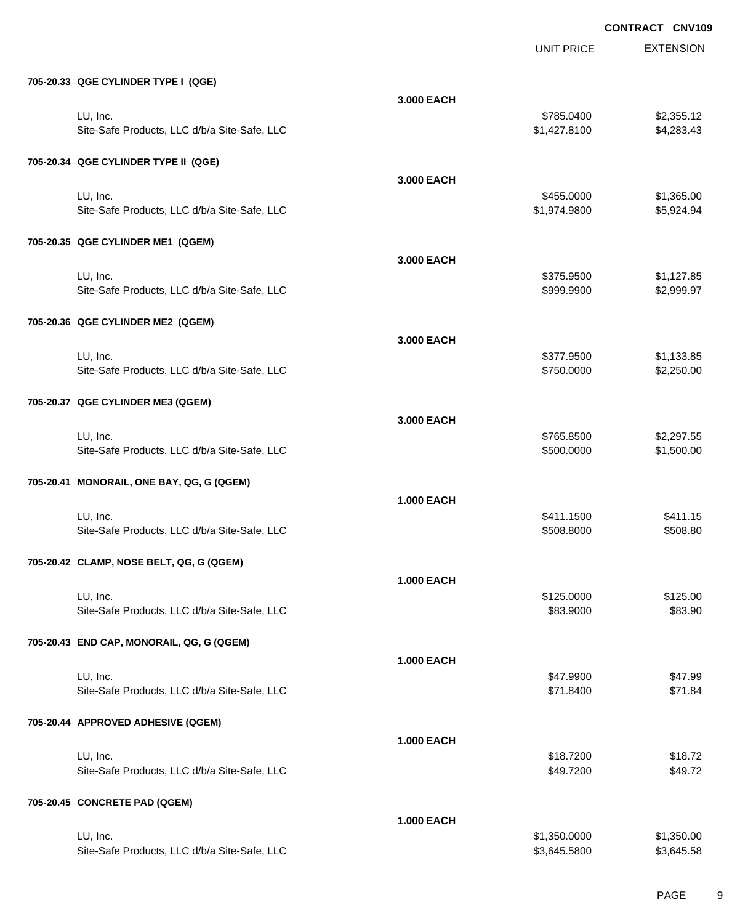|                                              |                   | <b>UNIT PRICE</b> | <b>EXTENSION</b> |
|----------------------------------------------|-------------------|-------------------|------------------|
| 705-20.33 QGE CYLINDER TYPE I (QGE)          |                   |                   |                  |
|                                              | 3.000 EACH        |                   |                  |
| LU, Inc.                                     |                   | \$785.0400        | \$2,355.12       |
| Site-Safe Products, LLC d/b/a Site-Safe, LLC |                   | \$1,427.8100      | \$4,283.43       |
| 705-20.34 QGE CYLINDER TYPE II (QGE)         |                   |                   |                  |
|                                              | 3.000 EACH        |                   |                  |
| LU, Inc.                                     |                   | \$455.0000        | \$1,365.00       |
| Site-Safe Products, LLC d/b/a Site-Safe, LLC |                   | \$1,974.9800      | \$5,924.94       |
| 705-20.35 QGE CYLINDER ME1 (QGEM)            |                   |                   |                  |
|                                              | 3.000 EACH        |                   |                  |
| LU, Inc.                                     |                   | \$375.9500        | \$1,127.85       |
| Site-Safe Products, LLC d/b/a Site-Safe, LLC |                   | \$999.9900        | \$2,999.97       |
| 705-20.36 QGE CYLINDER ME2 (QGEM)            |                   |                   |                  |
|                                              | 3.000 EACH        |                   |                  |
| LU, Inc.                                     |                   | \$377.9500        | \$1,133.85       |
| Site-Safe Products, LLC d/b/a Site-Safe, LLC |                   | \$750.0000        | \$2,250.00       |
| 705-20.37 QGE CYLINDER ME3 (QGEM)            |                   |                   |                  |
|                                              | 3.000 EACH        |                   |                  |
| LU, Inc.                                     |                   | \$765.8500        | \$2,297.55       |
| Site-Safe Products, LLC d/b/a Site-Safe, LLC |                   | \$500.0000        | \$1,500.00       |
| 705-20.41 MONORAIL, ONE BAY, QG, G (QGEM)    |                   |                   |                  |
|                                              | <b>1.000 EACH</b> |                   |                  |
| LU, Inc.                                     |                   | \$411.1500        | \$411.15         |
| Site-Safe Products, LLC d/b/a Site-Safe, LLC |                   | \$508.8000        | \$508.80         |
| 705-20.42 CLAMP, NOSE BELT, QG, G (QGEM)     |                   |                   |                  |
|                                              | <b>1.000 EACH</b> |                   |                  |
| LU, Inc.                                     |                   | \$125.0000        | \$125.00         |
| Site-Safe Products, LLC d/b/a Site-Safe, LLC |                   | \$83.9000         | \$83.90          |
| 705-20.43 END CAP, MONORAIL, QG, G (QGEM)    |                   |                   |                  |
|                                              | <b>1.000 EACH</b> |                   |                  |
| LU, Inc.                                     |                   | \$47.9900         | \$47.99          |
| Site-Safe Products, LLC d/b/a Site-Safe, LLC |                   | \$71.8400         | \$71.84          |
| 705-20.44 APPROVED ADHESIVE (QGEM)           |                   |                   |                  |
|                                              | <b>1.000 EACH</b> |                   |                  |
| LU, Inc.                                     |                   | \$18.7200         | \$18.72          |
| Site-Safe Products, LLC d/b/a Site-Safe, LLC |                   | \$49.7200         | \$49.72          |
| 705-20.45 CONCRETE PAD (QGEM)                |                   |                   |                  |
|                                              | <b>1.000 EACH</b> |                   |                  |
| LU, Inc.                                     |                   | \$1,350.0000      | \$1,350.00       |
| Site-Safe Products, LLC d/b/a Site-Safe, LLC |                   | \$3,645.5800      | \$3,645.58       |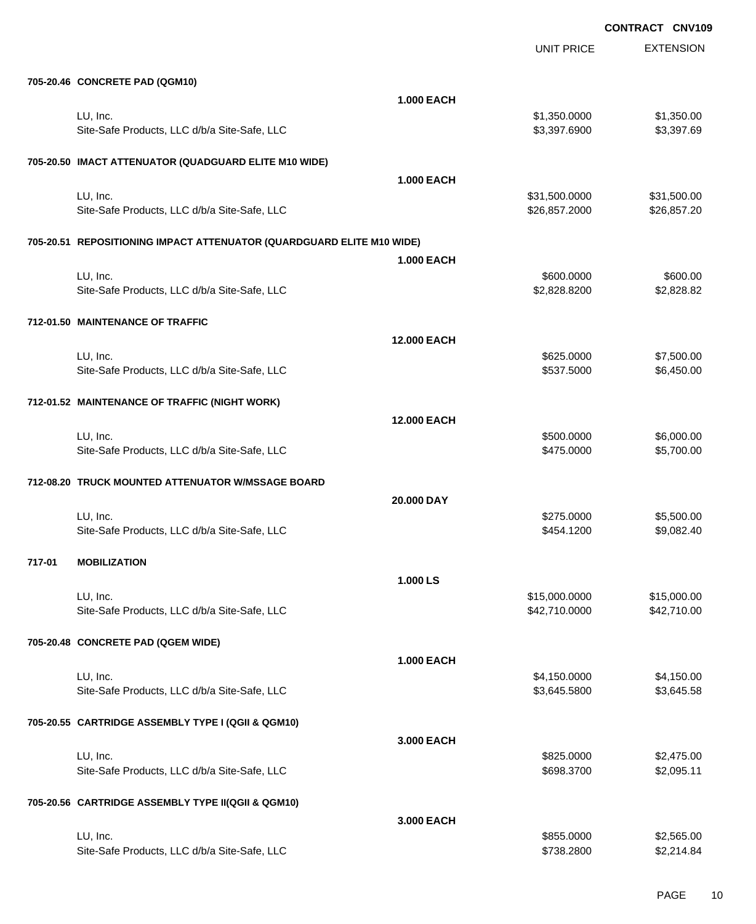|        |                                                                       |                   | <b>UNIT PRICE</b> | <b>EXTENSION</b> |
|--------|-----------------------------------------------------------------------|-------------------|-------------------|------------------|
|        | 705-20.46 CONCRETE PAD (QGM10)                                        |                   |                   |                  |
|        |                                                                       | <b>1.000 EACH</b> |                   |                  |
|        | LU, Inc.                                                              |                   | \$1,350.0000      | \$1,350.00       |
|        | Site-Safe Products, LLC d/b/a Site-Safe, LLC                          |                   | \$3,397.6900      | \$3,397.69       |
|        | 705-20.50 IMACT ATTENUATOR (QUADGUARD ELITE M10 WIDE)                 |                   |                   |                  |
|        |                                                                       | <b>1.000 EACH</b> |                   |                  |
|        | LU, Inc.                                                              |                   | \$31,500.0000     | \$31,500.00      |
|        | Site-Safe Products, LLC d/b/a Site-Safe, LLC                          |                   | \$26,857.2000     | \$26,857.20      |
|        | 705-20.51 REPOSITIONING IMPACT ATTENUATOR (QUARDGUARD ELITE M10 WIDE) |                   |                   |                  |
|        |                                                                       | <b>1.000 EACH</b> |                   |                  |
|        | LU, Inc.                                                              |                   | \$600.0000        | \$600.00         |
|        | Site-Safe Products, LLC d/b/a Site-Safe, LLC                          |                   | \$2,828.8200      | \$2,828.82       |
|        | 712-01.50 MAINTENANCE OF TRAFFIC                                      |                   |                   |                  |
|        |                                                                       | 12.000 EACH       |                   |                  |
|        | LU, Inc.                                                              |                   | \$625.0000        | \$7,500.00       |
|        | Site-Safe Products, LLC d/b/a Site-Safe, LLC                          |                   | \$537.5000        | \$6,450.00       |
|        | 712-01.52 MAINTENANCE OF TRAFFIC (NIGHT WORK)                         |                   |                   |                  |
|        |                                                                       | 12.000 EACH       |                   |                  |
|        | LU, Inc.                                                              |                   | \$500.0000        | \$6,000.00       |
|        | Site-Safe Products, LLC d/b/a Site-Safe, LLC                          |                   | \$475.0000        | \$5,700.00       |
|        | 712-08.20 TRUCK MOUNTED ATTENUATOR W/MSSAGE BOARD                     |                   |                   |                  |
|        |                                                                       | 20.000 DAY        |                   |                  |
|        | LU, Inc.                                                              |                   | \$275.0000        | \$5,500.00       |
|        | Site-Safe Products, LLC d/b/a Site-Safe, LLC                          |                   | \$454.1200        | \$9,082.40       |
|        |                                                                       |                   |                   |                  |
| 717-01 | <b>MOBILIZATION</b>                                                   |                   |                   |                  |
|        |                                                                       | 1.000 LS          |                   |                  |
|        | LU, Inc.                                                              |                   | \$15,000.0000     | \$15,000.00      |
|        | Site-Safe Products, LLC d/b/a Site-Safe, LLC                          |                   | \$42,710.0000     | \$42,710.00      |
|        | 705-20.48 CONCRETE PAD (QGEM WIDE)                                    |                   |                   |                  |
|        |                                                                       | <b>1.000 EACH</b> |                   |                  |
|        | LU, Inc.                                                              |                   | \$4,150.0000      | \$4,150.00       |
|        | Site-Safe Products, LLC d/b/a Site-Safe, LLC                          |                   | \$3,645.5800      | \$3,645.58       |
|        | 705-20.55 CARTRIDGE ASSEMBLY TYPE I (QGII & QGM10)                    |                   |                   |                  |
|        |                                                                       | 3.000 EACH        |                   |                  |
|        | LU, Inc.                                                              |                   | \$825.0000        | \$2,475.00       |
|        | Site-Safe Products, LLC d/b/a Site-Safe, LLC                          |                   | \$698.3700        | \$2,095.11       |
|        | 705-20.56 CARTRIDGE ASSEMBLY TYPE II(QGII & QGM10)                    |                   |                   |                  |
|        |                                                                       | 3.000 EACH        |                   |                  |
|        | LU, Inc.                                                              |                   | \$855.0000        | \$2,565.00       |
|        | Site-Safe Products, LLC d/b/a Site-Safe, LLC                          |                   | \$738.2800        | \$2,214.84       |
|        |                                                                       |                   |                   |                  |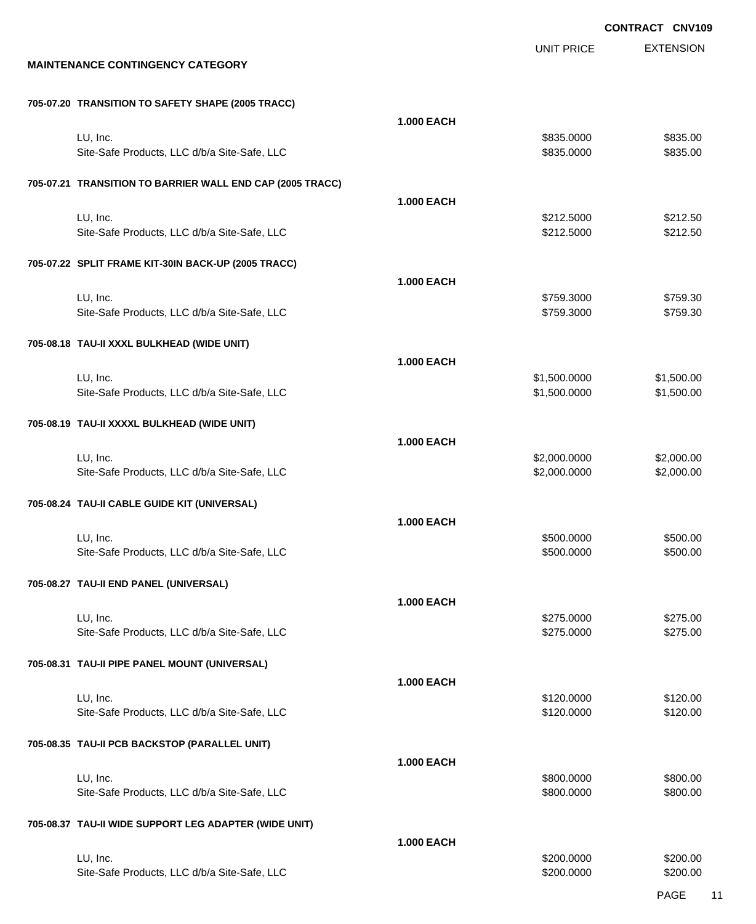EXTENSION **CONTRACT CNV109** UNIT PRICE **MAINTENANCE CONTINGENCY CATEGORY 705-07.20 TRANSITION TO SAFETY SHAPE (2005 TRACC) 1.000 EACH** LU, Inc. \$835.0000 \$835.00 Site-Safe Products, LLC d/b/a Site-Safe, LLC  $$835.000$  \$835.0000 \$835.000 **705-07.21 TRANSITION TO BARRIER WALL END CAP (2005 TRACC) 1.000 EACH** LU, Inc. \$212.5000 \$212.50 Site-Safe Products, LLC d/b/a Site-Safe, LLC 6 (1992) 68:4000 \$212.5000 \$212.5000 \$212.5000 **705-07.22 SPLIT FRAME KIT-30IN BACK-UP (2005 TRACC) 1.000 EACH** LU, Inc. \$759.3000 \$759.30 Site-Safe Products, LLC d/b/a Site-Safe, LLC \$759.3000 \$759.3000 \$759.3000 **705-08.18 TAU-II XXXL BULKHEAD (WIDE UNIT) 1.000 EACH** LU, Inc. \$1,500.0000 \$1,500.00 Site-Safe Products, LLC d/b/a Site-Safe, LLC  $$1,500.000$  \$1,500.000 \$1,500.00 **705-08.19 TAU-II XXXXL BULKHEAD (WIDE UNIT) 1.000 EACH** LU, Inc. \$2,000.0000 \$2,000.00 Site-Safe Products, LLC d/b/a Site-Safe, LLC \$2,000.000 \$2,000.000 \$2,000.000 \$2,000.00 **705-08.24 TAU-II CABLE GUIDE KIT (UNIVERSAL) 1.000 EACH** LU, Inc. \$500.0000 \$500.00 Site-Safe Products, LLC d/b/a Site-Safe, LLC  $$500.000$  \$500.000 \$500.000 **705-08.27 TAU-II END PANEL (UNIVERSAL) 1.000 EACH** LU, Inc. \$275.0000 \$275.00 Site-Safe Products, LLC d/b/a Site-Safe, LLC  $$275.000$  \$275.0000 \$275.000 **705-08.31 TAU-II PIPE PANEL MOUNT (UNIVERSAL) 1.000 EACH** LU, Inc. \$120.0000 \$120.00 Site-Safe Products, LLC d/b/a Site-Safe, LLC  $$120.000$  \$120.000 \$120.00 **705-08.35 TAU-II PCB BACKSTOP (PARALLEL UNIT) 1.000 EACH** LU, Inc. \$800.0000 \$800.00 Site-Safe Products, LLC d/b/a Site-Safe, LLC  $$800.000$  \$800.000 \$800.000 **705-08.37 TAU-II WIDE SUPPORT LEG ADAPTER (WIDE UNIT) 1.000 EACH** LU, Inc. \$200.0000 \$200.00

Site-Safe Products, LLC d/b/a Site-Safe, LLC \$200.000 \$200.000 \$200.000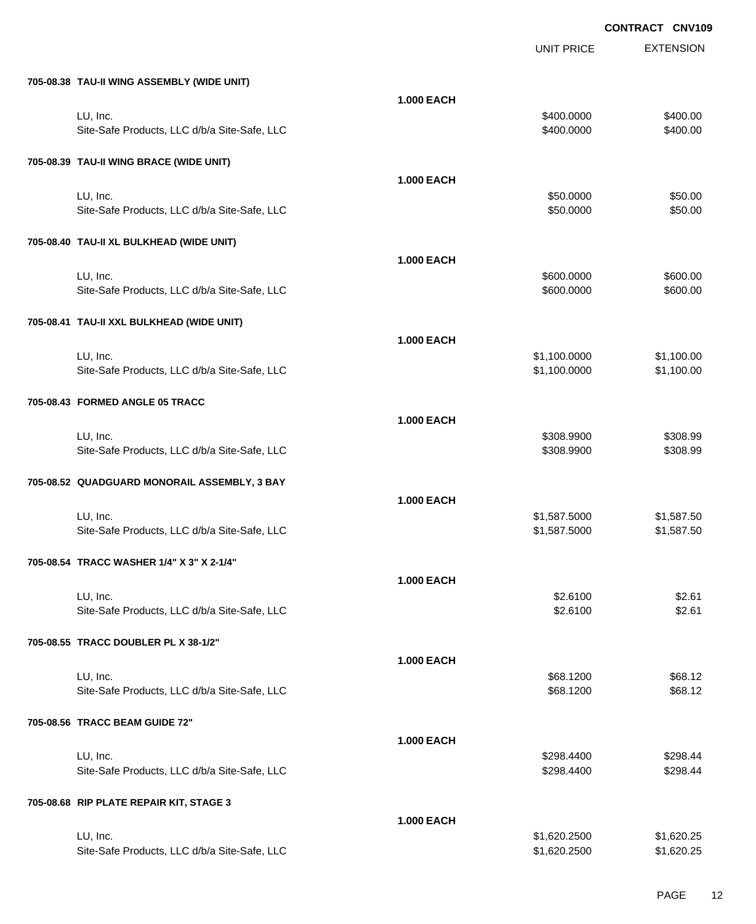|                                              |                   | <b>UNIT PRICE</b> | <b>EXTENSION</b> |
|----------------------------------------------|-------------------|-------------------|------------------|
| 705-08.38 TAU-II WING ASSEMBLY (WIDE UNIT)   |                   |                   |                  |
|                                              | <b>1.000 EACH</b> |                   |                  |
| LU, Inc.                                     |                   | \$400.0000        | \$400.00         |
| Site-Safe Products, LLC d/b/a Site-Safe, LLC |                   | \$400.0000        | \$400.00         |
| 705-08.39 TAU-II WING BRACE (WIDE UNIT)      |                   |                   |                  |
|                                              | <b>1.000 EACH</b> |                   |                  |
| LU, Inc.                                     |                   | \$50.0000         | \$50.00          |
| Site-Safe Products, LLC d/b/a Site-Safe, LLC |                   | \$50.0000         | \$50.00          |
| 705-08.40 TAU-II XL BULKHEAD (WIDE UNIT)     |                   |                   |                  |
|                                              | <b>1.000 EACH</b> |                   |                  |
| LU, Inc.                                     |                   | \$600.0000        | \$600.00         |
| Site-Safe Products, LLC d/b/a Site-Safe, LLC |                   | \$600.0000        | \$600.00         |
| 705-08.41 TAU-II XXL BULKHEAD (WIDE UNIT)    |                   |                   |                  |
|                                              | <b>1.000 EACH</b> |                   |                  |
| LU, Inc.                                     |                   | \$1,100.0000      | \$1,100.00       |
| Site-Safe Products, LLC d/b/a Site-Safe, LLC |                   | \$1,100.0000      | \$1,100.00       |
| 705-08.43 FORMED ANGLE 05 TRACC              |                   |                   |                  |
|                                              | <b>1.000 EACH</b> |                   |                  |
| LU, Inc.                                     |                   | \$308.9900        | \$308.99         |
| Site-Safe Products, LLC d/b/a Site-Safe, LLC |                   | \$308.9900        | \$308.99         |
| 705-08.52 QUADGUARD MONORAIL ASSEMBLY, 3 BAY |                   |                   |                  |
|                                              | <b>1.000 EACH</b> |                   |                  |
| LU, Inc.                                     |                   | \$1,587.5000      | \$1,587.50       |
| Site-Safe Products, LLC d/b/a Site-Safe, LLC |                   | \$1,587.5000      | \$1,587.50       |
| 705-08.54 TRACC WASHER 1/4" X 3" X 2-1/4"    |                   |                   |                  |
|                                              | <b>1.000 EACH</b> |                   |                  |
| LU, Inc.                                     |                   | \$2.6100          | \$2.61           |
| Site-Safe Products, LLC d/b/a Site-Safe, LLC |                   | \$2.6100          | \$2.61           |
| 705-08.55 TRACC DOUBLER PL X 38-1/2"         |                   |                   |                  |
|                                              | <b>1.000 EACH</b> |                   |                  |
| LU, Inc.                                     |                   | \$68.1200         | \$68.12          |
| Site-Safe Products, LLC d/b/a Site-Safe, LLC |                   | \$68.1200         | \$68.12          |
| 705-08.56 TRACC BEAM GUIDE 72"               |                   |                   |                  |
|                                              | <b>1.000 EACH</b> |                   |                  |
| LU, Inc.                                     |                   | \$298.4400        | \$298.44         |
| Site-Safe Products, LLC d/b/a Site-Safe, LLC |                   | \$298.4400        | \$298.44         |
| 705-08.68 RIP PLATE REPAIR KIT, STAGE 3      |                   |                   |                  |
|                                              | <b>1.000 EACH</b> |                   |                  |
| LU, Inc.                                     |                   | \$1,620.2500      | \$1,620.25       |
| Site-Safe Products, LLC d/b/a Site-Safe, LLC |                   | \$1,620.2500      | \$1,620.25       |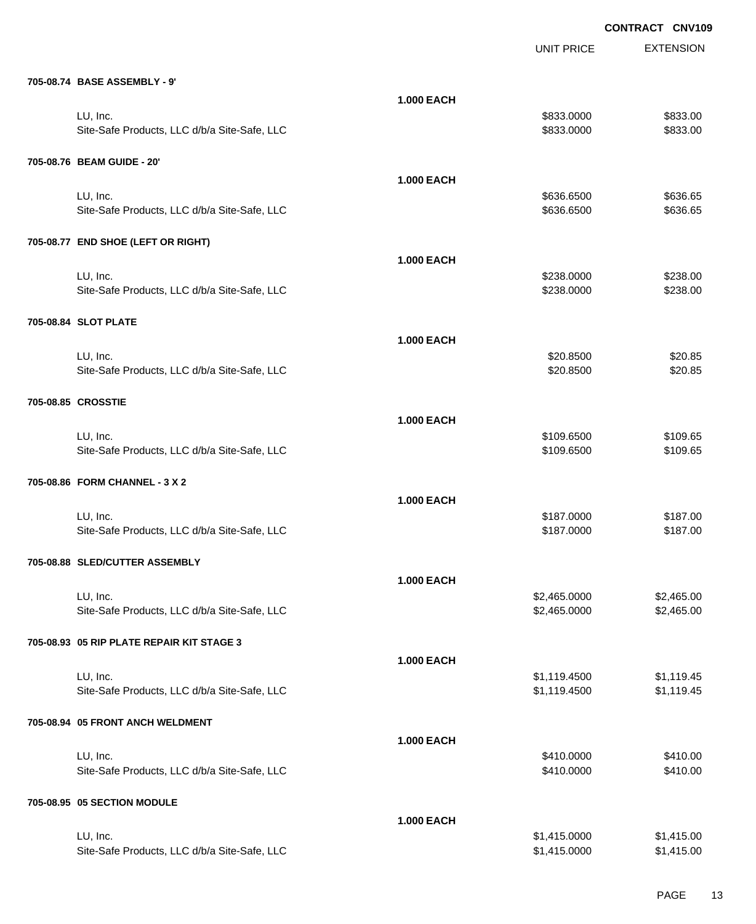|                                              |                   | <b>UNIT PRICE</b> | <b>EXTENSION</b> |
|----------------------------------------------|-------------------|-------------------|------------------|
| 705-08.74 BASE ASSEMBLY - 9'                 |                   |                   |                  |
|                                              | <b>1.000 EACH</b> |                   |                  |
| LU, Inc.                                     |                   | \$833.0000        | \$833.00         |
| Site-Safe Products, LLC d/b/a Site-Safe, LLC |                   | \$833.0000        | \$833.00         |
| 705-08.76 BEAM GUIDE - 20'                   |                   |                   |                  |
|                                              | <b>1.000 EACH</b> |                   |                  |
| LU, Inc.                                     |                   | \$636.6500        | \$636.65         |
| Site-Safe Products, LLC d/b/a Site-Safe, LLC |                   | \$636.6500        | \$636.65         |
| 705-08.77 END SHOE (LEFT OR RIGHT)           |                   |                   |                  |
|                                              | <b>1.000 EACH</b> |                   |                  |
| LU, Inc.                                     |                   | \$238.0000        | \$238.00         |
| Site-Safe Products, LLC d/b/a Site-Safe, LLC |                   | \$238.0000        | \$238.00         |
| 705-08.84 SLOT PLATE                         |                   |                   |                  |
|                                              | <b>1.000 EACH</b> |                   |                  |
| LU, Inc.                                     |                   | \$20.8500         | \$20.85          |
| Site-Safe Products, LLC d/b/a Site-Safe, LLC |                   | \$20.8500         | \$20.85          |
| 705-08.85 CROSSTIE                           |                   |                   |                  |
|                                              | <b>1.000 EACH</b> |                   |                  |
| LU, Inc.                                     |                   | \$109.6500        | \$109.65         |
| Site-Safe Products, LLC d/b/a Site-Safe, LLC |                   | \$109.6500        | \$109.65         |
| 705-08.86 FORM CHANNEL - 3 X 2               |                   |                   |                  |
|                                              | <b>1.000 EACH</b> |                   |                  |
| LU, Inc.                                     |                   | \$187.0000        | \$187.00         |
| Site-Safe Products, LLC d/b/a Site-Safe, LLC |                   | \$187.0000        | \$187.00         |
| 705-08.88 SLED/CUTTER ASSEMBLY               |                   |                   |                  |
|                                              | <b>1.000 EACH</b> |                   |                  |
| LU, Inc.                                     |                   | \$2,465.0000      | \$2,465.00       |
| Site-Safe Products, LLC d/b/a Site-Safe, LLC |                   | \$2,465.0000      | \$2,465.00       |
| 705-08.93 05 RIP PLATE REPAIR KIT STAGE 3    |                   |                   |                  |
|                                              | <b>1.000 EACH</b> |                   |                  |
| LU, Inc.                                     |                   | \$1,119.4500      | \$1,119.45       |
| Site-Safe Products, LLC d/b/a Site-Safe, LLC |                   | \$1,119.4500      | \$1,119.45       |
| 705-08.94 05 FRONT ANCH WELDMENT             |                   |                   |                  |
|                                              | <b>1.000 EACH</b> |                   |                  |
| LU, Inc.                                     |                   | \$410.0000        | \$410.00         |
| Site-Safe Products, LLC d/b/a Site-Safe, LLC |                   | \$410.0000        | \$410.00         |
| 705-08.95 05 SECTION MODULE                  |                   |                   |                  |
|                                              | <b>1.000 EACH</b> |                   |                  |
| LU, Inc.                                     |                   | \$1,415.0000      | \$1,415.00       |
| Site-Safe Products, LLC d/b/a Site-Safe, LLC |                   | \$1,415.0000      | \$1,415.00       |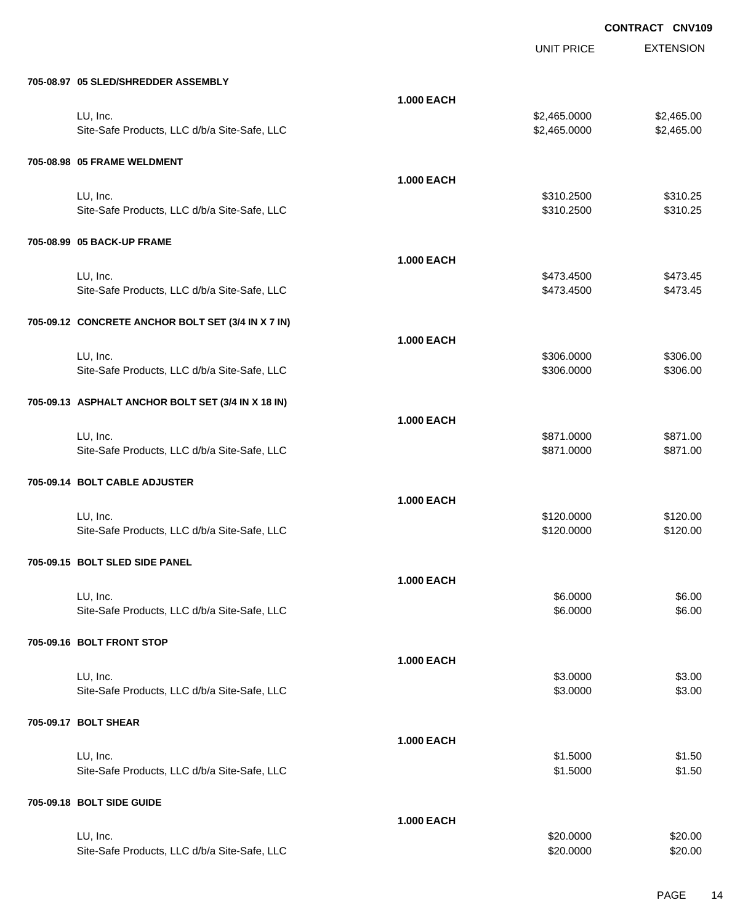UNIT PRICE

EXTENSION

| 705-08.97 05 SLED/SHREDDER ASSEMBLY                |                   |              |            |
|----------------------------------------------------|-------------------|--------------|------------|
|                                                    | <b>1.000 EACH</b> |              |            |
| LU, Inc.                                           |                   | \$2,465.0000 | \$2,465.00 |
| Site-Safe Products, LLC d/b/a Site-Safe, LLC       |                   | \$2,465.0000 | \$2,465.00 |
| 705-08.98 05 FRAME WELDMENT                        |                   |              |            |
|                                                    | <b>1.000 EACH</b> |              |            |
| LU, Inc.                                           |                   | \$310.2500   | \$310.25   |
| Site-Safe Products, LLC d/b/a Site-Safe, LLC       |                   | \$310.2500   | \$310.25   |
| 705-08.99 05 BACK-UP FRAME                         |                   |              |            |
|                                                    | <b>1.000 EACH</b> |              |            |
| LU, Inc.                                           |                   | \$473.4500   | \$473.45   |
| Site-Safe Products, LLC d/b/a Site-Safe, LLC       |                   | \$473.4500   | \$473.45   |
| 705-09.12 CONCRETE ANCHOR BOLT SET (3/4 IN X 7 IN) |                   |              |            |
|                                                    | <b>1.000 EACH</b> |              |            |
| LU, Inc.                                           |                   | \$306.0000   | \$306.00   |
| Site-Safe Products, LLC d/b/a Site-Safe, LLC       |                   | \$306.0000   | \$306.00   |
| 705-09.13 ASPHALT ANCHOR BOLT SET (3/4 IN X 18 IN) |                   |              |            |
|                                                    | <b>1.000 EACH</b> |              |            |
| LU, Inc.                                           |                   | \$871.0000   | \$871.00   |
| Site-Safe Products, LLC d/b/a Site-Safe, LLC       |                   | \$871.0000   | \$871.00   |
| 705-09.14 BOLT CABLE ADJUSTER                      |                   |              |            |
|                                                    | <b>1.000 EACH</b> |              |            |
| LU, Inc.                                           |                   | \$120.0000   | \$120.00   |
| Site-Safe Products, LLC d/b/a Site-Safe, LLC       |                   | \$120.0000   | \$120.00   |
| 705-09.15 BOLT SLED SIDE PANEL                     |                   |              |            |
|                                                    | <b>1.000 EACH</b> |              |            |
| LU, Inc.                                           |                   | \$6,0000     | \$6.00     |
| Site-Safe Products, LLC d/b/a Site-Safe, LLC       |                   | \$6.0000     | \$6.00     |
| 705-09.16 BOLT FRONT STOP                          |                   |              |            |
|                                                    | <b>1.000 EACH</b> |              |            |
| LU, Inc.                                           |                   | \$3.0000     | \$3.00     |
| Site-Safe Products, LLC d/b/a Site-Safe, LLC       |                   | \$3.0000     | \$3.00     |
| 705-09.17 BOLT SHEAR                               |                   |              |            |
|                                                    | <b>1.000 EACH</b> |              |            |
| LU, Inc.                                           |                   | \$1.5000     | \$1.50     |
| Site-Safe Products, LLC d/b/a Site-Safe, LLC       |                   | \$1.5000     | \$1.50     |
| 705-09.18 BOLT SIDE GUIDE                          |                   |              |            |
|                                                    | <b>1.000 EACH</b> |              |            |
| LU, Inc.                                           |                   | \$20.0000    | \$20.00    |

Site-Safe Products, LLC d/b/a Site-Safe, LLC  $$20.000$  \$20.0000 \$20.000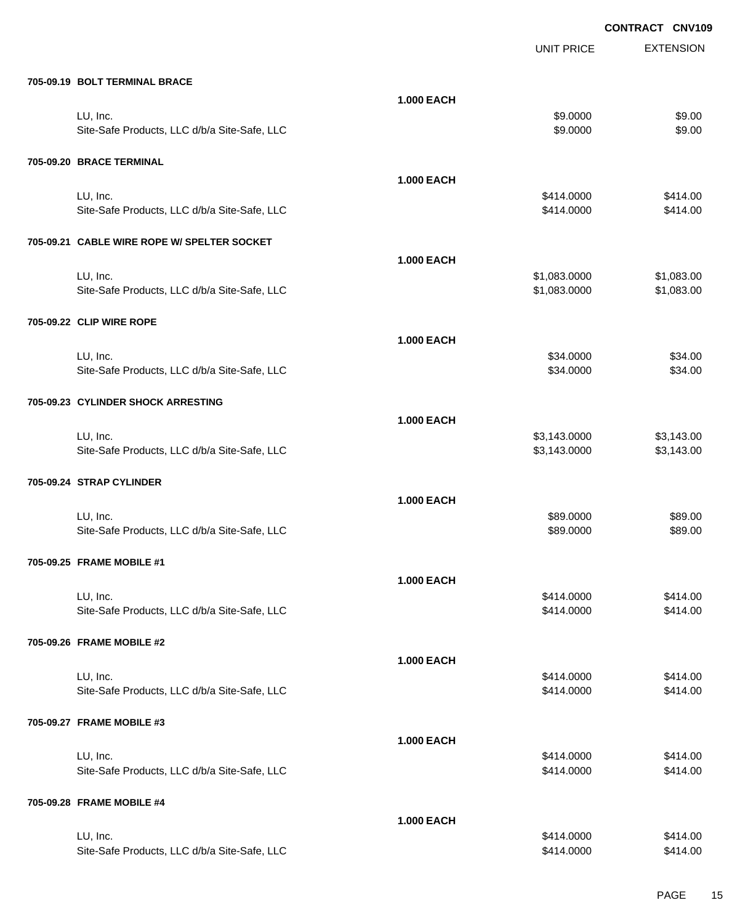|                                                          |                   |                        | ייטאיוייט<br><b>UNVIU</b> |
|----------------------------------------------------------|-------------------|------------------------|---------------------------|
|                                                          |                   | <b>UNIT PRICE</b>      | <b>EXTENSION</b>          |
| 705-09.19 BOLT TERMINAL BRACE                            |                   |                        |                           |
|                                                          | <b>1.000 EACH</b> |                        |                           |
| LU, Inc.                                                 |                   | \$9.0000               | \$9.00                    |
| Site-Safe Products, LLC d/b/a Site-Safe, LLC             |                   | \$9.0000               | \$9.00                    |
|                                                          |                   |                        |                           |
| 705-09.20 BRACE TERMINAL                                 |                   |                        |                           |
|                                                          | <b>1.000 EACH</b> |                        |                           |
| LU, Inc.                                                 |                   | \$414.0000             | \$414.00                  |
| Site-Safe Products, LLC d/b/a Site-Safe, LLC             |                   | \$414.0000             | \$414.00                  |
| 705-09.21 CABLE WIRE ROPE W/ SPELTER SOCKET              |                   |                        |                           |
|                                                          | <b>1.000 EACH</b> |                        |                           |
| LU, Inc.                                                 |                   | \$1,083.0000           | \$1,083.00                |
| Site-Safe Products, LLC d/b/a Site-Safe, LLC             |                   | \$1,083.0000           | \$1,083.00                |
|                                                          |                   |                        |                           |
| 705-09.22 CLIP WIRE ROPE                                 |                   |                        |                           |
|                                                          | <b>1.000 EACH</b> |                        |                           |
| LU, Inc.                                                 |                   | \$34.0000              | \$34.00                   |
| Site-Safe Products, LLC d/b/a Site-Safe, LLC             |                   | \$34.0000              | \$34.00                   |
|                                                          |                   |                        |                           |
| 705-09.23 CYLINDER SHOCK ARRESTING                       |                   |                        |                           |
|                                                          | <b>1.000 EACH</b> |                        |                           |
| LU, Inc.                                                 |                   | \$3,143.0000           | \$3,143.00                |
| Site-Safe Products, LLC d/b/a Site-Safe, LLC             |                   | \$3,143.0000           | \$3,143.00                |
| 705-09.24 STRAP CYLINDER                                 |                   |                        |                           |
|                                                          |                   |                        |                           |
|                                                          | <b>1.000 EACH</b> |                        |                           |
| LU, Inc.<br>Site-Safe Products, LLC d/b/a Site-Safe, LLC |                   | \$89.0000<br>\$89.0000 | \$89.00<br>\$89.00        |
|                                                          |                   |                        |                           |
| 705-09.25 FRAME MOBILE #1                                |                   |                        |                           |
|                                                          | <b>1.000 EACH</b> |                        |                           |
| LU, Inc.                                                 |                   | \$414.0000             | \$414.00                  |
| Site-Safe Products, LLC d/b/a Site-Safe, LLC             |                   | \$414.0000             | \$414.00                  |
|                                                          |                   |                        |                           |
| 705-09.26 FRAME MOBILE #2                                |                   |                        |                           |
|                                                          | <b>1.000 EACH</b> |                        |                           |
| LU, Inc.                                                 |                   | \$414.0000             | \$414.00                  |
| Site-Safe Products, LLC d/b/a Site-Safe, LLC             |                   | \$414.0000             | \$414.00                  |
|                                                          |                   |                        |                           |
| 705-09.27 FRAME MOBILE #3                                |                   |                        |                           |
|                                                          | <b>1.000 EACH</b> |                        |                           |
| LU, Inc.                                                 |                   | \$414.0000             | \$414.00                  |
| Site-Safe Products, LLC d/b/a Site-Safe, LLC             |                   | \$414.0000             | \$414.00                  |
| 705-09.28 FRAME MOBILE #4                                |                   |                        |                           |
|                                                          |                   |                        |                           |
| LU, Inc.                                                 | <b>1.000 EACH</b> | \$414.0000             | \$414.00                  |
| Site-Safe Products, LLC d/b/a Site-Safe, LLC             |                   | \$414.0000             | \$414.00                  |
|                                                          |                   |                        |                           |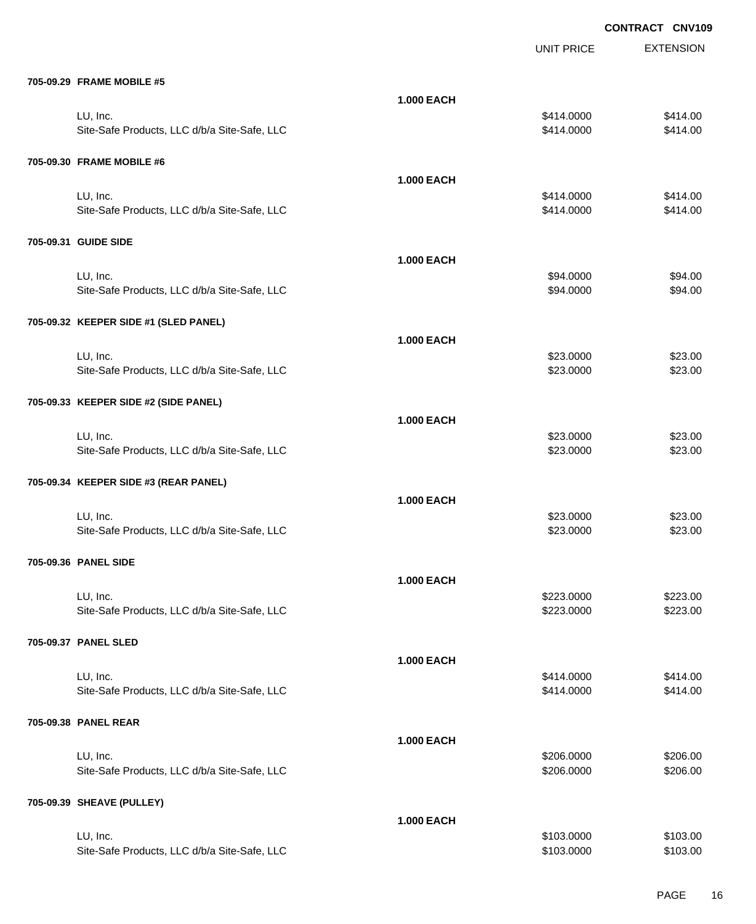|                                              |                   |                   | <b>UUNINAUI</b><br><b>UNVIL</b> |
|----------------------------------------------|-------------------|-------------------|---------------------------------|
|                                              |                   | <b>UNIT PRICE</b> | <b>EXTENSION</b>                |
| 705-09.29 FRAME MOBILE #5                    |                   |                   |                                 |
|                                              | <b>1.000 EACH</b> |                   |                                 |
| LU, Inc.                                     |                   | \$414.0000        | \$414.00                        |
| Site-Safe Products, LLC d/b/a Site-Safe, LLC |                   | \$414.0000        | \$414.00                        |
| 705-09.30 FRAME MOBILE #6                    |                   |                   |                                 |
|                                              | <b>1.000 EACH</b> |                   |                                 |
| LU, Inc.                                     |                   | \$414.0000        | \$414.00                        |
| Site-Safe Products, LLC d/b/a Site-Safe, LLC |                   | \$414.0000        | \$414.00                        |
| 705-09.31 GUIDE SIDE                         |                   |                   |                                 |
|                                              | <b>1.000 EACH</b> |                   |                                 |
| LU, Inc.                                     |                   | \$94.0000         | \$94.00                         |
| Site-Safe Products, LLC d/b/a Site-Safe, LLC |                   | \$94.0000         | \$94.00                         |
| 705-09.32 KEEPER SIDE #1 (SLED PANEL)        |                   |                   |                                 |
|                                              | <b>1.000 EACH</b> |                   |                                 |
| LU, Inc.                                     |                   | \$23.0000         | \$23.00                         |
| Site-Safe Products, LLC d/b/a Site-Safe, LLC |                   | \$23.0000         | \$23.00                         |
|                                              |                   |                   |                                 |
| 705-09.33 KEEPER SIDE #2 (SIDE PANEL)        |                   |                   |                                 |
|                                              | <b>1.000 EACH</b> |                   |                                 |
| LU, Inc.                                     |                   | \$23.0000         | \$23.00                         |
| Site-Safe Products, LLC d/b/a Site-Safe, LLC |                   | \$23.0000         | \$23.00                         |
| 705-09.34 KEEPER SIDE #3 (REAR PANEL)        |                   |                   |                                 |
|                                              | <b>1.000 EACH</b> |                   |                                 |
| LU, Inc.                                     |                   | \$23.0000         | \$23.00                         |
| Site-Safe Products, LLC d/b/a Site-Safe, LLC |                   | \$23.0000         | \$23.00                         |
| 705-09.36 PANEL SIDE                         |                   |                   |                                 |
|                                              | <b>1.000 EACH</b> |                   |                                 |
| LU, Inc.                                     |                   | \$223.0000        | \$223.00                        |
| Site-Safe Products, LLC d/b/a Site-Safe, LLC |                   | \$223.0000        | \$223.00                        |
| 705-09.37 PANEL SLED                         |                   |                   |                                 |
|                                              | <b>1.000 EACH</b> |                   |                                 |
| LU, Inc.                                     |                   | \$414.0000        | \$414.00                        |
| Site-Safe Products, LLC d/b/a Site-Safe, LLC |                   | \$414.0000        | \$414.00                        |
| 705-09.38 PANEL REAR                         |                   |                   |                                 |
|                                              | <b>1.000 EACH</b> |                   |                                 |
| LU, Inc.                                     |                   | \$206.0000        | \$206.00                        |
| Site-Safe Products, LLC d/b/a Site-Safe, LLC |                   | \$206.0000        | \$206.00                        |
| 705-09.39 SHEAVE (PULLEY)                    |                   |                   |                                 |
|                                              | <b>1.000 EACH</b> |                   |                                 |
| LU, Inc.                                     |                   | \$103.0000        | \$103.00                        |
| Site-Safe Products, LLC d/b/a Site-Safe, LLC |                   | \$103.0000        | \$103.00                        |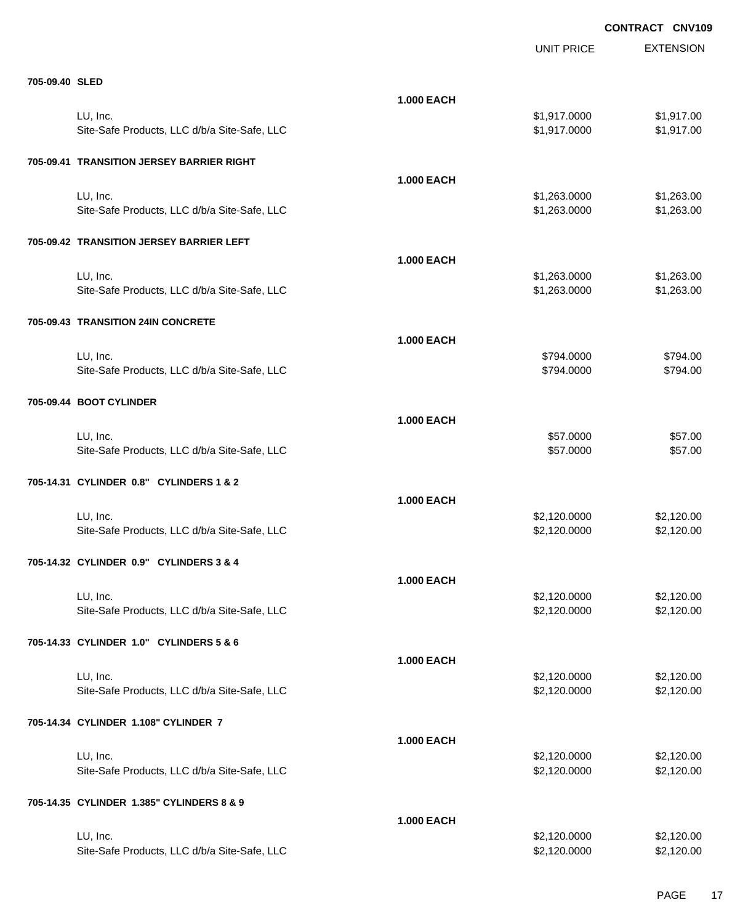EXTENSION **CONTRACT CNV109** UNIT PRICE **705-09.40 SLED 1.000 EACH** LU, Inc. \$1,917.0000 \$1,917.00 Site-Safe Products, LLC d/b/a Site-Safe, LLC  $$1,917.000$  \$1,917.0000 \$1,917.00 **705-09.41 TRANSITION JERSEY BARRIER RIGHT 1.000 EACH** LU, Inc. \$1,263.0000 \$1,263.00 Site-Safe Products, LLC d/b/a Site-Safe, LLC  $$1,263.000$  \$1,263.000 \$1,263.00 **705-09.42 TRANSITION JERSEY BARRIER LEFT 1.000 EACH** LU, Inc. \$1,263.0000 \$1,263.00 Site-Safe Products, LLC d/b/a Site-Safe, LLC \$1,263.000 \$1,263.000 \$1,263.000 **705-09.43 TRANSITION 24IN CONCRETE 1.000 EACH** LU, Inc. \$794.0000 \$794.00 Site-Safe Products, LLC d/b/a Site-Safe, LLC  $$794.000$  \$794.0000 \$794.000 **705-09.44 BOOT CYLINDER 1.000 EACH** LU, Inc. \$57.0000 \$57.00 Site-Safe Products, LLC d/b/a Site-Safe, LLC  $$57.000$  \$57.0000  $$57.00$ **705-14.31 CYLINDER 0.8" CYLINDERS 1 & 2 1.000 EACH** LU, Inc. \$2,120.0000 \$2,120.00 Site-Safe Products, LLC d/b/a Site-Safe, LLC  $$2,120.000$  \$2,120.000 \$2,120.000 **705-14.32 CYLINDER 0.9" CYLINDERS 3 & 4 1.000 EACH** LU, Inc. \$2,120.0000 \$2,120.00 Site-Safe Products, LLC d/b/a Site-Safe, LLC  $$2,120.000$  \$2,120.000 \$2,120.000 **705-14.33 CYLINDER 1.0" CYLINDERS 5 & 6 1.000 EACH** LU, Inc. \$2,120.0000 \$2,120.00 Site-Safe Products, LLC d/b/a Site-Safe, LLC  $$2,120.000$  \$2,120.000 \$2,120.000 **705-14.34 CYLINDER 1.108" CYLINDER 7 1.000 EACH** LU, Inc. \$2,120.0000 \$2,120.00 Site-Safe Products, LLC d/b/a Site-Safe, LLC  $$2,120.0000$  \$2,120.000 \$2,120.000 **705-14.35 CYLINDER 1.385" CYLINDERS 8 & 9 1.000 EACH** LU, Inc. \$2,120.0000 \$2,120.00

Site-Safe Products, LLC d/b/a Site-Safe, LLC  $$2,120.000$  \$2,120.000 \$2,120.000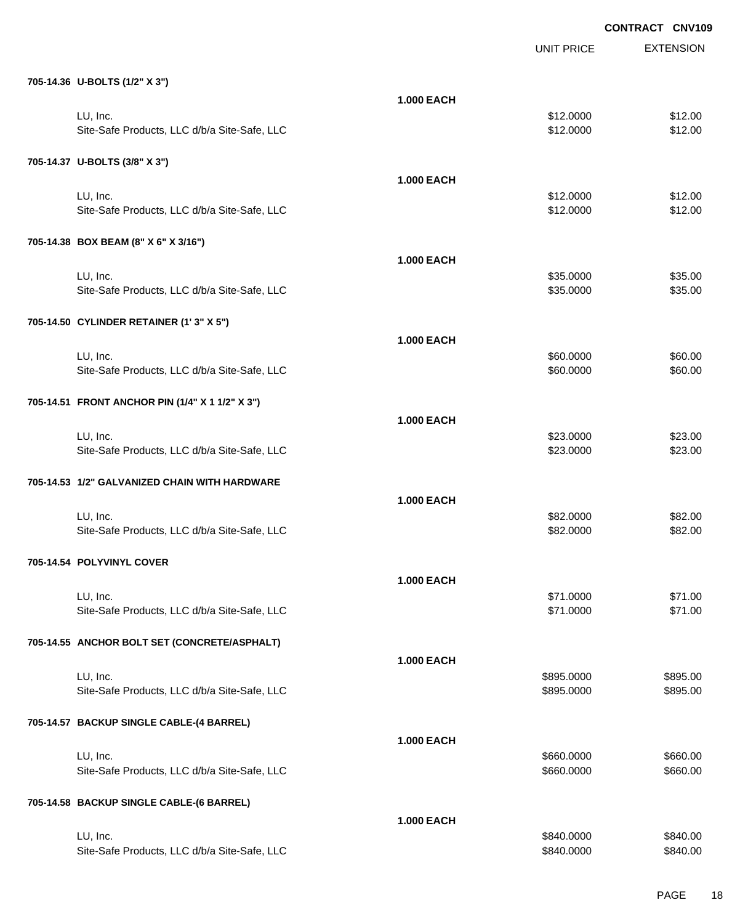|                                                 |                   |                   | <b>CONTRACT CNV109</b> |
|-------------------------------------------------|-------------------|-------------------|------------------------|
|                                                 |                   | <b>UNIT PRICE</b> | <b>EXTENSION</b>       |
| 705-14.36 U-BOLTS (1/2" X 3")                   |                   |                   |                        |
|                                                 | <b>1.000 EACH</b> |                   |                        |
| LU, Inc.                                        |                   | \$12.0000         | \$12.00                |
| Site-Safe Products, LLC d/b/a Site-Safe, LLC    |                   | \$12.0000         | \$12.00                |
| 705-14.37 U-BOLTS (3/8" X 3")                   |                   |                   |                        |
|                                                 | <b>1.000 EACH</b> |                   |                        |
| LU, Inc.                                        |                   | \$12.0000         | \$12.00                |
| Site-Safe Products, LLC d/b/a Site-Safe, LLC    |                   | \$12.0000         | \$12.00                |
| 705-14.38 BOX BEAM (8" X 6" X 3/16")            |                   |                   |                        |
|                                                 | <b>1.000 EACH</b> |                   |                        |
| LU, Inc.                                        |                   | \$35.0000         | \$35.00                |
| Site-Safe Products, LLC d/b/a Site-Safe, LLC    |                   | \$35.0000         | \$35.00                |
| 705-14.50 CYLINDER RETAINER (1'3" X 5")         |                   |                   |                        |
|                                                 | <b>1.000 EACH</b> |                   |                        |
| LU, Inc.                                        |                   | \$60.0000         | \$60.00                |
| Site-Safe Products, LLC d/b/a Site-Safe, LLC    |                   | \$60.0000         | \$60.00                |
| 705-14.51 FRONT ANCHOR PIN (1/4" X 1 1/2" X 3") |                   |                   |                        |
|                                                 | <b>1.000 EACH</b> |                   |                        |
| LU, Inc.                                        |                   | \$23.0000         | \$23.00                |
| Site-Safe Products, LLC d/b/a Site-Safe, LLC    |                   | \$23.0000         | \$23.00                |
| 705-14.53 1/2" GALVANIZED CHAIN WITH HARDWARE   |                   |                   |                        |
|                                                 | <b>1.000 EACH</b> |                   |                        |
| LU, Inc.                                        |                   | \$82.0000         | \$82.00                |
| Site-Safe Products, LLC d/b/a Site-Safe, LLC    |                   | \$82.0000         | \$82.00                |
| 705-14.54 POLYVINYL COVER                       |                   |                   |                        |
|                                                 | <b>1.000 EACH</b> |                   |                        |
| LU, Inc.                                        |                   | \$71.0000         | \$71.00                |
| Site-Safe Products, LLC d/b/a Site-Safe, LLC    |                   | \$71.0000         | \$71.00                |
| 705-14.55 ANCHOR BOLT SET (CONCRETE/ASPHALT)    |                   |                   |                        |
|                                                 | <b>1.000 EACH</b> |                   |                        |
| LU, Inc.                                        |                   | \$895.0000        | \$895.00               |
| Site-Safe Products, LLC d/b/a Site-Safe, LLC    |                   | \$895.0000        | \$895.00               |
| 705-14.57 BACKUP SINGLE CABLE-(4 BARREL)        |                   |                   |                        |
|                                                 | <b>1.000 EACH</b> |                   |                        |
| LU, Inc.                                        |                   | \$660.0000        | \$660.00               |
| Site-Safe Products, LLC d/b/a Site-Safe, LLC    |                   | \$660.0000        | \$660.00               |
| 705-14.58 BACKUP SINGLE CABLE-(6 BARREL)        |                   |                   |                        |
|                                                 | <b>1.000 EACH</b> |                   |                        |
| LU, Inc.                                        |                   | \$840.0000        | \$840.00               |
| Site-Safe Products, LLC d/b/a Site-Safe, LLC    |                   | \$840.0000        | \$840.00               |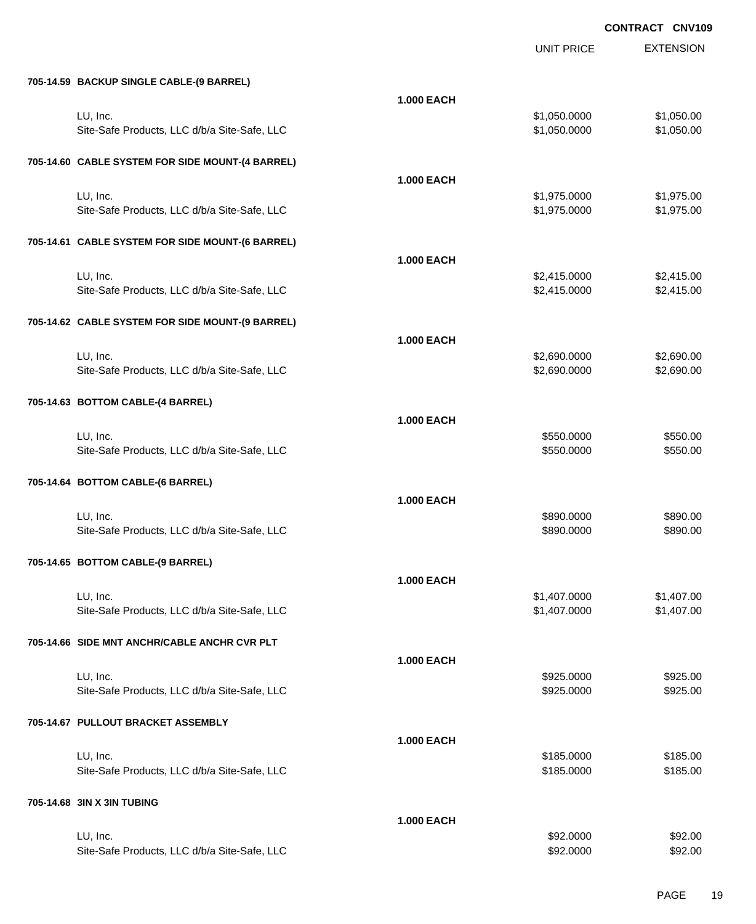|                                                  |                   | <b>UNIT PRICE</b> | <b>EXTENSION</b> |
|--------------------------------------------------|-------------------|-------------------|------------------|
| 705-14.59 BACKUP SINGLE CABLE-(9 BARREL)         |                   |                   |                  |
|                                                  | <b>1.000 EACH</b> |                   |                  |
| LU, Inc.                                         |                   | \$1,050.0000      | \$1,050.00       |
| Site-Safe Products, LLC d/b/a Site-Safe, LLC     |                   | \$1,050.0000      | \$1,050.00       |
| 705-14.60 CABLE SYSTEM FOR SIDE MOUNT-(4 BARREL) |                   |                   |                  |
|                                                  | <b>1.000 EACH</b> |                   |                  |
| LU, Inc.                                         |                   | \$1,975.0000      | \$1,975.00       |
| Site-Safe Products, LLC d/b/a Site-Safe, LLC     |                   | \$1,975.0000      | \$1,975.00       |
| 705-14.61 CABLE SYSTEM FOR SIDE MOUNT-(6 BARREL) |                   |                   |                  |
|                                                  | <b>1.000 EACH</b> |                   |                  |
| LU, Inc.                                         |                   | \$2,415.0000      | \$2,415.00       |
| Site-Safe Products, LLC d/b/a Site-Safe, LLC     |                   | \$2,415.0000      | \$2,415.00       |
|                                                  |                   |                   |                  |
| 705-14.62 CABLE SYSTEM FOR SIDE MOUNT-(9 BARREL) |                   |                   |                  |
|                                                  | <b>1.000 EACH</b> |                   |                  |
| LU, Inc.                                         |                   | \$2,690.0000      | \$2,690.00       |
| Site-Safe Products, LLC d/b/a Site-Safe, LLC     |                   | \$2,690.0000      | \$2,690.00       |
| 705-14.63 BOTTOM CABLE-(4 BARREL)                |                   |                   |                  |
|                                                  | <b>1.000 EACH</b> |                   |                  |
| LU, Inc.                                         |                   | \$550.0000        | \$550.00         |
| Site-Safe Products, LLC d/b/a Site-Safe, LLC     |                   | \$550.0000        | \$550.00         |
| 705-14.64 BOTTOM CABLE-(6 BARREL)                |                   |                   |                  |
|                                                  |                   |                   |                  |
|                                                  | <b>1.000 EACH</b> |                   |                  |
| LU, Inc.                                         |                   | \$890.0000        | \$890.00         |
| Site-Safe Products, LLC d/b/a Site-Safe, LLC     |                   | \$890.0000        | \$890.00         |
| 705-14.65 BOTTOM CABLE-(9 BARREL)                |                   |                   |                  |
|                                                  | <b>1.000 EACH</b> |                   |                  |
| LU, Inc.                                         |                   | \$1,407.0000      | \$1,407.00       |
| Site-Safe Products, LLC d/b/a Site-Safe, LLC     |                   | \$1,407.0000      | \$1,407.00       |
| 705-14.66 SIDE MNT ANCHR/CABLE ANCHR CVR PLT     |                   |                   |                  |
|                                                  | <b>1.000 EACH</b> |                   |                  |
| LU, Inc.                                         |                   | \$925.0000        | \$925.00         |
| Site-Safe Products, LLC d/b/a Site-Safe, LLC     |                   | \$925.0000        | \$925.00         |
| 705-14.67 PULLOUT BRACKET ASSEMBLY               |                   |                   |                  |
|                                                  | <b>1.000 EACH</b> |                   |                  |
| LU, Inc.                                         |                   | \$185.0000        | \$185.00         |
| Site-Safe Products, LLC d/b/a Site-Safe, LLC     |                   | \$185.0000        | \$185.00         |
|                                                  |                   |                   |                  |
| 705-14.68 3IN X 3IN TUBING                       |                   |                   |                  |
| LU, Inc.                                         | <b>1.000 EACH</b> | \$92.0000         | \$92.00          |
| Site-Safe Products, LLC d/b/a Site-Safe, LLC     |                   | \$92.0000         | \$92.00          |
|                                                  |                   |                   |                  |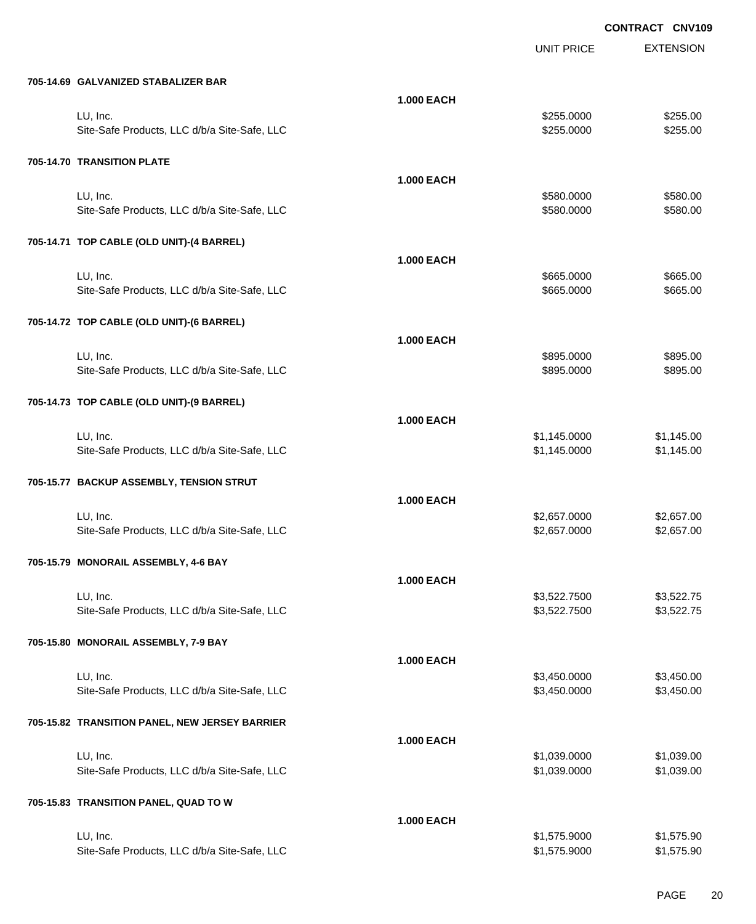|                                                |                   | <b>UNIT PRICE</b> | <b>EXTENSION</b> |
|------------------------------------------------|-------------------|-------------------|------------------|
| 705-14.69 GALVANIZED STABALIZER BAR            |                   |                   |                  |
|                                                | <b>1.000 EACH</b> |                   |                  |
| LU, Inc.                                       |                   | \$255.0000        | \$255.00         |
| Site-Safe Products, LLC d/b/a Site-Safe, LLC   |                   | \$255.0000        | \$255.00         |
| 705-14.70 TRANSITION PLATE                     |                   |                   |                  |
|                                                | <b>1.000 EACH</b> |                   |                  |
| LU, Inc.                                       |                   | \$580.0000        | \$580.00         |
| Site-Safe Products, LLC d/b/a Site-Safe, LLC   |                   | \$580.0000        | \$580.00         |
| 705-14.71 TOP CABLE (OLD UNIT)-(4 BARREL)      |                   |                   |                  |
|                                                | <b>1.000 EACH</b> |                   |                  |
| LU, Inc.                                       |                   | \$665.0000        | \$665.00         |
| Site-Safe Products, LLC d/b/a Site-Safe, LLC   |                   | \$665.0000        | \$665.00         |
| 705-14.72 TOP CABLE (OLD UNIT)-(6 BARREL)      |                   |                   |                  |
|                                                | <b>1.000 EACH</b> |                   |                  |
| LU, Inc.                                       |                   | \$895.0000        | \$895.00         |
| Site-Safe Products, LLC d/b/a Site-Safe, LLC   |                   | \$895.0000        | \$895.00         |
| 705-14.73 TOP CABLE (OLD UNIT)-(9 BARREL)      |                   |                   |                  |
|                                                | <b>1.000 EACH</b> |                   |                  |
| LU, Inc.                                       |                   | \$1,145.0000      | \$1,145.00       |
| Site-Safe Products, LLC d/b/a Site-Safe, LLC   |                   | \$1,145.0000      | \$1,145.00       |
| 705-15.77 BACKUP ASSEMBLY, TENSION STRUT       |                   |                   |                  |
|                                                | <b>1.000 EACH</b> |                   |                  |
| LU, Inc.                                       |                   | \$2,657.0000      | \$2,657.00       |
| Site-Safe Products, LLC d/b/a Site-Safe, LLC   |                   | \$2,657.0000      | \$2,657.00       |
|                                                |                   |                   |                  |
| 705-15.79 MONORAIL ASSEMBLY, 4-6 BAY           |                   |                   |                  |
|                                                | <b>1.000 EACH</b> |                   |                  |
| LU, Inc.                                       |                   | \$3,522.7500      | \$3,522.75       |
| Site-Safe Products, LLC d/b/a Site-Safe, LLC   |                   | \$3,522.7500      | \$3,522.75       |
| 705-15.80 MONORAIL ASSEMBLY, 7-9 BAY           |                   |                   |                  |
|                                                | <b>1.000 EACH</b> |                   |                  |
| LU, Inc.                                       |                   | \$3,450.0000      | \$3,450.00       |
| Site-Safe Products, LLC d/b/a Site-Safe, LLC   |                   | \$3,450.0000      | \$3,450.00       |
| 705-15.82 TRANSITION PANEL, NEW JERSEY BARRIER |                   |                   |                  |
|                                                | <b>1.000 EACH</b> |                   |                  |
| LU, Inc.                                       |                   | \$1,039.0000      | \$1,039.00       |
| Site-Safe Products, LLC d/b/a Site-Safe, LLC   |                   | \$1,039.0000      | \$1,039.00       |
| 705-15.83 TRANSITION PANEL, QUAD TO W          |                   |                   |                  |
|                                                | <b>1.000 EACH</b> |                   |                  |
| LU, Inc.                                       |                   | \$1,575.9000      | \$1,575.90       |
| Site-Safe Products, LLC d/b/a Site-Safe, LLC   |                   | \$1,575.9000      | \$1,575.90       |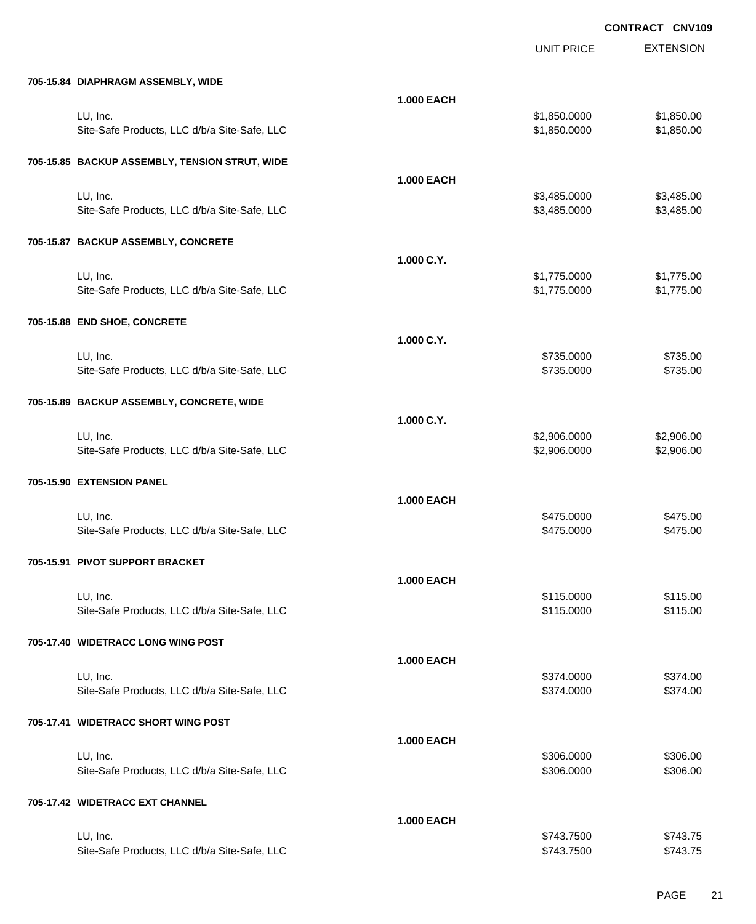|                                                |                   | <b>UNIT PRICE</b>        | <b>EXTENSION</b> |
|------------------------------------------------|-------------------|--------------------------|------------------|
| 705-15.84 DIAPHRAGM ASSEMBLY, WIDE             |                   |                          |                  |
|                                                | <b>1.000 EACH</b> |                          |                  |
| LU, Inc.                                       |                   | \$1,850.0000             | \$1,850.00       |
| Site-Safe Products, LLC d/b/a Site-Safe, LLC   |                   | \$1,850.0000             | \$1,850.00       |
| 705-15.85 BACKUP ASSEMBLY, TENSION STRUT, WIDE |                   |                          |                  |
|                                                | <b>1.000 EACH</b> |                          |                  |
| LU, Inc.                                       |                   | \$3,485.0000             | \$3,485.00       |
| Site-Safe Products, LLC d/b/a Site-Safe, LLC   |                   | \$3,485.0000             | \$3,485.00       |
| 705-15.87 BACKUP ASSEMBLY, CONCRETE            |                   |                          |                  |
|                                                | 1.000 C.Y.        |                          |                  |
| LU, Inc.                                       |                   | \$1,775.0000             | \$1,775.00       |
| Site-Safe Products, LLC d/b/a Site-Safe, LLC   |                   | \$1,775.0000             | \$1,775.00       |
| 705-15.88 END SHOE, CONCRETE                   |                   |                          |                  |
|                                                | 1.000 C.Y.        |                          |                  |
| LU, Inc.                                       |                   | \$735.0000               | \$735.00         |
| Site-Safe Products, LLC d/b/a Site-Safe, LLC   |                   | \$735.0000               | \$735.00         |
| 705-15.89 BACKUP ASSEMBLY, CONCRETE, WIDE      |                   |                          |                  |
|                                                | 1.000 C.Y.        |                          |                  |
| LU, Inc.                                       |                   | \$2,906.0000             | \$2,906.00       |
| Site-Safe Products, LLC d/b/a Site-Safe, LLC   |                   | \$2,906.0000             | \$2,906.00       |
| 705-15.90 EXTENSION PANEL                      |                   |                          |                  |
|                                                | <b>1.000 EACH</b> |                          |                  |
| LU, Inc.                                       |                   | \$475.0000               | \$475.00         |
| Site-Safe Products, LLC d/b/a Site-Safe, LLC   |                   | \$475.0000               | \$475.00         |
| 705-15.91 PIVOT SUPPORT BRACKET                |                   |                          |                  |
|                                                | <b>1.000 EACH</b> |                          |                  |
| LU, Inc.                                       |                   | \$115.0000               | \$115.00         |
| Site-Safe Products, LLC d/b/a Site-Safe, LLC   |                   | \$115.0000               | \$115.00         |
| 705-17.40 WIDETRACC LONG WING POST             |                   |                          |                  |
|                                                | <b>1.000 EACH</b> |                          |                  |
| LU, Inc.                                       |                   | \$374.0000<br>\$374.0000 | \$374.00         |
| Site-Safe Products, LLC d/b/a Site-Safe, LLC   |                   |                          | \$374.00         |
| 705-17.41 WIDETRACC SHORT WING POST            |                   |                          |                  |
|                                                | <b>1.000 EACH</b> |                          |                  |
| LU, Inc.                                       |                   | \$306.0000               | \$306.00         |
| Site-Safe Products, LLC d/b/a Site-Safe, LLC   |                   | \$306.0000               | \$306.00         |
| 705-17.42 WIDETRACC EXT CHANNEL                |                   |                          |                  |
|                                                | <b>1.000 EACH</b> |                          |                  |
| LU, Inc.                                       |                   | \$743.7500               | \$743.75         |
| Site-Safe Products, LLC d/b/a Site-Safe, LLC   |                   | \$743.7500               | \$743.75         |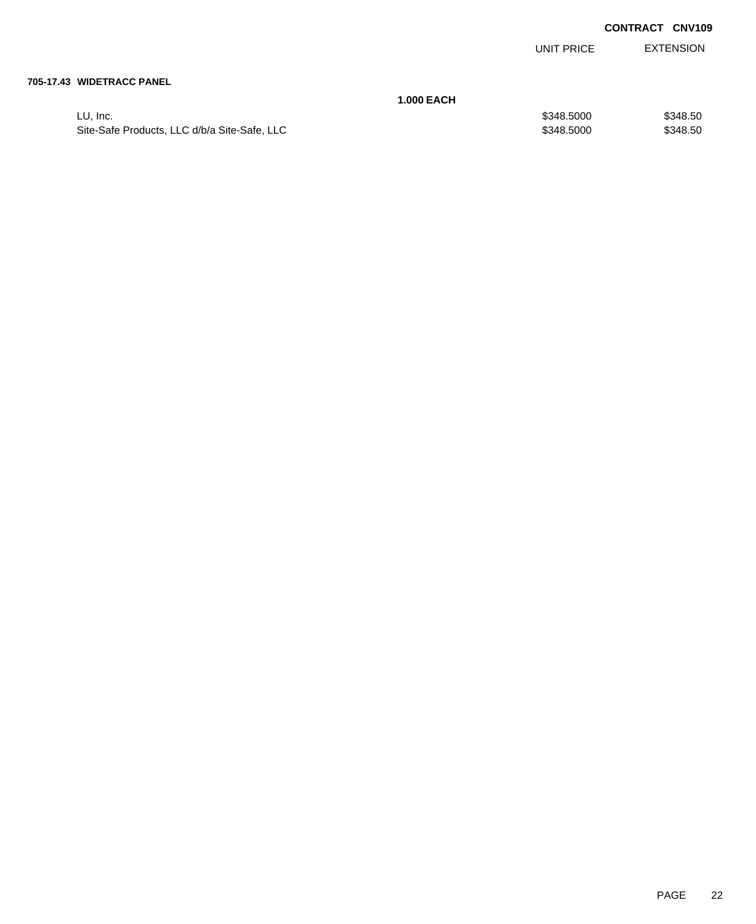UNIT PRICE EXTENSION

#### **705-17.43 WIDETRACC PANEL**

|                                              | 1.000 EACH |            |          |
|----------------------------------------------|------------|------------|----------|
| LU. Inc.                                     |            | \$348,5000 | \$348.50 |
| Site-Safe Products, LLC d/b/a Site-Safe, LLC |            | \$348,5000 | \$348.50 |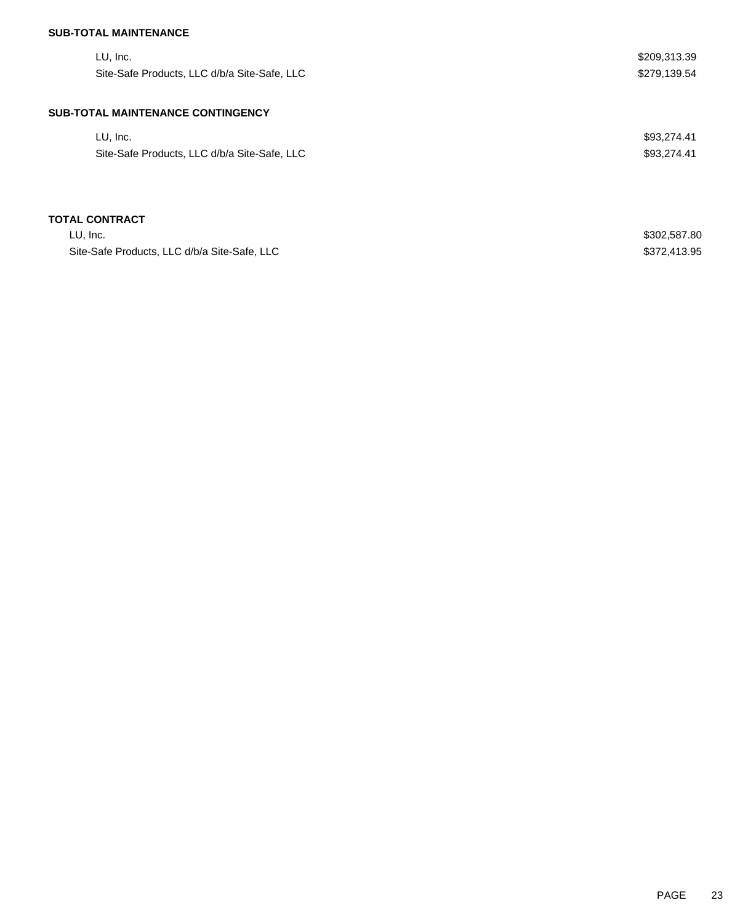## **SUB-TOTAL MAINTENANCE**

| LU, Inc.<br>Site-Safe Products, LLC d/b/a Site-Safe, LLC | \$209,313.39<br>\$279,139.54 |
|----------------------------------------------------------|------------------------------|
| <b>SUB-TOTAL MAINTENANCE CONTINGENCY</b>                 |                              |
| LU, Inc.                                                 | \$93,274.41                  |
| Site-Safe Products, LLC d/b/a Site-Safe, LLC             | \$93,274.41                  |
|                                                          |                              |
| <b>TOTAL CONTRACT</b>                                    |                              |
| LU, Inc.                                                 | \$302,587.80                 |
| Site-Safe Products, LLC d/b/a Site-Safe, LLC             | \$372,413.95                 |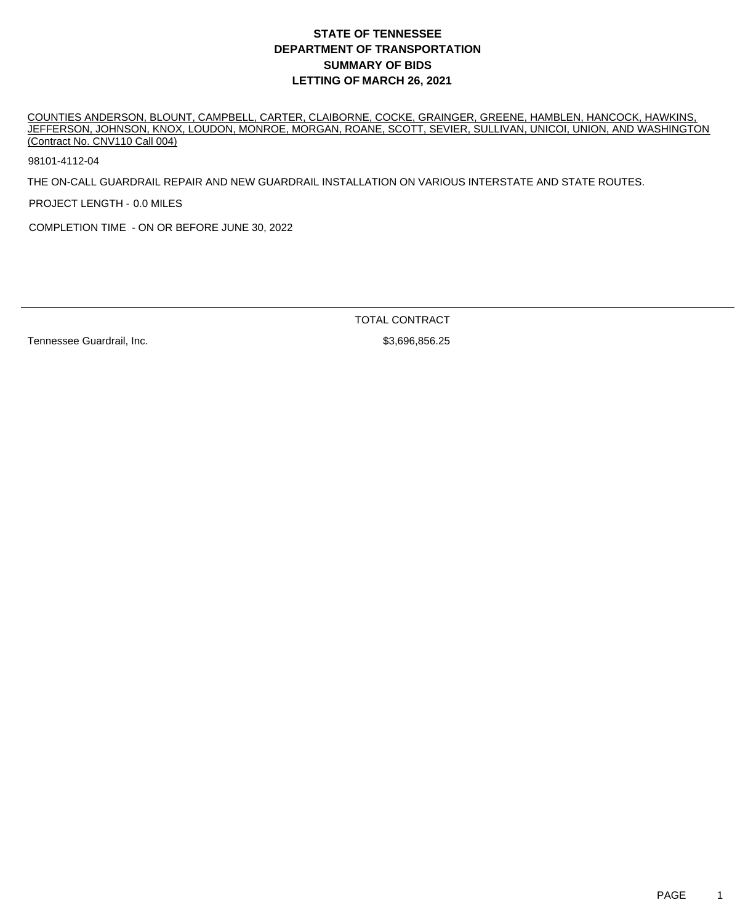## **DEPARTMENT OF TRANSPORTATION SUMMARY OF BIDS LETTING OF MARCH 26, 2021 STATE OF TENNESSEE**

COUNTIES ANDERSON, BLOUNT, CAMPBELL, CARTER, CLAIBORNE, COCKE, GRAINGER, GREENE, HAMBLEN, HANCOCK, HAWKINS, JEFFERSON, JOHNSON, KNOX, LOUDON, MONROE, MORGAN, ROANE, SCOTT, SEVIER, SULLIVAN, UNICOI, UNION, AND WASHINGTON (Contract No. CNV110 Call 004)

98101-4112-04

THE ON-CALL GUARDRAIL REPAIR AND NEW GUARDRAIL INSTALLATION ON VARIOUS INTERSTATE AND STATE ROUTES.

PROJECT LENGTH - 0.0 MILES

COMPLETION TIME - ON OR BEFORE JUNE 30, 2022

Tennessee Guardrail, Inc. 6. The Same State of the S3,696,856.25

TOTAL CONTRACT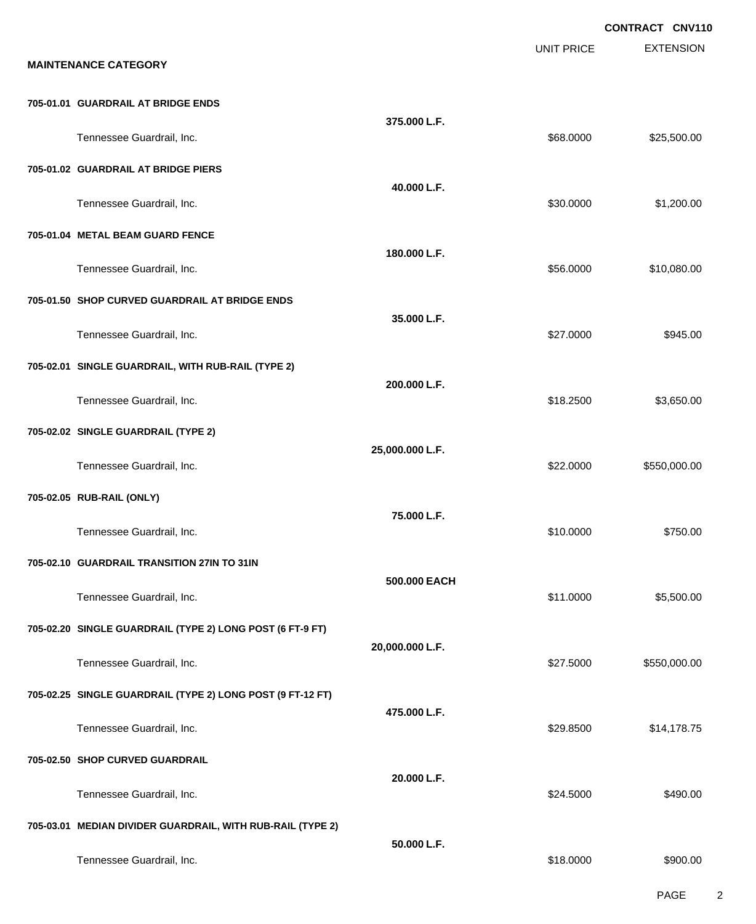|                                                            |                 |                   | <b>CONTRACT CNV110</b> |
|------------------------------------------------------------|-----------------|-------------------|------------------------|
| <b>MAINTENANCE CATEGORY</b>                                |                 | <b>UNIT PRICE</b> | <b>EXTENSION</b>       |
| 705-01.01 GUARDRAIL AT BRIDGE ENDS                         |                 |                   |                        |
| Tennessee Guardrail, Inc.                                  | 375.000 L.F.    | \$68.0000         | \$25,500.00            |
| 705-01.02 GUARDRAIL AT BRIDGE PIERS                        |                 |                   |                        |
| Tennessee Guardrail, Inc.                                  | 40.000 L.F.     | \$30.0000         | \$1,200.00             |
| 705-01.04 METAL BEAM GUARD FENCE                           |                 |                   |                        |
| Tennessee Guardrail, Inc.                                  | 180.000 L.F.    | \$56.0000         | \$10,080.00            |
| 705-01.50 SHOP CURVED GUARDRAIL AT BRIDGE ENDS             |                 |                   |                        |
| Tennessee Guardrail, Inc.                                  | 35.000 L.F.     | \$27.0000         | \$945.00               |
| 705-02.01 SINGLE GUARDRAIL, WITH RUB-RAIL (TYPE 2)         |                 |                   |                        |
| Tennessee Guardrail, Inc.                                  | 200.000 L.F.    | \$18.2500         | \$3,650.00             |
| 705-02.02 SINGLE GUARDRAIL (TYPE 2)                        |                 |                   |                        |
| Tennessee Guardrail, Inc.                                  | 25,000.000 L.F. | \$22.0000         | \$550,000.00           |
| 705-02.05 RUB-RAIL (ONLY)                                  |                 |                   |                        |
| Tennessee Guardrail, Inc.                                  | 75.000 L.F.     | \$10.0000         | \$750.00               |
| 705-02.10 GUARDRAIL TRANSITION 27IN TO 31IN                |                 |                   |                        |
| Tennessee Guardrail, Inc.                                  | 500.000 EACH    | \$11.0000         | \$5,500.00             |
| 705-02.20 SINGLE GUARDRAIL (TYPE 2) LONG POST (6 FT-9 FT)  |                 |                   |                        |
| Tennessee Guardrail, Inc.                                  | 20,000.000 L.F. | \$27.5000         | \$550,000.00           |
| 705-02.25 SINGLE GUARDRAIL (TYPE 2) LONG POST (9 FT-12 FT) |                 |                   |                        |
| Tennessee Guardrail, Inc.                                  | 475.000 L.F.    | \$29.8500         | \$14,178.75            |
| 705-02.50 SHOP CURVED GUARDRAIL                            |                 |                   |                        |
| Tennessee Guardrail, Inc.                                  | 20.000 L.F.     | \$24.5000         | \$490.00               |
| 705-03.01 MEDIAN DIVIDER GUARDRAIL, WITH RUB-RAIL (TYPE 2) |                 |                   |                        |
| Tennessee Guardrail, Inc.                                  | 50.000 L.F.     | \$18.0000         | \$900.00               |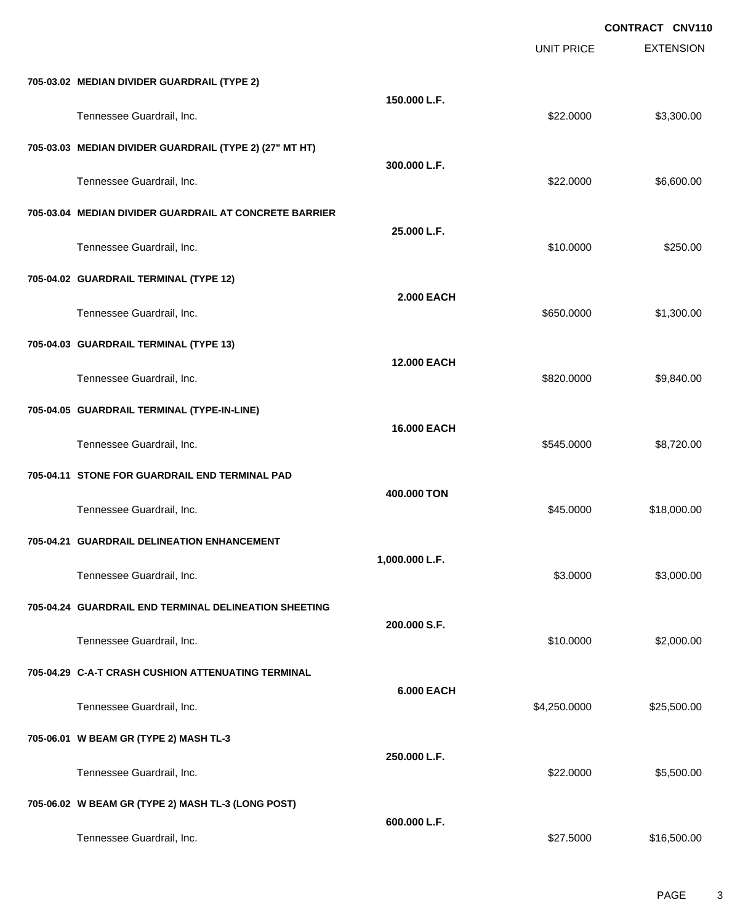|                                                         |                   |                   | <b>CONTRACT CNV110</b> |
|---------------------------------------------------------|-------------------|-------------------|------------------------|
|                                                         |                   | <b>UNIT PRICE</b> | <b>EXTENSION</b>       |
| 705-03.02 MEDIAN DIVIDER GUARDRAIL (TYPE 2)             |                   |                   |                        |
| Tennessee Guardrail, Inc.                               | 150.000 L.F.      | \$22.0000         | \$3,300.00             |
| 705-03.03 MEDIAN DIVIDER GUARDRAIL (TYPE 2) (27" MT HT) |                   |                   |                        |
| Tennessee Guardrail, Inc.                               | 300.000 L.F.      | \$22.0000         | \$6,600.00             |
| 705-03.04 MEDIAN DIVIDER GUARDRAIL AT CONCRETE BARRIER  |                   |                   |                        |
| Tennessee Guardrail, Inc.                               | 25.000 L.F.       | \$10.0000         | \$250.00               |
| 705-04.02 GUARDRAIL TERMINAL (TYPE 12)                  |                   |                   |                        |
| Tennessee Guardrail, Inc.                               | <b>2.000 EACH</b> | \$650.0000        | \$1,300.00             |
| 705-04.03 GUARDRAIL TERMINAL (TYPE 13)                  |                   |                   |                        |
| Tennessee Guardrail, Inc.                               | 12.000 EACH       | \$820.0000        | \$9,840.00             |
| 705-04.05 GUARDRAIL TERMINAL (TYPE-IN-LINE)             |                   |                   |                        |
| Tennessee Guardrail, Inc.                               | 16.000 EACH       | \$545.0000        | \$8,720.00             |
| 705-04.11 STONE FOR GUARDRAIL END TERMINAL PAD          |                   |                   |                        |
| Tennessee Guardrail, Inc.                               | 400.000 TON       | \$45.0000         | \$18,000.00            |
| 705-04.21 GUARDRAIL DELINEATION ENHANCEMENT             |                   |                   |                        |
| Tennessee Guardrail, Inc.                               | 1,000.000 L.F.    | \$3.0000          | \$3,000.00             |
| 705-04.24 GUARDRAIL END TERMINAL DELINEATION SHEETING   |                   |                   |                        |
| Tennessee Guardrail, Inc.                               | 200.000 S.F.      | \$10.0000         | \$2,000.00             |
| 705-04.29 C-A-T CRASH CUSHION ATTENUATING TERMINAL      |                   |                   |                        |
| Tennessee Guardrail, Inc.                               | <b>6.000 EACH</b> | \$4,250.0000      | \$25,500.00            |
| 705-06.01 W BEAM GR (TYPE 2) MASH TL-3                  |                   |                   |                        |
| Tennessee Guardrail, Inc.                               | 250.000 L.F.      | \$22.0000         | \$5,500.00             |
| 705-06.02 W BEAM GR (TYPE 2) MASH TL-3 (LONG POST)      |                   |                   |                        |
| Tennessee Guardrail, Inc.                               | 600.000 L.F.      | \$27.5000         | \$16,500.00            |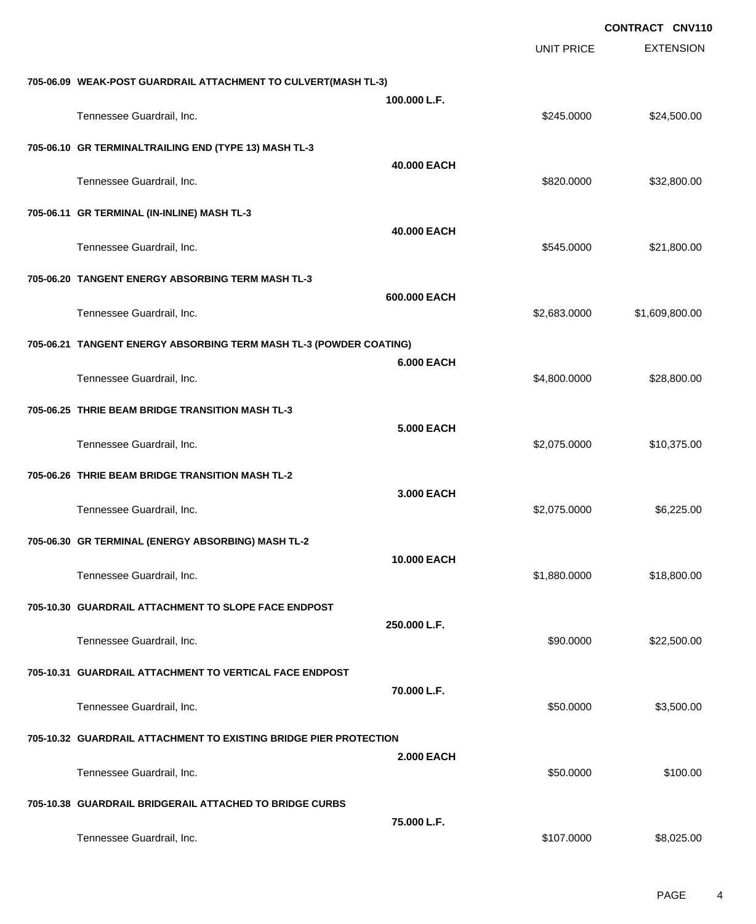|                                                                    |                   |                   | <b>CONTRACT CNV110</b> |
|--------------------------------------------------------------------|-------------------|-------------------|------------------------|
|                                                                    |                   | <b>UNIT PRICE</b> | <b>EXTENSION</b>       |
| 705-06.09 WEAK-POST GUARDRAIL ATTACHMENT TO CULVERT(MASH TL-3)     |                   |                   |                        |
| Tennessee Guardrail, Inc.                                          | 100.000 L.F.      | \$245.0000        | \$24,500.00            |
| 705-06.10 GR TERMINALTRAILING END (TYPE 13) MASH TL-3              |                   |                   |                        |
| Tennessee Guardrail, Inc.                                          | 40.000 EACH       | \$820.0000        | \$32,800.00            |
| 705-06.11 GR TERMINAL (IN-INLINE) MASH TL-3                        |                   |                   |                        |
| Tennessee Guardrail, Inc.                                          | 40.000 EACH       | \$545.0000        | \$21,800.00            |
| 705-06.20 TANGENT ENERGY ABSORBING TERM MASH TL-3                  |                   |                   |                        |
| Tennessee Guardrail, Inc.                                          | 600.000 EACH      | \$2,683.0000      | \$1,609,800.00         |
| 705-06.21 TANGENT ENERGY ABSORBING TERM MASH TL-3 (POWDER COATING) |                   |                   |                        |
| Tennessee Guardrail, Inc.                                          | <b>6.000 EACH</b> | \$4,800.0000      | \$28,800.00            |
| 705-06.25 THRIE BEAM BRIDGE TRANSITION MASH TL-3                   |                   |                   |                        |
| Tennessee Guardrail, Inc.                                          | <b>5.000 EACH</b> | \$2,075.0000      | \$10,375.00            |
| 705-06.26 THRIE BEAM BRIDGE TRANSITION MASH TL-2                   |                   |                   |                        |
| Tennessee Guardrail, Inc.                                          | 3,000 EACH        | \$2,075.0000      | \$6,225.00             |
| 705-06.30 GR TERMINAL (ENERGY ABSORBING) MASH TL-2                 |                   |                   |                        |
| Tennessee Guardrail, Inc.                                          | 10.000 EACH       | \$1,880.0000      | \$18,800.00            |
| 705-10.30 GUARDRAIL ATTACHMENT TO SLOPE FACE ENDPOST               |                   |                   |                        |
| Tennessee Guardrail, Inc.                                          | 250.000 L.F.      | \$90.0000         | \$22,500.00            |
| 705-10.31 GUARDRAIL ATTACHMENT TO VERTICAL FACE ENDPOST            |                   |                   |                        |
| Tennessee Guardrail, Inc.                                          | 70.000 L.F.       | \$50.0000         | \$3,500.00             |
| 705-10.32 GUARDRAIL ATTACHMENT TO EXISTING BRIDGE PIER PROTECTION  |                   |                   |                        |
| Tennessee Guardrail, Inc.                                          | <b>2.000 EACH</b> | \$50.0000         | \$100.00               |
| 705-10.38 GUARDRAIL BRIDGERAIL ATTACHED TO BRIDGE CURBS            |                   |                   |                        |
| Tennessee Guardrail, Inc.                                          | 75.000 L.F.       | \$107.0000        | \$8,025.00             |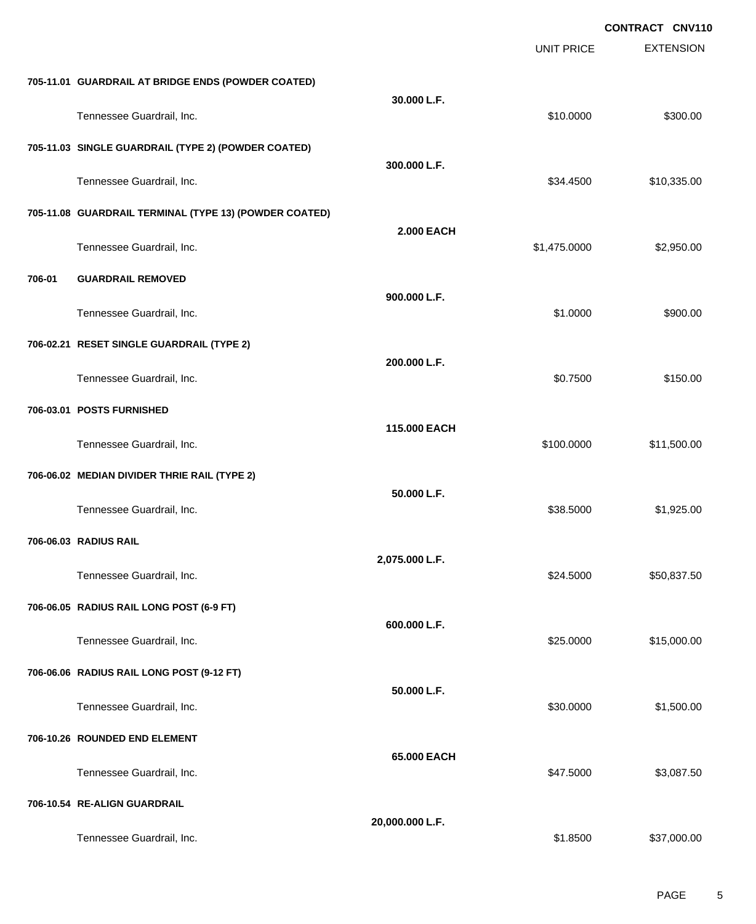|        |                                                        |                   | <b>UNIT PRICE</b> | <b>EXTENSION</b> |
|--------|--------------------------------------------------------|-------------------|-------------------|------------------|
|        | 705-11.01 GUARDRAIL AT BRIDGE ENDS (POWDER COATED)     |                   |                   |                  |
|        | Tennessee Guardrail, Inc.                              | 30.000 L.F.       | \$10.0000         | \$300.00         |
|        | 705-11.03 SINGLE GUARDRAIL (TYPE 2) (POWDER COATED)    |                   |                   |                  |
|        | Tennessee Guardrail, Inc.                              | 300.000 L.F.      | \$34.4500         | \$10,335.00      |
|        | 705-11.08 GUARDRAIL TERMINAL (TYPE 13) (POWDER COATED) |                   |                   |                  |
|        | Tennessee Guardrail, Inc.                              | <b>2.000 EACH</b> | \$1,475.0000      | \$2,950.00       |
| 706-01 | <b>GUARDRAIL REMOVED</b>                               |                   |                   |                  |
|        | Tennessee Guardrail, Inc.                              | 900.000 L.F.      | \$1.0000          | \$900.00         |
|        | 706-02.21 RESET SINGLE GUARDRAIL (TYPE 2)              |                   |                   |                  |
|        | Tennessee Guardrail, Inc.                              | 200.000 L.F.      | \$0.7500          | \$150.00         |
|        | 706-03.01 POSTS FURNISHED                              |                   |                   |                  |
|        | Tennessee Guardrail, Inc.                              | 115.000 EACH      | \$100.0000        | \$11,500.00      |
|        | 706-06.02 MEDIAN DIVIDER THRIE RAIL (TYPE 2)           |                   |                   |                  |
|        | Tennessee Guardrail, Inc.                              | 50.000 L.F.       | \$38.5000         | \$1,925.00       |
|        | 706-06.03 RADIUS RAIL                                  |                   |                   |                  |
|        | Tennessee Guardrail, Inc.                              | 2,075.000 L.F.    | \$24.5000         | \$50,837.50      |
|        | 706-06.05 RADIUS RAIL LONG POST (6-9 FT)               |                   |                   |                  |
|        | Tennessee Guardrail, Inc.                              | 600.000 L.F.      | \$25.0000         | \$15,000.00      |
|        | 706-06.06 RADIUS RAIL LONG POST (9-12 FT)              |                   |                   |                  |
|        | Tennessee Guardrail, Inc.                              | 50.000 L.F.       | \$30.0000         | \$1,500.00       |
|        | 706-10.26 ROUNDED END ELEMENT                          |                   |                   |                  |
|        | Tennessee Guardrail, Inc.                              | 65.000 EACH       | \$47.5000         | \$3,087.50       |
|        | 706-10.54 RE-ALIGN GUARDRAIL                           |                   |                   |                  |
|        | Tennessee Guardrail, Inc.                              | 20,000.000 L.F.   | \$1.8500          | \$37,000.00      |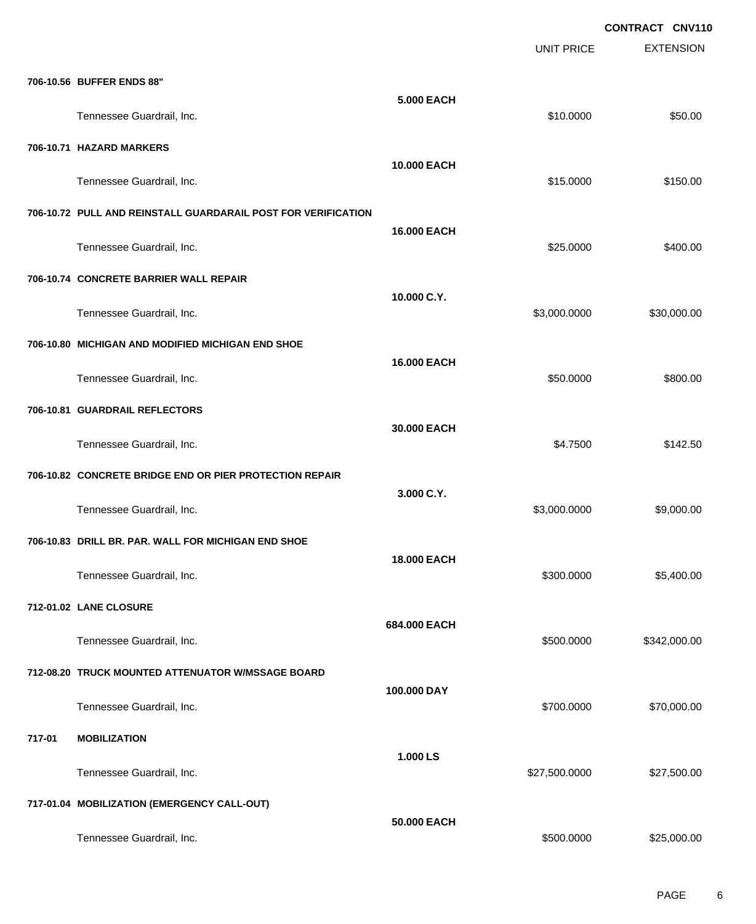|        |                                                               |                    | <b>UNIT PRICE</b> | <b>EXTENSION</b> |
|--------|---------------------------------------------------------------|--------------------|-------------------|------------------|
|        | 706-10.56 BUFFER ENDS 88"                                     |                    |                   |                  |
|        | Tennessee Guardrail, Inc.                                     | <b>5.000 EACH</b>  | \$10.0000         | \$50.00          |
|        | 706-10.71 HAZARD MARKERS                                      |                    |                   |                  |
|        | Tennessee Guardrail, Inc.                                     | 10.000 EACH        | \$15.0000         | \$150.00         |
|        | 706-10.72 PULL AND REINSTALL GUARDARAIL POST FOR VERIFICATION | 16.000 EACH        |                   |                  |
|        | Tennessee Guardrail, Inc.                                     |                    | \$25.0000         | \$400.00         |
|        | 706-10.74 CONCRETE BARRIER WALL REPAIR                        | 10.000 C.Y.        |                   |                  |
|        | Tennessee Guardrail, Inc.                                     |                    | \$3,000.0000      | \$30,000.00      |
|        | 706-10.80 MICHIGAN AND MODIFIED MICHIGAN END SHOE             | 16.000 EACH        |                   |                  |
|        | Tennessee Guardrail, Inc.                                     |                    | \$50.0000         | \$800.00         |
|        | 706-10.81 GUARDRAIL REFLECTORS                                | 30.000 EACH        |                   |                  |
|        | Tennessee Guardrail, Inc.                                     |                    | \$4.7500          | \$142.50         |
|        | 706-10.82 CONCRETE BRIDGE END OR PIER PROTECTION REPAIR       | 3.000 C.Y.         |                   |                  |
|        | Tennessee Guardrail, Inc.                                     |                    | \$3,000.0000      | \$9,000.00       |
|        | 706-10.83 DRILL BR. PAR. WALL FOR MICHIGAN END SHOE           | <b>18.000 EACH</b> |                   |                  |
|        | Tennessee Guardrail, Inc.                                     |                    | \$300.0000        | \$5,400.00       |
|        | 712-01.02 LANE CLOSURE                                        | 684.000 EACH       |                   |                  |
|        | Tennessee Guardrail, Inc.                                     |                    | \$500.0000        | \$342,000.00     |
|        | 712-08.20 TRUCK MOUNTED ATTENUATOR W/MSSAGE BOARD             | 100.000 DAY        |                   |                  |
|        | Tennessee Guardrail, Inc.                                     |                    | \$700.0000        | \$70,000.00      |
| 717-01 | <b>MOBILIZATION</b>                                           | 1.000 LS           |                   |                  |
|        | Tennessee Guardrail, Inc.                                     |                    | \$27,500.0000     | \$27,500.00      |
|        | 717-01.04 MOBILIZATION (EMERGENCY CALL-OUT)                   | 50.000 EACH        |                   |                  |
|        | Tennessee Guardrail, Inc.                                     |                    | \$500.0000        | \$25,000.00      |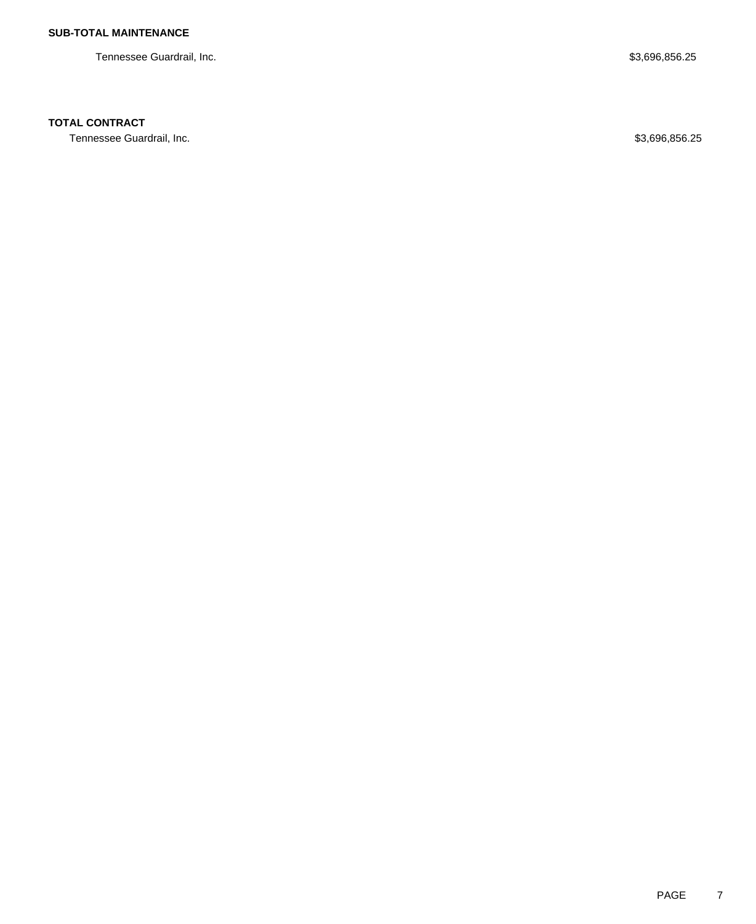Tennessee Guardrail, Inc. 6. \$3,696,856.25

## **TOTAL CONTRACT**

Tennessee Guardrail, Inc. 6. 25 and 2012 12:35 and 2012 12:35 and 2012 12:35 and 2013 12:35 and 2013 12:35 and 2013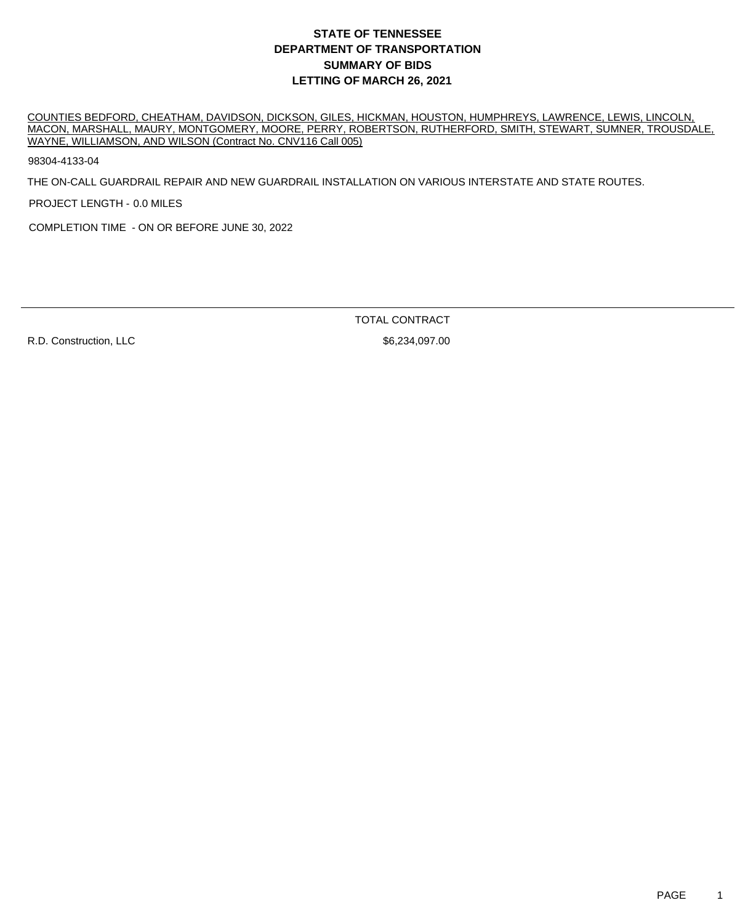## **DEPARTMENT OF TRANSPORTATION SUMMARY OF BIDS LETTING OF MARCH 26, 2021 STATE OF TENNESSEE**

COUNTIES BEDFORD, CHEATHAM, DAVIDSON, DICKSON, GILES, HICKMAN, HOUSTON, HUMPHREYS, LAWRENCE, LEWIS, LINCOLN, MACON, MARSHALL, MAURY, MONTGOMERY, MOORE, PERRY, ROBERTSON, RUTHERFORD, SMITH, STEWART, SUMNER, TROUSDALE, WAYNE, WILLIAMSON, AND WILSON (Contract No. CNV116 Call 005)

98304-4133-04

THE ON-CALL GUARDRAIL REPAIR AND NEW GUARDRAIL INSTALLATION ON VARIOUS INTERSTATE AND STATE ROUTES.

PROJECT LENGTH - 0.0 MILES

COMPLETION TIME - ON OR BEFORE JUNE 30, 2022

R.D. Construction, LLC \$6,234,097.00

TOTAL CONTRACT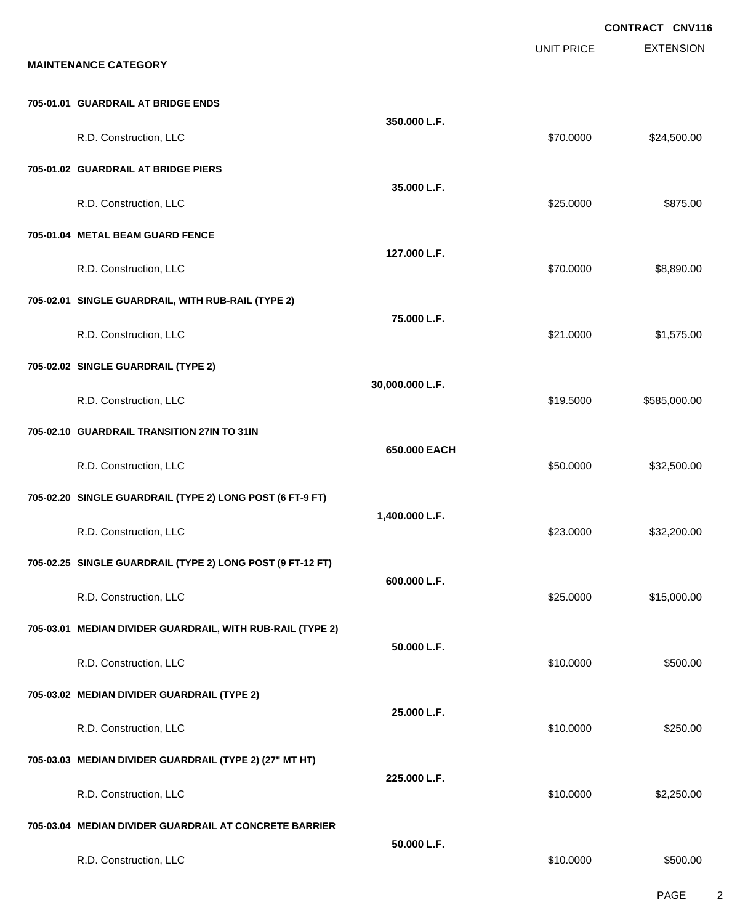|                                                            |                 |                   | <b>CONTRACT CNV116</b> |
|------------------------------------------------------------|-----------------|-------------------|------------------------|
| <b>MAINTENANCE CATEGORY</b>                                |                 | <b>UNIT PRICE</b> | <b>EXTENSION</b>       |
| 705-01.01 GUARDRAIL AT BRIDGE ENDS                         | 350.000 L.F.    |                   |                        |
| R.D. Construction, LLC                                     |                 | \$70.0000         | \$24,500.00            |
| 705-01.02 GUARDRAIL AT BRIDGE PIERS                        |                 |                   |                        |
| R.D. Construction, LLC                                     | 35.000 L.F.     | \$25.0000         | \$875.00               |
| 705-01.04 METAL BEAM GUARD FENCE                           |                 |                   |                        |
| R.D. Construction, LLC                                     | 127.000 L.F.    | \$70.0000         | \$8,890.00             |
| 705-02.01 SINGLE GUARDRAIL, WITH RUB-RAIL (TYPE 2)         | 75.000 L.F.     |                   |                        |
| R.D. Construction, LLC                                     |                 | \$21.0000         | \$1,575.00             |
| 705-02.02 SINGLE GUARDRAIL (TYPE 2)                        |                 |                   |                        |
| R.D. Construction, LLC                                     | 30,000.000 L.F. | \$19.5000         | \$585,000.00           |
| 705-02.10 GUARDRAIL TRANSITION 27IN TO 31IN                |                 |                   |                        |
| R.D. Construction, LLC                                     | 650.000 EACH    | \$50.0000         | \$32,500.00            |
| 705-02.20 SINGLE GUARDRAIL (TYPE 2) LONG POST (6 FT-9 FT)  |                 |                   |                        |
| R.D. Construction, LLC                                     | 1,400.000 L.F.  | \$23.0000         | \$32,200.00            |
| 705-02.25 SINGLE GUARDRAIL (TYPE 2) LONG POST (9 FT-12 FT) | 600.000 L.F.    |                   |                        |
| R.D. Construction, LLC                                     |                 | \$25.0000         | \$15,000.00            |
| 705-03.01 MEDIAN DIVIDER GUARDRAIL, WITH RUB-RAIL (TYPE 2) | 50.000 L.F.     |                   |                        |
| R.D. Construction, LLC                                     |                 | \$10.0000         | \$500.00               |
| 705-03.02 MEDIAN DIVIDER GUARDRAIL (TYPE 2)                |                 |                   |                        |
| R.D. Construction, LLC                                     | 25.000 L.F.     | \$10.0000         | \$250.00               |
| 705-03.03 MEDIAN DIVIDER GUARDRAIL (TYPE 2) (27" MT HT)    |                 |                   |                        |
| R.D. Construction, LLC                                     | 225.000 L.F.    | \$10.0000         | \$2,250.00             |
| 705-03.04 MEDIAN DIVIDER GUARDRAIL AT CONCRETE BARRIER     |                 |                   |                        |
| R.D. Construction, LLC                                     | 50.000 L.F.     | \$10.0000         | \$500.00               |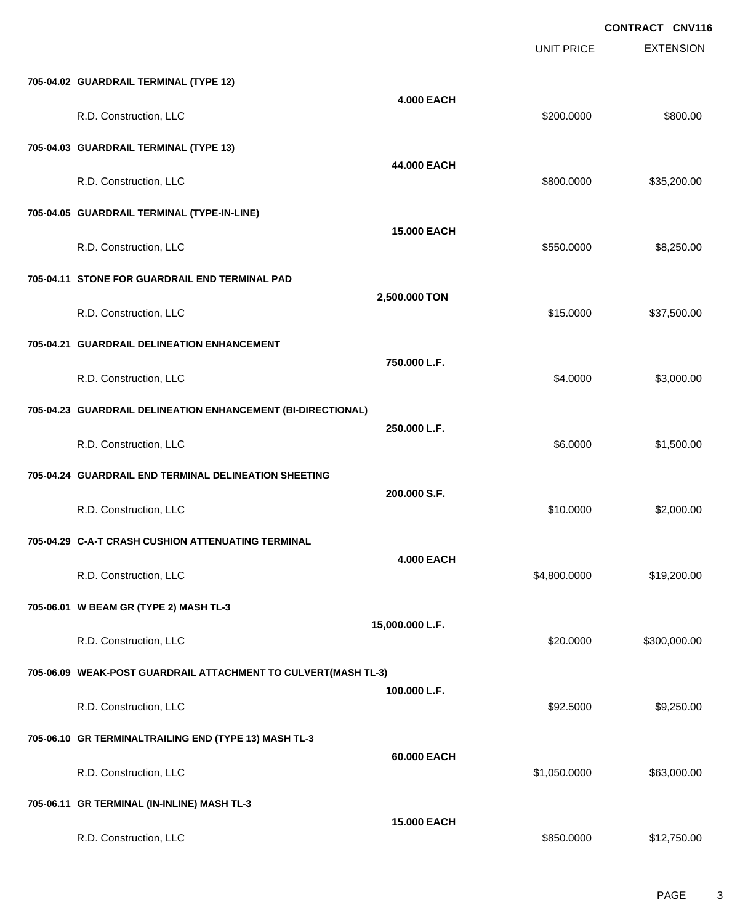|                                                                |                    | <b>UNIT PRICE</b> | <b>EXTENSION</b> |
|----------------------------------------------------------------|--------------------|-------------------|------------------|
| 705-04.02 GUARDRAIL TERMINAL (TYPE 12)                         |                    |                   |                  |
| R.D. Construction, LLC                                         | <b>4.000 EACH</b>  | \$200.0000        | \$800.00         |
| 705-04.03 GUARDRAIL TERMINAL (TYPE 13)                         |                    |                   |                  |
| R.D. Construction, LLC                                         | 44.000 EACH        | \$800.0000        | \$35,200.00      |
| 705-04.05 GUARDRAIL TERMINAL (TYPE-IN-LINE)                    |                    |                   |                  |
| R.D. Construction, LLC                                         | <b>15.000 EACH</b> | \$550.0000        | \$8,250.00       |
| 705-04.11 STONE FOR GUARDRAIL END TERMINAL PAD                 |                    |                   |                  |
| R.D. Construction, LLC                                         | 2,500.000 TON      | \$15.0000         | \$37,500.00      |
| 705-04.21 GUARDRAIL DELINEATION ENHANCEMENT                    |                    |                   |                  |
| R.D. Construction, LLC                                         | 750.000 L.F.       | \$4.0000          | \$3,000.00       |
| 705-04.23 GUARDRAIL DELINEATION ENHANCEMENT (BI-DIRECTIONAL)   |                    |                   |                  |
| R.D. Construction, LLC                                         | 250,000 L.F.       | \$6.0000          | \$1,500.00       |
| 705-04.24 GUARDRAIL END TERMINAL DELINEATION SHEETING          |                    |                   |                  |
| R.D. Construction, LLC                                         | 200.000 S.F.       | \$10.0000         | \$2,000.00       |
| 705-04.29 C-A-T CRASH CUSHION ATTENUATING TERMINAL             |                    |                   |                  |
| R.D. Construction, LLC                                         | <b>4.000 EACH</b>  | \$4,800.0000      | \$19,200.00      |
| 705-06.01 W BEAM GR (TYPE 2) MASH TL-3                         |                    |                   |                  |
| R.D. Construction, LLC                                         | 15,000.000 L.F.    | \$20.0000         | \$300,000.00     |
| 705-06.09 WEAK-POST GUARDRAIL ATTACHMENT TO CULVERT(MASH TL-3) |                    |                   |                  |
| R.D. Construction, LLC                                         | 100.000 L.F.       | \$92.5000         | \$9,250.00       |
| 705-06.10 GR TERMINALTRAILING END (TYPE 13) MASH TL-3          |                    |                   |                  |
| R.D. Construction, LLC                                         | 60.000 EACH        | \$1,050.0000      | \$63,000.00      |
| 705-06.11 GR TERMINAL (IN-INLINE) MASH TL-3                    |                    |                   |                  |
| R.D. Construction, LLC                                         | 15.000 EACH        | \$850.0000        | \$12,750.00      |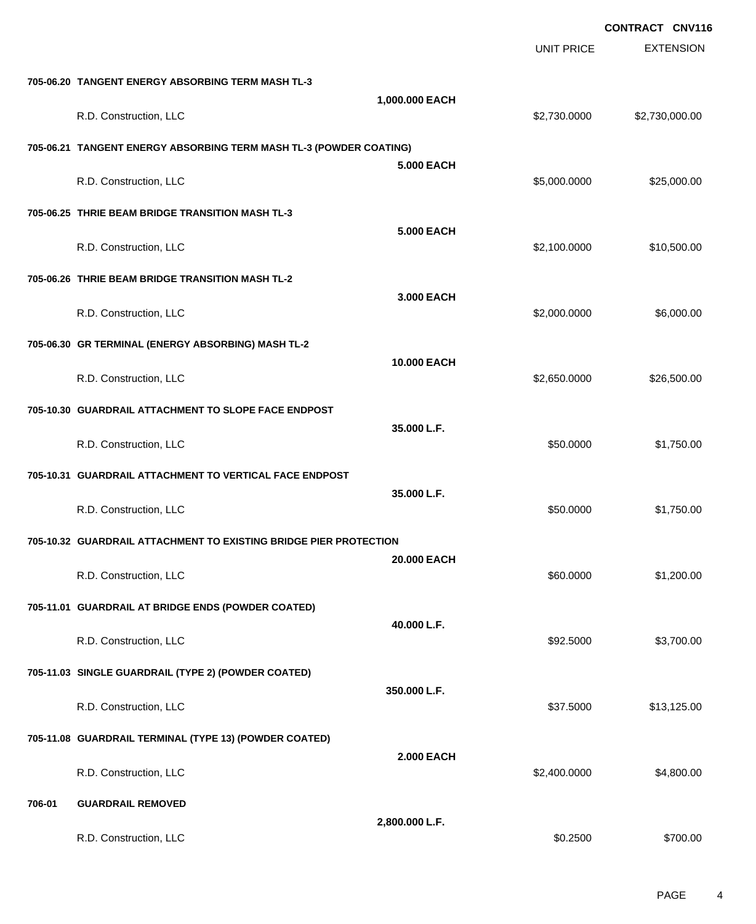|        |                                                                    |                   |                   | <b>CONTRACT CNV116</b> |
|--------|--------------------------------------------------------------------|-------------------|-------------------|------------------------|
|        |                                                                    |                   | <b>UNIT PRICE</b> | <b>EXTENSION</b>       |
|        | 705-06.20 TANGENT ENERGY ABSORBING TERM MASH TL-3                  |                   |                   |                        |
|        | R.D. Construction, LLC                                             | 1,000.000 EACH    | \$2,730.0000      | \$2,730,000.00         |
|        | 705-06.21 TANGENT ENERGY ABSORBING TERM MASH TL-3 (POWDER COATING) |                   |                   |                        |
|        |                                                                    | 5,000 EACH        |                   |                        |
|        | R.D. Construction, LLC                                             |                   | \$5,000.0000      | \$25,000.00            |
|        | 705-06.25 THRIE BEAM BRIDGE TRANSITION MASH TL-3                   | <b>5.000 EACH</b> |                   |                        |
|        | R.D. Construction, LLC                                             |                   | \$2,100.0000      | \$10,500.00            |
|        | 705-06.26 THRIE BEAM BRIDGE TRANSITION MASH TL-2                   |                   |                   |                        |
|        | R.D. Construction, LLC                                             | 3.000 EACH        | \$2,000.0000      | \$6,000.00             |
|        | 705-06.30 GR TERMINAL (ENERGY ABSORBING) MASH TL-2                 |                   |                   |                        |
|        |                                                                    | 10.000 EACH       |                   |                        |
|        | R.D. Construction, LLC                                             |                   | \$2,650.0000      | \$26,500.00            |
|        | 705-10.30 GUARDRAIL ATTACHMENT TO SLOPE FACE ENDPOST               |                   |                   |                        |
|        | R.D. Construction, LLC                                             | 35.000 L.F.       | \$50.0000         | \$1,750.00             |
|        | 705-10.31 GUARDRAIL ATTACHMENT TO VERTICAL FACE ENDPOST            |                   |                   |                        |
|        |                                                                    | 35.000 L.F.       |                   |                        |
|        | R.D. Construction, LLC                                             |                   | \$50.0000         | \$1,750.00             |
|        | 705-10.32 GUARDRAIL ATTACHMENT TO EXISTING BRIDGE PIER PROTECTION  |                   |                   |                        |
|        | R.D. Construction, LLC                                             | 20.000 EACH       | \$60.0000         | \$1,200.00             |
|        | 705-11.01 GUARDRAIL AT BRIDGE ENDS (POWDER COATED)                 |                   |                   |                        |
|        |                                                                    | 40.000 L.F.       |                   |                        |
|        | R.D. Construction, LLC                                             |                   | \$92.5000         | \$3,700.00             |
|        | 705-11.03 SINGLE GUARDRAIL (TYPE 2) (POWDER COATED)                | 350.000 L.F.      |                   |                        |
|        | R.D. Construction, LLC                                             |                   | \$37.5000         | \$13,125.00            |
|        | 705-11.08 GUARDRAIL TERMINAL (TYPE 13) (POWDER COATED)             |                   |                   |                        |
|        | R.D. Construction, LLC                                             | <b>2.000 EACH</b> | \$2,400.0000      | \$4,800.00             |
|        |                                                                    |                   |                   |                        |
| 706-01 | <b>GUARDRAIL REMOVED</b>                                           | 2,800.000 L.F.    |                   |                        |
|        | R.D. Construction, LLC                                             |                   | \$0.2500          | \$700.00               |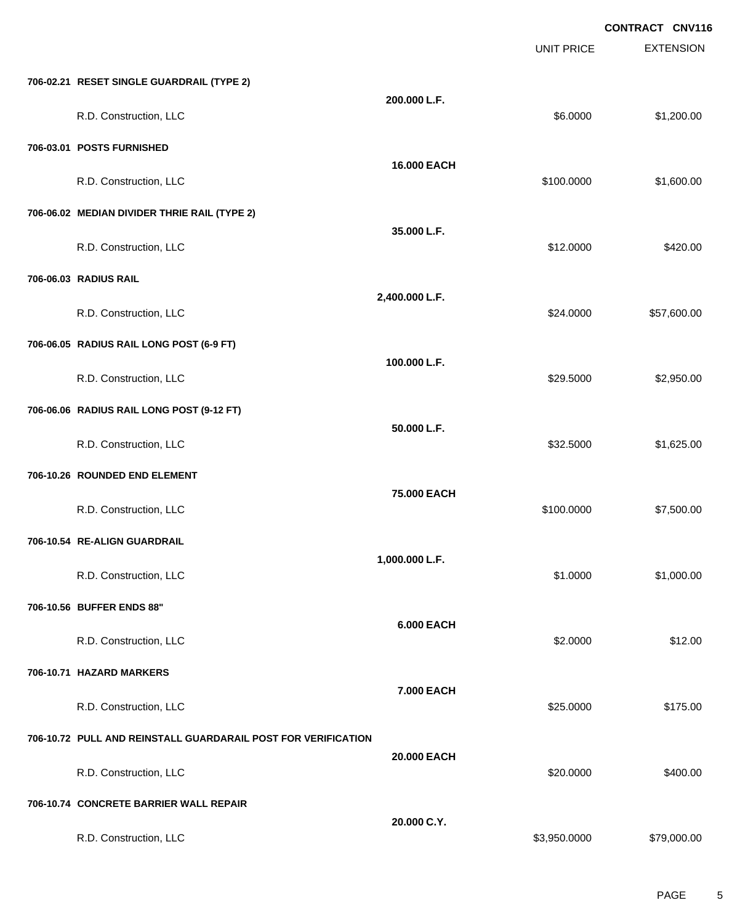|                                                               |                   |                   | <b>CONTRACT CNV116</b> |
|---------------------------------------------------------------|-------------------|-------------------|------------------------|
|                                                               |                   | <b>UNIT PRICE</b> | <b>EXTENSION</b>       |
| 706-02.21 RESET SINGLE GUARDRAIL (TYPE 2)                     |                   |                   |                        |
| R.D. Construction, LLC                                        | 200.000 L.F.      | \$6.0000          | \$1,200.00             |
| 706-03.01 POSTS FURNISHED                                     |                   |                   |                        |
| R.D. Construction, LLC                                        | 16.000 EACH       | \$100.0000        | \$1,600.00             |
| 706-06.02 MEDIAN DIVIDER THRIE RAIL (TYPE 2)                  |                   |                   |                        |
| R.D. Construction, LLC                                        | 35.000 L.F.       | \$12.0000         | \$420.00               |
| 706-06.03 RADIUS RAIL                                         |                   |                   |                        |
| R.D. Construction, LLC                                        | 2,400.000 L.F.    | \$24.0000         | \$57,600.00            |
| 706-06.05 RADIUS RAIL LONG POST (6-9 FT)                      |                   |                   |                        |
| R.D. Construction, LLC                                        | 100.000 L.F.      | \$29.5000         | \$2,950.00             |
| 706-06.06 RADIUS RAIL LONG POST (9-12 FT)                     |                   |                   |                        |
| R.D. Construction, LLC                                        | 50.000 L.F.       | \$32.5000         | \$1,625.00             |
| 706-10.26 ROUNDED END ELEMENT                                 |                   |                   |                        |
| R.D. Construction, LLC                                        | 75.000 EACH       | \$100.0000        | \$7,500.00             |
| 706-10.54 RE-ALIGN GUARDRAIL                                  |                   |                   |                        |
| R.D. Construction, LLC                                        | 1,000.000 L.F.    | \$1.0000          | \$1,000.00             |
| 706-10.56 BUFFER ENDS 88"                                     |                   |                   |                        |
| R.D. Construction, LLC                                        | <b>6.000 EACH</b> | \$2.0000          | \$12.00                |
| 706-10.71 HAZARD MARKERS                                      |                   |                   |                        |
| R.D. Construction, LLC                                        | 7.000 EACH        | \$25.0000         | \$175.00               |
| 706-10.72 PULL AND REINSTALL GUARDARAIL POST FOR VERIFICATION |                   |                   |                        |
| R.D. Construction, LLC                                        | 20.000 EACH       | \$20.0000         | \$400.00               |
| 706-10.74 CONCRETE BARRIER WALL REPAIR                        |                   |                   |                        |
| R.D. Construction, LLC                                        | 20.000 C.Y.       | \$3,950.0000      | \$79,000.00            |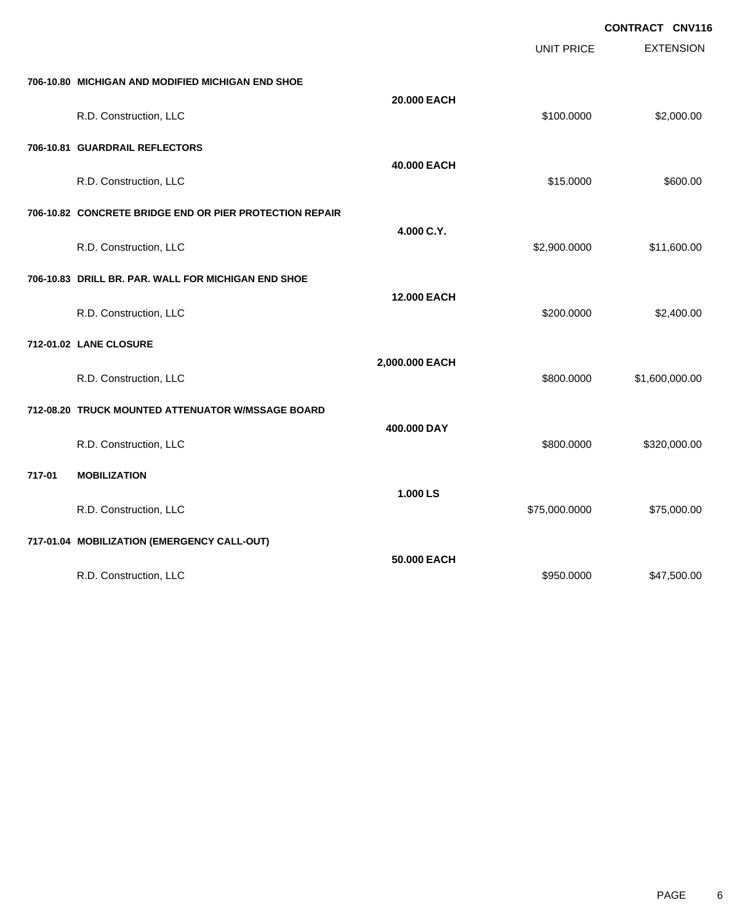| CONTRACT CNV116 |  |
|-----------------|--|
|                 |  |

|        |                                                         |                    |                   | ,,,,,,,,,,,,<br><b>VIT</b> |
|--------|---------------------------------------------------------|--------------------|-------------------|----------------------------|
|        |                                                         |                    | <b>UNIT PRICE</b> | <b>EXTENSION</b>           |
|        | 706-10.80 MICHIGAN AND MODIFIED MICHIGAN END SHOE       |                    |                   |                            |
|        | R.D. Construction, LLC                                  | 20.000 EACH        | \$100.0000        | \$2,000.00                 |
|        | 706-10.81 GUARDRAIL REFLECTORS                          |                    |                   |                            |
|        | R.D. Construction, LLC                                  | 40.000 EACH        | \$15.0000         | \$600.00                   |
|        | 706-10.82 CONCRETE BRIDGE END OR PIER PROTECTION REPAIR |                    |                   |                            |
|        | R.D. Construction, LLC                                  | 4.000 C.Y.         | \$2,900.0000      | \$11,600.00                |
|        | 706-10.83 DRILL BR. PAR. WALL FOR MICHIGAN END SHOE     |                    |                   |                            |
|        | R.D. Construction, LLC                                  | <b>12.000 EACH</b> | \$200.0000        | \$2,400.00                 |
|        | 712-01.02 LANE CLOSURE                                  |                    |                   |                            |
|        | R.D. Construction, LLC                                  | 2,000.000 EACH     | \$800.0000        | \$1,600,000.00             |
|        | 712-08.20 TRUCK MOUNTED ATTENUATOR W/MSSAGE BOARD       |                    |                   |                            |
|        | R.D. Construction, LLC                                  | 400.000 DAY        | \$800.0000        | \$320,000.00               |
| 717-01 | <b>MOBILIZATION</b>                                     |                    |                   |                            |
|        | R.D. Construction, LLC                                  | 1.000 LS           | \$75,000.0000     | \$75,000.00                |
|        | 717-01.04 MOBILIZATION (EMERGENCY CALL-OUT)             |                    |                   |                            |
|        | R.D. Construction, LLC                                  | 50,000 EACH        | \$950.0000        | \$47,500.00                |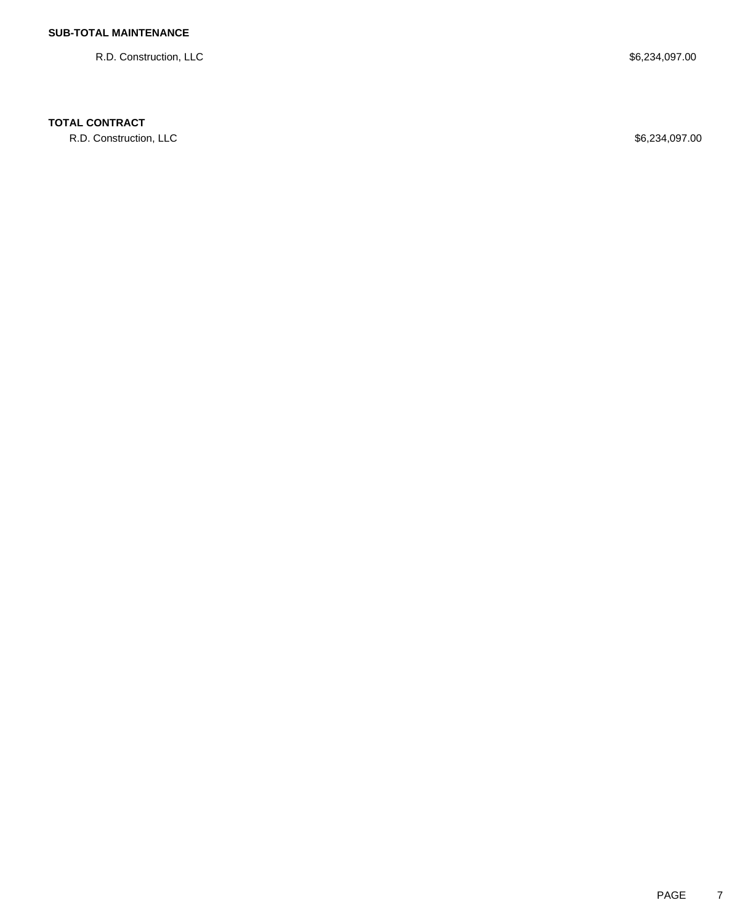R.D. Construction, LLC \$6,234,097.00

## **TOTAL CONTRACT**

R.D. Construction, LLC \$6,234,097.00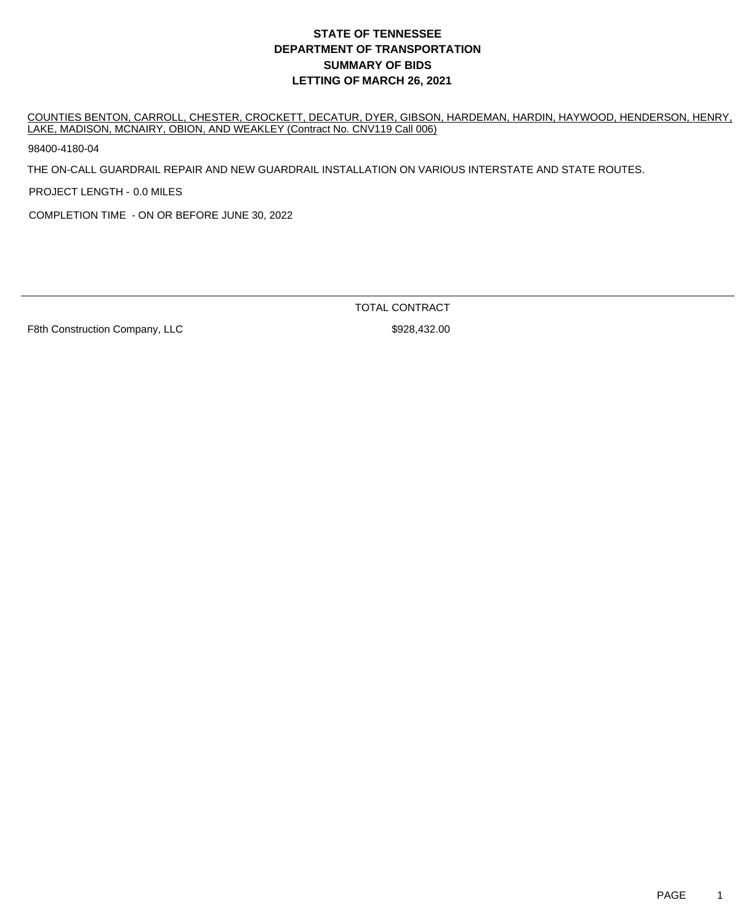## **DEPARTMENT OF TRANSPORTATION SUMMARY OF BIDS LETTING OF MARCH 26, 2021 STATE OF TENNESSEE**

COUNTIES BENTON, CARROLL, CHESTER, CROCKETT, DECATUR, DYER, GIBSON, HARDEMAN, HARDIN, HAYWOOD, HENDERSON, HENRY, LAKE, MADISON, MCNAIRY, OBION, AND WEAKLEY (Contract No. CNV119 Call 006)

98400-4180-04

THE ON-CALL GUARDRAIL REPAIR AND NEW GUARDRAIL INSTALLATION ON VARIOUS INTERSTATE AND STATE ROUTES.

PROJECT LENGTH - 0.0 MILES

COMPLETION TIME - ON OR BEFORE JUNE 30, 2022

TOTAL CONTRACT

F8th Construction Company, LLC \$928,432.00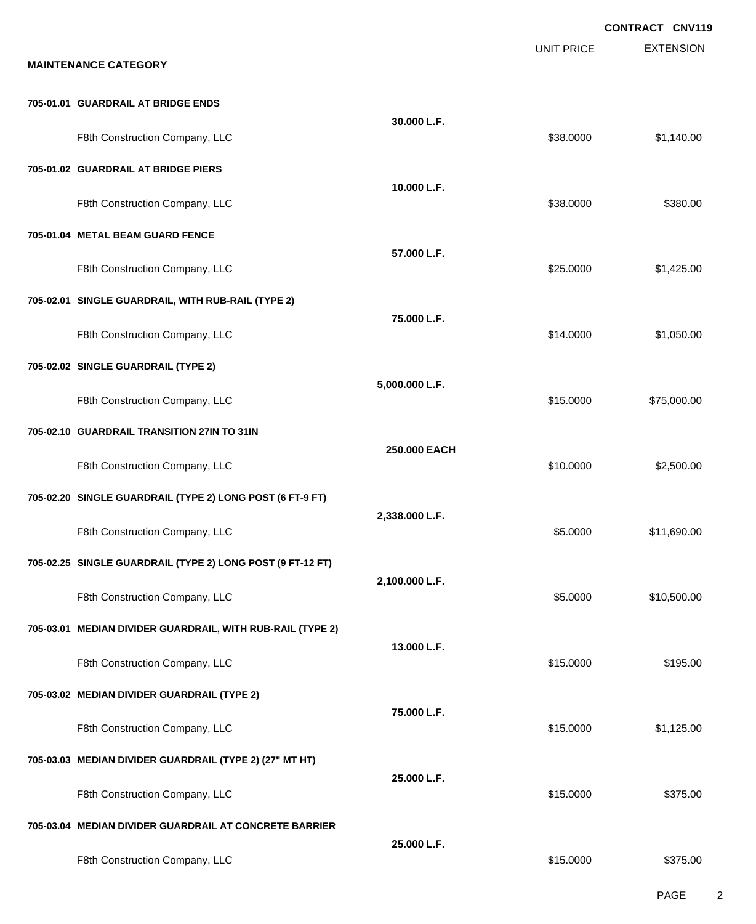|                                                            |                |                   | CONTRACT CNV119  |
|------------------------------------------------------------|----------------|-------------------|------------------|
| <b>MAINTENANCE CATEGORY</b>                                |                | <b>UNIT PRICE</b> | <b>EXTENSION</b> |
|                                                            |                |                   |                  |
| 705-01.01 GUARDRAIL AT BRIDGE ENDS                         | 30.000 L.F.    |                   |                  |
| F8th Construction Company, LLC                             |                | \$38.0000         | \$1,140.00       |
| 705-01.02 GUARDRAIL AT BRIDGE PIERS                        |                |                   |                  |
| F8th Construction Company, LLC                             | 10.000 L.F.    | \$38.0000         | \$380.00         |
| 705-01.04 METAL BEAM GUARD FENCE                           |                |                   |                  |
| F8th Construction Company, LLC                             | 57.000 L.F.    | \$25.0000         | \$1,425.00       |
| 705-02.01 SINGLE GUARDRAIL, WITH RUB-RAIL (TYPE 2)         |                |                   |                  |
| F8th Construction Company, LLC                             | 75.000 L.F.    | \$14.0000         | \$1,050.00       |
| 705-02.02 SINGLE GUARDRAIL (TYPE 2)                        |                |                   |                  |
| F8th Construction Company, LLC                             | 5,000.000 L.F. | \$15.0000         | \$75,000.00      |
| 705-02.10 GUARDRAIL TRANSITION 27IN TO 31IN                |                |                   |                  |
| F8th Construction Company, LLC                             | 250.000 EACH   | \$10.0000         | \$2,500.00       |
| 705-02.20 SINGLE GUARDRAIL (TYPE 2) LONG POST (6 FT-9 FT)  |                |                   |                  |
| F8th Construction Company, LLC                             | 2,338.000 L.F. | \$5.0000          | \$11,690.00      |
| 705-02.25 SINGLE GUARDRAIL (TYPE 2) LONG POST (9 FT-12 FT) |                |                   |                  |
| F8th Construction Company, LLC                             | 2,100.000 L.F. | \$5.0000          | \$10,500.00      |
| 705-03.01 MEDIAN DIVIDER GUARDRAIL, WITH RUB-RAIL (TYPE 2) |                |                   |                  |
| F8th Construction Company, LLC                             | 13.000 L.F.    | \$15.0000         | \$195.00         |
| 705-03.02 MEDIAN DIVIDER GUARDRAIL (TYPE 2)                |                |                   |                  |
| F8th Construction Company, LLC                             | 75,000 L.F.    | \$15.0000         | \$1,125.00       |
| 705-03.03 MEDIAN DIVIDER GUARDRAIL (TYPE 2) (27" MT HT)    |                |                   |                  |
| F8th Construction Company, LLC                             | 25.000 L.F.    | \$15.0000         | \$375.00         |
| 705-03.04 MEDIAN DIVIDER GUARDRAIL AT CONCRETE BARRIER     |                |                   |                  |
| F8th Construction Company, LLC                             | 25.000 L.F.    | \$15.0000         | \$375.00         |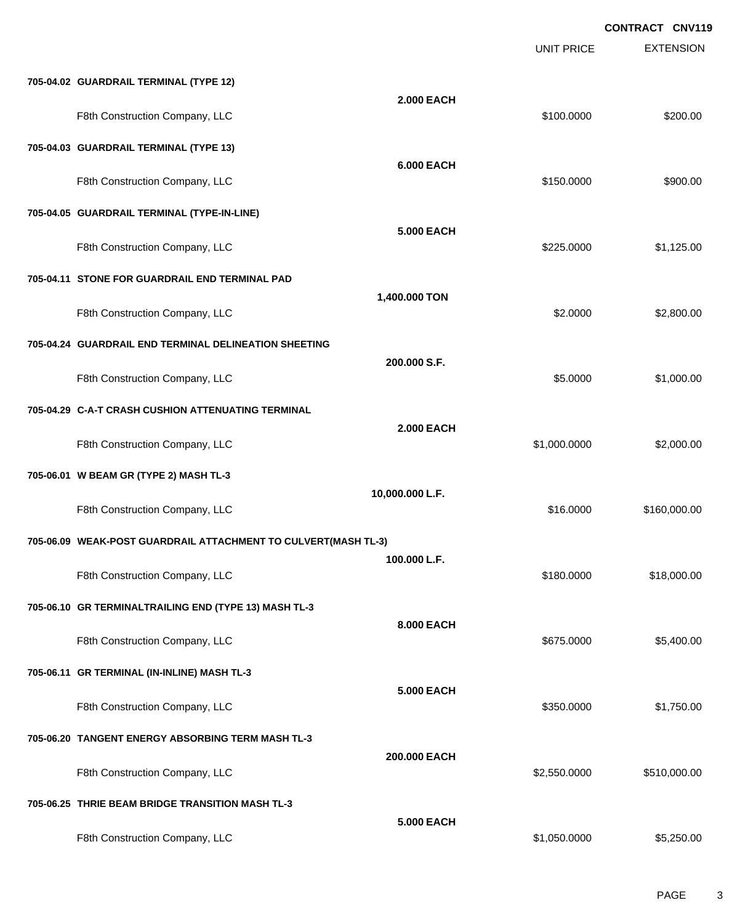|                                                                |                   | <b>UNIT PRICE</b> | <b>EXTENSION</b> |
|----------------------------------------------------------------|-------------------|-------------------|------------------|
| 705-04.02 GUARDRAIL TERMINAL (TYPE 12)                         |                   |                   |                  |
| F8th Construction Company, LLC                                 | <b>2.000 EACH</b> | \$100.0000        | \$200.00         |
| 705-04.03 GUARDRAIL TERMINAL (TYPE 13)                         |                   |                   |                  |
| F8th Construction Company, LLC                                 | <b>6.000 EACH</b> | \$150.0000        | \$900.00         |
| 705-04.05 GUARDRAIL TERMINAL (TYPE-IN-LINE)                    |                   |                   |                  |
| F8th Construction Company, LLC                                 | <b>5.000 EACH</b> | \$225.0000        | \$1,125.00       |
| 705-04.11 STONE FOR GUARDRAIL END TERMINAL PAD                 |                   |                   |                  |
| F8th Construction Company, LLC                                 | 1,400.000 TON     | \$2.0000          | \$2,800.00       |
| 705-04.24 GUARDRAIL END TERMINAL DELINEATION SHEETING          |                   |                   |                  |
| F8th Construction Company, LLC                                 | 200.000 S.F.      | \$5.0000          | \$1,000.00       |
| 705-04.29 C-A-T CRASH CUSHION ATTENUATING TERMINAL             |                   |                   |                  |
| F8th Construction Company, LLC                                 | <b>2.000 EACH</b> | \$1,000.0000      | \$2,000.00       |
| 705-06.01 W BEAM GR (TYPE 2) MASH TL-3                         |                   |                   |                  |
| F8th Construction Company, LLC                                 | 10,000.000 L.F.   | \$16,0000         | \$160,000.00     |
| 705-06.09 WEAK-POST GUARDRAIL ATTACHMENT TO CULVERT(MASH TL-3) |                   |                   |                  |
| F8th Construction Company, LLC                                 | 100.000 L.F.      | \$180.0000        | \$18,000.00      |
| 705-06.10 GR TERMINALTRAILING END (TYPE 13) MASH TL-3          |                   |                   |                  |
| F8th Construction Company, LLC                                 | 8.000 EACH        | \$675.0000        | \$5,400.00       |
| 705-06.11 GR TERMINAL (IN-INLINE) MASH TL-3                    |                   |                   |                  |
| F8th Construction Company, LLC                                 | <b>5.000 EACH</b> | \$350.0000        | \$1,750.00       |
| 705-06.20 TANGENT ENERGY ABSORBING TERM MASH TL-3              |                   |                   |                  |
| F8th Construction Company, LLC                                 | 200.000 EACH      | \$2,550.0000      | \$510,000.00     |
| 705-06.25 THRIE BEAM BRIDGE TRANSITION MASH TL-3               |                   |                   |                  |
| F8th Construction Company, LLC                                 | <b>5.000 EACH</b> | \$1,050.0000      | \$5,250.00       |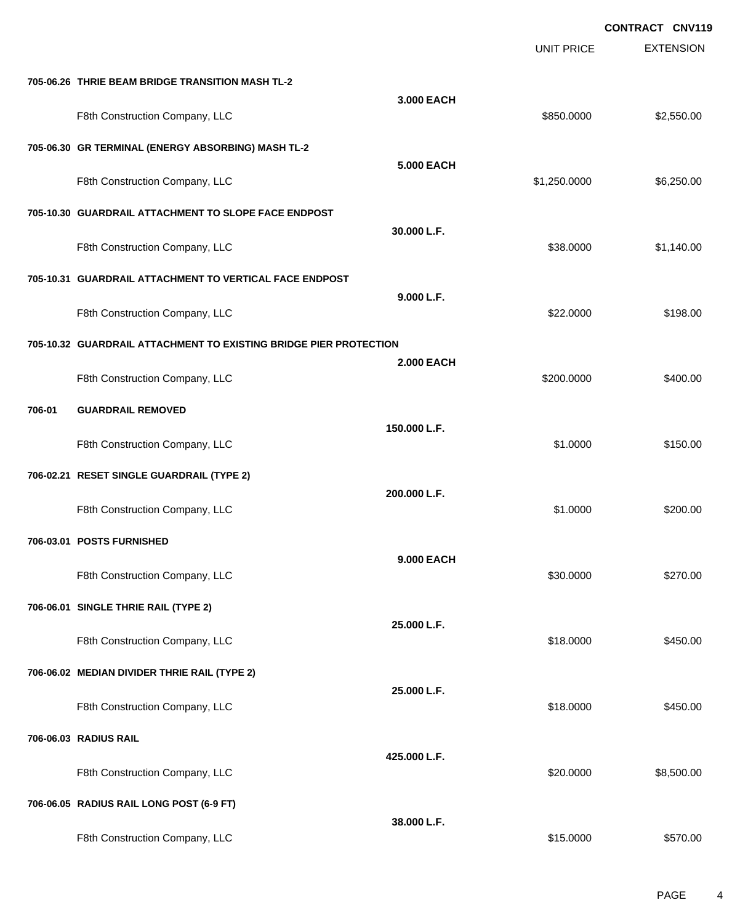|        |                                                                   |                   |                   | <b>CONTRACT CNV119</b> |
|--------|-------------------------------------------------------------------|-------------------|-------------------|------------------------|
|        |                                                                   |                   | <b>UNIT PRICE</b> | <b>EXTENSION</b>       |
|        | 705-06.26 THRIE BEAM BRIDGE TRANSITION MASH TL-2                  |                   |                   |                        |
|        | F8th Construction Company, LLC                                    | 3.000 EACH        | \$850.0000        | \$2,550.00             |
|        | 705-06.30 GR TERMINAL (ENERGY ABSORBING) MASH TL-2                |                   |                   |                        |
|        | F8th Construction Company, LLC                                    | <b>5.000 EACH</b> | \$1,250.0000      | \$6,250.00             |
|        | 705-10.30 GUARDRAIL ATTACHMENT TO SLOPE FACE ENDPOST              |                   |                   |                        |
|        | F8th Construction Company, LLC                                    | 30.000 L.F.       | \$38.0000         | \$1,140.00             |
|        | 705-10.31 GUARDRAIL ATTACHMENT TO VERTICAL FACE ENDPOST           |                   |                   |                        |
|        | F8th Construction Company, LLC                                    | 9.000 L.F.        | \$22.0000         | \$198.00               |
|        | 705-10.32 GUARDRAIL ATTACHMENT TO EXISTING BRIDGE PIER PROTECTION |                   |                   |                        |
|        | F8th Construction Company, LLC                                    | <b>2.000 EACH</b> | \$200.0000        | \$400.00               |
| 706-01 | <b>GUARDRAIL REMOVED</b>                                          |                   |                   |                        |
|        | F8th Construction Company, LLC                                    | 150.000 L.F.      | \$1.0000          | \$150.00               |
|        | 706-02.21 RESET SINGLE GUARDRAIL (TYPE 2)                         |                   |                   |                        |
|        | F8th Construction Company, LLC                                    | 200.000 L.F.      | \$1.0000          | \$200.00               |
|        | 706-03.01 POSTS FURNISHED                                         |                   |                   |                        |
|        | F8th Construction Company, LLC                                    | 9.000 EACH        | \$30.0000         | \$270.00               |
|        | 706-06.01 SINGLE THRIE RAIL (TYPE 2)                              |                   |                   |                        |
|        | F8th Construction Company, LLC                                    | 25.000 L.F.       | \$18.0000         | \$450.00               |
|        | 706-06.02 MEDIAN DIVIDER THRIE RAIL (TYPE 2)                      |                   |                   |                        |
|        | F8th Construction Company, LLC                                    | 25.000 L.F.       | \$18.0000         | \$450.00               |
|        | 706-06.03 RADIUS RAIL                                             |                   |                   |                        |
|        | F8th Construction Company, LLC                                    | 425.000 L.F.      | \$20.0000         | \$8,500.00             |
|        | 706-06.05 RADIUS RAIL LONG POST (6-9 FT)                          |                   |                   |                        |
|        | F8th Construction Company, LLC                                    | 38.000 L.F.       | \$15.0000         | \$570.00               |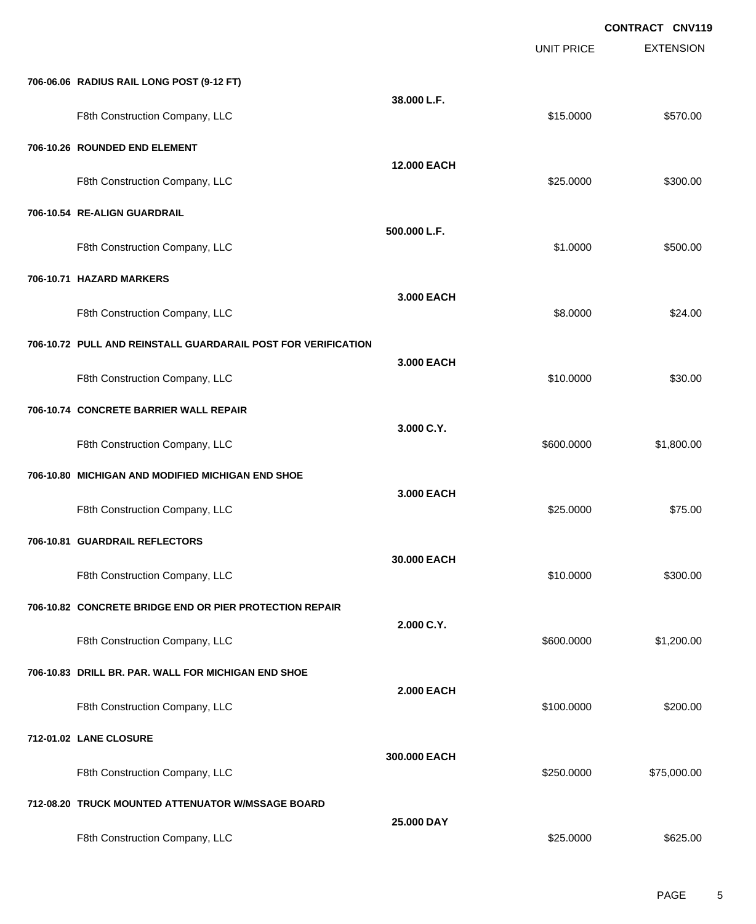EXTENSION **CONTRACT CNV119** UNIT PRICE **706-06.06 RADIUS RAIL LONG POST (9-12 FT) 38.000 L.F.** F8th Construction Company, LLC 61 2000 \$570.00 **706-10.26 ROUNDED END ELEMENT 12.000 EACH** F8th Construction Company, LLC 6300.00 \$300.00 \$300.00 **706-10.54 RE-ALIGN GUARDRAIL 500.000 L.F.** F8th Construction Company, LLC 6500.00 \$500.00 \$500.00 **706-10.71 HAZARD MARKERS 3.000 EACH** F8th Construction Company, LLC 68.0000 \$24.00 **706-10.72 PULL AND REINSTALL GUARDARAIL POST FOR VERIFICATION 3.000 EACH** F8th Construction Company, LLC 61 and the state of the state of the state of the state of the state of the state of the state of the state of the state of the state of the state of the state of the state of the state of th **706-10.74 CONCRETE BARRIER WALL REPAIR 3.000 C.Y.** F8th Construction Company, LLC 600.000 \$1,800.000 \$1,800.000 \$1,800.000 \$1,800.00 **706-10.80 MICHIGAN AND MODIFIED MICHIGAN END SHOE 3.000 EACH** F8th Construction Company, LLC 675.000 \$75.00 **706-10.81 GUARDRAIL REFLECTORS 30.000 EACH** F8th Construction Company, LLC 6300.00 \$300.00 \$300.00 **706-10.82 CONCRETE BRIDGE END OR PIER PROTECTION REPAIR 2.000 C.Y.** F8th Construction Company, LLC 600.000 \$1,200.00 **706-10.83 DRILL BR. PAR. WALL FOR MICHIGAN END SHOE 2.000 EACH** F8th Construction Company, LLC 6200.000 \$200.000 \$200.000 \$200.000 \$200.00 **712-01.02 LANE CLOSURE 300.000 EACH** F8th Construction Company, LLC 6. The Construction Company, LLC 6. The Construction Company, LLC **712-08.20 TRUCK MOUNTED ATTENUATOR W/MSSAGE BOARD 25.000 DAY** F8th Construction Company, LLC 6. The Construction Company, LLC 6. The Construction Company, LLC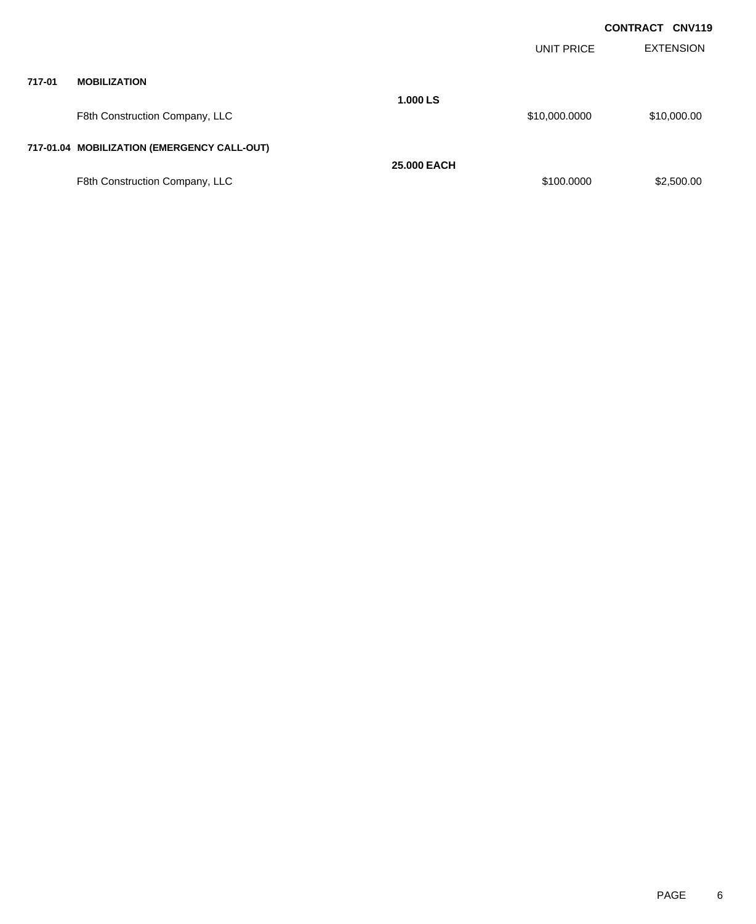|        |                                             |                    |                   | <b>CONTRACT CNV119</b> |
|--------|---------------------------------------------|--------------------|-------------------|------------------------|
|        |                                             |                    | <b>UNIT PRICE</b> | <b>EXTENSION</b>       |
| 717-01 | <b>MOBILIZATION</b>                         |                    |                   |                        |
|        | F8th Construction Company, LLC              | 1.000 LS           | \$10,000.0000     | \$10,000.00            |
|        | 717-01.04 MOBILIZATION (EMERGENCY CALL-OUT) |                    |                   |                        |
|        |                                             | <b>25,000 EACH</b> |                   |                        |
|        | F8th Construction Company, LLC              |                    | \$100.0000        | \$2,500.00             |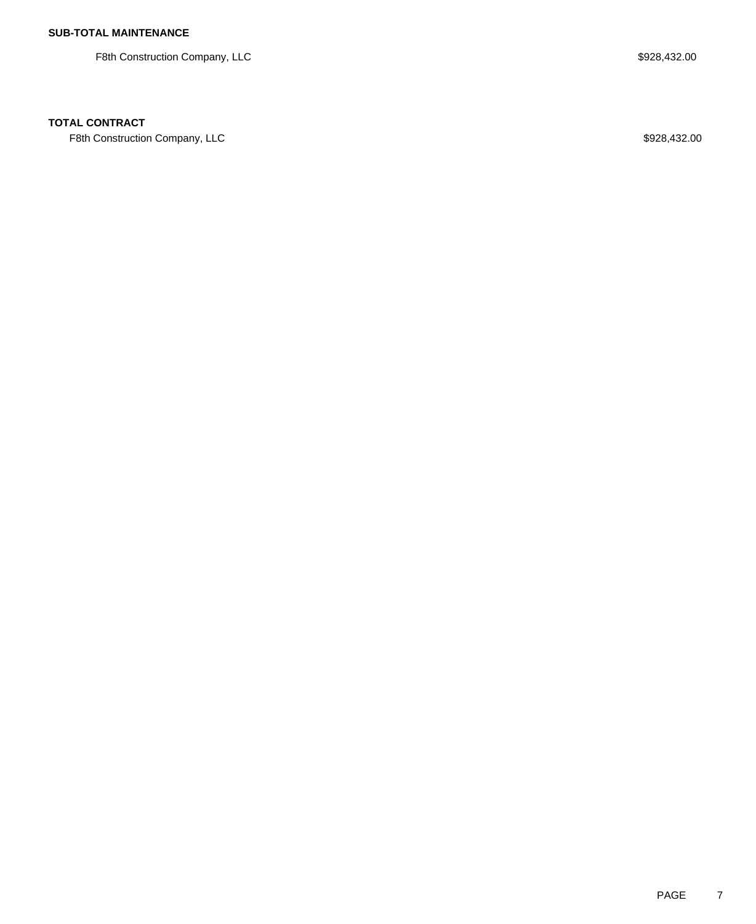F8th Construction Company, LLC 600 and 200 and 200 and 200 and 200 and 200 and 3928,432.00

## **TOTAL CONTRACT**

F8th Construction Company, LLC 600 and the state of the state of the state of the state of the state of the state of the state of the state of the state of the state of the state of the state of the state of the state of t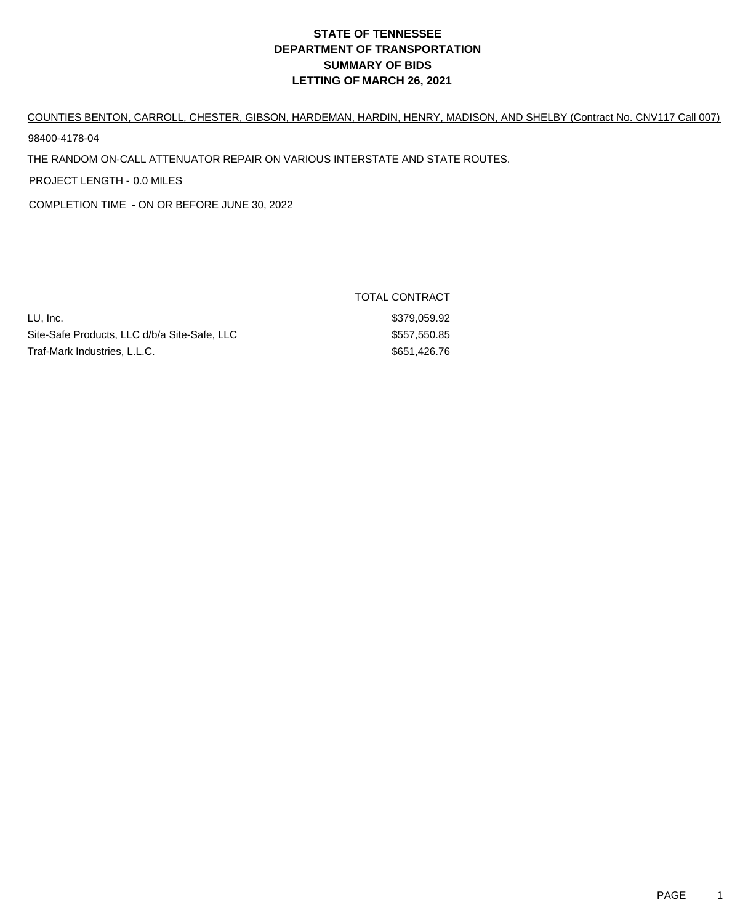# **DEPARTMENT OF TRANSPORTATION SUMMARY OF BIDS LETTING OF MARCH 26, 2021 STATE OF TENNESSEE**

COUNTIES BENTON, CARROLL, CHESTER, GIBSON, HARDEMAN, HARDIN, HENRY, MADISON, AND SHELBY (Contract No. CNV117 Call 007)

98400-4178-04

THE RANDOM ON-CALL ATTENUATOR REPAIR ON VARIOUS INTERSTATE AND STATE ROUTES.

PROJECT LENGTH - 0.0 MILES

COMPLETION TIME - ON OR BEFORE JUNE 30, 2022

| LU. Inc.                                     | \$379.059.92 |
|----------------------------------------------|--------------|
| Site-Safe Products. LLC d/b/a Site-Safe. LLC | \$557,550.85 |
| Traf-Mark Industries. L.L.C.                 | \$651,426.76 |

TOTAL CONTRACT \$379,059.92

 $$557,550.85$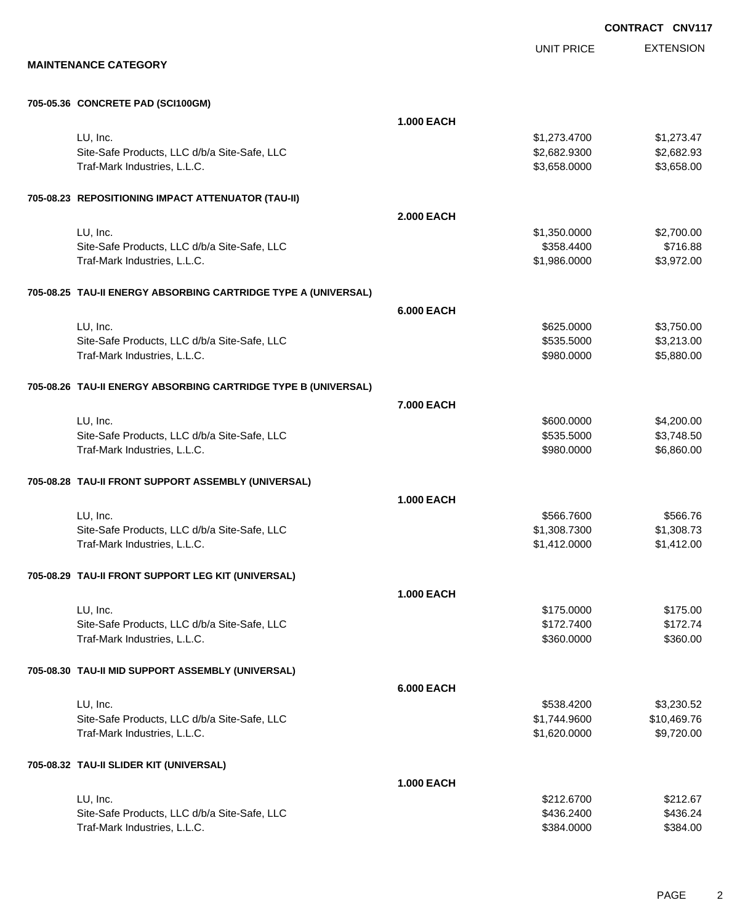UNIT PRICE

EXTENSION

**MAINTENANCE CATEGORY**

#### **705-05.36 CONCRETE PAD (SCI100GM)**

|                                                                | <b>1.000 EACH</b> |              |             |
|----------------------------------------------------------------|-------------------|--------------|-------------|
| LU, Inc.                                                       |                   | \$1,273.4700 | \$1,273.47  |
| Site-Safe Products, LLC d/b/a Site-Safe, LLC                   |                   | \$2,682.9300 | \$2,682.93  |
| Traf-Mark Industries, L.L.C.                                   |                   | \$3,658.0000 | \$3,658.00  |
| 705-08.23 REPOSITIONING IMPACT ATTENUATOR (TAU-II)             |                   |              |             |
|                                                                | <b>2.000 EACH</b> |              |             |
| LU, Inc.                                                       |                   | \$1,350.0000 | \$2,700.00  |
| Site-Safe Products, LLC d/b/a Site-Safe, LLC                   |                   | \$358.4400   | \$716.88    |
| Traf-Mark Industries, L.L.C.                                   |                   | \$1,986.0000 | \$3,972.00  |
| 705-08.25 TAU-II ENERGY ABSORBING CARTRIDGE TYPE A (UNIVERSAL) |                   |              |             |
|                                                                | <b>6.000 EACH</b> |              |             |
| LU, Inc.                                                       |                   | \$625.0000   | \$3,750.00  |
| Site-Safe Products, LLC d/b/a Site-Safe, LLC                   |                   | \$535.5000   | \$3,213.00  |
| Traf-Mark Industries, L.L.C.                                   |                   | \$980.0000   | \$5,880.00  |
| 705-08.26 TAU-II ENERGY ABSORBING CARTRIDGE TYPE B (UNIVERSAL) |                   |              |             |
|                                                                | 7.000 EACH        |              |             |
| LU, Inc.                                                       |                   | \$600.0000   | \$4,200.00  |
| Site-Safe Products, LLC d/b/a Site-Safe, LLC                   |                   | \$535.5000   | \$3,748.50  |
| Traf-Mark Industries, L.L.C.                                   |                   | \$980.0000   | \$6,860.00  |
| 705-08.28 TAU-II FRONT SUPPORT ASSEMBLY (UNIVERSAL)            |                   |              |             |
|                                                                | <b>1.000 EACH</b> |              |             |
| LU, Inc.                                                       |                   | \$566.7600   | \$566.76    |
| Site-Safe Products, LLC d/b/a Site-Safe, LLC                   |                   | \$1,308.7300 | \$1,308.73  |
| Traf-Mark Industries, L.L.C.                                   |                   | \$1,412.0000 | \$1,412.00  |
| 705-08.29 TAU-II FRONT SUPPORT LEG KIT (UNIVERSAL)             |                   |              |             |
|                                                                | <b>1.000 EACH</b> |              |             |
| LU, Inc.                                                       |                   | \$175.0000   | \$175.00    |
| Site-Safe Products, LLC d/b/a Site-Safe, LLC                   |                   | \$172.7400   | \$172.74    |
| Traf-Mark Industries, L.L.C.                                   |                   | \$360.0000   | \$360.00    |
| 705-08.30 TAU-II MID SUPPORT ASSEMBLY (UNIVERSAL)              |                   |              |             |
|                                                                | <b>6.000 EACH</b> |              |             |
| LU, Inc.                                                       |                   | \$538.4200   | \$3,230.52  |
| Site-Safe Products, LLC d/b/a Site-Safe, LLC                   |                   | \$1,744.9600 | \$10,469.76 |
| Traf-Mark Industries, L.L.C.                                   |                   | \$1,620.0000 | \$9,720.00  |
| 705-08.32 TAU-II SLIDER KIT (UNIVERSAL)                        |                   |              |             |
|                                                                | <b>1.000 EACH</b> |              |             |
| LU, Inc.                                                       |                   | \$212.6700   | \$212.67    |
| Site-Safe Products, LLC d/b/a Site-Safe, LLC                   |                   | \$436.2400   | \$436.24    |
| Traf-Mark Industries, L.L.C.                                   |                   | \$384.0000   | \$384.00    |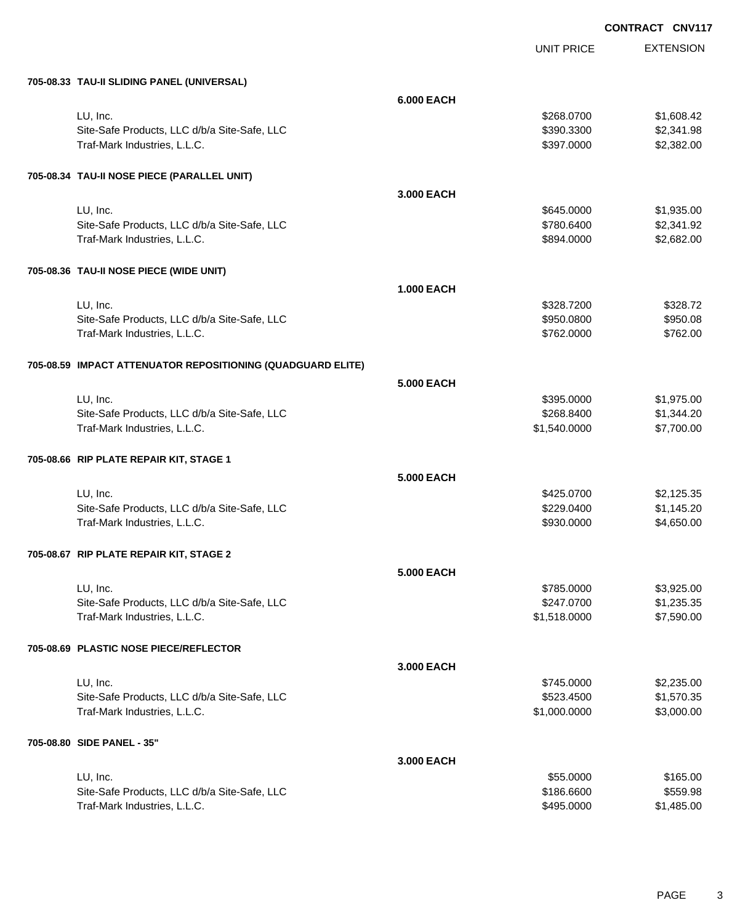| 705-08.33 TAU-II SLIDING PANEL (UNIVERSAL)                  |                   |              |            |
|-------------------------------------------------------------|-------------------|--------------|------------|
|                                                             | <b>6.000 EACH</b> |              |            |
| LU, Inc.                                                    |                   | \$268.0700   | \$1,608.42 |
| Site-Safe Products, LLC d/b/a Site-Safe, LLC                |                   | \$390.3300   | \$2,341.98 |
| Traf-Mark Industries, L.L.C.                                |                   | \$397.0000   | \$2,382.00 |
|                                                             |                   |              |            |
| 705-08.34 TAU-II NOSE PIECE (PARALLEL UNIT)                 |                   |              |            |
|                                                             | 3.000 EACH        |              |            |
| LU, Inc.                                                    |                   | \$645.0000   | \$1,935.00 |
| Site-Safe Products, LLC d/b/a Site-Safe, LLC                |                   | \$780.6400   | \$2,341.92 |
| Traf-Mark Industries, L.L.C.                                |                   | \$894.0000   | \$2,682.00 |
|                                                             |                   |              |            |
| 705-08.36 TAU-II NOSE PIECE (WIDE UNIT)                     |                   |              |            |
|                                                             | <b>1.000 EACH</b> |              |            |
| LU, Inc.                                                    |                   | \$328.7200   | \$328.72   |
| Site-Safe Products, LLC d/b/a Site-Safe, LLC                |                   | \$950.0800   | \$950.08   |
| Traf-Mark Industries, L.L.C.                                |                   | \$762.0000   | \$762.00   |
| 705-08.59 IMPACT ATTENUATOR REPOSITIONING (QUADGUARD ELITE) |                   |              |            |
|                                                             | <b>5.000 EACH</b> |              |            |
| LU, Inc.                                                    |                   | \$395.0000   | \$1,975.00 |
| Site-Safe Products, LLC d/b/a Site-Safe, LLC                |                   | \$268.8400   | \$1,344.20 |
| Traf-Mark Industries, L.L.C.                                |                   | \$1,540.0000 | \$7,700.00 |
|                                                             |                   |              |            |
| 705-08.66 RIP PLATE REPAIR KIT, STAGE 1                     |                   |              |            |
|                                                             | <b>5.000 EACH</b> |              |            |
| LU, Inc.                                                    |                   | \$425.0700   | \$2,125.35 |
| Site-Safe Products, LLC d/b/a Site-Safe, LLC                |                   | \$229.0400   | \$1,145.20 |
| Traf-Mark Industries, L.L.C.                                |                   | \$930.0000   | \$4,650.00 |
|                                                             |                   |              |            |
| 705-08.67 RIP PLATE REPAIR KIT, STAGE 2                     |                   |              |            |
|                                                             | 5.000 EACH        |              |            |
| LU, Inc.                                                    |                   | \$785,0000   | \$3,925.00 |
| Site-Safe Products, LLC d/b/a Site-Safe, LLC                |                   | \$247.0700   | \$1,235.35 |
| Traf-Mark Industries, L.L.C.                                |                   | \$1,518.0000 | \$7,590.00 |
| 705-08.69 PLASTIC NOSE PIECE/REFLECTOR                      |                   |              |            |
|                                                             | 3.000 EACH        |              |            |
| LU, Inc.                                                    |                   | \$745.0000   | \$2,235.00 |
| Site-Safe Products, LLC d/b/a Site-Safe, LLC                |                   | \$523.4500   | \$1,570.35 |
| Traf-Mark Industries, L.L.C.                                |                   | \$1,000.0000 | \$3,000.00 |
|                                                             |                   |              |            |
| 705-08.80 SIDE PANEL - 35"                                  |                   |              |            |
|                                                             | 3.000 EACH        |              |            |
| LU, Inc.                                                    |                   | \$55.0000    | \$165.00   |
| Site-Safe Products, LLC d/b/a Site-Safe, LLC                |                   | \$186.6600   | \$559.98   |
| Traf-Mark Industries, L.L.C.                                |                   | \$495.0000   | \$1,485.00 |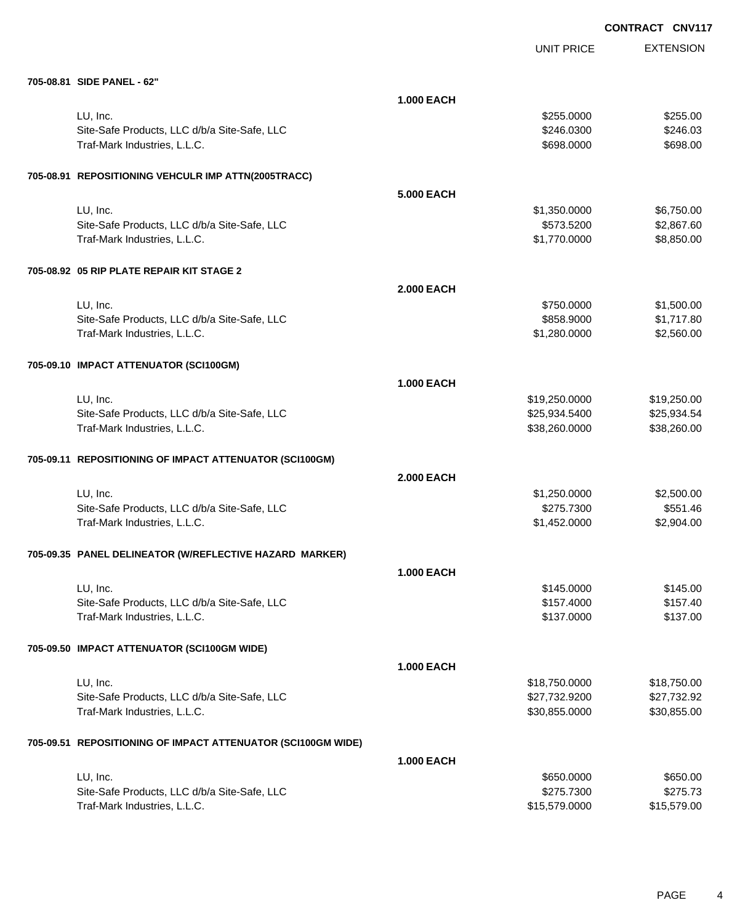|                                                              |                   |                   | <b>UNVI</b>      |
|--------------------------------------------------------------|-------------------|-------------------|------------------|
|                                                              |                   | <b>UNIT PRICE</b> | <b>EXTENSION</b> |
| 705-08.81 SIDE PANEL - 62"                                   |                   |                   |                  |
|                                                              | <b>1.000 EACH</b> |                   |                  |
| LU, Inc.                                                     |                   | \$255.0000        | \$255.00         |
| Site-Safe Products, LLC d/b/a Site-Safe, LLC                 |                   | \$246.0300        | \$246.03         |
| Traf-Mark Industries, L.L.C.                                 |                   | \$698.0000        | \$698.00         |
|                                                              |                   |                   |                  |
| 705-08.91 REPOSITIONING VEHCULR IMP ATTN(2005TRACC)          |                   |                   |                  |
|                                                              | 5.000 EACH        |                   |                  |
| LU, Inc.                                                     |                   | \$1,350.0000      | \$6,750.00       |
| Site-Safe Products, LLC d/b/a Site-Safe, LLC                 |                   | \$573.5200        | \$2,867.60       |
| Traf-Mark Industries, L.L.C.                                 |                   | \$1,770.0000      | \$8,850.00       |
|                                                              |                   |                   |                  |
| 705-08.92 05 RIP PLATE REPAIR KIT STAGE 2                    |                   |                   |                  |
|                                                              | 2.000 EACH        |                   |                  |
| LU, Inc.                                                     |                   | \$750,0000        | \$1,500.00       |
| Site-Safe Products, LLC d/b/a Site-Safe, LLC                 |                   | \$858.9000        | \$1,717.80       |
| Traf-Mark Industries, L.L.C.                                 |                   | \$1,280.0000      | \$2,560.00       |
|                                                              |                   |                   |                  |
| 705-09.10 IMPACT ATTENUATOR (SCI100GM)                       |                   |                   |                  |
|                                                              | <b>1.000 EACH</b> |                   |                  |
| LU, Inc.                                                     |                   | \$19,250.0000     | \$19,250.00      |
| Site-Safe Products, LLC d/b/a Site-Safe, LLC                 |                   | \$25,934.5400     | \$25,934.54      |
| Traf-Mark Industries, L.L.C.                                 |                   | \$38,260.0000     | \$38,260.00      |
|                                                              |                   |                   |                  |
| 705-09.11 REPOSITIONING OF IMPACT ATTENUATOR (SCI100GM)      |                   |                   |                  |
|                                                              | 2.000 EACH        |                   |                  |
| LU, Inc.                                                     |                   | \$1,250.0000      | \$2,500.00       |
| Site-Safe Products, LLC d/b/a Site-Safe, LLC                 |                   | \$275.7300        | \$551.46         |
| Traf-Mark Industries, L.L.C.                                 |                   | \$1,452.0000      | \$2,904.00       |
|                                                              |                   |                   |                  |
| 705-09.35 PANEL DELINEATOR (W/REFLECTIVE HAZARD MARKER)      |                   |                   |                  |
|                                                              | <b>1.000 EACH</b> |                   |                  |
| LU, Inc.                                                     |                   | \$145.0000        | \$145.00         |
| Site-Safe Products, LLC d/b/a Site-Safe, LLC                 |                   | \$157.4000        | \$157.40         |
| Traf-Mark Industries, L.L.C.                                 |                   | \$137.0000        | \$137.00         |
|                                                              |                   |                   |                  |
| 705-09.50 IMPACT ATTENUATOR (SCI100GM WIDE)                  |                   |                   |                  |
|                                                              | <b>1.000 EACH</b> |                   |                  |
| LU, Inc.                                                     |                   | \$18,750.0000     | \$18,750.00      |
| Site-Safe Products, LLC d/b/a Site-Safe, LLC                 |                   | \$27,732.9200     | \$27,732.92      |
| Traf-Mark Industries, L.L.C.                                 |                   | \$30,855.0000     | \$30,855.00      |
|                                                              |                   |                   |                  |
| 705-09.51 REPOSITIONING OF IMPACT ATTENUATOR (SCI100GM WIDE) |                   |                   |                  |
|                                                              | <b>1.000 EACH</b> |                   |                  |
| LU, Inc.                                                     |                   | \$650.0000        | \$650.00         |
| Site-Safe Products, LLC d/b/a Site-Safe, LLC                 |                   | \$275.7300        | \$275.73         |
| Traf-Mark Industries, L.L.C.                                 |                   | \$15,579.0000     | \$15,579.00      |
|                                                              |                   |                   |                  |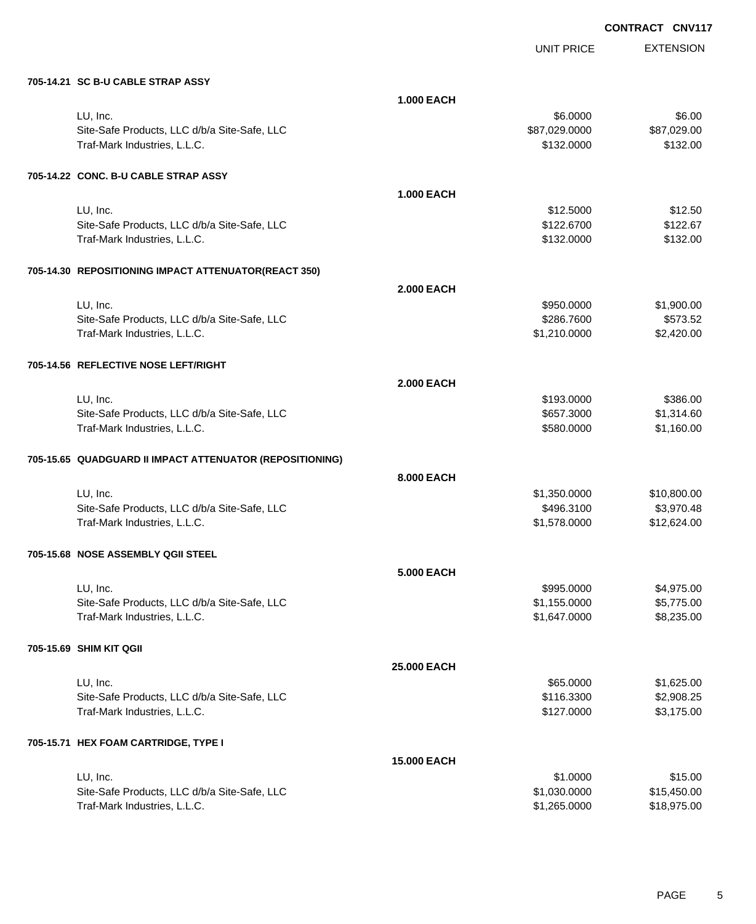UNIT PRICE EXTENSION

**705-14.21 SC B-U CABLE STRAP ASSY**

| <b>30 D-0 UADLL STIVAL ASST</b>                          |                   |               |             |
|----------------------------------------------------------|-------------------|---------------|-------------|
|                                                          | <b>1.000 EACH</b> |               |             |
| LU, Inc.                                                 |                   | \$6.0000      | \$6.00      |
| Site-Safe Products, LLC d/b/a Site-Safe, LLC             |                   | \$87,029.0000 | \$87,029.00 |
| Traf-Mark Industries, L.L.C.                             |                   | \$132.0000    | \$132.00    |
| 705-14.22 CONC. B-U CABLE STRAP ASSY                     |                   |               |             |
|                                                          | <b>1.000 EACH</b> |               |             |
| LU, Inc.                                                 |                   | \$12.5000     | \$12.50     |
| Site-Safe Products, LLC d/b/a Site-Safe, LLC             |                   | \$122.6700    | \$122.67    |
| Traf-Mark Industries, L.L.C.                             |                   | \$132.0000    | \$132.00    |
| 705-14.30 REPOSITIONING IMPACT ATTENUATOR(REACT 350)     |                   |               |             |
|                                                          | 2.000 EACH        |               |             |
| LU, Inc.                                                 |                   | \$950.0000    | \$1,900.00  |
| Site-Safe Products, LLC d/b/a Site-Safe, LLC             |                   | \$286.7600    | \$573.52    |
| Traf-Mark Industries, L.L.C.                             |                   | \$1,210.0000  | \$2,420.00  |
| 705-14.56 REFLECTIVE NOSE LEFT/RIGHT                     |                   |               |             |
|                                                          | <b>2.000 EACH</b> |               |             |
| LU, Inc.                                                 |                   | \$193.0000    | \$386.00    |
| Site-Safe Products, LLC d/b/a Site-Safe, LLC             |                   | \$657.3000    | \$1,314.60  |
| Traf-Mark Industries, L.L.C.                             |                   | \$580.0000    | \$1,160.00  |
| 705-15.65 QUADGUARD II IMPACT ATTENUATOR (REPOSITIONING) |                   |               |             |
|                                                          | <b>8.000 EACH</b> |               |             |
| LU, Inc.                                                 |                   | \$1,350.0000  | \$10,800.00 |
| Site-Safe Products, LLC d/b/a Site-Safe, LLC             |                   | \$496.3100    | \$3,970.48  |
| Traf-Mark Industries, L.L.C.                             |                   | \$1,578.0000  | \$12,624.00 |
| 705-15.68 NOSE ASSEMBLY QGII STEEL                       |                   |               |             |
|                                                          | <b>5.000 EACH</b> |               |             |
| LU, Inc.                                                 |                   | \$995.0000    | \$4,975.00  |
| Site-Safe Products, LLC d/b/a Site-Safe, LLC             |                   | \$1,155.0000  | \$5,775.00  |
| Traf-Mark Industries, L.L.C.                             |                   | \$1,647.0000  | \$8,235.00  |
| 705-15.69 SHIM KIT QGII                                  |                   |               |             |
|                                                          | 25.000 EACH       |               |             |
| LU, Inc.                                                 |                   | \$65.0000     | \$1,625.00  |
| Site-Safe Products, LLC d/b/a Site-Safe, LLC             |                   | \$116.3300    | \$2,908.25  |
| Traf-Mark Industries, L.L.C.                             |                   | \$127.0000    | \$3,175.00  |
| 705-15.71 HEX FOAM CARTRIDGE, TYPE I                     |                   |               |             |
|                                                          | 15.000 EACH       |               |             |
| LU, Inc.                                                 |                   | \$1.0000      | \$15.00     |
| Site-Safe Products, LLC d/b/a Site-Safe, LLC             |                   | \$1,030.0000  | \$15,450.00 |
| Traf-Mark Industries, L.L.C.                             |                   | \$1,265.0000  | \$18,975.00 |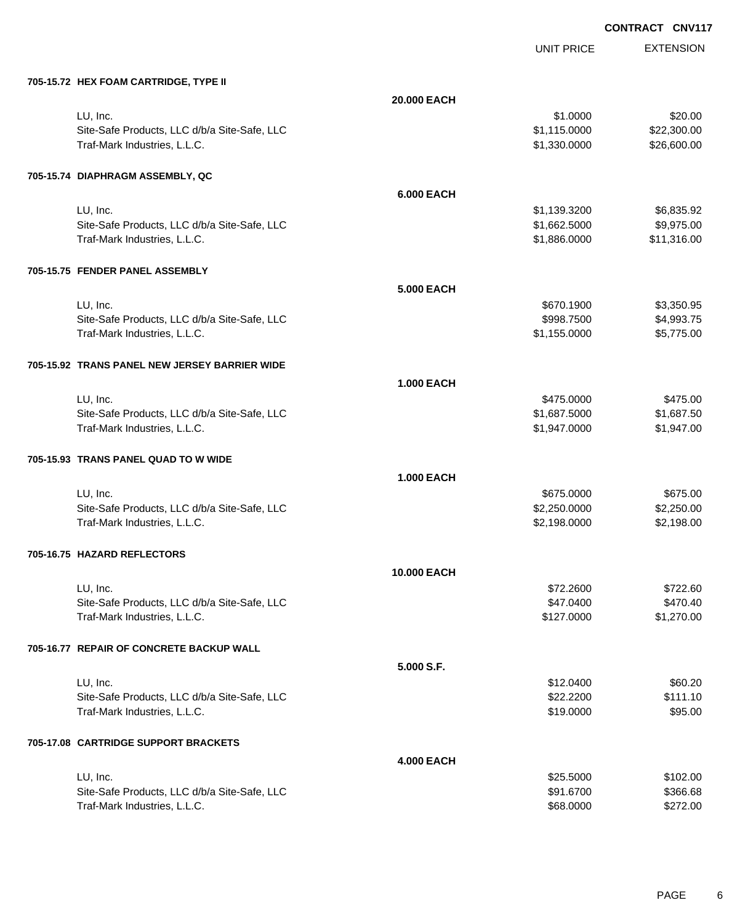| 705-15.72 HEX FOAM CARTRIDGE, TYPE II |
|---------------------------------------|

| 705-15.72 HEX FOAM CARTRIDGE, TYPE II                    |                   |                              |                          |
|----------------------------------------------------------|-------------------|------------------------------|--------------------------|
|                                                          | 20.000 EACH       |                              |                          |
| LU, Inc.                                                 |                   | \$1.0000                     | \$20.00                  |
| Site-Safe Products, LLC d/b/a Site-Safe, LLC             |                   | \$1,115.0000                 | \$22,300.00              |
| Traf-Mark Industries, L.L.C.                             |                   | \$1,330.0000                 | \$26,600.00              |
|                                                          |                   |                              |                          |
| 705-15.74 DIAPHRAGM ASSEMBLY, QC                         | <b>6.000 EACH</b> |                              |                          |
|                                                          |                   |                              |                          |
| LU, Inc.<br>Site-Safe Products, LLC d/b/a Site-Safe, LLC |                   | \$1,139.3200<br>\$1,662.5000 | \$6,835.92<br>\$9,975.00 |
| Traf-Mark Industries, L.L.C.                             |                   | \$1,886.0000                 | \$11,316.00              |
|                                                          |                   |                              |                          |
| 705-15.75 FENDER PANEL ASSEMBLY                          |                   |                              |                          |
|                                                          | 5.000 EACH        |                              |                          |
| LU, Inc.                                                 |                   | \$670.1900                   | \$3,350.95               |
| Site-Safe Products, LLC d/b/a Site-Safe, LLC             |                   | \$998.7500                   | \$4,993.75               |
| Traf-Mark Industries, L.L.C.                             |                   | \$1,155.0000                 | \$5,775.00               |
| 705-15.92 TRANS PANEL NEW JERSEY BARRIER WIDE            |                   |                              |                          |
|                                                          | <b>1.000 EACH</b> |                              |                          |
| LU, Inc.                                                 |                   | \$475.0000                   | \$475.00                 |
| Site-Safe Products, LLC d/b/a Site-Safe, LLC             |                   | \$1,687.5000                 | \$1,687.50               |
| Traf-Mark Industries, L.L.C.                             |                   | \$1,947.0000                 | \$1,947.00               |
| 705-15.93 TRANS PANEL QUAD TO W WIDE                     |                   |                              |                          |
|                                                          | <b>1.000 EACH</b> |                              |                          |
| LU, Inc.                                                 |                   | \$675.0000                   | \$675.00                 |
| Site-Safe Products, LLC d/b/a Site-Safe, LLC             |                   | \$2,250.0000                 | \$2,250.00               |
| Traf-Mark Industries, L.L.C.                             |                   | \$2,198.0000                 | \$2,198.00               |
| 705-16.75 HAZARD REFLECTORS                              |                   |                              |                          |
|                                                          | 10.000 EACH       |                              |                          |
| LU, Inc.                                                 |                   | \$72,2600                    | \$722.60                 |
| Site-Safe Products, LLC d/b/a Site-Safe, LLC             |                   | \$47.0400                    | \$470.40                 |
| Traf-Mark Industries, L.L.C.                             |                   | \$127.0000                   | \$1,270.00               |
| 705-16.77 REPAIR OF CONCRETE BACKUP WALL                 |                   |                              |                          |
|                                                          | 5.000 S.F.        |                              |                          |
| LU, Inc.                                                 |                   | \$12.0400                    | \$60.20                  |
| Site-Safe Products, LLC d/b/a Site-Safe, LLC             |                   | \$22.2200                    | \$111.10                 |
| Traf-Mark Industries, L.L.C.                             |                   | \$19.0000                    | \$95.00                  |
| 705-17.08 CARTRIDGE SUPPORT BRACKETS                     |                   |                              |                          |
|                                                          | <b>4.000 EACH</b> |                              |                          |
| LU, Inc.                                                 |                   | \$25.5000                    | \$102.00                 |
| Site-Safe Products, LLC d/b/a Site-Safe, LLC             |                   | \$91.6700                    | \$366.68                 |
| Traf-Mark Industries, L.L.C.                             |                   | \$68.0000                    | \$272.00                 |
|                                                          |                   |                              |                          |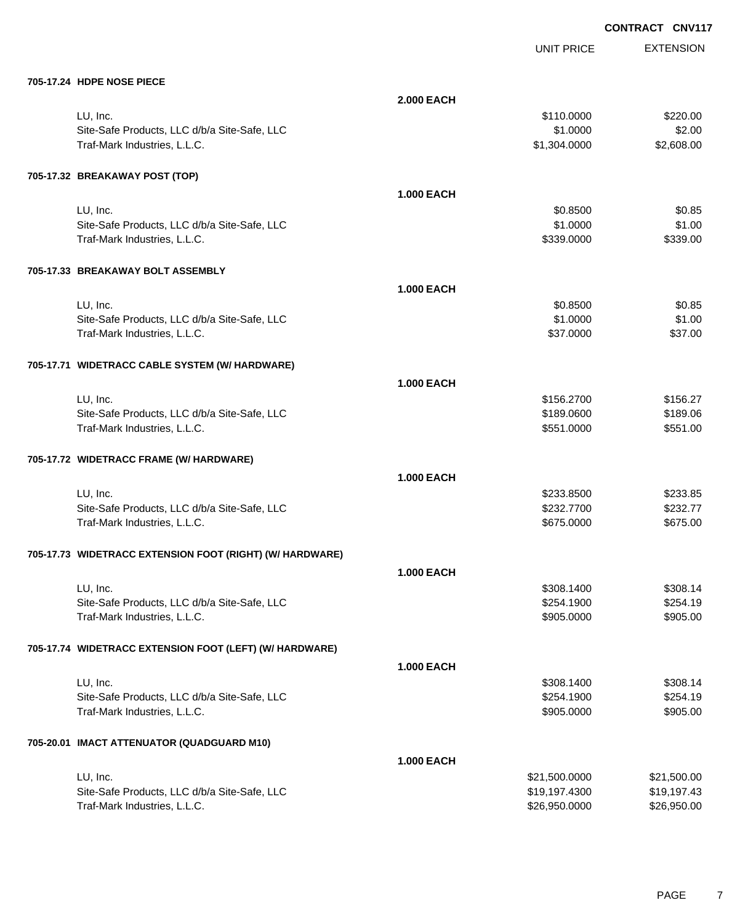| 705-17.24 HDPE NOSE PIECE                                |                   |                          |                  |
|----------------------------------------------------------|-------------------|--------------------------|------------------|
|                                                          | <b>2.000 EACH</b> |                          |                  |
| LU, Inc.                                                 |                   | \$110.0000               | \$220.00         |
| Site-Safe Products, LLC d/b/a Site-Safe, LLC             |                   | \$1.0000                 | \$2.00           |
| Traf-Mark Industries, L.L.C.                             |                   | \$1,304.0000             | \$2,608.00       |
|                                                          |                   |                          |                  |
| 705-17.32 BREAKAWAY POST (TOP)                           |                   |                          |                  |
|                                                          | <b>1.000 EACH</b> |                          |                  |
| LU, Inc.                                                 |                   | \$0.8500                 | \$0.85           |
| Site-Safe Products, LLC d/b/a Site-Safe, LLC             |                   | \$1.0000                 | \$1.00           |
| Traf-Mark Industries, L.L.C.                             |                   | \$339.0000               | \$339.00         |
|                                                          |                   |                          |                  |
| 705-17.33 BREAKAWAY BOLT ASSEMBLY                        |                   |                          |                  |
|                                                          | <b>1.000 EACH</b> |                          |                  |
|                                                          |                   |                          |                  |
| LU, Inc.<br>Site-Safe Products, LLC d/b/a Site-Safe, LLC |                   | \$0.8500<br>\$1.0000     | \$0.85<br>\$1.00 |
| Traf-Mark Industries, L.L.C.                             |                   | \$37.0000                | \$37.00          |
|                                                          |                   |                          |                  |
|                                                          |                   |                          |                  |
| 705-17.71 WIDETRACC CABLE SYSTEM (W/ HARDWARE)           |                   |                          |                  |
|                                                          | <b>1.000 EACH</b> |                          |                  |
| LU, Inc.                                                 |                   | \$156.2700               | \$156.27         |
| Site-Safe Products, LLC d/b/a Site-Safe, LLC             |                   | \$189.0600               | \$189.06         |
| Traf-Mark Industries, L.L.C.                             |                   | \$551.0000               | \$551.00         |
| 705-17.72 WIDETRACC FRAME (W/ HARDWARE)                  |                   |                          |                  |
|                                                          |                   |                          |                  |
|                                                          | <b>1.000 EACH</b> |                          |                  |
| LU, Inc.                                                 |                   | \$233.8500               | \$233.85         |
| Site-Safe Products, LLC d/b/a Site-Safe, LLC             |                   | \$232.7700               | \$232.77         |
| Traf-Mark Industries, L.L.C.                             |                   | \$675.0000               | \$675.00         |
| 705-17.73 WIDETRACC EXTENSION FOOT (RIGHT) (W/ HARDWARE) |                   |                          |                  |
|                                                          |                   |                          |                  |
|                                                          | <b>1.000 EACH</b> |                          |                  |
| LU, Inc.                                                 |                   | \$308,1400               | \$308.14         |
| Site-Safe Products, LLC d/b/a Site-Safe, LLC             |                   | \$254.1900               | \$254.19         |
| Traf-Mark Industries, L.L.C.                             |                   | \$905.0000               | \$905.00         |
| 705-17.74 WIDETRACC EXTENSION FOOT (LEFT) (W/ HARDWARE)  |                   |                          |                  |
|                                                          |                   |                          |                  |
|                                                          | <b>1.000 EACH</b> |                          |                  |
| LU, Inc.                                                 |                   | \$308.1400               | \$308.14         |
| Site-Safe Products, LLC d/b/a Site-Safe, LLC             |                   | \$254.1900<br>\$905.0000 | \$254.19         |
| Traf-Mark Industries, L.L.C.                             |                   |                          | \$905.00         |
| 705-20.01 IMACT ATTENUATOR (QUADGUARD M10)               |                   |                          |                  |
|                                                          | <b>1.000 EACH</b> |                          |                  |
| LU, Inc.                                                 |                   | \$21,500.0000            | \$21,500.00      |
| Site-Safe Products, LLC d/b/a Site-Safe, LLC             |                   | \$19,197.4300            | \$19,197.43      |
| Traf-Mark Industries, L.L.C.                             |                   | \$26,950.0000            | \$26,950.00      |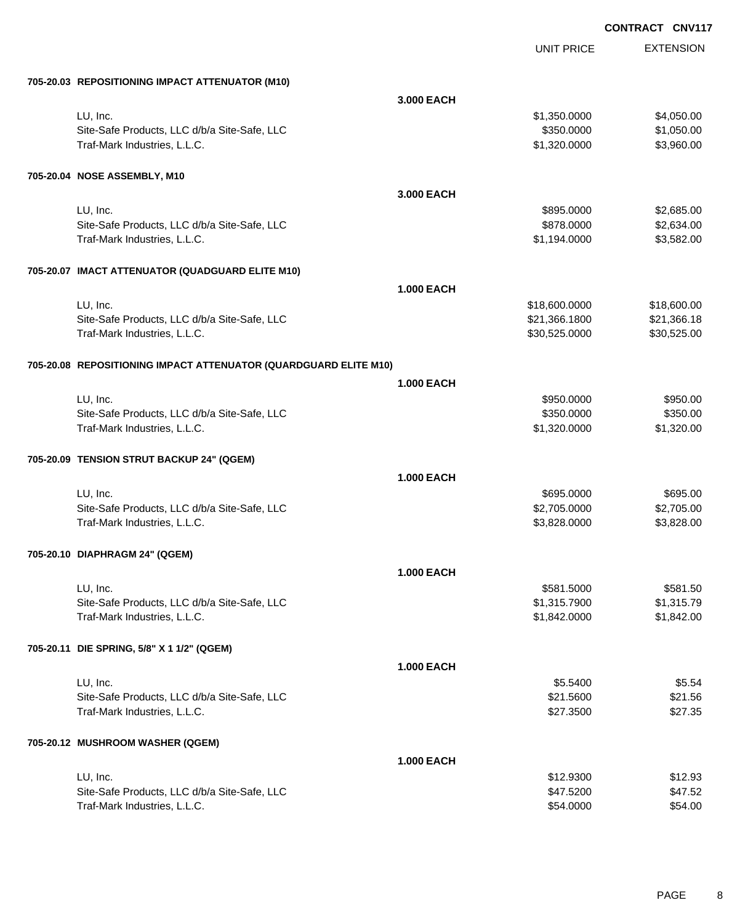| 705-20.03 REPOSITIONING IMPACT ATTENUATOR (M10)                              |                   |                              |                        |
|------------------------------------------------------------------------------|-------------------|------------------------------|------------------------|
|                                                                              | 3.000 EACH        |                              |                        |
| LU, Inc.                                                                     |                   | \$1,350.0000                 | \$4,050.00             |
| Site-Safe Products, LLC d/b/a Site-Safe, LLC                                 |                   | \$350.0000                   | \$1,050.00             |
| Traf-Mark Industries, L.L.C.                                                 |                   | \$1,320.0000                 | \$3,960.00             |
|                                                                              |                   |                              |                        |
| 705-20.04 NOSE ASSEMBLY, M10                                                 |                   |                              |                        |
|                                                                              | 3.000 EACH        |                              |                        |
| LU, Inc.                                                                     |                   | \$895.0000                   | \$2,685.00             |
| Site-Safe Products, LLC d/b/a Site-Safe, LLC                                 |                   | \$878.0000                   | \$2,634.00             |
| Traf-Mark Industries, L.L.C.                                                 |                   | \$1,194.0000                 | \$3,582.00             |
|                                                                              |                   |                              |                        |
| 705-20.07 IMACT ATTENUATOR (QUADGUARD ELITE M10)                             |                   |                              |                        |
|                                                                              | <b>1.000 EACH</b> |                              |                        |
| LU, Inc.                                                                     |                   | \$18,600.0000                | \$18,600.00            |
| Site-Safe Products, LLC d/b/a Site-Safe, LLC                                 |                   | \$21,366.1800                | \$21,366.18            |
| Traf-Mark Industries, L.L.C.                                                 |                   | \$30,525.0000                | \$30,525.00            |
|                                                                              |                   |                              |                        |
| 705-20.08 REPOSITIONING IMPACT ATTENUATOR (QUARDGUARD ELITE M10)             |                   |                              |                        |
|                                                                              | <b>1.000 EACH</b> |                              |                        |
| LU, Inc.                                                                     |                   | \$950.0000                   | \$950.00               |
| Site-Safe Products, LLC d/b/a Site-Safe, LLC                                 |                   | \$350.0000                   | \$350.00               |
| Traf-Mark Industries, L.L.C.                                                 |                   | \$1,320.0000                 | \$1,320.00             |
| 705-20.09 TENSION STRUT BACKUP 24" (QGEM)                                    |                   |                              |                        |
|                                                                              | <b>1.000 EACH</b> |                              |                        |
|                                                                              |                   |                              |                        |
| LU, Inc.                                                                     |                   | \$695.0000                   | \$695.00<br>\$2,705.00 |
| Site-Safe Products, LLC d/b/a Site-Safe, LLC<br>Traf-Mark Industries, L.L.C. |                   | \$2,705.0000<br>\$3,828.0000 | \$3,828.00             |
|                                                                              |                   |                              |                        |
| 705-20.10 DIAPHRAGM 24" (QGEM)                                               |                   |                              |                        |
|                                                                              | <b>1.000 EACH</b> |                              |                        |
| LU, Inc.                                                                     |                   | \$581.5000                   | \$581.50               |
| Site-Safe Products, LLC d/b/a Site-Safe, LLC                                 |                   | \$1,315.7900                 | \$1,315.79             |
| Traf-Mark Industries, L.L.C.                                                 |                   | \$1,842.0000                 | \$1,842.00             |
|                                                                              |                   |                              |                        |
| 705-20.11 DIE SPRING, 5/8" X 1 1/2" (QGEM)                                   |                   |                              |                        |
|                                                                              | <b>1.000 EACH</b> |                              |                        |
| LU, Inc.                                                                     |                   | \$5.5400                     | \$5.54                 |
| Site-Safe Products, LLC d/b/a Site-Safe, LLC                                 |                   | \$21.5600                    | \$21.56                |
| Traf-Mark Industries, L.L.C.                                                 |                   | \$27.3500                    | \$27.35                |
|                                                                              |                   |                              |                        |
| 705-20.12 MUSHROOM WASHER (QGEM)                                             |                   |                              |                        |
|                                                                              | <b>1.000 EACH</b> |                              |                        |
| LU, Inc.                                                                     |                   | \$12.9300                    | \$12.93                |
| Site-Safe Products, LLC d/b/a Site-Safe, LLC                                 |                   | \$47.5200                    | \$47.52                |
| Traf-Mark Industries, L.L.C.                                                 |                   | \$54.0000                    | \$54.00                |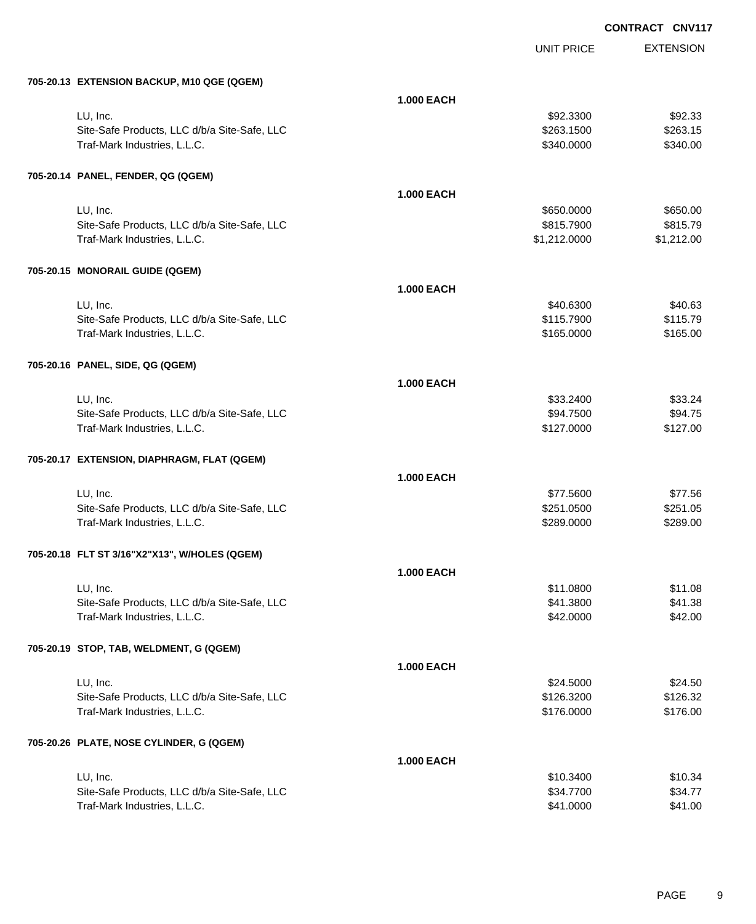| 705-20.13 EXTENSION BACKUP, M10 QGE (QGEM)               |                   |                         |                     |
|----------------------------------------------------------|-------------------|-------------------------|---------------------|
|                                                          | <b>1.000 EACH</b> |                         |                     |
| LU, Inc.                                                 |                   | \$92.3300               | \$92.33             |
| Site-Safe Products, LLC d/b/a Site-Safe, LLC             |                   | \$263.1500              | \$263.15            |
| Traf-Mark Industries, L.L.C.                             |                   | \$340.0000              | \$340.00            |
|                                                          |                   |                         |                     |
| 705-20.14 PANEL, FENDER, QG (QGEM)                       |                   |                         |                     |
|                                                          | <b>1.000 EACH</b> |                         |                     |
| LU, Inc.                                                 |                   | \$650.0000              | \$650.00            |
| Site-Safe Products, LLC d/b/a Site-Safe, LLC             |                   | \$815.7900              | \$815.79            |
| Traf-Mark Industries, L.L.C.                             |                   | \$1,212.0000            | \$1,212.00          |
|                                                          |                   |                         |                     |
| 705-20.15 MONORAIL GUIDE (QGEM)                          |                   |                         |                     |
|                                                          | <b>1.000 EACH</b> |                         |                     |
|                                                          |                   |                         |                     |
| LU, Inc.<br>Site-Safe Products, LLC d/b/a Site-Safe, LLC |                   | \$40.6300<br>\$115.7900 | \$40.63<br>\$115.79 |
| Traf-Mark Industries, L.L.C.                             |                   | \$165.0000              | \$165.00            |
|                                                          |                   |                         |                     |
|                                                          |                   |                         |                     |
| 705-20.16 PANEL, SIDE, QG (QGEM)                         |                   |                         |                     |
|                                                          | <b>1.000 EACH</b> |                         |                     |
| LU, Inc.                                                 |                   | \$33.2400               | \$33.24             |
| Site-Safe Products, LLC d/b/a Site-Safe, LLC             |                   | \$94.7500               | \$94.75             |
| Traf-Mark Industries, L.L.C.                             |                   | \$127.0000              | \$127.00            |
|                                                          |                   |                         |                     |
| 705-20.17 EXTENSION, DIAPHRAGM, FLAT (QGEM)              |                   |                         |                     |
|                                                          | <b>1.000 EACH</b> |                         |                     |
| LU, Inc.                                                 |                   | \$77.5600               | \$77.56             |
| Site-Safe Products, LLC d/b/a Site-Safe, LLC             |                   | \$251.0500              | \$251.05            |
| Traf-Mark Industries, L.L.C.                             |                   | \$289.0000              | \$289.00            |
|                                                          |                   |                         |                     |
| 705-20.18 FLT ST 3/16"X2"X13", W/HOLES (QGEM)            |                   |                         |                     |
|                                                          | <b>1.000 EACH</b> |                         |                     |
| LU, Inc.                                                 |                   | \$11.0800               | \$11.08             |
| Site-Safe Products, LLC d/b/a Site-Safe, LLC             |                   | \$41.3800               | \$41.38             |
| Traf-Mark Industries, L.L.C.                             |                   | \$42.0000               | \$42.00             |
|                                                          |                   |                         |                     |
| 705-20.19 STOP, TAB, WELDMENT, G (QGEM)                  |                   |                         |                     |
|                                                          | <b>1.000 EACH</b> |                         |                     |
| LU, Inc.                                                 |                   | \$24.5000               | \$24.50             |
| Site-Safe Products, LLC d/b/a Site-Safe, LLC             |                   | \$126.3200              | \$126.32            |
| Traf-Mark Industries, L.L.C.                             |                   | \$176.0000              | \$176.00            |
|                                                          |                   |                         |                     |
| 705-20.26 PLATE, NOSE CYLINDER, G (QGEM)                 |                   |                         |                     |
|                                                          | <b>1.000 EACH</b> |                         |                     |
| LU, Inc.                                                 |                   | \$10.3400               | \$10.34             |
| Site-Safe Products, LLC d/b/a Site-Safe, LLC             |                   | \$34.7700               | \$34.77             |
| Traf-Mark Industries, L.L.C.                             |                   | \$41.0000               | \$41.00             |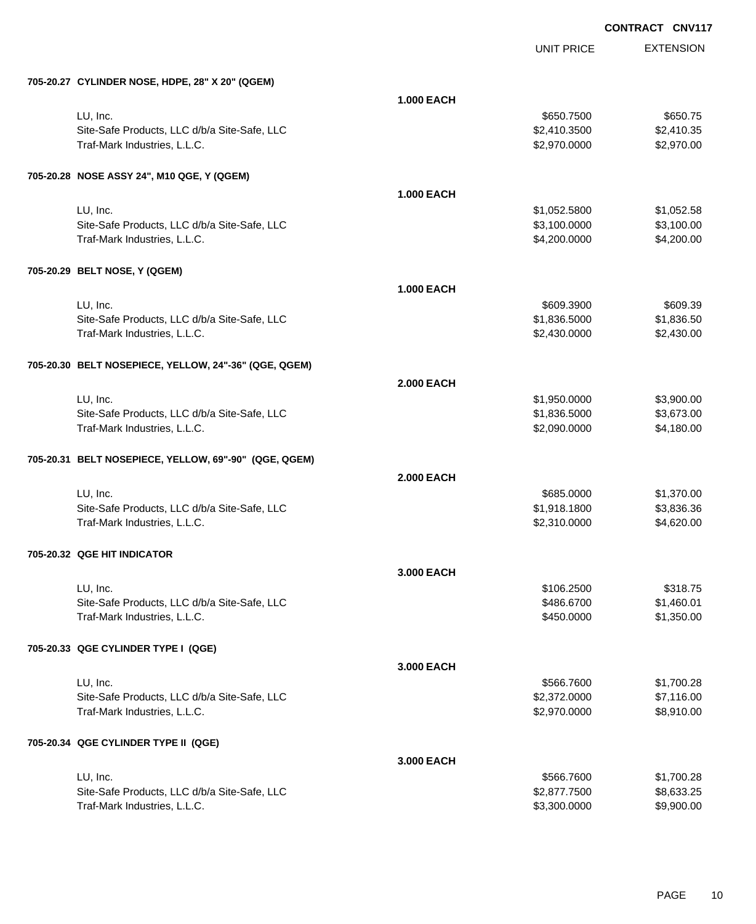|                                                       |                   | <b>UNIT PRICE</b> | <b>EXTENSION</b> |
|-------------------------------------------------------|-------------------|-------------------|------------------|
| 705-20.27 CYLINDER NOSE, HDPE, 28" X 20" (QGEM)       |                   |                   |                  |
|                                                       | <b>1.000 EACH</b> |                   |                  |
| LU, Inc.                                              |                   | \$650.7500        | \$650.75         |
| Site-Safe Products, LLC d/b/a Site-Safe, LLC          |                   | \$2,410.3500      | \$2,410.35       |
| Traf-Mark Industries, L.L.C.                          |                   | \$2,970.0000      | \$2,970.00       |
| 705-20.28 NOSE ASSY 24", M10 QGE, Y (QGEM)            |                   |                   |                  |
|                                                       | <b>1.000 EACH</b> |                   |                  |
| LU, Inc.                                              |                   | \$1,052.5800      | \$1,052.58       |
| Site-Safe Products, LLC d/b/a Site-Safe, LLC          |                   | \$3,100.0000      | \$3,100.00       |
| Traf-Mark Industries, L.L.C.                          |                   | \$4,200.0000      | \$4,200.00       |
| 705-20.29 BELT NOSE, Y (QGEM)                         |                   |                   |                  |
|                                                       | <b>1.000 EACH</b> |                   |                  |
| LU, Inc.                                              |                   | \$609.3900        | \$609.39         |
| Site-Safe Products, LLC d/b/a Site-Safe, LLC          |                   | \$1,836.5000      | \$1,836.50       |
| Traf-Mark Industries, L.L.C.                          |                   | \$2,430.0000      | \$2,430.00       |
| 705-20.30 BELT NOSEPIECE, YELLOW, 24"-36" (QGE, QGEM) |                   |                   |                  |
|                                                       | <b>2.000 EACH</b> |                   |                  |
| LU, Inc.                                              |                   | \$1,950.0000      | \$3,900.00       |
| Site-Safe Products, LLC d/b/a Site-Safe, LLC          |                   | \$1,836.5000      | \$3,673.00       |
| Traf-Mark Industries, L.L.C.                          |                   | \$2,090.0000      | \$4,180.00       |
| 705-20.31 BELT NOSEPIECE, YELLOW, 69"-90" (QGE, QGEM) |                   |                   |                  |
|                                                       | <b>2.000 EACH</b> |                   |                  |
| LU, Inc.                                              |                   | \$685.0000        | \$1,370.00       |
| Site-Safe Products, LLC d/b/a Site-Safe, LLC          |                   | \$1,918.1800      | \$3,836.36       |
| Traf-Mark Industries, L.L.C.                          |                   | \$2,310.0000      | \$4,620.00       |
| 705-20.32 QGE HIT INDICATOR                           |                   |                   |                  |
|                                                       | 3.000 EACH        |                   |                  |
| LU, Inc.                                              |                   | \$106.2500        | \$318.75         |
| Site-Safe Products, LLC d/b/a Site-Safe, LLC          |                   | \$486.6700        | \$1,460.01       |
| Traf-Mark Industries, L.L.C.                          |                   | \$450.0000        | \$1,350.00       |
| 705-20.33 QGE CYLINDER TYPE I (QGE)                   |                   |                   |                  |
|                                                       | 3.000 EACH        |                   |                  |
| LU, Inc.                                              |                   | \$566.7600        | \$1,700.28       |
| Site-Safe Products, LLC d/b/a Site-Safe, LLC          |                   | \$2,372.0000      | \$7,116.00       |
| Traf-Mark Industries, L.L.C.                          |                   | \$2,970.0000      | \$8,910.00       |
| 705-20.34 QGE CYLINDER TYPE II (QGE)                  |                   |                   |                  |
|                                                       | 3.000 EACH        |                   |                  |
| LU, Inc.                                              |                   | \$566.7600        | \$1,700.28       |
| Site-Safe Products, LLC d/b/a Site-Safe, LLC          |                   | \$2,877.7500      | \$8,633.25       |
| Traf-Mark Industries, L.L.C.                          |                   | \$3,300.0000      | \$9,900.00       |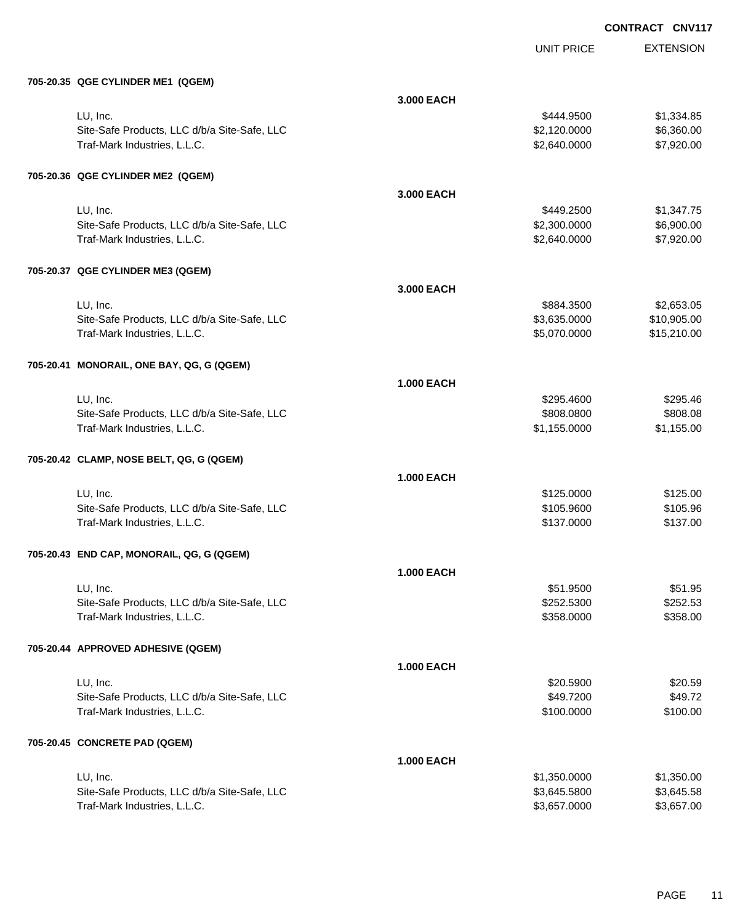| 705-20.35 QGE CYLINDER ME1 (QGEM)                                            |                   |                         |                      |
|------------------------------------------------------------------------------|-------------------|-------------------------|----------------------|
|                                                                              | 3.000 EACH        |                         |                      |
| LU, Inc.                                                                     |                   | \$444.9500              | \$1,334.85           |
| Site-Safe Products, LLC d/b/a Site-Safe, LLC                                 |                   | \$2,120.0000            | \$6,360.00           |
| Traf-Mark Industries, L.L.C.                                                 |                   | \$2,640.0000            | \$7,920.00           |
|                                                                              |                   |                         |                      |
| 705-20.36 QGE CYLINDER ME2 (QGEM)                                            |                   |                         |                      |
|                                                                              | 3.000 EACH        |                         |                      |
| LU, Inc.                                                                     |                   | \$449.2500              | \$1,347.75           |
| Site-Safe Products, LLC d/b/a Site-Safe, LLC                                 |                   | \$2,300.0000            | \$6,900.00           |
| Traf-Mark Industries, L.L.C.                                                 |                   | \$2,640.0000            | \$7,920.00           |
| 705-20.37 QGE CYLINDER ME3 (QGEM)                                            |                   |                         |                      |
|                                                                              | 3.000 EACH        |                         |                      |
| LU, Inc.                                                                     |                   | \$884.3500              | \$2,653.05           |
| Site-Safe Products, LLC d/b/a Site-Safe, LLC                                 |                   | \$3,635.0000            | \$10,905.00          |
| Traf-Mark Industries, L.L.C.                                                 |                   | \$5,070.0000            | \$15,210.00          |
|                                                                              |                   |                         |                      |
| 705-20.41 MONORAIL, ONE BAY, QG, G (QGEM)                                    |                   |                         |                      |
|                                                                              | <b>1.000 EACH</b> |                         |                      |
| LU, Inc.                                                                     |                   | \$295.4600              | \$295.46             |
| Site-Safe Products, LLC d/b/a Site-Safe, LLC                                 |                   | \$808.0800              | \$808.08             |
| Traf-Mark Industries, L.L.C.                                                 |                   | \$1,155.0000            | \$1,155.00           |
| 705-20.42 CLAMP, NOSE BELT, QG, G (QGEM)                                     |                   |                         |                      |
|                                                                              | <b>1.000 EACH</b> |                         |                      |
| LU, Inc.                                                                     |                   | \$125.0000              | \$125.00             |
| Site-Safe Products, LLC d/b/a Site-Safe, LLC                                 |                   | \$105.9600              | \$105.96             |
| Traf-Mark Industries, L.L.C.                                                 |                   | \$137.0000              | \$137.00             |
| 705-20.43 END CAP, MONORAIL, QG, G (QGEM)                                    |                   |                         |                      |
|                                                                              |                   |                         |                      |
|                                                                              | <b>1.000 EACH</b> |                         |                      |
| LU, Inc.                                                                     |                   | \$51.9500<br>\$252.5300 | \$51.95              |
| Site-Safe Products, LLC d/b/a Site-Safe, LLC<br>Traf-Mark Industries, L.L.C. |                   | \$358.0000              | \$252.53<br>\$358.00 |
|                                                                              |                   |                         |                      |
| 705-20.44 APPROVED ADHESIVE (QGEM)                                           |                   |                         |                      |
|                                                                              | <b>1.000 EACH</b> |                         |                      |
| LU, Inc.                                                                     |                   | \$20.5900               | \$20.59              |
| Site-Safe Products, LLC d/b/a Site-Safe, LLC                                 |                   | \$49.7200               | \$49.72              |
| Traf-Mark Industries, L.L.C.                                                 |                   | \$100.0000              | \$100.00             |
| 705-20.45 CONCRETE PAD (QGEM)                                                |                   |                         |                      |
|                                                                              | <b>1.000 EACH</b> |                         |                      |
| LU, Inc.                                                                     |                   | \$1,350.0000            | \$1,350.00           |
| Site-Safe Products, LLC d/b/a Site-Safe, LLC                                 |                   | \$3,645.5800            | \$3,645.58           |
| Traf-Mark Industries, L.L.C.                                                 |                   | \$3,657.0000            | \$3,657.00           |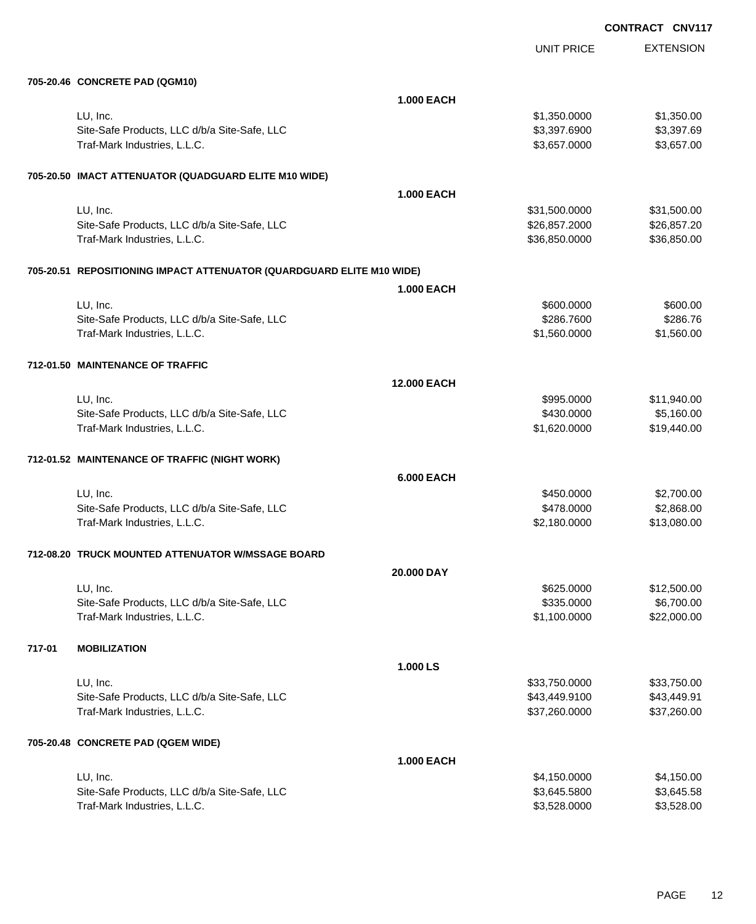|        | 705-20.46 CONCRETE PAD (QGM10)                                        |                    |               |             |
|--------|-----------------------------------------------------------------------|--------------------|---------------|-------------|
|        |                                                                       | 1.000 EACH         |               |             |
|        | LU, Inc.                                                              |                    | \$1,350.0000  | \$1,350.00  |
|        | Site-Safe Products, LLC d/b/a Site-Safe, LLC                          |                    | \$3,397.6900  | \$3,397.69  |
|        | Traf-Mark Industries, L.L.C.                                          |                    | \$3,657.0000  | \$3,657.00  |
|        | 705-20.50 IMACT ATTENUATOR (QUADGUARD ELITE M10 WIDE)                 |                    |               |             |
|        |                                                                       | 1.000 EACH         |               |             |
|        | LU, Inc.                                                              |                    | \$31,500.0000 | \$31,500.00 |
|        | Site-Safe Products, LLC d/b/a Site-Safe, LLC                          |                    | \$26,857.2000 | \$26,857.20 |
|        | Traf-Mark Industries, L.L.C.                                          |                    | \$36,850.0000 | \$36,850.00 |
|        | 705-20.51 REPOSITIONING IMPACT ATTENUATOR (QUARDGUARD ELITE M10 WIDE) |                    |               |             |
|        |                                                                       | <b>1.000 EACH</b>  |               |             |
|        | LU, Inc.                                                              |                    | \$600.0000    | \$600.00    |
|        | Site-Safe Products, LLC d/b/a Site-Safe, LLC                          |                    | \$286.7600    | \$286.76    |
|        | Traf-Mark Industries, L.L.C.                                          |                    | \$1,560.0000  | \$1,560.00  |
|        | 712-01.50 MAINTENANCE OF TRAFFIC                                      |                    |               |             |
|        |                                                                       | <b>12.000 EACH</b> |               |             |
|        | LU, Inc.                                                              |                    | \$995.0000    | \$11,940.00 |
|        | Site-Safe Products, LLC d/b/a Site-Safe, LLC                          |                    | \$430.0000    | \$5,160.00  |
|        | Traf-Mark Industries, L.L.C.                                          |                    | \$1,620.0000  | \$19,440.00 |
|        | 712-01.52 MAINTENANCE OF TRAFFIC (NIGHT WORK)                         |                    |               |             |
|        |                                                                       | <b>6.000 EACH</b>  |               |             |
|        | LU, Inc.                                                              |                    | \$450.0000    | \$2,700.00  |
|        | Site-Safe Products, LLC d/b/a Site-Safe, LLC                          |                    | \$478.0000    | \$2,868.00  |
|        | Traf-Mark Industries, L.L.C.                                          |                    | \$2,180.0000  | \$13,080.00 |
|        | 712-08.20 TRUCK MOUNTED ATTENUATOR W/MSSAGE BOARD                     |                    |               |             |
|        |                                                                       | 20.000 DAY         |               |             |
|        | LU, Inc.                                                              |                    | \$625.0000    | \$12,500.00 |
|        | Site-Safe Products, LLC d/b/a Site-Safe, LLC                          |                    | \$335.0000    | \$6,700.00  |
|        | Traf-Mark Industries, L.L.C.                                          |                    | \$1,100.0000  | \$22,000.00 |
| 717-01 | <b>MOBILIZATION</b>                                                   |                    |               |             |
|        |                                                                       | 1.000 LS           |               |             |
|        | LU, Inc.                                                              |                    | \$33,750.0000 | \$33,750.00 |
|        | Site-Safe Products, LLC d/b/a Site-Safe, LLC                          |                    | \$43,449.9100 | \$43,449.91 |
|        | Traf-Mark Industries, L.L.C.                                          |                    | \$37,260.0000 | \$37,260.00 |
|        | 705-20.48 CONCRETE PAD (QGEM WIDE)                                    |                    |               |             |
|        |                                                                       | <b>1.000 EACH</b>  |               |             |
|        | LU, Inc.                                                              |                    | \$4,150.0000  | \$4,150.00  |
|        | Site-Safe Products, LLC d/b/a Site-Safe, LLC                          |                    | \$3,645.5800  | \$3,645.58  |
|        | Traf-Mark Industries, L.L.C.                                          |                    | \$3,528.0000  | \$3,528.00  |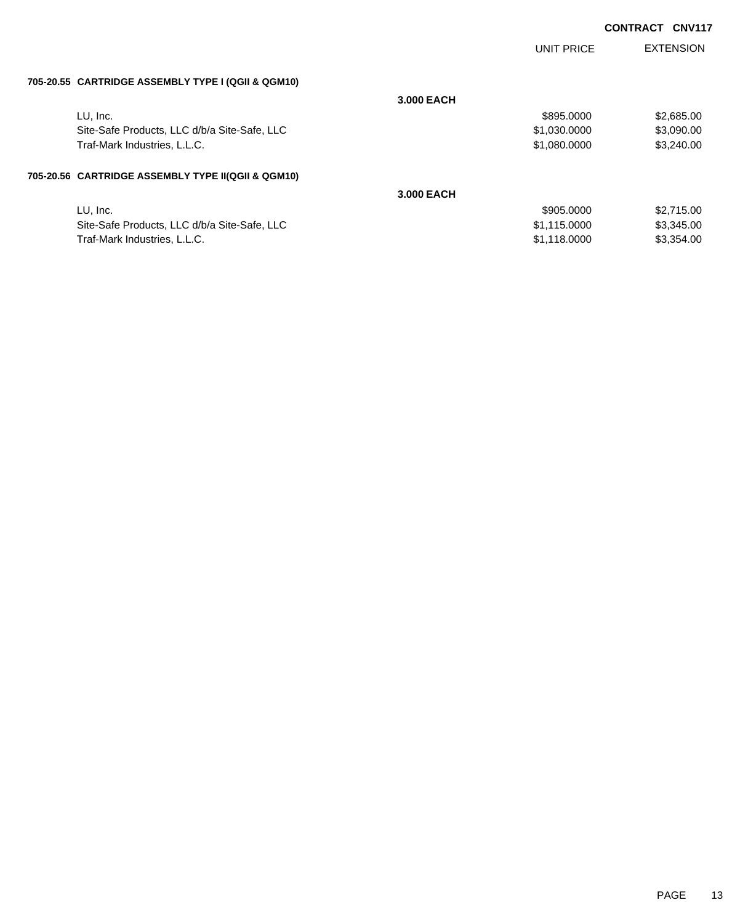|                                                    |            | <b>UNIT PRICE</b> | <b>EXTENSION</b> |
|----------------------------------------------------|------------|-------------------|------------------|
| 705-20.55 CARTRIDGE ASSEMBLY TYPE I (QGII & QGM10) |            |                   |                  |
|                                                    | 3.000 EACH |                   |                  |
| LU, Inc.                                           |            | \$895.0000        | \$2,685.00       |
| Site-Safe Products, LLC d/b/a Site-Safe, LLC       |            | \$1,030.0000      | \$3,090.00       |
| Traf-Mark Industries, L.L.C.                       |            | \$1,080.0000      | \$3,240.00       |
| 705-20.56 CARTRIDGE ASSEMBLY TYPE II(QGII & QGM10) |            |                   |                  |
|                                                    | 3.000 EACH |                   |                  |
| LU, Inc.                                           |            | \$905,0000        | \$2,715.00       |
| Site-Safe Products, LLC d/b/a Site-Safe, LLC       |            | \$1,115.0000      | \$3,345.00       |
| Traf-Mark Industries, L.L.C.                       |            | \$1.118.0000      | \$3,354.00       |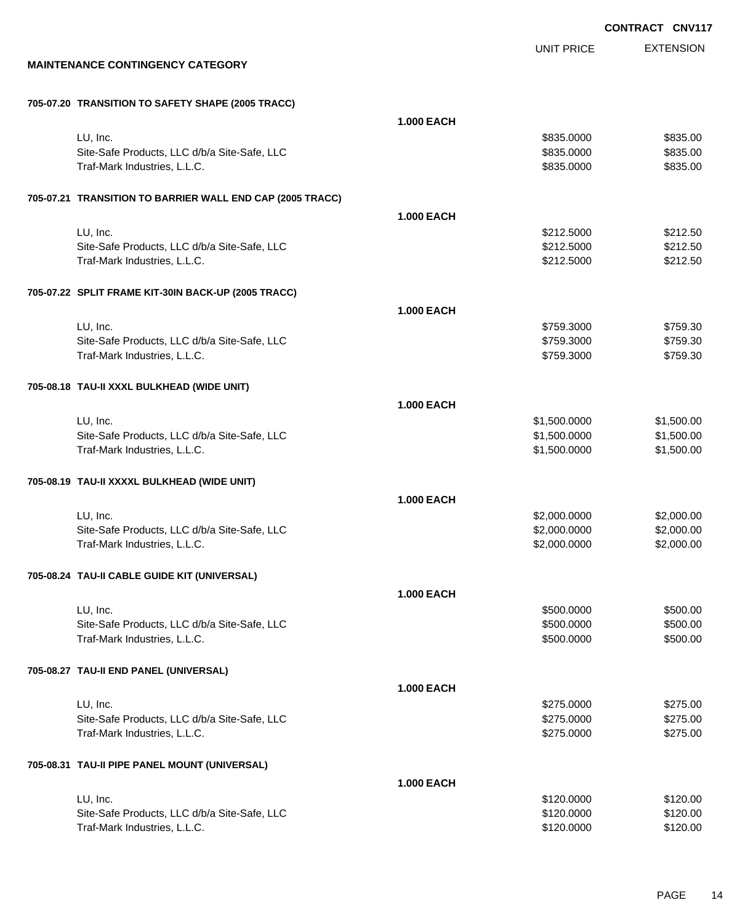UNIT PRICE

EXTENSION

**MAINTENANCE CONTINGENCY CATEGORY**

| 705-07.20 TRANSITION TO SAFETY SHAPE (2005 TRACC) |  |  |  |  |
|---------------------------------------------------|--|--|--|--|
|---------------------------------------------------|--|--|--|--|

| LU, Inc.<br>\$835.0000<br>\$835.00<br>\$835.00<br>Site-Safe Products, LLC d/b/a Site-Safe, LLC<br>\$835.0000<br>\$835.00<br>Traf-Mark Industries, L.L.C.<br>\$835.0000<br>705-07.21 TRANSITION TO BARRIER WALL END CAP (2005 TRACC)<br><b>1.000 EACH</b><br>LU, Inc.<br>\$212.50<br>\$212.5000<br>\$212.50<br>Site-Safe Products, LLC d/b/a Site-Safe, LLC<br>\$212.5000<br>\$212.50<br>Traf-Mark Industries, L.L.C.<br>\$212.5000<br>705-07.22 SPLIT FRAME KIT-30IN BACK-UP (2005 TRACC)<br><b>1.000 EACH</b><br>LU, Inc.<br>\$759.3000<br>\$759.30<br>\$759.30<br>Site-Safe Products, LLC d/b/a Site-Safe, LLC<br>\$759.3000<br>\$759.30<br>Traf-Mark Industries, L.L.C.<br>\$759.3000<br>705-08.18 TAU-II XXXL BULKHEAD (WIDE UNIT)<br><b>1.000 EACH</b><br>LU, Inc.<br>\$1,500.0000<br>\$1,500.00<br>Site-Safe Products, LLC d/b/a Site-Safe, LLC<br>\$1,500.00<br>\$1,500.0000<br>Traf-Mark Industries, L.L.C.<br>\$1,500.00<br>\$1,500.0000<br>705-08.19 TAU-II XXXXL BULKHEAD (WIDE UNIT)<br><b>1.000 EACH</b><br>\$2,000.00<br>LU, Inc.<br>\$2,000.0000<br>\$2,000.00<br>Site-Safe Products, LLC d/b/a Site-Safe, LLC<br>\$2,000.0000<br>\$2,000.00<br>Traf-Mark Industries, L.L.C.<br>\$2,000.0000<br>705-08.24 TAU-II CABLE GUIDE KIT (UNIVERSAL)<br><b>1.000 EACH</b><br>LU, Inc.<br>\$500.00<br>\$500.0000<br>Site-Safe Products, LLC d/b/a Site-Safe, LLC<br>\$500.00<br>\$500.0000<br>Traf-Mark Industries, L.L.C.<br>\$500.0000<br>\$500.00 |
|------------------------------------------------------------------------------------------------------------------------------------------------------------------------------------------------------------------------------------------------------------------------------------------------------------------------------------------------------------------------------------------------------------------------------------------------------------------------------------------------------------------------------------------------------------------------------------------------------------------------------------------------------------------------------------------------------------------------------------------------------------------------------------------------------------------------------------------------------------------------------------------------------------------------------------------------------------------------------------------------------------------------------------------------------------------------------------------------------------------------------------------------------------------------------------------------------------------------------------------------------------------------------------------------------------------------------------------------------------------------------------------------------------------------------------------------------------|
|                                                                                                                                                                                                                                                                                                                                                                                                                                                                                                                                                                                                                                                                                                                                                                                                                                                                                                                                                                                                                                                                                                                                                                                                                                                                                                                                                                                                                                                            |
|                                                                                                                                                                                                                                                                                                                                                                                                                                                                                                                                                                                                                                                                                                                                                                                                                                                                                                                                                                                                                                                                                                                                                                                                                                                                                                                                                                                                                                                            |
|                                                                                                                                                                                                                                                                                                                                                                                                                                                                                                                                                                                                                                                                                                                                                                                                                                                                                                                                                                                                                                                                                                                                                                                                                                                                                                                                                                                                                                                            |
|                                                                                                                                                                                                                                                                                                                                                                                                                                                                                                                                                                                                                                                                                                                                                                                                                                                                                                                                                                                                                                                                                                                                                                                                                                                                                                                                                                                                                                                            |
|                                                                                                                                                                                                                                                                                                                                                                                                                                                                                                                                                                                                                                                                                                                                                                                                                                                                                                                                                                                                                                                                                                                                                                                                                                                                                                                                                                                                                                                            |
|                                                                                                                                                                                                                                                                                                                                                                                                                                                                                                                                                                                                                                                                                                                                                                                                                                                                                                                                                                                                                                                                                                                                                                                                                                                                                                                                                                                                                                                            |
|                                                                                                                                                                                                                                                                                                                                                                                                                                                                                                                                                                                                                                                                                                                                                                                                                                                                                                                                                                                                                                                                                                                                                                                                                                                                                                                                                                                                                                                            |
|                                                                                                                                                                                                                                                                                                                                                                                                                                                                                                                                                                                                                                                                                                                                                                                                                                                                                                                                                                                                                                                                                                                                                                                                                                                                                                                                                                                                                                                            |
|                                                                                                                                                                                                                                                                                                                                                                                                                                                                                                                                                                                                                                                                                                                                                                                                                                                                                                                                                                                                                                                                                                                                                                                                                                                                                                                                                                                                                                                            |
|                                                                                                                                                                                                                                                                                                                                                                                                                                                                                                                                                                                                                                                                                                                                                                                                                                                                                                                                                                                                                                                                                                                                                                                                                                                                                                                                                                                                                                                            |
|                                                                                                                                                                                                                                                                                                                                                                                                                                                                                                                                                                                                                                                                                                                                                                                                                                                                                                                                                                                                                                                                                                                                                                                                                                                                                                                                                                                                                                                            |
|                                                                                                                                                                                                                                                                                                                                                                                                                                                                                                                                                                                                                                                                                                                                                                                                                                                                                                                                                                                                                                                                                                                                                                                                                                                                                                                                                                                                                                                            |
|                                                                                                                                                                                                                                                                                                                                                                                                                                                                                                                                                                                                                                                                                                                                                                                                                                                                                                                                                                                                                                                                                                                                                                                                                                                                                                                                                                                                                                                            |
|                                                                                                                                                                                                                                                                                                                                                                                                                                                                                                                                                                                                                                                                                                                                                                                                                                                                                                                                                                                                                                                                                                                                                                                                                                                                                                                                                                                                                                                            |
|                                                                                                                                                                                                                                                                                                                                                                                                                                                                                                                                                                                                                                                                                                                                                                                                                                                                                                                                                                                                                                                                                                                                                                                                                                                                                                                                                                                                                                                            |
|                                                                                                                                                                                                                                                                                                                                                                                                                                                                                                                                                                                                                                                                                                                                                                                                                                                                                                                                                                                                                                                                                                                                                                                                                                                                                                                                                                                                                                                            |
|                                                                                                                                                                                                                                                                                                                                                                                                                                                                                                                                                                                                                                                                                                                                                                                                                                                                                                                                                                                                                                                                                                                                                                                                                                                                                                                                                                                                                                                            |
|                                                                                                                                                                                                                                                                                                                                                                                                                                                                                                                                                                                                                                                                                                                                                                                                                                                                                                                                                                                                                                                                                                                                                                                                                                                                                                                                                                                                                                                            |
|                                                                                                                                                                                                                                                                                                                                                                                                                                                                                                                                                                                                                                                                                                                                                                                                                                                                                                                                                                                                                                                                                                                                                                                                                                                                                                                                                                                                                                                            |
|                                                                                                                                                                                                                                                                                                                                                                                                                                                                                                                                                                                                                                                                                                                                                                                                                                                                                                                                                                                                                                                                                                                                                                                                                                                                                                                                                                                                                                                            |
|                                                                                                                                                                                                                                                                                                                                                                                                                                                                                                                                                                                                                                                                                                                                                                                                                                                                                                                                                                                                                                                                                                                                                                                                                                                                                                                                                                                                                                                            |
|                                                                                                                                                                                                                                                                                                                                                                                                                                                                                                                                                                                                                                                                                                                                                                                                                                                                                                                                                                                                                                                                                                                                                                                                                                                                                                                                                                                                                                                            |
|                                                                                                                                                                                                                                                                                                                                                                                                                                                                                                                                                                                                                                                                                                                                                                                                                                                                                                                                                                                                                                                                                                                                                                                                                                                                                                                                                                                                                                                            |
|                                                                                                                                                                                                                                                                                                                                                                                                                                                                                                                                                                                                                                                                                                                                                                                                                                                                                                                                                                                                                                                                                                                                                                                                                                                                                                                                                                                                                                                            |
|                                                                                                                                                                                                                                                                                                                                                                                                                                                                                                                                                                                                                                                                                                                                                                                                                                                                                                                                                                                                                                                                                                                                                                                                                                                                                                                                                                                                                                                            |
|                                                                                                                                                                                                                                                                                                                                                                                                                                                                                                                                                                                                                                                                                                                                                                                                                                                                                                                                                                                                                                                                                                                                                                                                                                                                                                                                                                                                                                                            |
|                                                                                                                                                                                                                                                                                                                                                                                                                                                                                                                                                                                                                                                                                                                                                                                                                                                                                                                                                                                                                                                                                                                                                                                                                                                                                                                                                                                                                                                            |
|                                                                                                                                                                                                                                                                                                                                                                                                                                                                                                                                                                                                                                                                                                                                                                                                                                                                                                                                                                                                                                                                                                                                                                                                                                                                                                                                                                                                                                                            |
| 705-08.27 TAU-II END PANEL (UNIVERSAL)                                                                                                                                                                                                                                                                                                                                                                                                                                                                                                                                                                                                                                                                                                                                                                                                                                                                                                                                                                                                                                                                                                                                                                                                                                                                                                                                                                                                                     |
| <b>1.000 EACH</b>                                                                                                                                                                                                                                                                                                                                                                                                                                                                                                                                                                                                                                                                                                                                                                                                                                                                                                                                                                                                                                                                                                                                                                                                                                                                                                                                                                                                                                          |
| LU, Inc.<br>\$275.0000<br>\$275.00                                                                                                                                                                                                                                                                                                                                                                                                                                                                                                                                                                                                                                                                                                                                                                                                                                                                                                                                                                                                                                                                                                                                                                                                                                                                                                                                                                                                                         |
| Site-Safe Products, LLC d/b/a Site-Safe, LLC<br>\$275.0000<br>\$275.00                                                                                                                                                                                                                                                                                                                                                                                                                                                                                                                                                                                                                                                                                                                                                                                                                                                                                                                                                                                                                                                                                                                                                                                                                                                                                                                                                                                     |
| Traf-Mark Industries, L.L.C.<br>\$275.0000<br>\$275.00                                                                                                                                                                                                                                                                                                                                                                                                                                                                                                                                                                                                                                                                                                                                                                                                                                                                                                                                                                                                                                                                                                                                                                                                                                                                                                                                                                                                     |
| 705-08.31 TAU-II PIPE PANEL MOUNT (UNIVERSAL)                                                                                                                                                                                                                                                                                                                                                                                                                                                                                                                                                                                                                                                                                                                                                                                                                                                                                                                                                                                                                                                                                                                                                                                                                                                                                                                                                                                                              |
| <b>1.000 EACH</b>                                                                                                                                                                                                                                                                                                                                                                                                                                                                                                                                                                                                                                                                                                                                                                                                                                                                                                                                                                                                                                                                                                                                                                                                                                                                                                                                                                                                                                          |
| LU, Inc.<br>\$120.00<br>\$120.0000                                                                                                                                                                                                                                                                                                                                                                                                                                                                                                                                                                                                                                                                                                                                                                                                                                                                                                                                                                                                                                                                                                                                                                                                                                                                                                                                                                                                                         |
| \$120.00<br>Site-Safe Products, LLC d/b/a Site-Safe, LLC<br>\$120.0000                                                                                                                                                                                                                                                                                                                                                                                                                                                                                                                                                                                                                                                                                                                                                                                                                                                                                                                                                                                                                                                                                                                                                                                                                                                                                                                                                                                     |
| Traf-Mark Industries, L.L.C.<br>\$120.0000<br>\$120.00                                                                                                                                                                                                                                                                                                                                                                                                                                                                                                                                                                                                                                                                                                                                                                                                                                                                                                                                                                                                                                                                                                                                                                                                                                                                                                                                                                                                     |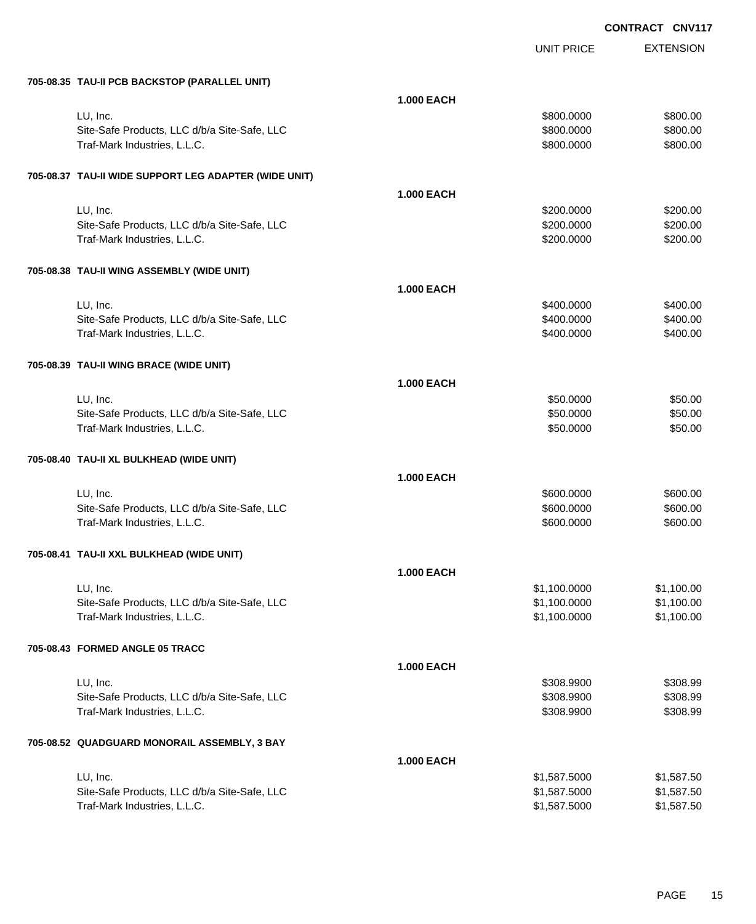| 705-08.35 TAU-II PCB BACKSTOP (PARALLEL UNIT)         |                   |              |            |
|-------------------------------------------------------|-------------------|--------------|------------|
|                                                       | <b>1.000 EACH</b> |              |            |
| LU, Inc.                                              |                   | \$800.0000   | \$800.00   |
| Site-Safe Products, LLC d/b/a Site-Safe, LLC          |                   | \$800.0000   | \$800.00   |
| Traf-Mark Industries, L.L.C.                          |                   | \$800.0000   | \$800.00   |
| 705-08.37 TAU-II WIDE SUPPORT LEG ADAPTER (WIDE UNIT) |                   |              |            |
|                                                       | <b>1.000 EACH</b> |              |            |
| LU, Inc.                                              |                   | \$200.0000   | \$200.00   |
| Site-Safe Products, LLC d/b/a Site-Safe, LLC          |                   | \$200.0000   | \$200.00   |
| Traf-Mark Industries, L.L.C.                          |                   | \$200.0000   | \$200.00   |
| 705-08.38 TAU-II WING ASSEMBLY (WIDE UNIT)            |                   |              |            |
|                                                       | <b>1.000 EACH</b> |              |            |
| LU, Inc.                                              |                   | \$400.0000   | \$400.00   |
| Site-Safe Products, LLC d/b/a Site-Safe, LLC          |                   | \$400.0000   | \$400.00   |
| Traf-Mark Industries, L.L.C.                          |                   | \$400.0000   | \$400.00   |
| 705-08.39 TAU-II WING BRACE (WIDE UNIT)               |                   |              |            |
|                                                       | <b>1.000 EACH</b> |              |            |
| LU, Inc.                                              |                   | \$50.0000    | \$50.00    |
| Site-Safe Products, LLC d/b/a Site-Safe, LLC          |                   | \$50.0000    | \$50.00    |
| Traf-Mark Industries, L.L.C.                          |                   | \$50.0000    | \$50.00    |
| 705-08.40 TAU-II XL BULKHEAD (WIDE UNIT)              |                   |              |            |
|                                                       | <b>1.000 EACH</b> |              |            |
| LU, Inc.                                              |                   | \$600.0000   | \$600.00   |
| Site-Safe Products, LLC d/b/a Site-Safe, LLC          |                   | \$600.0000   | \$600.00   |
| Traf-Mark Industries, L.L.C.                          |                   | \$600.0000   | \$600.00   |
| 705-08.41 TAU-II XXL BULKHEAD (WIDE UNIT)             |                   |              |            |
|                                                       | <b>1.000 EACH</b> |              |            |
| LU, Inc.                                              |                   | \$1,100.0000 | \$1,100.00 |
| Site-Safe Products, LLC d/b/a Site-Safe, LLC          |                   | \$1,100.0000 | \$1,100.00 |
| Traf-Mark Industries, L.L.C.                          |                   | \$1,100.0000 | \$1,100.00 |
| 705-08.43 FORMED ANGLE 05 TRACC                       |                   |              |            |
|                                                       | <b>1.000 EACH</b> |              |            |
| LU, Inc.                                              |                   | \$308.9900   | \$308.99   |
| Site-Safe Products, LLC d/b/a Site-Safe, LLC          |                   | \$308.9900   | \$308.99   |
| Traf-Mark Industries, L.L.C.                          |                   | \$308.9900   | \$308.99   |
| 705-08.52 QUADGUARD MONORAIL ASSEMBLY, 3 BAY          |                   |              |            |
|                                                       | <b>1.000 EACH</b> |              |            |
| LU, Inc.                                              |                   | \$1,587.5000 | \$1,587.50 |
| Site-Safe Products, LLC d/b/a Site-Safe, LLC          |                   | \$1,587.5000 | \$1,587.50 |
| Traf-Mark Industries, L.L.C.                          |                   | \$1,587.5000 | \$1,587.50 |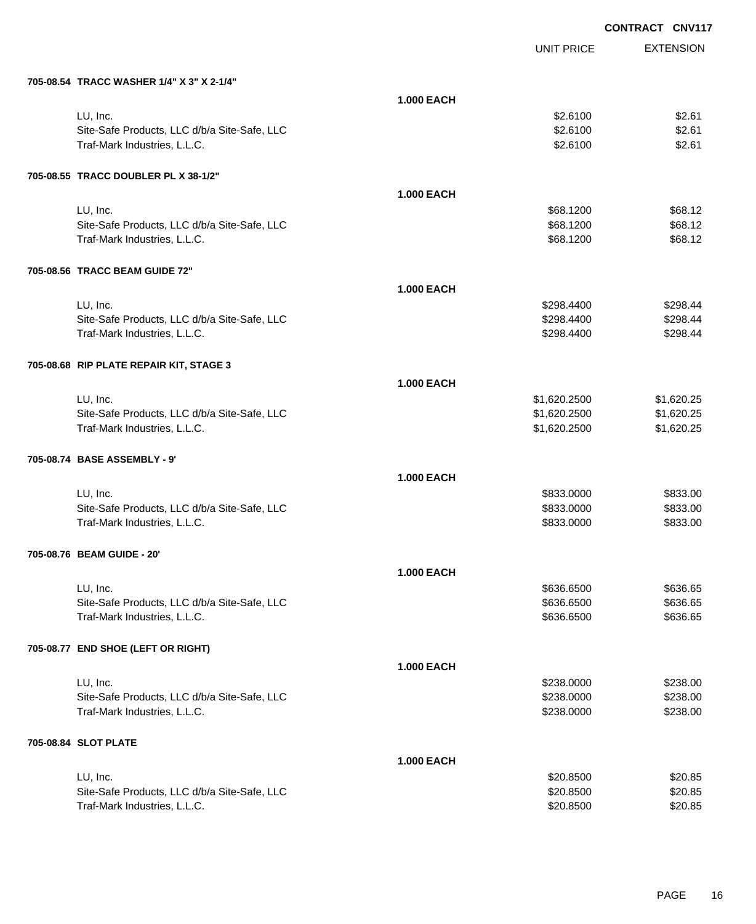EXTENSION **CONTRACT CNV117** UNIT PRICE **705-08.54 TRACC WASHER 1/4" X 3" X 2-1/4" 1.000 EACH** LU, Inc. \$2.6100 \$2.61 Site-Safe Products, LLC d/b/a Site-Safe, LLC  $$2.61$ Traf-Mark Industries, L.L.C. \$2.6100 \$2.6100 **705-08.55 TRACC DOUBLER PL X 38-1/2" 1.000 EACH** LU, Inc. \$68.1200 \$68.12 Site-Safe Products, LLC d/b/a Site-Safe, LLC \$68.1200 \$68.1200 \$68.12 Traf-Mark Industries, L.L.C. \$68.1200 \$68.1200 \$68.12 **705-08.56 TRACC BEAM GUIDE 72" 1.000 EACH** LU, Inc. \$298.4400 \$298.44 Site-Safe Products, LLC d/b/a Site-Safe, LLC  $$298.4400$  \$298.4400 \$298.44 Traf-Mark Industries, L.L.C. \$298.4400 \$298.4400 \$298.4400 \$298.4400 \$298.4400 \$298.44 **705-08.68 RIP PLATE REPAIR KIT, STAGE 3 1.000 EACH** LU, Inc. \$1,620.2500 \$1,620.25 Site-Safe Products, LLC d/b/a Site-Safe, LLC \$1,620.2500 \$1,620.2500 \$1,620.2500 Traf-Mark Industries, L.L.C. \$1,620.2500 \$1,620.25 **705-08.74 BASE ASSEMBLY - 9' 1.000 EACH** LU, Inc. \$833.0000 \$833.00 Site-Safe Products, LLC d/b/a Site-Safe, LLC  $$833.000$  \$833.0000 \$833.000 Traf-Mark Industries, L.L.C. \$833.000 \$833.000 \$833.000 \$833.000 \$833.000 \$833.00 **705-08.76 BEAM GUIDE - 20' 1.000 EACH** LU, Inc. \$636.6500 \$636.65 Site-Safe Products, LLC d/b/a Site-Safe, LLC \$636.6500 \$636.6500 \$636.6500 Traf-Mark Industries, L.L.C. 6636.6500 \$636.6500 \$636.6500 **705-08.77 END SHOE (LEFT OR RIGHT) 1.000 EACH** LU, Inc. \$238.0000 \$238.00 Site-Safe Products, LLC d/b/a Site-Safe, LLC  $$238.000$  \$238.0000 \$238.000 Traf-Mark Industries, L.L.C. 6238.000 \$238.000 \$238.000 \$238.000 \$238.000 \$238.00 **705-08.84 SLOT PLATE 1.000 EACH** LU, Inc. \$20.8500 \$20.85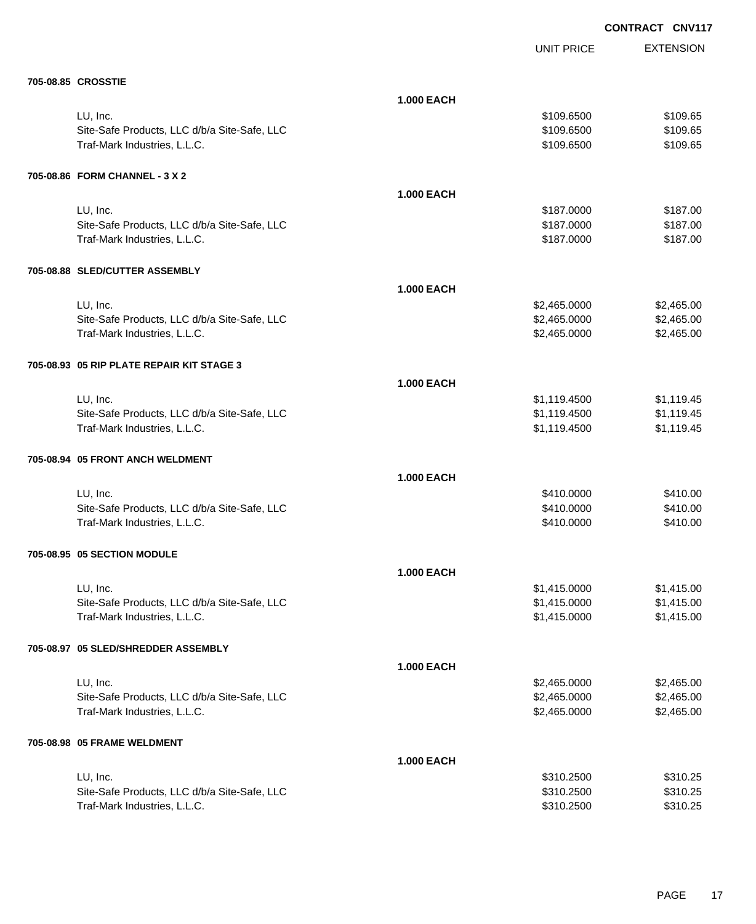|                                              |                   | <b>UNIT PRICE</b> | <b>EXTENSION</b> |
|----------------------------------------------|-------------------|-------------------|------------------|
| 705-08.85 CROSSTIE                           |                   |                   |                  |
|                                              | <b>1.000 EACH</b> |                   |                  |
| LU, Inc.                                     |                   | \$109.6500        | \$109.65         |
| Site-Safe Products, LLC d/b/a Site-Safe, LLC |                   | \$109.6500        | \$109.65         |
| Traf-Mark Industries, L.L.C.                 |                   | \$109.6500        | \$109.65         |
| 705-08.86 FORM CHANNEL - 3 X 2               |                   |                   |                  |
|                                              | <b>1.000 EACH</b> |                   |                  |
| LU, Inc.                                     |                   | \$187.0000        | \$187.00         |
| Site-Safe Products, LLC d/b/a Site-Safe, LLC |                   | \$187.0000        | \$187.00         |
| Traf-Mark Industries, L.L.C.                 |                   | \$187.0000        | \$187.00         |
| 705-08.88 SLED/CUTTER ASSEMBLY               |                   |                   |                  |
|                                              | <b>1.000 EACH</b> |                   |                  |
| LU, Inc.                                     |                   | \$2,465.0000      | \$2,465.00       |
| Site-Safe Products, LLC d/b/a Site-Safe, LLC |                   | \$2,465.0000      | \$2,465.00       |
| Traf-Mark Industries, L.L.C.                 |                   | \$2,465.0000      | \$2,465.00       |
| 705-08.93 05 RIP PLATE REPAIR KIT STAGE 3    |                   |                   |                  |
|                                              | <b>1.000 EACH</b> |                   |                  |
| LU, Inc.                                     |                   | \$1,119.4500      | \$1,119.45       |
| Site-Safe Products, LLC d/b/a Site-Safe, LLC |                   | \$1,119.4500      | \$1,119.45       |
| Traf-Mark Industries, L.L.C.                 |                   | \$1,119.4500      | \$1,119.45       |
| 705-08.94 05 FRONT ANCH WELDMENT             |                   |                   |                  |
|                                              | <b>1.000 EACH</b> |                   |                  |
| LU, Inc.                                     |                   | \$410.0000        | \$410.00         |
| Site-Safe Products, LLC d/b/a Site-Safe, LLC |                   | \$410.0000        | \$410.00         |
| Traf-Mark Industries, L.L.C.                 |                   | \$410.0000        | \$410.00         |
| 705-08.95 05 SECTION MODULE                  |                   |                   |                  |
|                                              | <b>1.000 EACH</b> |                   |                  |
| LU, Inc.                                     |                   | \$1,415.0000      | \$1,415.00       |
| Site-Safe Products, LLC d/b/a Site-Safe, LLC |                   | \$1,415.0000      | \$1,415.00       |
| Traf-Mark Industries, L.L.C.                 |                   | \$1,415.0000      | \$1,415.00       |
| 705-08.97 05 SLED/SHREDDER ASSEMBLY          |                   |                   |                  |
|                                              | <b>1.000 EACH</b> |                   |                  |
| LU, Inc.                                     |                   | \$2,465.0000      | \$2,465.00       |
| Site-Safe Products, LLC d/b/a Site-Safe, LLC |                   | \$2,465.0000      | \$2,465.00       |
| Traf-Mark Industries, L.L.C.                 |                   | \$2,465.0000      | \$2,465.00       |
| 705-08.98 05 FRAME WELDMENT                  |                   |                   |                  |
|                                              | <b>1.000 EACH</b> |                   |                  |
| LU, Inc.                                     |                   | \$310.2500        | \$310.25         |
| Site-Safe Products, LLC d/b/a Site-Safe, LLC |                   | \$310.2500        | \$310.25         |
| Traf-Mark Industries, L.L.C.                 |                   | \$310.2500        | \$310.25         |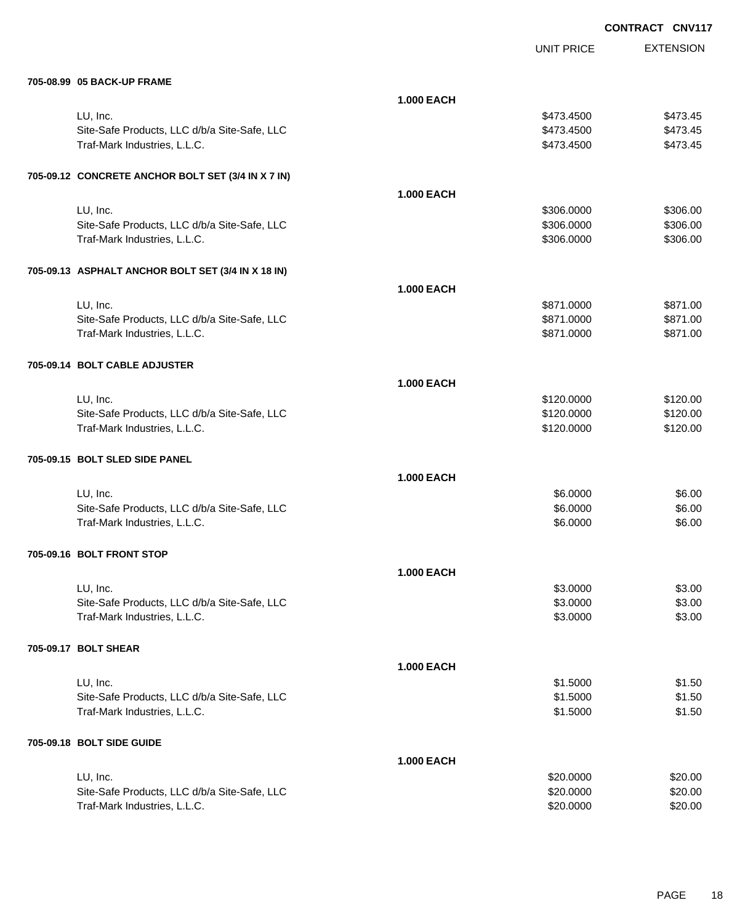|                                                    |                   |                   | UUNIRAUI<br><b>UNVII</b> |
|----------------------------------------------------|-------------------|-------------------|--------------------------|
|                                                    |                   | <b>UNIT PRICE</b> | <b>EXTENSION</b>         |
| 705-08.99 05 BACK-UP FRAME                         |                   |                   |                          |
|                                                    | <b>1.000 EACH</b> |                   |                          |
| LU, Inc.                                           |                   | \$473.4500        | \$473.45                 |
| Site-Safe Products, LLC d/b/a Site-Safe, LLC       |                   | \$473.4500        | \$473.45                 |
| Traf-Mark Industries, L.L.C.                       |                   | \$473.4500        | \$473.45                 |
| 705-09.12 CONCRETE ANCHOR BOLT SET (3/4 IN X 7 IN) |                   |                   |                          |
|                                                    | <b>1.000 EACH</b> |                   |                          |
| LU, Inc.                                           |                   | \$306.0000        | \$306.00                 |
| Site-Safe Products, LLC d/b/a Site-Safe, LLC       |                   | \$306.0000        | \$306.00                 |
| Traf-Mark Industries, L.L.C.                       |                   | \$306.0000        | \$306.00                 |
| 705-09.13 ASPHALT ANCHOR BOLT SET (3/4 IN X 18 IN) |                   |                   |                          |
|                                                    | <b>1.000 EACH</b> |                   |                          |
| LU, Inc.                                           |                   | \$871.0000        | \$871.00                 |
| Site-Safe Products, LLC d/b/a Site-Safe, LLC       |                   | \$871.0000        | \$871.00                 |
| Traf-Mark Industries, L.L.C.                       |                   | \$871.0000        | \$871.00                 |
| 705-09.14 BOLT CABLE ADJUSTER                      |                   |                   |                          |
|                                                    | <b>1.000 EACH</b> |                   |                          |
| LU, Inc.                                           |                   | \$120.0000        | \$120.00                 |
| Site-Safe Products, LLC d/b/a Site-Safe, LLC       |                   | \$120.0000        | \$120.00                 |
| Traf-Mark Industries, L.L.C.                       |                   | \$120.0000        | \$120.00                 |
| 705-09.15 BOLT SLED SIDE PANEL                     |                   |                   |                          |
|                                                    | <b>1.000 EACH</b> |                   |                          |
| LU, Inc.                                           |                   | \$6.0000          | \$6.00                   |
| Site-Safe Products, LLC d/b/a Site-Safe, LLC       |                   | \$6.0000          | \$6.00                   |
| Traf-Mark Industries, L.L.C.                       |                   | \$6.0000          | \$6.00                   |
| 705-09.16 BOLT FRONT STOP                          |                   |                   |                          |
|                                                    | <b>1.000 EACH</b> |                   |                          |
| LU, Inc.                                           |                   | \$3.0000          | \$3.00                   |
| Site-Safe Products, LLC d/b/a Site-Safe, LLC       |                   | \$3.0000          | \$3.00                   |
| Traf-Mark Industries, L.L.C.                       |                   | \$3.0000          | \$3.00                   |
| 705-09.17 BOLT SHEAR                               |                   |                   |                          |
|                                                    | <b>1.000 EACH</b> |                   |                          |
| LU, Inc.                                           |                   | \$1.5000          | \$1.50                   |
| Site-Safe Products, LLC d/b/a Site-Safe, LLC       |                   | \$1.5000          | \$1.50                   |
| Traf-Mark Industries, L.L.C.                       |                   | \$1.5000          | \$1.50                   |
| 705-09.18 BOLT SIDE GUIDE                          |                   |                   |                          |
|                                                    | <b>1.000 EACH</b> |                   |                          |
| LU, Inc.                                           |                   | \$20.0000         | \$20.00                  |
| Site-Safe Products, LLC d/b/a Site-Safe, LLC       |                   | \$20.0000         | \$20.00                  |
| Traf-Mark Industries, L.L.C.                       |                   | \$20.0000         | \$20.00                  |
|                                                    |                   |                   |                          |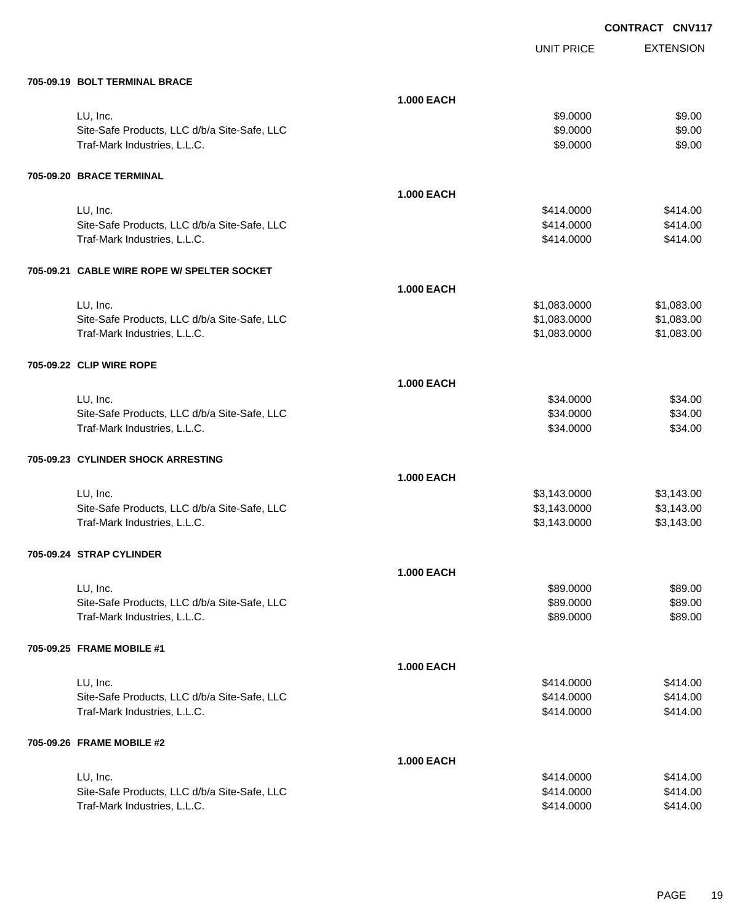EXTENSION **CONTRACT CNV117** UNIT PRICE **705-09.19 BOLT TERMINAL BRACE 1.000 EACH** لى الله عن الله عن الله عن الله عن الله عن الله عن الله عن الله عن الله عن الله عن الله عن الله عن الله عن الل Site-Safe Products, LLC d/b/a Site-Safe, LLC 6 (1992) 6 (1993) 89.000 \$9.000 \$9.000 \$9.000 \$9.00 Traf-Mark Industries, L.L.C. \$9.000 \$9.000 \$9.000 \$9.000 \$9.000 \$9.000 \$9.000 \$9.000 \$9.000 \$9.000 \$9.00 **705-09.20 BRACE TERMINAL 1.000 EACH** LU, Inc. \$414.0000 \$414.00 Site-Safe Products, LLC d/b/a Site-Safe, LLC  $$414.000$  \$414.0000 \$414.00 Traf-Mark Industries, L.L.C. \$414.000 \$414.000 \$414.000 **705-09.21 CABLE WIRE ROPE W/ SPELTER SOCKET 1.000 EACH** LU, Inc. \$1,083.0000 \$1,083.00 Site-Safe Products, LLC d/b/a Site-Safe, LLC  $$1,083.000$  \$1,083.000 \$1,083.00 Traf-Mark Industries, L.L.C. 63.000 \$1,083.000 \$1,083.000 \$1,083.000 \$1,083.000 \$1,083.00 **705-09.22 CLIP WIRE ROPE 1.000 EACH** LU, Inc. \$34.0000 \$34.00 Site-Safe Products, LLC d/b/a Site-Safe, LLC \$34.000 \$34.000 \$34.000 \$34.000 Traf-Mark Industries, L.L.C. \$34.000 \$34.000 \$34.000 \$34.000 \$34.000 \$354.00 **705-09.23 CYLINDER SHOCK ARRESTING 1.000 EACH** LU, Inc. \$3,143.0000 \$3,143.00 Site-Safe Products, LLC d/b/a Site-Safe, LLC \$3,143.0000 \$3,143.0000 \$3,143.000 Traf-Mark Industries, L.L.C. \$3,143.000 \$3,143.000 \$3,143.000 \$3,143.000 **705-09.24 STRAP CYLINDER 1.000 EACH** LU, Inc. \$89.0000 \$89.00 Site-Safe Products, LLC d/b/a Site-Safe, LLC  $$89.000$  \$89.000 \$89.000 Traf-Mark Industries, L.L.C. 689.000 \$89.000 \$89.000 \$89.000 \$89.000 \$89.000 \$89.000 \$89.000 \$89.00 **705-09.25 FRAME MOBILE #1 1.000 EACH** LU, Inc. \$414.0000 \$414.00 Site-Safe Products, LLC d/b/a Site-Safe, LLC  $$414.000$  \$414.0000 \$414.000 Traf-Mark Industries, L.L.C. 6414.000 \$414.000 \$414.000 \$414.000 \$414.000 \$414.00

#### **705-09.26 FRAME MOBILE #2**

| <b>1.000 EACH</b>                            |            |          |
|----------------------------------------------|------------|----------|
| LU. Inc.                                     | \$414,0000 | \$414.00 |
| Site-Safe Products, LLC d/b/a Site-Safe, LLC | \$414,0000 | \$414.00 |
| Traf-Mark Industries. L.L.C.                 | \$414,0000 | \$414.00 |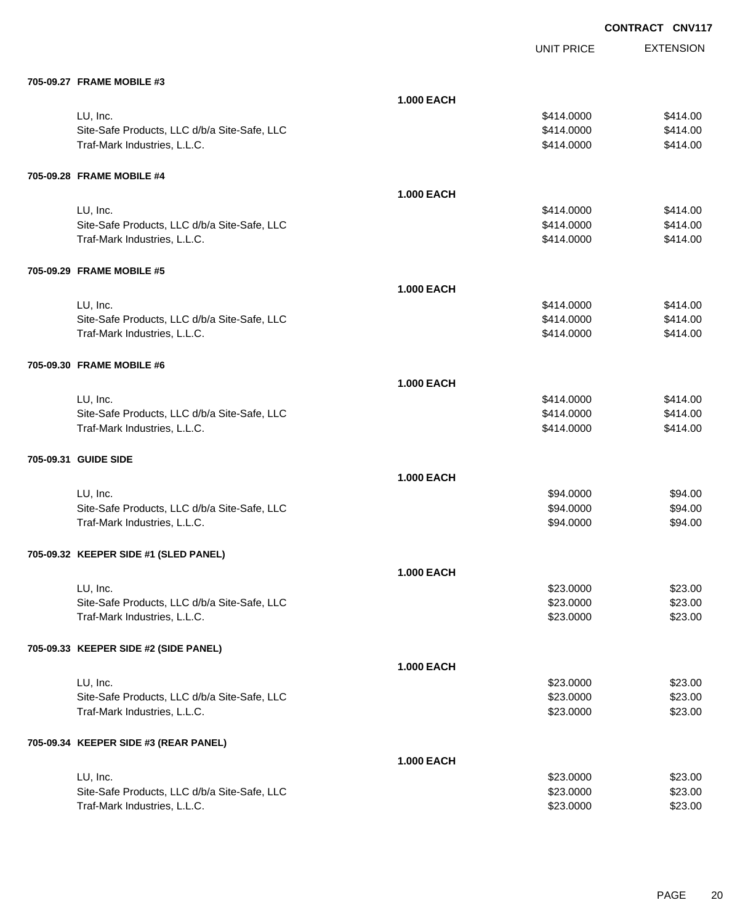| 705-09.27 FRAME MOBILE #3 |  |
|---------------------------|--|
|                           |  |

| 705-09.27 FRAME MOBILE #3                                                    |                   |                          |                      |
|------------------------------------------------------------------------------|-------------------|--------------------------|----------------------|
|                                                                              | <b>1.000 EACH</b> |                          |                      |
| LU, Inc.                                                                     |                   | \$414.0000               | \$414.00             |
| Site-Safe Products, LLC d/b/a Site-Safe, LLC                                 |                   | \$414.0000               | \$414.00             |
| Traf-Mark Industries, L.L.C.                                                 |                   | \$414.0000               | \$414.00             |
|                                                                              |                   |                          |                      |
| 705-09.28 FRAME MOBILE #4                                                    |                   |                          |                      |
|                                                                              | <b>1.000 EACH</b> |                          |                      |
| LU, Inc.                                                                     |                   | \$414.0000               | \$414.00             |
| Site-Safe Products, LLC d/b/a Site-Safe, LLC                                 |                   | \$414.0000               | \$414.00             |
| Traf-Mark Industries, L.L.C.                                                 |                   | \$414.0000               | \$414.00             |
|                                                                              |                   |                          |                      |
| 705-09.29 FRAME MOBILE #5                                                    |                   |                          |                      |
|                                                                              |                   |                          |                      |
|                                                                              | <b>1.000 EACH</b> |                          |                      |
| LU, Inc.                                                                     |                   | \$414.0000               | \$414.00             |
| Site-Safe Products, LLC d/b/a Site-Safe, LLC<br>Traf-Mark Industries, L.L.C. |                   | \$414.0000<br>\$414.0000 | \$414.00<br>\$414.00 |
|                                                                              |                   |                          |                      |
|                                                                              |                   |                          |                      |
| 705-09.30 FRAME MOBILE #6                                                    |                   |                          |                      |
|                                                                              | <b>1.000 EACH</b> |                          |                      |
| LU, Inc.                                                                     |                   | \$414.0000               | \$414.00             |
| Site-Safe Products, LLC d/b/a Site-Safe, LLC                                 |                   | \$414.0000               | \$414.00             |
| Traf-Mark Industries, L.L.C.                                                 |                   | \$414.0000               | \$414.00             |
| 705-09.31 GUIDE SIDE                                                         |                   |                          |                      |
|                                                                              | <b>1.000 EACH</b> |                          |                      |
| LU, Inc.                                                                     |                   | \$94.0000                | \$94.00              |
| Site-Safe Products, LLC d/b/a Site-Safe, LLC                                 |                   | \$94.0000                | \$94.00              |
| Traf-Mark Industries, L.L.C.                                                 |                   | \$94.0000                | \$94.00              |
|                                                                              |                   |                          |                      |
| 705-09.32 KEEPER SIDE #1 (SLED PANEL)                                        |                   |                          |                      |
|                                                                              | <b>1.000 EACH</b> |                          |                      |
| LU, Inc.                                                                     |                   | \$23.0000                | \$23.00              |
| Site-Safe Products, LLC d/b/a Site-Safe, LLC                                 |                   | \$23.0000                | \$23.00              |
| Traf-Mark Industries, L.L.C.                                                 |                   | \$23.0000                | \$23.00              |
|                                                                              |                   |                          |                      |
| 705-09.33 KEEPER SIDE #2 (SIDE PANEL)                                        |                   |                          |                      |
|                                                                              | <b>1.000 EACH</b> |                          |                      |
| LU, Inc.                                                                     |                   | \$23.0000                | \$23.00              |
| Site-Safe Products, LLC d/b/a Site-Safe, LLC                                 |                   | \$23.0000                | \$23.00              |
| Traf-Mark Industries, L.L.C.                                                 |                   | \$23.0000                | \$23.00              |
|                                                                              |                   |                          |                      |
| 705-09.34 KEEPER SIDE #3 (REAR PANEL)                                        |                   |                          |                      |
|                                                                              | <b>1.000 EACH</b> |                          |                      |
| LU, Inc.                                                                     |                   | \$23.0000                | \$23.00              |
| Site-Safe Products, LLC d/b/a Site-Safe, LLC                                 |                   | \$23.0000                | \$23.00              |
| Traf-Mark Industries, L.L.C.                                                 |                   | \$23.0000                | \$23.00              |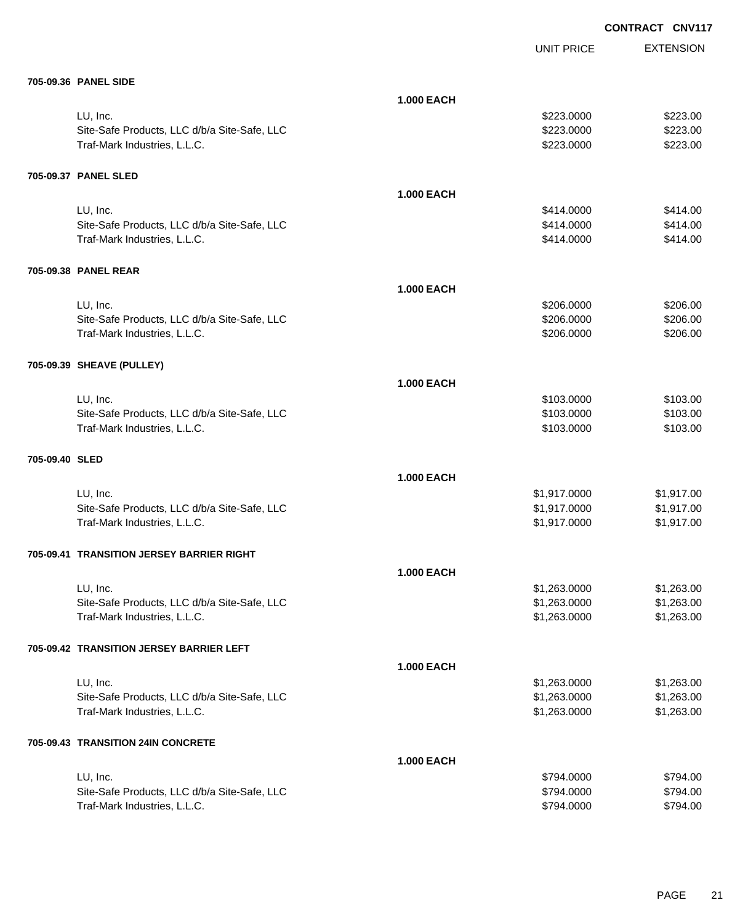UNIT PRICE

EXTENSION

|                | 705-09.36 PANEL SIDE                                                         |                   |                              |                          |
|----------------|------------------------------------------------------------------------------|-------------------|------------------------------|--------------------------|
|                |                                                                              | <b>1.000 EACH</b> |                              |                          |
|                | LU, Inc.                                                                     |                   | \$223.0000                   | \$223.00                 |
|                | Site-Safe Products, LLC d/b/a Site-Safe, LLC                                 |                   | \$223.0000                   | \$223.00                 |
|                | Traf-Mark Industries, L.L.C.                                                 |                   | \$223.0000                   | \$223.00                 |
|                | 705-09.37 PANEL SLED                                                         |                   |                              |                          |
|                |                                                                              | <b>1.000 EACH</b> |                              |                          |
|                | LU, Inc.                                                                     |                   | \$414.0000                   | \$414.00                 |
|                | Site-Safe Products, LLC d/b/a Site-Safe, LLC                                 |                   | \$414.0000                   | \$414.00                 |
|                | Traf-Mark Industries, L.L.C.                                                 |                   | \$414.0000                   | \$414.00                 |
|                | 705-09.38 PANEL REAR                                                         |                   |                              |                          |
|                |                                                                              | <b>1.000 EACH</b> |                              |                          |
|                | LU, Inc.                                                                     |                   | \$206.0000                   | \$206.00                 |
|                | Site-Safe Products, LLC d/b/a Site-Safe, LLC                                 |                   | \$206.0000                   | \$206.00                 |
|                | Traf-Mark Industries, L.L.C.                                                 |                   | \$206.0000                   | \$206.00                 |
|                | 705-09.39 SHEAVE (PULLEY)                                                    |                   |                              |                          |
|                |                                                                              | <b>1.000 EACH</b> |                              |                          |
|                | LU, Inc.                                                                     |                   | \$103.0000                   | \$103.00                 |
|                | Site-Safe Products, LLC d/b/a Site-Safe, LLC                                 |                   | \$103.0000                   | \$103.00                 |
|                | Traf-Mark Industries, L.L.C.                                                 |                   | \$103.0000                   | \$103.00                 |
| 705-09.40 SLED |                                                                              |                   |                              |                          |
|                |                                                                              | <b>1.000 EACH</b> |                              |                          |
|                | LU, Inc.                                                                     |                   | \$1,917.0000                 | \$1,917.00               |
|                | Site-Safe Products, LLC d/b/a Site-Safe, LLC                                 |                   | \$1,917.0000<br>\$1,917.0000 | \$1,917.00<br>\$1,917.00 |
|                | Traf-Mark Industries, L.L.C.                                                 |                   |                              |                          |
|                | 705-09.41 TRANSITION JERSEY BARRIER RIGHT                                    |                   |                              |                          |
|                |                                                                              | <b>1.000 EACH</b> |                              |                          |
|                | LU, Inc.                                                                     |                   | \$1,263.0000                 | \$1,263.00               |
|                | Site-Safe Products, LLC d/b/a Site-Safe, LLC<br>Traf-Mark Industries, L.L.C. |                   | \$1,263.0000<br>\$1,263.0000 | \$1,263.00<br>\$1,263.00 |
|                |                                                                              |                   |                              |                          |
|                | 705-09.42 TRANSITION JERSEY BARRIER LEFT                                     |                   |                              |                          |
|                |                                                                              | <b>1.000 EACH</b> |                              |                          |
|                | LU, Inc.                                                                     |                   | \$1,263.0000                 | \$1,263.00               |
|                | Site-Safe Products, LLC d/b/a Site-Safe, LLC<br>Traf-Mark Industries, L.L.C. |                   | \$1,263.0000                 | \$1,263.00               |
|                |                                                                              |                   | \$1,263.0000                 | \$1,263.00               |
|                | 705-09.43 TRANSITION 24IN CONCRETE                                           |                   |                              |                          |
|                |                                                                              | <b>1.000 EACH</b> |                              |                          |
|                | LU, Inc.                                                                     |                   | \$794.0000                   | \$794.00                 |
|                |                                                                              |                   |                              |                          |
|                | Site-Safe Products, LLC d/b/a Site-Safe, LLC<br>Traf-Mark Industries, L.L.C. |                   | \$794.0000<br>\$794.0000     | \$794.00<br>\$794.00     |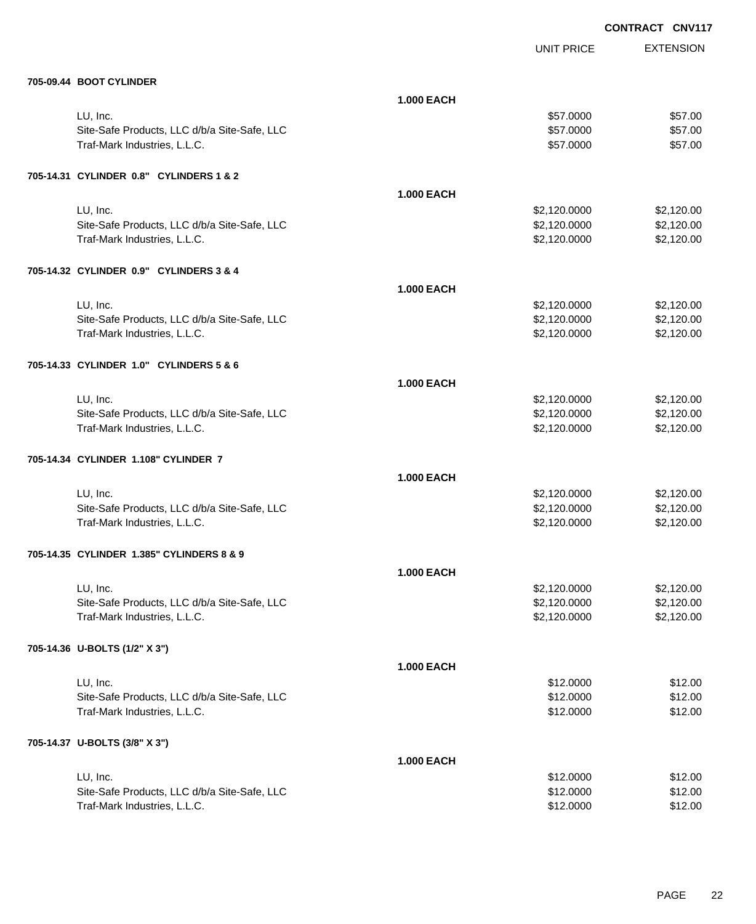**EXTENSION CONTRACT CNV117** UNIT PRICE **705-09.44 BOOT CYLINDER 1.000 EACH** LU, Inc. \$57.0000 \$57.00 Site-Safe Products, LLC d/b/a Site-Safe, LLC \$57.000 \$57.000 \$57.000 Traf-Mark Industries, L.L.C. \$57.000 \$57.000 \$57.000 \$57.000 **705-14.31 CYLINDER 0.8" CYLINDERS 1 & 2 1.000 EACH** LU, Inc. \$2,120.0000 \$2,120.00 Site-Safe Products, LLC d/b/a Site-Safe, LLC  $$2,120.000$  \$2,120.000 \$2,120.000 Traf-Mark Industries, L.L.C. 6. 2,120.000 \$2,120.000 \$2,120.000 \$2,120.000 \$2,120.000 \$2,120.00 **705-14.32 CYLINDER 0.9" CYLINDERS 3 & 4 1.000 EACH** LU, Inc. \$2,120.0000 \$2,120.00 Site-Safe Products, LLC d/b/a Site-Safe, LLC  $$2,120.0000$  \$2,120.000 \$2,120.00 Traf-Mark Industries, L.L.C. 6. 2,120.000 \$2,120.000 \$2,120.000 \$2,120.000 \$2,120.000 \$2,120.00 **705-14.33 CYLINDER 1.0" CYLINDERS 5 & 6 1.000 EACH** LU, Inc. \$2,120.0000 \$2,120.00 Site-Safe Products, LLC d/b/a Site-Safe, LLC  $$2,120.000$  \$2,120.000 \$2,120.000 Traf-Mark Industries, L.L.C. 6. 2,120.000 \$2,120.000 \$2,120.000 \$2,120.000 \$2,120.000 \$2,120.00 **705-14.34 CYLINDER 1.108" CYLINDER 7 1.000 EACH** LU, Inc. \$2,120.0000 \$2,120.00 Site-Safe Products, LLC d/b/a Site-Safe, LLC  $$2,120.000$  \$2,120.000 \$2,120.000 Traf-Mark Industries, L.L.C. 6. 2,120.000 \$2,120.000 \$2,120.000 \$2,120.000 \$2,120.000 \$2,120.00 **705-14.35 CYLINDER 1.385" CYLINDERS 8 & 9 1.000 EACH** LU, Inc. \$2,120.0000 \$2,120.00 Site-Safe Products, LLC d/b/a Site-Safe, LLC  $$2,120.0000$  \$2,120.0000 \$2,120.000 Traf-Mark Industries, L.L.C. 6. 2,120.000 \$2,120.000 \$2,120.000 \$2,120.000 \$2,120.000 \$2,120.00 **705-14.36 U-BOLTS (1/2" X 3") 1.000 EACH** LU, Inc. \$12.0000 \$12.00 Site-Safe Products, LLC d/b/a Site-Safe, LLC  $$12.00$ Traf-Mark Industries, L.L.C. \$12.000 \$12.000 \$12.000 \$12.000 \$12.000 \$12.000 \$12.00 **705-14.37 U-BOLTS (3/8" X 3") 1.000 EACH** LU, Inc. \$12.0000 \$12.00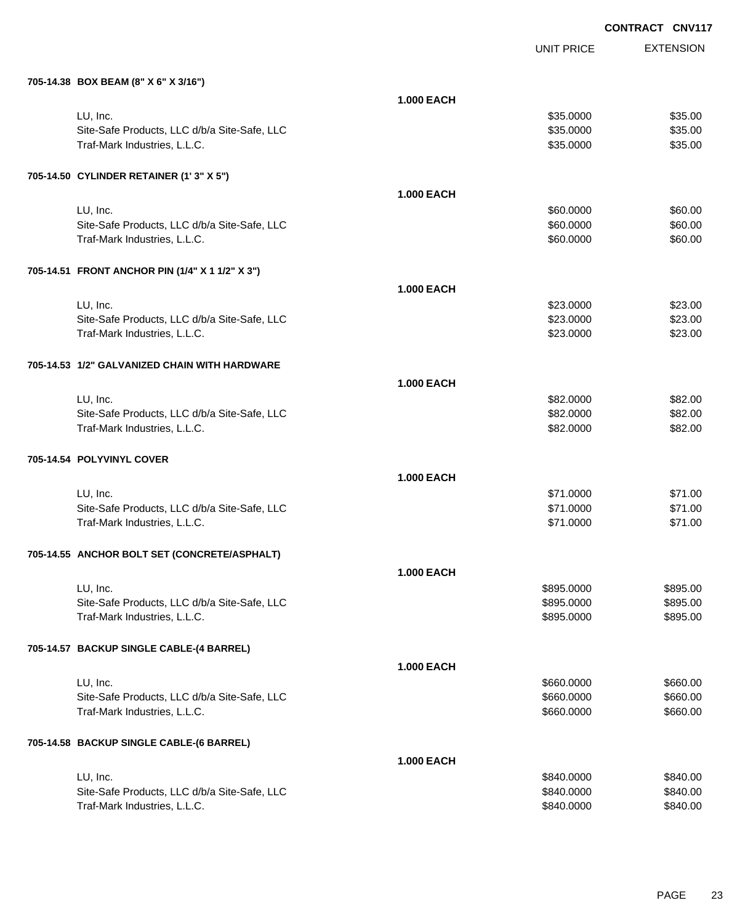| 705-14.38 BOX BEAM (8" X 6" X 3/16") |  |  |
|--------------------------------------|--|--|

| 705-14.38 BOX BEAM (8" X 6" X 3/16")            |                   |            |          |
|-------------------------------------------------|-------------------|------------|----------|
|                                                 | <b>1.000 EACH</b> |            |          |
| LU, Inc.                                        |                   | \$35.0000  | \$35.00  |
| Site-Safe Products, LLC d/b/a Site-Safe, LLC    |                   | \$35.0000  | \$35.00  |
| Traf-Mark Industries, L.L.C.                    |                   | \$35.0000  | \$35.00  |
|                                                 |                   |            |          |
| 705-14.50 CYLINDER RETAINER (1'3" X 5")         |                   |            |          |
|                                                 | <b>1.000 EACH</b> |            |          |
| LU, Inc.                                        |                   | \$60.0000  | \$60.00  |
| Site-Safe Products, LLC d/b/a Site-Safe, LLC    |                   | \$60.0000  | \$60.00  |
| Traf-Mark Industries, L.L.C.                    |                   | \$60.0000  | \$60.00  |
|                                                 |                   |            |          |
| 705-14.51 FRONT ANCHOR PIN (1/4" X 1 1/2" X 3") | <b>1.000 EACH</b> |            |          |
|                                                 |                   |            |          |
| LU, Inc.                                        |                   | \$23.0000  | \$23.00  |
| Site-Safe Products, LLC d/b/a Site-Safe, LLC    |                   | \$23.0000  | \$23.00  |
| Traf-Mark Industries, L.L.C.                    |                   | \$23.0000  | \$23.00  |
| 705-14.53 1/2" GALVANIZED CHAIN WITH HARDWARE   |                   |            |          |
|                                                 | <b>1.000 EACH</b> |            |          |
| LU, Inc.                                        |                   | \$82.0000  | \$82.00  |
| Site-Safe Products, LLC d/b/a Site-Safe, LLC    |                   | \$82.0000  | \$82.00  |
| Traf-Mark Industries, L.L.C.                    |                   | \$82.0000  | \$82.00  |
| 705-14.54 POLYVINYL COVER                       |                   |            |          |
|                                                 | <b>1.000 EACH</b> |            |          |
| LU, Inc.                                        |                   | \$71.0000  | \$71.00  |
| Site-Safe Products, LLC d/b/a Site-Safe, LLC    |                   | \$71.0000  | \$71.00  |
| Traf-Mark Industries, L.L.C.                    |                   | \$71.0000  | \$71.00  |
|                                                 |                   |            |          |
| 705-14.55 ANCHOR BOLT SET (CONCRETE/ASPHALT)    |                   |            |          |
|                                                 | <b>1.000 EACH</b> |            |          |
| LU, Inc.                                        |                   | \$895.0000 | \$895.00 |
| Site-Safe Products, LLC d/b/a Site-Safe, LLC    |                   | \$895.0000 | \$895.00 |
| Traf-Mark Industries, L.L.C.                    |                   | \$895.0000 | \$895.00 |
| 705-14.57 BACKUP SINGLE CABLE-(4 BARREL)        |                   |            |          |
|                                                 | <b>1.000 EACH</b> |            |          |
| LU, Inc.                                        |                   | \$660.0000 | \$660.00 |
| Site-Safe Products, LLC d/b/a Site-Safe, LLC    |                   | \$660.0000 | \$660.00 |
| Traf-Mark Industries, L.L.C.                    |                   | \$660.0000 | \$660.00 |
| 705-14.58 BACKUP SINGLE CABLE-(6 BARREL)        |                   |            |          |
|                                                 | <b>1.000 EACH</b> |            |          |
| LU, Inc.                                        |                   | \$840.0000 | \$840.00 |
| Site-Safe Products, LLC d/b/a Site-Safe, LLC    |                   | \$840.0000 | \$840.00 |
| Traf-Mark Industries, L.L.C.                    |                   | \$840.0000 | \$840.00 |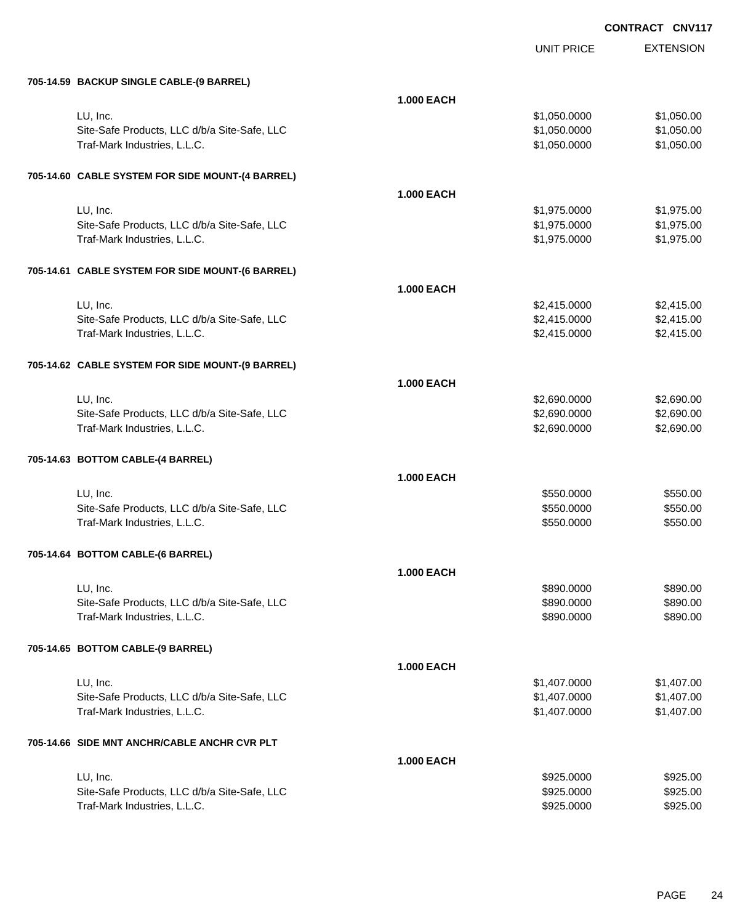| 705-14.59 BACKUP SINGLE CABLE-(9 BARREL)                                     |                   |                          |                      |
|------------------------------------------------------------------------------|-------------------|--------------------------|----------------------|
|                                                                              | <b>1.000 EACH</b> |                          |                      |
| LU, Inc.                                                                     |                   | \$1,050.0000             | \$1,050.00           |
| Site-Safe Products, LLC d/b/a Site-Safe, LLC                                 |                   | \$1,050.0000             | \$1,050.00           |
| Traf-Mark Industries, L.L.C.                                                 |                   | \$1,050.0000             | \$1,050.00           |
|                                                                              |                   |                          |                      |
| 705-14.60 CABLE SYSTEM FOR SIDE MOUNT-(4 BARREL)                             |                   |                          |                      |
|                                                                              |                   |                          |                      |
|                                                                              | <b>1.000 EACH</b> |                          |                      |
| LU, Inc.                                                                     |                   | \$1,975.0000             | \$1,975.00           |
| Site-Safe Products, LLC d/b/a Site-Safe, LLC                                 |                   | \$1,975.0000             | \$1,975.00           |
| Traf-Mark Industries, L.L.C.                                                 |                   | \$1,975.0000             | \$1,975.00           |
| 705-14.61 CABLE SYSTEM FOR SIDE MOUNT-(6 BARREL)                             |                   |                          |                      |
|                                                                              | <b>1.000 EACH</b> |                          |                      |
| LU, Inc.                                                                     |                   | \$2,415.0000             | \$2,415.00           |
| Site-Safe Products, LLC d/b/a Site-Safe, LLC                                 |                   | \$2,415.0000             | \$2,415.00           |
| Traf-Mark Industries, L.L.C.                                                 |                   | \$2,415.0000             | \$2,415.00           |
|                                                                              |                   |                          |                      |
| 705-14.62 CABLE SYSTEM FOR SIDE MOUNT-(9 BARREL)                             |                   |                          |                      |
|                                                                              | <b>1.000 EACH</b> |                          |                      |
| LU, Inc.                                                                     |                   | \$2,690.0000             | \$2,690.00           |
| Site-Safe Products, LLC d/b/a Site-Safe, LLC                                 |                   | \$2,690.0000             | \$2,690.00           |
| Traf-Mark Industries, L.L.C.                                                 |                   | \$2,690.0000             | \$2,690.00           |
|                                                                              |                   |                          |                      |
| 705-14.63 BOTTOM CABLE-(4 BARREL)                                            |                   |                          |                      |
|                                                                              | <b>1.000 EACH</b> |                          |                      |
| LU, Inc.                                                                     |                   | \$550.0000               | \$550.00             |
| Site-Safe Products, LLC d/b/a Site-Safe, LLC                                 |                   | \$550.0000               | \$550.00             |
| Traf-Mark Industries, L.L.C.                                                 |                   | \$550.0000               | \$550.00             |
|                                                                              |                   |                          |                      |
| 705-14.64 BOTTOM CABLE-(6 BARREL)                                            |                   |                          |                      |
|                                                                              | <b>1.000 EACH</b> |                          |                      |
| LU, Inc.                                                                     |                   | \$890.0000               | \$890.00             |
| Site-Safe Products, LLC d/b/a Site-Safe, LLC                                 |                   | \$890.0000               | \$890.00             |
| Traf-Mark Industries, L.L.C.                                                 |                   | \$890.0000               | \$890.00             |
|                                                                              |                   |                          |                      |
| 705-14.65 BOTTOM CABLE-(9 BARREL)                                            |                   |                          |                      |
|                                                                              | <b>1.000 EACH</b> |                          |                      |
| LU, Inc.                                                                     |                   | \$1,407.0000             | \$1,407.00           |
| Site-Safe Products, LLC d/b/a Site-Safe, LLC                                 |                   | \$1,407.0000             | \$1,407.00           |
| Traf-Mark Industries, L.L.C.                                                 |                   | \$1,407.0000             | \$1,407.00           |
| 705-14.66 SIDE MNT ANCHR/CABLE ANCHR CVR PLT                                 |                   |                          |                      |
|                                                                              |                   |                          |                      |
|                                                                              | <b>1.000 EACH</b> |                          |                      |
| LU, Inc.                                                                     |                   | \$925.0000               | \$925.00             |
| Site-Safe Products, LLC d/b/a Site-Safe, LLC<br>Traf-Mark Industries, L.L.C. |                   | \$925.0000<br>\$925.0000 | \$925.00<br>\$925.00 |
|                                                                              |                   |                          |                      |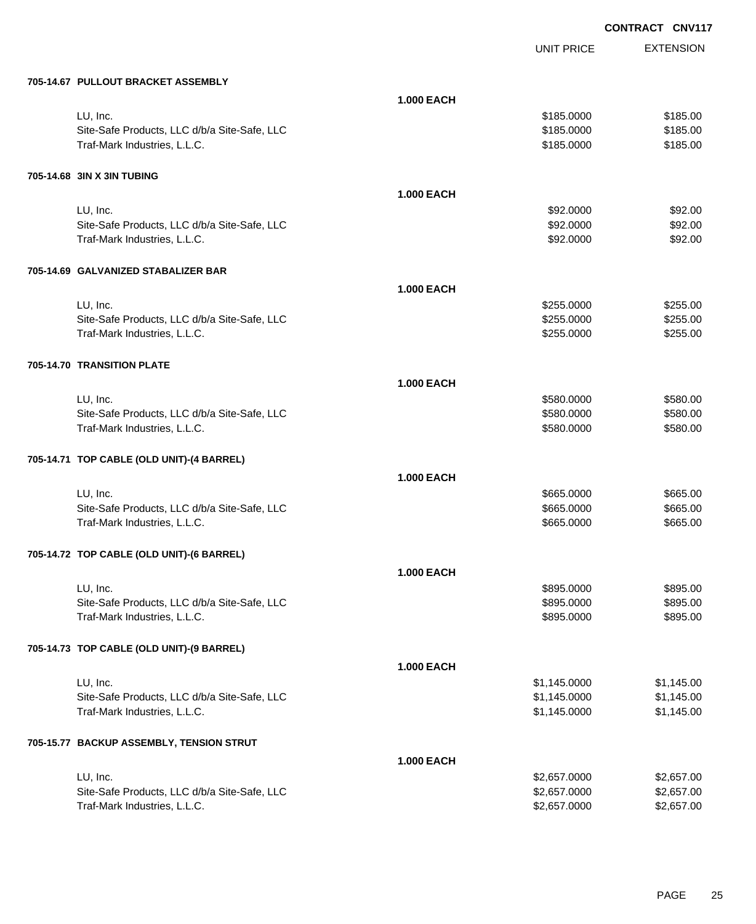|  | 705-14.67 PULLOUT BRACKET ASSEMBLY |
|--|------------------------------------|

| 705-14.67 PULLOUT BRACKET ASSEMBLY           |                   |              |            |
|----------------------------------------------|-------------------|--------------|------------|
|                                              | <b>1.000 EACH</b> |              |            |
| LU, Inc.                                     |                   | \$185.0000   | \$185.00   |
| Site-Safe Products, LLC d/b/a Site-Safe, LLC |                   | \$185.0000   | \$185.00   |
| Traf-Mark Industries, L.L.C.                 |                   | \$185.0000   | \$185.00   |
|                                              |                   |              |            |
| 705-14.68 3IN X 3IN TUBING                   |                   |              |            |
|                                              | <b>1.000 EACH</b> |              |            |
| LU, Inc.                                     |                   | \$92.0000    | \$92.00    |
| Site-Safe Products, LLC d/b/a Site-Safe, LLC |                   | \$92.0000    | \$92.00    |
| Traf-Mark Industries, L.L.C.                 |                   | \$92.0000    | \$92.00    |
|                                              |                   |              |            |
| 705-14.69 GALVANIZED STABALIZER BAR          |                   |              |            |
|                                              | <b>1.000 EACH</b> |              |            |
| LU, Inc.                                     |                   | \$255.0000   | \$255.00   |
| Site-Safe Products, LLC d/b/a Site-Safe, LLC |                   | \$255.0000   | \$255.00   |
| Traf-Mark Industries, L.L.C.                 |                   | \$255.0000   | \$255.00   |
|                                              |                   |              |            |
| 705-14.70 TRANSITION PLATE                   |                   |              |            |
|                                              | <b>1.000 EACH</b> |              |            |
| LU, Inc.                                     |                   | \$580.0000   | \$580.00   |
| Site-Safe Products, LLC d/b/a Site-Safe, LLC |                   | \$580.0000   | \$580.00   |
| Traf-Mark Industries, L.L.C.                 |                   | \$580.0000   | \$580.00   |
| 705-14.71 TOP CABLE (OLD UNIT)-(4 BARREL)    |                   |              |            |
|                                              | <b>1.000 EACH</b> |              |            |
| LU, Inc.                                     |                   | \$665.0000   | \$665.00   |
| Site-Safe Products, LLC d/b/a Site-Safe, LLC |                   | \$665.0000   | \$665.00   |
| Traf-Mark Industries, L.L.C.                 |                   | \$665.0000   | \$665.00   |
|                                              |                   |              |            |
| 705-14.72 TOP CABLE (OLD UNIT)-(6 BARREL)    |                   |              |            |
|                                              | <b>1.000 EACH</b> |              |            |
| LU, Inc.                                     |                   | \$895.0000   | \$895.00   |
| Site-Safe Products, LLC d/b/a Site-Safe, LLC |                   | \$895.0000   | \$895.00   |
| Traf-Mark Industries, L.L.C.                 |                   | \$895.0000   | \$895.00   |
|                                              |                   |              |            |
| 705-14.73 TOP CABLE (OLD UNIT)-(9 BARREL)    |                   |              |            |
|                                              | <b>1.000 EACH</b> |              |            |
| LU, Inc.                                     |                   | \$1,145.0000 | \$1,145.00 |
| Site-Safe Products, LLC d/b/a Site-Safe, LLC |                   | \$1,145.0000 | \$1,145.00 |
| Traf-Mark Industries, L.L.C.                 |                   | \$1,145.0000 | \$1,145.00 |
| 705-15.77 BACKUP ASSEMBLY, TENSION STRUT     |                   |              |            |
|                                              | <b>1.000 EACH</b> |              |            |
| LU, Inc.                                     |                   | \$2,657.0000 | \$2,657.00 |
| Site-Safe Products, LLC d/b/a Site-Safe, LLC |                   | \$2,657.0000 | \$2,657.00 |
| Traf-Mark Industries, L.L.C.                 |                   | \$2,657.0000 | \$2,657.00 |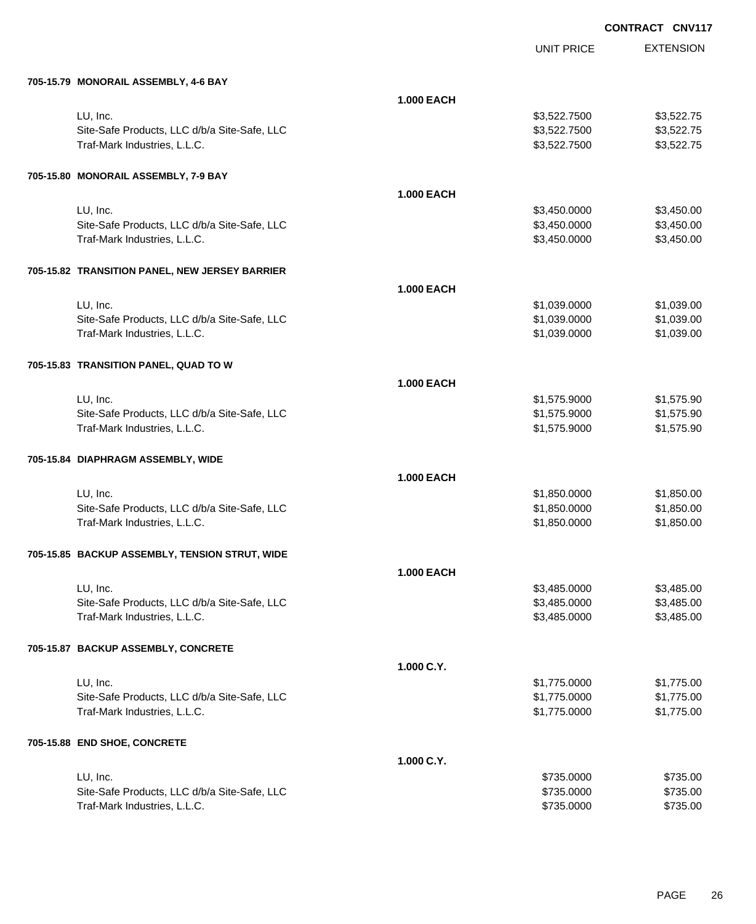EXTENSION **CONTRACT CNV117**

UNIT PRICE

| 705-15.79 MONORAIL ASSEMBLY, 4-6 BAY           |                   |              |            |
|------------------------------------------------|-------------------|--------------|------------|
|                                                | <b>1.000 EACH</b> |              |            |
| LU, Inc.                                       |                   | \$3,522.7500 | \$3,522.75 |
| Site-Safe Products, LLC d/b/a Site-Safe, LLC   |                   | \$3,522.7500 | \$3,522.75 |
| Traf-Mark Industries, L.L.C.                   |                   | \$3,522.7500 | \$3,522.75 |
| 705-15.80 MONORAIL ASSEMBLY, 7-9 BAY           |                   |              |            |
|                                                | <b>1.000 EACH</b> |              |            |
| LU, Inc.                                       |                   | \$3,450.0000 | \$3,450.00 |
| Site-Safe Products, LLC d/b/a Site-Safe, LLC   |                   | \$3,450.0000 | \$3,450.00 |
| Traf-Mark Industries, L.L.C.                   |                   | \$3,450.0000 | \$3,450.00 |
| 705-15.82 TRANSITION PANEL, NEW JERSEY BARRIER |                   |              |            |
|                                                | <b>1.000 EACH</b> |              |            |
| LU, Inc.                                       |                   | \$1,039.0000 | \$1,039.00 |
| Site-Safe Products, LLC d/b/a Site-Safe, LLC   |                   | \$1,039.0000 | \$1,039.00 |
| Traf-Mark Industries, L.L.C.                   |                   | \$1,039.0000 | \$1,039.00 |
| 705-15.83 TRANSITION PANEL, QUAD TO W          |                   |              |            |
|                                                | <b>1.000 EACH</b> |              |            |
| LU, Inc.                                       |                   | \$1,575.9000 | \$1,575.90 |
| Site-Safe Products, LLC d/b/a Site-Safe, LLC   |                   | \$1,575.9000 | \$1,575.90 |
| Traf-Mark Industries, L.L.C.                   |                   | \$1,575.9000 | \$1,575.90 |
| 705-15.84 DIAPHRAGM ASSEMBLY, WIDE             |                   |              |            |
|                                                | <b>1.000 EACH</b> |              |            |
| LU, Inc.                                       |                   | \$1,850.0000 | \$1,850.00 |
| Site-Safe Products, LLC d/b/a Site-Safe, LLC   |                   | \$1,850.0000 | \$1,850.00 |
| Traf-Mark Industries, L.L.C.                   |                   | \$1,850.0000 | \$1,850.00 |
| 705-15.85 BACKUP ASSEMBLY, TENSION STRUT, WIDE |                   |              |            |
|                                                | <b>1.000 EACH</b> |              |            |
| LU, Inc.                                       |                   | \$3.485.0000 | \$3,485.00 |
| Site-Safe Products, LLC d/b/a Site-Safe, LLC   |                   | \$3,485.0000 | \$3,485.00 |
| Traf-Mark Industries, L.L.C.                   |                   | \$3,485.0000 | \$3,485.00 |
| 705-15.87 BACKUP ASSEMBLY, CONCRETE            |                   |              |            |
|                                                | 1.000 C.Y.        |              |            |
| LU, Inc.                                       |                   | \$1,775.0000 | \$1,775.00 |
| Site-Safe Products, LLC d/b/a Site-Safe, LLC   |                   | \$1,775.0000 | \$1,775.00 |
| Traf-Mark Industries, L.L.C.                   |                   | \$1,775.0000 | \$1,775.00 |
| 705-15.88 END SHOE, CONCRETE                   |                   |              |            |
|                                                | 1.000 C.Y.        |              |            |
| LU, Inc.                                       |                   | \$735.0000   | \$735.00   |
| Site-Safe Products, LLC d/b/a Site-Safe, LLC   |                   | \$735.0000   | \$735.00   |
| Traf-Mark Industries, L.L.C.                   |                   | \$735.0000   | \$735.00   |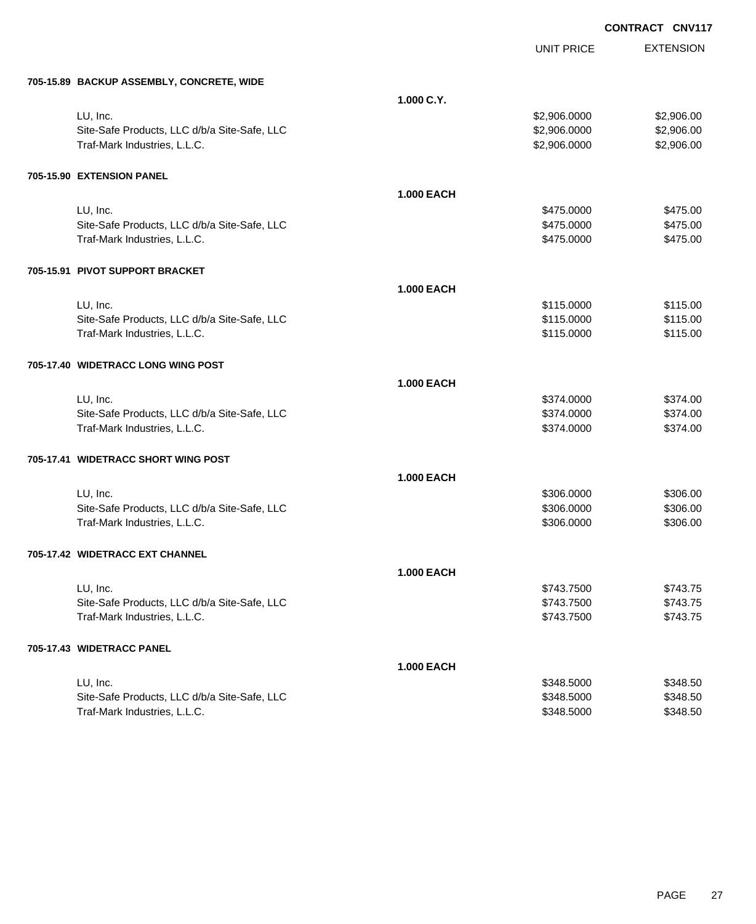UNIT PRICE

EXTENSION

|  | 705-15.89 BACKUP ASSEMBLY, CONCRETE, WIDE |  |
|--|-------------------------------------------|--|

| 705-15.89 BACKUP ASSEMBLY, CONCRETE, WIDE    |                   |              |            |
|----------------------------------------------|-------------------|--------------|------------|
|                                              | 1.000 C.Y.        |              |            |
| LU, Inc.                                     |                   | \$2,906.0000 | \$2,906.00 |
| Site-Safe Products, LLC d/b/a Site-Safe, LLC |                   | \$2,906.0000 | \$2,906.00 |
| Traf-Mark Industries, L.L.C.                 |                   | \$2,906.0000 | \$2,906.00 |
| 705-15.90 EXTENSION PANEL                    |                   |              |            |
|                                              | <b>1.000 EACH</b> |              |            |
| LU, Inc.                                     |                   | \$475.0000   | \$475.00   |
| Site-Safe Products, LLC d/b/a Site-Safe, LLC |                   | \$475.0000   | \$475.00   |
| Traf-Mark Industries, L.L.C.                 |                   | \$475.0000   | \$475.00   |
| 705-15.91 PIVOT SUPPORT BRACKET              |                   |              |            |
|                                              | <b>1.000 EACH</b> |              |            |
| LU, Inc.                                     |                   | \$115.0000   | \$115.00   |
| Site-Safe Products, LLC d/b/a Site-Safe, LLC |                   | \$115.0000   | \$115.00   |
| Traf-Mark Industries, L.L.C.                 |                   | \$115.0000   | \$115.00   |
| 705-17.40 WIDETRACC LONG WING POST           |                   |              |            |
|                                              | <b>1.000 EACH</b> |              |            |
| LU, Inc.                                     |                   | \$374.0000   | \$374.00   |
| Site-Safe Products, LLC d/b/a Site-Safe, LLC |                   | \$374.0000   | \$374.00   |
| Traf-Mark Industries, L.L.C.                 |                   | \$374.0000   | \$374.00   |
| 705-17.41 WIDETRACC SHORT WING POST          |                   |              |            |
|                                              | <b>1.000 EACH</b> |              |            |
| LU, Inc.                                     |                   | \$306.0000   | \$306.00   |
| Site-Safe Products, LLC d/b/a Site-Safe, LLC |                   | \$306.0000   | \$306.00   |
| Traf-Mark Industries, L.L.C.                 |                   | \$306.0000   | \$306.00   |
| 705-17.42 WIDETRACC EXT CHANNEL              |                   |              |            |
|                                              | <b>1.000 EACH</b> |              |            |
| LU, Inc.                                     |                   | \$743.7500   | \$743.75   |
| Site-Safe Products, LLC d/b/a Site-Safe, LLC |                   | \$743.7500   | \$743.75   |
| Traf-Mark Industries, L.L.C.                 |                   | \$743.7500   | \$743.75   |
| 705-17.43 WIDETRACC PANEL                    |                   |              |            |
|                                              | <b>1.000 EACH</b> |              |            |
| LU, Inc.                                     |                   | \$348.5000   | \$348.50   |
| Site-Safe Products, LLC d/b/a Site-Safe, LLC |                   | \$348.5000   | \$348.50   |
| Traf-Mark Industries, L.L.C.                 |                   | \$348.5000   | \$348.50   |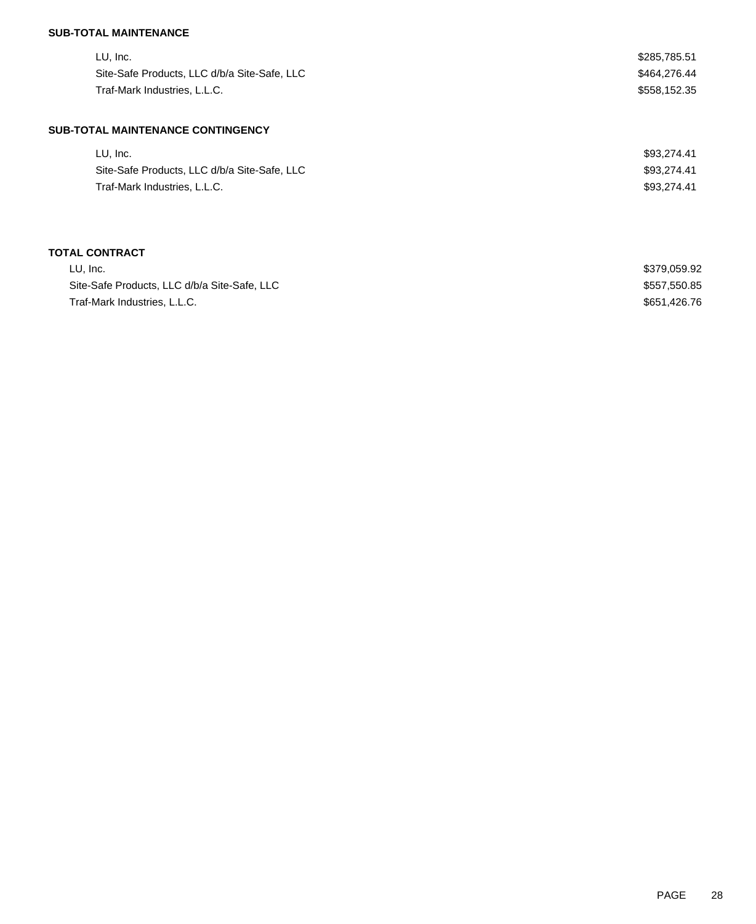## **SUB-TOTAL MAINTENANCE**

| LU, Inc.                                     | \$285,785.51 |
|----------------------------------------------|--------------|
| Site-Safe Products, LLC d/b/a Site-Safe, LLC | \$464,276.44 |
| Traf-Mark Industries, L.L.C.                 | \$558,152.35 |
| <b>SUB-TOTAL MAINTENANCE CONTINGENCY</b>     |              |
| LU, Inc.                                     | \$93.274.41  |

| LU. ING.                                     | \$93.274.4T |
|----------------------------------------------|-------------|
| Site-Safe Products, LLC d/b/a Site-Safe, LLC | \$93.274.41 |
| Traf-Mark Industries, L.L.C.                 | \$93.274.41 |

# **TOTAL CONTRACT**

| LU. Inc.                                     | \$379,059.92 |
|----------------------------------------------|--------------|
| Site-Safe Products, LLC d/b/a Site-Safe, LLC | \$557.550.85 |
| Traf-Mark Industries, L.L.C.                 | \$651.426.76 |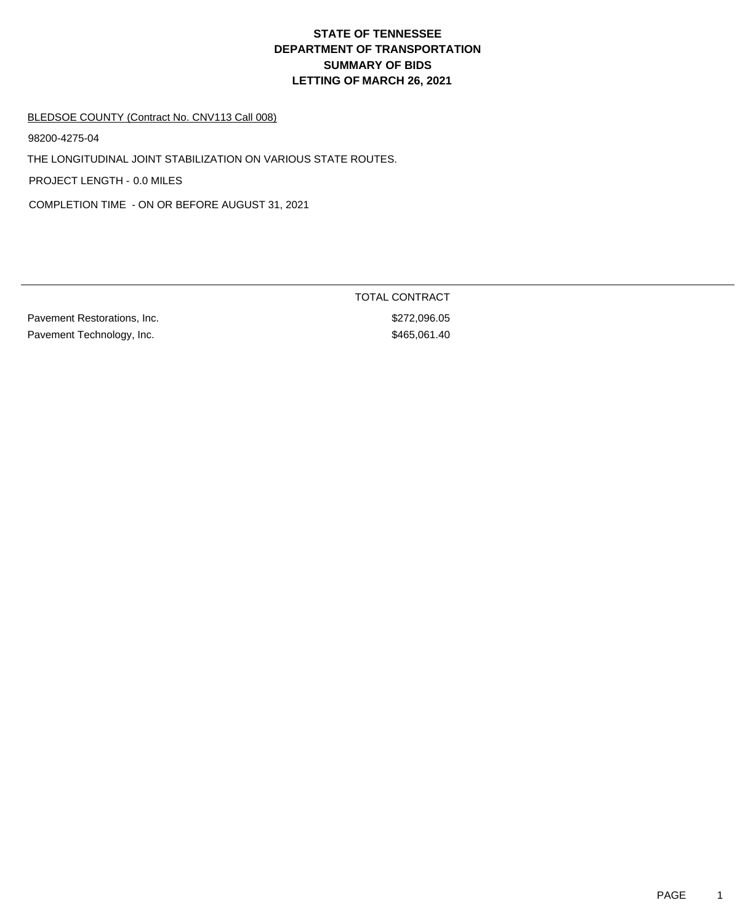# **DEPARTMENT OF TRANSPORTATION SUMMARY OF BIDS LETTING OF MARCH 26, 2021 STATE OF TENNESSEE**

#### BLEDSOE COUNTY (Contract No. CNV113 Call 008)

98200-4275-04

THE LONGITUDINAL JOINT STABILIZATION ON VARIOUS STATE ROUTES.

PROJECT LENGTH - 0.0 MILES

COMPLETION TIME - ON OR BEFORE AUGUST 31, 2021

Pavement Restorations, Inc. 6. The extension of the state of the state of  $272,096.05$ Pavement Technology, Inc. 6. The Second Second Second Second Second Second Second Second Second Second Second S

TOTAL CONTRACT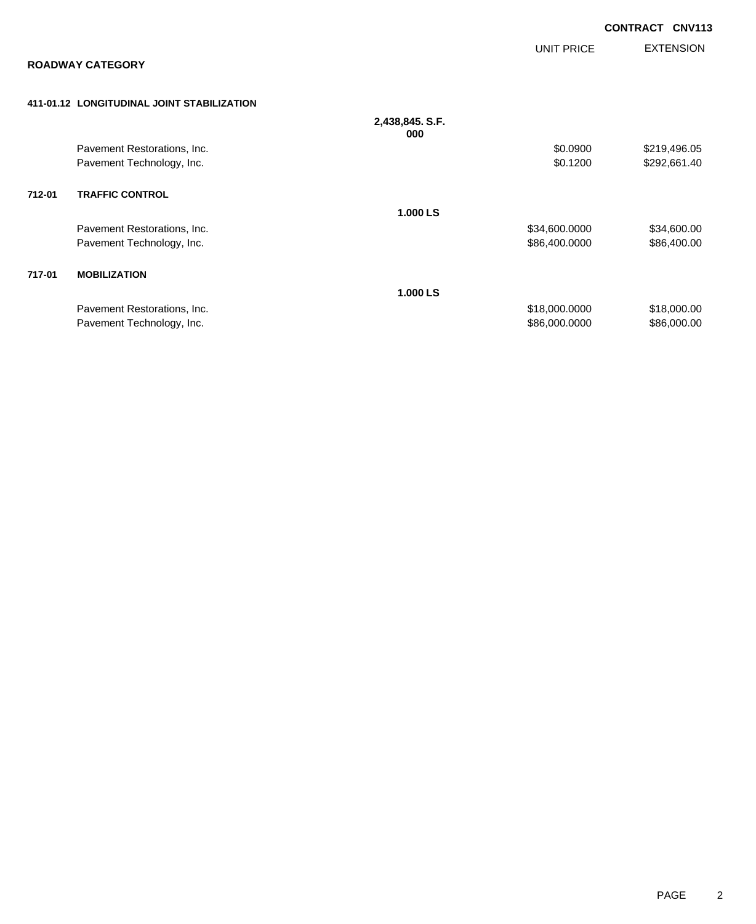|        |                                            |                        |               | <b>CONTRACT CNV113</b> |
|--------|--------------------------------------------|------------------------|---------------|------------------------|
|        | <b>ROADWAY CATEGORY</b>                    |                        | UNIT PRICE    | <b>EXTENSION</b>       |
|        | 411-01.12 LONGITUDINAL JOINT STABILIZATION |                        |               |                        |
|        |                                            | 2,438,845. S.F.<br>000 |               |                        |
|        | Pavement Restorations, Inc.                |                        | \$0.0900      | \$219,496.05           |
|        | Pavement Technology, Inc.                  |                        | \$0.1200      | \$292,661.40           |
| 712-01 | <b>TRAFFIC CONTROL</b>                     |                        |               |                        |
|        |                                            | 1.000 LS               |               |                        |
|        | Pavement Restorations, Inc.                |                        | \$34,600.0000 | \$34,600.00            |
|        | Pavement Technology, Inc.                  |                        | \$86,400.0000 | \$86,400.00            |
| 717-01 | <b>MOBILIZATION</b>                        |                        |               |                        |
|        |                                            | 1.000 LS               |               |                        |
|        | Pavement Restorations, Inc.                |                        | \$18,000.0000 | \$18,000.00            |
|        | Pavement Technology, Inc.                  |                        | \$86,000.0000 | \$86,000.00            |
|        |                                            |                        |               |                        |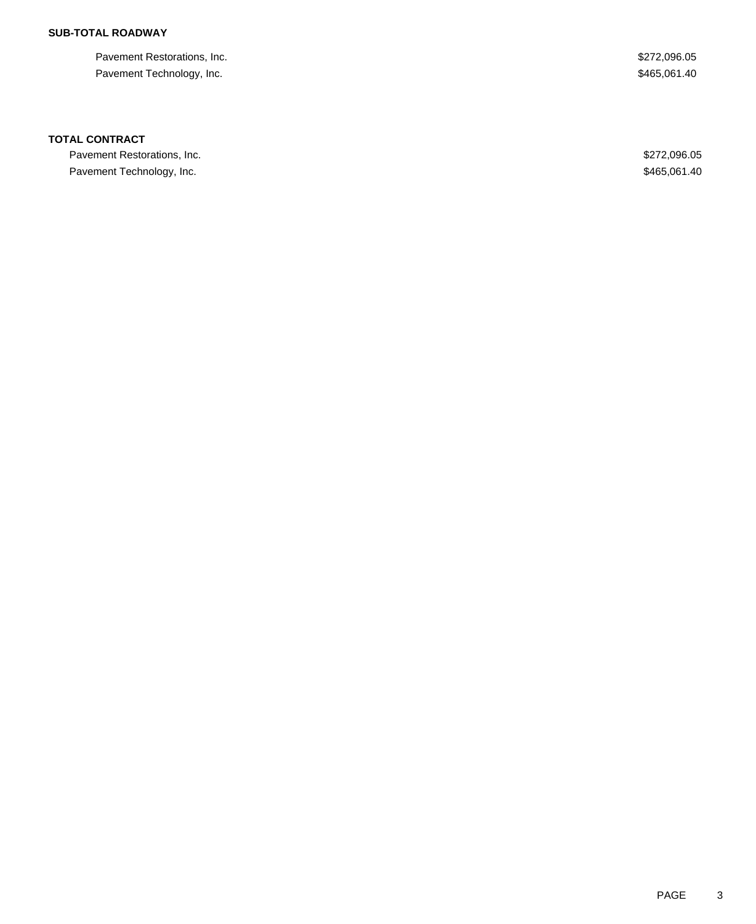## **SUB-TOTAL ROADWAY**

Pavement Restorations, Inc. 6. The Second Second Second Second Second Second Seconds Seconds Seconds Seconds Seconds Seconds Seconds Seconds Seconds Seconds Seconds Seconds Seconds Seconds Seconds Seconds Seconds Seconds S Pavement Technology, Inc. 6. The Second Second Second Second Second Second Second Second Second Second Second Second Second Second Second Second Second Second Second Second Second Second Second Second Second Second Second

### **TOTAL CONTRACT**

Pavement Restorations, Inc. 6. The Second Second Second Seconds of the Second Seconds Assembly 19872,096.05 Pavement Technology, Inc. 6. The Second Second Second Second Second Second Second Second Second Second Second Second Second Second Second Second Second Second Second Second Second Second Second Second Second Second Second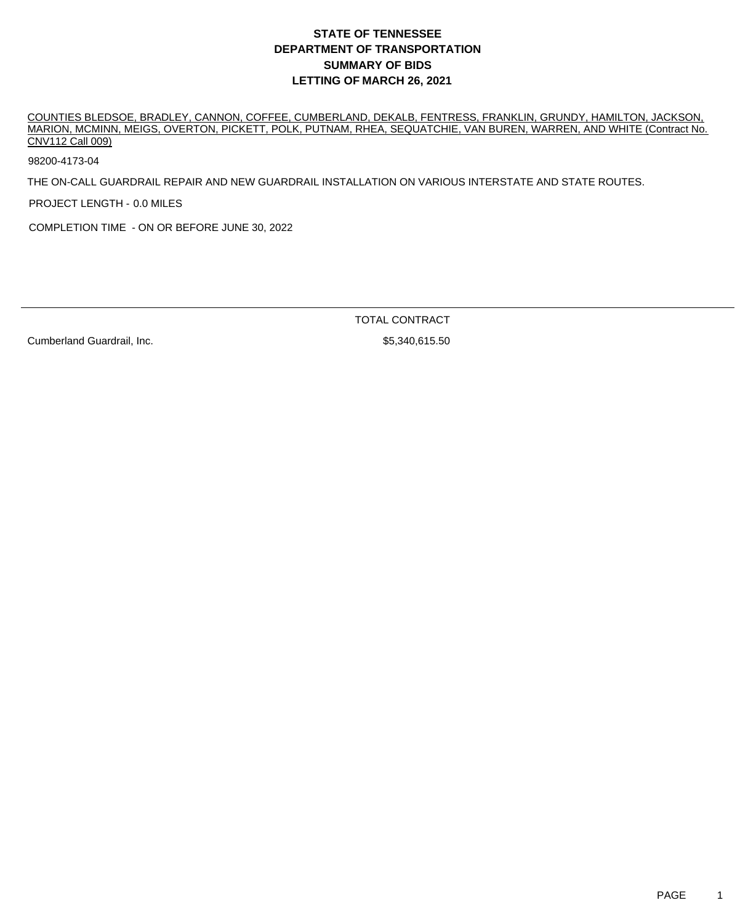# **DEPARTMENT OF TRANSPORTATION SUMMARY OF BIDS LETTING OF MARCH 26, 2021 STATE OF TENNESSEE**

COUNTIES BLEDSOE, BRADLEY, CANNON, COFFEE, CUMBERLAND, DEKALB, FENTRESS, FRANKLIN, GRUNDY, HAMILTON, JACKSON, MARION, MCMINN, MEIGS, OVERTON, PICKETT, POLK, PUTNAM, RHEA, SEQUATCHIE, VAN BUREN, WARREN, AND WHITE (Contract No. CNV112 Call 009)

98200-4173-04

THE ON-CALL GUARDRAIL REPAIR AND NEW GUARDRAIL INSTALLATION ON VARIOUS INTERSTATE AND STATE ROUTES.

PROJECT LENGTH - 0.0 MILES

COMPLETION TIME - ON OR BEFORE JUNE 30, 2022

TOTAL CONTRACT

Cumberland Guardrail, Inc. 65,340,615.50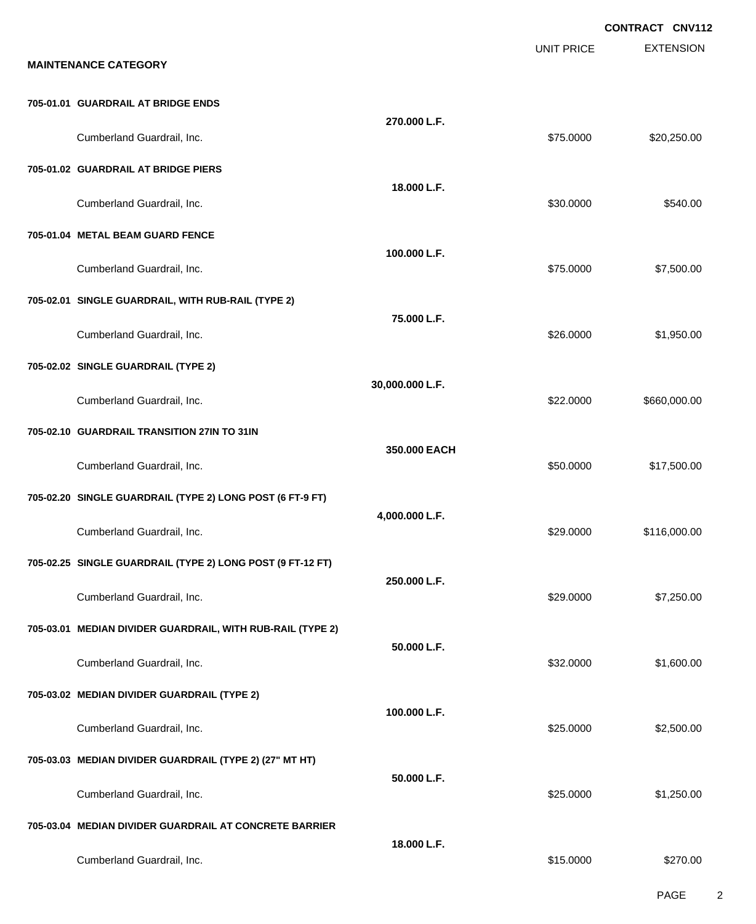|                                                            |                 |                   | CONTRACT CNV112  |
|------------------------------------------------------------|-----------------|-------------------|------------------|
| <b>MAINTENANCE CATEGORY</b>                                |                 | <b>UNIT PRICE</b> | <b>EXTENSION</b> |
| 705-01.01 GUARDRAIL AT BRIDGE ENDS                         |                 |                   |                  |
| Cumberland Guardrail, Inc.                                 | 270.000 L.F.    | \$75.0000         | \$20,250.00      |
| 705-01.02 GUARDRAIL AT BRIDGE PIERS                        |                 |                   |                  |
| Cumberland Guardrail, Inc.                                 | 18.000 L.F.     | \$30.0000         | \$540.00         |
| 705-01.04 METAL BEAM GUARD FENCE                           |                 |                   |                  |
| Cumberland Guardrail, Inc.                                 | 100.000 L.F.    | \$75.0000         | \$7,500.00       |
| 705-02.01 SINGLE GUARDRAIL, WITH RUB-RAIL (TYPE 2)         |                 |                   |                  |
| Cumberland Guardrail, Inc.                                 | 75.000 L.F.     | \$26.0000         | \$1,950.00       |
| 705-02.02 SINGLE GUARDRAIL (TYPE 2)                        |                 |                   |                  |
| Cumberland Guardrail, Inc.                                 | 30,000.000 L.F. | \$22.0000         | \$660,000.00     |
| 705-02.10 GUARDRAIL TRANSITION 27IN TO 31IN                |                 |                   |                  |
| Cumberland Guardrail, Inc.                                 | 350,000 EACH    | \$50.0000         | \$17,500.00      |
| 705-02.20 SINGLE GUARDRAIL (TYPE 2) LONG POST (6 FT-9 FT)  |                 |                   |                  |
| Cumberland Guardrail, Inc.                                 | 4,000.000 L.F.  | \$29,0000         | \$116,000.00     |
| 705-02.25 SINGLE GUARDRAIL (TYPE 2) LONG POST (9 FT-12 FT) |                 |                   |                  |
| Cumberland Guardrail, Inc.                                 | 250.000 L.F.    | \$29.0000         | \$7,250.00       |
| 705-03.01 MEDIAN DIVIDER GUARDRAIL, WITH RUB-RAIL (TYPE 2) |                 |                   |                  |
| Cumberland Guardrail, Inc.                                 | 50.000 L.F.     | \$32.0000         | \$1,600.00       |
| 705-03.02 MEDIAN DIVIDER GUARDRAIL (TYPE 2)                |                 |                   |                  |
| Cumberland Guardrail, Inc.                                 | 100.000 L.F.    | \$25.0000         | \$2,500.00       |
| 705-03.03 MEDIAN DIVIDER GUARDRAIL (TYPE 2) (27" MT HT)    |                 |                   |                  |
| Cumberland Guardrail, Inc.                                 | 50.000 L.F.     | \$25.0000         | \$1,250.00       |
| 705-03.04 MEDIAN DIVIDER GUARDRAIL AT CONCRETE BARRIER     |                 |                   |                  |
| Cumberland Guardrail, Inc.                                 | 18.000 L.F.     | \$15.0000         | \$270.00         |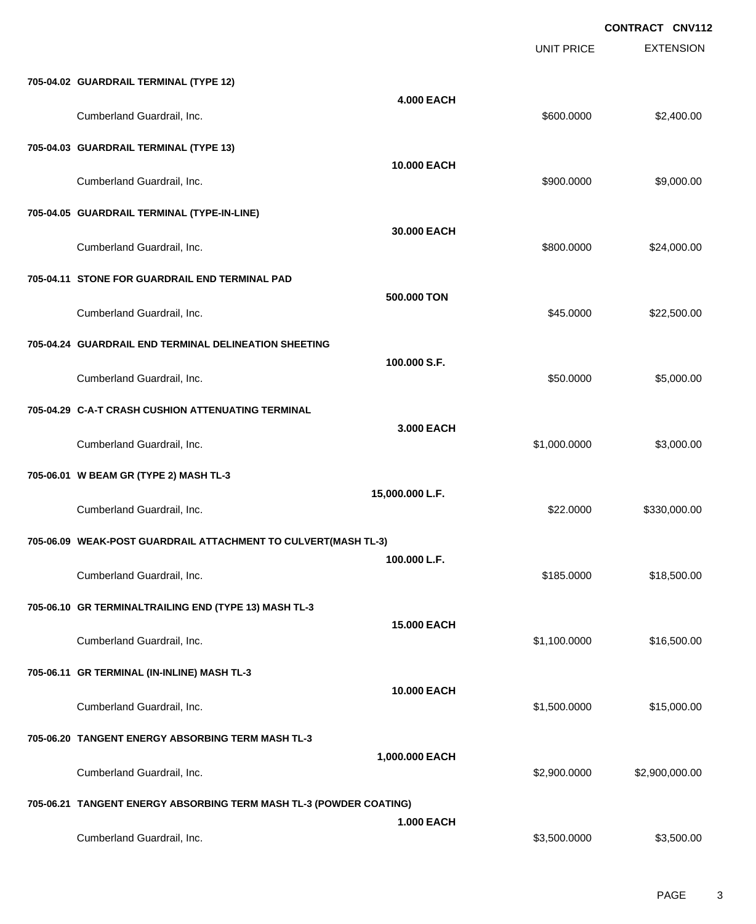EXTENSION **CONTRACT CNV112** UNIT PRICE **705-04.02 GUARDRAIL TERMINAL (TYPE 12) 4.000 EACH** Cumberland Guardrail, Inc. 600.000 \$2,400.00 **705-04.03 GUARDRAIL TERMINAL (TYPE 13) 10.000 EACH** Cumberland Guardrail, Inc. \$900.0000 \$9,000.00 **705-04.05 GUARDRAIL TERMINAL (TYPE-IN-LINE) 30.000 EACH** Cumberland Guardrail, Inc. \$800.0000 \$24,000.00 **705-04.11 STONE FOR GUARDRAIL END TERMINAL PAD 500.000 TON** Cumberland Guardrail, Inc. 6. 2012. The set of the set of the set of the set of the set of the set of the set of the set of the set of the set of the set of the set of the set of the set of the set of the set of the set of **705-04.24 GUARDRAIL END TERMINAL DELINEATION SHEETING 100.000 S.F.** Cumberland Guardrail, Inc. 6. The Cumberland Guardrail, Inc. 6. The Cumberland Guardrail, Inc. 6. The Cumberland Cumberland St., 000.00 **705-04.29 C-A-T CRASH CUSHION ATTENUATING TERMINAL 3.000 EACH** Cumberland Guardrail, Inc. \$1,000.0000 \$3,000.00 **705-06.01 W BEAM GR (TYPE 2) MASH TL-3 15,000.000 L.F.** Cumberland Guardrail, Inc. \$22.0000 \$330,000.00 **705-06.09 WEAK-POST GUARDRAIL ATTACHMENT TO CULVERT(MASH TL-3) 100.000 L.F.** Cumberland Guardrail, Inc. \$185.0000 \$18,500.00 **705-06.10 GR TERMINALTRAILING END (TYPE 13) MASH TL-3 15.000 EACH** Cumberland Guardrail, Inc. \$1,100.0000 \$16,500.00 **705-06.11 GR TERMINAL (IN-INLINE) MASH TL-3 10.000 EACH** Cumberland Guardrail, Inc. 6. 2012 12:30 12:30 12:30 12:30 12:30 12:30 12:30 12:30 12:30 12:30 12:30 12:30 12:30 12:30 12:30 12:30 12:30 12:30 12:30 12:30 12:30 12:30 12:30 12:30 12:30 12:30 12:30 12:30 12:30 12:30 12:30 1 **705-06.20 TANGENT ENERGY ABSORBING TERM MASH TL-3 1,000.000 EACH** Cumberland Guardrail, Inc. \$2,900.0000 \$2,900,000.00 **705-06.21 TANGENT ENERGY ABSORBING TERM MASH TL-3 (POWDER COATING) 1.000 EACH** Cumberland Guardrail, Inc. 6. 2012 12:30 12:30 13:300.000 \$3,500.000 \$3,500.000 \$3,500.000 \$3,500.00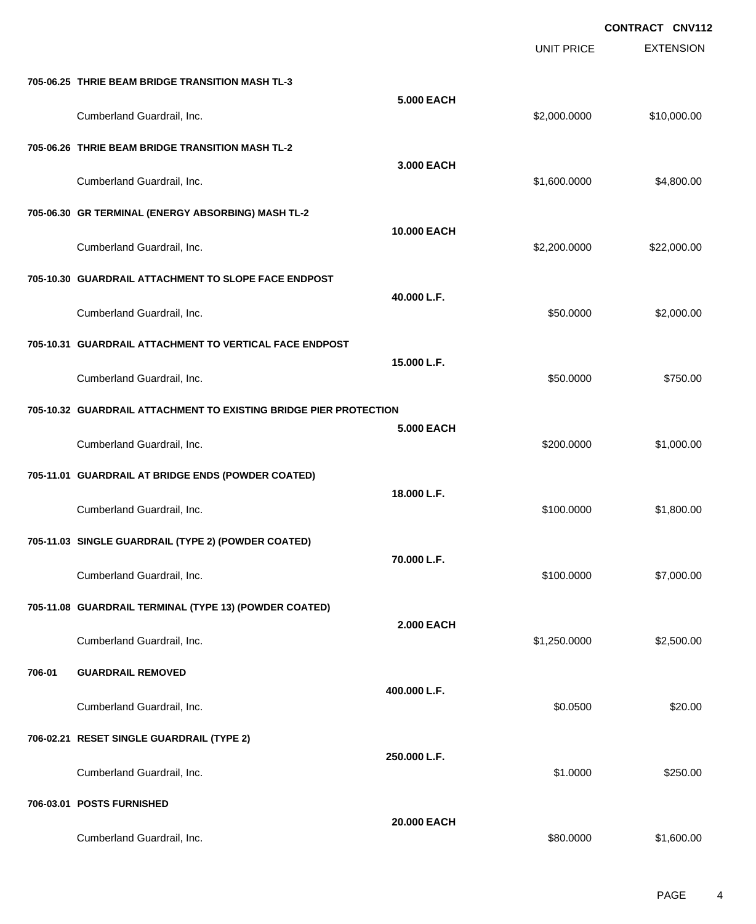|        |                                                                   |                   |                   | CONTRACT CNV112  |
|--------|-------------------------------------------------------------------|-------------------|-------------------|------------------|
|        |                                                                   |                   | <b>UNIT PRICE</b> | <b>EXTENSION</b> |
|        | 705-06.25 THRIE BEAM BRIDGE TRANSITION MASH TL-3                  |                   |                   |                  |
|        | Cumberland Guardrail, Inc.                                        | <b>5.000 EACH</b> | \$2,000.0000      | \$10,000.00      |
|        | 705-06.26 THRIE BEAM BRIDGE TRANSITION MASH TL-2                  |                   |                   |                  |
|        | Cumberland Guardrail, Inc.                                        | 3.000 EACH        | \$1,600.0000      | \$4,800.00       |
|        | 705-06.30 GR TERMINAL (ENERGY ABSORBING) MASH TL-2                |                   |                   |                  |
|        | Cumberland Guardrail, Inc.                                        | 10.000 EACH       | \$2,200.0000      | \$22,000.00      |
|        | 705-10.30 GUARDRAIL ATTACHMENT TO SLOPE FACE ENDPOST              |                   |                   |                  |
|        | Cumberland Guardrail, Inc.                                        | 40.000 L.F.       | \$50.0000         | \$2,000.00       |
|        | 705-10.31 GUARDRAIL ATTACHMENT TO VERTICAL FACE ENDPOST           |                   |                   |                  |
|        | Cumberland Guardrail, Inc.                                        | 15.000 L.F.       | \$50.0000         | \$750.00         |
|        | 705-10.32 GUARDRAIL ATTACHMENT TO EXISTING BRIDGE PIER PROTECTION |                   |                   |                  |
|        | Cumberland Guardrail, Inc.                                        | <b>5.000 EACH</b> | \$200.0000        | \$1,000.00       |
|        | 705-11.01 GUARDRAIL AT BRIDGE ENDS (POWDER COATED)                |                   |                   |                  |
|        | Cumberland Guardrail, Inc.                                        | 18.000 L.F.       | \$100.0000        | \$1,800.00       |
|        | 705-11.03 SINGLE GUARDRAIL (TYPE 2) (POWDER COATED)               |                   |                   |                  |
|        | Cumberland Guardrail, Inc.                                        | 70.000 L.F.       | \$100.0000        | \$7,000.00       |
|        | 705-11.08 GUARDRAIL TERMINAL (TYPE 13) (POWDER COATED)            |                   |                   |                  |
|        | Cumberland Guardrail, Inc.                                        | <b>2.000 EACH</b> | \$1,250.0000      | \$2,500.00       |
| 706-01 | <b>GUARDRAIL REMOVED</b>                                          |                   |                   |                  |
|        | Cumberland Guardrail, Inc.                                        | 400.000 L.F.      | \$0.0500          | \$20.00          |
|        | 706-02.21 RESET SINGLE GUARDRAIL (TYPE 2)                         |                   |                   |                  |
|        | Cumberland Guardrail, Inc.                                        | 250.000 L.F.      | \$1.0000          | \$250.00         |
|        | 706-03.01 POSTS FURNISHED                                         |                   |                   |                  |
|        | Cumberland Guardrail, Inc.                                        | 20.000 EACH       | \$80.0000         | \$1,600.00       |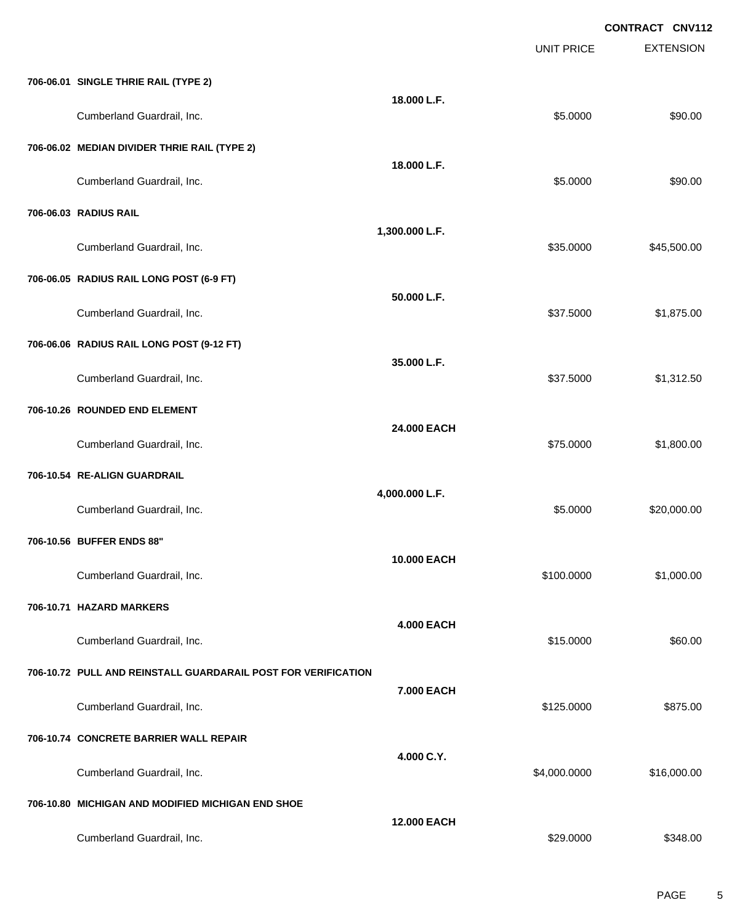|                                                               |                    | <b>UNIT PRICE</b> | <b>EXTENSION</b> |
|---------------------------------------------------------------|--------------------|-------------------|------------------|
| 706-06.01 SINGLE THRIE RAIL (TYPE 2)                          |                    |                   |                  |
| Cumberland Guardrail, Inc.                                    | 18.000 L.F.        | \$5.0000          | \$90.00          |
| 706-06.02 MEDIAN DIVIDER THRIE RAIL (TYPE 2)                  |                    |                   |                  |
| Cumberland Guardrail, Inc.                                    | 18.000 L.F.        | \$5.0000          | \$90.00          |
| 706-06.03 RADIUS RAIL                                         |                    |                   |                  |
| Cumberland Guardrail, Inc.                                    | 1,300.000 L.F.     | \$35.0000         | \$45,500.00      |
| 706-06.05 RADIUS RAIL LONG POST (6-9 FT)                      |                    |                   |                  |
| Cumberland Guardrail, Inc.                                    | 50.000 L.F.        | \$37.5000         | \$1,875.00       |
| 706-06.06 RADIUS RAIL LONG POST (9-12 FT)                     |                    |                   |                  |
| Cumberland Guardrail, Inc.                                    | 35.000 L.F.        | \$37.5000         | \$1,312.50       |
| 706-10.26 ROUNDED END ELEMENT                                 |                    |                   |                  |
| Cumberland Guardrail, Inc.                                    | 24.000 EACH        | \$75.0000         | \$1,800.00       |
| 706-10.54 RE-ALIGN GUARDRAIL                                  |                    |                   |                  |
| Cumberland Guardrail, Inc.                                    | 4,000.000 L.F.     | \$5.0000          | \$20,000.00      |
| 706-10.56 BUFFER ENDS 88"                                     | 10.000 EACH        |                   |                  |
| Cumberland Guardrail, Inc.                                    |                    | \$100.0000        | \$1,000.00       |
| 706-10.71 HAZARD MARKERS                                      | <b>4.000 EACH</b>  |                   |                  |
| Cumberland Guardrail, Inc.                                    |                    | \$15.0000         | \$60.00          |
| 706-10.72 PULL AND REINSTALL GUARDARAIL POST FOR VERIFICATION |                    |                   |                  |
| Cumberland Guardrail, Inc.                                    | 7.000 EACH         | \$125.0000        | \$875.00         |
| 706-10.74 CONCRETE BARRIER WALL REPAIR                        |                    |                   |                  |
| Cumberland Guardrail, Inc.                                    | 4.000 C.Y.         | \$4,000.0000      | \$16,000.00      |
| 706-10.80 MICHIGAN AND MODIFIED MICHIGAN END SHOE             |                    |                   |                  |
| Cumberland Guardrail, Inc.                                    | <b>12.000 EACH</b> | \$29.0000         | \$348.00         |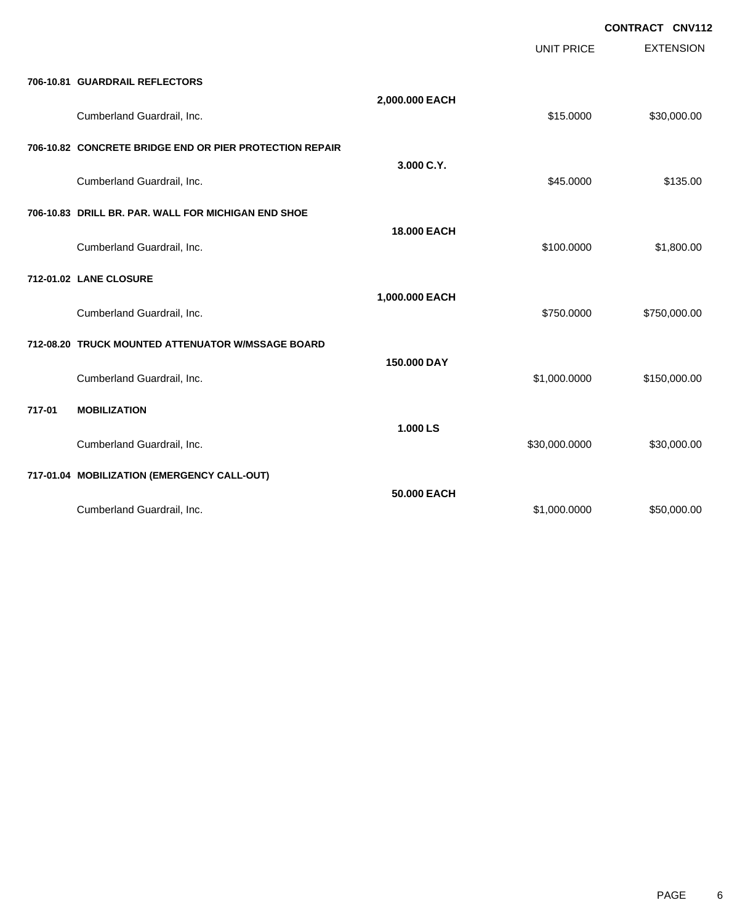|        |                                                         |                    | <b>UNIT PRICE</b> | <b>CONTRACT CNV112</b><br><b>EXTENSION</b> |
|--------|---------------------------------------------------------|--------------------|-------------------|--------------------------------------------|
|        | 706-10.81 GUARDRAIL REFLECTORS                          |                    |                   |                                            |
|        | Cumberland Guardrail, Inc.                              | 2,000.000 EACH     | \$15.0000         | \$30,000.00                                |
|        | 706-10.82 CONCRETE BRIDGE END OR PIER PROTECTION REPAIR | 3.000 C.Y.         |                   |                                            |
|        | Cumberland Guardrail, Inc.                              |                    | \$45.0000         | \$135.00                                   |
|        | 706-10.83 DRILL BR. PAR. WALL FOR MICHIGAN END SHOE     | <b>18.000 EACH</b> |                   |                                            |
|        | Cumberland Guardrail, Inc.                              |                    | \$100.0000        | \$1,800.00                                 |
|        | 712-01.02 LANE CLOSURE                                  |                    |                   |                                            |
|        | Cumberland Guardrail, Inc.                              | 1,000.000 EACH     | \$750.0000        | \$750,000.00                               |
|        | 712-08.20 TRUCK MOUNTED ATTENUATOR W/MSSAGE BOARD       |                    |                   |                                            |
|        | Cumberland Guardrail, Inc.                              | 150,000 DAY        | \$1,000.0000      | \$150,000.00                               |
| 717-01 | <b>MOBILIZATION</b>                                     | 1.000 LS           |                   |                                            |
|        | Cumberland Guardrail, Inc.                              |                    | \$30,000.0000     | \$30,000.00                                |
|        | 717-01.04 MOBILIZATION (EMERGENCY CALL-OUT)             |                    |                   |                                            |
|        | Cumberland Guardrail, Inc.                              | 50,000 EACH        | \$1,000.0000      | \$50,000.00                                |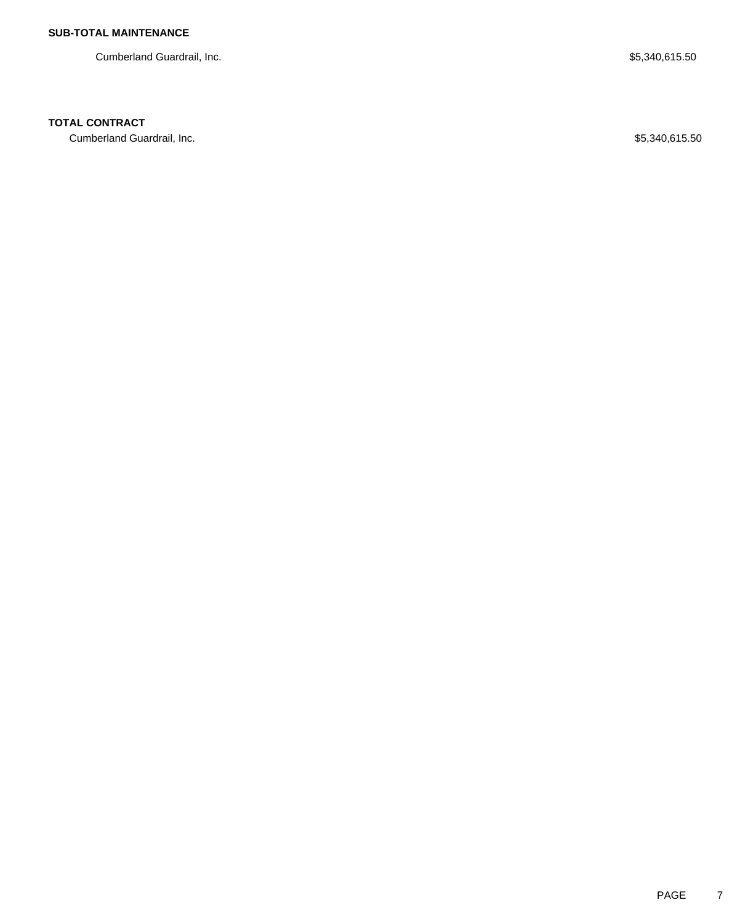Cumberland Guardrail, Inc. 65,340,615.50

### **TOTAL CONTRACT**

Cumberland Guardrail, Inc. 65,340,615.50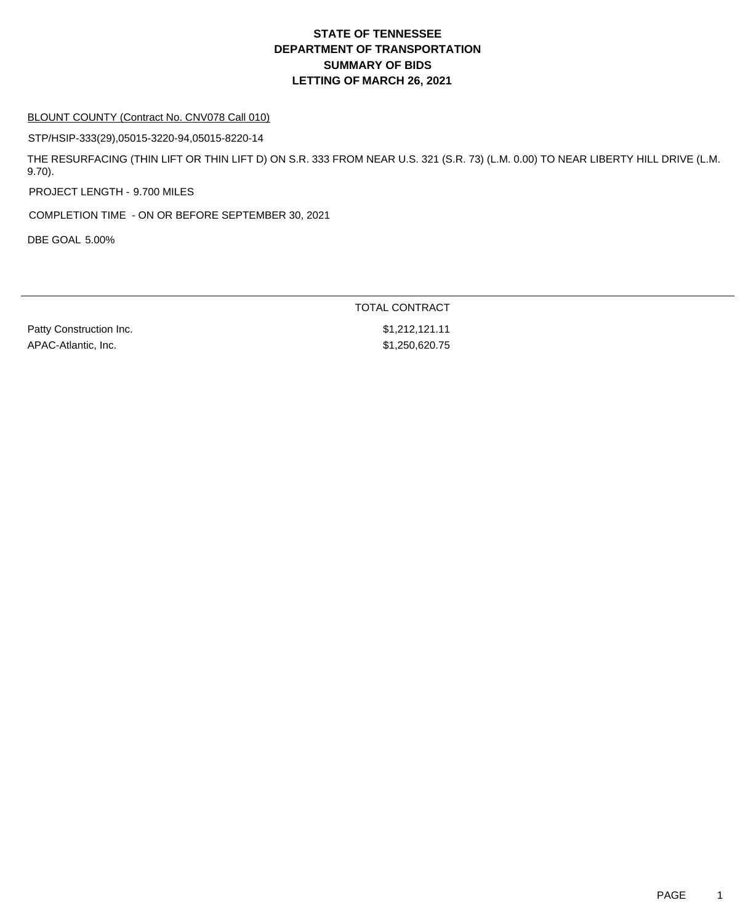#### BLOUNT COUNTY (Contract No. CNV078 Call 010)

STP/HSIP-333(29),05015-3220-94,05015-8220-14

THE RESURFACING (THIN LIFT OR THIN LIFT D) ON S.R. 333 FROM NEAR U.S. 321 (S.R. 73) (L.M. 0.00) TO NEAR LIBERTY HILL DRIVE (L.M. 9.70).

PROJECT LENGTH - 9.700 MILES

COMPLETION TIME - ON OR BEFORE SEPTEMBER 30, 2021

DBE GOAL 5.00%

TOTAL CONTRACT

Patty Construction Inc. 61,212,121.11 APAC-Atlantic, Inc. 631,250,620.75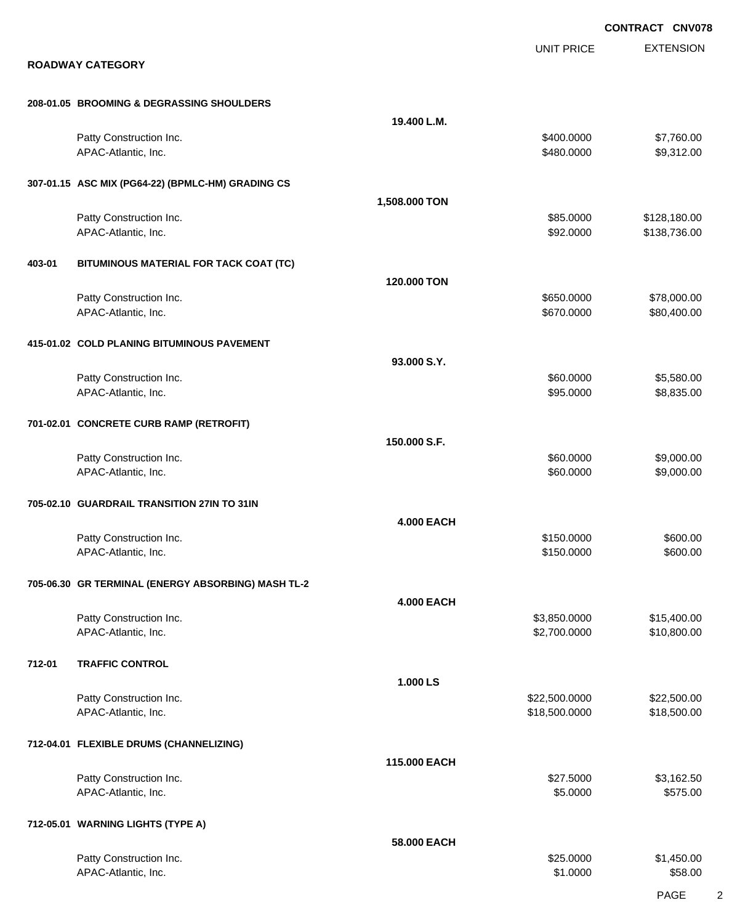|        |                                                    |                   | <b>CONTRACT CNV078</b>       |                              |
|--------|----------------------------------------------------|-------------------|------------------------------|------------------------------|
|        | <b>ROADWAY CATEGORY</b>                            |                   | UNIT PRICE                   | <b>EXTENSION</b>             |
|        | 208-01.05 BROOMING & DEGRASSING SHOULDERS          |                   |                              |                              |
|        |                                                    | 19.400 L.M.       |                              |                              |
|        | Patty Construction Inc.<br>APAC-Atlantic, Inc.     |                   | \$400.0000<br>\$480.0000     | \$7,760.00<br>\$9,312.00     |
|        | 307-01.15 ASC MIX (PG64-22) (BPMLC-HM) GRADING CS  |                   |                              |                              |
|        |                                                    | 1,508.000 TON     |                              |                              |
|        | Patty Construction Inc.<br>APAC-Atlantic, Inc.     |                   | \$85.0000<br>\$92.0000       | \$128,180.00<br>\$138,736.00 |
| 403-01 | BITUMINOUS MATERIAL FOR TACK COAT (TC)             |                   |                              |                              |
|        |                                                    | 120.000 TON       |                              |                              |
|        | Patty Construction Inc.<br>APAC-Atlantic, Inc.     |                   | \$650.0000<br>\$670.0000     | \$78,000.00<br>\$80,400.00   |
|        | 415-01.02 COLD PLANING BITUMINOUS PAVEMENT         |                   |                              |                              |
|        |                                                    | 93.000 S.Y.       |                              |                              |
|        | Patty Construction Inc.<br>APAC-Atlantic, Inc.     |                   | \$60.0000<br>\$95.0000       | \$5,580.00<br>\$8,835.00     |
|        | 701-02.01 CONCRETE CURB RAMP (RETROFIT)            |                   |                              |                              |
|        | Patty Construction Inc.                            | 150.000 S.F.      | \$60.0000                    | \$9,000.00                   |
|        | APAC-Atlantic, Inc.                                |                   | \$60.0000                    | \$9,000.00                   |
|        | 705-02.10 GUARDRAIL TRANSITION 27IN TO 31IN        |                   |                              |                              |
|        |                                                    | <b>4.000 EACH</b> |                              |                              |
|        | Patty Construction Inc.<br>APAC-Atlantic, Inc.     |                   | \$150.0000<br>\$150.0000     | \$600.00<br>\$600.00         |
|        | 705-06.30 GR TERMINAL (ENERGY ABSORBING) MASH TL-2 |                   |                              |                              |
|        |                                                    | <b>4.000 EACH</b> |                              |                              |
|        | Patty Construction Inc.<br>APAC-Atlantic, Inc.     |                   | \$3,850.0000<br>\$2,700.0000 | \$15,400.00<br>\$10,800.00   |
| 712-01 | <b>TRAFFIC CONTROL</b>                             |                   |                              |                              |
|        | Patty Construction Inc.                            | 1.000 LS          | \$22,500.0000                | \$22,500.00                  |
|        | APAC-Atlantic, Inc.                                |                   | \$18,500.0000                | \$18,500.00                  |
|        | 712-04.01 FLEXIBLE DRUMS (CHANNELIZING)            | 115.000 EACH      |                              |                              |
|        | Patty Construction Inc.                            |                   | \$27.5000                    | \$3,162.50                   |
|        | APAC-Atlantic, Inc.                                |                   | \$5.0000                     | \$575.00                     |
|        | 712-05.01 WARNING LIGHTS (TYPE A)                  |                   |                              |                              |
|        | Patty Construction Inc.                            | 58.000 EACH       | \$25.0000                    | \$1,450.00                   |
|        | APAC-Atlantic, Inc.                                |                   | \$1.0000                     | \$58.00                      |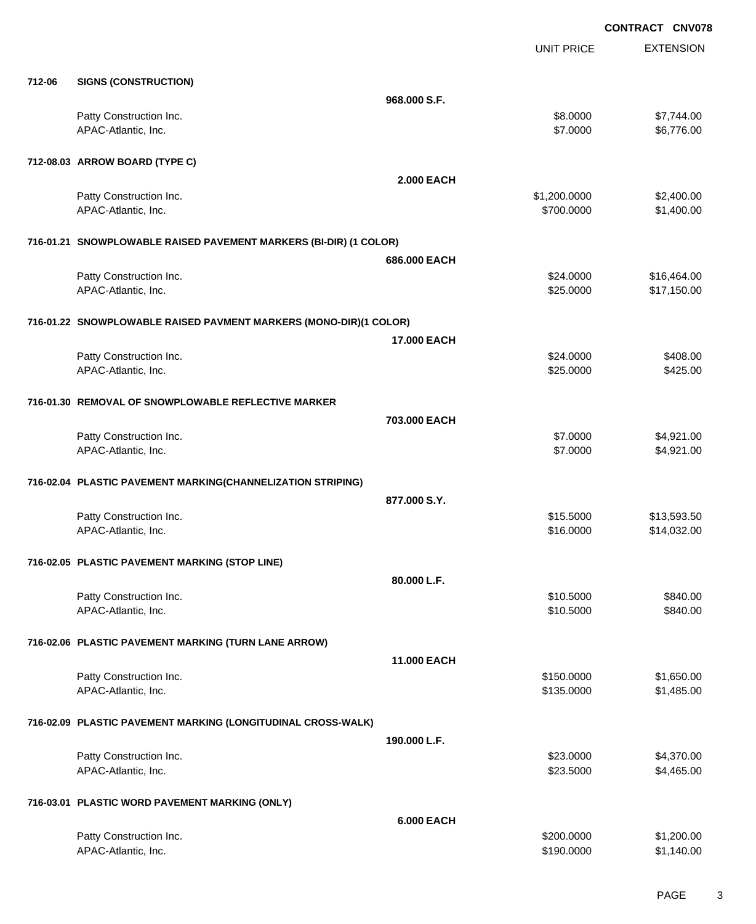EXTENSION **CONTRACT CNV078** UNIT PRICE **712-06 SIGNS (CONSTRUCTION) 968.000 S.F.** Patty Construction Inc. 63.0000 \$7,744.00 APAC-Atlantic, Inc. \$8,776.00 \$6,776.00 \$6,776.00 \$6,776.00 \$6,776.00 \$6,776.00 \$6,776.00 \$6,776.00 \$6,776.00 \$6,776 **712-08.03 ARROW BOARD (TYPE C) 2.000 EACH** Patty Construction Inc. 62,400.00 \$2,400.00 \$2,400.00 \$2,400.00 \$2,400.00 \$2,400.00 \$2,400.00 \$2,400.00 \$2,400 APAC-Atlantic, Inc. \$1,400.00 \$1,400.00 \$1,400.00 \$1,400.00 \$1,400.00 \$1,400.00 \$1,400.00 \$1,400.00 \$1,400.00 \$1,400.00 \$1,400.00 \$1,400.00 \$1,400.00 \$1,400.00 \$1,400.00 \$1,400.00 \$1,400.00 \$1,400.00 \$1,400.00 \$1,400.00 \$1 **716-01.21 SNOWPLOWABLE RAISED PAVEMENT MARKERS (BI-DIR) (1 COLOR) 686.000 EACH** Patty Construction Inc. 6. The Second Studies of the Second Studies of Second Studies of Second Studies Second Studies Second Studies Second Studies Second Studies Second Studies Second Studies Second Studies Second Studie APAC-Atlantic, Inc. \$25.0000 \$17,150.00 **716-01.22 SNOWPLOWABLE RAISED PAVMENT MARKERS (MONO-DIR)(1 COLOR) 17.000 EACH** Patty Construction Inc. \$24.0000 \$408.00 APAC-Atlantic, Inc. \$25.000 \$425.00 **716-01.30 REMOVAL OF SNOWPLOWABLE REFLECTIVE MARKER 703.000 EACH** Patty Construction Inc. 64,921.00 APAC-Atlantic, Inc. \$1,921.00 \$4,921.00 \$4,921.00 \$4,921.00 \$5,000 \$4,921.00 \$4,921.00 \$4,921.00 \$4,921.00 \$4,921.00 **716-02.04 PLASTIC PAVEMENT MARKING(CHANNELIZATION STRIPING) 877.000 S.Y.** Patty Construction Inc. 613,593.50 APAC-Atlantic, Inc. \$14,032.00 \$14,032.00

# **716-02.05 PLASTIC PAVEMENT MARKING (STOP LINE)**

| 716-02.05 PLASTIC PAVEMENT MARKING (STOP LINE)               |                    |            |            |
|--------------------------------------------------------------|--------------------|------------|------------|
|                                                              | 80.000 L.F.        |            |            |
| Patty Construction Inc.                                      |                    | \$10.5000  | \$840.00   |
| APAC-Atlantic, Inc.                                          |                    | \$10.5000  | \$840.00   |
| 716-02.06 PLASTIC PAVEMENT MARKING (TURN LANE ARROW)         |                    |            |            |
|                                                              | <b>11.000 EACH</b> |            |            |
| Patty Construction Inc.                                      |                    | \$150.0000 | \$1,650.00 |
| APAC-Atlantic, Inc.                                          |                    | \$135.0000 | \$1,485.00 |
| 716-02.09 PLASTIC PAVEMENT MARKING (LONGITUDINAL CROSS-WALK) |                    |            |            |
|                                                              | 190.000 L.F.       |            |            |
| Patty Construction Inc.                                      |                    | \$23.0000  | \$4,370.00 |
| APAC-Atlantic, Inc.                                          |                    | \$23.5000  | \$4,465.00 |
| 716-03.01 PLASTIC WORD PAVEMENT MARKING (ONLY)               |                    |            |            |
|                                                              | <b>6.000 EACH</b>  |            |            |
| Patty Construction Inc.                                      |                    | \$200,0000 | \$1,200.00 |

APAC-Atlantic, Inc. \$1,140.00 \$1,140.00 \$1,140.00 \$1,140.00 \$1,140.00 \$1,140.00 \$1,140.00 \$1,140.00 \$1,140.00 \$1,140.00 \$1,140.00 \$1,140.00 \$1,140.00 \$1,140.00 \$1,140.00 \$1,140.00 \$1,140.00 \$1,140.00 \$1,140.00 \$1,140.00 \$1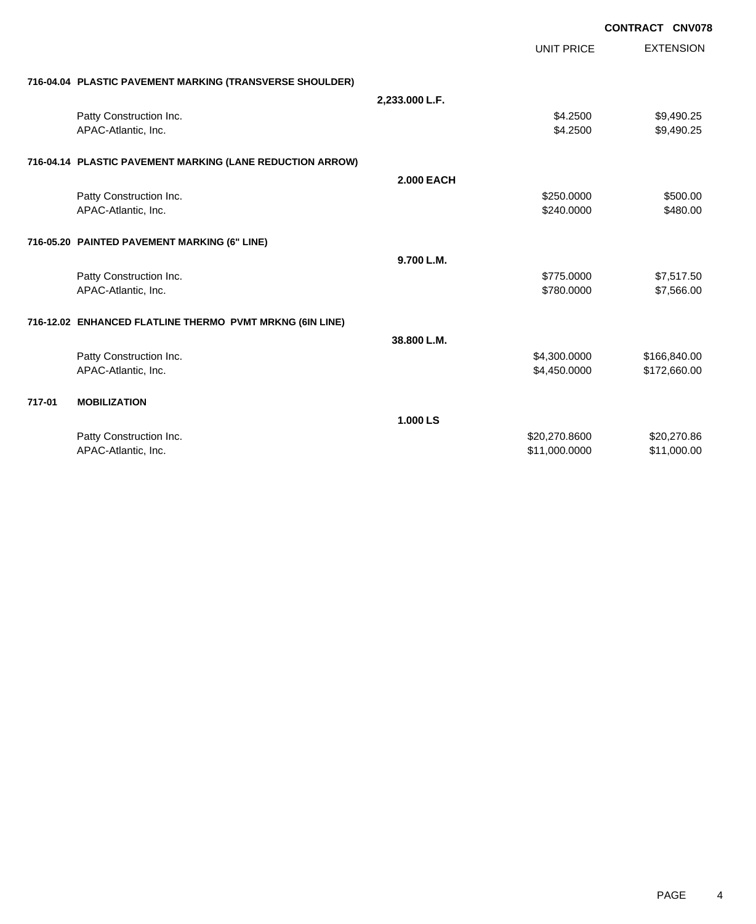|        |                                                           |                   |                   | <b>CONTRACT CNV078</b> |
|--------|-----------------------------------------------------------|-------------------|-------------------|------------------------|
|        |                                                           |                   | <b>UNIT PRICE</b> | <b>EXTENSION</b>       |
|        | 716-04.04 PLASTIC PAVEMENT MARKING (TRANSVERSE SHOULDER)  |                   |                   |                        |
|        |                                                           |                   |                   |                        |
|        |                                                           | 2,233.000 L.F.    |                   |                        |
|        | Patty Construction Inc.                                   |                   | \$4.2500          | \$9,490.25             |
|        | APAC-Atlantic, Inc.                                       |                   | \$4.2500          | \$9,490.25             |
|        | 716-04.14 PLASTIC PAVEMENT MARKING (LANE REDUCTION ARROW) |                   |                   |                        |
|        |                                                           | <b>2.000 EACH</b> |                   |                        |
|        | Patty Construction Inc.                                   |                   | \$250.0000        | \$500.00               |
|        | APAC-Atlantic, Inc.                                       |                   | \$240.0000        | \$480.00               |
|        |                                                           |                   |                   |                        |
|        | 716-05.20 PAINTED PAVEMENT MARKING (6" LINE)              |                   |                   |                        |
|        |                                                           | 9.700 L.M.        |                   |                        |
|        | Patty Construction Inc.                                   |                   | \$775.0000        | \$7,517.50             |
|        | APAC-Atlantic, Inc.                                       |                   | \$780.0000        | \$7,566.00             |
|        |                                                           |                   |                   |                        |
|        | 716-12.02 ENHANCED FLATLINE THERMO PVMT MRKNG (6IN LINE)  |                   |                   |                        |
|        |                                                           | 38.800 L.M.       |                   |                        |
|        | Patty Construction Inc.                                   |                   | \$4,300.0000      | \$166,840.00           |
|        | APAC-Atlantic, Inc.                                       |                   | \$4,450.0000      | \$172,660.00           |
|        |                                                           |                   |                   |                        |
| 717-01 | <b>MOBILIZATION</b>                                       |                   |                   |                        |
|        |                                                           | 1.000 LS          |                   |                        |
|        | Patty Construction Inc.                                   |                   | \$20,270.8600     | \$20,270.86            |
|        | APAC-Atlantic, Inc.                                       |                   | \$11,000.0000     | \$11.000.00            |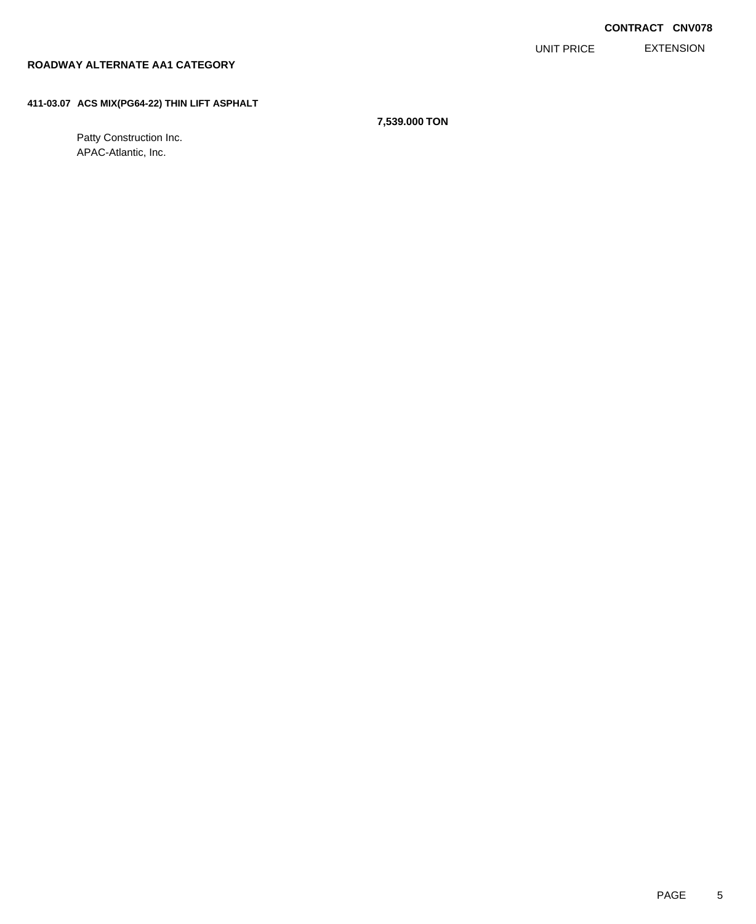EXTENSION UNIT PRICE

#### **ROADWAY ALTERNATE AA1 CATEGORY**

#### **411-03.07 ACS MIX(PG64-22) THIN LIFT ASPHALT**

Patty Construction Inc. APAC-Atlantic, Inc.

**7,539.000 TON**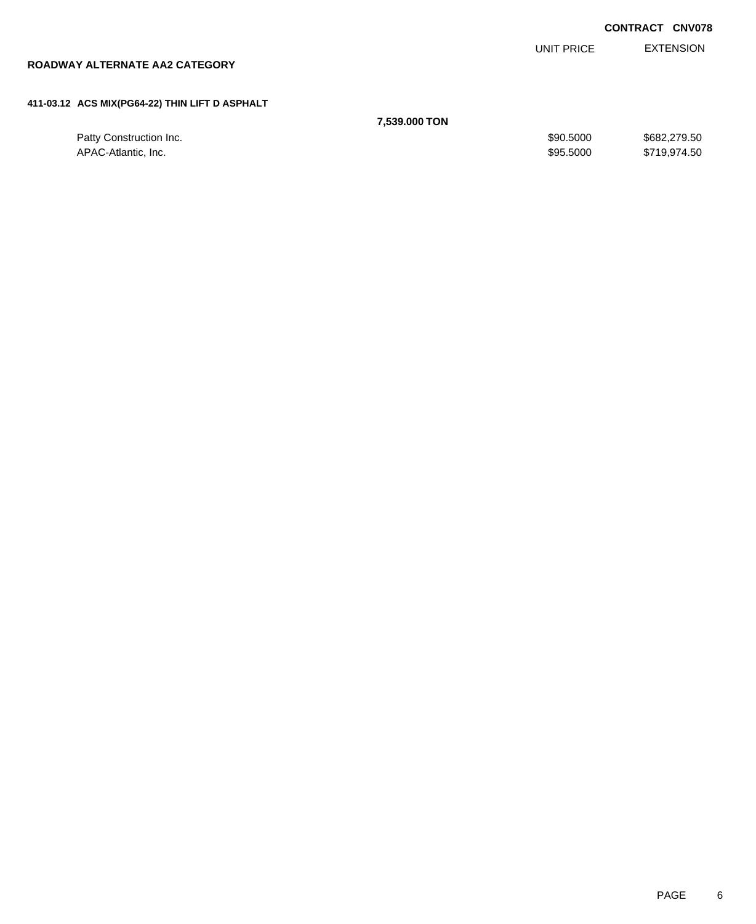|                                                |               |            | <b>CONTRACT CNV078</b> |
|------------------------------------------------|---------------|------------|------------------------|
|                                                |               | UNIT PRICE | <b>EXTENSION</b>       |
| ROADWAY ALTERNATE AA2 CATEGORY                 |               |            |                        |
|                                                |               |            |                        |
| 411-03.12 ACS MIX(PG64-22) THIN LIFT D ASPHALT |               |            |                        |
|                                                | 7,539,000 TON |            |                        |
| Patty Construction Inc.                        |               | \$90,5000  | \$682,279.50           |

APAC-Atlantic, Inc. \$95.5000 \$719,974.50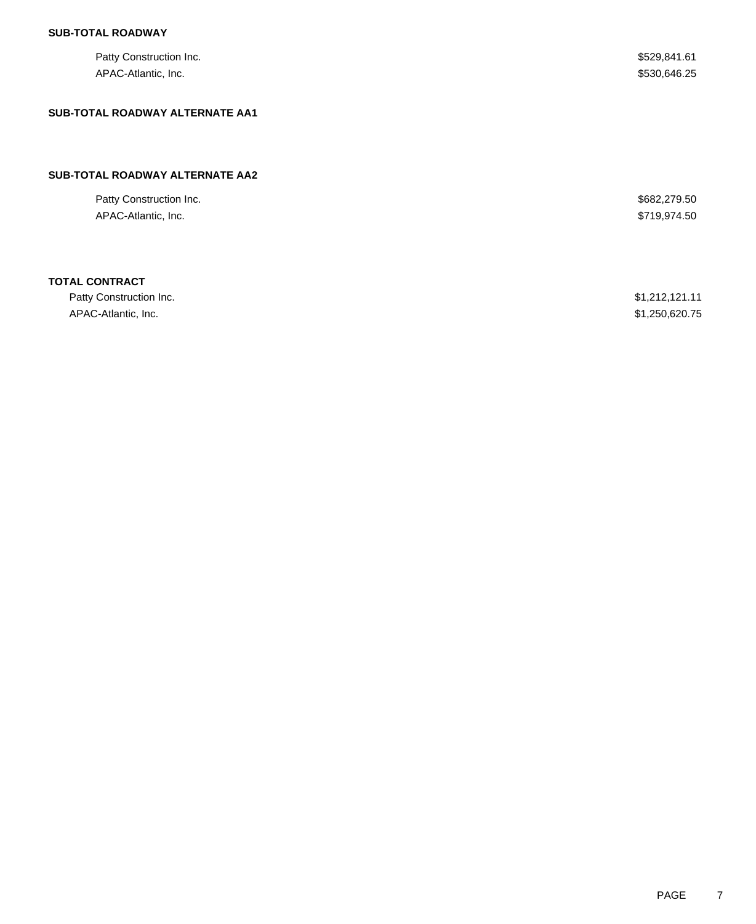| Patty Construction Inc.<br>APAC-Atlantic, Inc. | \$529,841.61<br>\$530,646.25 |
|------------------------------------------------|------------------------------|
| <b>SUB-TOTAL ROADWAY ALTERNATE AA1</b>         |                              |
| SUB-TOTAL ROADWAY ALTERNATE AA2                |                              |
| Patty Construction Inc.<br>APAC-Atlantic, Inc. | \$682,279.50<br>\$719,974.50 |
| <b>TOTAL CONTRACT</b>                          |                              |

| Patty Construction Inc. | \$1,212,121.11 |
|-------------------------|----------------|
| APAC-Atlantic, Inc.     | \$1,250,620.75 |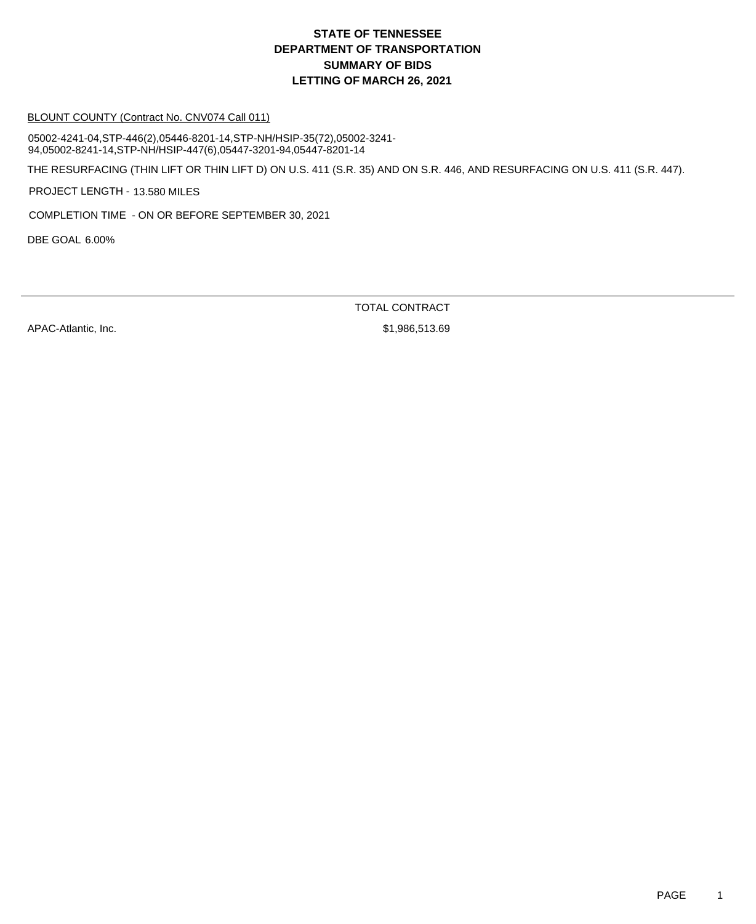#### BLOUNT COUNTY (Contract No. CNV074 Call 011)

05002-4241-04,STP-446(2),05446-8201-14,STP-NH/HSIP-35(72),05002-3241- 94,05002-8241-14,STP-NH/HSIP-447(6),05447-3201-94,05447-8201-14

THE RESURFACING (THIN LIFT OR THIN LIFT D) ON U.S. 411 (S.R. 35) AND ON S.R. 446, AND RESURFACING ON U.S. 411 (S.R. 447).

PROJECT LENGTH - 13.580 MILES

COMPLETION TIME - ON OR BEFORE SEPTEMBER 30, 2021

DBE GOAL 6.00%

TOTAL CONTRACT

APAC-Atlantic, Inc. \$1,986,513.69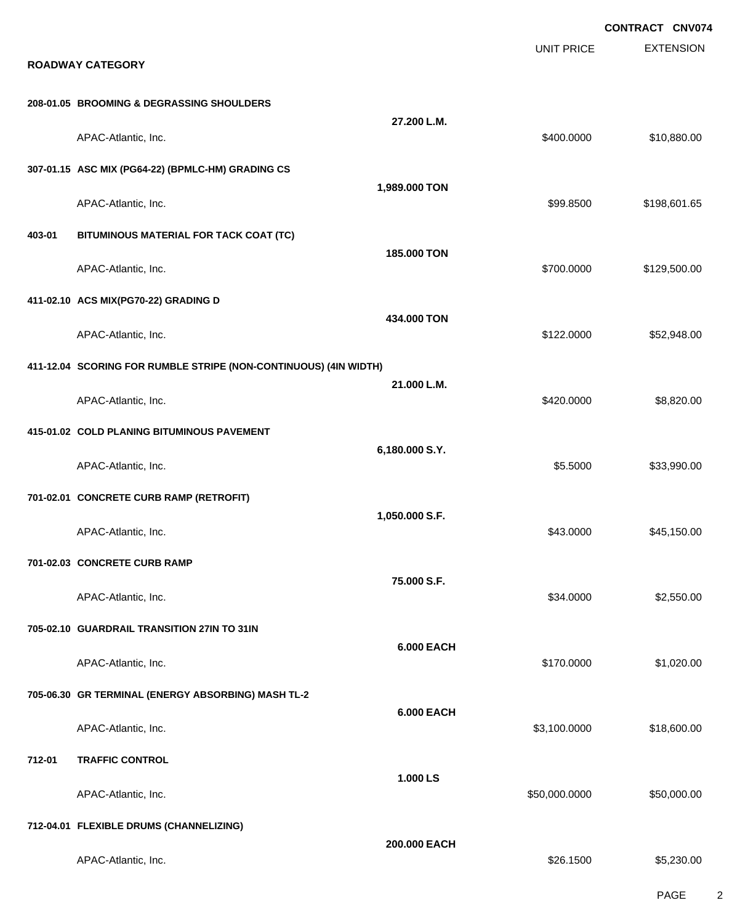|        |                                                                  |                   |                   | <b>CONTRACT CNV074</b> |
|--------|------------------------------------------------------------------|-------------------|-------------------|------------------------|
|        | <b>ROADWAY CATEGORY</b>                                          |                   | <b>UNIT PRICE</b> | <b>EXTENSION</b>       |
|        | 208-01.05 BROOMING & DEGRASSING SHOULDERS                        |                   |                   |                        |
|        | APAC-Atlantic, Inc.                                              | 27.200 L.M.       | \$400.0000        | \$10,880.00            |
|        | 307-01.15 ASC MIX (PG64-22) (BPMLC-HM) GRADING CS                |                   |                   |                        |
|        | APAC-Atlantic, Inc.                                              | 1,989.000 TON     | \$99.8500         | \$198,601.65           |
| 403-01 | BITUMINOUS MATERIAL FOR TACK COAT (TC)                           |                   |                   |                        |
|        | APAC-Atlantic, Inc.                                              | 185.000 TON       | \$700.0000        | \$129,500.00           |
|        | 411-02.10 ACS MIX(PG70-22) GRADING D                             |                   |                   |                        |
|        | APAC-Atlantic, Inc.                                              | 434.000 TON       | \$122.0000        | \$52,948.00            |
|        | 411-12.04 SCORING FOR RUMBLE STRIPE (NON-CONTINUOUS) (4IN WIDTH) |                   |                   |                        |
|        | APAC-Atlantic, Inc.                                              | 21.000 L.M.       | \$420.0000        | \$8,820.00             |
|        | 415-01.02 COLD PLANING BITUMINOUS PAVEMENT                       |                   |                   |                        |
|        | APAC-Atlantic, Inc.                                              | 6,180.000 S.Y.    | \$5.5000          | \$33,990.00            |
|        | 701-02.01 CONCRETE CURB RAMP (RETROFIT)                          |                   |                   |                        |
|        | APAC-Atlantic, Inc.                                              | 1,050.000 S.F.    | \$43.0000         | \$45,150.00            |
|        | 701-02.03 CONCRETE CURB RAMP                                     |                   |                   |                        |
|        | APAC-Atlantic, Inc.                                              | 75.000 S.F.       | \$34.0000         | \$2,550.00             |
|        | 705-02.10 GUARDRAIL TRANSITION 27IN TO 31IN                      |                   |                   |                        |
|        | APAC-Atlantic, Inc.                                              | <b>6.000 EACH</b> | \$170.0000        | \$1,020.00             |
|        | 705-06.30 GR TERMINAL (ENERGY ABSORBING) MASH TL-2               |                   |                   |                        |
|        | APAC-Atlantic, Inc.                                              | <b>6.000 EACH</b> | \$3,100.0000      | \$18,600.00            |
| 712-01 | <b>TRAFFIC CONTROL</b>                                           |                   |                   |                        |
|        | APAC-Atlantic, Inc.                                              | 1.000 LS          | \$50,000.0000     | \$50,000.00            |
|        | 712-04.01 FLEXIBLE DRUMS (CHANNELIZING)                          |                   |                   |                        |
|        | APAC-Atlantic, Inc.                                              | 200.000 EACH      | \$26.1500         | \$5,230.00             |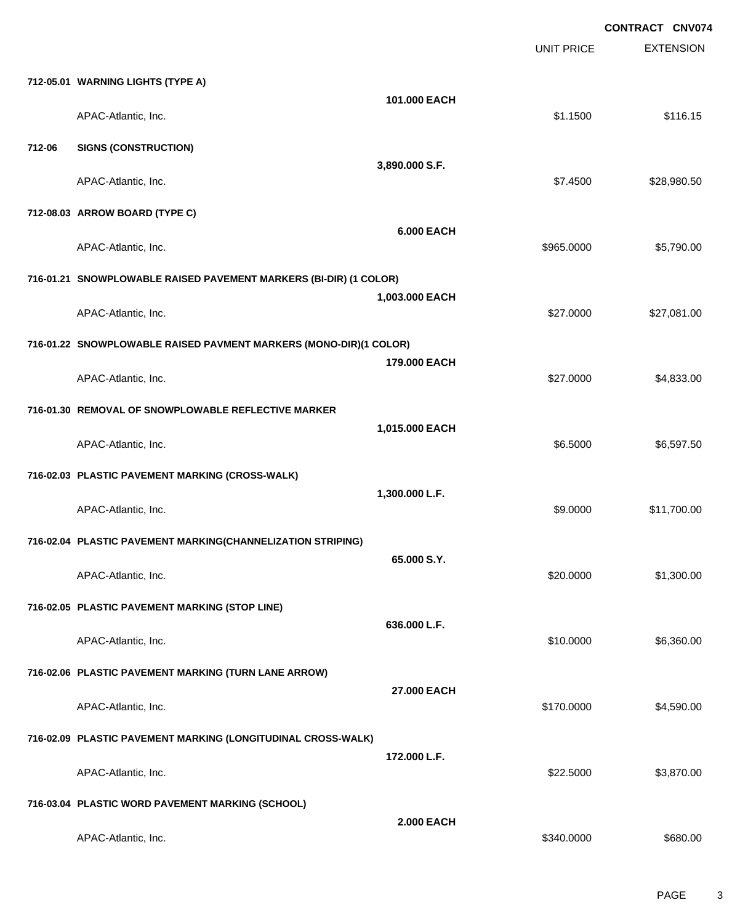|        |                                                                   |                   | <b>UNIT PRICE</b> | <b>CONTRACT CNV074</b><br><b>EXTENSION</b> |
|--------|-------------------------------------------------------------------|-------------------|-------------------|--------------------------------------------|
|        | 712-05.01 WARNING LIGHTS (TYPE A)                                 |                   |                   |                                            |
|        | APAC-Atlantic, Inc.                                               | 101.000 EACH      | \$1.1500          | \$116.15                                   |
| 712-06 | <b>SIGNS (CONSTRUCTION)</b>                                       |                   |                   |                                            |
|        | APAC-Atlantic, Inc.                                               | 3,890.000 S.F.    | \$7.4500          | \$28,980.50                                |
|        | 712-08.03 ARROW BOARD (TYPE C)                                    |                   |                   |                                            |
|        | APAC-Atlantic, Inc.                                               | <b>6.000 EACH</b> | \$965.0000        | \$5,790.00                                 |
|        | 716-01.21 SNOWPLOWABLE RAISED PAVEMENT MARKERS (BI-DIR) (1 COLOR) |                   |                   |                                            |
|        | APAC-Atlantic, Inc.                                               | 1,003.000 EACH    | \$27.0000         | \$27,081.00                                |
|        | 716-01.22 SNOWPLOWABLE RAISED PAVMENT MARKERS (MONO-DIR)(1 COLOR) |                   |                   |                                            |
|        | APAC-Atlantic, Inc.                                               | 179.000 EACH      | \$27.0000         | \$4,833.00                                 |
|        | 716-01.30 REMOVAL OF SNOWPLOWABLE REFLECTIVE MARKER               |                   |                   |                                            |
|        | APAC-Atlantic, Inc.                                               | 1,015.000 EACH    | \$6.5000          | \$6,597.50                                 |
|        | 716-02.03 PLASTIC PAVEMENT MARKING (CROSS-WALK)                   |                   |                   |                                            |
|        | APAC-Atlantic, Inc.                                               | 1,300.000 L.F.    | \$9.0000          | \$11,700.00                                |
|        | 716-02.04 PLASTIC PAVEMENT MARKING(CHANNELIZATION STRIPING)       |                   |                   |                                            |
|        | APAC-Atlantic, Inc.                                               | 65.000 S.Y.       | \$20.0000         | \$1,300.00                                 |
|        | 716-02.05 PLASTIC PAVEMENT MARKING (STOP LINE)                    |                   |                   |                                            |
|        | APAC-Atlantic, Inc.                                               | 636.000 L.F.      | \$10.0000         | \$6,360.00                                 |
|        | 716-02.06 PLASTIC PAVEMENT MARKING (TURN LANE ARROW)              |                   |                   |                                            |
|        | APAC-Atlantic, Inc.                                               | 27.000 EACH       | \$170.0000        | \$4,590.00                                 |
|        | 716-02.09 PLASTIC PAVEMENT MARKING (LONGITUDINAL CROSS-WALK)      |                   |                   |                                            |
|        | APAC-Atlantic, Inc.                                               | 172.000 L.F.      | \$22.5000         | \$3,870.00                                 |
|        | 716-03.04 PLASTIC WORD PAVEMENT MARKING (SCHOOL)                  |                   |                   |                                            |
|        | APAC-Atlantic, Inc.                                               | <b>2.000 EACH</b> | \$340.0000        | \$680.00                                   |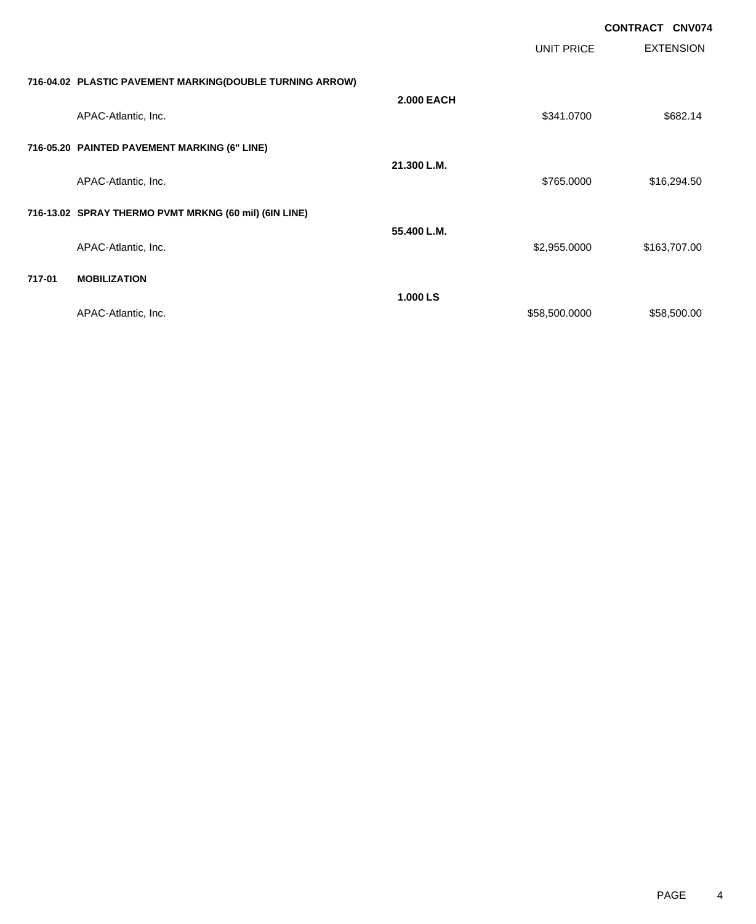|        |                                                          |                   |                   | <b>CONTRACT CNV074</b> |
|--------|----------------------------------------------------------|-------------------|-------------------|------------------------|
|        |                                                          |                   | <b>UNIT PRICE</b> | <b>EXTENSION</b>       |
|        | 716-04.02 PLASTIC PAVEMENT MARKING(DOUBLE TURNING ARROW) |                   |                   |                        |
|        | APAC-Atlantic, Inc.                                      | <b>2.000 EACH</b> | \$341.0700        | \$682.14               |
|        | 716-05.20 PAINTED PAVEMENT MARKING (6" LINE)             |                   |                   |                        |
|        | APAC-Atlantic, Inc.                                      | 21.300 L.M.       | \$765.0000        | \$16,294.50            |
|        | 716-13.02 SPRAY THERMO PVMT MRKNG (60 mil) (6IN LINE)    |                   |                   |                        |
|        | APAC-Atlantic, Inc.                                      | 55.400 L.M.       | \$2,955.0000      | \$163,707.00           |
| 717-01 | <b>MOBILIZATION</b>                                      |                   |                   |                        |
|        | APAC-Atlantic, Inc.                                      | 1.000 LS          | \$58,500.0000     | \$58,500.00            |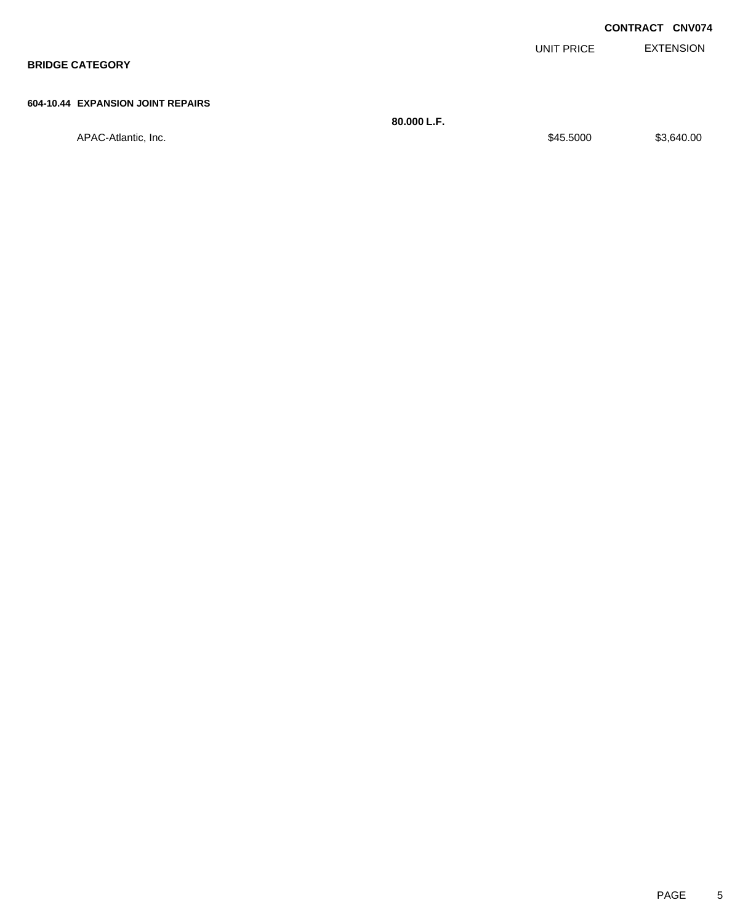|                                   |            | <b>CONTRACT CNV074</b> |
|-----------------------------------|------------|------------------------|
|                                   | UNIT PRICE | <b>EXTENSION</b>       |
| <b>BRIDGE CATEGORY</b>            |            |                        |
|                                   |            |                        |
| 604-10.44 EXPANSION JOINT REPAIRS |            |                        |

**80.000 L.F.** APAC-Atlantic, Inc. \$3,640.00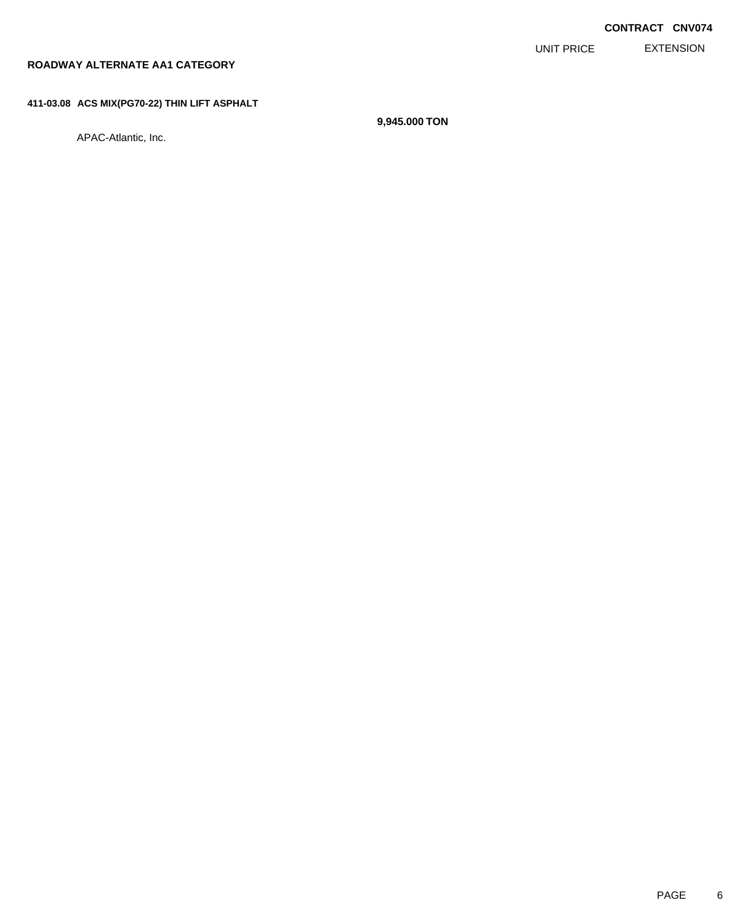EXTENSION UNIT PRICE

#### **ROADWAY ALTERNATE AA1 CATEGORY**

#### **411-03.08 ACS MIX(PG70-22) THIN LIFT ASPHALT**

APAC-Atlantic, Inc.

**9,945.000 TON**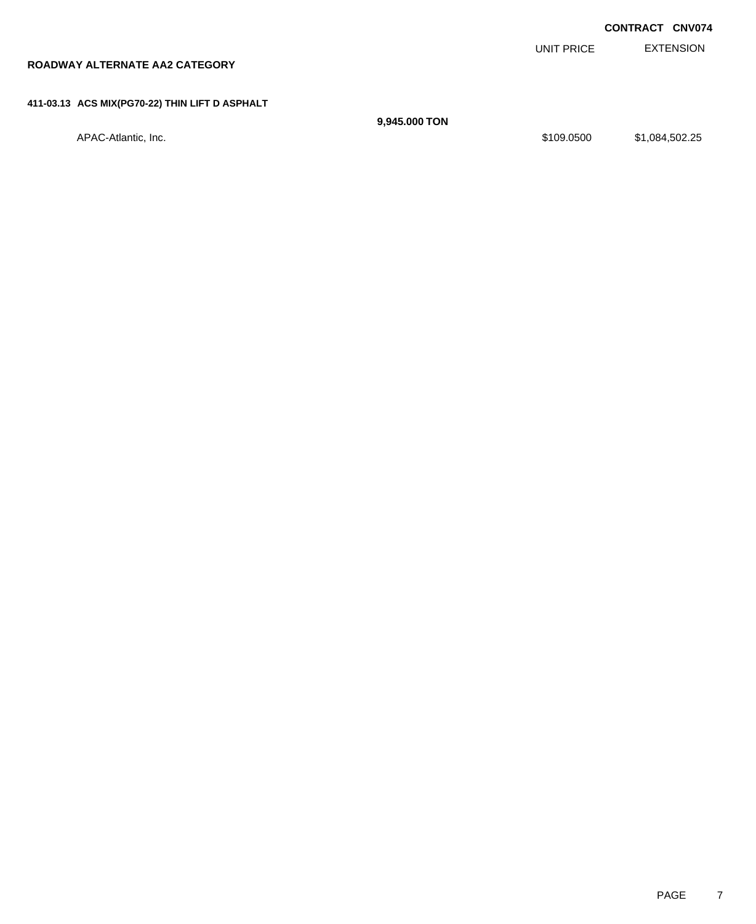EXTENSION **CONTRACT CNV074** UNIT PRICE **ROADWAY ALTERNATE AA2 CATEGORY 411-03.13 ACS MIX(PG70-22) THIN LIFT D ASPHALT 9,945.000 TON** APAC-Atlantic, Inc. \$1,084,502.25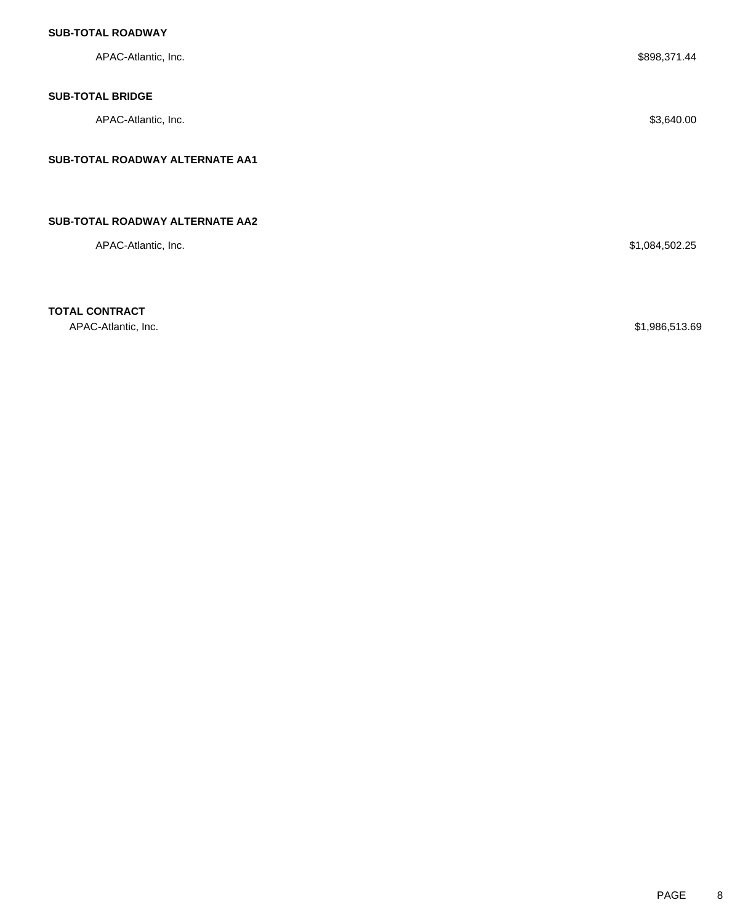| APAC-Atlantic, Inc.             | \$898,371.44   |  |
|---------------------------------|----------------|--|
| <b>SUB-TOTAL BRIDGE</b>         |                |  |
| APAC-Atlantic, Inc.             | \$3,640.00     |  |
| SUB-TOTAL ROADWAY ALTERNATE AA1 |                |  |
|                                 |                |  |
| SUB-TOTAL ROADWAY ALTERNATE AA2 |                |  |
| APAC-Atlantic, Inc.             | \$1,084,502.25 |  |
|                                 |                |  |

**TOTAL CONTRACT**

APAC-Atlantic, Inc. \$1,986,513.69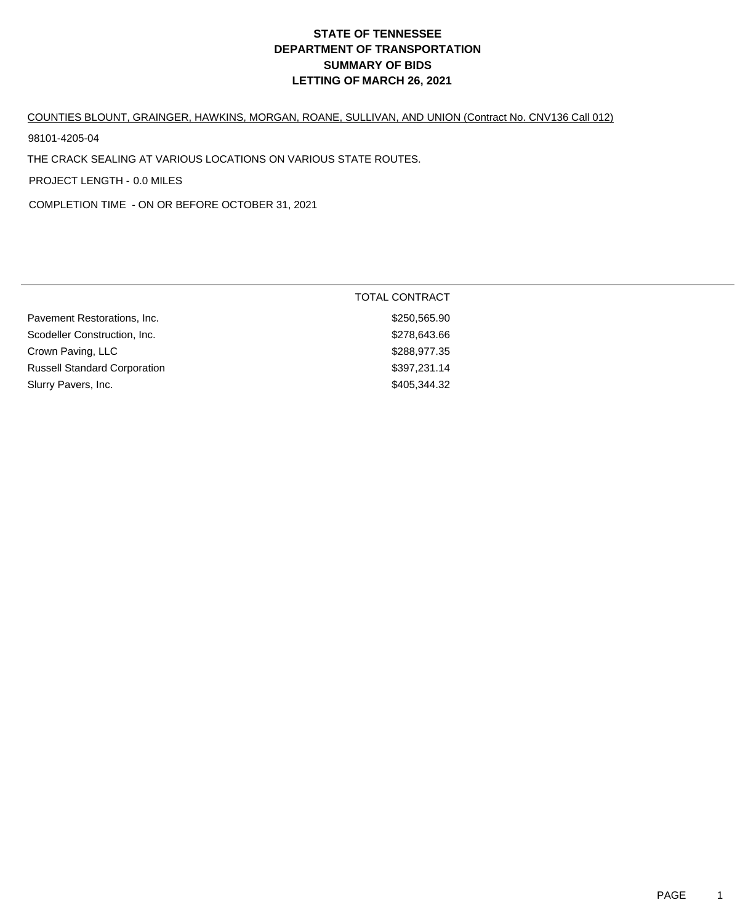#### COUNTIES BLOUNT, GRAINGER, HAWKINS, MORGAN, ROANE, SULLIVAN, AND UNION (Contract No. CNV136 Call 012)

98101-4205-04

THE CRACK SEALING AT VARIOUS LOCATIONS ON VARIOUS STATE ROUTES.

PROJECT LENGTH - 0.0 MILES

COMPLETION TIME - ON OR BEFORE OCTOBER 31, 2021

|                                     | <b>TOTAL CONTRACT</b> |  |
|-------------------------------------|-----------------------|--|
| Pavement Restorations, Inc.         | \$250,565.90          |  |
| Scodeller Construction, Inc.        | \$278,643.66          |  |
| Crown Paving, LLC                   | \$288,977.35          |  |
| <b>Russell Standard Corporation</b> | \$397,231.14          |  |
| Slurry Pavers, Inc.                 | \$405,344.32          |  |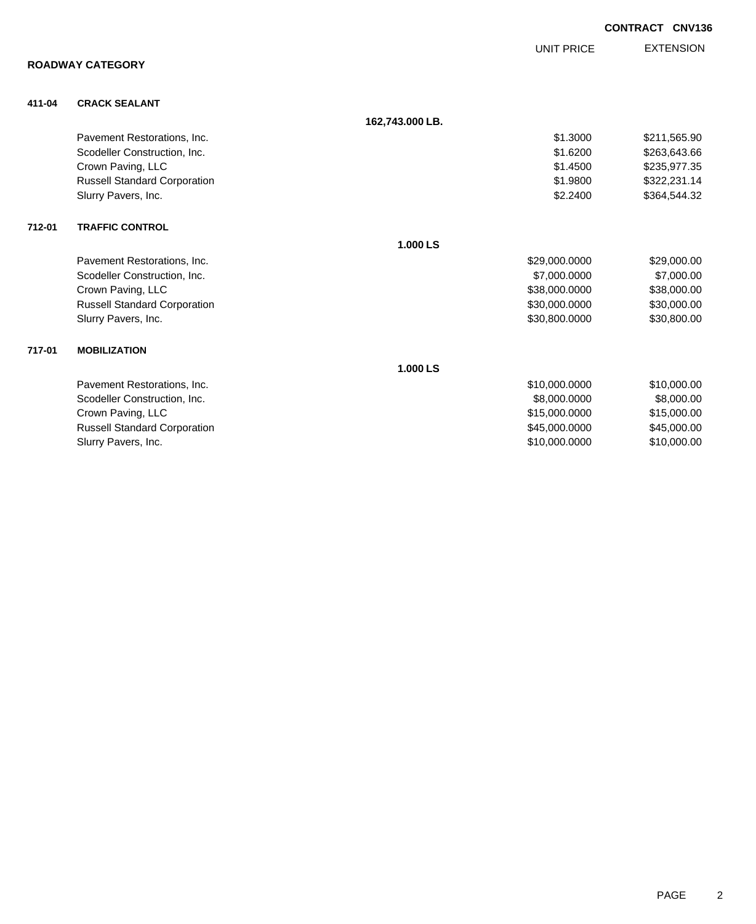|        |                                     |                 |                   | <b>CONTRACT CNV136</b> |
|--------|-------------------------------------|-----------------|-------------------|------------------------|
|        |                                     |                 | <b>UNIT PRICE</b> | <b>EXTENSION</b>       |
|        | <b>ROADWAY CATEGORY</b>             |                 |                   |                        |
| 411-04 | <b>CRACK SEALANT</b>                |                 |                   |                        |
|        |                                     | 162,743.000 LB. |                   |                        |
|        | Pavement Restorations, Inc.         |                 | \$1.3000          | \$211,565.90           |
|        | Scodeller Construction, Inc.        |                 | \$1.6200          | \$263,643.66           |
|        | Crown Paving, LLC                   |                 | \$1.4500          | \$235,977.35           |
|        | <b>Russell Standard Corporation</b> |                 | \$1.9800          | \$322,231.14           |
|        | Slurry Pavers, Inc.                 |                 | \$2.2400          | \$364,544.32           |
| 712-01 | <b>TRAFFIC CONTROL</b>              |                 |                   |                        |
|        |                                     | 1.000 LS        |                   |                        |
|        | Pavement Restorations, Inc.         |                 | \$29,000.0000     | \$29,000.00            |
|        | Scodeller Construction, Inc.        |                 | \$7,000.0000      | \$7,000.00             |
|        | Crown Paving, LLC                   |                 | \$38,000.0000     | \$38,000.00            |
|        | <b>Russell Standard Corporation</b> |                 | \$30,000.0000     | \$30,000.00            |
|        | Slurry Pavers, Inc.                 |                 | \$30,800.0000     | \$30,800.00            |
| 717-01 | <b>MOBILIZATION</b>                 |                 |                   |                        |
|        |                                     | 1.000 LS        |                   |                        |
|        | Pavement Restorations, Inc.         |                 | \$10,000.0000     | \$10,000.00            |
|        | Scodeller Construction, Inc.        |                 | \$8,000.0000      | \$8,000.00             |
|        | Crown Paving, LLC                   |                 | \$15,000.0000     | \$15,000.00            |
|        | <b>Russell Standard Corporation</b> |                 | \$45,000.0000     | \$45,000.00            |
|        | Slurry Pavers, Inc.                 |                 | \$10,000.0000     | \$10,000.00            |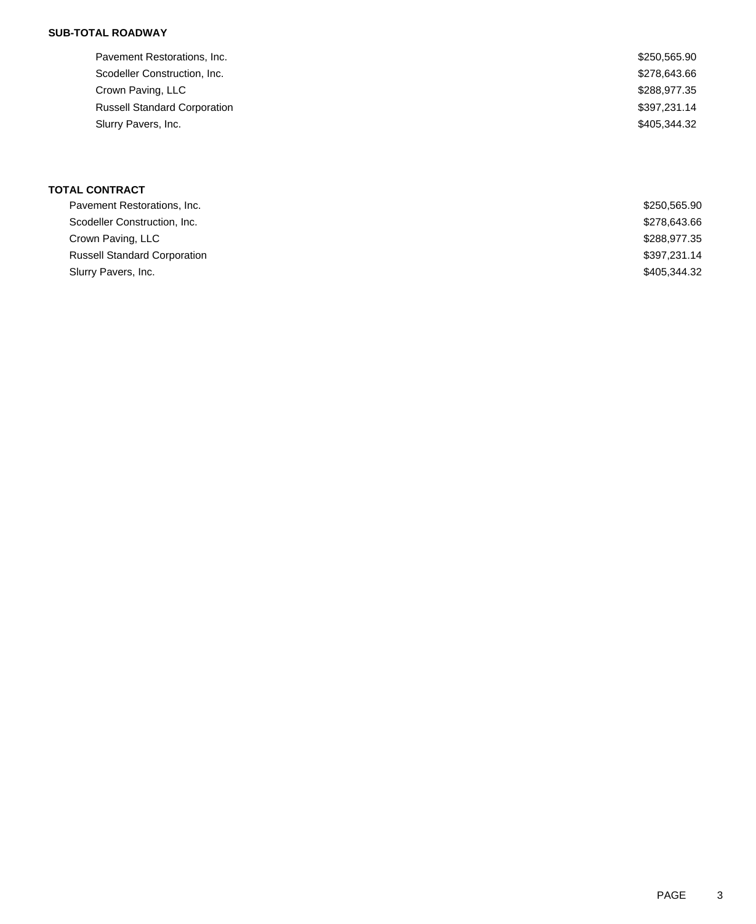| Pavement Restorations, Inc.         | \$250,565.90 |
|-------------------------------------|--------------|
| Scodeller Construction, Inc.        | \$278,643.66 |
| Crown Paving, LLC                   | \$288,977.35 |
| <b>Russell Standard Corporation</b> | \$397,231.14 |
| Slurry Pavers, Inc.                 | \$405,344.32 |

## **TOTAL CONTRACT**

| Pavement Restorations, Inc.         | \$250,565.90 |
|-------------------------------------|--------------|
| Scodeller Construction, Inc.        | \$278,643.66 |
| Crown Paving, LLC                   | \$288,977.35 |
| <b>Russell Standard Corporation</b> | \$397,231.14 |
| Slurry Pavers, Inc.                 | \$405,344.32 |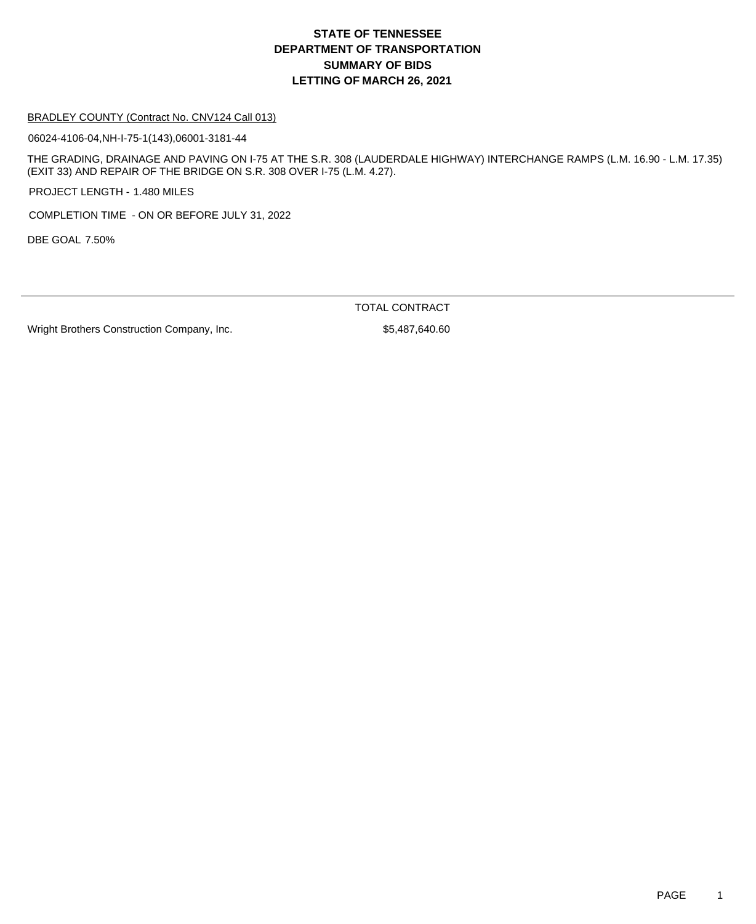#### BRADLEY COUNTY (Contract No. CNV124 Call 013)

06024-4106-04,NH-I-75-1(143),06001-3181-44

THE GRADING, DRAINAGE AND PAVING ON I-75 AT THE S.R. 308 (LAUDERDALE HIGHWAY) INTERCHANGE RAMPS (L.M. 16.90 - L.M. 17.35) (EXIT 33) AND REPAIR OF THE BRIDGE ON S.R. 308 OVER I-75 (L.M. 4.27).

PROJECT LENGTH - 1.480 MILES

COMPLETION TIME - ON OR BEFORE JULY 31, 2022

DBE GOAL 7.50%

TOTAL CONTRACT

Wright Brothers Construction Company, Inc.  $$5,487,640.60$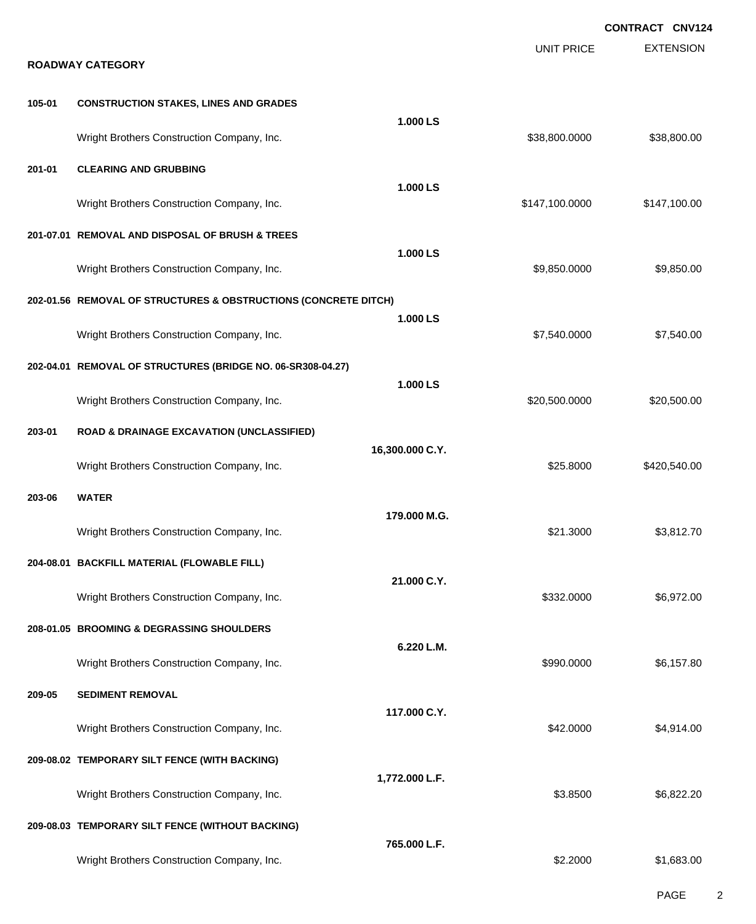|        |                                                                 |                 |                   | <b>CONTRACT CNV124</b> |
|--------|-----------------------------------------------------------------|-----------------|-------------------|------------------------|
|        | <b>ROADWAY CATEGORY</b>                                         |                 | <b>UNIT PRICE</b> | <b>EXTENSION</b>       |
| 105-01 | <b>CONSTRUCTION STAKES, LINES AND GRADES</b>                    |                 |                   |                        |
|        |                                                                 | 1.000 LS        |                   |                        |
|        | Wright Brothers Construction Company, Inc.                      |                 | \$38,800.0000     | \$38,800.00            |
| 201-01 | <b>CLEARING AND GRUBBING</b>                                    | 1.000 LS        |                   |                        |
|        | Wright Brothers Construction Company, Inc.                      |                 | \$147,100.0000    | \$147,100.00           |
|        | 201-07.01 REMOVAL AND DISPOSAL OF BRUSH & TREES                 |                 |                   |                        |
|        | Wright Brothers Construction Company, Inc.                      | 1.000 LS        | \$9,850.0000      | \$9,850.00             |
|        | 202-01.56 REMOVAL OF STRUCTURES & OBSTRUCTIONS (CONCRETE DITCH) |                 |                   |                        |
|        | Wright Brothers Construction Company, Inc.                      | 1.000 LS        | \$7,540.0000      | \$7,540.00             |
|        | 202-04.01 REMOVAL OF STRUCTURES (BRIDGE NO. 06-SR308-04.27)     |                 |                   |                        |
|        | Wright Brothers Construction Company, Inc.                      | 1.000 LS        | \$20,500.0000     | \$20,500.00            |
| 203-01 | <b>ROAD &amp; DRAINAGE EXCAVATION (UNCLASSIFIED)</b>            |                 |                   |                        |
|        | Wright Brothers Construction Company, Inc.                      | 16,300.000 C.Y. | \$25.8000         | \$420,540.00           |
| 203-06 | <b>WATER</b>                                                    |                 |                   |                        |
|        | Wright Brothers Construction Company, Inc.                      | 179,000 M.G.    | \$21.3000         | \$3,812.70             |
|        | 204-08.01 BACKFILL MATERIAL (FLOWABLE FILL)                     |                 |                   |                        |
|        | Wright Brothers Construction Company, Inc.                      | 21.000 C.Y.     | \$332.0000        | \$6,972.00             |
|        | 208-01.05 BROOMING & DEGRASSING SHOULDERS                       |                 |                   |                        |
|        | Wright Brothers Construction Company, Inc.                      | 6.220 L.M.      | \$990.0000        | \$6,157.80             |
| 209-05 | <b>SEDIMENT REMOVAL</b>                                         |                 |                   |                        |
|        | Wright Brothers Construction Company, Inc.                      | 117.000 C.Y.    | \$42.0000         | \$4,914.00             |
|        | 209-08.02 TEMPORARY SILT FENCE (WITH BACKING)                   |                 |                   |                        |
|        | Wright Brothers Construction Company, Inc.                      | 1,772.000 L.F.  | \$3.8500          | \$6,822.20             |
|        | 209-08.03 TEMPORARY SILT FENCE (WITHOUT BACKING)                |                 |                   |                        |
|        | Wright Brothers Construction Company, Inc.                      | 765.000 L.F.    | \$2.2000          | \$1,683.00             |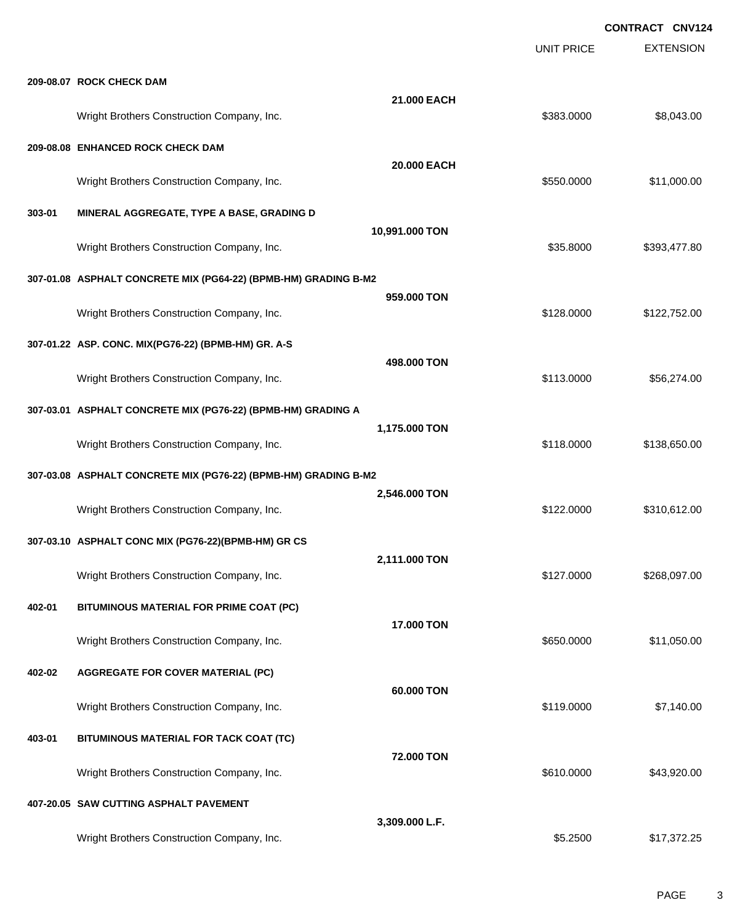**CONTRACT CNV124**

|        |                                                                 |                | <b>UNIT PRICE</b> | <b>EXTENSION</b> |
|--------|-----------------------------------------------------------------|----------------|-------------------|------------------|
|        | 209-08.07 ROCK CHECK DAM                                        |                |                   |                  |
|        | Wright Brothers Construction Company, Inc.                      | 21.000 EACH    | \$383.0000        | \$8,043.00       |
|        | 209-08.08 ENHANCED ROCK CHECK DAM                               |                |                   |                  |
|        | Wright Brothers Construction Company, Inc.                      | 20.000 EACH    | \$550.0000        | \$11,000.00      |
| 303-01 | MINERAL AGGREGATE, TYPE A BASE, GRADING D                       |                |                   |                  |
|        | Wright Brothers Construction Company, Inc.                      | 10,991.000 TON | \$35.8000         | \$393,477.80     |
|        | 307-01.08 ASPHALT CONCRETE MIX (PG64-22) (BPMB-HM) GRADING B-M2 |                |                   |                  |
|        | Wright Brothers Construction Company, Inc.                      | 959.000 TON    | \$128.0000        | \$122,752.00     |
|        | 307-01.22 ASP. CONC. MIX(PG76-22) (BPMB-HM) GR. A-S             |                |                   |                  |
|        | Wright Brothers Construction Company, Inc.                      | 498.000 TON    | \$113.0000        | \$56,274.00      |
|        | 307-03.01 ASPHALT CONCRETE MIX (PG76-22) (BPMB-HM) GRADING A    |                |                   |                  |
|        | Wright Brothers Construction Company, Inc.                      | 1,175.000 TON  | \$118.0000        | \$138,650.00     |
|        | 307-03.08 ASPHALT CONCRETE MIX (PG76-22) (BPMB-HM) GRADING B-M2 |                |                   |                  |
|        | Wright Brothers Construction Company, Inc.                      | 2,546.000 TON  | \$122.0000        | \$310,612.00     |
|        | 307-03.10 ASPHALT CONC MIX (PG76-22)(BPMB-HM) GR CS             |                |                   |                  |
|        | Wright Brothers Construction Company, Inc.                      | 2,111.000 TON  | \$127.0000        | \$268,097.00     |
| 402-01 | BITUMINOUS MATERIAL FOR PRIME COAT (PC)                         |                |                   |                  |
|        | Wright Brothers Construction Company, Inc.                      | 17.000 TON     | \$650.0000        | \$11,050.00      |
| 402-02 | <b>AGGREGATE FOR COVER MATERIAL (PC)</b>                        |                |                   |                  |
|        | Wright Brothers Construction Company, Inc.                      | 60.000 TON     | \$119.0000        | \$7,140.00       |
| 403-01 | BITUMINOUS MATERIAL FOR TACK COAT (TC)                          |                |                   |                  |
|        | Wright Brothers Construction Company, Inc.                      | 72.000 TON     | \$610.0000        | \$43,920.00      |
|        | 407-20.05 SAW CUTTING ASPHALT PAVEMENT                          |                |                   |                  |
|        | Wright Brothers Construction Company, Inc.                      | 3,309.000 L.F. | \$5.2500          | \$17,372.25      |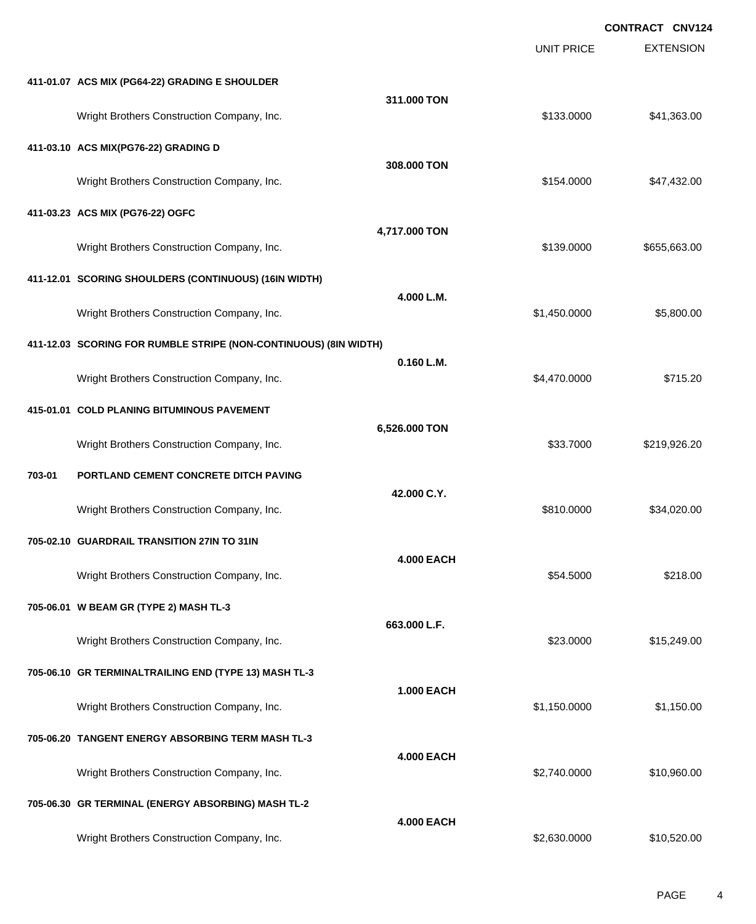EXTENSION **CONTRACT CNV124** UNIT PRICE **411-01.07 ACS MIX (PG64-22) GRADING E SHOULDER 311.000 TON** Wright Brothers Construction Company, Inc. 641,363.00 \$133.0000 \$41,363.00 **411-03.10 ACS MIX(PG76-22) GRADING D 308.000 TON** Wright Brothers Construction Company, Inc. 647,432.00 \$154.0000 \$47,432.00 **411-03.23 ACS MIX (PG76-22) OGFC 4,717.000 TON** Wright Brothers Construction Company, Inc. 655,663.00 \$139.0000 \$655,663.00 **411-12.01 SCORING SHOULDERS (CONTINUOUS) (16IN WIDTH) 4.000 L.M.** Wright Brothers Construction Company, Inc. 6. 2002. The state of the state of the state of the state of the state of the state of the state of the state of the state of the state of the state of the state of the state of t **411-12.03 SCORING FOR RUMBLE STRIPE (NON-CONTINUOUS) (8IN WIDTH) 0.160 L.M.** Wright Brothers Construction Company, Inc. 6.470.0000 \$4,470.0000 \$715.20 **415-01.01 COLD PLANING BITUMINOUS PAVEMENT 6,526.000 TON** Wright Brothers Construction Company, Inc. 6. 2010 12:30 12:30 12:30 12:30 12:30 12:30 12:30 12:30 12:30 12:30 **703-01 PORTLAND CEMENT CONCRETE DITCH PAVING 42.000 C.Y.** Wright Brothers Construction Company, Inc. 634,020.00 \$810.0000 \$34,020.00 **705-02.10 GUARDRAIL TRANSITION 27IN TO 31IN 4.000 EACH** Wright Brothers Construction Company, Inc. 6. The Construction Company, Inc. \$54.5000 \$218.00 **705-06.01 W BEAM GR (TYPE 2) MASH TL-3 663.000 L.F.** Wright Brothers Construction Company, Inc.  $$23.0000$  \$15,249.00 **705-06.10 GR TERMINALTRAILING END (TYPE 13) MASH TL-3 1.000 EACH** Wright Brothers Construction Company, Inc. 6. 2012 12:30 12:30 12:30 12:30 12:30 12:30 12:30 12:30 12:30 12:30 **705-06.20 TANGENT ENERGY ABSORBING TERM MASH TL-3 4.000 EACH** Wright Brothers Construction Company, Inc.  $$2,740.0000$  \$10,960.00 **705-06.30 GR TERMINAL (ENERGY ABSORBING) MASH TL-2 4.000 EACH** Wright Brothers Construction Company, Inc. 6. The Construction Company, Inc. \$2,630.0000 \$10,520.00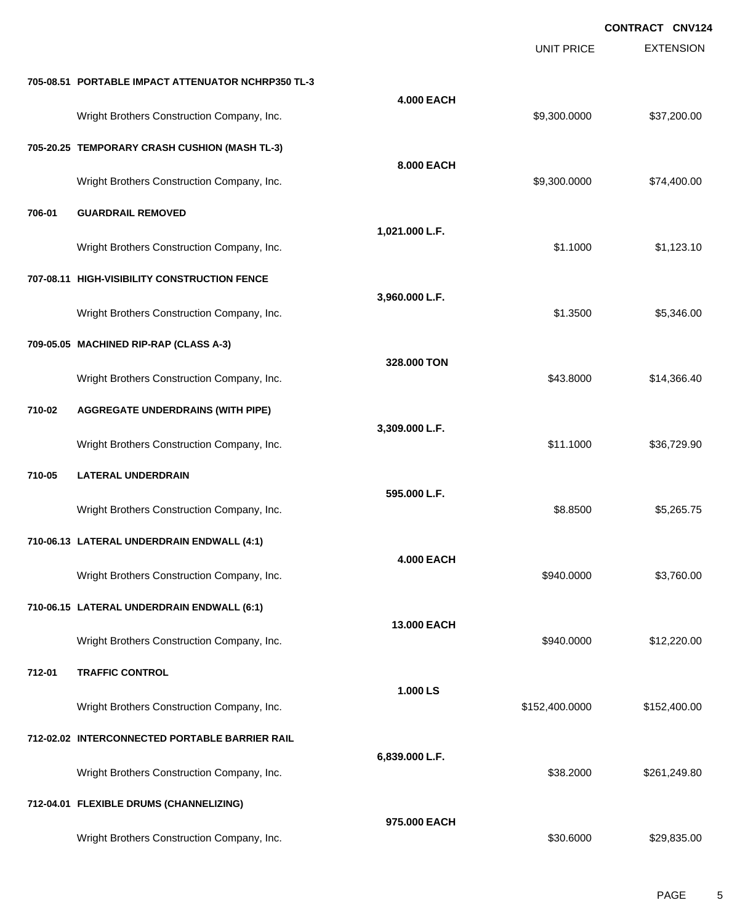EXTENSION **CONTRACT CNV124** UNIT PRICE **705-08.51 PORTABLE IMPACT ATTENUATOR NCHRP350 TL-3 4.000 EACH** Wright Brothers Construction Company, Inc. 6. 2002. [10] 12:37,200.000 \$9,300.0000 \$37,200.00 **705-20.25 TEMPORARY CRASH CUSHION (MASH TL-3) 8.000 EACH** Wright Brothers Construction Company, Inc. 6. The Construction Company, Inc. 6. The Construction Company, Inc. 6. The Construction Company, Inc. 6. The Construction Company, Inc. 6. The Construction Company, Inc. 6. The Co **706-01 GUARDRAIL REMOVED 1,021.000 L.F.** Wright Brothers Construction Company, Inc. 6. 2012 12:30 \$1.1000 \$1,123.10 **707-08.11 HIGH-VISIBILITY CONSTRUCTION FENCE 3,960.000 L.F.** Wright Brothers Construction Company, Inc. 6. 2012 12:3500 \$1.3500 \$5,346.00 **709-05.05 MACHINED RIP-RAP (CLASS A-3) 328.000 TON** Wright Brothers Construction Company, Inc. 6. 2012 12:30 12:30 13:30 14:30 14:30 14:30 14:30 14:30 14:30 14:30 14:30 14:30 14:30 14:30 14:30 14:30 14:30 14:30 14:30 14:30 14:30 14:30 14:30 14:30 14:30 14:30 14:30 14:30 14: **710-02 AGGREGATE UNDERDRAINS (WITH PIPE) 3,309.000 L.F.** Wright Brothers Construction Company, Inc.  $$11.1000$  \$36,729.90 **710-05 LATERAL UNDERDRAIN 595.000 L.F.** Wright Brothers Construction Company, Inc. 6. 2008 6.265.75 **710-06.13 LATERAL UNDERDRAIN ENDWALL (4:1) 4.000 EACH** Wright Brothers Construction Company, Inc. 6. The Construction Company, Inc. 6. The Construction Company, Inc. 6. The Construction Company, Inc. 6. The Construction Company, Inc. 6. The Construction Company, Inc. 6. The Co **710-06.15 LATERAL UNDERDRAIN ENDWALL (6:1) 13.000 EACH** Wright Brothers Construction Company, Inc. 6. 2008 6. 2010 12:320.000 \$940.0000 \$12,220.00 **712-01 TRAFFIC CONTROL 1.000 LS** Wright Brothers Construction Company, Inc. 6. 2012 12:30 12:400.000 \$152,400.000 \$152,400.00 **712-02.02 INTERCONNECTED PORTABLE BARRIER RAIL 6,839.000 L.F.** Wright Brothers Construction Company, Inc. 6. 2000 \$261,249.80 **712-04.01 FLEXIBLE DRUMS (CHANNELIZING) 975.000 EACH** Wright Brothers Construction Company, Inc.  $$30.6000$  \$29,835.00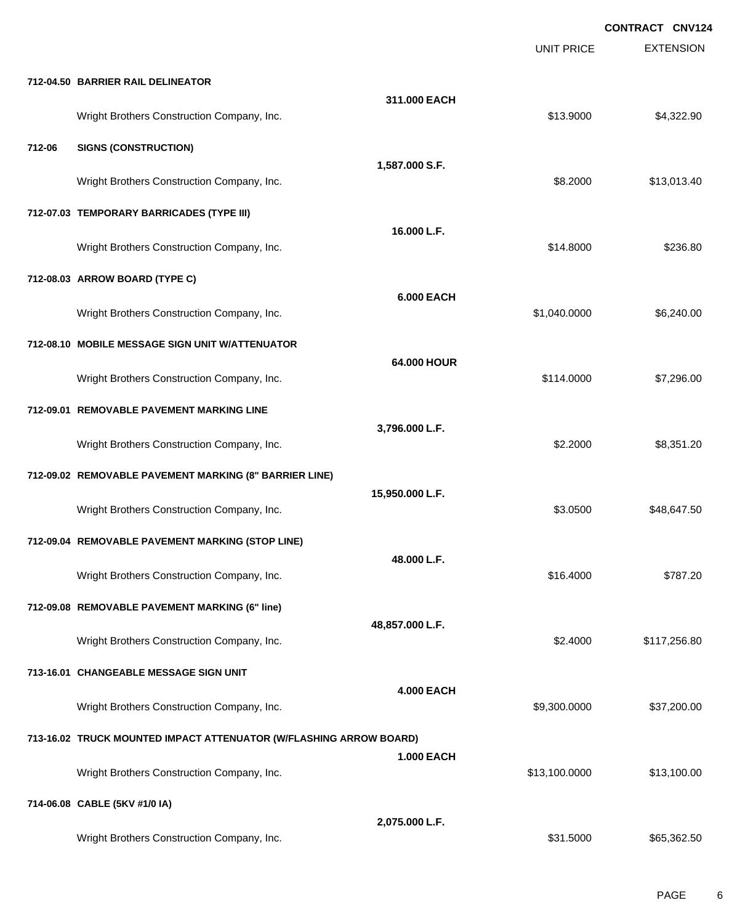|        |                                                                    |                   |                   | <b>CONTRACT CNV124</b> |
|--------|--------------------------------------------------------------------|-------------------|-------------------|------------------------|
|        |                                                                    |                   | <b>UNIT PRICE</b> | <b>EXTENSION</b>       |
|        | 712-04.50 BARRIER RAIL DELINEATOR                                  |                   |                   |                        |
|        | Wright Brothers Construction Company, Inc.                         | 311.000 EACH      | \$13.9000         | \$4,322.90             |
| 712-06 | <b>SIGNS (CONSTRUCTION)</b>                                        |                   |                   |                        |
|        | Wright Brothers Construction Company, Inc.                         | 1,587.000 S.F.    | \$8.2000          | \$13,013.40            |
|        | 712-07.03 TEMPORARY BARRICADES (TYPE III)                          |                   |                   |                        |
|        | Wright Brothers Construction Company, Inc.                         | 16.000 L.F.       | \$14.8000         | \$236.80               |
|        | 712-08.03 ARROW BOARD (TYPE C)                                     |                   |                   |                        |
|        | Wright Brothers Construction Company, Inc.                         | <b>6.000 EACH</b> | \$1,040.0000      | \$6,240.00             |
|        | 712-08.10 MOBILE MESSAGE SIGN UNIT W/ATTENUATOR                    |                   |                   |                        |
|        | Wright Brothers Construction Company, Inc.                         | 64.000 HOUR       | \$114.0000        | \$7,296.00             |
|        | 712-09.01 REMOVABLE PAVEMENT MARKING LINE                          |                   |                   |                        |
|        | Wright Brothers Construction Company, Inc.                         | 3,796.000 L.F.    | \$2.2000          | \$8,351.20             |
|        | 712-09.02 REMOVABLE PAVEMENT MARKING (8" BARRIER LINE)             |                   |                   |                        |
|        | Wright Brothers Construction Company, Inc.                         | 15,950.000 L.F.   | \$3.0500          | \$48,647.50            |
|        | 712-09.04 REMOVABLE PAVEMENT MARKING (STOP LINE)                   |                   |                   |                        |
|        | Wright Brothers Construction Company, Inc.                         | 48.000 L.F.       | \$16.4000         | \$787.20               |
|        | 712-09.08 REMOVABLE PAVEMENT MARKING (6" line)                     |                   |                   |                        |
|        | Wright Brothers Construction Company, Inc.                         | 48,857.000 L.F.   | \$2.4000          | \$117,256.80           |
|        | 713-16.01 CHANGEABLE MESSAGE SIGN UNIT                             |                   |                   |                        |
|        | Wright Brothers Construction Company, Inc.                         | <b>4.000 EACH</b> | \$9,300.0000      | \$37,200.00            |
|        | 713-16.02 TRUCK MOUNTED IMPACT ATTENUATOR (W/FLASHING ARROW BOARD) |                   |                   |                        |
|        | Wright Brothers Construction Company, Inc.                         | <b>1.000 EACH</b> | \$13,100.0000     | \$13,100.00            |
|        | 714-06.08 CABLE (5KV #1/0 IA)                                      |                   |                   |                        |
|        | Wright Brothers Construction Company, Inc.                         | 2,075.000 L.F.    | \$31.5000         | \$65,362.50            |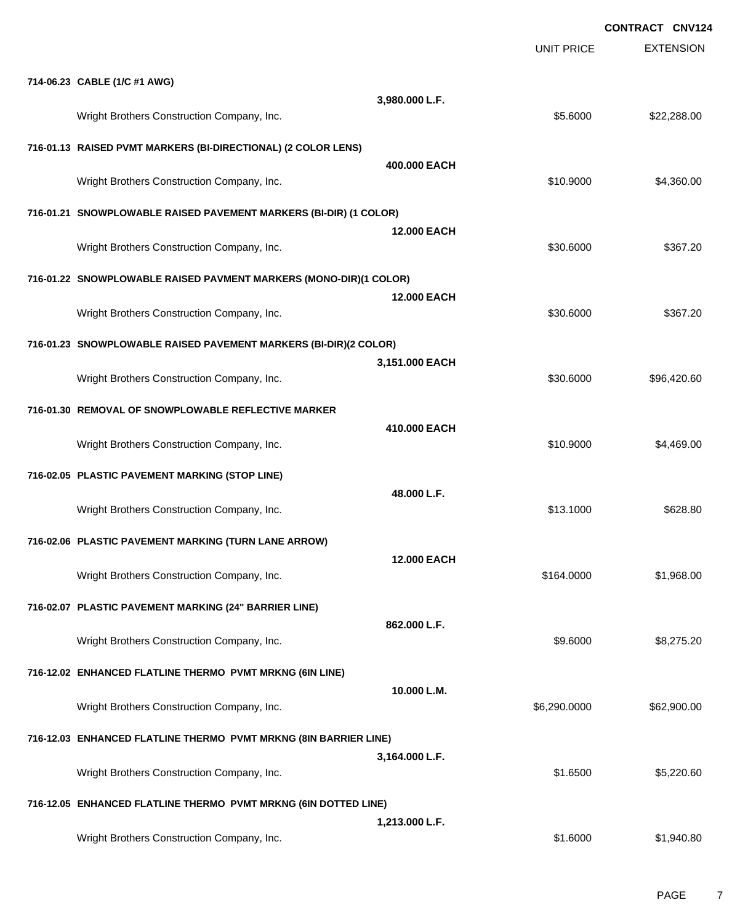**CONTRACT CNV124**

|                                                                   |                    | <b>UNIT PRICE</b> | <b>EXTENSION</b> |
|-------------------------------------------------------------------|--------------------|-------------------|------------------|
| 714-06.23 CABLE (1/C #1 AWG)                                      |                    |                   |                  |
| Wright Brothers Construction Company, Inc.                        | 3,980.000 L.F.     | \$5.6000          | \$22,288.00      |
| 716-01.13 RAISED PVMT MARKERS (BI-DIRECTIONAL) (2 COLOR LENS)     |                    |                   |                  |
| Wright Brothers Construction Company, Inc.                        | 400,000 EACH       | \$10.9000         | \$4,360.00       |
| 716-01.21 SNOWPLOWABLE RAISED PAVEMENT MARKERS (BI-DIR) (1 COLOR) |                    |                   |                  |
| Wright Brothers Construction Company, Inc.                        | <b>12.000 EACH</b> | \$30.6000         | \$367.20         |
| 716-01.22 SNOWPLOWABLE RAISED PAVMENT MARKERS (MONO-DIR)(1 COLOR) |                    |                   |                  |
| Wright Brothers Construction Company, Inc.                        | <b>12.000 EACH</b> | \$30.6000         | \$367.20         |
| 716-01.23 SNOWPLOWABLE RAISED PAVEMENT MARKERS (BI-DIR)(2 COLOR)  |                    |                   |                  |
| Wright Brothers Construction Company, Inc.                        | 3,151.000 EACH     | \$30.6000         | \$96,420.60      |
| 716-01.30 REMOVAL OF SNOWPLOWABLE REFLECTIVE MARKER               |                    |                   |                  |
| Wright Brothers Construction Company, Inc.                        | 410,000 EACH       | \$10.9000         | \$4,469.00       |
| 716-02.05 PLASTIC PAVEMENT MARKING (STOP LINE)                    |                    |                   |                  |
| Wright Brothers Construction Company, Inc.                        | 48.000 L.F.        | \$13.1000         | \$628.80         |
| 716-02.06 PLASTIC PAVEMENT MARKING (TURN LANE ARROW)              |                    |                   |                  |
| Wright Brothers Construction Company, Inc.                        | 12.000 EACH        | \$164.0000        | \$1,968.00       |
| 716-02.07 PLASTIC PAVEMENT MARKING (24" BARRIER LINE)             |                    |                   |                  |
| Wright Brothers Construction Company, Inc.                        | 862.000 L.F.       | \$9.6000          | \$8,275.20       |
| 716-12.02 ENHANCED FLATLINE THERMO PVMT MRKNG (6IN LINE)          |                    |                   |                  |
| Wright Brothers Construction Company, Inc.                        | 10.000 L.M.        | \$6,290.0000      | \$62,900.00      |
| 716-12.03 ENHANCED FLATLINE THERMO PVMT MRKNG (8IN BARRIER LINE)  |                    |                   |                  |
| Wright Brothers Construction Company, Inc.                        | 3,164.000 L.F.     | \$1.6500          | \$5,220.60       |
| 716-12.05 ENHANCED FLATLINE THERMO PVMT MRKNG (6IN DOTTED LINE)   |                    |                   |                  |
| Wright Brothers Construction Company, Inc.                        | 1,213.000 L.F.     | \$1.6000          | \$1,940.80       |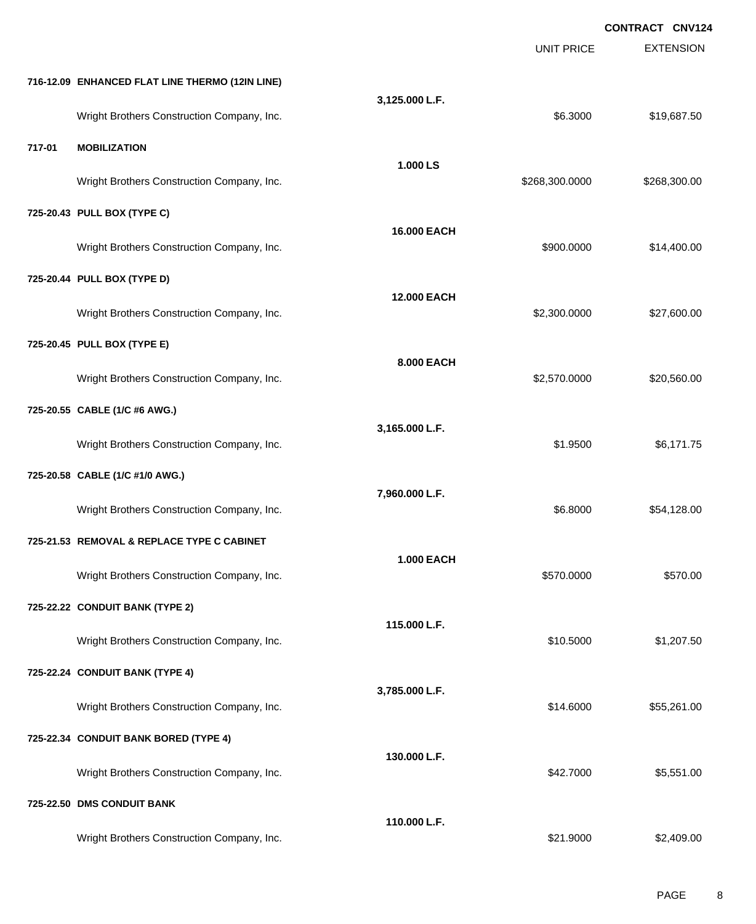**EXTENSION CONTRACT CNV124** UNIT PRICE **716-12.09 ENHANCED FLAT LINE THERMO (12IN LINE) 3,125.000 L.F.** Wright Brothers Construction Company, Inc. 6.63000 \$19,687.50 **717-01 MOBILIZATION 1.000 LS** Wright Brothers Construction Company, Inc. 6. 2008. [2012] Same Construction Company, Inc. 6. 2008. [2012] Same Construction Company, Inc. 6. 2008. [2012] Same Construction Company, Inc. 6. 2012. [2012] Same Construction C **725-20.43 PULL BOX (TYPE C) 16.000 EACH** Wright Brothers Construction Company, Inc. 6. 2000 \$900.000 \$14,400.00 **725-20.44 PULL BOX (TYPE D) 12.000 EACH** Wright Brothers Construction Company, Inc. 6.6 and 2008 627,600.000 \$2,300.0000 \$27,600.00 **725-20.45 PULL BOX (TYPE E) 8.000 EACH** Wright Brothers Construction Company, Inc. 6. 2008 620,560.00 \$2,570.0000 \$20,560.00 **725-20.55 CABLE (1/C #6 AWG.) 3,165.000 L.F.** Wright Brothers Construction Company, Inc. \$1.9500 \$6,171.75 **725-20.58 CABLE (1/C #1/0 AWG.) 7,960.000 L.F.** Wright Brothers Construction Company, Inc. 6.68000 \$54,128.00 **725-21.53 REMOVAL & REPLACE TYPE C CABINET 1.000 EACH** Wright Brothers Construction Company, Inc. 6570.000 \$570.000 \$570.000 \$570.000 **725-22.22 CONDUIT BANK (TYPE 2) 115.000 L.F.** Wright Brothers Construction Company, Inc. 6. 2007.50 \$10.5000 \$1,207.50 **725-22.24 CONDUIT BANK (TYPE 4) 3,785.000 L.F.** Wright Brothers Construction Company, Inc.  $$14.6000$   $$55,261.00$ **725-22.34 CONDUIT BANK BORED (TYPE 4) 130.000 L.F.** Wright Brothers Construction Company, Inc. 6. 2012 12:30 12:30 12:30 13:351.00 \$5,551.00 **725-22.50 DMS CONDUIT BANK 110.000 L.F.** Wright Brothers Construction Company, Inc. 6. The Construction Company, Inc. \$21.9000 \$2,409.00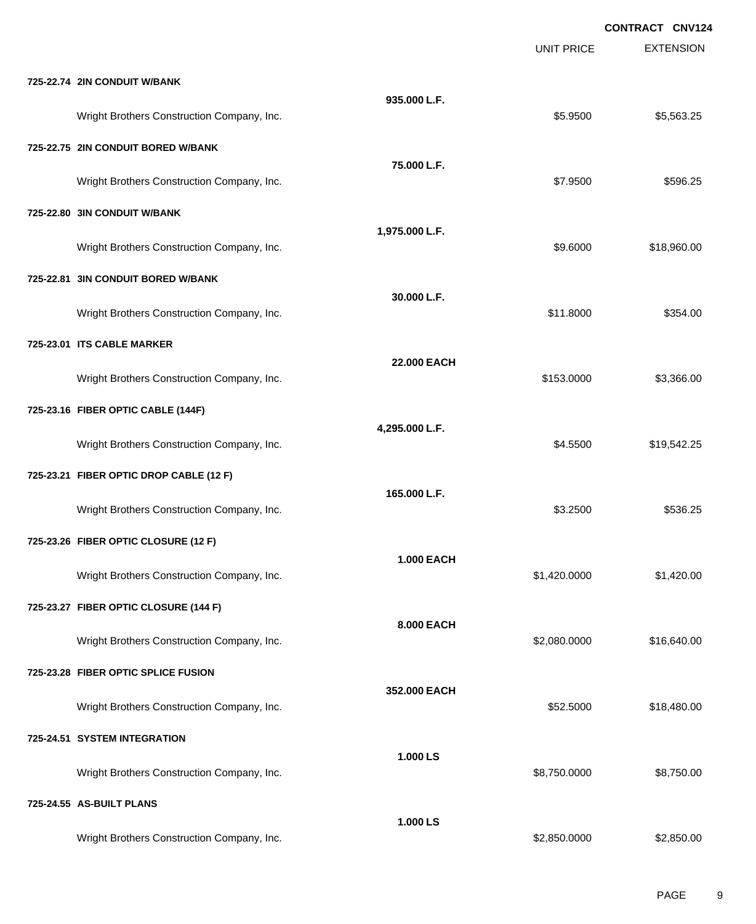**EXTENSION CONTRACT CNV124** UNIT PRICE **725-22.74 2IN CONDUIT W/BANK 935.000 L.F.** Wright Brothers Construction Company, Inc. 6. 2012 12:30 12:30 12:30 12:30 12:30 12:30 12:30 12:30 12:30 12:30 **725-22.75 2IN CONDUIT BORED W/BANK 75.000 L.F.** Wright Brothers Construction Company, Inc. 6. The Construction Company, Inc. \$7.9500 \$596.25 **725-22.80 3IN CONDUIT W/BANK 1,975.000 L.F.** Wright Brothers Construction Company, Inc. 6. 2012 12:30 12:30 12:30 13:30 14:30 14:30 15:30 16:30 16:30 16:30 **725-22.81 3IN CONDUIT BORED W/BANK 30.000 L.F.** Wright Brothers Construction Company, Inc. \$159.00 \$354.00 **725-23.01 ITS CABLE MARKER 22.000 EACH** Wright Brothers Construction Company, Inc. 63,366.00 \$153.0000 \$3,366.00 **725-23.16 FIBER OPTIC CABLE (144F) 4,295.000 L.F.** Wright Brothers Construction Company, Inc.  $$4.5500$  \$19,542.25 **725-23.21 FIBER OPTIC DROP CABLE (12 F) 165.000 L.F.** Wright Brothers Construction Company, Inc. 6536.25 (1999) 83.2500 \$536.25 **725-23.26 FIBER OPTIC CLOSURE (12 F) 1.000 EACH** Wright Brothers Construction Company, Inc. 6. 2012 12:30 12:31 12:32:32:32 10:31 12:32:32:32:420.000 **725-23.27 FIBER OPTIC CLOSURE (144 F) 8.000 EACH** Wright Brothers Construction Company, Inc. 6. 2008 10:000 \$2,080.0000 \$16,640.00 **725-23.28 FIBER OPTIC SPLICE FUSION 352.000 EACH** Wright Brothers Construction Company, Inc. 6. 2012 12:30 12:30 12:30 12:30 12:30 12:30 12:30 12:30 12:30 12:30 12:30 12:30 12:30 12:30 12:30 12:30 12:30 12:30 12:30 12:30 12:30 12:30 12:30 12:30 12:30 12:30 12:30 12:30 12: **725-24.51 SYSTEM INTEGRATION 1.000 LS** Wright Brothers Construction Company, Inc. 6. The State of the State of the State of State of State of State of State of State of State of State of State of State of State of State of State of State of State of State of St **725-24.55 AS-BUILT PLANS 1.000 LS** Wright Brothers Construction Company, Inc. 6. The Construction Company, Inc. 6. The Construction Company, Inc. 6. The Construction Company, Inc. 6. The Construction Company, Inc. 6. The Construction Company, Inc. 6. The Co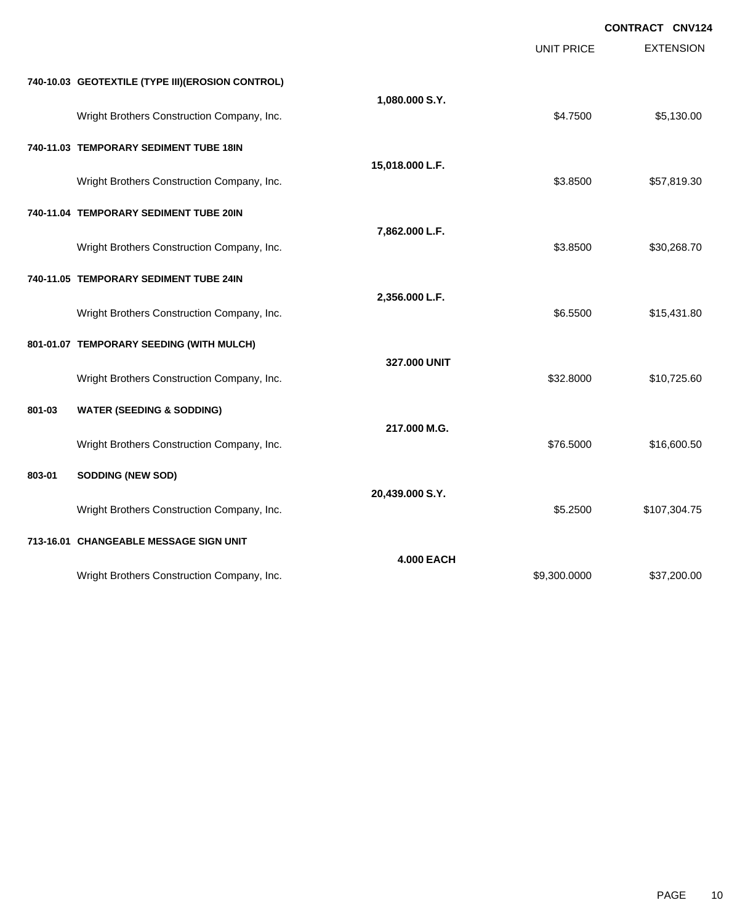|        |                                                   |                   | <b>UNIT PRICE</b> | <b>CONTRACT CNV124</b><br><b>EXTENSION</b> |
|--------|---------------------------------------------------|-------------------|-------------------|--------------------------------------------|
|        | 740-10.03 GEOTEXTILE (TYPE III) (EROSION CONTROL) |                   |                   |                                            |
|        | Wright Brothers Construction Company, Inc.        | 1,080.000 S.Y.    | \$4.7500          | \$5,130.00                                 |
|        | 740-11.03 TEMPORARY SEDIMENT TUBE 18IN            |                   |                   |                                            |
|        | Wright Brothers Construction Company, Inc.        | 15,018.000 L.F.   | \$3.8500          | \$57,819.30                                |
|        | 740-11.04 TEMPORARY SEDIMENT TUBE 20IN            |                   |                   |                                            |
|        | Wright Brothers Construction Company, Inc.        | 7,862.000 L.F.    | \$3.8500          | \$30,268.70                                |
|        | 740-11.05 TEMPORARY SEDIMENT TUBE 24IN            |                   |                   |                                            |
|        | Wright Brothers Construction Company, Inc.        | 2,356.000 L.F.    | \$6.5500          | \$15,431.80                                |
|        | 801-01.07 TEMPORARY SEEDING (WITH MULCH)          |                   |                   |                                            |
|        | Wright Brothers Construction Company, Inc.        | 327.000 UNIT      | \$32.8000         | \$10,725.60                                |
| 801-03 | <b>WATER (SEEDING &amp; SODDING)</b>              |                   |                   |                                            |
|        | Wright Brothers Construction Company, Inc.        | 217.000 M.G.      | \$76.5000         | \$16,600.50                                |
| 803-01 | SODDING (NEW SOD)                                 |                   |                   |                                            |
|        | Wright Brothers Construction Company, Inc.        | 20,439.000 S.Y.   | \$5.2500          | \$107,304.75                               |
|        | 713-16.01 CHANGEABLE MESSAGE SIGN UNIT            |                   |                   |                                            |
|        | Wright Brothers Construction Company, Inc.        | <b>4.000 EACH</b> | \$9,300.0000      | \$37,200.00                                |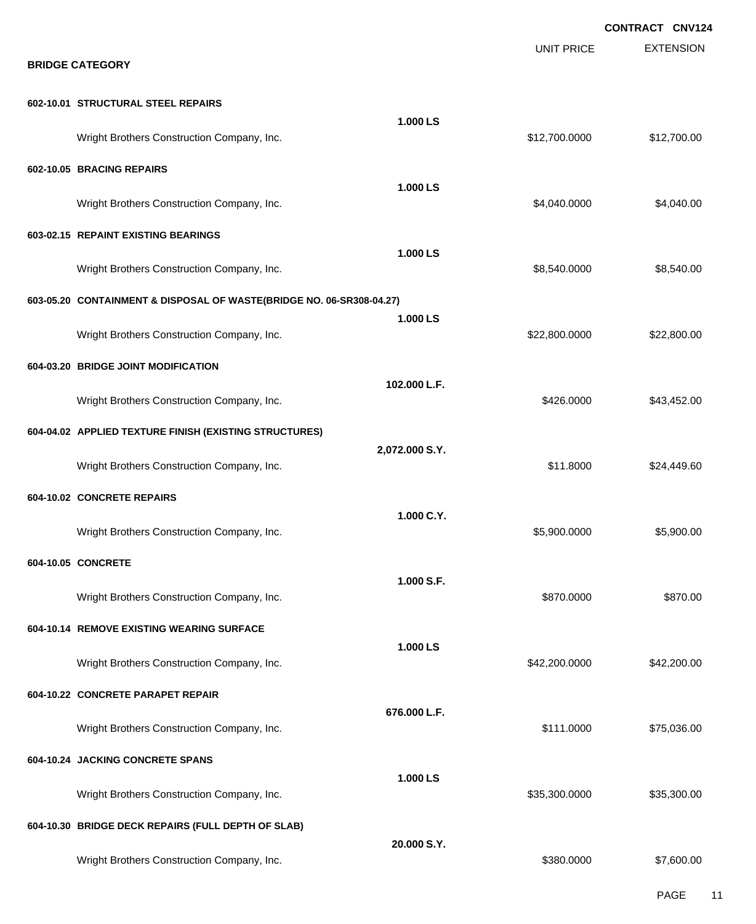|                                                                      |                |                   | <b>CONTRACT CNV124</b> |
|----------------------------------------------------------------------|----------------|-------------------|------------------------|
| <b>BRIDGE CATEGORY</b>                                               |                | <b>UNIT PRICE</b> | <b>EXTENSION</b>       |
| 602-10.01 STRUCTURAL STEEL REPAIRS                                   |                |                   |                        |
| Wright Brothers Construction Company, Inc.                           | 1.000 LS       | \$12,700.0000     | \$12,700.00            |
| 602-10.05 BRACING REPAIRS                                            | 1.000 LS       |                   |                        |
| Wright Brothers Construction Company, Inc.                           |                | \$4,040.0000      | \$4,040.00             |
| 603-02.15 REPAINT EXISTING BEARINGS                                  | 1.000 LS       |                   |                        |
| Wright Brothers Construction Company, Inc.                           |                | \$8,540.0000      | \$8,540.00             |
| 603-05.20 CONTAINMENT & DISPOSAL OF WASTE(BRIDGE NO. 06-SR308-04.27) | 1.000 LS       |                   |                        |
| Wright Brothers Construction Company, Inc.                           |                | \$22,800.0000     | \$22,800.00            |
| 604-03.20 BRIDGE JOINT MODIFICATION                                  | 102.000 L.F.   |                   |                        |
| Wright Brothers Construction Company, Inc.                           |                | \$426.0000        | \$43,452.00            |
| 604-04.02 APPLIED TEXTURE FINISH (EXISTING STRUCTURES)               | 2,072.000 S.Y. |                   |                        |
| Wright Brothers Construction Company, Inc.                           |                | \$11.8000         | \$24,449.60            |
| 604-10.02 CONCRETE REPAIRS                                           | 1.000 C.Y.     |                   |                        |
| Wright Brothers Construction Company, Inc.                           |                | \$5,900.0000      | \$5,900.00             |
| 604-10.05 CONCRETE                                                   | 1.000 S.F.     |                   |                        |
| Wright Brothers Construction Company, Inc.                           |                | \$870.0000        | \$870.00               |
| 604-10.14 REMOVE EXISTING WEARING SURFACE                            |                |                   |                        |
| Wright Brothers Construction Company, Inc.                           | 1.000 LS       | \$42,200.0000     | \$42,200.00            |
| 604-10.22 CONCRETE PARAPET REPAIR                                    |                |                   |                        |
| Wright Brothers Construction Company, Inc.                           | 676.000 L.F.   | \$111.0000        | \$75,036.00            |
| 604-10.24 JACKING CONCRETE SPANS                                     | 1.000 LS       |                   |                        |
| Wright Brothers Construction Company, Inc.                           |                | \$35,300.0000     | \$35,300.00            |
| 604-10.30 BRIDGE DECK REPAIRS (FULL DEPTH OF SLAB)                   |                |                   |                        |
| Wright Brothers Construction Company, Inc.                           | 20.000 S.Y.    | \$380.0000        | \$7,600.00             |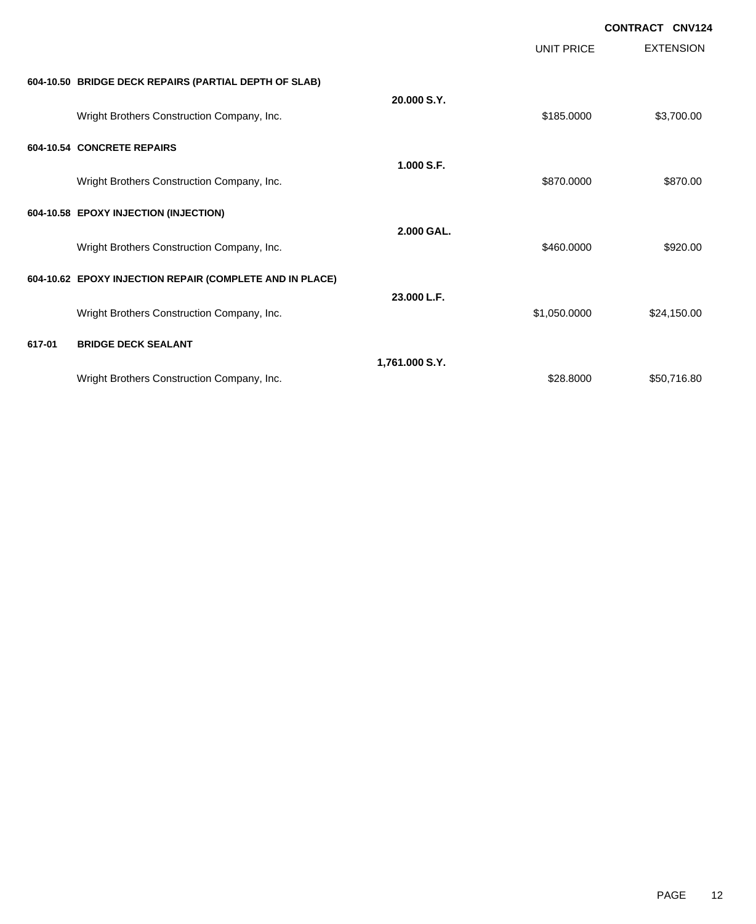|        |                                                          |                |                   | <b>CONTRACT CNV124</b> |
|--------|----------------------------------------------------------|----------------|-------------------|------------------------|
|        |                                                          |                | <b>UNIT PRICE</b> | <b>EXTENSION</b>       |
|        | 604-10.50 BRIDGE DECK REPAIRS (PARTIAL DEPTH OF SLAB)    |                |                   |                        |
|        | Wright Brothers Construction Company, Inc.               | 20.000 S.Y.    | \$185.0000        | \$3,700.00             |
|        | 604-10.54 CONCRETE REPAIRS                               |                |                   |                        |
|        | Wright Brothers Construction Company, Inc.               | 1.000 S.F.     | \$870,0000        | \$870.00               |
|        | 604-10.58 EPOXY INJECTION (INJECTION)                    |                |                   |                        |
|        | Wright Brothers Construction Company, Inc.               | 2.000 GAL.     | \$460,0000        | \$920.00               |
|        | 604-10.62 EPOXY INJECTION REPAIR (COMPLETE AND IN PLACE) |                |                   |                        |
|        | Wright Brothers Construction Company, Inc.               | 23.000 L.F.    | \$1,050.0000      | \$24,150.00            |
| 617-01 | <b>BRIDGE DECK SEALANT</b>                               |                |                   |                        |
|        | Wright Brothers Construction Company, Inc.               | 1,761.000 S.Y. | \$28,8000         | \$50,716.80            |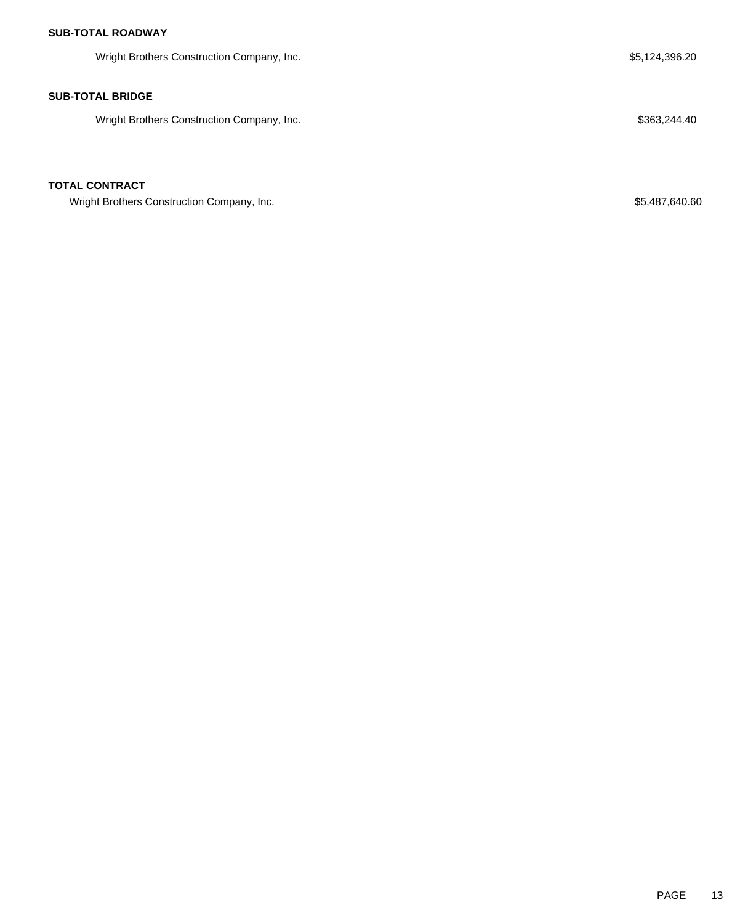Wright Brothers Construction Company, Inc. 6. The Superior of the Superior of the S5,124,396.20

#### **SUB-TOTAL BRIDGE**

Wright Brothers Construction Company, Inc. 6. The Same of the State of the State of S363,244.40

## **TOTAL CONTRACT**

Wright Brothers Construction Company, Inc. 60 and the state of the state of the state of the state of the state of the state of the state of the state of the state of the state of the state of the state of the state of the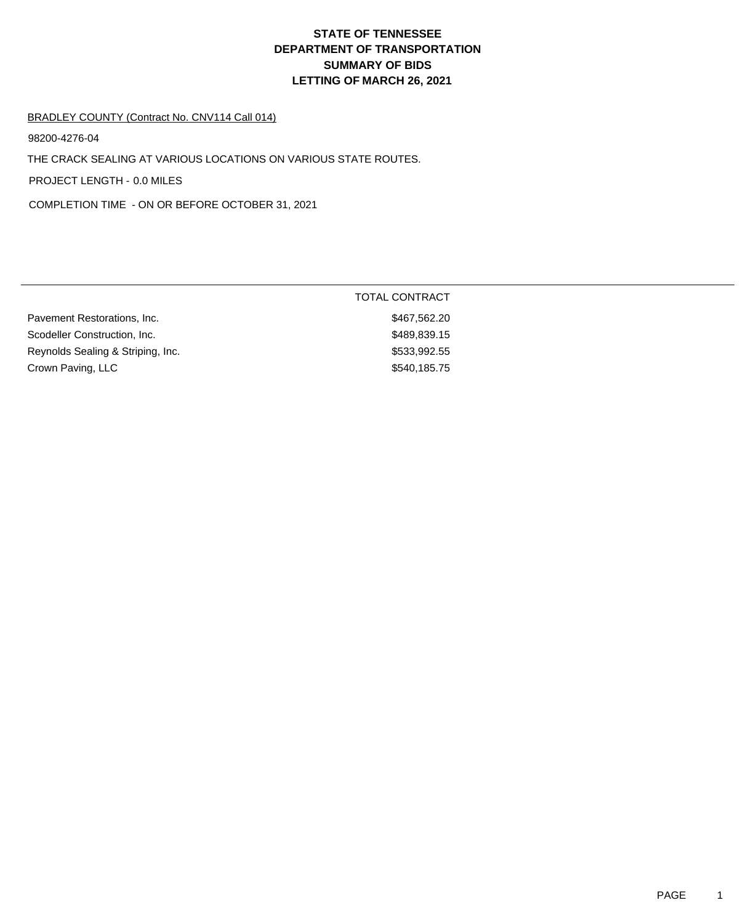#### BRADLEY COUNTY (Contract No. CNV114 Call 014)

98200-4276-04

THE CRACK SEALING AT VARIOUS LOCATIONS ON VARIOUS STATE ROUTES.

PROJECT LENGTH - 0.0 MILES

COMPLETION TIME - ON OR BEFORE OCTOBER 31, 2021

|                                   | TOTAL CONTRACT |  |
|-----------------------------------|----------------|--|
| Pavement Restorations, Inc.       | \$467,562.20   |  |
| Scodeller Construction, Inc.      | \$489,839.15   |  |
| Reynolds Sealing & Striping, Inc. | \$533,992.55   |  |
| Crown Paving, LLC                 | \$540,185.75   |  |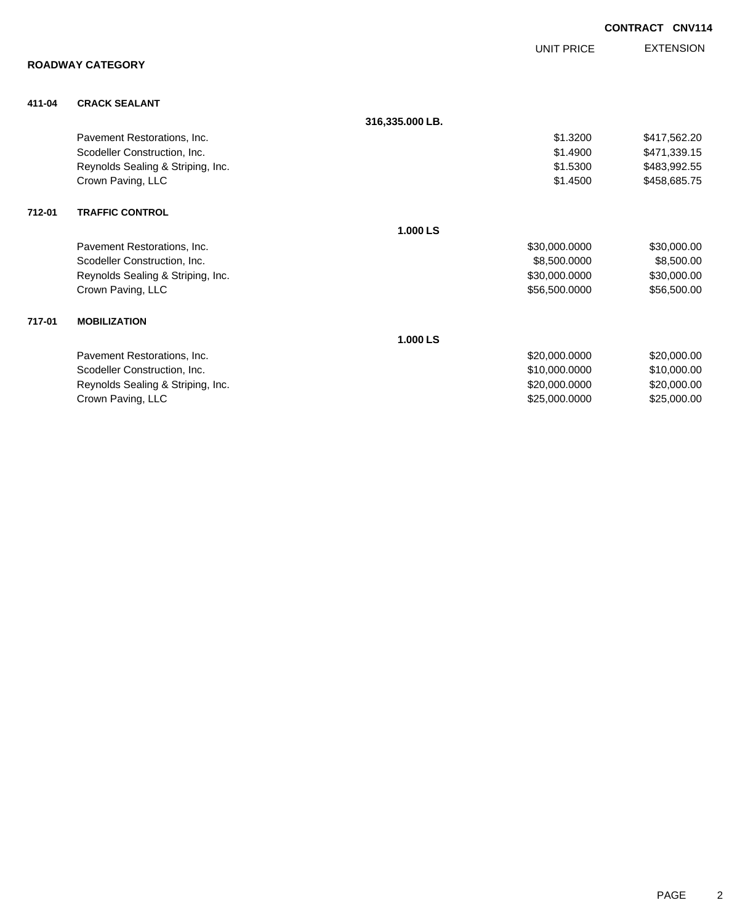|        |                                   |                 |                   | <b>CONTRACT</b> | <b>CNV114</b>    |
|--------|-----------------------------------|-----------------|-------------------|-----------------|------------------|
|        |                                   |                 | <b>UNIT PRICE</b> |                 | <b>EXTENSION</b> |
|        | <b>ROADWAY CATEGORY</b>           |                 |                   |                 |                  |
| 411-04 | <b>CRACK SEALANT</b>              |                 |                   |                 |                  |
|        |                                   | 316,335.000 LB. |                   |                 |                  |
|        | Pavement Restorations, Inc.       |                 | \$1.3200          |                 | \$417,562.20     |
|        | Scodeller Construction, Inc.      |                 | \$1,4900          |                 | \$471,339.15     |
|        | Reynolds Sealing & Striping, Inc. |                 | \$1.5300          |                 | \$483,992.55     |
|        | Crown Paving, LLC                 |                 | \$1.4500          |                 | \$458,685.75     |
| 712-01 | <b>TRAFFIC CONTROL</b>            |                 |                   |                 |                  |
|        |                                   | 1.000 LS        |                   |                 |                  |
|        | Pavement Restorations, Inc.       |                 | \$30,000.0000     |                 | \$30,000.00      |
|        | Scodeller Construction, Inc.      |                 | \$8,500.0000      |                 | \$8,500.00       |
|        | Reynolds Sealing & Striping, Inc. |                 | \$30,000.0000     |                 | \$30,000.00      |
|        | Crown Paving, LLC                 |                 | \$56,500.0000     |                 | \$56,500.00      |
| 717-01 | <b>MOBILIZATION</b>               |                 |                   |                 |                  |
|        |                                   | 1.000 LS        |                   |                 |                  |
|        | Pavement Restorations, Inc.       |                 | \$20,000.0000     |                 | \$20,000.00      |
|        | Scodeller Construction, Inc.      |                 | \$10,000.0000     |                 | \$10,000.00      |
|        | Reynolds Sealing & Striping, Inc. |                 | \$20,000.0000     |                 | \$20,000.00      |

Crown Paving, LLC 6000000 \$25,000.000 \$25,000.000 \$25,000.000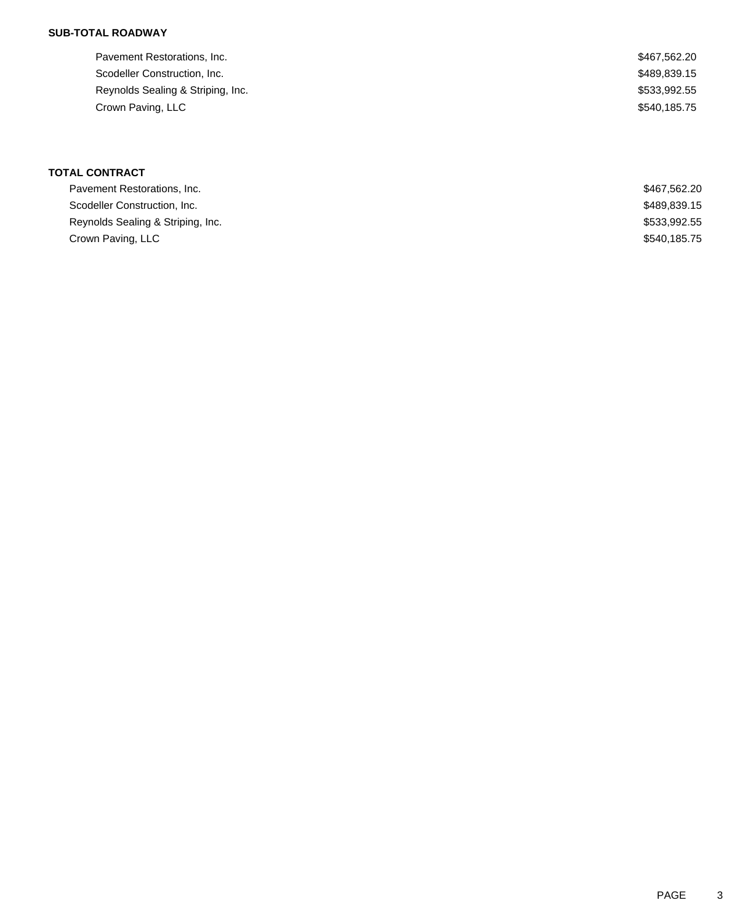| Pavement Restorations, Inc.       | \$467,562.20 |
|-----------------------------------|--------------|
| Scodeller Construction, Inc.      | \$489,839.15 |
| Reynolds Sealing & Striping, Inc. | \$533,992.55 |
| Crown Paving, LLC                 | \$540,185.75 |
|                                   |              |

## **TOTAL CONTRACT**

| Pavement Restorations, Inc.       | \$467,562.20 |
|-----------------------------------|--------------|
| Scodeller Construction, Inc.      | \$489,839.15 |
| Reynolds Sealing & Striping, Inc. | \$533,992.55 |
| Crown Paving, LLC                 | \$540,185.75 |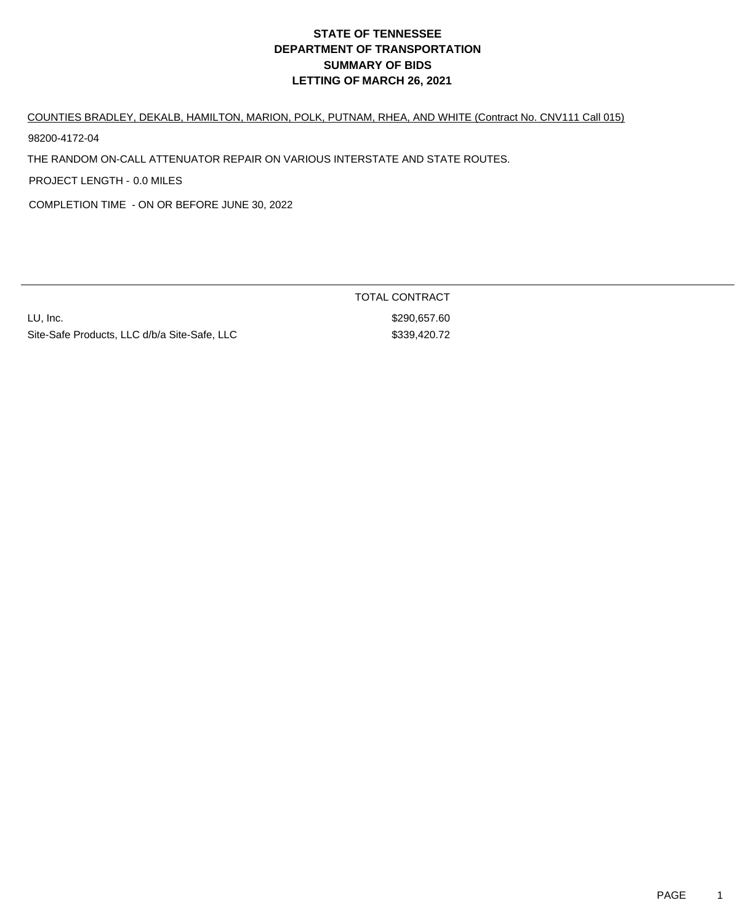COUNTIES BRADLEY, DEKALB, HAMILTON, MARION, POLK, PUTNAM, RHEA, AND WHITE (Contract No. CNV111 Call 015)

98200-4172-04

THE RANDOM ON-CALL ATTENUATOR REPAIR ON VARIOUS INTERSTATE AND STATE ROUTES.

PROJECT LENGTH - 0.0 MILES

COMPLETION TIME - ON OR BEFORE JUNE 30, 2022

LU, Inc. \$290,657.60 Site-Safe Products, LLC d/b/a Site-Safe, LLC  $$339,420.72$ 

TOTAL CONTRACT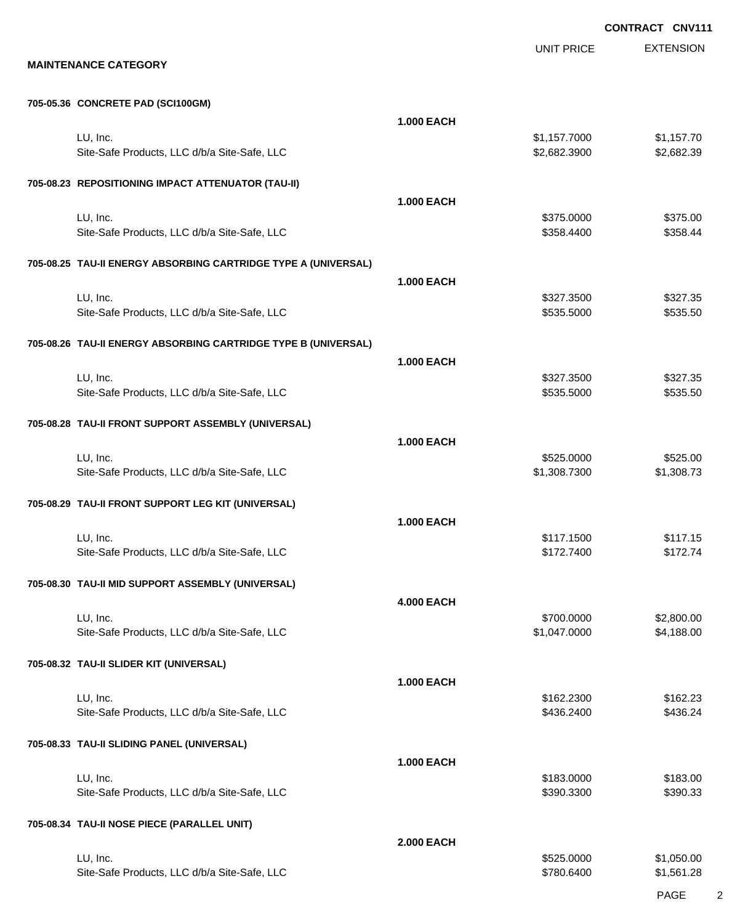**CONTRACT CNV111**

UNIT PRICE

EXTENSION

#### **705-05.36 CONCRETE PAD (SCI100GM)**

|                                                                | <b>1.000 EACH</b> |                              |                          |
|----------------------------------------------------------------|-------------------|------------------------------|--------------------------|
| LU, Inc.<br>Site-Safe Products, LLC d/b/a Site-Safe, LLC       |                   | \$1,157.7000<br>\$2,682.3900 | \$1,157.70<br>\$2,682.39 |
| 705-08.23 REPOSITIONING IMPACT ATTENUATOR (TAU-II)             |                   |                              |                          |
|                                                                | <b>1.000 EACH</b> |                              |                          |
| LU, Inc.                                                       |                   | \$375.0000                   | \$375.00                 |
| Site-Safe Products, LLC d/b/a Site-Safe, LLC                   |                   | \$358.4400                   | \$358.44                 |
| 705-08.25 TAU-II ENERGY ABSORBING CARTRIDGE TYPE A (UNIVERSAL) |                   |                              |                          |
|                                                                | <b>1.000 EACH</b> |                              |                          |
| LU, Inc.                                                       |                   | \$327.3500                   | \$327.35                 |
| Site-Safe Products, LLC d/b/a Site-Safe, LLC                   |                   | \$535.5000                   | \$535.50                 |
| 705-08.26 TAU-II ENERGY ABSORBING CARTRIDGE TYPE B (UNIVERSAL) |                   |                              |                          |
|                                                                | <b>1.000 EACH</b> |                              |                          |
| LU, Inc.                                                       |                   | \$327.3500                   | \$327.35                 |
| Site-Safe Products, LLC d/b/a Site-Safe, LLC                   |                   | \$535.5000                   | \$535.50                 |
| 705-08.28 TAU-II FRONT SUPPORT ASSEMBLY (UNIVERSAL)            |                   |                              |                          |
|                                                                | <b>1.000 EACH</b> |                              |                          |
| LU, Inc.<br>Site-Safe Products, LLC d/b/a Site-Safe, LLC       |                   | \$525.0000<br>\$1,308.7300   | \$525.00<br>\$1,308.73   |
| 705-08.29 TAU-II FRONT SUPPORT LEG KIT (UNIVERSAL)             |                   |                              |                          |
|                                                                | <b>1.000 EACH</b> |                              |                          |
| LU, Inc.                                                       |                   | \$117.1500                   | \$117.15                 |
| Site-Safe Products, LLC d/b/a Site-Safe, LLC                   |                   | \$172.7400                   | \$172.74                 |
| 705-08.30 TAU-II MID SUPPORT ASSEMBLY (UNIVERSAL)              |                   |                              |                          |
|                                                                | <b>4.000 EACH</b> |                              |                          |
| LU, Inc.                                                       |                   | \$700.0000                   | \$2,800.00               |
| Site-Safe Products, LLC d/b/a Site-Safe, LLC                   |                   | \$1,047.0000                 | \$4,188.00               |
| 705-08.32 TAU-II SLIDER KIT (UNIVERSAL)                        |                   |                              |                          |
|                                                                | 1.000 EACH        |                              |                          |
| LU, Inc.                                                       |                   | \$162.2300                   | \$162.23                 |
| Site-Safe Products, LLC d/b/a Site-Safe, LLC                   |                   | \$436.2400                   | \$436.24                 |
| 705-08.33 TAU-II SLIDING PANEL (UNIVERSAL)                     |                   |                              |                          |
|                                                                | 1.000 EACH        |                              |                          |
| LU, Inc.                                                       |                   | \$183.0000                   | \$183.00                 |
| Site-Safe Products, LLC d/b/a Site-Safe, LLC                   |                   | \$390.3300                   | \$390.33                 |
| 705-08.34 TAU-II NOSE PIECE (PARALLEL UNIT)                    |                   |                              |                          |
|                                                                | <b>2.000 EACH</b> |                              |                          |
| LU, Inc.                                                       |                   | \$525.0000                   | \$1,050.00               |
| Site-Safe Products, LLC d/b/a Site-Safe, LLC                   |                   | \$780.6400                   | \$1,561.28               |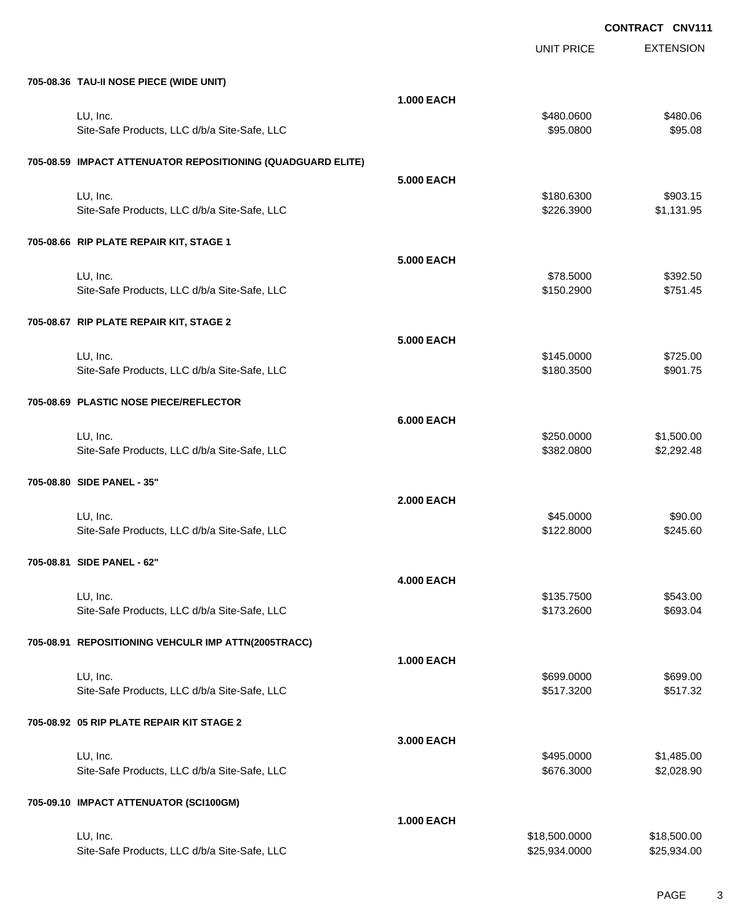UNIT PRICE

EXTENSION

| 705-08.36 TAU-II NOSE PIECE (WIDE UNIT)                     |                   |                                |                            |
|-------------------------------------------------------------|-------------------|--------------------------------|----------------------------|
|                                                             | <b>1.000 EACH</b> |                                |                            |
| LU, Inc.                                                    |                   | \$480.0600                     | \$480.06                   |
| Site-Safe Products, LLC d/b/a Site-Safe, LLC                |                   | \$95.0800                      | \$95.08                    |
| 705-08.59 IMPACT ATTENUATOR REPOSITIONING (QUADGUARD ELITE) |                   |                                |                            |
|                                                             | <b>5.000 EACH</b> |                                |                            |
| LU, Inc.                                                    |                   | \$180.6300                     | \$903.15                   |
| Site-Safe Products, LLC d/b/a Site-Safe, LLC                |                   | \$226.3900                     | \$1,131.95                 |
| 705-08.66 RIP PLATE REPAIR KIT, STAGE 1                     |                   |                                |                            |
|                                                             | <b>5.000 EACH</b> |                                |                            |
| LU, Inc.                                                    |                   | \$78.5000                      | \$392.50                   |
| Site-Safe Products, LLC d/b/a Site-Safe, LLC                |                   | \$150.2900                     | \$751.45                   |
|                                                             |                   |                                |                            |
| 705-08.67 RIP PLATE REPAIR KIT, STAGE 2                     |                   |                                |                            |
|                                                             | <b>5.000 EACH</b> |                                |                            |
| LU, Inc.                                                    |                   | \$145.0000                     | \$725.00                   |
| Site-Safe Products, LLC d/b/a Site-Safe, LLC                |                   | \$180.3500                     | \$901.75                   |
| 705-08.69 PLASTIC NOSE PIECE/REFLECTOR                      |                   |                                |                            |
|                                                             | <b>6.000 EACH</b> |                                |                            |
| LU, Inc.                                                    |                   | \$250.0000                     | \$1,500.00                 |
| Site-Safe Products, LLC d/b/a Site-Safe, LLC                |                   | \$382.0800                     | \$2,292.48                 |
| 705-08.80 SIDE PANEL - 35"                                  |                   |                                |                            |
|                                                             | <b>2.000 EACH</b> |                                |                            |
| LU, Inc.                                                    |                   | \$45.0000                      | \$90.00                    |
| Site-Safe Products, LLC d/b/a Site-Safe, LLC                |                   | \$122.8000                     | \$245.60                   |
|                                                             |                   |                                |                            |
| 705-08.81 SIDE PANEL - 62"                                  |                   |                                |                            |
|                                                             | <b>4.000 EACH</b> |                                |                            |
| LU, Inc.                                                    |                   | \$135.7500                     | \$543.00                   |
| Site-Safe Products, LLC d/b/a Site-Safe, LLC                |                   | \$173.2600                     | \$693.04                   |
| 705-08.91 REPOSITIONING VEHCULR IMP ATTN(2005TRACC)         |                   |                                |                            |
|                                                             | <b>1.000 EACH</b> |                                |                            |
| LU, Inc.                                                    |                   | \$699.0000                     | \$699.00                   |
| Site-Safe Products, LLC d/b/a Site-Safe, LLC                |                   | \$517.3200                     | \$517.32                   |
| 705-08.92 05 RIP PLATE REPAIR KIT STAGE 2                   |                   |                                |                            |
|                                                             | 3.000 EACH        |                                |                            |
| LU, Inc.                                                    |                   | \$495.0000                     | \$1,485.00                 |
| Site-Safe Products, LLC d/b/a Site-Safe, LLC                |                   | \$676.3000                     | \$2,028.90                 |
|                                                             |                   |                                |                            |
| 705-09.10 IMPACT ATTENUATOR (SCI100GM)                      |                   |                                |                            |
|                                                             | <b>1.000 EACH</b> |                                |                            |
| LU, Inc.<br>Site-Safe Products, LLC d/b/a Site-Safe, LLC    |                   | \$18,500.0000<br>\$25,934.0000 | \$18,500.00<br>\$25,934.00 |
|                                                             |                   |                                |                            |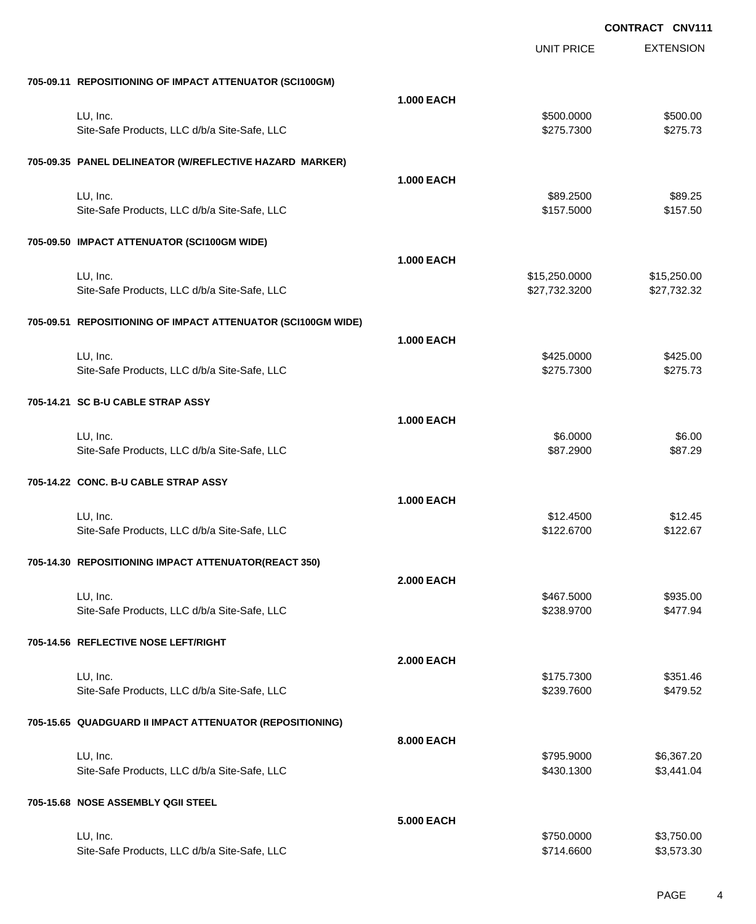|                                                              |                   | <b>UNIT PRICE</b>              | <b>EXTENSION</b>           |
|--------------------------------------------------------------|-------------------|--------------------------------|----------------------------|
| 705-09.11 REPOSITIONING OF IMPACT ATTENUATOR (SCI100GM)      |                   |                                |                            |
|                                                              | <b>1.000 EACH</b> |                                |                            |
| LU, Inc.<br>Site-Safe Products, LLC d/b/a Site-Safe, LLC     |                   | \$500.0000<br>\$275.7300       | \$500.00<br>\$275.73       |
| 705-09.35 PANEL DELINEATOR (W/REFLECTIVE HAZARD MARKER)      |                   |                                |                            |
|                                                              | <b>1.000 EACH</b> |                                |                            |
| LU, Inc.<br>Site-Safe Products, LLC d/b/a Site-Safe, LLC     |                   | \$89.2500<br>\$157.5000        | \$89.25<br>\$157.50        |
| 705-09.50 IMPACT ATTENUATOR (SCI100GM WIDE)                  |                   |                                |                            |
|                                                              | <b>1.000 EACH</b> |                                |                            |
| LU, Inc.<br>Site-Safe Products, LLC d/b/a Site-Safe, LLC     |                   | \$15,250.0000<br>\$27,732.3200 | \$15,250.00<br>\$27,732.32 |
| 705-09.51 REPOSITIONING OF IMPACT ATTENUATOR (SCI100GM WIDE) |                   |                                |                            |
| LU, Inc.                                                     | <b>1.000 EACH</b> | \$425.0000                     | \$425.00                   |
| Site-Safe Products, LLC d/b/a Site-Safe, LLC                 |                   | \$275.7300                     | \$275.73                   |
| 705-14.21 SC B-U CABLE STRAP ASSY                            |                   |                                |                            |
| LU, Inc.                                                     | <b>1.000 EACH</b> | \$6.0000                       | \$6.00                     |
| Site-Safe Products, LLC d/b/a Site-Safe, LLC                 |                   | \$87.2900                      | \$87.29                    |
| 705-14.22 CONC. B-U CABLE STRAP ASSY                         |                   |                                |                            |
| LU, Inc.                                                     | <b>1.000 EACH</b> | \$12.4500                      | \$12.45                    |
| Site-Safe Products, LLC d/b/a Site-Safe, LLC                 |                   | \$122.6700                     | \$122.67                   |
| 705-14.30 REPOSITIONING IMPACT ATTENUATOR(REACT 350)         |                   |                                |                            |
| LU, Inc.                                                     | <b>2.000 EACH</b> | \$467.5000                     | \$935.00                   |
| Site-Safe Products, LLC d/b/a Site-Safe, LLC                 |                   | \$238.9700                     | \$477.94                   |
| 705-14.56 REFLECTIVE NOSE LEFT/RIGHT                         |                   |                                |                            |
| LU, Inc.                                                     | <b>2.000 EACH</b> | \$175.7300                     | \$351.46                   |
| Site-Safe Products, LLC d/b/a Site-Safe, LLC                 |                   | \$239.7600                     | \$479.52                   |
| 705-15.65 QUADGUARD II IMPACT ATTENUATOR (REPOSITIONING)     |                   |                                |                            |
| LU, Inc.                                                     | 8.000 EACH        | \$795.9000                     | \$6,367.20                 |
| Site-Safe Products, LLC d/b/a Site-Safe, LLC                 |                   | \$430.1300                     | \$3,441.04                 |
| 705-15.68 NOSE ASSEMBLY QGII STEEL                           |                   |                                |                            |
| LU, Inc.                                                     | 5.000 EACH        | \$750.0000                     | \$3,750.00                 |
| Site-Safe Products, LLC d/b/a Site-Safe, LLC                 |                   | \$714.6600                     | \$3,573.30                 |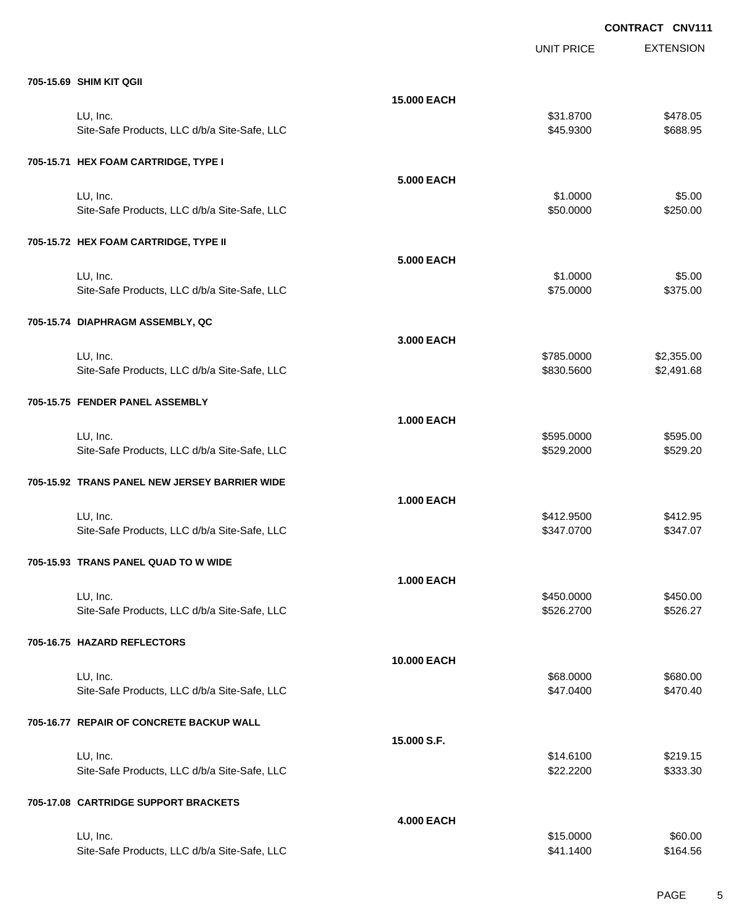EXTENSION **CONTRACT CNV111** UNIT PRICE **705-15.69 SHIM KIT QGII 15.000 EACH** LU, Inc. \$31.8700 \$478.05 Site-Safe Products, LLC d/b/a Site-Safe, LLC \$45.9300 \$688.95 **705-15.71 HEX FOAM CARTRIDGE, TYPE I 5.000 EACH** LU, Inc. \$1.0000 \$5.00 Site-Safe Products, LLC d/b/a Site-Safe, LLC \$50.000 \$250.000 \$250.000 **705-15.72 HEX FOAM CARTRIDGE, TYPE II 5.000 EACH** LU, Inc. \$1.0000 \$5.00 Site-Safe Products, LLC d/b/a Site-Safe, LLC \$75.000 \$375.000 \$375.00 **705-15.74 DIAPHRAGM ASSEMBLY, QC 3.000 EACH** LU, Inc. \$785.0000 \$2,355.00 Site-Safe Products, LLC d/b/a Site-Safe, LLC  $$830.5600$  \$2,491.68 **705-15.75 FENDER PANEL ASSEMBLY 1.000 EACH** LU, Inc. \$595.0000 \$595.00 Site-Safe Products, LLC d/b/a Site-Safe, LLC \$529.2000 \$529.2000 \$529.2000 **705-15.92 TRANS PANEL NEW JERSEY BARRIER WIDE 1.000 EACH** LU, Inc. \$412.9500 \$412.95 Site-Safe Products, LLC d/b/a Site-Safe, LLC  $$347.0700$  \$347.0700 \$347.070 **705-15.93 TRANS PANEL QUAD TO W WIDE 1.000 EACH** LU, Inc. \$450.0000 \$450.00 Site-Safe Products, LLC d/b/a Site-Safe, LLC \$526.2700 \$526.2700 \$526.27 **705-16.75 HAZARD REFLECTORS 10.000 EACH** LU, Inc. \$68.0000 \$680.00 Site-Safe Products, LLC d/b/a Site-Safe, LLC  $$47.0400$  \$47.0400  $$47.040$ **705-16.77 REPAIR OF CONCRETE BACKUP WALL 15.000 S.F.** LU, Inc. \$14.6100 \$219.15 Site-Safe Products, LLC d/b/a Site-Safe, LLC \$22.2200 \$333.30 **705-17.08 CARTRIDGE SUPPORT BRACKETS 4.000 EACH** LU, Inc. \$15.0000 \$60.00

Site-Safe Products, LLC d/b/a Site-Safe, LLC  $$41.1400$  \$164.56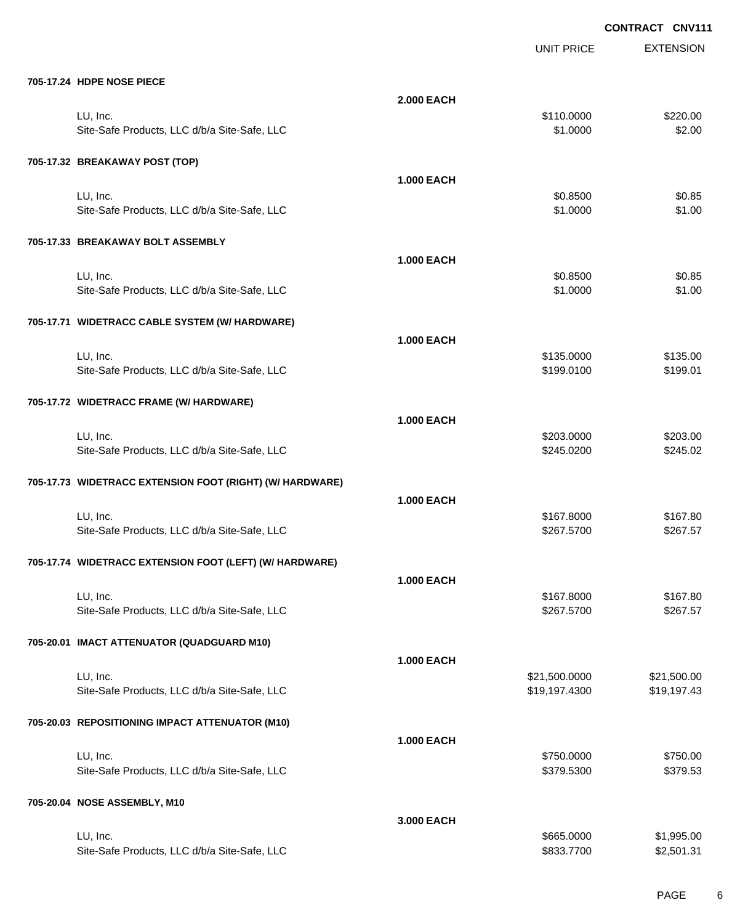UNIT PRICE

EXTENSION

| 705-17.24 HDPE NOSE PIECE                                |                   |               |             |
|----------------------------------------------------------|-------------------|---------------|-------------|
|                                                          | <b>2.000 EACH</b> |               |             |
| LU, Inc.                                                 |                   | \$110.0000    | \$220.00    |
| Site-Safe Products, LLC d/b/a Site-Safe, LLC             |                   | \$1.0000      | \$2.00      |
| 705-17.32 BREAKAWAY POST (TOP)                           |                   |               |             |
|                                                          | <b>1.000 EACH</b> |               |             |
| LU, Inc.                                                 |                   | \$0.8500      | \$0.85      |
| Site-Safe Products, LLC d/b/a Site-Safe, LLC             |                   | \$1.0000      | \$1.00      |
| 705-17.33 BREAKAWAY BOLT ASSEMBLY                        |                   |               |             |
|                                                          | <b>1.000 EACH</b> |               |             |
| LU, Inc.                                                 |                   | \$0.8500      | \$0.85      |
| Site-Safe Products, LLC d/b/a Site-Safe, LLC             |                   | \$1.0000      | \$1.00      |
| 705-17.71 WIDETRACC CABLE SYSTEM (W/ HARDWARE)           |                   |               |             |
|                                                          | <b>1.000 EACH</b> |               |             |
| LU, Inc.                                                 |                   | \$135.0000    | \$135.00    |
| Site-Safe Products, LLC d/b/a Site-Safe, LLC             |                   | \$199.0100    | \$199.01    |
| 705-17.72 WIDETRACC FRAME (W/ HARDWARE)                  |                   |               |             |
|                                                          | <b>1.000 EACH</b> |               |             |
| LU, Inc.                                                 |                   | \$203.0000    | \$203.00    |
| Site-Safe Products, LLC d/b/a Site-Safe, LLC             |                   | \$245.0200    | \$245.02    |
| 705-17.73 WIDETRACC EXTENSION FOOT (RIGHT) (W/ HARDWARE) |                   |               |             |
|                                                          | <b>1.000 EACH</b> |               |             |
| LU, Inc.                                                 |                   | \$167.8000    | \$167.80    |
| Site-Safe Products, LLC d/b/a Site-Safe, LLC             |                   | \$267.5700    | \$267.57    |
| 705-17.74 WIDETRACC EXTENSION FOOT (LEFT) (W/ HARDWARE)  |                   |               |             |
|                                                          | <b>1.000 EACH</b> |               |             |
| LU. Inc.                                                 |                   | \$167.8000    | \$167.80    |
| Site-Safe Products, LLC d/b/a Site-Safe, LLC             |                   | \$267.5700    | \$267.57    |
| 705-20.01 IMACT ATTENUATOR (QUADGUARD M10)               |                   |               |             |
|                                                          | <b>1.000 EACH</b> |               |             |
| LU, Inc.                                                 |                   | \$21,500.0000 | \$21,500.00 |
| Site-Safe Products, LLC d/b/a Site-Safe, LLC             |                   | \$19,197.4300 | \$19,197.43 |
| 705-20.03 REPOSITIONING IMPACT ATTENUATOR (M10)          |                   |               |             |
|                                                          | <b>1.000 EACH</b> |               |             |
| LU, Inc.                                                 |                   | \$750.0000    | \$750.00    |
| Site-Safe Products, LLC d/b/a Site-Safe, LLC             |                   | \$379.5300    | \$379.53    |
| 705-20.04 NOSE ASSEMBLY, M10                             |                   |               |             |
|                                                          | 3.000 EACH        |               |             |
| LU, Inc.                                                 |                   | \$665.0000    | \$1,995.00  |
| Site-Safe Products, LLC d/b/a Site-Safe, LLC             |                   | \$833.7700    | \$2,501.31  |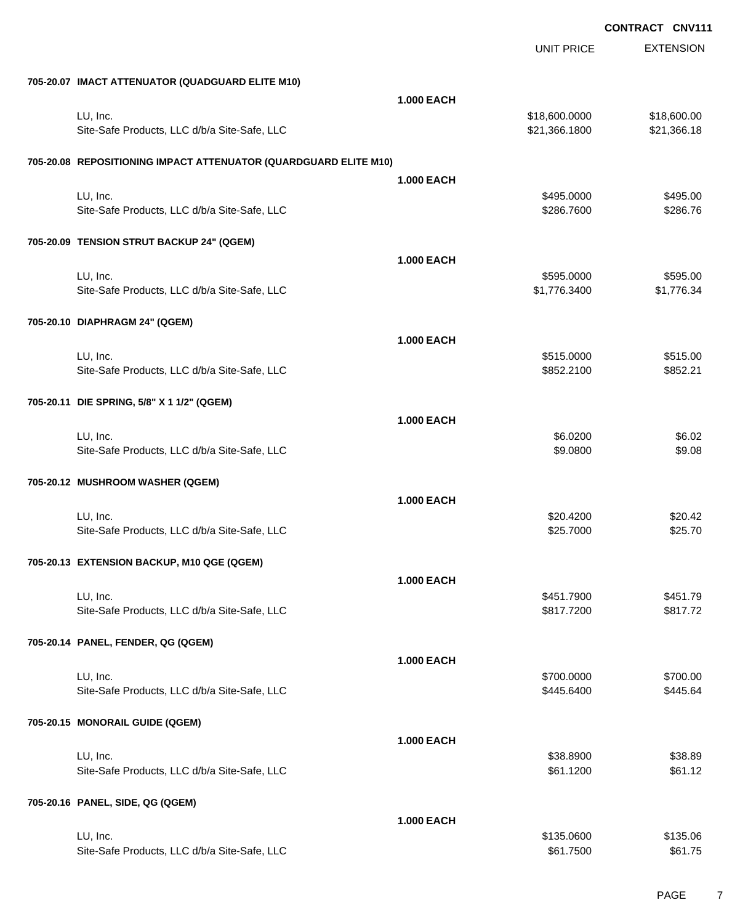|                                                                  |                   | UNIT PRICE               | <b>EXTENSION</b>   |
|------------------------------------------------------------------|-------------------|--------------------------|--------------------|
| 705-20.07 IMACT ATTENUATOR (QUADGUARD ELITE M10)                 |                   |                          |                    |
|                                                                  | <b>1.000 EACH</b> |                          |                    |
| LU, Inc.                                                         |                   | \$18,600.0000            | \$18,600.00        |
| Site-Safe Products, LLC d/b/a Site-Safe, LLC                     |                   | \$21,366.1800            | \$21,366.18        |
| 705-20.08 REPOSITIONING IMPACT ATTENUATOR (QUARDGUARD ELITE M10) |                   |                          |                    |
|                                                                  | <b>1.000 EACH</b> |                          |                    |
| LU, Inc.                                                         |                   | \$495.0000               | \$495.00           |
| Site-Safe Products, LLC d/b/a Site-Safe, LLC                     |                   | \$286.7600               | \$286.76           |
| 705-20.09 TENSION STRUT BACKUP 24" (QGEM)                        |                   |                          |                    |
|                                                                  | <b>1.000 EACH</b> |                          |                    |
| LU, Inc.                                                         |                   | \$595.0000               | \$595.00           |
| Site-Safe Products, LLC d/b/a Site-Safe, LLC                     |                   | \$1,776.3400             | \$1,776.34         |
| 705-20.10 DIAPHRAGM 24" (QGEM)                                   |                   |                          |                    |
|                                                                  | <b>1.000 EACH</b> |                          |                    |
| LU, Inc.                                                         |                   | \$515.0000               | \$515.00           |
| Site-Safe Products, LLC d/b/a Site-Safe, LLC                     |                   | \$852.2100               | \$852.21           |
| 705-20.11 DIE SPRING, 5/8" X 1 1/2" (QGEM)                       |                   |                          |                    |
|                                                                  | <b>1.000 EACH</b> |                          |                    |
| LU, Inc.                                                         |                   | \$6.0200                 | \$6.02             |
| Site-Safe Products, LLC d/b/a Site-Safe, LLC                     |                   | \$9.0800                 | \$9.08             |
|                                                                  |                   |                          |                    |
| 705-20.12 MUSHROOM WASHER (QGEM)                                 | <b>1.000 EACH</b> |                          |                    |
| LU, Inc.                                                         |                   | \$20.4200                | \$20.42            |
| Site-Safe Products, LLC d/b/a Site-Safe, LLC                     |                   | \$25.7000                | \$25.70            |
|                                                                  |                   |                          |                    |
| 705-20.13 EXTENSION BACKUP, M10 QGE (QGEM)                       |                   |                          |                    |
| LU, Inc.                                                         | <b>1.000 EACH</b> | \$451.7900               | \$451.79           |
| Site-Safe Products, LLC d/b/a Site-Safe, LLC                     |                   | \$817.7200               | \$817.72           |
|                                                                  |                   |                          |                    |
| 705-20.14 PANEL, FENDER, QG (QGEM)                               |                   |                          |                    |
| LU, Inc.                                                         | <b>1.000 EACH</b> |                          | \$700.00           |
| Site-Safe Products, LLC d/b/a Site-Safe, LLC                     |                   | \$700.0000<br>\$445.6400 | \$445.64           |
|                                                                  |                   |                          |                    |
| 705-20.15 MONORAIL GUIDE (QGEM)                                  |                   |                          |                    |
|                                                                  | <b>1.000 EACH</b> |                          |                    |
| LU, Inc.<br>Site-Safe Products, LLC d/b/a Site-Safe, LLC         |                   | \$38.8900<br>\$61.1200   | \$38.89<br>\$61.12 |
|                                                                  |                   |                          |                    |
| 705-20.16 PANEL, SIDE, QG (QGEM)                                 |                   |                          |                    |
|                                                                  | <b>1.000 EACH</b> |                          |                    |
| LU, Inc.                                                         |                   | \$135.0600               | \$135.06           |
| Site-Safe Products, LLC d/b/a Site-Safe, LLC                     |                   | \$61.7500                | \$61.75            |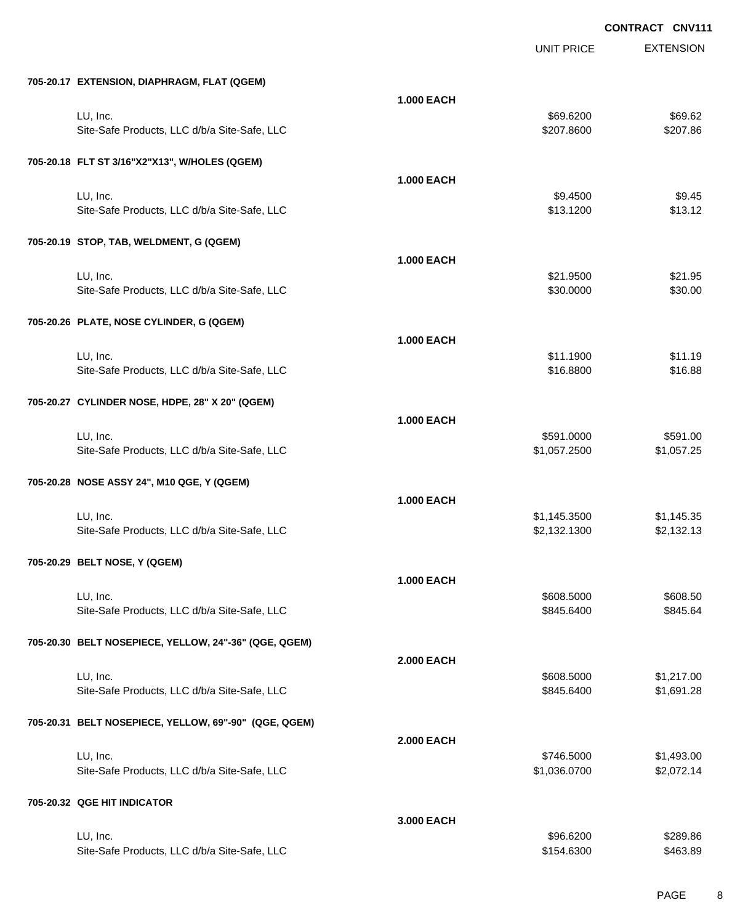|                                                       |                   | <b>UNIT PRICE</b> | <b>EXTENSION</b> |
|-------------------------------------------------------|-------------------|-------------------|------------------|
| 705-20.17 EXTENSION, DIAPHRAGM, FLAT (QGEM)           |                   |                   |                  |
|                                                       | <b>1.000 EACH</b> |                   |                  |
| LU, Inc.                                              |                   | \$69.6200         | \$69.62          |
| Site-Safe Products, LLC d/b/a Site-Safe, LLC          |                   | \$207.8600        | \$207.86         |
| 705-20.18 FLT ST 3/16"X2"X13", W/HOLES (QGEM)         |                   |                   |                  |
|                                                       | <b>1.000 EACH</b> |                   |                  |
| LU, Inc.                                              |                   | \$9.4500          | \$9.45           |
| Site-Safe Products, LLC d/b/a Site-Safe, LLC          |                   | \$13.1200         | \$13.12          |
| 705-20.19 STOP, TAB, WELDMENT, G (QGEM)               |                   |                   |                  |
|                                                       | <b>1.000 EACH</b> |                   |                  |
| LU, Inc.                                              |                   | \$21.9500         | \$21.95          |
| Site-Safe Products, LLC d/b/a Site-Safe, LLC          |                   | \$30.0000         | \$30.00          |
| 705-20.26 PLATE, NOSE CYLINDER, G (QGEM)              |                   |                   |                  |
|                                                       | <b>1.000 EACH</b> |                   |                  |
| LU, Inc.                                              |                   | \$11.1900         | \$11.19          |
| Site-Safe Products, LLC d/b/a Site-Safe, LLC          |                   | \$16.8800         | \$16.88          |
| 705-20.27 CYLINDER NOSE, HDPE, 28" X 20" (QGEM)       |                   |                   |                  |
|                                                       | <b>1.000 EACH</b> |                   |                  |
| LU, Inc.                                              |                   | \$591.0000        | \$591.00         |
| Site-Safe Products, LLC d/b/a Site-Safe, LLC          |                   | \$1,057.2500      | \$1,057.25       |
| 705-20.28 NOSE ASSY 24", M10 QGE, Y (QGEM)            |                   |                   |                  |
|                                                       | <b>1.000 EACH</b> |                   |                  |
| LU, Inc.                                              |                   | \$1,145.3500      | \$1,145.35       |
| Site-Safe Products, LLC d/b/a Site-Safe, LLC          |                   | \$2,132.1300      | \$2,132.13       |
| 705-20.29 BELT NOSE, Y (QGEM)                         |                   |                   |                  |
|                                                       | <b>1.000 EACH</b> |                   |                  |
| LU, Inc.                                              |                   | \$608.5000        | \$608.50         |
| Site-Safe Products, LLC d/b/a Site-Safe, LLC          |                   | \$845.6400        | \$845.64         |
| 705-20.30 BELT NOSEPIECE, YELLOW, 24"-36" (QGE, QGEM) |                   |                   |                  |
|                                                       | <b>2.000 EACH</b> |                   |                  |
| LU, Inc.                                              |                   | \$608.5000        | \$1,217.00       |
| Site-Safe Products, LLC d/b/a Site-Safe, LLC          |                   | \$845.6400        | \$1,691.28       |
| 705-20.31 BELT NOSEPIECE, YELLOW, 69"-90" (QGE, QGEM) |                   |                   |                  |
|                                                       | <b>2.000 EACH</b> |                   |                  |
| LU, Inc.                                              |                   | \$746.5000        | \$1,493.00       |
| Site-Safe Products, LLC d/b/a Site-Safe, LLC          |                   | \$1,036.0700      | \$2,072.14       |
| 705-20.32 QGE HIT INDICATOR                           |                   |                   |                  |
|                                                       | 3.000 EACH        |                   |                  |
| LU, Inc.                                              |                   | \$96.6200         | \$289.86         |
| Site-Safe Products, LLC d/b/a Site-Safe, LLC          |                   | \$154.6300        | \$463.89         |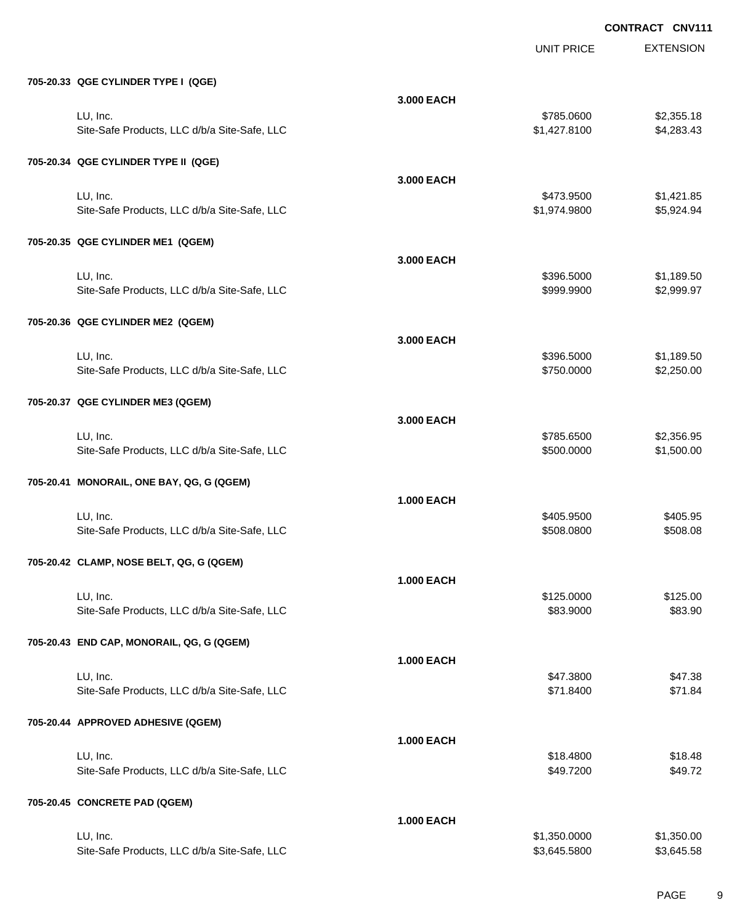|                                              |                   | <b>UNIT PRICE</b> | <b>EXTENSION</b> |
|----------------------------------------------|-------------------|-------------------|------------------|
| 705-20.33 QGE CYLINDER TYPE I (QGE)          |                   |                   |                  |
|                                              | 3.000 EACH        |                   |                  |
| LU, Inc.                                     |                   | \$785.0600        | \$2,355.18       |
| Site-Safe Products, LLC d/b/a Site-Safe, LLC |                   | \$1,427.8100      | \$4,283.43       |
| 705-20.34 QGE CYLINDER TYPE II (QGE)         |                   |                   |                  |
|                                              | 3.000 EACH        |                   |                  |
| LU, Inc.                                     |                   | \$473.9500        | \$1,421.85       |
| Site-Safe Products, LLC d/b/a Site-Safe, LLC |                   | \$1,974.9800      | \$5,924.94       |
| 705-20.35 QGE CYLINDER ME1 (QGEM)            |                   |                   |                  |
|                                              | 3.000 EACH        |                   |                  |
| LU, Inc.                                     |                   | \$396.5000        | \$1,189.50       |
| Site-Safe Products, LLC d/b/a Site-Safe, LLC |                   | \$999.9900        | \$2,999.97       |
| 705-20.36 QGE CYLINDER ME2 (QGEM)            |                   |                   |                  |
|                                              | 3.000 EACH        |                   |                  |
| LU, Inc.                                     |                   | \$396.5000        | \$1,189.50       |
| Site-Safe Products, LLC d/b/a Site-Safe, LLC |                   | \$750.0000        | \$2,250.00       |
| 705-20.37 QGE CYLINDER ME3 (QGEM)            |                   |                   |                  |
|                                              | 3.000 EACH        |                   |                  |
| LU, Inc.                                     |                   | \$785.6500        | \$2,356.95       |
| Site-Safe Products, LLC d/b/a Site-Safe, LLC |                   | \$500.0000        | \$1,500.00       |
| 705-20.41 MONORAIL, ONE BAY, QG, G (QGEM)    |                   |                   |                  |
|                                              | <b>1.000 EACH</b> |                   |                  |
| LU, Inc.                                     |                   | \$405.9500        | \$405.95         |
| Site-Safe Products, LLC d/b/a Site-Safe, LLC |                   | \$508.0800        | \$508.08         |
| 705-20.42 CLAMP, NOSE BELT, QG, G (QGEM)     |                   |                   |                  |
|                                              | <b>1.000 EACH</b> |                   |                  |
| LU, Inc.                                     |                   | \$125.0000        | \$125.00         |
| Site-Safe Products, LLC d/b/a Site-Safe, LLC |                   | \$83.9000         | \$83.90          |
| 705-20.43 END CAP, MONORAIL, QG, G (QGEM)    |                   |                   |                  |
|                                              | <b>1.000 EACH</b> |                   |                  |
| LU, Inc.                                     |                   | \$47.3800         | \$47.38          |
| Site-Safe Products, LLC d/b/a Site-Safe, LLC |                   | \$71.8400         | \$71.84          |
| 705-20.44 APPROVED ADHESIVE (QGEM)           |                   |                   |                  |
|                                              | <b>1.000 EACH</b> |                   |                  |
| LU, Inc.                                     |                   | \$18.4800         | \$18.48          |
| Site-Safe Products, LLC d/b/a Site-Safe, LLC |                   | \$49.7200         | \$49.72          |
| 705-20.45 CONCRETE PAD (QGEM)                |                   |                   |                  |
|                                              | <b>1.000 EACH</b> |                   |                  |
| LU, Inc.                                     |                   | \$1,350.0000      | \$1,350.00       |
| Site-Safe Products, LLC d/b/a Site-Safe, LLC |                   | \$3,645.5800      | \$3,645.58       |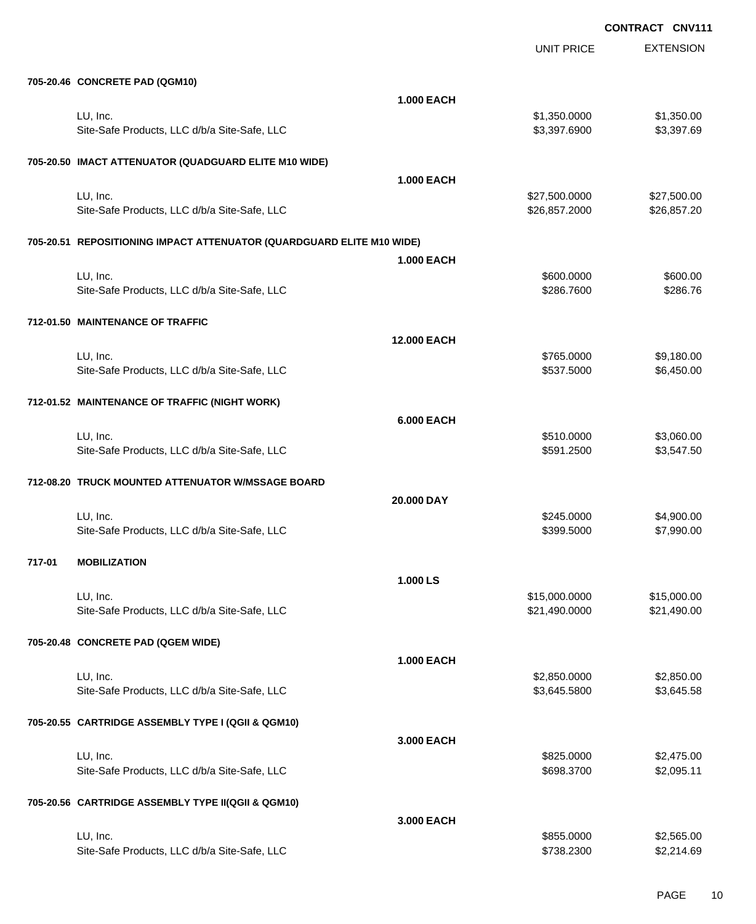|        |                                                                       |                    | <b>UNIT PRICE</b> | <b>EXTENSION</b> |
|--------|-----------------------------------------------------------------------|--------------------|-------------------|------------------|
|        | 705-20.46 CONCRETE PAD (QGM10)                                        |                    |                   |                  |
|        |                                                                       | <b>1.000 EACH</b>  |                   |                  |
|        | LU, Inc.                                                              |                    | \$1,350.0000      | \$1,350.00       |
|        | Site-Safe Products, LLC d/b/a Site-Safe, LLC                          |                    | \$3,397.6900      | \$3,397.69       |
|        |                                                                       |                    |                   |                  |
|        | 705-20.50 IMACT ATTENUATOR (QUADGUARD ELITE M10 WIDE)                 |                    |                   |                  |
|        |                                                                       | <b>1.000 EACH</b>  |                   |                  |
|        | LU, Inc.                                                              |                    | \$27,500.0000     | \$27,500.00      |
|        | Site-Safe Products, LLC d/b/a Site-Safe, LLC                          |                    | \$26,857.2000     | \$26,857.20      |
|        | 705-20.51 REPOSITIONING IMPACT ATTENUATOR (QUARDGUARD ELITE M10 WIDE) |                    |                   |                  |
|        |                                                                       | <b>1.000 EACH</b>  |                   |                  |
|        | LU, Inc.                                                              |                    | \$600.0000        | \$600.00         |
|        | Site-Safe Products, LLC d/b/a Site-Safe, LLC                          |                    | \$286.7600        | \$286.76         |
|        |                                                                       |                    |                   |                  |
|        | 712-01.50 MAINTENANCE OF TRAFFIC                                      |                    |                   |                  |
|        |                                                                       | <b>12.000 EACH</b> |                   |                  |
|        | LU, Inc.                                                              |                    | \$765.0000        | \$9,180.00       |
|        | Site-Safe Products, LLC d/b/a Site-Safe, LLC                          |                    | \$537.5000        | \$6,450.00       |
|        | 712-01.52 MAINTENANCE OF TRAFFIC (NIGHT WORK)                         |                    |                   |                  |
|        |                                                                       | <b>6.000 EACH</b>  |                   |                  |
|        | LU, Inc.                                                              |                    | \$510.0000        | \$3,060.00       |
|        | Site-Safe Products, LLC d/b/a Site-Safe, LLC                          |                    | \$591.2500        | \$3,547.50       |
|        |                                                                       |                    |                   |                  |
|        | 712-08.20 TRUCK MOUNTED ATTENUATOR W/MSSAGE BOARD                     |                    |                   |                  |
|        |                                                                       | 20.000 DAY         |                   |                  |
|        | LU, Inc.                                                              |                    | \$245.0000        | \$4,900.00       |
|        | Site-Safe Products, LLC d/b/a Site-Safe, LLC                          |                    | \$399.5000        | \$7,990.00       |
|        |                                                                       |                    |                   |                  |
| 717-01 | <b>MOBILIZATION</b>                                                   |                    |                   |                  |
|        |                                                                       | 1.000 LS           |                   |                  |
|        | LU, Inc.                                                              |                    | \$15,000.0000     | \$15,000.00      |
|        | Site-Safe Products, LLC d/b/a Site-Safe, LLC                          |                    | \$21,490.0000     | \$21,490.00      |
|        | 705-20.48 CONCRETE PAD (QGEM WIDE)                                    |                    |                   |                  |
|        |                                                                       | <b>1.000 EACH</b>  |                   |                  |
|        | LU, Inc.                                                              |                    | \$2,850.0000      | \$2,850.00       |
|        | Site-Safe Products, LLC d/b/a Site-Safe, LLC                          |                    | \$3,645.5800      | \$3,645.58       |
|        |                                                                       |                    |                   |                  |
|        | 705-20.55 CARTRIDGE ASSEMBLY TYPE I (QGII & QGM10)                    |                    |                   |                  |
|        |                                                                       | 3.000 EACH         |                   |                  |
|        | LU, Inc.                                                              |                    | \$825.0000        | \$2,475.00       |
|        | Site-Safe Products, LLC d/b/a Site-Safe, LLC                          |                    | \$698.3700        | \$2,095.11       |
|        | 705-20.56 CARTRIDGE ASSEMBLY TYPE II(QGII & QGM10)                    |                    |                   |                  |
|        |                                                                       | 3.000 EACH         |                   |                  |
|        | LU, Inc.                                                              |                    | \$855.0000        | \$2,565.00       |
|        | Site-Safe Products, LLC d/b/a Site-Safe, LLC                          |                    | \$738.2300        | \$2,214.69       |
|        |                                                                       |                    |                   |                  |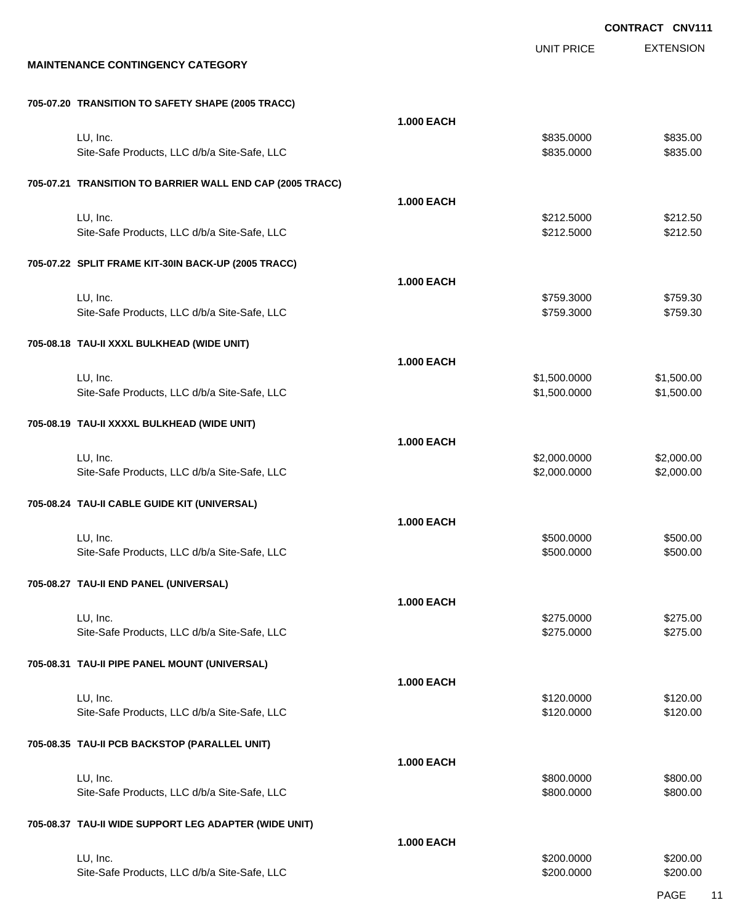EXTENSION UNIT PRICE **MAINTENANCE CONTINGENCY CATEGORY 705-07.20 TRANSITION TO SAFETY SHAPE (2005 TRACC) 1.000 EACH** LU, Inc. \$835.0000 \$835.00 Site-Safe Products, LLC d/b/a Site-Safe, LLC  $$835.000$  \$835.0000 \$835.000 **705-07.21 TRANSITION TO BARRIER WALL END CAP (2005 TRACC) 1.000 EACH** LU, Inc. \$212.5000 \$212.50 Site-Safe Products, LLC d/b/a Site-Safe, LLC 6 (1992) 68:4000 \$212.5000 \$212.5000 \$212.5000 **705-07.22 SPLIT FRAME KIT-30IN BACK-UP (2005 TRACC) 1.000 EACH** LU, Inc. \$759.3000 \$759.30 Site-Safe Products, LLC d/b/a Site-Safe, LLC \$759.3000 \$759.3000 \$759.3000 **705-08.18 TAU-II XXXL BULKHEAD (WIDE UNIT) 1.000 EACH** LU, Inc. \$1,500.0000 \$1,500.00 Site-Safe Products, LLC d/b/a Site-Safe, LLC  $$1,500.000$  \$1,500.000 \$1,500.00 **705-08.19 TAU-II XXXXL BULKHEAD (WIDE UNIT) 1.000 EACH** LU, Inc. \$2,000.0000 \$2,000.00 Site-Safe Products, LLC d/b/a Site-Safe, LLC \$2,000.000 \$2,000.000 \$2,000.000 \$2,000.00 **705-08.24 TAU-II CABLE GUIDE KIT (UNIVERSAL) 1.000 EACH** LU, Inc. \$500.0000 \$500.00 Site-Safe Products, LLC d/b/a Site-Safe, LLC  $$500.000$  \$500.000 \$500.000 **705-08.27 TAU-II END PANEL (UNIVERSAL) 1.000 EACH** LU, Inc. \$275.0000 \$275.00 Site-Safe Products, LLC d/b/a Site-Safe, LLC  $$275.000$  \$275.0000 \$275.000 **705-08.31 TAU-II PIPE PANEL MOUNT (UNIVERSAL) 1.000 EACH** LU, Inc. \$120.0000 \$120.00 Site-Safe Products, LLC d/b/a Site-Safe, LLC  $$120.000$  \$120.000 \$120.00 **705-08.35 TAU-II PCB BACKSTOP (PARALLEL UNIT) 1.000 EACH** LU, Inc. \$800.0000 \$800.00 Site-Safe Products, LLC d/b/a Site-Safe, LLC  $$800.000$  \$800.000 \$800.000 **705-08.37 TAU-II WIDE SUPPORT LEG ADAPTER (WIDE UNIT) 1.000 EACH** LU, Inc. \$200.0000 \$200.00

Site-Safe Products, LLC d/b/a Site-Safe, LLC \$200.000 \$200.000 \$200.000

PAGE 11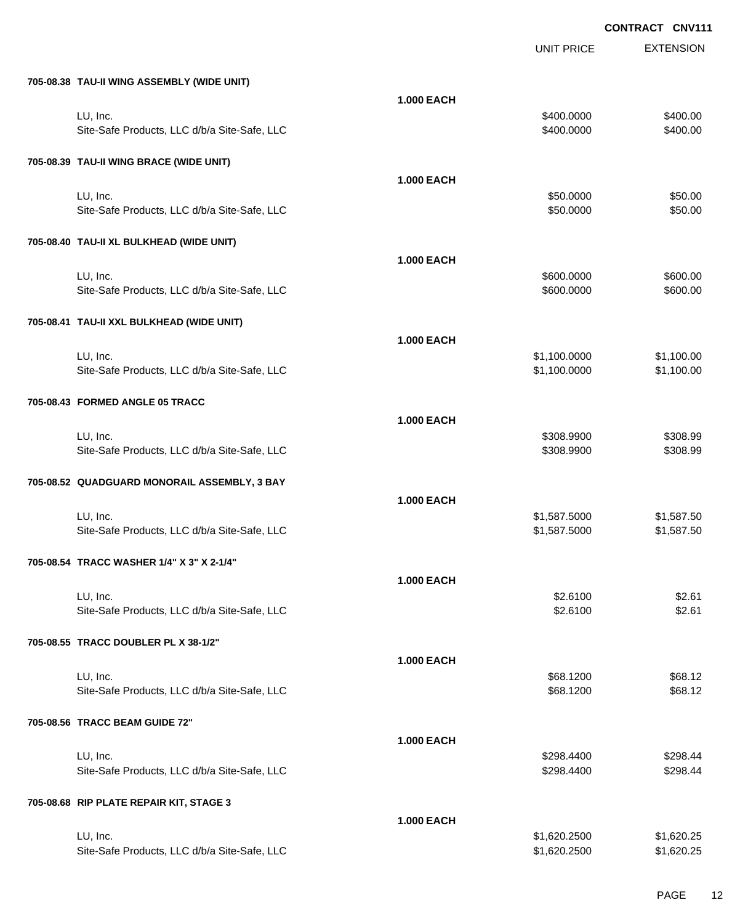|                                              |                   | <b>UNIT PRICE</b> | <b>EXTENSION</b> |
|----------------------------------------------|-------------------|-------------------|------------------|
| 705-08.38 TAU-II WING ASSEMBLY (WIDE UNIT)   |                   |                   |                  |
|                                              | <b>1.000 EACH</b> |                   |                  |
| LU, Inc.                                     |                   | \$400.0000        | \$400.00         |
| Site-Safe Products, LLC d/b/a Site-Safe, LLC |                   | \$400.0000        | \$400.00         |
| 705-08.39 TAU-II WING BRACE (WIDE UNIT)      |                   |                   |                  |
|                                              | <b>1.000 EACH</b> |                   |                  |
| LU, Inc.                                     |                   | \$50.0000         | \$50.00          |
| Site-Safe Products, LLC d/b/a Site-Safe, LLC |                   | \$50.0000         | \$50.00          |
| 705-08.40 TAU-II XL BULKHEAD (WIDE UNIT)     |                   |                   |                  |
|                                              | <b>1.000 EACH</b> |                   |                  |
| LU, Inc.                                     |                   | \$600.0000        | \$600.00         |
| Site-Safe Products, LLC d/b/a Site-Safe, LLC |                   | \$600.0000        | \$600.00         |
| 705-08.41 TAU-II XXL BULKHEAD (WIDE UNIT)    |                   |                   |                  |
|                                              | <b>1.000 EACH</b> |                   |                  |
| LU, Inc.                                     |                   | \$1,100.0000      | \$1,100.00       |
| Site-Safe Products, LLC d/b/a Site-Safe, LLC |                   | \$1,100.0000      | \$1,100.00       |
| 705-08.43 FORMED ANGLE 05 TRACC              |                   |                   |                  |
|                                              | <b>1.000 EACH</b> |                   |                  |
| LU, Inc.                                     |                   | \$308.9900        | \$308.99         |
| Site-Safe Products, LLC d/b/a Site-Safe, LLC |                   | \$308.9900        | \$308.99         |
| 705-08.52 QUADGUARD MONORAIL ASSEMBLY, 3 BAY |                   |                   |                  |
|                                              | <b>1.000 EACH</b> |                   |                  |
| LU, Inc.                                     |                   | \$1,587.5000      | \$1,587.50       |
| Site-Safe Products, LLC d/b/a Site-Safe, LLC |                   | \$1,587.5000      | \$1,587.50       |
| 705-08.54 TRACC WASHER 1/4" X 3" X 2-1/4"    |                   |                   |                  |
|                                              | <b>1.000 EACH</b> |                   |                  |
| LU, Inc.                                     |                   | \$2.6100          | \$2.61           |
| Site-Safe Products, LLC d/b/a Site-Safe, LLC |                   | \$2.6100          | \$2.61           |
| 705-08.55 TRACC DOUBLER PL X 38-1/2"         |                   |                   |                  |
|                                              | <b>1.000 EACH</b> |                   |                  |
| LU, Inc.                                     |                   | \$68.1200         | \$68.12          |
| Site-Safe Products, LLC d/b/a Site-Safe, LLC |                   | \$68.1200         | \$68.12          |
| 705-08.56 TRACC BEAM GUIDE 72"               |                   |                   |                  |
|                                              | <b>1.000 EACH</b> |                   |                  |
| LU, Inc.                                     |                   | \$298.4400        | \$298.44         |
| Site-Safe Products, LLC d/b/a Site-Safe, LLC |                   | \$298.4400        | \$298.44         |
| 705-08.68 RIP PLATE REPAIR KIT, STAGE 3      |                   |                   |                  |
|                                              | <b>1.000 EACH</b> |                   |                  |
| LU, Inc.                                     |                   | \$1,620.2500      | \$1,620.25       |
| Site-Safe Products, LLC d/b/a Site-Safe, LLC |                   | \$1,620.2500      | \$1,620.25       |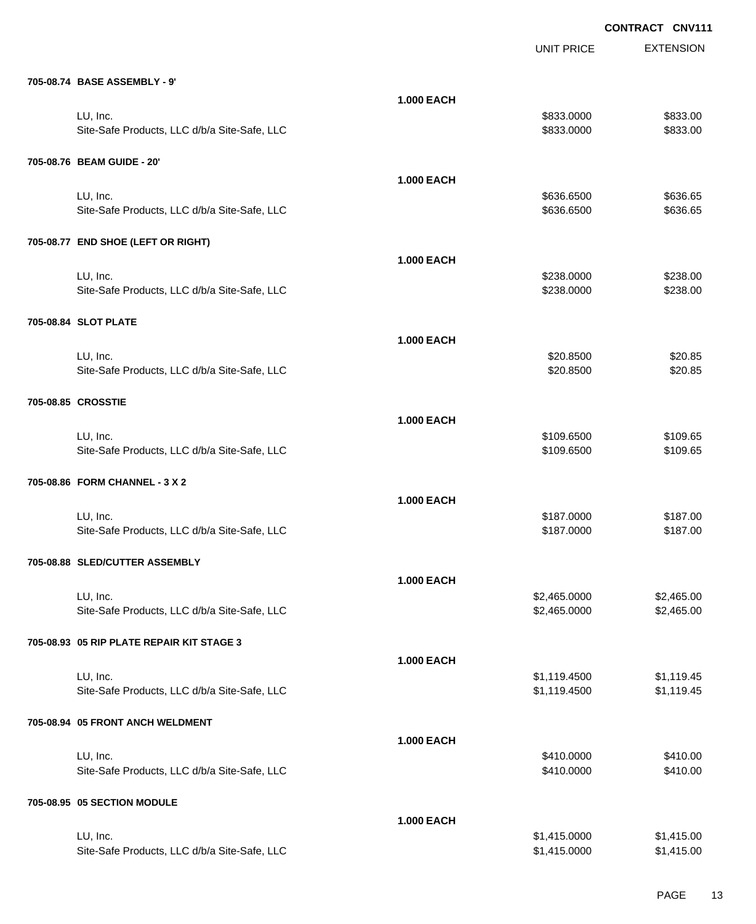|                                              |                   | <b>UNIT PRICE</b> | <b>EXTENSION</b> |
|----------------------------------------------|-------------------|-------------------|------------------|
| 705-08.74 BASE ASSEMBLY - 9'                 |                   |                   |                  |
|                                              | <b>1.000 EACH</b> |                   |                  |
| LU, Inc.                                     |                   | \$833.0000        | \$833.00         |
| Site-Safe Products, LLC d/b/a Site-Safe, LLC |                   | \$833.0000        | \$833.00         |
| 705-08.76 BEAM GUIDE - 20'                   |                   |                   |                  |
|                                              | <b>1.000 EACH</b> |                   |                  |
| LU, Inc.                                     |                   | \$636.6500        | \$636.65         |
| Site-Safe Products, LLC d/b/a Site-Safe, LLC |                   | \$636.6500        | \$636.65         |
| 705-08.77 END SHOE (LEFT OR RIGHT)           |                   |                   |                  |
|                                              | <b>1.000 EACH</b> |                   |                  |
| LU, Inc.                                     |                   | \$238.0000        | \$238.00         |
| Site-Safe Products, LLC d/b/a Site-Safe, LLC |                   | \$238.0000        | \$238.00         |
| 705-08.84 SLOT PLATE                         |                   |                   |                  |
|                                              | <b>1.000 EACH</b> |                   |                  |
| LU, Inc.                                     |                   | \$20.8500         | \$20.85          |
| Site-Safe Products, LLC d/b/a Site-Safe, LLC |                   | \$20.8500         | \$20.85          |
|                                              |                   |                   |                  |
| 705-08.85 CROSSTIE                           |                   |                   |                  |
|                                              | <b>1.000 EACH</b> |                   |                  |
| LU, Inc.                                     |                   | \$109.6500        | \$109.65         |
| Site-Safe Products, LLC d/b/a Site-Safe, LLC |                   | \$109.6500        | \$109.65         |
| 705-08.86 FORM CHANNEL - 3 X 2               |                   |                   |                  |
|                                              | <b>1.000 EACH</b> |                   |                  |
| LU, Inc.                                     |                   | \$187.0000        | \$187.00         |
| Site-Safe Products, LLC d/b/a Site-Safe, LLC |                   | \$187.0000        | \$187.00         |
| 705-08.88 SLED/CUTTER ASSEMBLY               |                   |                   |                  |
|                                              | <b>1.000 EACH</b> |                   |                  |
| LU, Inc.                                     |                   | \$2,465.0000      | \$2,465.00       |
| Site-Safe Products, LLC d/b/a Site-Safe, LLC |                   | \$2,465.0000      | \$2,465.00       |
| 705-08.93 05 RIP PLATE REPAIR KIT STAGE 3    |                   |                   |                  |
|                                              | <b>1.000 EACH</b> |                   |                  |
| LU, Inc.                                     |                   | \$1,119.4500      | \$1,119.45       |
| Site-Safe Products, LLC d/b/a Site-Safe, LLC |                   | \$1,119.4500      | \$1,119.45       |
| 705-08.94 05 FRONT ANCH WELDMENT             |                   |                   |                  |
|                                              | <b>1.000 EACH</b> |                   |                  |
| LU, Inc.                                     |                   | \$410.0000        | \$410.00         |
| Site-Safe Products, LLC d/b/a Site-Safe, LLC |                   | \$410.0000        | \$410.00         |
| 705-08.95 05 SECTION MODULE                  |                   |                   |                  |
|                                              | <b>1.000 EACH</b> |                   |                  |
| LU, Inc.                                     |                   | \$1,415.0000      | \$1,415.00       |
| Site-Safe Products, LLC d/b/a Site-Safe, LLC |                   | \$1,415.0000      | \$1,415.00       |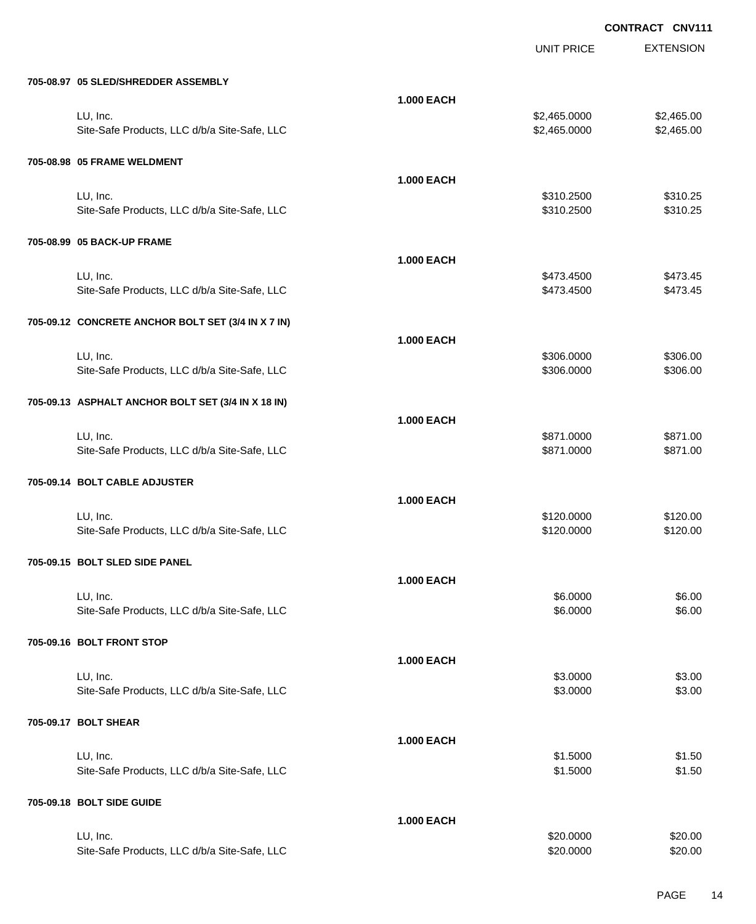UNIT PRICE

EXTENSION

| 705-08.97 05 SLED/SHREDDER ASSEMBLY                      |                   |                              |                          |
|----------------------------------------------------------|-------------------|------------------------------|--------------------------|
| LU, Inc.<br>Site-Safe Products, LLC d/b/a Site-Safe, LLC | <b>1.000 EACH</b> | \$2,465.0000<br>\$2,465.0000 | \$2,465.00<br>\$2,465.00 |
| 705-08.98 05 FRAME WELDMENT                              |                   |                              |                          |
| LU, Inc.<br>Site-Safe Products, LLC d/b/a Site-Safe, LLC | <b>1.000 EACH</b> | \$310.2500<br>\$310.2500     | \$310.25<br>\$310.25     |
| 705-08.99 05 BACK-UP FRAME                               |                   |                              |                          |
| LU, Inc.<br>Site-Safe Products, LLC d/b/a Site-Safe, LLC | <b>1.000 EACH</b> | \$473.4500<br>\$473.4500     | \$473.45<br>\$473.45     |
| 705-09.12 CONCRETE ANCHOR BOLT SET (3/4 IN X 7 IN)       |                   |                              |                          |
| LU, Inc.<br>Site-Safe Products, LLC d/b/a Site-Safe, LLC | <b>1.000 EACH</b> | \$306.0000<br>\$306.0000     | \$306.00<br>\$306.00     |
| 705-09.13 ASPHALT ANCHOR BOLT SET (3/4 IN X 18 IN)       |                   |                              |                          |
| LU, Inc.<br>Site-Safe Products, LLC d/b/a Site-Safe, LLC | <b>1.000 EACH</b> | \$871.0000<br>\$871.0000     | \$871.00<br>\$871.00     |
| 705-09.14 BOLT CABLE ADJUSTER                            |                   |                              |                          |
| LU, Inc.<br>Site-Safe Products, LLC d/b/a Site-Safe, LLC | <b>1.000 EACH</b> | \$120.0000<br>\$120.0000     | \$120.00<br>\$120.00     |
| 705-09.15 BOLT SLED SIDE PANEL                           |                   |                              |                          |
| LU, Inc.<br>Site-Safe Products, LLC d/b/a Site-Safe, LLC | <b>1.000 EACH</b> | \$6.0000<br>\$6.0000         | \$6.00<br>\$6.00         |
| 705-09.16 BOLT FRONT STOP                                |                   |                              |                          |
| LU, Inc.<br>Site-Safe Products, LLC d/b/a Site-Safe, LLC | <b>1.000 EACH</b> | \$3.0000<br>\$3.0000         | \$3.00<br>\$3.00         |
| 705-09.17 BOLT SHEAR                                     |                   |                              |                          |
| LU, Inc.<br>Site-Safe Products, LLC d/b/a Site-Safe, LLC | <b>1.000 EACH</b> | \$1.5000<br>\$1.5000         | \$1.50<br>\$1.50         |
| 705-09.18 BOLT SIDE GUIDE                                |                   |                              |                          |
| LU, Inc.<br>Site-Safe Products, LLC d/b/a Site-Safe, LLC | <b>1.000 EACH</b> | \$20.0000<br>\$20.0000       | \$20.00<br>\$20.00       |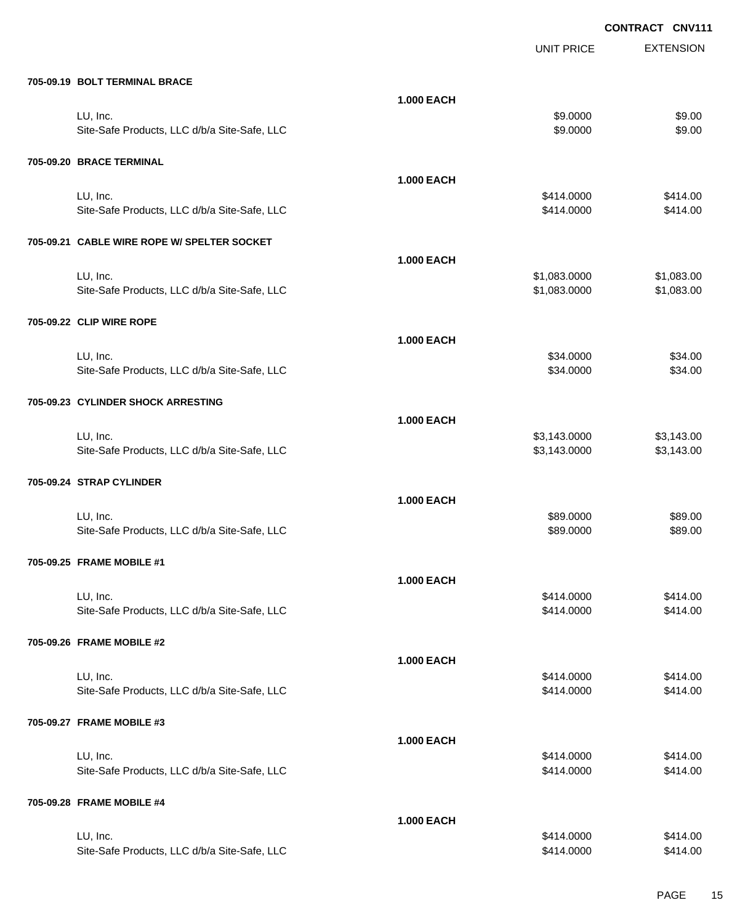|                                              |                   | <b>UNIT PRICE</b> | <b>EXTENSION</b> |
|----------------------------------------------|-------------------|-------------------|------------------|
| 705-09.19 BOLT TERMINAL BRACE                |                   |                   |                  |
|                                              | <b>1.000 EACH</b> |                   |                  |
| LU, Inc.                                     |                   | \$9.0000          | \$9.00           |
| Site-Safe Products, LLC d/b/a Site-Safe, LLC |                   | \$9.0000          | \$9.00           |
| 705-09.20 BRACE TERMINAL                     |                   |                   |                  |
|                                              | <b>1.000 EACH</b> |                   |                  |
| LU, Inc.                                     |                   | \$414.0000        | \$414.00         |
| Site-Safe Products, LLC d/b/a Site-Safe, LLC |                   | \$414.0000        | \$414.00         |
| 705-09.21 CABLE WIRE ROPE W/ SPELTER SOCKET  |                   |                   |                  |
|                                              | <b>1.000 EACH</b> |                   |                  |
| LU, Inc.                                     |                   | \$1,083.0000      | \$1,083.00       |
| Site-Safe Products, LLC d/b/a Site-Safe, LLC |                   | \$1,083.0000      | \$1,083.00       |
| 705-09.22 CLIP WIRE ROPE                     |                   |                   |                  |
|                                              | <b>1.000 EACH</b> |                   |                  |
| LU, Inc.                                     |                   | \$34.0000         | \$34.00          |
| Site-Safe Products, LLC d/b/a Site-Safe, LLC |                   | \$34.0000         | \$34.00          |
| 705-09.23 CYLINDER SHOCK ARRESTING           |                   |                   |                  |
|                                              | <b>1.000 EACH</b> |                   |                  |
| LU, Inc.                                     |                   | \$3,143.0000      | \$3,143.00       |
| Site-Safe Products, LLC d/b/a Site-Safe, LLC |                   | \$3,143.0000      | \$3,143.00       |
| 705-09.24 STRAP CYLINDER                     |                   |                   |                  |
|                                              | <b>1.000 EACH</b> |                   |                  |
| LU, Inc.                                     |                   | \$89.0000         | \$89.00          |
| Site-Safe Products, LLC d/b/a Site-Safe, LLC |                   | \$89.0000         | \$89.00          |
| 705-09.25 FRAME MOBILE #1                    |                   |                   |                  |
|                                              | <b>1.000 EACH</b> |                   |                  |
| LU, Inc.                                     |                   | \$414.0000        | \$414.00         |
| Site-Safe Products, LLC d/b/a Site-Safe, LLC |                   | \$414.0000        | \$414.00         |
| 705-09.26 FRAME MOBILE #2                    |                   |                   |                  |
|                                              | <b>1.000 EACH</b> |                   |                  |
| LU, Inc.                                     |                   | \$414.0000        | \$414.00         |
| Site-Safe Products, LLC d/b/a Site-Safe, LLC |                   | \$414.0000        | \$414.00         |
| 705-09.27 FRAME MOBILE #3                    |                   |                   |                  |
|                                              | <b>1.000 EACH</b> |                   |                  |
| LU, Inc.                                     |                   | \$414.0000        | \$414.00         |
| Site-Safe Products, LLC d/b/a Site-Safe, LLC |                   | \$414.0000        | \$414.00         |
| 705-09.28 FRAME MOBILE #4                    |                   |                   |                  |
|                                              | <b>1.000 EACH</b> |                   |                  |
| LU, Inc.                                     |                   | \$414.0000        | \$414.00         |
| Site-Safe Products, LLC d/b/a Site-Safe, LLC |                   | \$414.0000        | \$414.00         |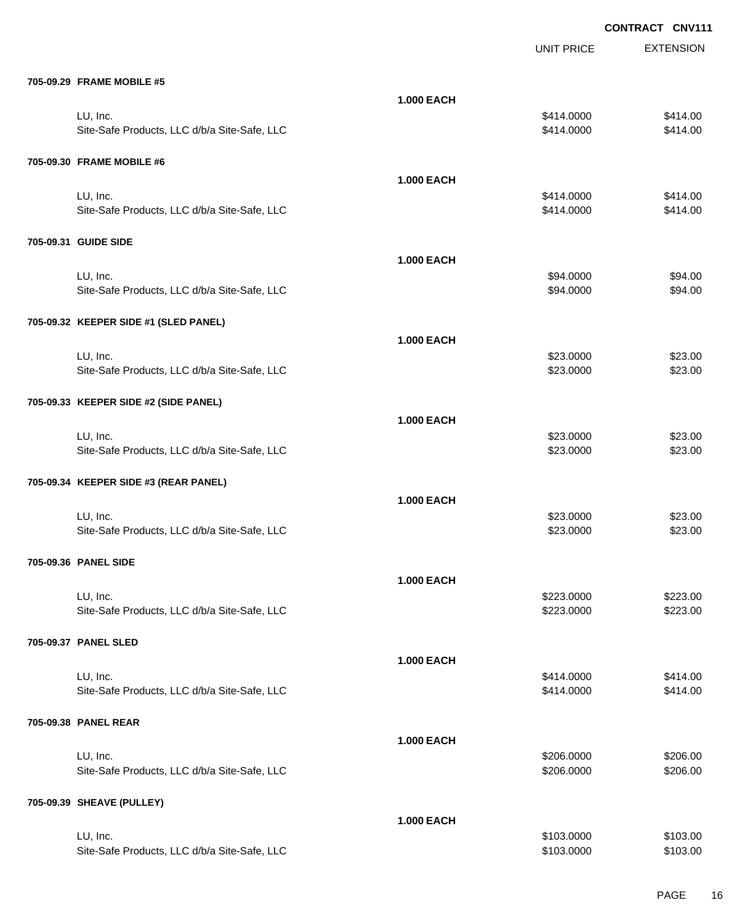|                                              |                   | <b>UNIT PRICE</b> | <b>EXTENSION</b> |
|----------------------------------------------|-------------------|-------------------|------------------|
| 705-09.29 FRAME MOBILE #5                    |                   |                   |                  |
|                                              | <b>1.000 EACH</b> |                   |                  |
| LU, Inc.                                     |                   | \$414.0000        | \$414.00         |
| Site-Safe Products, LLC d/b/a Site-Safe, LLC |                   | \$414.0000        | \$414.00         |
| 705-09.30 FRAME MOBILE #6                    |                   |                   |                  |
|                                              | <b>1.000 EACH</b> |                   |                  |
| LU, Inc.                                     |                   | \$414.0000        | \$414.00         |
| Site-Safe Products, LLC d/b/a Site-Safe, LLC |                   | \$414.0000        | \$414.00         |
| 705-09.31 GUIDE SIDE                         |                   |                   |                  |
|                                              | <b>1.000 EACH</b> |                   |                  |
| LU, Inc.                                     |                   | \$94.0000         | \$94.00          |
| Site-Safe Products, LLC d/b/a Site-Safe, LLC |                   | \$94.0000         | \$94.00          |
| 705-09.32 KEEPER SIDE #1 (SLED PANEL)        |                   |                   |                  |
|                                              | <b>1.000 EACH</b> |                   |                  |
| LU, Inc.                                     |                   | \$23.0000         | \$23.00          |
| Site-Safe Products, LLC d/b/a Site-Safe, LLC |                   | \$23.0000         | \$23.00          |
|                                              |                   |                   |                  |
| 705-09.33 KEEPER SIDE #2 (SIDE PANEL)        |                   |                   |                  |
|                                              | <b>1.000 EACH</b> |                   |                  |
| LU, Inc.                                     |                   | \$23.0000         | \$23.00          |
| Site-Safe Products, LLC d/b/a Site-Safe, LLC |                   | \$23.0000         | \$23.00          |
| 705-09.34 KEEPER SIDE #3 (REAR PANEL)        |                   |                   |                  |
|                                              | <b>1.000 EACH</b> |                   |                  |
| LU, Inc.                                     |                   | \$23.0000         | \$23.00          |
| Site-Safe Products, LLC d/b/a Site-Safe, LLC |                   | \$23.0000         | \$23.00          |
| 705-09.36 PANEL SIDE                         |                   |                   |                  |
|                                              | <b>1.000 EACH</b> |                   |                  |
| LU, Inc.                                     |                   | \$223.0000        | \$223.00         |
| Site-Safe Products, LLC d/b/a Site-Safe, LLC |                   | \$223.0000        | \$223.00         |
| 705-09.37 PANEL SLED                         |                   |                   |                  |
|                                              | <b>1.000 EACH</b> |                   |                  |
| LU, Inc.                                     |                   | \$414.0000        | \$414.00         |
| Site-Safe Products, LLC d/b/a Site-Safe, LLC |                   | \$414.0000        | \$414.00         |
| 705-09.38 PANEL REAR                         |                   |                   |                  |
|                                              | <b>1.000 EACH</b> |                   |                  |
| LU, Inc.                                     |                   | \$206.0000        | \$206.00         |
| Site-Safe Products, LLC d/b/a Site-Safe, LLC |                   | \$206.0000        | \$206.00         |
| 705-09.39 SHEAVE (PULLEY)                    |                   |                   |                  |
|                                              | <b>1.000 EACH</b> |                   |                  |
| LU, Inc.                                     |                   | \$103.0000        | \$103.00         |
| Site-Safe Products, LLC d/b/a Site-Safe, LLC |                   | \$103.0000        | \$103.00         |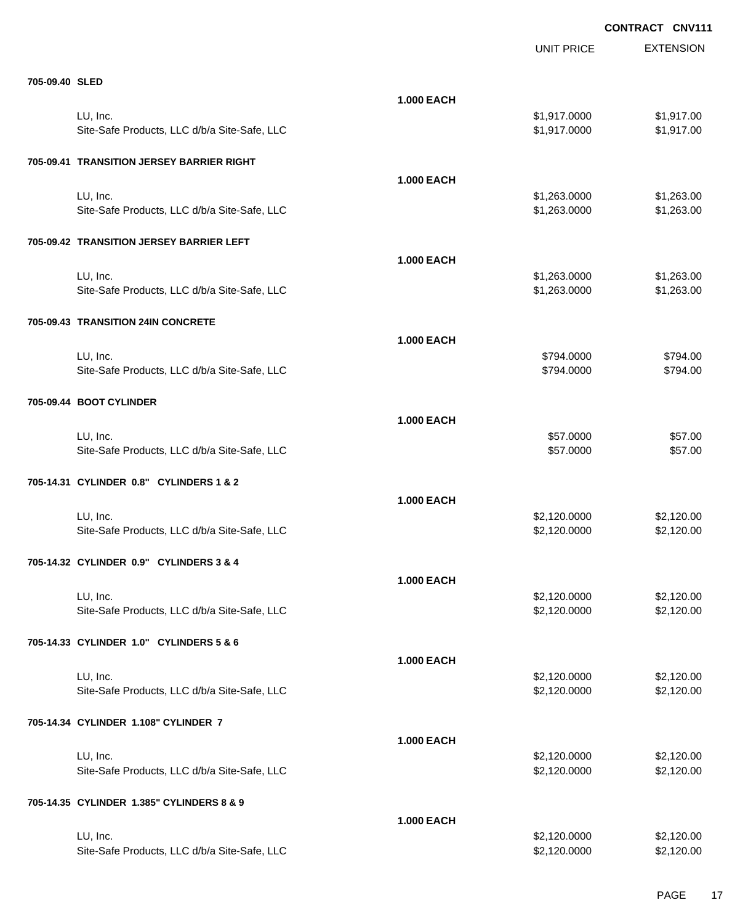|                                              |                   | <b>UNIT PRICE</b> | <b>EXTENSION</b> |
|----------------------------------------------|-------------------|-------------------|------------------|
| 705-09.40 SLED                               |                   |                   |                  |
|                                              | <b>1.000 EACH</b> |                   |                  |
| LU, Inc.                                     |                   | \$1,917.0000      | \$1,917.00       |
| Site-Safe Products, LLC d/b/a Site-Safe, LLC |                   | \$1,917.0000      | \$1,917.00       |
| 705-09.41 TRANSITION JERSEY BARRIER RIGHT    |                   |                   |                  |
|                                              | <b>1.000 EACH</b> |                   |                  |
| LU, Inc.                                     |                   | \$1,263.0000      | \$1,263.00       |
| Site-Safe Products, LLC d/b/a Site-Safe, LLC |                   | \$1,263.0000      | \$1,263.00       |
| 705-09.42 TRANSITION JERSEY BARRIER LEFT     |                   |                   |                  |
|                                              | <b>1.000 EACH</b> |                   |                  |
| LU, Inc.                                     |                   | \$1,263.0000      | \$1,263.00       |
| Site-Safe Products, LLC d/b/a Site-Safe, LLC |                   | \$1,263.0000      | \$1,263.00       |
| 705-09.43 TRANSITION 24IN CONCRETE           |                   |                   |                  |
|                                              | <b>1.000 EACH</b> |                   |                  |
| LU, Inc.                                     |                   | \$794.0000        | \$794.00         |
| Site-Safe Products, LLC d/b/a Site-Safe, LLC |                   | \$794.0000        | \$794.00         |
| 705-09.44 BOOT CYLINDER                      |                   |                   |                  |
|                                              | <b>1.000 EACH</b> |                   |                  |
| LU, Inc.                                     |                   | \$57.0000         | \$57.00          |
| Site-Safe Products, LLC d/b/a Site-Safe, LLC |                   | \$57.0000         | \$57.00          |
| 705-14.31 CYLINDER 0.8" CYLINDERS 1 & 2      |                   |                   |                  |
|                                              | <b>1.000 EACH</b> |                   |                  |
| LU, Inc.                                     |                   | \$2,120.0000      | \$2,120.00       |
| Site-Safe Products, LLC d/b/a Site-Safe, LLC |                   | \$2,120.0000      | \$2,120.00       |
| 705-14.32 CYLINDER 0.9" CYLINDERS 3 & 4      |                   |                   |                  |
|                                              | <b>1.000 EACH</b> |                   |                  |
| LU, Inc.                                     |                   | \$2,120.0000      | \$2,120.00       |
| Site-Safe Products, LLC d/b/a Site-Safe, LLC |                   | \$2,120.0000      | \$2,120.00       |
| 705-14.33 CYLINDER 1.0" CYLINDERS 5 & 6      |                   |                   |                  |
|                                              | <b>1.000 EACH</b> |                   |                  |
| LU, Inc.                                     |                   | \$2,120.0000      | \$2,120.00       |
| Site-Safe Products, LLC d/b/a Site-Safe, LLC |                   | \$2,120.0000      | \$2,120.00       |
| 705-14.34 CYLINDER 1.108" CYLINDER 7         |                   |                   |                  |
|                                              | <b>1.000 EACH</b> |                   |                  |
| LU, Inc.                                     |                   | \$2,120.0000      | \$2,120.00       |
| Site-Safe Products, LLC d/b/a Site-Safe, LLC |                   | \$2,120.0000      | \$2,120.00       |
| 705-14.35 CYLINDER 1.385" CYLINDERS 8 & 9    |                   |                   |                  |
|                                              | <b>1.000 EACH</b> |                   |                  |
| LU, Inc.                                     |                   | \$2,120.0000      | \$2,120.00       |
| Site-Safe Products, LLC d/b/a Site-Safe, LLC |                   | \$2,120.0000      | \$2,120.00       |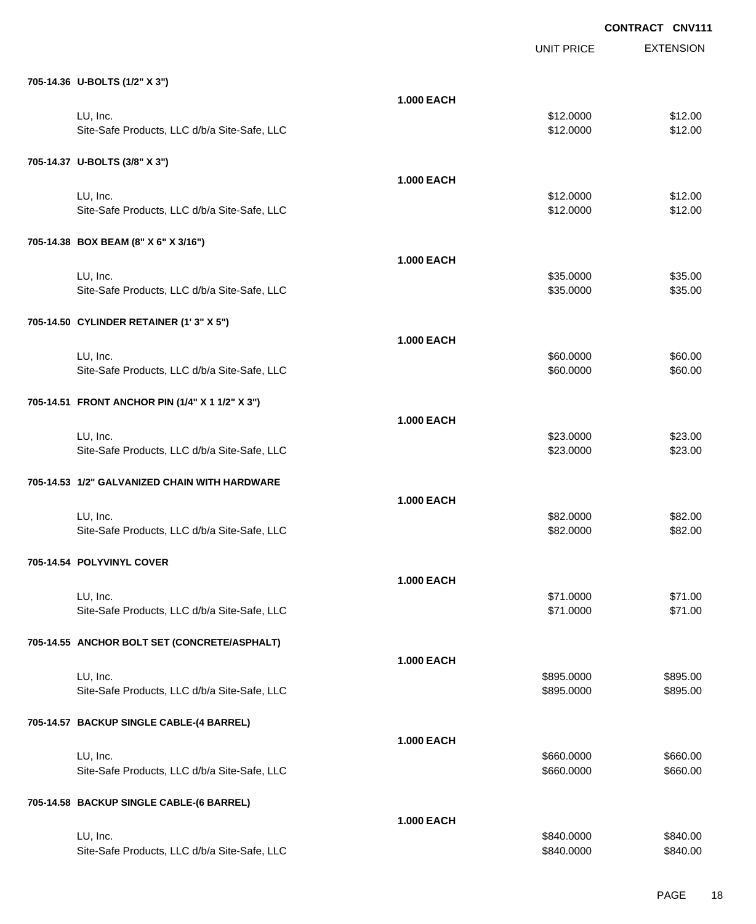EXTENSION **CONTRACT CNV111** UNIT PRICE **705-14.36 U-BOLTS (1/2" X 3") 1.000 EACH** LU, Inc. \$12.0000 \$12.00 Site-Safe Products, LLC d/b/a Site-Safe, LLC \$12.000 \$12.000 \$12.000 **705-14.37 U-BOLTS (3/8" X 3") 1.000 EACH** LU, Inc. \$12.0000 \$12.00 Site-Safe Products, LLC d/b/a Site-Safe, LLC \$12.000 \$12.000 \$12.000 **705-14.38 BOX BEAM (8" X 6" X 3/16") 1.000 EACH** LU, Inc. \$35.0000 \$35.00 Site-Safe Products, LLC d/b/a Site-Safe, LLC \$35.000 \$35.000 \$35.000 \$35.000 **705-14.50 CYLINDER RETAINER (1' 3" X 5") 1.000 EACH** LU, Inc. \$60.0000 \$60.00 Site-Safe Products, LLC d/b/a Site-Safe, LLC  $$60.000$  \$60.000 \$60.00 **705-14.51 FRONT ANCHOR PIN (1/4" X 1 1/2" X 3") 1.000 EACH** LU, Inc. \$23.0000 \$23.00 Site-Safe Products, LLC d/b/a Site-Safe, LLC  $$23.000$  \$23.000 \$23.00 **705-14.53 1/2" GALVANIZED CHAIN WITH HARDWARE 1.000 EACH** LU, Inc. \$82.0000 \$82.00 Site-Safe Products, LLC d/b/a Site-Safe, LLC  $$82.000$  \$82.000 \$82.00 **705-14.54 POLYVINYL COVER 1.000 EACH** LU, Inc. \$71.0000 \$71.00 Site-Safe Products, LLC d/b/a Site-Safe, LLC \$71.000 \$71.000 \$71.000 **705-14.55 ANCHOR BOLT SET (CONCRETE/ASPHALT) 1.000 EACH** LU, Inc. \$895.0000 \$895.00 Site-Safe Products, LLC d/b/a Site-Safe, LLC  $$895.000$  \$895.000 \$895.000 **705-14.57 BACKUP SINGLE CABLE-(4 BARREL) 1.000 EACH** LU, Inc. \$660.0000 \$660.00 Site-Safe Products, LLC d/b/a Site-Safe, LLC  $$660.000$  \$660.000 \$660.000 **705-14.58 BACKUP SINGLE CABLE-(6 BARREL) 1.000 EACH** LU, Inc. \$840.0000 \$840.00

Site-Safe Products, LLC d/b/a Site-Safe, LLC  $$840.000$  \$840.000 \$840.000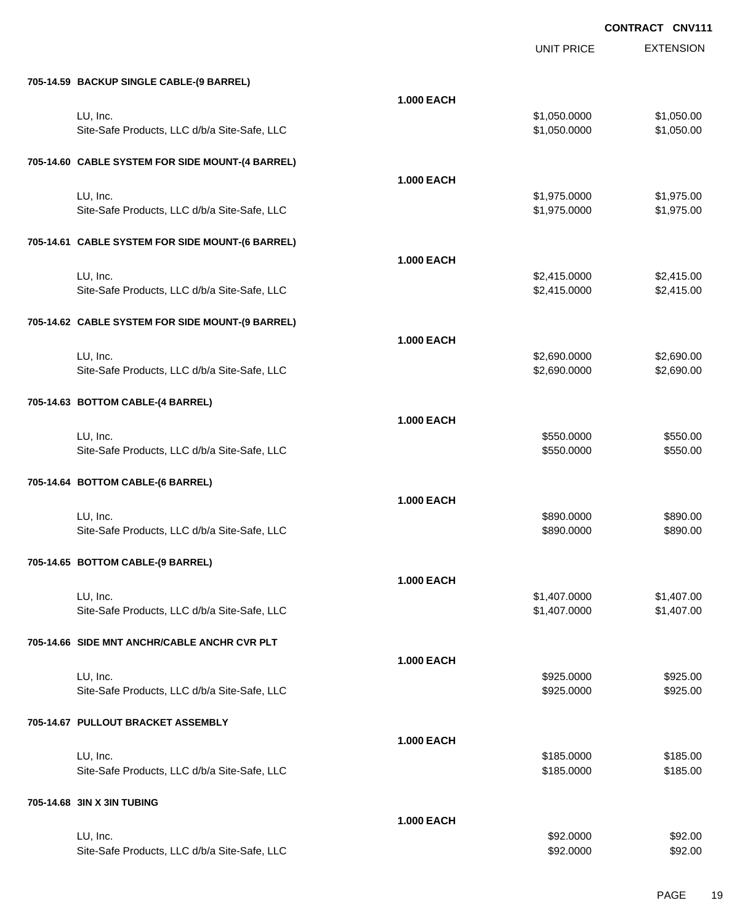|                                                  |                   | <b>UNIT PRICE</b> | <b>EXTENSION</b> |
|--------------------------------------------------|-------------------|-------------------|------------------|
| 705-14.59 BACKUP SINGLE CABLE-(9 BARREL)         |                   |                   |                  |
|                                                  | <b>1.000 EACH</b> |                   |                  |
| LU, Inc.                                         |                   | \$1,050.0000      | \$1,050.00       |
| Site-Safe Products, LLC d/b/a Site-Safe, LLC     |                   | \$1,050.0000      | \$1,050.00       |
| 705-14.60 CABLE SYSTEM FOR SIDE MOUNT-(4 BARREL) |                   |                   |                  |
|                                                  | <b>1.000 EACH</b> |                   |                  |
| LU, Inc.                                         |                   | \$1,975.0000      | \$1,975.00       |
| Site-Safe Products, LLC d/b/a Site-Safe, LLC     |                   | \$1,975.0000      | \$1,975.00       |
| 705-14.61 CABLE SYSTEM FOR SIDE MOUNT-(6 BARREL) |                   |                   |                  |
|                                                  | <b>1.000 EACH</b> |                   |                  |
| LU, Inc.                                         |                   | \$2,415.0000      | \$2,415.00       |
| Site-Safe Products, LLC d/b/a Site-Safe, LLC     |                   | \$2,415.0000      | \$2,415.00       |
|                                                  |                   |                   |                  |
| 705-14.62 CABLE SYSTEM FOR SIDE MOUNT-(9 BARREL) |                   |                   |                  |
|                                                  | <b>1.000 EACH</b> |                   |                  |
| LU, Inc.                                         |                   | \$2,690.0000      | \$2,690.00       |
| Site-Safe Products, LLC d/b/a Site-Safe, LLC     |                   | \$2,690.0000      | \$2,690.00       |
| 705-14.63 BOTTOM CABLE-(4 BARREL)                |                   |                   |                  |
|                                                  | <b>1.000 EACH</b> |                   |                  |
| LU, Inc.                                         |                   | \$550.0000        | \$550.00         |
| Site-Safe Products, LLC d/b/a Site-Safe, LLC     |                   | \$550.0000        | \$550.00         |
| 705-14.64 BOTTOM CABLE-(6 BARREL)                |                   |                   |                  |
|                                                  |                   |                   |                  |
|                                                  | <b>1.000 EACH</b> |                   |                  |
| LU, Inc.                                         |                   | \$890.0000        | \$890.00         |
| Site-Safe Products, LLC d/b/a Site-Safe, LLC     |                   | \$890.0000        | \$890.00         |
| 705-14.65 BOTTOM CABLE-(9 BARREL)                |                   |                   |                  |
|                                                  | <b>1.000 EACH</b> |                   |                  |
| LU, Inc.                                         |                   | \$1,407.0000      | \$1,407.00       |
| Site-Safe Products, LLC d/b/a Site-Safe, LLC     |                   | \$1,407.0000      | \$1,407.00       |
| 705-14.66 SIDE MNT ANCHR/CABLE ANCHR CVR PLT     |                   |                   |                  |
|                                                  | <b>1.000 EACH</b> |                   |                  |
| LU, Inc.                                         |                   | \$925.0000        | \$925.00         |
| Site-Safe Products, LLC d/b/a Site-Safe, LLC     |                   | \$925.0000        | \$925.00         |
| 705-14.67 PULLOUT BRACKET ASSEMBLY               |                   |                   |                  |
|                                                  | <b>1.000 EACH</b> |                   |                  |
| LU, Inc.                                         |                   | \$185.0000        | \$185.00         |
| Site-Safe Products, LLC d/b/a Site-Safe, LLC     |                   | \$185.0000        | \$185.00         |
|                                                  |                   |                   |                  |
| 705-14.68 3IN X 3IN TUBING                       |                   |                   |                  |
| LU, Inc.                                         | <b>1.000 EACH</b> | \$92.0000         | \$92.00          |
| Site-Safe Products, LLC d/b/a Site-Safe, LLC     |                   | \$92.0000         | \$92.00          |
|                                                  |                   |                   |                  |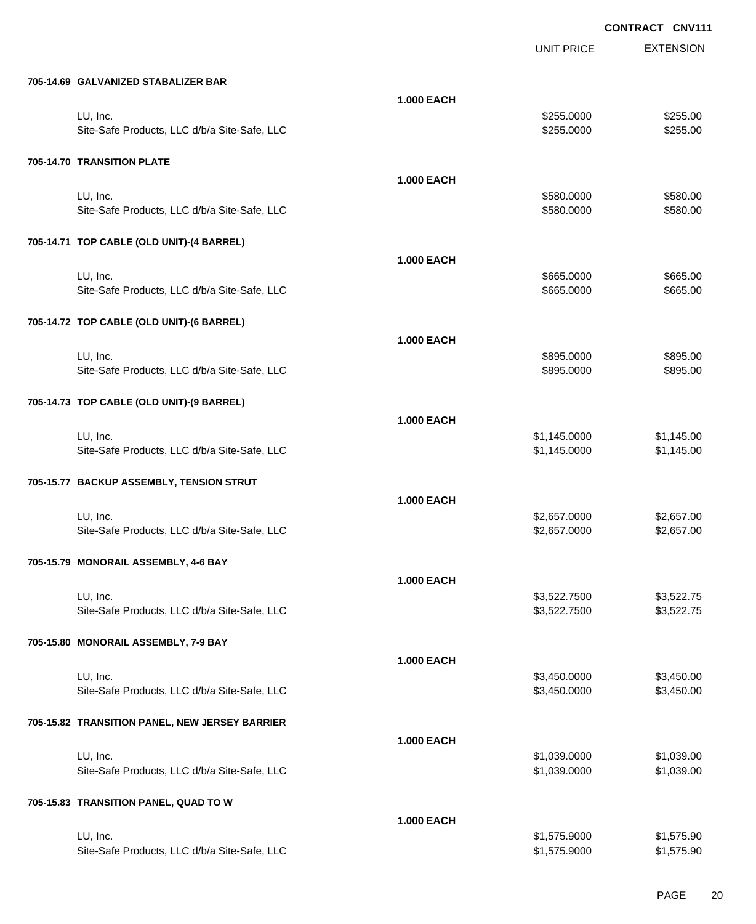|                                                |                   | <b>UNIT PRICE</b> | <b>EXTENSION</b> |
|------------------------------------------------|-------------------|-------------------|------------------|
| 705-14.69 GALVANIZED STABALIZER BAR            |                   |                   |                  |
|                                                | <b>1.000 EACH</b> |                   |                  |
| LU, Inc.                                       |                   | \$255.0000        | \$255.00         |
| Site-Safe Products, LLC d/b/a Site-Safe, LLC   |                   | \$255.0000        | \$255.00         |
| 705-14.70 TRANSITION PLATE                     |                   |                   |                  |
|                                                | <b>1.000 EACH</b> |                   |                  |
| LU, Inc.                                       |                   | \$580.0000        | \$580.00         |
| Site-Safe Products, LLC d/b/a Site-Safe, LLC   |                   | \$580.0000        | \$580.00         |
| 705-14.71 TOP CABLE (OLD UNIT)-(4 BARREL)      |                   |                   |                  |
|                                                | <b>1.000 EACH</b> |                   |                  |
| LU, Inc.                                       |                   | \$665.0000        | \$665.00         |
| Site-Safe Products, LLC d/b/a Site-Safe, LLC   |                   | \$665.0000        | \$665.00         |
| 705-14.72 TOP CABLE (OLD UNIT)-(6 BARREL)      |                   |                   |                  |
|                                                | <b>1.000 EACH</b> |                   |                  |
| LU, Inc.                                       |                   | \$895.0000        | \$895.00         |
| Site-Safe Products, LLC d/b/a Site-Safe, LLC   |                   | \$895.0000        | \$895.00         |
| 705-14.73 TOP CABLE (OLD UNIT)-(9 BARREL)      |                   |                   |                  |
|                                                | <b>1.000 EACH</b> |                   |                  |
| LU, Inc.                                       |                   | \$1,145.0000      | \$1,145.00       |
| Site-Safe Products, LLC d/b/a Site-Safe, LLC   |                   | \$1,145.0000      | \$1,145.00       |
| 705-15.77 BACKUP ASSEMBLY, TENSION STRUT       |                   |                   |                  |
|                                                | <b>1.000 EACH</b> |                   |                  |
| LU, Inc.                                       |                   | \$2,657.0000      | \$2,657.00       |
| Site-Safe Products, LLC d/b/a Site-Safe, LLC   |                   | \$2,657.0000      | \$2,657.00       |
| 705-15.79 MONORAIL ASSEMBLY, 4-6 BAY           |                   |                   |                  |
|                                                | <b>1.000 EACH</b> |                   |                  |
| LU, Inc.                                       |                   | \$3,522.7500      | \$3,522.75       |
| Site-Safe Products, LLC d/b/a Site-Safe, LLC   |                   | \$3,522.7500      | \$3,522.75       |
| 705-15.80 MONORAIL ASSEMBLY, 7-9 BAY           |                   |                   |                  |
|                                                | <b>1.000 EACH</b> |                   |                  |
| LU, Inc.                                       |                   | \$3,450.0000      | \$3,450.00       |
| Site-Safe Products, LLC d/b/a Site-Safe, LLC   |                   | \$3,450.0000      | \$3,450.00       |
| 705-15.82 TRANSITION PANEL, NEW JERSEY BARRIER |                   |                   |                  |
|                                                | <b>1.000 EACH</b> |                   |                  |
| LU, Inc.                                       |                   | \$1,039.0000      | \$1,039.00       |
| Site-Safe Products, LLC d/b/a Site-Safe, LLC   |                   | \$1,039.0000      | \$1,039.00       |
| 705-15.83 TRANSITION PANEL, QUAD TO W          |                   |                   |                  |
|                                                | <b>1.000 EACH</b> |                   |                  |
| LU, Inc.                                       |                   | \$1,575.9000      | \$1,575.90       |
| Site-Safe Products, LLC d/b/a Site-Safe, LLC   |                   | \$1,575.9000      | \$1,575.90       |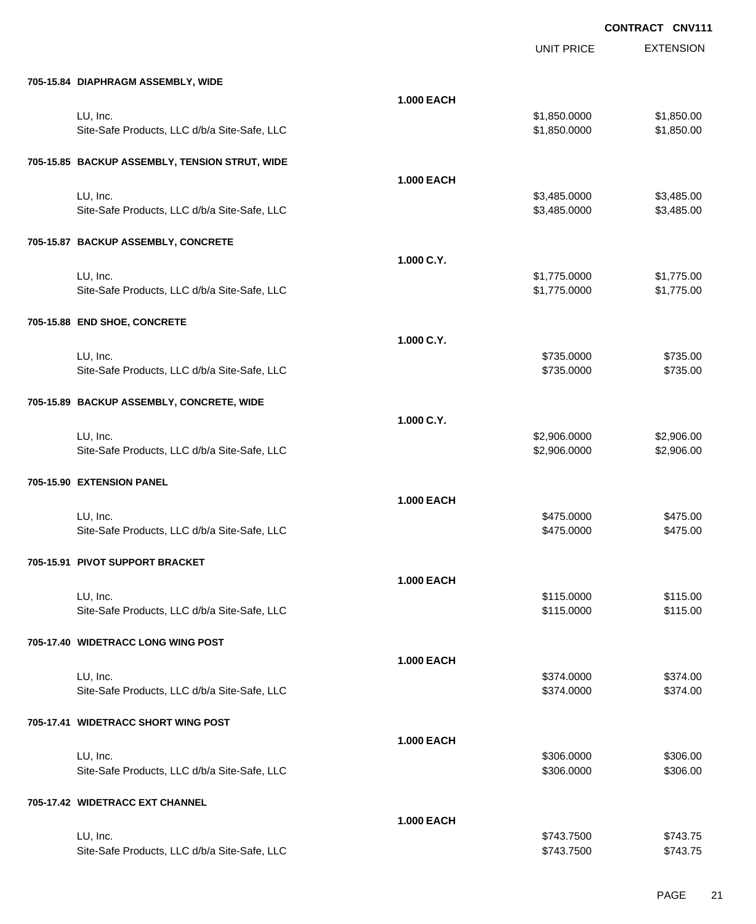|                                                |                   | <b>UNIT PRICE</b> | <b>EXTENSION</b> |
|------------------------------------------------|-------------------|-------------------|------------------|
| 705-15.84 DIAPHRAGM ASSEMBLY, WIDE             |                   |                   |                  |
|                                                | <b>1.000 EACH</b> |                   |                  |
| LU, Inc.                                       |                   | \$1,850.0000      | \$1,850.00       |
| Site-Safe Products, LLC d/b/a Site-Safe, LLC   |                   | \$1,850.0000      | \$1,850.00       |
| 705-15.85 BACKUP ASSEMBLY, TENSION STRUT, WIDE |                   |                   |                  |
|                                                | <b>1.000 EACH</b> |                   |                  |
| LU, Inc.                                       |                   | \$3,485.0000      | \$3,485.00       |
| Site-Safe Products, LLC d/b/a Site-Safe, LLC   |                   | \$3,485.0000      | \$3,485.00       |
| 705-15.87 BACKUP ASSEMBLY, CONCRETE            |                   |                   |                  |
|                                                | 1.000 C.Y.        |                   |                  |
| LU, Inc.                                       |                   | \$1,775.0000      | \$1,775.00       |
| Site-Safe Products, LLC d/b/a Site-Safe, LLC   |                   | \$1,775.0000      | \$1,775.00       |
| 705-15.88 END SHOE, CONCRETE                   |                   |                   |                  |
|                                                | 1.000 C.Y.        |                   |                  |
| LU, Inc.                                       |                   | \$735.0000        | \$735.00         |
| Site-Safe Products, LLC d/b/a Site-Safe, LLC   |                   | \$735.0000        | \$735.00         |
| 705-15.89 BACKUP ASSEMBLY, CONCRETE, WIDE      |                   |                   |                  |
|                                                | 1.000 C.Y.        |                   |                  |
| LU, Inc.                                       |                   | \$2,906.0000      | \$2,906.00       |
| Site-Safe Products, LLC d/b/a Site-Safe, LLC   |                   | \$2,906.0000      | \$2,906.00       |
| 705-15.90 EXTENSION PANEL                      |                   |                   |                  |
|                                                | <b>1.000 EACH</b> |                   |                  |
| LU, Inc.                                       |                   | \$475.0000        | \$475.00         |
| Site-Safe Products, LLC d/b/a Site-Safe, LLC   |                   | \$475.0000        | \$475.00         |
| 705-15.91   PIVOT SUPPORT BRACKET              |                   |                   |                  |
|                                                | <b>1.000 EACH</b> |                   |                  |
| LU, Inc.                                       |                   | \$115.0000        | \$115.00         |
| Site-Safe Products, LLC d/b/a Site-Safe, LLC   |                   | \$115.0000        | \$115.00         |
| 705-17.40 WIDETRACC LONG WING POST             |                   |                   |                  |
|                                                | <b>1.000 EACH</b> |                   |                  |
| LU, Inc.                                       |                   | \$374.0000        | \$374.00         |
| Site-Safe Products, LLC d/b/a Site-Safe, LLC   |                   | \$374.0000        | \$374.00         |
| 705-17.41 WIDETRACC SHORT WING POST            |                   |                   |                  |
|                                                | <b>1.000 EACH</b> |                   |                  |
| LU, Inc.                                       |                   | \$306.0000        | \$306.00         |
| Site-Safe Products, LLC d/b/a Site-Safe, LLC   |                   | \$306.0000        | \$306.00         |
| 705-17.42 WIDETRACC EXT CHANNEL                |                   |                   |                  |
|                                                | <b>1.000 EACH</b> |                   |                  |
| LU, Inc.                                       |                   | \$743.7500        | \$743.75         |
| Site-Safe Products, LLC d/b/a Site-Safe, LLC   |                   | \$743.7500        | \$743.75         |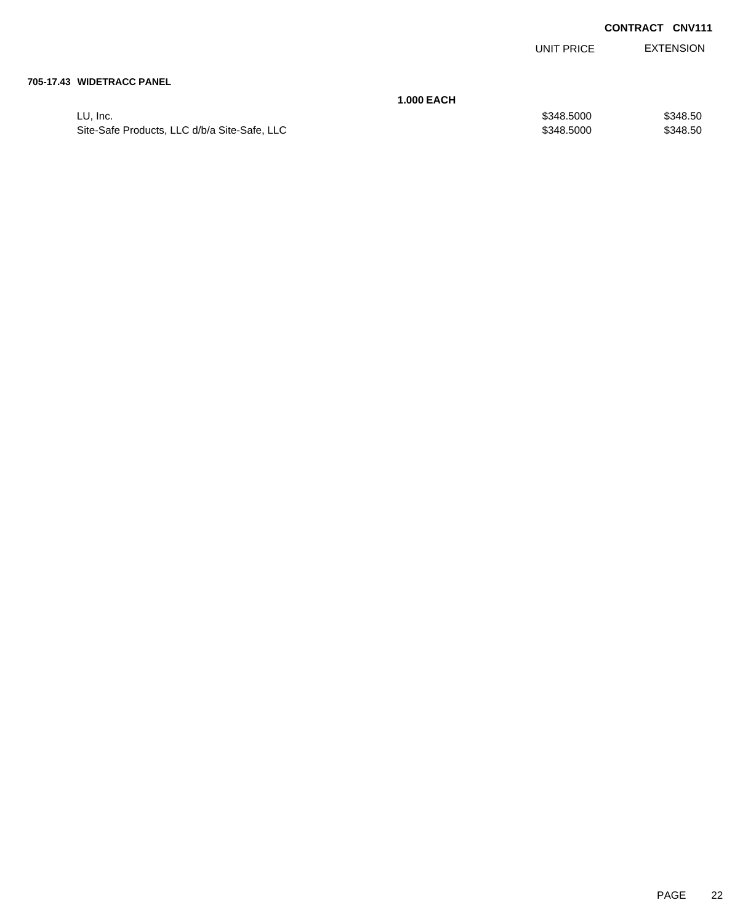UNIT PRICE EXTENSION

#### **705-17.43 WIDETRACC PANEL**

| <b>1.000 EACH</b>                            |            |          |
|----------------------------------------------|------------|----------|
| LU. Inc.                                     | \$348,5000 | \$348.50 |
| Site-Safe Products, LLC d/b/a Site-Safe, LLC | \$348,5000 | \$348.50 |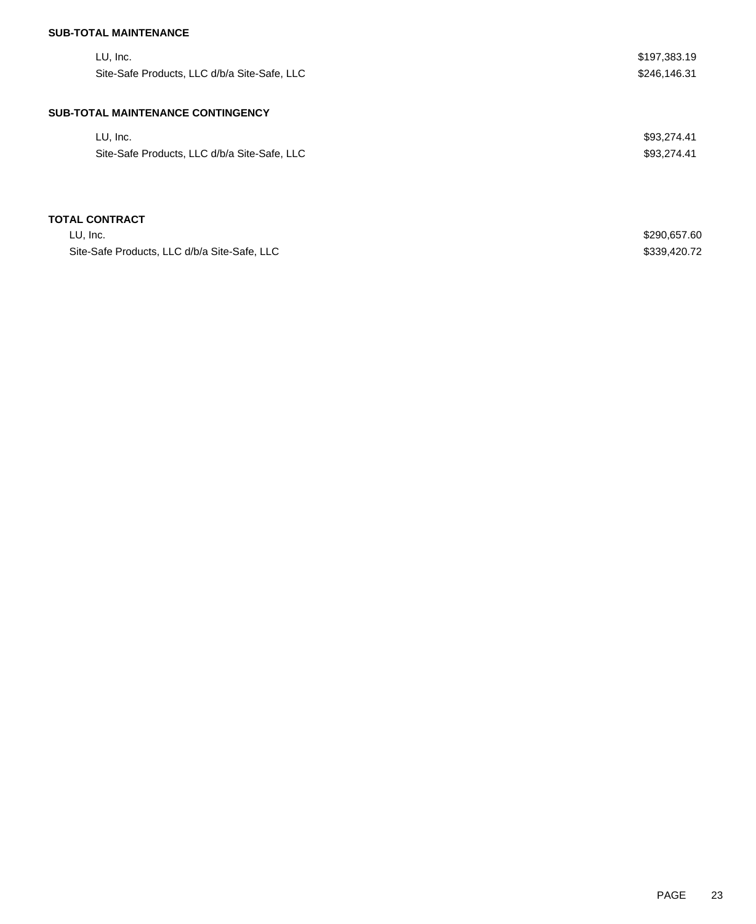## **SUB-TOTAL MAINTENANCE**

| LU, Inc.<br>Site-Safe Products, LLC d/b/a Site-Safe, LLC | \$197,383.19<br>\$246,146.31 |
|----------------------------------------------------------|------------------------------|
| <b>SUB-TOTAL MAINTENANCE CONTINGENCY</b>                 |                              |
| LU, Inc.                                                 | \$93,274.41                  |
| Site-Safe Products, LLC d/b/a Site-Safe, LLC             | \$93,274.41                  |
|                                                          |                              |
| <b>TOTAL CONTRACT</b>                                    |                              |
| LU, Inc.                                                 | \$290,657.60                 |
| Site-Safe Products, LLC d/b/a Site-Safe, LLC             | \$339,420.72                 |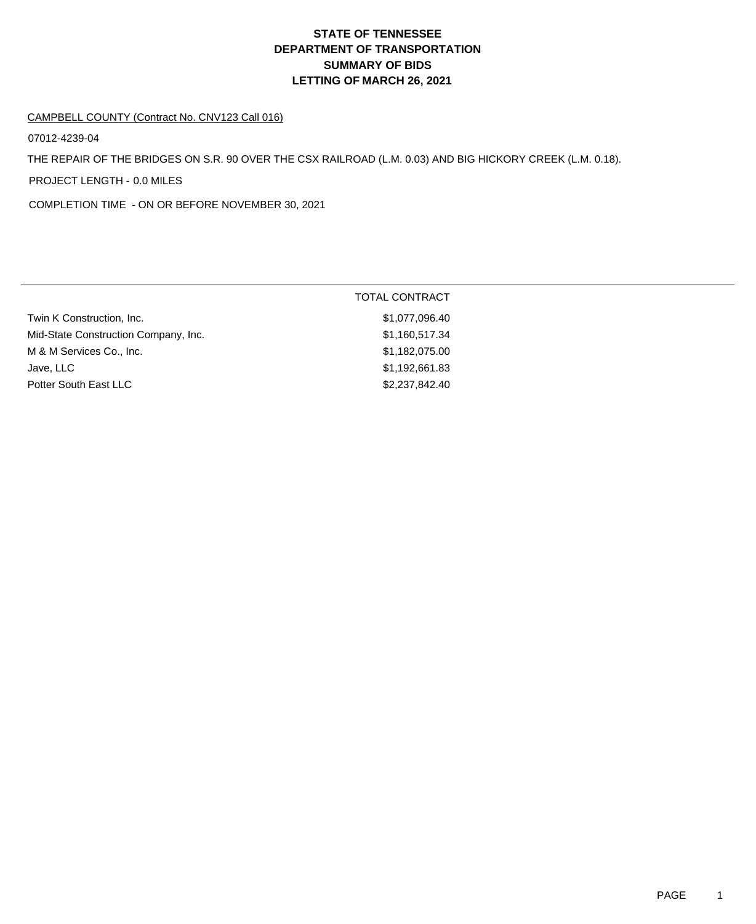# **DEPARTMENT OF TRANSPORTATION SUMMARY OF BIDS LETTING OF MARCH 26, 2021 STATE OF TENNESSEE**

#### CAMPBELL COUNTY (Contract No. CNV123 Call 016)

07012-4239-04

THE REPAIR OF THE BRIDGES ON S.R. 90 OVER THE CSX RAILROAD (L.M. 0.03) AND BIG HICKORY CREEK (L.M. 0.18).

PROJECT LENGTH - 0.0 MILES

COMPLETION TIME - ON OR BEFORE NOVEMBER 30, 2021

|                                      | <b>TOTAL CONTRACT</b> |  |
|--------------------------------------|-----------------------|--|
| Twin K Construction, Inc.            | \$1,077,096.40        |  |
| Mid-State Construction Company, Inc. | \$1,160,517.34        |  |
| M & M Services Co., Inc.             | \$1,182,075.00        |  |
| Jave, LLC                            | \$1,192,661.83        |  |
| Potter South East LLC                | \$2,237,842.40        |  |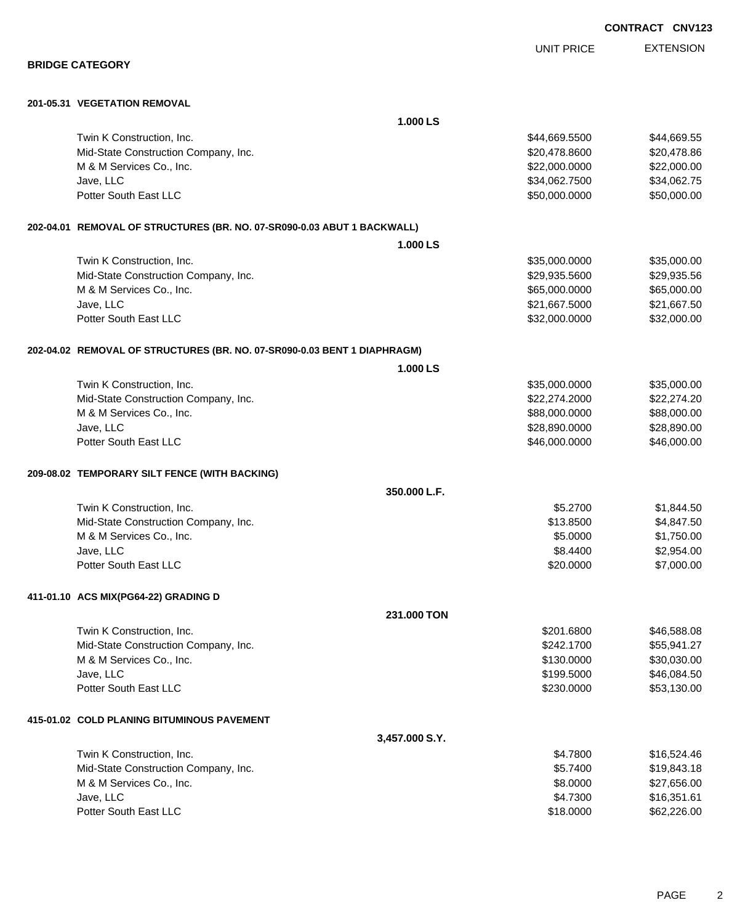|                                                                          | <b>UNIT PRICE</b> | <b>EXTENSION</b> |
|--------------------------------------------------------------------------|-------------------|------------------|
| <b>BRIDGE CATEGORY</b>                                                   |                   |                  |
| 201-05.31 VEGETATION REMOVAL                                             |                   |                  |
|                                                                          | 1.000 LS          |                  |
| Twin K Construction, Inc.                                                | \$44,669.5500     | \$44,669.55      |
| Mid-State Construction Company, Inc.                                     | \$20,478.8600     | \$20,478.86      |
| M & M Services Co., Inc.                                                 | \$22,000.0000     | \$22,000.00      |
| Jave, LLC                                                                | \$34,062.7500     | \$34,062.75      |
| Potter South East LLC                                                    | \$50,000.0000     | \$50,000.00      |
| 202-04.01 REMOVAL OF STRUCTURES (BR. NO. 07-SR090-0.03 ABUT 1 BACKWALL)  |                   |                  |
|                                                                          | 1.000 LS          |                  |
| Twin K Construction, Inc.                                                | \$35,000.0000     | \$35,000.00      |
| Mid-State Construction Company, Inc.                                     | \$29,935.5600     | \$29,935.56      |
| M & M Services Co., Inc.                                                 | \$65,000.0000     | \$65,000.00      |
| Jave, LLC                                                                | \$21,667.5000     | \$21,667.50      |
| Potter South East LLC                                                    | \$32,000.0000     | \$32,000.00      |
| 202-04.02 REMOVAL OF STRUCTURES (BR. NO. 07-SR090-0.03 BENT 1 DIAPHRAGM) |                   |                  |
|                                                                          | 1.000 LS          |                  |
| Twin K Construction, Inc.                                                | \$35,000.0000     | \$35,000.00      |
| Mid-State Construction Company, Inc.                                     | \$22,274.2000     | \$22,274.20      |
| M & M Services Co., Inc.                                                 | \$88,000.0000     | \$88,000.00      |
| Jave, LLC                                                                | \$28,890.0000     | \$28,890.00      |
| Potter South East LLC                                                    | \$46,000.0000     | \$46,000.00      |
| 209-08.02 TEMPORARY SILT FENCE (WITH BACKING)                            |                   |                  |
|                                                                          | 350,000 L.F.      |                  |
| Twin K Construction, Inc.                                                | \$5.2700          | \$1,844.50       |
| Mid-State Construction Company, Inc.                                     | \$13.8500         | \$4,847.50       |
| M & M Services Co., Inc.                                                 | \$5.0000          | \$1,750.00       |
| Jave, LLC                                                                | \$8,4400          | \$2,954.00       |
| Potter South East LLC                                                    | \$20.0000         | \$7,000.00       |
| 411-01.10 ACS MIX(PG64-22) GRADING D                                     |                   |                  |
|                                                                          | 231.000 TON       |                  |
| Twin K Construction, Inc.                                                | \$201.6800        | \$46,588.08      |
| Mid-State Construction Company, Inc.                                     | \$242,1700        | \$55,941.27      |
| M & M Services Co., Inc.                                                 | \$130.0000        | \$30,030.00      |
| Jave, LLC                                                                | \$199.5000        | \$46,084.50      |
| Potter South East LLC                                                    | \$230.0000        | \$53,130.00      |
| 415-01.02 COLD PLANING BITUMINOUS PAVEMENT                               |                   |                  |
|                                                                          | 3,457.000 S.Y.    |                  |
| Twin K Construction, Inc.                                                | \$4.7800          | \$16,524.46      |
| Mid-State Construction Company, Inc.                                     | \$5.7400          | \$19,843.18      |
| M & M Services Co., Inc.                                                 | \$8.0000          | \$27,656.00      |
| Jave, LLC                                                                | \$4.7300          | \$16,351.61      |
| Potter South East LLC                                                    | \$18.0000         | \$62,226.00      |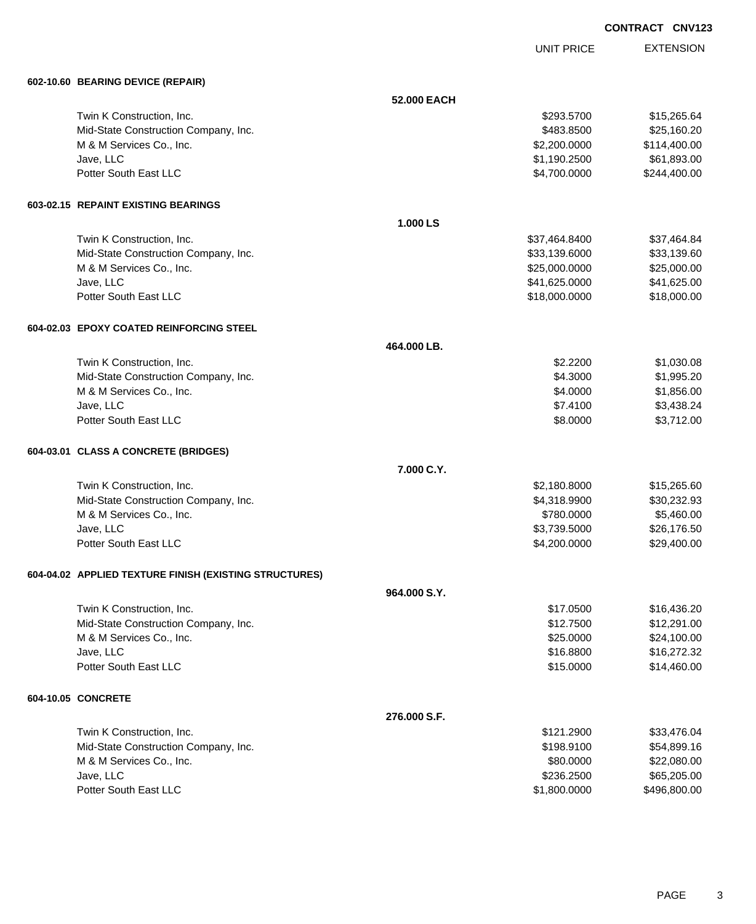|  | <b>CONTRACT CNV123</b> |  |
|--|------------------------|--|
|--|------------------------|--|

UNIT PRICE

EXTENSION

| 602-10.60 BEARING DEVICE (REPAIR)                      |              |               |              |
|--------------------------------------------------------|--------------|---------------|--------------|
|                                                        | 52.000 EACH  |               |              |
| Twin K Construction, Inc.                              |              | \$293.5700    | \$15,265.64  |
| Mid-State Construction Company, Inc.                   |              | \$483.8500    | \$25,160.20  |
| M & M Services Co., Inc.                               |              | \$2,200.0000  | \$114,400.00 |
| Jave, LLC                                              |              | \$1,190.2500  | \$61,893.00  |
| Potter South East LLC                                  |              | \$4,700.0000  | \$244,400.00 |
| 603-02.15 REPAINT EXISTING BEARINGS                    |              |               |              |
|                                                        | 1.000 LS     |               |              |
| Twin K Construction, Inc.                              |              | \$37,464.8400 | \$37,464.84  |
| Mid-State Construction Company, Inc.                   |              | \$33,139.6000 | \$33,139.60  |
| M & M Services Co., Inc.                               |              | \$25,000.0000 | \$25,000.00  |
| Jave, LLC                                              |              | \$41,625.0000 | \$41,625.00  |
| Potter South East LLC                                  |              | \$18,000.0000 | \$18,000.00  |
| 604-02.03 EPOXY COATED REINFORCING STEEL               |              |               |              |
|                                                        | 464.000 LB.  |               |              |
| Twin K Construction, Inc.                              |              | \$2.2200      | \$1,030.08   |
| Mid-State Construction Company, Inc.                   |              | \$4.3000      | \$1,995.20   |
| M & M Services Co., Inc.                               |              | \$4.0000      | \$1,856.00   |
| Jave, LLC                                              |              | \$7.4100      | \$3,438.24   |
| Potter South East LLC                                  |              | \$8.0000      | \$3,712.00   |
| 604-03.01 CLASS A CONCRETE (BRIDGES)                   |              |               |              |
|                                                        | 7.000 C.Y.   |               |              |
| Twin K Construction, Inc.                              |              | \$2,180.8000  | \$15,265.60  |
| Mid-State Construction Company, Inc.                   |              | \$4,318.9900  | \$30,232.93  |
| M & M Services Co., Inc.                               |              | \$780.0000    | \$5,460.00   |
| Jave, LLC                                              |              | \$3,739.5000  | \$26,176.50  |
| Potter South East LLC                                  |              | \$4,200.0000  | \$29,400.00  |
| 604-04.02 APPLIED TEXTURE FINISH (EXISTING STRUCTURES) |              |               |              |
|                                                        | 964.000 S.Y. |               |              |
| Twin K Construction, Inc.                              |              | \$17.0500     | \$16,436.20  |
| Mid-State Construction Company, Inc.                   |              | \$12.7500     | \$12,291.00  |
| M & M Services Co., Inc.                               |              | \$25.0000     | \$24,100.00  |
| Jave, LLC                                              |              | \$16.8800     | \$16,272.32  |
| Potter South East LLC                                  |              | \$15.0000     | \$14,460.00  |
| 604-10.05 CONCRETE                                     |              |               |              |
|                                                        | 276.000 S.F. |               |              |
| Twin K Construction, Inc.                              |              | \$121.2900    | \$33,476.04  |
| Mid-State Construction Company, Inc.                   |              | \$198.9100    | \$54,899.16  |
| M & M Services Co., Inc.                               |              | \$80.0000     | \$22,080.00  |
| Jave, LLC                                              |              | \$236.2500    | \$65,205.00  |
| Potter South East LLC                                  |              | \$1,800.0000  | \$496,800.00 |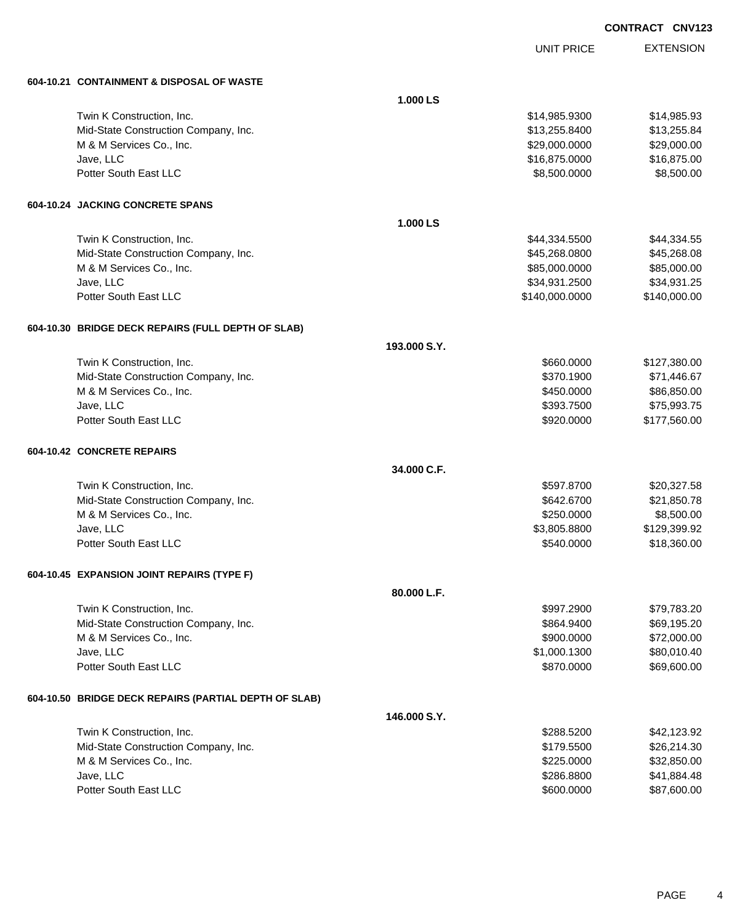UNIT PRICE

EXTENSION

| 604-10.21 CONTAINMENT & DISPOSAL OF WASTE             |              |                |              |
|-------------------------------------------------------|--------------|----------------|--------------|
|                                                       | 1.000 LS     |                |              |
| Twin K Construction, Inc.                             |              | \$14,985.9300  | \$14,985.93  |
| Mid-State Construction Company, Inc.                  |              | \$13,255.8400  | \$13,255.84  |
| M & M Services Co., Inc.                              |              | \$29,000.0000  | \$29,000.00  |
| Jave, LLC                                             |              | \$16,875.0000  | \$16,875.00  |
| Potter South East LLC                                 |              | \$8,500.0000   | \$8,500.00   |
| 604-10.24 JACKING CONCRETE SPANS                      |              |                |              |
|                                                       | 1.000 LS     |                |              |
| Twin K Construction, Inc.                             |              | \$44,334.5500  | \$44,334.55  |
| Mid-State Construction Company, Inc.                  |              | \$45,268.0800  | \$45,268.08  |
| M & M Services Co., Inc.                              |              | \$85,000.0000  | \$85,000.00  |
| Jave, LLC                                             |              | \$34,931.2500  | \$34,931.25  |
| Potter South East LLC                                 |              | \$140,000.0000 | \$140,000.00 |
| 604-10.30 BRIDGE DECK REPAIRS (FULL DEPTH OF SLAB)    |              |                |              |
|                                                       | 193,000 S.Y. |                |              |
| Twin K Construction, Inc.                             |              | \$660.0000     | \$127,380.00 |
| Mid-State Construction Company, Inc.                  |              | \$370.1900     | \$71,446.67  |
| M & M Services Co., Inc.                              |              | \$450.0000     | \$86,850.00  |
| Jave, LLC                                             |              | \$393.7500     | \$75,993.75  |
| Potter South East LLC                                 |              | \$920.0000     | \$177,560.00 |
| 604-10.42 CONCRETE REPAIRS                            |              |                |              |
|                                                       | 34.000 C.F.  |                |              |
| Twin K Construction, Inc.                             |              | \$597.8700     | \$20,327.58  |
| Mid-State Construction Company, Inc.                  |              | \$642.6700     | \$21,850.78  |
| M & M Services Co., Inc.                              |              | \$250.0000     | \$8,500.00   |
| Jave, LLC                                             |              | \$3,805.8800   | \$129,399.92 |
| Potter South East LLC                                 |              | \$540.0000     | \$18,360.00  |
| 604-10.45 EXPANSION JOINT REPAIRS (TYPE F)            |              |                |              |
|                                                       | 80.000 L.F.  |                |              |
| Twin K Construction, Inc.                             |              | \$997.2900     | \$79,783.20  |
| Mid-State Construction Company, Inc.                  |              | \$864.9400     | \$69,195.20  |
| M & M Services Co., Inc.                              |              | \$900.0000     | \$72,000.00  |
| Jave, LLC                                             |              | \$1,000.1300   | \$80,010.40  |
| Potter South East LLC                                 |              | \$870.0000     | \$69,600.00  |
| 604-10.50 BRIDGE DECK REPAIRS (PARTIAL DEPTH OF SLAB) |              |                |              |
|                                                       | 146.000 S.Y. |                |              |
| Twin K Construction, Inc.                             |              | \$288.5200     | \$42,123.92  |
| Mid-State Construction Company, Inc.                  |              | \$179.5500     | \$26,214.30  |
| M & M Services Co., Inc.                              |              | \$225.0000     | \$32,850.00  |
| Jave, LLC                                             |              | \$286.8800     | \$41,884.48  |
| Potter South East LLC                                 |              | \$600.0000     | \$87,600.00  |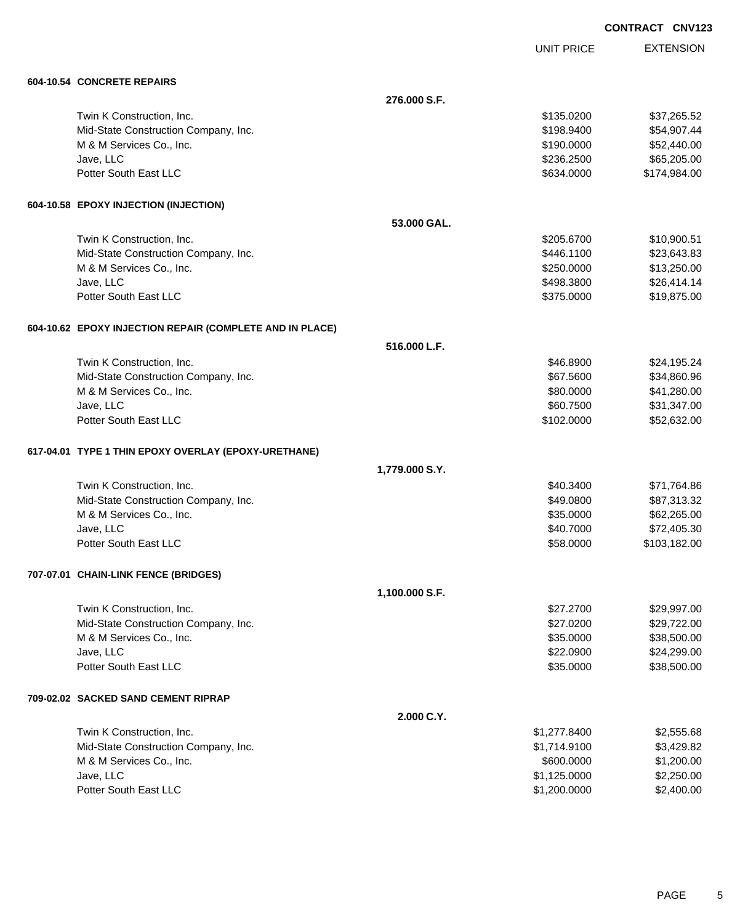UNIT PRICE EXTENSION

| 604-10.54 CONCRETE REPAIRS                               |                |              |              |
|----------------------------------------------------------|----------------|--------------|--------------|
|                                                          | 276.000 S.F.   |              |              |
| Twin K Construction, Inc.                                |                | \$135.0200   | \$37,265.52  |
| Mid-State Construction Company, Inc.                     |                | \$198.9400   | \$54,907.44  |
| M & M Services Co., Inc.                                 |                | \$190.0000   | \$52,440.00  |
| Jave, LLC                                                |                | \$236.2500   | \$65,205.00  |
| Potter South East LLC                                    |                | \$634.0000   | \$174,984.00 |
| 604-10.58 EPOXY INJECTION (INJECTION)                    |                |              |              |
|                                                          | 53.000 GAL.    |              |              |
| Twin K Construction, Inc.                                |                | \$205.6700   | \$10,900.51  |
| Mid-State Construction Company, Inc.                     |                | \$446.1100   | \$23,643.83  |
| M & M Services Co., Inc.                                 |                | \$250.0000   | \$13,250.00  |
| Jave, LLC                                                |                | \$498.3800   | \$26,414.14  |
| Potter South East LLC                                    |                | \$375.0000   | \$19,875.00  |
| 604-10.62 EPOXY INJECTION REPAIR (COMPLETE AND IN PLACE) |                |              |              |
|                                                          | 516.000 L.F.   |              |              |
| Twin K Construction, Inc.                                |                | \$46.8900    | \$24,195.24  |
| Mid-State Construction Company, Inc.                     |                | \$67.5600    | \$34,860.96  |
| M & M Services Co., Inc.                                 |                | \$80.0000    | \$41,280.00  |
| Jave, LLC                                                |                | \$60.7500    | \$31,347.00  |
| Potter South East LLC                                    |                | \$102.0000   | \$52,632.00  |
| 617-04.01 TYPE 1 THIN EPOXY OVERLAY (EPOXY-URETHANE)     |                |              |              |
|                                                          | 1,779.000 S.Y. |              |              |
| Twin K Construction, Inc.                                |                | \$40.3400    | \$71,764.86  |
| Mid-State Construction Company, Inc.                     |                | \$49.0800    | \$87,313.32  |
| M & M Services Co., Inc.                                 |                | \$35.0000    | \$62,265.00  |
| Jave, LLC                                                |                | \$40.7000    | \$72,405.30  |
| Potter South East LLC                                    |                | \$58.0000    | \$103,182.00 |
| 707-07.01 CHAIN-LINK FENCE (BRIDGES)                     |                |              |              |
|                                                          | 1,100.000 S.F. |              |              |
| Twin K Construction, Inc.                                |                | \$27.2700    | \$29,997.00  |
| Mid-State Construction Company, Inc.                     |                | \$27.0200    | \$29,722.00  |
| M & M Services Co., Inc.                                 |                | \$35.0000    | \$38,500.00  |
| Jave, LLC                                                |                | \$22.0900    | \$24,299.00  |
| Potter South East LLC                                    |                | \$35.0000    | \$38,500.00  |
| 709-02.02 SACKED SAND CEMENT RIPRAP                      |                |              |              |
|                                                          | 2.000 C.Y.     |              |              |
| Twin K Construction, Inc.                                |                | \$1,277.8400 | \$2,555.68   |
| Mid-State Construction Company, Inc.                     |                | \$1,714.9100 | \$3,429.82   |
| M & M Services Co., Inc.                                 |                | \$600.0000   | \$1,200.00   |
| Jave, LLC                                                |                | \$1,125.0000 | \$2,250.00   |
| Potter South East LLC                                    |                | \$1,200.0000 | \$2,400.00   |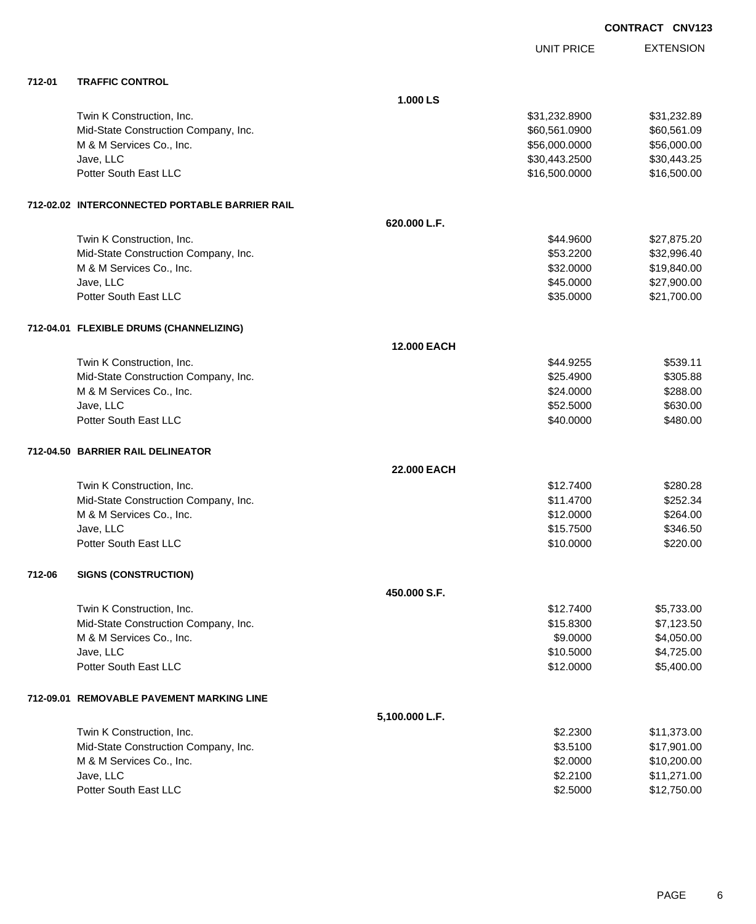| <b>CONTRACT CNV123</b> |  |
|------------------------|--|
|------------------------|--|

|        |                                                |                    | <b>UNIT PRICE</b> | <b>EXTENSION</b> |
|--------|------------------------------------------------|--------------------|-------------------|------------------|
| 712-01 | <b>TRAFFIC CONTROL</b>                         |                    |                   |                  |
|        |                                                | 1.000 LS           |                   |                  |
|        | Twin K Construction, Inc.                      |                    | \$31,232.8900     | \$31,232.89      |
|        | Mid-State Construction Company, Inc.           |                    | \$60,561.0900     | \$60,561.09      |
|        | M & M Services Co., Inc.                       |                    | \$56,000.0000     | \$56,000.00      |
|        | Jave, LLC                                      |                    | \$30,443.2500     | \$30,443.25      |
|        | Potter South East LLC                          |                    | \$16,500.0000     | \$16,500.00      |
|        | 712-02.02 INTERCONNECTED PORTABLE BARRIER RAIL |                    |                   |                  |
|        |                                                | 620.000 L.F.       |                   |                  |
|        | Twin K Construction, Inc.                      |                    | \$44.9600         | \$27,875.20      |
|        | Mid-State Construction Company, Inc.           |                    | \$53.2200         | \$32,996.40      |
|        | M & M Services Co., Inc.                       |                    | \$32.0000         | \$19,840.00      |
|        | Jave, LLC                                      |                    | \$45.0000         | \$27,900.00      |
|        | Potter South East LLC                          |                    | \$35.0000         | \$21,700.00      |
|        | 712-04.01 FLEXIBLE DRUMS (CHANNELIZING)        |                    |                   |                  |
|        |                                                | <b>12,000 EACH</b> |                   |                  |
|        | Twin K Construction, Inc.                      |                    | \$44.9255         | \$539.11         |
|        | Mid-State Construction Company, Inc.           |                    | \$25.4900         | \$305.88         |
|        | M & M Services Co., Inc.                       |                    | \$24.0000         | \$288.00         |
|        | Jave, LLC                                      |                    | \$52.5000         | \$630.00         |
|        | Potter South East LLC                          |                    | \$40.0000         | \$480.00         |
|        | 712-04.50 BARRIER RAIL DELINEATOR              |                    |                   |                  |
|        |                                                | <b>22.000 EACH</b> |                   |                  |
|        | Twin K Construction, Inc.                      |                    | \$12.7400         | \$280.28         |
|        | Mid-State Construction Company, Inc.           |                    | \$11.4700         | \$252.34         |
|        | M & M Services Co., Inc.                       |                    | \$12.0000         | \$264.00         |
|        | Jave, LLC                                      |                    | \$15.7500         | \$346.50         |
|        | Potter South East LLC                          |                    | \$10.0000         | \$220.00         |
| 712-06 | <b>SIGNS (CONSTRUCTION)</b>                    |                    |                   |                  |
|        |                                                | 450.000 S.F.       |                   |                  |
|        | Twin K Construction, Inc.                      |                    | \$12.7400         | \$5,733.00       |
|        | Mid-State Construction Company, Inc.           |                    | \$15.8300         | \$7,123.50       |
|        | M & M Services Co., Inc.                       |                    | \$9.0000          | \$4,050.00       |
|        | Jave, LLC                                      |                    | \$10.5000         | \$4,725.00       |
|        | Potter South East LLC                          |                    | \$12.0000         | \$5,400.00       |
|        | 712-09.01 REMOVABLE PAVEMENT MARKING LINE      |                    |                   |                  |
|        |                                                | 5,100.000 L.F.     |                   |                  |
|        | Twin K Construction, Inc.                      |                    | \$2.2300          | \$11,373.00      |
|        | Mid-State Construction Company, Inc.           |                    | \$3.5100          | \$17,901.00      |
|        | M & M Services Co., Inc.                       |                    | \$2.0000          | \$10,200.00      |
|        | Jave, LLC                                      |                    | \$2.2100          | \$11,271.00      |
|        | Potter South East LLC                          |                    | \$2.5000          | \$12,750.00      |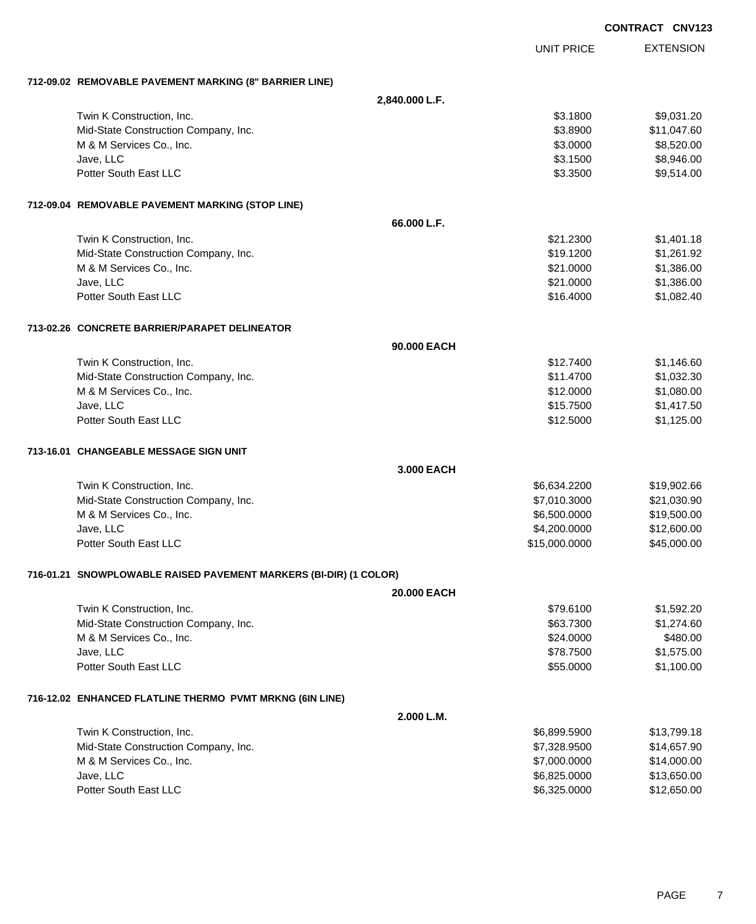|  |                                                                   |                   | <b>CONTRACT CNV123</b> |
|--|-------------------------------------------------------------------|-------------------|------------------------|
|  |                                                                   | <b>UNIT PRICE</b> | <b>EXTENSION</b>       |
|  | 712-09.02 REMOVABLE PAVEMENT MARKING (8" BARRIER LINE)            |                   |                        |
|  |                                                                   | 2,840.000 L.F.    |                        |
|  | Twin K Construction, Inc.                                         | \$3.1800          | \$9,031.20             |
|  | Mid-State Construction Company, Inc.                              | \$3.8900          | \$11,047.60            |
|  | M & M Services Co., Inc.                                          | \$3.0000          | \$8,520.00             |
|  | Jave, LLC                                                         | \$3.1500          | \$8,946.00             |
|  | Potter South East LLC                                             | \$3.3500          | \$9,514.00             |
|  | 712-09.04 REMOVABLE PAVEMENT MARKING (STOP LINE)                  |                   |                        |
|  |                                                                   | 66.000 L.F.       |                        |
|  | Twin K Construction, Inc.                                         | \$21.2300         | \$1,401.18             |
|  | Mid-State Construction Company, Inc.                              | \$19.1200         | \$1,261.92             |
|  | M & M Services Co., Inc.                                          | \$21.0000         | \$1,386.00             |
|  | Jave, LLC                                                         | \$21.0000         | \$1,386.00             |
|  | Potter South East LLC                                             | \$16.4000         | \$1,082.40             |
|  | 713-02.26 CONCRETE BARRIER/PARAPET DELINEATOR                     |                   |                        |
|  |                                                                   | 90.000 EACH       |                        |
|  | Twin K Construction, Inc.                                         | \$12.7400         | \$1,146.60             |
|  | Mid-State Construction Company, Inc.                              | \$11.4700         | \$1,032.30             |
|  | M & M Services Co., Inc.                                          | \$12.0000         | \$1,080.00             |
|  | Jave, LLC                                                         | \$15.7500         | \$1,417.50             |
|  | Potter South East LLC                                             | \$12.5000         | \$1,125.00             |
|  | 713-16.01   CHANGEABLE MESSAGE SIGN UNIT                          |                   |                        |
|  |                                                                   | 3.000 EACH        |                        |
|  | Twin K Construction, Inc.                                         | \$6,634.2200      | \$19,902.66            |
|  | Mid-State Construction Company, Inc.                              | \$7,010.3000      | \$21,030.90            |
|  | M & M Services Co., Inc.                                          | \$6,500.0000      | \$19,500.00            |
|  | Jave, LLC                                                         | \$4,200.0000      | \$12,600.00            |
|  | Potter South East LLC                                             | \$15,000.0000     | \$45,000.00            |
|  | 716-01.21 SNOWPLOWABLE RAISED PAVEMENT MARKERS (BI-DIR) (1 COLOR) |                   |                        |
|  |                                                                   | 20.000 EACH       |                        |
|  | Twin K Construction, Inc.                                         | \$79.6100         | \$1,592.20             |
|  | Mid-State Construction Company, Inc.                              | \$63.7300         | \$1,274.60             |
|  | M & M Services Co., Inc.                                          | \$24.0000         | \$480.00               |
|  | Jave, LLC                                                         | \$78.7500         | \$1,575.00             |
|  | Potter South East LLC                                             | \$55.0000         | \$1,100.00             |
|  | 716-12.02 ENHANCED FLATLINE THERMO PVMT MRKNG (6IN LINE)          |                   |                        |
|  |                                                                   | 2.000 L.M.        |                        |
|  | Twin K Construction, Inc.                                         | \$6,899.5900      | \$13,799.18            |
|  | Mid-State Construction Company, Inc.                              | \$7,328.9500      | \$14,657.90            |
|  | M & M Services Co., Inc.                                          | \$7,000.0000      | \$14,000.00            |
|  | Jave, LLC                                                         | \$6,825.0000      | \$13,650.00            |
|  | Potter South East LLC                                             | \$6,325.0000      | \$12,650.00            |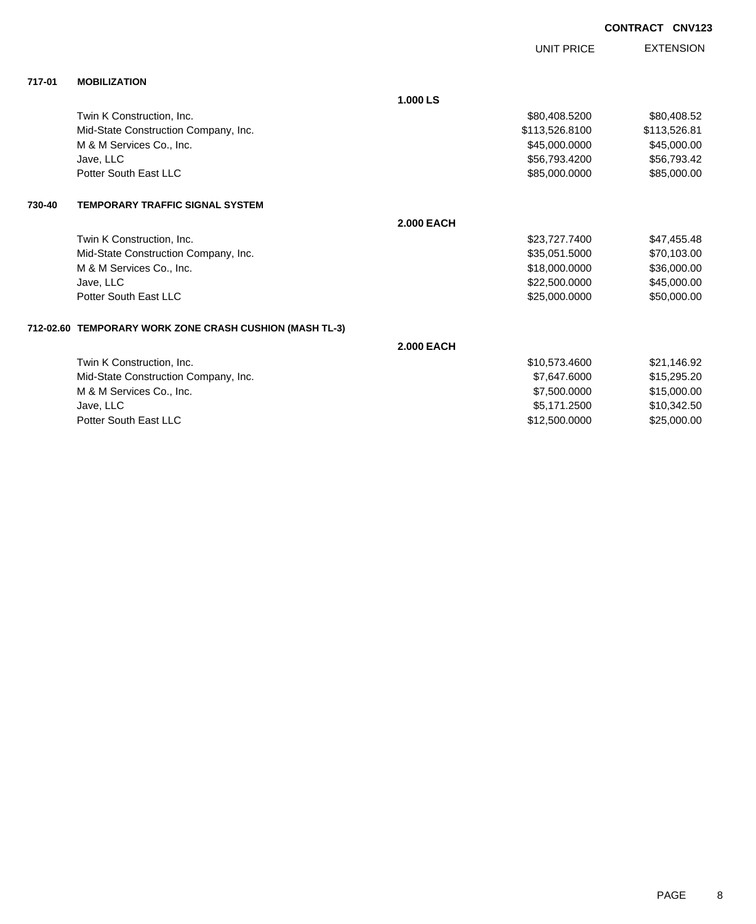|        |                                                         |                   | <b>UNIT PRICE</b> | <b>EXTENSION</b> |
|--------|---------------------------------------------------------|-------------------|-------------------|------------------|
| 717-01 | <b>MOBILIZATION</b>                                     |                   |                   |                  |
|        |                                                         | 1.000 LS          |                   |                  |
|        | Twin K Construction, Inc.                               |                   | \$80,408.5200     | \$80,408.52      |
|        | Mid-State Construction Company, Inc.                    |                   | \$113,526.8100    | \$113,526.81     |
|        | M & M Services Co., Inc.                                |                   | \$45,000.0000     | \$45,000.00      |
|        | Jave, LLC                                               |                   | \$56,793.4200     | \$56,793.42      |
|        | Potter South East LLC                                   |                   | \$85,000.0000     | \$85,000.00      |
| 730-40 | <b>TEMPORARY TRAFFIC SIGNAL SYSTEM</b>                  |                   |                   |                  |
|        |                                                         | <b>2.000 EACH</b> |                   |                  |
|        | Twin K Construction, Inc.                               |                   | \$23,727.7400     | \$47,455.48      |
|        | Mid-State Construction Company, Inc.                    |                   | \$35,051.5000     | \$70,103.00      |
|        | M & M Services Co., Inc.                                |                   | \$18,000.0000     | \$36,000.00      |
|        | Jave, LLC                                               |                   | \$22,500.0000     | \$45,000.00      |
|        | Potter South East LLC                                   |                   | \$25,000.0000     | \$50,000.00      |
|        | 712-02.60 TEMPORARY WORK ZONE CRASH CUSHION (MASH TL-3) |                   |                   |                  |
|        |                                                         | <b>2.000 EACH</b> |                   |                  |
|        | Twin K Construction, Inc.                               |                   | \$10,573.4600     | \$21,146.92      |
|        | Mid-State Construction Company, Inc.                    |                   | \$7,647.6000      | \$15,295.20      |
|        | M & M Services Co., Inc.                                |                   | \$7,500.0000      | \$15,000.00      |
|        | Jave, LLC                                               |                   | \$5,171.2500      | \$10,342.50      |

Potter South East LLC \$12,500.0000 \$25,000.00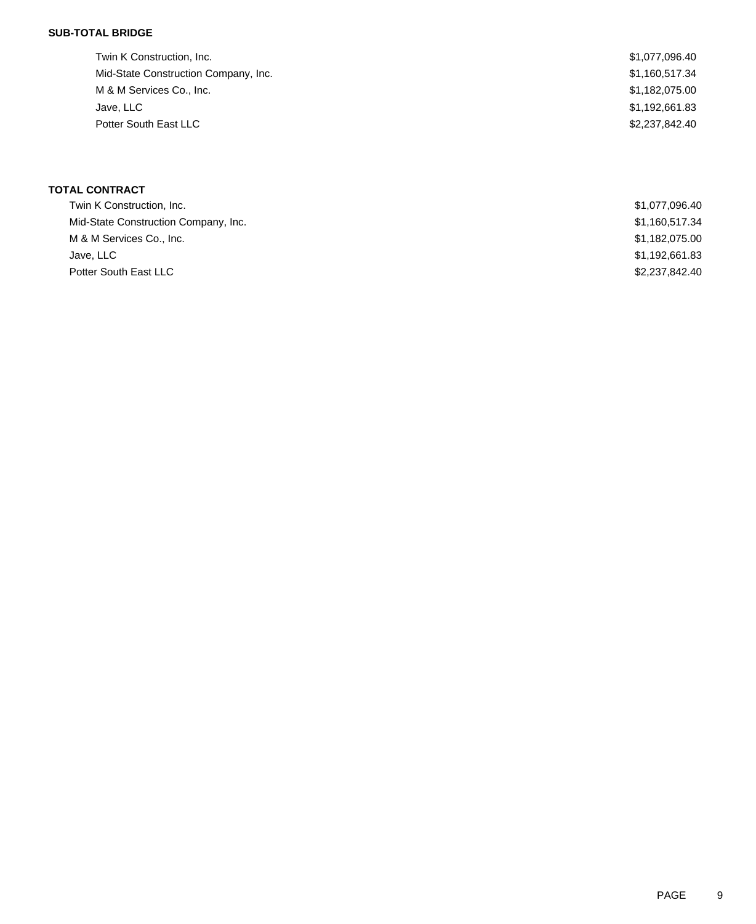## **SUB-TOTAL BRIDGE**

| Twin K Construction, Inc.            | \$1,077,096.40 |
|--------------------------------------|----------------|
| Mid-State Construction Company, Inc. | \$1,160,517.34 |
| M & M Services Co., Inc.             | \$1,182,075.00 |
| Jave, LLC                            | \$1,192,661.83 |
| Potter South East LLC                | \$2,237,842,40 |
|                                      |                |

# **TOTAL CONTRACT**

| Twin K Construction, Inc.            | \$1,077,096.40 |
|--------------------------------------|----------------|
| Mid-State Construction Company, Inc. | \$1,160,517.34 |
| M & M Services Co., Inc.             | \$1,182,075.00 |
| Jave, LLC                            | \$1,192,661.83 |
| Potter South East LLC                | \$2,237,842.40 |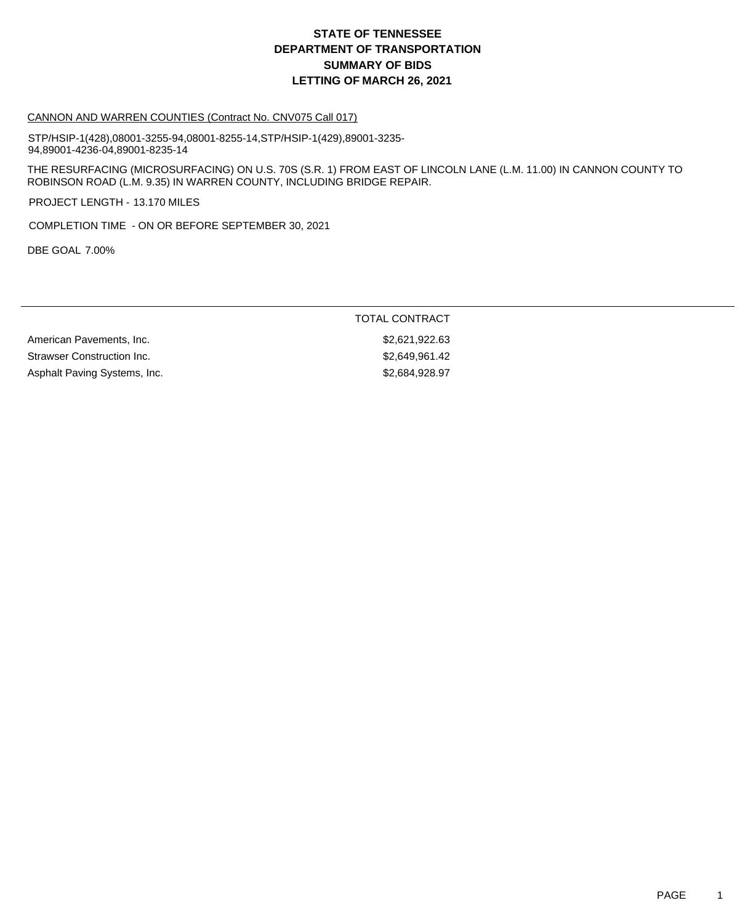# **DEPARTMENT OF TRANSPORTATION SUMMARY OF BIDS LETTING OF MARCH 26, 2021 STATE OF TENNESSEE**

#### CANNON AND WARREN COUNTIES (Contract No. CNV075 Call 017)

STP/HSIP-1(428),08001-3255-94,08001-8255-14,STP/HSIP-1(429),89001-3235- 94,89001-4236-04,89001-8235-14

THE RESURFACING (MICROSURFACING) ON U.S. 70S (S.R. 1) FROM EAST OF LINCOLN LANE (L.M. 11.00) IN CANNON COUNTY TO ROBINSON ROAD (L.M. 9.35) IN WARREN COUNTY, INCLUDING BRIDGE REPAIR.

PROJECT LENGTH - 13.170 MILES

COMPLETION TIME - ON OR BEFORE SEPTEMBER 30, 2021

DBE GOAL 7.00%

### TOTAL CONTRACT

American Pavements, Inc. \$2,621,922.63 Strawser Construction Inc. 62,649,961.42 Asphalt Paving Systems, Inc. 6. The Second Second Study of the S2,684,928.97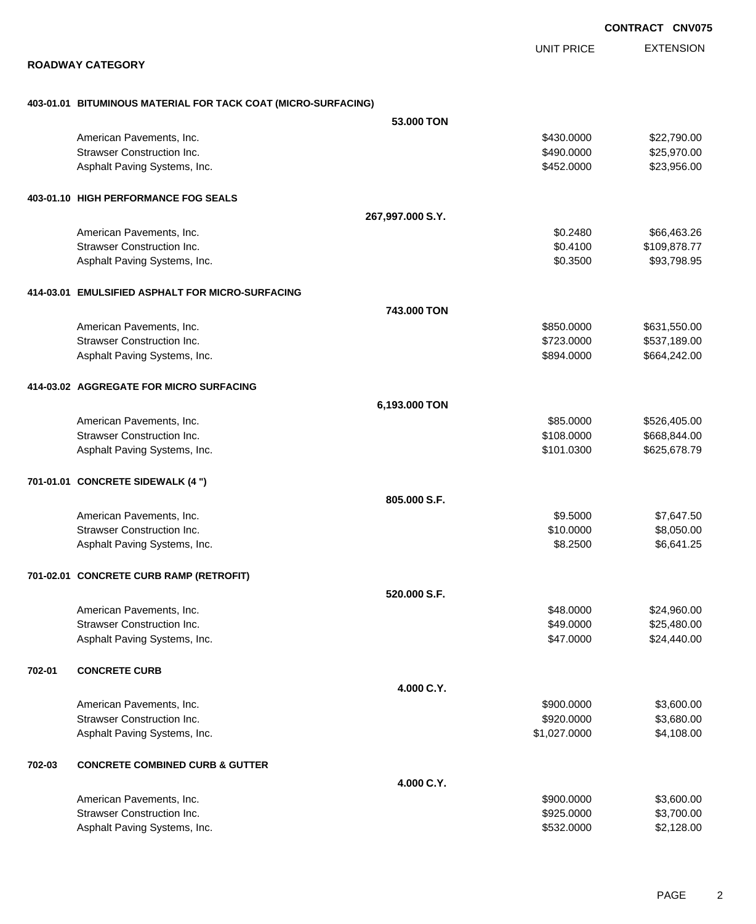EXTENSION **CONTRACT CNV075** UNIT PRICE **ROADWAY CATEGORY 403-01.01 BITUMINOUS MATERIAL FOR TACK COAT (MICRO-SURFACING) 53.000 TON** American Pavements, Inc. 6. 2008. The state of the state of the state of the state of the state of the state of the state of the state of the state of the state of the state of the state of the state of the state of the st Strawser Construction Inc. **\$25,970.00** \$25,970.00 Asphalt Paving Systems, Inc. 6. The Contract of the Contract of the State of the State State State State State State State State State State State State State State State State State State State State State State State Sta **403-01.10 HIGH PERFORMANCE FOG SEALS 267,997.000 S.Y.** American Pavements, Inc. 666,463.26 \$66,463.26 Strawser Construction Inc. **Exercise 2.6 Strawser Construction Inc. 50.4100** \$109,878.77 Asphalt Paving Systems, Inc. 6. The Second Second Seconds of the Second Seconds Seconds Seconds Seconds Asphalt Paving Systems, Inc. **414-03.01 EMULSIFIED ASPHALT FOR MICRO-SURFACING 743.000 TON** American Pavements, Inc. 6631,550.000 \$631,550.000 \$631,550.000 \$631,550.000 \$631,550.00 Strawser Construction Inc. 2012 12:3000 \$537,189.00 Asphalt Paving Systems, Inc. 664,242.00 \$664,242.00 \$894.0000 \$664,242.00 **414-03.02 AGGREGATE FOR MICRO SURFACING 6,193.000 TON** American Pavements, Inc. 6. 2012 12:30 12:30 12:30 12:30 12:30 12:30 12:30 12:30 12:30 12:30 12:30 12:30 12:30 Strawser Construction Inc. **Example 2018** Strawser Construction Inc. **\$108.0000** \$668,844.00 Asphalt Paving Systems, Inc. 6. The Contract of the Contract of the State of the State of State of State of State of State of State of State of State of State of State of State of State of State of State of State of State **701-01.01 CONCRETE SIDEWALK (4 ") 805.000 S.F.** American Pavements, Inc. 66 and the contract of the contract of the contract of the contract of the contract of the contract of the contract of the contract of the contract of the contract of the contract of the contract o Strawser Construction Inc. 6. The Construction Inc. 6. The Construction Inc. 6. The Construction Inc. 6. Strawser Construction Inc. Asphalt Paving Systems, Inc. 66,641.25 **701-02.01 CONCRETE CURB RAMP (RETROFIT) 520.000 S.F.** American Pavements, Inc. 6. 2012. The set of the set of the set of the set of the set of the set of the set of the set of the set of the set of the set of the set of the set of the set of the set of the set of the set of t Strawser Construction Inc. **\$25,480.00** \$25,480.00 Asphalt Paving Systems, Inc. 6. The Contract of the Contract of the State of the State of State of S24,440.00 **702-01 CONCRETE CURB 4.000 C.Y.** American Pavements, Inc. 6. 2012 12:30 12:30 12:30 13:30 13:30 13:30 13:30 13:30 13:30 13:30 13:30 13:30 13:30 Strawser Construction Inc. **\$920.0000 \$3,680.00** \$3,680.00 Asphalt Paving Systems, Inc. 6. 2012 12:0000 \$4,108.00 **702-03 CONCRETE COMBINED CURB & GUTTER 4.000 C.Y.** American Pavements, Inc. 6. 2002. 2003. 2004. 2012. 2013. 2014. 2014. 2014. 2016. 2016. 2016. 2016. 2016. 2016 Strawser Construction Inc. 6. The Construction Inc. 6. The Construction Inc. 6. The Construction Inc. 6. The Construction Inc. 6. The Construction Inc. 6. The Construction Inc. 6. The Construction Inc. 6. The Construction

Asphalt Paving Systems, Inc. 6. 2012 12:30 12:30 12:30 12:30 12:30 12:30 12:30 12:30 12:30 12:30 12:30 12:30 1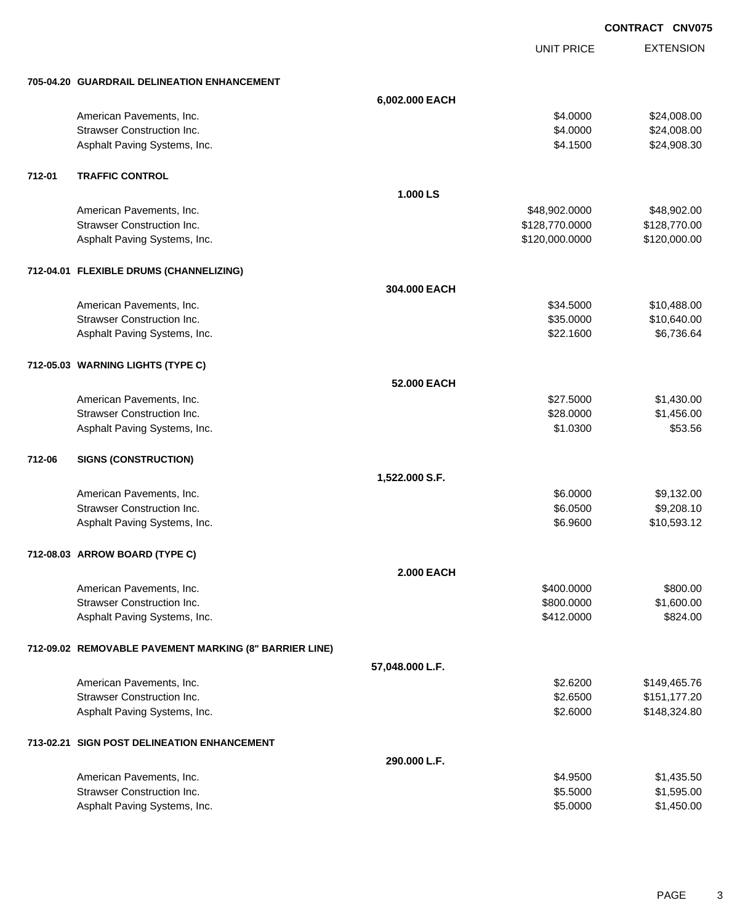|        |                                                        |                   |                   | <b>CONTRACT CNV075</b> |                  |
|--------|--------------------------------------------------------|-------------------|-------------------|------------------------|------------------|
|        |                                                        |                   | <b>UNIT PRICE</b> |                        | <b>EXTENSION</b> |
|        | 705-04.20 GUARDRAIL DELINEATION ENHANCEMENT            |                   |                   |                        |                  |
|        |                                                        | 6,002.000 EACH    |                   |                        |                  |
|        | American Pavements, Inc.                               |                   | \$4.0000          |                        | \$24,008.00      |
|        | <b>Strawser Construction Inc.</b>                      |                   | \$4.0000          |                        | \$24,008.00      |
|        | Asphalt Paving Systems, Inc.                           |                   | \$4.1500          |                        | \$24,908.30      |
| 712-01 | <b>TRAFFIC CONTROL</b>                                 |                   |                   |                        |                  |
|        |                                                        | 1.000 LS          |                   |                        |                  |
|        | American Pavements, Inc.                               |                   | \$48,902.0000     |                        | \$48,902.00      |
|        | <b>Strawser Construction Inc.</b>                      |                   | \$128,770.0000    |                        | \$128,770.00     |
|        | Asphalt Paving Systems, Inc.                           |                   | \$120,000.0000    |                        | \$120,000.00     |
|        | 712-04.01 FLEXIBLE DRUMS (CHANNELIZING)                |                   |                   |                        |                  |
|        |                                                        | 304.000 EACH      |                   |                        |                  |
|        | American Pavements, Inc.                               |                   | \$34.5000         |                        | \$10,488.00      |
|        | <b>Strawser Construction Inc.</b>                      |                   | \$35.0000         |                        | \$10,640.00      |
|        | Asphalt Paving Systems, Inc.                           |                   | \$22.1600         |                        | \$6,736.64       |
|        | 712-05.03 WARNING LIGHTS (TYPE C)                      |                   |                   |                        |                  |
|        |                                                        | 52.000 EACH       |                   |                        |                  |
|        | American Pavements, Inc.                               |                   | \$27.5000         |                        | \$1,430.00       |
|        | <b>Strawser Construction Inc.</b>                      |                   | \$28.0000         |                        | \$1,456.00       |
|        | Asphalt Paving Systems, Inc.                           |                   | \$1.0300          |                        | \$53.56          |
| 712-06 | <b>SIGNS (CONSTRUCTION)</b>                            |                   |                   |                        |                  |
|        |                                                        | 1,522.000 S.F.    |                   |                        |                  |
|        | American Pavements, Inc.                               |                   | \$6.0000          |                        | \$9,132.00       |
|        | <b>Strawser Construction Inc.</b>                      |                   | \$6.0500          |                        | \$9,208.10       |
|        | Asphalt Paving Systems, Inc.                           |                   | \$6.9600          |                        | \$10,593.12      |
|        | 712-08.03 ARROW BOARD (TYPE C)                         |                   |                   |                        |                  |
|        |                                                        | <b>2.000 EACH</b> |                   |                        |                  |
|        | American Pavements, Inc.                               |                   | \$400.0000        |                        | \$800.00         |
|        | <b>Strawser Construction Inc.</b>                      |                   | \$800.0000        |                        | \$1,600.00       |
|        | Asphalt Paving Systems, Inc.                           |                   | \$412.0000        |                        | \$824.00         |
|        | 712-09.02 REMOVABLE PAVEMENT MARKING (8" BARRIER LINE) |                   |                   |                        |                  |
|        |                                                        | 57,048.000 L.F.   |                   |                        |                  |
|        | American Pavements, Inc.                               |                   | \$2.6200          |                        | \$149,465.76     |
|        | <b>Strawser Construction Inc.</b>                      |                   | \$2.6500          |                        | \$151,177.20     |
|        | Asphalt Paving Systems, Inc.                           |                   | \$2.6000          |                        | \$148,324.80     |
|        | 713-02.21 SIGN POST DELINEATION ENHANCEMENT            |                   |                   |                        |                  |
|        |                                                        | 290.000 L.F.      |                   |                        |                  |
|        | American Pavements, Inc.                               |                   | \$4.9500          |                        | \$1,435.50       |
|        | <b>Strawser Construction Inc.</b>                      |                   | \$5.5000          |                        | \$1,595.00       |

Asphalt Paving Systems, Inc. 6. The Second Studies of the Second Studies of the Second Studies of St. 450.00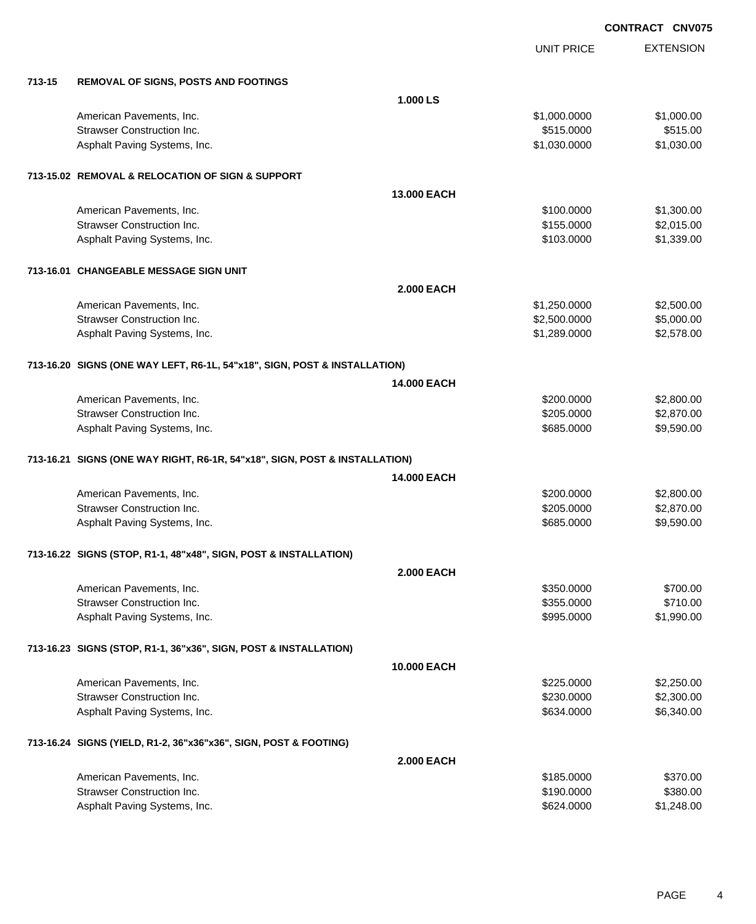|        |                                                                            |                   | <b>UNIT PRICE</b> | <b>EXTENSION</b> |
|--------|----------------------------------------------------------------------------|-------------------|-------------------|------------------|
| 713-15 | <b>REMOVAL OF SIGNS, POSTS AND FOOTINGS</b>                                |                   |                   |                  |
|        |                                                                            | 1.000 LS          |                   |                  |
|        | American Pavements, Inc.                                                   |                   | \$1,000.0000      | \$1,000.00       |
|        | <b>Strawser Construction Inc.</b>                                          |                   | \$515.0000        | \$515.00         |
|        | Asphalt Paving Systems, Inc.                                               |                   | \$1,030.0000      | \$1,030.00       |
|        | 713-15.02 REMOVAL & RELOCATION OF SIGN & SUPPORT                           |                   |                   |                  |
|        |                                                                            | 13.000 EACH       |                   |                  |
|        | American Pavements, Inc.                                                   |                   | \$100.0000        | \$1,300.00       |
|        | <b>Strawser Construction Inc.</b>                                          |                   | \$155.0000        | \$2,015.00       |
|        | Asphalt Paving Systems, Inc.                                               |                   | \$103.0000        | \$1,339.00       |
|        | 713-16.01 CHANGEABLE MESSAGE SIGN UNIT                                     |                   |                   |                  |
|        |                                                                            | <b>2.000 EACH</b> |                   |                  |
|        | American Pavements, Inc.                                                   |                   | \$1,250.0000      | \$2,500.00       |
|        | <b>Strawser Construction Inc.</b>                                          |                   | \$2,500.0000      | \$5,000.00       |
|        | Asphalt Paving Systems, Inc.                                               |                   | \$1,289.0000      | \$2,578.00       |
|        | 713-16.20 SIGNS (ONE WAY LEFT, R6-1L, 54"x18", SIGN, POST & INSTALLATION)  |                   |                   |                  |
|        |                                                                            | 14.000 EACH       |                   |                  |
|        | American Pavements, Inc.                                                   |                   | \$200.0000        | \$2,800.00       |
|        | <b>Strawser Construction Inc.</b>                                          |                   | \$205.0000        | \$2,870.00       |
|        | Asphalt Paving Systems, Inc.                                               |                   | \$685.0000        | \$9,590.00       |
|        | 713-16.21 SIGNS (ONE WAY RIGHT, R6-1R, 54"x18", SIGN, POST & INSTALLATION) |                   |                   |                  |
|        |                                                                            | 14.000 EACH       |                   |                  |
|        | American Pavements, Inc.                                                   |                   | \$200.0000        | \$2,800.00       |
|        | <b>Strawser Construction Inc.</b>                                          |                   | \$205.0000        | \$2,870.00       |
|        | Asphalt Paving Systems, Inc.                                               |                   | \$685.0000        | \$9,590.00       |
|        |                                                                            |                   |                   |                  |
|        | 713-16.22 SIGNS (STOP, R1-1, 48"x48", SIGN, POST & INSTALLATION)           |                   |                   |                  |
|        |                                                                            | <b>2.000 EACH</b> |                   |                  |
|        | American Pavements, Inc.                                                   |                   | \$350.0000        | \$700.00         |
|        | <b>Strawser Construction Inc.</b>                                          |                   | \$355.0000        | \$710.00         |
|        | Asphalt Paving Systems, Inc.                                               |                   | \$995.0000        | \$1,990.00       |
|        | 713-16.23 SIGNS (STOP, R1-1, 36"x36", SIGN, POST & INSTALLATION)           |                   |                   |                  |
|        |                                                                            | 10.000 EACH       |                   |                  |
|        | American Pavements, Inc.                                                   |                   | \$225.0000        | \$2,250.00       |
|        | <b>Strawser Construction Inc.</b>                                          |                   | \$230.0000        | \$2,300.00       |
|        | Asphalt Paving Systems, Inc.                                               |                   | \$634.0000        | \$6,340.00       |
|        | 713-16.24 SIGNS (YIELD, R1-2, 36"x36"x36", SIGN, POST & FOOTING)           |                   |                   |                  |
|        |                                                                            | <b>2.000 EACH</b> |                   |                  |
|        | American Pavements, Inc.                                                   |                   | \$185.0000        | \$370.00         |
|        | <b>Strawser Construction Inc.</b>                                          |                   | \$190.0000        | \$380.00         |
|        | Asphalt Paving Systems, Inc.                                               |                   | \$624.0000        | \$1,248.00       |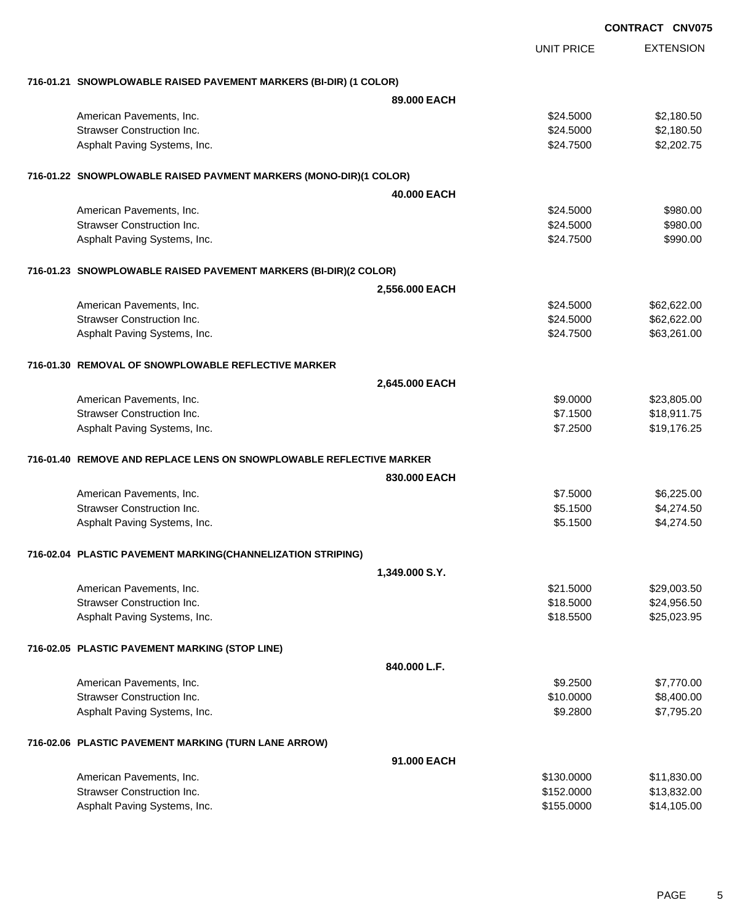|                                                                     |                |                   | <b>CONTRACT CNV075</b> |  |  |
|---------------------------------------------------------------------|----------------|-------------------|------------------------|--|--|
|                                                                     |                | <b>UNIT PRICE</b> | <b>EXTENSION</b>       |  |  |
| 716-01.21 SNOWPLOWABLE RAISED PAVEMENT MARKERS (BI-DIR) (1 COLOR)   |                |                   |                        |  |  |
|                                                                     | 89.000 EACH    |                   |                        |  |  |
| American Pavements, Inc.                                            |                | \$24.5000         | \$2,180.50             |  |  |
| <b>Strawser Construction Inc.</b>                                   |                | \$24.5000         | \$2,180.50             |  |  |
| Asphalt Paving Systems, Inc.                                        |                | \$24.7500         | \$2,202.75             |  |  |
| 716-01.22 SNOWPLOWABLE RAISED PAVMENT MARKERS (MONO-DIR)(1 COLOR)   |                |                   |                        |  |  |
|                                                                     | 40.000 EACH    |                   |                        |  |  |
| American Pavements, Inc.                                            |                | \$24.5000         | \$980.00               |  |  |
| <b>Strawser Construction Inc.</b>                                   |                | \$24.5000         | \$980.00               |  |  |
| Asphalt Paving Systems, Inc.                                        |                | \$24.7500         | \$990.00               |  |  |
| 716-01.23 SNOWPLOWABLE RAISED PAVEMENT MARKERS (BI-DIR)(2 COLOR)    |                |                   |                        |  |  |
|                                                                     | 2,556.000 EACH |                   |                        |  |  |
| American Pavements, Inc.                                            |                | \$24.5000         | \$62,622.00            |  |  |
| <b>Strawser Construction Inc.</b>                                   |                | \$24.5000         | \$62,622.00            |  |  |
| Asphalt Paving Systems, Inc.                                        |                | \$24.7500         | \$63,261.00            |  |  |
| 716-01.30 REMOVAL OF SNOWPLOWABLE REFLECTIVE MARKER                 |                |                   |                        |  |  |
| 2,645.000 EACH                                                      |                |                   |                        |  |  |
| American Pavements, Inc.                                            |                | \$9.0000          | \$23,805.00            |  |  |
| <b>Strawser Construction Inc.</b>                                   |                | \$7.1500          | \$18,911.75            |  |  |
| Asphalt Paving Systems, Inc.                                        |                | \$7.2500          | \$19,176.25            |  |  |
| 716-01.40 REMOVE AND REPLACE LENS ON SNOWPLOWABLE REFLECTIVE MARKER |                |                   |                        |  |  |
|                                                                     | 830.000 EACH   |                   |                        |  |  |
| American Pavements, Inc.                                            |                | \$7.5000          | \$6,225.00             |  |  |
| <b>Strawser Construction Inc.</b>                                   |                | \$5.1500          | \$4,274.50             |  |  |
| Asphalt Paving Systems, Inc.                                        |                | \$5.1500          | \$4,274.50             |  |  |
| 716-02.04 PLASTIC PAVEMENT MARKING(CHANNELIZATION STRIPING)         |                |                   |                        |  |  |
|                                                                     | 1,349.000 S.Y. |                   |                        |  |  |
| American Pavements, Inc.                                            |                | \$21.5000         | \$29,003.50            |  |  |
| <b>Strawser Construction Inc.</b>                                   |                | \$18.5000         | \$24,956.50            |  |  |
| Asphalt Paving Systems, Inc.                                        |                | \$18.5500         | \$25,023.95            |  |  |
| 716-02.05 PLASTIC PAVEMENT MARKING (STOP LINE)                      |                |                   |                        |  |  |
|                                                                     | 840.000 L.F.   |                   |                        |  |  |
| American Pavements, Inc.                                            |                | \$9.2500          | \$7,770.00             |  |  |
| <b>Strawser Construction Inc.</b>                                   |                | \$10.0000         | \$8,400.00             |  |  |
| Asphalt Paving Systems, Inc.                                        |                | \$9.2800          | \$7,795.20             |  |  |
| 716-02.06 PLASTIC PAVEMENT MARKING (TURN LANE ARROW)                |                |                   |                        |  |  |
|                                                                     | 91.000 EACH    |                   |                        |  |  |
| American Pavements, Inc.                                            |                | \$130.0000        | \$11,830.00            |  |  |
| <b>Strawser Construction Inc.</b>                                   |                | \$152.0000        | \$13,832.00            |  |  |
| Asphalt Paving Systems, Inc.                                        |                | \$155.0000        | \$14,105.00            |  |  |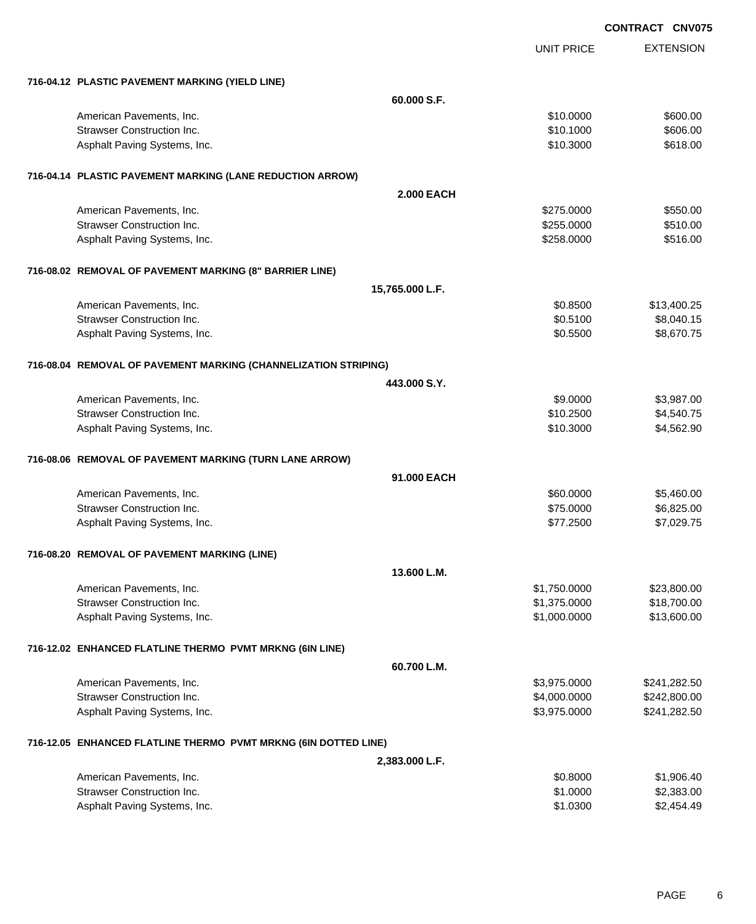|                                                                 |                   | <b>UNIT PRICE</b> | <b>EXTENSION</b> |
|-----------------------------------------------------------------|-------------------|-------------------|------------------|
| 716-04.12 PLASTIC PAVEMENT MARKING (YIELD LINE)                 |                   |                   |                  |
|                                                                 | 60.000 S.F.       |                   |                  |
| American Pavements, Inc.                                        |                   | \$10,0000         | \$600.00         |
| <b>Strawser Construction Inc.</b>                               |                   | \$10.1000         | \$606.00         |
| Asphalt Paving Systems, Inc.                                    |                   | \$10.3000         | \$618.00         |
| 716-04.14 PLASTIC PAVEMENT MARKING (LANE REDUCTION ARROW)       |                   |                   |                  |
|                                                                 | <b>2.000 EACH</b> |                   |                  |
| American Pavements, Inc.                                        |                   | \$275.0000        | \$550.00         |
| Strawser Construction Inc.                                      |                   | \$255.0000        | \$510.00         |
| Asphalt Paving Systems, Inc.                                    |                   | \$258.0000        | \$516.00         |
| 716-08.02 REMOVAL OF PAVEMENT MARKING (8" BARRIER LINE)         |                   |                   |                  |
|                                                                 | 15,765.000 L.F.   |                   |                  |
| American Pavements, Inc.                                        |                   | \$0.8500          | \$13,400.25      |
| <b>Strawser Construction Inc.</b>                               |                   | \$0.5100          | \$8,040.15       |
| Asphalt Paving Systems, Inc.                                    |                   | \$0.5500          | \$8,670.75       |
| 716-08.04 REMOVAL OF PAVEMENT MARKING (CHANNELIZATION STRIPING) |                   |                   |                  |
|                                                                 | 443,000 S.Y.      |                   |                  |
| American Pavements, Inc.                                        |                   | \$9.0000          | \$3,987.00       |
| <b>Strawser Construction Inc.</b>                               |                   | \$10.2500         | \$4,540.75       |
| Asphalt Paving Systems, Inc.                                    |                   | \$10.3000         | \$4,562.90       |
| 716-08.06 REMOVAL OF PAVEMENT MARKING (TURN LANE ARROW)         |                   |                   |                  |
|                                                                 | 91.000 EACH       |                   |                  |
| American Pavements, Inc.                                        |                   | \$60.0000         | \$5,460.00       |
| <b>Strawser Construction Inc.</b>                               |                   | \$75.0000         | \$6,825.00       |
| Asphalt Paving Systems, Inc.                                    |                   | \$77.2500         | \$7,029.75       |
| 716-08.20 REMOVAL OF PAVEMENT MARKING (LINE)                    |                   |                   |                  |
|                                                                 | 13.600 L.M.       |                   |                  |
| American Pavements, Inc.                                        |                   | \$1,750.0000      | \$23,800.00      |
| <b>Strawser Construction Inc.</b>                               |                   | \$1,375.0000      | \$18,700.00      |
| Asphalt Paving Systems, Inc.                                    |                   | \$1,000.0000      | \$13,600.00      |
| 716-12.02 ENHANCED FLATLINE THERMO PVMT MRKNG (6IN LINE)        |                   |                   |                  |
|                                                                 | 60.700 L.M.       |                   |                  |
| American Pavements, Inc.                                        |                   | \$3,975.0000      | \$241,282.50     |
| <b>Strawser Construction Inc.</b>                               |                   | \$4,000.0000      | \$242,800.00     |
| Asphalt Paving Systems, Inc.                                    |                   | \$3,975.0000      | \$241,282.50     |
| 716-12.05 ENHANCED FLATLINE THERMO PVMT MRKNG (6IN DOTTED LINE) |                   |                   |                  |
|                                                                 | 2,383.000 L.F.    |                   |                  |
| American Pavements, Inc.                                        |                   | \$0.8000          | \$1,906.40       |
| Strawser Construction Inc.                                      |                   | \$1.0000          | \$2,383.00       |
| Asphalt Paving Systems, Inc.                                    |                   | \$1.0300          | \$2,454.49       |
|                                                                 |                   |                   |                  |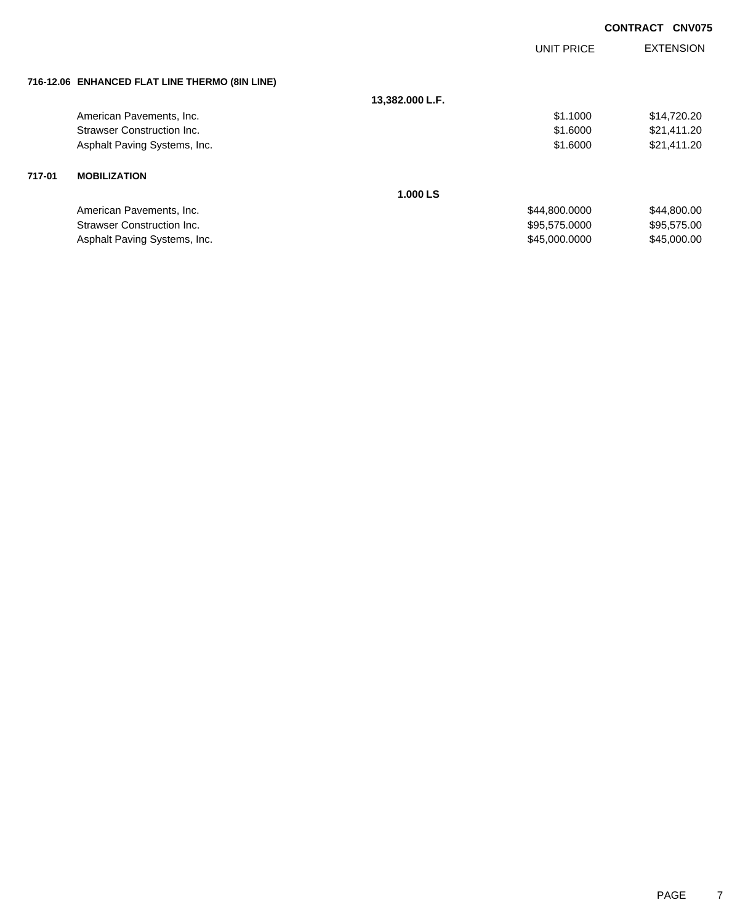|        |                                                |                 | <b>UNIT PRICE</b> | <b>EXTENSION</b> |
|--------|------------------------------------------------|-----------------|-------------------|------------------|
|        | 716-12.06 ENHANCED FLAT LINE THERMO (8IN LINE) |                 |                   |                  |
|        |                                                | 13,382.000 L.F. |                   |                  |
|        | American Pavements, Inc.                       |                 | \$1.1000          | \$14,720.20      |
|        | Strawser Construction Inc.                     |                 | \$1,6000          | \$21,411.20      |
|        | Asphalt Paving Systems, Inc.                   |                 | \$1.6000          | \$21,411.20      |
| 717-01 | <b>MOBILIZATION</b>                            |                 |                   |                  |
|        |                                                | 1.000 LS        |                   |                  |
|        | American Pavements, Inc.                       |                 | \$44,800.0000     | \$44,800.00      |
|        | <b>Strawser Construction Inc.</b>              |                 | \$95,575.0000     | \$95,575.00      |
|        | Asphalt Paving Systems, Inc.                   |                 | \$45,000.0000     | \$45,000.00      |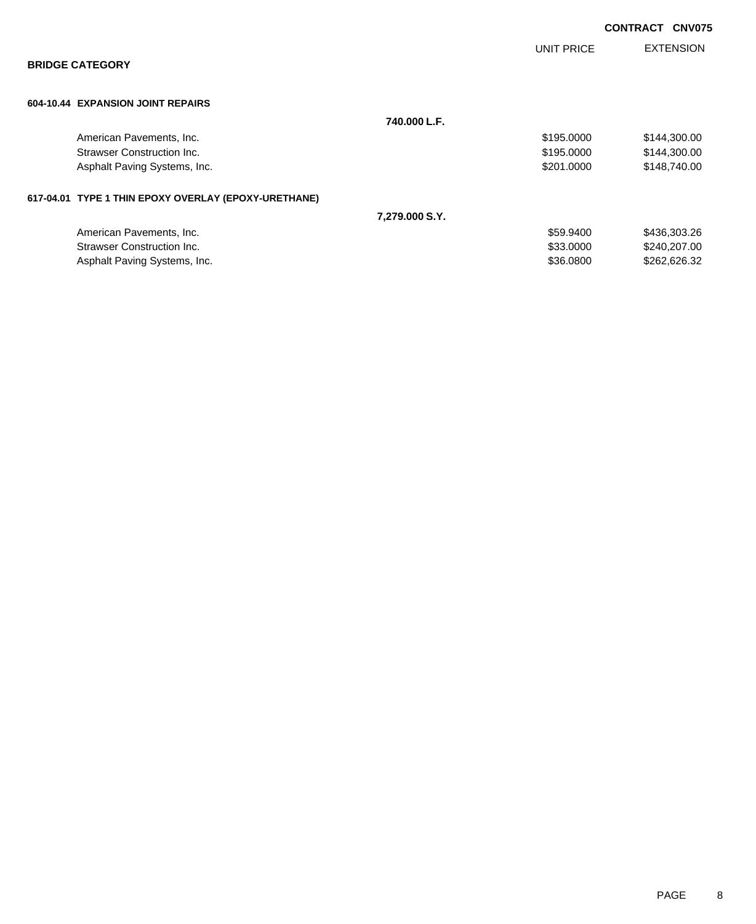|                                                      |                |            | <b>CONTRACT CNV075</b> |
|------------------------------------------------------|----------------|------------|------------------------|
| <b>BRIDGE CATEGORY</b>                               |                | UNIT PRICE | <b>EXTENSION</b>       |
| 604-10.44 EXPANSION JOINT REPAIRS                    |                |            |                        |
|                                                      | 740.000 L.F.   |            |                        |
| American Pavements, Inc.                             |                | \$195.0000 | \$144,300.00           |
| Strawser Construction Inc.                           |                | \$195.0000 | \$144,300.00           |
| Asphalt Paving Systems, Inc.                         |                | \$201,0000 | \$148,740.00           |
| 617-04.01 TYPE 1 THIN EPOXY OVERLAY (EPOXY-URETHANE) |                |            |                        |
|                                                      | 7,279.000 S.Y. |            |                        |
| American Pavements, Inc.                             |                | \$59.9400  | \$436,303.26           |
| Strawser Construction Inc.                           |                | \$33.0000  | \$240,207.00           |
| Asphalt Paving Systems, Inc.                         |                | \$36.0800  | \$262,626.32           |
|                                                      |                |            |                        |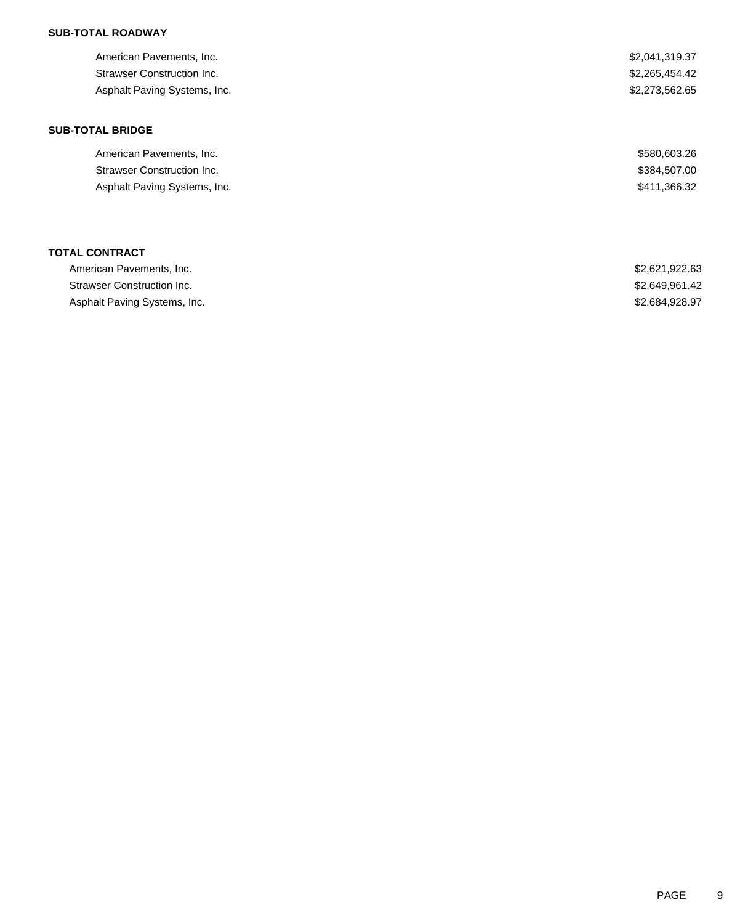| American Pavements, Inc.          | \$2,041,319.37 |
|-----------------------------------|----------------|
| <b>Strawser Construction Inc.</b> | \$2,265,454.42 |
| Asphalt Paving Systems, Inc.      | \$2,273,562.65 |
| <b>SUB-TOTAL BRIDGE</b>           |                |
| American Pavements, Inc.          | \$580,603.26   |
| <b>Strawser Construction Inc.</b> | \$384,507.00   |
| Asphalt Paving Systems, Inc.      | \$411,366.32   |
|                                   |                |
| <b>TOTAL CONTRACT</b>             |                |
| American Pavements, Inc.          | \$2,621,922.63 |

Strawser Construction Inc. 6. The Second Strawser Construction Inc. 6. The Second Strawser Construction Inc. Asphalt Paving Systems, Inc. 6. The Second Second Second Second Second Second Second Seconds Asphalt Paving Systems, Inc.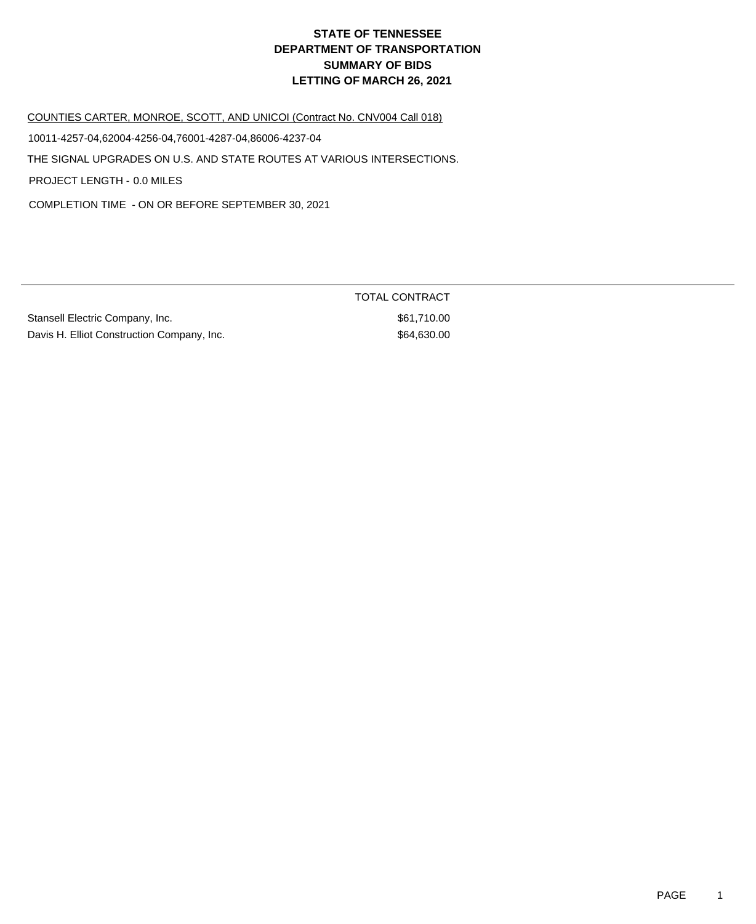COUNTIES CARTER, MONROE, SCOTT, AND UNICOI (Contract No. CNV004 Call 018)

10011-4257-04,62004-4256-04,76001-4287-04,86006-4237-04

THE SIGNAL UPGRADES ON U.S. AND STATE ROUTES AT VARIOUS INTERSECTIONS.

PROJECT LENGTH - 0.0 MILES

COMPLETION TIME - ON OR BEFORE SEPTEMBER 30, 2021

Stansell Electric Company, Inc. 651,710.00 Davis H. Elliot Construction Company, Inc. 664,630.00

TOTAL CONTRACT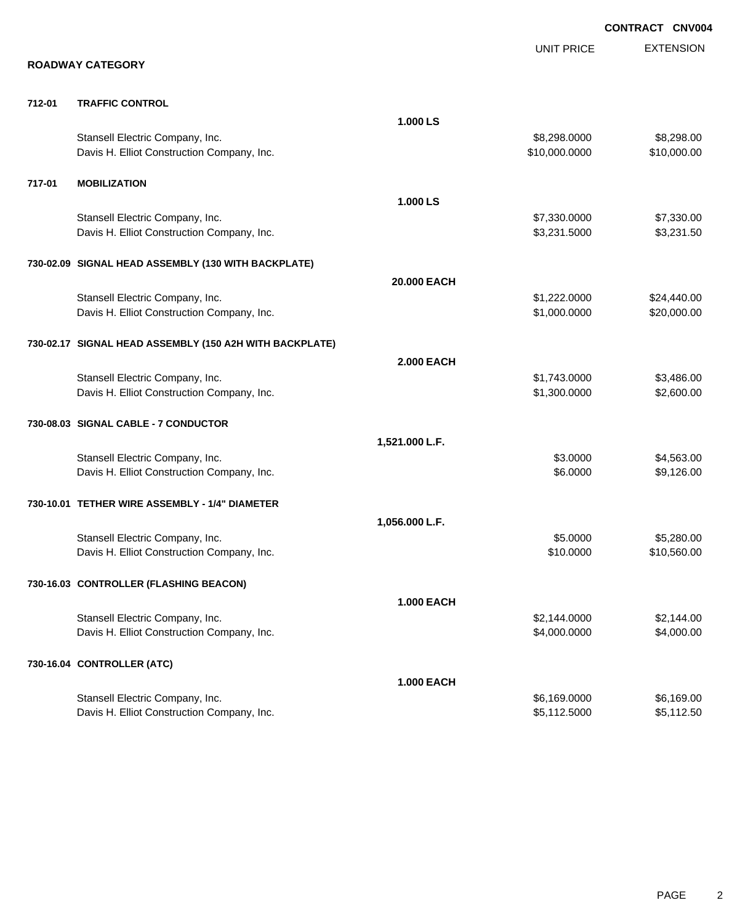|        |                                                         |                   |                   | <b>CONTRACT CNV004</b> |
|--------|---------------------------------------------------------|-------------------|-------------------|------------------------|
|        | <b>ROADWAY CATEGORY</b>                                 |                   | <b>UNIT PRICE</b> | <b>EXTENSION</b>       |
|        |                                                         |                   |                   |                        |
| 712-01 | <b>TRAFFIC CONTROL</b>                                  |                   |                   |                        |
|        |                                                         | 1.000 LS          |                   |                        |
|        | Stansell Electric Company, Inc.                         |                   | \$8,298.0000      | \$8,298.00             |
|        | Davis H. Elliot Construction Company, Inc.              |                   | \$10,000.0000     | \$10,000.00            |
| 717-01 | <b>MOBILIZATION</b>                                     |                   |                   |                        |
|        |                                                         | 1.000 LS          |                   |                        |
|        | Stansell Electric Company, Inc.                         |                   | \$7,330.0000      | \$7,330.00             |
|        | Davis H. Elliot Construction Company, Inc.              |                   | \$3,231.5000      | \$3,231.50             |
|        | 730-02.09 SIGNAL HEAD ASSEMBLY (130 WITH BACKPLATE)     |                   |                   |                        |
|        |                                                         | 20.000 EACH       |                   |                        |
|        | Stansell Electric Company, Inc.                         |                   | \$1,222.0000      | \$24,440.00            |
|        | Davis H. Elliot Construction Company, Inc.              |                   | \$1,000.0000      | \$20,000.00            |
|        | 730-02.17 SIGNAL HEAD ASSEMBLY (150 A2H WITH BACKPLATE) |                   |                   |                        |
|        |                                                         | <b>2.000 EACH</b> |                   |                        |
|        | Stansell Electric Company, Inc.                         |                   | \$1,743.0000      | \$3,486.00             |
|        | Davis H. Elliot Construction Company, Inc.              |                   | \$1,300.0000      | \$2,600.00             |
|        | 730-08.03 SIGNAL CABLE - 7 CONDUCTOR                    |                   |                   |                        |
|        |                                                         | 1,521.000 L.F.    |                   |                        |
|        | Stansell Electric Company, Inc.                         |                   | \$3.0000          | \$4,563.00             |
|        | Davis H. Elliot Construction Company, Inc.              |                   | \$6.0000          | \$9,126.00             |
|        | 730-10.01 TETHER WIRE ASSEMBLY - 1/4" DIAMETER          |                   |                   |                        |
|        |                                                         | 1,056.000 L.F.    |                   |                        |
|        | Stansell Electric Company, Inc.                         |                   | \$5.0000          | \$5,280.00             |
|        | Davis H. Elliot Construction Company, Inc.              |                   | \$10.0000         | \$10,560.00            |
|        | 730-16.03 CONTROLLER (FLASHING BEACON)                  |                   |                   |                        |
|        |                                                         | <b>1.000 EACH</b> |                   |                        |
|        | Stansell Electric Company, Inc.                         |                   | \$2,144.0000      | \$2,144.00             |
|        | Davis H. Elliot Construction Company, Inc.              |                   | \$4,000.0000      | \$4,000.00             |
|        | 730-16.04 CONTROLLER (ATC)                              |                   |                   |                        |
|        |                                                         | <b>1.000 EACH</b> |                   |                        |
|        | Stansell Electric Company, Inc.                         |                   | \$6,169.0000      | \$6,169.00             |
|        | Davis H. Elliot Construction Company, Inc.              |                   | \$5,112.5000      | \$5,112.50             |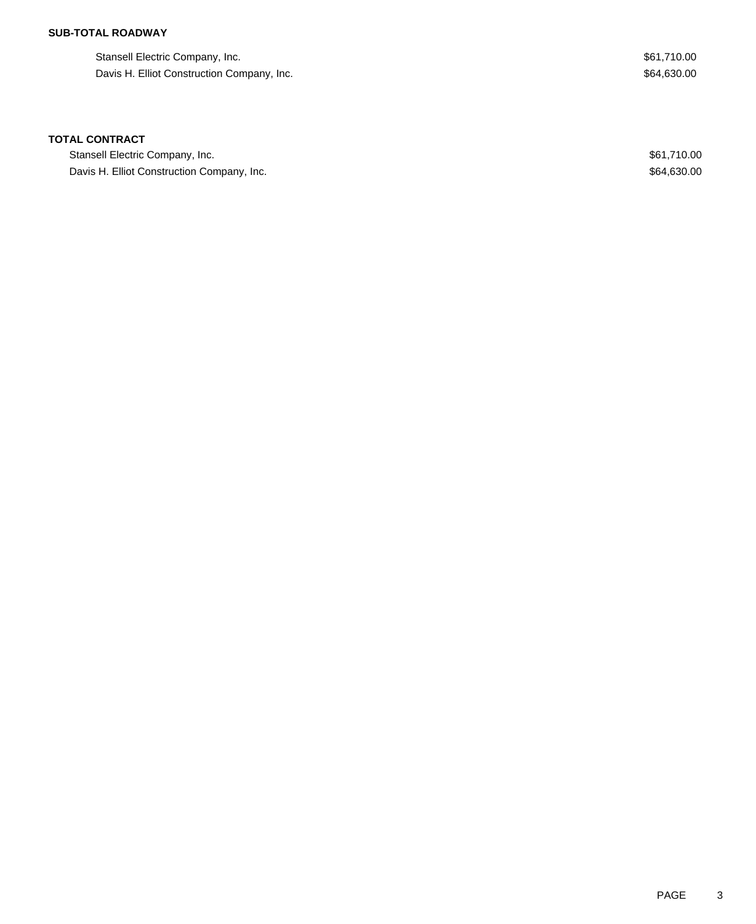Stansell Electric Company, Inc. 661,710.00 Davis H. Elliot Construction Company, Inc. 654,630.00

### **TOTAL CONTRACT**

Stansell Electric Company, Inc. 661,710.00 Davis H. Elliot Construction Company, Inc. 664,630.00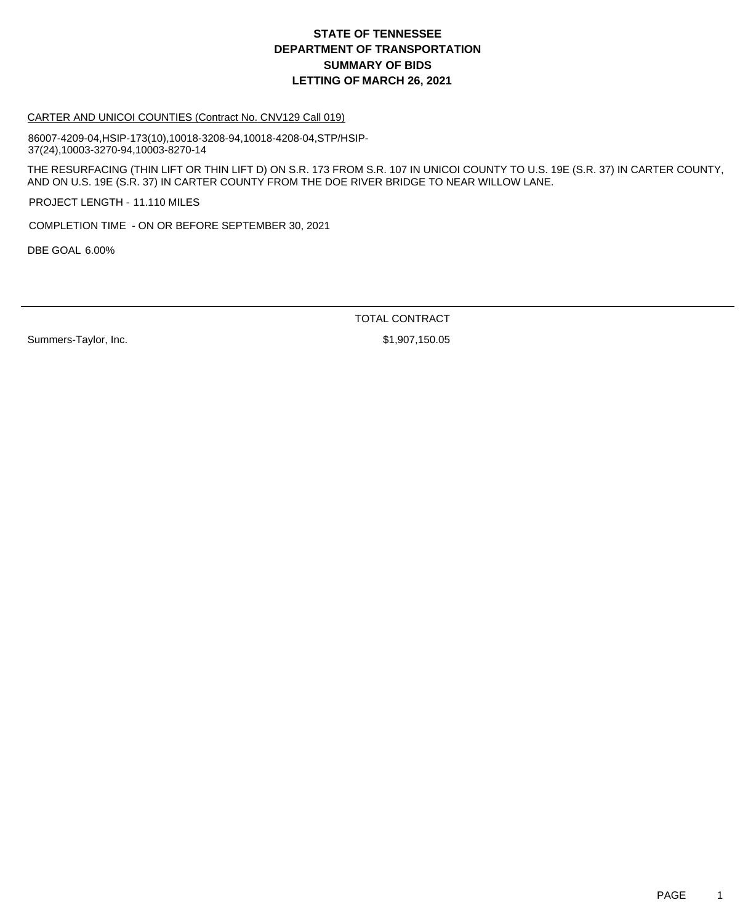#### CARTER AND UNICOI COUNTIES (Contract No. CNV129 Call 019)

86007-4209-04,HSIP-173(10),10018-3208-94,10018-4208-04,STP/HSIP-37(24),10003-3270-94,10003-8270-14

THE RESURFACING (THIN LIFT OR THIN LIFT D) ON S.R. 173 FROM S.R. 107 IN UNICOI COUNTY TO U.S. 19E (S.R. 37) IN CARTER COUNTY, AND ON U.S. 19E (S.R. 37) IN CARTER COUNTY FROM THE DOE RIVER BRIDGE TO NEAR WILLOW LANE.

PROJECT LENGTH - 11.110 MILES

COMPLETION TIME - ON OR BEFORE SEPTEMBER 30, 2021

DBE GOAL 6.00%

TOTAL CONTRACT

Summers-Taylor, Inc. 6. 2012 12:30 12:30 13:30 13:30 14:30 14:30 150.05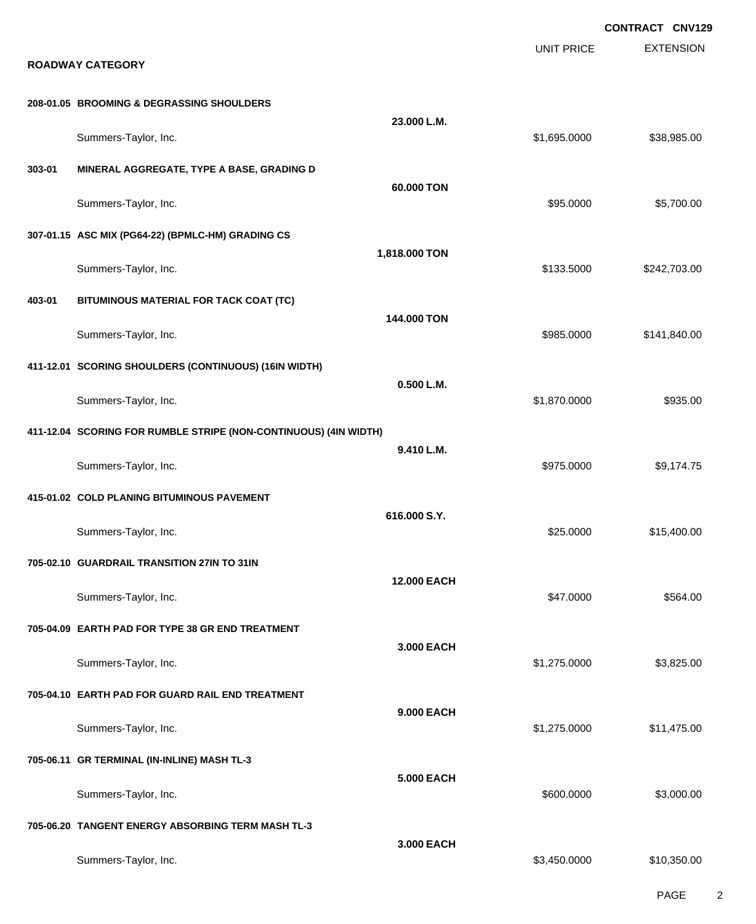|        |                                                                  |                    |                   | <b>CONTRACT CNV129</b> |
|--------|------------------------------------------------------------------|--------------------|-------------------|------------------------|
|        | <b>ROADWAY CATEGORY</b>                                          |                    | <b>UNIT PRICE</b> | <b>EXTENSION</b>       |
|        | 208-01.05 BROOMING & DEGRASSING SHOULDERS                        |                    |                   |                        |
|        | Summers-Taylor, Inc.                                             | 23.000 L.M.        | \$1,695.0000      | \$38,985.00            |
| 303-01 | MINERAL AGGREGATE, TYPE A BASE, GRADING D                        | 60.000 TON         |                   |                        |
|        | Summers-Taylor, Inc.                                             |                    | \$95.0000         | \$5,700.00             |
|        | 307-01.15 ASC MIX (PG64-22) (BPMLC-HM) GRADING CS                | 1,818.000 TON      |                   |                        |
|        | Summers-Taylor, Inc.                                             |                    | \$133.5000        | \$242,703.00           |
| 403-01 | BITUMINOUS MATERIAL FOR TACK COAT (TC)                           |                    |                   |                        |
|        | Summers-Taylor, Inc.                                             | 144.000 TON        | \$985.0000        | \$141,840.00           |
|        | 411-12.01 SCORING SHOULDERS (CONTINUOUS) (16IN WIDTH)            | 0.500 L.M.         |                   |                        |
|        | Summers-Taylor, Inc.                                             |                    | \$1,870.0000      | \$935.00               |
|        | 411-12.04 SCORING FOR RUMBLE STRIPE (NON-CONTINUOUS) (4IN WIDTH) |                    |                   |                        |
|        | Summers-Taylor, Inc.                                             | 9.410 L.M.         | \$975.0000        | \$9,174.75             |
|        | 415-01.02 COLD PLANING BITUMINOUS PAVEMENT                       |                    |                   |                        |
|        | Summers-Taylor, Inc.                                             | 616.000 S.Y.       | \$25.0000         | \$15,400.00            |
|        | 705-02.10 GUARDRAIL TRANSITION 27IN TO 31IN                      |                    |                   |                        |
|        | Summers-Taylor, Inc.                                             | <b>12.000 EACH</b> | \$47.0000         | \$564.00               |
|        | 705-04.09 EARTH PAD FOR TYPE 38 GR END TREATMENT                 |                    |                   |                        |
|        | Summers-Taylor, Inc.                                             | 3.000 EACH         | \$1,275.0000      | \$3,825.00             |
|        | 705-04.10 EARTH PAD FOR GUARD RAIL END TREATMENT                 |                    |                   |                        |
|        | Summers-Taylor, Inc.                                             | <b>9.000 EACH</b>  | \$1,275.0000      | \$11,475.00            |
|        | 705-06.11 GR TERMINAL (IN-INLINE) MASH TL-3                      |                    |                   |                        |
|        | Summers-Taylor, Inc.                                             | <b>5.000 EACH</b>  | \$600.0000        | \$3,000.00             |
|        | 705-06.20 TANGENT ENERGY ABSORBING TERM MASH TL-3                |                    |                   |                        |
|        | Summers-Taylor, Inc.                                             | 3.000 EACH         | \$3,450.0000      | \$10,350.00            |

PAGE 2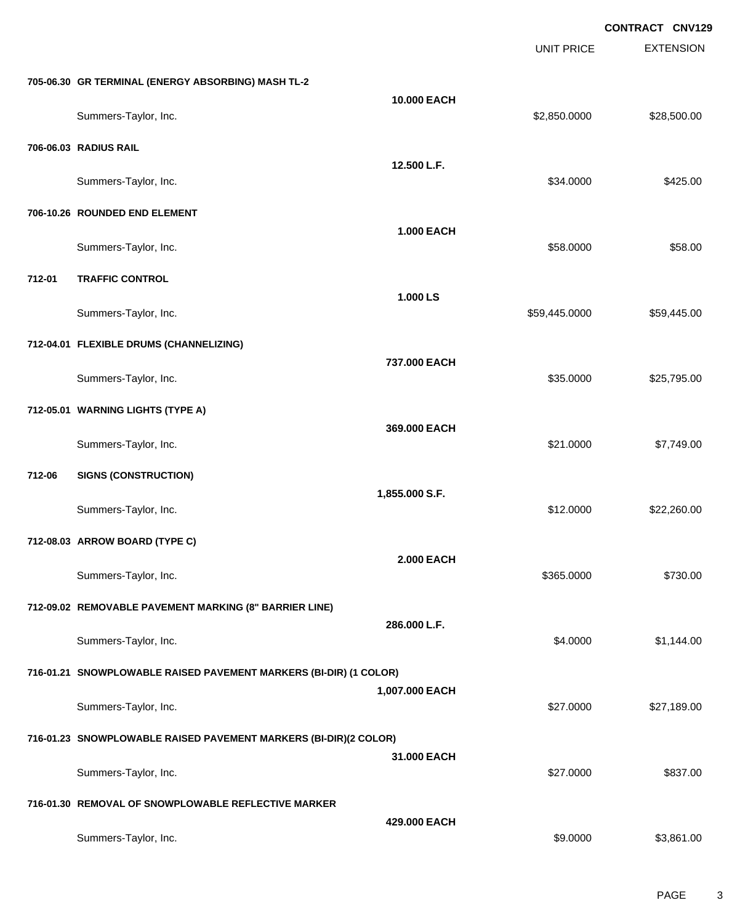UNIT PRICE EXTENSION

**705-06.30 GR TERMINAL (ENERGY ABSORBING) MASH TL-2**

|        | 705-06.30 GR TERMINAL (ENERGY ABSORBING) MASH TL-2                |                   |               |             |
|--------|-------------------------------------------------------------------|-------------------|---------------|-------------|
|        | Summers-Taylor, Inc.                                              | 10.000 EACH       | \$2,850.0000  | \$28,500.00 |
|        | 706-06.03 RADIUS RAIL                                             |                   |               |             |
|        | Summers-Taylor, Inc.                                              | 12.500 L.F.       | \$34.0000     | \$425.00    |
|        | 706-10.26 ROUNDED END ELEMENT                                     |                   |               |             |
|        | Summers-Taylor, Inc.                                              | <b>1.000 EACH</b> | \$58.0000     | \$58.00     |
| 712-01 | <b>TRAFFIC CONTROL</b>                                            |                   |               |             |
|        | Summers-Taylor, Inc.                                              | 1.000 LS          | \$59,445.0000 | \$59,445.00 |
|        | 712-04.01 FLEXIBLE DRUMS (CHANNELIZING)                           |                   |               |             |
|        | Summers-Taylor, Inc.                                              | 737.000 EACH      | \$35.0000     | \$25,795.00 |
|        | 712-05.01 WARNING LIGHTS (TYPE A)                                 |                   |               |             |
|        | Summers-Taylor, Inc.                                              | 369.000 EACH      | \$21.0000     | \$7,749.00  |
| 712-06 | <b>SIGNS (CONSTRUCTION)</b>                                       |                   |               |             |
|        | Summers-Taylor, Inc.                                              | 1,855.000 S.F.    | \$12.0000     | \$22,260.00 |
|        | 712-08.03 ARROW BOARD (TYPE C)                                    |                   |               |             |
|        | Summers-Taylor, Inc.                                              | <b>2.000 EACH</b> | \$365.0000    | \$730.00    |
|        | 712-09.02   REMOVABLE PAVEMENT MARKING (8" BARRIER LINE)          |                   |               |             |
|        | Summers-Taylor, Inc.                                              | 286.000 L.F.      | \$4.0000      | \$1,144.00  |
|        | 716-01.21 SNOWPLOWABLE RAISED PAVEMENT MARKERS (BI-DIR) (1 COLOR) |                   |               |             |
|        | Summers-Taylor, Inc.                                              | 1,007.000 EACH    | \$27.0000     | \$27,189.00 |
|        | 716-01.23 SNOWPLOWABLE RAISED PAVEMENT MARKERS (BI-DIR)(2 COLOR)  |                   |               |             |
|        |                                                                   | 31.000 EACH       |               |             |
|        | Summers-Taylor, Inc.                                              |                   | \$27.0000     | \$837.00    |
|        | 716-01.30 REMOVAL OF SNOWPLOWABLE REFLECTIVE MARKER               | 429.000 EACH      |               |             |
|        | Summers-Taylor, Inc.                                              |                   | \$9.0000      | \$3,861.00  |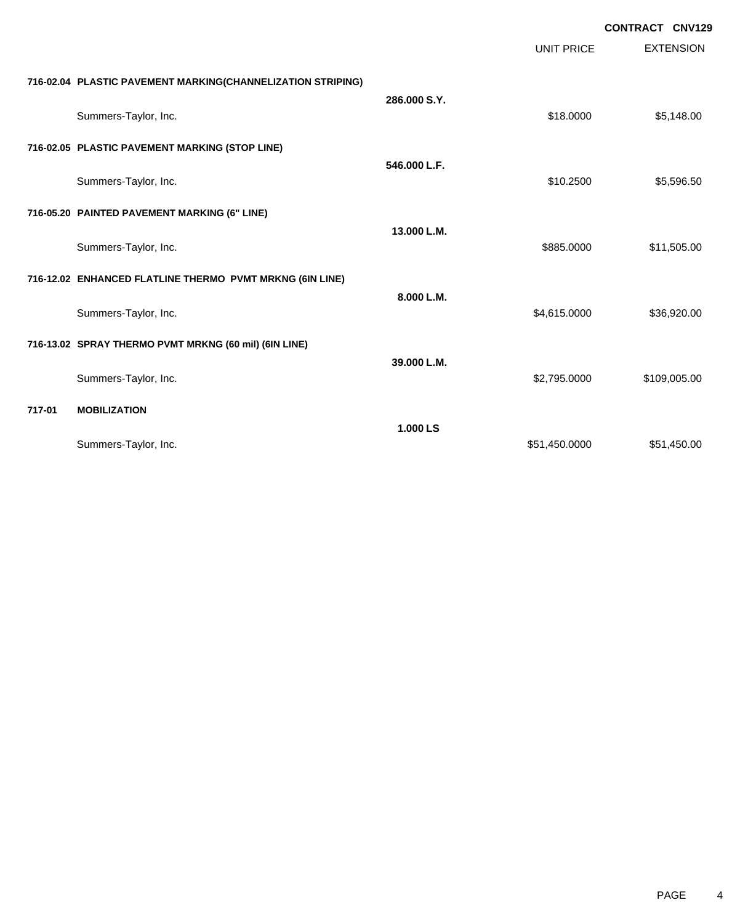|        |                                                             |              |                   | <b>CONTRACT CNV129</b> |  |
|--------|-------------------------------------------------------------|--------------|-------------------|------------------------|--|
|        |                                                             |              | <b>UNIT PRICE</b> | <b>EXTENSION</b>       |  |
|        | 716-02.04 PLASTIC PAVEMENT MARKING(CHANNELIZATION STRIPING) |              |                   |                        |  |
|        | Summers-Taylor, Inc.                                        | 286.000 S.Y. | \$18.0000         | \$5,148.00             |  |
|        | 716-02.05 PLASTIC PAVEMENT MARKING (STOP LINE)              |              |                   |                        |  |
|        | Summers-Taylor, Inc.                                        | 546.000 L.F. | \$10.2500         | \$5,596.50             |  |
|        | 716-05.20 PAINTED PAVEMENT MARKING (6" LINE)                |              |                   |                        |  |
|        | Summers-Taylor, Inc.                                        | 13.000 L.M.  | \$885.0000        | \$11,505.00            |  |
|        | 716-12.02 ENHANCED FLATLINE THERMO PVMT MRKNG (6IN LINE)    |              |                   |                        |  |
|        | Summers-Taylor, Inc.                                        | 8.000 L.M.   | \$4,615.0000      | \$36,920.00            |  |
|        | 716-13.02 SPRAY THERMO PVMT MRKNG (60 mil) (6IN LINE)       |              |                   |                        |  |
|        | Summers-Taylor, Inc.                                        | 39.000 L.M.  | \$2,795.0000      | \$109,005.00           |  |
| 717-01 | <b>MOBILIZATION</b>                                         |              |                   |                        |  |
|        | Summers-Taylor, Inc.                                        | 1.000 LS     | \$51,450.0000     | \$51,450.00            |  |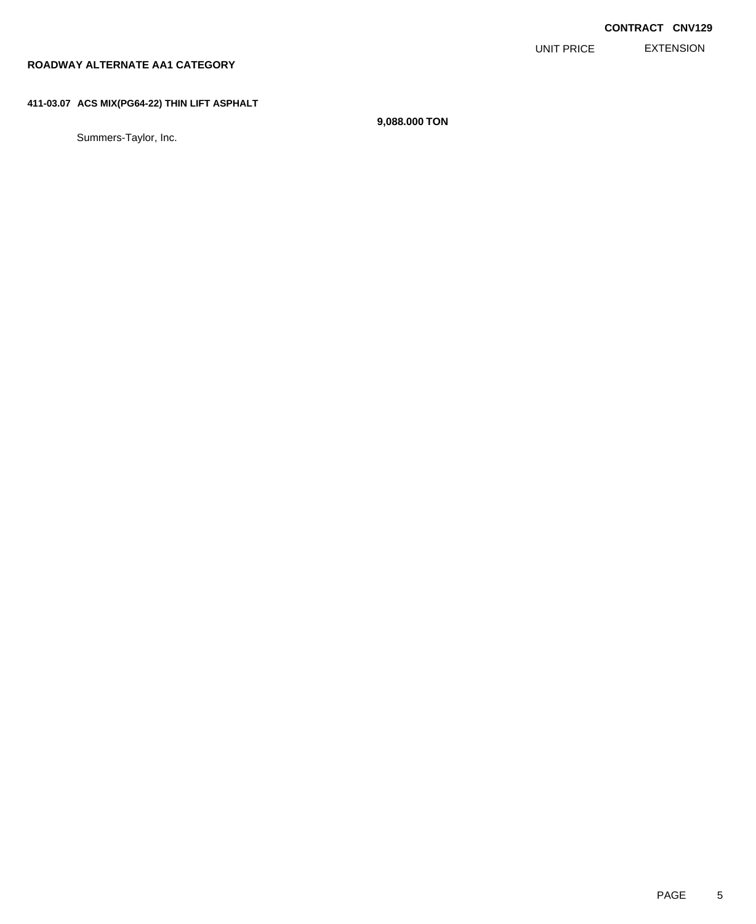EXTENSION UNIT PRICE

# **ROADWAY ALTERNATE AA1 CATEGORY**

### **411-03.07 ACS MIX(PG64-22) THIN LIFT ASPHALT**

Summers-Taylor, Inc.

**9,088.000 TON**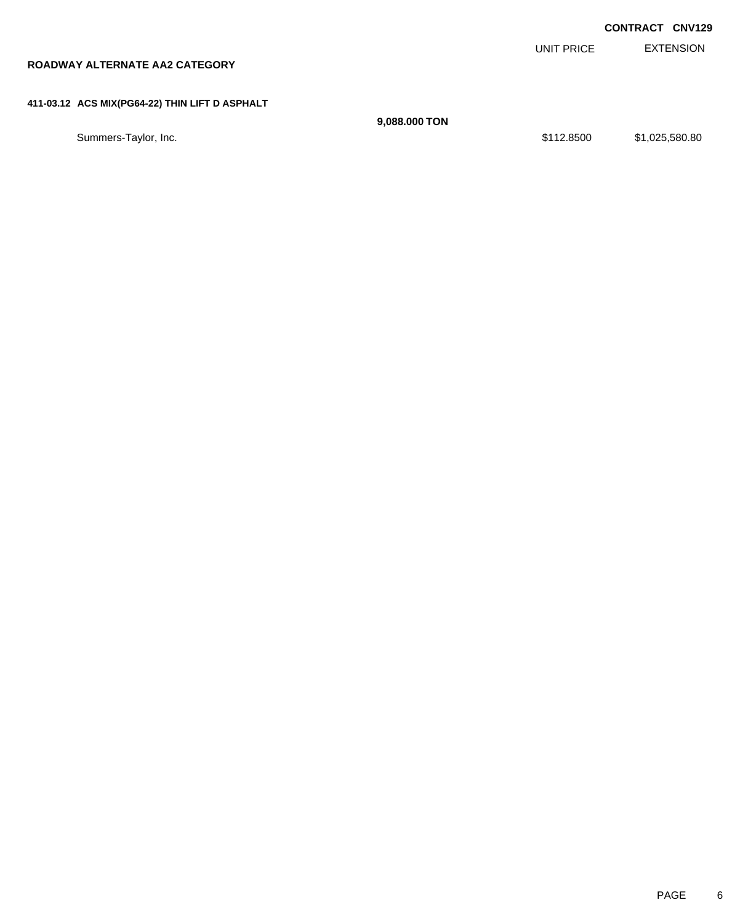|                                                |               |            | <b>CONTRACT CNV129</b> |
|------------------------------------------------|---------------|------------|------------------------|
|                                                |               | UNIT PRICE | <b>EXTENSION</b>       |
| ROADWAY ALTERNATE AA2 CATEGORY                 |               |            |                        |
|                                                |               |            |                        |
| 411-03.12 ACS MIX(PG64-22) THIN LIFT D ASPHALT |               |            |                        |
|                                                | 9,088,000 TON |            |                        |
| Summers-Taylor, Inc.                           |               | \$112.8500 | \$1,025,580.80         |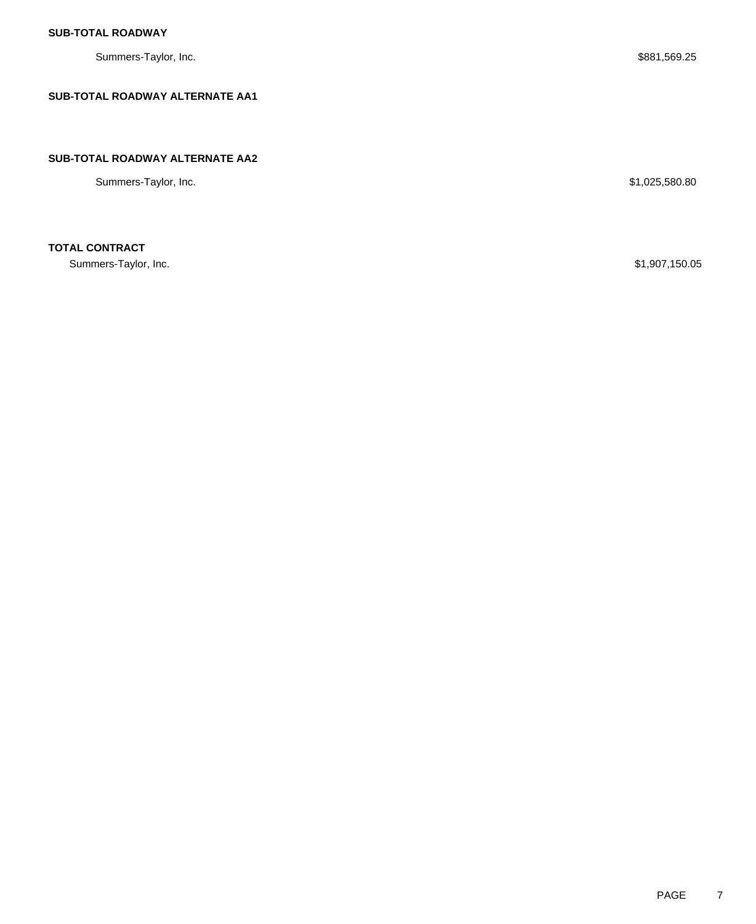Summers-Taylor, Inc. \$881,569.25

### **SUB-TOTAL ROADWAY ALTERNATE AA1**

#### **SUB-TOTAL ROADWAY ALTERNATE AA2**

Summers-Taylor, Inc. \$1,025,580.80

# **TOTAL CONTRACT**

Summers-Taylor, Inc. \$1,907,150.05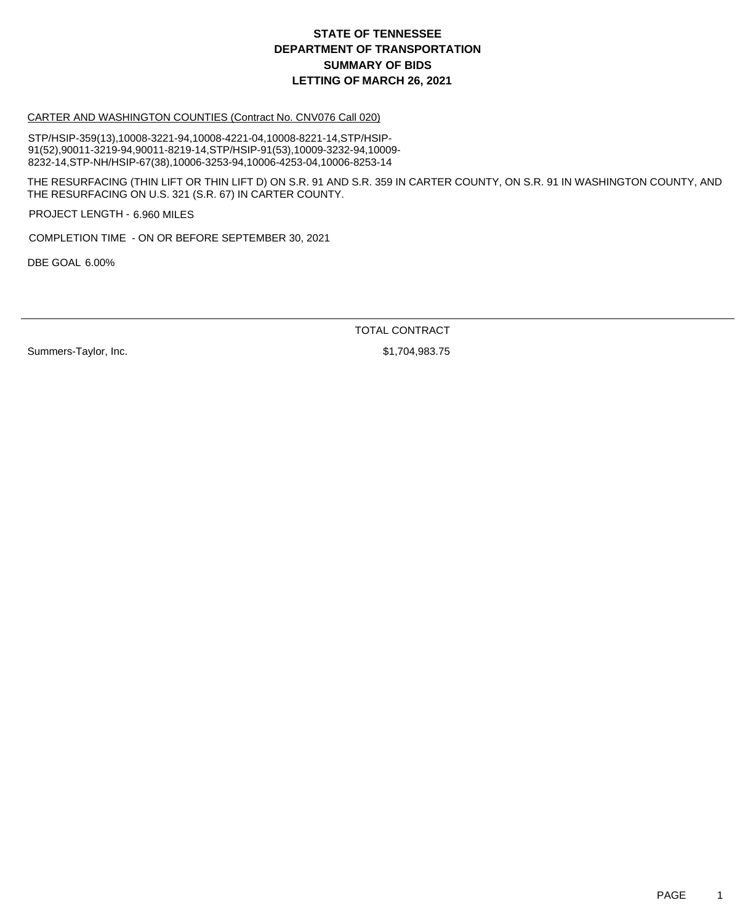#### CARTER AND WASHINGTON COUNTIES (Contract No. CNV076 Call 020)

STP/HSIP-359(13),10008-3221-94,10008-4221-04,10008-8221-14,STP/HSIP-91(52),90011-3219-94,90011-8219-14,STP/HSIP-91(53),10009-3232-94,10009- 8232-14,STP-NH/HSIP-67(38),10006-3253-94,10006-4253-04,10006-8253-14

THE RESURFACING (THIN LIFT OR THIN LIFT D) ON S.R. 91 AND S.R. 359 IN CARTER COUNTY, ON S.R. 91 IN WASHINGTON COUNTY, AND THE RESURFACING ON U.S. 321 (S.R. 67) IN CARTER COUNTY.

PROJECT LENGTH - 6.960 MILES

COMPLETION TIME - ON OR BEFORE SEPTEMBER 30, 2021

DBE GOAL 6.00%

TOTAL CONTRACT

Summers-Taylor, Inc. \$1,704,983.75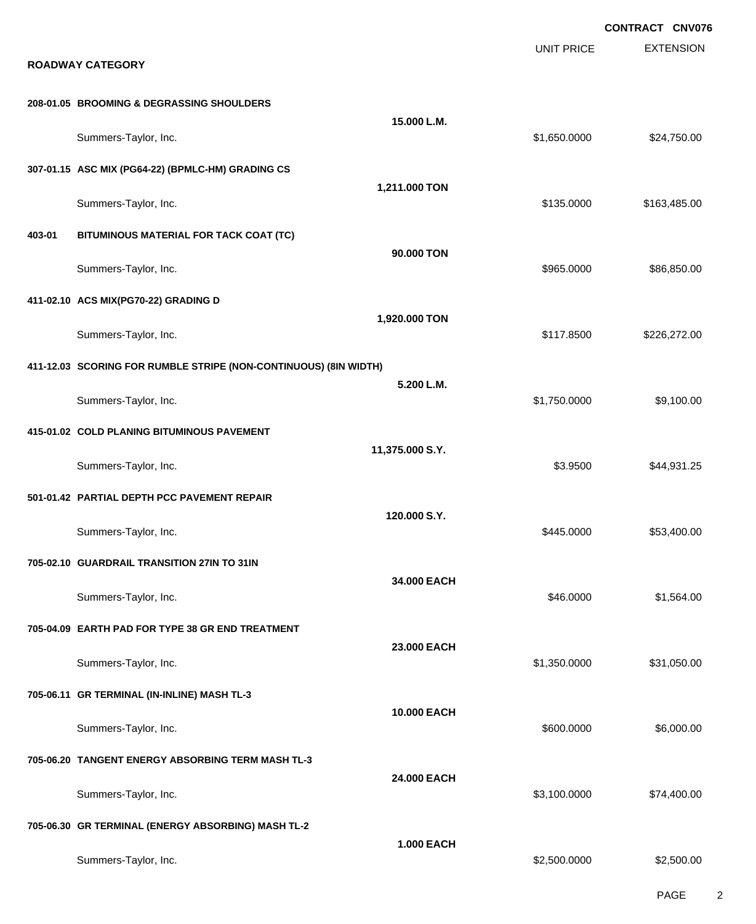|        |                                                                  |                    |                   | <b>CONTRACT CNV076</b> |
|--------|------------------------------------------------------------------|--------------------|-------------------|------------------------|
|        | <b>ROADWAY CATEGORY</b>                                          |                    | <b>UNIT PRICE</b> | <b>EXTENSION</b>       |
|        | 208-01.05 BROOMING & DEGRASSING SHOULDERS                        |                    |                   |                        |
|        | Summers-Taylor, Inc.                                             | 15.000 L.M.        | \$1,650.0000      | \$24,750.00            |
|        | 307-01.15 ASC MIX (PG64-22) (BPMLC-HM) GRADING CS                |                    |                   |                        |
|        | Summers-Taylor, Inc.                                             | 1,211.000 TON      | \$135.0000        | \$163,485.00           |
| 403-01 | BITUMINOUS MATERIAL FOR TACK COAT (TC)                           |                    |                   |                        |
|        | Summers-Taylor, Inc.                                             | 90.000 TON         | \$965.0000        | \$86,850.00            |
|        | 411-02.10 ACS MIX(PG70-22) GRADING D                             |                    |                   |                        |
|        | Summers-Taylor, Inc.                                             | 1,920.000 TON      | \$117.8500        | \$226,272.00           |
|        | 411-12.03 SCORING FOR RUMBLE STRIPE (NON-CONTINUOUS) (8IN WIDTH) |                    |                   |                        |
|        | Summers-Taylor, Inc.                                             | 5.200 L.M.         | \$1,750.0000      | \$9,100.00             |
|        | 415-01.02 COLD PLANING BITUMINOUS PAVEMENT                       |                    |                   |                        |
|        | Summers-Taylor, Inc.                                             | 11,375.000 S.Y.    | \$3.9500          | \$44,931.25            |
|        | 501-01.42 PARTIAL DEPTH PCC PAVEMENT REPAIR                      |                    |                   |                        |
|        | Summers-Taylor, Inc.                                             | 120.000 S.Y.       | \$445.0000        | \$53,400.00            |
|        | 705-02.10 GUARDRAIL TRANSITION 27IN TO 31IN                      |                    |                   |                        |
|        | Summers-Taylor, Inc.                                             | 34.000 EACH        | \$46.0000         | \$1,564.00             |
|        | 705-04.09 EARTH PAD FOR TYPE 38 GR END TREATMENT                 |                    |                   |                        |
|        | Summers-Taylor, Inc.                                             | 23.000 EACH        | \$1,350.0000      | \$31,050.00            |
|        | 705-06.11 GR TERMINAL (IN-INLINE) MASH TL-3                      |                    |                   |                        |
|        | Summers-Taylor, Inc.                                             | <b>10.000 EACH</b> | \$600.0000        | \$6,000.00             |
|        | 705-06.20 TANGENT ENERGY ABSORBING TERM MASH TL-3                |                    |                   |                        |
|        | Summers-Taylor, Inc.                                             | 24.000 EACH        | \$3,100.0000      | \$74,400.00            |
|        | 705-06.30 GR TERMINAL (ENERGY ABSORBING) MASH TL-2               |                    |                   |                        |
|        | Summers-Taylor, Inc.                                             | <b>1.000 EACH</b>  | \$2,500.0000      | \$2,500.00             |

PAGE 2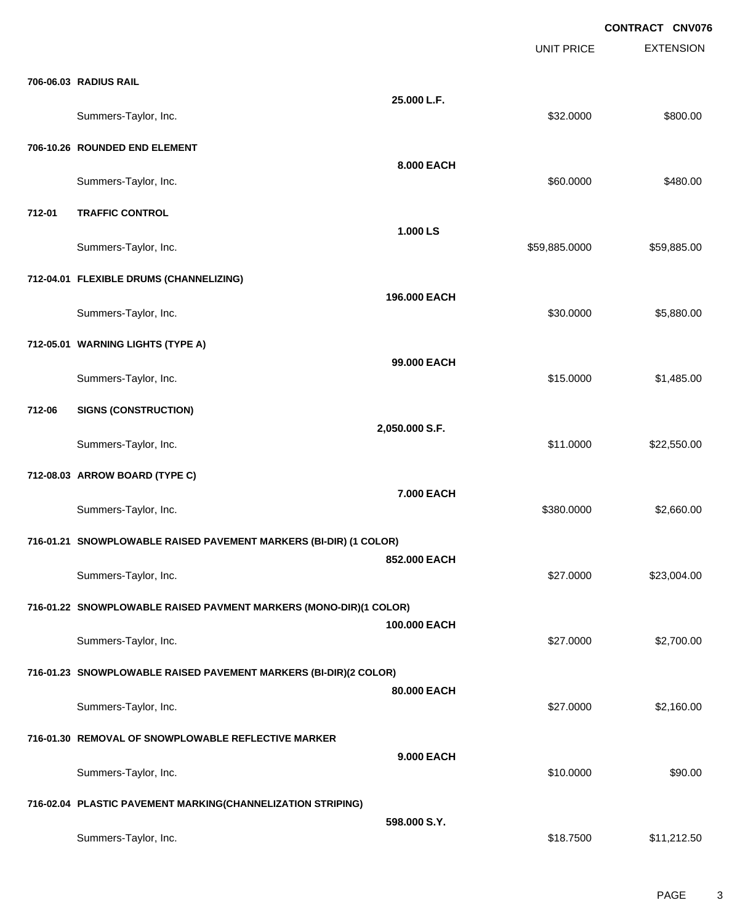|        |                                                                   |                | <b>UNIT PRICE</b> | <b>EXTENSION</b> |
|--------|-------------------------------------------------------------------|----------------|-------------------|------------------|
|        | 706-06.03 RADIUS RAIL                                             |                |                   |                  |
|        | Summers-Taylor, Inc.                                              | 25.000 L.F.    | \$32.0000         | \$800.00         |
|        | 706-10.26 ROUNDED END ELEMENT                                     |                |                   |                  |
|        | Summers-Taylor, Inc.                                              | 8.000 EACH     | \$60.0000         | \$480.00         |
| 712-01 | <b>TRAFFIC CONTROL</b>                                            |                |                   |                  |
|        | Summers-Taylor, Inc.                                              | 1.000 LS       | \$59,885.0000     | \$59,885.00      |
|        | 712-04.01 FLEXIBLE DRUMS (CHANNELIZING)                           |                |                   |                  |
|        | Summers-Taylor, Inc.                                              | 196.000 EACH   | \$30.0000         | \$5,880.00       |
|        | 712-05.01 WARNING LIGHTS (TYPE A)                                 |                |                   |                  |
|        | Summers-Taylor, Inc.                                              | 99.000 EACH    | \$15.0000         | \$1,485.00       |
| 712-06 | <b>SIGNS (CONSTRUCTION)</b>                                       |                |                   |                  |
|        | Summers-Taylor, Inc.                                              | 2,050.000 S.F. | \$11.0000         | \$22,550.00      |
|        | 712-08.03 ARROW BOARD (TYPE C)                                    |                |                   |                  |
|        | Summers-Taylor, Inc.                                              | 7.000 EACH     | \$380.0000        | \$2,660.00       |
|        | 716-01.21 SNOWPLOWABLE RAISED PAVEMENT MARKERS (BI-DIR) (1 COLOR) |                |                   |                  |
|        | Summers-Taylor, Inc.                                              | 852.000 EACH   | \$27.0000         | \$23,004.00      |
|        | 716-01.22 SNOWPLOWABLE RAISED PAVMENT MARKERS (MONO-DIR)(1 COLOR) |                |                   |                  |
|        | Summers-Taylor, Inc.                                              | 100.000 EACH   | \$27.0000         | \$2,700.00       |
|        | 716-01.23 SNOWPLOWABLE RAISED PAVEMENT MARKERS (BI-DIR)(2 COLOR)  |                |                   |                  |
|        | Summers-Taylor, Inc.                                              | 80.000 EACH    | \$27.0000         | \$2,160.00       |
|        | 716-01.30 REMOVAL OF SNOWPLOWABLE REFLECTIVE MARKER               |                |                   |                  |
|        | Summers-Taylor, Inc.                                              | 9.000 EACH     | \$10.0000         | \$90.00          |
|        | 716-02.04 PLASTIC PAVEMENT MARKING(CHANNELIZATION STRIPING)       |                |                   |                  |
|        | Summers-Taylor, Inc.                                              | 598.000 S.Y.   | \$18.7500         | \$11,212.50      |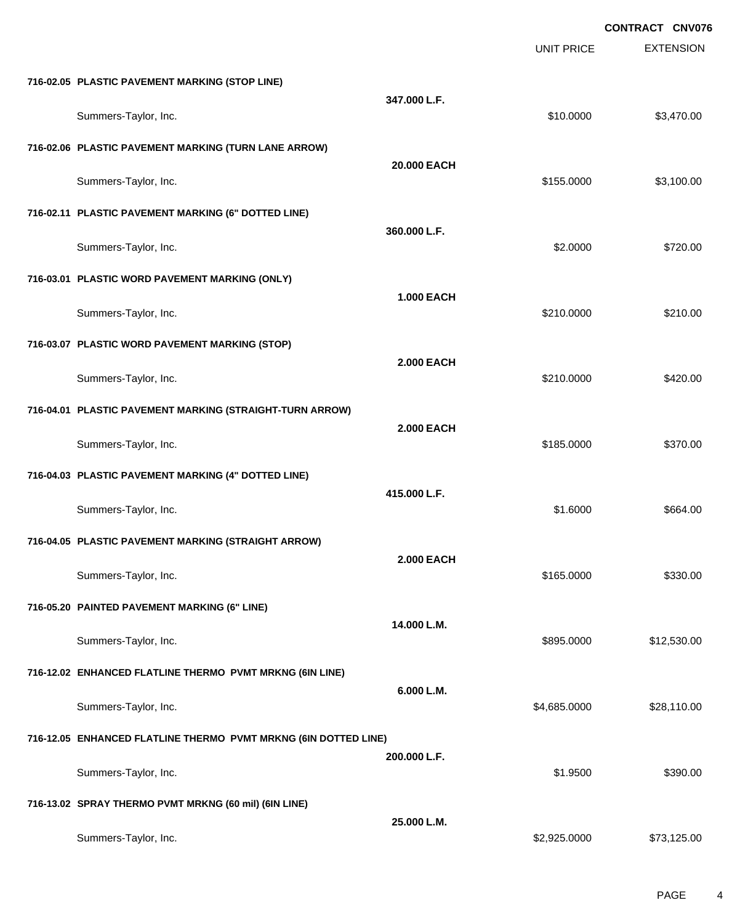|                                                                 |                   |                   | <b>CONTRACT CNV076</b> |
|-----------------------------------------------------------------|-------------------|-------------------|------------------------|
|                                                                 |                   | <b>UNIT PRICE</b> | <b>EXTENSION</b>       |
| 716-02.05 PLASTIC PAVEMENT MARKING (STOP LINE)                  |                   |                   |                        |
| Summers-Taylor, Inc.                                            | 347.000 L.F.      | \$10.0000         | \$3,470.00             |
| 716-02.06 PLASTIC PAVEMENT MARKING (TURN LANE ARROW)            |                   |                   |                        |
| Summers-Taylor, Inc.                                            | 20.000 EACH       | \$155.0000        | \$3,100.00             |
| 716-02.11 PLASTIC PAVEMENT MARKING (6" DOTTED LINE)             |                   |                   |                        |
| Summers-Taylor, Inc.                                            | 360.000 L.F.      | \$2.0000          | \$720.00               |
| 716-03.01 PLASTIC WORD PAVEMENT MARKING (ONLY)                  |                   |                   |                        |
| Summers-Taylor, Inc.                                            | <b>1.000 EACH</b> | \$210.0000        | \$210.00               |
| 716-03.07 PLASTIC WORD PAVEMENT MARKING (STOP)                  |                   |                   |                        |
| Summers-Taylor, Inc.                                            | <b>2.000 EACH</b> | \$210.0000        | \$420.00               |
| 716-04.01 PLASTIC PAVEMENT MARKING (STRAIGHT-TURN ARROW)        |                   |                   |                        |
| Summers-Taylor, Inc.                                            | <b>2.000 EACH</b> | \$185.0000        | \$370.00               |
| 716-04.03 PLASTIC PAVEMENT MARKING (4" DOTTED LINE)             |                   |                   |                        |
| Summers-Taylor, Inc.                                            | 415.000 L.F.      | \$1.6000          | \$664.00               |
| 716-04.05 PLASTIC PAVEMENT MARKING (STRAIGHT ARROW)             |                   |                   |                        |
| Summers-Taylor, Inc.                                            | <b>2.000 EACH</b> | \$165.0000        | \$330.00               |
| 716-05.20 PAINTED PAVEMENT MARKING (6" LINE)                    |                   |                   |                        |
| Summers-Taylor, Inc.                                            | 14.000 L.M.       | \$895.0000        | \$12,530.00            |
| 716-12.02 ENHANCED FLATLINE THERMO PVMT MRKNG (6IN LINE)        |                   |                   |                        |
| Summers-Taylor, Inc.                                            | 6.000 L.M.        | \$4,685.0000      | \$28,110.00            |
| 716-12.05 ENHANCED FLATLINE THERMO PVMT MRKNG (6IN DOTTED LINE) |                   |                   |                        |
| Summers-Taylor, Inc.                                            | 200.000 L.F.      | \$1.9500          | \$390.00               |
| 716-13.02 SPRAY THERMO PVMT MRKNG (60 mil) (6IN LINE)           |                   |                   |                        |
| Summers-Taylor, Inc.                                            | 25.000 L.M.       | \$2,925.0000      | \$73,125.00            |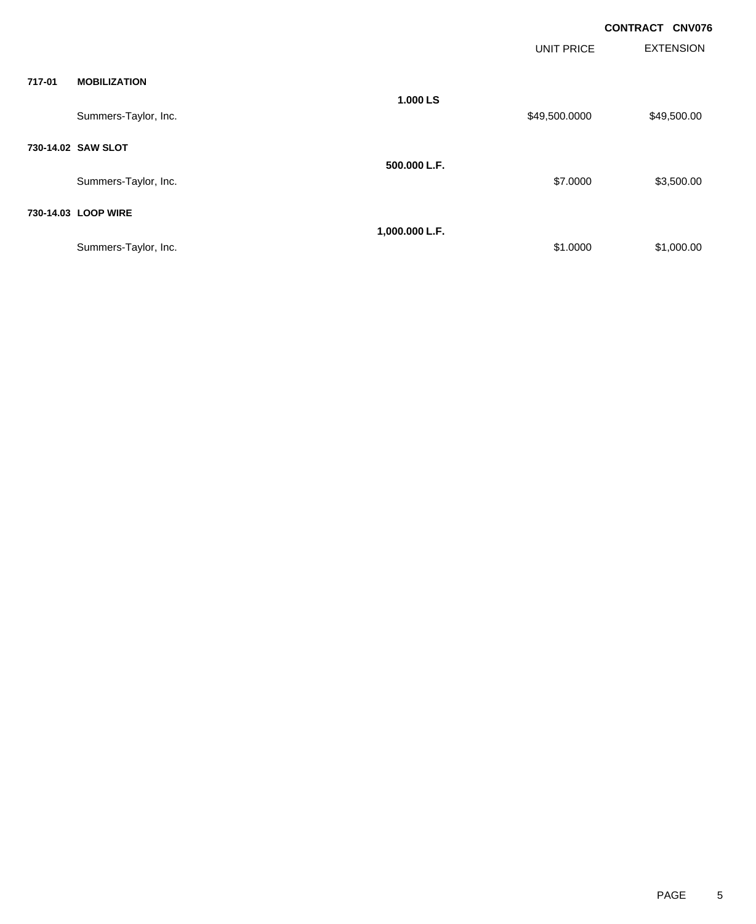| <b>CONTRACT CNV076</b> |  |
|------------------------|--|
|                        |  |

|        |                      |                | <b>UNIT PRICE</b> | <b>EXTENSION</b> |
|--------|----------------------|----------------|-------------------|------------------|
| 717-01 | <b>MOBILIZATION</b>  |                |                   |                  |
|        | Summers-Taylor, Inc. | 1.000 LS       | \$49,500.0000     | \$49,500.00      |
|        | 730-14.02 SAW SLOT   |                |                   |                  |
|        | Summers-Taylor, Inc. | 500,000 L.F.   | \$7.0000          | \$3,500.00       |
|        | 730-14.03 LOOP WIRE  |                |                   |                  |
|        | Summers-Taylor, Inc. | 1,000.000 L.F. | \$1.0000          | \$1,000.00       |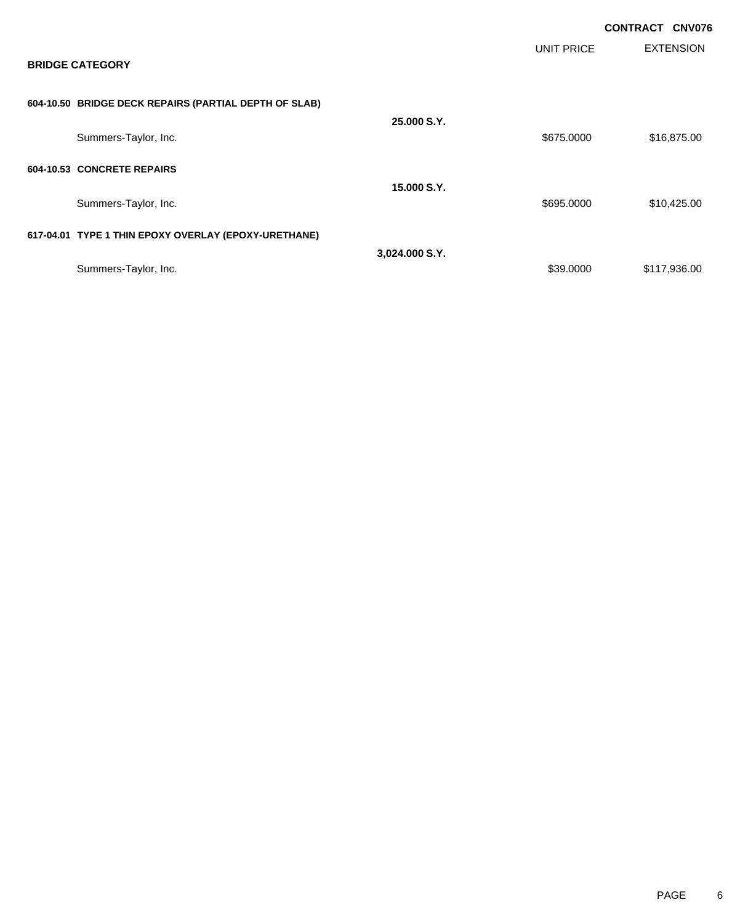|                                                       |                |                   | <b>CONTRACT CNV076</b> |
|-------------------------------------------------------|----------------|-------------------|------------------------|
| <b>BRIDGE CATEGORY</b>                                |                | <b>UNIT PRICE</b> | <b>EXTENSION</b>       |
| 604-10.50 BRIDGE DECK REPAIRS (PARTIAL DEPTH OF SLAB) |                |                   |                        |
| Summers-Taylor, Inc.                                  | 25,000 S.Y.    | \$675.0000        | \$16,875.00            |
| 604-10.53 CONCRETE REPAIRS                            | 15,000 S.Y.    |                   |                        |
| Summers-Taylor, Inc.                                  |                | \$695.0000        | \$10,425.00            |
| 617-04.01 TYPE 1 THIN EPOXY OVERLAY (EPOXY-URETHANE)  |                |                   |                        |
|                                                       | 3,024.000 S.Y. |                   |                        |
| Summers-Taylor, Inc.                                  |                | \$39.0000         | \$117,936.00           |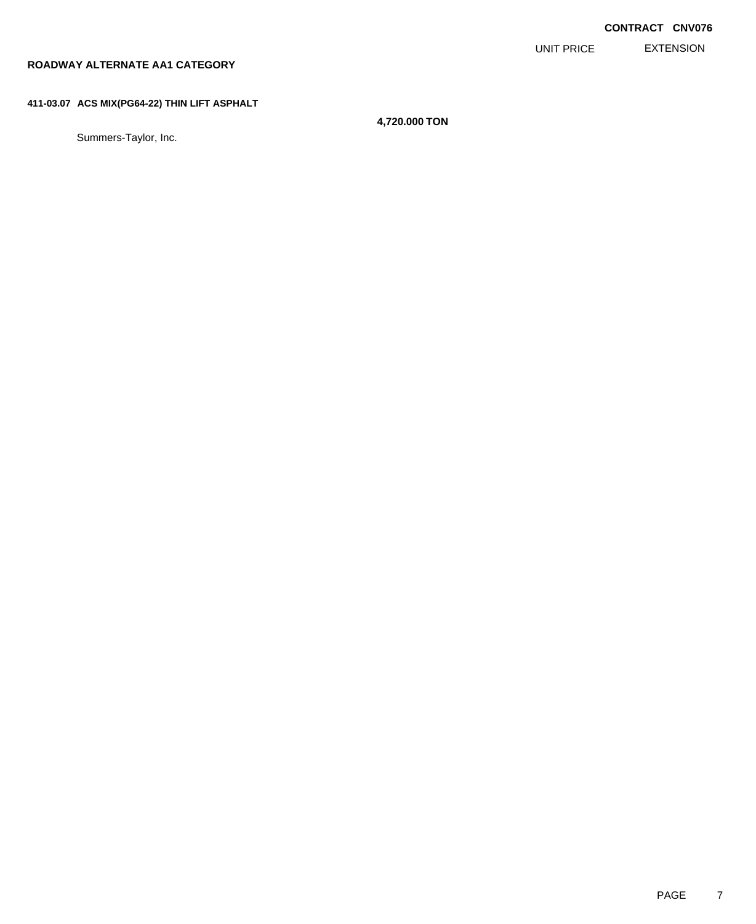EXTENSION UNIT PRICE

## **ROADWAY ALTERNATE AA1 CATEGORY**

### **411-03.07 ACS MIX(PG64-22) THIN LIFT ASPHALT**

Summers-Taylor, Inc.

**4,720.000 TON**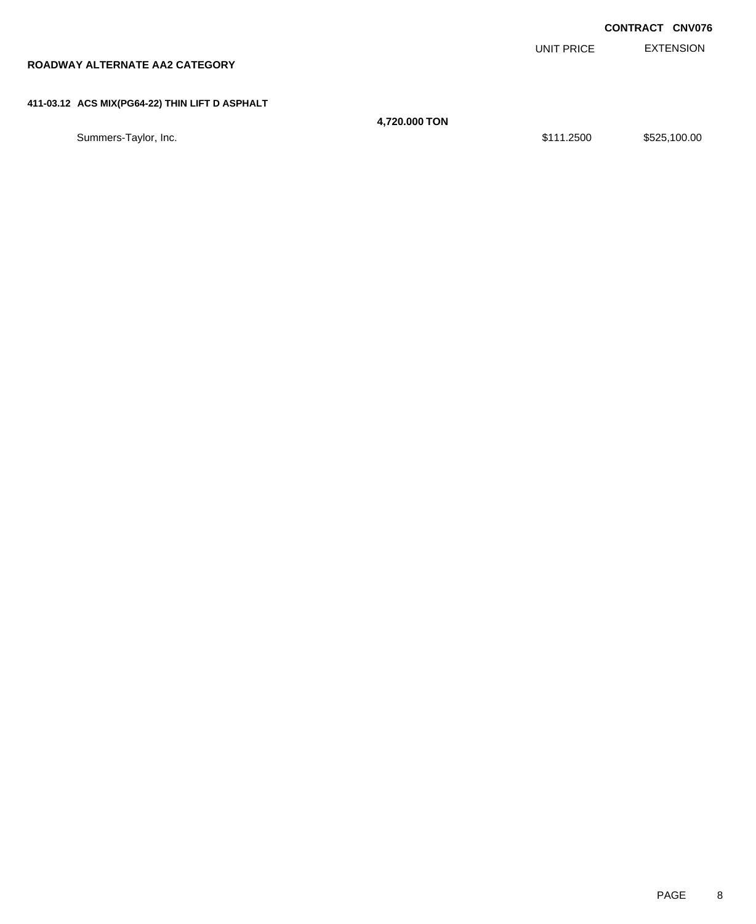|                                                |               |            | <b>CONTRACT CNV076</b> |
|------------------------------------------------|---------------|------------|------------------------|
|                                                |               | UNIT PRICE | <b>EXTENSION</b>       |
| ROADWAY ALTERNATE AA2 CATEGORY                 |               |            |                        |
|                                                |               |            |                        |
| 411-03.12 ACS MIX(PG64-22) THIN LIFT D ASPHALT |               |            |                        |
|                                                | 4,720.000 TON |            |                        |
| Summers-Taylor, Inc.                           |               | \$111.2500 | \$525,100.00           |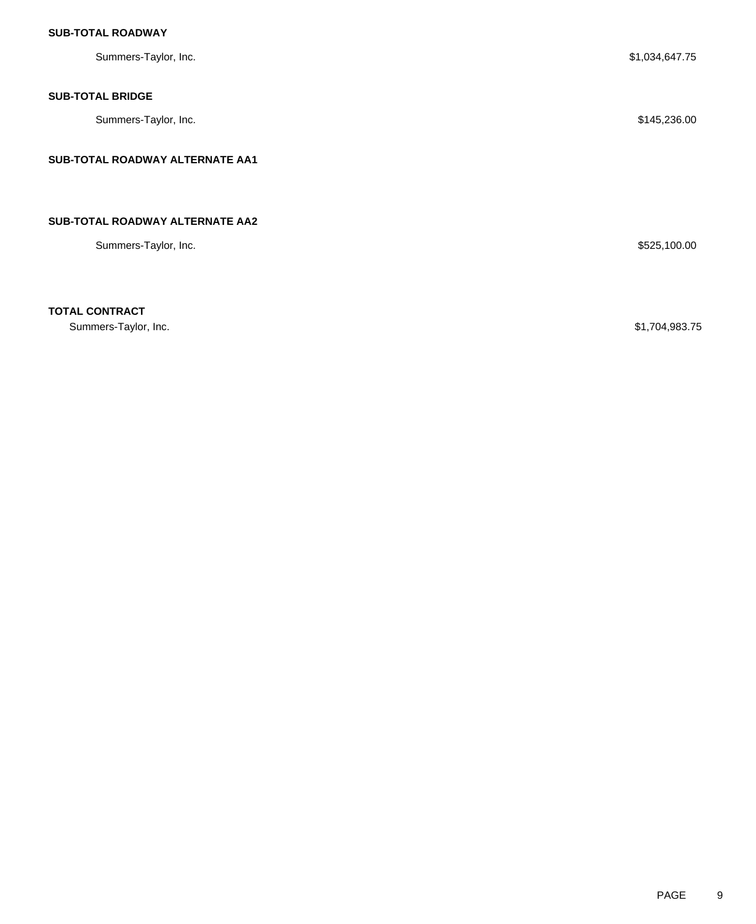| Summers-Taylor, Inc.            | \$1,034,647.75 |
|---------------------------------|----------------|
| <b>SUB-TOTAL BRIDGE</b>         |                |
| Summers-Taylor, Inc.            | \$145,236.00   |
| SUB-TOTAL ROADWAY ALTERNATE AA1 |                |
|                                 |                |
| SUB-TOTAL ROADWAY ALTERNATE AA2 |                |
| Summers-Taylor, Inc.            | \$525,100.00   |
|                                 |                |
| ----- ---------                 |                |

**TOTAL CONTRACT**

Summers-Taylor, Inc. \$1,704,983.75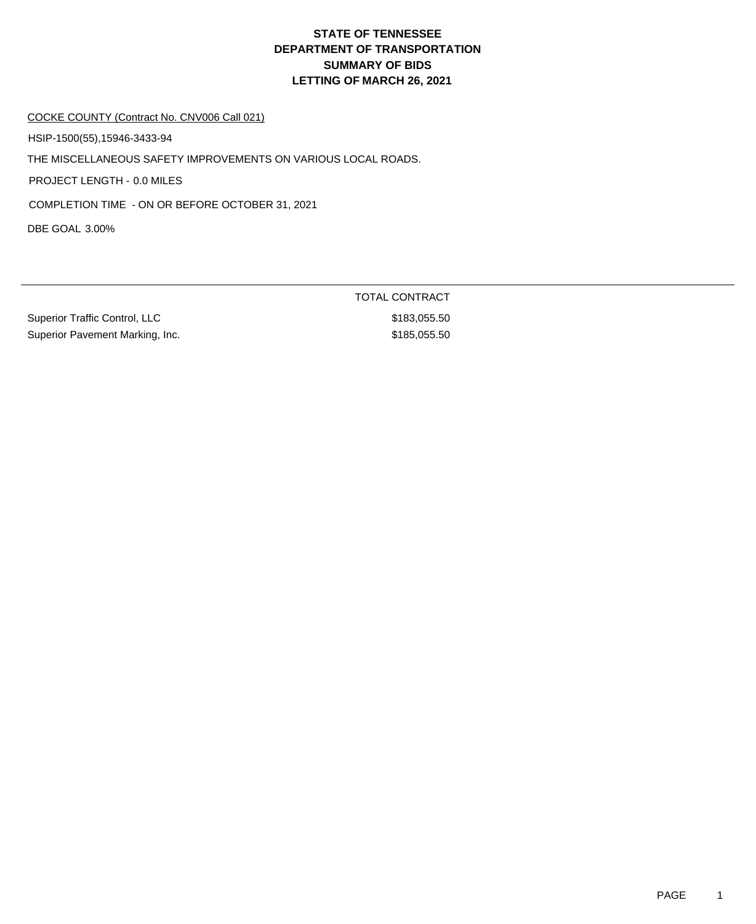#### COCKE COUNTY (Contract No. CNV006 Call 021)

HSIP-1500(55),15946-3433-94

THE MISCELLANEOUS SAFETY IMPROVEMENTS ON VARIOUS LOCAL ROADS.

PROJECT LENGTH - 0.0 MILES

COMPLETION TIME - ON OR BEFORE OCTOBER 31, 2021

DBE GOAL 3.00%

Superior Traffic Control, LLC \$183,055.50 Superior Pavement Marking, Inc. 6. The Superior Pavement Marking, Inc. 6. The Superior Superior Superior Superior Superior Superior Superior Superior Superior Superior Superior Superior Superior Superior Superior Superior

TOTAL CONTRACT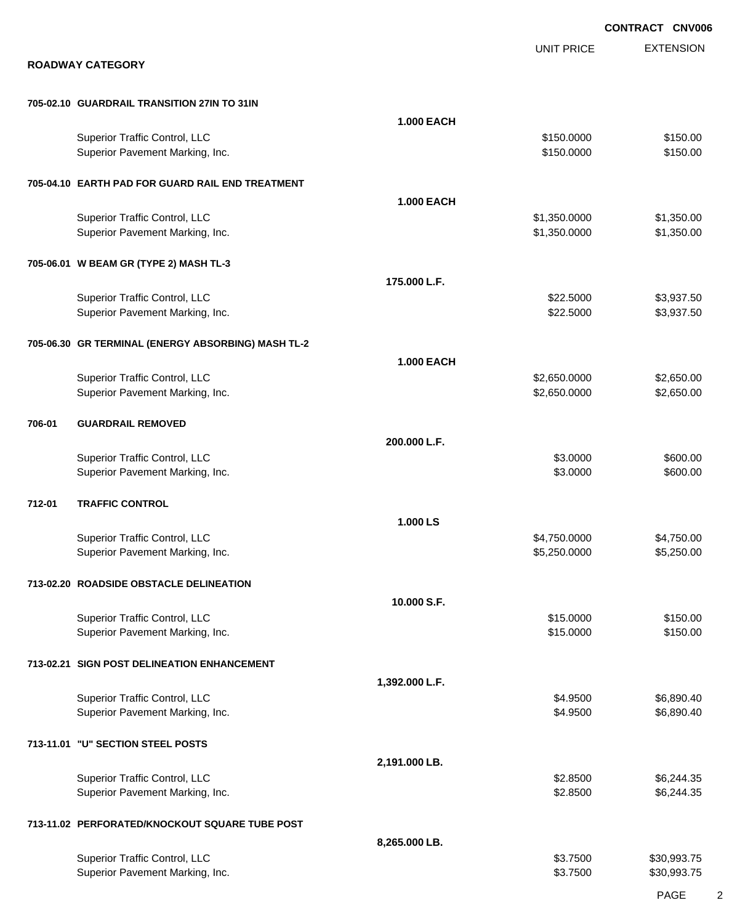|        |                                                                  |                   |                              | <b>CONTRACT CNV006</b>   |
|--------|------------------------------------------------------------------|-------------------|------------------------------|--------------------------|
|        | <b>ROADWAY CATEGORY</b>                                          |                   | <b>UNIT PRICE</b>            | <b>EXTENSION</b>         |
|        |                                                                  |                   |                              |                          |
|        | 705-02.10 GUARDRAIL TRANSITION 27IN TO 31IN                      |                   |                              |                          |
|        | Superior Traffic Control, LLC<br>Superior Pavement Marking, Inc. | <b>1.000 EACH</b> | \$150.0000<br>\$150.0000     | \$150.00<br>\$150.00     |
|        | 705-04.10 EARTH PAD FOR GUARD RAIL END TREATMENT                 |                   |                              |                          |
|        |                                                                  | <b>1.000 EACH</b> |                              |                          |
|        | Superior Traffic Control, LLC<br>Superior Pavement Marking, Inc. |                   | \$1,350.0000<br>\$1,350.0000 | \$1,350.00<br>\$1,350.00 |
|        | 705-06.01 W BEAM GR (TYPE 2) MASH TL-3                           |                   |                              |                          |
|        |                                                                  | 175.000 L.F.      | \$22.5000                    | \$3,937.50               |
|        | Superior Traffic Control, LLC<br>Superior Pavement Marking, Inc. |                   | \$22.5000                    | \$3,937.50               |
|        | 705-06.30 GR TERMINAL (ENERGY ABSORBING) MASH TL-2               |                   |                              |                          |
|        | Superior Traffic Control, LLC                                    | <b>1.000 EACH</b> | \$2,650.0000                 | \$2,650.00               |
|        | Superior Pavement Marking, Inc.                                  |                   | \$2,650.0000                 | \$2,650.00               |
| 706-01 | <b>GUARDRAIL REMOVED</b>                                         |                   |                              |                          |
|        | Superior Traffic Control, LLC                                    | 200.000 L.F.      | \$3.0000                     | \$600.00                 |
|        | Superior Pavement Marking, Inc.                                  |                   | \$3.0000                     | \$600.00                 |
| 712-01 | <b>TRAFFIC CONTROL</b>                                           |                   |                              |                          |
|        | <b>Superior Traffic Control, LLC</b>                             | 1.000 LS          | \$4.750,0000                 | \$4,750.00               |
|        | Superior Pavement Marking, Inc.                                  |                   | \$5,250.0000                 | \$5,250.00               |
|        | 713-02.20 ROADSIDE OBSTACLE DELINEATION                          |                   |                              |                          |
|        | Superior Traffic Control, LLC                                    | 10.000 S.F.       | \$15.0000                    | \$150.00                 |
|        | Superior Pavement Marking, Inc.                                  |                   | \$15.0000                    | \$150.00                 |
|        | 713-02.21 SIGN POST DELINEATION ENHANCEMENT                      |                   |                              |                          |
|        | Superior Traffic Control, LLC                                    | 1,392.000 L.F.    | \$4.9500                     | \$6,890.40               |
|        | Superior Pavement Marking, Inc.                                  |                   | \$4.9500                     | \$6,890.40               |
|        | 713-11.01 "U" SECTION STEEL POSTS                                |                   |                              |                          |
|        | Superior Traffic Control, LLC                                    | 2,191.000 LB.     | \$2.8500                     | \$6,244.35               |
|        | Superior Pavement Marking, Inc.                                  |                   | \$2.8500                     | \$6,244.35               |
|        | 713-11.02 PERFORATED/KNOCKOUT SQUARE TUBE POST                   |                   |                              |                          |
|        | Superior Traffic Control, LLC                                    | 8,265.000 LB.     | \$3.7500                     | \$30,993.75              |
|        | Superior Pavement Marking, Inc.                                  |                   | \$3.7500                     | \$30,993.75              |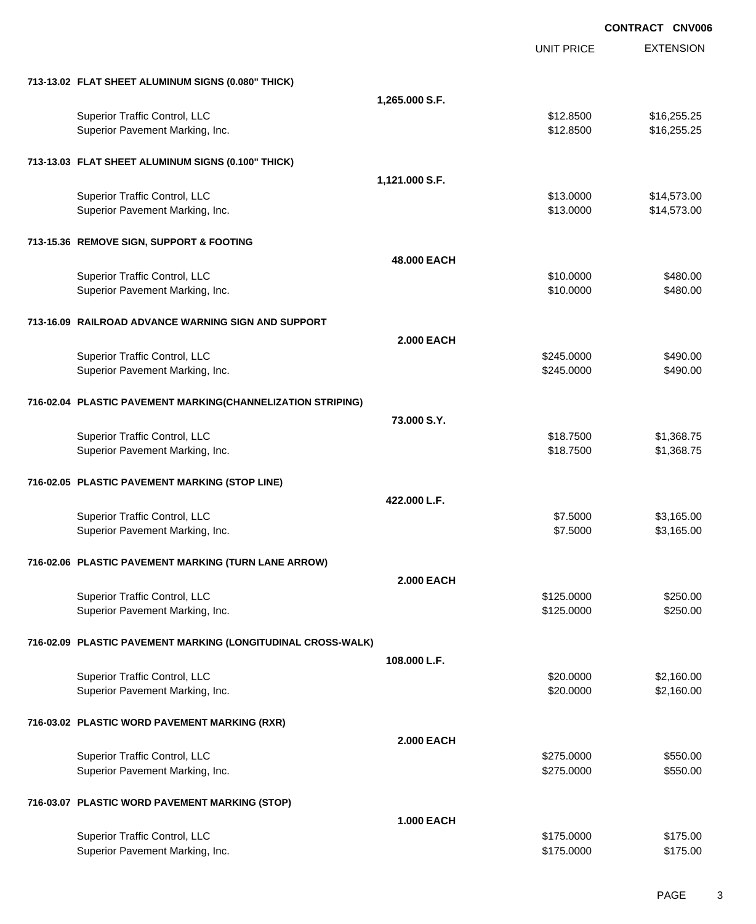|                                                              |                   |                   | <b>CONTRACT CNV006</b> |
|--------------------------------------------------------------|-------------------|-------------------|------------------------|
|                                                              |                   | <b>UNIT PRICE</b> | <b>EXTENSION</b>       |
| 713-13.02 FLAT SHEET ALUMINUM SIGNS (0.080" THICK)           |                   |                   |                        |
|                                                              | 1,265.000 S.F.    |                   |                        |
| Superior Traffic Control, LLC                                |                   | \$12.8500         | \$16,255.25            |
| Superior Pavement Marking, Inc.                              |                   | \$12.8500         | \$16,255.25            |
| 713-13.03 FLAT SHEET ALUMINUM SIGNS (0.100" THICK)           |                   |                   |                        |
|                                                              | 1,121.000 S.F.    |                   |                        |
| Superior Traffic Control, LLC                                |                   | \$13.0000         | \$14,573.00            |
| Superior Pavement Marking, Inc.                              |                   | \$13.0000         | \$14,573.00            |
| 713-15.36 REMOVE SIGN, SUPPORT & FOOTING                     |                   |                   |                        |
|                                                              | 48.000 EACH       |                   |                        |
| Superior Traffic Control, LLC                                |                   | \$10.0000         | \$480.00               |
| Superior Pavement Marking, Inc.                              |                   | \$10.0000         | \$480.00               |
| 713-16.09 RAILROAD ADVANCE WARNING SIGN AND SUPPORT          |                   |                   |                        |
|                                                              | <b>2.000 EACH</b> |                   |                        |
| Superior Traffic Control, LLC                                |                   | \$245.0000        | \$490.00               |
| Superior Pavement Marking, Inc.                              |                   | \$245.0000        | \$490.00               |
| 716-02.04 PLASTIC PAVEMENT MARKING(CHANNELIZATION STRIPING)  |                   |                   |                        |
|                                                              | 73,000 S.Y.       |                   |                        |
| Superior Traffic Control, LLC                                |                   | \$18.7500         | \$1,368.75             |
| Superior Pavement Marking, Inc.                              |                   | \$18.7500         | \$1,368.75             |
| 716-02.05 PLASTIC PAVEMENT MARKING (STOP LINE)               |                   |                   |                        |
|                                                              | 422.000 L.F.      |                   |                        |
| Superior Traffic Control, LLC                                |                   | \$7.5000          | \$3,165.00             |
| Superior Pavement Marking, Inc.                              |                   | \$7.5000          | \$3,165.00             |
| 716-02.06 PLASTIC PAVEMENT MARKING (TURN LANE ARROW)         |                   |                   |                        |
|                                                              | <b>2.000 EACH</b> |                   |                        |
| Superior Traffic Control, LLC                                |                   | \$125.0000        | \$250.00               |
| Superior Pavement Marking, Inc.                              |                   | \$125.0000        | \$250.00               |
| 716-02.09 PLASTIC PAVEMENT MARKING (LONGITUDINAL CROSS-WALK) |                   |                   |                        |
|                                                              | 108,000 L.F.      |                   |                        |
| Superior Traffic Control, LLC                                |                   | \$20.0000         | \$2,160.00             |
| Superior Pavement Marking, Inc.                              |                   | \$20.0000         | \$2,160.00             |
| 716-03.02 PLASTIC WORD PAVEMENT MARKING (RXR)                |                   |                   |                        |
|                                                              | <b>2.000 EACH</b> |                   |                        |
| Superior Traffic Control, LLC                                |                   | \$275.0000        | \$550.00               |
| Superior Pavement Marking, Inc.                              |                   | \$275.0000        | \$550.00               |
| 716-03.07 PLASTIC WORD PAVEMENT MARKING (STOP)               |                   |                   |                        |
|                                                              | <b>1.000 EACH</b> |                   |                        |
| Superior Traffic Control, LLC                                |                   | \$175.0000        | \$175.00               |
| Superior Pavement Marking, Inc.                              |                   | \$175.0000        | \$175.00               |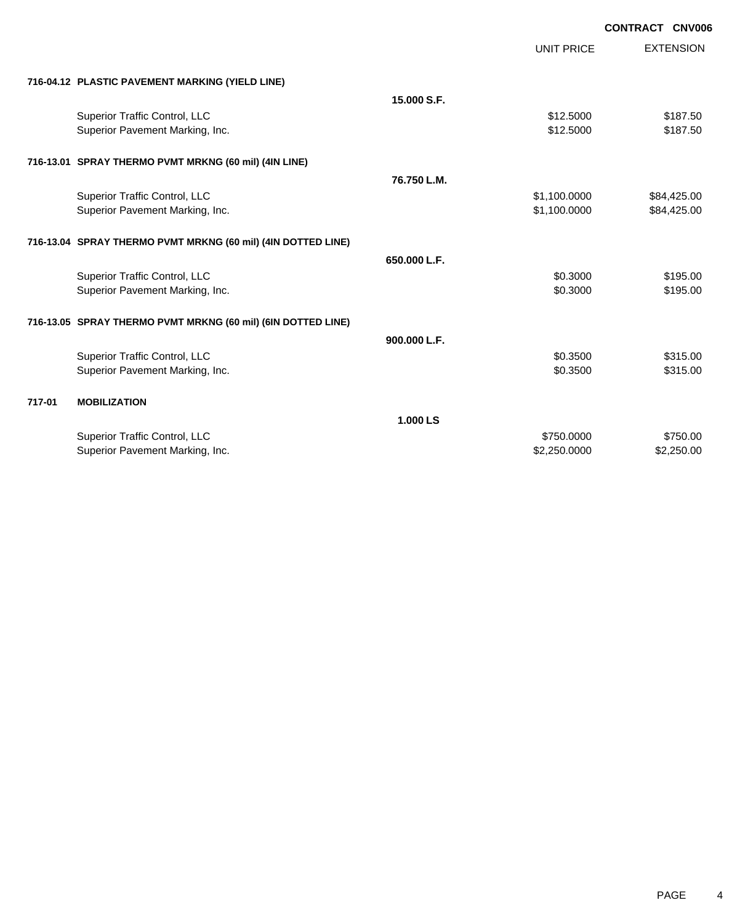|        |                                                              |              |                   | <b>CONTRACT CNV006</b> |
|--------|--------------------------------------------------------------|--------------|-------------------|------------------------|
|        |                                                              |              | <b>UNIT PRICE</b> | <b>EXTENSION</b>       |
|        | 716-04.12 PLASTIC PAVEMENT MARKING (YIELD LINE)              |              |                   |                        |
|        |                                                              | 15,000 S.F.  |                   |                        |
|        | Superior Traffic Control, LLC                                |              | \$12.5000         | \$187.50               |
|        | Superior Pavement Marking, Inc.                              |              | \$12,5000         | \$187.50               |
|        | 716-13.01 SPRAY THERMO PVMT MRKNG (60 mil) (4IN LINE)        |              |                   |                        |
|        |                                                              | 76.750 L.M.  |                   |                        |
|        | Superior Traffic Control, LLC                                |              | \$1,100.0000      | \$84,425.00            |
|        | Superior Pavement Marking, Inc.                              |              | \$1,100.0000      | \$84,425.00            |
|        | 716-13.04 SPRAY THERMO PVMT MRKNG (60 mil) (4IN DOTTED LINE) |              |                   |                        |
|        |                                                              | 650.000 L.F. |                   |                        |
|        | Superior Traffic Control, LLC                                |              | \$0.3000          | \$195.00               |
|        | Superior Pavement Marking, Inc.                              |              | \$0.3000          | \$195.00               |
|        | 716-13.05 SPRAY THERMO PVMT MRKNG (60 mil) (6IN DOTTED LINE) |              |                   |                        |
|        |                                                              | 900.000 L.F. |                   |                        |
|        | Superior Traffic Control, LLC                                |              | \$0.3500          | \$315.00               |
|        | Superior Pavement Marking, Inc.                              |              | \$0.3500          | \$315.00               |
| 717-01 | <b>MOBILIZATION</b>                                          |              |                   |                        |
|        |                                                              | 1.000 LS     |                   |                        |
|        | Superior Traffic Control, LLC                                |              | \$750.0000        | \$750.00               |
|        | Superior Pavement Marking, Inc.                              |              | \$2,250,0000      | \$2,250.00             |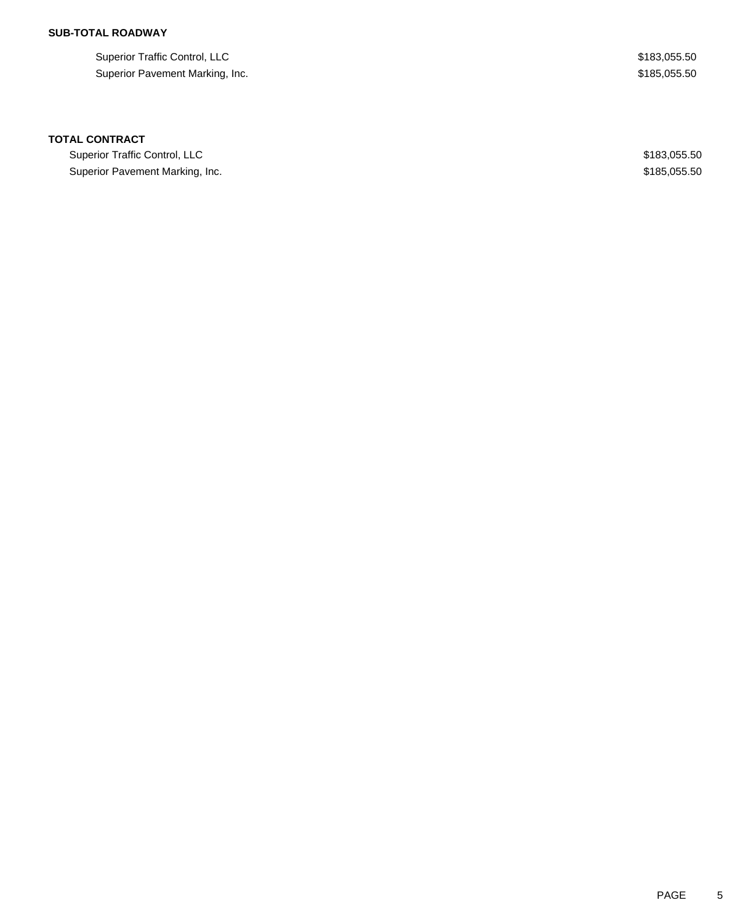Superior Traffic Control, LLC \$183,055.50 Superior Pavement Marking, Inc. 6. The Superior Pavement Marking, Inc. 6. The Superior Pavement Marking, Inc.

### **TOTAL CONTRACT**

Superior Traffic Control, LLC 600 and 200 and 200 and 200 and 200 and 200 and 200 and 200 and 200 and 200 and 200 and 200 and 200 and 200 and 200 and 200 and 200 and 200 and 200 and 200 and 200 and 200 and 200 and 200 and Superior Pavement Marking, Inc. 6. The Superior Pavement Marking, Inc. 6. The Superior Pavement Marking, Inc.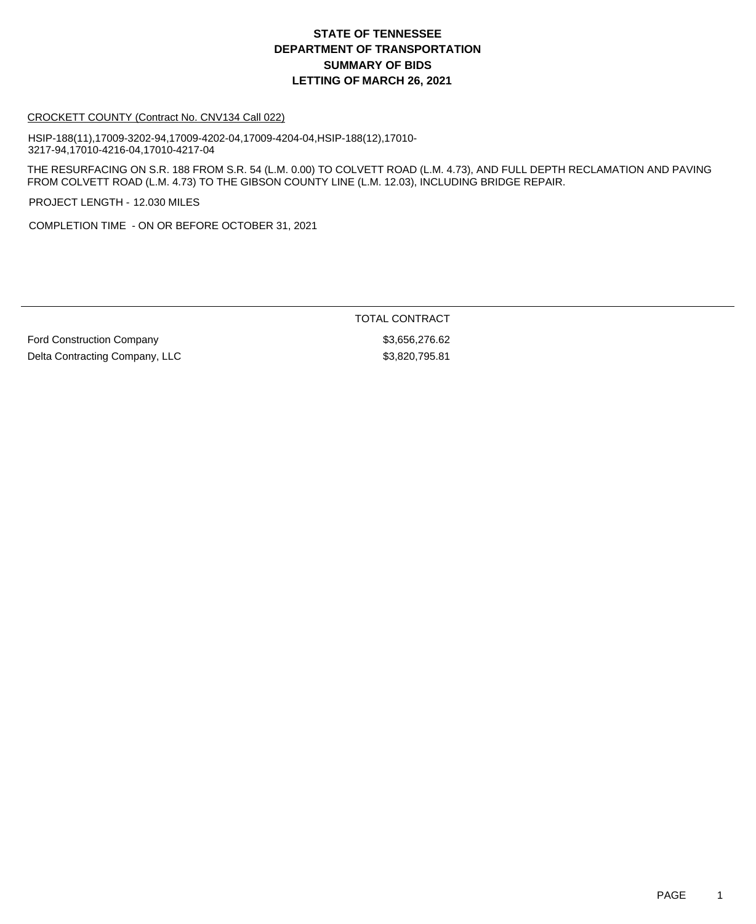#### CROCKETT COUNTY (Contract No. CNV134 Call 022)

HSIP-188(11),17009-3202-94,17009-4202-04,17009-4204-04,HSIP-188(12),17010- 3217-94,17010-4216-04,17010-4217-04

THE RESURFACING ON S.R. 188 FROM S.R. 54 (L.M. 0.00) TO COLVETT ROAD (L.M. 4.73), AND FULL DEPTH RECLAMATION AND PAVING FROM COLVETT ROAD (L.M. 4.73) TO THE GIBSON COUNTY LINE (L.M. 12.03), INCLUDING BRIDGE REPAIR.

PROJECT LENGTH - 12.030 MILES

COMPLETION TIME - ON OR BEFORE OCTOBER 31, 2021

Ford Construction Company **\$3,656,276.62** Delta Contracting Company, LLC \$3,820,795.81

TOTAL CONTRACT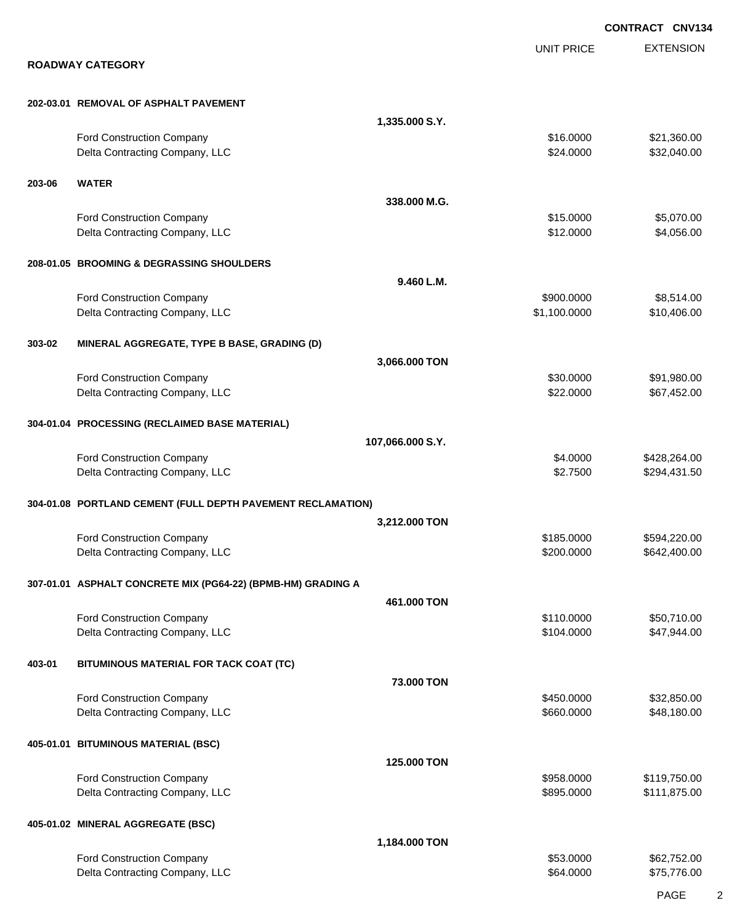|        |                                                              |                  |                          | <b>CONTRACT CNV134</b>     |
|--------|--------------------------------------------------------------|------------------|--------------------------|----------------------------|
|        |                                                              |                  | <b>UNIT PRICE</b>        | <b>EXTENSION</b>           |
|        | <b>ROADWAY CATEGORY</b>                                      |                  |                          |                            |
|        | 202-03.01 REMOVAL OF ASPHALT PAVEMENT                        |                  |                          |                            |
|        |                                                              | 1,335.000 S.Y.   |                          |                            |
|        | Ford Construction Company                                    |                  | \$16.0000                | \$21,360.00                |
|        | Delta Contracting Company, LLC                               |                  | \$24.0000                | \$32,040.00                |
| 203-06 | <b>WATER</b>                                                 |                  |                          |                            |
|        |                                                              | 338,000 M.G.     |                          |                            |
|        | Ford Construction Company<br>Delta Contracting Company, LLC  |                  | \$15.0000<br>\$12.0000   | \$5,070.00<br>\$4,056.00   |
|        | 208-01.05 BROOMING & DEGRASSING SHOULDERS                    |                  |                          |                            |
|        |                                                              | 9.460 L.M.       |                          |                            |
|        | Ford Construction Company                                    |                  | \$900.0000               | \$8,514.00                 |
|        | Delta Contracting Company, LLC                               |                  | \$1,100.0000             | \$10,406.00                |
| 303-02 | MINERAL AGGREGATE, TYPE B BASE, GRADING (D)                  |                  |                          |                            |
|        |                                                              | 3,066.000 TON    |                          |                            |
|        | Ford Construction Company<br>Delta Contracting Company, LLC  |                  | \$30.0000<br>\$22.0000   | \$91,980.00<br>\$67,452.00 |
|        |                                                              |                  |                          |                            |
|        | 304-01.04 PROCESSING (RECLAIMED BASE MATERIAL)               |                  |                          |                            |
|        | Ford Construction Company                                    | 107,066.000 S.Y. | \$4.0000                 | \$428,264.00               |
|        | Delta Contracting Company, LLC                               |                  | \$2.7500                 | \$294,431.50               |
|        | 304-01.08 PORTLAND CEMENT (FULL DEPTH PAVEMENT RECLAMATION)  |                  |                          |                            |
|        |                                                              | 3,212.000 TON    |                          |                            |
|        | <b>Ford Construction Company</b>                             |                  | \$185.0000               | \$594,220.00               |
|        | Delta Contracting Company, LLC                               |                  | \$200.0000               | \$642,400.00               |
|        | 307-01.01 ASPHALT CONCRETE MIX (PG64-22) (BPMB-HM) GRADING A |                  |                          |                            |
|        |                                                              | 461.000 TON      |                          |                            |
|        | Ford Construction Company<br>Delta Contracting Company, LLC  |                  | \$110.0000<br>\$104.0000 | \$50,710.00<br>\$47,944.00 |
|        |                                                              |                  |                          |                            |
| 403-01 | BITUMINOUS MATERIAL FOR TACK COAT (TC)                       |                  |                          |                            |
|        | <b>Ford Construction Company</b>                             | 73.000 TON       | \$450.0000               | \$32,850.00                |
|        | Delta Contracting Company, LLC                               |                  | \$660.0000               | \$48,180.00                |
|        |                                                              |                  |                          |                            |
|        | 405-01.01 BITUMINOUS MATERIAL (BSC)                          | 125.000 TON      |                          |                            |
|        | Ford Construction Company                                    |                  | \$958.0000               | \$119,750.00               |
|        | Delta Contracting Company, LLC                               |                  | \$895.0000               | \$111,875.00               |
|        | 405-01.02 MINERAL AGGREGATE (BSC)                            |                  |                          |                            |
|        |                                                              | 1,184.000 TON    |                          |                            |
|        | Ford Construction Company                                    |                  | \$53.0000                | \$62,752.00                |
|        | Delta Contracting Company, LLC                               |                  | \$64.0000                | \$75,776.00                |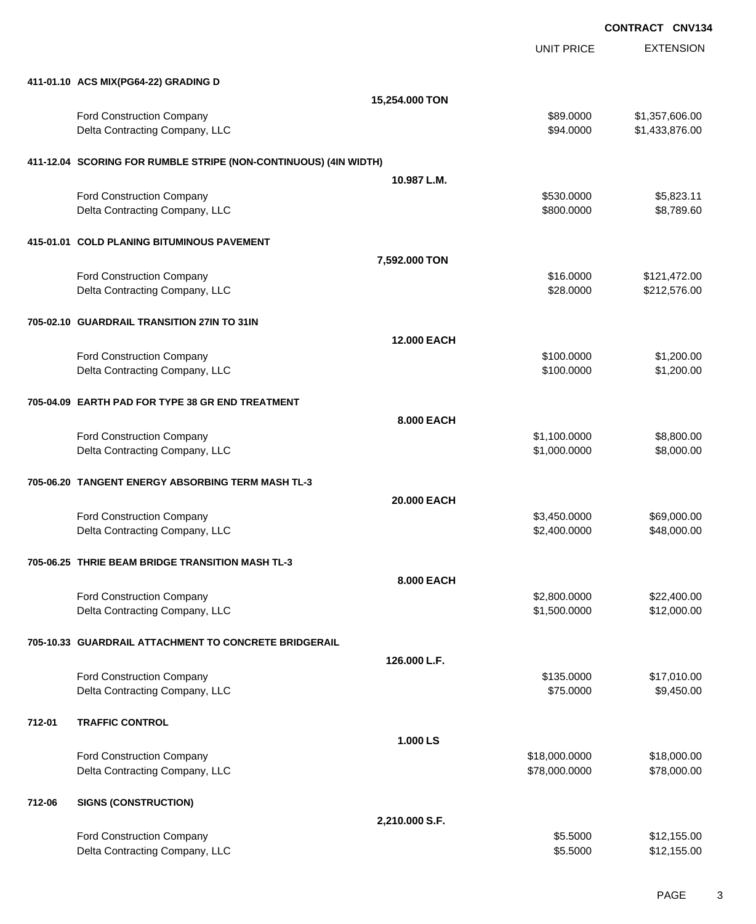UNIT PRICE

EXTENSION

|        | 411-01.10 ACS MIX(PG64-22) GRADING D                               |                   |                              |                                  |
|--------|--------------------------------------------------------------------|-------------------|------------------------------|----------------------------------|
|        |                                                                    | 15,254.000 TON    |                              |                                  |
|        | Ford Construction Company<br>Delta Contracting Company, LLC        |                   | \$89.0000<br>\$94.0000       | \$1,357,606.00<br>\$1,433,876.00 |
|        | 411-12.04 SCORING FOR RUMBLE STRIPE (NON-CONTINUOUS) (4IN WIDTH)   |                   |                              |                                  |
|        |                                                                    | 10.987 L.M.       |                              |                                  |
|        | Ford Construction Company                                          |                   | \$530.0000                   | \$5,823.11                       |
|        | Delta Contracting Company, LLC                                     |                   | \$800.0000                   | \$8,789.60                       |
|        | 415-01.01 COLD PLANING BITUMINOUS PAVEMENT                         |                   |                              |                                  |
|        |                                                                    | 7,592.000 TON     |                              |                                  |
|        | Ford Construction Company                                          |                   | \$16.0000                    | \$121,472.00                     |
|        | Delta Contracting Company, LLC                                     |                   | \$28.0000                    | \$212,576.00                     |
|        | 705-02.10 GUARDRAIL TRANSITION 27IN TO 31IN                        |                   |                              |                                  |
|        |                                                                    | 12.000 EACH       |                              |                                  |
|        | Ford Construction Company<br>Delta Contracting Company, LLC        |                   | \$100.0000<br>\$100.0000     | \$1,200.00<br>\$1,200.00         |
|        |                                                                    |                   |                              |                                  |
|        | 705-04.09 EARTH PAD FOR TYPE 38 GR END TREATMENT                   |                   |                              |                                  |
|        |                                                                    | <b>8.000 EACH</b> |                              |                                  |
|        | Ford Construction Company<br>Delta Contracting Company, LLC        |                   | \$1,100.0000<br>\$1,000.0000 | \$8,800.00<br>\$8,000.00         |
|        |                                                                    |                   |                              |                                  |
|        | 705-06.20 TANGENT ENERGY ABSORBING TERM MASH TL-3                  |                   |                              |                                  |
|        |                                                                    | 20.000 EACH       |                              |                                  |
|        | Ford Construction Company<br>Delta Contracting Company, LLC        |                   | \$3,450.0000<br>\$2,400.0000 | \$69,000.00<br>\$48,000.00       |
|        |                                                                    |                   |                              |                                  |
|        | 705-06.25 THRIE BEAM BRIDGE TRANSITION MASH TL-3                   |                   |                              |                                  |
|        |                                                                    | 8.000 EACH        |                              |                                  |
|        | <b>Ford Construction Company</b><br>Delta Contracting Company, LLC |                   | \$2,800.0000<br>\$1,500.0000 | \$22,400.00<br>\$12,000.00       |
|        |                                                                    |                   |                              |                                  |
|        | 705-10.33 GUARDRAIL ATTACHMENT TO CONCRETE BRIDGERAIL              |                   |                              |                                  |
|        | Ford Construction Company                                          | 126.000 L.F.      | \$135.0000                   | \$17,010.00                      |
|        | Delta Contracting Company, LLC                                     |                   | \$75.0000                    | \$9,450.00                       |
| 712-01 | <b>TRAFFIC CONTROL</b>                                             |                   |                              |                                  |
|        |                                                                    | 1.000 LS          |                              |                                  |
|        | Ford Construction Company                                          |                   | \$18,000.0000                | \$18,000.00                      |
|        | Delta Contracting Company, LLC                                     |                   | \$78,000.0000                | \$78,000.00                      |
| 712-06 | <b>SIGNS (CONSTRUCTION)</b>                                        |                   |                              |                                  |
|        |                                                                    | 2,210.000 S.F.    |                              |                                  |

| <b>Ford Construction Company</b> | \$5,5000 | \$12,155.00 |
|----------------------------------|----------|-------------|
| Delta Contracting Company, LLC   | \$5,5000 | \$12,155.00 |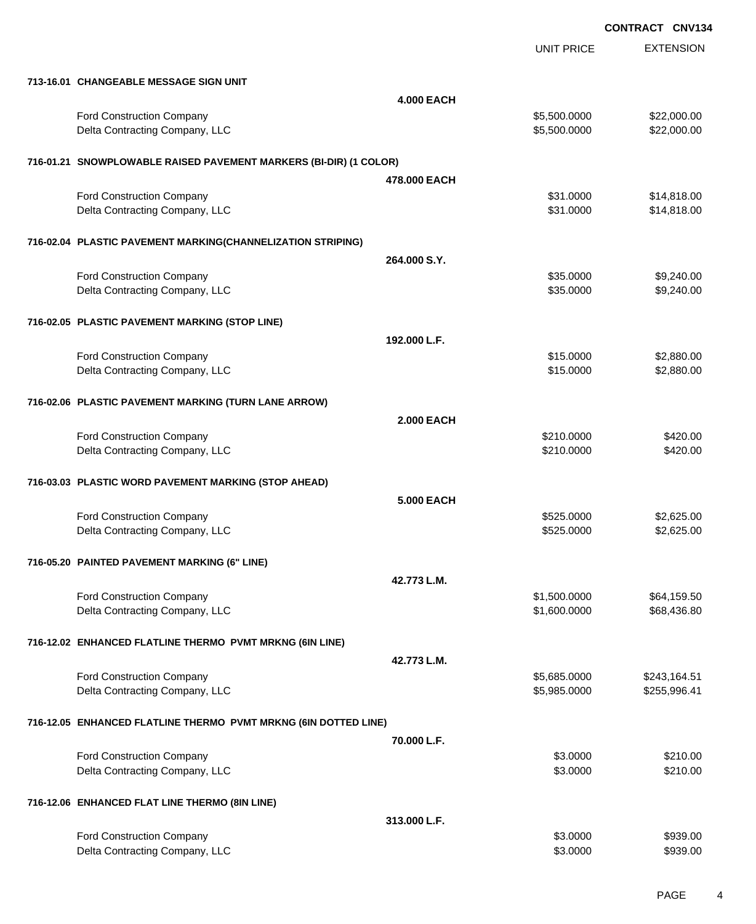|                                                                   |                   | UNIT PRICE   | <b>EXTENSION</b> |
|-------------------------------------------------------------------|-------------------|--------------|------------------|
| 713-16.01 CHANGEABLE MESSAGE SIGN UNIT                            |                   |              |                  |
|                                                                   | <b>4.000 EACH</b> |              |                  |
| Ford Construction Company                                         |                   | \$5,500.0000 | \$22,000.00      |
| Delta Contracting Company, LLC                                    |                   | \$5,500.0000 | \$22,000.00      |
| 716-01.21 SNOWPLOWABLE RAISED PAVEMENT MARKERS (BI-DIR) (1 COLOR) |                   |              |                  |
|                                                                   | 478,000 EACH      |              |                  |
| <b>Ford Construction Company</b>                                  |                   | \$31.0000    | \$14,818.00      |
| Delta Contracting Company, LLC                                    |                   | \$31.0000    | \$14,818.00      |
| 716-02.04 PLASTIC PAVEMENT MARKING(CHANNELIZATION STRIPING)       |                   |              |                  |
|                                                                   | 264.000 S.Y.      |              |                  |
| <b>Ford Construction Company</b>                                  |                   | \$35.0000    | \$9,240.00       |
| Delta Contracting Company, LLC                                    |                   | \$35.0000    | \$9,240.00       |
| 716-02.05 PLASTIC PAVEMENT MARKING (STOP LINE)                    |                   |              |                  |
|                                                                   | 192.000 L.F.      |              |                  |
| Ford Construction Company                                         |                   | \$15.0000    | \$2,880.00       |
| Delta Contracting Company, LLC                                    |                   | \$15.0000    | \$2,880.00       |
| 716-02.06 PLASTIC PAVEMENT MARKING (TURN LANE ARROW)              |                   |              |                  |
|                                                                   | <b>2.000 EACH</b> |              |                  |
| Ford Construction Company                                         |                   | \$210.0000   | \$420.00         |
| Delta Contracting Company, LLC                                    |                   | \$210.0000   | \$420.00         |
| 716-03.03 PLASTIC WORD PAVEMENT MARKING (STOP AHEAD)              |                   |              |                  |
|                                                                   | 5.000 EACH        |              |                  |
| <b>Ford Construction Company</b>                                  |                   | \$525.0000   | \$2,625.00       |
| Delta Contracting Company, LLC                                    |                   | \$525.0000   | \$2,625.00       |
| 716-05.20 PAINTED PAVEMENT MARKING (6" LINE)                      |                   |              |                  |
|                                                                   | 42.773 L.M.       |              |                  |
| <b>Ford Construction Company</b>                                  |                   | \$1,500.0000 | \$64,159.50      |
| Delta Contracting Company, LLC                                    |                   | \$1,600.0000 | \$68,436.80      |
| 716-12.02 ENHANCED FLATLINE THERMO PVMT MRKNG (6IN LINE)          |                   |              |                  |
|                                                                   | 42.773 L.M.       |              |                  |
| Ford Construction Company                                         |                   | \$5,685.0000 | \$243,164.51     |
| Delta Contracting Company, LLC                                    |                   | \$5,985.0000 | \$255,996.41     |
| 716-12.05 ENHANCED FLATLINE THERMO PVMT MRKNG (6IN DOTTED LINE)   |                   |              |                  |
|                                                                   | 70.000 L.F.       |              |                  |
| Ford Construction Company                                         |                   | \$3.0000     | \$210.00         |
| Delta Contracting Company, LLC                                    |                   | \$3.0000     | \$210.00         |
| 716-12.06 ENHANCED FLAT LINE THERMO (8IN LINE)                    |                   |              |                  |
|                                                                   | 313.000 L.F.      |              |                  |
| <b>Ford Construction Company</b>                                  |                   | \$3.0000     | \$939.00         |
| Delta Contracting Company, LLC                                    |                   | \$3.0000     | \$939.00         |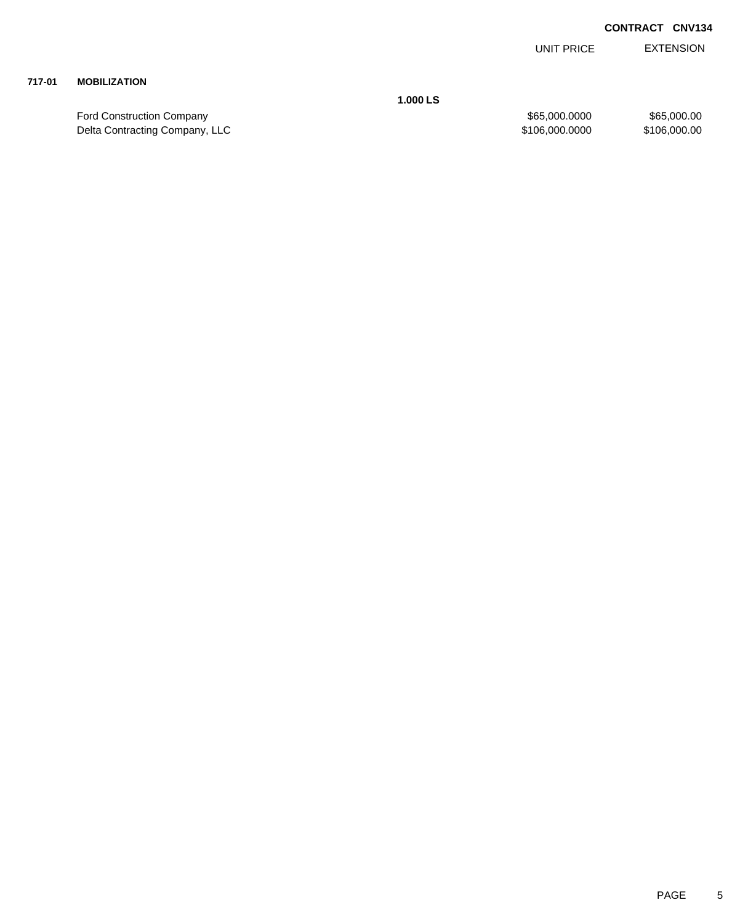EXTENSION UNIT PRICE

## **717-01 MOBILIZATION**

Ford Construction Company 65,000.000 \$65,000.000 \$65,000.000 \$65,000.000 \$65,000.000 \$65,000.00<br>Delta Contracting Company, LLC \$106,000.000 \$106,000.000 \$106,000.000 \$106,000.000 \$106,000.00 Delta Contracting Company, LLC 6000.0000 \$106,000.000 \$106,000.000 \$106,000.000

**1.000 LS**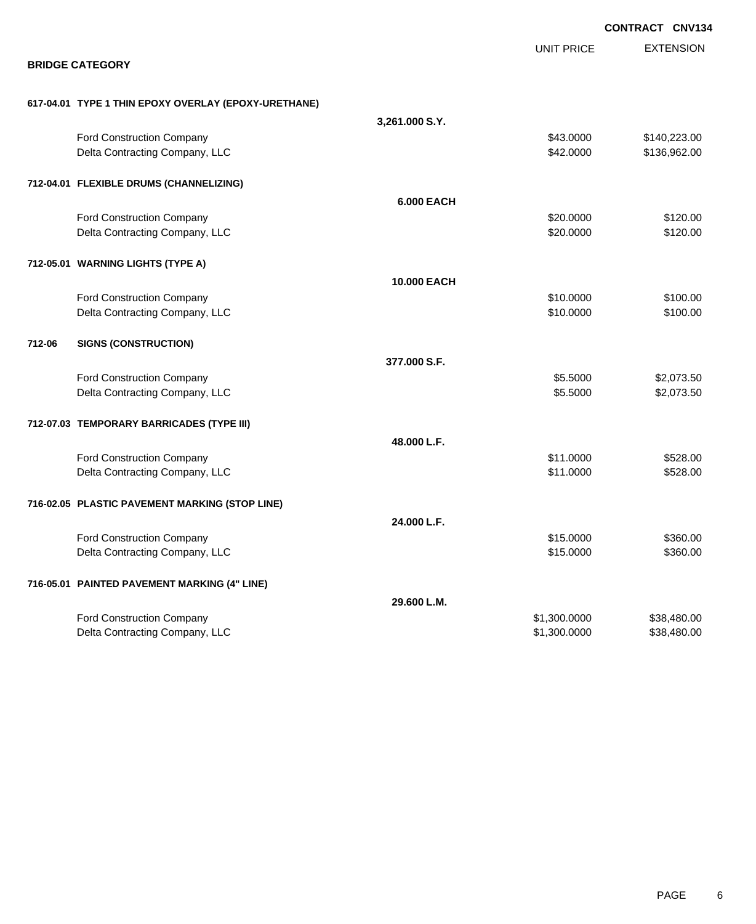|        |                                                      |                   |                   | <b>CONTRACT CNV134</b> |
|--------|------------------------------------------------------|-------------------|-------------------|------------------------|
|        |                                                      |                   | <b>UNIT PRICE</b> | <b>EXTENSION</b>       |
|        | <b>BRIDGE CATEGORY</b>                               |                   |                   |                        |
|        | 617-04.01 TYPE 1 THIN EPOXY OVERLAY (EPOXY-URETHANE) |                   |                   |                        |
|        |                                                      | 3,261.000 S.Y.    |                   |                        |
|        | <b>Ford Construction Company</b>                     |                   | \$43.0000         | \$140,223.00           |
|        | Delta Contracting Company, LLC                       |                   | \$42.0000         | \$136,962.00           |
|        | 712-04.01 FLEXIBLE DRUMS (CHANNELIZING)              |                   |                   |                        |
|        |                                                      | <b>6.000 EACH</b> |                   |                        |
|        | Ford Construction Company                            |                   | \$20.0000         | \$120.00               |
|        | Delta Contracting Company, LLC                       |                   | \$20.0000         | \$120.00               |
|        | 712-05.01 WARNING LIGHTS (TYPE A)                    |                   |                   |                        |
|        |                                                      | 10.000 EACH       |                   |                        |
|        | <b>Ford Construction Company</b>                     |                   | \$10.0000         | \$100.00               |
|        | Delta Contracting Company, LLC                       |                   | \$10.0000         | \$100.00               |
| 712-06 | <b>SIGNS (CONSTRUCTION)</b>                          |                   |                   |                        |
|        |                                                      | 377,000 S.F.      |                   |                        |
|        | <b>Ford Construction Company</b>                     |                   | \$5.5000          | \$2,073.50             |
|        | Delta Contracting Company, LLC                       |                   | \$5.5000          | \$2,073.50             |
|        | 712-07.03 TEMPORARY BARRICADES (TYPE III)            |                   |                   |                        |
|        |                                                      | 48.000 L.F.       |                   |                        |
|        | <b>Ford Construction Company</b>                     |                   | \$11.0000         | \$528.00               |
|        | Delta Contracting Company, LLC                       |                   | \$11.0000         | \$528.00               |
|        | 716-02.05 PLASTIC PAVEMENT MARKING (STOP LINE)       |                   |                   |                        |
|        |                                                      | 24.000 L.F.       |                   |                        |
|        | Ford Construction Company                            |                   | \$15.0000         | \$360.00               |
|        | Delta Contracting Company, LLC                       |                   | \$15.0000         | \$360.00               |
|        | 716-05.01 PAINTED PAVEMENT MARKING (4" LINE)         |                   |                   |                        |
|        |                                                      | 29.600 L.M.       |                   |                        |
|        | Ford Construction Company                            |                   | \$1,300.0000      | \$38,480.00            |
|        | Delta Contracting Company, LLC                       |                   | \$1,300.0000      | \$38,480.00            |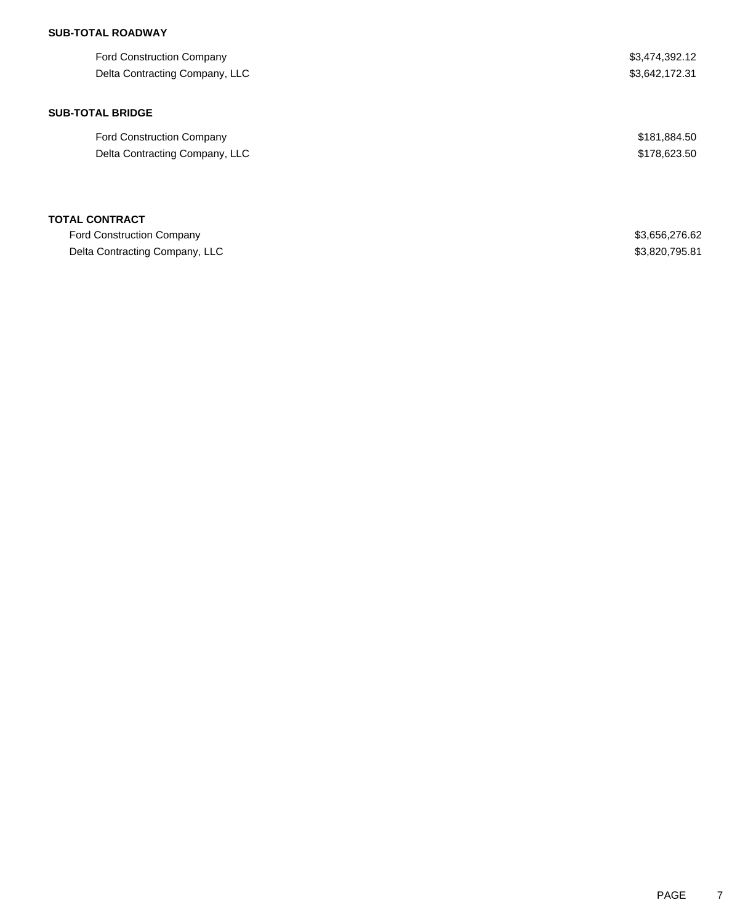| <b>Ford Construction Company</b> | \$3,474,392.12 |
|----------------------------------|----------------|
| Delta Contracting Company, LLC   | \$3,642,172.31 |
| <b>SUB-TOTAL BRIDGE</b>          |                |
| <b>Ford Construction Company</b> | \$181,884.50   |
| Delta Contracting Company, LLC   | \$178,623.50   |
| <b>TOTAL CONTRACT</b>            |                |
| <b>Ford Construction Company</b> | \$3,656,276.62 |
| Delta Contracting Company, LLC   | \$3,820,795.81 |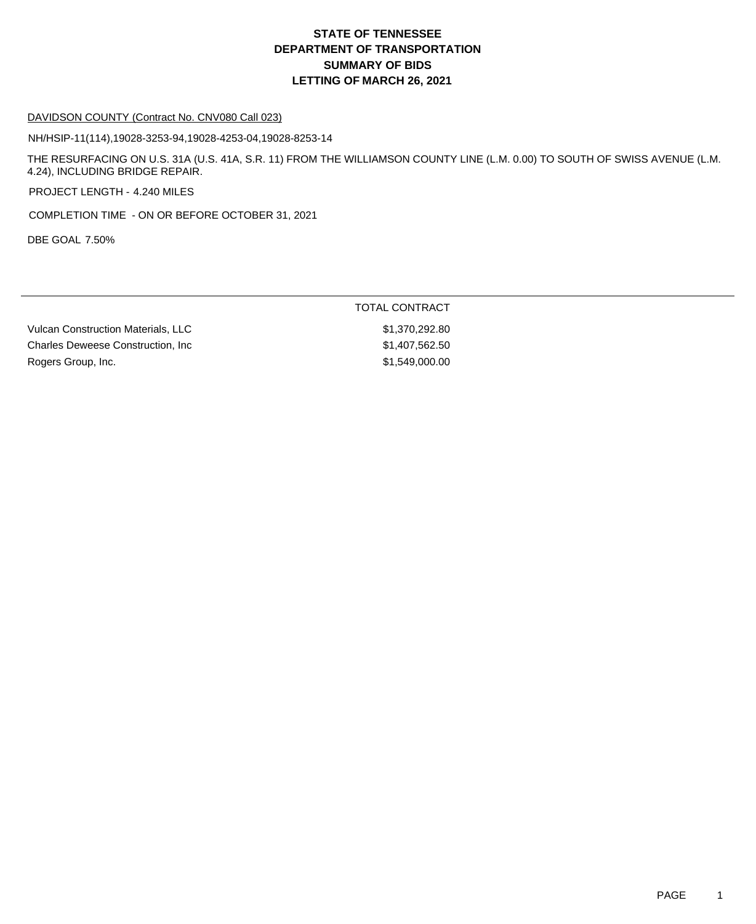#### DAVIDSON COUNTY (Contract No. CNV080 Call 023)

NH/HSIP-11(114),19028-3253-94,19028-4253-04,19028-8253-14

THE RESURFACING ON U.S. 31A (U.S. 41A, S.R. 11) FROM THE WILLIAMSON COUNTY LINE (L.M. 0.00) TO SOUTH OF SWISS AVENUE (L.M. 4.24), INCLUDING BRIDGE REPAIR.

PROJECT LENGTH - 4.240 MILES

COMPLETION TIME - ON OR BEFORE OCTOBER 31, 2021

DBE GOAL 7.50%

### TOTAL CONTRACT

Vulcan Construction Materials, LLC  $$1,370,292.80$ Charles Deweese Construction, Inc 6.6 and 200 and 200 and 31,407,562.50 Rogers Group, Inc. 6. 2010 12:30 12:30 12:30 12:30 12:31 1549,000.00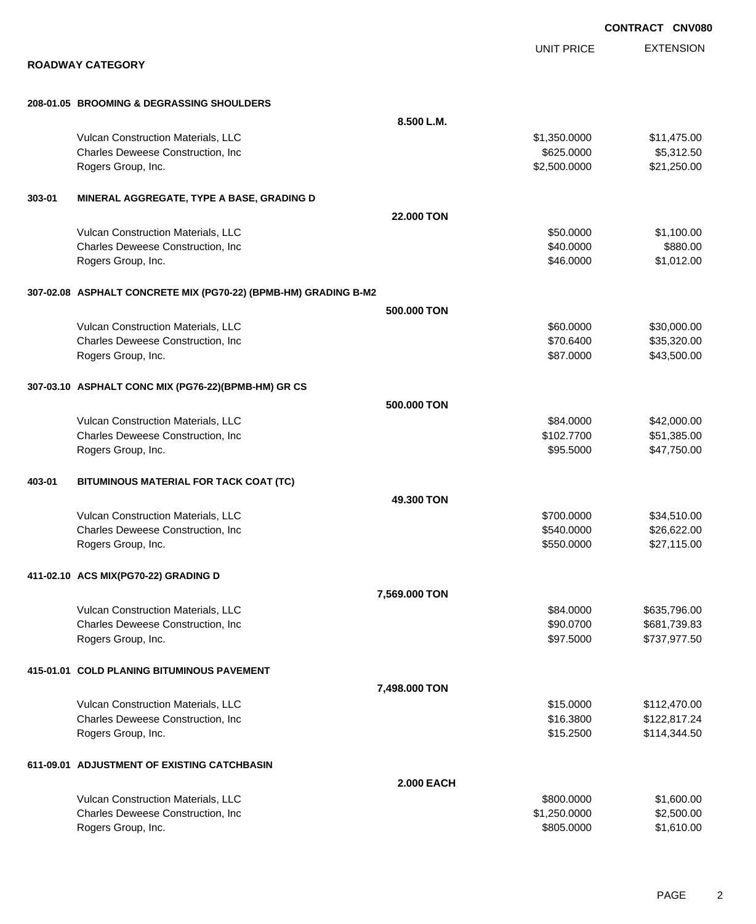|        |                                                                 |                   | <b>CONIRACI CNVU</b>                  |
|--------|-----------------------------------------------------------------|-------------------|---------------------------------------|
|        |                                                                 |                   | <b>EXTENSION</b><br><b>UNIT PRICE</b> |
|        | <b>ROADWAY CATEGORY</b>                                         |                   |                                       |
|        | 208-01.05 BROOMING & DEGRASSING SHOULDERS                       |                   |                                       |
|        |                                                                 | 8.500 L.M.        |                                       |
|        | Vulcan Construction Materials, LLC                              |                   | \$1,350.0000<br>\$11,475.00           |
|        | Charles Deweese Construction, Inc                               |                   | \$5,312.50<br>\$625.0000              |
|        | Rogers Group, Inc.                                              |                   | \$21,250.00<br>\$2,500.0000           |
| 303-01 | MINERAL AGGREGATE, TYPE A BASE, GRADING D                       |                   |                                       |
|        |                                                                 | 22.000 TON        |                                       |
|        | Vulcan Construction Materials, LLC                              |                   | \$1,100.00<br>\$50.0000               |
|        | Charles Deweese Construction, Inc                               |                   | \$880.00<br>\$40.0000                 |
|        | Rogers Group, Inc.                                              |                   | \$1,012.00<br>\$46.0000               |
|        | 307-02.08 ASPHALT CONCRETE MIX (PG70-22) (BPMB-HM) GRADING B-M2 |                   |                                       |
|        |                                                                 | 500,000 TON       |                                       |
|        | Vulcan Construction Materials, LLC                              |                   | \$60.0000<br>\$30,000.00              |
|        | Charles Deweese Construction, Inc                               |                   | \$70.6400<br>\$35,320.00              |
|        | Rogers Group, Inc.                                              |                   | \$43,500.00<br>\$87.0000              |
|        | 307-03.10 ASPHALT CONC MIX (PG76-22)(BPMB-HM) GR CS             |                   |                                       |
|        |                                                                 | 500.000 TON       |                                       |
|        | Vulcan Construction Materials, LLC                              |                   | \$84.0000<br>\$42,000.00              |
|        | Charles Deweese Construction, Inc                               |                   | \$51,385.00<br>\$102.7700             |
|        | Rogers Group, Inc.                                              |                   | \$47,750.00<br>\$95.5000              |
| 403-01 | BITUMINOUS MATERIAL FOR TACK COAT (TC)                          |                   |                                       |
|        |                                                                 | 49.300 TON        |                                       |
|        | Vulcan Construction Materials, LLC                              |                   | \$700.0000<br>\$34,510.00             |
|        | Charles Deweese Construction, Inc                               |                   | \$540.0000<br>\$26,622.00             |
|        | Rogers Group, Inc.                                              |                   | \$550.0000<br>\$27,115.00             |
|        | 411-02.10 ACS MIX(PG70-22) GRADING D                            |                   |                                       |
|        |                                                                 | 7,569.000 TON     |                                       |
|        | Vulcan Construction Materials, LLC                              |                   | \$635,796.00<br>\$84,0000             |
|        | Charles Deweese Construction, Inc                               |                   | \$90.0700<br>\$681,739.83             |
|        | Rogers Group, Inc.                                              |                   | \$97.5000<br>\$737,977.50             |
|        | 415-01.01 COLD PLANING BITUMINOUS PAVEMENT                      |                   |                                       |
|        |                                                                 | 7,498.000 TON     |                                       |
|        | Vulcan Construction Materials, LLC                              |                   | \$15.0000<br>\$112,470.00             |
|        | Charles Deweese Construction, Inc                               |                   | \$16.3800<br>\$122,817.24             |
|        | Rogers Group, Inc.                                              |                   | \$15.2500<br>\$114,344.50             |
|        | 611-09.01 ADJUSTMENT OF EXISTING CATCHBASIN                     |                   |                                       |
|        |                                                                 | <b>2.000 EACH</b> |                                       |
|        | Vulcan Construction Materials, LLC                              |                   | \$1,600.00<br>\$800.0000              |
|        | Charles Deweese Construction, Inc                               |                   | \$2,500.00<br>\$1,250.0000            |
|        | Rogers Group, Inc.                                              |                   | \$1,610.00<br>\$805.0000              |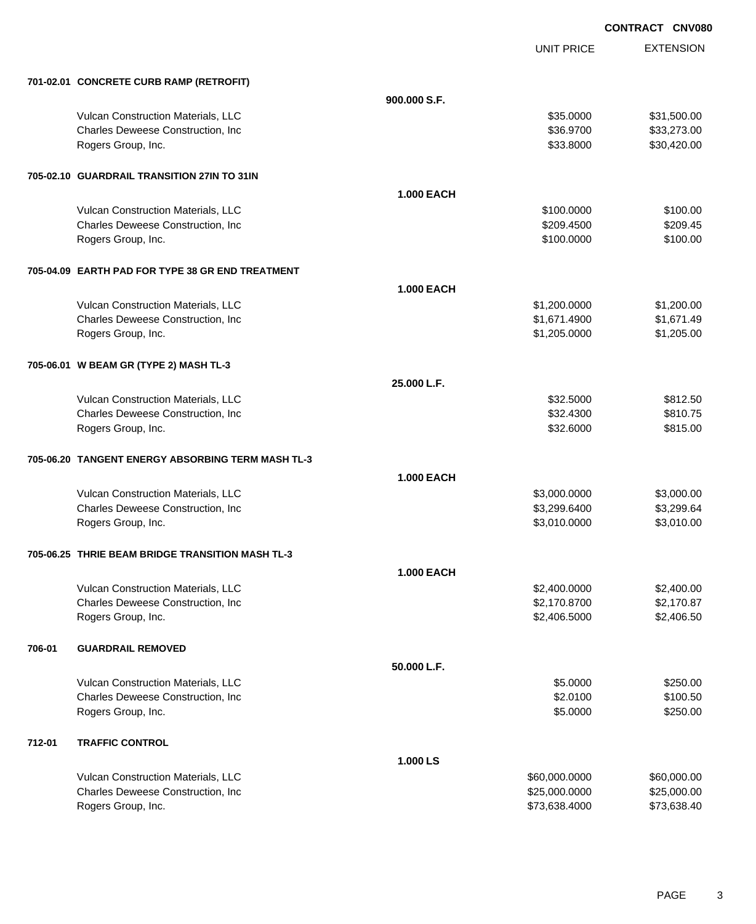UNIT PRICE

EXTENSION

|        | 701-02.01 CONCRETE CURB RAMP (RETROFIT)           |                   |               |             |
|--------|---------------------------------------------------|-------------------|---------------|-------------|
|        |                                                   | 900,000 S.F.      |               |             |
|        | Vulcan Construction Materials, LLC                |                   | \$35.0000     | \$31,500.00 |
|        | Charles Deweese Construction, Inc                 |                   | \$36.9700     | \$33,273.00 |
|        | Rogers Group, Inc.                                |                   | \$33.8000     | \$30,420.00 |
|        | 705-02.10 GUARDRAIL TRANSITION 27IN TO 31IN       |                   |               |             |
|        |                                                   | <b>1.000 EACH</b> |               |             |
|        | Vulcan Construction Materials, LLC                |                   | \$100.0000    | \$100.00    |
|        | Charles Deweese Construction, Inc                 |                   | \$209.4500    | \$209.45    |
|        | Rogers Group, Inc.                                |                   | \$100.0000    | \$100.00    |
|        | 705-04.09 EARTH PAD FOR TYPE 38 GR END TREATMENT  |                   |               |             |
|        |                                                   | <b>1.000 EACH</b> |               |             |
|        | Vulcan Construction Materials, LLC                |                   | \$1,200.0000  | \$1,200.00  |
|        | Charles Deweese Construction, Inc                 |                   | \$1,671.4900  | \$1,671.49  |
|        | Rogers Group, Inc.                                |                   | \$1,205.0000  | \$1,205.00  |
|        | 705-06.01 W BEAM GR (TYPE 2) MASH TL-3            |                   |               |             |
|        |                                                   | 25.000 L.F.       |               |             |
|        | Vulcan Construction Materials, LLC                |                   | \$32.5000     | \$812.50    |
|        | Charles Deweese Construction, Inc                 |                   | \$32.4300     | \$810.75    |
|        | Rogers Group, Inc.                                |                   | \$32.6000     | \$815.00    |
|        | 705-06.20 TANGENT ENERGY ABSORBING TERM MASH TL-3 |                   |               |             |
|        |                                                   | <b>1.000 EACH</b> |               |             |
|        | Vulcan Construction Materials, LLC                |                   | \$3,000.0000  | \$3,000.00  |
|        | Charles Deweese Construction, Inc                 |                   | \$3,299.6400  | \$3,299.64  |
|        | Rogers Group, Inc.                                |                   | \$3,010.0000  | \$3,010.00  |
|        | 705-06.25 THRIE BEAM BRIDGE TRANSITION MASH TL-3  |                   |               |             |
|        |                                                   | <b>1.000 EACH</b> |               |             |
|        | <b>Vulcan Construction Materials, LLC</b>         |                   | \$2,400.0000  | \$2,400.00  |
|        | Charles Deweese Construction, Inc.                |                   | \$2,170.8700  | \$2,170.87  |
|        | Rogers Group, Inc.                                |                   | \$2,406.5000  | \$2,406.50  |
| 706-01 | <b>GUARDRAIL REMOVED</b>                          |                   |               |             |
|        |                                                   | 50.000 L.F.       |               |             |
|        | Vulcan Construction Materials, LLC                |                   | \$5.0000      | \$250.00    |
|        | Charles Deweese Construction, Inc.                |                   | \$2.0100      | \$100.50    |
|        | Rogers Group, Inc.                                |                   | \$5.0000      | \$250.00    |
| 712-01 | <b>TRAFFIC CONTROL</b>                            |                   |               |             |
|        |                                                   | 1.000 LS          |               |             |
|        | Vulcan Construction Materials, LLC                |                   | \$60,000.0000 | \$60,000.00 |
|        | Charles Deweese Construction, Inc                 |                   | \$25,000.0000 | \$25,000.00 |
|        | Rogers Group, Inc.                                |                   | \$73,638.4000 | \$73,638.40 |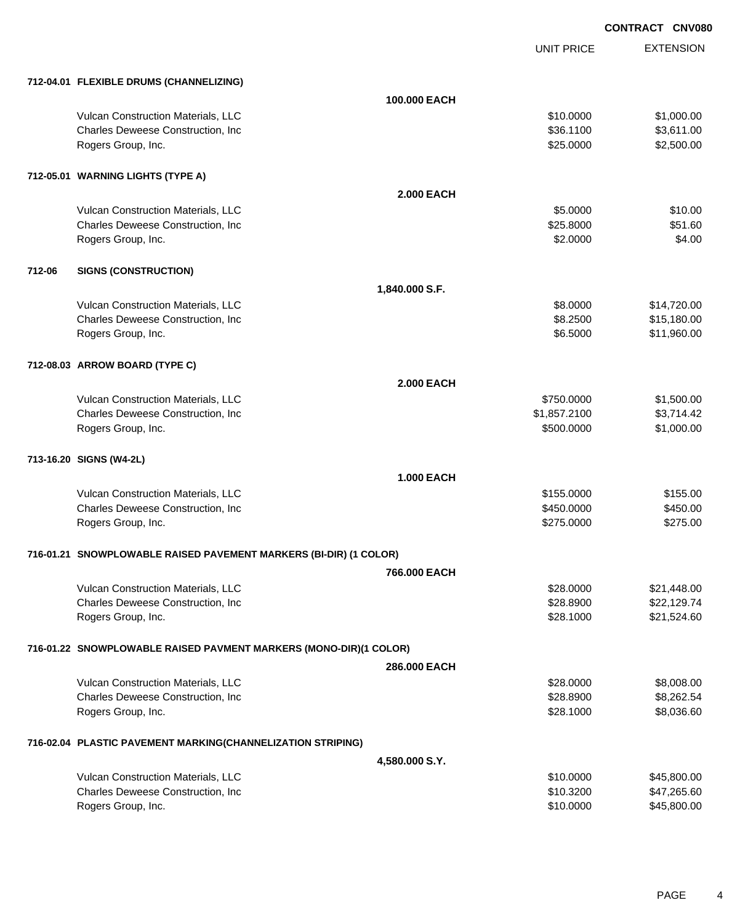|        |                                                                   |                   | <b>UNIT PRICE</b> | <b>EXTENSION</b> |
|--------|-------------------------------------------------------------------|-------------------|-------------------|------------------|
|        | 712-04.01 FLEXIBLE DRUMS (CHANNELIZING)                           |                   |                   |                  |
|        |                                                                   | 100,000 EACH      |                   |                  |
|        | Vulcan Construction Materials, LLC                                |                   | \$10.0000         | \$1,000.00       |
|        | Charles Deweese Construction, Inc                                 |                   | \$36.1100         | \$3,611.00       |
|        | Rogers Group, Inc.                                                |                   | \$25.0000         | \$2,500.00       |
|        | 712-05.01 WARNING LIGHTS (TYPE A)                                 |                   |                   |                  |
|        |                                                                   | <b>2.000 EACH</b> |                   |                  |
|        | Vulcan Construction Materials, LLC                                |                   | \$5.0000          | \$10.00          |
|        | Charles Deweese Construction, Inc                                 |                   | \$25.8000         | \$51.60          |
|        | Rogers Group, Inc.                                                |                   | \$2.0000          | \$4.00           |
| 712-06 | <b>SIGNS (CONSTRUCTION)</b>                                       |                   |                   |                  |
|        |                                                                   | 1,840.000 S.F.    |                   |                  |
|        | Vulcan Construction Materials, LLC                                |                   | \$8.0000          | \$14,720.00      |
|        | Charles Deweese Construction, Inc                                 |                   | \$8.2500          | \$15,180.00      |
|        | Rogers Group, Inc.                                                |                   | \$6.5000          | \$11,960.00      |
|        | 712-08.03 ARROW BOARD (TYPE C)                                    |                   |                   |                  |
|        |                                                                   | <b>2.000 EACH</b> |                   |                  |
|        | Vulcan Construction Materials, LLC                                |                   | \$750.0000        | \$1,500.00       |
|        | Charles Deweese Construction, Inc                                 |                   | \$1,857.2100      | \$3,714.42       |
|        | Rogers Group, Inc.                                                |                   | \$500.0000        | \$1,000.00       |
|        | 713-16.20 SIGNS (W4-2L)                                           |                   |                   |                  |
|        |                                                                   | <b>1.000 EACH</b> |                   |                  |
|        | Vulcan Construction Materials, LLC                                |                   | \$155.0000        | \$155.00         |
|        | Charles Deweese Construction, Inc                                 |                   | \$450.0000        | \$450.00         |
|        | Rogers Group, Inc.                                                |                   | \$275.0000        | \$275.00         |
|        | 716-01.21 SNOWPLOWABLE RAISED PAVEMENT MARKERS (BI-DIR) (1 COLOR) |                   |                   |                  |
|        |                                                                   | 766,000 EACH      |                   |                  |
|        | Vulcan Construction Materials, LLC                                |                   | \$28.0000         | \$21,448.00      |
|        | Charles Deweese Construction, Inc                                 |                   | \$28.8900         | \$22,129.74      |
|        | Rogers Group, Inc.                                                |                   | \$28.1000         | \$21,524.60      |
|        | 716-01.22 SNOWPLOWABLE RAISED PAVMENT MARKERS (MONO-DIR)(1 COLOR) |                   |                   |                  |
|        |                                                                   | 286.000 EACH      |                   |                  |
|        | Vulcan Construction Materials, LLC                                |                   | \$28.0000         | \$8,008.00       |
|        | Charles Deweese Construction, Inc                                 |                   | \$28.8900         | \$8,262.54       |
|        | Rogers Group, Inc.                                                |                   | \$28.1000         | \$8,036.60       |
|        | 716-02.04 PLASTIC PAVEMENT MARKING(CHANNELIZATION STRIPING)       |                   |                   |                  |
|        |                                                                   | 4,580.000 S.Y.    |                   |                  |
|        | Vulcan Construction Materials, LLC                                |                   | \$10.0000         | \$45,800.00      |
|        | Charles Deweese Construction, Inc                                 |                   | \$10.3200         | \$47,265.60      |
|        | Rogers Group, Inc.                                                |                   | \$10.0000         | \$45,800.00      |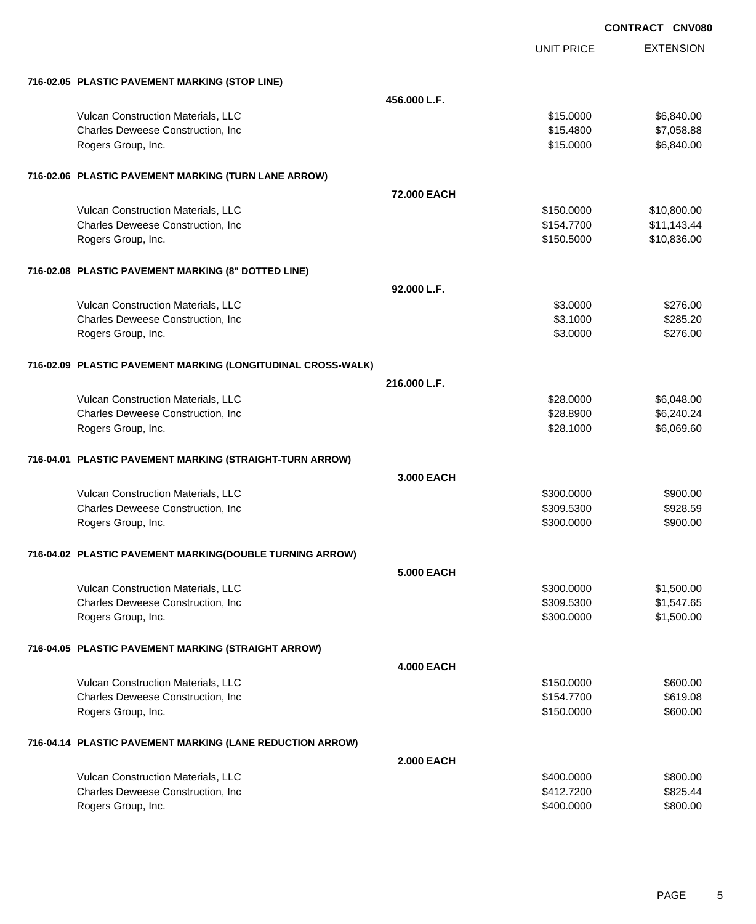EXTENSION UNIT PRICE **716-02.05 PLASTIC PAVEMENT MARKING (STOP LINE) 456.000 L.F.** Vulcan Construction Materials, LLC 6.840.00 \$6,840.00 Charles Deweese Construction, Inc **Charles Deweese Construction, Inc 615.4800** \$7,058.88 Rogers Group, Inc. \$15.0000 \$6,840.00 **716-02.06 PLASTIC PAVEMENT MARKING (TURN LANE ARROW) 72.000 EACH** Vulcan Construction Materials, LLC 6. The Construction Materials, LLC 6. The Construction Materials, LLC 6. The Construction of the Construction Materials, LLC 6. The Construction of the Construction of the Construction of Charles Deweese Construction, Inc **Charles Deweese Construction, Inc** 611,143.44 Rogers Group, Inc. \$150.5000 \$150.5000 \$150.836.00 **716-02.08 PLASTIC PAVEMENT MARKING (8" DOTTED LINE) 92.000 L.F.** Vulcan Construction Materials, LLC 6.000 \$276.00 Charles Deweese Construction, Inc **6.285.20 \$285.20 \$3.1000** \$3.1000 \$285.20 Rogers Group, Inc. \$276.00 **716-02.09 PLASTIC PAVEMENT MARKING (LONGITUDINAL CROSS-WALK) 216.000 L.F.** Vulcan Construction Materials, LLC 60000 \$6,048.00 Charles Deweese Construction, Inc **Charles Deweese Construction, Inc** \$28.8900 \$6,240.24 Rogers Group, Inc. \$28.1000 \$6,069.60 **716-04.01 PLASTIC PAVEMENT MARKING (STRAIGHT-TURN ARROW) 3.000 EACH** Vulcan Construction Materials, LLC 60000 \$900.000 \$900.000 \$900.000 \$900.00 Charles Deweese Construction, Inc **600 and 7500 \$928.59** \$928.59 Rogers Group, Inc. \$900.000 \$900.00 \$900.00 \$900.00 \$900.00 \$900.00 \$900.00 \$900.00 \$900.00 \$900.00 \$900.00 \$90 **716-04.02 PLASTIC PAVEMENT MARKING(DOUBLE TURNING ARROW) 5.000 EACH** Vulcan Construction Materials, LLC 60000 \$1,500.000 \$1,500.000 \$1,500.000 Charles Deweese Construction, Inc **Charles Deweese Construction, Inc** 651,547.65 Rogers Group, Inc. \$1,500.000 \$1,500.00 \$1,500.00 \$1,500.00 \$1,500.00 \$1,500.00 \$1,500.00 \$1,500.00 \$1,500.00 \$1,500 **716-04.05 PLASTIC PAVEMENT MARKING (STRAIGHT ARROW) 4.000 EACH** Vulcan Construction Materials, LLC 600.000 \$600.00 Charles Deweese Construction, Inc **600 and 100 and 100 and 100 and 100 and 100 and 100 and 100 and 100 and 100 and 100 and 100 and 100 and 100 and 100 and 100 and 100 and 100 and 100 and 100 and 100 and 100 and 100 and 100** Rogers Group, Inc. \$600.00 **716-04.14 PLASTIC PAVEMENT MARKING (LANE REDUCTION ARROW) 2.000 EACH** Vulcan Construction Materials, LLC 60000 \$800.000 \$800.000 \$800.000 \$800.000 \$800.00 Charles Deweese Construction, Inc **600 and 700 and 700 and 700 and 700 and 700 and 700 and 700 and 700 and 700 and 700 and 700 and 700 and 700 and 700 and 700 and 700 and 700 and 700 and 700 and 700 and 700 and 700 and 700** 

Rogers Group, Inc. \$800.000 \$800.00 \$800.00 \$800.00 \$800.00 \$800.00 \$800.00 \$800.00 \$800.00 \$800.00 \$800.00 \$800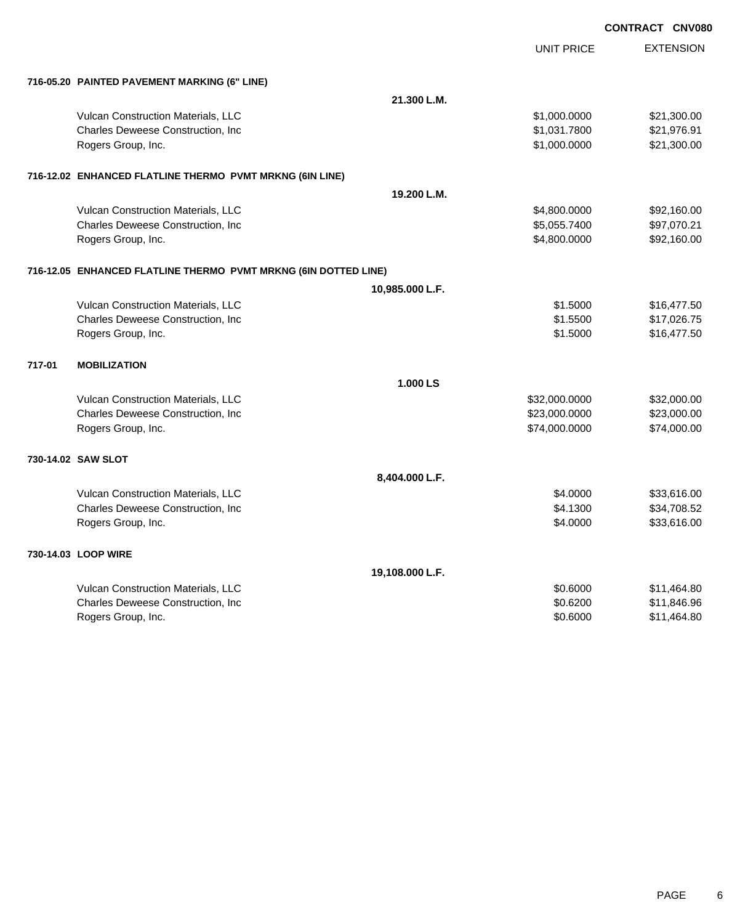|        |                                                                 |                 | <b>UNIT PRICE</b> | <b>EXTENSION</b> |
|--------|-----------------------------------------------------------------|-----------------|-------------------|------------------|
|        | 716-05.20 PAINTED PAVEMENT MARKING (6" LINE)                    |                 |                   |                  |
|        |                                                                 | 21.300 L.M.     |                   |                  |
|        | Vulcan Construction Materials, LLC                              |                 | \$1,000.0000      | \$21,300.00      |
|        | Charles Deweese Construction, Inc                               |                 | \$1,031.7800      | \$21,976.91      |
|        | Rogers Group, Inc.                                              |                 | \$1,000.0000      | \$21,300.00      |
|        | 716-12.02 ENHANCED FLATLINE THERMO PVMT MRKNG (6IN LINE)        |                 |                   |                  |
|        |                                                                 | 19.200 L.M.     |                   |                  |
|        | Vulcan Construction Materials, LLC                              |                 | \$4,800.0000      | \$92,160.00      |
|        | Charles Deweese Construction, Inc                               |                 | \$5,055.7400      | \$97,070.21      |
|        | Rogers Group, Inc.                                              |                 | \$4,800.0000      | \$92,160.00      |
|        | 716-12.05 ENHANCED FLATLINE THERMO PVMT MRKNG (6IN DOTTED LINE) |                 |                   |                  |
|        |                                                                 | 10,985.000 L.F. |                   |                  |
|        | Vulcan Construction Materials, LLC                              |                 | \$1.5000          | \$16,477.50      |
|        | Charles Deweese Construction, Inc                               |                 | \$1.5500          | \$17,026.75      |
|        | Rogers Group, Inc.                                              |                 | \$1.5000          | \$16,477.50      |
| 717-01 | <b>MOBILIZATION</b>                                             |                 |                   |                  |
|        |                                                                 | 1.000 LS        |                   |                  |
|        | Vulcan Construction Materials, LLC                              |                 | \$32,000.0000     | \$32,000.00      |
|        | Charles Deweese Construction, Inc                               |                 | \$23,000.0000     | \$23,000.00      |
|        | Rogers Group, Inc.                                              |                 | \$74,000.0000     | \$74,000.00      |
|        | 730-14.02 SAW SLOT                                              |                 |                   |                  |
|        |                                                                 | 8,404.000 L.F.  |                   |                  |
|        | Vulcan Construction Materials, LLC                              |                 | \$4.0000          | \$33,616.00      |
|        | Charles Deweese Construction, Inc                               |                 | \$4.1300          | \$34,708.52      |
|        | Rogers Group, Inc.                                              |                 | \$4.0000          | \$33,616.00      |
|        | 730-14.03 LOOP WIRE                                             |                 |                   |                  |
|        |                                                                 | 19,108.000 L.F. |                   |                  |
|        | Vulcan Construction Materials, LLC                              |                 | \$0.6000          | \$11,464.80      |
|        | Charles Deweese Construction, Inc                               |                 | \$0.6200          | \$11,846.96      |
|        | Rogers Group, Inc.                                              |                 | \$0.6000          | \$11,464.80      |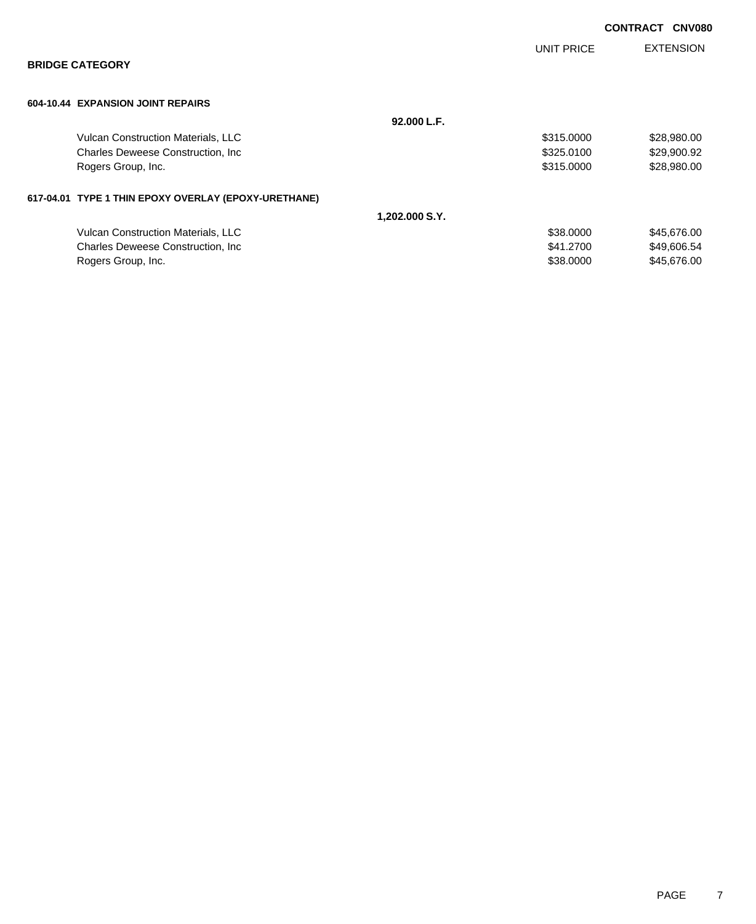|                                                      |            | <b>CONTRACT</b><br><b>CNV080</b> |
|------------------------------------------------------|------------|----------------------------------|
|                                                      | UNIT PRICE | <b>EXTENSION</b>                 |
| <b>BRIDGE CATEGORY</b>                               |            |                                  |
| 604-10.44 EXPANSION JOINT REPAIRS                    |            |                                  |
| 92.000 L.F.                                          |            |                                  |
| Vulcan Construction Materials, LLC                   | \$315.0000 | \$28,980.00                      |
| <b>Charles Deweese Construction, Inc.</b>            | \$325.0100 | \$29,900.92                      |
| Rogers Group, Inc.                                   | \$315.0000 | \$28,980.00                      |
| 617-04.01 TYPE 1 THIN EPOXY OVERLAY (EPOXY-URETHANE) |            |                                  |
| 1,202.000 S.Y.                                       |            |                                  |
| Vulcan Construction Materials, LLC                   | \$38.0000  | \$45,676.00                      |
| <b>Charles Deweese Construction, Inc.</b>            | \$41.2700  | \$49,606.54                      |
| Rogers Group, Inc.                                   | \$38.0000  | \$45,676.00                      |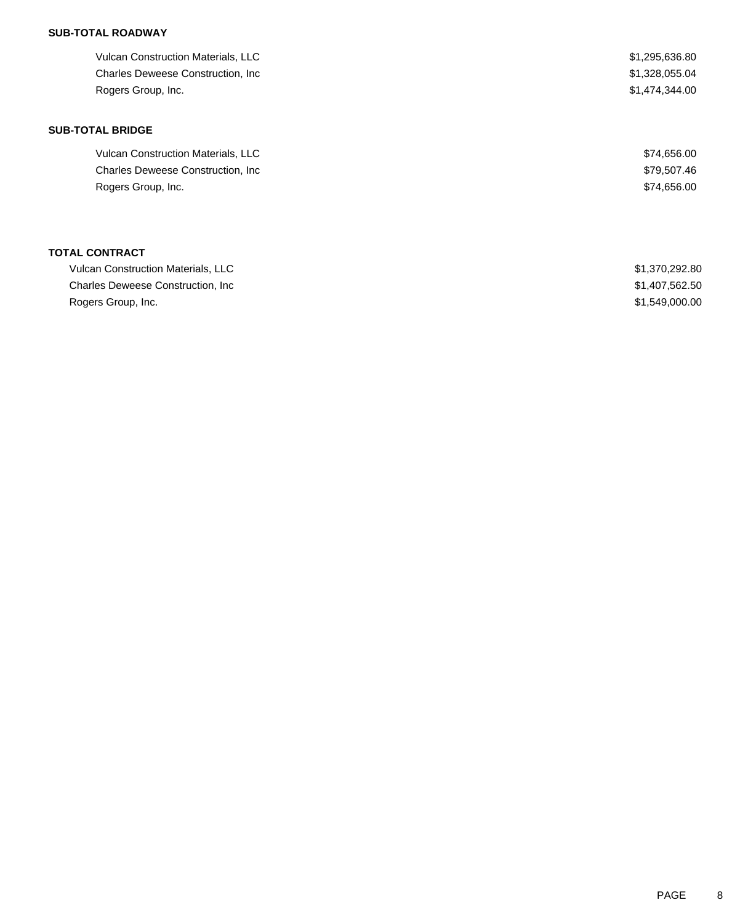# **SUB-TOTAL ROADWAY**

| <b>Vulcan Construction Materials, LLC</b> | \$1,295,636.80 |
|-------------------------------------------|----------------|
| <b>Charles Deweese Construction, Inc.</b> | \$1,328,055.04 |
| Rogers Group, Inc.                        | \$1,474,344.00 |
| <b>SUB-TOTAL BRIDGE</b>                   |                |
| <b>Vulcan Construction Materials, LLC</b> | \$74,656.00    |
| <b>Charles Deweese Construction, Inc.</b> | \$79,507.46    |
| Rogers Group, Inc.                        | \$74,656.00    |
|                                           |                |
| <b>TOTAL CONTRACT</b>                     |                |

| <b>Vulcan Construction Materials, LLC</b> | \$1,370,292.80 |
|-------------------------------------------|----------------|
| Charles Deweese Construction, Inc.        | \$1,407,562.50 |
| Rogers Group, Inc.                        | \$1,549,000,00 |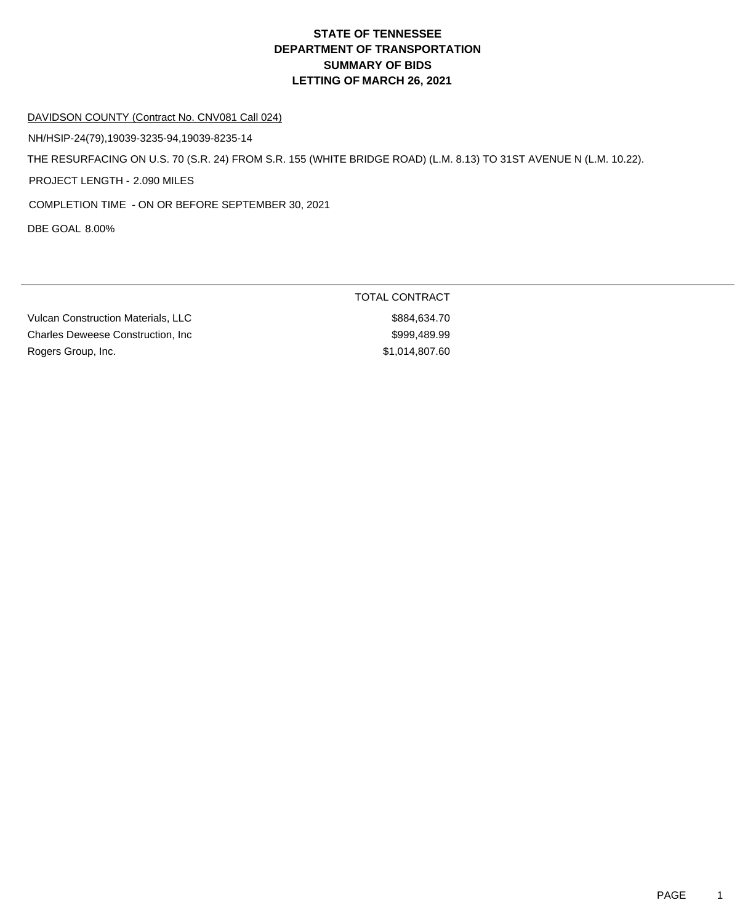# **DEPARTMENT OF TRANSPORTATION SUMMARY OF BIDS LETTING OF MARCH 26, 2021 STATE OF TENNESSEE**

#### DAVIDSON COUNTY (Contract No. CNV081 Call 024)

NH/HSIP-24(79),19039-3235-94,19039-8235-14

THE RESURFACING ON U.S. 70 (S.R. 24) FROM S.R. 155 (WHITE BRIDGE ROAD) (L.M. 8.13) TO 31ST AVENUE N (L.M. 10.22).

PROJECT LENGTH - 2.090 MILES

COMPLETION TIME - ON OR BEFORE SEPTEMBER 30, 2021

DBE GOAL 8.00%

Vulcan Construction Materials, LLC \$884,634.70 Charles Deweese Construction, Inc \$999,489.99 Rogers Group, Inc. 600 and the state of the state of the state of the state of the state of the state of the state of the state of the state of the state of the state of the state of the state of the state of the state of

TOTAL CONTRACT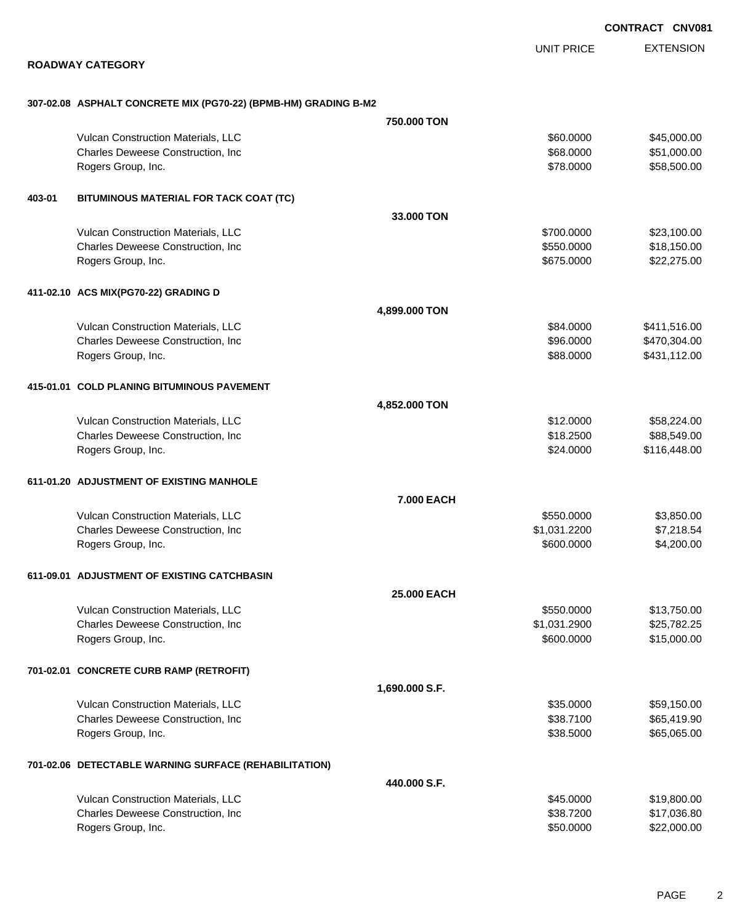EXTENSION UNIT PRICE

### **ROADWAY CATEGORY**

|  |  | 307-02.08 ASPHALT CONCRETE MIX (PG70-22) (BPMB-HM) GRADING B-M2 |  |
|--|--|-----------------------------------------------------------------|--|
|  |  |                                                                 |  |

|        |                                                       | 750.000 TON    |              |              |
|--------|-------------------------------------------------------|----------------|--------------|--------------|
|        | Vulcan Construction Materials, LLC                    |                | \$60.0000    | \$45,000.00  |
|        | Charles Deweese Construction, Inc                     |                | \$68.0000    | \$51,000.00  |
|        | Rogers Group, Inc.                                    |                | \$78.0000    | \$58,500.00  |
| 403-01 | BITUMINOUS MATERIAL FOR TACK COAT (TC)                |                |              |              |
|        |                                                       | 33,000 TON     |              |              |
|        | Vulcan Construction Materials, LLC                    |                | \$700.0000   | \$23,100.00  |
|        | Charles Deweese Construction, Inc                     |                | \$550.0000   | \$18,150.00  |
|        | Rogers Group, Inc.                                    |                | \$675.0000   | \$22,275.00  |
|        | 411-02.10 ACS MIX(PG70-22) GRADING D                  |                |              |              |
|        |                                                       | 4,899.000 TON  |              |              |
|        | Vulcan Construction Materials, LLC                    |                | \$84.0000    | \$411,516.00 |
|        | Charles Deweese Construction, Inc                     |                | \$96.0000    | \$470,304.00 |
|        | Rogers Group, Inc.                                    |                | \$88.0000    | \$431,112.00 |
|        | 415-01.01 COLD PLANING BITUMINOUS PAVEMENT            |                |              |              |
|        |                                                       | 4,852.000 TON  |              |              |
|        | Vulcan Construction Materials, LLC                    |                | \$12.0000    | \$58,224.00  |
|        | Charles Deweese Construction, Inc                     |                | \$18.2500    | \$88,549.00  |
|        | Rogers Group, Inc.                                    |                | \$24.0000    | \$116,448.00 |
|        | 611-01.20 ADJUSTMENT OF EXISTING MANHOLE              |                |              |              |
|        |                                                       | 7.000 EACH     |              |              |
|        | Vulcan Construction Materials, LLC                    |                | \$550.0000   | \$3,850.00   |
|        | Charles Deweese Construction, Inc                     |                | \$1,031.2200 | \$7,218.54   |
|        | Rogers Group, Inc.                                    |                | \$600.0000   | \$4,200.00   |
|        | 611-09.01 ADJUSTMENT OF EXISTING CATCHBASIN           |                |              |              |
|        |                                                       | 25.000 EACH    |              |              |
|        | Vulcan Construction Materials, LLC                    |                | \$550.0000   | \$13,750.00  |
|        | Charles Deweese Construction, Inc                     |                | \$1,031.2900 | \$25,782.25  |
|        | Rogers Group, Inc.                                    |                | \$600.0000   | \$15,000.00  |
|        | 701-02.01 CONCRETE CURB RAMP (RETROFIT)               |                |              |              |
|        |                                                       | 1,690.000 S.F. |              |              |
|        | Vulcan Construction Materials, LLC                    |                | \$35.0000    | \$59,150.00  |
|        | Charles Deweese Construction, Inc                     |                | \$38.7100    | \$65,419.90  |
|        | Rogers Group, Inc.                                    |                | \$38.5000    | \$65,065.00  |
|        | 701-02.06 DETECTABLE WARNING SURFACE (REHABILITATION) |                |              |              |
|        |                                                       | 440,000 S.F.   |              |              |
|        | Vulcan Construction Materials, LLC                    |                | \$45.0000    | \$19,800.00  |
|        | Charles Deweese Construction, Inc                     |                | \$38.7200    | \$17,036.80  |
|        | Rogers Group, Inc.                                    |                | \$50.0000    | \$22,000.00  |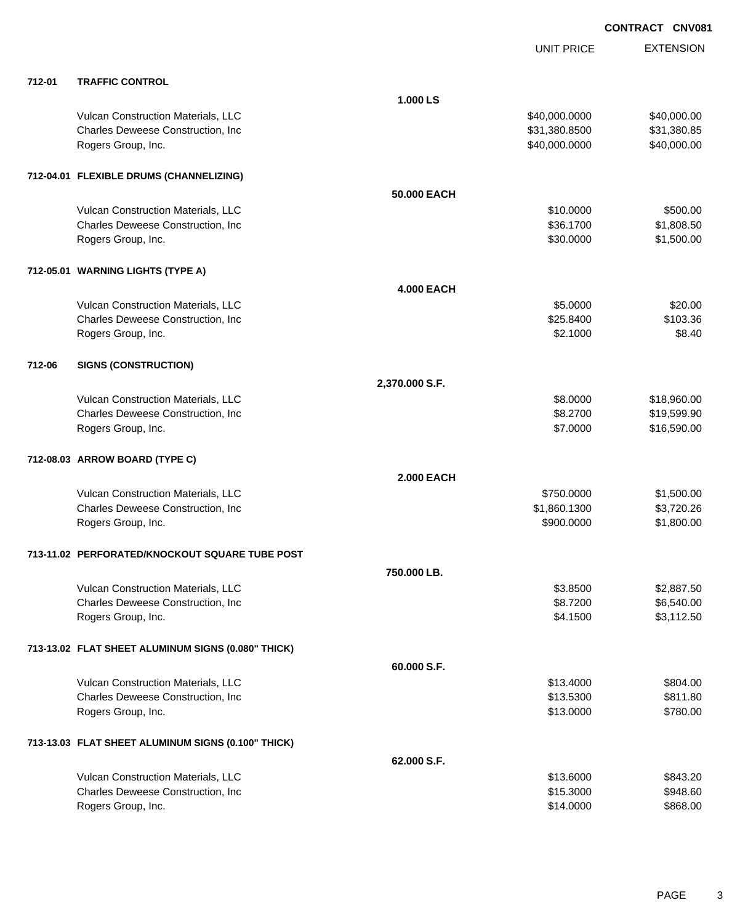|        |                                                    |                   | <b>UNIT PRICE</b> | <b>EXTENSION</b> |
|--------|----------------------------------------------------|-------------------|-------------------|------------------|
| 712-01 | <b>TRAFFIC CONTROL</b>                             |                   |                   |                  |
|        |                                                    | 1.000LS           |                   |                  |
|        | Vulcan Construction Materials, LLC                 |                   | \$40,000.0000     | \$40,000.00      |
|        | Charles Deweese Construction, Inc                  |                   | \$31,380.8500     | \$31,380.85      |
|        | Rogers Group, Inc.                                 |                   | \$40,000.0000     | \$40,000.00      |
|        | 712-04.01 FLEXIBLE DRUMS (CHANNELIZING)            |                   |                   |                  |
|        |                                                    | 50.000 EACH       |                   |                  |
|        | Vulcan Construction Materials, LLC                 |                   | \$10.0000         | \$500.00         |
|        | Charles Deweese Construction, Inc                  |                   | \$36.1700         | \$1,808.50       |
|        | Rogers Group, Inc.                                 |                   | \$30.0000         | \$1,500.00       |
|        | 712-05.01 WARNING LIGHTS (TYPE A)                  |                   |                   |                  |
|        |                                                    | <b>4.000 EACH</b> |                   |                  |
|        | Vulcan Construction Materials, LLC                 |                   | \$5.0000          | \$20.00          |
|        | Charles Deweese Construction, Inc                  |                   | \$25.8400         | \$103.36         |
|        | Rogers Group, Inc.                                 |                   | \$2.1000          | \$8.40           |
| 712-06 | <b>SIGNS (CONSTRUCTION)</b>                        |                   |                   |                  |
|        |                                                    | 2,370.000 S.F.    |                   |                  |
|        | Vulcan Construction Materials, LLC                 |                   | \$8.0000          | \$18,960.00      |
|        | Charles Deweese Construction, Inc                  |                   | \$8.2700          | \$19,599.90      |
|        | Rogers Group, Inc.                                 |                   | \$7.0000          | \$16,590.00      |
|        | 712-08.03 ARROW BOARD (TYPE C)                     |                   |                   |                  |
|        |                                                    | <b>2.000 EACH</b> |                   |                  |
|        | Vulcan Construction Materials, LLC                 |                   | \$750.0000        | \$1,500.00       |
|        | Charles Deweese Construction, Inc                  |                   | \$1,860.1300      | \$3,720.26       |
|        | Rogers Group, Inc.                                 |                   | \$900.0000        | \$1,800.00       |
|        | 713-11.02 PERFORATED/KNOCKOUT SQUARE TUBE POST     |                   |                   |                  |
|        |                                                    | 750.000 LB.       |                   |                  |
|        | Vulcan Construction Materials, LLC                 |                   | \$3.8500          | \$2,887.50       |
|        | Charles Deweese Construction, Inc                  |                   | \$8.7200          | \$6,540.00       |
|        | Rogers Group, Inc.                                 |                   | \$4.1500          | \$3,112.50       |
|        | 713-13.02 FLAT SHEET ALUMINUM SIGNS (0.080" THICK) |                   |                   |                  |
|        |                                                    | 60.000 S.F.       |                   |                  |
|        | Vulcan Construction Materials, LLC                 |                   | \$13.4000         | \$804.00         |
|        | Charles Deweese Construction, Inc                  |                   | \$13.5300         | \$811.80         |
|        | Rogers Group, Inc.                                 |                   | \$13.0000         | \$780.00         |
|        | 713-13.03 FLAT SHEET ALUMINUM SIGNS (0.100" THICK) |                   |                   |                  |
|        |                                                    | 62.000 S.F.       |                   |                  |
|        | Vulcan Construction Materials, LLC                 |                   | \$13.6000         | \$843.20         |
|        | Charles Deweese Construction, Inc                  |                   | \$15.3000         | \$948.60         |
|        | Rogers Group, Inc.                                 |                   | \$14.0000         | \$868.00         |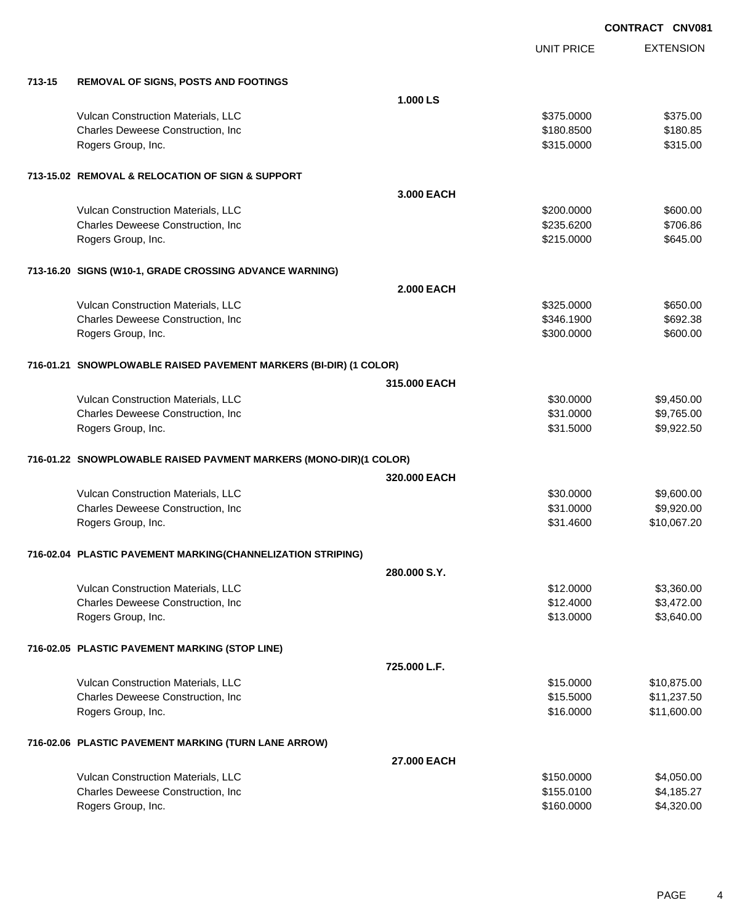|        |                                                                   |                   | <b>UNIT PRICE</b> | <b>EXTENSION</b> |
|--------|-------------------------------------------------------------------|-------------------|-------------------|------------------|
| 713-15 | <b>REMOVAL OF SIGNS, POSTS AND FOOTINGS</b>                       |                   |                   |                  |
|        |                                                                   | 1.000 LS          |                   |                  |
|        | Vulcan Construction Materials, LLC                                |                   | \$375.0000        | \$375.00         |
|        | Charles Deweese Construction, Inc                                 |                   | \$180.8500        | \$180.85         |
|        | Rogers Group, Inc.                                                |                   | \$315.0000        | \$315.00         |
|        | 713-15.02 REMOVAL & RELOCATION OF SIGN & SUPPORT                  |                   |                   |                  |
|        |                                                                   | 3.000 EACH        |                   |                  |
|        | Vulcan Construction Materials, LLC                                |                   | \$200.0000        | \$600.00         |
|        | Charles Deweese Construction, Inc                                 |                   | \$235.6200        | \$706.86         |
|        | Rogers Group, Inc.                                                |                   | \$215.0000        | \$645.00         |
|        | 713-16.20 SIGNS (W10-1, GRADE CROSSING ADVANCE WARNING)           |                   |                   |                  |
|        |                                                                   | <b>2.000 EACH</b> |                   |                  |
|        | Vulcan Construction Materials, LLC                                |                   | \$325.0000        | \$650.00         |
|        | Charles Deweese Construction, Inc                                 |                   | \$346.1900        | \$692.38         |
|        | Rogers Group, Inc.                                                |                   | \$300.0000        | \$600.00         |
|        | 716-01.21 SNOWPLOWABLE RAISED PAVEMENT MARKERS (BI-DIR) (1 COLOR) |                   |                   |                  |
|        |                                                                   | 315,000 EACH      |                   |                  |
|        | Vulcan Construction Materials, LLC                                |                   | \$30.0000         | \$9,450.00       |
|        | Charles Deweese Construction, Inc                                 |                   | \$31.0000         | \$9,765.00       |
|        | Rogers Group, Inc.                                                |                   | \$31.5000         | \$9,922.50       |
|        | 716-01.22 SNOWPLOWABLE RAISED PAVMENT MARKERS (MONO-DIR)(1 COLOR) |                   |                   |                  |
|        |                                                                   | 320,000 EACH      |                   |                  |
|        | Vulcan Construction Materials, LLC                                |                   | \$30.0000         | \$9,600.00       |
|        | Charles Deweese Construction, Inc                                 |                   | \$31.0000         | \$9,920.00       |
|        | Rogers Group, Inc.                                                |                   | \$31.4600         | \$10,067.20      |
|        | 716-02.04 PLASTIC PAVEMENT MARKING(CHANNELIZATION STRIPING)       |                   |                   |                  |
|        |                                                                   | 280,000 S.Y.      |                   |                  |
|        | Vulcan Construction Materials, LLC                                |                   | \$12.0000         | \$3,360.00       |
|        | Charles Deweese Construction, Inc                                 |                   | \$12.4000         | \$3,472.00       |
|        | Rogers Group, Inc.                                                |                   | \$13.0000         | \$3,640.00       |
|        | 716-02.05 PLASTIC PAVEMENT MARKING (STOP LINE)                    |                   |                   |                  |
|        |                                                                   | 725.000 L.F.      |                   |                  |
|        | Vulcan Construction Materials, LLC                                |                   | \$15.0000         | \$10,875.00      |
|        | Charles Deweese Construction, Inc                                 |                   | \$15.5000         | \$11,237.50      |
|        | Rogers Group, Inc.                                                |                   | \$16.0000         | \$11,600.00      |
|        | 716-02.06 PLASTIC PAVEMENT MARKING (TURN LANE ARROW)              |                   |                   |                  |
|        |                                                                   | 27,000 EACH       |                   |                  |
|        | Vulcan Construction Materials, LLC                                |                   | \$150.0000        | \$4,050.00       |
|        | Charles Deweese Construction, Inc                                 |                   | \$155.0100        | \$4,185.27       |
|        | Rogers Group, Inc.                                                |                   | \$160.0000        | \$4,320.00       |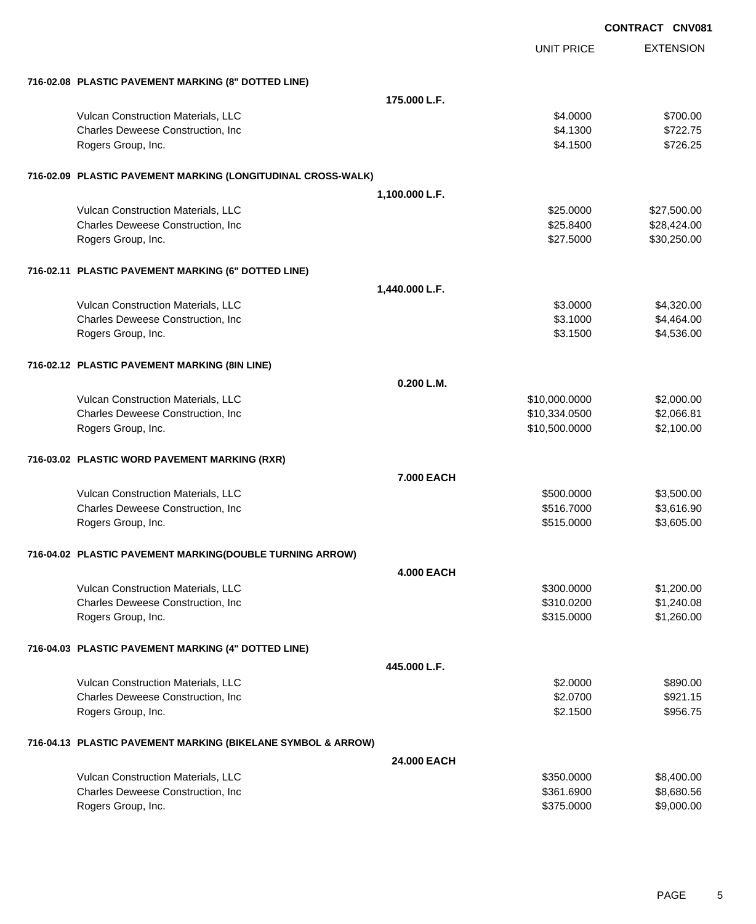|                                                              |                   |                   | <b>CONTRACT CNV081</b> |
|--------------------------------------------------------------|-------------------|-------------------|------------------------|
|                                                              |                   | <b>UNIT PRICE</b> | <b>EXTENSION</b>       |
| 716-02.08 PLASTIC PAVEMENT MARKING (8" DOTTED LINE)          |                   |                   |                        |
|                                                              | 175.000 L.F.      |                   |                        |
| Vulcan Construction Materials, LLC                           |                   | \$4.0000          | \$700.00               |
| Charles Deweese Construction, Inc                            |                   | \$4.1300          | \$722.75               |
| Rogers Group, Inc.                                           |                   | \$4.1500          | \$726.25               |
| 716-02.09 PLASTIC PAVEMENT MARKING (LONGITUDINAL CROSS-WALK) |                   |                   |                        |
|                                                              | 1,100.000 L.F.    |                   |                        |
| Vulcan Construction Materials, LLC                           |                   | \$25.0000         | \$27,500.00            |
| Charles Deweese Construction, Inc                            |                   | \$25.8400         | \$28,424.00            |
| Rogers Group, Inc.                                           |                   | \$27.5000         | \$30,250.00            |
| 716-02.11 PLASTIC PAVEMENT MARKING (6" DOTTED LINE)          |                   |                   |                        |
|                                                              | 1,440.000 L.F.    |                   |                        |
| Vulcan Construction Materials, LLC                           |                   | \$3.0000          | \$4,320.00             |
| Charles Deweese Construction, Inc                            |                   | \$3.1000          | \$4,464.00             |
| Rogers Group, Inc.                                           |                   | \$3.1500          | \$4,536.00             |
| 716-02.12 PLASTIC PAVEMENT MARKING (8IN LINE)                |                   |                   |                        |
|                                                              | 0.200 L.M.        |                   |                        |
| Vulcan Construction Materials, LLC                           |                   | \$10,000.0000     | \$2,000.00             |
| Charles Deweese Construction, Inc                            |                   | \$10,334.0500     | \$2,066.81             |
| Rogers Group, Inc.                                           |                   | \$10,500.0000     | \$2,100.00             |
| 716-03.02 PLASTIC WORD PAVEMENT MARKING (RXR)                |                   |                   |                        |
|                                                              | <b>7.000 EACH</b> |                   |                        |
| Vulcan Construction Materials, LLC                           |                   | \$500.0000        | \$3,500.00             |
| Charles Deweese Construction, Inc                            |                   | \$516.7000        | \$3,616.90             |
| Rogers Group, Inc.                                           |                   | \$515.0000        | \$3,605.00             |
| 716-04.02 PLASTIC PAVEMENT MARKING(DOUBLE TURNING ARROW)     |                   |                   |                        |
|                                                              | <b>4.000 EACH</b> |                   |                        |
| Vulcan Construction Materials, LLC                           |                   | \$300.0000        | \$1,200.00             |
| Charles Deweese Construction, Inc                            |                   | \$310.0200        | \$1,240.08             |
| Rogers Group, Inc.                                           |                   | \$315.0000        | \$1,260.00             |
| 716-04.03 PLASTIC PAVEMENT MARKING (4" DOTTED LINE)          |                   |                   |                        |
|                                                              | 445.000 L.F.      |                   |                        |
| Vulcan Construction Materials, LLC                           |                   | \$2.0000          | \$890.00               |
| Charles Deweese Construction, Inc                            |                   | \$2.0700          | \$921.15               |
| Rogers Group, Inc.                                           |                   | \$2.1500          | \$956.75               |
| 716-04.13 PLASTIC PAVEMENT MARKING (BIKELANE SYMBOL & ARROW) |                   |                   |                        |
|                                                              | 24.000 EACH       |                   |                        |
| Vulcan Construction Materials, LLC                           |                   | \$350.0000        | \$8,400.00             |
| Charles Deweese Construction, Inc                            |                   | \$361.6900        | \$8,680.56             |
| Rogers Group, Inc.                                           |                   | \$375.0000        | \$9,000.00             |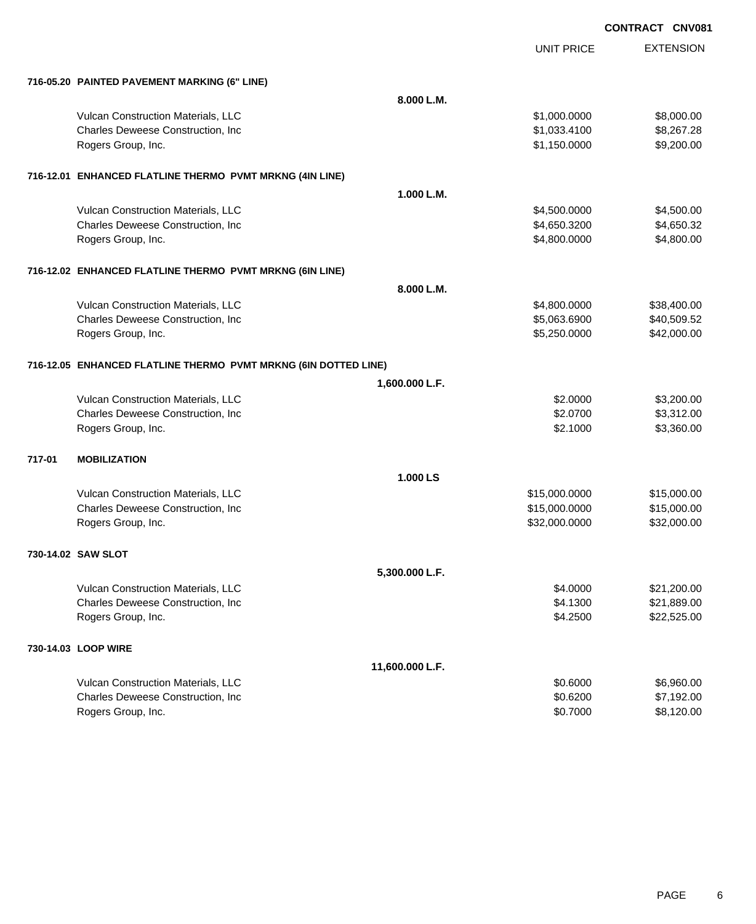|        |                                                                 |                 | <b>UNIT PRICE</b> | <b>EXTENSION</b> |
|--------|-----------------------------------------------------------------|-----------------|-------------------|------------------|
|        | 716-05.20 PAINTED PAVEMENT MARKING (6" LINE)                    |                 |                   |                  |
|        |                                                                 | 8.000 L.M.      |                   |                  |
|        | Vulcan Construction Materials, LLC                              |                 | \$1,000.0000      | \$8,000.00       |
|        | Charles Deweese Construction, Inc                               |                 | \$1,033.4100      | \$8,267.28       |
|        | Rogers Group, Inc.                                              |                 | \$1,150.0000      | \$9,200.00       |
|        | 716-12.01 ENHANCED FLATLINE THERMO PVMT MRKNG (4IN LINE)        |                 |                   |                  |
|        |                                                                 | 1.000 L.M.      |                   |                  |
|        | Vulcan Construction Materials, LLC                              |                 | \$4,500.0000      | \$4,500.00       |
|        | Charles Deweese Construction, Inc.                              |                 | \$4,650.3200      | \$4,650.32       |
|        | Rogers Group, Inc.                                              |                 | \$4,800.0000      | \$4,800.00       |
|        | 716-12.02 ENHANCED FLATLINE THERMO PVMT MRKNG (6IN LINE)        |                 |                   |                  |
|        |                                                                 | 8.000 L.M.      |                   |                  |
|        | Vulcan Construction Materials, LLC                              |                 | \$4,800.0000      | \$38,400.00      |
|        | Charles Deweese Construction, Inc.                              |                 | \$5,063.6900      | \$40,509.52      |
|        | Rogers Group, Inc.                                              |                 | \$5,250.0000      | \$42,000.00      |
|        | 716-12.05 ENHANCED FLATLINE THERMO PVMT MRKNG (6IN DOTTED LINE) |                 |                   |                  |
|        |                                                                 | 1,600.000 L.F.  |                   |                  |
|        | Vulcan Construction Materials, LLC                              |                 | \$2.0000          | \$3,200.00       |
|        | Charles Deweese Construction, Inc                               |                 | \$2.0700          | \$3,312.00       |
|        | Rogers Group, Inc.                                              |                 | \$2.1000          | \$3,360.00       |
| 717-01 | <b>MOBILIZATION</b>                                             |                 |                   |                  |
|        |                                                                 | 1.000 LS        |                   |                  |
|        | Vulcan Construction Materials, LLC                              |                 | \$15,000.0000     | \$15,000.00      |
|        | Charles Deweese Construction, Inc                               |                 | \$15,000.0000     | \$15,000.00      |
|        | Rogers Group, Inc.                                              |                 | \$32,000.0000     | \$32,000.00      |
|        | 730-14.02 SAW SLOT                                              |                 |                   |                  |
|        |                                                                 | 5,300.000 L.F.  |                   |                  |
|        | Vulcan Construction Materials, LLC                              |                 | \$4.0000          | \$21,200.00      |
|        | Charles Deweese Construction, Inc.                              |                 | \$4.1300          | \$21,889.00      |
|        | Rogers Group, Inc.                                              |                 | \$4.2500          | \$22,525.00      |
|        | 730-14.03 LOOP WIRE                                             |                 |                   |                  |
|        |                                                                 | 11,600.000 L.F. |                   |                  |
|        | Vulcan Construction Materials, LLC                              |                 | \$0.6000          | \$6,960.00       |
|        | Charles Deweese Construction, Inc                               |                 | \$0.6200          | \$7,192.00       |
|        | Rogers Group, Inc.                                              |                 | \$0.7000          | \$8,120.00       |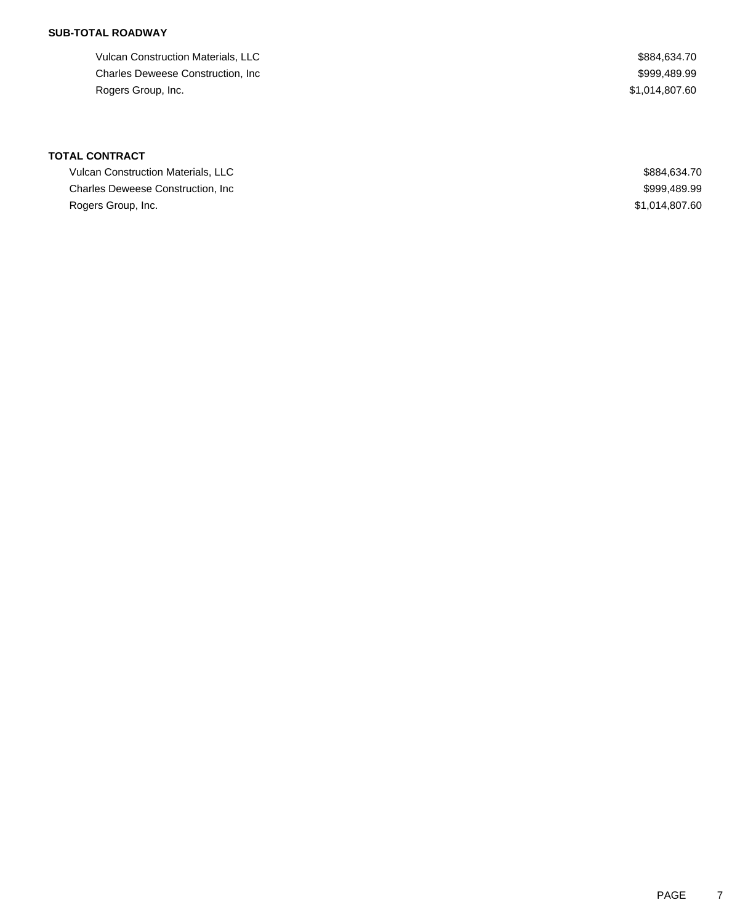# **SUB-TOTAL ROADWAY**

Vulcan Construction Materials, LLC  $$884,634.70$ Charles Deweese Construction, Inc **Example 2018** 2019 12:30 12:31 12:32 13:33 14:3999,489.99 Rogers Group, Inc. \$1,014,807.60

# **TOTAL CONTRACT**

| Vulcan Construction Materials, LLC | \$884.634.70   |
|------------------------------------|----------------|
| Charles Deweese Construction, Inc. | \$999,489.99   |
| Rogers Group, Inc.                 | \$1,014,807.60 |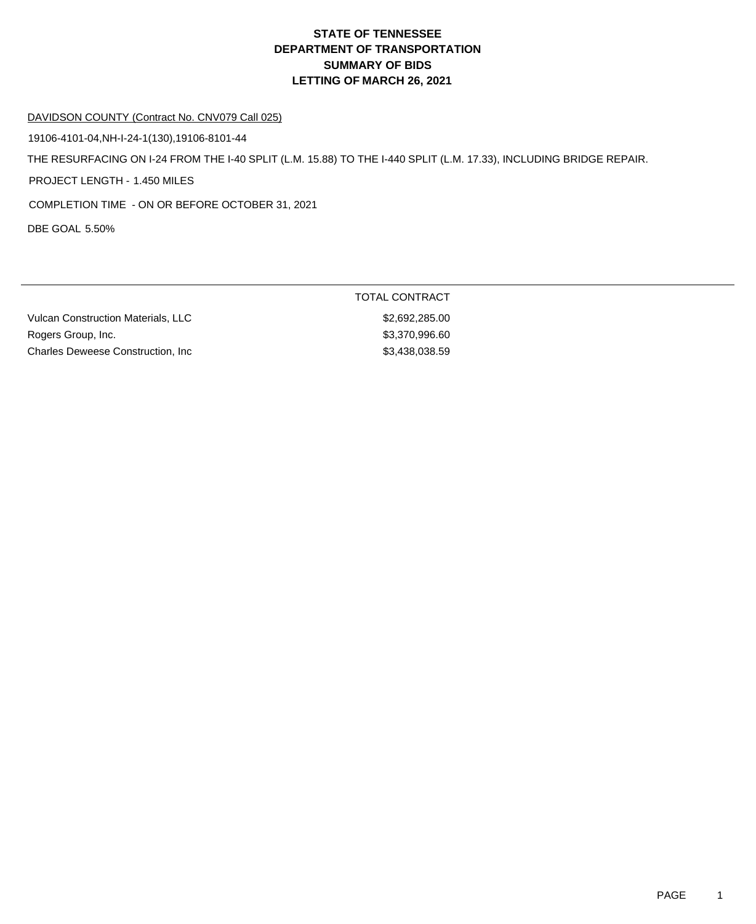# **DEPARTMENT OF TRANSPORTATION SUMMARY OF BIDS LETTING OF MARCH 26, 2021 STATE OF TENNESSEE**

#### DAVIDSON COUNTY (Contract No. CNV079 Call 025)

19106-4101-04,NH-I-24-1(130),19106-8101-44

THE RESURFACING ON I-24 FROM THE I-40 SPLIT (L.M. 15.88) TO THE I-440 SPLIT (L.M. 17.33), INCLUDING BRIDGE REPAIR.

PROJECT LENGTH - 1.450 MILES

COMPLETION TIME - ON OR BEFORE OCTOBER 31, 2021

DBE GOAL 5.50%

Vulcan Construction Materials, LLC \$2,692,285.00 Rogers Group, Inc. 600 and the state of the state of the state of the state of the state of the state of the state of the state of the state of the state of the state of the state of the state of the state of the state of Charles Deweese Construction, Inc 6.6 and 53,438,038.59

TOTAL CONTRACT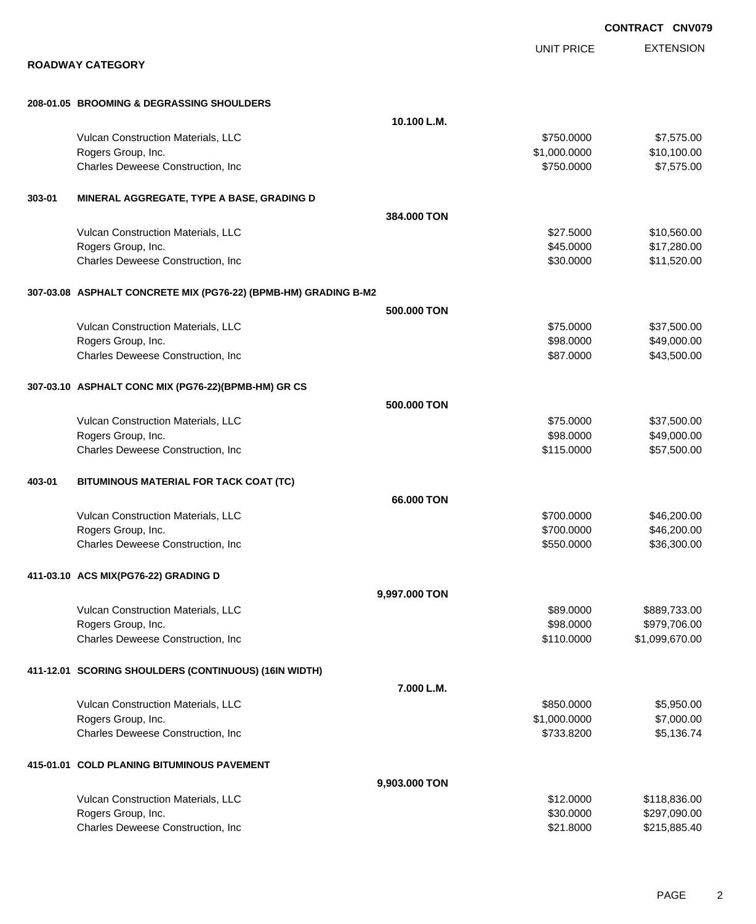|        |                                                                 |               |                   | <b>CONTRACT CNV079</b> |
|--------|-----------------------------------------------------------------|---------------|-------------------|------------------------|
|        |                                                                 |               | <b>UNIT PRICE</b> | <b>EXTENSION</b>       |
|        | <b>ROADWAY CATEGORY</b>                                         |               |                   |                        |
|        | 208-01.05 BROOMING & DEGRASSING SHOULDERS                       |               |                   |                        |
|        |                                                                 | 10.100 L.M.   |                   |                        |
|        | Vulcan Construction Materials, LLC                              |               | \$750.0000        | \$7,575.00             |
|        | Rogers Group, Inc.                                              |               | \$1,000.0000      | \$10,100.00            |
|        | Charles Deweese Construction, Inc                               |               | \$750.0000        | \$7,575.00             |
| 303-01 | MINERAL AGGREGATE, TYPE A BASE, GRADING D                       |               |                   |                        |
|        |                                                                 | 384,000 TON   |                   |                        |
|        | Vulcan Construction Materials, LLC                              |               | \$27.5000         | \$10,560.00            |
|        | Rogers Group, Inc.                                              |               | \$45.0000         | \$17,280.00            |
|        | Charles Deweese Construction, Inc                               |               | \$30.0000         | \$11,520.00            |
|        | 307-03.08 ASPHALT CONCRETE MIX (PG76-22) (BPMB-HM) GRADING B-M2 |               |                   |                        |
|        |                                                                 | 500,000 TON   |                   |                        |
|        | Vulcan Construction Materials, LLC                              |               | \$75.0000         | \$37,500.00            |
|        | Rogers Group, Inc.                                              |               | \$98.0000         | \$49,000.00            |
|        | Charles Deweese Construction, Inc                               |               | \$87.0000         | \$43,500.00            |
|        | 307-03.10 ASPHALT CONC MIX (PG76-22)(BPMB-HM) GR CS             |               |                   |                        |
|        |                                                                 | 500,000 TON   |                   |                        |
|        | Vulcan Construction Materials, LLC                              |               | \$75,0000         | \$37,500.00            |
|        | Rogers Group, Inc.                                              |               | \$98.0000         | \$49,000.00            |
|        | Charles Deweese Construction, Inc                               |               | \$115.0000        | \$57,500.00            |
| 403-01 | BITUMINOUS MATERIAL FOR TACK COAT (TC)                          |               |                   |                        |
|        |                                                                 | 66.000 TON    |                   |                        |
|        | Vulcan Construction Materials, LLC                              |               | \$700,0000        | \$46,200.00            |
|        | Rogers Group, Inc.                                              |               | \$700.0000        | \$46,200.00            |
|        | Charles Deweese Construction, Inc                               |               | \$550.0000        | \$36,300.00            |
|        | 411-03.10 ACS MIX(PG76-22) GRADING D                            |               |                   |                        |
|        |                                                                 | 9,997.000 TON |                   |                        |
|        | Vulcan Construction Materials, LLC                              |               | \$89.0000         | \$889,733.00           |
|        | Rogers Group, Inc.                                              |               | \$98.0000         | \$979,706.00           |
|        | Charles Deweese Construction, Inc                               |               | \$110.0000        | \$1,099,670.00         |
|        | 411-12.01 SCORING SHOULDERS (CONTINUOUS) (16IN WIDTH)           |               |                   |                        |
|        |                                                                 | 7.000 L.M.    |                   |                        |
|        | Vulcan Construction Materials, LLC                              |               | \$850.0000        | \$5,950.00             |
|        | Rogers Group, Inc.                                              |               | \$1,000.0000      | \$7,000.00             |
|        | Charles Deweese Construction, Inc                               |               | \$733.8200        | \$5,136.74             |
|        | 415-01.01 COLD PLANING BITUMINOUS PAVEMENT                      |               |                   |                        |
|        |                                                                 | 9,903.000 TON |                   |                        |
|        | Vulcan Construction Materials, LLC                              |               | \$12.0000         | \$118,836.00           |
|        | Rogers Group, Inc.                                              |               | \$30.0000         | \$297,090.00           |

Charles Deweese Construction, Inc **but a set of the set of the set of the set of the set of the set of the set of the set of the set of the set of the set of the set of the set of the set of the set of the set of the set o**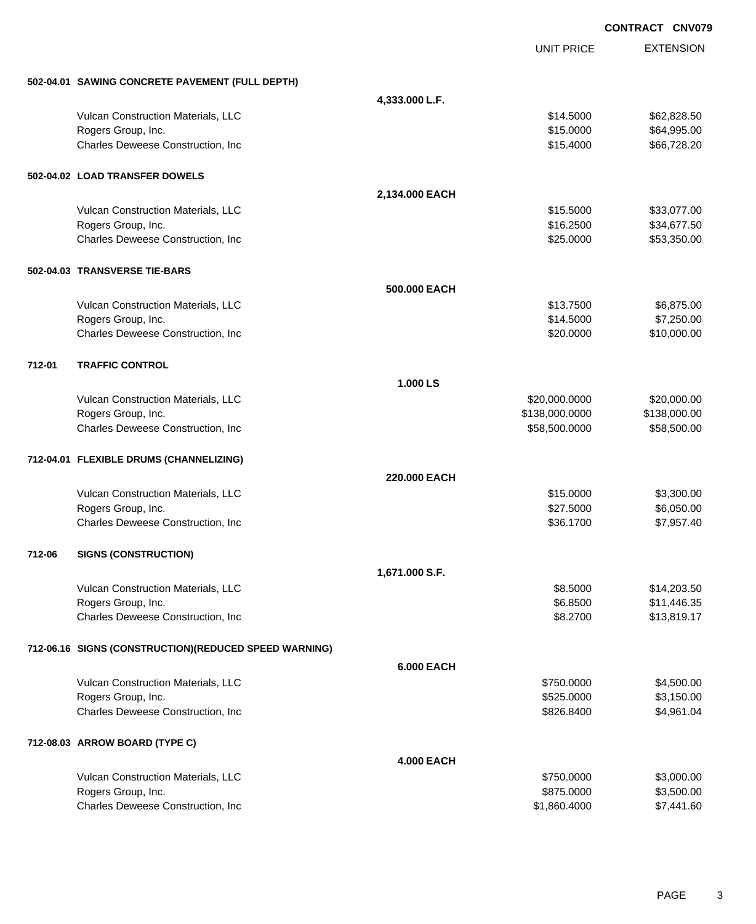EXTENSION **CONTRACT CNV079** UNIT PRICE **502-04.01 SAWING CONCRETE PAVEMENT (FULL DEPTH) 4,333.000 L.F.** Vulcan Construction Materials, LLC \$14.5000 \$62,828.50 Rogers Group, Inc. \$15.0000 \$64,995.00 Charles Deweese Construction, Inc **Charles Deweese Construction, Inc** 666,728.20 **502-04.02 LOAD TRANSFER DOWELS 2,134.000 EACH** Vulcan Construction Materials, LLC \$15.5000 \$33,077.00 Rogers Group, Inc. \$16.2500 \$34,677.50 Charles Deweese Construction, Inc **Charles Deweese Construction, Inc** 653,350.00 **502-04.03 TRANSVERSE TIE-BARS 500.000 EACH** Vulcan Construction Materials, LLC 6.875.00 \$6,875.00 \$6,875.00 Rogers Group, Inc. \$14.5000 \$7,250.00 Charles Deweese Construction, Inc **Charles Deweese Construction, Inc** 6520.000 \$10,000.00 **712-01 TRAFFIC CONTROL 1.000 LS** Vulcan Construction Materials, LLC 6000000 \$20,000.000 \$20,000.000 \$20,000.000 \$20,000.000 \$20,000.00 Rogers Group, Inc. \$138,000.000 \$138,000.000 \$138,000.000 \$138,000.000 \$138,000.000 \$138,000.00 Charles Deweese Construction, Inc **Charles Deweese Construction, Inc** 658,500.000 \$58,500.000 \$58,500.00 **712-04.01 FLEXIBLE DRUMS (CHANNELIZING) 220.000 EACH** Vulcan Construction Materials, LLC 6000 \$3,300.00 Rogers Group, Inc. \$27.5000 \$6,050.00 Charles Deweese Construction, Inc **6.2.1700** \$36.1700 \$7,957.40 **712-06 SIGNS (CONSTRUCTION) 1,671.000 S.F.** Vulcan Construction Materials, LLC 61 and the state of the state of the state of the state of the state of the state of the state of the state of the state of the state of the state of the state of the state of the state o Rogers Group, Inc. \$11,446.35 Charles Deweese Construction, Inc **6.2700** \$13,819.17 **712-06.16 SIGNS (CONSTRUCTION)(REDUCED SPEED WARNING) 6.000 EACH** Vulcan Construction Materials, LLC 60000 \$4,500.00 \$4,500.00 Rogers Group, Inc. \$525.0000 \$3,150.00 Charles Deweese Construction, Inc **Charles Deweese Construction, Inc** 6526.8400 \$4,961.04 **712-08.03 ARROW BOARD (TYPE C) 4.000 EACH** Vulcan Construction Materials, LLC 60000 \$3,000.00 \$3,000.00 Rogers Group, Inc. \$875.0000 \$3,500.00

Charles Deweese Construction, Inc **Charles Deweese Construction, Inc** 6000 \$7,441.60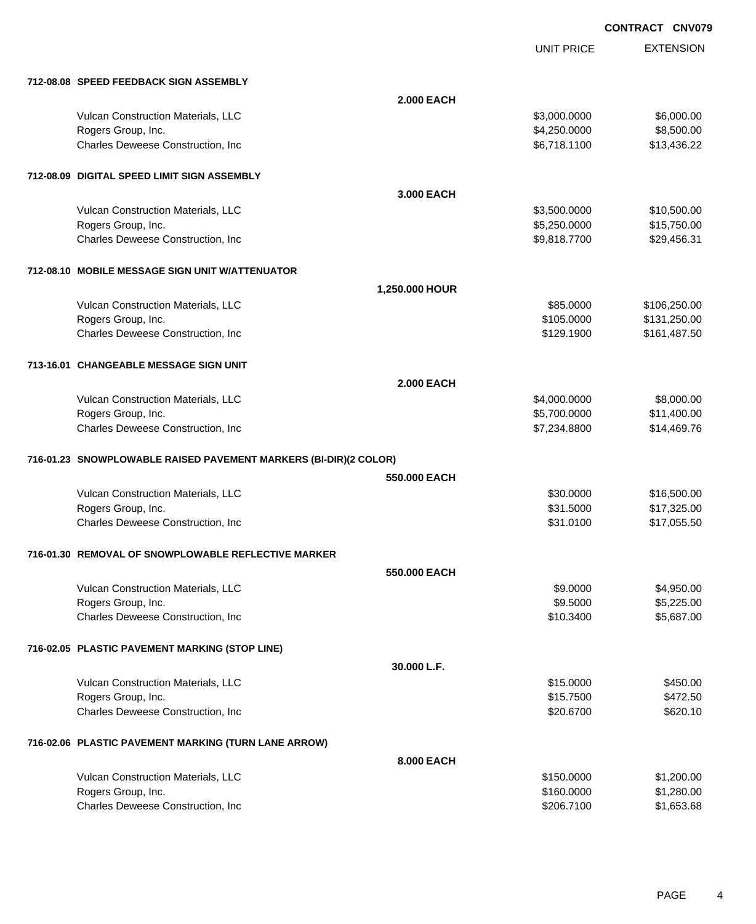UNIT PRICE EXTENSION

| 712-08.08 SPEED FEEDBACK SIGN ASSEMBLY                           |                   |              |              |
|------------------------------------------------------------------|-------------------|--------------|--------------|
|                                                                  | <b>2.000 EACH</b> |              |              |
| Vulcan Construction Materials, LLC                               |                   | \$3,000.0000 | \$6,000.00   |
| Rogers Group, Inc.                                               |                   | \$4,250.0000 | \$8,500.00   |
| Charles Deweese Construction, Inc.                               |                   | \$6,718.1100 | \$13,436.22  |
| 712-08.09 DIGITAL SPEED LIMIT SIGN ASSEMBLY                      |                   |              |              |
|                                                                  | 3.000 EACH        |              |              |
| Vulcan Construction Materials, LLC                               |                   | \$3,500.0000 | \$10,500.00  |
| Rogers Group, Inc.                                               |                   | \$5,250.0000 | \$15,750.00  |
| Charles Deweese Construction, Inc.                               |                   | \$9,818.7700 | \$29,456.31  |
| 712-08.10 MOBILE MESSAGE SIGN UNIT W/ATTENUATOR                  |                   |              |              |
|                                                                  | 1,250.000 HOUR    |              |              |
| Vulcan Construction Materials, LLC                               |                   | \$85,0000    | \$106,250.00 |
| Rogers Group, Inc.                                               |                   | \$105.0000   | \$131,250.00 |
| Charles Deweese Construction, Inc.                               |                   | \$129.1900   | \$161,487.50 |
| 713-16.01 CHANGEABLE MESSAGE SIGN UNIT                           |                   |              |              |
|                                                                  | <b>2.000 EACH</b> |              |              |
| Vulcan Construction Materials, LLC                               |                   | \$4,000.0000 | \$8,000.00   |
| Rogers Group, Inc.                                               |                   | \$5,700.0000 | \$11,400.00  |
| Charles Deweese Construction, Inc                                |                   | \$7,234.8800 | \$14,469.76  |
| 716-01.23 SNOWPLOWABLE RAISED PAVEMENT MARKERS (BI-DIR)(2 COLOR) |                   |              |              |
|                                                                  | 550,000 EACH      |              |              |
| Vulcan Construction Materials, LLC                               |                   | \$30.0000    | \$16,500.00  |
| Rogers Group, Inc.                                               |                   | \$31.5000    | \$17,325.00  |
| Charles Deweese Construction, Inc                                |                   | \$31.0100    | \$17,055.50  |
| 716-01.30 REMOVAL OF SNOWPLOWABLE REFLECTIVE MARKER              |                   |              |              |
|                                                                  | 550,000 EACH      |              |              |
| Vulcan Construction Materials, LLC                               |                   | \$9.0000     | \$4,950.00   |
| Rogers Group, Inc.                                               |                   | \$9.5000     | \$5,225.00   |
| Charles Deweese Construction, Inc                                |                   | \$10.3400    | \$5,687.00   |
| 716-02.05 PLASTIC PAVEMENT MARKING (STOP LINE)                   |                   |              |              |
|                                                                  | 30.000 L.F.       |              |              |
| Vulcan Construction Materials, LLC                               |                   | \$15.0000    | \$450.00     |
| Rogers Group, Inc.                                               |                   | \$15.7500    | \$472.50     |
| Charles Deweese Construction, Inc.                               |                   | \$20.6700    | \$620.10     |
| 716-02.06 PLASTIC PAVEMENT MARKING (TURN LANE ARROW)             |                   |              |              |
|                                                                  | 8.000 EACH        |              |              |
| Vulcan Construction Materials, LLC                               |                   | \$150.0000   | \$1,200.00   |
| Rogers Group, Inc.                                               |                   | \$160.0000   | \$1,280.00   |
| Charles Deweese Construction, Inc                                |                   | \$206.7100   | \$1,653.68   |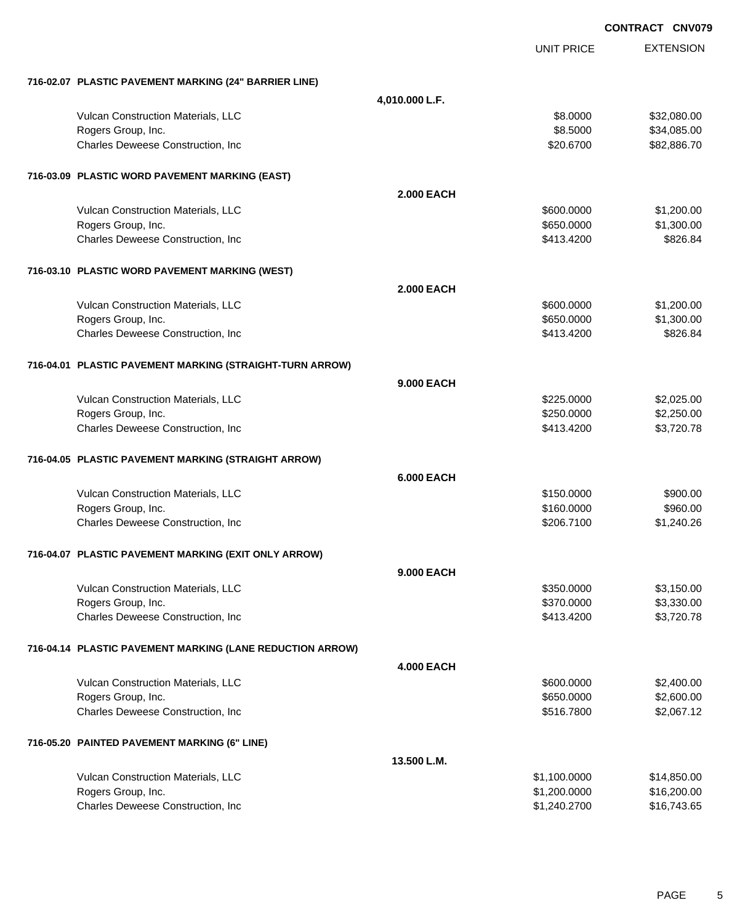|                                                           |                   |                   | <b>CONTRACT CNV079</b> |
|-----------------------------------------------------------|-------------------|-------------------|------------------------|
|                                                           |                   | <b>UNIT PRICE</b> | <b>EXTENSION</b>       |
| 716-02.07 PLASTIC PAVEMENT MARKING (24" BARRIER LINE)     |                   |                   |                        |
|                                                           | 4,010.000 L.F.    |                   |                        |
| Vulcan Construction Materials, LLC                        |                   | \$8.0000          | \$32,080.00            |
| Rogers Group, Inc.                                        |                   | \$8.5000          | \$34,085.00            |
| Charles Deweese Construction, Inc                         |                   | \$20.6700         | \$82,886.70            |
| 716-03.09 PLASTIC WORD PAVEMENT MARKING (EAST)            |                   |                   |                        |
|                                                           | <b>2.000 EACH</b> |                   |                        |
| Vulcan Construction Materials, LLC                        |                   | \$600.0000        | \$1,200.00             |
| Rogers Group, Inc.                                        |                   | \$650.0000        | \$1,300.00             |
| Charles Deweese Construction, Inc.                        |                   | \$413.4200        | \$826.84               |
| 716-03.10 PLASTIC WORD PAVEMENT MARKING (WEST)            |                   |                   |                        |
|                                                           | <b>2.000 EACH</b> |                   |                        |
| Vulcan Construction Materials, LLC                        |                   | \$600.0000        | \$1,200.00             |
| Rogers Group, Inc.                                        |                   | \$650.0000        | \$1,300.00             |
| Charles Deweese Construction, Inc.                        |                   | \$413.4200        | \$826.84               |
| 716-04.01 PLASTIC PAVEMENT MARKING (STRAIGHT-TURN ARROW)  |                   |                   |                        |
|                                                           | <b>9.000 EACH</b> |                   |                        |
| Vulcan Construction Materials, LLC                        |                   | \$225.0000        | \$2,025.00             |
| Rogers Group, Inc.                                        |                   | \$250.0000        | \$2,250.00             |
| Charles Deweese Construction, Inc.                        |                   | \$413.4200        | \$3,720.78             |
| 716-04.05 PLASTIC PAVEMENT MARKING (STRAIGHT ARROW)       |                   |                   |                        |
|                                                           | <b>6.000 EACH</b> |                   |                        |
| Vulcan Construction Materials, LLC                        |                   | \$150.0000        | \$900.00               |
| Rogers Group, Inc.                                        |                   | \$160.0000        | \$960.00               |
| Charles Deweese Construction, Inc                         |                   | \$206.7100        | \$1,240.26             |
| 716-04.07 PLASTIC PAVEMENT MARKING (EXIT ONLY ARROW)      |                   |                   |                        |
|                                                           | 9.000 EACH        |                   |                        |
| Vulcan Construction Materials, LLC                        |                   | \$350.0000        | \$3,150.00             |
| Rogers Group, Inc.                                        |                   | \$370.0000        | \$3,330.00             |
| Charles Deweese Construction, Inc                         |                   | \$413.4200        | \$3,720.78             |
| 716-04.14 PLASTIC PAVEMENT MARKING (LANE REDUCTION ARROW) |                   |                   |                        |
|                                                           | <b>4.000 EACH</b> |                   |                        |
| Vulcan Construction Materials, LLC                        |                   | \$600.0000        | \$2,400.00             |
| Rogers Group, Inc.                                        |                   | \$650.0000        | \$2,600.00             |
| Charles Deweese Construction, Inc.                        |                   | \$516.7800        | \$2,067.12             |
| 716-05.20 PAINTED PAVEMENT MARKING (6" LINE)              |                   |                   |                        |
|                                                           | 13.500 L.M.       |                   |                        |
| Vulcan Construction Materials, LLC                        |                   | \$1,100.0000      | \$14,850.00            |
| Rogers Group, Inc.                                        |                   | \$1,200.0000      | \$16,200.00            |
| Charles Deweese Construction, Inc                         |                   | \$1,240.2700      | \$16,743.65            |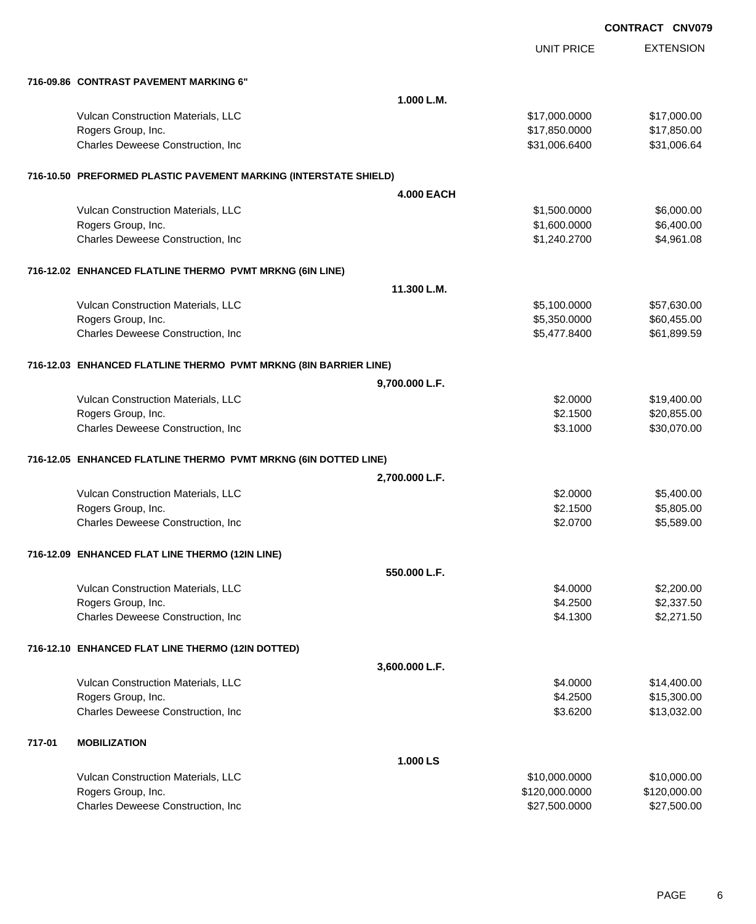|        |                                                                  |                   | <b>UNIT PRICE</b> | <b>EXTENSION</b> |
|--------|------------------------------------------------------------------|-------------------|-------------------|------------------|
|        | 716-09.86 CONTRAST PAVEMENT MARKING 6"                           |                   |                   |                  |
|        |                                                                  | 1.000 L.M.        |                   |                  |
|        | Vulcan Construction Materials, LLC                               |                   | \$17,000.0000     | \$17,000.00      |
|        | Rogers Group, Inc.                                               |                   | \$17,850.0000     | \$17,850.00      |
|        | Charles Deweese Construction, Inc                                |                   | \$31,006.6400     | \$31,006.64      |
|        | 716-10.50 PREFORMED PLASTIC PAVEMENT MARKING (INTERSTATE SHIELD) |                   |                   |                  |
|        |                                                                  | <b>4.000 EACH</b> |                   |                  |
|        | Vulcan Construction Materials, LLC                               |                   | \$1,500.0000      | \$6,000.00       |
|        | Rogers Group, Inc.                                               |                   | \$1,600.0000      | \$6,400.00       |
|        | Charles Deweese Construction, Inc                                |                   | \$1,240.2700      | \$4,961.08       |
|        | 716-12.02 ENHANCED FLATLINE THERMO PVMT MRKNG (6IN LINE)         |                   |                   |                  |
|        |                                                                  | 11.300 L.M.       |                   |                  |
|        | Vulcan Construction Materials, LLC                               |                   | \$5,100.0000      | \$57,630.00      |
|        | Rogers Group, Inc.                                               |                   | \$5,350.0000      | \$60,455.00      |
|        | Charles Deweese Construction, Inc                                |                   | \$5,477.8400      | \$61,899.59      |
|        | 716-12.03 ENHANCED FLATLINE THERMO PVMT MRKNG (8IN BARRIER LINE) |                   |                   |                  |
|        |                                                                  | 9,700.000 L.F.    |                   |                  |
|        | Vulcan Construction Materials, LLC                               |                   | \$2.0000          | \$19,400.00      |
|        | Rogers Group, Inc.                                               |                   | \$2.1500          | \$20,855.00      |
|        | Charles Deweese Construction, Inc                                |                   | \$3.1000          | \$30,070.00      |
|        | 716-12.05 ENHANCED FLATLINE THERMO PVMT MRKNG (6IN DOTTED LINE)  |                   |                   |                  |
|        |                                                                  | 2,700.000 L.F.    |                   |                  |
|        | Vulcan Construction Materials, LLC                               |                   | \$2.0000          | \$5,400.00       |
|        | Rogers Group, Inc.                                               |                   | \$2.1500          | \$5,805.00       |
|        | Charles Deweese Construction, Inc                                |                   | \$2.0700          | \$5,589.00       |
|        | 716-12.09 ENHANCED FLAT LINE THERMO (12IN LINE)                  |                   |                   |                  |
|        |                                                                  | 550.000 L.F.      |                   |                  |
|        | Vulcan Construction Materials, LLC                               |                   | \$4.0000          | \$2,200.00       |
|        | Rogers Group, Inc.                                               |                   | \$4.2500          | \$2,337.50       |
|        | Charles Deweese Construction, Inc                                |                   | \$4.1300          | \$2,271.50       |
|        | 716-12.10 ENHANCED FLAT LINE THERMO (12IN DOTTED)                |                   |                   |                  |
|        |                                                                  | 3,600.000 L.F.    |                   |                  |
|        | Vulcan Construction Materials, LLC                               |                   | \$4.0000          | \$14,400.00      |
|        | Rogers Group, Inc.                                               |                   | \$4.2500          | \$15,300.00      |
|        | Charles Deweese Construction, Inc                                |                   | \$3.6200          | \$13,032.00      |
| 717-01 | <b>MOBILIZATION</b>                                              |                   |                   |                  |
|        |                                                                  | 1.000 LS          |                   |                  |
|        | Vulcan Construction Materials, LLC                               |                   | \$10,000.0000     | \$10,000.00      |
|        | Rogers Group, Inc.                                               |                   | \$120,000.0000    | \$120,000.00     |
|        | Charles Deweese Construction, Inc                                |                   | \$27,500.0000     | \$27,500.00      |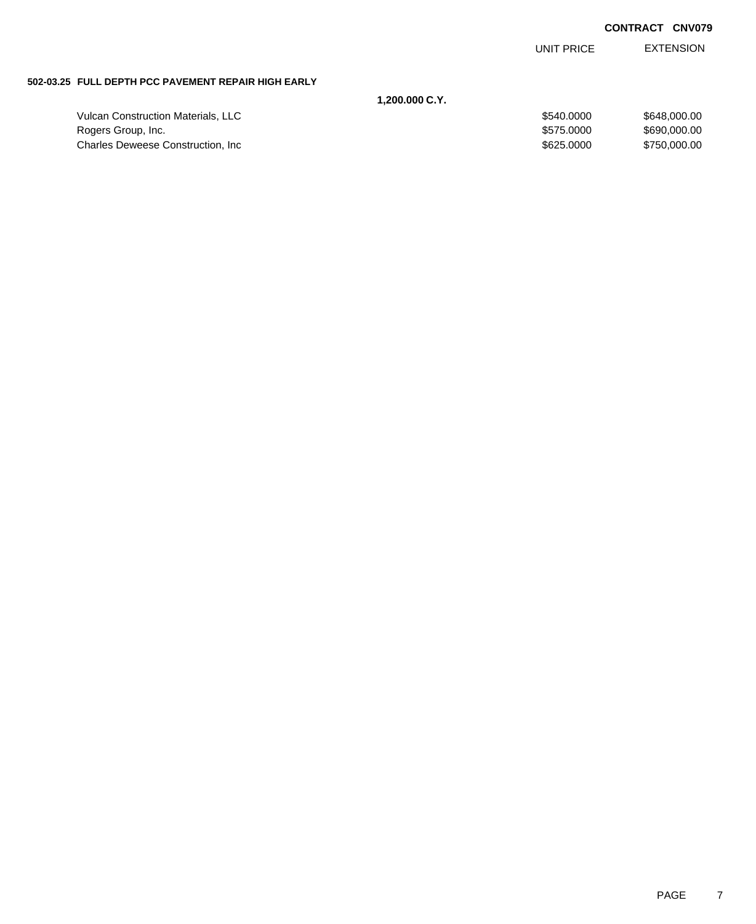UNIT PRICE EXTENSION

### **502-03.25 FULL DEPTH PCC PAVEMENT REPAIR HIGH EARLY**

|                                           | 1.200.000 C.Y. |              |
|-------------------------------------------|----------------|--------------|
| <b>Vulcan Construction Materials, LLC</b> | \$540,0000     | \$648,000,00 |
| Rogers Group, Inc.                        | \$575,0000     | \$690,000,00 |
| <b>Charles Deweese Construction, Inc.</b> | \$625,0000     | \$750.000.00 |
|                                           |                |              |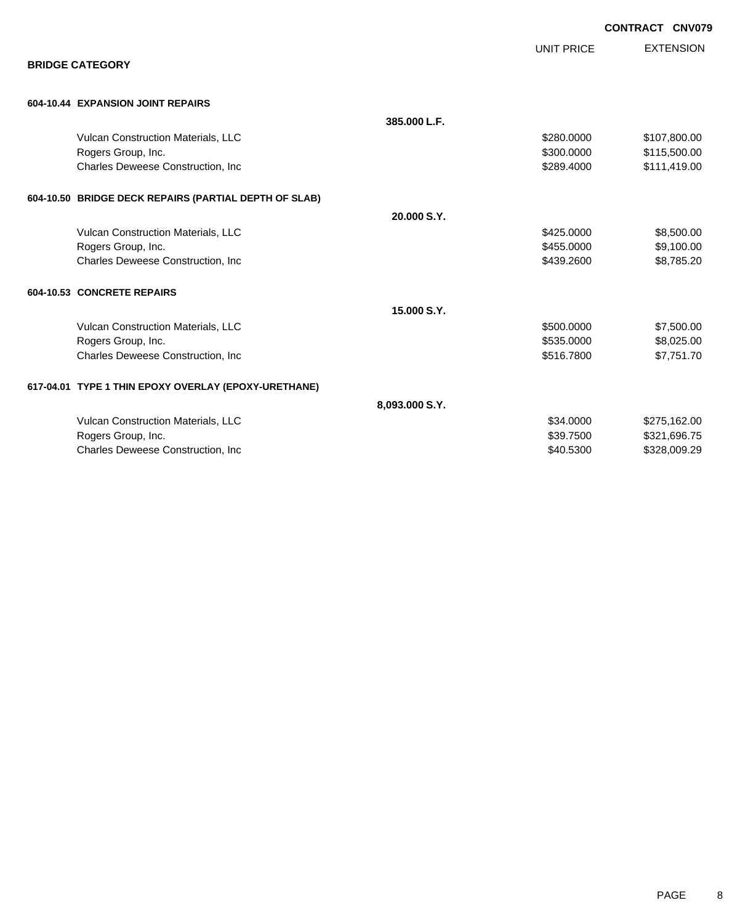**EXTENSION CONTRACT CNV079** UNIT PRICE **BRIDGE CATEGORY 604-10.44 EXPANSION JOINT REPAIRS 385.000 L.F.** Vulcan Construction Materials, LLC 60000 \$107,800.00 Rogers Group, Inc. 6. 2012. The State of the State of the State of the State of State of State of State of State of State of State of State of State of State of State of State of State of State of State of State of State o Charles Deweese Construction, Inc **Charles Deweese Construction, Inc** 65111,419.00 **604-10.50 BRIDGE DECK REPAIRS (PARTIAL DEPTH OF SLAB) 20.000 S.Y.** Vulcan Construction Materials, LLC 6000 \$8,500.00 \$8,500.00 \$8,500.00 Rogers Group, Inc. \$455.0000 \$9,100.00 Charles Deweese Construction, Inc **Charles Deweese Construction, Inc** 658,785.20 **604-10.53 CONCRETE REPAIRS 15.000 S.Y.** Vulcan Construction Materials, LLC 60000 \$7,500.000 \$7,500.000 \$7,500.000 \$7,500.00 Rogers Group, Inc. \$535.0000 \$8,025.00 Charles Deweese Construction, Inc **Charles Deweese Construction, Inc** 6516.7800 \$7,751.70 **617-04.01 TYPE 1 THIN EPOXY OVERLAY (EPOXY-URETHANE) 8,093.000 S.Y.** Vulcan Construction Materials, LLC 60000 \$275,162.00 Rogers Group, Inc. \$321,696.75 Charles Deweese Construction, Inc **Charles Deweese Construction, Inc** 6500 \$328,009.29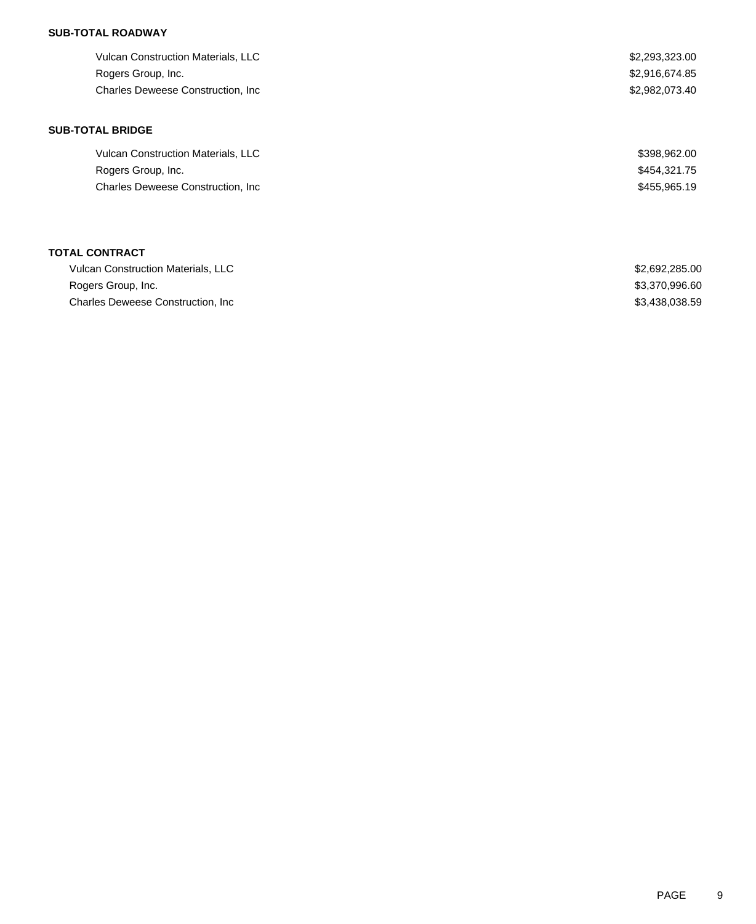# **SUB-TOTAL ROADWAY**

| \$2,293,323.00 |
|----------------|
| \$2,916,674.85 |
| \$2,982,073.40 |
|                |

## **SUB-TOTAL BRIDGE**

| <b>Vulcan Construction Materials, LLC</b> | \$398,962.00 |
|-------------------------------------------|--------------|
| Rogers Group, Inc.                        | \$454,321.75 |
| <b>Charles Deweese Construction, Inc.</b> | \$455,965.19 |

# **TOTAL CONTRACT**

| <b>Vulcan Construction Materials, LLC</b> | \$2,692,285.00 |
|-------------------------------------------|----------------|
| Rogers Group, Inc.                        | \$3,370,996.60 |
| Charles Deweese Construction, Inc.        | \$3,438,038.59 |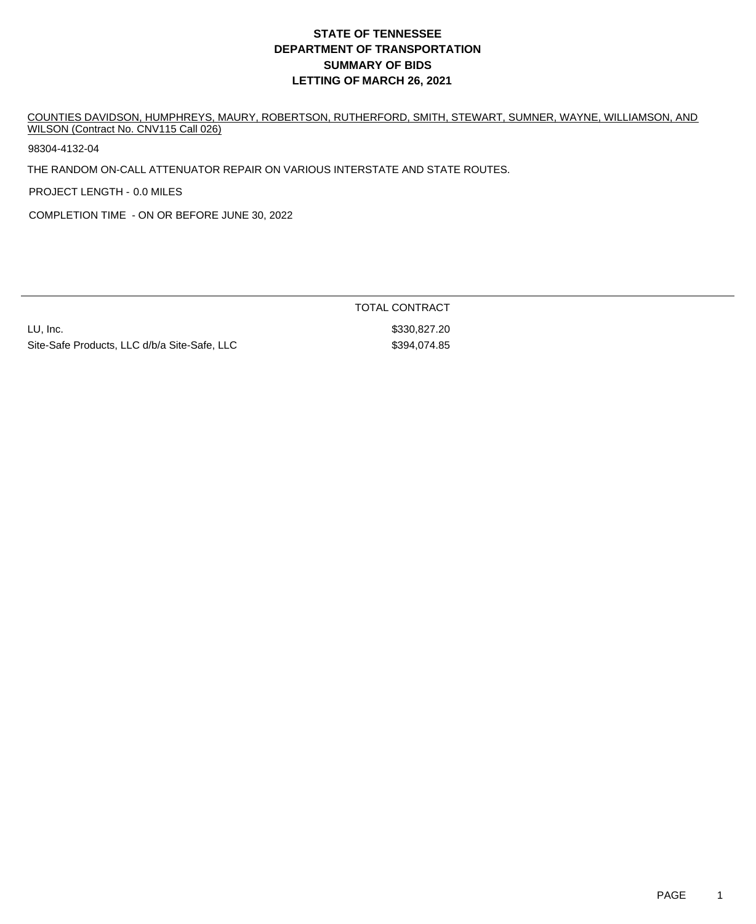# **DEPARTMENT OF TRANSPORTATION SUMMARY OF BIDS LETTING OF MARCH 26, 2021 STATE OF TENNESSEE**

COUNTIES DAVIDSON, HUMPHREYS, MAURY, ROBERTSON, RUTHERFORD, SMITH, STEWART, SUMNER, WAYNE, WILLIAMSON, AND WILSON (Contract No. CNV115 Call 026)

98304-4132-04

THE RANDOM ON-CALL ATTENUATOR REPAIR ON VARIOUS INTERSTATE AND STATE ROUTES.

PROJECT LENGTH - 0.0 MILES

COMPLETION TIME - ON OR BEFORE JUNE 30, 2022

LU, Inc. \$330,827.20 Site-Safe Products, LLC d/b/a Site-Safe, LLC  $$394,074.85$ 

TOTAL CONTRACT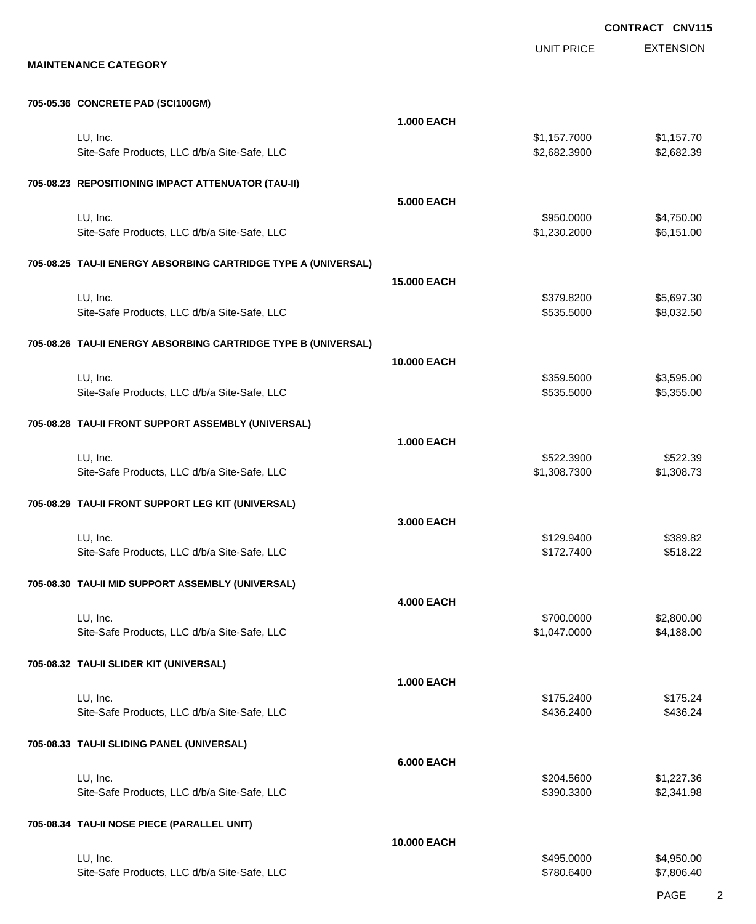UNIT PRICE

EXTENSION

#### **705-05.36 CONCRETE PAD (SCI100GM)**

| <b>100-00.00 CONCRETE FAD (OCTIONSINI)</b>                     |                    |                              |                          |
|----------------------------------------------------------------|--------------------|------------------------------|--------------------------|
|                                                                | <b>1.000 EACH</b>  |                              |                          |
| LU, Inc.<br>Site-Safe Products, LLC d/b/a Site-Safe, LLC       |                    | \$1,157.7000<br>\$2,682.3900 | \$1,157.70<br>\$2,682.39 |
| 705-08.23 REPOSITIONING IMPACT ATTENUATOR (TAU-II)             |                    |                              |                          |
|                                                                | <b>5.000 EACH</b>  |                              |                          |
| LU, Inc.<br>Site-Safe Products, LLC d/b/a Site-Safe, LLC       |                    | \$950.0000<br>\$1,230.2000   | \$4,750.00<br>\$6,151.00 |
| 705-08.25 TAU-II ENERGY ABSORBING CARTRIDGE TYPE A (UNIVERSAL) |                    |                              |                          |
|                                                                | <b>15,000 EACH</b> |                              |                          |
| LU, Inc.                                                       |                    | \$379.8200                   | \$5,697.30               |
| Site-Safe Products, LLC d/b/a Site-Safe, LLC                   |                    | \$535.5000                   | \$8,032.50               |
| 705-08.26 TAU-II ENERGY ABSORBING CARTRIDGE TYPE B (UNIVERSAL) |                    |                              |                          |
|                                                                | 10.000 EACH        |                              |                          |
| LU, Inc.                                                       |                    | \$359.5000                   | \$3,595.00               |
| Site-Safe Products, LLC d/b/a Site-Safe, LLC                   |                    | \$535.5000                   | \$5,355.00               |
| 705-08.28 TAU-II FRONT SUPPORT ASSEMBLY (UNIVERSAL)            |                    |                              |                          |
|                                                                | <b>1.000 EACH</b>  |                              |                          |
| LU, Inc.                                                       |                    | \$522.3900                   | \$522.39                 |
| Site-Safe Products, LLC d/b/a Site-Safe, LLC                   |                    | \$1,308.7300                 | \$1,308.73               |
| 705-08.29 TAU-II FRONT SUPPORT LEG KIT (UNIVERSAL)             |                    |                              |                          |
|                                                                | 3.000 EACH         |                              |                          |
| LU, Inc.                                                       |                    | \$129.9400                   | \$389.82                 |
| Site-Safe Products, LLC d/b/a Site-Safe, LLC                   |                    | \$172.7400                   | \$518.22                 |
| 705-08.30 TAU-II MID SUPPORT ASSEMBLY (UNIVERSAL)              |                    |                              |                          |
|                                                                | <b>4.000 EACH</b>  |                              |                          |
| LU, Inc.                                                       |                    | \$700.0000                   | \$2,800.00               |
| Site-Safe Products, LLC d/b/a Site-Safe, LLC                   |                    | \$1,047.0000                 | \$4,188.00               |
| 705-08.32 TAU-II SLIDER KIT (UNIVERSAL)                        |                    |                              |                          |
|                                                                | <b>1.000 EACH</b>  |                              |                          |
| LU, Inc.                                                       |                    | \$175.2400                   | \$175.24                 |
| Site-Safe Products, LLC d/b/a Site-Safe, LLC                   |                    | \$436.2400                   | \$436.24                 |
| 705-08.33 TAU-II SLIDING PANEL (UNIVERSAL)                     |                    |                              |                          |
|                                                                | <b>6.000 EACH</b>  |                              |                          |
| LU, Inc.                                                       |                    | \$204.5600                   | \$1,227.36               |
| Site-Safe Products, LLC d/b/a Site-Safe, LLC                   |                    | \$390.3300                   | \$2,341.98               |
| 705-08.34 TAU-II NOSE PIECE (PARALLEL UNIT)                    |                    |                              |                          |
|                                                                | 10.000 EACH        |                              |                          |
| LU, Inc.                                                       |                    | \$495.0000                   | \$4,950.00               |
| Site-Safe Products, LLC d/b/a Site-Safe, LLC                   |                    | \$780.6400                   | \$7,806.40               |
|                                                                |                    |                              |                          |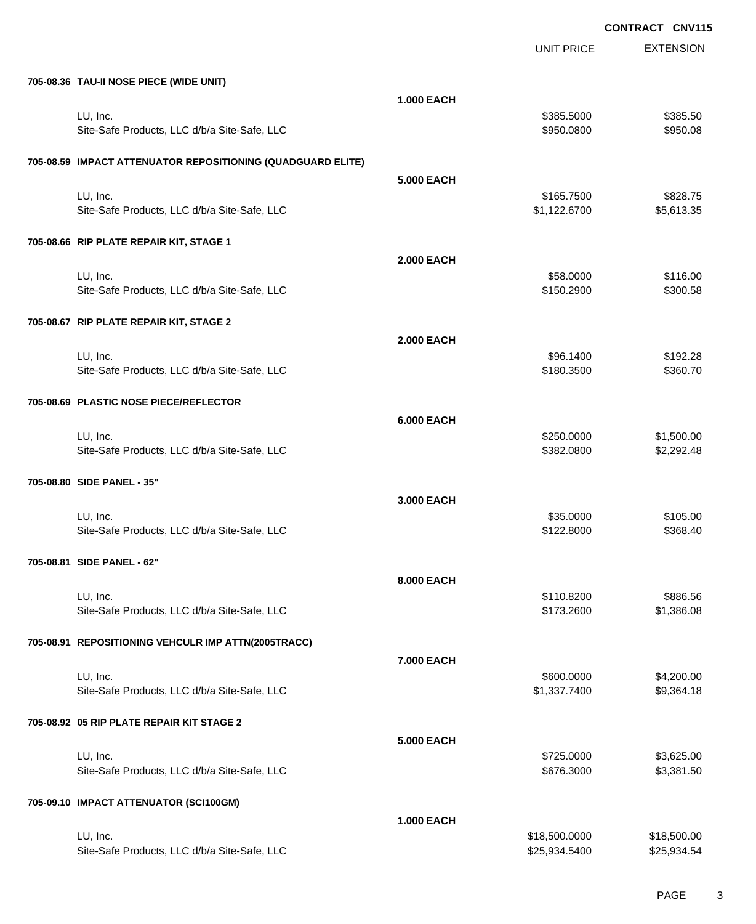|                                                             |                   | <b>UNIT PRICE</b>              | <b>EXTENSION</b>           |
|-------------------------------------------------------------|-------------------|--------------------------------|----------------------------|
| 705-08.36 TAU-II NOSE PIECE (WIDE UNIT)                     |                   |                                |                            |
|                                                             | <b>1.000 EACH</b> |                                |                            |
| LU, Inc.                                                    |                   | \$385.5000                     | \$385.50                   |
| Site-Safe Products, LLC d/b/a Site-Safe, LLC                |                   | \$950.0800                     | \$950.08                   |
| 705-08.59 IMPACT ATTENUATOR REPOSITIONING (QUADGUARD ELITE) |                   |                                |                            |
|                                                             | <b>5.000 EACH</b> |                                |                            |
| LU, Inc.                                                    |                   | \$165.7500                     | \$828.75                   |
| Site-Safe Products, LLC d/b/a Site-Safe, LLC                |                   | \$1,122.6700                   | \$5,613.35                 |
| 705-08.66 RIP PLATE REPAIR KIT, STAGE 1                     |                   |                                |                            |
|                                                             | <b>2.000 EACH</b> |                                |                            |
| LU, Inc.                                                    |                   | \$58.0000                      | \$116.00                   |
| Site-Safe Products, LLC d/b/a Site-Safe, LLC                |                   | \$150.2900                     | \$300.58                   |
| 705-08.67 RIP PLATE REPAIR KIT, STAGE 2                     |                   |                                |                            |
|                                                             | <b>2.000 EACH</b> |                                |                            |
| LU, Inc.                                                    |                   | \$96.1400<br>\$180.3500        | \$192.28<br>\$360.70       |
| Site-Safe Products, LLC d/b/a Site-Safe, LLC                |                   |                                |                            |
| 705-08.69 PLASTIC NOSE PIECE/REFLECTOR                      |                   |                                |                            |
|                                                             | <b>6.000 EACH</b> |                                |                            |
| LU, Inc.<br>Site-Safe Products, LLC d/b/a Site-Safe, LLC    |                   | \$250.0000<br>\$382.0800       | \$1,500.00<br>\$2,292.48   |
|                                                             |                   |                                |                            |
| 705-08.80 SIDE PANEL - 35"                                  |                   |                                |                            |
|                                                             | 3.000 EACH        |                                |                            |
| LU, Inc.                                                    |                   | \$35.0000                      | \$105.00                   |
| Site-Safe Products, LLC d/b/a Site-Safe, LLC                |                   | \$122.8000                     | \$368.40                   |
| 705-08.81 SIDE PANEL - 62"                                  |                   |                                |                            |
|                                                             | 8.000 EACH        |                                |                            |
| LU, Inc.<br>Site-Safe Products, LLC d/b/a Site-Safe, LLC    |                   | \$110.8200<br>\$173.2600       | \$886.56<br>\$1,386.08     |
|                                                             |                   |                                |                            |
| 705-08.91 REPOSITIONING VEHCULR IMP ATTN(2005TRACC)         |                   |                                |                            |
|                                                             | 7.000 EACH        |                                |                            |
| LU, Inc.<br>Site-Safe Products, LLC d/b/a Site-Safe, LLC    |                   | \$600.0000<br>\$1,337.7400     | \$4,200.00<br>\$9,364.18   |
|                                                             |                   |                                |                            |
| 705-08.92 05 RIP PLATE REPAIR KIT STAGE 2                   |                   |                                |                            |
|                                                             | <b>5.000 EACH</b> |                                |                            |
| LU, Inc.<br>Site-Safe Products, LLC d/b/a Site-Safe, LLC    |                   | \$725.0000<br>\$676.3000       | \$3,625.00<br>\$3,381.50   |
|                                                             |                   |                                |                            |
| 705-09.10 IMPACT ATTENUATOR (SCI100GM)                      |                   |                                |                            |
|                                                             | <b>1.000 EACH</b> |                                |                            |
| LU, Inc.<br>Site-Safe Products, LLC d/b/a Site-Safe, LLC    |                   | \$18,500.0000<br>\$25,934.5400 | \$18,500.00<br>\$25,934.54 |
|                                                             |                   |                                |                            |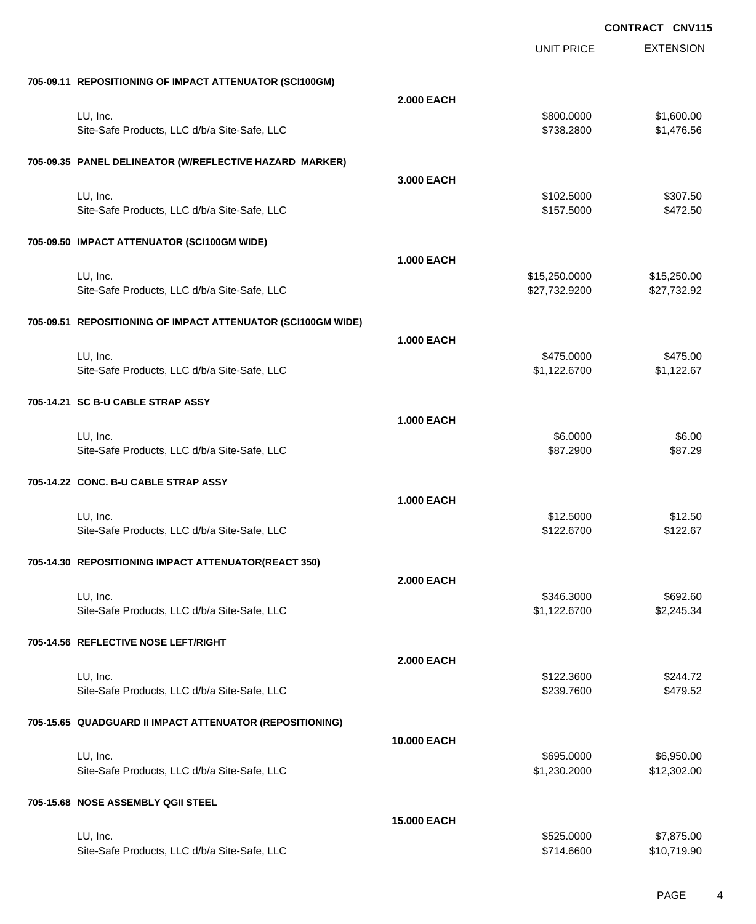|                                      |                                                              |                    | UNIT PRICE                     | <b>EXTENSION</b>           |
|--------------------------------------|--------------------------------------------------------------|--------------------|--------------------------------|----------------------------|
|                                      | 705-09.11 REPOSITIONING OF IMPACT ATTENUATOR (SCI100GM)      |                    |                                |                            |
|                                      |                                                              | <b>2.000 EACH</b>  |                                |                            |
| LU, Inc.                             |                                                              |                    | \$800.0000                     | \$1,600.00                 |
|                                      | Site-Safe Products, LLC d/b/a Site-Safe, LLC                 |                    | \$738.2800                     | \$1,476.56                 |
|                                      | 705-09.35 PANEL DELINEATOR (W/REFLECTIVE HAZARD MARKER)      |                    |                                |                            |
|                                      |                                                              | 3.000 EACH         |                                |                            |
| LU, Inc.                             | Site-Safe Products, LLC d/b/a Site-Safe, LLC                 |                    | \$102.5000<br>\$157.5000       | \$307.50<br>\$472.50       |
|                                      | 705-09.50 IMPACT ATTENUATOR (SCI100GM WIDE)                  |                    |                                |                            |
|                                      |                                                              | <b>1.000 EACH</b>  |                                |                            |
| LU, Inc.                             | Site-Safe Products, LLC d/b/a Site-Safe, LLC                 |                    | \$15,250.0000<br>\$27,732.9200 | \$15,250.00<br>\$27,732.92 |
|                                      | 705-09.51 REPOSITIONING OF IMPACT ATTENUATOR (SCI100GM WIDE) |                    |                                |                            |
|                                      |                                                              | <b>1.000 EACH</b>  |                                |                            |
| LU, Inc.                             |                                                              |                    | \$475.0000                     | \$475.00                   |
|                                      | Site-Safe Products, LLC d/b/a Site-Safe, LLC                 |                    | \$1,122.6700                   | \$1,122.67                 |
| 705-14.21 SC B-U CABLE STRAP ASSY    |                                                              |                    |                                |                            |
|                                      |                                                              | <b>1.000 EACH</b>  |                                |                            |
| LU, Inc.                             |                                                              |                    | \$6.0000                       | \$6.00                     |
|                                      | Site-Safe Products, LLC d/b/a Site-Safe, LLC                 |                    | \$87.2900                      | \$87.29                    |
| 705-14.22 CONC. B-U CABLE STRAP ASSY |                                                              |                    |                                |                            |
|                                      |                                                              | <b>1.000 EACH</b>  |                                |                            |
| LU, Inc.                             |                                                              |                    | \$12.5000                      | \$12.50                    |
|                                      | Site-Safe Products, LLC d/b/a Site-Safe, LLC                 |                    | \$122.6700                     | \$122.67                   |
|                                      | 705-14.30 REPOSITIONING IMPACT ATTENUATOR(REACT 350)         |                    |                                |                            |
|                                      |                                                              | <b>2.000 EACH</b>  |                                |                            |
| LU, Inc.                             |                                                              |                    | \$346.3000                     | \$692.60                   |
|                                      | Site-Safe Products, LLC d/b/a Site-Safe, LLC                 |                    | \$1,122.6700                   | \$2,245.34                 |
| 705-14.56 REFLECTIVE NOSE LEFT/RIGHT |                                                              |                    |                                |                            |
|                                      |                                                              | <b>2.000 EACH</b>  |                                |                            |
| LU, Inc.                             |                                                              |                    | \$122.3600                     | \$244.72                   |
|                                      | Site-Safe Products, LLC d/b/a Site-Safe, LLC                 |                    | \$239.7600                     | \$479.52                   |
|                                      | 705-15.65 QUADGUARD II IMPACT ATTENUATOR (REPOSITIONING)     |                    |                                |                            |
|                                      |                                                              | 10.000 EACH        |                                |                            |
| LU, Inc.                             |                                                              |                    | \$695.0000                     | \$6,950.00                 |
|                                      | Site-Safe Products, LLC d/b/a Site-Safe, LLC                 |                    | \$1,230.2000                   | \$12,302.00                |
| 705-15.68 NOSE ASSEMBLY QGII STEEL   |                                                              |                    |                                |                            |
|                                      |                                                              | <b>15.000 EACH</b> |                                |                            |
| LU, Inc.                             |                                                              |                    | \$525.0000                     | \$7,875.00                 |
|                                      | Site-Safe Products, LLC d/b/a Site-Safe, LLC                 |                    | \$714.6600                     | \$10,719.90                |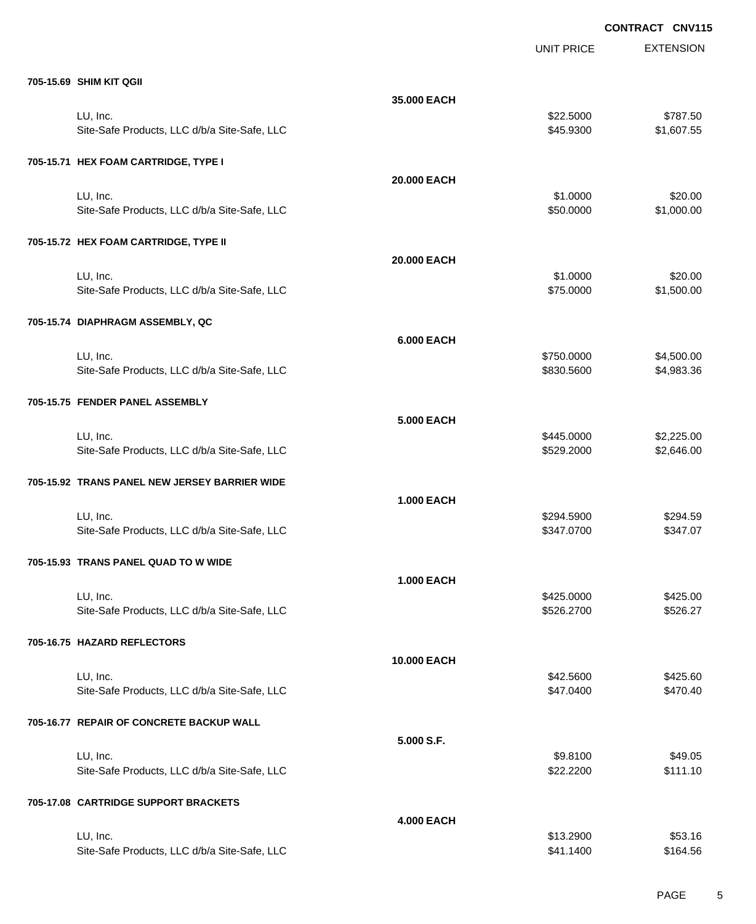|                                               |                   | <b>UNIT PRICE</b> | <b>EXTENSION</b> |
|-----------------------------------------------|-------------------|-------------------|------------------|
| 705-15.69 SHIM KIT QGII                       |                   |                   |                  |
|                                               | 35.000 EACH       |                   |                  |
| LU, Inc.                                      |                   | \$22.5000         | \$787.50         |
| Site-Safe Products, LLC d/b/a Site-Safe, LLC  |                   | \$45.9300         | \$1,607.55       |
|                                               |                   |                   |                  |
| 705-15.71 HEX FOAM CARTRIDGE, TYPE I          |                   |                   |                  |
|                                               | 20.000 EACH       |                   |                  |
| LU, Inc.                                      |                   | \$1.0000          | \$20.00          |
| Site-Safe Products, LLC d/b/a Site-Safe, LLC  |                   | \$50.0000         | \$1,000.00       |
| 705-15.72 HEX FOAM CARTRIDGE, TYPE II         |                   |                   |                  |
|                                               | 20,000 EACH       |                   |                  |
| LU, Inc.                                      |                   | \$1.0000          | \$20.00          |
| Site-Safe Products, LLC d/b/a Site-Safe, LLC  |                   | \$75.0000         | \$1,500.00       |
|                                               |                   |                   |                  |
| 705-15.74 DIAPHRAGM ASSEMBLY, QC              |                   |                   |                  |
|                                               | <b>6.000 EACH</b> |                   |                  |
| LU, Inc.                                      |                   | \$750.0000        | \$4,500.00       |
| Site-Safe Products, LLC d/b/a Site-Safe, LLC  |                   | \$830.5600        | \$4,983.36       |
| 705-15.75 FENDER PANEL ASSEMBLY               |                   |                   |                  |
|                                               | <b>5.000 EACH</b> |                   |                  |
| LU, Inc.                                      |                   | \$445.0000        | \$2,225.00       |
| Site-Safe Products, LLC d/b/a Site-Safe, LLC  |                   | \$529.2000        | \$2,646.00       |
|                                               |                   |                   |                  |
| 705-15.92 TRANS PANEL NEW JERSEY BARRIER WIDE |                   |                   |                  |
|                                               | <b>1.000 EACH</b> |                   |                  |
| LU, Inc.                                      |                   | \$294.5900        | \$294.59         |
| Site-Safe Products, LLC d/b/a Site-Safe, LLC  |                   | \$347.0700        | \$347.07         |
|                                               |                   |                   |                  |
| 705-15.93 TRANS PANEL QUAD TO W WIDE          |                   |                   |                  |
|                                               | <b>1.000 EACH</b> |                   |                  |
| LU, Inc.                                      |                   | \$425.0000        | \$425.00         |
| Site-Safe Products, LLC d/b/a Site-Safe, LLC  |                   | \$526.2700        | \$526.27         |
| 705-16.75 HAZARD REFLECTORS                   |                   |                   |                  |
|                                               | 10.000 EACH       |                   |                  |
| LU, Inc.                                      |                   | \$42.5600         | \$425.60         |
| Site-Safe Products, LLC d/b/a Site-Safe, LLC  |                   | \$47.0400         | \$470.40         |
|                                               |                   |                   |                  |
| 705-16.77 REPAIR OF CONCRETE BACKUP WALL      |                   |                   |                  |
|                                               | 5.000 S.F.        |                   |                  |
| LU, Inc.                                      |                   | \$9.8100          | \$49.05          |
| Site-Safe Products, LLC d/b/a Site-Safe, LLC  |                   | \$22.2200         | \$111.10         |
| 705-17.08 CARTRIDGE SUPPORT BRACKETS          |                   |                   |                  |
|                                               | <b>4.000 EACH</b> |                   |                  |
| LU, Inc.                                      |                   | \$13.2900         | \$53.16          |
| Site-Safe Products, LLC d/b/a Site-Safe, LLC  |                   | \$41.1400         | \$164.56         |
|                                               |                   |                   |                  |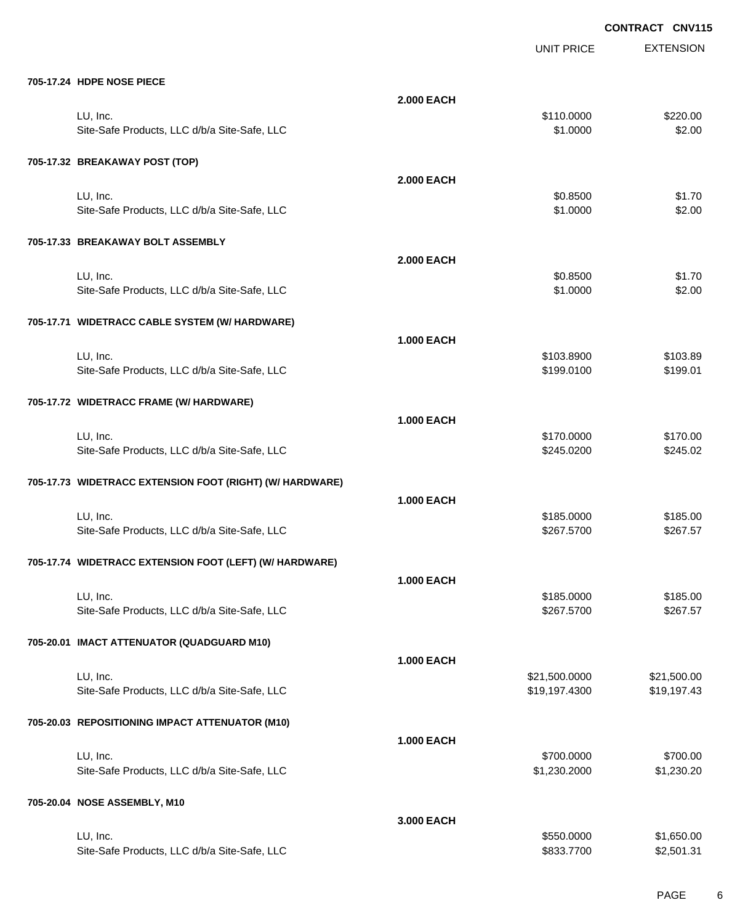|                                                          |                   |                          | <b>VIVIII</b>        |
|----------------------------------------------------------|-------------------|--------------------------|----------------------|
|                                                          |                   | <b>UNIT PRICE</b>        | <b>EXTENSION</b>     |
| 705-17.24 HDPE NOSE PIECE                                |                   |                          |                      |
|                                                          | <b>2.000 EACH</b> |                          |                      |
| LU, Inc.                                                 |                   | \$110.0000               | \$220.00             |
| Site-Safe Products, LLC d/b/a Site-Safe, LLC             |                   | \$1.0000                 | \$2.00               |
|                                                          |                   |                          |                      |
| 705-17.32 BREAKAWAY POST (TOP)                           |                   |                          |                      |
|                                                          | <b>2.000 EACH</b> |                          |                      |
| LU, Inc.                                                 |                   | \$0.8500                 | \$1.70               |
| Site-Safe Products, LLC d/b/a Site-Safe, LLC             |                   | \$1.0000                 | \$2.00               |
| 705-17.33 BREAKAWAY BOLT ASSEMBLY                        |                   |                          |                      |
|                                                          | <b>2.000 EACH</b> |                          |                      |
| LU, Inc.                                                 |                   | \$0.8500                 | \$1.70               |
| Site-Safe Products, LLC d/b/a Site-Safe, LLC             |                   | \$1.0000                 | \$2.00               |
|                                                          |                   |                          |                      |
| 705-17.71 WIDETRACC CABLE SYSTEM (W/ HARDWARE)           |                   |                          |                      |
|                                                          | <b>1.000 EACH</b> |                          |                      |
| LU, Inc.                                                 |                   | \$103.8900               | \$103.89             |
| Site-Safe Products, LLC d/b/a Site-Safe, LLC             |                   | \$199.0100               | \$199.01             |
|                                                          |                   |                          |                      |
| 705-17.72 WIDETRACC FRAME (W/ HARDWARE)                  |                   |                          |                      |
|                                                          | <b>1.000 EACH</b> |                          |                      |
| LU, Inc.                                                 |                   | \$170.0000               | \$170.00             |
| Site-Safe Products, LLC d/b/a Site-Safe, LLC             |                   | \$245.0200               | \$245.02             |
| 705-17.73 WIDETRACC EXTENSION FOOT (RIGHT) (W/ HARDWARE) |                   |                          |                      |
|                                                          | <b>1.000 EACH</b> |                          |                      |
| LU, Inc.                                                 |                   |                          |                      |
| Site-Safe Products, LLC d/b/a Site-Safe, LLC             |                   | \$185.0000<br>\$267.5700 | \$185.00<br>\$267.57 |
|                                                          |                   |                          |                      |
| 705-17.74 WIDETRACC EXTENSION FOOT (LEFT) (W/ HARDWARE)  |                   |                          |                      |
|                                                          | <b>1.000 EACH</b> |                          |                      |
| LU, Inc.                                                 |                   | \$185.0000               | \$185.00             |
| Site-Safe Products, LLC d/b/a Site-Safe, LLC             |                   | \$267.5700               | \$267.57             |
|                                                          |                   |                          |                      |
| 705-20.01 IMACT ATTENUATOR (QUADGUARD M10)               |                   |                          |                      |
|                                                          | <b>1.000 EACH</b> |                          |                      |
| LU, Inc.                                                 |                   | \$21,500.0000            | \$21,500.00          |
| Site-Safe Products, LLC d/b/a Site-Safe, LLC             |                   | \$19,197.4300            | \$19,197.43          |
| 705-20.03 REPOSITIONING IMPACT ATTENUATOR (M10)          |                   |                          |                      |
|                                                          | <b>1.000 EACH</b> |                          |                      |
| LU, Inc.                                                 |                   | \$700.0000               | \$700.00             |
| Site-Safe Products, LLC d/b/a Site-Safe, LLC             |                   | \$1,230.2000             | \$1,230.20           |
|                                                          |                   |                          |                      |
| 705-20.04 NOSE ASSEMBLY, M10                             |                   |                          |                      |
|                                                          | 3.000 EACH        |                          |                      |
| LU, Inc.                                                 |                   | \$550.0000               | \$1,650.00           |
| Site-Safe Products, LLC d/b/a Site-Safe, LLC             |                   | \$833.7700               | \$2,501.31           |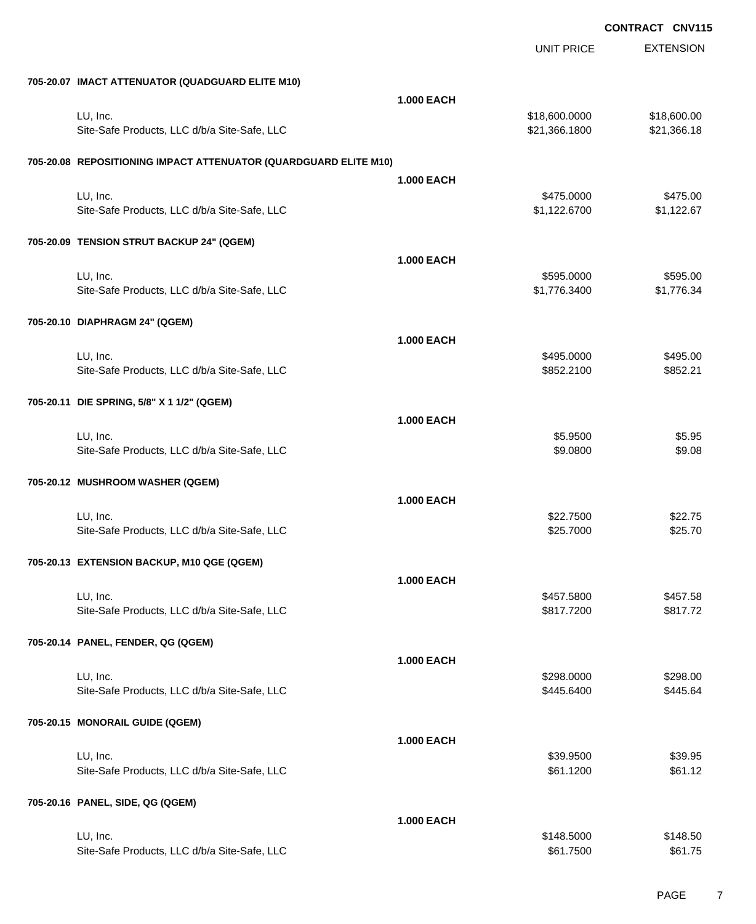|                                                                  |                   | <b>UNIT PRICE</b> | <b>EXTENSION</b> |
|------------------------------------------------------------------|-------------------|-------------------|------------------|
| 705-20.07 IMACT ATTENUATOR (QUADGUARD ELITE M10)                 |                   |                   |                  |
|                                                                  | <b>1.000 EACH</b> |                   |                  |
| LU, Inc.                                                         |                   | \$18,600.0000     | \$18,600.00      |
| Site-Safe Products, LLC d/b/a Site-Safe, LLC                     |                   | \$21,366.1800     | \$21,366.18      |
| 705-20.08 REPOSITIONING IMPACT ATTENUATOR (QUARDGUARD ELITE M10) |                   |                   |                  |
|                                                                  | <b>1.000 EACH</b> |                   |                  |
| LU, Inc.                                                         |                   | \$475.0000        | \$475.00         |
| Site-Safe Products, LLC d/b/a Site-Safe, LLC                     |                   | \$1,122.6700      | \$1,122.67       |
| 705-20.09 TENSION STRUT BACKUP 24" (QGEM)                        |                   |                   |                  |
|                                                                  | <b>1.000 EACH</b> |                   |                  |
| LU, Inc.                                                         |                   | \$595.0000        | \$595.00         |
| Site-Safe Products, LLC d/b/a Site-Safe, LLC                     |                   | \$1,776.3400      | \$1,776.34       |
| 705-20.10 DIAPHRAGM 24" (QGEM)                                   |                   |                   |                  |
|                                                                  | <b>1.000 EACH</b> |                   |                  |
| LU, Inc.                                                         |                   | \$495.0000        | \$495.00         |
| Site-Safe Products, LLC d/b/a Site-Safe, LLC                     |                   | \$852.2100        | \$852.21         |
| 705-20.11 DIE SPRING, 5/8" X 1 1/2" (QGEM)                       |                   |                   |                  |
|                                                                  | <b>1.000 EACH</b> |                   |                  |
| LU, Inc.                                                         |                   | \$5.9500          | \$5.95           |
| Site-Safe Products, LLC d/b/a Site-Safe, LLC                     |                   | \$9.0800          | \$9.08           |
| 705-20.12 MUSHROOM WASHER (QGEM)                                 |                   |                   |                  |
|                                                                  | <b>1.000 EACH</b> |                   |                  |
| LU, Inc.                                                         |                   | \$22.7500         | \$22.75          |
| Site-Safe Products, LLC d/b/a Site-Safe, LLC                     |                   | \$25.7000         | \$25.70          |
| 705-20.13 EXTENSION BACKUP, M10 QGE (QGEM)                       |                   |                   |                  |
|                                                                  | <b>1.000 EACH</b> |                   |                  |
| LU, Inc.                                                         |                   | \$457.5800        | \$457.58         |
| Site-Safe Products, LLC d/b/a Site-Safe, LLC                     |                   | \$817.7200        | \$817.72         |
| 705-20.14 PANEL, FENDER, QG (QGEM)                               |                   |                   |                  |
|                                                                  | <b>1.000 EACH</b> |                   |                  |
| LU, Inc.                                                         |                   | \$298.0000        | \$298.00         |
| Site-Safe Products, LLC d/b/a Site-Safe, LLC                     |                   | \$445.6400        | \$445.64         |
| 705-20.15 MONORAIL GUIDE (QGEM)                                  |                   |                   |                  |
|                                                                  | <b>1.000 EACH</b> |                   |                  |
| LU, Inc.                                                         |                   | \$39.9500         | \$39.95          |
| Site-Safe Products, LLC d/b/a Site-Safe, LLC                     |                   | \$61.1200         | \$61.12          |
| 705-20.16 PANEL, SIDE, QG (QGEM)                                 |                   |                   |                  |
|                                                                  | <b>1.000 EACH</b> |                   |                  |
| LU, Inc.                                                         |                   | \$148.5000        | \$148.50         |
| Site-Safe Products, LLC d/b/a Site-Safe, LLC                     |                   | \$61.7500         | \$61.75          |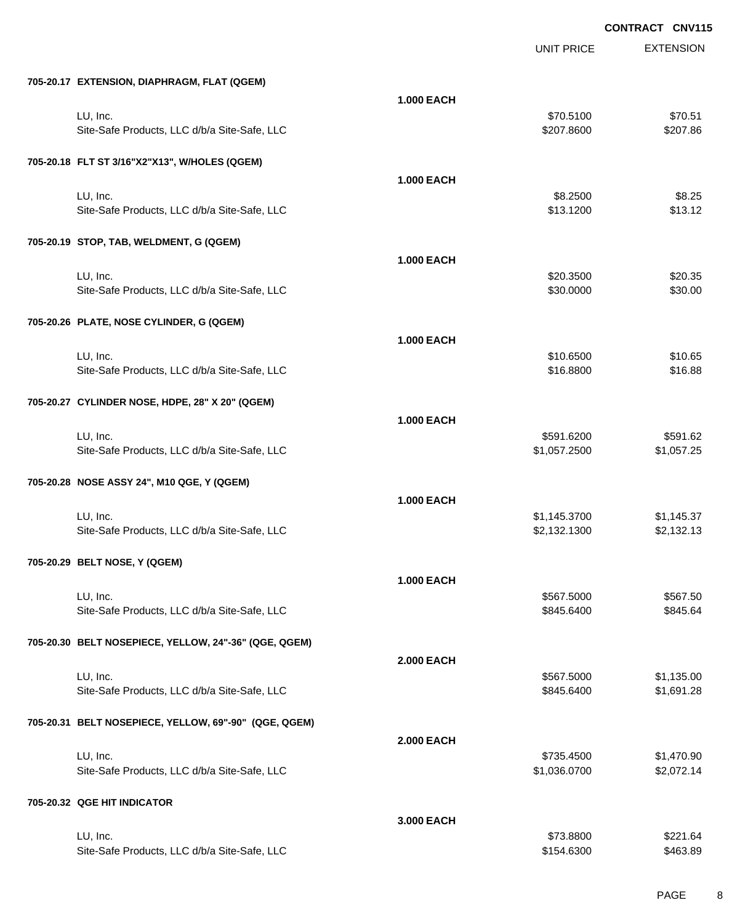|                                                       |                   | UNIT PRICE   | <b>EXTENSION</b> |
|-------------------------------------------------------|-------------------|--------------|------------------|
| 705-20.17 EXTENSION, DIAPHRAGM, FLAT (QGEM)           |                   |              |                  |
|                                                       | <b>1.000 EACH</b> |              |                  |
| LU, Inc.                                              |                   | \$70.5100    | \$70.51          |
| Site-Safe Products, LLC d/b/a Site-Safe, LLC          |                   | \$207.8600   | \$207.86         |
| 705-20.18 FLT ST 3/16"X2"X13", W/HOLES (QGEM)         |                   |              |                  |
|                                                       | <b>1.000 EACH</b> |              |                  |
| LU, Inc.                                              |                   | \$8.2500     | \$8.25           |
| Site-Safe Products, LLC d/b/a Site-Safe, LLC          |                   | \$13.1200    | \$13.12          |
| 705-20.19 STOP, TAB, WELDMENT, G (QGEM)               |                   |              |                  |
|                                                       | <b>1.000 EACH</b> |              |                  |
| LU, Inc.                                              |                   | \$20.3500    | \$20.35          |
| Site-Safe Products, LLC d/b/a Site-Safe, LLC          |                   | \$30.0000    | \$30.00          |
| 705-20.26 PLATE, NOSE CYLINDER, G (QGEM)              |                   |              |                  |
|                                                       | <b>1.000 EACH</b> |              |                  |
| LU, Inc.                                              |                   | \$10.6500    | \$10.65          |
| Site-Safe Products, LLC d/b/a Site-Safe, LLC          |                   | \$16.8800    | \$16.88          |
| 705-20.27 CYLINDER NOSE, HDPE, 28" X 20" (QGEM)       |                   |              |                  |
|                                                       | <b>1.000 EACH</b> |              |                  |
| LU, Inc.                                              |                   | \$591.6200   | \$591.62         |
| Site-Safe Products, LLC d/b/a Site-Safe, LLC          |                   | \$1,057.2500 | \$1,057.25       |
| 705-20.28 NOSE ASSY 24", M10 QGE, Y (QGEM)            |                   |              |                  |
|                                                       | <b>1.000 EACH</b> |              |                  |
| LU, Inc.                                              |                   | \$1,145.3700 | \$1,145.37       |
| Site-Safe Products, LLC d/b/a Site-Safe, LLC          |                   | \$2,132.1300 | \$2,132.13       |
| 705-20.29 BELT NOSE, Y (QGEM)                         |                   |              |                  |
|                                                       | <b>1.000 EACH</b> |              |                  |
| LU, Inc.                                              |                   | \$567.5000   | \$567.50         |
| Site-Safe Products, LLC d/b/a Site-Safe, LLC          |                   | \$845.6400   | \$845.64         |
| 705-20.30 BELT NOSEPIECE, YELLOW, 24"-36" (QGE, QGEM) |                   |              |                  |
|                                                       | <b>2.000 EACH</b> |              |                  |
| LU, Inc.                                              |                   | \$567.5000   | \$1,135.00       |
| Site-Safe Products, LLC d/b/a Site-Safe, LLC          |                   | \$845.6400   | \$1,691.28       |
| 705-20.31 BELT NOSEPIECE, YELLOW, 69"-90" (QGE, QGEM) |                   |              |                  |
|                                                       | <b>2.000 EACH</b> |              |                  |
| LU, Inc.                                              |                   | \$735.4500   | \$1,470.90       |
| Site-Safe Products, LLC d/b/a Site-Safe, LLC          |                   | \$1,036.0700 | \$2,072.14       |
| 705-20.32 QGE HIT INDICATOR                           |                   |              |                  |
|                                                       | 3.000 EACH        |              |                  |
| LU, Inc.                                              |                   | \$73.8800    | \$221.64         |
| Site-Safe Products, LLC d/b/a Site-Safe, LLC          |                   | \$154.6300   | \$463.89         |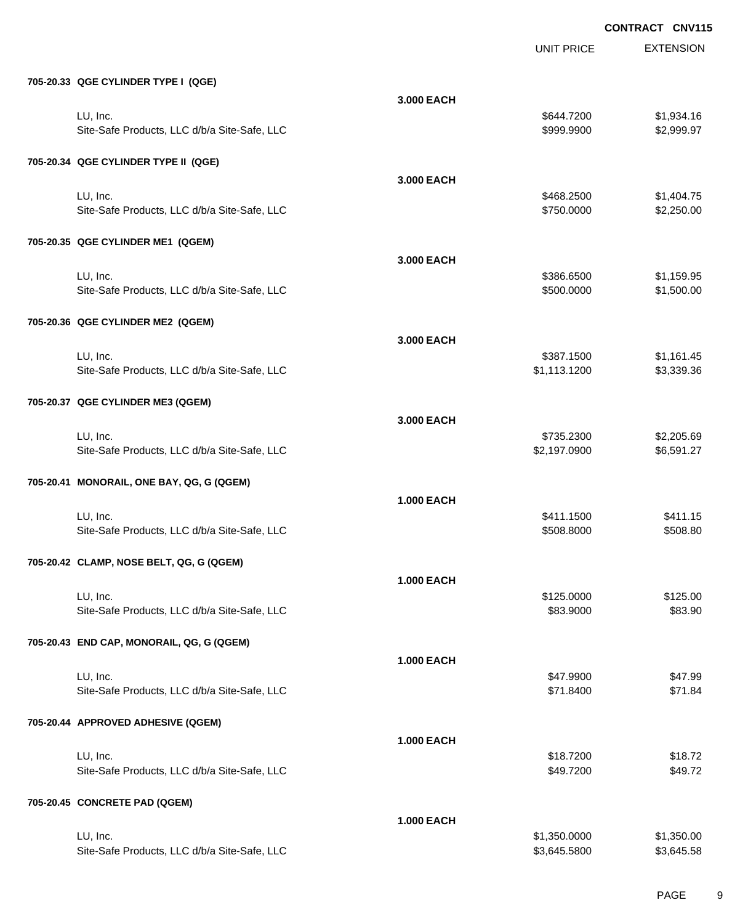|                                              |                   | <b>UNIT PRICE</b> | <b>EXTENSION</b> |
|----------------------------------------------|-------------------|-------------------|------------------|
| 705-20.33 QGE CYLINDER TYPE I (QGE)          |                   |                   |                  |
|                                              | 3.000 EACH        |                   |                  |
| LU, Inc.                                     |                   | \$644.7200        | \$1,934.16       |
| Site-Safe Products, LLC d/b/a Site-Safe, LLC |                   | \$999.9900        | \$2,999.97       |
| 705-20.34 QGE CYLINDER TYPE II (QGE)         |                   |                   |                  |
|                                              | 3.000 EACH        |                   |                  |
| LU, Inc.                                     |                   | \$468.2500        | \$1,404.75       |
| Site-Safe Products, LLC d/b/a Site-Safe, LLC |                   | \$750.0000        | \$2,250.00       |
| 705-20.35 QGE CYLINDER ME1 (QGEM)            |                   |                   |                  |
|                                              | 3.000 EACH        |                   |                  |
| LU, Inc.                                     |                   | \$386.6500        | \$1,159.95       |
| Site-Safe Products, LLC d/b/a Site-Safe, LLC |                   | \$500.0000        | \$1,500.00       |
| 705-20.36 QGE CYLINDER ME2 (QGEM)            |                   |                   |                  |
|                                              | 3,000 EACH        |                   |                  |
| LU, Inc.                                     |                   | \$387.1500        | \$1,161.45       |
| Site-Safe Products, LLC d/b/a Site-Safe, LLC |                   | \$1,113.1200      | \$3,339.36       |
| 705-20.37 QGE CYLINDER ME3 (QGEM)            |                   |                   |                  |
|                                              | 3,000 EACH        |                   |                  |
| LU, Inc.                                     |                   | \$735.2300        | \$2,205.69       |
| Site-Safe Products, LLC d/b/a Site-Safe, LLC |                   | \$2,197.0900      | \$6,591.27       |
| 705-20.41 MONORAIL, ONE BAY, QG, G (QGEM)    |                   |                   |                  |
|                                              | <b>1.000 EACH</b> |                   |                  |
| LU, Inc.                                     |                   | \$411.1500        | \$411.15         |
| Site-Safe Products, LLC d/b/a Site-Safe, LLC |                   | \$508.8000        | \$508.80         |
| 705-20.42 CLAMP, NOSE BELT, QG, G (QGEM)     |                   |                   |                  |
|                                              | <b>1.000 EACH</b> |                   |                  |
| LU, Inc.                                     |                   | \$125.0000        | \$125.00         |
| Site-Safe Products, LLC d/b/a Site-Safe, LLC |                   | \$83.9000         | \$83.90          |
| 705-20.43 END CAP, MONORAIL, QG, G (QGEM)    |                   |                   |                  |
|                                              | <b>1.000 EACH</b> |                   |                  |
| LU, Inc.                                     |                   | \$47.9900         | \$47.99          |
| Site-Safe Products, LLC d/b/a Site-Safe, LLC |                   | \$71.8400         | \$71.84          |
| 705-20.44 APPROVED ADHESIVE (QGEM)           |                   |                   |                  |
|                                              | <b>1.000 EACH</b> |                   |                  |
| LU, Inc.                                     |                   | \$18.7200         | \$18.72          |
| Site-Safe Products, LLC d/b/a Site-Safe, LLC |                   | \$49.7200         | \$49.72          |
| 705-20.45 CONCRETE PAD (QGEM)                |                   |                   |                  |
|                                              | <b>1.000 EACH</b> |                   |                  |
| LU, Inc.                                     |                   | \$1,350.0000      | \$1,350.00       |
| Site-Safe Products, LLC d/b/a Site-Safe, LLC |                   | \$3,645.5800      | \$3,645.58       |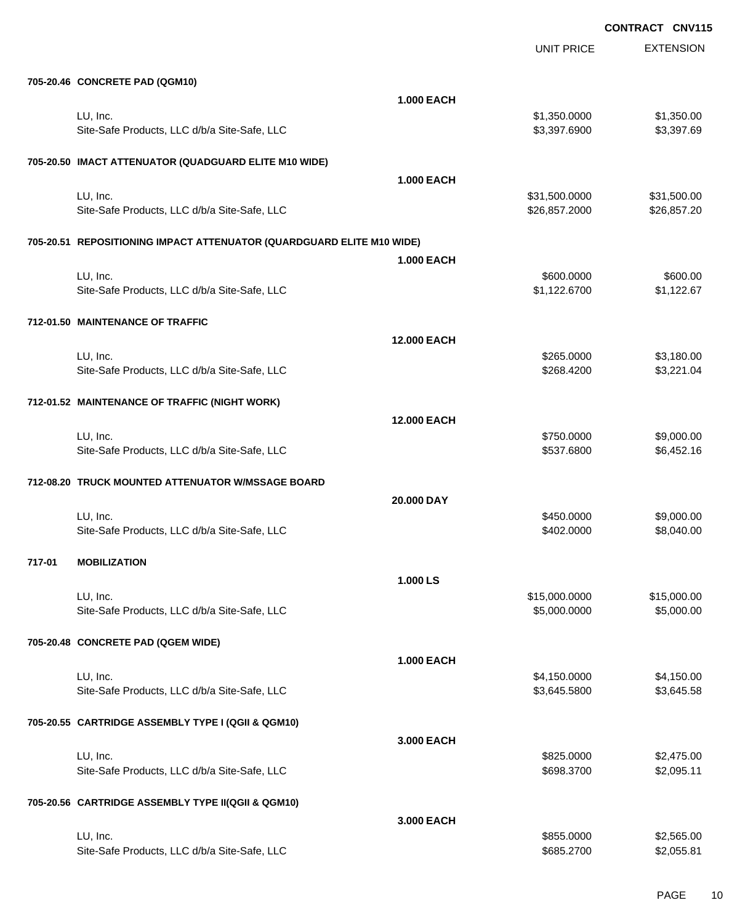|        |                                                                       |                    | <b>UNIT PRICE</b> | <b>EXTENSION</b> |
|--------|-----------------------------------------------------------------------|--------------------|-------------------|------------------|
|        | 705-20.46 CONCRETE PAD (QGM10)                                        |                    |                   |                  |
|        |                                                                       | <b>1.000 EACH</b>  |                   |                  |
|        | LU, Inc.                                                              |                    | \$1,350.0000      | \$1,350.00       |
|        | Site-Safe Products, LLC d/b/a Site-Safe, LLC                          |                    | \$3,397.6900      | \$3,397.69       |
|        | 705-20.50 IMACT ATTENUATOR (QUADGUARD ELITE M10 WIDE)                 |                    |                   |                  |
|        |                                                                       | <b>1.000 EACH</b>  |                   |                  |
|        | LU, Inc.                                                              |                    | \$31,500.0000     | \$31,500.00      |
|        | Site-Safe Products, LLC d/b/a Site-Safe, LLC                          |                    | \$26,857.2000     | \$26,857.20      |
|        | 705-20.51 REPOSITIONING IMPACT ATTENUATOR (QUARDGUARD ELITE M10 WIDE) |                    |                   |                  |
|        |                                                                       | <b>1.000 EACH</b>  |                   |                  |
|        | LU, Inc.                                                              |                    | \$600.0000        | \$600.00         |
|        | Site-Safe Products, LLC d/b/a Site-Safe, LLC                          |                    | \$1,122.6700      | \$1,122.67       |
|        | 712-01.50 MAINTENANCE OF TRAFFIC                                      |                    |                   |                  |
|        |                                                                       | 12.000 EACH        |                   |                  |
|        | LU, Inc.                                                              |                    | \$265.0000        | \$3,180.00       |
|        | Site-Safe Products, LLC d/b/a Site-Safe, LLC                          |                    | \$268.4200        | \$3,221.04       |
|        | 712-01.52 MAINTENANCE OF TRAFFIC (NIGHT WORK)                         |                    |                   |                  |
|        |                                                                       | <b>12.000 EACH</b> |                   |                  |
|        | LU, Inc.                                                              |                    | \$750.0000        | \$9,000.00       |
|        | Site-Safe Products, LLC d/b/a Site-Safe, LLC                          |                    | \$537.6800        | \$6,452.16       |
|        | 712-08.20 TRUCK MOUNTED ATTENUATOR W/MSSAGE BOARD                     |                    |                   |                  |
|        |                                                                       | 20.000 DAY         |                   |                  |
|        | LU, Inc.                                                              |                    | \$450.0000        | \$9,000.00       |
|        | Site-Safe Products, LLC d/b/a Site-Safe, LLC                          |                    | \$402.0000        | \$8,040.00       |
| 717-01 | <b>MOBILIZATION</b>                                                   |                    |                   |                  |
|        |                                                                       | 1.000 LS           |                   |                  |
|        | LU, Inc.                                                              |                    | \$15,000.0000     | \$15,000.00      |
|        | Site-Safe Products, LLC d/b/a Site-Safe, LLC                          |                    | \$5,000.0000      | \$5,000.00       |
|        | 705-20.48 CONCRETE PAD (QGEM WIDE)                                    |                    |                   |                  |
|        |                                                                       | <b>1.000 EACH</b>  |                   |                  |
|        | LU, Inc.                                                              |                    | \$4,150.0000      | \$4,150.00       |
|        | Site-Safe Products, LLC d/b/a Site-Safe, LLC                          |                    | \$3,645.5800      | \$3,645.58       |
|        | 705-20.55 CARTRIDGE ASSEMBLY TYPE I (QGII & QGM10)                    |                    |                   |                  |
|        |                                                                       | 3.000 EACH         |                   |                  |
|        | LU, Inc.                                                              |                    | \$825.0000        | \$2,475.00       |
|        | Site-Safe Products, LLC d/b/a Site-Safe, LLC                          |                    | \$698.3700        | \$2,095.11       |
|        | 705-20.56 CARTRIDGE ASSEMBLY TYPE II(QGII & QGM10)                    |                    |                   |                  |
|        |                                                                       | 3.000 EACH         |                   |                  |
|        | LU, Inc.                                                              |                    | \$855.0000        | \$2,565.00       |
|        | Site-Safe Products, LLC d/b/a Site-Safe, LLC                          |                    | \$685.2700        | \$2,055.81       |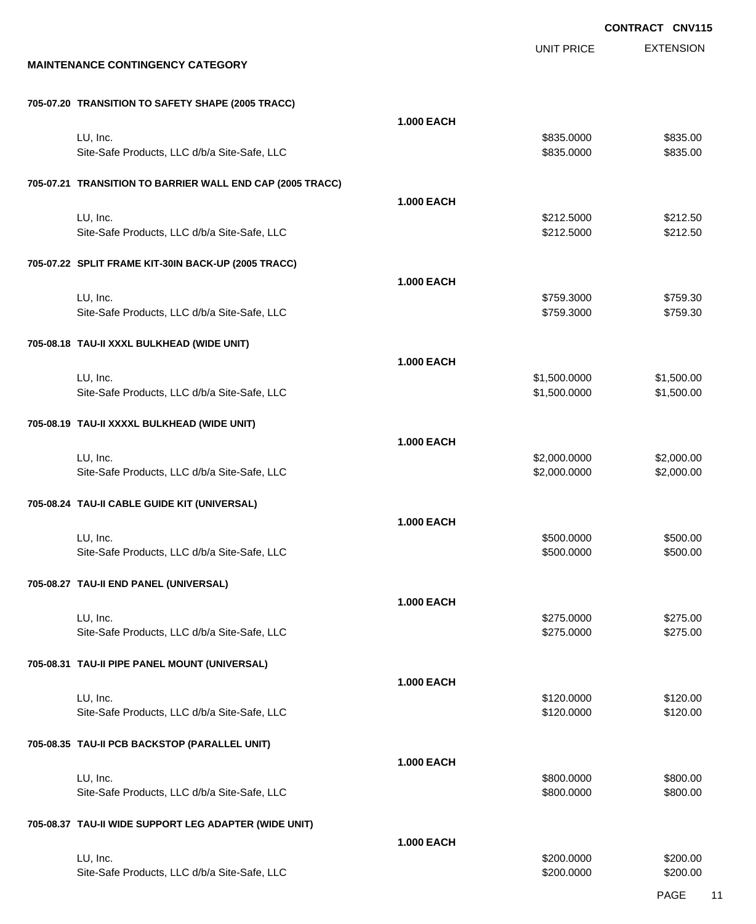EXTENSION UNIT PRICE **MAINTENANCE CONTINGENCY CATEGORY 705-07.20 TRANSITION TO SAFETY SHAPE (2005 TRACC) 1.000 EACH** LU, Inc. \$835.0000 \$835.00 Site-Safe Products, LLC d/b/a Site-Safe, LLC  $$835.000$  \$835.0000 \$835.000 **705-07.21 TRANSITION TO BARRIER WALL END CAP (2005 TRACC) 1.000 EACH** LU, Inc. \$212.5000 \$212.50 Site-Safe Products, LLC d/b/a Site-Safe, LLC 6 (1992) 68:4000 \$212.5000 \$212.5000 \$212.5000 **705-07.22 SPLIT FRAME KIT-30IN BACK-UP (2005 TRACC) 1.000 EACH** LU, Inc. \$759.3000 \$759.30 Site-Safe Products, LLC d/b/a Site-Safe, LLC \$759.3000 \$759.3000 \$759.3000 **705-08.18 TAU-II XXXL BULKHEAD (WIDE UNIT) 1.000 EACH** LU, Inc. \$1,500.0000 \$1,500.00 Site-Safe Products, LLC d/b/a Site-Safe, LLC  $$1,500.000$  \$1,500.000 \$1,500.00 **705-08.19 TAU-II XXXXL BULKHEAD (WIDE UNIT) 1.000 EACH** LU, Inc. \$2,000.0000 \$2,000.00 Site-Safe Products, LLC d/b/a Site-Safe, LLC \$2,000.000 \$2,000.000 \$2,000.000 \$2,000.00 **705-08.24 TAU-II CABLE GUIDE KIT (UNIVERSAL) 1.000 EACH** LU, Inc. \$500.0000 \$500.00 Site-Safe Products, LLC d/b/a Site-Safe, LLC  $$500.000$  \$500.000 \$500.000 **705-08.27 TAU-II END PANEL (UNIVERSAL) 1.000 EACH** LU, Inc. \$275.0000 \$275.00 Site-Safe Products, LLC d/b/a Site-Safe, LLC  $$275.000$  \$275.0000 \$275.000 **705-08.31 TAU-II PIPE PANEL MOUNT (UNIVERSAL) 1.000 EACH** LU, Inc. \$120.0000 \$120.00 Site-Safe Products, LLC d/b/a Site-Safe, LLC  $$120.000$  \$120.000 \$120.00 **705-08.35 TAU-II PCB BACKSTOP (PARALLEL UNIT) 1.000 EACH** LU, Inc. \$800.0000 \$800.00 Site-Safe Products, LLC d/b/a Site-Safe, LLC  $$800.000$  \$800.000 \$800.000 **705-08.37 TAU-II WIDE SUPPORT LEG ADAPTER (WIDE UNIT) 1.000 EACH** LU, Inc. \$200.0000 \$200.00

Site-Safe Products, LLC d/b/a Site-Safe, LLC \$200.000 \$200.000 \$200.000

PAGE 11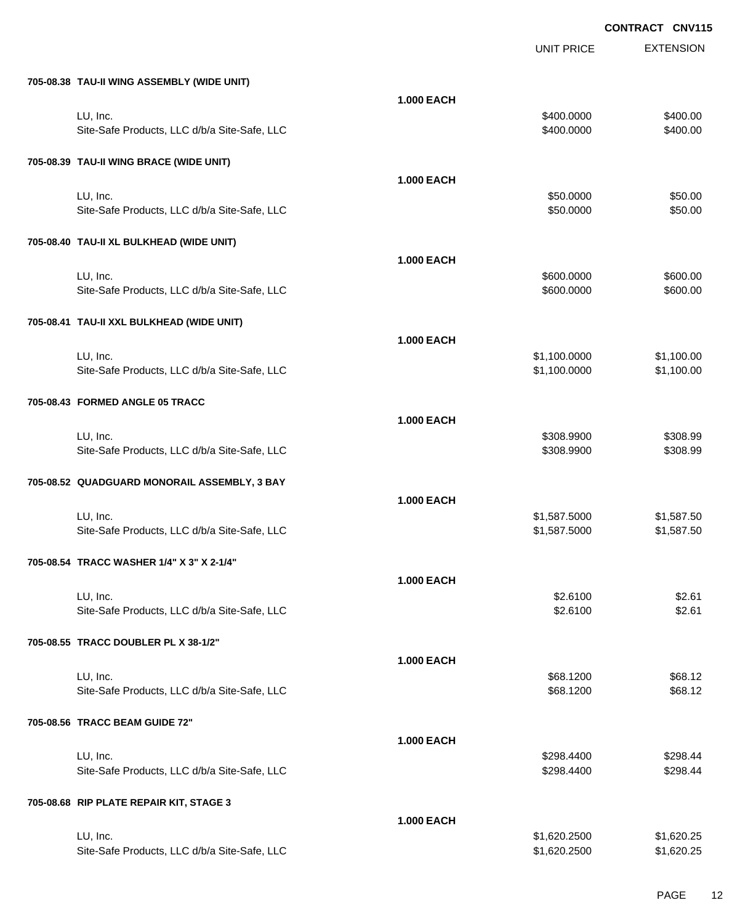|                                              |                   | <b>UNIT PRICE</b> | <b>EXTENSION</b> |
|----------------------------------------------|-------------------|-------------------|------------------|
| 705-08.38 TAU-II WING ASSEMBLY (WIDE UNIT)   |                   |                   |                  |
|                                              | <b>1.000 EACH</b> |                   |                  |
| LU, Inc.                                     |                   | \$400.0000        | \$400.00         |
| Site-Safe Products, LLC d/b/a Site-Safe, LLC |                   | \$400.0000        | \$400.00         |
| 705-08.39 TAU-II WING BRACE (WIDE UNIT)      |                   |                   |                  |
|                                              | <b>1.000 EACH</b> |                   |                  |
| LU, Inc.                                     |                   | \$50.0000         | \$50.00          |
| Site-Safe Products, LLC d/b/a Site-Safe, LLC |                   | \$50.0000         | \$50.00          |
| 705-08.40 TAU-II XL BULKHEAD (WIDE UNIT)     |                   |                   |                  |
|                                              | <b>1.000 EACH</b> |                   |                  |
| LU, Inc.                                     |                   | \$600.0000        | \$600.00         |
| Site-Safe Products, LLC d/b/a Site-Safe, LLC |                   | \$600.0000        | \$600.00         |
| 705-08.41 TAU-II XXL BULKHEAD (WIDE UNIT)    |                   |                   |                  |
|                                              | <b>1.000 EACH</b> |                   |                  |
| LU, Inc.                                     |                   | \$1,100.0000      | \$1,100.00       |
| Site-Safe Products, LLC d/b/a Site-Safe, LLC |                   | \$1,100.0000      | \$1,100.00       |
| 705-08.43 FORMED ANGLE 05 TRACC              |                   |                   |                  |
|                                              | <b>1.000 EACH</b> |                   |                  |
| LU, Inc.                                     |                   | \$308.9900        | \$308.99         |
| Site-Safe Products, LLC d/b/a Site-Safe, LLC |                   | \$308.9900        | \$308.99         |
| 705-08.52 QUADGUARD MONORAIL ASSEMBLY, 3 BAY |                   |                   |                  |
|                                              | <b>1.000 EACH</b> |                   |                  |
| LU, Inc.                                     |                   | \$1,587.5000      | \$1,587.50       |
| Site-Safe Products, LLC d/b/a Site-Safe, LLC |                   | \$1,587.5000      | \$1,587.50       |
| 705-08.54 TRACC WASHER 1/4" X 3" X 2-1/4"    |                   |                   |                  |
|                                              | <b>1.000 EACH</b> |                   |                  |
| LU, Inc.                                     |                   | \$2.6100          | \$2.61           |
| Site-Safe Products, LLC d/b/a Site-Safe, LLC |                   | \$2.6100          | \$2.61           |
| 705-08.55 TRACC DOUBLER PL X 38-1/2"         |                   |                   |                  |
|                                              | <b>1.000 EACH</b> |                   |                  |
| LU, Inc.                                     |                   | \$68.1200         | \$68.12          |
| Site-Safe Products, LLC d/b/a Site-Safe, LLC |                   | \$68.1200         | \$68.12          |
| 705-08.56 TRACC BEAM GUIDE 72"               |                   |                   |                  |
|                                              | <b>1.000 EACH</b> |                   |                  |
| LU, Inc.                                     |                   | \$298.4400        | \$298.44         |
| Site-Safe Products, LLC d/b/a Site-Safe, LLC |                   | \$298.4400        | \$298.44         |
| 705-08.68 RIP PLATE REPAIR KIT, STAGE 3      |                   |                   |                  |
|                                              | <b>1.000 EACH</b> |                   |                  |
| LU, Inc.                                     |                   | \$1,620.2500      | \$1,620.25       |
| Site-Safe Products, LLC d/b/a Site-Safe, LLC |                   | \$1,620.2500      | \$1,620.25       |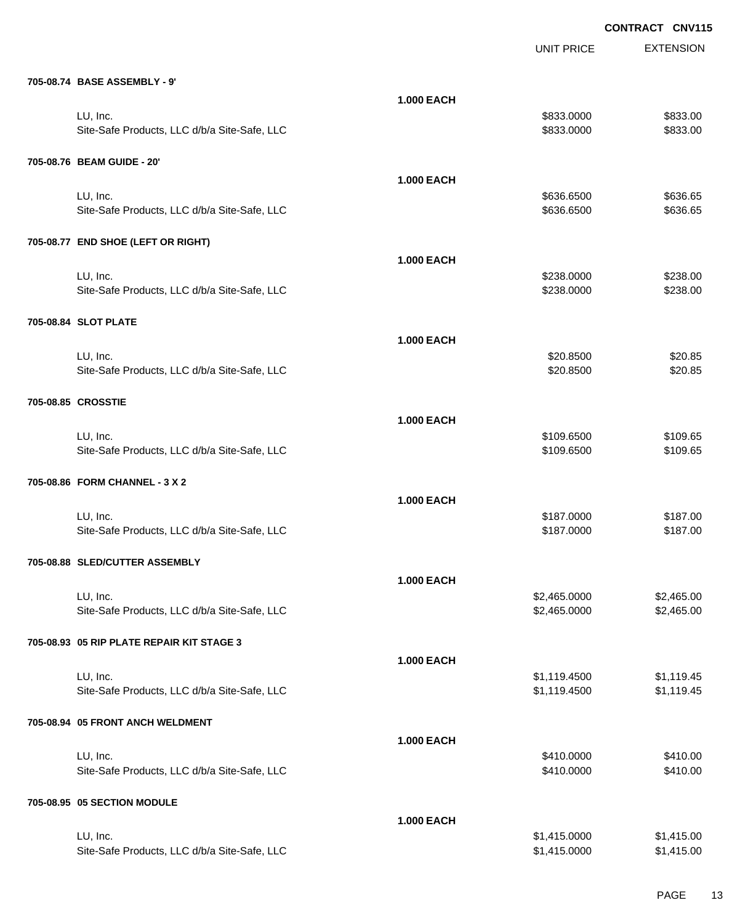|                                              |                   | UNIT PRICE   | <b>EXTENSION</b> |
|----------------------------------------------|-------------------|--------------|------------------|
| 705-08.74 BASE ASSEMBLY - 9'                 |                   |              |                  |
|                                              | <b>1.000 EACH</b> |              |                  |
| LU, Inc.                                     |                   | \$833.0000   | \$833.00         |
| Site-Safe Products, LLC d/b/a Site-Safe, LLC |                   | \$833.0000   | \$833.00         |
| 705-08.76 BEAM GUIDE - 20'                   |                   |              |                  |
|                                              | <b>1.000 EACH</b> |              |                  |
| LU, Inc.                                     |                   | \$636.6500   | \$636.65         |
| Site-Safe Products, LLC d/b/a Site-Safe, LLC |                   | \$636.6500   | \$636.65         |
| 705-08.77 END SHOE (LEFT OR RIGHT)           |                   |              |                  |
|                                              | <b>1.000 EACH</b> |              |                  |
| LU, Inc.                                     |                   | \$238.0000   | \$238.00         |
| Site-Safe Products, LLC d/b/a Site-Safe, LLC |                   | \$238.0000   | \$238.00         |
| 705-08.84 SLOT PLATE                         |                   |              |                  |
|                                              | <b>1.000 EACH</b> |              |                  |
| LU, Inc.                                     |                   | \$20.8500    | \$20.85          |
| Site-Safe Products, LLC d/b/a Site-Safe, LLC |                   | \$20.8500    | \$20.85          |
|                                              |                   |              |                  |
| 705-08.85 CROSSTIE                           |                   |              |                  |
|                                              | <b>1.000 EACH</b> |              |                  |
| LU, Inc.                                     |                   | \$109.6500   | \$109.65         |
| Site-Safe Products, LLC d/b/a Site-Safe, LLC |                   | \$109.6500   | \$109.65         |
| 705-08.86 FORM CHANNEL - 3 X 2               |                   |              |                  |
|                                              | <b>1.000 EACH</b> |              |                  |
| LU, Inc.                                     |                   | \$187.0000   | \$187.00         |
| Site-Safe Products, LLC d/b/a Site-Safe, LLC |                   | \$187.0000   | \$187.00         |
| 705-08.88 SLED/CUTTER ASSEMBLY               |                   |              |                  |
|                                              | <b>1.000 EACH</b> |              |                  |
| LU, Inc.                                     |                   | \$2,465.0000 | \$2,465.00       |
| Site-Safe Products, LLC d/b/a Site-Safe, LLC |                   | \$2,465.0000 | \$2,465.00       |
| 705-08.93 05 RIP PLATE REPAIR KIT STAGE 3    |                   |              |                  |
|                                              | <b>1.000 EACH</b> |              |                  |
| LU, Inc.                                     |                   | \$1,119.4500 | \$1,119.45       |
| Site-Safe Products, LLC d/b/a Site-Safe, LLC |                   | \$1,119.4500 | \$1,119.45       |
| 705-08.94 05 FRONT ANCH WELDMENT             |                   |              |                  |
|                                              | <b>1.000 EACH</b> |              |                  |
| LU, Inc.                                     |                   | \$410.0000   | \$410.00         |
| Site-Safe Products, LLC d/b/a Site-Safe, LLC |                   | \$410.0000   | \$410.00         |
| 705-08.95 05 SECTION MODULE                  |                   |              |                  |
|                                              | <b>1.000 EACH</b> |              |                  |
| LU, Inc.                                     |                   | \$1,415.0000 | \$1,415.00       |
| Site-Safe Products, LLC d/b/a Site-Safe, LLC |                   | \$1,415.0000 | \$1,415.00       |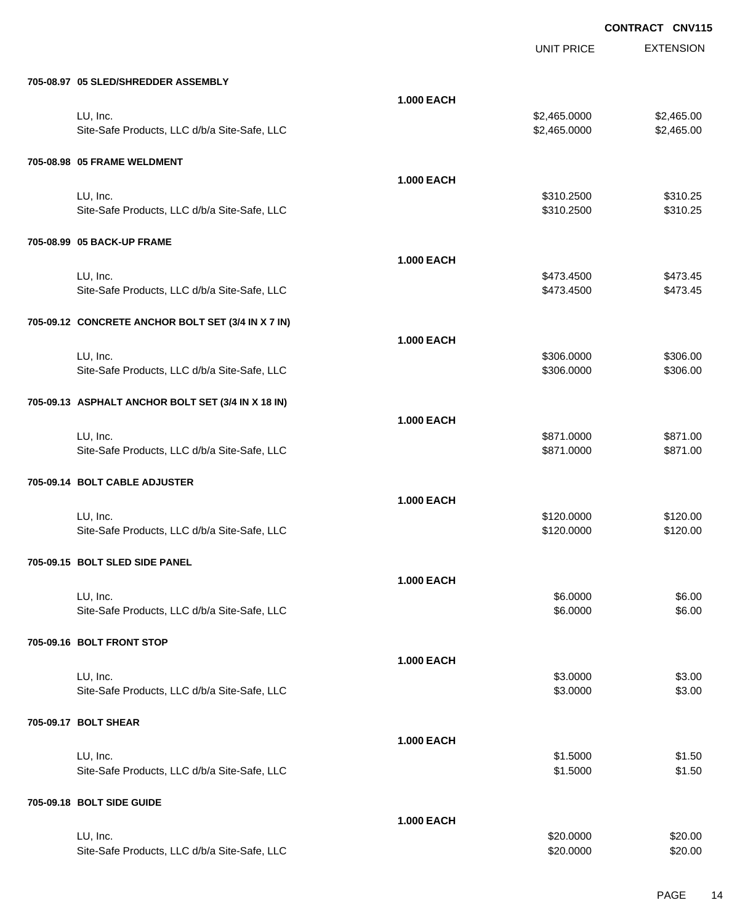|                                                    |                   | <b>UNIT PRICE</b> | <b>EXTENSION</b> |
|----------------------------------------------------|-------------------|-------------------|------------------|
|                                                    |                   |                   |                  |
| 705-08.97 05 SLED/SHREDDER ASSEMBLY                | <b>1.000 EACH</b> |                   |                  |
| LU, Inc.                                           |                   | \$2,465.0000      | \$2,465.00       |
| Site-Safe Products, LLC d/b/a Site-Safe, LLC       |                   | \$2,465.0000      | \$2,465.00       |
| 705-08.98 05 FRAME WELDMENT                        |                   |                   |                  |
|                                                    | <b>1.000 EACH</b> |                   |                  |
| LU, Inc.                                           |                   | \$310.2500        | \$310.25         |
| Site-Safe Products, LLC d/b/a Site-Safe, LLC       |                   | \$310.2500        | \$310.25         |
| 705-08.99 05 BACK-UP FRAME                         |                   |                   |                  |
|                                                    | <b>1.000 EACH</b> |                   |                  |
| LU, Inc.                                           |                   | \$473.4500        | \$473.45         |
| Site-Safe Products, LLC d/b/a Site-Safe, LLC       |                   | \$473.4500        | \$473.45         |
| 705-09.12 CONCRETE ANCHOR BOLT SET (3/4 IN X 7 IN) |                   |                   |                  |
|                                                    | <b>1.000 EACH</b> |                   |                  |
| LU, Inc.                                           |                   | \$306.0000        | \$306.00         |
| Site-Safe Products, LLC d/b/a Site-Safe, LLC       |                   | \$306.0000        | \$306.00         |
| 705-09.13 ASPHALT ANCHOR BOLT SET (3/4 IN X 18 IN) |                   |                   |                  |
|                                                    | <b>1.000 EACH</b> |                   |                  |
| LU, Inc.                                           |                   | \$871.0000        | \$871.00         |
| Site-Safe Products, LLC d/b/a Site-Safe, LLC       |                   | \$871.0000        | \$871.00         |
| 705-09.14 BOLT CABLE ADJUSTER                      |                   |                   |                  |
|                                                    | <b>1.000 EACH</b> |                   |                  |
| LU, Inc.                                           |                   | \$120.0000        | \$120.00         |
| Site-Safe Products, LLC d/b/a Site-Safe, LLC       |                   | \$120.0000        | \$120.00         |
| 705-09.15 BOLT SLED SIDE PANEL                     |                   |                   |                  |
|                                                    | <b>1.000 EACH</b> |                   |                  |
| LU, Inc.                                           |                   | \$6.0000          | \$6.00           |
| Site-Safe Products, LLC d/b/a Site-Safe, LLC       |                   | \$6.0000          | \$6.00           |
| 705-09.16 BOLT FRONT STOP                          |                   |                   |                  |
|                                                    | <b>1.000 EACH</b> |                   |                  |
| LU, Inc.                                           |                   | \$3.0000          | \$3.00           |
| Site-Safe Products, LLC d/b/a Site-Safe, LLC       |                   | \$3.0000          | \$3.00           |
| 705-09.17 BOLT SHEAR                               |                   |                   |                  |
|                                                    | <b>1.000 EACH</b> |                   |                  |
| LU, Inc.                                           |                   | \$1.5000          | \$1.50           |
| Site-Safe Products, LLC d/b/a Site-Safe, LLC       |                   | \$1.5000          | \$1.50           |
| 705-09.18 BOLT SIDE GUIDE                          |                   |                   |                  |
|                                                    | <b>1.000 EACH</b> |                   |                  |
| LU, Inc.                                           |                   | \$20.0000         | \$20.00          |
| Site-Safe Products, LLC d/b/a Site-Safe, LLC       |                   | \$20.0000         | \$20.00          |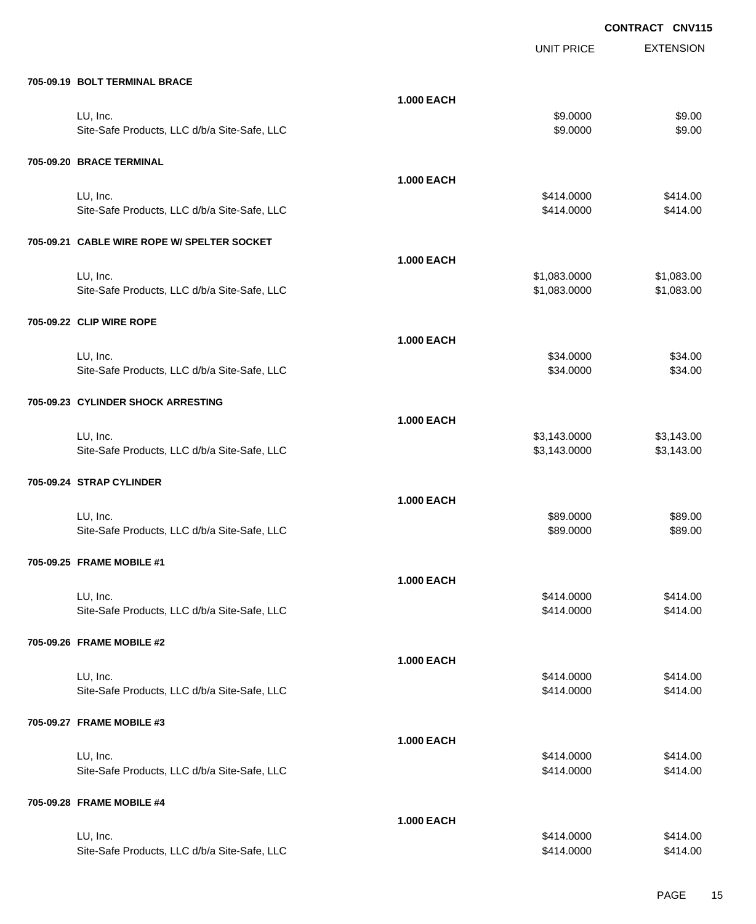|                                              |                   | <b>UNIT PRICE</b> | <b>EXTENSION</b> |
|----------------------------------------------|-------------------|-------------------|------------------|
| 705-09.19 BOLT TERMINAL BRACE                |                   |                   |                  |
|                                              | <b>1.000 EACH</b> |                   |                  |
| LU, Inc.                                     |                   | \$9.0000          | \$9.00           |
| Site-Safe Products, LLC d/b/a Site-Safe, LLC |                   | \$9.0000          | \$9.00           |
| 705-09.20 BRACE TERMINAL                     |                   |                   |                  |
|                                              | <b>1.000 EACH</b> |                   |                  |
| LU, Inc.                                     |                   | \$414.0000        | \$414.00         |
| Site-Safe Products, LLC d/b/a Site-Safe, LLC |                   | \$414.0000        | \$414.00         |
| 705-09.21 CABLE WIRE ROPE W/ SPELTER SOCKET  |                   |                   |                  |
|                                              | <b>1.000 EACH</b> |                   |                  |
| LU, Inc.                                     |                   | \$1,083.0000      | \$1,083.00       |
| Site-Safe Products, LLC d/b/a Site-Safe, LLC |                   | \$1,083.0000      | \$1,083.00       |
| 705-09.22 CLIP WIRE ROPE                     |                   |                   |                  |
|                                              | <b>1.000 EACH</b> |                   |                  |
| LU, Inc.                                     |                   | \$34.0000         | \$34.00          |
| Site-Safe Products, LLC d/b/a Site-Safe, LLC |                   | \$34.0000         | \$34.00          |
| 705-09.23 CYLINDER SHOCK ARRESTING           |                   |                   |                  |
|                                              | <b>1.000 EACH</b> |                   |                  |
| LU, Inc.                                     |                   | \$3,143.0000      | \$3,143.00       |
| Site-Safe Products, LLC d/b/a Site-Safe, LLC |                   | \$3,143.0000      | \$3,143.00       |
| 705-09.24 STRAP CYLINDER                     |                   |                   |                  |
|                                              | <b>1.000 EACH</b> |                   |                  |
| LU, Inc.                                     |                   | \$89.0000         | \$89.00          |
| Site-Safe Products, LLC d/b/a Site-Safe, LLC |                   | \$89.0000         | \$89.00          |
| 705-09.25 FRAME MOBILE #1                    |                   |                   |                  |
|                                              | <b>1.000 EACH</b> |                   |                  |
| LU, Inc.                                     |                   | \$414.0000        | \$414.00         |
| Site-Safe Products, LLC d/b/a Site-Safe, LLC |                   | \$414.0000        | \$414.00         |
| 705-09.26 FRAME MOBILE #2                    |                   |                   |                  |
|                                              | <b>1.000 EACH</b> |                   |                  |
| LU, Inc.                                     |                   | \$414.0000        | \$414.00         |
| Site-Safe Products, LLC d/b/a Site-Safe, LLC |                   | \$414.0000        | \$414.00         |
| 705-09.27 FRAME MOBILE #3                    |                   |                   |                  |
|                                              | <b>1.000 EACH</b> |                   |                  |
| LU, Inc.                                     |                   | \$414.0000        | \$414.00         |
| Site-Safe Products, LLC d/b/a Site-Safe, LLC |                   | \$414.0000        | \$414.00         |
| 705-09.28 FRAME MOBILE #4                    |                   |                   |                  |
|                                              | <b>1.000 EACH</b> |                   |                  |
| LU, Inc.                                     |                   | \$414.0000        | \$414.00         |
| Site-Safe Products, LLC d/b/a Site-Safe, LLC |                   | \$414.0000        | \$414.00         |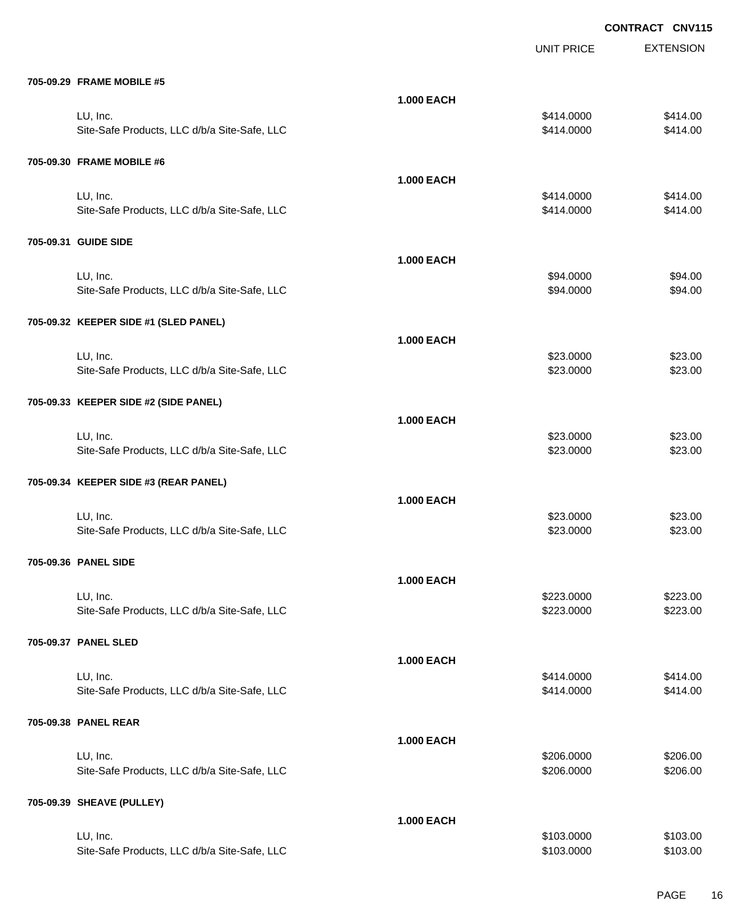|                                              |                   | <b>UNIT PRICE</b> | <b>EXTENSION</b> |
|----------------------------------------------|-------------------|-------------------|------------------|
| 705-09.29 FRAME MOBILE #5                    |                   |                   |                  |
|                                              | <b>1.000 EACH</b> |                   |                  |
| LU, Inc.                                     |                   | \$414.0000        | \$414.00         |
| Site-Safe Products, LLC d/b/a Site-Safe, LLC |                   | \$414.0000        | \$414.00         |
| 705-09.30 FRAME MOBILE #6                    |                   |                   |                  |
|                                              | <b>1.000 EACH</b> |                   |                  |
| LU, Inc.                                     |                   | \$414.0000        | \$414.00         |
| Site-Safe Products, LLC d/b/a Site-Safe, LLC |                   | \$414.0000        | \$414.00         |
| 705-09.31 GUIDE SIDE                         |                   |                   |                  |
|                                              | <b>1.000 EACH</b> |                   |                  |
| LU, Inc.                                     |                   | \$94.0000         | \$94.00          |
| Site-Safe Products, LLC d/b/a Site-Safe, LLC |                   | \$94.0000         | \$94.00          |
|                                              |                   |                   |                  |
| 705-09.32 KEEPER SIDE #1 (SLED PANEL)        |                   |                   |                  |
|                                              | <b>1.000 EACH</b> |                   |                  |
| LU, Inc.                                     |                   | \$23.0000         | \$23.00          |
| Site-Safe Products, LLC d/b/a Site-Safe, LLC |                   | \$23.0000         | \$23.00          |
| 705-09.33 KEEPER SIDE #2 (SIDE PANEL)        |                   |                   |                  |
|                                              | <b>1.000 EACH</b> |                   |                  |
| LU, Inc.                                     |                   | \$23.0000         | \$23.00          |
| Site-Safe Products, LLC d/b/a Site-Safe, LLC |                   | \$23.0000         | \$23.00          |
| 705-09.34 KEEPER SIDE #3 (REAR PANEL)        |                   |                   |                  |
|                                              | <b>1.000 EACH</b> |                   |                  |
| LU, Inc.                                     |                   | \$23.0000         | \$23.00          |
| Site-Safe Products, LLC d/b/a Site-Safe, LLC |                   | \$23.0000         | \$23.00          |
| 705-09.36 PANEL SIDE                         |                   |                   |                  |
|                                              | <b>1.000 EACH</b> |                   |                  |
| LU, Inc.                                     |                   | \$223.0000        | \$223.00         |
| Site-Safe Products, LLC d/b/a Site-Safe, LLC |                   | \$223.0000        | \$223.00         |
| 705-09.37 PANEL SLED                         |                   |                   |                  |
|                                              | <b>1.000 EACH</b> |                   |                  |
| LU, Inc.                                     |                   | \$414.0000        | \$414.00         |
| Site-Safe Products, LLC d/b/a Site-Safe, LLC |                   | \$414.0000        | \$414.00         |
|                                              |                   |                   |                  |
| 705-09.38 PANEL REAR                         |                   |                   |                  |
|                                              | <b>1.000 EACH</b> |                   |                  |
| LU, Inc.                                     |                   | \$206.0000        | \$206.00         |
| Site-Safe Products, LLC d/b/a Site-Safe, LLC |                   | \$206.0000        | \$206.00         |
| 705-09.39 SHEAVE (PULLEY)                    |                   |                   |                  |
|                                              | <b>1.000 EACH</b> |                   |                  |
| LU, Inc.                                     |                   | \$103.0000        | \$103.00         |
| Site-Safe Products, LLC d/b/a Site-Safe, LLC |                   | \$103.0000        | \$103.00         |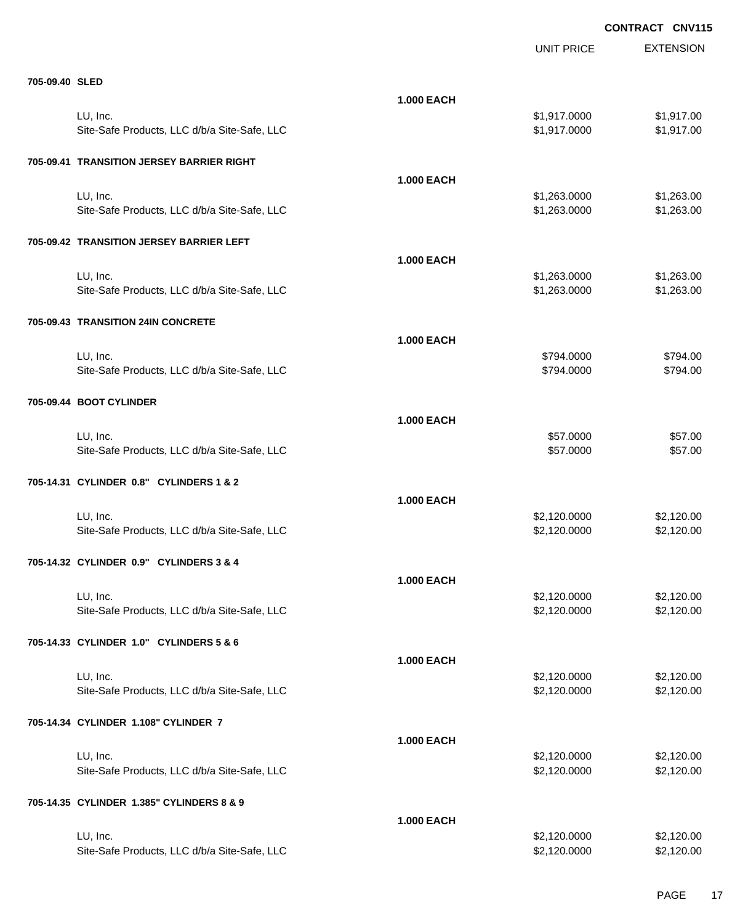|                                              |                   | <b>UNIT PRICE</b> | <b>EXTENSION</b> |
|----------------------------------------------|-------------------|-------------------|------------------|
| 705-09.40 SLED                               |                   |                   |                  |
|                                              | <b>1.000 EACH</b> |                   |                  |
| LU, Inc.                                     |                   | \$1,917.0000      | \$1,917.00       |
| Site-Safe Products, LLC d/b/a Site-Safe, LLC |                   | \$1,917.0000      | \$1,917.00       |
| 705-09.41 TRANSITION JERSEY BARRIER RIGHT    |                   |                   |                  |
|                                              | <b>1.000 EACH</b> |                   |                  |
| LU, Inc.                                     |                   | \$1,263.0000      | \$1,263.00       |
| Site-Safe Products, LLC d/b/a Site-Safe, LLC |                   | \$1,263.0000      | \$1,263.00       |
| 705-09.42 TRANSITION JERSEY BARRIER LEFT     |                   |                   |                  |
|                                              | <b>1.000 EACH</b> |                   |                  |
| LU, Inc.                                     |                   | \$1,263.0000      | \$1,263.00       |
| Site-Safe Products, LLC d/b/a Site-Safe, LLC |                   | \$1,263.0000      | \$1,263.00       |
| 705-09.43 TRANSITION 24IN CONCRETE           |                   |                   |                  |
|                                              | <b>1.000 EACH</b> |                   |                  |
| LU, Inc.                                     |                   | \$794.0000        | \$794.00         |
| Site-Safe Products, LLC d/b/a Site-Safe, LLC |                   | \$794.0000        | \$794.00         |
| 705-09.44 BOOT CYLINDER                      |                   |                   |                  |
|                                              | <b>1.000 EACH</b> |                   |                  |
| LU, Inc.                                     |                   | \$57.0000         | \$57.00          |
| Site-Safe Products, LLC d/b/a Site-Safe, LLC |                   | \$57.0000         | \$57.00          |
| 705-14.31 CYLINDER 0.8" CYLINDERS 1 & 2      |                   |                   |                  |
|                                              | <b>1.000 EACH</b> |                   |                  |
| LU, Inc.                                     |                   | \$2,120.0000      | \$2,120.00       |
| Site-Safe Products, LLC d/b/a Site-Safe, LLC |                   | \$2,120.0000      | \$2,120.00       |
| 705-14.32 CYLINDER 0.9" CYLINDERS 3 & 4      |                   |                   |                  |
|                                              | 1.000 EACH        |                   |                  |
| LU, Inc.                                     |                   | \$2,120.0000      | \$2,120.00       |
| Site-Safe Products, LLC d/b/a Site-Safe, LLC |                   | \$2,120.0000      | \$2,120.00       |
| 705-14.33 CYLINDER 1.0" CYLINDERS 5 & 6      |                   |                   |                  |
|                                              | <b>1.000 EACH</b> |                   |                  |
| LU, Inc.                                     |                   | \$2,120.0000      | \$2,120.00       |
| Site-Safe Products, LLC d/b/a Site-Safe, LLC |                   | \$2,120.0000      | \$2,120.00       |
| 705-14.34 CYLINDER 1.108" CYLINDER 7         |                   |                   |                  |
|                                              | <b>1.000 EACH</b> |                   |                  |
| LU, Inc.                                     |                   | \$2,120.0000      | \$2,120.00       |
| Site-Safe Products, LLC d/b/a Site-Safe, LLC |                   | \$2,120.0000      | \$2,120.00       |
| 705-14.35 CYLINDER 1.385" CYLINDERS 8 & 9    |                   |                   |                  |
|                                              | <b>1.000 EACH</b> |                   |                  |
| LU, Inc.                                     |                   | \$2,120.0000      | \$2,120.00       |
| Site-Safe Products, LLC d/b/a Site-Safe, LLC |                   | \$2,120.0000      | \$2,120.00       |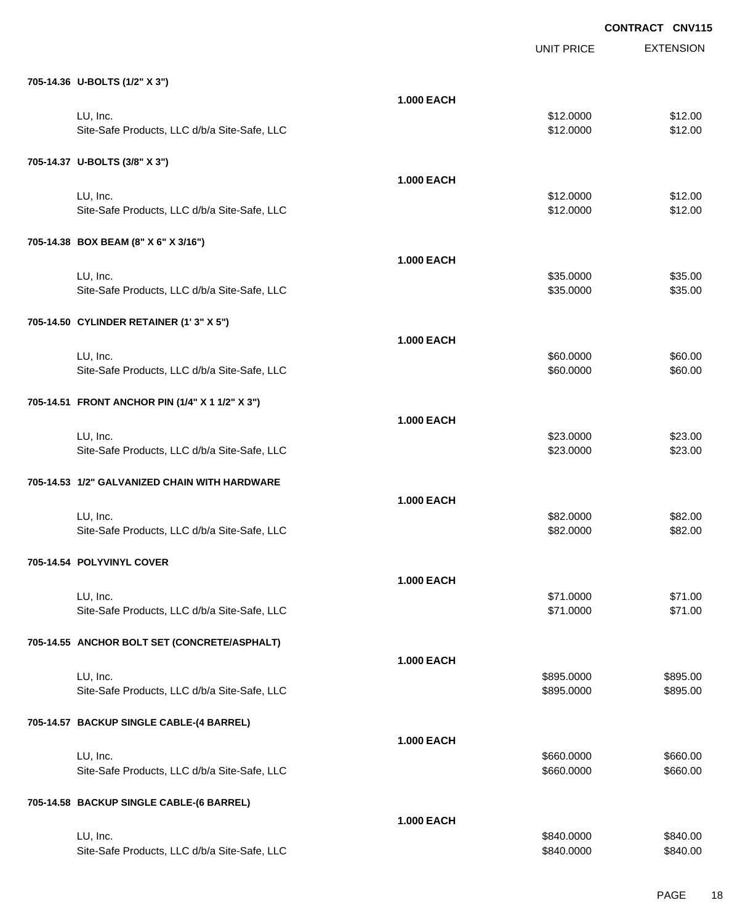EXTENSION **CONTRACT CNV115** UNIT PRICE **705-14.36 U-BOLTS (1/2" X 3") 1.000 EACH** LU, Inc. \$12.0000 \$12.00 Site-Safe Products, LLC d/b/a Site-Safe, LLC \$12.000 \$12.000 \$12.000 **705-14.37 U-BOLTS (3/8" X 3") 1.000 EACH** LU, Inc. \$12.0000 \$12.00 Site-Safe Products, LLC d/b/a Site-Safe, LLC \$12.000 \$12.000 \$12.000 **705-14.38 BOX BEAM (8" X 6" X 3/16") 1.000 EACH** LU, Inc. \$35.0000 \$35.00 Site-Safe Products, LLC d/b/a Site-Safe, LLC \$35.000 \$35.000 \$35.000 \$35.000 **705-14.50 CYLINDER RETAINER (1' 3" X 5") 1.000 EACH** LU, Inc. \$60.0000 \$60.00 Site-Safe Products, LLC d/b/a Site-Safe, LLC  $$60.000$  \$60.000 \$60.00 **705-14.51 FRONT ANCHOR PIN (1/4" X 1 1/2" X 3") 1.000 EACH** LU, Inc. \$23.0000 \$23.00 Site-Safe Products, LLC d/b/a Site-Safe, LLC  $$23.000$  \$23.000 \$23.00 **705-14.53 1/2" GALVANIZED CHAIN WITH HARDWARE 1.000 EACH** LU, Inc. \$82.0000 \$82.00 Site-Safe Products, LLC d/b/a Site-Safe, LLC  $$82.000$  \$82.000 \$82.00 **705-14.54 POLYVINYL COVER 1.000 EACH** LU, Inc. \$71.0000 \$71.00 Site-Safe Products, LLC d/b/a Site-Safe, LLC \$71.000 \$71.000 \$71.000 **705-14.55 ANCHOR BOLT SET (CONCRETE/ASPHALT) 1.000 EACH** LU, Inc. \$895.0000 \$895.00 Site-Safe Products, LLC d/b/a Site-Safe, LLC  $$895.000$  \$895.000 \$895.000 **705-14.57 BACKUP SINGLE CABLE-(4 BARREL) 1.000 EACH** LU, Inc. \$660.0000 \$660.00 Site-Safe Products, LLC d/b/a Site-Safe, LLC  $$660.000$  \$660.000 \$660.000 **705-14.58 BACKUP SINGLE CABLE-(6 BARREL) 1.000 EACH** LU, Inc. \$840.0000 \$840.00

Site-Safe Products, LLC d/b/a Site-Safe, LLC  $$840.000$  \$840.000 \$840.000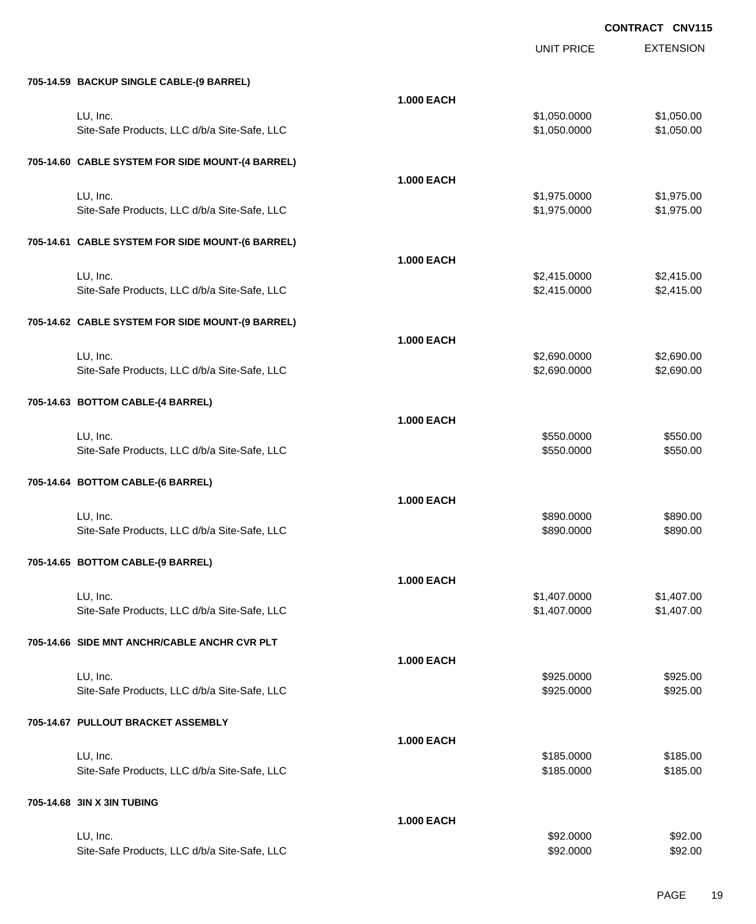|                                                  |                   | UNIT PRICE   | <b>EXTENSION</b> |
|--------------------------------------------------|-------------------|--------------|------------------|
| 705-14.59 BACKUP SINGLE CABLE-(9 BARREL)         |                   |              |                  |
|                                                  | <b>1.000 EACH</b> |              |                  |
| LU, Inc.                                         |                   | \$1,050.0000 | \$1,050.00       |
| Site-Safe Products, LLC d/b/a Site-Safe, LLC     |                   | \$1,050.0000 | \$1,050.00       |
| 705-14.60 CABLE SYSTEM FOR SIDE MOUNT-(4 BARREL) |                   |              |                  |
|                                                  | <b>1.000 EACH</b> |              |                  |
| LU, Inc.                                         |                   | \$1,975.0000 | \$1,975.00       |
| Site-Safe Products, LLC d/b/a Site-Safe, LLC     |                   | \$1,975.0000 | \$1,975.00       |
| 705-14.61 CABLE SYSTEM FOR SIDE MOUNT-(6 BARREL) |                   |              |                  |
|                                                  | <b>1.000 EACH</b> |              |                  |
| LU, Inc.                                         |                   | \$2,415.0000 | \$2,415.00       |
| Site-Safe Products, LLC d/b/a Site-Safe, LLC     |                   | \$2,415.0000 | \$2,415.00       |
|                                                  |                   |              |                  |
| 705-14.62 CABLE SYSTEM FOR SIDE MOUNT-(9 BARREL) |                   |              |                  |
|                                                  | <b>1.000 EACH</b> |              |                  |
| LU, Inc.                                         |                   | \$2,690.0000 | \$2,690.00       |
| Site-Safe Products, LLC d/b/a Site-Safe, LLC     |                   | \$2,690.0000 | \$2,690.00       |
| 705-14.63 BOTTOM CABLE-(4 BARREL)                |                   |              |                  |
|                                                  | <b>1.000 EACH</b> |              |                  |
| LU, Inc.                                         |                   | \$550.0000   | \$550.00         |
| Site-Safe Products, LLC d/b/a Site-Safe, LLC     |                   | \$550.0000   | \$550.00         |
| 705-14.64 BOTTOM CABLE-(6 BARREL)                |                   |              |                  |
|                                                  |                   |              |                  |
|                                                  | <b>1.000 EACH</b> |              |                  |
| LU, Inc.                                         |                   | \$890.0000   | \$890.00         |
| Site-Safe Products, LLC d/b/a Site-Safe, LLC     |                   | \$890.0000   | \$890.00         |
| 705-14.65 BOTTOM CABLE-(9 BARREL)                |                   |              |                  |
|                                                  | <b>1.000 EACH</b> |              |                  |
| LU, Inc.                                         |                   | \$1,407.0000 | \$1,407.00       |
| Site-Safe Products, LLC d/b/a Site-Safe, LLC     |                   | \$1,407.0000 | \$1,407.00       |
| 705-14.66 SIDE MNT ANCHR/CABLE ANCHR CVR PLT     |                   |              |                  |
|                                                  | <b>1.000 EACH</b> |              |                  |
| LU, Inc.                                         |                   | \$925.0000   | \$925.00         |
| Site-Safe Products, LLC d/b/a Site-Safe, LLC     |                   | \$925.0000   | \$925.00         |
| 705-14.67 PULLOUT BRACKET ASSEMBLY               |                   |              |                  |
|                                                  | <b>1.000 EACH</b> |              |                  |
| LU, Inc.                                         |                   | \$185.0000   | \$185.00         |
| Site-Safe Products, LLC d/b/a Site-Safe, LLC     |                   | \$185.0000   | \$185.00         |
|                                                  |                   |              |                  |
| 705-14.68 3IN X 3IN TUBING                       |                   |              |                  |
| LU, Inc.                                         | <b>1.000 EACH</b> | \$92.0000    | \$92.00          |
| Site-Safe Products, LLC d/b/a Site-Safe, LLC     |                   | \$92.0000    | \$92.00          |
|                                                  |                   |              |                  |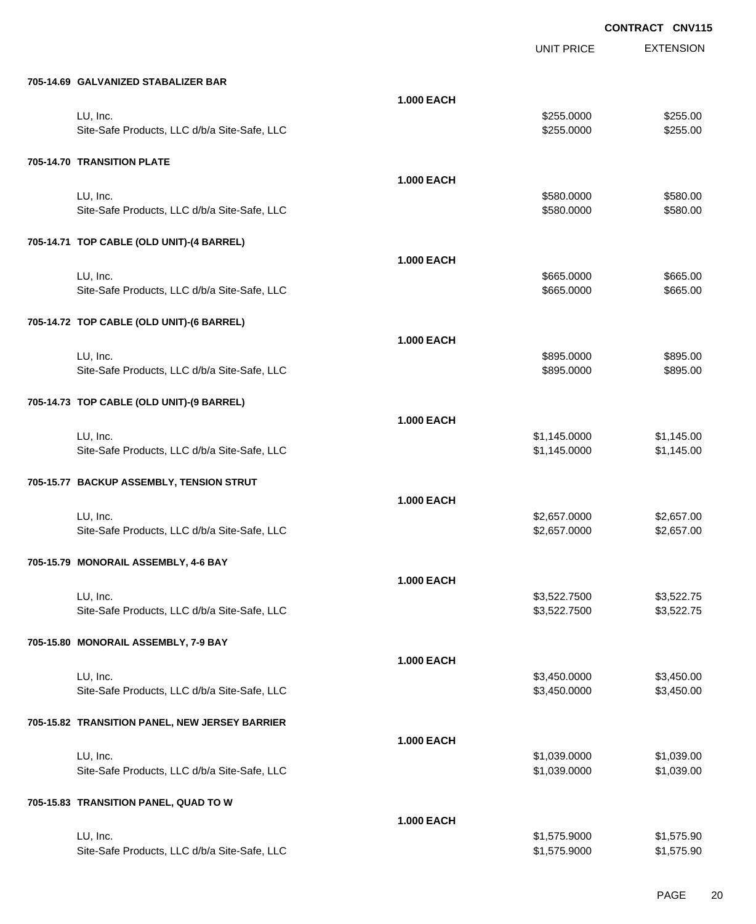|                                                |                   | <b>UNIT PRICE</b> | <b>EXTENSION</b> |
|------------------------------------------------|-------------------|-------------------|------------------|
| 705-14.69 GALVANIZED STABALIZER BAR            |                   |                   |                  |
|                                                | <b>1.000 EACH</b> |                   |                  |
| LU, Inc.                                       |                   | \$255.0000        | \$255.00         |
| Site-Safe Products, LLC d/b/a Site-Safe, LLC   |                   | \$255.0000        | \$255.00         |
| 705-14.70 TRANSITION PLATE                     |                   |                   |                  |
|                                                | <b>1.000 EACH</b> |                   |                  |
| LU, Inc.                                       |                   | \$580.0000        | \$580.00         |
| Site-Safe Products, LLC d/b/a Site-Safe, LLC   |                   | \$580.0000        | \$580.00         |
| 705-14.71 TOP CABLE (OLD UNIT)-(4 BARREL)      |                   |                   |                  |
|                                                | <b>1.000 EACH</b> |                   |                  |
| LU, Inc.                                       |                   | \$665.0000        | \$665.00         |
| Site-Safe Products, LLC d/b/a Site-Safe, LLC   |                   | \$665.0000        | \$665.00         |
| 705-14.72 TOP CABLE (OLD UNIT)-(6 BARREL)      |                   |                   |                  |
|                                                | <b>1.000 EACH</b> |                   |                  |
| LU, Inc.                                       |                   | \$895.0000        | \$895.00         |
| Site-Safe Products, LLC d/b/a Site-Safe, LLC   |                   | \$895.0000        | \$895.00         |
| 705-14.73 TOP CABLE (OLD UNIT)-(9 BARREL)      |                   |                   |                  |
|                                                | <b>1.000 EACH</b> |                   |                  |
| LU, Inc.                                       |                   | \$1,145.0000      | \$1,145.00       |
| Site-Safe Products, LLC d/b/a Site-Safe, LLC   |                   | \$1,145.0000      | \$1,145.00       |
| 705-15.77 BACKUP ASSEMBLY, TENSION STRUT       |                   |                   |                  |
|                                                | <b>1.000 EACH</b> |                   |                  |
| LU, Inc.                                       |                   | \$2,657.0000      | \$2,657.00       |
| Site-Safe Products, LLC d/b/a Site-Safe, LLC   |                   | \$2,657.0000      | \$2,657.00       |
| 705-15.79 MONORAIL ASSEMBLY, 4-6 BAY           |                   |                   |                  |
|                                                | <b>1.000 EACH</b> |                   |                  |
| LU, Inc.                                       |                   | \$3,522.7500      | \$3,522.75       |
| Site-Safe Products, LLC d/b/a Site-Safe, LLC   |                   | \$3,522.7500      | \$3,522.75       |
| 705-15.80 MONORAIL ASSEMBLY, 7-9 BAY           |                   |                   |                  |
|                                                | <b>1.000 EACH</b> |                   |                  |
| LU, Inc.                                       |                   | \$3,450.0000      | \$3,450.00       |
| Site-Safe Products, LLC d/b/a Site-Safe, LLC   |                   | \$3,450.0000      | \$3,450.00       |
| 705-15.82 TRANSITION PANEL, NEW JERSEY BARRIER |                   |                   |                  |
|                                                | <b>1.000 EACH</b> |                   |                  |
| LU, Inc.                                       |                   | \$1,039.0000      | \$1,039.00       |
| Site-Safe Products, LLC d/b/a Site-Safe, LLC   |                   | \$1,039.0000      | \$1,039.00       |
| 705-15.83 TRANSITION PANEL, QUAD TO W          |                   |                   |                  |
|                                                | <b>1.000 EACH</b> |                   |                  |
| LU, Inc.                                       |                   | \$1,575.9000      | \$1,575.90       |
| Site-Safe Products, LLC d/b/a Site-Safe, LLC   |                   | \$1,575.9000      | \$1,575.90       |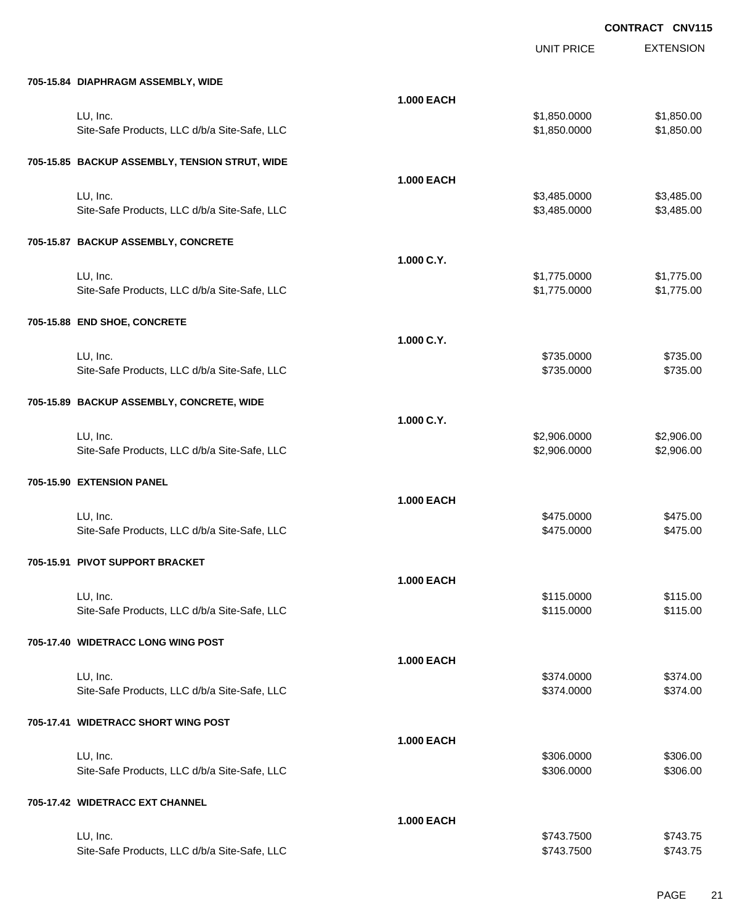|                                                |                   | <b>UNIT PRICE</b> | <b>EXTENSION</b> |
|------------------------------------------------|-------------------|-------------------|------------------|
| 705-15.84 DIAPHRAGM ASSEMBLY, WIDE             |                   |                   |                  |
|                                                | <b>1.000 EACH</b> |                   |                  |
| LU, Inc.                                       |                   | \$1,850.0000      | \$1,850.00       |
| Site-Safe Products, LLC d/b/a Site-Safe, LLC   |                   | \$1,850.0000      | \$1,850.00       |
| 705-15.85 BACKUP ASSEMBLY, TENSION STRUT, WIDE |                   |                   |                  |
|                                                | <b>1.000 EACH</b> |                   |                  |
| LU, Inc.                                       |                   | \$3,485.0000      | \$3,485.00       |
| Site-Safe Products, LLC d/b/a Site-Safe, LLC   |                   | \$3,485.0000      | \$3,485.00       |
| 705-15.87 BACKUP ASSEMBLY, CONCRETE            |                   |                   |                  |
|                                                | 1.000 C.Y.        |                   |                  |
| LU, Inc.                                       |                   | \$1,775.0000      | \$1,775.00       |
| Site-Safe Products, LLC d/b/a Site-Safe, LLC   |                   | \$1,775.0000      | \$1,775.00       |
| 705-15.88 END SHOE, CONCRETE                   |                   |                   |                  |
|                                                | 1.000 C.Y.        |                   |                  |
| LU, Inc.                                       |                   | \$735.0000        | \$735.00         |
| Site-Safe Products, LLC d/b/a Site-Safe, LLC   |                   | \$735.0000        | \$735.00         |
| 705-15.89 BACKUP ASSEMBLY, CONCRETE, WIDE      |                   |                   |                  |
|                                                | 1.000 C.Y.        |                   |                  |
| LU, Inc.                                       |                   | \$2,906.0000      | \$2,906.00       |
| Site-Safe Products, LLC d/b/a Site-Safe, LLC   |                   | \$2,906.0000      | \$2,906.00       |
| 705-15.90 EXTENSION PANEL                      |                   |                   |                  |
|                                                | <b>1.000 EACH</b> |                   |                  |
| LU, Inc.                                       |                   | \$475.0000        | \$475.00         |
| Site-Safe Products, LLC d/b/a Site-Safe, LLC   |                   | \$475.0000        | \$475.00         |
| 705-15.91   PIVOT SUPPORT BRACKET              |                   |                   |                  |
|                                                | <b>1.000 EACH</b> |                   |                  |
| LU, Inc.                                       |                   | \$115.0000        | \$115.00         |
| Site-Safe Products, LLC d/b/a Site-Safe, LLC   |                   | \$115.0000        | \$115.00         |
| 705-17.40 WIDETRACC LONG WING POST             |                   |                   |                  |
|                                                | <b>1.000 EACH</b> |                   |                  |
| LU, Inc.                                       |                   | \$374.0000        | \$374.00         |
| Site-Safe Products, LLC d/b/a Site-Safe, LLC   |                   | \$374.0000        | \$374.00         |
| 705-17.41 WIDETRACC SHORT WING POST            |                   |                   |                  |
|                                                | <b>1.000 EACH</b> |                   |                  |
| LU, Inc.                                       |                   | \$306.0000        | \$306.00         |
| Site-Safe Products, LLC d/b/a Site-Safe, LLC   |                   | \$306.0000        | \$306.00         |
| 705-17.42 WIDETRACC EXT CHANNEL                |                   |                   |                  |
|                                                | <b>1.000 EACH</b> |                   |                  |
| LU, Inc.                                       |                   | \$743.7500        | \$743.75         |
| Site-Safe Products, LLC d/b/a Site-Safe, LLC   |                   | \$743.7500        | \$743.75         |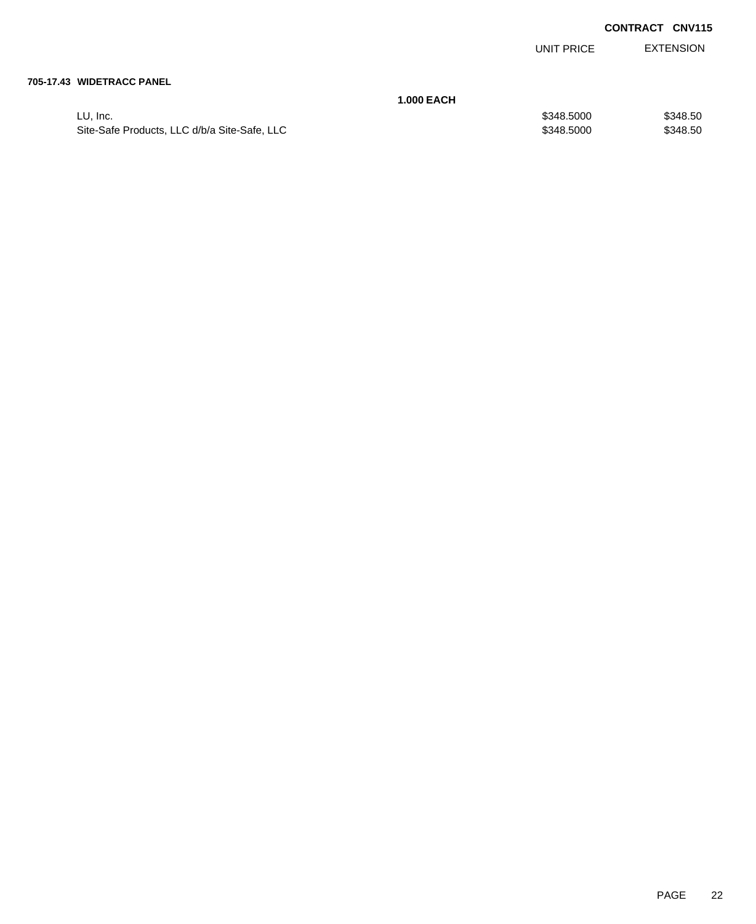UNIT PRICE EXTENSION

#### **705-17.43 WIDETRACC PANEL**

|                                              | <b>1.000 EACH</b> |          |
|----------------------------------------------|-------------------|----------|
| LU. Inc.                                     | \$348,5000        | \$348.50 |
| Site-Safe Products, LLC d/b/a Site-Safe, LLC | \$348,5000        | \$348.50 |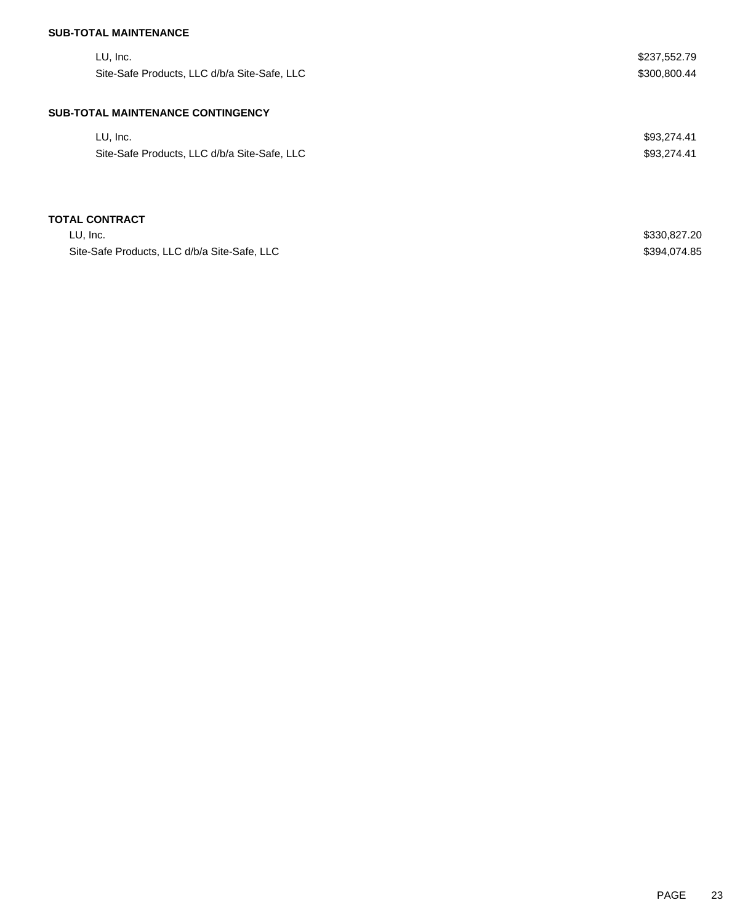# **SUB-TOTAL MAINTENANCE**

| LU, Inc.                                     | \$237,552.79 |
|----------------------------------------------|--------------|
| Site-Safe Products, LLC d/b/a Site-Safe, LLC | \$300,800.44 |
| <b>SUB-TOTAL MAINTENANCE CONTINGENCY</b>     |              |
| LU, Inc.                                     | \$93,274.41  |
| Site-Safe Products, LLC d/b/a Site-Safe, LLC | \$93,274.41  |
|                                              |              |
| <b>TOTAL CONTRACT</b>                        |              |
| LU, Inc.                                     | \$330,827.20 |
| Site-Safe Products, LLC d/b/a Site-Safe, LLC | \$394,074.85 |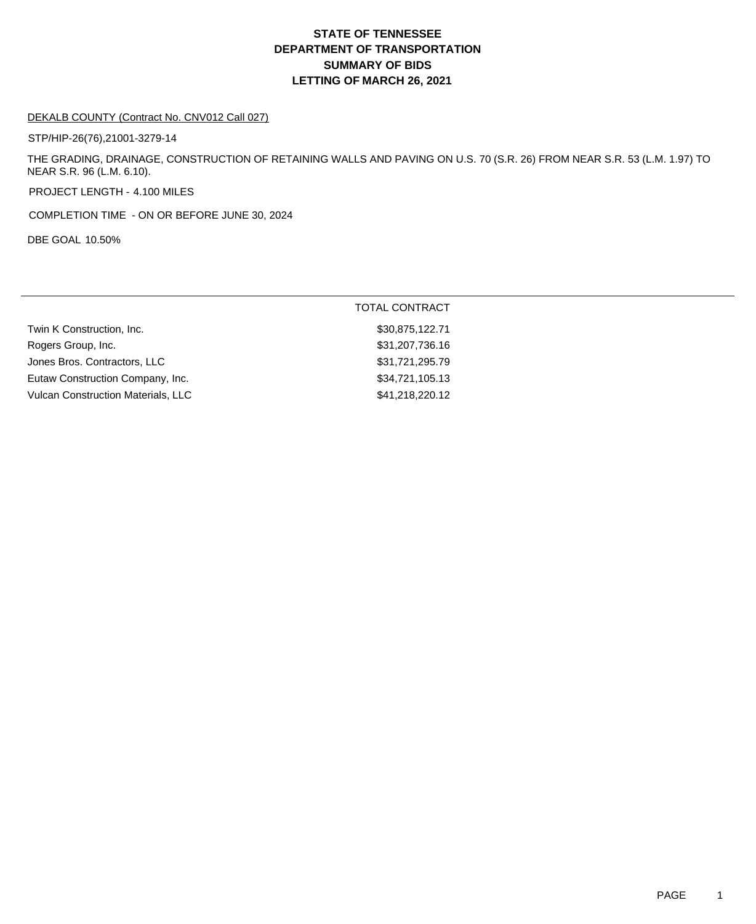# **DEPARTMENT OF TRANSPORTATION SUMMARY OF BIDS LETTING OF MARCH 26, 2021 STATE OF TENNESSEE**

#### DEKALB COUNTY (Contract No. CNV012 Call 027)

STP/HIP-26(76),21001-3279-14

THE GRADING, DRAINAGE, CONSTRUCTION OF RETAINING WALLS AND PAVING ON U.S. 70 (S.R. 26) FROM NEAR S.R. 53 (L.M. 1.97) TO NEAR S.R. 96 (L.M. 6.10).

PROJECT LENGTH - 4.100 MILES

COMPLETION TIME - ON OR BEFORE JUNE 30, 2024

DBE GOAL 10.50%

|                                    | <b>TOTAL CONTRACT</b> |
|------------------------------------|-----------------------|
| Twin K Construction, Inc.          | \$30,875,122.71       |
| Rogers Group, Inc.                 | \$31,207,736.16       |
| Jones Bros. Contractors, LLC       | \$31,721,295.79       |
| Eutaw Construction Company, Inc.   | \$34,721,105.13       |
| Vulcan Construction Materials, LLC | \$41,218,220.12       |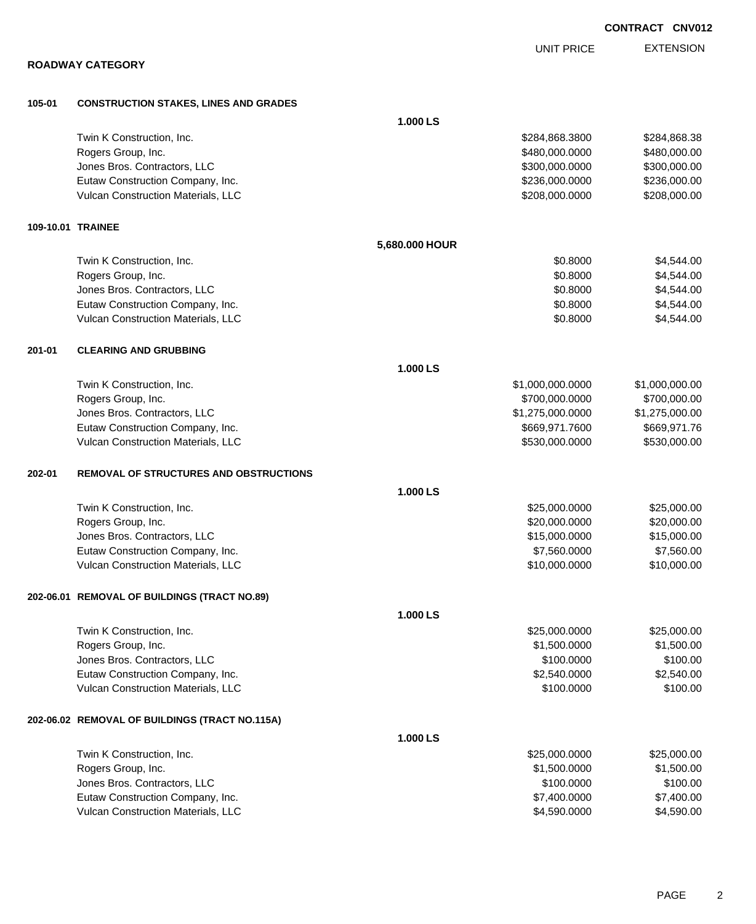**ROADWAY CATEGORY 105-01 CONSTRUCTION STAKES, LINES AND GRADES 1.000 LS** Twin K Construction, Inc. 68.3800 \$284,868.3800 \$284,868.3800 \$284,868.3800 \$284,868.3800 \$284,868.38 Rogers Group, Inc. 6. 2010. The state of the state of the state of the state of the state of the state of the state of the state of the state of the state of the state of the state of the state of the state of the state of dones Bros. Contractors, LLC 6. 200 1000 \$300,000 \$300,000 \$300,000.000 \$300,000.000 \$300,000.00 Eutaw Construction Company, Inc. 6. 2008. The state of the state of the state of the state of the state of the state of the state of the state of the state of the state of the state of the state of the state of the state o Vulcan Construction Materials, LLC 6000000 \$208,000.000 \$208,000.000 \$208,000.000 \$208,000.00 **109-10.01 TRAINEE 5,680.000 HOUR** Twin K Construction, Inc. 66 and the set of the set of the set of the set of the set of the set of the set of the set of the set of the set of the set of the set of the set of the set of the set of the set of the set of th Rogers Group, Inc. \$1,544.00 \$4,544.00 \$4,544.00 \$4,544.00 \$4,544.00 \$4,544.00 \$4,544.00 Jones Bros. Contractors, LLC \$0.8000 \$4,544.00 Eutaw Construction Company, Inc. 6. The Construction Company, Inc. 6. The Construction Company, Inc. 6. The Construction Company, Inc. 6. The Construction Company, Inc. 6. The Construction Company, Inc. 6. The Construction Vulcan Construction Materials, LLC 60.8000 \$4,544.00 **201-01 CLEARING AND GRUBBING 1.000 LS** Twin K Construction, Inc. 6. The state of the state of the state of the state of the state of the state of the state of the state of the state of the state of the state of the state of the state of the state of the state o Rogers Group, Inc. \$700,000.000 \$700,000.000 \$700,000.000 \$700,000.000 \$700,000.000 \$700,000.00 Jones Bros. Contractors, LLC \$1,275,000.0000 \$1,275,000.00 Eutaw Construction Company, Inc. 6. The Construction Company, Inc. 6. The Construction Company, Inc. 6. The Construction Company, Inc. 6. The Construction Company, Inc. 6. The Construction Company, Inc. 6. The Construction Vulcan Construction Materials, LLC 6000000 \$530,000.000 \$530,000.000 \$530,000.000 \$530,000.00 **202-01 REMOVAL OF STRUCTURES AND OBSTRUCTIONS 1.000 LS** Twin K Construction, Inc. 625,000.000 \$25,000.000 \$25,000.000 \$25,000.000 \$25,000.000 \$25,000.00 Rogers Group, Inc. \$20,000.000 \$20,000.000 \$20,000.000 \$20,000.000 \$20,000.000 \$20,000.00 Jones Bros. Contractors, LLC \$15,000.0000 \$15,000.00 Eutaw Construction Company, Inc. 60000 \$7,560.000 \$7,560.000 \$7,560.000 \$7,560.000 \$7,560.00 Vulcan Construction Materials, LLC 6000000 \$10,000.000 \$10,000.000 \$10,000.000 \$10,000.00 **202-06.01 REMOVAL OF BUILDINGS (TRACT NO.89) 1.000 LS** Twin K Construction, Inc. 625,000.000 \$25,000.000 \$25,000.000 \$25,000.000 \$25,000.000 \$25,000.00 Rogers Group, Inc. \$1,500.000 \$1,500.000 \$1,500.000 \$1,500.000 \$1,500.000 \$1,500.000 \$1,500.00 Jones Bros. Contractors, LLC \$100.0000 \$100.00 Eutaw Construction Company, Inc. 6. The Construction Company, Inc. 6. The Construction Company, Inc. 6. The Construction Company, Inc. 6. The Construction Company, Inc. 6. The Construction Company, Inc. 6. The Construction Vulcan Construction Materials, LLC 6100.000 \$100.000 \$100.000 \$100.000 \$100.000 \$100.00 **202-06.02 REMOVAL OF BUILDINGS (TRACT NO.115A) 1.000 LS** Twin K Construction, Inc. 625,000.000 \$25,000.000 \$25,000.000 \$25,000.000 \$25,000.000 \$25,000.00 Rogers Group, Inc. \$1,500.000 \$1,500.000 \$1,500.000 \$1,500.000 \$1,500.000 \$1,500.000 \$1,500.00 \$1,500.00 \$1,500 Jones Bros. Contractors, LLC \$100.0000 \$100.00 Eutaw Construction Company, Inc. 6. The Construction Company, Inc. 6. The Construction Company, Inc. 6. The Construction Company, Inc. 6. The Construction Company, Inc. 6. The Construction Company, Inc. 6. The Construction

Vulcan Construction Materials, LLC 60000 \$4,590.000 \$4,590.000 \$4,590.000

**CONTRACT CNV012**

EXTENSION UNIT PRICE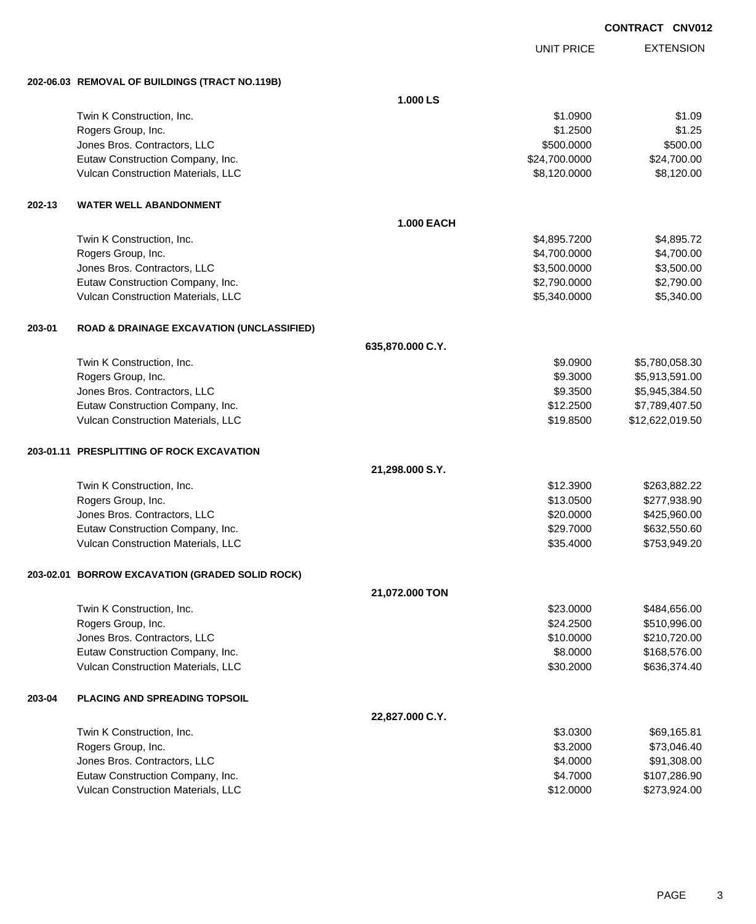UNIT PRICE

EXTENSION

**202-06.03 REMOVAL OF BUILDINGS (TRACT NO.119B)**

|        |                                                      | 1.000 LS          |               |                 |
|--------|------------------------------------------------------|-------------------|---------------|-----------------|
|        | Twin K Construction, Inc.                            |                   | \$1.0900      | \$1.09          |
|        | Rogers Group, Inc.                                   |                   | \$1.2500      | \$1.25          |
|        | Jones Bros. Contractors, LLC                         |                   | \$500.0000    | \$500.00        |
|        | Eutaw Construction Company, Inc.                     |                   | \$24,700.0000 | \$24,700.00     |
|        | Vulcan Construction Materials, LLC                   |                   | \$8,120.0000  | \$8,120.00      |
| 202-13 | <b>WATER WELL ABANDONMENT</b>                        |                   |               |                 |
|        |                                                      | <b>1.000 EACH</b> |               |                 |
|        | Twin K Construction, Inc.                            |                   | \$4,895.7200  | \$4,895.72      |
|        | Rogers Group, Inc.                                   |                   | \$4,700.0000  | \$4,700.00      |
|        | Jones Bros. Contractors, LLC                         |                   | \$3,500.0000  | \$3,500.00      |
|        | Eutaw Construction Company, Inc.                     |                   | \$2,790.0000  | \$2,790.00      |
|        | Vulcan Construction Materials, LLC                   |                   | \$5,340.0000  | \$5,340.00      |
| 203-01 | <b>ROAD &amp; DRAINAGE EXCAVATION (UNCLASSIFIED)</b> |                   |               |                 |
|        |                                                      | 635,870.000 C.Y.  |               |                 |
|        | Twin K Construction, Inc.                            |                   | \$9.0900      | \$5,780,058.30  |
|        | Rogers Group, Inc.                                   |                   | \$9.3000      | \$5,913,591.00  |
|        | Jones Bros. Contractors, LLC                         |                   | \$9.3500      | \$5,945,384.50  |
|        | Eutaw Construction Company, Inc.                     |                   | \$12.2500     | \$7,789,407.50  |
|        | Vulcan Construction Materials, LLC                   |                   | \$19.8500     | \$12,622,019.50 |
|        | 203-01.11 PRESPLITTING OF ROCK EXCAVATION            |                   |               |                 |
|        |                                                      | 21,298.000 S.Y.   |               |                 |
|        | Twin K Construction, Inc.                            |                   | \$12.3900     | \$263,882.22    |
|        | Rogers Group, Inc.                                   |                   | \$13.0500     | \$277,938.90    |
|        | Jones Bros. Contractors, LLC                         |                   | \$20.0000     | \$425,960.00    |
|        | Eutaw Construction Company, Inc.                     |                   | \$29.7000     | \$632,550.60    |
|        | Vulcan Construction Materials, LLC                   |                   | \$35.4000     | \$753,949.20    |
|        | 203-02.01 BORROW EXCAVATION (GRADED SOLID ROCK)      |                   |               |                 |
|        |                                                      | 21,072.000 TON    |               |                 |
|        | Twin K Construction, Inc.                            |                   | \$23.0000     | \$484,656.00    |
|        | Rogers Group, Inc.                                   |                   | \$24.2500     | \$510,996.00    |
|        | Jones Bros. Contractors, LLC                         |                   | \$10.0000     | \$210,720.00    |
|        | Eutaw Construction Company, Inc.                     |                   | \$8.0000      | \$168,576.00    |
|        | Vulcan Construction Materials, LLC                   |                   | \$30.2000     | \$636,374.40    |
| 203-04 | PLACING AND SPREADING TOPSOIL                        |                   |               |                 |
|        |                                                      | 22,827.000 C.Y.   |               |                 |
|        | Twin K Construction, Inc.                            |                   | \$3.0300      | \$69,165.81     |
|        | Rogers Group, Inc.                                   |                   | \$3.2000      | \$73,046.40     |
|        | Jones Bros. Contractors, LLC                         |                   | \$4.0000      | \$91,308.00     |
|        | Eutaw Construction Company, Inc.                     |                   | \$4.7000      | \$107,286.90    |
|        | Vulcan Construction Materials, LLC                   |                   | \$12.0000     | \$273,924.00    |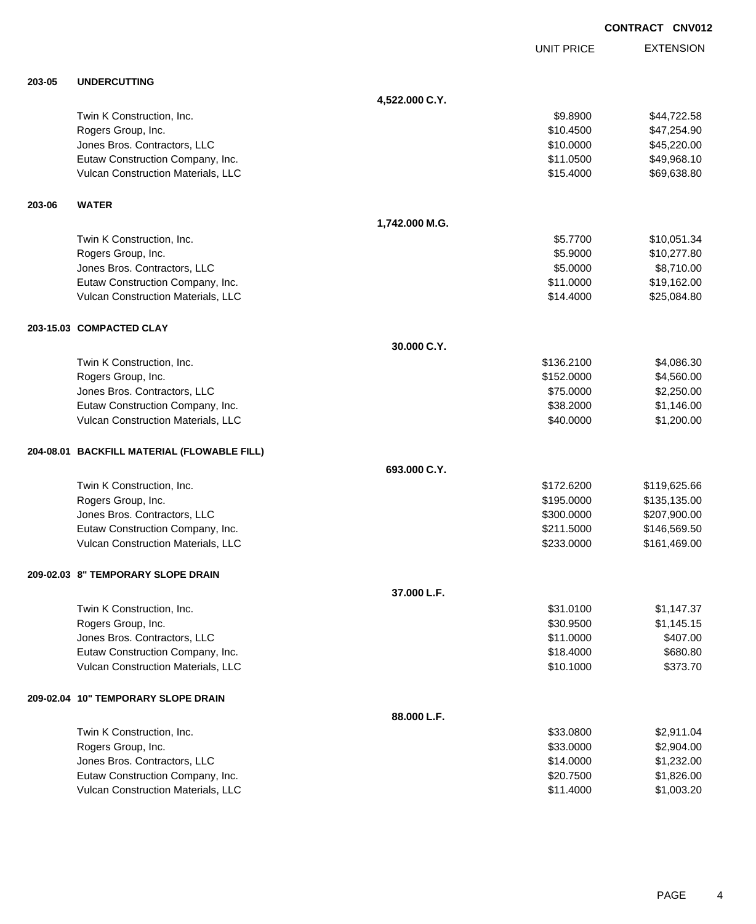UNIT PRICE

EXTENSION

|        |                                             | 4,522.000 C.Y. |            |              |
|--------|---------------------------------------------|----------------|------------|--------------|
|        | Twin K Construction, Inc.                   |                | \$9.8900   | \$44,722.58  |
|        | Rogers Group, Inc.                          |                | \$10.4500  | \$47,254.90  |
|        | Jones Bros. Contractors, LLC                |                | \$10.0000  | \$45,220.00  |
|        | Eutaw Construction Company, Inc.            |                | \$11.0500  | \$49,968.10  |
|        | Vulcan Construction Materials, LLC          |                | \$15,4000  | \$69,638.80  |
| 203-06 | <b>WATER</b>                                |                |            |              |
|        |                                             | 1,742.000 M.G. |            |              |
|        | Twin K Construction, Inc.                   |                | \$5.7700   | \$10,051.34  |
|        | Rogers Group, Inc.                          |                | \$5.9000   | \$10,277.80  |
|        | Jones Bros. Contractors, LLC                |                | \$5.0000   | \$8,710.00   |
|        | Eutaw Construction Company, Inc.            |                | \$11.0000  | \$19,162.00  |
|        | Vulcan Construction Materials, LLC          |                | \$14.4000  | \$25,084.80  |
|        | 203-15.03 COMPACTED CLAY                    |                |            |              |
|        |                                             | 30.000 C.Y.    |            |              |
|        | Twin K Construction, Inc.                   |                | \$136.2100 | \$4,086.30   |
|        | Rogers Group, Inc.                          |                | \$152.0000 | \$4,560.00   |
|        | Jones Bros. Contractors, LLC                |                | \$75.0000  | \$2,250.00   |
|        | Eutaw Construction Company, Inc.            |                | \$38.2000  | \$1,146.00   |
|        | Vulcan Construction Materials, LLC          |                | \$40.0000  | \$1,200.00   |
|        | 204-08.01 BACKFILL MATERIAL (FLOWABLE FILL) |                |            |              |
|        |                                             | 693.000 C.Y.   |            |              |
|        | Twin K Construction, Inc.                   |                | \$172,6200 | \$119,625.66 |
|        | Rogers Group, Inc.                          |                | \$195.0000 | \$135,135.00 |
|        | Jones Bros. Contractors, LLC                |                | \$300.0000 | \$207,900.00 |
|        | Eutaw Construction Company, Inc.            |                | \$211.5000 | \$146,569.50 |
|        | Vulcan Construction Materials, LLC          |                | \$233.0000 | \$161,469.00 |

#### **209-02.03 8" TEMPORARY SLOPE DRAIN**

**203-05 UNDERCUTTING**

|                                           | 37,000 L.F. |           |            |
|-------------------------------------------|-------------|-----------|------------|
| Twin K Construction, Inc.                 |             | \$31,0100 | \$1,147.37 |
| Rogers Group, Inc.                        |             | \$30,9500 | \$1,145.15 |
| Jones Bros. Contractors, LLC              |             | \$11,0000 | \$407.00   |
| Eutaw Construction Company, Inc.          |             | \$18,4000 | \$680.80   |
| <b>Vulcan Construction Materials, LLC</b> |             | \$10.1000 | \$373.70   |
| 209-02.04 10" TEMPORARY SLOPE DRAIN       |             |           |            |
|                                           | 88.000 L.F. |           |            |
| Twin K Construction, Inc.                 |             | \$33,0800 | \$2,911.04 |
| Rogers Group, Inc.                        |             | \$33,0000 | \$2,904.00 |
| Jones Bros. Contractors, LLC              |             | \$14,0000 | \$1,232,00 |
| Eutaw Construction Company, Inc.          |             | \$20,7500 | \$1,826.00 |
| <b>Vulcan Construction Materials, LLC</b> |             | \$11,4000 | \$1,003.20 |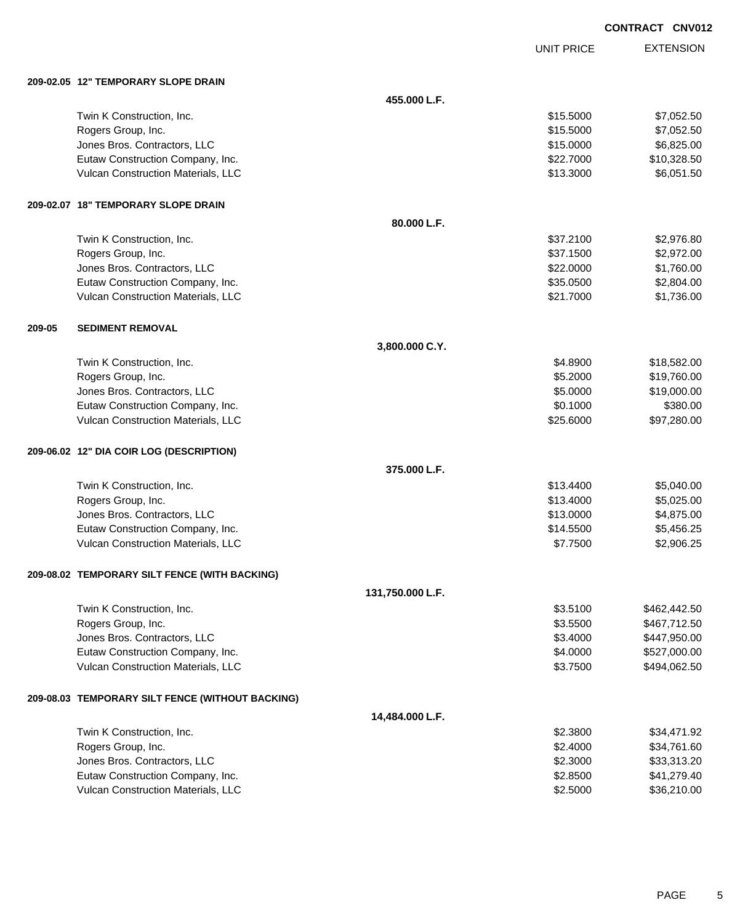UNIT PRICE

|        | 209-02.05 12" TEMPORARY SLOPE DRAIN                                    |                  |                      |                              |
|--------|------------------------------------------------------------------------|------------------|----------------------|------------------------------|
|        |                                                                        | 455.000 L.F.     |                      |                              |
|        | Twin K Construction, Inc.                                              |                  | \$15.5000            | \$7,052.50                   |
|        | Rogers Group, Inc.                                                     |                  | \$15.5000            | \$7,052.50                   |
|        | Jones Bros. Contractors, LLC                                           |                  | \$15.0000            | \$6,825.00                   |
|        | Eutaw Construction Company, Inc.                                       |                  | \$22.7000            | \$10,328.50                  |
|        | Vulcan Construction Materials, LLC                                     |                  | \$13.3000            | \$6,051.50                   |
|        | 209-02.07 18" TEMPORARY SLOPE DRAIN                                    |                  |                      |                              |
|        |                                                                        | 80.000 L.F.      |                      |                              |
|        | Twin K Construction, Inc.                                              |                  | \$37.2100            | \$2,976.80                   |
|        | Rogers Group, Inc.                                                     |                  | \$37.1500            | \$2,972.00                   |
|        | Jones Bros. Contractors, LLC                                           |                  | \$22.0000            | \$1,760.00                   |
|        | Eutaw Construction Company, Inc.                                       |                  | \$35.0500            | \$2,804.00                   |
|        | Vulcan Construction Materials, LLC                                     |                  | \$21.7000            | \$1,736.00                   |
| 209-05 | <b>SEDIMENT REMOVAL</b>                                                |                  |                      |                              |
|        |                                                                        | 3,800.000 C.Y.   |                      |                              |
|        | Twin K Construction, Inc.                                              |                  | \$4.8900             | \$18,582.00                  |
|        | Rogers Group, Inc.                                                     |                  | \$5.2000             | \$19,760.00                  |
|        | Jones Bros. Contractors, LLC                                           |                  | \$5.0000             | \$19,000.00                  |
|        | Eutaw Construction Company, Inc.                                       |                  | \$0.1000             | \$380.00                     |
|        | Vulcan Construction Materials, LLC                                     |                  | \$25.6000            | \$97,280.00                  |
|        | 209-06.02 12" DIA COIR LOG (DESCRIPTION)                               |                  |                      |                              |
|        |                                                                        | 375.000 L.F.     |                      |                              |
|        | Twin K Construction, Inc.                                              |                  | \$13.4400            | \$5,040.00                   |
|        | Rogers Group, Inc.                                                     |                  | \$13.4000            | \$5,025.00                   |
|        | Jones Bros. Contractors, LLC                                           |                  | \$13.0000            | \$4,875.00                   |
|        | Eutaw Construction Company, Inc.                                       |                  | \$14.5500            | \$5,456.25                   |
|        | Vulcan Construction Materials, LLC                                     |                  | \$7.7500             | \$2,906.25                   |
|        | 209-08.02 TEMPORARY SILT FENCE (WITH BACKING)                          |                  |                      |                              |
|        |                                                                        | 131,750.000 L.F. |                      |                              |
|        | Twin K Construction, Inc.                                              |                  | \$3.5100             | \$462,442.50                 |
|        | Rogers Group, Inc.                                                     |                  | \$3.5500             | \$467,712.50                 |
|        | Jones Bros. Contractors, LLC                                           |                  | \$3.4000             | \$447,950.00                 |
|        | Eutaw Construction Company, Inc.<br>Vulcan Construction Materials, LLC |                  | \$4.0000<br>\$3.7500 | \$527,000.00<br>\$494,062.50 |
|        |                                                                        |                  |                      |                              |
|        | 209-08.03 TEMPORARY SILT FENCE (WITHOUT BACKING)                       |                  |                      |                              |
|        |                                                                        | 14,484.000 L.F.  |                      |                              |
|        | Twin K Construction, Inc.                                              |                  | \$2.3800             | \$34,471.92                  |
|        | Rogers Group, Inc.                                                     |                  | \$2.4000             | \$34,761.60                  |
|        | Jones Bros. Contractors, LLC                                           |                  | \$2.3000             | \$33,313.20                  |
|        | Eutaw Construction Company, Inc.                                       |                  | \$2.8500             | \$41,279.40                  |
|        | Vulcan Construction Materials, LLC                                     |                  | \$2.5000             | \$36,210.00                  |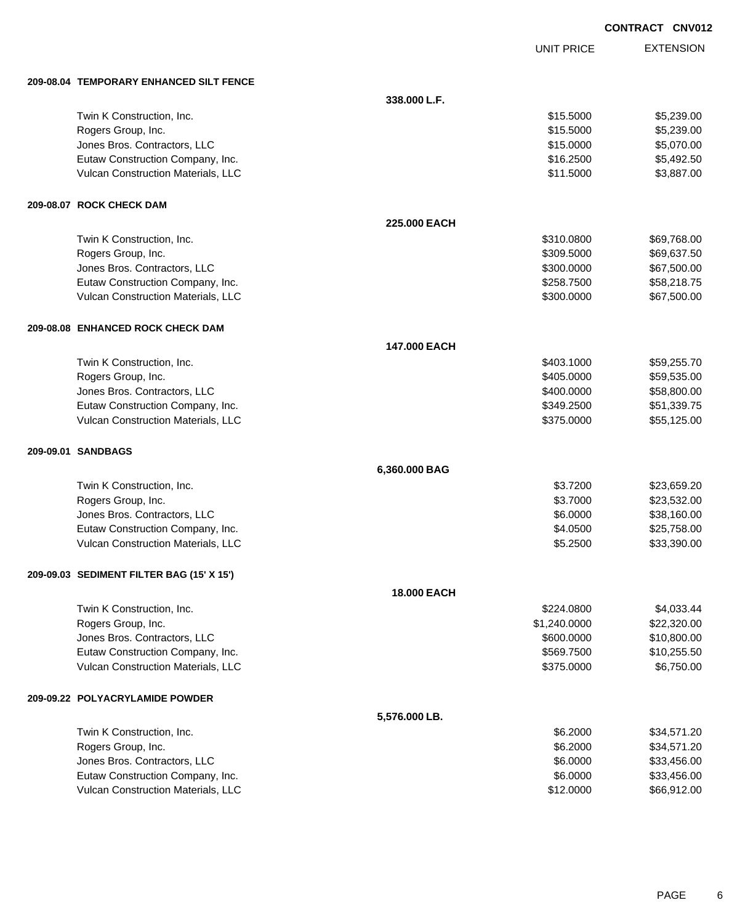UNIT PRICE

| 209-08.04 TEMPORARY ENHANCED SILT FENCE   |               |              |             |
|-------------------------------------------|---------------|--------------|-------------|
|                                           | 338.000 L.F.  |              |             |
| Twin K Construction, Inc.                 |               | \$15.5000    | \$5,239.00  |
| Rogers Group, Inc.                        |               | \$15.5000    | \$5,239.00  |
| Jones Bros. Contractors, LLC              |               | \$15.0000    | \$5,070.00  |
| Eutaw Construction Company, Inc.          |               | \$16.2500    | \$5,492.50  |
| Vulcan Construction Materials, LLC        |               | \$11.5000    | \$3,887.00  |
| 209-08.07 ROCK CHECK DAM                  |               |              |             |
|                                           | 225,000 EACH  |              |             |
| Twin K Construction, Inc.                 |               | \$310.0800   | \$69,768.00 |
| Rogers Group, Inc.                        |               | \$309.5000   | \$69,637.50 |
| Jones Bros. Contractors, LLC              |               | \$300.0000   | \$67,500.00 |
| Eutaw Construction Company, Inc.          |               | \$258.7500   | \$58,218.75 |
| Vulcan Construction Materials, LLC        |               | \$300.0000   | \$67,500.00 |
| 209-08.08 ENHANCED ROCK CHECK DAM         |               |              |             |
|                                           | 147.000 EACH  |              |             |
| Twin K Construction, Inc.                 |               | \$403.1000   | \$59,255.70 |
| Rogers Group, Inc.                        |               | \$405.0000   | \$59,535.00 |
| Jones Bros. Contractors, LLC              |               | \$400.0000   | \$58,800.00 |
| Eutaw Construction Company, Inc.          |               | \$349.2500   | \$51,339.75 |
| Vulcan Construction Materials, LLC        |               | \$375.0000   | \$55,125.00 |
| 209-09.01 SANDBAGS                        |               |              |             |
|                                           | 6,360.000 BAG |              |             |
| Twin K Construction, Inc.                 |               | \$3.7200     | \$23,659.20 |
| Rogers Group, Inc.                        |               | \$3.7000     | \$23,532.00 |
| Jones Bros. Contractors, LLC              |               | \$6.0000     | \$38,160.00 |
| Eutaw Construction Company, Inc.          |               | \$4.0500     | \$25,758.00 |
| Vulcan Construction Materials, LLC        |               | \$5.2500     | \$33,390.00 |
| 209-09.03 SEDIMENT FILTER BAG (15' X 15') |               |              |             |
|                                           | 18.000 EACH   |              |             |
| Twin K Construction, Inc.                 |               | \$224.0800   | \$4,033.44  |
| Rogers Group, Inc.                        |               | \$1,240.0000 | \$22,320.00 |
| Jones Bros. Contractors, LLC              |               | \$600.0000   | \$10,800.00 |
| Eutaw Construction Company, Inc.          |               | \$569.7500   | \$10,255.50 |
| Vulcan Construction Materials, LLC        |               | \$375.0000   | \$6,750.00  |
| 209-09.22 POLYACRYLAMIDE POWDER           |               |              |             |
|                                           | 5,576.000 LB. |              |             |
| Twin K Construction, Inc.                 |               | \$6.2000     | \$34,571.20 |
| Rogers Group, Inc.                        |               | \$6.2000     | \$34,571.20 |
| Jones Bros. Contractors, LLC              |               | \$6.0000     | \$33,456.00 |
| Eutaw Construction Company, Inc.          |               | \$6.0000     | \$33,456.00 |
| Vulcan Construction Materials, LLC        |               | \$12.0000    | \$66,912.00 |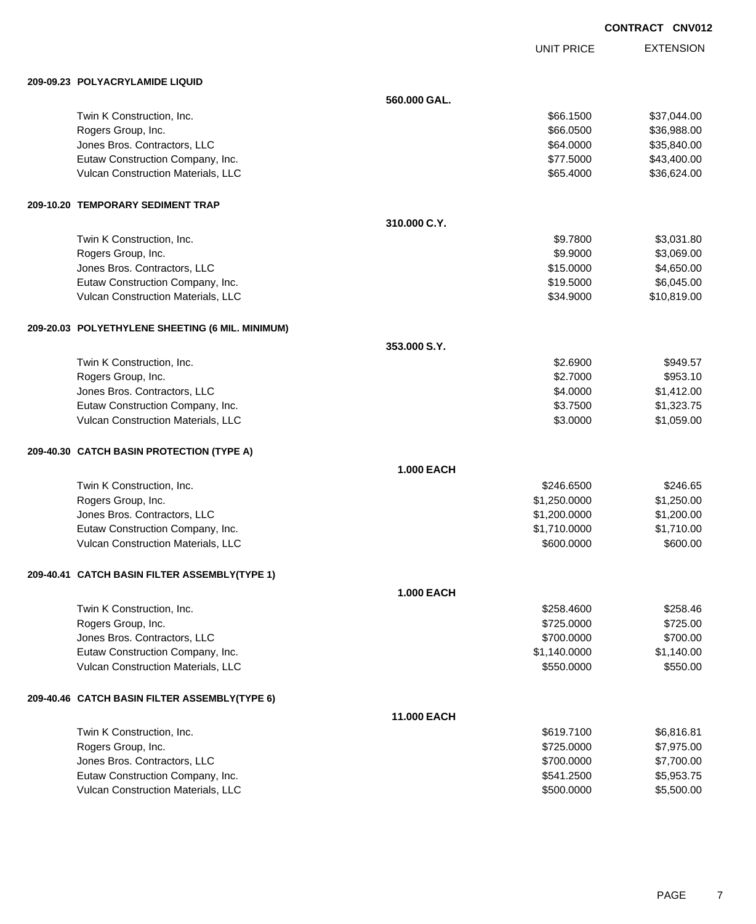UNIT PRICE EXTENSION

| 209-09.23 POLYACRYLAMIDE LIQUID                  |                   |              |             |
|--------------------------------------------------|-------------------|--------------|-------------|
|                                                  | 560,000 GAL.      |              |             |
| Twin K Construction, Inc.                        |                   | \$66.1500    | \$37,044.00 |
| Rogers Group, Inc.                               |                   | \$66.0500    | \$36,988.00 |
| Jones Bros. Contractors, LLC                     |                   | \$64.0000    | \$35,840.00 |
| Eutaw Construction Company, Inc.                 |                   | \$77.5000    | \$43,400.00 |
| Vulcan Construction Materials, LLC               |                   | \$65.4000    | \$36,624.00 |
| 209-10.20 TEMPORARY SEDIMENT TRAP                |                   |              |             |
|                                                  | 310.000 C.Y.      |              |             |
| Twin K Construction, Inc.                        |                   | \$9.7800     | \$3,031.80  |
| Rogers Group, Inc.                               |                   | \$9.9000     | \$3,069.00  |
| Jones Bros. Contractors, LLC                     |                   | \$15.0000    | \$4,650.00  |
| Eutaw Construction Company, Inc.                 |                   | \$19.5000    | \$6,045.00  |
| Vulcan Construction Materials, LLC               |                   | \$34.9000    | \$10,819.00 |
| 209-20.03 POLYETHYLENE SHEETING (6 MIL. MINIMUM) |                   |              |             |
|                                                  | 353.000 S.Y.      |              |             |
| Twin K Construction, Inc.                        |                   | \$2.6900     | \$949.57    |
| Rogers Group, Inc.                               |                   | \$2.7000     | \$953.10    |
| Jones Bros. Contractors, LLC                     |                   | \$4.0000     | \$1,412.00  |
| Eutaw Construction Company, Inc.                 |                   | \$3.7500     | \$1,323.75  |
| Vulcan Construction Materials, LLC               |                   | \$3.0000     | \$1,059.00  |
| 209-40.30 CATCH BASIN PROTECTION (TYPE A)        |                   |              |             |
|                                                  | <b>1.000 EACH</b> |              |             |
| Twin K Construction, Inc.                        |                   | \$246.6500   | \$246.65    |
| Rogers Group, Inc.                               |                   | \$1,250.0000 | \$1,250.00  |
| Jones Bros. Contractors, LLC                     |                   | \$1,200.0000 | \$1,200.00  |
| Eutaw Construction Company, Inc.                 |                   | \$1,710.0000 | \$1,710.00  |
| Vulcan Construction Materials, LLC               |                   | \$600.0000   | \$600.00    |
| 209-40.41 CATCH BASIN FILTER ASSEMBLY(TYPE 1)    |                   |              |             |
|                                                  | <b>1.000 EACH</b> |              |             |
| Twin K Construction, Inc.                        |                   | \$258.4600   | \$258.46    |
| Rogers Group, Inc.                               |                   | \$725.0000   | \$725.00    |
| Jones Bros. Contractors, LLC                     |                   | \$700.0000   | \$700.00    |
| Eutaw Construction Company, Inc.                 |                   | \$1,140.0000 | \$1,140.00  |
| Vulcan Construction Materials, LLC               |                   | \$550.0000   | \$550.00    |
| 209-40.46 CATCH BASIN FILTER ASSEMBLY(TYPE 6)    |                   |              |             |
|                                                  | 11.000 EACH       |              |             |
| Twin K Construction, Inc.                        |                   | \$619.7100   | \$6,816.81  |
| Rogers Group, Inc.                               |                   | \$725.0000   | \$7,975.00  |
| Jones Bros. Contractors, LLC                     |                   | \$700.0000   | \$7,700.00  |
| Eutaw Construction Company, Inc.                 |                   | \$541.2500   | \$5,953.75  |
| Vulcan Construction Materials, LLC               |                   | \$500.0000   | \$5,500.00  |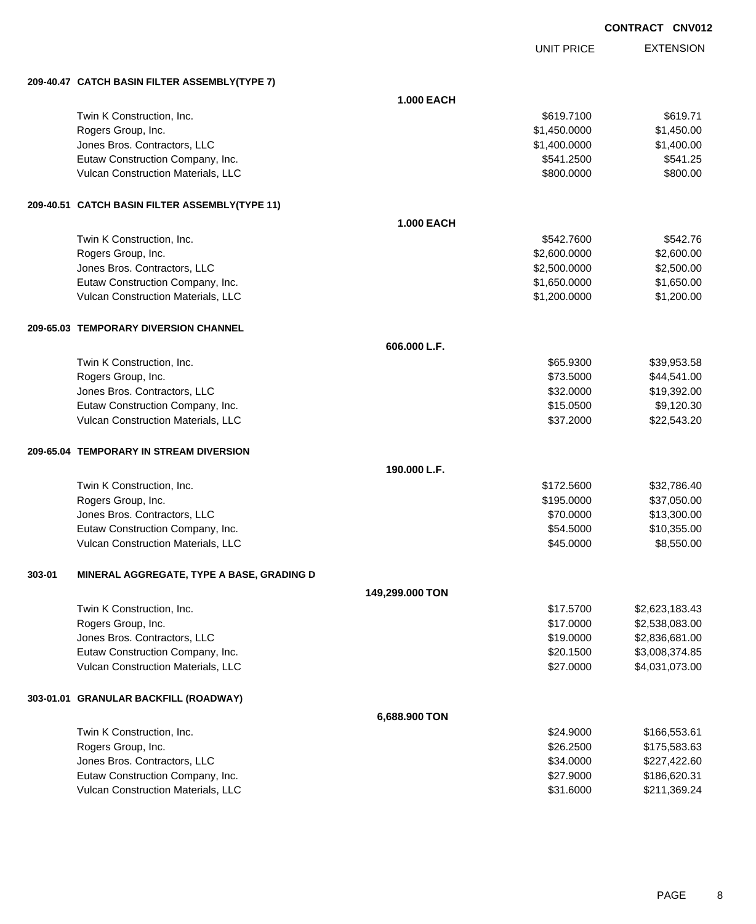| <b>CONTRACT</b> | <b>CNV012</b> |
|-----------------|---------------|
|                 |               |

UNIT PRICE

EXTENSION

**209-40.47 CATCH BASIN FILTER ASSEMBLY(TYPE 7)**

|        | 209-40.47 CAICH BASIN FILIER ASSEMBLY(IYPE 7)  |                   |              |                |
|--------|------------------------------------------------|-------------------|--------------|----------------|
|        |                                                | <b>1.000 EACH</b> |              |                |
|        | Twin K Construction, Inc.                      |                   | \$619.7100   | \$619.71       |
|        | Rogers Group, Inc.                             |                   | \$1,450.0000 | \$1,450.00     |
|        | Jones Bros. Contractors, LLC                   |                   | \$1,400.0000 | \$1,400.00     |
|        | Eutaw Construction Company, Inc.               |                   | \$541.2500   | \$541.25       |
|        | Vulcan Construction Materials, LLC             |                   | \$800.0000   | \$800.00       |
|        | 209-40.51 CATCH BASIN FILTER ASSEMBLY(TYPE 11) |                   |              |                |
|        |                                                | <b>1.000 EACH</b> |              |                |
|        | Twin K Construction, Inc.                      |                   | \$542.7600   | \$542.76       |
|        | Rogers Group, Inc.                             |                   | \$2,600.0000 | \$2,600.00     |
|        | Jones Bros. Contractors, LLC                   |                   | \$2,500.0000 | \$2,500.00     |
|        | Eutaw Construction Company, Inc.               |                   | \$1,650.0000 | \$1,650.00     |
|        | Vulcan Construction Materials, LLC             |                   | \$1,200.0000 | \$1,200.00     |
|        | 209-65.03 TEMPORARY DIVERSION CHANNEL          |                   |              |                |
|        |                                                | 606.000 L.F.      |              |                |
|        | Twin K Construction, Inc.                      |                   | \$65.9300    | \$39,953.58    |
|        | Rogers Group, Inc.                             |                   | \$73.5000    | \$44,541.00    |
|        | Jones Bros. Contractors, LLC                   |                   | \$32.0000    | \$19,392.00    |
|        | Eutaw Construction Company, Inc.               |                   | \$15.0500    | \$9,120.30     |
|        | Vulcan Construction Materials, LLC             |                   | \$37.2000    | \$22,543.20    |
|        | 209-65.04 TEMPORARY IN STREAM DIVERSION        |                   |              |                |
|        |                                                | 190.000 L.F.      |              |                |
|        | Twin K Construction, Inc.                      |                   | \$172.5600   | \$32,786.40    |
|        | Rogers Group, Inc.                             |                   | \$195.0000   | \$37,050.00    |
|        | Jones Bros. Contractors, LLC                   |                   | \$70.0000    | \$13,300.00    |
|        | Eutaw Construction Company, Inc.               |                   | \$54.5000    | \$10,355.00    |
|        | Vulcan Construction Materials, LLC             |                   | \$45.0000    | \$8,550.00     |
| 303-01 | MINERAL AGGREGATE, TYPE A BASE, GRADING D      |                   |              |                |
|        |                                                | 149,299.000 TON   |              |                |
|        | Twin K Construction, Inc.                      |                   | \$17.5700    | \$2,623,183.43 |
|        | Rogers Group, Inc.                             |                   | \$17.0000    | \$2,538,083.00 |
|        | Jones Bros. Contractors, LLC                   |                   | \$19.0000    | \$2,836,681.00 |
|        | Eutaw Construction Company, Inc.               |                   | \$20.1500    | \$3,008,374.85 |
|        | Vulcan Construction Materials, LLC             |                   | \$27.0000    | \$4,031,073.00 |
|        | 303-01.01 GRANULAR BACKFILL (ROADWAY)          |                   |              |                |
|        |                                                | 6,688.900 TON     |              |                |
|        | Twin K Construction, Inc.                      |                   | \$24.9000    | \$166,553.61   |
|        | Rogers Group, Inc.                             |                   | \$26.2500    | \$175,583.63   |
|        | Jones Bros. Contractors, LLC                   |                   | \$34.0000    | \$227,422.60   |
|        | Eutaw Construction Company, Inc.               |                   | \$27.9000    | \$186,620.31   |
|        | Vulcan Construction Materials, LLC             |                   | \$31.6000    | \$211,369.24   |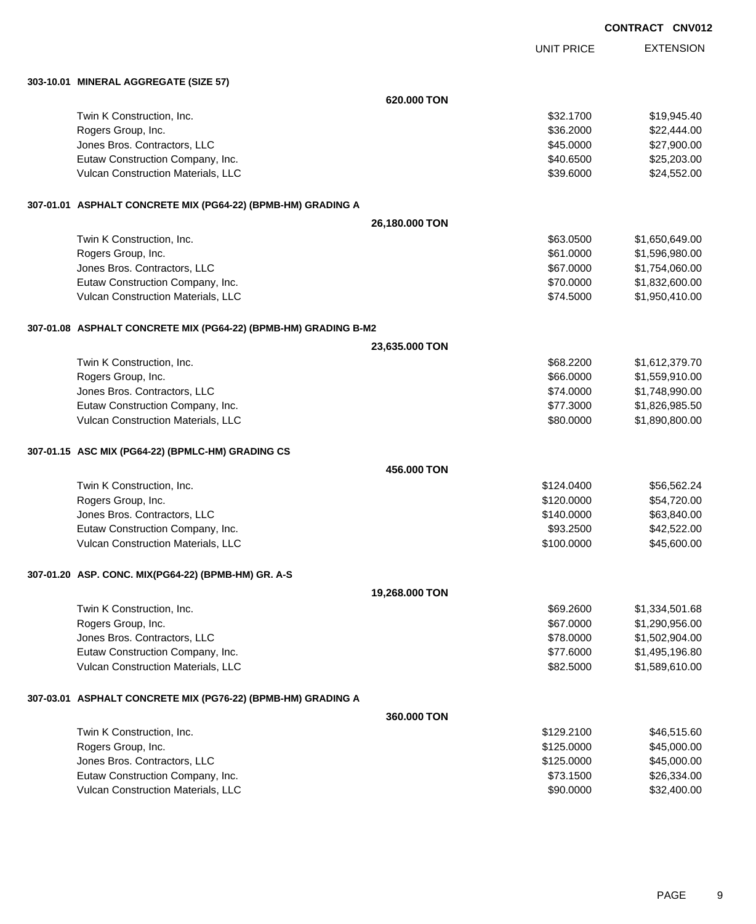UNIT PRICE EXTENSION

**303-10.01 MINERAL AGGREGATE (SIZE 57)**

| 303-10.01   MINERAL AGGREGATE (SIZE 57)                         |                |            |                |
|-----------------------------------------------------------------|----------------|------------|----------------|
|                                                                 | 620,000 TON    |            |                |
| Twin K Construction, Inc.                                       |                | \$32.1700  | \$19,945.40    |
| Rogers Group, Inc.                                              |                | \$36.2000  | \$22,444.00    |
| Jones Bros. Contractors, LLC                                    |                | \$45.0000  | \$27,900.00    |
| Eutaw Construction Company, Inc.                                |                | \$40.6500  | \$25,203.00    |
| Vulcan Construction Materials, LLC                              |                | \$39.6000  | \$24,552.00    |
| 307-01.01 ASPHALT CONCRETE MIX (PG64-22) (BPMB-HM) GRADING A    |                |            |                |
|                                                                 | 26,180.000 TON |            |                |
| Twin K Construction, Inc.                                       |                | \$63.0500  | \$1,650,649.00 |
| Rogers Group, Inc.                                              |                | \$61.0000  | \$1,596,980.00 |
| Jones Bros. Contractors, LLC                                    |                | \$67.0000  | \$1,754,060.00 |
| Eutaw Construction Company, Inc.                                |                | \$70.0000  | \$1,832,600.00 |
| Vulcan Construction Materials, LLC                              |                | \$74.5000  | \$1,950,410.00 |
| 307-01.08 ASPHALT CONCRETE MIX (PG64-22) (BPMB-HM) GRADING B-M2 |                |            |                |
|                                                                 | 23,635.000 TON |            |                |
| Twin K Construction, Inc.                                       |                | \$68.2200  | \$1,612,379.70 |
| Rogers Group, Inc.                                              |                | \$66.0000  | \$1,559,910.00 |
| Jones Bros. Contractors, LLC                                    |                | \$74.0000  | \$1,748,990.00 |
| Eutaw Construction Company, Inc.                                |                | \$77.3000  | \$1,826,985.50 |
| Vulcan Construction Materials, LLC                              |                | \$80.0000  | \$1,890,800.00 |
| 307-01.15 ASC MIX (PG64-22) (BPMLC-HM) GRADING CS               |                |            |                |
|                                                                 | 456.000 TON    |            |                |
| Twin K Construction, Inc.                                       |                | \$124.0400 | \$56,562.24    |
| Rogers Group, Inc.                                              |                | \$120.0000 | \$54,720.00    |
| Jones Bros. Contractors, LLC                                    |                | \$140.0000 | \$63,840.00    |
| Eutaw Construction Company, Inc.                                |                | \$93.2500  | \$42,522.00    |
| Vulcan Construction Materials, LLC                              |                | \$100.0000 | \$45,600.00    |
| 307-01.20 ASP. CONC. MIX(PG64-22) (BPMB-HM) GR. A-S             |                |            |                |
|                                                                 | 19,268.000 TON |            |                |
| Twin K Construction, Inc.                                       |                | \$69.2600  | \$1,334,501.68 |
| Rogers Group, Inc.                                              |                | \$67.0000  | \$1,290,956.00 |
| Jones Bros. Contractors, LLC                                    |                | \$78.0000  | \$1,502,904.00 |
| Eutaw Construction Company, Inc.                                |                | \$77.6000  | \$1,495,196.80 |
| Vulcan Construction Materials, LLC                              |                | \$82.5000  | \$1,589,610.00 |
| 307-03.01 ASPHALT CONCRETE MIX (PG76-22) (BPMB-HM) GRADING A    |                |            |                |
|                                                                 | 360.000 TON    |            |                |
| Twin K Construction, Inc.                                       |                | \$129.2100 | \$46,515.60    |
| Rogers Group, Inc.                                              |                | \$125.0000 | \$45,000.00    |
| Jones Bros. Contractors, LLC                                    |                | \$125.0000 | \$45,000.00    |
| Eutaw Construction Company, Inc.                                |                | \$73.1500  | \$26,334.00    |
| Vulcan Construction Materials, LLC                              |                | \$90.0000  | \$32,400.00    |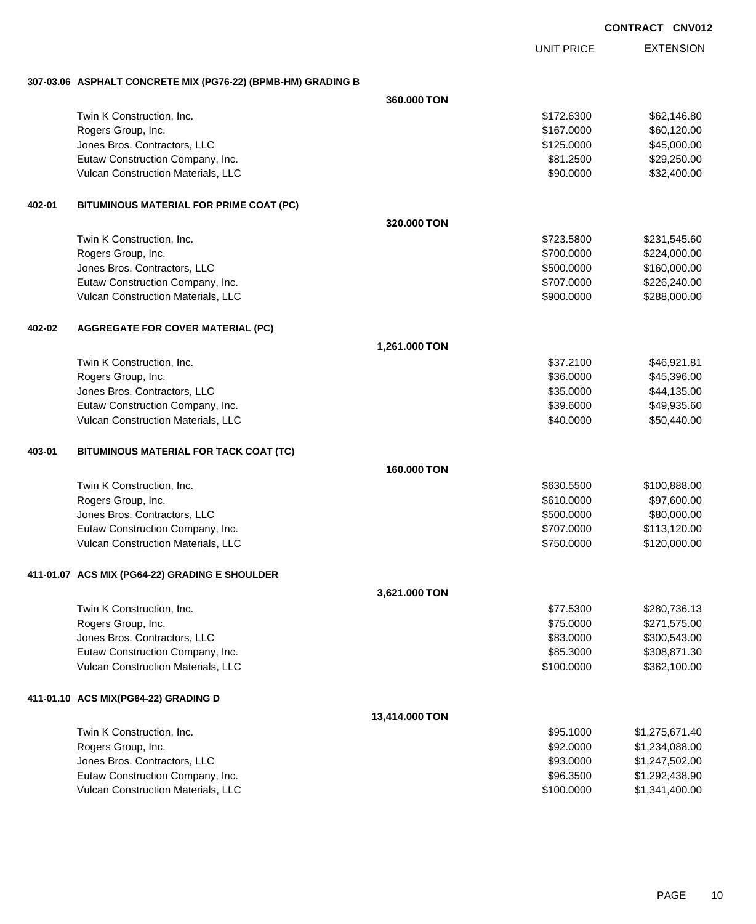UNIT PRICE

EXTENSION

**307-03.06 ASPHALT CONCRETE MIX (PG76-22) (BPMB-HM) GRADING B**

|        |                                                | 360.000 TON    |            |                |
|--------|------------------------------------------------|----------------|------------|----------------|
|        | Twin K Construction, Inc.                      |                | \$172.6300 | \$62,146.80    |
|        | Rogers Group, Inc.                             |                | \$167.0000 | \$60,120.00    |
|        | Jones Bros. Contractors, LLC                   |                | \$125.0000 | \$45,000.00    |
|        | Eutaw Construction Company, Inc.               |                | \$81.2500  | \$29,250.00    |
|        | Vulcan Construction Materials, LLC             |                | \$90.0000  | \$32,400.00    |
|        |                                                |                |            |                |
| 402-01 | BITUMINOUS MATERIAL FOR PRIME COAT (PC)        | 320.000 TON    |            |                |
|        | Twin K Construction, Inc.                      |                | \$723.5800 | \$231,545.60   |
|        | Rogers Group, Inc.                             |                | \$700.0000 | \$224,000.00   |
|        | Jones Bros. Contractors, LLC                   |                | \$500.0000 | \$160,000.00   |
|        | Eutaw Construction Company, Inc.               |                | \$707.0000 | \$226,240.00   |
|        | Vulcan Construction Materials, LLC             |                | \$900.0000 | \$288,000.00   |
| 402-02 |                                                |                |            |                |
|        | <b>AGGREGATE FOR COVER MATERIAL (PC)</b>       | 1,261.000 TON  |            |                |
|        | Twin K Construction, Inc.                      |                | \$37.2100  | \$46,921.81    |
|        | Rogers Group, Inc.                             |                | \$36.0000  | \$45,396.00    |
|        | Jones Bros. Contractors, LLC                   |                | \$35.0000  | \$44,135.00    |
|        | Eutaw Construction Company, Inc.               |                | \$39.6000  | \$49,935.60    |
|        | Vulcan Construction Materials, LLC             |                | \$40.0000  | \$50,440.00    |
| 403-01 | BITUMINOUS MATERIAL FOR TACK COAT (TC)         |                |            |                |
|        |                                                | 160.000 TON    |            |                |
|        | Twin K Construction, Inc.                      |                | \$630.5500 | \$100,888.00   |
|        | Rogers Group, Inc.                             |                | \$610.0000 | \$97,600.00    |
|        | Jones Bros. Contractors, LLC                   |                | \$500.0000 | \$80,000.00    |
|        | Eutaw Construction Company, Inc.               |                | \$707.0000 | \$113,120.00   |
|        | Vulcan Construction Materials, LLC             |                | \$750.0000 | \$120,000.00   |
|        | 411-01.07 ACS MIX (PG64-22) GRADING E SHOULDER |                |            |                |
|        |                                                | 3,621.000 TON  |            |                |
|        | Twin K Construction, Inc.                      |                | \$77.5300  | \$280,736.13   |
|        | Rogers Group, Inc.                             |                | \$75.0000  | \$271,575.00   |
|        | Jones Bros. Contractors, LLC                   |                | \$83.0000  | \$300,543.00   |
|        | Eutaw Construction Company, Inc.               |                | \$85.3000  | \$308,871.30   |
|        | Vulcan Construction Materials, LLC             |                | \$100.0000 | \$362,100.00   |
|        | 411-01.10 ACS MIX(PG64-22) GRADING D           |                |            |                |
|        |                                                | 13,414.000 TON |            |                |
|        | Twin K Construction, Inc.                      |                | \$95.1000  | \$1,275,671.40 |
|        | Rogers Group, Inc.                             |                | \$92.0000  | \$1,234,088.00 |
|        | Jones Bros. Contractors, LLC                   |                | \$93.0000  | \$1,247,502.00 |
|        | Eutaw Construction Company, Inc.               |                | \$96.3500  | \$1,292,438.90 |
|        | Vulcan Construction Materials, LLC             |                | \$100.0000 | \$1,341,400.00 |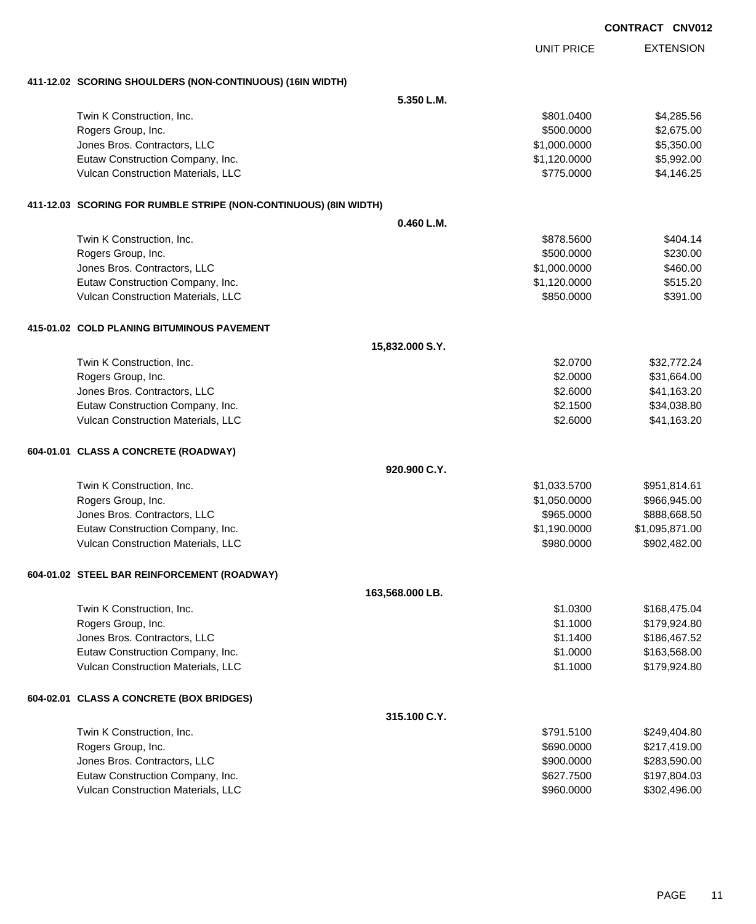|                                                                    |                 |                   | <b>CONTRACT CNV012</b> |
|--------------------------------------------------------------------|-----------------|-------------------|------------------------|
|                                                                    |                 | <b>UNIT PRICE</b> | <b>EXTENSION</b>       |
| 411-12.02 SCORING SHOULDERS (NON-CONTINUOUS) (16IN WIDTH)          |                 |                   |                        |
|                                                                    | 5.350 L.M.      |                   |                        |
| Twin K Construction, Inc.                                          |                 | \$801.0400        | \$4,285.56             |
| Rogers Group, Inc.                                                 |                 | \$500.0000        | \$2,675.00             |
| Jones Bros. Contractors, LLC                                       |                 | \$1,000.0000      | \$5,350.00             |
| Eutaw Construction Company, Inc.                                   |                 | \$1,120.0000      | \$5,992.00             |
| Vulcan Construction Materials, LLC                                 |                 | \$775.0000        | \$4,146.25             |
| 411-12.03   SCORING FOR RUMBLE STRIPE (NON-CONTINUOUS) (8IN WIDTH) |                 |                   |                        |
|                                                                    | 0.460 L.M.      |                   |                        |
| Twin K Construction, Inc.                                          |                 | \$878.5600        | \$404.14               |
| Rogers Group, Inc.                                                 |                 | \$500.0000        | \$230.00               |
| Jones Bros. Contractors, LLC                                       |                 | \$1,000.0000      | \$460.00               |
| Eutaw Construction Company, Inc.                                   |                 | \$1,120.0000      | \$515.20               |
| Vulcan Construction Materials, LLC                                 |                 | \$850.0000        | \$391.00               |
| 415-01.02 COLD PLANING BITUMINOUS PAVEMENT                         |                 |                   |                        |
|                                                                    | 15,832.000 S.Y. |                   |                        |
| Twin K Construction, Inc.                                          |                 | \$2.0700          | \$32,772.24            |
| Rogers Group, Inc.                                                 |                 | \$2.0000          | \$31,664.00            |
| Jones Bros. Contractors, LLC                                       |                 | \$2.6000          | \$41,163.20            |
| Eutaw Construction Company, Inc.                                   |                 | \$2.1500          | \$34,038.80            |
| Vulcan Construction Materials, LLC                                 |                 | \$2.6000          | \$41,163.20            |
| 604-01.01 CLASS A CONCRETE (ROADWAY)                               |                 |                   |                        |
|                                                                    | 920.900 C.Y.    |                   |                        |
| Twin K Construction, Inc.                                          |                 | \$1,033.5700      | \$951,814.61           |
| Rogers Group, Inc.                                                 |                 | \$1,050.0000      | \$966,945.00           |
| Jones Bros. Contractors, LLC                                       |                 | \$965.0000        | \$888,668.50           |
| Eutaw Construction Company, Inc.                                   |                 | \$1,190.0000      | \$1,095,871.00         |
| Vulcan Construction Materials, LLC                                 |                 | \$980.0000        | \$902,482.00           |
| 604-01.02 STEEL BAR REINFORCEMENT (ROADWAY)                        |                 |                   |                        |
|                                                                    | 163,568.000 LB. |                   |                        |
| Twin K Construction, Inc.                                          |                 | \$1.0300          | \$168,475.04           |
| Rogers Group, Inc.                                                 |                 | \$1.1000          | \$179,924.80           |
| Jones Bros. Contractors, LLC                                       |                 | \$1.1400          | \$186,467.52           |
| Eutaw Construction Company, Inc.                                   |                 | \$1.0000          | \$163,568.00           |
| Vulcan Construction Materials, LLC                                 |                 | \$1.1000          | \$179,924.80           |
| 604-02.01 CLASS A CONCRETE (BOX BRIDGES)                           |                 |                   |                        |
|                                                                    | 315.100 C.Y.    |                   |                        |
| Twin K Construction, Inc.                                          |                 | \$791.5100        | \$249,404.80           |
| Rogers Group, Inc.                                                 |                 | \$690.0000        | \$217,419.00           |
| Jones Bros. Contractors, LLC                                       |                 | \$900.0000        | \$283,590.00           |
| Eutaw Construction Company, Inc.                                   |                 | \$627.7500        | \$197,804.03           |

Vulcan Construction Materials, LLC \$960.0000 \$302,496.00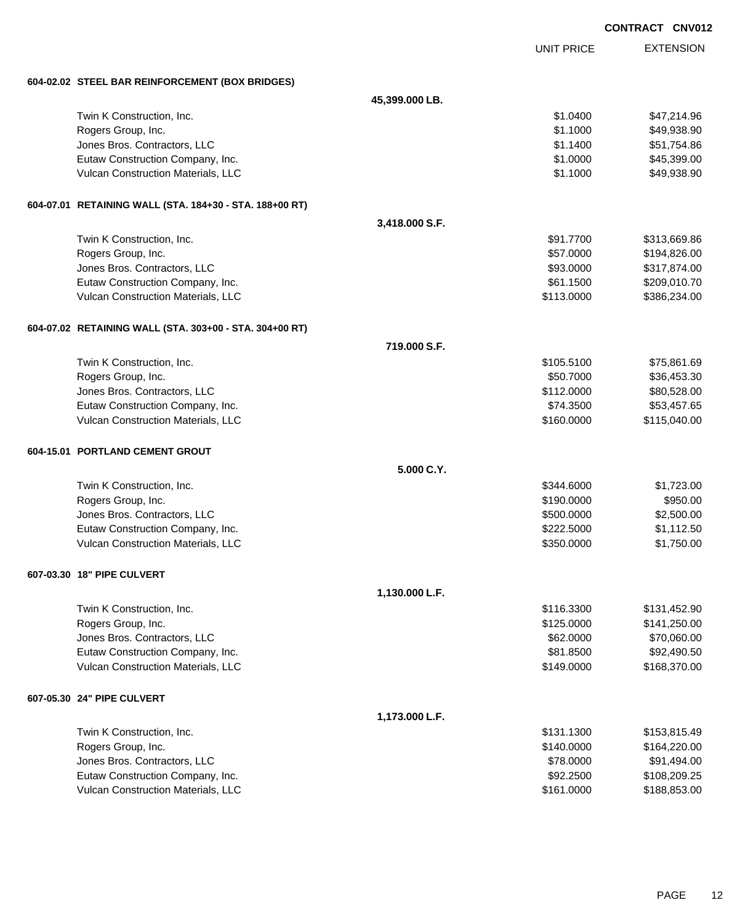|                                                         |                |                   | <b>CONTRACT CNV01</b> |
|---------------------------------------------------------|----------------|-------------------|-----------------------|
|                                                         |                | <b>UNIT PRICE</b> | <b>EXTENSION</b>      |
| 604-02.02 STEEL BAR REINFORCEMENT (BOX BRIDGES)         |                |                   |                       |
|                                                         | 45,399.000 LB. |                   |                       |
| Twin K Construction, Inc.                               |                | \$1.0400          | \$47,214.96           |
| Rogers Group, Inc.                                      |                | \$1.1000          | \$49,938.90           |
| Jones Bros. Contractors, LLC                            |                | \$1.1400          | \$51,754.86           |
| Eutaw Construction Company, Inc.                        |                | \$1.0000          | \$45,399.00           |
| Vulcan Construction Materials, LLC                      |                | \$1.1000          | \$49,938.90           |
| 604-07.01 RETAINING WALL (STA. 184+30 - STA. 188+00 RT) |                |                   |                       |
|                                                         | 3,418.000 S.F. |                   |                       |
| Twin K Construction, Inc.                               |                | \$91.7700         | \$313,669.86          |
| Rogers Group, Inc.                                      |                | \$57.0000         | \$194,826.00          |
| Jones Bros. Contractors, LLC                            |                | \$93.0000         | \$317,874.00          |
| Eutaw Construction Company, Inc.                        |                | \$61.1500         | \$209,010.70          |
| Vulcan Construction Materials, LLC                      |                | \$113.0000        | \$386,234.00          |
| 604-07.02 RETAINING WALL (STA. 303+00 - STA. 304+00 RT) |                |                   |                       |
|                                                         | 719.000 S.F.   |                   |                       |
| Twin K Construction, Inc.                               |                | \$105.5100        | \$75,861.69           |
| Rogers Group, Inc.                                      |                | \$50.7000         | \$36,453.30           |
| Jones Bros. Contractors, LLC                            |                | \$112.0000        | \$80,528.00           |
| Eutaw Construction Company, Inc.                        |                | \$74.3500         | \$53,457.65           |
| Vulcan Construction Materials, LLC                      |                | \$160.0000        | \$115,040.00          |
| 604-15.01 PORTLAND CEMENT GROUT                         |                |                   |                       |
|                                                         | 5.000 C.Y.     |                   |                       |
| Twin K Construction, Inc.                               |                | \$344,6000        | \$1,723.00            |
| Rogers Group, Inc.                                      |                | \$190.0000        | \$950.00              |
| Jones Bros. Contractors, LLC                            |                | \$500.0000        | \$2,500.00            |
| Eutaw Construction Company, Inc.                        |                | \$222.5000        | \$1,112.50            |
| Vulcan Construction Materials, LLC                      |                | \$350.0000        | \$1,750.00            |
| 607-03.30 18" PIPE CULVERT                              |                |                   |                       |
|                                                         | 1,130.000 L.F. |                   |                       |
| Twin K Construction, Inc.                               |                | \$116.3300        | \$131,452.90          |
| Rogers Group, Inc.                                      |                | \$125.0000        | \$141,250.00          |
| Jones Bros. Contractors, LLC                            |                | \$62.0000         | \$70,060.00           |
| Eutaw Construction Company, Inc.                        |                | \$81.8500         | \$92,490.50           |
| Vulcan Construction Materials, LLC                      |                | \$149.0000        | \$168,370.00          |
| 607-05.30 24" PIPE CULVERT                              |                |                   |                       |
|                                                         | 1,173.000 L.F. |                   |                       |
| Twin K Construction, Inc.                               |                | \$131.1300        | \$153,815.49          |
| Rogers Group, Inc.                                      |                | \$140.0000        | \$164,220.00          |
| Jones Bros. Contractors, LLC                            |                | \$78.0000         | \$91,494.00           |
| Eutaw Construction Company, Inc.                        |                | \$92.2500         | \$108,209.25          |
| Vulcan Construction Materials, LLC                      |                | \$161.0000        | \$188,853.00          |

## 012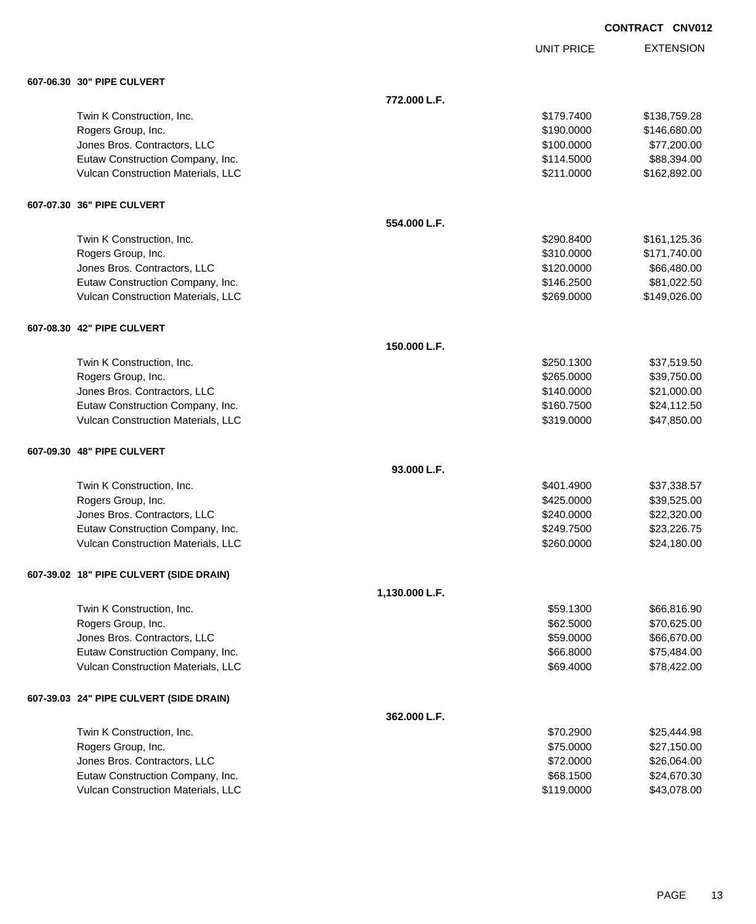UNIT PRICE

| 607-06.30 30" PIPE CULVERT |  |  |
|----------------------------|--|--|
|                            |  |  |

| 607-06.30   30" PIPE CULVERT            |                |            |              |
|-----------------------------------------|----------------|------------|--------------|
|                                         | 772.000 L.F.   |            |              |
| Twin K Construction, Inc.               |                | \$179.7400 | \$138,759.28 |
| Rogers Group, Inc.                      |                | \$190.0000 | \$146,680.00 |
| Jones Bros. Contractors, LLC            |                | \$100.0000 | \$77,200.00  |
| Eutaw Construction Company, Inc.        |                | \$114.5000 | \$88,394.00  |
| Vulcan Construction Materials, LLC      |                | \$211.0000 | \$162,892.00 |
| 607-07.30 36" PIPE CULVERT              |                |            |              |
|                                         | 554.000 L.F.   |            |              |
| Twin K Construction, Inc.               |                | \$290.8400 | \$161,125.36 |
| Rogers Group, Inc.                      |                | \$310.0000 | \$171,740.00 |
| Jones Bros. Contractors, LLC            |                | \$120.0000 | \$66,480.00  |
| Eutaw Construction Company, Inc.        |                | \$146.2500 | \$81,022.50  |
| Vulcan Construction Materials, LLC      |                | \$269.0000 | \$149,026.00 |
| 607-08.30 42" PIPE CULVERT              |                |            |              |
|                                         | 150.000 L.F.   |            |              |
| Twin K Construction, Inc.               |                | \$250.1300 | \$37,519.50  |
| Rogers Group, Inc.                      |                | \$265.0000 | \$39,750.00  |
| Jones Bros. Contractors, LLC            |                | \$140.0000 | \$21,000.00  |
| Eutaw Construction Company, Inc.        |                | \$160.7500 | \$24,112.50  |
| Vulcan Construction Materials, LLC      |                | \$319.0000 | \$47,850.00  |
| 607-09.30 48" PIPE CULVERT              |                |            |              |
|                                         | 93.000 L.F.    |            |              |
| Twin K Construction, Inc.               |                | \$401.4900 | \$37,338.57  |
| Rogers Group, Inc.                      |                | \$425.0000 | \$39,525.00  |
| Jones Bros. Contractors, LLC            |                | \$240.0000 | \$22,320.00  |
| Eutaw Construction Company, Inc.        |                | \$249.7500 | \$23,226.75  |
| Vulcan Construction Materials, LLC      |                | \$260,0000 | \$24,180.00  |
| 607-39.02 18" PIPE CULVERT (SIDE DRAIN) |                |            |              |
|                                         | 1,130.000 L.F. |            |              |
| Twin K Construction, Inc.               |                | \$59.1300  | \$66,816.90  |
| Rogers Group, Inc.                      |                | \$62.5000  | \$70,625.00  |
| Jones Bros. Contractors, LLC            |                | \$59.0000  | \$66,670.00  |
| Eutaw Construction Company, Inc.        |                | \$66.8000  | \$75,484.00  |
| Vulcan Construction Materials, LLC      |                | \$69.4000  | \$78,422.00  |
| 607-39.03 24" PIPE CULVERT (SIDE DRAIN) |                |            |              |
|                                         | 362.000 L.F.   |            |              |
| Twin K Construction, Inc.               |                | \$70.2900  | \$25,444.98  |
| Rogers Group, Inc.                      |                | \$75.0000  | \$27,150.00  |
| Jones Bros. Contractors, LLC            |                | \$72.0000  | \$26,064.00  |
| Eutaw Construction Company, Inc.        |                | \$68.1500  | \$24,670.30  |
| Vulcan Construction Materials, LLC      |                | \$119.0000 | \$43,078.00  |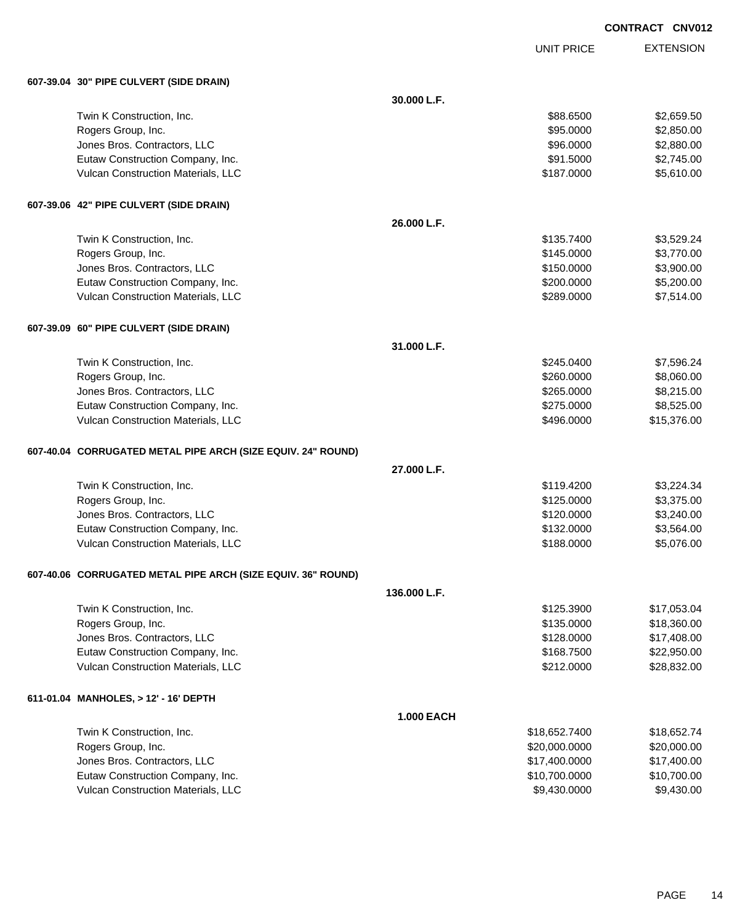UNIT PRICE

| 607-39.04 30" PIPE CULVERT (SIDE DRAIN)                      |                   |               |             |
|--------------------------------------------------------------|-------------------|---------------|-------------|
|                                                              | 30.000 L.F.       |               |             |
| Twin K Construction, Inc.                                    |                   | \$88.6500     | \$2,659.50  |
| Rogers Group, Inc.                                           |                   | \$95.0000     | \$2,850.00  |
| Jones Bros. Contractors, LLC                                 |                   | \$96.0000     | \$2,880.00  |
| Eutaw Construction Company, Inc.                             |                   | \$91.5000     | \$2,745.00  |
| Vulcan Construction Materials, LLC                           |                   | \$187.0000    | \$5,610.00  |
| 607-39.06 42" PIPE CULVERT (SIDE DRAIN)                      |                   |               |             |
|                                                              | 26.000 L.F.       |               |             |
| Twin K Construction, Inc.                                    |                   | \$135.7400    | \$3,529.24  |
| Rogers Group, Inc.                                           |                   | \$145.0000    | \$3,770.00  |
| Jones Bros. Contractors, LLC                                 |                   | \$150.0000    | \$3,900.00  |
| Eutaw Construction Company, Inc.                             |                   | \$200.0000    | \$5,200.00  |
| Vulcan Construction Materials, LLC                           |                   | \$289.0000    | \$7,514.00  |
| 607-39.09 60" PIPE CULVERT (SIDE DRAIN)                      |                   |               |             |
|                                                              | 31.000 L.F.       |               |             |
| Twin K Construction, Inc.                                    |                   | \$245.0400    | \$7,596.24  |
| Rogers Group, Inc.                                           |                   | \$260.0000    | \$8,060.00  |
| Jones Bros. Contractors, LLC                                 |                   | \$265.0000    | \$8,215.00  |
| Eutaw Construction Company, Inc.                             |                   | \$275.0000    | \$8,525.00  |
| Vulcan Construction Materials, LLC                           |                   | \$496.0000    | \$15,376.00 |
| 607-40.04 CORRUGATED METAL PIPE ARCH (SIZE EQUIV. 24" ROUND) |                   |               |             |
|                                                              | 27.000 L.F.       |               |             |
| Twin K Construction, Inc.                                    |                   | \$119.4200    | \$3,224.34  |
| Rogers Group, Inc.                                           |                   | \$125.0000    | \$3,375.00  |
| Jones Bros. Contractors, LLC                                 |                   | \$120.0000    | \$3,240.00  |
| Eutaw Construction Company, Inc.                             |                   | \$132.0000    | \$3,564.00  |
| Vulcan Construction Materials, LLC                           |                   | \$188.0000    | \$5,076.00  |
| 607-40.06 CORRUGATED METAL PIPE ARCH (SIZE EQUIV. 36" ROUND) |                   |               |             |
|                                                              | 136,000 L.F.      |               |             |
| Twin K Construction, Inc.                                    |                   | \$125.3900    | \$17,053.04 |
| Rogers Group, Inc.                                           |                   | \$135.0000    | \$18,360.00 |
| Jones Bros. Contractors, LLC                                 |                   | \$128.0000    | \$17,408.00 |
| Eutaw Construction Company, Inc.                             |                   | \$168.7500    | \$22,950.00 |
| Vulcan Construction Materials, LLC                           |                   | \$212.0000    | \$28,832.00 |
| 611-01.04 MANHOLES, > 12' - 16' DEPTH                        |                   |               |             |
|                                                              | <b>1.000 EACH</b> |               |             |
| Twin K Construction, Inc.                                    |                   | \$18,652.7400 | \$18,652.74 |
| Rogers Group, Inc.                                           |                   | \$20,000.0000 | \$20,000.00 |
| Jones Bros. Contractors, LLC                                 |                   | \$17,400.0000 | \$17,400.00 |
| Eutaw Construction Company, Inc.                             |                   | \$10,700.0000 | \$10,700.00 |
| Vulcan Construction Materials, LLC                           |                   | \$9,430.0000  | \$9,430.00  |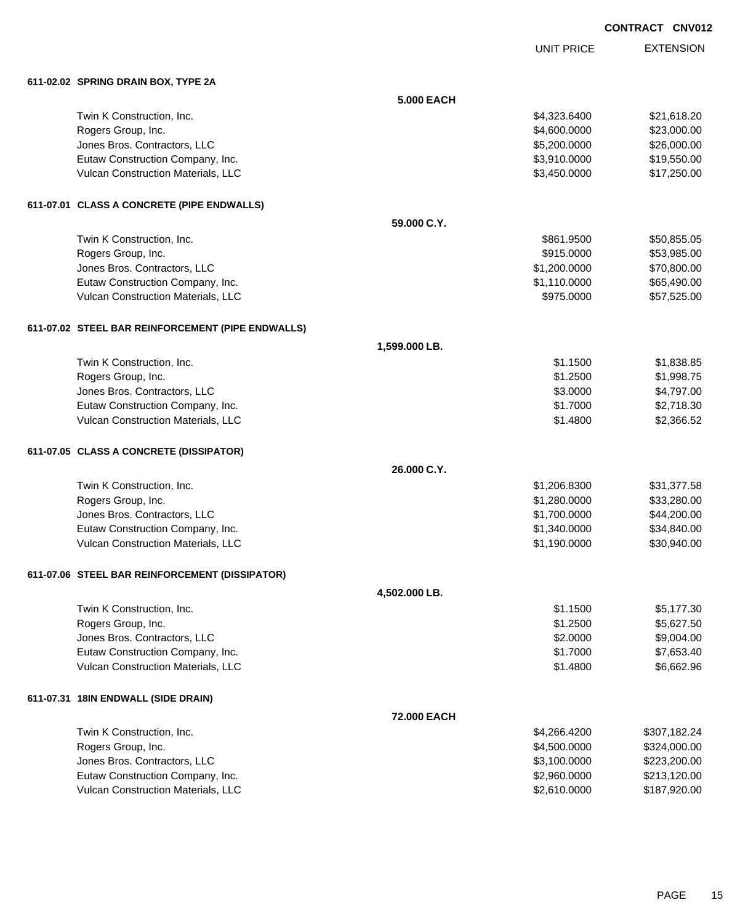UNIT PRICE

| 611-02.02 SPRING DRAIN BOX, TYPE 2A               |                   |              |              |
|---------------------------------------------------|-------------------|--------------|--------------|
|                                                   | <b>5.000 EACH</b> |              |              |
| Twin K Construction, Inc.                         |                   | \$4,323.6400 | \$21,618.20  |
| Rogers Group, Inc.                                |                   | \$4,600.0000 | \$23,000.00  |
| Jones Bros. Contractors, LLC                      |                   | \$5,200.0000 | \$26,000.00  |
| Eutaw Construction Company, Inc.                  |                   | \$3,910.0000 | \$19,550.00  |
| Vulcan Construction Materials, LLC                |                   | \$3,450.0000 | \$17,250.00  |
| 611-07.01 CLASS A CONCRETE (PIPE ENDWALLS)        |                   |              |              |
|                                                   | 59.000 C.Y.       |              |              |
| Twin K Construction, Inc.                         |                   | \$861.9500   | \$50,855.05  |
| Rogers Group, Inc.                                |                   | \$915.0000   | \$53,985.00  |
| Jones Bros. Contractors, LLC                      |                   | \$1,200.0000 | \$70,800.00  |
| Eutaw Construction Company, Inc.                  |                   | \$1,110.0000 | \$65,490.00  |
| Vulcan Construction Materials, LLC                |                   | \$975.0000   | \$57,525.00  |
| 611-07.02 STEEL BAR REINFORCEMENT (PIPE ENDWALLS) |                   |              |              |
|                                                   | 1,599.000 LB.     |              |              |
| Twin K Construction, Inc.                         |                   | \$1.1500     | \$1,838.85   |
| Rogers Group, Inc.                                |                   | \$1.2500     | \$1,998.75   |
| Jones Bros. Contractors, LLC                      |                   | \$3.0000     | \$4,797.00   |
| Eutaw Construction Company, Inc.                  |                   | \$1.7000     | \$2,718.30   |
| Vulcan Construction Materials, LLC                |                   | \$1.4800     | \$2,366.52   |
| 611-07.05 CLASS A CONCRETE (DISSIPATOR)           |                   |              |              |
|                                                   | 26.000 C.Y.       |              |              |
| Twin K Construction, Inc.                         |                   | \$1,206.8300 | \$31,377.58  |
| Rogers Group, Inc.                                |                   | \$1,280.0000 | \$33,280.00  |
| Jones Bros. Contractors, LLC                      |                   | \$1,700.0000 | \$44,200.00  |
| Eutaw Construction Company, Inc.                  |                   | \$1,340.0000 | \$34,840.00  |
| Vulcan Construction Materials, LLC                |                   | \$1,190.0000 | \$30,940.00  |
| 611-07.06 STEEL BAR REINFORCEMENT (DISSIPATOR)    |                   |              |              |
|                                                   | 4,502.000 LB.     |              |              |
| Twin K Construction, Inc.                         |                   | \$1.1500     | \$5,177.30   |
| Rogers Group, Inc.                                |                   | \$1.2500     | \$5,627.50   |
| Jones Bros. Contractors, LLC                      |                   | \$2.0000     | \$9,004.00   |
| Eutaw Construction Company, Inc.                  |                   | \$1.7000     | \$7,653.40   |
| Vulcan Construction Materials, LLC                |                   | \$1.4800     | \$6,662.96   |
| 611-07.31 18IN ENDWALL (SIDE DRAIN)               |                   |              |              |
|                                                   | 72.000 EACH       |              |              |
| Twin K Construction, Inc.                         |                   | \$4,266.4200 | \$307,182.24 |
| Rogers Group, Inc.                                |                   | \$4,500.0000 | \$324,000.00 |
| Jones Bros. Contractors, LLC                      |                   | \$3,100.0000 | \$223,200.00 |
| Eutaw Construction Company, Inc.                  |                   | \$2,960.0000 | \$213,120.00 |
| Vulcan Construction Materials, LLC                |                   | \$2,610.0000 | \$187,920.00 |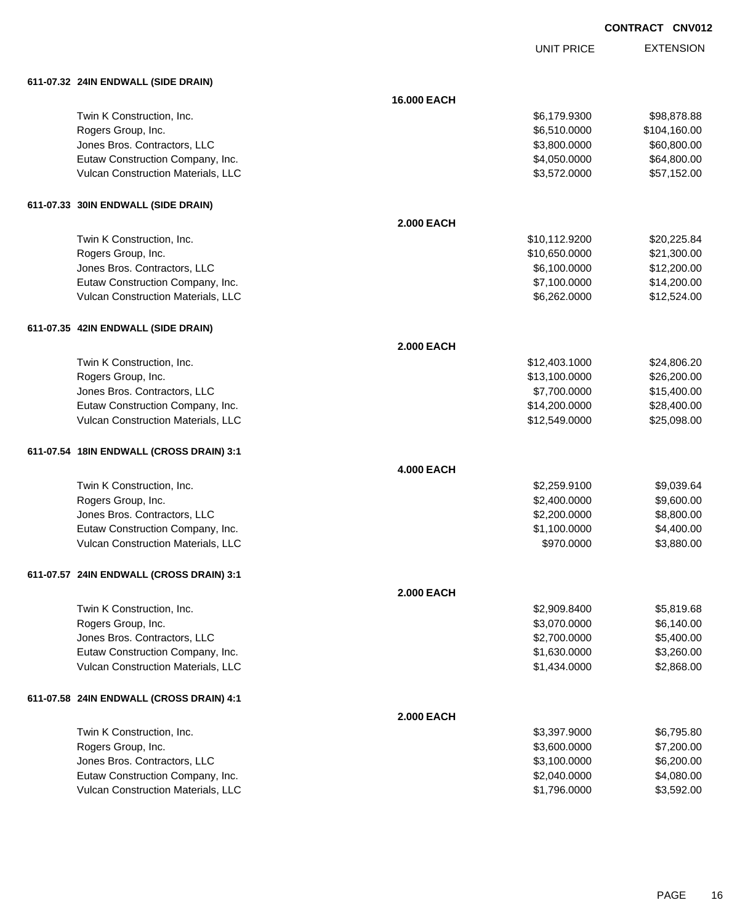UNIT PRICE

|  |  | 611-07.32 24IN ENDWALL (SIDE DRAIN) |  |
|--|--|-------------------------------------|--|
|--|--|-------------------------------------|--|

| 611-07.32 24IN ENDWALL (SIDE DRAIN)      |                    |               |              |
|------------------------------------------|--------------------|---------------|--------------|
|                                          | <b>16.000 EACH</b> |               |              |
| Twin K Construction, Inc.                |                    | \$6,179.9300  | \$98,878.88  |
| Rogers Group, Inc.                       |                    | \$6,510.0000  | \$104,160.00 |
| Jones Bros. Contractors, LLC             |                    | \$3,800.0000  | \$60,800.00  |
| Eutaw Construction Company, Inc.         |                    | \$4,050.0000  | \$64,800.00  |
| Vulcan Construction Materials, LLC       |                    | \$3,572.0000  | \$57,152.00  |
| 611-07.33 30IN ENDWALL (SIDE DRAIN)      |                    |               |              |
|                                          | <b>2.000 EACH</b>  |               |              |
| Twin K Construction, Inc.                |                    | \$10,112.9200 | \$20,225.84  |
| Rogers Group, Inc.                       |                    | \$10,650.0000 | \$21,300.00  |
| Jones Bros. Contractors, LLC             |                    | \$6,100.0000  | \$12,200.00  |
| Eutaw Construction Company, Inc.         |                    | \$7,100.0000  | \$14,200.00  |
| Vulcan Construction Materials, LLC       |                    | \$6,262.0000  | \$12,524.00  |
| 611-07.35 42IN ENDWALL (SIDE DRAIN)      |                    |               |              |
|                                          | 2.000 EACH         |               |              |
| Twin K Construction, Inc.                |                    | \$12,403.1000 | \$24,806.20  |
| Rogers Group, Inc.                       |                    | \$13,100.0000 | \$26,200.00  |
| Jones Bros. Contractors, LLC             |                    | \$7,700.0000  | \$15,400.00  |
| Eutaw Construction Company, Inc.         |                    | \$14,200.0000 | \$28,400.00  |
| Vulcan Construction Materials, LLC       |                    | \$12,549.0000 | \$25,098.00  |
| 611-07.54 18IN ENDWALL (CROSS DRAIN) 3:1 |                    |               |              |
|                                          | <b>4.000 EACH</b>  |               |              |
| Twin K Construction, Inc.                |                    | \$2,259.9100  | \$9,039.64   |
| Rogers Group, Inc.                       |                    | \$2,400.0000  | \$9,600.00   |
| Jones Bros. Contractors, LLC             |                    | \$2,200.0000  | \$8,800.00   |
| Eutaw Construction Company, Inc.         |                    | \$1,100.0000  | \$4,400.00   |
| Vulcan Construction Materials, LLC       |                    | \$970.0000    | \$3,880.00   |
| 611-07.57 24IN ENDWALL (CROSS DRAIN) 3:1 |                    |               |              |
|                                          | 2.000 EACH         |               |              |
| Twin K Construction, Inc.                |                    | \$2,909.8400  | \$5,819.68   |
| Rogers Group, Inc.                       |                    | \$3,070.0000  | \$6,140.00   |
| Jones Bros. Contractors, LLC             |                    | \$2,700.0000  | \$5,400.00   |
| Eutaw Construction Company, Inc.         |                    | \$1,630.0000  | \$3,260.00   |
| Vulcan Construction Materials, LLC       |                    | \$1,434.0000  | \$2,868.00   |
| 611-07.58 24IN ENDWALL (CROSS DRAIN) 4:1 |                    |               |              |
|                                          | <b>2.000 EACH</b>  |               |              |
| Twin K Construction, Inc.                |                    | \$3,397.9000  | \$6,795.80   |
| Rogers Group, Inc.                       |                    | \$3,600.0000  | \$7,200.00   |
| Jones Bros. Contractors, LLC             |                    | \$3,100.0000  | \$6,200.00   |
| Eutaw Construction Company, Inc.         |                    | \$2,040.0000  | \$4,080.00   |
| Vulcan Construction Materials, LLC       |                    | \$1,796.0000  | \$3,592.00   |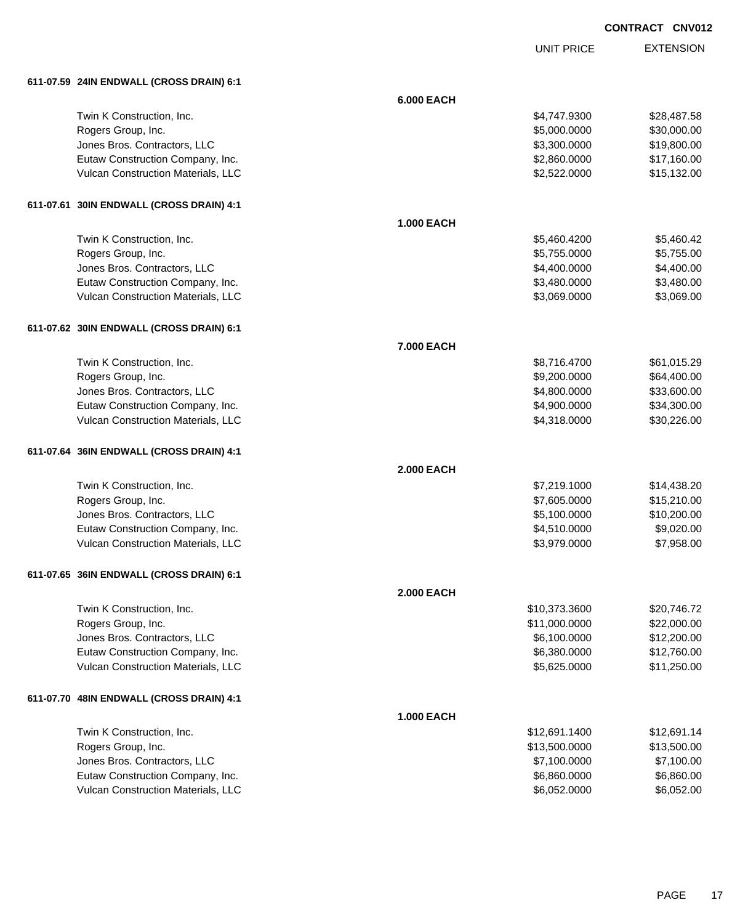UNIT PRICE EXTENSION

|  | 611-07.59   24IN ENDWALL (CROSS DRAIN) 6:1 |
|--|--------------------------------------------|
|  |                                            |

| 611-07.59 Z4IN ENDWALL (CROSS DRAIN) 6.1                               |                   |                              |                            |
|------------------------------------------------------------------------|-------------------|------------------------------|----------------------------|
|                                                                        | <b>6.000 EACH</b> |                              |                            |
| Twin K Construction, Inc.                                              |                   | \$4,747.9300                 | \$28,487.58                |
| Rogers Group, Inc.                                                     |                   | \$5,000.0000                 | \$30,000.00                |
| Jones Bros. Contractors, LLC                                           |                   | \$3,300.0000                 | \$19,800.00                |
| Eutaw Construction Company, Inc.                                       |                   | \$2,860.0000                 | \$17,160.00                |
| Vulcan Construction Materials, LLC                                     |                   | \$2,522.0000                 | \$15,132.00                |
| 611-07.61 30IN ENDWALL (CROSS DRAIN) 4:1                               |                   |                              |                            |
|                                                                        | <b>1.000 EACH</b> |                              |                            |
| Twin K Construction, Inc.                                              |                   | \$5,460.4200                 | \$5,460.42                 |
| Rogers Group, Inc.                                                     |                   | \$5,755.0000                 | \$5,755.00                 |
| Jones Bros. Contractors, LLC                                           |                   | \$4,400.0000                 | \$4,400.00                 |
| Eutaw Construction Company, Inc.                                       |                   | \$3,480.0000                 | \$3,480.00                 |
| Vulcan Construction Materials, LLC                                     |                   | \$3,069.0000                 | \$3,069.00                 |
| 611-07.62 30IN ENDWALL (CROSS DRAIN) 6:1                               |                   |                              |                            |
|                                                                        | 7.000 EACH        |                              |                            |
| Twin K Construction, Inc.                                              |                   | \$8,716.4700                 | \$61,015.29                |
| Rogers Group, Inc.                                                     |                   | \$9,200.0000                 | \$64,400.00                |
| Jones Bros. Contractors, LLC                                           |                   | \$4,800.0000                 | \$33,600.00                |
| Eutaw Construction Company, Inc.                                       |                   | \$4,900.0000                 | \$34,300.00                |
| Vulcan Construction Materials, LLC                                     |                   | \$4,318.0000                 | \$30,226.00                |
| 611-07.64 36IN ENDWALL (CROSS DRAIN) 4:1                               |                   |                              |                            |
|                                                                        | <b>2.000 EACH</b> |                              |                            |
| Twin K Construction, Inc.                                              |                   | \$7,219.1000                 | \$14,438.20                |
| Rogers Group, Inc.                                                     |                   | \$7,605.0000                 | \$15,210.00                |
| Jones Bros. Contractors, LLC                                           |                   | \$5,100.0000                 | \$10,200.00                |
| Eutaw Construction Company, Inc.                                       |                   | \$4,510.0000                 | \$9,020.00                 |
| Vulcan Construction Materials, LLC                                     |                   | \$3,979.0000                 | \$7,958.00                 |
| 611-07.65 36IN ENDWALL (CROSS DRAIN) 6:1                               |                   |                              |                            |
|                                                                        | <b>2.000 EACH</b> |                              |                            |
| Twin K Construction, Inc.                                              |                   | \$10,373.3600                | \$20,746.72                |
| Rogers Group, Inc.                                                     |                   | \$11,000.0000                | \$22,000.00                |
| Jones Bros. Contractors, LLC                                           |                   | \$6,100.0000                 | \$12,200.00                |
| Eutaw Construction Company, Inc.<br>Vulcan Construction Materials, LLC |                   | \$6,380.0000<br>\$5,625.0000 | \$12,760.00<br>\$11,250.00 |
|                                                                        |                   |                              |                            |
| 611-07.70 48IN ENDWALL (CROSS DRAIN) 4:1                               | <b>1.000 EACH</b> |                              |                            |
| Twin K Construction, Inc.                                              |                   | \$12,691.1400                | \$12,691.14                |
| Rogers Group, Inc.                                                     |                   | \$13,500.0000                | \$13,500.00                |
| Jones Bros. Contractors, LLC                                           |                   | \$7,100.0000                 | \$7,100.00                 |
| Eutaw Construction Company, Inc.                                       |                   | \$6,860.0000                 | \$6,860.00                 |
| Vulcan Construction Materials, LLC                                     |                   | \$6,052.0000                 | \$6,052.00                 |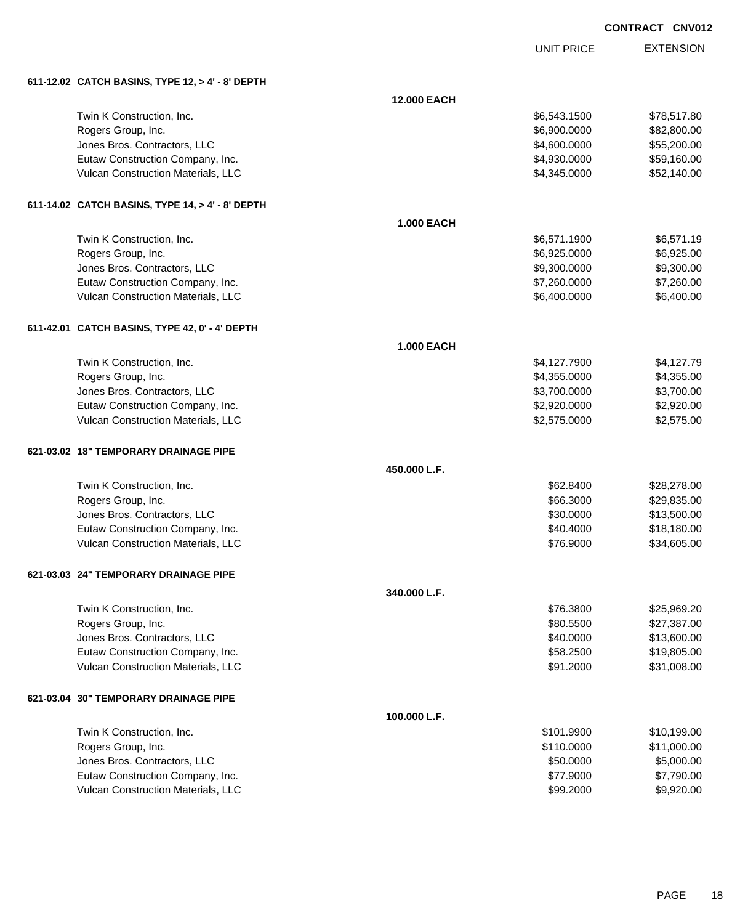UNIT PRICE

| 611-12.02 CATCH BASINS, TYPE 12, > 4' - 8' DEPTH |                    |              |             |
|--------------------------------------------------|--------------------|--------------|-------------|
|                                                  | <b>12.000 EACH</b> |              |             |
| Twin K Construction, Inc.                        |                    | \$6,543.1500 | \$78,517.80 |
| Rogers Group, Inc.                               |                    | \$6,900.0000 | \$82,800.00 |
| Jones Bros. Contractors, LLC                     |                    | \$4,600.0000 | \$55,200.00 |
| Eutaw Construction Company, Inc.                 |                    | \$4,930.0000 | \$59,160.00 |
| Vulcan Construction Materials, LLC               |                    | \$4,345.0000 | \$52,140.00 |
| 611-14.02 CATCH BASINS, TYPE 14, > 4' - 8' DEPTH |                    |              |             |
|                                                  | <b>1.000 EACH</b>  |              |             |
| Twin K Construction, Inc.                        |                    | \$6,571.1900 | \$6,571.19  |
| Rogers Group, Inc.                               |                    | \$6,925.0000 | \$6,925.00  |
| Jones Bros. Contractors, LLC                     |                    | \$9,300.0000 | \$9,300.00  |
| Eutaw Construction Company, Inc.                 |                    | \$7,260.0000 | \$7,260.00  |
| Vulcan Construction Materials, LLC               |                    | \$6,400.0000 | \$6,400.00  |
| 611-42.01 CATCH BASINS, TYPE 42, 0' - 4' DEPTH   |                    |              |             |
|                                                  | <b>1.000 EACH</b>  |              |             |
| Twin K Construction, Inc.                        |                    | \$4,127.7900 | \$4,127.79  |
| Rogers Group, Inc.                               |                    | \$4,355.0000 | \$4,355.00  |
| Jones Bros. Contractors, LLC                     |                    | \$3,700.0000 | \$3,700.00  |
| Eutaw Construction Company, Inc.                 |                    | \$2,920.0000 | \$2,920.00  |
| Vulcan Construction Materials, LLC               |                    | \$2,575.0000 | \$2,575.00  |
| 621-03.02 18" TEMPORARY DRAINAGE PIPE            |                    |              |             |
|                                                  | 450.000 L.F.       |              |             |
| Twin K Construction, Inc.                        |                    | \$62.8400    | \$28,278.00 |
| Rogers Group, Inc.                               |                    | \$66.3000    | \$29,835.00 |
| Jones Bros. Contractors, LLC                     |                    | \$30.0000    | \$13,500.00 |
| Eutaw Construction Company, Inc.                 |                    | \$40.4000    | \$18,180.00 |
| Vulcan Construction Materials, LLC               |                    | \$76.9000    | \$34,605.00 |
| 621-03.03  24" TEMPORARY DRAINAGE PIPE           |                    |              |             |
|                                                  | 340.000 L.F.       |              |             |
| Twin K Construction, Inc.                        |                    | \$76.3800    | \$25,969.20 |
| Rogers Group, Inc.                               |                    | \$80.5500    | \$27,387.00 |
| Jones Bros. Contractors, LLC                     |                    | \$40.0000    | \$13,600.00 |
| Eutaw Construction Company, Inc.                 |                    | \$58.2500    | \$19,805.00 |
| Vulcan Construction Materials, LLC               |                    | \$91.2000    | \$31,008.00 |
| 621-03.04 30" TEMPORARY DRAINAGE PIPE            |                    |              |             |
|                                                  | 100.000 L.F.       |              |             |
| Twin K Construction, Inc.                        |                    | \$101.9900   | \$10,199.00 |
| Rogers Group, Inc.                               |                    | \$110.0000   | \$11,000.00 |
| Jones Bros. Contractors, LLC                     |                    | \$50.0000    | \$5,000.00  |
| Eutaw Construction Company, Inc.                 |                    | \$77.9000    | \$7,790.00  |
| Vulcan Construction Materials, LLC               |                    | \$99.2000    | \$9,920.00  |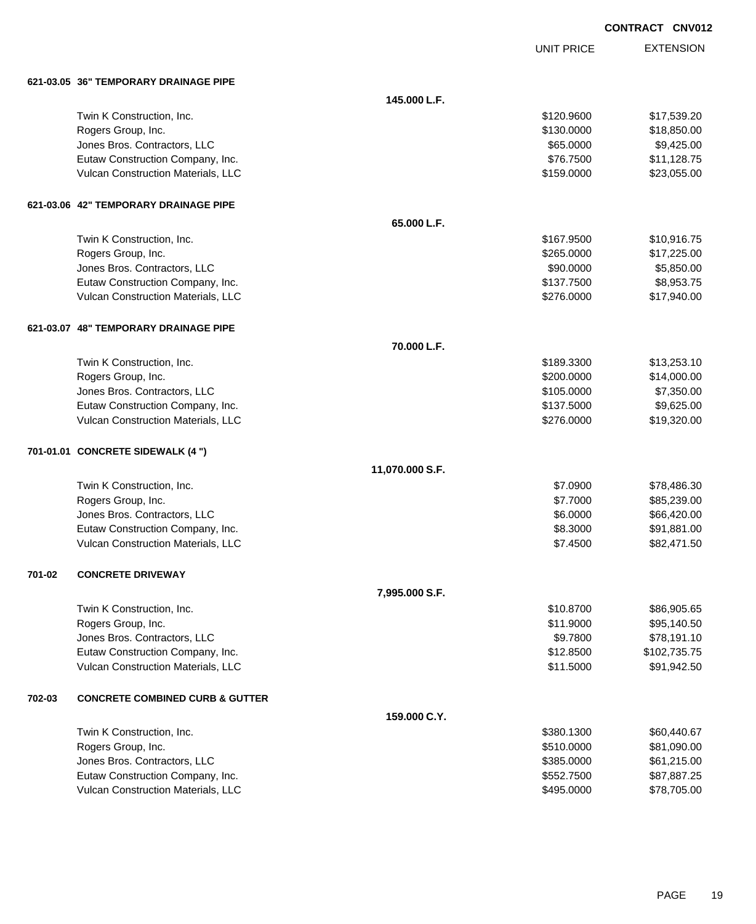| <b>CONTRACT</b> | <b>CNV012</b> |
|-----------------|---------------|
|-----------------|---------------|

UNIT PRICE

|        | 621-03.05 36" TEMPORARY DRAINAGE PIPE      |                 |            |              |
|--------|--------------------------------------------|-----------------|------------|--------------|
|        |                                            | 145.000 L.F.    |            |              |
|        | Twin K Construction, Inc.                  |                 | \$120,9600 | \$17,539.20  |
|        | Rogers Group, Inc.                         |                 | \$130.0000 | \$18,850.00  |
|        | Jones Bros. Contractors, LLC               |                 | \$65.0000  | \$9,425.00   |
|        | Eutaw Construction Company, Inc.           |                 | \$76.7500  | \$11,128.75  |
|        | Vulcan Construction Materials, LLC         |                 | \$159.0000 | \$23,055.00  |
|        | 621-03.06 42" TEMPORARY DRAINAGE PIPE      |                 |            |              |
|        |                                            | 65.000 L.F.     |            |              |
|        | Twin K Construction, Inc.                  |                 | \$167.9500 | \$10,916.75  |
|        | Rogers Group, Inc.                         |                 | \$265.0000 | \$17,225.00  |
|        | Jones Bros. Contractors, LLC               |                 | \$90.0000  | \$5,850.00   |
|        | Eutaw Construction Company, Inc.           |                 | \$137.7500 | \$8,953.75   |
|        | Vulcan Construction Materials, LLC         |                 | \$276.0000 | \$17,940.00  |
|        | 621-03.07 48" TEMPORARY DRAINAGE PIPE      |                 |            |              |
|        |                                            | 70.000 L.F.     |            |              |
|        | Twin K Construction, Inc.                  |                 | \$189,3300 | \$13,253.10  |
|        | Rogers Group, Inc.                         |                 | \$200.0000 | \$14,000.00  |
|        | Jones Bros. Contractors, LLC               |                 | \$105.0000 | \$7,350.00   |
|        | Eutaw Construction Company, Inc.           |                 | \$137.5000 | \$9,625.00   |
|        | Vulcan Construction Materials, LLC         |                 | \$276.0000 | \$19,320.00  |
|        | 701-01.01 CONCRETE SIDEWALK (4 ")          |                 |            |              |
|        |                                            | 11,070.000 S.F. |            |              |
|        | Twin K Construction, Inc.                  |                 | \$7.0900   | \$78,486.30  |
|        | Rogers Group, Inc.                         |                 | \$7.7000   | \$85,239.00  |
|        | Jones Bros. Contractors, LLC               |                 | \$6.0000   | \$66,420.00  |
|        | Eutaw Construction Company, Inc.           |                 | \$8.3000   | \$91,881.00  |
|        | Vulcan Construction Materials, LLC         |                 | \$7.4500   | \$82,471.50  |
| 701-02 | <b>CONCRETE DRIVEWAY</b>                   |                 |            |              |
|        |                                            | 7,995.000 S.F.  |            |              |
|        | Twin K Construction, Inc.                  |                 | \$10.8700  | \$86,905.65  |
|        | Rogers Group, Inc.                         |                 | \$11.9000  | \$95,140.50  |
|        | Jones Bros. Contractors, LLC               |                 | \$9.7800   | \$78,191.10  |
|        | Eutaw Construction Company, Inc.           |                 | \$12.8500  | \$102,735.75 |
|        | Vulcan Construction Materials, LLC         |                 | \$11.5000  | \$91,942.50  |
| 702-03 | <b>CONCRETE COMBINED CURB &amp; GUTTER</b> |                 |            |              |
|        |                                            | 159.000 C.Y.    |            |              |
|        | Twin K Construction, Inc.                  |                 | \$380.1300 | \$60,440.67  |
|        | Rogers Group, Inc.                         |                 | \$510.0000 | \$81,090.00  |
|        | Jones Bros. Contractors, LLC               |                 | \$385.0000 | \$61,215.00  |
|        | Eutaw Construction Company, Inc.           |                 | \$552.7500 | \$87,887.25  |
|        | Vulcan Construction Materials, LLC         |                 | \$495.0000 | \$78,705.00  |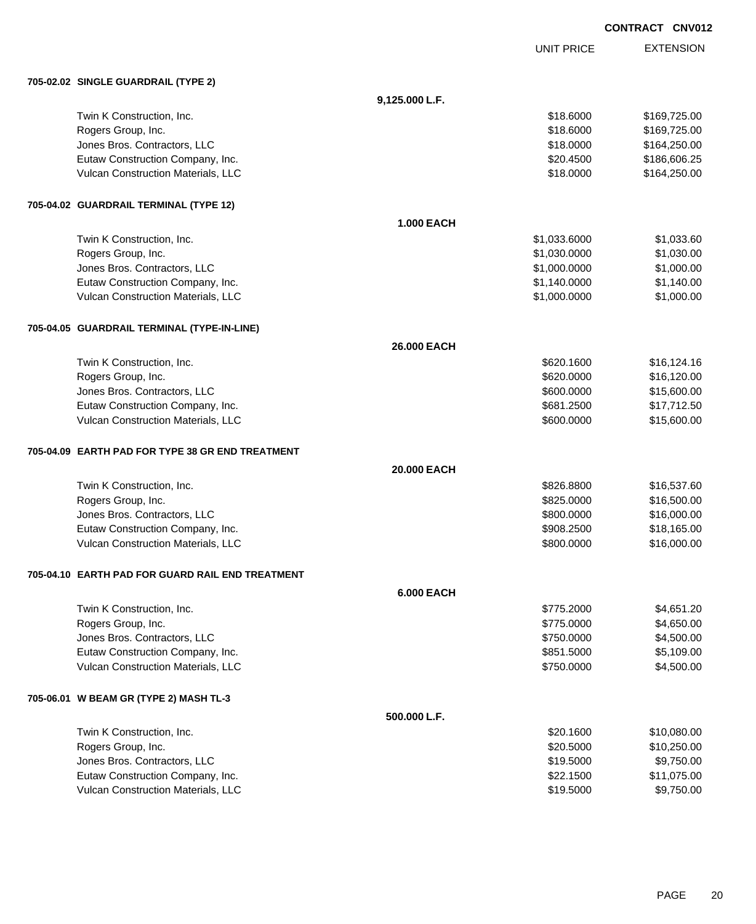|                                                  |                   |                   | CONTRACT CNV012 |                  |
|--------------------------------------------------|-------------------|-------------------|-----------------|------------------|
|                                                  |                   | <b>UNIT PRICE</b> |                 | <b>EXTENSION</b> |
| 705-02.02 SINGLE GUARDRAIL (TYPE 2)              |                   |                   |                 |                  |
|                                                  | 9,125.000 L.F.    |                   |                 |                  |
| Twin K Construction, Inc.                        |                   | \$18.6000         |                 | \$169,725.00     |
| Rogers Group, Inc.                               |                   | \$18.6000         |                 | \$169,725.00     |
| Jones Bros. Contractors, LLC                     |                   | \$18.0000         |                 | \$164,250.00     |
| Eutaw Construction Company, Inc.                 |                   | \$20.4500         |                 | \$186,606.25     |
| Vulcan Construction Materials, LLC               |                   | \$18.0000         |                 | \$164,250.00     |
| 705-04.02 GUARDRAIL TERMINAL (TYPE 12)           |                   |                   |                 |                  |
|                                                  | <b>1.000 EACH</b> |                   |                 |                  |
| Twin K Construction, Inc.                        |                   | \$1,033.6000      |                 | \$1,033.60       |
| Rogers Group, Inc.                               |                   | \$1,030.0000      |                 | \$1,030.00       |
| Jones Bros. Contractors, LLC                     |                   | \$1,000.0000      |                 | \$1,000.00       |
| Eutaw Construction Company, Inc.                 |                   | \$1,140.0000      |                 | \$1,140.00       |
| Vulcan Construction Materials, LLC               |                   | \$1,000.0000      |                 | \$1,000.00       |
| 705-04.05 GUARDRAIL TERMINAL (TYPE-IN-LINE)      |                   |                   |                 |                  |
|                                                  | 26.000 EACH       |                   |                 |                  |
| Twin K Construction, Inc.                        |                   | \$620.1600        |                 | \$16,124.16      |
| Rogers Group, Inc.                               |                   | \$620.0000        |                 | \$16,120.00      |
| Jones Bros. Contractors, LLC                     |                   | \$600.0000        |                 | \$15,600.00      |
| Eutaw Construction Company, Inc.                 |                   | \$681.2500        |                 | \$17,712.50      |
| Vulcan Construction Materials, LLC               |                   | \$600.0000        |                 | \$15,600.00      |
| 705-04.09 EARTH PAD FOR TYPE 38 GR END TREATMENT |                   |                   |                 |                  |
|                                                  | 20.000 EACH       |                   |                 |                  |
| Twin K Construction, Inc.                        |                   | \$826.8800        |                 | \$16,537.60      |
| Rogers Group, Inc.                               |                   | \$825.0000        |                 | \$16,500.00      |
| Jones Bros. Contractors, LLC                     |                   | \$800.0000        |                 | \$16,000.00      |
| Eutaw Construction Company, Inc.                 |                   | \$908.2500        |                 | \$18,165.00      |
| Vulcan Construction Materials, LLC               |                   | \$800.0000        |                 | \$16,000.00      |
| 705-04.10 EARTH PAD FOR GUARD RAIL END TREATMENT |                   |                   |                 |                  |
|                                                  | <b>6.000 EACH</b> |                   |                 |                  |
| Twin K Construction, Inc.                        |                   | \$775.2000        |                 | \$4,651.20       |
| Rogers Group, Inc.                               |                   | \$775.0000        |                 | \$4,650.00       |
| Jones Bros. Contractors, LLC                     |                   | \$750.0000        |                 | \$4,500.00       |
| Eutaw Construction Company, Inc.                 |                   | \$851.5000        |                 | \$5,109.00       |
| Vulcan Construction Materials, LLC               |                   | \$750.0000        |                 | \$4,500.00       |
| 705-06.01 W BEAM GR (TYPE 2) MASH TL-3           |                   |                   |                 |                  |
|                                                  | 500.000 L.F.      |                   |                 |                  |
| Twin K Construction, Inc.                        |                   | \$20.1600         |                 | \$10,080.00      |
| Rogers Group, Inc.                               |                   | \$20.5000         |                 | \$10,250.00      |
| Ionae Proc. Contractors IIC                      |                   | 010 E000          |                 | 0.75000          |

| Rogers Group, Inc.                        | \$20,5000 | \$10,250.00 |
|-------------------------------------------|-----------|-------------|
| Jones Bros. Contractors, LLC              | \$19,5000 | \$9,750.00  |
| Eutaw Construction Company, Inc.          | \$22,1500 | \$11,075.00 |
| <b>Vulcan Construction Materials, LLC</b> | \$19,5000 | \$9,750.00  |
|                                           |           |             |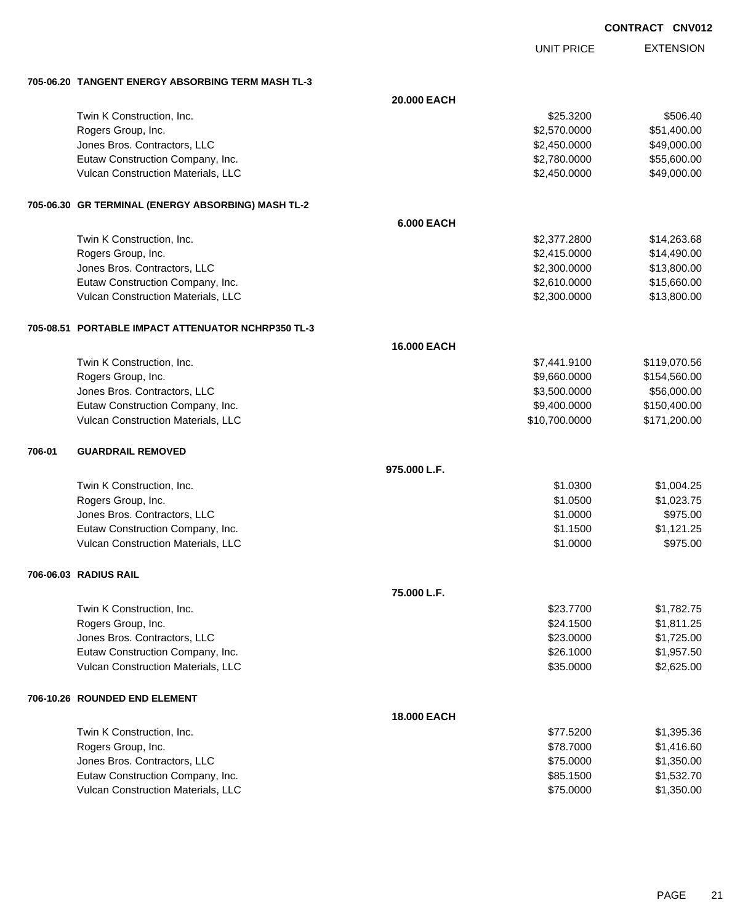UNIT PRICE

EXTENSION

**705-06.20 TANGENT ENERGY ABSORBING TERM MASH TL-3**

|        |                                                      | 20.000 EACH        |               |              |
|--------|------------------------------------------------------|--------------------|---------------|--------------|
|        | Twin K Construction, Inc.                            |                    | \$25.3200     | \$506.40     |
|        | Rogers Group, Inc.                                   |                    | \$2,570.0000  | \$51,400.00  |
|        | Jones Bros. Contractors, LLC                         |                    | \$2,450.0000  | \$49,000.00  |
|        | Eutaw Construction Company, Inc.                     |                    | \$2,780.0000  | \$55,600.00  |
|        | Vulcan Construction Materials, LLC                   |                    | \$2,450.0000  | \$49,000.00  |
|        | 705-06.30   GR TERMINAL (ENERGY ABSORBING) MASH TL-2 |                    |               |              |
|        |                                                      | <b>6.000 EACH</b>  |               |              |
|        | Twin K Construction, Inc.                            |                    | \$2,377.2800  | \$14,263.68  |
|        | Rogers Group, Inc.                                   |                    | \$2,415.0000  | \$14,490.00  |
|        | Jones Bros. Contractors, LLC                         |                    | \$2,300.0000  | \$13,800.00  |
|        | Eutaw Construction Company, Inc.                     |                    | \$2,610.0000  | \$15,660.00  |
|        | Vulcan Construction Materials, LLC                   |                    | \$2,300.0000  | \$13,800.00  |
|        | 705-08.51 PORTABLE IMPACT ATTENUATOR NCHRP350 TL-3   |                    |               |              |
|        |                                                      | 16.000 EACH        |               |              |
|        | Twin K Construction, Inc.                            |                    | \$7,441.9100  | \$119,070.56 |
|        | Rogers Group, Inc.                                   |                    | \$9,660.0000  | \$154,560.00 |
|        | Jones Bros. Contractors, LLC                         |                    | \$3,500.0000  | \$56,000.00  |
|        | Eutaw Construction Company, Inc.                     |                    | \$9,400.0000  | \$150,400.00 |
|        | Vulcan Construction Materials, LLC                   |                    | \$10,700.0000 | \$171,200.00 |
| 706-01 | <b>GUARDRAIL REMOVED</b>                             |                    |               |              |
|        |                                                      | 975.000 L.F.       |               |              |
|        | Twin K Construction, Inc.                            |                    | \$1.0300      | \$1,004.25   |
|        | Rogers Group, Inc.                                   |                    | \$1.0500      | \$1,023.75   |
|        | Jones Bros. Contractors, LLC                         |                    | \$1.0000      | \$975.00     |
|        | Eutaw Construction Company, Inc.                     |                    | \$1.1500      | \$1,121.25   |
|        | Vulcan Construction Materials, LLC                   |                    | \$1.0000      | \$975.00     |
|        | 706-06.03 RADIUS RAIL                                |                    |               |              |
|        |                                                      | 75.000 L.F.        |               |              |
|        | Twin K Construction, Inc.                            |                    | \$23.7700     | \$1,782.75   |
|        | Rogers Group, Inc.                                   |                    | \$24.1500     | \$1,811.25   |
|        | Jones Bros. Contractors, LLC                         |                    | \$23.0000     | \$1,725.00   |
|        | Eutaw Construction Company, Inc.                     |                    | \$26.1000     | \$1,957.50   |
|        | Vulcan Construction Materials, LLC                   |                    | \$35.0000     | \$2,625.00   |
|        | 706-10.26 ROUNDED END ELEMENT                        |                    |               |              |
|        |                                                      | <b>18.000 EACH</b> |               |              |
|        | Twin K Construction, Inc.                            |                    | \$77.5200     | \$1,395.36   |
|        | Rogers Group, Inc.                                   |                    | \$78.7000     | \$1,416.60   |
|        | Jones Bros. Contractors, LLC                         |                    | \$75.0000     | \$1,350.00   |
|        | Eutaw Construction Company, Inc.                     |                    | \$85.1500     | \$1,532.70   |
|        | Vulcan Construction Materials, LLC                   |                    | \$75.0000     | \$1,350.00   |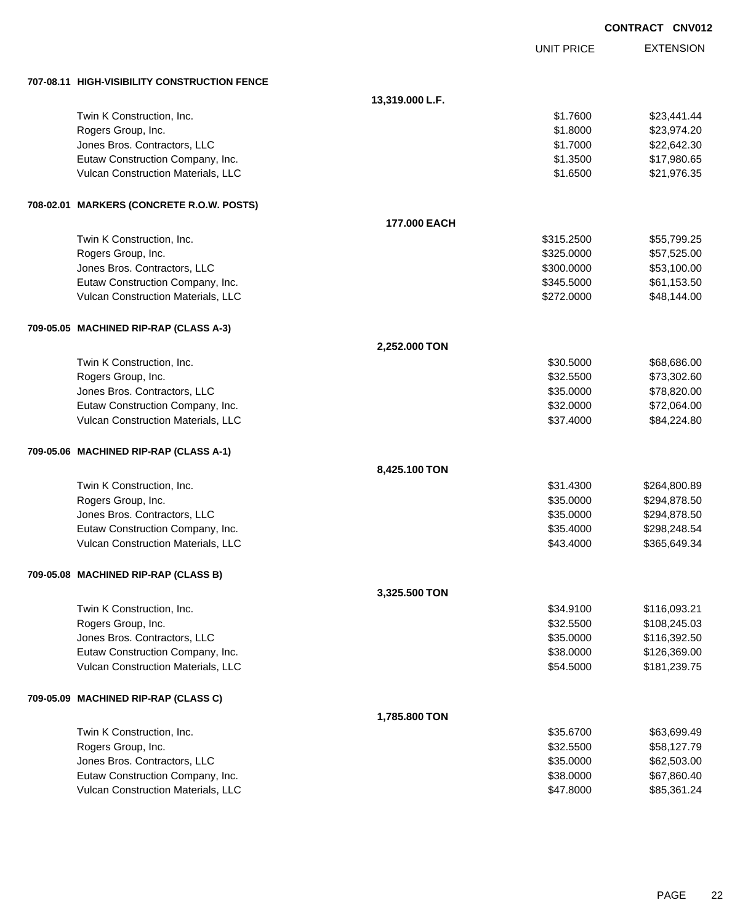|                                              |                 |                   | <b>CONTRACT CNV012</b> |
|----------------------------------------------|-----------------|-------------------|------------------------|
|                                              |                 | <b>UNIT PRICE</b> | <b>EXTENSION</b>       |
| 707-08.11 HIGH-VISIBILITY CONSTRUCTION FENCE |                 |                   |                        |
|                                              | 13,319.000 L.F. |                   |                        |
| Twin K Construction, Inc.                    |                 | \$1.7600          | \$23,441.44            |
| Rogers Group, Inc.                           |                 | \$1.8000          | \$23,974.20            |
| Jones Bros. Contractors, LLC                 |                 | \$1.7000          | \$22,642.30            |
| Eutaw Construction Company, Inc.             |                 | \$1.3500          | \$17,980.65            |
| Vulcan Construction Materials, LLC           |                 | \$1.6500          | \$21,976.35            |
| 708-02.01 MARKERS (CONCRETE R.O.W. POSTS)    |                 |                   |                        |
|                                              | 177.000 EACH    |                   |                        |
| Twin K Construction, Inc.                    |                 | \$315.2500        | \$55,799.25            |
| Rogers Group, Inc.                           |                 | \$325.0000        | \$57,525.00            |
| Jones Bros. Contractors, LLC                 |                 | \$300.0000        | \$53,100.00            |
| Eutaw Construction Company, Inc.             |                 | \$345.5000        | \$61,153.50            |
| Vulcan Construction Materials, LLC           |                 | \$272.0000        | \$48,144.00            |
| 709-05.05 MACHINED RIP-RAP (CLASS A-3)       |                 |                   |                        |
|                                              | 2,252.000 TON   |                   |                        |
| Twin K Construction, Inc.                    |                 | \$30.5000         | \$68,686.00            |
| Rogers Group, Inc.                           |                 | \$32.5500         | \$73,302.60            |
| Jones Bros. Contractors, LLC                 |                 | \$35.0000         | \$78,820.00            |
| Eutaw Construction Company, Inc.             |                 | \$32.0000         | \$72,064.00            |
| Vulcan Construction Materials, LLC           |                 | \$37.4000         | \$84,224.80            |
| 709-05.06 MACHINED RIP-RAP (CLASS A-1)       |                 |                   |                        |
|                                              | 8,425.100 TON   |                   |                        |
| Twin K Construction, Inc.                    |                 | \$31.4300         | \$264,800.89           |
| Rogers Group, Inc.                           |                 | \$35.0000         | \$294,878.50           |
| Jones Bros. Contractors, LLC                 |                 | \$35.0000         | \$294,878.50           |
| Eutaw Construction Company, Inc.             |                 | \$35.4000         | \$298,248.54           |
| Vulcan Construction Materials, LLC           |                 | \$43.4000         | \$365,649.34           |
| 709-05.08 MACHINED RIP-RAP (CLASS B)         |                 |                   |                        |
|                                              | 3,325.500 TON   |                   |                        |
| Twin K Construction, Inc.                    |                 | \$34.9100         | \$116,093.21           |
| Rogers Group, Inc.                           |                 | \$32.5500         | \$108,245.03           |
| Jones Bros. Contractors, LLC                 |                 | \$35.0000         | \$116,392.50           |
| Eutaw Construction Company, Inc.             |                 | \$38.0000         | \$126,369.00           |
| Vulcan Construction Materials, LLC           |                 | \$54.5000         | \$181,239.75           |
| 709-05.09 MACHINED RIP-RAP (CLASS C)         |                 |                   |                        |
|                                              | 1,785.800 TON   |                   |                        |
| Twin K Construction, Inc.                    |                 | \$35.6700         | \$63,699.49            |
| Rogers Group, Inc.                           |                 | \$32.5500         | \$58,127.79            |
| Jones Bros. Contractors, LLC                 |                 | \$35.0000         | \$62,503.00            |
| Eutaw Construction Company, Inc.             |                 | \$38.0000         | \$67,860.40            |
| Vulcan Construction Materials, LLC           |                 | \$47.8000         | \$85,361.24            |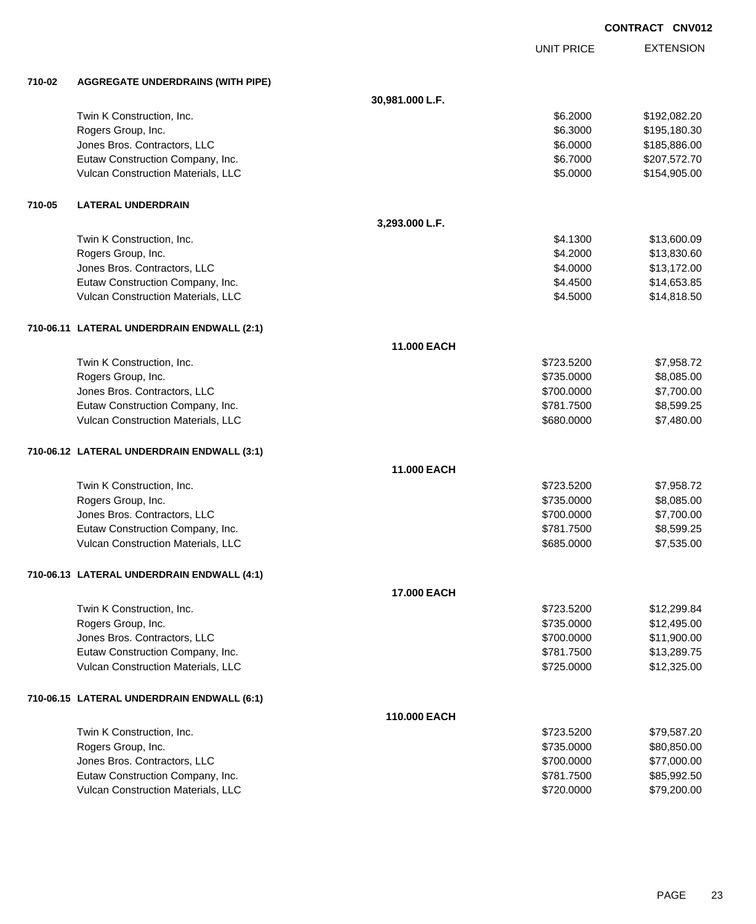UNIT PRICE

| 710-02 | <b>AGGREGATE UNDERDRAINS (WITH PIPE)</b>   |                 |            |              |
|--------|--------------------------------------------|-----------------|------------|--------------|
|        |                                            | 30,981.000 L.F. |            |              |
|        | Twin K Construction, Inc.                  |                 | \$6.2000   | \$192,082.20 |
|        | Rogers Group, Inc.                         |                 | \$6.3000   | \$195,180.30 |
|        | Jones Bros. Contractors, LLC               |                 | \$6.0000   | \$185,886.00 |
|        | Eutaw Construction Company, Inc.           |                 | \$6.7000   | \$207,572.70 |
|        | Vulcan Construction Materials, LLC         |                 | \$5.0000   | \$154,905.00 |
| 710-05 | <b>LATERAL UNDERDRAIN</b>                  |                 |            |              |
|        |                                            | 3,293.000 L.F.  |            |              |
|        | Twin K Construction, Inc.                  |                 | \$4.1300   | \$13,600.09  |
|        | Rogers Group, Inc.                         |                 | \$4.2000   | \$13,830.60  |
|        | Jones Bros. Contractors, LLC               |                 | \$4.0000   | \$13,172.00  |
|        | Eutaw Construction Company, Inc.           |                 | \$4.4500   | \$14,653.85  |
|        | Vulcan Construction Materials, LLC         |                 | \$4.5000   | \$14,818.50  |
|        | 710-06.11 LATERAL UNDERDRAIN ENDWALL (2:1) |                 |            |              |
|        |                                            | 11.000 EACH     |            |              |
|        | Twin K Construction, Inc.                  |                 | \$723.5200 | \$7,958.72   |
|        | Rogers Group, Inc.                         |                 | \$735.0000 | \$8,085.00   |
|        | Jones Bros. Contractors, LLC               |                 | \$700.0000 | \$7,700.00   |
|        | Eutaw Construction Company, Inc.           |                 | \$781.7500 | \$8,599.25   |
|        | Vulcan Construction Materials, LLC         |                 | \$680.0000 | \$7,480.00   |
|        | 710-06.12 LATERAL UNDERDRAIN ENDWALL (3:1) |                 |            |              |
|        |                                            | 11.000 EACH     |            |              |
|        | Twin K Construction, Inc.                  |                 | \$723.5200 | \$7,958.72   |
|        | Rogers Group, Inc.                         |                 | \$735.0000 | \$8,085.00   |
|        | Jones Bros. Contractors, LLC               |                 | \$700.0000 | \$7,700.00   |
|        | Eutaw Construction Company, Inc.           |                 | \$781.7500 | \$8,599.25   |
|        | Vulcan Construction Materials, LLC         |                 | \$685.0000 | \$7,535.00   |
|        | 710-06.13 LATERAL UNDERDRAIN ENDWALL (4:1) |                 |            |              |
|        |                                            | 17.000 EACH     |            |              |
|        | Twin K Construction, Inc.                  |                 | \$723.5200 | \$12,299.84  |
|        | Rogers Group, Inc.                         |                 | \$735.0000 | \$12,495.00  |
|        | Jones Bros. Contractors, LLC               |                 | \$700.0000 | \$11,900.00  |
|        | Eutaw Construction Company, Inc.           |                 | \$781.7500 | \$13,289.75  |
|        | Vulcan Construction Materials, LLC         |                 | \$725.0000 | \$12,325.00  |
|        | 710-06.15 LATERAL UNDERDRAIN ENDWALL (6:1) |                 |            |              |
|        |                                            | 110.000 EACH    |            |              |
|        | Twin K Construction, Inc.                  |                 | \$723.5200 | \$79,587.20  |
|        | Rogers Group, Inc.                         |                 | \$735.0000 | \$80,850.00  |
|        | Jones Bros. Contractors, LLC               |                 | \$700.0000 | \$77,000.00  |
|        | Eutaw Construction Company, Inc.           |                 | \$781.7500 | \$85,992.50  |
|        | Vulcan Construction Materials, LLC         |                 | \$720.0000 | \$79,200.00  |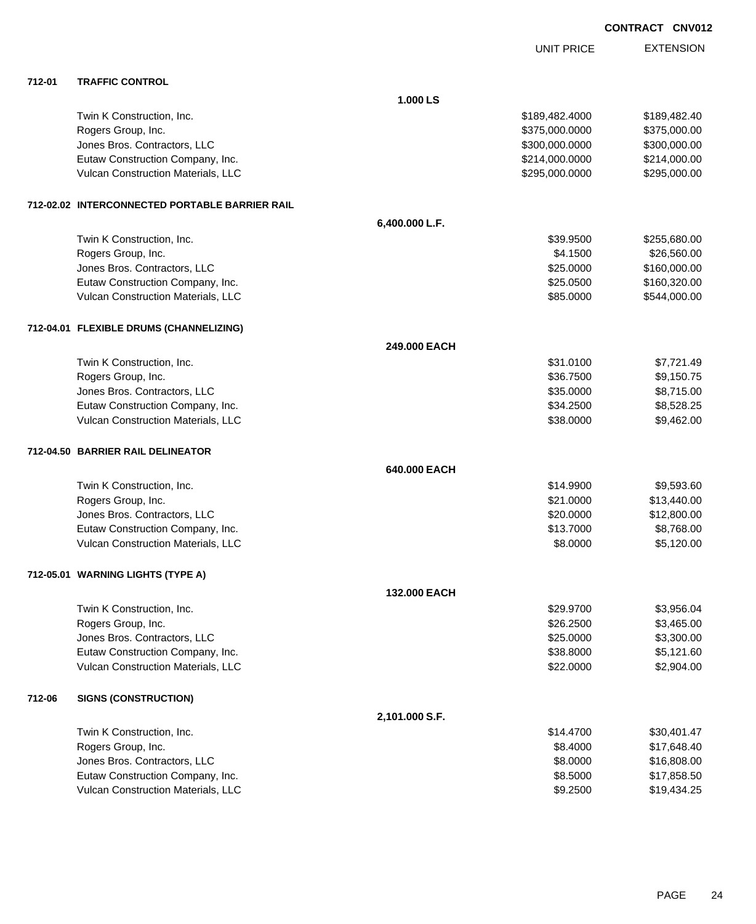|        |                                                |                | <b>UNIT PRICE</b> | <b>EXTENSION</b> |
|--------|------------------------------------------------|----------------|-------------------|------------------|
| 712-01 | <b>TRAFFIC CONTROL</b>                         |                |                   |                  |
|        |                                                | 1.000 LS       |                   |                  |
|        | Twin K Construction, Inc.                      |                | \$189,482.4000    | \$189,482.40     |
|        | Rogers Group, Inc.                             |                | \$375,000.0000    | \$375,000.00     |
|        | Jones Bros. Contractors, LLC                   |                | \$300,000.0000    | \$300,000.00     |
|        | Eutaw Construction Company, Inc.               |                | \$214,000.0000    | \$214,000.00     |
|        | Vulcan Construction Materials, LLC             |                | \$295,000.0000    | \$295,000.00     |
|        | 712-02.02 INTERCONNECTED PORTABLE BARRIER RAIL |                |                   |                  |
|        |                                                | 6,400.000 L.F. |                   |                  |
|        | Twin K Construction, Inc.                      |                | \$39.9500         | \$255,680.00     |
|        | Rogers Group, Inc.                             |                | \$4.1500          | \$26,560.00      |
|        | Jones Bros. Contractors, LLC                   |                | \$25.0000         | \$160,000.00     |
|        | Eutaw Construction Company, Inc.               |                | \$25.0500         | \$160,320.00     |
|        | Vulcan Construction Materials, LLC             |                | \$85.0000         | \$544,000.00     |
|        | 712-04.01 FLEXIBLE DRUMS (CHANNELIZING)        |                |                   |                  |
|        |                                                | 249,000 EACH   |                   |                  |
|        | Twin K Construction, Inc.                      |                | \$31.0100         | \$7,721.49       |
|        | Rogers Group, Inc.                             |                | \$36.7500         | \$9,150.75       |
|        | Jones Bros. Contractors, LLC                   |                | \$35.0000         | \$8,715.00       |
|        | Eutaw Construction Company, Inc.               |                | \$34.2500         | \$8,528.25       |
|        | Vulcan Construction Materials, LLC             |                | \$38.0000         | \$9,462.00       |
|        | 712-04.50 BARRIER RAIL DELINEATOR              |                |                   |                  |
|        |                                                | 640,000 EACH   |                   |                  |
|        | Twin K Construction, Inc.                      |                | \$14.9900         | \$9,593.60       |
|        | Rogers Group, Inc.                             |                | \$21.0000         | \$13,440.00      |
|        | Jones Bros. Contractors, LLC                   |                | \$20.0000         | \$12,800.00      |
|        | Eutaw Construction Company, Inc.               |                | \$13.7000         | \$8,768.00       |
|        | Vulcan Construction Materials, LLC             |                | \$8.0000          | \$5,120.00       |
|        | 712-05.01 WARNING LIGHTS (TYPE A)              |                |                   |                  |
|        |                                                | 132.000 EACH   |                   |                  |
|        | Twin K Construction, Inc.                      |                | \$29.9700         | \$3,956.04       |
|        | Rogers Group, Inc.                             |                | \$26.2500         | \$3,465.00       |
|        | Jones Bros. Contractors, LLC                   |                | \$25.0000         | \$3,300.00       |
|        | Eutaw Construction Company, Inc.               |                | \$38.8000         | \$5,121.60       |
|        | Vulcan Construction Materials, LLC             |                | \$22.0000         | \$2,904.00       |
| 712-06 | <b>SIGNS (CONSTRUCTION)</b>                    |                |                   |                  |
|        |                                                | 2,101.000 S.F. |                   |                  |
|        | Twin K Construction, Inc.                      |                | \$14.4700         | \$30,401.47      |
|        | Rogers Group, Inc.                             |                | \$8.4000          | \$17,648.40      |
|        | Jones Bros. Contractors, LLC                   |                | \$8.0000          | \$16,808.00      |
|        | Eutaw Construction Company, Inc.               |                | \$8.5000          | \$17,858.50      |
|        | Vulcan Construction Materials, LLC             |                | \$9.2500          | \$19,434.25      |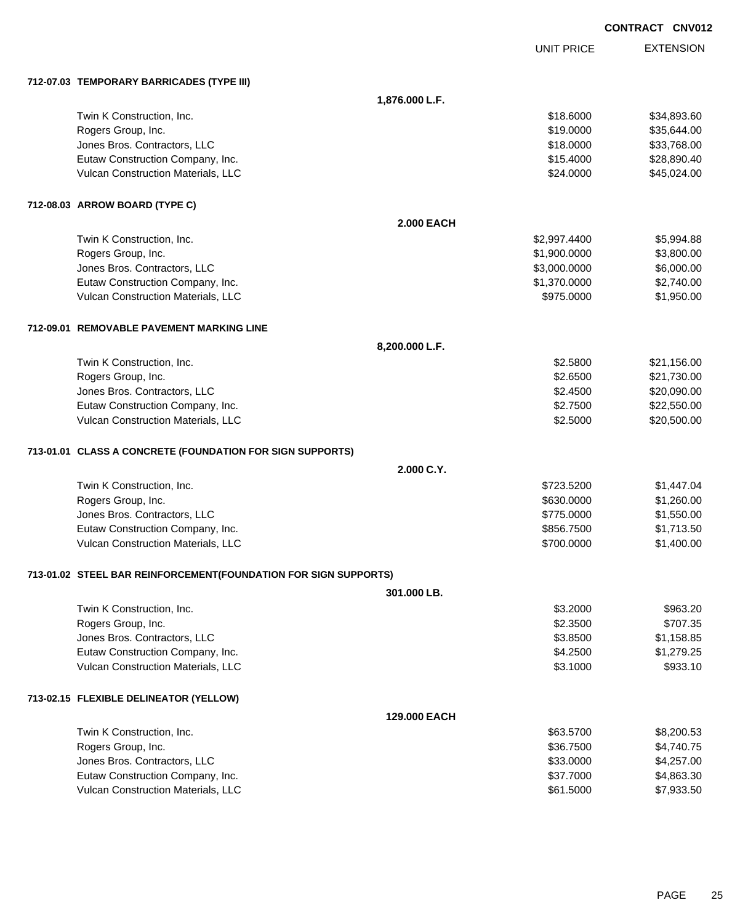|                                                                 |                   |                   | CONTRACT CNV012 |                  |
|-----------------------------------------------------------------|-------------------|-------------------|-----------------|------------------|
|                                                                 |                   | <b>UNIT PRICE</b> |                 | <b>EXTENSION</b> |
| 712-07.03 TEMPORARY BARRICADES (TYPE III)                       |                   |                   |                 |                  |
|                                                                 | 1,876.000 L.F.    |                   |                 |                  |
| Twin K Construction, Inc.                                       |                   | \$18.6000         |                 | \$34,893.60      |
| Rogers Group, Inc.                                              |                   | \$19.0000         |                 | \$35,644.00      |
| Jones Bros. Contractors, LLC                                    |                   | \$18.0000         |                 | \$33,768.00      |
| Eutaw Construction Company, Inc.                                |                   | \$15.4000         |                 | \$28,890.40      |
| Vulcan Construction Materials, LLC                              |                   | \$24.0000         |                 | \$45,024.00      |
| 712-08.03 ARROW BOARD (TYPE C)                                  |                   |                   |                 |                  |
|                                                                 | <b>2.000 EACH</b> |                   |                 |                  |
| Twin K Construction, Inc.                                       |                   | \$2,997.4400      |                 | \$5,994.88       |
| Rogers Group, Inc.                                              |                   | \$1,900.0000      |                 | \$3,800.00       |
| Jones Bros. Contractors, LLC                                    |                   | \$3,000.0000      |                 | \$6,000.00       |
| Eutaw Construction Company, Inc.                                |                   | \$1,370.0000      |                 | \$2,740.00       |
| Vulcan Construction Materials, LLC                              |                   | \$975.0000        |                 | \$1,950.00       |
| 712-09.01 REMOVABLE PAVEMENT MARKING LINE                       |                   |                   |                 |                  |
|                                                                 | 8,200.000 L.F.    |                   |                 |                  |
| Twin K Construction, Inc.                                       |                   | \$2.5800          |                 | \$21,156.00      |
| Rogers Group, Inc.                                              |                   | \$2.6500          |                 | \$21,730.00      |
| Jones Bros. Contractors, LLC                                    |                   | \$2.4500          |                 | \$20,090.00      |
| Eutaw Construction Company, Inc.                                |                   | \$2.7500          |                 | \$22,550.00      |
| Vulcan Construction Materials, LLC                              |                   | \$2.5000          |                 | \$20,500.00      |
| 713-01.01 CLASS A CONCRETE (FOUNDATION FOR SIGN SUPPORTS)       |                   |                   |                 |                  |
|                                                                 | 2.000 C.Y.        |                   |                 |                  |
| Twin K Construction, Inc.                                       |                   | \$723,5200        |                 | \$1,447.04       |
| Rogers Group, Inc.                                              |                   | \$630.0000        |                 | \$1,260.00       |
| Jones Bros. Contractors, LLC                                    |                   | \$775.0000        |                 | \$1,550.00       |
| Eutaw Construction Company, Inc.                                |                   | \$856.7500        |                 | \$1,713.50       |
| Vulcan Construction Materials, LLC                              |                   | \$700.0000        |                 | \$1,400.00       |
| 713-01.02 STEEL BAR REINFORCEMENT(FOUNDATION FOR SIGN SUPPORTS) |                   |                   |                 |                  |
|                                                                 | 301.000 LB.       |                   |                 |                  |
| Twin K Construction, Inc.                                       |                   | \$3.2000          |                 | \$963.20         |
| Rogers Group, Inc.                                              |                   | \$2.3500          |                 | \$707.35         |
| Jones Bros. Contractors, LLC                                    |                   | \$3.8500          |                 | \$1,158.85       |
| Eutaw Construction Company, Inc.                                |                   | \$4.2500          |                 | \$1,279.25       |
| Vulcan Construction Materials, LLC                              |                   | \$3.1000          |                 | \$933.10         |
| 713-02.15 FLEXIBLE DELINEATOR (YELLOW)                          |                   |                   |                 |                  |
|                                                                 | 129.000 EACH      |                   |                 |                  |
| Twin K Construction, Inc.                                       |                   | \$63.5700         |                 | \$8,200.53       |
| Rogers Group, Inc.                                              |                   | \$36.7500         |                 | \$4,740.75       |
| Jones Bros. Contractors, LLC                                    |                   | \$33.0000         |                 | \$4,257.00       |
| Eutaw Construction Company, Inc.                                |                   | \$37.7000         |                 | \$4,863.30       |
| Vulcan Construction Materials, LLC                              |                   | \$61.5000         |                 | \$7,933.50       |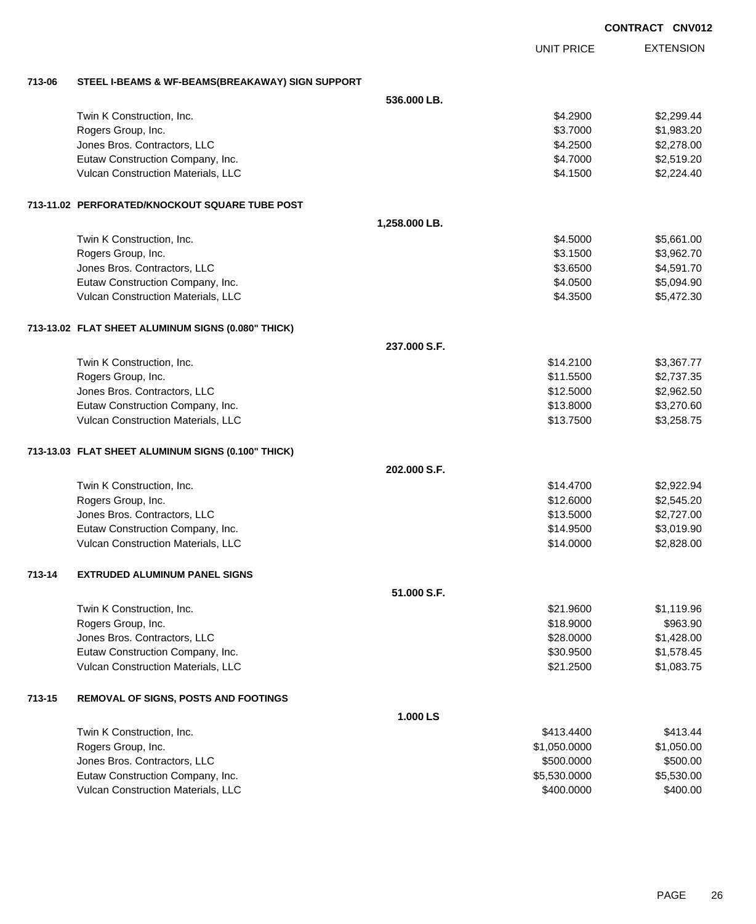| <b>CONTRACT CNV012</b> |  |
|------------------------|--|
|                        |  |

EXTENSION UNIT PRICE

## **713-06 STEEL I-BEAMS & WF-BEAMS(BREAKAWAY) SIGN SUPPORT**

|        |                                                    | 536.000 LB.   |              |            |  |
|--------|----------------------------------------------------|---------------|--------------|------------|--|
|        | Twin K Construction, Inc.                          |               | \$4.2900     | \$2,299.44 |  |
|        | Rogers Group, Inc.                                 |               | \$3.7000     | \$1,983.20 |  |
|        | Jones Bros. Contractors, LLC                       |               | \$4.2500     | \$2,278.00 |  |
|        | Eutaw Construction Company, Inc.                   |               | \$4.7000     | \$2,519.20 |  |
|        | Vulcan Construction Materials, LLC                 |               | \$4.1500     | \$2,224.40 |  |
|        | 713-11.02 PERFORATED/KNOCKOUT SQUARE TUBE POST     |               |              |            |  |
|        |                                                    | 1,258.000 LB. |              |            |  |
|        | Twin K Construction, Inc.                          |               | \$4.5000     | \$5,661.00 |  |
|        | Rogers Group, Inc.                                 |               | \$3.1500     | \$3,962.70 |  |
|        | Jones Bros. Contractors, LLC                       |               | \$3.6500     | \$4,591.70 |  |
|        | Eutaw Construction Company, Inc.                   |               | \$4.0500     | \$5,094.90 |  |
|        | Vulcan Construction Materials, LLC                 |               | \$4.3500     | \$5,472.30 |  |
|        | 713-13.02 FLAT SHEET ALUMINUM SIGNS (0.080" THICK) |               |              |            |  |
|        |                                                    | 237.000 S.F.  |              |            |  |
|        | Twin K Construction, Inc.                          |               | \$14.2100    | \$3,367.77 |  |
|        | Rogers Group, Inc.                                 |               | \$11.5500    | \$2,737.35 |  |
|        | Jones Bros. Contractors, LLC                       |               | \$12.5000    | \$2,962.50 |  |
|        | Eutaw Construction Company, Inc.                   |               | \$13.8000    | \$3,270.60 |  |
|        | Vulcan Construction Materials, LLC                 |               | \$13.7500    | \$3,258.75 |  |
|        | 713-13.03 FLAT SHEET ALUMINUM SIGNS (0.100" THICK) |               |              |            |  |
|        |                                                    | 202.000 S.F.  |              |            |  |
|        | Twin K Construction, Inc.                          |               | \$14.4700    | \$2,922.94 |  |
|        | Rogers Group, Inc.                                 |               | \$12.6000    | \$2,545.20 |  |
|        | Jones Bros. Contractors, LLC                       |               | \$13.5000    | \$2,727.00 |  |
|        | Eutaw Construction Company, Inc.                   |               | \$14.9500    | \$3,019.90 |  |
|        | Vulcan Construction Materials, LLC                 |               | \$14.0000    | \$2,828.00 |  |
| 713-14 | <b>EXTRUDED ALUMINUM PANEL SIGNS</b>               |               |              |            |  |
|        |                                                    | 51.000 S.F.   |              |            |  |
|        | Twin K Construction, Inc.                          |               | \$21.9600    | \$1,119.96 |  |
|        | Rogers Group, Inc.                                 |               | \$18.9000    | \$963.90   |  |
|        | Jones Bros. Contractors, LLC                       |               | \$28.0000    | \$1,428.00 |  |
|        | Eutaw Construction Company, Inc.                   |               | \$30.9500    | \$1,578.45 |  |
|        | Vulcan Construction Materials, LLC                 |               | \$21.2500    | \$1,083.75 |  |
| 713-15 | <b>REMOVAL OF SIGNS, POSTS AND FOOTINGS</b>        |               |              |            |  |
|        |                                                    | 1.000 LS      |              |            |  |
|        | Twin K Construction, Inc.                          |               | \$413.4400   | \$413.44   |  |
|        | Rogers Group, Inc.                                 |               | \$1,050.0000 | \$1,050.00 |  |
|        | Jones Bros. Contractors, LLC                       |               | \$500.0000   | \$500.00   |  |
|        | Eutaw Construction Company, Inc.                   |               | \$5,530.0000 | \$5,530.00 |  |
|        | Vulcan Construction Materials, LLC                 |               | \$400.0000   | \$400.00   |  |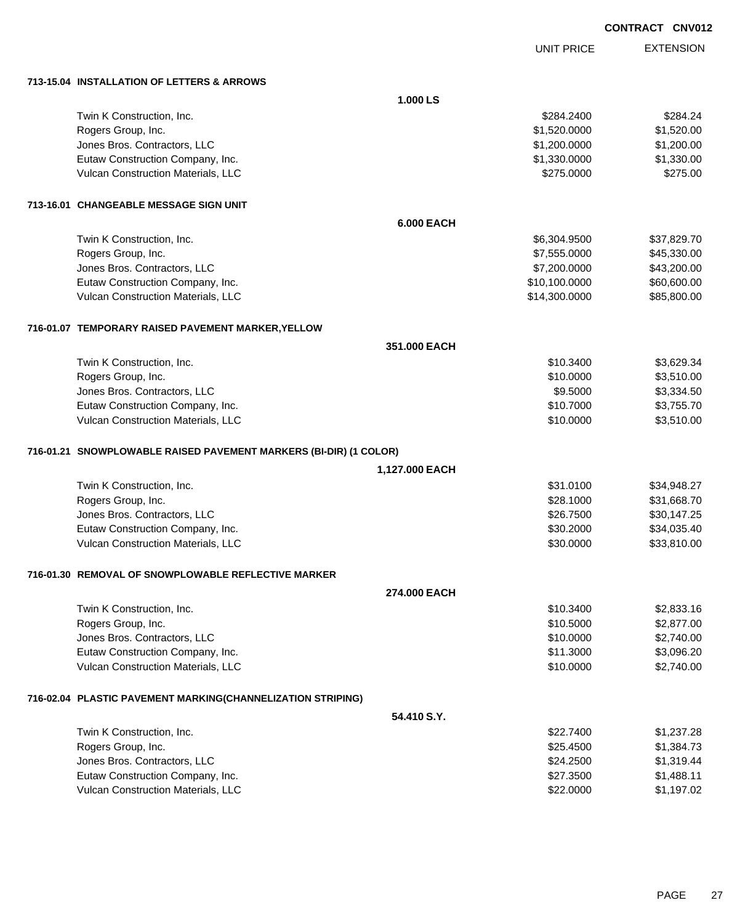UNIT PRICE EXTENSION

**713-15.04 INSTALLATION OF LETTERS & ARROWS**

| 713-15.04  INSTALLATION OF LETTERS & ARROWS                         |                   |             |
|---------------------------------------------------------------------|-------------------|-------------|
|                                                                     | 1.000 LS          |             |
| Twin K Construction, Inc.                                           | \$284.2400        | \$284.24    |
| Rogers Group, Inc.                                                  | \$1,520.0000      | \$1,520.00  |
| Jones Bros. Contractors, LLC                                        | \$1,200.0000      | \$1,200.00  |
| Eutaw Construction Company, Inc.                                    | \$1,330.0000      | \$1,330.00  |
| Vulcan Construction Materials, LLC                                  | \$275.0000        | \$275.00    |
| 713-16.01   CHANGEABLE MESSAGE SIGN UNIT                            |                   |             |
|                                                                     | <b>6.000 EACH</b> |             |
| Twin K Construction, Inc.                                           | \$6,304.9500      | \$37,829.70 |
| Rogers Group, Inc.                                                  | \$7,555.0000      | \$45,330.00 |
| Jones Bros. Contractors, LLC                                        | \$7,200.0000      | \$43,200.00 |
| Eutaw Construction Company, Inc.                                    | \$10,100.0000     | \$60,600.00 |
| Vulcan Construction Materials, LLC                                  | \$14,300.0000     | \$85,800.00 |
| 716-01.07 TEMPORARY RAISED PAVEMENT MARKER, YELLOW                  |                   |             |
|                                                                     | 351.000 EACH      |             |
| Twin K Construction, Inc.                                           | \$10.3400         | \$3,629.34  |
| Rogers Group, Inc.                                                  | \$10.0000         | \$3,510.00  |
| Jones Bros. Contractors, LLC                                        | \$9.5000          | \$3,334.50  |
| Eutaw Construction Company, Inc.                                    | \$10.7000         | \$3,755.70  |
| Vulcan Construction Materials, LLC                                  | \$10.0000         | \$3,510.00  |
| 716-01.21   SNOWPLOWABLE RAISED PAVEMENT MARKERS (BI-DIR) (1 COLOR) |                   |             |
|                                                                     | 1,127.000 EACH    |             |
| Twin K Construction, Inc.                                           | \$31.0100         | \$34,948.27 |
| Rogers Group, Inc.                                                  | \$28.1000         | \$31,668.70 |
| Jones Bros. Contractors, LLC                                        | \$26.7500         | \$30,147.25 |
| Eutaw Construction Company, Inc.                                    | \$30.2000         | \$34,035.40 |
| Vulcan Construction Materials, LLC                                  | \$30.0000         | \$33,810.00 |
| 716-01.30 REMOVAL OF SNOWPLOWABLE REFLECTIVE MARKER                 |                   |             |
|                                                                     | 274.000 EACH      |             |
| Twin K Construction, Inc.                                           | \$10.3400         | \$2,833.16  |
| Rogers Group, Inc.                                                  | \$10.5000         | \$2,877.00  |
| Jones Bros. Contractors, LLC                                        | \$10.0000         | \$2,740.00  |
| Eutaw Construction Company, Inc.                                    | \$11.3000         | \$3,096.20  |
| Vulcan Construction Materials, LLC                                  | \$10.0000         | \$2,740.00  |
| 716-02.04 PLASTIC PAVEMENT MARKING(CHANNELIZATION STRIPING)         |                   |             |
|                                                                     | 54.410 S.Y.       |             |
| Twin K Construction, Inc.                                           | \$22.7400         | \$1,237.28  |
| Rogers Group, Inc.                                                  | \$25.4500         | \$1,384.73  |
| Jones Bros. Contractors, LLC                                        | \$24.2500         | \$1,319.44  |
| Eutaw Construction Company, Inc.                                    | \$27.3500         | \$1,488.11  |
| Vulcan Construction Materials, LLC                                  | \$22.0000         | \$1,197.02  |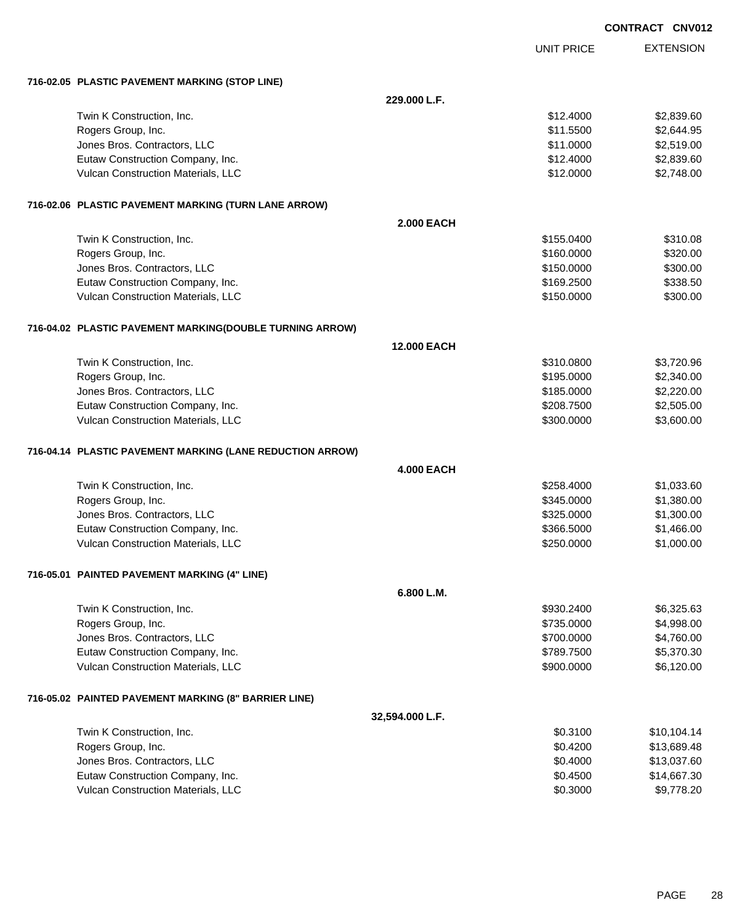| <b>CONTRACT CNV012</b> |  |
|------------------------|--|
|                        |  |

|                                                           |                    | <b>UNIT PRICE</b> | <b>EXTENSION</b> |
|-----------------------------------------------------------|--------------------|-------------------|------------------|
| 716-02.05 PLASTIC PAVEMENT MARKING (STOP LINE)            |                    |                   |                  |
|                                                           | 229,000 L.F.       |                   |                  |
| Twin K Construction, Inc.                                 |                    | \$12.4000         | \$2,839.60       |
| Rogers Group, Inc.                                        |                    | \$11.5500         | \$2,644.95       |
| Jones Bros. Contractors, LLC                              |                    | \$11.0000         | \$2,519.00       |
| Eutaw Construction Company, Inc.                          |                    | \$12.4000         | \$2,839.60       |
| Vulcan Construction Materials, LLC                        |                    | \$12.0000         | \$2,748.00       |
| 716-02.06 PLASTIC PAVEMENT MARKING (TURN LANE ARROW)      |                    |                   |                  |
|                                                           | <b>2.000 EACH</b>  |                   |                  |
| Twin K Construction, Inc.                                 |                    | \$155.0400        | \$310.08         |
| Rogers Group, Inc.                                        |                    | \$160.0000        | \$320.00         |
| Jones Bros. Contractors, LLC                              |                    | \$150.0000        | \$300.00         |
| Eutaw Construction Company, Inc.                          |                    | \$169.2500        | \$338.50         |
| Vulcan Construction Materials, LLC                        |                    | \$150.0000        | \$300.00         |
| 716-04.02 PLASTIC PAVEMENT MARKING(DOUBLE TURNING ARROW)  |                    |                   |                  |
|                                                           | <b>12.000 EACH</b> |                   |                  |
| Twin K Construction, Inc.                                 |                    | \$310.0800        | \$3,720.96       |
| Rogers Group, Inc.                                        |                    | \$195.0000        | \$2,340.00       |
| Jones Bros. Contractors, LLC                              |                    | \$185.0000        | \$2,220.00       |
| Eutaw Construction Company, Inc.                          |                    | \$208.7500        | \$2,505.00       |
| Vulcan Construction Materials, LLC                        |                    | \$300.0000        | \$3,600.00       |
| 716-04.14 PLASTIC PAVEMENT MARKING (LANE REDUCTION ARROW) |                    |                   |                  |
|                                                           | <b>4.000 EACH</b>  |                   |                  |
| Twin K Construction, Inc.                                 |                    | \$258.4000        | \$1,033.60       |
| Rogers Group, Inc.                                        |                    | \$345.0000        | \$1,380.00       |
| Jones Bros. Contractors, LLC                              |                    | \$325.0000        | \$1,300.00       |
| Eutaw Construction Company, Inc.                          |                    | \$366.5000        | \$1,466.00       |
| Vulcan Construction Materials, LLC                        |                    | \$250.0000        | \$1,000.00       |
| 716-05.01 PAINTED PAVEMENT MARKING (4" LINE)              |                    |                   |                  |
|                                                           | 6.800 L.M.         |                   |                  |
| Twin K Construction, Inc.                                 |                    | \$930.2400        | \$6,325.63       |
| Rogers Group, Inc.                                        |                    | \$735.0000        | \$4,998.00       |
| Jones Bros. Contractors, LLC                              |                    | \$700.0000        | \$4,760.00       |
| Eutaw Construction Company, Inc.                          |                    | \$789.7500        | \$5,370.30       |
| Vulcan Construction Materials, LLC                        |                    | \$900.0000        | \$6,120.00       |
| 716-05.02 PAINTED PAVEMENT MARKING (8" BARRIER LINE)      |                    |                   |                  |
|                                                           | 32,594.000 L.F.    |                   |                  |
| Twin K Construction, Inc.                                 |                    | \$0.3100          | \$10,104.14      |
| Rogers Group, Inc.                                        |                    | \$0.4200          | \$13,689.48      |
| Jones Bros. Contractors, LLC                              |                    | \$0.4000          | \$13,037.60      |
| Eutaw Construction Company, Inc.                          |                    | \$0.4500          | \$14,667.30      |
| Vulcan Construction Materials, LLC                        |                    | \$0.3000          | \$9,778.20       |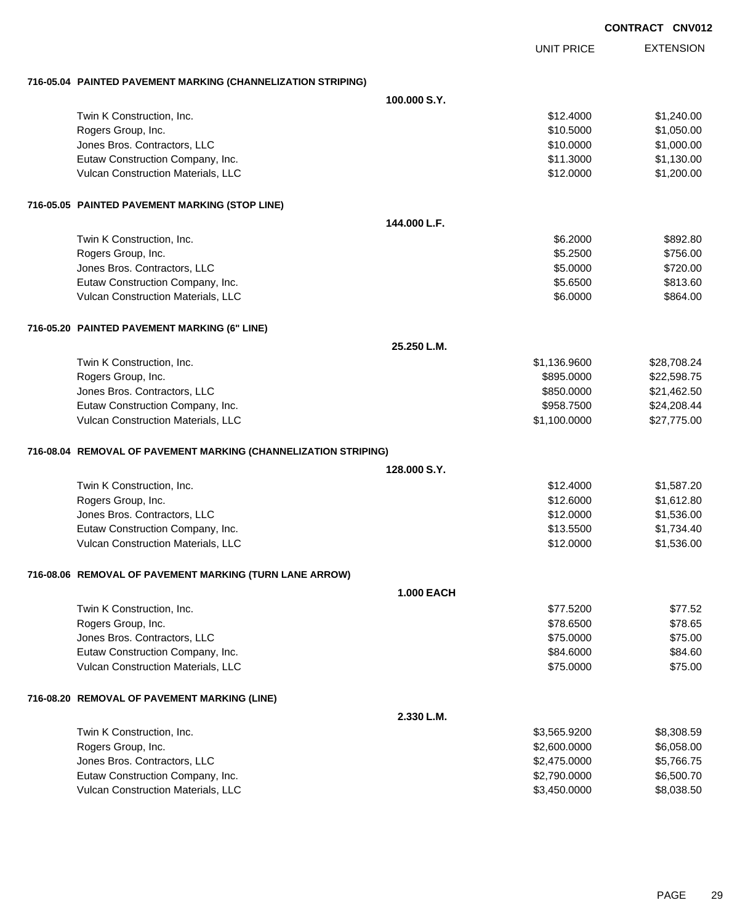|                                                                   |                   |                   | <b>CONTRACT CNV012</b> |                  |
|-------------------------------------------------------------------|-------------------|-------------------|------------------------|------------------|
|                                                                   |                   | <b>UNIT PRICE</b> |                        | <b>EXTENSION</b> |
| 716-05.04 PAINTED PAVEMENT MARKING (CHANNELIZATION STRIPING)      |                   |                   |                        |                  |
|                                                                   | 100.000 S.Y.      |                   |                        |                  |
| Twin K Construction, Inc.                                         |                   | \$12,4000         |                        | \$1,240.00       |
| Rogers Group, Inc.                                                |                   | \$10.5000         |                        | \$1,050.00       |
| Jones Bros. Contractors, LLC                                      |                   | \$10.0000         |                        | \$1,000.00       |
| Eutaw Construction Company, Inc.                                  |                   | \$11.3000         |                        | \$1,130.00       |
| Vulcan Construction Materials, LLC                                |                   | \$12.0000         |                        | \$1,200.00       |
| 716-05.05 PAINTED PAVEMENT MARKING (STOP LINE)                    |                   |                   |                        |                  |
|                                                                   | 144.000 L.F.      |                   |                        |                  |
| Twin K Construction, Inc.                                         |                   | \$6.2000          |                        | \$892.80         |
| Rogers Group, Inc.                                                |                   | \$5.2500          |                        | \$756.00         |
| Jones Bros. Contractors, LLC                                      |                   | \$5.0000          |                        | \$720.00         |
| Eutaw Construction Company, Inc.                                  |                   | \$5.6500          |                        | \$813.60         |
| Vulcan Construction Materials, LLC                                |                   | \$6.0000          |                        | \$864.00         |
| 716-05.20 PAINTED PAVEMENT MARKING (6" LINE)                      |                   |                   |                        |                  |
|                                                                   | 25.250 L.M.       |                   |                        |                  |
| Twin K Construction, Inc.                                         |                   | \$1,136.9600      |                        | \$28,708.24      |
| Rogers Group, Inc.                                                |                   | \$895.0000        |                        | \$22,598.75      |
| Jones Bros. Contractors, LLC                                      |                   | \$850.0000        |                        | \$21,462.50      |
| Eutaw Construction Company, Inc.                                  |                   | \$958.7500        |                        | \$24,208.44      |
| Vulcan Construction Materials, LLC                                |                   | \$1,100.0000      |                        | \$27,775.00      |
| 716-08.04   REMOVAL OF PAVEMENT MARKING (CHANNELIZATION STRIPING) |                   |                   |                        |                  |
|                                                                   | 128,000 S.Y.      |                   |                        |                  |
| Twin K Construction, Inc.                                         |                   | \$12,4000         |                        | \$1,587.20       |
| Rogers Group, Inc.                                                |                   | \$12.6000         |                        | \$1,612.80       |
| Jones Bros. Contractors, LLC                                      |                   | \$12.0000         |                        | \$1,536.00       |
| Eutaw Construction Company, Inc.                                  |                   | \$13.5500         |                        | \$1,734.40       |
| Vulcan Construction Materials, LLC                                |                   | \$12.0000         |                        | \$1,536.00       |
| 716-08.06 REMOVAL OF PAVEMENT MARKING (TURN LANE ARROW)           |                   |                   |                        |                  |
|                                                                   | <b>1.000 EACH</b> |                   |                        |                  |
| Twin K Construction, Inc.                                         |                   | \$77.5200         |                        | \$77.52          |
| Rogers Group, Inc.                                                |                   | \$78.6500         |                        | \$78.65          |
| Jones Bros. Contractors, LLC                                      |                   | \$75.0000         |                        | \$75.00          |
| Eutaw Construction Company, Inc.                                  |                   | \$84.6000         |                        | \$84.60          |
| Vulcan Construction Materials, LLC                                |                   | \$75.0000         |                        | \$75.00          |
| 716-08.20 REMOVAL OF PAVEMENT MARKING (LINE)                      |                   |                   |                        |                  |
|                                                                   | 2.330 L.M.        |                   |                        |                  |
| Twin K Construction, Inc.                                         |                   | \$3,565.9200      |                        | \$8,308.59       |
| Rogers Group, Inc.                                                |                   | \$2,600.0000      |                        | \$6,058.00       |
| Jones Bros. Contractors, LLC                                      |                   | \$2,475.0000      |                        | \$5,766.75       |
| Eutaw Construction Company, Inc.                                  |                   | \$2,790.0000      |                        | \$6,500.70       |

Vulcan Construction Materials, LLC 60000 \$8,038.50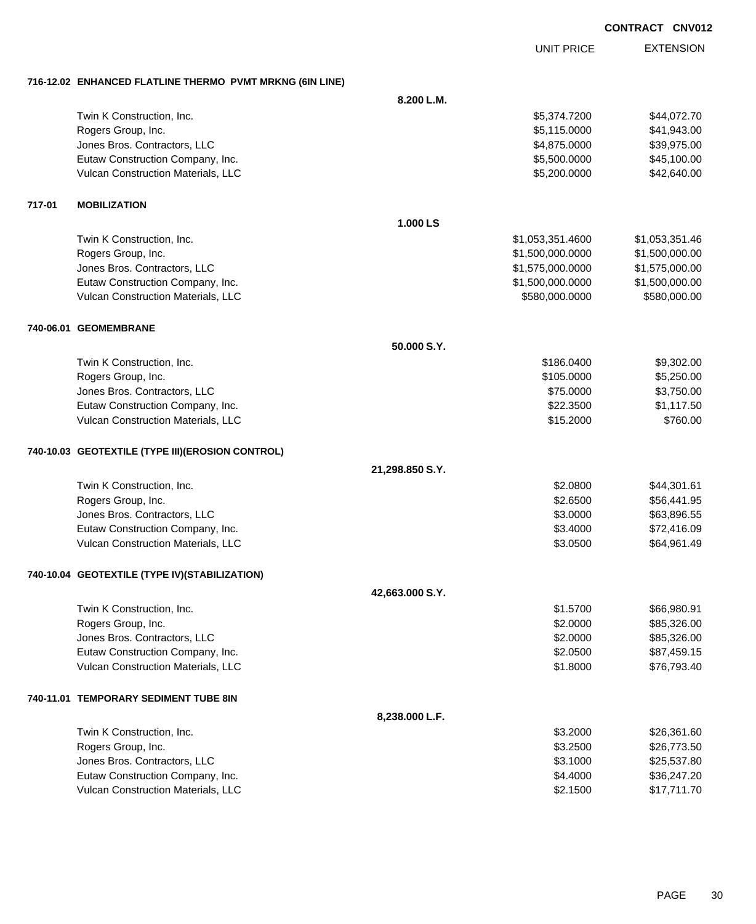UNIT PRICE

| 716-12.02 ENHANCED FLATLINE THERMO PVMT MRKNG (6IN LINE) |  |
|----------------------------------------------------------|--|

|        | TO TZ.UZ ENTIANULD FLATERIE THENWU FYWIT WINNIVO (UR LINE) |                 |                  |                |
|--------|------------------------------------------------------------|-----------------|------------------|----------------|
|        |                                                            | 8.200 L.M.      |                  |                |
|        | Twin K Construction, Inc.                                  |                 | \$5,374.7200     | \$44,072.70    |
|        | Rogers Group, Inc.                                         |                 | \$5,115.0000     | \$41,943.00    |
|        | Jones Bros. Contractors, LLC                               |                 | \$4,875.0000     | \$39,975.00    |
|        | Eutaw Construction Company, Inc.                           |                 | \$5,500.0000     | \$45,100.00    |
|        | Vulcan Construction Materials, LLC                         |                 | \$5,200.0000     | \$42,640.00    |
| 717-01 | <b>MOBILIZATION</b>                                        |                 |                  |                |
|        |                                                            | 1.000 LS        |                  |                |
|        | Twin K Construction, Inc.                                  |                 | \$1,053,351.4600 | \$1,053,351.46 |
|        | Rogers Group, Inc.                                         |                 | \$1,500,000.0000 | \$1,500,000.00 |
|        | Jones Bros. Contractors, LLC                               |                 | \$1,575,000.0000 | \$1,575,000.00 |
|        | Eutaw Construction Company, Inc.                           |                 | \$1,500,000.0000 | \$1,500,000.00 |
|        | Vulcan Construction Materials, LLC                         |                 | \$580,000.0000   | \$580,000.00   |
|        | 740-06.01 GEOMEMBRANE                                      |                 |                  |                |
|        |                                                            | 50.000 S.Y.     |                  |                |
|        | Twin K Construction, Inc.                                  |                 | \$186.0400       | \$9,302.00     |
|        | Rogers Group, Inc.                                         |                 | \$105.0000       | \$5,250.00     |
|        | Jones Bros. Contractors, LLC                               |                 | \$75.0000        | \$3,750.00     |
|        | Eutaw Construction Company, Inc.                           |                 | \$22.3500        | \$1,117.50     |
|        | Vulcan Construction Materials, LLC                         |                 | \$15.2000        | \$760.00       |
|        | 740-10.03 GEOTEXTILE (TYPE III) (EROSION CONTROL)          |                 |                  |                |
|        |                                                            | 21,298.850 S.Y. |                  |                |
|        | Twin K Construction, Inc.                                  |                 | \$2.0800         | \$44,301.61    |
|        | Rogers Group, Inc.                                         |                 | \$2.6500         | \$56,441.95    |
|        | Jones Bros. Contractors, LLC                               |                 | \$3.0000         | \$63,896.55    |
|        | Eutaw Construction Company, Inc.                           |                 | \$3.4000         | \$72,416.09    |
|        | Vulcan Construction Materials, LLC                         |                 | \$3.0500         | \$64,961.49    |
|        | 740-10.04 GEOTEXTILE (TYPE IV)(STABILIZATION)              |                 |                  |                |
|        |                                                            | 42,663.000 S.Y. |                  |                |
|        | Twin K Construction, Inc.                                  |                 | \$1.5700         | \$66,980.91    |
|        | Rogers Group, Inc.                                         |                 | \$2.0000         | \$85,326.00    |
|        | Jones Bros. Contractors, LLC                               |                 | \$2.0000         | \$85,326.00    |
|        | Eutaw Construction Company, Inc.                           |                 | \$2.0500         | \$87,459.15    |
|        | Vulcan Construction Materials, LLC                         |                 | \$1.8000         | \$76,793.40    |
|        | 740-11.01 TEMPORARY SEDIMENT TUBE 8IN                      |                 |                  |                |
|        |                                                            | 8,238.000 L.F.  |                  |                |
|        | Twin K Construction, Inc.                                  |                 | \$3.2000         | \$26,361.60    |
|        | Rogers Group, Inc.                                         |                 | \$3.2500         | \$26,773.50    |
|        | Jones Bros. Contractors, LLC                               |                 | \$3.1000         | \$25,537.80    |
|        | Eutaw Construction Company, Inc.                           |                 | \$4.4000         | \$36,247.20    |
|        | Vulcan Construction Materials, LLC                         |                 | \$2.1500         | \$17,711.70    |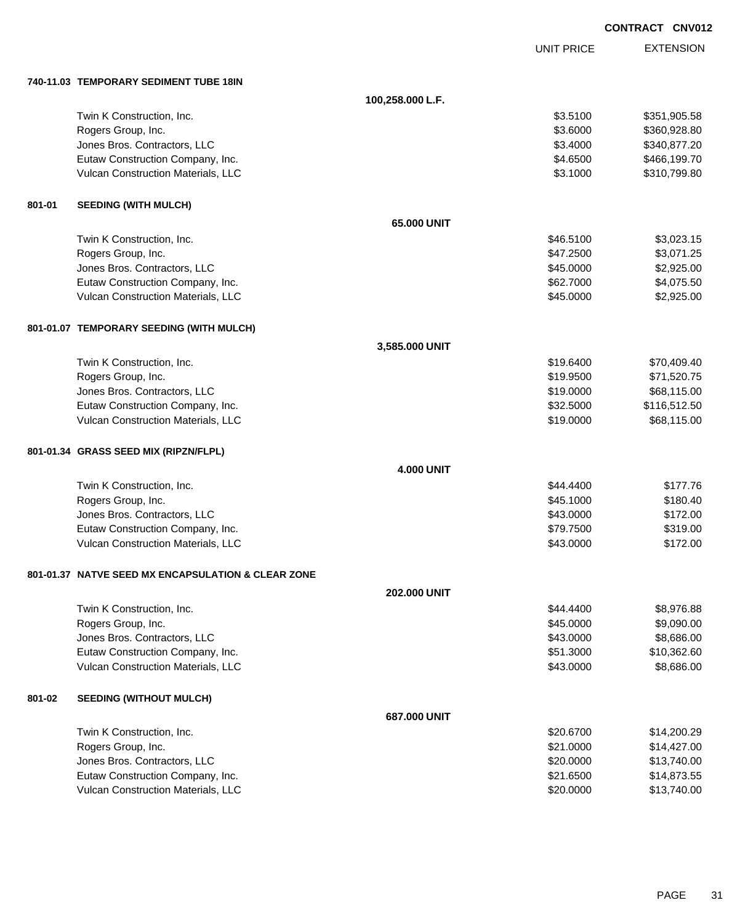UNIT PRICE

|        | 740-11.03 TEMPORARY SEDIMENT TUBE 18IN             |                     |           |              |
|--------|----------------------------------------------------|---------------------|-----------|--------------|
|        |                                                    | 100,258.000 L.F.    |           |              |
|        | Twin K Construction, Inc.                          |                     | \$3.5100  | \$351,905.58 |
|        | Rogers Group, Inc.                                 |                     | \$3.6000  | \$360,928.80 |
|        | Jones Bros. Contractors, LLC                       |                     | \$3.4000  | \$340,877.20 |
|        | Eutaw Construction Company, Inc.                   |                     | \$4.6500  | \$466,199.70 |
|        | Vulcan Construction Materials, LLC                 |                     | \$3.1000  | \$310,799.80 |
| 801-01 | <b>SEEDING (WITH MULCH)</b>                        |                     |           |              |
|        |                                                    | 65.000 UNIT         |           |              |
|        | Twin K Construction, Inc.                          |                     | \$46.5100 | \$3,023.15   |
|        | Rogers Group, Inc.                                 |                     | \$47.2500 | \$3,071.25   |
|        | Jones Bros. Contractors, LLC                       |                     | \$45.0000 | \$2,925.00   |
|        | Eutaw Construction Company, Inc.                   |                     | \$62.7000 | \$4,075.50   |
|        | Vulcan Construction Materials, LLC                 |                     | \$45.0000 | \$2,925.00   |
|        | 801-01.07 TEMPORARY SEEDING (WITH MULCH)           |                     |           |              |
|        |                                                    | 3,585.000 UNIT      |           |              |
|        | Twin K Construction, Inc.                          |                     | \$19.6400 | \$70,409.40  |
|        | Rogers Group, Inc.                                 |                     | \$19.9500 | \$71,520.75  |
|        | Jones Bros. Contractors, LLC                       |                     | \$19.0000 | \$68,115.00  |
|        | Eutaw Construction Company, Inc.                   |                     | \$32.5000 | \$116,512.50 |
|        | Vulcan Construction Materials, LLC                 |                     | \$19.0000 | \$68,115.00  |
|        | 801-01.34 GRASS SEED MIX (RIPZN/FLPL)              |                     |           |              |
|        |                                                    | <b>4.000 UNIT</b>   |           |              |
|        | Twin K Construction, Inc.                          |                     | \$44.4400 | \$177.76     |
|        | Rogers Group, Inc.                                 |                     | \$45.1000 | \$180.40     |
|        | Jones Bros. Contractors, LLC                       |                     | \$43.0000 | \$172.00     |
|        | Eutaw Construction Company, Inc.                   |                     | \$79.7500 | \$319.00     |
|        | Vulcan Construction Materials, LLC                 |                     | \$43.0000 | \$172.00     |
|        | 801-01.37 NATVE SEED MX ENCAPSULATION & CLEAR ZONE |                     |           |              |
|        |                                                    | <b>202.000 UNIT</b> |           |              |
|        | Twin K Construction, Inc.                          |                     | \$44.4400 | \$8,976.88   |
|        | Rogers Group, Inc.                                 |                     | \$45.0000 | \$9,090.00   |
|        | Jones Bros. Contractors, LLC                       |                     | \$43.0000 | \$8,686.00   |
|        | Eutaw Construction Company, Inc.                   |                     | \$51.3000 | \$10,362.60  |
|        | Vulcan Construction Materials, LLC                 |                     | \$43.0000 | \$8,686.00   |
| 801-02 | <b>SEEDING (WITHOUT MULCH)</b>                     |                     |           |              |
|        |                                                    | 687.000 UNIT        |           |              |
|        | Twin K Construction, Inc.                          |                     | \$20.6700 | \$14,200.29  |
|        | Rogers Group, Inc.                                 |                     | \$21.0000 | \$14,427.00  |
|        | Jones Bros. Contractors, LLC                       |                     | \$20.0000 | \$13,740.00  |
|        | Eutaw Construction Company, Inc.                   |                     | \$21.6500 | \$14,873.55  |
|        | Vulcan Construction Materials, LLC                 |                     | \$20.0000 | \$13,740.00  |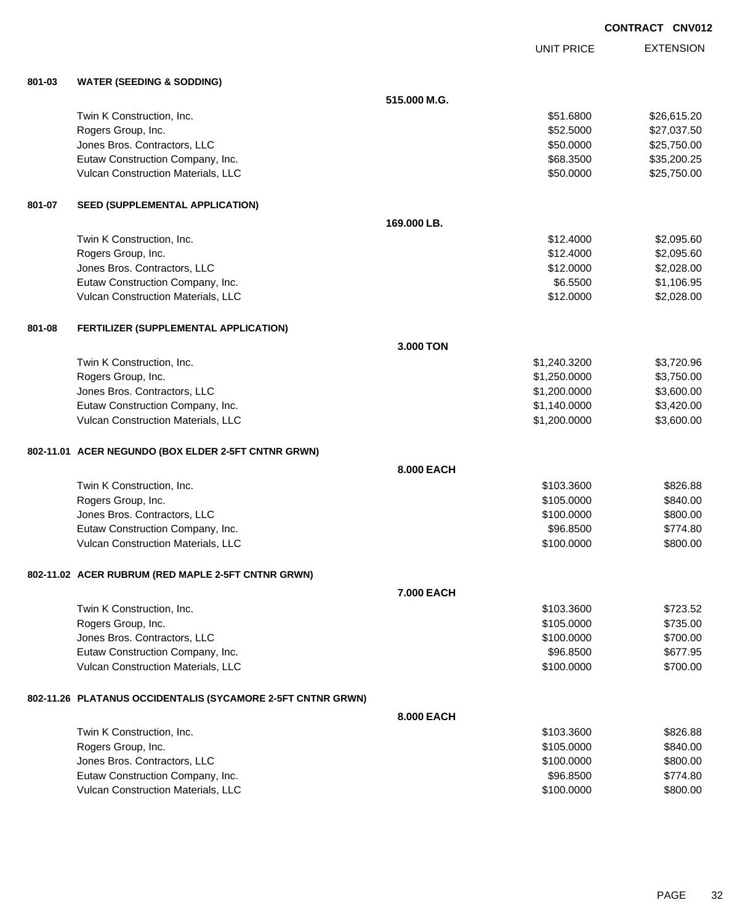UNIT PRICE

| 801-03 | <b>WATER (SEEDING &amp; SODDING)</b>                        |              |              |             |
|--------|-------------------------------------------------------------|--------------|--------------|-------------|
|        |                                                             | 515.000 M.G. |              |             |
|        | Twin K Construction, Inc.                                   |              | \$51.6800    | \$26,615.20 |
|        | Rogers Group, Inc.                                          |              | \$52.5000    | \$27,037.50 |
|        | Jones Bros. Contractors, LLC                                |              | \$50.0000    | \$25,750.00 |
|        | Eutaw Construction Company, Inc.                            |              | \$68.3500    | \$35,200.25 |
|        | Vulcan Construction Materials, LLC                          |              | \$50.0000    | \$25,750.00 |
| 801-07 | <b>SEED (SUPPLEMENTAL APPLICATION)</b>                      |              |              |             |
|        |                                                             | 169.000 LB.  |              |             |
|        | Twin K Construction, Inc.                                   |              | \$12,4000    | \$2,095.60  |
|        | Rogers Group, Inc.                                          |              | \$12.4000    | \$2,095.60  |
|        | Jones Bros. Contractors, LLC                                |              | \$12.0000    | \$2,028.00  |
|        | Eutaw Construction Company, Inc.                            |              | \$6.5500     | \$1,106.95  |
|        | Vulcan Construction Materials, LLC                          |              | \$12.0000    | \$2,028.00  |
| 801-08 | FERTILIZER (SUPPLEMENTAL APPLICATION)                       |              |              |             |
|        |                                                             | 3.000 TON    |              |             |
|        | Twin K Construction, Inc.                                   |              | \$1,240.3200 | \$3,720.96  |
|        | Rogers Group, Inc.                                          |              | \$1,250.0000 | \$3,750.00  |
|        | Jones Bros. Contractors, LLC                                |              | \$1,200.0000 | \$3,600.00  |
|        | Eutaw Construction Company, Inc.                            |              | \$1,140.0000 | \$3,420.00  |
|        | Vulcan Construction Materials, LLC                          |              | \$1,200.0000 | \$3,600.00  |
|        | 802-11.01 ACER NEGUNDO (BOX ELDER 2-5FT CNTNR GRWN)         |              |              |             |
|        |                                                             | 8.000 EACH   |              |             |
|        | Twin K Construction, Inc.                                   |              | \$103.3600   | \$826.88    |
|        | Rogers Group, Inc.                                          |              | \$105.0000   | \$840.00    |
|        | Jones Bros. Contractors, LLC                                |              | \$100.0000   | \$800.00    |
|        | Eutaw Construction Company, Inc.                            |              | \$96.8500    | \$774.80    |
|        | Vulcan Construction Materials, LLC                          |              | \$100.0000   | \$800.00    |
|        | 802-11.02 ACER RUBRUM (RED MAPLE 2-5FT CNTNR GRWN)          |              |              |             |
|        |                                                             | 7.000 EACH   |              |             |
|        | Twin K Construction, Inc.                                   |              | \$103.3600   | \$723.52    |
|        | Rogers Group, Inc.                                          |              | \$105.0000   | \$735.00    |
|        | Jones Bros. Contractors, LLC                                |              | \$100.0000   | \$700.00    |
|        | Eutaw Construction Company, Inc.                            |              | \$96.8500    | \$677.95    |
|        | Vulcan Construction Materials, LLC                          |              | \$100.0000   | \$700.00    |
|        | 802-11.26 PLATANUS OCCIDENTALIS (SYCAMORE 2-5FT CNTNR GRWN) |              |              |             |
|        |                                                             | 8.000 EACH   |              |             |
|        | Twin K Construction, Inc.                                   |              | \$103.3600   | \$826.88    |
|        | Rogers Group, Inc.                                          |              | \$105.0000   | \$840.00    |
|        | Jones Bros. Contractors, LLC                                |              | \$100.0000   | \$800.00    |
|        | Eutaw Construction Company, Inc.                            |              | \$96.8500    | \$774.80    |
|        | Vulcan Construction Materials, LLC                          |              | \$100.0000   | \$800.00    |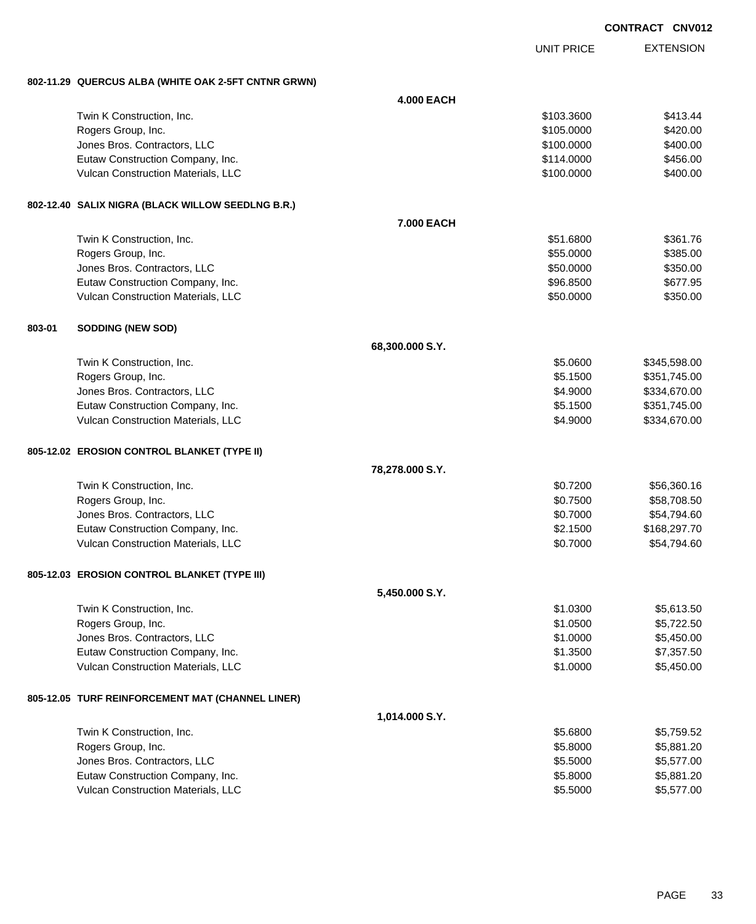| <b>CONTRACT</b> | <b>CNV012</b> |
|-----------------|---------------|
|                 |               |

|        |                                                                        |                   |                      | <b>CONTRACT CNV012</b>       |
|--------|------------------------------------------------------------------------|-------------------|----------------------|------------------------------|
|        |                                                                        |                   | <b>UNIT PRICE</b>    | <b>EXTENSION</b>             |
|        | 802-11.29 QUERCUS ALBA (WHITE OAK 2-5FT CNTNR GRWN)                    |                   |                      |                              |
|        |                                                                        | <b>4.000 EACH</b> |                      |                              |
|        | Twin K Construction, Inc.                                              |                   | \$103.3600           | \$413.44                     |
|        | Rogers Group, Inc.                                                     |                   | \$105.0000           | \$420.00                     |
|        | Jones Bros. Contractors, LLC                                           |                   | \$100.0000           | \$400.00                     |
|        | Eutaw Construction Company, Inc.                                       |                   | \$114.0000           | \$456.00                     |
|        | Vulcan Construction Materials, LLC                                     |                   | \$100.0000           | \$400.00                     |
|        | 802-12.40 SALIX NIGRA (BLACK WILLOW SEEDLNG B.R.)                      |                   |                      |                              |
|        |                                                                        | 7.000 EACH        |                      |                              |
|        | Twin K Construction, Inc.                                              |                   | \$51.6800            | \$361.76                     |
|        | Rogers Group, Inc.                                                     |                   | \$55.0000            | \$385.00                     |
|        | Jones Bros. Contractors, LLC                                           |                   | \$50.0000            | \$350.00                     |
|        | Eutaw Construction Company, Inc.                                       |                   | \$96.8500            | \$677.95                     |
|        | Vulcan Construction Materials, LLC                                     |                   | \$50.0000            | \$350.00                     |
| 803-01 | <b>SODDING (NEW SOD)</b>                                               |                   |                      |                              |
|        |                                                                        | 68,300.000 S.Y.   |                      |                              |
|        | Twin K Construction, Inc.                                              |                   | \$5.0600             | \$345,598.00                 |
|        | Rogers Group, Inc.                                                     |                   | \$5.1500             | \$351,745.00                 |
|        | Jones Bros. Contractors, LLC                                           |                   | \$4.9000             | \$334,670.00                 |
|        | Eutaw Construction Company, Inc.<br>Vulcan Construction Materials, LLC |                   | \$5.1500<br>\$4.9000 | \$351,745.00<br>\$334,670.00 |
|        |                                                                        |                   |                      |                              |
|        | 805-12.02 EROSION CONTROL BLANKET (TYPE II)                            |                   |                      |                              |
|        |                                                                        | 78,278.000 S.Y.   |                      |                              |
|        | Twin K Construction, Inc.                                              |                   | \$0.7200             | \$56,360.16                  |
|        | Rogers Group, Inc.                                                     |                   | \$0.7500             | \$58,708.50                  |
|        | Jones Bros. Contractors, LLC                                           |                   | \$0.7000             | \$54,794.60                  |
|        | Eutaw Construction Company, Inc.                                       |                   | \$2.1500             | \$168,297.70                 |
|        | Vulcan Construction Materials, LLC                                     |                   | \$0.7000             | \$54,794.60                  |
|        | 805-12.03 EROSION CONTROL BLANKET (TYPE III)                           |                   |                      |                              |
|        |                                                                        | 5,450.000 S.Y.    |                      |                              |
|        | Twin K Construction, Inc.                                              |                   | \$1.0300             | \$5,613.50                   |
|        | Rogers Group, Inc.                                                     |                   | \$1.0500             | \$5,722.50                   |
|        | Jones Bros. Contractors, LLC                                           |                   | \$1.0000             | \$5,450.00                   |
|        | Eutaw Construction Company, Inc.                                       |                   | \$1.3500             | \$7,357.50                   |
|        | Vulcan Construction Materials, LLC                                     |                   | \$1.0000             | \$5,450.00                   |
|        | 805-12.05 TURF REINFORCEMENT MAT (CHANNEL LINER)                       |                   |                      |                              |
|        |                                                                        | 1,014.000 S.Y.    |                      |                              |
|        | Twin K Construction, Inc.                                              |                   | \$5.6800             | \$5,759.52                   |
|        | Rogers Group, Inc.                                                     |                   | \$5.8000             | \$5,881.20                   |
|        | Jones Bros. Contractors, LLC                                           |                   | \$5.5000             | \$5,577.00                   |
|        | Eutaw Construction Company, Inc.                                       |                   | \$5.8000             | \$5,881.20                   |

Vulcan Construction Materials, LLC 65,577.00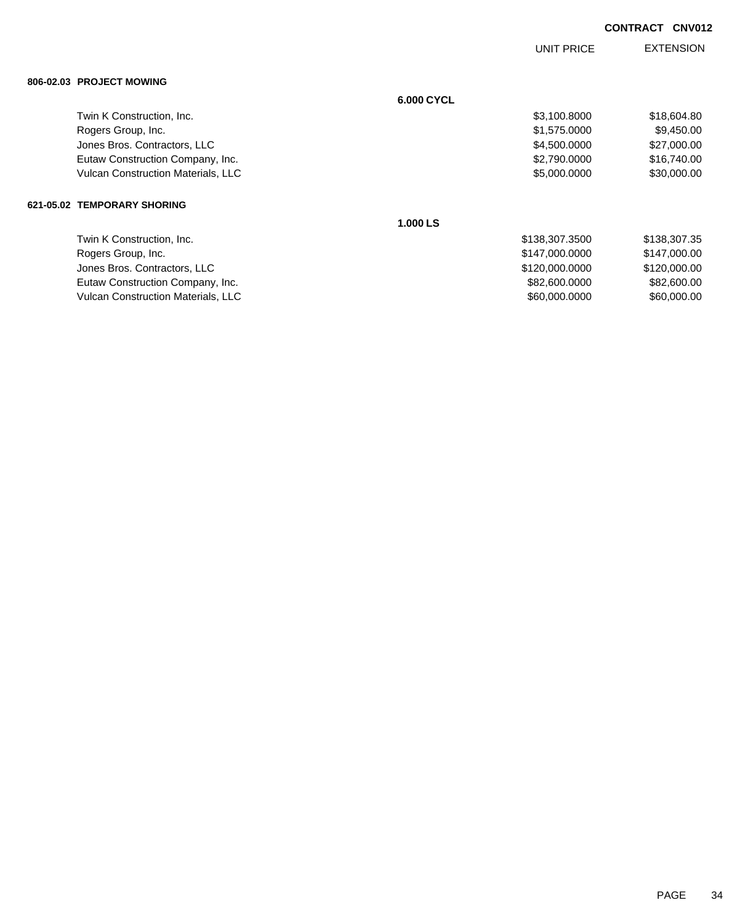|                                           |            | UNIT PRICE     | <b>EXTENSION</b> |
|-------------------------------------------|------------|----------------|------------------|
| 806-02.03 PROJECT MOWING                  |            |                |                  |
|                                           | 6.000 CYCL |                |                  |
| Twin K Construction, Inc.                 |            | \$3,100.8000   | \$18,604.80      |
| Rogers Group, Inc.                        |            | \$1,575.0000   | \$9,450.00       |
| Jones Bros. Contractors, LLC              |            | \$4,500.0000   | \$27,000.00      |
| Eutaw Construction Company, Inc.          |            | \$2,790.0000   | \$16,740.00      |
| <b>Vulcan Construction Materials, LLC</b> |            | \$5,000.0000   | \$30,000.00      |
| 621-05.02 TEMPORARY SHORING               |            |                |                  |
|                                           | 1.000 LS   |                |                  |
| Twin K Construction, Inc.                 |            | \$138,307.3500 | \$138,307.35     |
| Rogers Group, Inc.                        |            | \$147,000.0000 | \$147,000.00     |
| Jones Bros. Contractors, LLC              |            | \$120,000.0000 | \$120,000.00     |
| Eutaw Construction Company, Inc.          |            | \$82,600.0000  | \$82,600.00      |
| <b>Vulcan Construction Materials, LLC</b> |            | \$60,000.0000  | \$60,000.00      |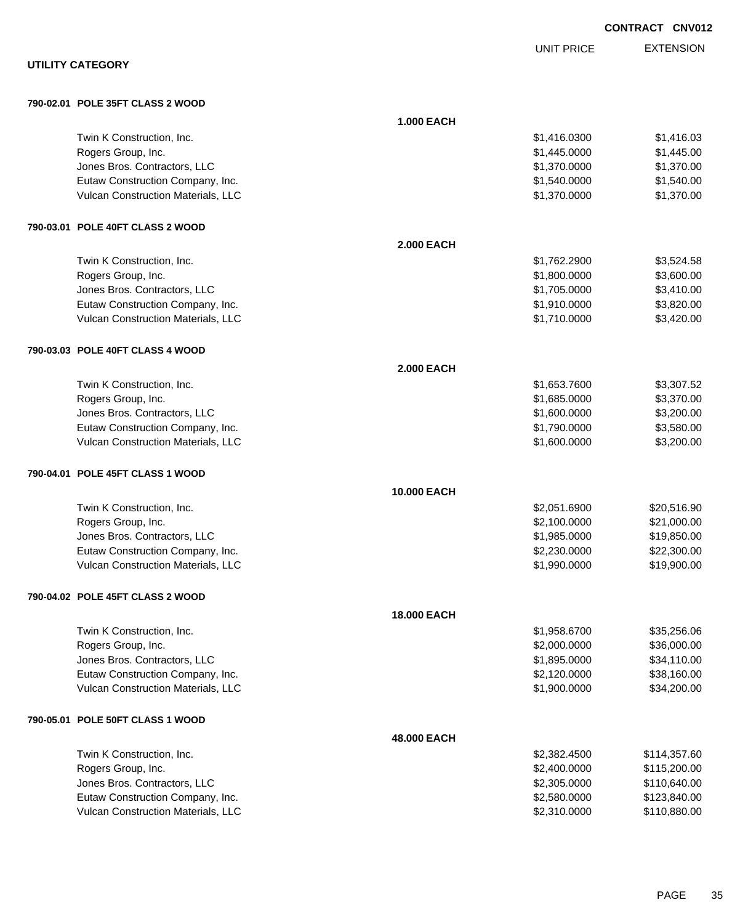|                                                                        |                   |                              | <b>CONTRACT CNV012</b>   |
|------------------------------------------------------------------------|-------------------|------------------------------|--------------------------|
|                                                                        |                   | <b>UNIT PRICE</b>            | <b>EXTENSION</b>         |
| <b>UTILITY CATEGORY</b>                                                |                   |                              |                          |
| 790-02.01 POLE 35FT CLASS 2 WOOD                                       |                   |                              |                          |
|                                                                        | <b>1.000 EACH</b> |                              |                          |
| Twin K Construction, Inc.                                              |                   | \$1,416.0300                 | \$1,416.03               |
| Rogers Group, Inc.                                                     |                   | \$1,445.0000                 | \$1,445.00               |
| Jones Bros. Contractors, LLC                                           |                   | \$1,370.0000                 | \$1,370.00               |
| Eutaw Construction Company, Inc.                                       |                   | \$1,540.0000                 | \$1,540.00               |
| Vulcan Construction Materials, LLC                                     |                   | \$1,370.0000                 | \$1,370.00               |
| 790-03.01 POLE 40FT CLASS 2 WOOD                                       |                   |                              |                          |
|                                                                        | <b>2.000 EACH</b> |                              |                          |
| Twin K Construction, Inc.                                              |                   | \$1,762.2900                 | \$3,524.58               |
| Rogers Group, Inc.                                                     |                   | \$1,800.0000                 | \$3,600.00               |
| Jones Bros. Contractors, LLC                                           |                   | \$1,705.0000                 | \$3,410.00               |
| Eutaw Construction Company, Inc.                                       |                   | \$1,910.0000                 | \$3,820.00               |
| Vulcan Construction Materials, LLC                                     |                   | \$1,710.0000                 | \$3,420.00               |
| 790-03.03 POLE 40FT CLASS 4 WOOD                                       |                   |                              |                          |
|                                                                        | <b>2.000 EACH</b> |                              |                          |
| Twin K Construction, Inc.                                              |                   | \$1,653.7600                 | \$3,307.52               |
| Rogers Group, Inc.                                                     |                   | \$1,685.0000                 | \$3,370.00               |
| Jones Bros. Contractors, LLC                                           |                   | \$1,600.0000                 | \$3,200.00               |
| Eutaw Construction Company, Inc.<br>Vulcan Construction Materials, LLC |                   | \$1,790.0000<br>\$1,600.0000 | \$3,580.00<br>\$3,200.00 |
|                                                                        |                   |                              |                          |
| 790-04.01 POLE 45FT CLASS 1 WOOD                                       |                   |                              |                          |
|                                                                        | 10.000 EACH       |                              |                          |
| Twin K Construction, Inc.                                              |                   | \$2,051.6900                 | \$20,516.90              |
| Rogers Group, Inc.                                                     |                   | \$2,100.0000                 | \$21,000.00              |
| Jones Bros. Contractors, LLC                                           |                   | \$1,985.0000                 | \$19,850.00              |
| Eutaw Construction Company, Inc.                                       |                   | \$2,230.0000                 | \$22,300.00              |
| Vulcan Construction Materials, LLC                                     |                   | \$1,990.0000                 | \$19,900.00              |
| 790-04.02 POLE 45FT CLASS 2 WOOD                                       |                   |                              |                          |
|                                                                        | 18.000 EACH       |                              |                          |
| Twin K Construction, Inc.                                              |                   | \$1,958.6700                 | \$35,256.06              |
| Rogers Group, Inc.                                                     |                   | \$2,000.0000                 | \$36,000.00              |
| Jones Bros. Contractors, LLC                                           |                   | \$1,895.0000                 | \$34,110.00              |
| Eutaw Construction Company, Inc.                                       |                   | \$2,120.0000                 | \$38,160.00              |
| Vulcan Construction Materials, LLC                                     |                   | \$1,900.0000                 | \$34,200.00              |
| 790-05.01 POLE 50FT CLASS 1 WOOD                                       |                   |                              |                          |
|                                                                        | 48.000 EACH       |                              |                          |
| Twin K Construction, Inc.                                              |                   | \$2,382.4500                 | \$114,357.60             |
| Rogers Group, Inc.                                                     |                   | \$2,400.0000                 | \$115,200.00             |
| Jones Bros. Contractors, LLC                                           |                   | \$2,305.0000                 | \$110,640.00             |
| Eutaw Construction Company, Inc.                                       |                   | \$2,580.0000                 | \$123,840.00             |
| Vulcan Construction Materials, LLC                                     |                   | \$2,310.0000                 | \$110,880.00             |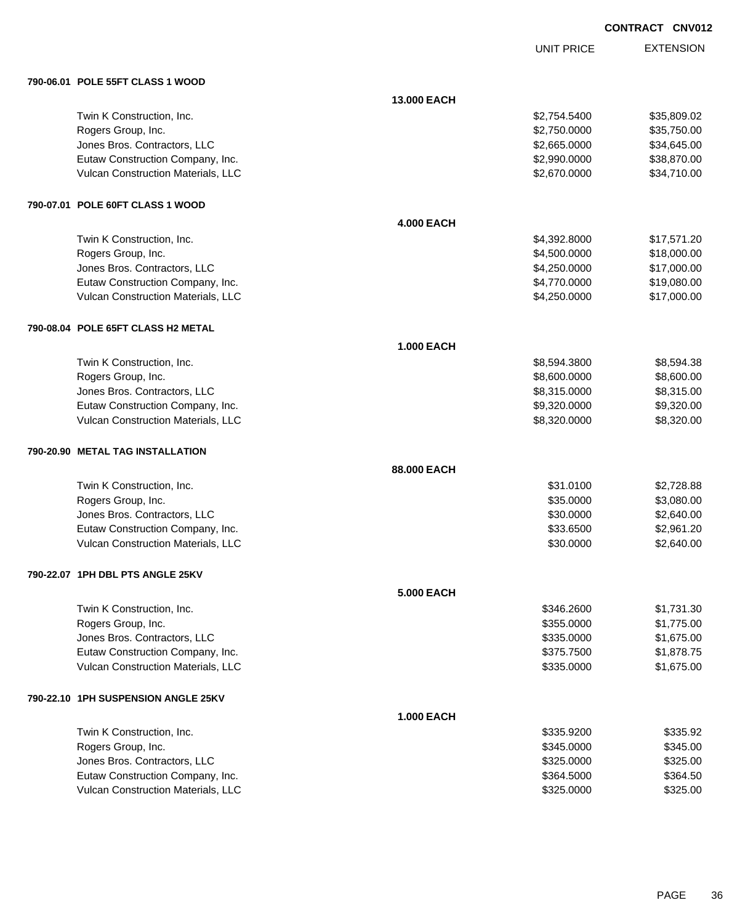| <b>CNV012</b><br><b>CONTRACT</b> |
|----------------------------------|
|----------------------------------|

UNIT PRICE

| 790-06.01 POLE 55FT CLASS 1 WOOD      |                   |              |             |
|---------------------------------------|-------------------|--------------|-------------|
|                                       | 13.000 EACH       |              |             |
| Twin K Construction, Inc.             |                   | \$2,754.5400 | \$35,809.02 |
| Rogers Group, Inc.                    |                   | \$2,750.0000 | \$35,750.00 |
| Jones Bros. Contractors, LLC          |                   | \$2,665.0000 | \$34,645.00 |
| Eutaw Construction Company, Inc.      |                   | \$2,990.0000 | \$38,870.00 |
| Vulcan Construction Materials, LLC    |                   | \$2,670.0000 | \$34,710.00 |
| 790-07.01 POLE 60FT CLASS 1 WOOD      |                   |              |             |
|                                       | <b>4.000 EACH</b> |              |             |
| Twin K Construction, Inc.             |                   | \$4,392.8000 | \$17,571.20 |
| Rogers Group, Inc.                    |                   | \$4,500.0000 | \$18,000.00 |
| Jones Bros. Contractors, LLC          |                   | \$4,250.0000 | \$17,000.00 |
| Eutaw Construction Company, Inc.      |                   | \$4,770.0000 | \$19,080.00 |
| Vulcan Construction Materials, LLC    |                   | \$4,250.0000 | \$17,000.00 |
| 790-08.04 POLE 65FT CLASS H2 METAL    |                   |              |             |
|                                       | <b>1.000 EACH</b> |              |             |
| Twin K Construction, Inc.             |                   | \$8,594.3800 | \$8,594.38  |
| Rogers Group, Inc.                    |                   | \$8,600.0000 | \$8,600.00  |
| Jones Bros. Contractors, LLC          |                   | \$8,315.0000 | \$8,315.00  |
| Eutaw Construction Company, Inc.      |                   | \$9,320.0000 | \$9,320.00  |
| Vulcan Construction Materials, LLC    |                   | \$8,320.0000 | \$8,320.00  |
| 790-20.90 METAL TAG INSTALLATION      |                   |              |             |
|                                       | 88.000 EACH       |              |             |
| Twin K Construction, Inc.             |                   | \$31.0100    | \$2,728.88  |
| Rogers Group, Inc.                    |                   | \$35.0000    | \$3,080.00  |
| Jones Bros. Contractors, LLC          |                   | \$30.0000    | \$2,640.00  |
| Eutaw Construction Company, Inc.      |                   | \$33.6500    | \$2,961.20  |
| Vulcan Construction Materials, LLC    |                   | \$30.0000    | \$2,640.00  |
| 790-22.07 1PH DBL PTS ANGLE 25KV      |                   |              |             |
|                                       | <b>5.000 EACH</b> |              |             |
| Twin K Construction, Inc.             |                   | \$346.2600   | \$1,731.30  |
| Rogers Group, Inc.                    |                   | \$355.0000   | \$1,775.00  |
| Jones Bros. Contractors, LLC          |                   | \$335.0000   | \$1,675.00  |
| Eutaw Construction Company, Inc.      |                   | \$375.7500   | \$1,878.75  |
| Vulcan Construction Materials, LLC    |                   | \$335.0000   | \$1,675.00  |
| 790-22.10   1PH SUSPENSION ANGLE 25KV |                   |              |             |
|                                       | <b>1.000 EACH</b> |              |             |
| Twin K Construction, Inc.             |                   | \$335.9200   | \$335.92    |
| Rogers Group, Inc.                    |                   | \$345.0000   | \$345.00    |
| Jones Bros. Contractors, LLC          |                   | \$325.0000   | \$325.00    |
| Eutaw Construction Company, Inc.      |                   | \$364.5000   | \$364.50    |
| Vulcan Construction Materials, LLC    |                   | \$325.0000   | \$325.00    |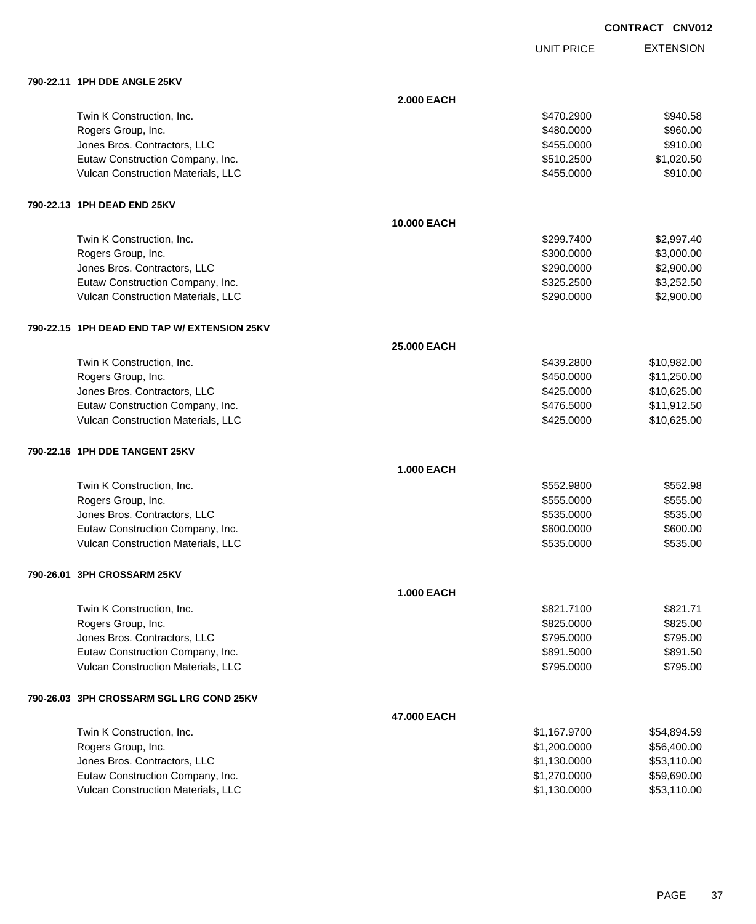EXTENSION **CONTRACT CNV012**

UNIT PRICE

| 790-22.11 1PH DDE ANGLE 25KV                 |                   |              |             |
|----------------------------------------------|-------------------|--------------|-------------|
|                                              | <b>2.000 EACH</b> |              |             |
| Twin K Construction, Inc.                    |                   | \$470.2900   | \$940.58    |
| Rogers Group, Inc.                           |                   | \$480.0000   | \$960.00    |
| Jones Bros. Contractors, LLC                 |                   | \$455.0000   | \$910.00    |
| Eutaw Construction Company, Inc.             |                   | \$510.2500   | \$1,020.50  |
| Vulcan Construction Materials, LLC           |                   | \$455.0000   | \$910.00    |
| 790-22.13 1PH DEAD END 25KV                  |                   |              |             |
|                                              | 10.000 EACH       |              |             |
| Twin K Construction, Inc.                    |                   | \$299.7400   | \$2,997.40  |
| Rogers Group, Inc.                           |                   | \$300.0000   | \$3,000.00  |
| Jones Bros. Contractors, LLC                 |                   | \$290.0000   | \$2,900.00  |
| Eutaw Construction Company, Inc.             |                   | \$325.2500   | \$3,252.50  |
| Vulcan Construction Materials, LLC           |                   | \$290.0000   | \$2,900.00  |
| 790-22.15 1PH DEAD END TAP W/ EXTENSION 25KV |                   |              |             |
|                                              | 25.000 EACH       |              |             |
| Twin K Construction, Inc.                    |                   | \$439.2800   | \$10,982.00 |
| Rogers Group, Inc.                           |                   | \$450.0000   | \$11,250.00 |
| Jones Bros. Contractors, LLC                 |                   | \$425.0000   | \$10,625.00 |
| Eutaw Construction Company, Inc.             |                   | \$476.5000   | \$11,912.50 |
| Vulcan Construction Materials, LLC           |                   | \$425.0000   | \$10,625.00 |
| 790-22.16 1PH DDE TANGENT 25KV               |                   |              |             |
|                                              | <b>1.000 EACH</b> |              |             |
| Twin K Construction, Inc.                    |                   | \$552.9800   | \$552.98    |
| Rogers Group, Inc.                           |                   | \$555.0000   | \$555.00    |
| Jones Bros. Contractors, LLC                 |                   | \$535.0000   | \$535.00    |
| Eutaw Construction Company, Inc.             |                   | \$600.0000   | \$600.00    |
| Vulcan Construction Materials, LLC           |                   | \$535.0000   | \$535.00    |
| 790-26.01 3PH CROSSARM 25KV                  |                   |              |             |
|                                              | <b>1.000 EACH</b> |              |             |
| Twin K Construction, Inc.                    |                   | \$821.7100   | \$821.71    |
| Rogers Group, Inc.                           |                   | \$825.0000   | \$825.00    |
| Jones Bros. Contractors, LLC                 |                   | \$795.0000   | \$795.00    |
| Eutaw Construction Company, Inc.             |                   | \$891.5000   | \$891.50    |
| Vulcan Construction Materials, LLC           |                   | \$795.0000   | \$795.00    |
| 790-26.03   3PH CROSSARM SGL LRG COND 25KV   |                   |              |             |
|                                              | 47.000 EACH       |              |             |
| Twin K Construction, Inc.                    |                   | \$1,167.9700 | \$54,894.59 |
| Rogers Group, Inc.                           |                   | \$1,200.0000 | \$56,400.00 |
| Jones Bros. Contractors, LLC                 |                   | \$1,130.0000 | \$53,110.00 |
| Eutaw Construction Company, Inc.             |                   | \$1,270.0000 | \$59,690.00 |
| Vulcan Construction Materials, LLC           |                   | \$1,130.0000 | \$53,110.00 |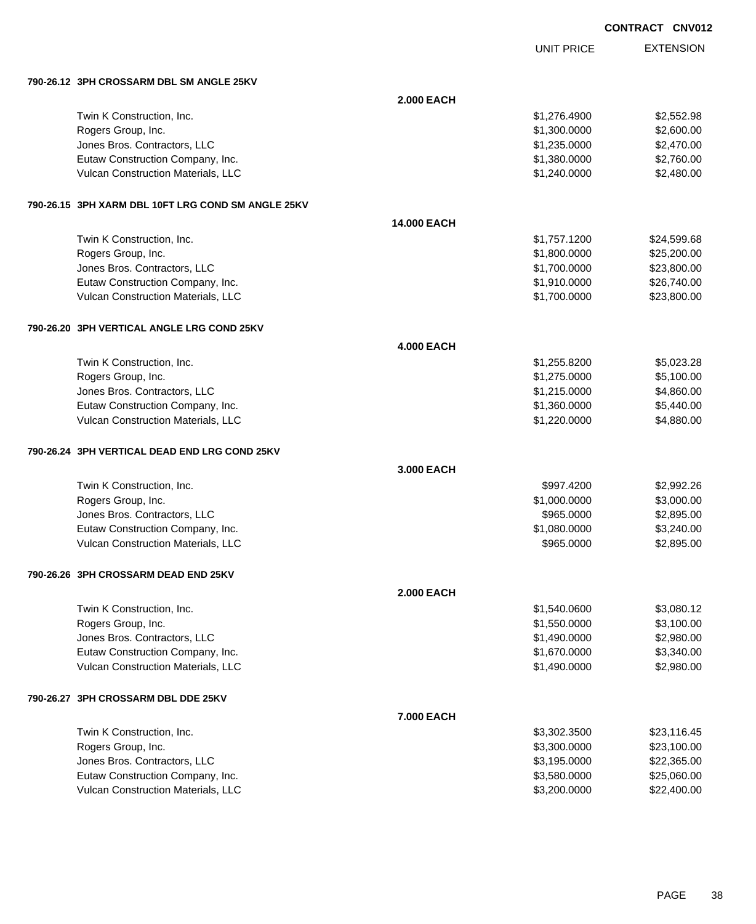UNIT PRICE

|           | 790-26.12 3PH CROSSARM DBL SM ANGLE 25KV            |                   |              |             |
|-----------|-----------------------------------------------------|-------------------|--------------|-------------|
|           |                                                     | <b>2.000 EACH</b> |              |             |
|           | Twin K Construction, Inc.                           |                   | \$1,276.4900 | \$2,552.98  |
|           | Rogers Group, Inc.                                  |                   | \$1,300.0000 | \$2,600.00  |
|           | Jones Bros. Contractors, LLC                        |                   | \$1,235.0000 | \$2,470.00  |
|           | Eutaw Construction Company, Inc.                    |                   | \$1,380.0000 | \$2,760.00  |
|           | Vulcan Construction Materials, LLC                  |                   | \$1,240.0000 | \$2,480.00  |
|           | 790-26.15  3PH XARM DBL 10FT LRG COND SM ANGLE 25KV |                   |              |             |
|           |                                                     | 14.000 EACH       |              |             |
|           | Twin K Construction, Inc.                           |                   | \$1,757.1200 | \$24,599.68 |
|           | Rogers Group, Inc.                                  |                   | \$1,800.0000 | \$25,200.00 |
|           | Jones Bros. Contractors, LLC                        |                   | \$1,700.0000 | \$23,800.00 |
|           | Eutaw Construction Company, Inc.                    |                   | \$1,910.0000 | \$26,740.00 |
|           | Vulcan Construction Materials, LLC                  |                   | \$1,700.0000 | \$23,800.00 |
|           | 790-26.20 3PH VERTICAL ANGLE LRG COND 25KV          |                   |              |             |
|           |                                                     | <b>4.000 EACH</b> |              |             |
|           | Twin K Construction, Inc.                           |                   | \$1,255.8200 | \$5,023.28  |
|           | Rogers Group, Inc.                                  |                   | \$1,275.0000 | \$5,100.00  |
|           | Jones Bros. Contractors, LLC                        |                   | \$1,215.0000 | \$4,860.00  |
|           | Eutaw Construction Company, Inc.                    |                   | \$1,360.0000 | \$5,440.00  |
|           | Vulcan Construction Materials, LLC                  |                   | \$1,220.0000 | \$4,880.00  |
|           | 790-26.24   3PH VERTICAL DEAD END LRG COND 25KV     |                   |              |             |
|           |                                                     | 3.000 EACH        |              |             |
|           | Twin K Construction, Inc.                           |                   | \$997.4200   | \$2,992.26  |
|           | Rogers Group, Inc.                                  |                   | \$1,000.0000 | \$3,000.00  |
|           | Jones Bros. Contractors, LLC                        |                   | \$965.0000   | \$2,895.00  |
|           | Eutaw Construction Company, Inc.                    |                   | \$1,080.0000 | \$3,240.00  |
|           | Vulcan Construction Materials, LLC                  |                   | \$965.0000   | \$2,895.00  |
|           | 790-26.26   3PH CROSSARM DEAD END 25KV              |                   |              |             |
|           |                                                     | <b>2.000 EACH</b> |              |             |
|           | Twin K Construction, Inc.                           |                   | \$1,540.0600 | \$3,080.12  |
|           | Rogers Group, Inc.                                  |                   | \$1,550.0000 | \$3,100.00  |
|           | Jones Bros. Contractors, LLC                        |                   | \$1,490.0000 | \$2,980.00  |
|           | Eutaw Construction Company, Inc.                    |                   | \$1,670.0000 | \$3,340.00  |
|           | Vulcan Construction Materials, LLC                  |                   | \$1,490.0000 | \$2,980.00  |
| 790-26.27 | 3PH CROSSARM DBL DDE 25KV                           |                   |              |             |
|           |                                                     | 7.000 EACH        |              |             |
|           | Twin K Construction, Inc.                           |                   | \$3,302.3500 | \$23,116.45 |
|           | Rogers Group, Inc.                                  |                   | \$3,300.0000 | \$23,100.00 |
|           | Jones Bros. Contractors, LLC                        |                   | \$3,195.0000 | \$22,365.00 |
|           | Eutaw Construction Company, Inc.                    |                   | \$3,580.0000 | \$25,060.00 |
|           | Vulcan Construction Materials, LLC                  |                   | \$3,200.0000 | \$22,400.00 |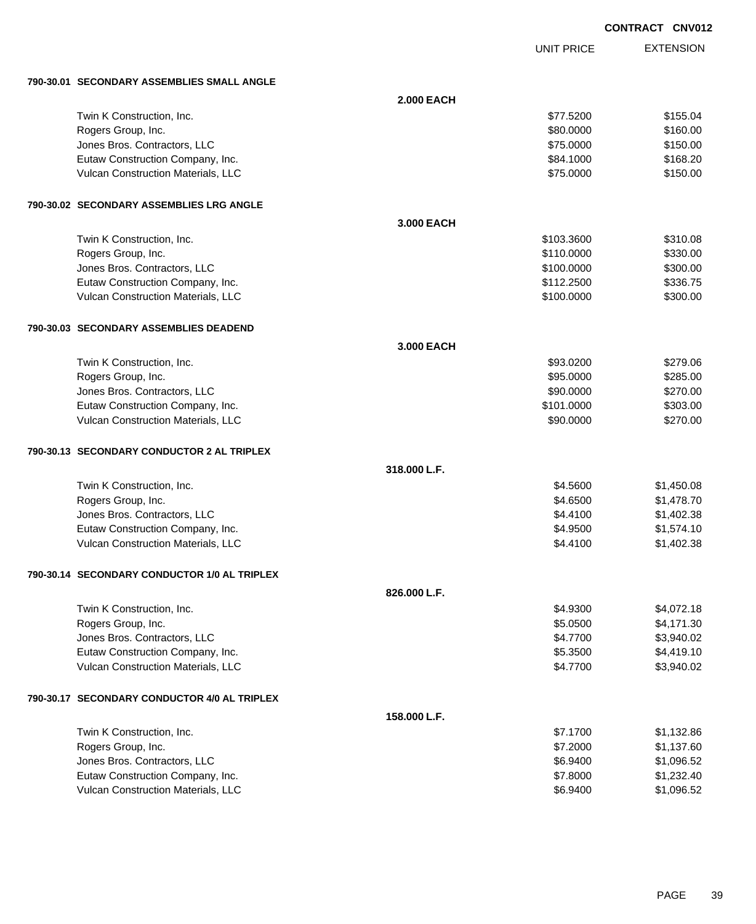UNIT PRICE EXTENSION

**790-30.01 SECONDARY ASSEMBLIES SMALL ANGLE**

| 190-30.01 SECONDART ASSEMBLIES SMALL ANGLE   |                   |            |            |
|----------------------------------------------|-------------------|------------|------------|
|                                              | <b>2.000 EACH</b> |            |            |
| Twin K Construction, Inc.                    |                   | \$77.5200  | \$155.04   |
| Rogers Group, Inc.                           |                   | \$80.0000  | \$160.00   |
| Jones Bros. Contractors, LLC                 |                   | \$75.0000  | \$150.00   |
| Eutaw Construction Company, Inc.             |                   | \$84.1000  | \$168.20   |
| Vulcan Construction Materials, LLC           |                   | \$75.0000  | \$150.00   |
| 790-30.02 SECONDARY ASSEMBLIES LRG ANGLE     |                   |            |            |
|                                              | 3.000 EACH        |            |            |
| Twin K Construction, Inc.                    |                   | \$103.3600 | \$310.08   |
| Rogers Group, Inc.                           |                   | \$110.0000 | \$330.00   |
| Jones Bros. Contractors, LLC                 |                   | \$100.0000 | \$300.00   |
| Eutaw Construction Company, Inc.             |                   | \$112.2500 | \$336.75   |
| Vulcan Construction Materials, LLC           |                   | \$100.0000 | \$300.00   |
| 790-30.03 SECONDARY ASSEMBLIES DEADEND       |                   |            |            |
|                                              | 3.000 EACH        |            |            |
| Twin K Construction, Inc.                    |                   | \$93.0200  | \$279.06   |
| Rogers Group, Inc.                           |                   | \$95.0000  | \$285.00   |
| Jones Bros. Contractors, LLC                 |                   | \$90.0000  | \$270.00   |
| Eutaw Construction Company, Inc.             |                   | \$101.0000 | \$303.00   |
| Vulcan Construction Materials, LLC           |                   | \$90.0000  | \$270.00   |
| 790-30.13 SECONDARY CONDUCTOR 2 AL TRIPLEX   |                   |            |            |
|                                              | 318.000 L.F.      |            |            |
| Twin K Construction, Inc.                    |                   | \$4.5600   | \$1,450.08 |
| Rogers Group, Inc.                           |                   | \$4.6500   | \$1,478.70 |
| Jones Bros. Contractors, LLC                 |                   | \$4.4100   | \$1,402.38 |
| Eutaw Construction Company, Inc.             |                   | \$4.9500   | \$1,574.10 |
| Vulcan Construction Materials, LLC           |                   | \$4.4100   | \$1,402.38 |
| 790-30.14 SECONDARY CONDUCTOR 1/0 AL TRIPLEX |                   |            |            |
|                                              | 826.000 L.F.      |            |            |
| Twin K Construction, Inc.                    |                   | \$4.9300   | \$4,072.18 |
| Rogers Group, Inc.                           |                   | \$5.0500   | \$4,171.30 |
| Jones Bros. Contractors, LLC                 |                   | \$4.7700   | \$3,940.02 |
| Eutaw Construction Company, Inc.             |                   | \$5.3500   | \$4,419.10 |
| Vulcan Construction Materials, LLC           |                   | \$4.7700   | \$3,940.02 |
| 790-30.17 SECONDARY CONDUCTOR 4/0 AL TRIPLEX |                   |            |            |
|                                              | 158.000 L.F.      |            |            |
| Twin K Construction, Inc.                    |                   | \$7.1700   | \$1,132.86 |
| Rogers Group, Inc.                           |                   | \$7.2000   | \$1,137.60 |
| Jones Bros. Contractors, LLC                 |                   | \$6.9400   | \$1,096.52 |
| Eutaw Construction Company, Inc.             |                   | \$7.8000   | \$1,232.40 |
| Vulcan Construction Materials, LLC           |                   | \$6.9400   | \$1,096.52 |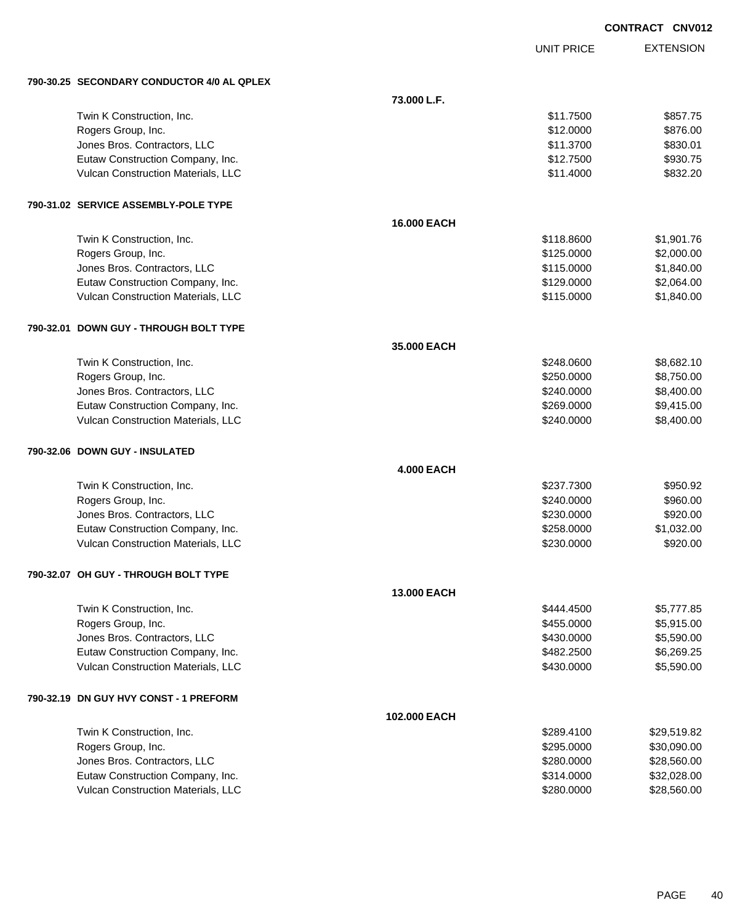UNIT PRICE

| 790-30.25 SECONDARY CONDUCTOR 4/0 AL QPLEX |                    |            |             |
|--------------------------------------------|--------------------|------------|-------------|
|                                            | 73.000 L.F.        |            |             |
| Twin K Construction, Inc.                  |                    | \$11.7500  | \$857.75    |
| Rogers Group, Inc.                         |                    | \$12.0000  | \$876.00    |
| Jones Bros. Contractors, LLC               |                    | \$11.3700  | \$830.01    |
| Eutaw Construction Company, Inc.           |                    | \$12.7500  | \$930.75    |
| Vulcan Construction Materials, LLC         |                    | \$11.4000  | \$832.20    |
| 790-31.02 SERVICE ASSEMBLY-POLE TYPE       |                    |            |             |
|                                            | 16.000 EACH        |            |             |
| Twin K Construction, Inc.                  |                    | \$118.8600 | \$1,901.76  |
| Rogers Group, Inc.                         |                    | \$125.0000 | \$2,000.00  |
| Jones Bros. Contractors, LLC               |                    | \$115.0000 | \$1,840.00  |
| Eutaw Construction Company, Inc.           |                    | \$129.0000 | \$2,064.00  |
| Vulcan Construction Materials, LLC         |                    | \$115.0000 | \$1,840.00  |
| 790-32.01 DOWN GUY - THROUGH BOLT TYPE     |                    |            |             |
|                                            | 35.000 EACH        |            |             |
| Twin K Construction, Inc.                  |                    | \$248.0600 | \$8,682.10  |
| Rogers Group, Inc.                         |                    | \$250.0000 | \$8,750.00  |
| Jones Bros. Contractors, LLC               |                    | \$240.0000 | \$8,400.00  |
| Eutaw Construction Company, Inc.           |                    | \$269.0000 | \$9,415.00  |
| Vulcan Construction Materials, LLC         |                    | \$240.0000 | \$8,400.00  |
| 790-32.06 DOWN GUY - INSULATED             |                    |            |             |
|                                            | <b>4.000 EACH</b>  |            |             |
| Twin K Construction, Inc.                  |                    | \$237.7300 | \$950.92    |
| Rogers Group, Inc.                         |                    | \$240.0000 | \$960.00    |
| Jones Bros. Contractors, LLC               |                    | \$230.0000 | \$920.00    |
| Eutaw Construction Company, Inc.           |                    | \$258.0000 | \$1,032.00  |
| Vulcan Construction Materials, LLC         |                    | \$230.0000 | \$920.00    |
| 790-32.07 OH GUY - THROUGH BOLT TYPE       |                    |            |             |
|                                            | <b>13.000 EACH</b> |            |             |
| Twin K Construction, Inc.                  |                    | \$444.4500 | \$5,777.85  |
| Rogers Group, Inc.                         |                    | \$455.0000 | \$5,915.00  |
| Jones Bros. Contractors, LLC               |                    | \$430.0000 | \$5,590.00  |
| Eutaw Construction Company, Inc.           |                    | \$482.2500 | \$6,269.25  |
| Vulcan Construction Materials, LLC         |                    | \$430.0000 | \$5,590.00  |
| 790-32.19 DN GUY HVY CONST - 1 PREFORM     |                    |            |             |
|                                            | 102.000 EACH       |            |             |
| Twin K Construction, Inc.                  |                    | \$289.4100 | \$29,519.82 |
| Rogers Group, Inc.                         |                    | \$295.0000 | \$30,090.00 |
| Jones Bros. Contractors, LLC               |                    | \$280.0000 | \$28,560.00 |
| Eutaw Construction Company, Inc.           |                    | \$314.0000 | \$32,028.00 |
| Vulcan Construction Materials, LLC         |                    | \$280.0000 | \$28,560.00 |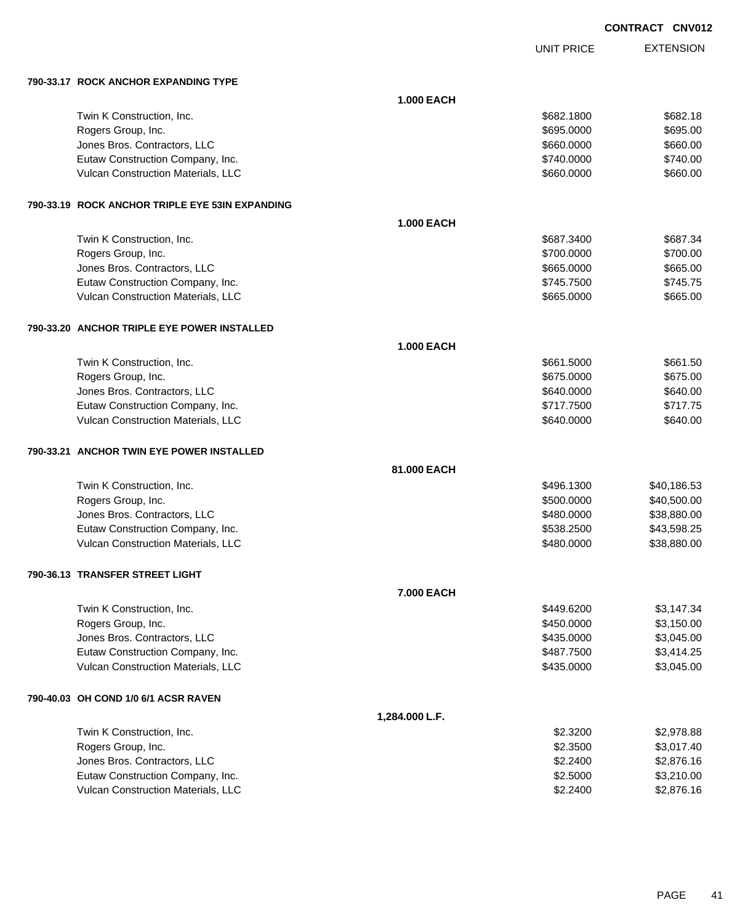UNIT PRICE EXTENSION

**790-33.17 ROCK ANCHOR EXPANDING TYPE**

| 790-33.17   ROCK ANCHOR EXPANDING TYPE          |                   |            |             |
|-------------------------------------------------|-------------------|------------|-------------|
|                                                 | <b>1.000 EACH</b> |            |             |
| Twin K Construction, Inc.                       |                   | \$682.1800 | \$682.18    |
| Rogers Group, Inc.                              |                   | \$695.0000 | \$695.00    |
| Jones Bros. Contractors, LLC                    |                   | \$660.0000 | \$660.00    |
| Eutaw Construction Company, Inc.                |                   | \$740.0000 | \$740.00    |
| Vulcan Construction Materials, LLC              |                   | \$660.0000 | \$660.00    |
| 790-33.19 ROCK ANCHOR TRIPLE EYE 53IN EXPANDING |                   |            |             |
|                                                 | <b>1.000 EACH</b> |            |             |
| Twin K Construction, Inc.                       |                   | \$687.3400 | \$687.34    |
| Rogers Group, Inc.                              |                   | \$700.0000 | \$700.00    |
| Jones Bros. Contractors, LLC                    |                   | \$665.0000 | \$665.00    |
| Eutaw Construction Company, Inc.                |                   | \$745.7500 | \$745.75    |
| Vulcan Construction Materials, LLC              |                   | \$665.0000 | \$665.00    |
| 790-33.20 ANCHOR TRIPLE EYE POWER INSTALLED     |                   |            |             |
|                                                 | <b>1.000 EACH</b> |            |             |
| Twin K Construction, Inc.                       |                   | \$661.5000 | \$661.50    |
| Rogers Group, Inc.                              |                   | \$675.0000 | \$675.00    |
| Jones Bros. Contractors, LLC                    |                   | \$640.0000 | \$640.00    |
| Eutaw Construction Company, Inc.                |                   | \$717.7500 | \$717.75    |
| Vulcan Construction Materials, LLC              |                   | \$640.0000 | \$640.00    |
| 790-33.21 ANCHOR TWIN EYE POWER INSTALLED       |                   |            |             |
|                                                 | 81,000 EACH       |            |             |
| Twin K Construction, Inc.                       |                   | \$496.1300 | \$40,186.53 |
| Rogers Group, Inc.                              |                   | \$500.0000 | \$40,500.00 |
| Jones Bros. Contractors, LLC                    |                   | \$480.0000 | \$38,880.00 |
| Eutaw Construction Company, Inc.                |                   | \$538.2500 | \$43,598.25 |
| Vulcan Construction Materials, LLC              |                   | \$480.0000 | \$38,880.00 |
| 790-36.13 TRANSFER STREET LIGHT                 |                   |            |             |
|                                                 | 7.000 EACH        |            |             |
| Twin K Construction, Inc.                       |                   | \$449.6200 | \$3,147.34  |
| Rogers Group, Inc.                              |                   | \$450.0000 | \$3,150.00  |
| Jones Bros. Contractors, LLC                    |                   | \$435.0000 | \$3,045.00  |
| Eutaw Construction Company, Inc.                |                   | \$487.7500 | \$3,414.25  |
| Vulcan Construction Materials, LLC              |                   | \$435.0000 | \$3,045.00  |
| 790-40.03 OH COND 1/0 6/1 ACSR RAVEN            |                   |            |             |
|                                                 | 1,284.000 L.F.    |            |             |
| Twin K Construction, Inc.                       |                   | \$2.3200   | \$2,978.88  |
| Rogers Group, Inc.                              |                   | \$2.3500   | \$3,017.40  |
| Jones Bros. Contractors, LLC                    |                   | \$2.2400   | \$2,876.16  |
| Eutaw Construction Company, Inc.                |                   | \$2.5000   | \$3,210.00  |
| Vulcan Construction Materials, LLC              |                   | \$2.2400   | \$2,876.16  |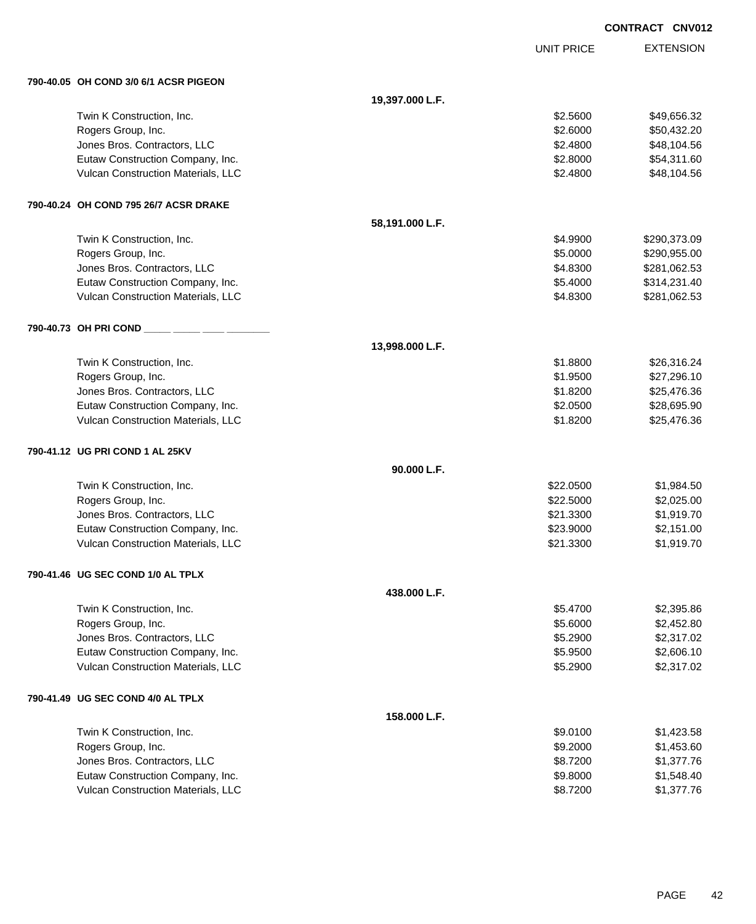UNIT PRICE

| 790-40.05 OH COND 3/0 6/1 ACSR PIGEON |                 |           |              |
|---------------------------------------|-----------------|-----------|--------------|
|                                       | 19,397.000 L.F. |           |              |
| Twin K Construction, Inc.             |                 | \$2.5600  | \$49,656.32  |
| Rogers Group, Inc.                    |                 | \$2.6000  | \$50,432.20  |
| Jones Bros. Contractors, LLC          |                 | \$2.4800  | \$48,104.56  |
| Eutaw Construction Company, Inc.      |                 | \$2.8000  | \$54,311.60  |
| Vulcan Construction Materials, LLC    |                 | \$2.4800  | \$48,104.56  |
| 790-40.24 OH COND 795 26/7 ACSR DRAKE |                 |           |              |
|                                       | 58,191.000 L.F. |           |              |
| Twin K Construction, Inc.             |                 | \$4.9900  | \$290,373.09 |
| Rogers Group, Inc.                    |                 | \$5.0000  | \$290,955.00 |
| Jones Bros. Contractors, LLC          |                 | \$4.8300  | \$281,062.53 |
| Eutaw Construction Company, Inc.      |                 | \$5.4000  | \$314,231.40 |
| Vulcan Construction Materials, LLC    |                 | \$4.8300  | \$281,062.53 |
| 790-40.73 OH PRI COND _               |                 |           |              |
|                                       | 13,998.000 L.F. |           |              |
| Twin K Construction, Inc.             |                 | \$1.8800  | \$26,316.24  |
| Rogers Group, Inc.                    |                 | \$1.9500  | \$27,296.10  |
| Jones Bros. Contractors, LLC          |                 | \$1.8200  | \$25,476.36  |
| Eutaw Construction Company, Inc.      |                 | \$2.0500  | \$28,695.90  |
| Vulcan Construction Materials, LLC    |                 | \$1.8200  | \$25,476.36  |
| 790-41.12 UG PRI COND 1 AL 25KV       |                 |           |              |
|                                       | 90.000 L.F.     |           |              |
| Twin K Construction, Inc.             |                 | \$22.0500 | \$1,984.50   |
| Rogers Group, Inc.                    |                 | \$22.5000 | \$2,025.00   |
| Jones Bros. Contractors, LLC          |                 | \$21.3300 | \$1,919.70   |
| Eutaw Construction Company, Inc.      |                 | \$23.9000 | \$2,151.00   |
| Vulcan Construction Materials, LLC    |                 | \$21.3300 | \$1,919.70   |
| 790-41.46 UG SEC COND 1/0 AL TPLX     |                 |           |              |
|                                       | 438.000 L.F.    |           |              |
| Twin K Construction, Inc.             |                 | \$5.4700  | \$2,395.86   |
| Rogers Group, Inc.                    |                 | \$5.6000  | \$2,452.80   |
| Jones Bros. Contractors, LLC          |                 | \$5.2900  | \$2,317.02   |
| Eutaw Construction Company, Inc.      |                 | \$5.9500  | \$2,606.10   |
| Vulcan Construction Materials, LLC    |                 | \$5.2900  | \$2,317.02   |
| 790-41.49 UG SEC COND 4/0 AL TPLX     |                 |           |              |
|                                       | 158.000 L.F.    |           |              |
| Twin K Construction, Inc.             |                 | \$9.0100  | \$1,423.58   |
| Rogers Group, Inc.                    |                 | \$9.2000  | \$1,453.60   |
| Jones Bros. Contractors, LLC          |                 | \$8.7200  | \$1,377.76   |
| Eutaw Construction Company, Inc.      |                 | \$9.8000  | \$1,548.40   |
| Vulcan Construction Materials, LLC    |                 | \$8.7200  | \$1,377.76   |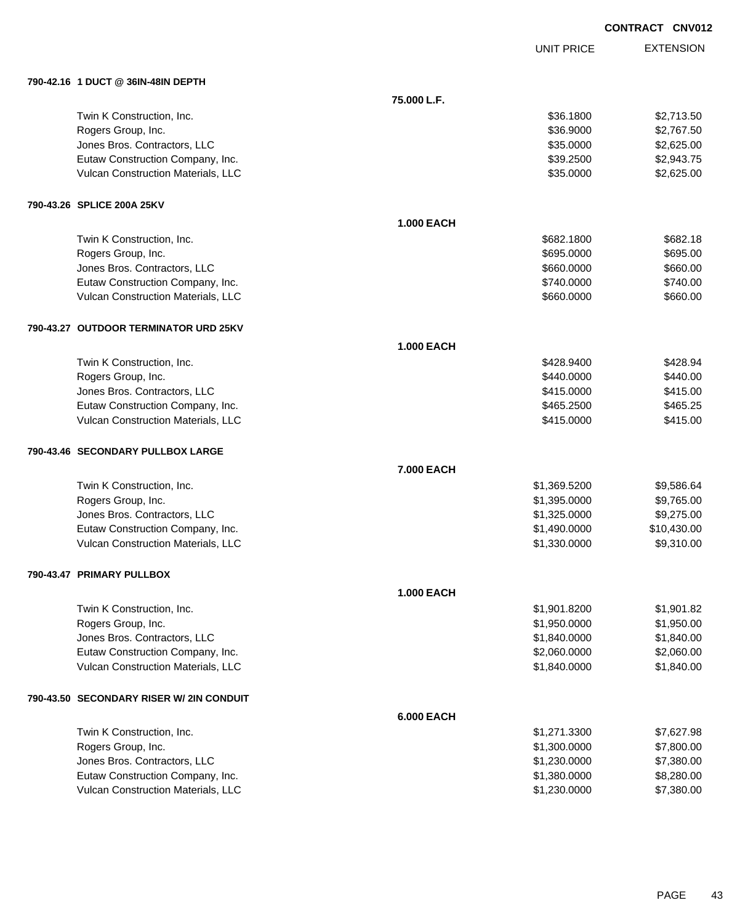UNIT PRICE

| 790-42.16 1 DUCT @ 36IN-48IN DEPTH       |                   |              |             |
|------------------------------------------|-------------------|--------------|-------------|
|                                          | 75.000 L.F.       |              |             |
| Twin K Construction, Inc.                |                   | \$36.1800    | \$2,713.50  |
| Rogers Group, Inc.                       |                   | \$36.9000    | \$2,767.50  |
| Jones Bros. Contractors, LLC             |                   | \$35.0000    | \$2,625.00  |
| Eutaw Construction Company, Inc.         |                   | \$39.2500    | \$2,943.75  |
| Vulcan Construction Materials, LLC       |                   | \$35.0000    | \$2,625.00  |
| 790-43.26 SPLICE 200A 25KV               |                   |              |             |
|                                          | <b>1.000 EACH</b> |              |             |
| Twin K Construction, Inc.                |                   | \$682,1800   | \$682.18    |
| Rogers Group, Inc.                       |                   | \$695.0000   | \$695.00    |
| Jones Bros. Contractors, LLC             |                   | \$660.0000   | \$660.00    |
| Eutaw Construction Company, Inc.         |                   | \$740.0000   | \$740.00    |
| Vulcan Construction Materials, LLC       |                   | \$660.0000   | \$660.00    |
| 790-43.27 OUTDOOR TERMINATOR URD 25KV    |                   |              |             |
|                                          | <b>1.000 EACH</b> |              |             |
| Twin K Construction, Inc.                |                   | \$428.9400   | \$428.94    |
| Rogers Group, Inc.                       |                   | \$440.0000   | \$440.00    |
| Jones Bros. Contractors, LLC             |                   | \$415.0000   | \$415.00    |
| Eutaw Construction Company, Inc.         |                   | \$465.2500   | \$465.25    |
| Vulcan Construction Materials, LLC       |                   | \$415.0000   | \$415.00    |
| 790-43.46 SECONDARY PULLBOX LARGE        |                   |              |             |
|                                          | 7.000 EACH        |              |             |
| Twin K Construction, Inc.                |                   | \$1,369.5200 | \$9,586.64  |
| Rogers Group, Inc.                       |                   | \$1,395.0000 | \$9,765.00  |
| Jones Bros. Contractors, LLC             |                   | \$1,325.0000 | \$9,275.00  |
| Eutaw Construction Company, Inc.         |                   | \$1,490.0000 | \$10,430.00 |
| Vulcan Construction Materials, LLC       |                   | \$1,330.0000 | \$9,310.00  |
| 790-43.47 PRIMARY PULLBOX                |                   |              |             |
|                                          | <b>1.000 EACH</b> |              |             |
| Twin K Construction, Inc.                |                   | \$1,901.8200 | \$1,901.82  |
| Rogers Group, Inc.                       |                   | \$1,950.0000 | \$1,950.00  |
| Jones Bros. Contractors, LLC             |                   | \$1,840.0000 | \$1,840.00  |
| Eutaw Construction Company, Inc.         |                   | \$2,060.0000 | \$2,060.00  |
| Vulcan Construction Materials, LLC       |                   | \$1,840.0000 | \$1,840.00  |
| 790-43.50 SECONDARY RISER W/ 2IN CONDUIT |                   |              |             |
|                                          | <b>6.000 EACH</b> |              |             |
| Twin K Construction, Inc.                |                   | \$1,271.3300 | \$7,627.98  |
| Rogers Group, Inc.                       |                   | \$1,300.0000 | \$7,800.00  |
| Jones Bros. Contractors, LLC             |                   | \$1,230.0000 | \$7,380.00  |
| Eutaw Construction Company, Inc.         |                   | \$1,380.0000 | \$8,280.00  |
| Vulcan Construction Materials, LLC       |                   | \$1,230.0000 | \$7,380.00  |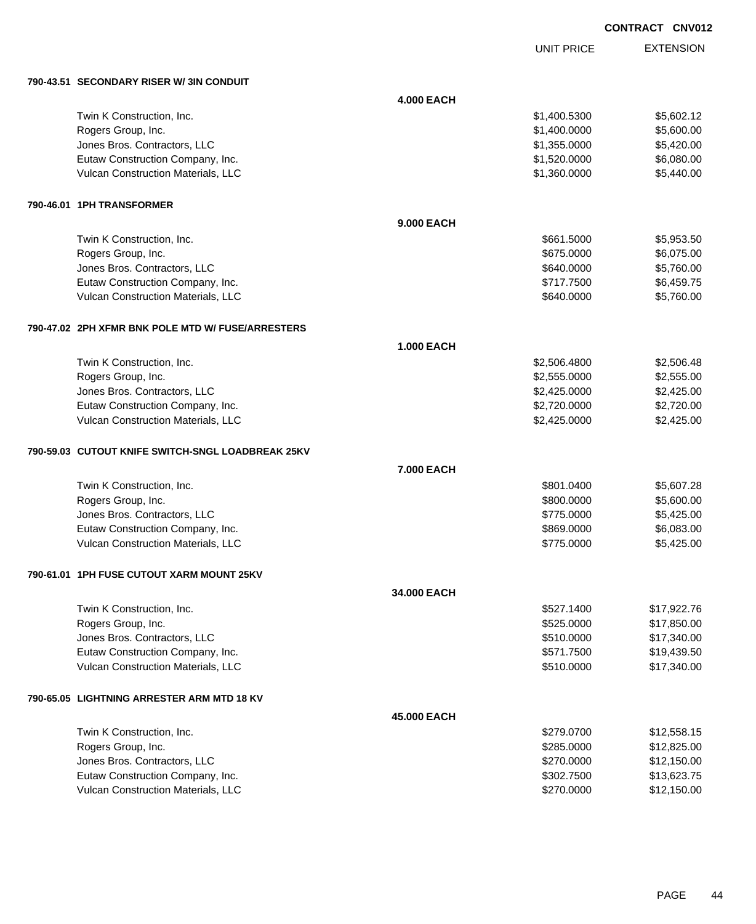UNIT PRICE EXTENSION

**790-43.51 SECONDARY RISER W/ 3IN CONDUIT**

| 790-43.51   SECONDARY RISER W/ 3IN CONDUIT        |                   |              |             |
|---------------------------------------------------|-------------------|--------------|-------------|
|                                                   | <b>4.000 EACH</b> |              |             |
| Twin K Construction, Inc.                         |                   | \$1,400.5300 | \$5,602.12  |
| Rogers Group, Inc.                                |                   | \$1,400.0000 | \$5,600.00  |
| Jones Bros. Contractors, LLC                      |                   | \$1,355.0000 | \$5,420.00  |
| Eutaw Construction Company, Inc.                  |                   | \$1,520.0000 | \$6,080.00  |
| Vulcan Construction Materials, LLC                |                   | \$1,360.0000 | \$5,440.00  |
| 790-46.01   1PH TRANSFORMER                       |                   |              |             |
|                                                   | <b>9.000 EACH</b> |              |             |
| Twin K Construction, Inc.                         |                   | \$661.5000   | \$5,953.50  |
| Rogers Group, Inc.                                |                   | \$675.0000   | \$6,075.00  |
| Jones Bros. Contractors, LLC                      |                   | \$640.0000   | \$5,760.00  |
| Eutaw Construction Company, Inc.                  |                   | \$717.7500   | \$6,459.75  |
| Vulcan Construction Materials, LLC                |                   | \$640.0000   | \$5,760.00  |
| 790-47.02 2PH XFMR BNK POLE MTD W/ FUSE/ARRESTERS |                   |              |             |
|                                                   | <b>1.000 EACH</b> |              |             |
| Twin K Construction, Inc.                         |                   | \$2,506.4800 | \$2,506.48  |
| Rogers Group, Inc.                                |                   | \$2,555.0000 | \$2,555.00  |
| Jones Bros. Contractors, LLC                      |                   | \$2,425.0000 | \$2,425.00  |
| Eutaw Construction Company, Inc.                  |                   | \$2,720.0000 | \$2,720.00  |
| Vulcan Construction Materials, LLC                |                   | \$2,425.0000 | \$2,425.00  |
| 790-59.03 CUTOUT KNIFE SWITCH-SNGL LOADBREAK 25KV |                   |              |             |
|                                                   | 7.000 EACH        |              |             |
| Twin K Construction, Inc.                         |                   | \$801.0400   | \$5,607.28  |
| Rogers Group, Inc.                                |                   | \$800.0000   | \$5,600.00  |
| Jones Bros. Contractors, LLC                      |                   | \$775.0000   | \$5,425.00  |
| Eutaw Construction Company, Inc.                  |                   | \$869.0000   | \$6,083.00  |
| Vulcan Construction Materials, LLC                |                   | \$775.0000   | \$5,425.00  |
| 790-61.01 1PH FUSE CUTOUT XARM MOUNT 25KV         |                   |              |             |
|                                                   | 34.000 EACH       |              |             |
| Twin K Construction, Inc.                         |                   | \$527.1400   | \$17,922.76 |
| Rogers Group, Inc.                                |                   | \$525.0000   | \$17,850.00 |
| Jones Bros. Contractors, LLC                      |                   | \$510.0000   | \$17,340.00 |
| Eutaw Construction Company, Inc.                  |                   | \$571.7500   | \$19,439.50 |
| Vulcan Construction Materials, LLC                |                   | \$510.0000   | \$17,340.00 |
| 790-65.05 LIGHTNING ARRESTER ARM MTD 18 KV        |                   |              |             |
|                                                   | 45.000 EACH       |              |             |
| Twin K Construction, Inc.                         |                   | \$279.0700   | \$12,558.15 |
| Rogers Group, Inc.                                |                   | \$285.0000   | \$12,825.00 |
| Jones Bros. Contractors, LLC                      |                   | \$270.0000   | \$12,150.00 |
| Eutaw Construction Company, Inc.                  |                   | \$302.7500   | \$13,623.75 |
| Vulcan Construction Materials, LLC                |                   | \$270.0000   | \$12,150.00 |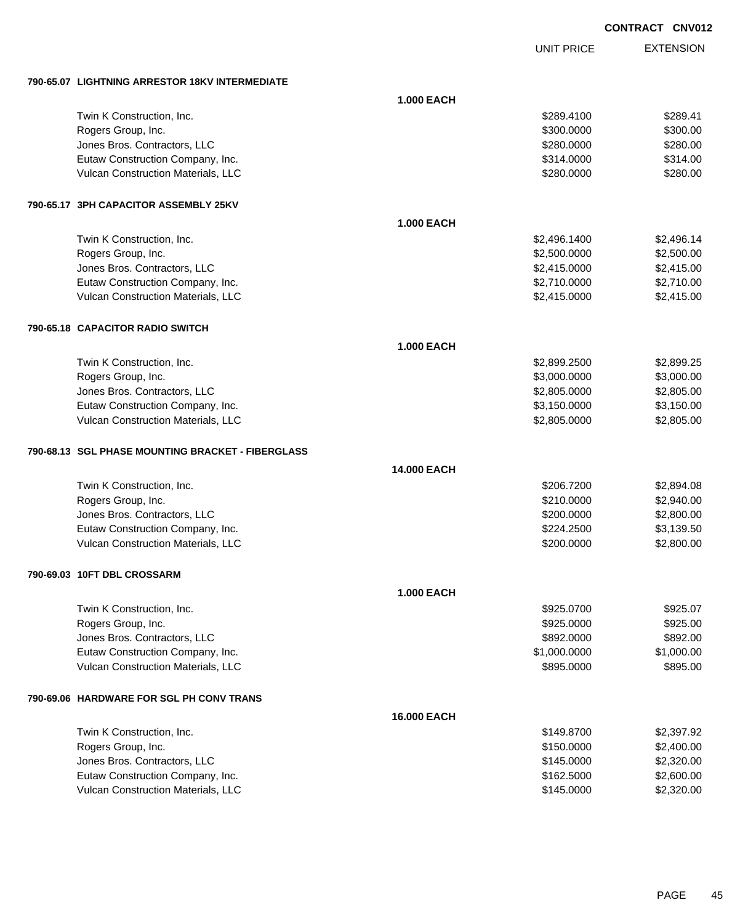UNIT PRICE

EXTENSION

**790-65.07 LIGHTNING ARRESTOR 18KV INTERMEDIATE**

|                                                   | <b>1.000 EACH</b> |              |            |
|---------------------------------------------------|-------------------|--------------|------------|
| Twin K Construction, Inc.                         |                   | \$289.4100   | \$289.41   |
| Rogers Group, Inc.                                |                   | \$300.0000   | \$300.00   |
| Jones Bros. Contractors, LLC                      |                   | \$280.0000   | \$280.00   |
| Eutaw Construction Company, Inc.                  |                   | \$314.0000   | \$314.00   |
| Vulcan Construction Materials, LLC                |                   | \$280.0000   | \$280.00   |
| 790-65.17 3PH CAPACITOR ASSEMBLY 25KV             |                   |              |            |
|                                                   | <b>1.000 EACH</b> |              |            |
| Twin K Construction, Inc.                         |                   | \$2,496.1400 | \$2,496.14 |
| Rogers Group, Inc.                                |                   | \$2,500.0000 | \$2,500.00 |
| Jones Bros. Contractors, LLC                      |                   | \$2,415.0000 | \$2,415.00 |
| Eutaw Construction Company, Inc.                  |                   | \$2,710.0000 | \$2,710.00 |
| Vulcan Construction Materials, LLC                |                   | \$2,415.0000 | \$2,415.00 |
| 790-65.18 CAPACITOR RADIO SWITCH                  |                   |              |            |
|                                                   | <b>1.000 EACH</b> |              |            |
| Twin K Construction, Inc.                         |                   | \$2,899.2500 | \$2,899.25 |
| Rogers Group, Inc.                                |                   | \$3,000.0000 | \$3,000.00 |
| Jones Bros. Contractors, LLC                      |                   | \$2,805.0000 | \$2,805.00 |
| Eutaw Construction Company, Inc.                  |                   | \$3,150.0000 | \$3,150.00 |
| Vulcan Construction Materials, LLC                |                   | \$2,805.0000 | \$2,805.00 |
| 790-68.13 SGL PHASE MOUNTING BRACKET - FIBERGLASS |                   |              |            |
|                                                   | 14.000 EACH       |              |            |
| Twin K Construction, Inc.                         |                   | \$206.7200   | \$2,894.08 |
| Rogers Group, Inc.                                |                   | \$210.0000   | \$2,940.00 |
| Jones Bros. Contractors, LLC                      |                   | \$200.0000   | \$2,800.00 |
| Eutaw Construction Company, Inc.                  |                   | \$224.2500   | \$3,139.50 |
| Vulcan Construction Materials, LLC                |                   | \$200.0000   | \$2,800.00 |
| 790-69.03 10FT DBL CROSSARM                       |                   |              |            |
|                                                   | <b>1.000 EACH</b> |              |            |
| Twin K Construction, Inc.                         |                   | \$925.0700   | \$925.07   |
| Rogers Group, Inc.                                |                   | \$925.0000   | \$925.00   |
| Jones Bros. Contractors, LLC                      |                   | \$892.0000   | \$892.00   |
| Eutaw Construction Company, Inc.                  |                   | \$1,000.0000 | \$1,000.00 |
| Vulcan Construction Materials, LLC                |                   | \$895.0000   | \$895.00   |
| 790-69.06 HARDWARE FOR SGL PH CONV TRANS          |                   |              |            |
|                                                   | 16.000 EACH       |              |            |
| Twin K Construction, Inc.                         |                   | \$149.8700   | \$2,397.92 |
| Rogers Group, Inc.                                |                   | \$150.0000   | \$2,400.00 |
| Jones Bros. Contractors, LLC                      |                   | \$145.0000   | \$2,320.00 |
| Eutaw Construction Company, Inc.                  |                   | \$162.5000   | \$2,600.00 |
| Vulcan Construction Materials, LLC                |                   | \$145.0000   | \$2,320.00 |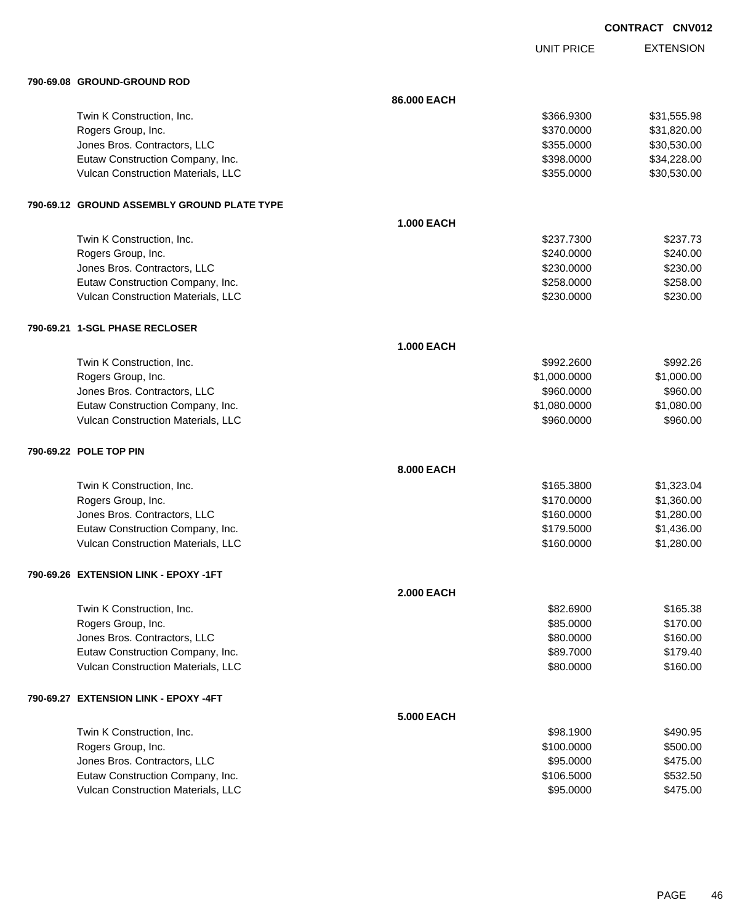UNIT PRICE

| 790-69.08 GROUND-GROUND ROD                 |                   |              |             |
|---------------------------------------------|-------------------|--------------|-------------|
|                                             | 86.000 EACH       |              |             |
| Twin K Construction, Inc.                   |                   | \$366.9300   | \$31,555.98 |
| Rogers Group, Inc.                          |                   | \$370.0000   | \$31,820.00 |
| Jones Bros. Contractors, LLC                |                   | \$355.0000   | \$30,530.00 |
| Eutaw Construction Company, Inc.            |                   | \$398.0000   | \$34,228.00 |
| Vulcan Construction Materials, LLC          |                   | \$355.0000   | \$30,530.00 |
| 790-69.12 GROUND ASSEMBLY GROUND PLATE TYPE |                   |              |             |
|                                             | <b>1.000 EACH</b> |              |             |
| Twin K Construction, Inc.                   |                   | \$237.7300   | \$237.73    |
| Rogers Group, Inc.                          |                   | \$240.0000   | \$240.00    |
| Jones Bros. Contractors, LLC                |                   | \$230.0000   | \$230.00    |
| Eutaw Construction Company, Inc.            |                   | \$258.0000   | \$258.00    |
| Vulcan Construction Materials, LLC          |                   | \$230.0000   | \$230.00    |
| 790-69.21 1-SGL PHASE RECLOSER              |                   |              |             |
|                                             | <b>1.000 EACH</b> |              |             |
| Twin K Construction, Inc.                   |                   | \$992.2600   | \$992.26    |
| Rogers Group, Inc.                          |                   | \$1,000.0000 | \$1,000.00  |
| Jones Bros. Contractors, LLC                |                   | \$960.0000   | \$960.00    |
| Eutaw Construction Company, Inc.            |                   | \$1,080.0000 | \$1,080.00  |
| Vulcan Construction Materials, LLC          |                   | \$960.0000   | \$960.00    |
| 790-69.22 POLE TOP PIN                      |                   |              |             |
|                                             | 8.000 EACH        |              |             |
| Twin K Construction, Inc.                   |                   | \$165.3800   | \$1,323.04  |
| Rogers Group, Inc.                          |                   | \$170.0000   | \$1,360.00  |
| Jones Bros. Contractors, LLC                |                   | \$160.0000   | \$1,280.00  |
| Eutaw Construction Company, Inc.            |                   | \$179.5000   | \$1,436.00  |
| Vulcan Construction Materials, LLC          |                   | \$160.0000   | \$1,280.00  |
| 790-69.26 EXTENSION LINK - EPOXY -1FT       |                   |              |             |
|                                             | <b>2.000 EACH</b> |              |             |
| Twin K Construction, Inc.                   |                   | \$82.6900    | \$165.38    |
| Rogers Group, Inc.                          |                   | \$85.0000    | \$170.00    |
| Jones Bros. Contractors, LLC                |                   | \$80.0000    | \$160.00    |
| Eutaw Construction Company, Inc.            |                   | \$89.7000    | \$179.40    |
| Vulcan Construction Materials, LLC          |                   | \$80.0000    | \$160.00    |
| 790-69.27 EXTENSION LINK - EPOXY -4FT       |                   |              |             |
|                                             | <b>5.000 EACH</b> |              |             |
| Twin K Construction, Inc.                   |                   | \$98.1900    | \$490.95    |
| Rogers Group, Inc.                          |                   | \$100.0000   | \$500.00    |
| Jones Bros. Contractors, LLC                |                   | \$95.0000    | \$475.00    |
| Eutaw Construction Company, Inc.            |                   | \$106.5000   | \$532.50    |
| Vulcan Construction Materials, LLC          |                   | \$95.0000    | \$475.00    |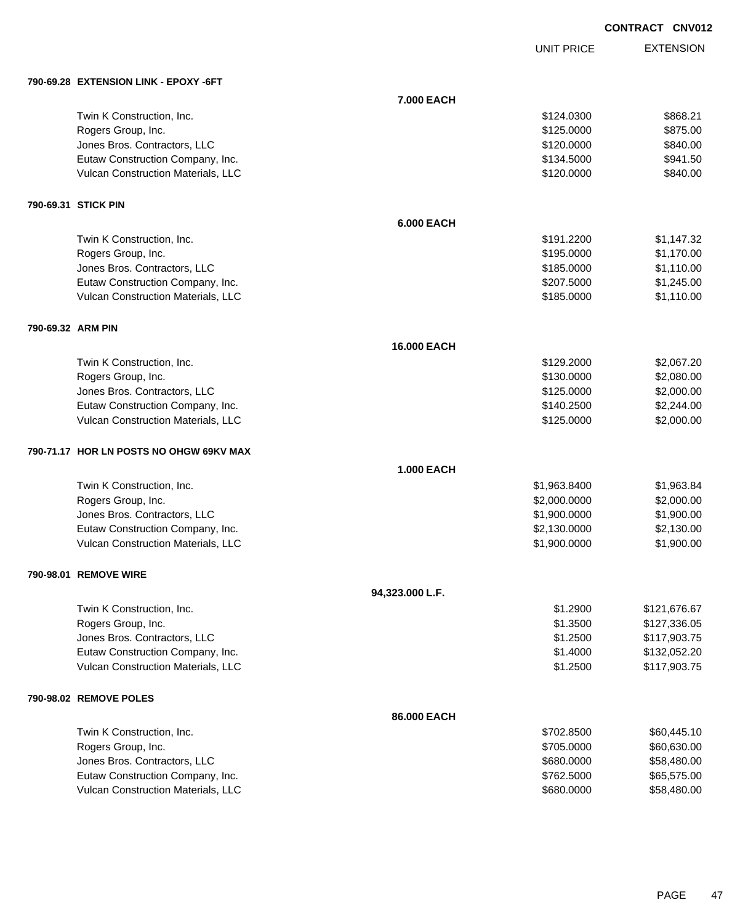UNIT PRICE

|                   | 790-69.28 EXTENSION LINK - EPOXY -6FT   |                   |              |              |
|-------------------|-----------------------------------------|-------------------|--------------|--------------|
|                   |                                         | 7.000 EACH        |              |              |
|                   | Twin K Construction, Inc.               |                   | \$124.0300   | \$868.21     |
|                   | Rogers Group, Inc.                      |                   | \$125.0000   | \$875.00     |
|                   | Jones Bros. Contractors, LLC            |                   | \$120.0000   | \$840.00     |
|                   | Eutaw Construction Company, Inc.        |                   | \$134.5000   | \$941.50     |
|                   | Vulcan Construction Materials, LLC      |                   | \$120.0000   | \$840.00     |
|                   | 790-69.31 STICK PIN                     |                   |              |              |
|                   |                                         | <b>6.000 EACH</b> |              |              |
|                   | Twin K Construction, Inc.               |                   | \$191.2200   | \$1,147.32   |
|                   | Rogers Group, Inc.                      |                   | \$195.0000   | \$1,170.00   |
|                   | Jones Bros. Contractors, LLC            |                   | \$185.0000   | \$1,110.00   |
|                   | Eutaw Construction Company, Inc.        |                   | \$207.5000   | \$1,245.00   |
|                   | Vulcan Construction Materials, LLC      |                   | \$185.0000   | \$1,110.00   |
| 790-69.32 ARM PIN |                                         |                   |              |              |
|                   |                                         | 16.000 EACH       |              |              |
|                   | Twin K Construction, Inc.               |                   | \$129.2000   | \$2,067.20   |
|                   | Rogers Group, Inc.                      |                   | \$130.0000   | \$2,080.00   |
|                   | Jones Bros. Contractors, LLC            |                   | \$125.0000   | \$2,000.00   |
|                   | Eutaw Construction Company, Inc.        |                   | \$140.2500   | \$2,244.00   |
|                   | Vulcan Construction Materials, LLC      |                   | \$125.0000   | \$2,000.00   |
|                   | 790-71.17 HOR LN POSTS NO OHGW 69KV MAX |                   |              |              |
|                   |                                         | <b>1.000 EACH</b> |              |              |
|                   | Twin K Construction, Inc.               |                   | \$1,963.8400 | \$1,963.84   |
|                   | Rogers Group, Inc.                      |                   | \$2,000.0000 | \$2,000.00   |
|                   | Jones Bros. Contractors, LLC            |                   | \$1,900.0000 | \$1,900.00   |
|                   | Eutaw Construction Company, Inc.        |                   | \$2,130.0000 | \$2,130.00   |
|                   | Vulcan Construction Materials, LLC      |                   | \$1,900.0000 | \$1,900.00   |
|                   | 790-98.01 REMOVE WIRE                   |                   |              |              |
|                   |                                         | 94,323.000 L.F.   |              |              |
|                   | Twin K Construction, Inc.               |                   | \$1.2900     | \$121,676.67 |
|                   | Rogers Group, Inc.                      |                   | \$1.3500     | \$127,336.05 |
|                   | Jones Bros. Contractors, LLC            |                   | \$1.2500     | \$117,903.75 |
|                   | Eutaw Construction Company, Inc.        |                   | \$1.4000     | \$132,052.20 |
|                   | Vulcan Construction Materials, LLC      |                   | \$1.2500     | \$117,903.75 |
|                   | 790-98.02 REMOVE POLES                  |                   |              |              |
|                   |                                         | 86.000 EACH       |              |              |
|                   | Twin K Construction, Inc.               |                   | \$702.8500   | \$60,445.10  |
|                   | Rogers Group, Inc.                      |                   | \$705.0000   | \$60,630.00  |
|                   | Jones Bros. Contractors, LLC            |                   | \$680.0000   | \$58,480.00  |
|                   | Eutaw Construction Company, Inc.        |                   | \$762.5000   | \$65,575.00  |
|                   | Vulcan Construction Materials, LLC      |                   | \$680.0000   | \$58,480.00  |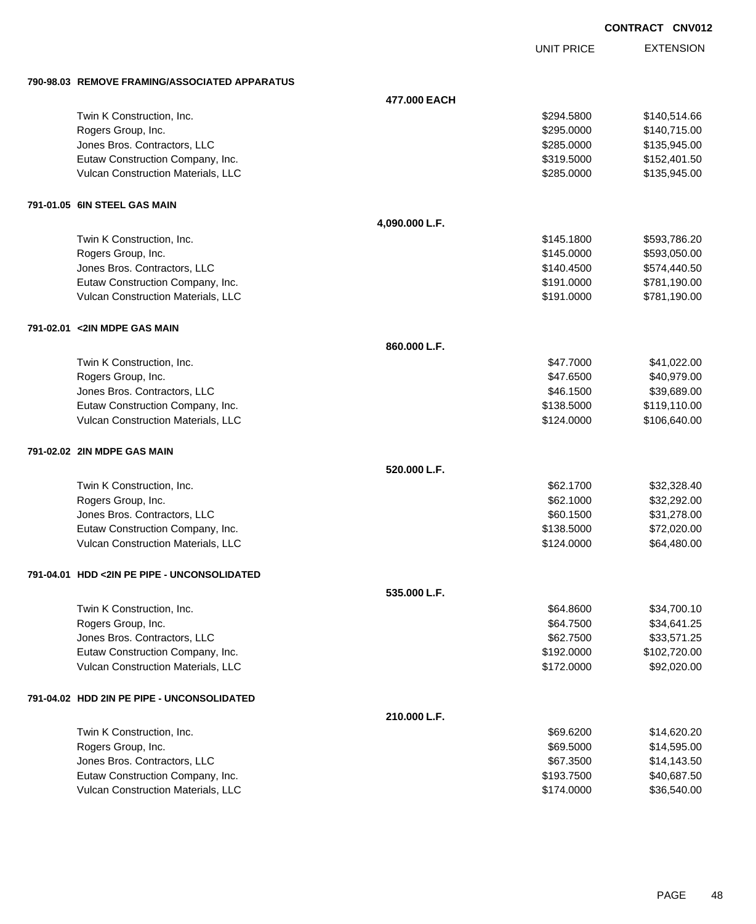UNIT PRICE

EXTENSION

**790-98.03 REMOVE FRAMING/ASSOCIATED APPARATUS**

|                                             | 477.000 EACH   |            |              |
|---------------------------------------------|----------------|------------|--------------|
| Twin K Construction, Inc.                   |                | \$294.5800 | \$140,514.66 |
| Rogers Group, Inc.                          |                | \$295.0000 | \$140,715.00 |
| Jones Bros. Contractors, LLC                |                | \$285.0000 | \$135,945.00 |
| Eutaw Construction Company, Inc.            |                | \$319.5000 | \$152,401.50 |
| Vulcan Construction Materials, LLC          |                | \$285.0000 | \$135,945.00 |
| 791-01.05 6IN STEEL GAS MAIN                |                |            |              |
|                                             | 4,090.000 L.F. |            |              |
| Twin K Construction, Inc.                   |                | \$145.1800 | \$593,786.20 |
| Rogers Group, Inc.                          |                | \$145.0000 | \$593,050.00 |
| Jones Bros. Contractors, LLC                |                | \$140.4500 | \$574,440.50 |
| Eutaw Construction Company, Inc.            |                | \$191.0000 | \$781,190.00 |
| Vulcan Construction Materials, LLC          |                | \$191.0000 | \$781,190.00 |
| 791-02.01 <2IN MDPE GAS MAIN                |                |            |              |
|                                             | 860.000 L.F.   |            |              |
| Twin K Construction, Inc.                   |                | \$47.7000  | \$41,022.00  |
| Rogers Group, Inc.                          |                | \$47.6500  | \$40,979.00  |
| Jones Bros. Contractors, LLC                |                | \$46.1500  | \$39,689.00  |
| Eutaw Construction Company, Inc.            |                | \$138.5000 | \$119,110.00 |
| Vulcan Construction Materials, LLC          |                | \$124.0000 | \$106,640.00 |
| 791-02.02 2IN MDPE GAS MAIN                 |                |            |              |
|                                             | 520.000 L.F.   |            |              |
| Twin K Construction, Inc.                   |                | \$62.1700  | \$32,328.40  |
| Rogers Group, Inc.                          |                | \$62.1000  | \$32,292.00  |
| Jones Bros. Contractors, LLC                |                | \$60.1500  | \$31,278.00  |
| Eutaw Construction Company, Inc.            |                | \$138.5000 | \$72,020.00  |
| Vulcan Construction Materials, LLC          |                | \$124.0000 | \$64,480.00  |
| 791-04.01 HDD <2IN PE PIPE - UNCONSOLIDATED |                |            |              |
|                                             | 535.000 L.F.   |            |              |
| Twin K Construction, Inc.                   |                | \$64.8600  | \$34,700.10  |
| Rogers Group, Inc.                          |                | \$64.7500  | \$34,641.25  |
| Jones Bros. Contractors, LLC                |                | \$62.7500  | \$33,571.25  |
| Eutaw Construction Company, Inc.            |                | \$192.0000 | \$102,720.00 |
| Vulcan Construction Materials, LLC          |                | \$172.0000 | \$92,020.00  |
| 791-04.02 HDD 2IN PE PIPE - UNCONSOLIDATED  |                |            |              |
|                                             | 210.000 L.F.   |            |              |
| Twin K Construction, Inc.                   |                | \$69.6200  | \$14,620.20  |
| Rogers Group, Inc.                          |                | \$69.5000  | \$14,595.00  |
| Jones Bros. Contractors, LLC                |                | \$67.3500  | \$14,143.50  |
| Eutaw Construction Company, Inc.            |                | \$193.7500 | \$40,687.50  |
| Vulcan Construction Materials, LLC          |                | \$174.0000 | \$36,540.00  |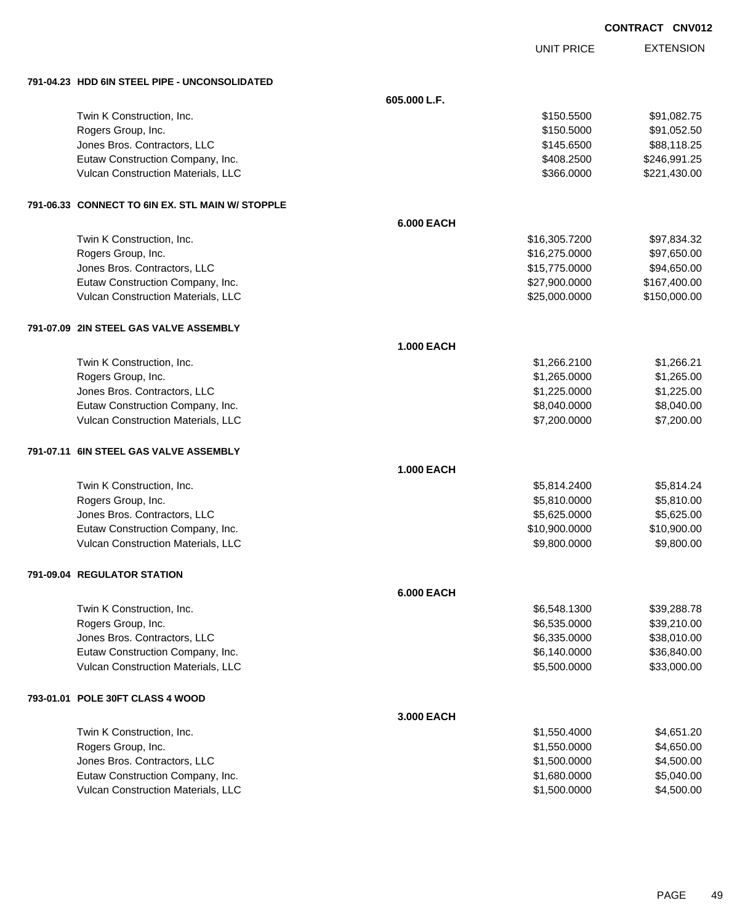UNIT PRICE

| 791-04.23 HDD 6IN STEEL PIPE - UNCONSOLIDATED    |                   |               |              |
|--------------------------------------------------|-------------------|---------------|--------------|
|                                                  | 605.000 L.F.      |               |              |
| Twin K Construction, Inc.                        |                   | \$150.5500    | \$91,082.75  |
| Rogers Group, Inc.                               |                   | \$150.5000    | \$91,052.50  |
| Jones Bros. Contractors, LLC                     |                   | \$145.6500    | \$88,118.25  |
| Eutaw Construction Company, Inc.                 |                   | \$408.2500    | \$246,991.25 |
| Vulcan Construction Materials, LLC               |                   | \$366.0000    | \$221,430.00 |
| 791-06.33 CONNECT TO 6IN EX. STL MAIN W/ STOPPLE |                   |               |              |
|                                                  | <b>6.000 EACH</b> |               |              |
| Twin K Construction, Inc.                        |                   | \$16,305.7200 | \$97,834.32  |
| Rogers Group, Inc.                               |                   | \$16,275.0000 | \$97,650.00  |
| Jones Bros. Contractors, LLC                     |                   | \$15,775.0000 | \$94,650.00  |
| Eutaw Construction Company, Inc.                 |                   | \$27,900.0000 | \$167,400.00 |
| Vulcan Construction Materials, LLC               |                   | \$25,000.0000 | \$150,000.00 |
| 791-07.09 2IN STEEL GAS VALVE ASSEMBLY           |                   |               |              |
|                                                  | <b>1.000 EACH</b> |               |              |
| Twin K Construction, Inc.                        |                   | \$1,266.2100  | \$1,266.21   |
| Rogers Group, Inc.                               |                   | \$1,265.0000  | \$1,265.00   |
| Jones Bros. Contractors, LLC                     |                   | \$1,225.0000  | \$1,225.00   |
| Eutaw Construction Company, Inc.                 |                   | \$8,040.0000  | \$8,040.00   |
| Vulcan Construction Materials, LLC               |                   | \$7,200.0000  | \$7,200.00   |
| 791-07.11 6IN STEEL GAS VALVE ASSEMBLY           |                   |               |              |
|                                                  | <b>1.000 EACH</b> |               |              |
| Twin K Construction, Inc.                        |                   | \$5,814.2400  | \$5,814.24   |
| Rogers Group, Inc.                               |                   | \$5,810.0000  | \$5,810.00   |
| Jones Bros. Contractors, LLC                     |                   | \$5,625.0000  | \$5,625.00   |
| Eutaw Construction Company, Inc.                 |                   | \$10,900.0000 | \$10,900.00  |
| Vulcan Construction Materials, LLC               |                   | \$9,800.0000  | \$9,800.00   |
| 791-09.04 REGULATOR STATION                      |                   |               |              |
|                                                  | <b>6.000 EACH</b> |               |              |
| Twin K Construction, Inc.                        |                   | \$6,548.1300  | \$39,288.78  |
| Rogers Group, Inc.                               |                   | \$6,535.0000  | \$39,210.00  |
| Jones Bros. Contractors, LLC                     |                   | \$6,335.0000  | \$38,010.00  |
| Eutaw Construction Company, Inc.                 |                   | \$6,140.0000  | \$36,840.00  |
| Vulcan Construction Materials, LLC               |                   | \$5,500.0000  | \$33,000.00  |
| 793-01.01 POLE 30FT CLASS 4 WOOD                 |                   |               |              |
|                                                  | 3.000 EACH        |               |              |
| Twin K Construction, Inc.                        |                   | \$1,550.4000  | \$4,651.20   |
| Rogers Group, Inc.                               |                   | \$1,550.0000  | \$4,650.00   |
| Jones Bros. Contractors, LLC                     |                   | \$1,500.0000  | \$4,500.00   |
| Eutaw Construction Company, Inc.                 |                   | \$1,680.0000  | \$5,040.00   |
| Vulcan Construction Materials, LLC               |                   | \$1,500.0000  | \$4,500.00   |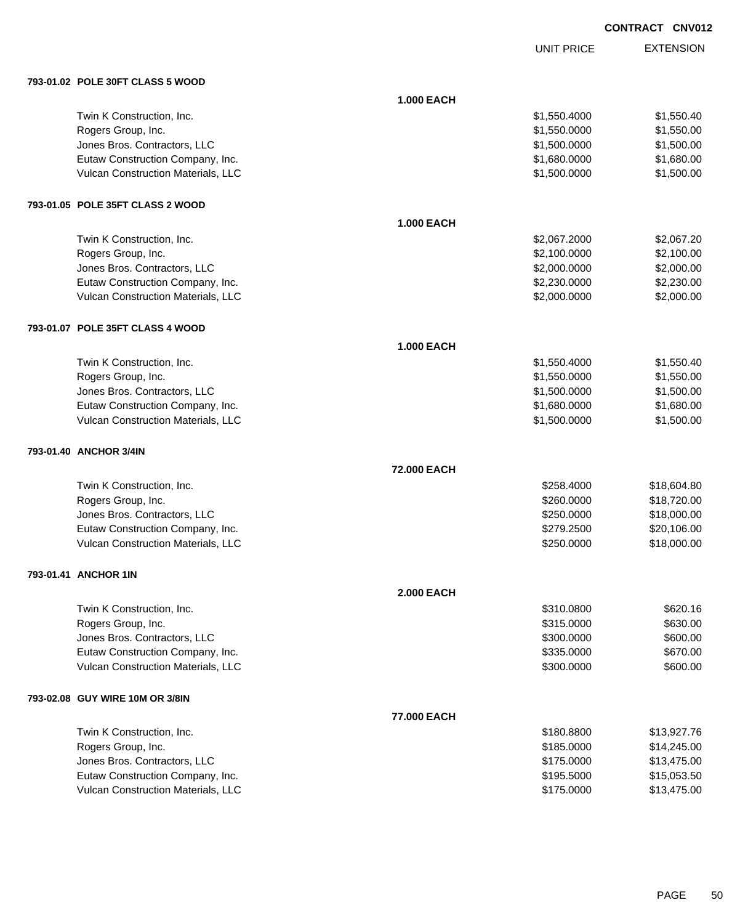UNIT PRICE

| 793-01.02 POLE 30FT CLASS 5 WOOD   |                   |              |             |
|------------------------------------|-------------------|--------------|-------------|
|                                    | <b>1.000 EACH</b> |              |             |
| Twin K Construction, Inc.          |                   | \$1,550.4000 | \$1,550.40  |
| Rogers Group, Inc.                 |                   | \$1,550.0000 | \$1,550.00  |
| Jones Bros. Contractors, LLC       |                   | \$1,500.0000 | \$1,500.00  |
| Eutaw Construction Company, Inc.   |                   | \$1,680.0000 | \$1,680.00  |
| Vulcan Construction Materials, LLC |                   | \$1,500.0000 | \$1,500.00  |
| 793-01.05 POLE 35FT CLASS 2 WOOD   |                   |              |             |
|                                    | <b>1.000 EACH</b> |              |             |
| Twin K Construction, Inc.          |                   | \$2,067.2000 | \$2,067.20  |
| Rogers Group, Inc.                 |                   | \$2,100.0000 | \$2,100.00  |
| Jones Bros. Contractors, LLC       |                   | \$2,000.0000 | \$2,000.00  |
| Eutaw Construction Company, Inc.   |                   | \$2,230.0000 | \$2,230.00  |
| Vulcan Construction Materials, LLC |                   | \$2,000.0000 | \$2,000.00  |
| 793-01.07 POLE 35FT CLASS 4 WOOD   |                   |              |             |
|                                    | <b>1.000 EACH</b> |              |             |
| Twin K Construction, Inc.          |                   | \$1,550.4000 | \$1,550.40  |
| Rogers Group, Inc.                 |                   | \$1,550.0000 | \$1,550.00  |
| Jones Bros. Contractors, LLC       |                   | \$1,500.0000 | \$1,500.00  |
| Eutaw Construction Company, Inc.   |                   | \$1,680.0000 | \$1,680.00  |
| Vulcan Construction Materials, LLC |                   | \$1,500.0000 | \$1,500.00  |
| 793-01.40 ANCHOR 3/4IN             |                   |              |             |
|                                    | 72.000 EACH       |              |             |
| Twin K Construction, Inc.          |                   | \$258.4000   | \$18,604.80 |
| Rogers Group, Inc.                 |                   | \$260.0000   | \$18,720.00 |
| Jones Bros. Contractors, LLC       |                   | \$250.0000   | \$18,000.00 |
| Eutaw Construction Company, Inc.   |                   | \$279.2500   | \$20,106.00 |
| Vulcan Construction Materials, LLC |                   | \$250.0000   | \$18,000.00 |
| 793-01.41 ANCHOR 1IN               |                   |              |             |
|                                    | <b>2.000 EACH</b> |              |             |
| Twin K Construction, Inc.          |                   | \$310.0800   | \$620.16    |
| Rogers Group, Inc.                 |                   | \$315.0000   | \$630.00    |
| Jones Bros. Contractors, LLC       |                   | \$300.0000   | \$600.00    |
| Eutaw Construction Company, Inc.   |                   | \$335.0000   | \$670.00    |
| Vulcan Construction Materials, LLC |                   | \$300.0000   | \$600.00    |
| 793-02.08 GUY WIRE 10M OR 3/8IN    |                   |              |             |
|                                    | 77.000 EACH       |              |             |
| Twin K Construction, Inc.          |                   | \$180.8800   | \$13,927.76 |
| Rogers Group, Inc.                 |                   | \$185.0000   | \$14,245.00 |
| Jones Bros. Contractors, LLC       |                   | \$175.0000   | \$13,475.00 |
| Eutaw Construction Company, Inc.   |                   | \$195.5000   | \$15,053.50 |
| Vulcan Construction Materials, LLC |                   | \$175.0000   | \$13,475.00 |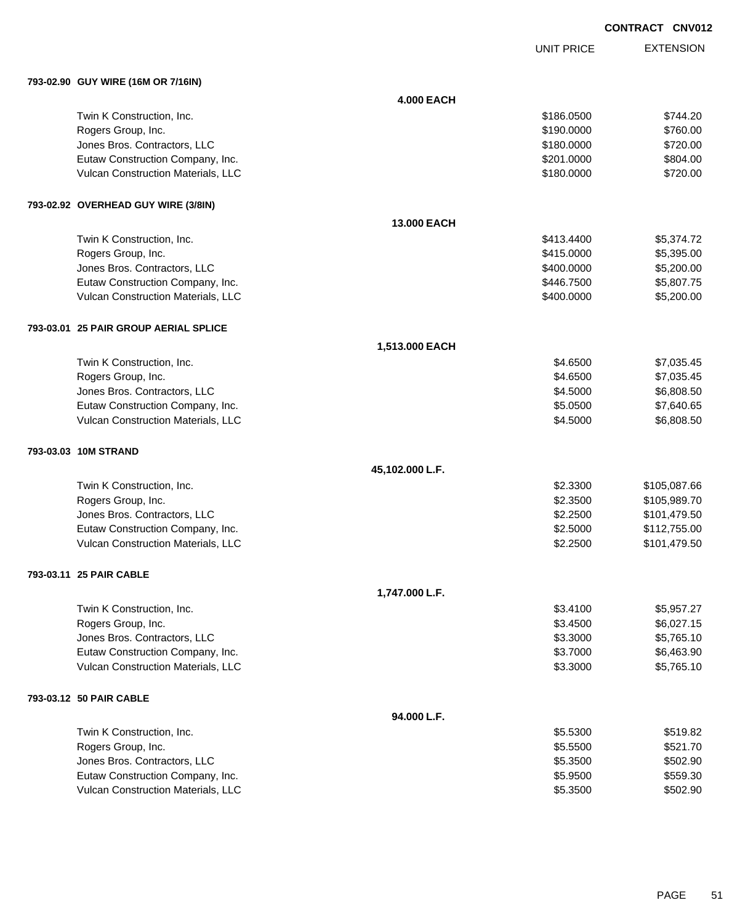UNIT PRICE

| 793-02.90 GUY WIRE (16M OR 7/16IN)    |                   |            |              |
|---------------------------------------|-------------------|------------|--------------|
|                                       | <b>4.000 EACH</b> |            |              |
| Twin K Construction, Inc.             |                   | \$186.0500 | \$744.20     |
| Rogers Group, Inc.                    |                   | \$190.0000 | \$760.00     |
| Jones Bros. Contractors, LLC          |                   | \$180.0000 | \$720.00     |
| Eutaw Construction Company, Inc.      |                   | \$201.0000 | \$804.00     |
| Vulcan Construction Materials, LLC    |                   | \$180.0000 | \$720.00     |
| 793-02.92 OVERHEAD GUY WIRE (3/8IN)   |                   |            |              |
|                                       | 13.000 EACH       |            |              |
| Twin K Construction, Inc.             |                   | \$413.4400 | \$5,374.72   |
| Rogers Group, Inc.                    |                   | \$415.0000 | \$5,395.00   |
| Jones Bros. Contractors, LLC          |                   | \$400.0000 | \$5,200.00   |
| Eutaw Construction Company, Inc.      |                   | \$446.7500 | \$5,807.75   |
| Vulcan Construction Materials, LLC    |                   | \$400.0000 | \$5,200.00   |
| 793-03.01 25 PAIR GROUP AERIAL SPLICE |                   |            |              |
|                                       | 1,513.000 EACH    |            |              |
| Twin K Construction, Inc.             |                   | \$4.6500   | \$7,035.45   |
| Rogers Group, Inc.                    |                   | \$4.6500   | \$7,035.45   |
| Jones Bros. Contractors, LLC          |                   | \$4.5000   | \$6,808.50   |
| Eutaw Construction Company, Inc.      |                   | \$5.0500   | \$7,640.65   |
| Vulcan Construction Materials, LLC    |                   | \$4.5000   | \$6,808.50   |
| 793-03.03 10M STRAND                  |                   |            |              |
|                                       | 45,102.000 L.F.   |            |              |
| Twin K Construction, Inc.             |                   | \$2.3300   | \$105,087.66 |
| Rogers Group, Inc.                    |                   | \$2.3500   | \$105,989.70 |
| Jones Bros. Contractors, LLC          |                   | \$2.2500   | \$101,479.50 |
| Eutaw Construction Company, Inc.      |                   | \$2.5000   | \$112,755.00 |
| Vulcan Construction Materials, LLC    |                   | \$2.2500   | \$101,479.50 |
| 793-03.11 25 PAIR CABLE               |                   |            |              |
|                                       | 1,747.000 L.F.    |            |              |
| Twin K Construction, Inc.             |                   | \$3.4100   | \$5,957.27   |
| Rogers Group, Inc.                    |                   | \$3.4500   | \$6,027.15   |
| Jones Bros. Contractors, LLC          |                   | \$3.3000   | \$5,765.10   |
| Eutaw Construction Company, Inc.      |                   | \$3.7000   | \$6,463.90   |
| Vulcan Construction Materials, LLC    |                   | \$3.3000   | \$5,765.10   |
| 793-03.12 50 PAIR CABLE               |                   |            |              |
|                                       | 94.000 L.F.       |            |              |
| Twin K Construction, Inc.             |                   | \$5.5300   | \$519.82     |
| Rogers Group, Inc.                    |                   | \$5.5500   | \$521.70     |
| Jones Bros. Contractors, LLC          |                   | \$5.3500   | \$502.90     |
| Eutaw Construction Company, Inc.      |                   | \$5.9500   | \$559.30     |
| Vulcan Construction Materials, LLC    |                   | \$5.3500   | \$502.90     |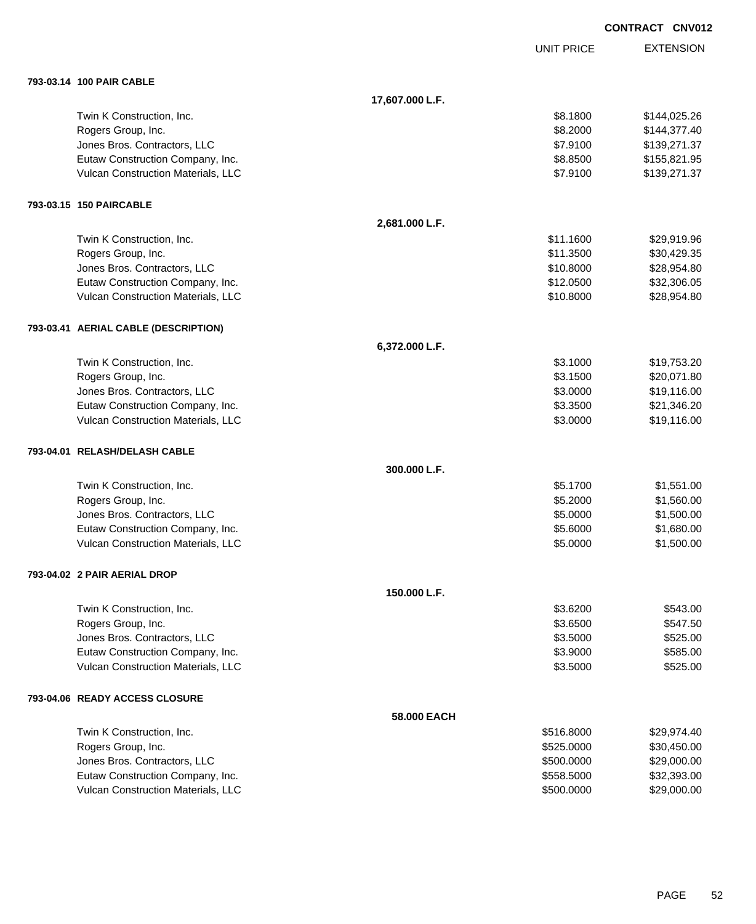|                                      |                 |                   | <b>CONTRACT CNV012</b> |                  |
|--------------------------------------|-----------------|-------------------|------------------------|------------------|
|                                      |                 | <b>UNIT PRICE</b> |                        | <b>EXTENSION</b> |
| 793-03.14 100 PAIR CABLE             |                 |                   |                        |                  |
|                                      | 17,607.000 L.F. |                   |                        |                  |
| Twin K Construction, Inc.            |                 | \$8.1800          |                        | \$144,025.26     |
| Rogers Group, Inc.                   |                 | \$8.2000          |                        | \$144,377.40     |
| Jones Bros. Contractors, LLC         |                 | \$7.9100          |                        | \$139,271.37     |
| Eutaw Construction Company, Inc.     |                 | \$8.8500          |                        | \$155,821.95     |
| Vulcan Construction Materials, LLC   |                 | \$7.9100          |                        | \$139,271.37     |
| 793-03.15 150 PAIRCABLE              |                 |                   |                        |                  |
|                                      | 2,681.000 L.F.  |                   |                        |                  |
| Twin K Construction, Inc.            |                 | \$11.1600         |                        | \$29,919.96      |
| Rogers Group, Inc.                   |                 | \$11.3500         |                        | \$30,429.35      |
| Jones Bros. Contractors, LLC         |                 | \$10.8000         |                        | \$28,954.80      |
| Eutaw Construction Company, Inc.     |                 | \$12.0500         |                        | \$32,306.05      |
| Vulcan Construction Materials, LLC   |                 | \$10.8000         |                        | \$28,954.80      |
| 793-03.41 AERIAL CABLE (DESCRIPTION) |                 |                   |                        |                  |
|                                      | 6,372.000 L.F.  |                   |                        |                  |
| Twin K Construction, Inc.            |                 | \$3.1000          |                        | \$19,753.20      |
| Rogers Group, Inc.                   |                 | \$3.1500          |                        | \$20,071.80      |
| Jones Bros. Contractors, LLC         |                 | \$3.0000          |                        | \$19,116.00      |
| Eutaw Construction Company, Inc.     |                 | \$3.3500          |                        | \$21,346.20      |
| Vulcan Construction Materials, LLC   |                 | \$3.0000          |                        | \$19,116.00      |
| 793-04.01 RELASH/DELASH CABLE        |                 |                   |                        |                  |
|                                      | 300.000 L.F.    |                   |                        |                  |
| Twin K Construction, Inc.            |                 | \$5.1700          |                        | \$1,551.00       |
| Rogers Group, Inc.                   |                 | \$5.2000          |                        | \$1,560.00       |
| Jones Bros. Contractors, LLC         |                 | \$5.0000          |                        | \$1,500.00       |
| Eutaw Construction Company, Inc.     |                 | \$5.6000          |                        | \$1,680.00       |
| Vulcan Construction Materials, LLC   |                 | \$5.0000          |                        | \$1,500.00       |
| 793-04.02 2 PAIR AERIAL DROP         |                 |                   |                        |                  |
|                                      | 150.000 L.F.    |                   |                        |                  |
| Twin K Construction, Inc.            |                 | \$3.6200          |                        | \$543.00         |
| Rogers Group, Inc.                   |                 | \$3.6500          |                        | \$547.50         |
| Jones Bros. Contractors, LLC         |                 | \$3.5000          |                        | \$525.00         |
| Eutaw Construction Company, Inc.     |                 | \$3.9000          |                        | \$585.00         |
| Vulcan Construction Materials, LLC   |                 | \$3.5000          |                        | \$525.00         |
| 793-04.06 READY ACCESS CLOSURE       |                 |                   |                        |                  |
|                                      | 58.000 EACH     |                   |                        |                  |
| Twin K Construction, Inc.            |                 | \$516.8000        |                        | \$29,974.40      |
| Rogers Group, Inc.                   |                 | \$525.0000        |                        | \$30,450.00      |
| Jones Bros. Contractors, LLC         |                 | \$500.0000        |                        | \$29,000.00      |
| Eutaw Construction Company, Inc.     |                 | \$558.5000        |                        | \$32,393.00      |

Vulcan Construction Materials, LLC 600000 \$29,000.000 \$29,000.00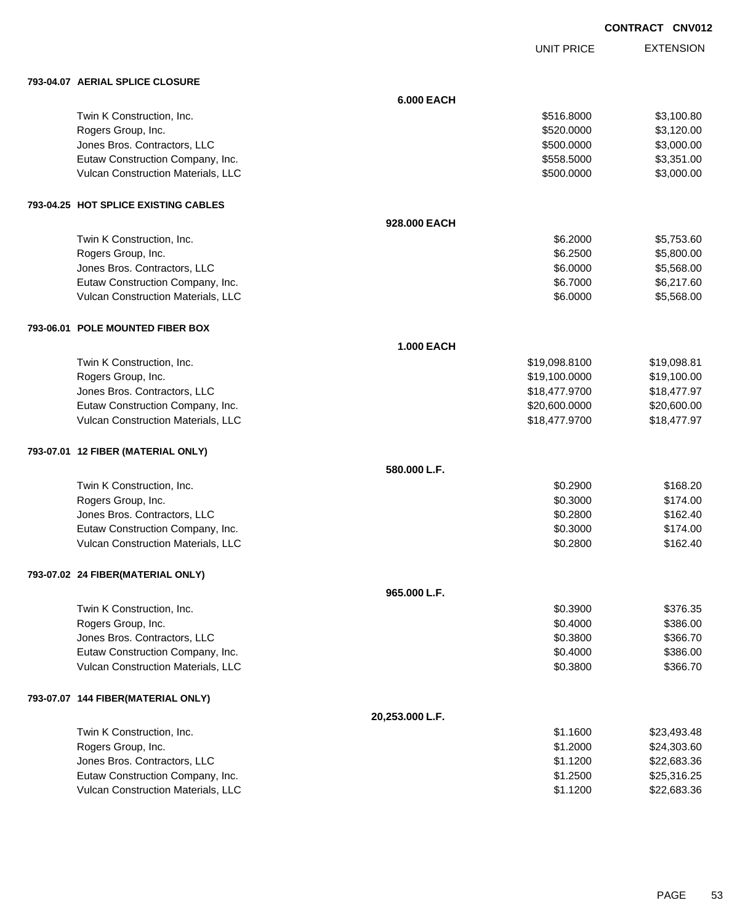UNIT PRICE

| 793-04.07 AERIAL SPLICE CLOSURE      |                   |               |             |
|--------------------------------------|-------------------|---------------|-------------|
|                                      | <b>6.000 EACH</b> |               |             |
| Twin K Construction, Inc.            |                   | \$516.8000    | \$3,100.80  |
| Rogers Group, Inc.                   |                   | \$520.0000    | \$3,120.00  |
| Jones Bros. Contractors, LLC         |                   | \$500.0000    | \$3,000.00  |
| Eutaw Construction Company, Inc.     |                   | \$558.5000    | \$3,351.00  |
| Vulcan Construction Materials, LLC   |                   | \$500.0000    | \$3,000.00  |
| 793-04.25 HOT SPLICE EXISTING CABLES |                   |               |             |
|                                      | 928.000 EACH      |               |             |
| Twin K Construction, Inc.            |                   | \$6.2000      | \$5,753.60  |
| Rogers Group, Inc.                   |                   | \$6.2500      | \$5,800.00  |
| Jones Bros. Contractors, LLC         |                   | \$6.0000      | \$5,568.00  |
| Eutaw Construction Company, Inc.     |                   | \$6.7000      | \$6,217.60  |
| Vulcan Construction Materials, LLC   |                   | \$6.0000      | \$5,568.00  |
| 793-06.01 POLE MOUNTED FIBER BOX     |                   |               |             |
|                                      | <b>1.000 EACH</b> |               |             |
| Twin K Construction, Inc.            |                   | \$19,098.8100 | \$19,098.81 |
| Rogers Group, Inc.                   |                   | \$19,100.0000 | \$19,100.00 |
| Jones Bros. Contractors, LLC         |                   | \$18,477.9700 | \$18,477.97 |
| Eutaw Construction Company, Inc.     |                   | \$20,600.0000 | \$20,600.00 |
| Vulcan Construction Materials, LLC   |                   | \$18,477.9700 | \$18,477.97 |
| 793-07.01 12 FIBER (MATERIAL ONLY)   |                   |               |             |
|                                      | 580.000 L.F.      |               |             |
| Twin K Construction, Inc.            |                   | \$0.2900      | \$168.20    |
| Rogers Group, Inc.                   |                   | \$0.3000      | \$174.00    |
| Jones Bros. Contractors, LLC         |                   | \$0.2800      | \$162.40    |
| Eutaw Construction Company, Inc.     |                   | \$0.3000      | \$174.00    |
| Vulcan Construction Materials, LLC   |                   | \$0.2800      | \$162.40    |
| 793-07.02 24 FIBER(MATERIAL ONLY)    |                   |               |             |
|                                      | 965,000 L.F.      |               |             |
| Twin K Construction, Inc.            |                   | \$0.3900      | \$376.35    |
| Rogers Group, Inc.                   |                   | \$0.4000      | \$386.00    |
| Jones Bros. Contractors, LLC         |                   | \$0.3800      | \$366.70    |
| Eutaw Construction Company, Inc.     |                   | \$0.4000      | \$386.00    |
| Vulcan Construction Materials, LLC   |                   | \$0.3800      | \$366.70    |
| 793-07.07 144 FIBER(MATERIAL ONLY)   |                   |               |             |
|                                      | 20,253.000 L.F.   |               |             |
| Twin K Construction, Inc.            |                   | \$1.1600      | \$23,493.48 |
| Rogers Group, Inc.                   |                   | \$1.2000      | \$24,303.60 |
| Jones Bros. Contractors, LLC         |                   | \$1.1200      | \$22,683.36 |
| Eutaw Construction Company, Inc.     |                   | \$1.2500      | \$25,316.25 |
| Vulcan Construction Materials, LLC   |                   | \$1.1200      | \$22,683.36 |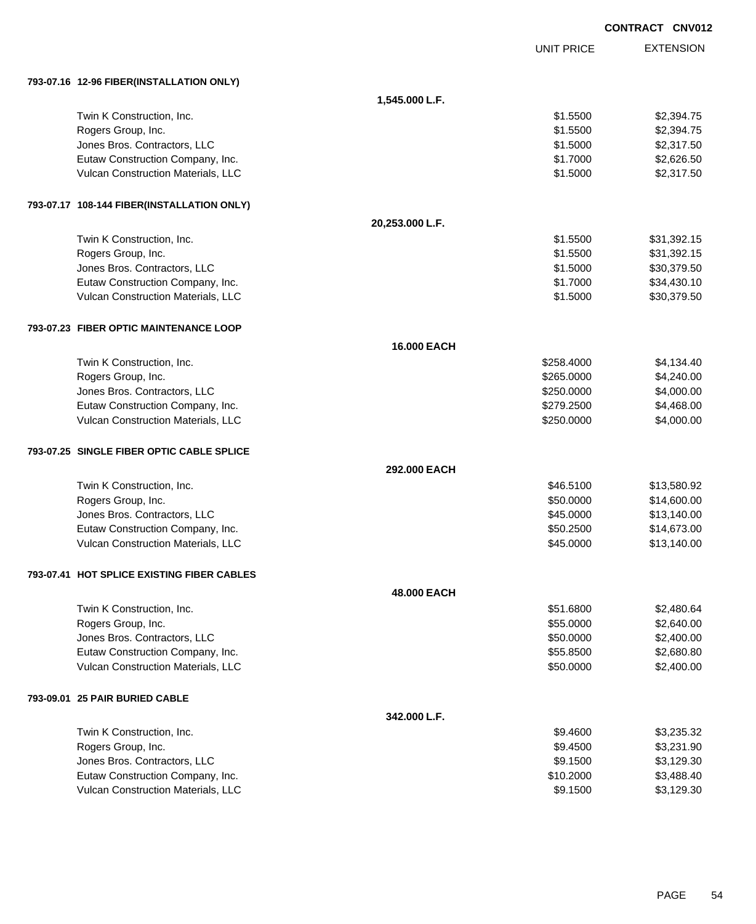|                                            |                 |                   | <b>CONTRACT CNV012</b> |
|--------------------------------------------|-----------------|-------------------|------------------------|
|                                            |                 | <b>UNIT PRICE</b> | <b>EXTENSION</b>       |
| 793-07.16 12-96 FIBER(INSTALLATION ONLY)   |                 |                   |                        |
|                                            | 1,545.000 L.F.  |                   |                        |
| Twin K Construction, Inc.                  |                 | \$1.5500          | \$2,394.75             |
| Rogers Group, Inc.                         |                 | \$1.5500          | \$2,394.75             |
| Jones Bros. Contractors, LLC               |                 | \$1.5000          | \$2,317.50             |
| Eutaw Construction Company, Inc.           |                 | \$1.7000          | \$2,626.50             |
| Vulcan Construction Materials, LLC         |                 | \$1.5000          | \$2,317.50             |
| 793-07.17 108-144 FIBER(INSTALLATION ONLY) |                 |                   |                        |
|                                            | 20,253.000 L.F. |                   |                        |
| Twin K Construction, Inc.                  |                 | \$1.5500          | \$31,392.15            |
| Rogers Group, Inc.                         |                 | \$1.5500          | \$31,392.15            |
| Jones Bros. Contractors, LLC               |                 | \$1.5000          | \$30,379.50            |
| Eutaw Construction Company, Inc.           |                 | \$1.7000          | \$34,430.10            |
| Vulcan Construction Materials, LLC         |                 | \$1.5000          | \$30,379.50            |
| 793-07.23 FIBER OPTIC MAINTENANCE LOOP     |                 |                   |                        |
|                                            | 16.000 EACH     |                   |                        |
| Twin K Construction, Inc.                  |                 | \$258.4000        | \$4,134.40             |
| Rogers Group, Inc.                         |                 | \$265.0000        | \$4,240.00             |
| Jones Bros. Contractors, LLC               |                 | \$250.0000        | \$4,000.00             |
| Eutaw Construction Company, Inc.           |                 | \$279.2500        | \$4,468.00             |
| Vulcan Construction Materials, LLC         |                 | \$250.0000        | \$4,000.00             |
| 793-07.25 SINGLE FIBER OPTIC CABLE SPLICE  |                 |                   |                        |
|                                            | 292.000 EACH    |                   |                        |
| Twin K Construction, Inc.                  |                 | \$46.5100         | \$13,580.92            |
| Rogers Group, Inc.                         |                 | \$50.0000         | \$14,600.00            |
| Jones Bros. Contractors, LLC               |                 | \$45.0000         | \$13,140.00            |
| Eutaw Construction Company, Inc.           |                 | \$50.2500         | \$14,673.00            |
| Vulcan Construction Materials, LLC         |                 | \$45.0000         | \$13,140.00            |
| 793-07.41 HOT SPLICE EXISTING FIBER CABLES |                 |                   |                        |
|                                            | 48.000 EACH     |                   |                        |
| Twin K Construction, Inc.                  |                 | \$51.6800         | \$2,480.64             |
| Rogers Group, Inc.                         |                 | \$55.0000         | \$2,640.00             |
| Jones Bros. Contractors, LLC               |                 | \$50.0000         | \$2,400.00             |
| Eutaw Construction Company, Inc.           |                 | \$55.8500         | \$2,680.80             |
| Vulcan Construction Materials, LLC         |                 | \$50.0000         | \$2,400.00             |
| 793-09.01 25 PAIR BURIED CABLE             |                 |                   |                        |
|                                            | 342.000 L.F.    |                   |                        |
| Twin K Construction, Inc.                  |                 | \$9.4600          | \$3,235.32             |
| Rogers Group, Inc.                         |                 | \$9.4500          | \$3,231.90             |
| Jones Bros. Contractors, LLC               |                 | \$9.1500          | \$3,129.30             |
| Eutaw Construction Company, Inc.           |                 | \$10.2000         | \$3,488.40             |
| Vulcan Construction Materials, LLC         |                 | \$9.1500          | \$3,129.30             |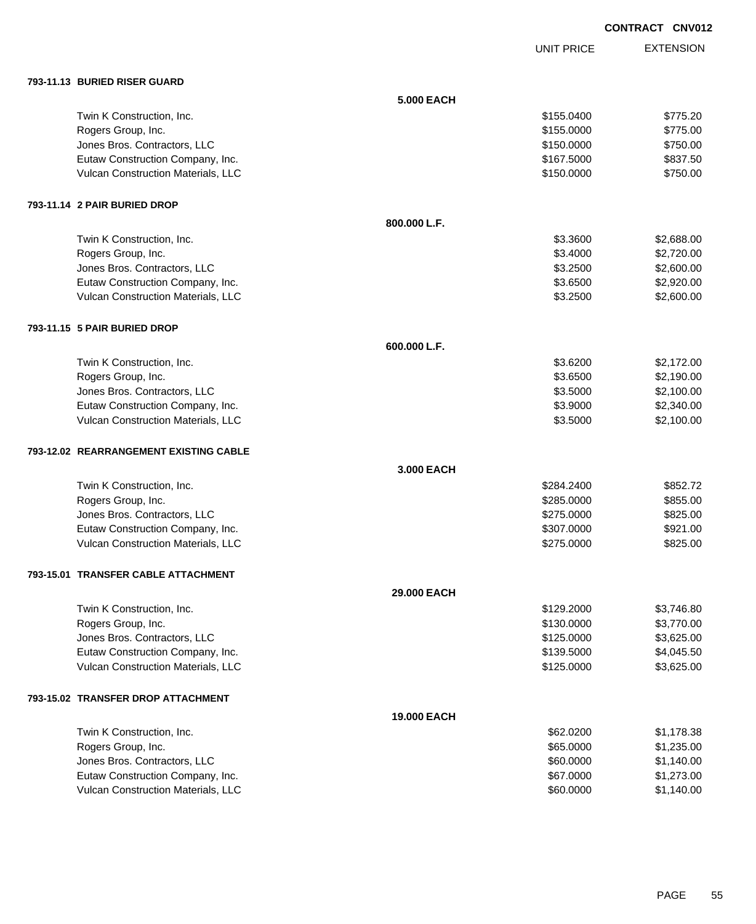UNIT PRICE

| 793-11.13 BURIED RISER GUARD |  |
|------------------------------|--|

| 793-11.13 BURIED RISER GUARD           |              |            |            |
|----------------------------------------|--------------|------------|------------|
|                                        | 5.000 EACH   |            |            |
| Twin K Construction, Inc.              |              | \$155.0400 | \$775.20   |
| Rogers Group, Inc.                     |              | \$155.0000 | \$775.00   |
| Jones Bros. Contractors, LLC           |              | \$150.0000 | \$750.00   |
| Eutaw Construction Company, Inc.       |              | \$167.5000 | \$837.50   |
| Vulcan Construction Materials, LLC     |              | \$150.0000 | \$750.00   |
| 793-11.14 2 PAIR BURIED DROP           |              |            |            |
|                                        | 800.000 L.F. |            |            |
| Twin K Construction, Inc.              |              | \$3.3600   | \$2,688.00 |
| Rogers Group, Inc.                     |              | \$3.4000   | \$2,720.00 |
| Jones Bros. Contractors, LLC           |              | \$3.2500   | \$2,600.00 |
| Eutaw Construction Company, Inc.       |              | \$3.6500   | \$2,920.00 |
| Vulcan Construction Materials, LLC     |              | \$3.2500   | \$2,600.00 |
| 793-11.15 5 PAIR BURIED DROP           |              |            |            |
|                                        | 600.000 L.F. |            |            |
| Twin K Construction, Inc.              |              | \$3.6200   | \$2,172.00 |
| Rogers Group, Inc.                     |              | \$3.6500   | \$2,190.00 |
| Jones Bros. Contractors, LLC           |              | \$3.5000   | \$2,100.00 |
| Eutaw Construction Company, Inc.       |              | \$3.9000   | \$2,340.00 |
| Vulcan Construction Materials, LLC     |              | \$3.5000   | \$2,100.00 |
| 793-12.02 REARRANGEMENT EXISTING CABLE |              |            |            |
|                                        | 3.000 EACH   |            |            |
| Twin K Construction, Inc.              |              | \$284.2400 | \$852.72   |
| Rogers Group, Inc.                     |              | \$285.0000 | \$855.00   |
| Jones Bros. Contractors, LLC           |              | \$275.0000 | \$825.00   |
| Eutaw Construction Company, Inc.       |              | \$307.0000 | \$921.00   |
| Vulcan Construction Materials, LLC     |              | \$275.0000 | \$825.00   |
| 793-15.01 TRANSFER CABLE ATTACHMENT    |              |            |            |
|                                        | 29,000 EACH  |            |            |
| Twin K Construction, Inc.              |              | \$129.2000 | \$3,746.80 |
| Rogers Group, Inc.                     |              | \$130.0000 | \$3,770.00 |
| Jones Bros. Contractors, LLC           |              | \$125.0000 | \$3,625.00 |
| Eutaw Construction Company, Inc.       |              | \$139.5000 | \$4,045.50 |
| Vulcan Construction Materials, LLC     |              | \$125.0000 | \$3,625.00 |
| 793-15.02 TRANSFER DROP ATTACHMENT     |              |            |            |
|                                        | 19.000 EACH  |            |            |
| Twin K Construction, Inc.              |              | \$62.0200  | \$1,178.38 |
| Rogers Group, Inc.                     |              | \$65.0000  | \$1,235.00 |
| Jones Bros. Contractors, LLC           |              | \$60.0000  | \$1,140.00 |
| Eutaw Construction Company, Inc.       |              | \$67.0000  | \$1,273.00 |
| Vulcan Construction Materials, LLC     |              | \$60.0000  | \$1,140.00 |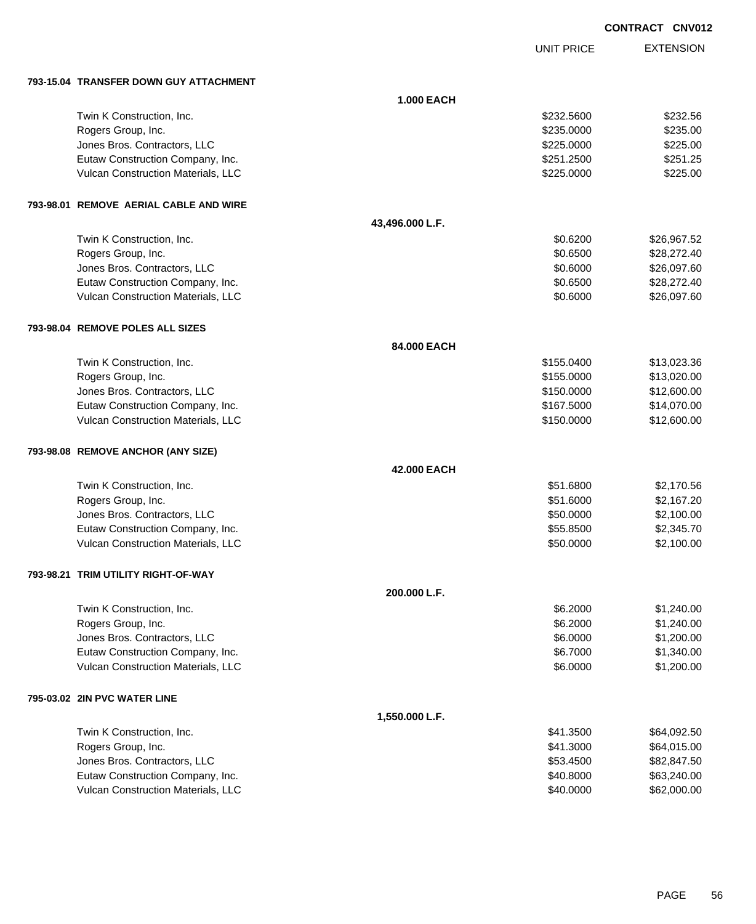UNIT PRICE

EXTENSION

**793-15.04 TRANSFER DOWN GUY ATTACHMENT**

| 793-15.04   TRANSFER DOWN GUY ATTACHMENT  |                 |            |             |
|-------------------------------------------|-----------------|------------|-------------|
|                                           | 1.000 EACH      |            |             |
| Twin K Construction, Inc.                 |                 | \$232.5600 | \$232.56    |
| Rogers Group, Inc.                        |                 | \$235.0000 | \$235.00    |
| Jones Bros. Contractors, LLC              |                 | \$225.0000 | \$225.00    |
| Eutaw Construction Company, Inc.          |                 | \$251.2500 | \$251.25    |
| Vulcan Construction Materials, LLC        |                 | \$225.0000 | \$225.00    |
| 793-98.01   REMOVE  AERIAL CABLE AND WIRE |                 |            |             |
|                                           | 43,496.000 L.F. |            |             |
| Twin K Construction, Inc.                 |                 | \$0.6200   | \$26,967.52 |
| Rogers Group, Inc.                        |                 | \$0.6500   | \$28,272.40 |
| Jones Bros. Contractors, LLC              |                 | \$0.6000   | \$26,097.60 |
| Eutaw Construction Company, Inc.          |                 | \$0.6500   | \$28,272.40 |
| Vulcan Construction Materials, LLC        |                 | \$0.6000   | \$26,097.60 |
| 793-98.04 REMOVE POLES ALL SIZES          |                 |            |             |
|                                           | 84.000 EACH     |            |             |
| Twin K Construction, Inc.                 |                 | \$155.0400 | \$13,023.36 |
| Rogers Group, Inc.                        |                 | \$155.0000 | \$13,020.00 |
| Jones Bros. Contractors, LLC              |                 | \$150.0000 | \$12,600.00 |
| Eutaw Construction Company, Inc.          |                 | \$167.5000 | \$14,070.00 |
| Vulcan Construction Materials, LLC        |                 | \$150.0000 | \$12,600.00 |
| 793-98.08 REMOVE ANCHOR (ANY SIZE)        |                 |            |             |
|                                           | 42.000 EACH     |            |             |
| Twin K Construction, Inc.                 |                 | \$51.6800  | \$2,170.56  |
| Rogers Group, Inc.                        |                 | \$51.6000  | \$2,167.20  |
| Jones Bros. Contractors, LLC              |                 | \$50.0000  | \$2,100.00  |
| Eutaw Construction Company, Inc.          |                 | \$55.8500  | \$2,345.70  |
| Vulcan Construction Materials, LLC        |                 | \$50.0000  | \$2,100.00  |
| 793-98.21   TRIM UTILITY RIGHT-OF-WAY     |                 |            |             |
|                                           | 200.000 L.F.    |            |             |
| Twin K Construction, Inc.                 |                 | \$6.2000   | \$1,240.00  |
| Rogers Group, Inc.                        |                 | \$6.2000   | \$1,240.00  |
| Jones Bros. Contractors, LLC              |                 | \$6.0000   | \$1,200.00  |
| Eutaw Construction Company, Inc.          |                 | \$6.7000   | \$1,340.00  |
| Vulcan Construction Materials, LLC        |                 | \$6.0000   | \$1,200.00  |
| 795-03.02 2IN PVC WATER LINE              |                 |            |             |
|                                           | 1,550.000 L.F.  |            |             |
| Twin K Construction, Inc.                 |                 | \$41.3500  | \$64,092.50 |
| Rogers Group, Inc.                        |                 | \$41.3000  | \$64,015.00 |
| Jones Bros. Contractors, LLC              |                 | \$53.4500  | \$82,847.50 |
| Eutaw Construction Company, Inc.          |                 | \$40.8000  | \$63,240.00 |
| Vulcan Construction Materials, LLC        |                 | \$40.0000  | \$62,000.00 |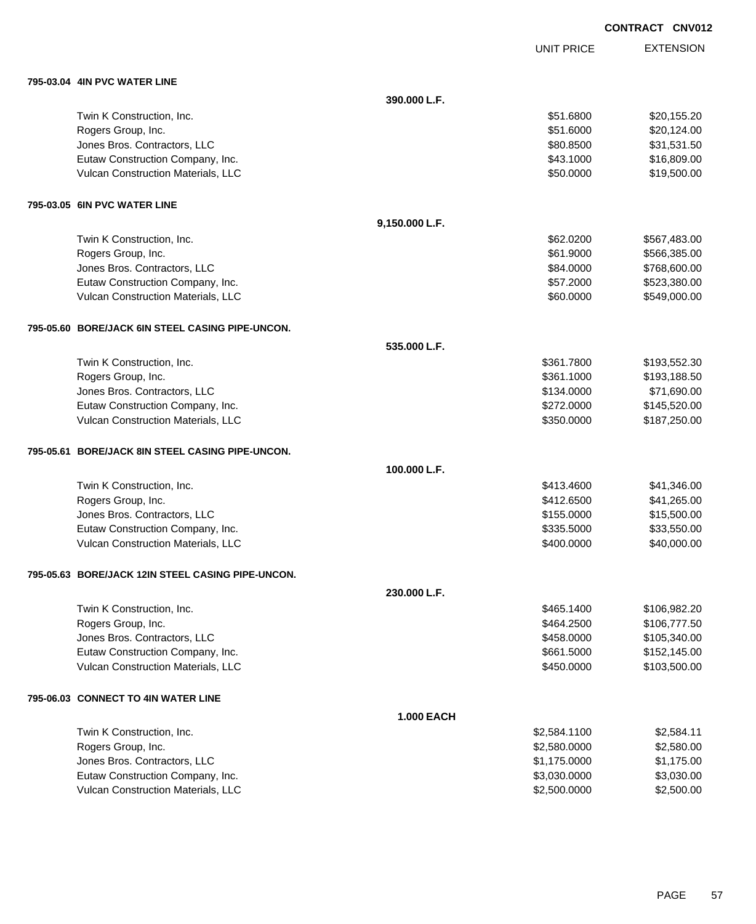UNIT PRICE

| 795-03.04   4IN PVC WATER LINE                    |                   |              |              |
|---------------------------------------------------|-------------------|--------------|--------------|
|                                                   | 390.000 L.F.      |              |              |
| Twin K Construction, Inc.                         |                   | \$51.6800    | \$20,155.20  |
| Rogers Group, Inc.                                |                   | \$51.6000    | \$20,124.00  |
| Jones Bros. Contractors, LLC                      |                   | \$80.8500    | \$31,531.50  |
| Eutaw Construction Company, Inc.                  |                   | \$43.1000    | \$16,809.00  |
| Vulcan Construction Materials, LLC                |                   | \$50.0000    | \$19,500.00  |
| 795-03.05 6IN PVC WATER LINE                      |                   |              |              |
|                                                   | 9,150.000 L.F.    |              |              |
| Twin K Construction, Inc.                         |                   | \$62.0200    | \$567,483.00 |
| Rogers Group, Inc.                                |                   | \$61.9000    | \$566,385.00 |
| Jones Bros. Contractors, LLC                      |                   | \$84.0000    | \$768,600.00 |
| Eutaw Construction Company, Inc.                  |                   | \$57.2000    | \$523,380.00 |
| Vulcan Construction Materials, LLC                |                   | \$60.0000    | \$549,000.00 |
| 795-05.60 BORE/JACK 6IN STEEL CASING PIPE-UNCON.  |                   |              |              |
|                                                   | 535.000 L.F.      |              |              |
| Twin K Construction, Inc.                         |                   | \$361.7800   | \$193,552.30 |
| Rogers Group, Inc.                                |                   | \$361.1000   | \$193,188.50 |
| Jones Bros. Contractors, LLC                      |                   | \$134.0000   | \$71,690.00  |
| Eutaw Construction Company, Inc.                  |                   | \$272.0000   | \$145,520.00 |
| Vulcan Construction Materials, LLC                |                   | \$350.0000   | \$187,250.00 |
| 795-05.61 BORE/JACK 8IN STEEL CASING PIPE-UNCON.  |                   |              |              |
|                                                   | 100.000 L.F.      |              |              |
| Twin K Construction, Inc.                         |                   | \$413.4600   | \$41,346.00  |
| Rogers Group, Inc.                                |                   | \$412.6500   | \$41,265.00  |
| Jones Bros. Contractors, LLC                      |                   | \$155.0000   | \$15,500.00  |
| Eutaw Construction Company, Inc.                  |                   | \$335.5000   | \$33,550.00  |
| Vulcan Construction Materials, LLC                |                   | \$400.0000   | \$40,000.00  |
| 795-05.63 BORE/JACK 12IN STEEL CASING PIPE-UNCON. |                   |              |              |
|                                                   | 230.000 L.F.      |              |              |
| Twin K Construction, Inc.                         |                   | \$465.1400   | \$106,982.20 |
| Rogers Group, Inc.                                |                   | \$464.2500   | \$106,777.50 |
| Jones Bros. Contractors, LLC                      |                   | \$458.0000   | \$105,340.00 |
| Eutaw Construction Company, Inc.                  |                   | \$661.5000   | \$152,145.00 |
| Vulcan Construction Materials, LLC                |                   | \$450.0000   | \$103,500.00 |
| 795-06.03 CONNECT TO 4IN WATER LINE               |                   |              |              |
|                                                   | <b>1.000 EACH</b> |              |              |
| Twin K Construction, Inc.                         |                   | \$2,584.1100 | \$2,584.11   |
| Rogers Group, Inc.                                |                   | \$2,580.0000 | \$2,580.00   |
| Jones Bros. Contractors, LLC                      |                   | \$1,175.0000 | \$1,175.00   |
| Eutaw Construction Company, Inc.                  |                   | \$3,030.0000 | \$3,030.00   |
| Vulcan Construction Materials, LLC                |                   | \$2,500.0000 | \$2,500.00   |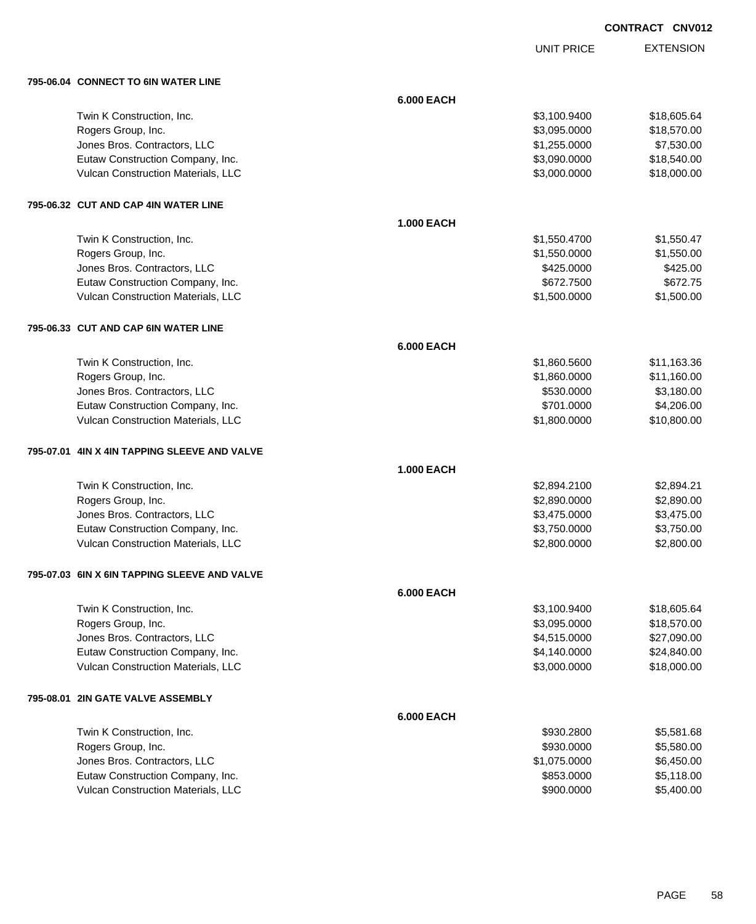UNIT PRICE

| 795-06.04 CONNECT TO 6IN WATER LINE          |                   |              |             |
|----------------------------------------------|-------------------|--------------|-------------|
|                                              | <b>6.000 EACH</b> |              |             |
| Twin K Construction, Inc.                    |                   | \$3,100.9400 | \$18,605.64 |
| Rogers Group, Inc.                           |                   | \$3,095.0000 | \$18,570.00 |
| Jones Bros. Contractors, LLC                 |                   | \$1,255.0000 | \$7,530.00  |
| Eutaw Construction Company, Inc.             |                   | \$3,090.0000 | \$18,540.00 |
| Vulcan Construction Materials, LLC           |                   | \$3,000.0000 | \$18,000.00 |
| 795-06.32 CUT AND CAP 4IN WATER LINE         |                   |              |             |
|                                              | <b>1.000 EACH</b> |              |             |
| Twin K Construction, Inc.                    |                   | \$1,550.4700 | \$1,550.47  |
| Rogers Group, Inc.                           |                   | \$1,550.0000 | \$1,550.00  |
| Jones Bros. Contractors, LLC                 |                   | \$425.0000   | \$425.00    |
| Eutaw Construction Company, Inc.             |                   | \$672.7500   | \$672.75    |
| Vulcan Construction Materials, LLC           |                   | \$1,500.0000 | \$1,500.00  |
| 795-06.33 CUT AND CAP 6IN WATER LINE         |                   |              |             |
|                                              | <b>6.000 EACH</b> |              |             |
| Twin K Construction, Inc.                    |                   | \$1,860.5600 | \$11,163.36 |
| Rogers Group, Inc.                           |                   | \$1,860.0000 | \$11,160.00 |
| Jones Bros. Contractors, LLC                 |                   | \$530.0000   | \$3,180.00  |
| Eutaw Construction Company, Inc.             |                   | \$701.0000   | \$4,206.00  |
| Vulcan Construction Materials, LLC           |                   | \$1,800.0000 | \$10,800.00 |
| 795-07.01 4IN X 4IN TAPPING SLEEVE AND VALVE |                   |              |             |
|                                              | <b>1.000 EACH</b> |              |             |
| Twin K Construction, Inc.                    |                   | \$2,894.2100 | \$2,894.21  |
| Rogers Group, Inc.                           |                   | \$2,890.0000 | \$2,890.00  |
| Jones Bros. Contractors, LLC                 |                   | \$3,475.0000 | \$3,475.00  |
| Eutaw Construction Company, Inc.             |                   | \$3,750.0000 | \$3,750.00  |
| Vulcan Construction Materials, LLC           |                   | \$2,800.0000 | \$2,800.00  |
| 795-07.03 6IN X 6IN TAPPING SLEEVE AND VALVE |                   |              |             |
|                                              | <b>6.000 EACH</b> |              |             |
| Twin K Construction, Inc.                    |                   | \$3,100.9400 | \$18,605.64 |
| Rogers Group, Inc.                           |                   | \$3,095.0000 | \$18,570.00 |
| Jones Bros. Contractors, LLC                 |                   | \$4,515.0000 | \$27,090.00 |
| Eutaw Construction Company, Inc.             |                   | \$4,140.0000 | \$24,840.00 |
| Vulcan Construction Materials, LLC           |                   | \$3,000.0000 | \$18,000.00 |
| 795-08.01 2IN GATE VALVE ASSEMBLY            |                   |              |             |
|                                              | <b>6.000 EACH</b> |              |             |
| Twin K Construction, Inc.                    |                   | \$930.2800   | \$5,581.68  |
| Rogers Group, Inc.                           |                   | \$930.0000   | \$5,580.00  |
| Jones Bros. Contractors, LLC                 |                   | \$1,075.0000 | \$6,450.00  |
| Eutaw Construction Company, Inc.             |                   | \$853.0000   | \$5,118.00  |
| Vulcan Construction Materials, LLC           |                   | \$900.0000   | \$5,400.00  |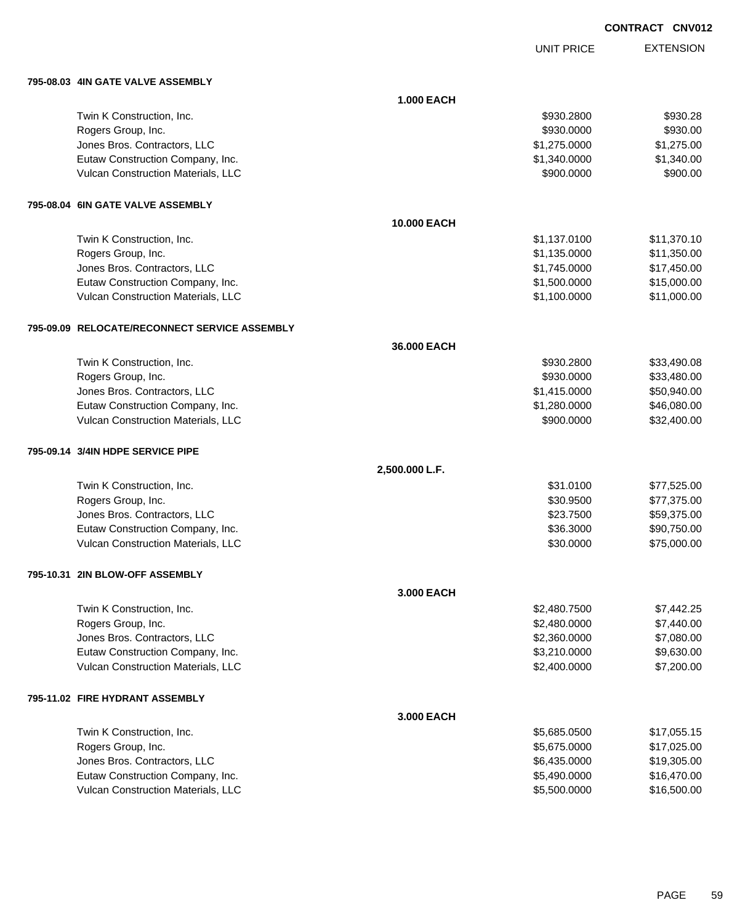UNIT PRICE

|  | 795-08.03 4IN GATE VALVE ASSEMBLY             |                   |              |             |
|--|-----------------------------------------------|-------------------|--------------|-------------|
|  |                                               | <b>1.000 EACH</b> |              |             |
|  | Twin K Construction, Inc.                     |                   | \$930.2800   | \$930.28    |
|  | Rogers Group, Inc.                            |                   | \$930.0000   | \$930.00    |
|  | Jones Bros. Contractors, LLC                  |                   | \$1,275.0000 | \$1,275.00  |
|  | Eutaw Construction Company, Inc.              |                   | \$1,340.0000 | \$1,340.00  |
|  | Vulcan Construction Materials, LLC            |                   | \$900.0000   | \$900.00    |
|  | 795-08.04 6IN GATE VALVE ASSEMBLY             |                   |              |             |
|  |                                               | 10.000 EACH       |              |             |
|  | Twin K Construction, Inc.                     |                   | \$1,137.0100 | \$11,370.10 |
|  | Rogers Group, Inc.                            |                   | \$1,135.0000 | \$11,350.00 |
|  | Jones Bros. Contractors, LLC                  |                   | \$1,745.0000 | \$17,450.00 |
|  | Eutaw Construction Company, Inc.              |                   | \$1,500.0000 | \$15,000.00 |
|  | Vulcan Construction Materials, LLC            |                   | \$1,100.0000 | \$11,000.00 |
|  | 795-09.09 RELOCATE/RECONNECT SERVICE ASSEMBLY |                   |              |             |
|  |                                               | 36.000 EACH       |              |             |
|  | Twin K Construction, Inc.                     |                   | \$930.2800   | \$33,490.08 |
|  | Rogers Group, Inc.                            |                   | \$930.0000   | \$33,480.00 |
|  | Jones Bros. Contractors, LLC                  |                   | \$1,415.0000 | \$50,940.00 |
|  | Eutaw Construction Company, Inc.              |                   | \$1,280.0000 | \$46,080.00 |
|  | Vulcan Construction Materials, LLC            |                   | \$900.0000   | \$32,400.00 |
|  | 795-09.14 3/4IN HDPE SERVICE PIPE             |                   |              |             |
|  |                                               | 2,500.000 L.F.    |              |             |
|  | Twin K Construction, Inc.                     |                   | \$31.0100    | \$77,525.00 |
|  | Rogers Group, Inc.                            |                   | \$30.9500    | \$77,375.00 |
|  | Jones Bros. Contractors, LLC                  |                   | \$23.7500    | \$59,375.00 |
|  | Eutaw Construction Company, Inc.              |                   | \$36.3000    | \$90,750.00 |
|  | Vulcan Construction Materials, LLC            |                   | \$30.0000    | \$75,000.00 |
|  | 795-10.31 2IN BLOW-OFF ASSEMBLY               |                   |              |             |
|  |                                               | 3.000 EACH        |              |             |
|  | Twin K Construction, Inc.                     |                   | \$2,480.7500 | \$7,442.25  |
|  | Rogers Group, Inc.                            |                   | \$2,480.0000 | \$7,440.00  |
|  | Jones Bros. Contractors, LLC                  |                   | \$2,360.0000 | \$7,080.00  |
|  | Eutaw Construction Company, Inc.              |                   | \$3,210.0000 | \$9,630.00  |
|  | Vulcan Construction Materials, LLC            |                   | \$2,400.0000 | \$7,200.00  |
|  | 795-11.02 FIRE HYDRANT ASSEMBLY               |                   |              |             |
|  |                                               | 3.000 EACH        |              |             |
|  | Twin K Construction, Inc.                     |                   | \$5,685.0500 | \$17,055.15 |
|  | Rogers Group, Inc.                            |                   | \$5,675.0000 | \$17,025.00 |
|  | Jones Bros. Contractors, LLC                  |                   | \$6,435.0000 | \$19,305.00 |
|  | Eutaw Construction Company, Inc.              |                   | \$5,490.0000 | \$16,470.00 |
|  | Vulcan Construction Materials, LLC            |                   | \$5,500.0000 | \$16,500.00 |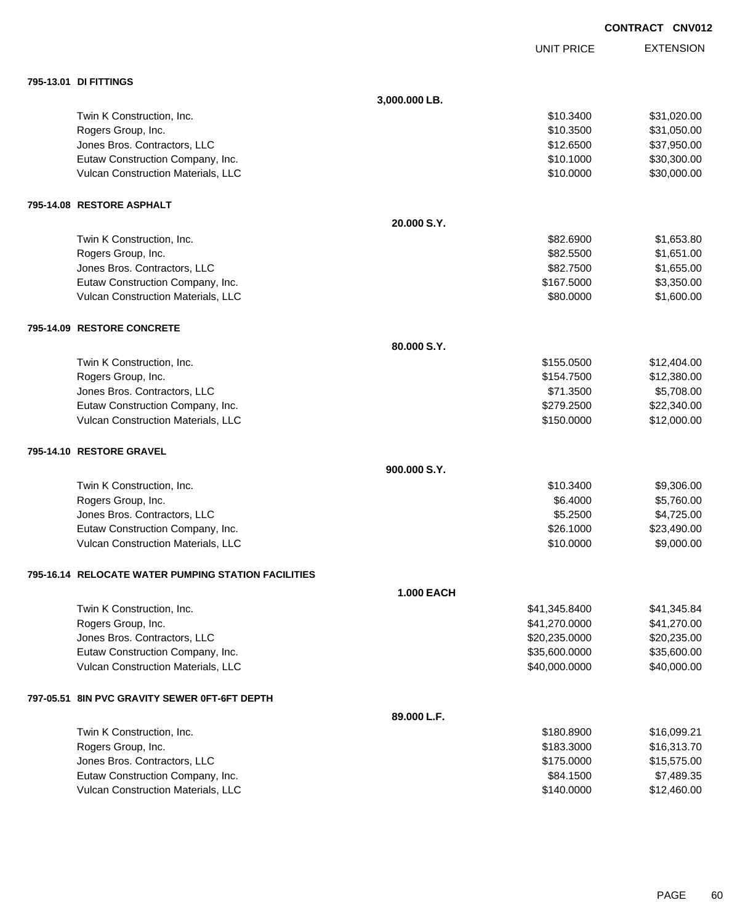UNIT PRICE

| 795-13.01 DI FITTINGS                               |                   |               |             |
|-----------------------------------------------------|-------------------|---------------|-------------|
|                                                     | 3,000.000 LB.     |               |             |
| Twin K Construction, Inc.                           |                   | \$10.3400     | \$31,020.00 |
| Rogers Group, Inc.                                  |                   | \$10.3500     | \$31,050.00 |
| Jones Bros. Contractors, LLC                        |                   | \$12.6500     | \$37,950.00 |
| Eutaw Construction Company, Inc.                    |                   | \$10.1000     | \$30,300.00 |
| Vulcan Construction Materials, LLC                  |                   | \$10.0000     | \$30,000.00 |
| 795-14.08 RESTORE ASPHALT                           |                   |               |             |
|                                                     | 20.000 S.Y.       |               |             |
| Twin K Construction, Inc.                           |                   | \$82.6900     | \$1,653.80  |
| Rogers Group, Inc.                                  |                   | \$82.5500     | \$1,651.00  |
| Jones Bros. Contractors, LLC                        |                   | \$82.7500     | \$1,655.00  |
| Eutaw Construction Company, Inc.                    |                   | \$167.5000    | \$3,350.00  |
| Vulcan Construction Materials, LLC                  |                   | \$80.0000     | \$1,600.00  |
| 795-14.09 RESTORE CONCRETE                          |                   |               |             |
|                                                     | 80,000 S.Y.       |               |             |
| Twin K Construction, Inc.                           |                   | \$155.0500    | \$12,404.00 |
| Rogers Group, Inc.                                  |                   | \$154.7500    | \$12,380.00 |
| Jones Bros. Contractors, LLC                        |                   | \$71.3500     | \$5,708.00  |
| Eutaw Construction Company, Inc.                    |                   | \$279.2500    | \$22,340.00 |
| Vulcan Construction Materials, LLC                  |                   | \$150.0000    | \$12,000.00 |
| 795-14.10 RESTORE GRAVEL                            |                   |               |             |
|                                                     | 900.000 S.Y.      |               |             |
| Twin K Construction, Inc.                           |                   | \$10.3400     | \$9,306.00  |
| Rogers Group, Inc.                                  |                   | \$6.4000      | \$5,760.00  |
| Jones Bros. Contractors, LLC                        |                   | \$5.2500      | \$4,725.00  |
| Eutaw Construction Company, Inc.                    |                   | \$26.1000     | \$23,490.00 |
| Vulcan Construction Materials, LLC                  |                   | \$10.0000     | \$9,000.00  |
| 795-16.14 RELOCATE WATER PUMPING STATION FACILITIES |                   |               |             |
|                                                     | <b>1.000 EACH</b> |               |             |
| Twin K Construction, Inc.                           |                   | \$41,345.8400 | \$41,345.84 |
| Rogers Group, Inc.                                  |                   | \$41,270.0000 | \$41,270.00 |
| Jones Bros. Contractors, LLC                        |                   | \$20,235.0000 | \$20,235.00 |
| Eutaw Construction Company, Inc.                    |                   | \$35,600.0000 | \$35,600.00 |
| Vulcan Construction Materials, LLC                  |                   | \$40,000.0000 | \$40,000.00 |
| 797-05.51 8IN PVC GRAVITY SEWER 0FT-6FT DEPTH       |                   |               |             |
|                                                     | 89.000 L.F.       |               |             |
| Twin K Construction, Inc.                           |                   | \$180.8900    | \$16,099.21 |
| Rogers Group, Inc.                                  |                   | \$183.3000    | \$16,313.70 |
| Jones Bros. Contractors, LLC                        |                   | \$175.0000    | \$15,575.00 |
| Eutaw Construction Company, Inc.                    |                   | \$84.1500     | \$7,489.35  |
| Vulcan Construction Materials, LLC                  |                   | \$140.0000    | \$12,460.00 |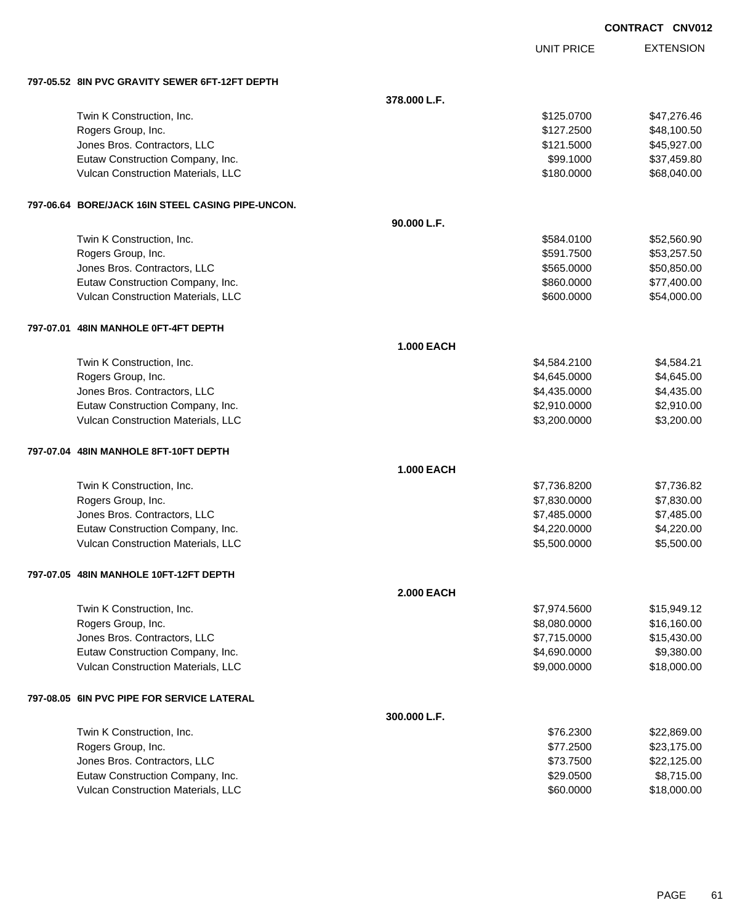UNIT PRICE

| 797-05.52 8IN PVC GRAVITY SEWER 6FT-12FT DEPTH    |                   |              |             |
|---------------------------------------------------|-------------------|--------------|-------------|
|                                                   | 378.000 L.F.      |              |             |
| Twin K Construction, Inc.                         |                   | \$125.0700   | \$47,276.46 |
| Rogers Group, Inc.                                |                   | \$127.2500   | \$48,100.50 |
| Jones Bros. Contractors, LLC                      |                   | \$121.5000   | \$45,927.00 |
| Eutaw Construction Company, Inc.                  |                   | \$99.1000    | \$37,459.80 |
| Vulcan Construction Materials, LLC                |                   | \$180.0000   | \$68,040.00 |
| 797-06.64 BORE/JACK 16IN STEEL CASING PIPE-UNCON. |                   |              |             |
|                                                   | 90.000 L.F.       |              |             |
| Twin K Construction, Inc.                         |                   | \$584.0100   | \$52,560.90 |
| Rogers Group, Inc.                                |                   | \$591.7500   | \$53,257.50 |
| Jones Bros. Contractors, LLC                      |                   | \$565.0000   | \$50,850.00 |
| Eutaw Construction Company, Inc.                  |                   | \$860.0000   | \$77,400.00 |
| Vulcan Construction Materials, LLC                |                   | \$600.0000   | \$54,000.00 |
| 797-07.01 48IN MANHOLE 0FT-4FT DEPTH              |                   |              |             |
|                                                   | <b>1.000 EACH</b> |              |             |
| Twin K Construction, Inc.                         |                   | \$4,584.2100 | \$4,584.21  |
| Rogers Group, Inc.                                |                   | \$4,645.0000 | \$4,645.00  |
| Jones Bros. Contractors, LLC                      |                   | \$4,435.0000 | \$4,435.00  |
| Eutaw Construction Company, Inc.                  |                   | \$2,910.0000 | \$2,910.00  |
| Vulcan Construction Materials, LLC                |                   | \$3,200.0000 | \$3,200.00  |
| 797-07.04 48IN MANHOLE 8FT-10FT DEPTH             |                   |              |             |
|                                                   | 1.000 EACH        |              |             |
| Twin K Construction, Inc.                         |                   | \$7,736.8200 | \$7,736.82  |
| Rogers Group, Inc.                                |                   | \$7,830.0000 | \$7,830.00  |
| Jones Bros. Contractors, LLC                      |                   | \$7,485.0000 | \$7,485.00  |
| Eutaw Construction Company, Inc.                  |                   | \$4,220.0000 | \$4,220.00  |
| Vulcan Construction Materials, LLC                |                   | \$5,500.0000 | \$5,500.00  |
| 797-07.05 48IN MANHOLE 10FT-12FT DEPTH            |                   |              |             |
|                                                   | <b>2.000 EACH</b> |              |             |
| Twin K Construction, Inc.                         |                   | \$7,974.5600 | \$15,949.12 |
| Rogers Group, Inc.                                |                   | \$8,080.0000 | \$16,160.00 |
| Jones Bros. Contractors, LLC                      |                   | \$7,715.0000 | \$15,430.00 |
| Eutaw Construction Company, Inc.                  |                   | \$4,690.0000 | \$9,380.00  |
| Vulcan Construction Materials, LLC                |                   | \$9,000.0000 | \$18,000.00 |
| 797-08.05 6IN PVC PIPE FOR SERVICE LATERAL        |                   |              |             |
|                                                   | 300.000 L.F.      |              |             |
| Twin K Construction, Inc.                         |                   | \$76.2300    | \$22,869.00 |
| Rogers Group, Inc.                                |                   | \$77.2500    | \$23,175.00 |
| Jones Bros. Contractors, LLC                      |                   | \$73.7500    | \$22,125.00 |
| Eutaw Construction Company, Inc.                  |                   | \$29.0500    | \$8,715.00  |
| Vulcan Construction Materials, LLC                |                   | \$60.0000    | \$18,000.00 |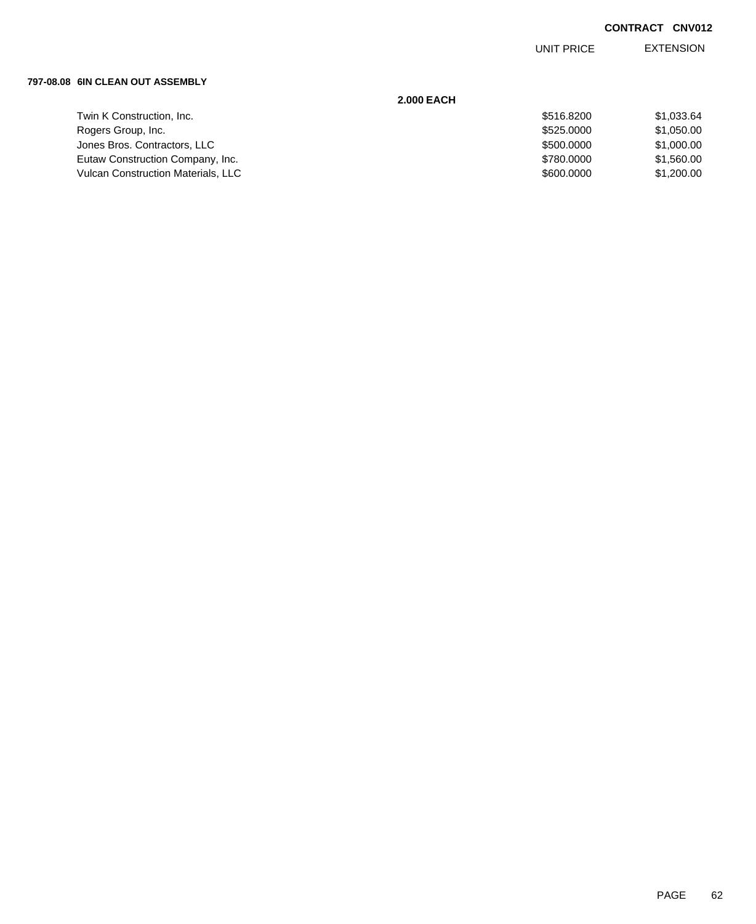EXTENSION UNIT PRICE

#### **797-08.08 6IN CLEAN OUT ASSEMBLY**

|                                           | <b>2.000 EACH</b> |            |
|-------------------------------------------|-------------------|------------|
| Twin K Construction, Inc.                 | \$516,8200        | \$1,033.64 |
| Rogers Group, Inc.                        | \$525,0000        | \$1,050.00 |
| Jones Bros. Contractors, LLC              | \$500,0000        | \$1,000.00 |
| Eutaw Construction Company, Inc.          | \$780,0000        | \$1,560.00 |
| <b>Vulcan Construction Materials, LLC</b> | \$600,0000        | \$1,200.00 |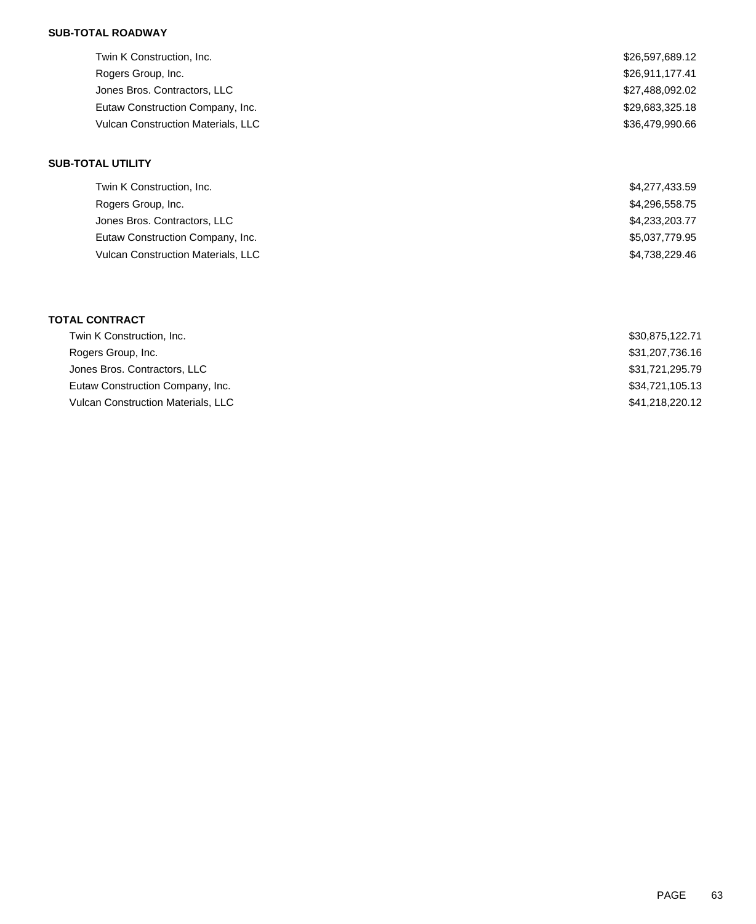## **SUB-TOTAL ROADWAY**

| Twin K Construction, Inc.                 | \$26,597,689.12 |
|-------------------------------------------|-----------------|
| Rogers Group, Inc.                        | \$26,911,177.41 |
| Jones Bros. Contractors, LLC              | \$27,488,092.02 |
| Eutaw Construction Company, Inc.          | \$29,683,325.18 |
| <b>Vulcan Construction Materials, LLC</b> | \$36.479.990.66 |

## **SUB-TOTAL UTILITY**

| Twin K Construction, Inc.          | \$4,277,433.59 |
|------------------------------------|----------------|
| Rogers Group, Inc.                 | \$4,296,558.75 |
| Jones Bros. Contractors, LLC       | \$4,233,203.77 |
| Eutaw Construction Company, Inc.   | \$5,037,779.95 |
| Vulcan Construction Materials, LLC | \$4.738.229.46 |

## **TOTAL CONTRACT**

| Twin K Construction, Inc.          | \$30,875,122.71 |
|------------------------------------|-----------------|
| Rogers Group, Inc.                 | \$31,207,736.16 |
| Jones Bros. Contractors, LLC       | \$31,721,295.79 |
| Eutaw Construction Company, Inc.   | \$34,721,105.13 |
| Vulcan Construction Materials, LLC | \$41,218,220,12 |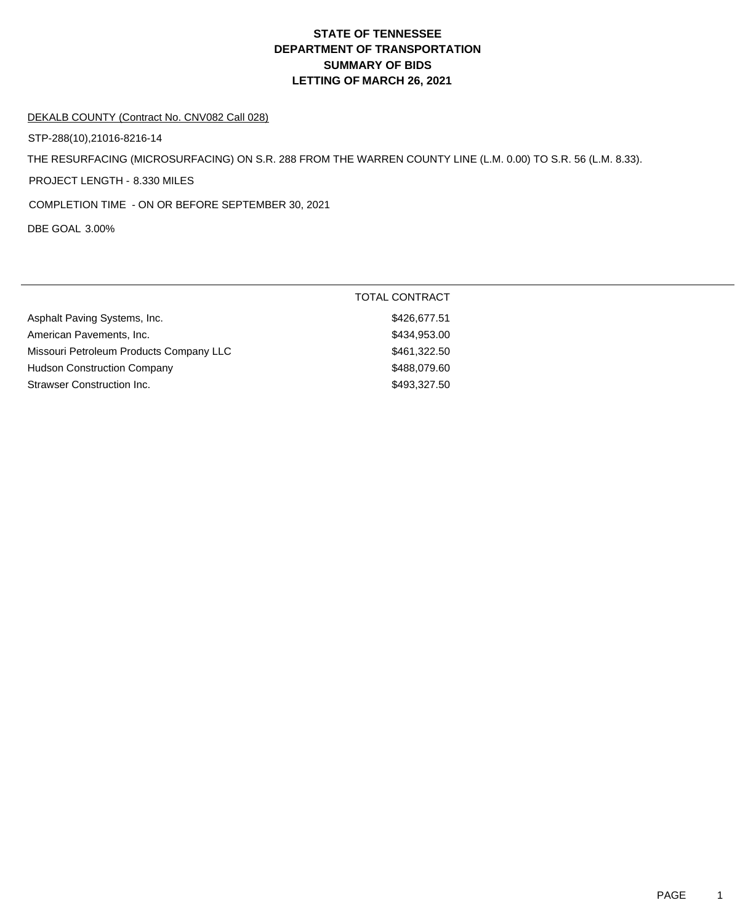#### DEKALB COUNTY (Contract No. CNV082 Call 028)

STP-288(10),21016-8216-14

THE RESURFACING (MICROSURFACING) ON S.R. 288 FROM THE WARREN COUNTY LINE (L.M. 0.00) TO S.R. 56 (L.M. 8.33).

PROJECT LENGTH - 8.330 MILES

COMPLETION TIME - ON OR BEFORE SEPTEMBER 30, 2021

DBE GOAL 3.00%

|                                         | <b>TOTAL CONTRACT</b> |
|-----------------------------------------|-----------------------|
| Asphalt Paving Systems, Inc.            | \$426,677.51          |
| American Pavements, Inc.                | \$434,953.00          |
| Missouri Petroleum Products Company LLC | \$461,322.50          |
| <b>Hudson Construction Company</b>      | \$488,079.60          |
| Strawser Construction Inc.              | \$493,327.50          |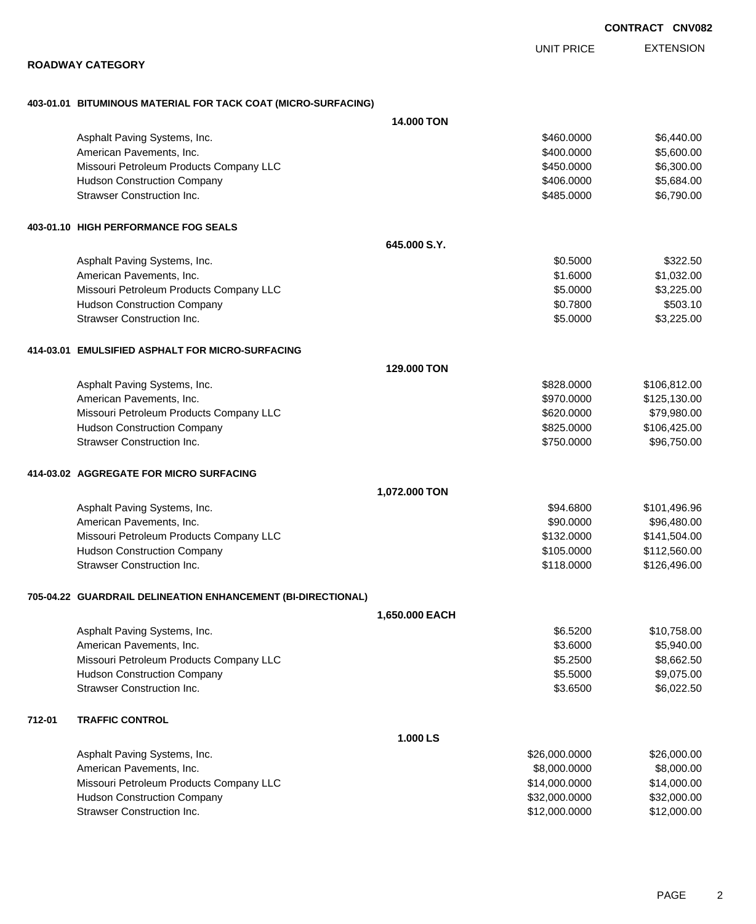EXTENSION UNIT PRICE

### **ROADWAY CATEGORY**

## **403-01.01 BITUMINOUS MATERIAL FOR TACK COAT (MICRO-SURFACING)**

|        |                                                              | <b>14,000 TON</b> |               |              |
|--------|--------------------------------------------------------------|-------------------|---------------|--------------|
|        | Asphalt Paving Systems, Inc.                                 |                   | \$460.0000    | \$6,440.00   |
|        | American Pavements, Inc.                                     |                   | \$400.0000    | \$5,600.00   |
|        | Missouri Petroleum Products Company LLC                      |                   | \$450.0000    | \$6,300.00   |
|        | <b>Hudson Construction Company</b>                           |                   | \$406.0000    | \$5,684.00   |
|        | <b>Strawser Construction Inc.</b>                            |                   | \$485.0000    | \$6,790.00   |
|        | 403-01.10 HIGH PERFORMANCE FOG SEALS                         |                   |               |              |
|        |                                                              | 645,000 S.Y.      |               |              |
|        | Asphalt Paving Systems, Inc.                                 |                   | \$0.5000      | \$322.50     |
|        | American Pavements, Inc.                                     |                   | \$1.6000      | \$1,032.00   |
|        | Missouri Petroleum Products Company LLC                      |                   | \$5.0000      | \$3,225.00   |
|        | <b>Hudson Construction Company</b>                           |                   | \$0.7800      | \$503.10     |
|        | <b>Strawser Construction Inc.</b>                            |                   | \$5.0000      | \$3,225.00   |
|        | 414-03.01 EMULSIFIED ASPHALT FOR MICRO-SURFACING             |                   |               |              |
|        |                                                              | 129,000 TON       |               |              |
|        | Asphalt Paving Systems, Inc.                                 |                   | \$828,0000    | \$106,812.00 |
|        | American Pavements, Inc.                                     |                   | \$970.0000    | \$125,130.00 |
|        | Missouri Petroleum Products Company LLC                      |                   | \$620.0000    | \$79,980.00  |
|        | <b>Hudson Construction Company</b>                           |                   | \$825.0000    | \$106,425.00 |
|        | <b>Strawser Construction Inc.</b>                            |                   | \$750.0000    | \$96,750.00  |
|        | 414-03.02 AGGREGATE FOR MICRO SURFACING                      |                   |               |              |
|        |                                                              | 1,072.000 TON     |               |              |
|        | Asphalt Paving Systems, Inc.                                 |                   | \$94.6800     | \$101,496.96 |
|        | American Pavements, Inc.                                     |                   | \$90.0000     | \$96,480.00  |
|        | Missouri Petroleum Products Company LLC                      |                   | \$132.0000    | \$141,504.00 |
|        | <b>Hudson Construction Company</b>                           |                   | \$105.0000    | \$112,560.00 |
|        | <b>Strawser Construction Inc.</b>                            |                   | \$118.0000    | \$126,496.00 |
|        | 705-04.22 GUARDRAIL DELINEATION ENHANCEMENT (BI-DIRECTIONAL) |                   |               |              |
|        |                                                              | 1.650.000 EACH    |               |              |
|        | Asphalt Paving Systems, Inc.                                 |                   | \$6.5200      | \$10,758.00  |
|        | American Pavements, Inc.                                     |                   | \$3.6000      | \$5,940.00   |
|        | Missouri Petroleum Products Company LLC                      |                   | \$5.2500      | \$8,662.50   |
|        | <b>Hudson Construction Company</b>                           |                   | \$5.5000      | \$9,075.00   |
|        | <b>Strawser Construction Inc.</b>                            |                   | \$3.6500      | \$6,022.50   |
| 712-01 | <b>TRAFFIC CONTROL</b>                                       |                   |               |              |
|        |                                                              | 1.000 LS          |               |              |
|        | Asphalt Paving Systems, Inc.                                 |                   | \$26,000.0000 | \$26,000.00  |
|        | American Pavements, Inc.                                     |                   | \$8,000.0000  | \$8,000.00   |
|        | Missouri Petroleum Products Company LLC                      |                   | \$14,000.0000 | \$14,000.00  |
|        | <b>Hudson Construction Company</b>                           |                   | \$32,000.0000 | \$32,000.00  |
|        | <b>Strawser Construction Inc.</b>                            |                   | \$12,000.0000 | \$12,000.00  |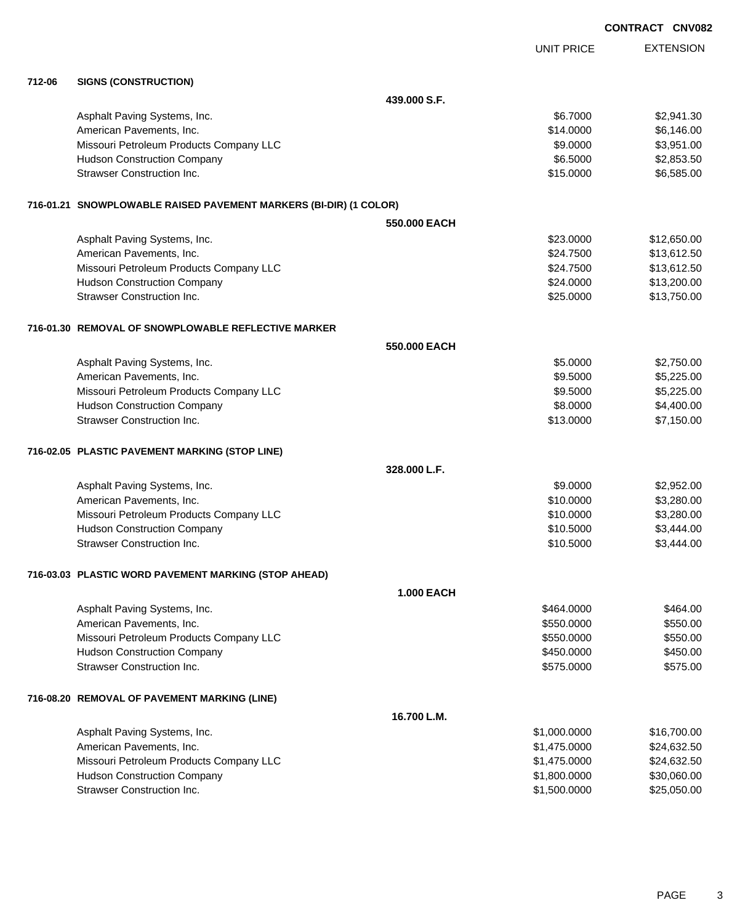|        |                                                                   |                   |                   | <b>CONTRACT CNV08</b> |
|--------|-------------------------------------------------------------------|-------------------|-------------------|-----------------------|
|        |                                                                   |                   | <b>UNIT PRICE</b> | <b>EXTENSION</b>      |
| 712-06 | <b>SIGNS (CONSTRUCTION)</b>                                       |                   |                   |                       |
|        |                                                                   | 439.000 S.F.      |                   |                       |
|        | Asphalt Paving Systems, Inc.                                      |                   | \$6.7000          | \$2,941.30            |
|        | American Pavements, Inc.                                          |                   | \$14.0000         | \$6,146.00            |
|        | Missouri Petroleum Products Company LLC                           |                   | \$9.0000          | \$3,951.00            |
|        | <b>Hudson Construction Company</b>                                |                   | \$6.5000          | \$2,853.50            |
|        | Strawser Construction Inc.                                        |                   | \$15.0000         | \$6,585.00            |
|        | 716-01.21 SNOWPLOWABLE RAISED PAVEMENT MARKERS (BI-DIR) (1 COLOR) |                   |                   |                       |
|        |                                                                   | 550.000 EACH      |                   |                       |
|        | Asphalt Paving Systems, Inc.                                      |                   | \$23.0000         | \$12,650.00           |
|        | American Pavements, Inc.                                          |                   | \$24.7500         | \$13,612.50           |
|        | Missouri Petroleum Products Company LLC                           |                   | \$24.7500         | \$13,612.50           |
|        | <b>Hudson Construction Company</b>                                |                   | \$24.0000         | \$13,200.00           |
|        | Strawser Construction Inc.                                        |                   | \$25.0000         | \$13,750.00           |
|        | 716-01.30 REMOVAL OF SNOWPLOWABLE REFLECTIVE MARKER               |                   |                   |                       |
|        |                                                                   | 550.000 EACH      |                   |                       |
|        | Asphalt Paving Systems, Inc.                                      |                   | \$5.0000          | \$2,750.00            |
|        | American Pavements, Inc.                                          |                   | \$9.5000          | \$5,225.00            |
|        | Missouri Petroleum Products Company LLC                           |                   | \$9.5000          | \$5,225.00            |
|        | <b>Hudson Construction Company</b>                                |                   | \$8.0000          | \$4,400.00            |
|        | <b>Strawser Construction Inc.</b>                                 |                   | \$13.0000         | \$7,150.00            |
|        | 716-02.05 PLASTIC PAVEMENT MARKING (STOP LINE)                    |                   |                   |                       |
|        |                                                                   | 328.000 L.F.      |                   |                       |
|        | Asphalt Paving Systems, Inc.                                      |                   | \$9.0000          | \$2,952.00            |
|        | American Pavements, Inc.                                          |                   | \$10.0000         | \$3,280.00            |
|        | Missouri Petroleum Products Company LLC                           |                   | \$10.0000         | \$3,280.00            |
|        | <b>Hudson Construction Company</b>                                |                   | \$10.5000         | \$3,444.00            |
|        | Strawser Construction Inc.                                        |                   | \$10.5000         | \$3,444.00            |
|        | 716-03.03 PLASTIC WORD PAVEMENT MARKING (STOP AHEAD)              |                   |                   |                       |
|        |                                                                   | <b>1.000 EACH</b> |                   |                       |
|        | Asphalt Paving Systems, Inc.                                      |                   | \$464.0000        | \$464.00              |
|        | American Pavements, Inc.                                          |                   | \$550.0000        | \$550.00              |
|        | Missouri Petroleum Products Company LLC                           |                   | \$550.0000        | \$550.00              |
|        | <b>Hudson Construction Company</b>                                |                   | \$450.0000        | \$450.00              |
|        | <b>Strawser Construction Inc.</b>                                 |                   | \$575.0000        | \$575.00              |
|        | 716-08.20 REMOVAL OF PAVEMENT MARKING (LINE)                      |                   |                   |                       |
|        |                                                                   | 16.700 L.M.       |                   |                       |
|        | Asphalt Paving Systems, Inc.                                      |                   | \$1,000.0000      | \$16,700.00           |

| 0.000000     | 0.10, 100.00 |
|--------------|--------------|
| \$1,475,0000 | \$24,632.50  |
| \$1.475.0000 | \$24.632.50  |
| \$1,800,0000 | \$30,060,00  |
| \$1,500,0000 | \$25,050,00  |
|              |              |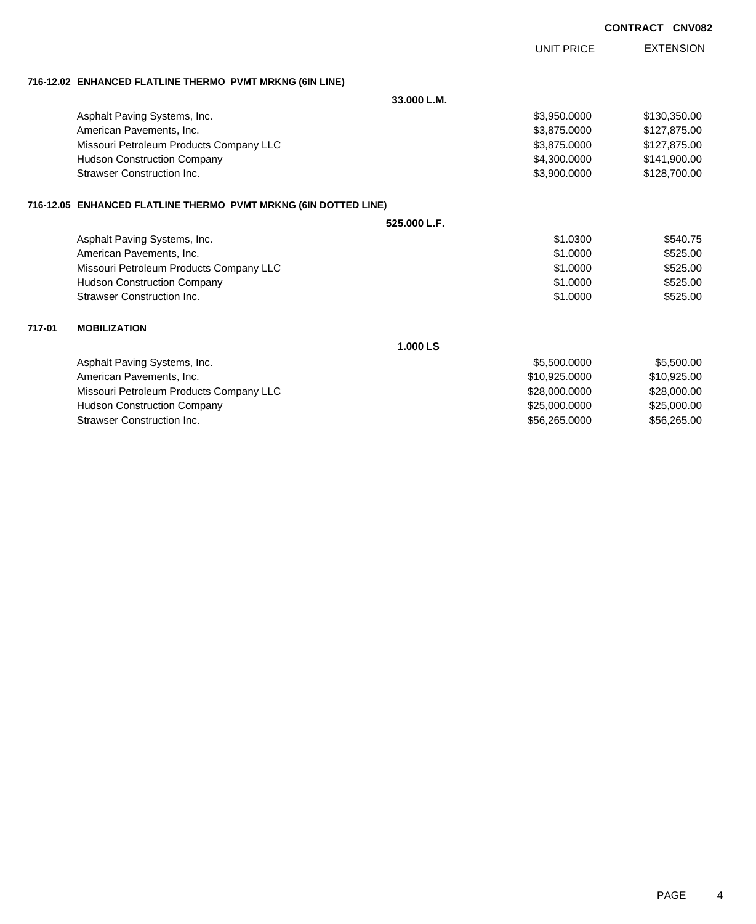| <b>CONTRACT</b> | <b>CNV082</b> |
|-----------------|---------------|
|                 |               |

|        |                                                                 | <b>UNIT PRICE</b> | <b>EXTENSION</b> |
|--------|-----------------------------------------------------------------|-------------------|------------------|
|        | 716-12.02 ENHANCED FLATLINE THERMO PVMT MRKNG (6IN LINE)        |                   |                  |
|        |                                                                 | 33.000 L.M.       |                  |
|        | Asphalt Paving Systems, Inc.                                    | \$3,950.0000      | \$130,350.00     |
|        | American Pavements, Inc.                                        | \$3.875,0000      | \$127,875.00     |
|        | Missouri Petroleum Products Company LLC                         | \$3,875.0000      | \$127,875.00     |
|        | <b>Hudson Construction Company</b>                              | \$4,300.0000      | \$141,900.00     |
|        | <b>Strawser Construction Inc.</b>                               | \$3,900.0000      | \$128,700.00     |
|        | 716-12.05 ENHANCED FLATLINE THERMO PVMT MRKNG (6IN DOTTED LINE) |                   |                  |
|        |                                                                 | 525.000 L.F.      |                  |
|        | Asphalt Paving Systems, Inc.                                    | \$1.0300          | \$540.75         |
|        | American Pavements, Inc.                                        | \$1,0000          | \$525.00         |
|        | Missouri Petroleum Products Company LLC                         | \$1,0000          | \$525.00         |
|        | <b>Hudson Construction Company</b>                              | \$1.0000          | \$525.00         |
|        | <b>Strawser Construction Inc.</b>                               | \$1.0000          | \$525.00         |
| 717-01 | <b>MOBILIZATION</b>                                             |                   |                  |
|        |                                                                 | 1.000 LS          |                  |
|        | Asphalt Paving Systems, Inc.                                    | \$5,500.0000      | \$5,500.00       |
|        | American Pavements, Inc.                                        | \$10,925.0000     | \$10,925.00      |
|        | Missouri Petroleum Products Company LLC                         | \$28,000.0000     | \$28,000.00      |
|        | <b>Hudson Construction Company</b>                              | \$25,000.0000     | \$25,000.00      |
|        | <b>Strawser Construction Inc.</b>                               | \$56,265,0000     | \$56,265.00      |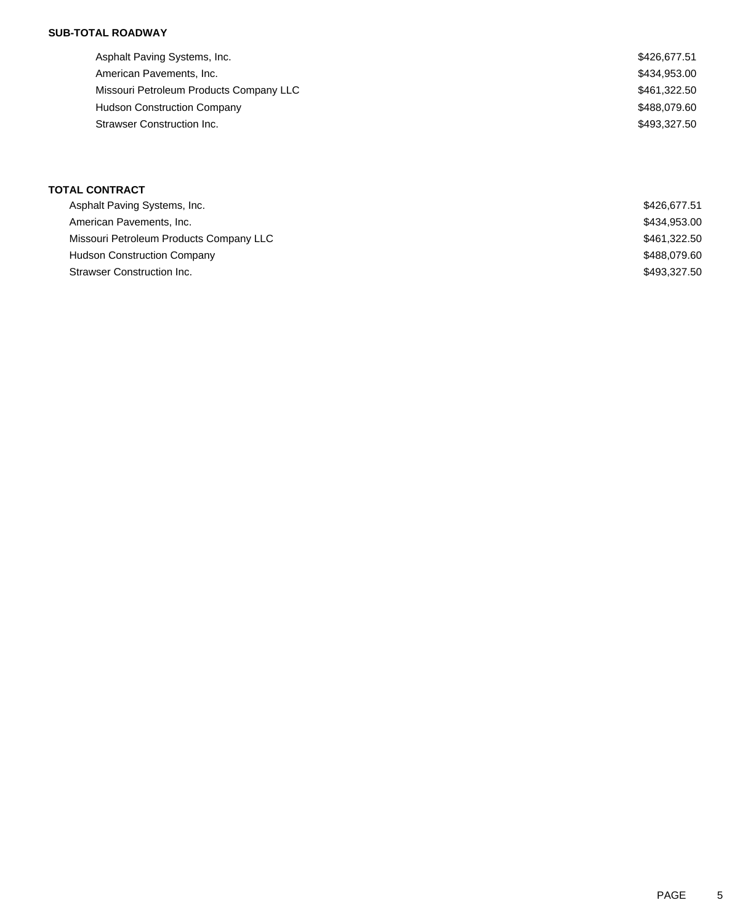## **SUB-TOTAL ROADWAY**

| Asphalt Paving Systems, Inc.            | \$426,677.51 |
|-----------------------------------------|--------------|
| American Pavements, Inc.                | \$434,953.00 |
| Missouri Petroleum Products Company LLC | \$461,322.50 |
| <b>Hudson Construction Company</b>      | \$488,079.60 |
| Strawser Construction Inc.              | \$493.327.50 |
|                                         |              |

| Asphalt Paving Systems, Inc.            | \$426.677.51 |
|-----------------------------------------|--------------|
| American Pavements, Inc.                | \$434,953.00 |
| Missouri Petroleum Products Company LLC | \$461,322.50 |
| <b>Hudson Construction Company</b>      | \$488,079.60 |
| Strawser Construction Inc.              | \$493,327.50 |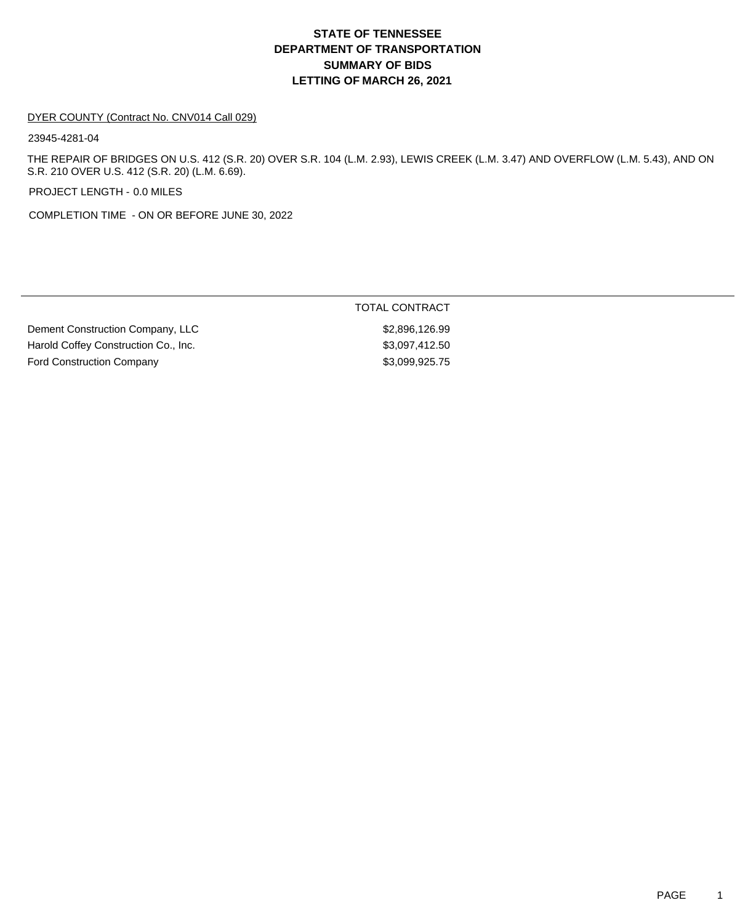#### DYER COUNTY (Contract No. CNV014 Call 029)

23945-4281-04

THE REPAIR OF BRIDGES ON U.S. 412 (S.R. 20) OVER S.R. 104 (L.M. 2.93), LEWIS CREEK (L.M. 3.47) AND OVERFLOW (L.M. 5.43), AND ON S.R. 210 OVER U.S. 412 (S.R. 20) (L.M. 6.69).

PROJECT LENGTH - 0.0 MILES

COMPLETION TIME - ON OR BEFORE JUNE 30, 2022

Dement Construction Company, LLC \$2,896,126.99 Harold Coffey Construction Co., Inc. 63,097,412.50 Ford Construction Company **\$3,099,925.75**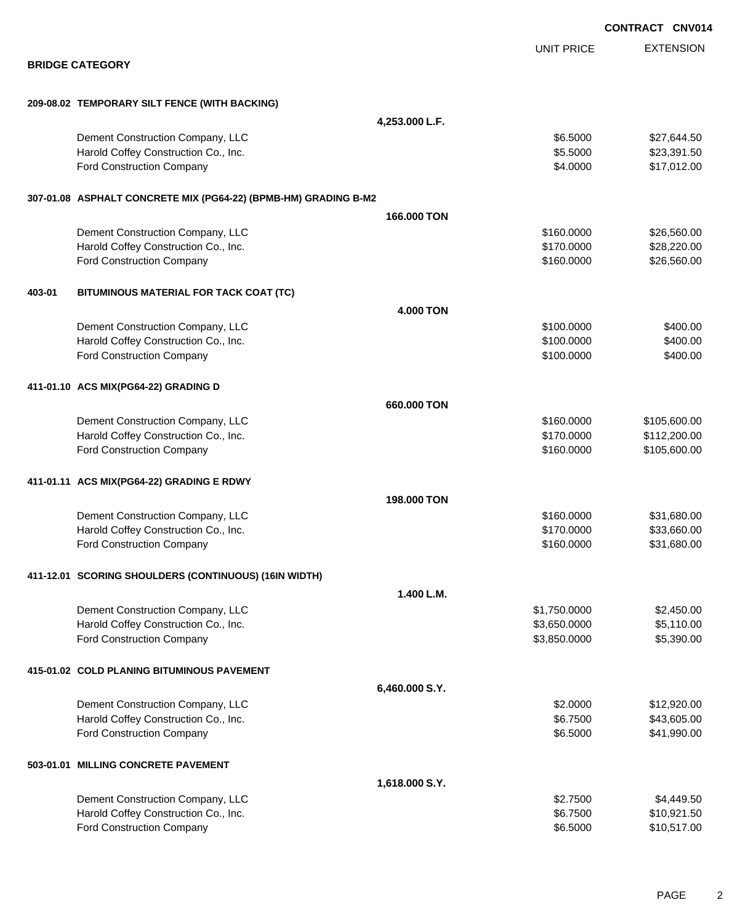|        |                                                                 |                  |                   | <b>CONTRACT CNV01</b> |                  |
|--------|-----------------------------------------------------------------|------------------|-------------------|-----------------------|------------------|
|        |                                                                 |                  | <b>UNIT PRICE</b> |                       | <b>EXTENSION</b> |
|        | <b>BRIDGE CATEGORY</b>                                          |                  |                   |                       |                  |
|        | 209-08.02 TEMPORARY SILT FENCE (WITH BACKING)                   |                  |                   |                       |                  |
|        |                                                                 | 4,253.000 L.F.   |                   |                       |                  |
|        | Dement Construction Company, LLC                                |                  | \$6.5000          |                       | \$27,644.50      |
|        | Harold Coffey Construction Co., Inc.                            |                  | \$5.5000          |                       | \$23,391.50      |
|        | Ford Construction Company                                       |                  | \$4.0000          |                       | \$17,012.00      |
|        | 307-01.08 ASPHALT CONCRETE MIX (PG64-22) (BPMB-HM) GRADING B-M2 |                  |                   |                       |                  |
|        |                                                                 | 166.000 TON      |                   |                       |                  |
|        | Dement Construction Company, LLC                                |                  | \$160.0000        |                       | \$26,560.00      |
|        | Harold Coffey Construction Co., Inc.                            |                  | \$170.0000        |                       | \$28,220.00      |
|        | <b>Ford Construction Company</b>                                |                  | \$160.0000        |                       | \$26,560.00      |
| 403-01 | BITUMINOUS MATERIAL FOR TACK COAT (TC)                          |                  |                   |                       |                  |
|        |                                                                 | <b>4.000 TON</b> |                   |                       |                  |
|        | Dement Construction Company, LLC                                |                  | \$100.0000        |                       | \$400.00         |
|        | Harold Coffey Construction Co., Inc.                            |                  | \$100.0000        |                       | \$400.00         |
|        | Ford Construction Company                                       |                  | \$100.0000        |                       | \$400.00         |
|        | 411-01.10 ACS MIX(PG64-22) GRADING D                            |                  |                   |                       |                  |
|        |                                                                 | 660.000 TON      |                   |                       |                  |
|        | Dement Construction Company, LLC                                |                  | \$160.0000        |                       | \$105,600.00     |
|        | Harold Coffey Construction Co., Inc.                            |                  | \$170.0000        |                       | \$112,200.00     |
|        | Ford Construction Company                                       |                  | \$160.0000        |                       | \$105,600.00     |
|        | 411-01.11 ACS MIX(PG64-22) GRADING E RDWY                       |                  |                   |                       |                  |
|        |                                                                 | 198.000 TON      |                   |                       |                  |
|        | Dement Construction Company, LLC                                |                  | \$160.0000        |                       | \$31,680.00      |
|        | Harold Coffey Construction Co., Inc.                            |                  | \$170.0000        |                       | \$33,660.00      |
|        | Ford Construction Company                                       |                  | \$160.0000        |                       | \$31,680.00      |
|        | 411-12.01 SCORING SHOULDERS (CONTINUOUS) (16IN WIDTH)           |                  |                   |                       |                  |
|        |                                                                 | 1.400 L.M.       |                   |                       |                  |
|        | Dement Construction Company, LLC                                |                  | \$1,750.0000      |                       | \$2,450.00       |
|        | Harold Coffey Construction Co., Inc.                            |                  | \$3,650.0000      |                       | \$5,110.00       |
|        | Ford Construction Company                                       |                  | \$3,850.0000      |                       | \$5,390.00       |
|        | 415-01.02 COLD PLANING BITUMINOUS PAVEMENT                      |                  |                   |                       |                  |
|        |                                                                 | 6,460.000 S.Y.   |                   |                       |                  |
|        | Dement Construction Company, LLC                                |                  | \$2.0000          |                       | \$12,920.00      |
|        | Harold Coffey Construction Co., Inc.                            |                  | \$6.7500          |                       | \$43,605.00      |
|        | Ford Construction Company                                       |                  | \$6.5000          |                       | \$41,990.00      |
|        | 503-01.01 MILLING CONCRETE PAVEMENT                             |                  |                   |                       |                  |
|        |                                                                 | 1,618.000 S.Y.   |                   |                       |                  |
|        | Dement Construction Company, LLC                                |                  | \$2.7500          |                       | \$4,449.50       |
|        | Harold Coffey Construction Co., Inc.                            |                  | \$6.7500          |                       | \$10,921.50      |
|        | Ford Construction Company                                       |                  | \$6.5000          |                       | \$10,517.00      |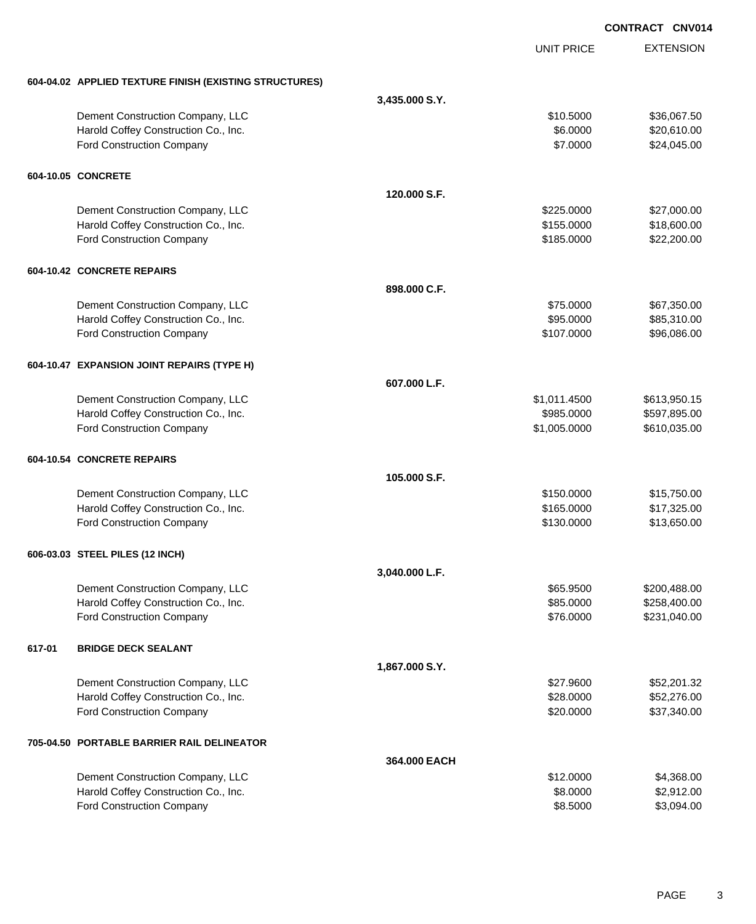EXTENSION **CONTRACT CNV014** UNIT PRICE **604-04.02 APPLIED TEXTURE FINISH (EXISTING STRUCTURES) 3,435.000 S.Y.** Dement Construction Company, LLC 6 and the state of the state of the state  $$10.5000$  \$36,067.50 Harold Coffey Construction Co., Inc. 6. 2000 \$20,610.00 Ford Construction Company  $$24,045.00$ **604-10.05 CONCRETE 120.000 S.F.** Dement Construction Company, LLC 6 and the state of the state of the state  $$225.0000$  \$27,000.00 Harold Coffey Construction Co., Inc. 6. The Construction Co., Inc. 6. The Construction Co., Inc. 6. The Const Ford Construction Company 622,200.00 \$22,200.00 \$185.0000 \$22,200.00 **604-10.42 CONCRETE REPAIRS 898.000 C.F.** Dement Construction Company, LLC 667,350.00 \$67,350.00 Harold Coffey Construction Co., Inc. 685,310.00 \$85,310.00 Ford Construction Company 696,086.00 **604-10.47 EXPANSION JOINT REPAIRS (TYPE H) 607.000 L.F.** Dement Construction Company, LLC \$1,011.4500 \$613,950.15 Harold Coffey Construction Co., Inc. 6. The Construction Co., Inc. 6. The Construction Co., Inc. 6. The Const Ford Construction Company **610,035.00 \$1,005.0000** \$610,035.00 **604-10.54 CONCRETE REPAIRS 105.000 S.F.** Dement Construction Company, LLC **but a set of the set of the set of the set of the set of the set of the set of the set of the set of the set of the set of the set of the set of the set of the set of the set of the set of** Harold Coffey Construction Co., Inc. \$165.0000 \$17,325.00 Ford Construction Company 613,650.00 **606-03.03 STEEL PILES (12 INCH) 3,040.000 L.F.** Dement Construction Company, LLC 65.9500 \$200,488.00 Harold Coffey Construction Co., Inc. 6. 2000 \$258,400.00 \$258,400.00 Ford Construction Company 6231,040.00 **617-01 BRIDGE DECK SEALANT 1,867.000 S.Y.** Dement Construction Company, LLC 6. The state of the state of the state of the state of the state of the state of the state of the state of the state of the state of the state of the state of the state of the state of the Harold Coffey Construction Co., Inc. 6. The Construction Co., Inc. 6. The Construction Co., Inc. 6. The Const Ford Construction Company 637,340.00 **705-04.50 PORTABLE BARRIER RAIL DELINEATOR 364.000 EACH** Dement Construction Company, LLC 6 and the state of the state of the state of the state of the state of the state of the state of the state of the state of the state of the state of the state of the state of the state of t Harold Coffey Construction Co., Inc. 6. 2000 \$2,912.00

Ford Construction Company 63,094.00

PAGE 3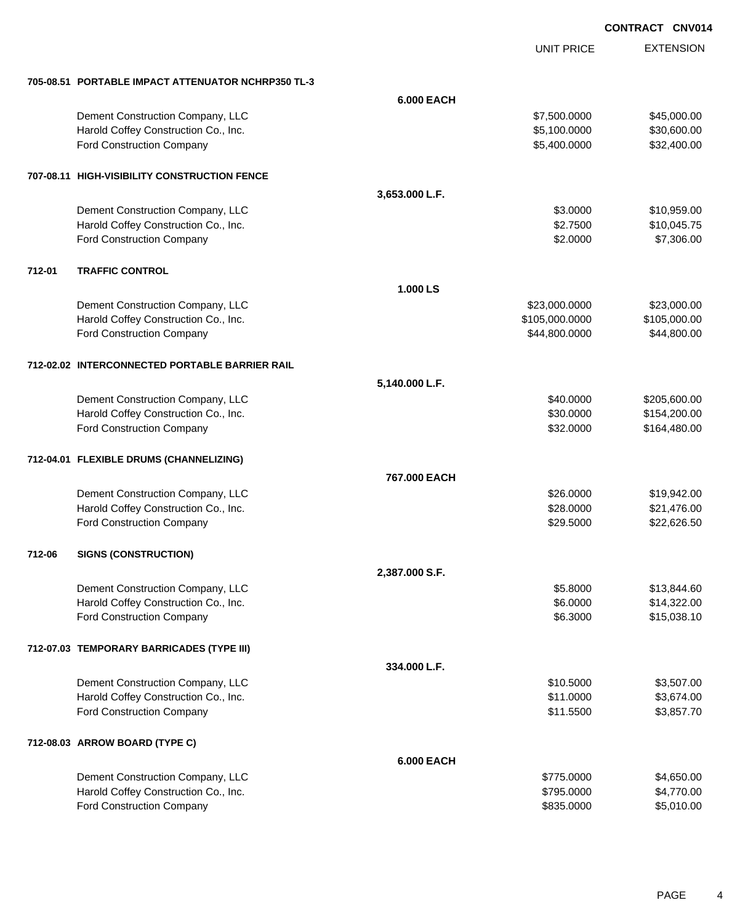|        |                                                    |                   | <b>UNIT PRICE</b> | <b>EXTENSION</b> |
|--------|----------------------------------------------------|-------------------|-------------------|------------------|
|        | 705-08.51 PORTABLE IMPACT ATTENUATOR NCHRP350 TL-3 |                   |                   |                  |
|        |                                                    | <b>6.000 EACH</b> |                   |                  |
|        | Dement Construction Company, LLC                   |                   | \$7,500.0000      | \$45,000.00      |
|        | Harold Coffey Construction Co., Inc.               |                   | \$5,100.0000      | \$30,600.00      |
|        | Ford Construction Company                          |                   | \$5,400.0000      | \$32,400.00      |
|        | 707-08.11 HIGH-VISIBILITY CONSTRUCTION FENCE       |                   |                   |                  |
|        |                                                    | 3,653.000 L.F.    |                   |                  |
|        | Dement Construction Company, LLC                   |                   | \$3.0000          | \$10,959.00      |
|        | Harold Coffey Construction Co., Inc.               |                   | \$2.7500          | \$10,045.75      |
|        | Ford Construction Company                          |                   | \$2.0000          | \$7,306.00       |
| 712-01 | <b>TRAFFIC CONTROL</b>                             |                   |                   |                  |
|        |                                                    | 1.000 LS          |                   |                  |
|        | Dement Construction Company, LLC                   |                   | \$23,000.0000     | \$23,000.00      |
|        | Harold Coffey Construction Co., Inc.               |                   | \$105,000.0000    | \$105,000.00     |
|        | Ford Construction Company                          |                   | \$44,800.0000     | \$44,800.00      |
|        | 712-02.02 INTERCONNECTED PORTABLE BARRIER RAIL     |                   |                   |                  |
|        |                                                    | 5,140.000 L.F.    |                   |                  |
|        | Dement Construction Company, LLC                   |                   | \$40.0000         | \$205,600.00     |
|        | Harold Coffey Construction Co., Inc.               |                   | \$30.0000         | \$154,200.00     |
|        | Ford Construction Company                          |                   | \$32.0000         | \$164,480.00     |
|        | 712-04.01 FLEXIBLE DRUMS (CHANNELIZING)            |                   |                   |                  |
|        |                                                    | 767,000 EACH      |                   |                  |
|        | Dement Construction Company, LLC                   |                   | \$26.0000         | \$19,942.00      |
|        | Harold Coffey Construction Co., Inc.               |                   | \$28.0000         | \$21,476.00      |
|        | Ford Construction Company                          |                   | \$29.5000         | \$22,626.50      |
| 712-06 | <b>SIGNS (CONSTRUCTION)</b>                        |                   |                   |                  |
|        |                                                    | 2,387.000 S.F.    |                   |                  |
|        | Dement Construction Company, LLC                   |                   | \$5.8000          | \$13,844.60      |
|        | Harold Coffey Construction Co., Inc.               |                   | \$6.0000          | \$14,322.00      |
|        | <b>Ford Construction Company</b>                   |                   | \$6.3000          | \$15,038.10      |
|        | 712-07.03 TEMPORARY BARRICADES (TYPE III)          |                   |                   |                  |
|        |                                                    | 334.000 L.F.      |                   |                  |
|        | Dement Construction Company, LLC                   |                   | \$10.5000         | \$3,507.00       |
|        | Harold Coffey Construction Co., Inc.               |                   | \$11.0000         | \$3,674.00       |
|        | Ford Construction Company                          |                   | \$11.5500         | \$3,857.70       |
|        | 712-08.03 ARROW BOARD (TYPE C)                     |                   |                   |                  |
|        |                                                    | <b>6.000 EACH</b> |                   |                  |
|        | Dement Construction Company, LLC                   |                   | \$775.0000        | \$4,650.00       |
|        | Harold Coffey Construction Co., Inc.               |                   | \$795.0000        | \$4,770.00       |
|        | Ford Construction Company                          |                   | \$835.0000        | \$5,010.00       |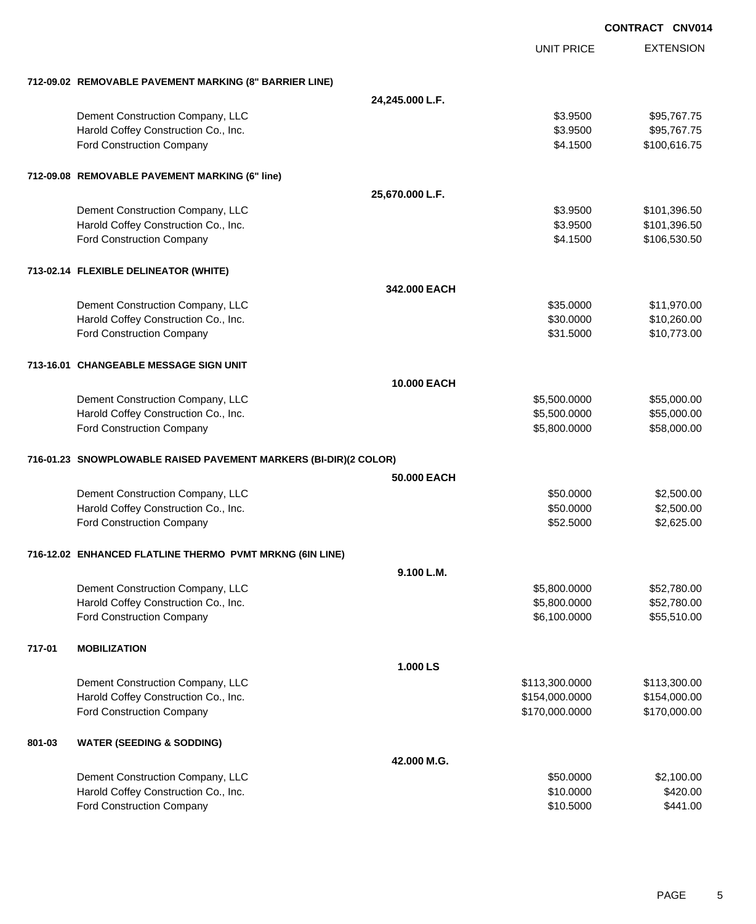EXTENSION **CONTRACT CNV014** UNIT PRICE **712-09.02 REMOVABLE PAVEMENT MARKING (8" BARRIER LINE) 24,245.000 L.F.** Dement Construction Company, LLC 6 and the state of the state of the state  $$3.9500$  \$95,767.75 Harold Coffey Construction Co., Inc. 6. The Construction Co., Inc. 6. The Construction Co., Inc. 6. The Const Ford Construction Company 64.1500 \$100,616.75 **712-09.08 REMOVABLE PAVEMENT MARKING (6" line) 25,670.000 L.F.** Dement Construction Company, LLC 6 and the state of the state of the state  $$3.9500$  \$101,396.50 Harold Coffey Construction Co., Inc. 6. The Construction Co., Inc. 6. The Construction Co., Inc. 6. The Const Ford Construction Company 64.1500 \$106,530.50 **713-02.14 FLEXIBLE DELINEATOR (WHITE) 342.000 EACH** Dement Construction Company, LLC **but a set of the set of the set of the set of the set of the set of the set of the set of the set of the set of the set of the set of the set of the set of the set of the set of the set of** Harold Coffey Construction Co., Inc. 6. The Construction Co., Inc. 6. The Construction Co., Inc. 6. The Const Ford Construction Company **610,773.00** \$10,773.00 **713-16.01 CHANGEABLE MESSAGE SIGN UNIT 10.000 EACH** Dement Construction Company, LLC 6.600.000 \$5,500.000 \$5,500.000 \$55,000.00 Harold Coffey Construction Co., Inc. 6. 2010 10:00:000 \$5,500.000 \$55,000.000 \$55,000.00 Ford Construction Company 658,000.00 \$58,000.00 \$5,800.000 \$5,800.000 \$58,000.00 **716-01.23 SNOWPLOWABLE RAISED PAVEMENT MARKERS (BI-DIR)(2 COLOR) 50.000 EACH** Dement Construction Company, LLC 60000 \$2,500.00 Harold Coffey Construction Co., Inc. 6. 2000 \$2,500.00 \$2,500.00 Ford Construction Company 652.500 \$2,625.00 **716-12.02 ENHANCED FLATLINE THERMO PVMT MRKNG (6IN LINE) 9.100 L.M.** Dement Construction Company, LLC 6.600.000 \$5,800.0000 \$5,800.0000 \$52,780.00 Harold Coffey Construction Co., Inc. 6. The Construction Co., Inc. \$5,800.000 \$5,800.000 \$52,780.00 Ford Construction Company 655,510.00 \$6,100.0000 \$55,510.00 **717-01 MOBILIZATION 1.000 LS** Dement Construction Company, LLC 6. The matrix of the state of the state  $$113,300.0000$  \$113,300.000 Harold Coffey Construction Co., Inc. 6. 2010 12:00:000 \$154,000.000 \$154,000.000 \$154,000.00 Ford Construction Company 6170,000.000 \$170,000.000 \$170,000.000 \$170,000.000 \$170,000.00 **801-03 WATER (SEEDING & SODDING) 42.000 M.G.** Dement Construction Company, LLC 60000 \$2,100.00 Harold Coffey Construction Co., Inc. 6420.00

Ford Construction Company 6441.00

PAGE 5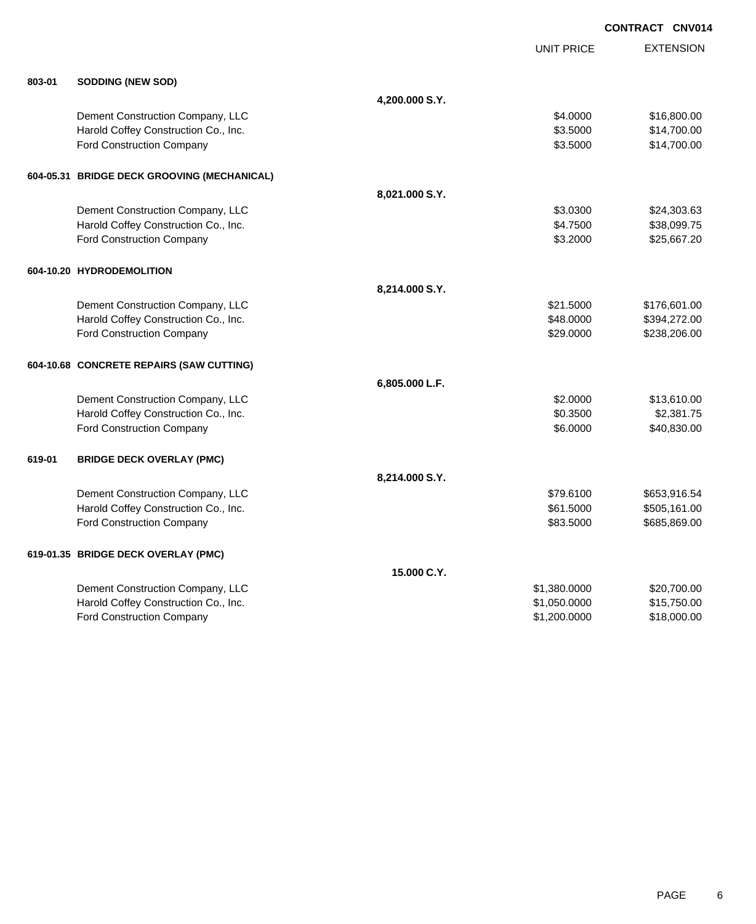|        |                                             |                |                   | <b>CONTRACT CNV014</b> |
|--------|---------------------------------------------|----------------|-------------------|------------------------|
|        |                                             |                | <b>UNIT PRICE</b> | <b>EXTENSION</b>       |
| 803-01 | <b>SODDING (NEW SOD)</b>                    |                |                   |                        |
|        |                                             | 4,200.000 S.Y. |                   |                        |
|        | Dement Construction Company, LLC            |                | \$4.0000          | \$16,800.00            |
|        | Harold Coffey Construction Co., Inc.        |                | \$3.5000          | \$14,700.00            |
|        | Ford Construction Company                   |                | \$3.5000          | \$14,700.00            |
|        | 604-05.31 BRIDGE DECK GROOVING (MECHANICAL) |                |                   |                        |
|        |                                             | 8,021.000 S.Y. |                   |                        |
|        | Dement Construction Company, LLC            |                | \$3.0300          | \$24,303.63            |
|        | Harold Coffey Construction Co., Inc.        |                | \$4.7500          | \$38,099.75            |
|        | Ford Construction Company                   |                | \$3.2000          | \$25,667.20            |
|        | 604-10.20 HYDRODEMOLITION                   |                |                   |                        |
|        |                                             | 8,214.000 S.Y. |                   |                        |
|        | Dement Construction Company, LLC            |                | \$21.5000         | \$176,601.00           |
|        | Harold Coffey Construction Co., Inc.        |                | \$48.0000         | \$394,272.00           |
|        | Ford Construction Company                   |                | \$29.0000         | \$238,206.00           |
|        | 604-10.68 CONCRETE REPAIRS (SAW CUTTING)    |                |                   |                        |
|        |                                             | 6,805.000 L.F. |                   |                        |
|        | Dement Construction Company, LLC            |                | \$2.0000          | \$13,610.00            |
|        | Harold Coffey Construction Co., Inc.        |                | \$0.3500          | \$2,381.75             |
|        | Ford Construction Company                   |                | \$6.0000          | \$40,830.00            |
| 619-01 | <b>BRIDGE DECK OVERLAY (PMC)</b>            |                |                   |                        |
|        |                                             | 8,214.000 S.Y. |                   |                        |
|        | Dement Construction Company, LLC            |                | \$79.6100         | \$653,916.54           |
|        | Harold Coffey Construction Co., Inc.        |                | \$61.5000         | \$505,161.00           |
|        | Ford Construction Company                   |                | \$83.5000         | \$685,869.00           |
|        | 619-01.35 BRIDGE DECK OVERLAY (PMC)         |                |                   |                        |
|        |                                             | 15,000 C.Y.    |                   |                        |
|        | Dement Construction Company, LLC            |                | \$1,380.0000      | \$20,700.00            |
|        | Harold Coffey Construction Co., Inc.        |                | \$1,050.0000      | \$15,750.00            |
|        | <b>Ford Construction Company</b>            |                | \$1,200.0000      | \$18,000.00            |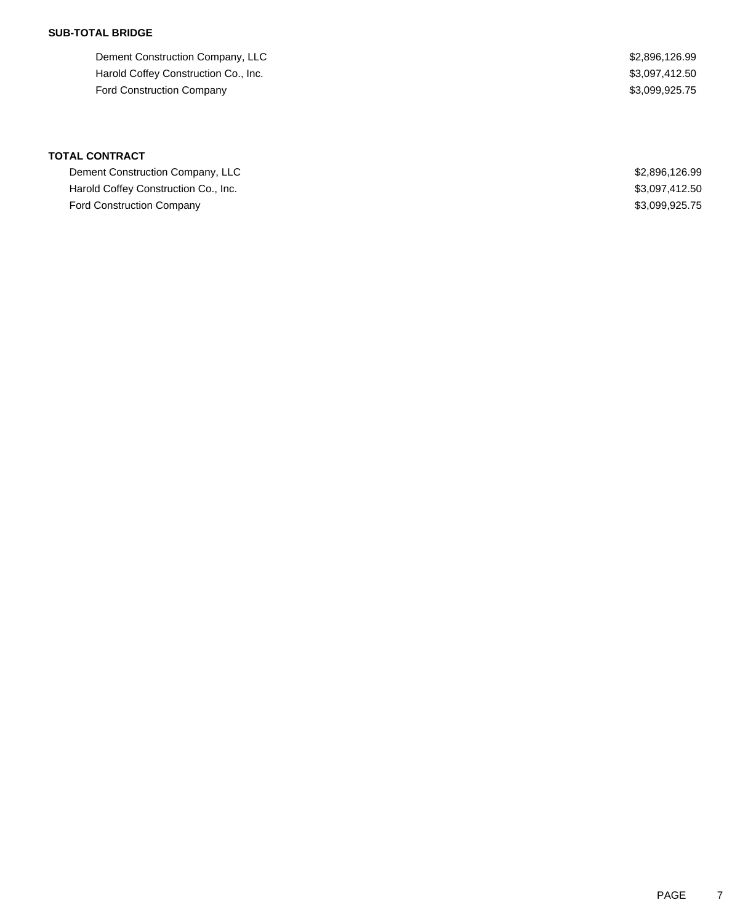## **SUB-TOTAL BRIDGE**

Dement Construction Company, LLC 6.99 Harold Coffey Construction Co., Inc. 63,097,412.50 Ford Construction Company **\$3,099,925.75** 

| Dement Construction Company, LLC     | \$2,896,126.99 |
|--------------------------------------|----------------|
| Harold Coffey Construction Co., Inc. | \$3,097,412.50 |
| <b>Ford Construction Company</b>     | \$3.099.925.75 |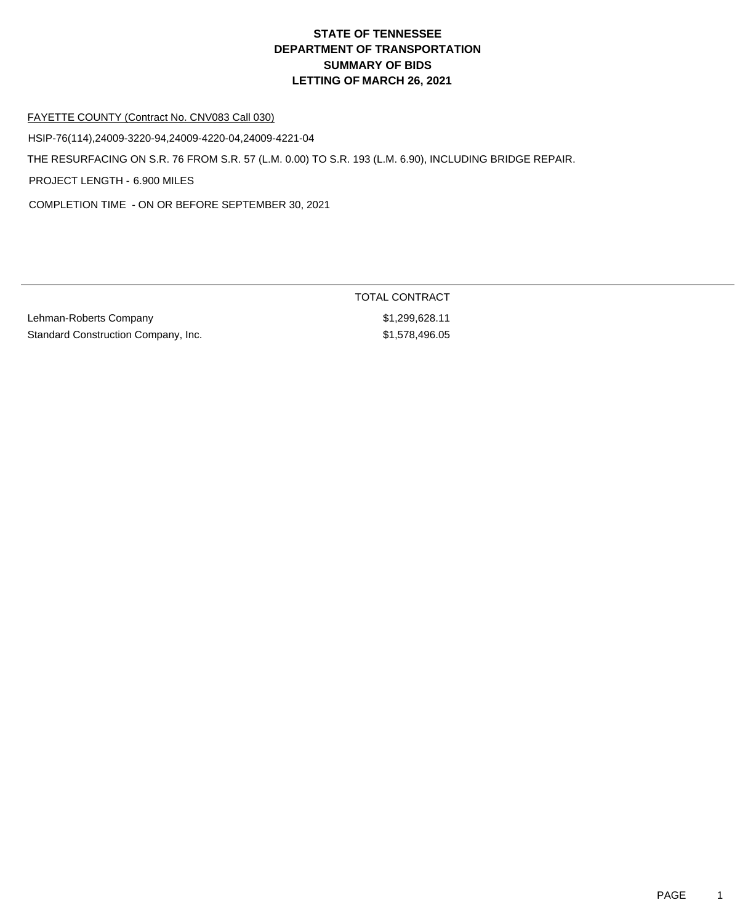#### FAYETTE COUNTY (Contract No. CNV083 Call 030)

HSIP-76(114),24009-3220-94,24009-4220-04,24009-4221-04

THE RESURFACING ON S.R. 76 FROM S.R. 57 (L.M. 0.00) TO S.R. 193 (L.M. 6.90), INCLUDING BRIDGE REPAIR.

PROJECT LENGTH - 6.900 MILES

COMPLETION TIME - ON OR BEFORE SEPTEMBER 30, 2021

Lehman-Roberts Company **\$1,299,628.11** Standard Construction Company, Inc. 6. \$1,578,496.05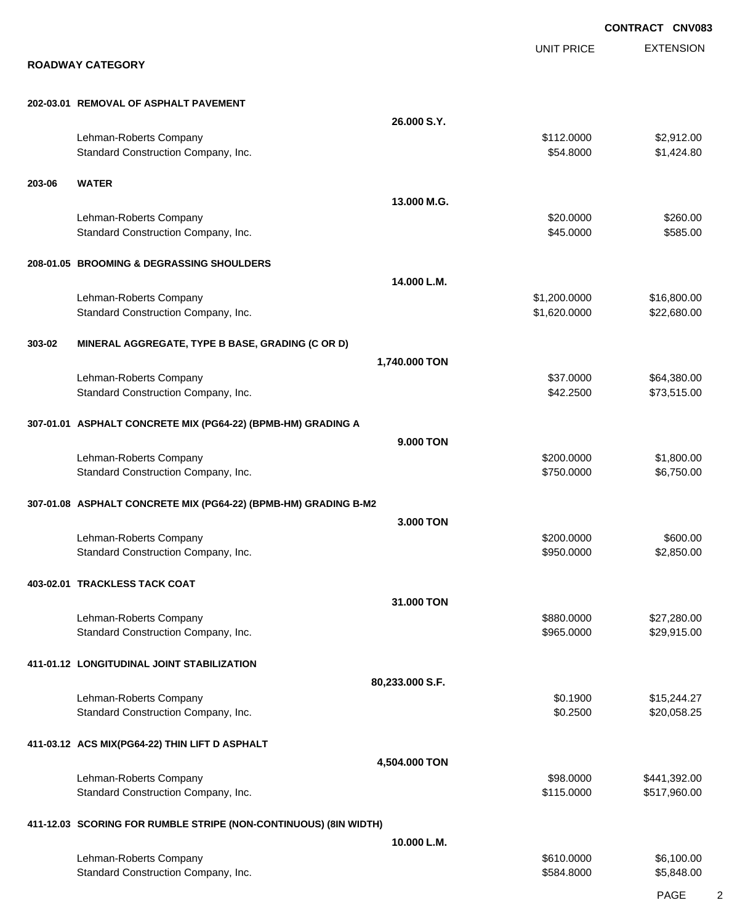EXTENSION **CONTRACT CNV083** UNIT PRICE **ROADWAY CATEGORY 202-03.01 REMOVAL OF ASPHALT PAVEMENT 26.000 S.Y.** Lehman-Roberts Company 62,912.00 Standard Construction Company, Inc. 6. The Standard Construction Company, Inc. 6. The Standard Construction Company, Inc. 6. The Standard Standard Standard Standard Standard Standard Standard Standard Standard Standard Sta **203-06 WATER 13.000 M.G.** Lehman-Roberts Company 6260.000 \$20.000 \$20.000 \$260.00 Standard Construction Company, Inc. 6. The Construction Company, Inc. 6. The Construction Company, Inc. 6. The Construction Company, Inc. 6. The Construction Company, Inc. 6. The Construction Company, Inc. 6. The Construct **208-01.05 BROOMING & DEGRASSING SHOULDERS 14.000 L.M.** Lehman-Roberts Company 616,800.00 \$1,200.0000 \$16,800.00 Standard Construction Company, Inc. 6. The Construction Company, Inc. 6. The Construction Company, Inc. 6. The Construction Company, Inc. 6. The Construction Company, Inc. 6. The Construction Company, Inc. 6. The Construct **303-02 MINERAL AGGREGATE, TYPE B BASE, GRADING (C OR D) 1,740.000 TON** Lehman-Roberts Company **\$280.00** \$64,380.00 Standard Construction Company, Inc. 6. The Construction Company, Inc. 6. The Construction Company, Inc. 6. The Construction Company, Inc. 6. The Construction Company, Inc. 6. The Construction Company, Inc. 6. The Construct **307-01.01 ASPHALT CONCRETE MIX (PG64-22) (BPMB-HM) GRADING A 9.000 TON** Lehman-Roberts Company 61,800.000 \$1,800.000 \$1,800.00 Standard Construction Company, Inc. 6. The Construction Company, Inc. 6. The Construction Company, Inc. 6. The Construction Company, Inc. 6. The Construction Company, Inc. 6. The Construction Company, Inc. 6. The Construct **307-01.08 ASPHALT CONCRETE MIX (PG64-22) (BPMB-HM) GRADING B-M2 3.000 TON** Lehman-Roberts Company 6600.000 \$600.00 \$600.00 \$600.00 Standard Construction Company, Inc. 6. The Construction Company, Inc. 6. The Construction Company, Inc. 6. The Construction Company, Inc. 6. The Construction Company, Inc. 6. The Construction Company, Inc. 6. The Construct **403-02.01 TRACKLESS TACK COAT 31.000 TON** Lehman-Roberts Company 627,280.000 \$27,280.000 \$27,280.000 \$27,280.000 \$27,280.00 Standard Construction Company, Inc. 6. The Construction Company, Inc. 6. The Construction Company, Inc. 6. The Construction Company, Inc. 6. The Construction Company, Inc. 6. The Construction Company, Inc. 6. The Construct **411-01.12 LONGITUDINAL JOINT STABILIZATION 80,233.000 S.F.** Lehman-Roberts Company **\$15,244.27** \$0.1900 \$15,244.27 Standard Construction Company, Inc. 6. The Construction Company, Inc. 6. The Construction Company, Inc. 6. The Construction Company, Inc. 6. The Construction Company, Inc. 6. The Construction Company, Inc. 6. The Construct **411-03.12 ACS MIX(PG64-22) THIN LIFT D ASPHALT 4,504.000 TON** Lehman-Roberts Company **688.0000** \$441,392.00 Standard Construction Company, Inc. 6. The Construction Company, Inc. 6. The Construction Company, Inc. 6. The Construction Company, Inc. 6. The Construction Company, Inc. 6. The Construction Company, Inc. 6. The Construct **411-12.03 SCORING FOR RUMBLE STRIPE (NON-CONTINUOUS) (8IN WIDTH) 10.000 L.M.** Lehman-Roberts Company **\$610.000** \$6,100.00 Standard Construction Company, Inc. 6. The Standard Construction Company, Inc. 6. The Standard Construction Company, Inc. 6. The Standard Standard Standard Standard Standard Standard Standard Standard Standard Standard Sta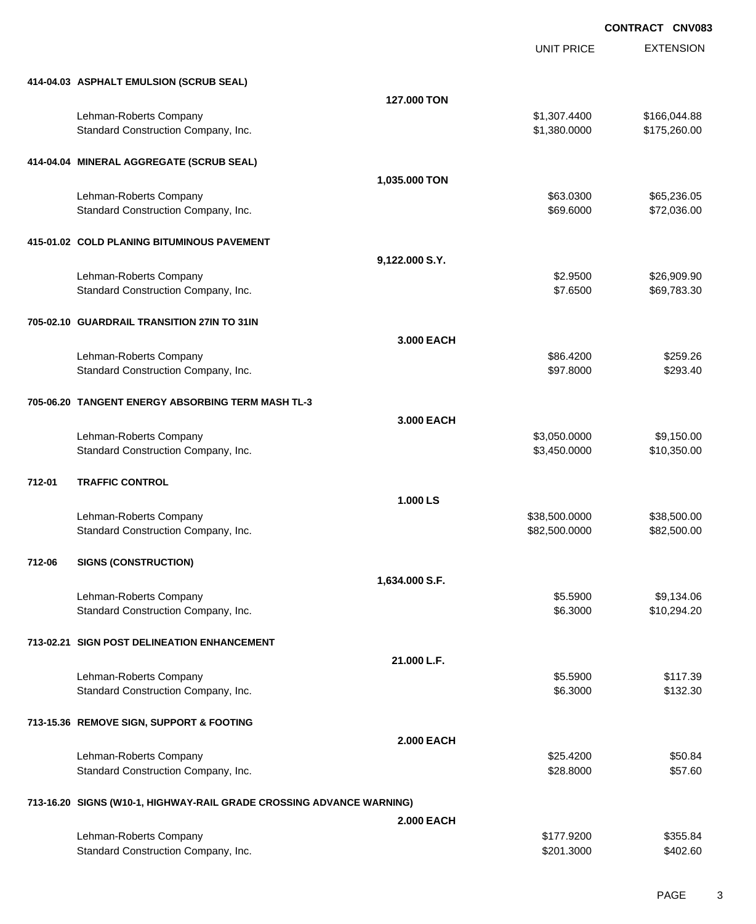UNIT PRICE

EXTENSION

|        | 414-04.03 ASPHALT EMULSION (SCRUB SEAL)                              |                   |                          |                      |
|--------|----------------------------------------------------------------------|-------------------|--------------------------|----------------------|
|        |                                                                      | 127.000 TON       |                          |                      |
|        | Lehman-Roberts Company                                               |                   | \$1,307.4400             | \$166,044.88         |
|        | Standard Construction Company, Inc.                                  |                   | \$1,380.0000             | \$175,260.00         |
|        | 414-04.04 MINERAL AGGREGATE (SCRUB SEAL)                             |                   |                          |                      |
|        |                                                                      | 1,035.000 TON     |                          |                      |
|        | Lehman-Roberts Company                                               |                   | \$63.0300                | \$65,236.05          |
|        | Standard Construction Company, Inc.                                  |                   | \$69.6000                | \$72,036.00          |
|        | 415-01.02 COLD PLANING BITUMINOUS PAVEMENT                           |                   |                          |                      |
|        |                                                                      | 9,122.000 S.Y.    |                          |                      |
|        | Lehman-Roberts Company                                               |                   | \$2.9500                 | \$26,909.90          |
|        | Standard Construction Company, Inc.                                  |                   | \$7.6500                 | \$69,783.30          |
|        | 705-02.10 GUARDRAIL TRANSITION 27IN TO 31IN                          |                   |                          |                      |
|        |                                                                      | 3,000 EACH        |                          |                      |
|        | Lehman-Roberts Company                                               |                   | \$86.4200                | \$259.26             |
|        | Standard Construction Company, Inc.                                  |                   | \$97.8000                | \$293.40             |
|        | 705-06.20 TANGENT ENERGY ABSORBING TERM MASH TL-3                    |                   |                          |                      |
|        |                                                                      | 3.000 EACH        |                          |                      |
|        | Lehman-Roberts Company                                               |                   | \$3,050.0000             | \$9,150.00           |
|        | Standard Construction Company, Inc.                                  |                   | \$3,450.0000             | \$10,350.00          |
|        |                                                                      |                   |                          |                      |
| 712-01 | <b>TRAFFIC CONTROL</b>                                               |                   |                          |                      |
|        |                                                                      | 1.000 LS          |                          |                      |
|        | Lehman-Roberts Company                                               |                   | \$38,500.0000            | \$38,500.00          |
|        | Standard Construction Company, Inc.                                  |                   | \$82,500.0000            | \$82,500.00          |
| 712-06 | <b>SIGNS (CONSTRUCTION)</b>                                          |                   |                          |                      |
|        |                                                                      | 1,634.000 S.F.    |                          |                      |
|        | Lehman-Roberts Company                                               |                   | \$5.5900                 | \$9,134.06           |
|        | Standard Construction Company, Inc.                                  |                   | \$6.3000                 | \$10,294.20          |
|        | 713-02.21 SIGN POST DELINEATION ENHANCEMENT                          |                   |                          |                      |
|        |                                                                      | 21.000 L.F.       |                          |                      |
|        | Lehman-Roberts Company                                               |                   | \$5.5900                 | \$117.39             |
|        | Standard Construction Company, Inc.                                  |                   | \$6.3000                 | \$132.30             |
|        | 713-15.36 REMOVE SIGN, SUPPORT & FOOTING                             |                   |                          |                      |
|        |                                                                      | <b>2.000 EACH</b> |                          |                      |
|        | Lehman-Roberts Company                                               |                   | \$25.4200                | \$50.84              |
|        | Standard Construction Company, Inc.                                  |                   | \$28.8000                | \$57.60              |
|        | 713-16.20 SIGNS (W10-1, HIGHWAY-RAIL GRADE CROSSING ADVANCE WARNING) |                   |                          |                      |
|        |                                                                      | <b>2.000 EACH</b> |                          |                      |
|        | Lehman-Roberts Company<br>Standard Construction Company, Inc.        |                   | \$177.9200<br>\$201.3000 | \$355.84<br>\$402.60 |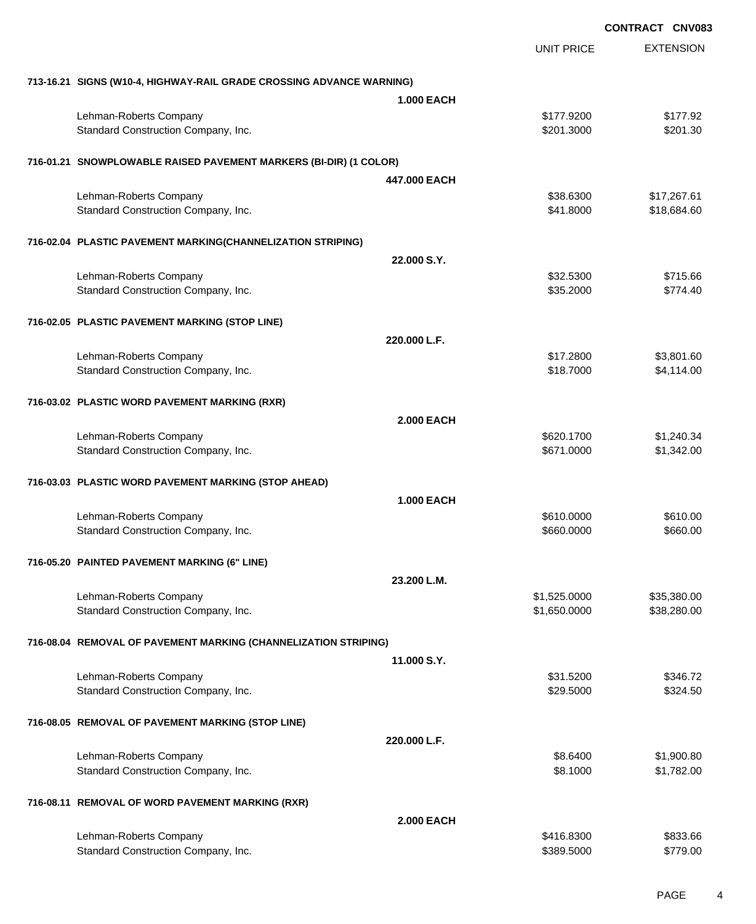|                                                                      |                   | <b>CONTRACT CNV083</b> |                          |
|----------------------------------------------------------------------|-------------------|------------------------|--------------------------|
|                                                                      |                   | <b>UNIT PRICE</b>      | <b>EXTENSION</b>         |
| 713-16.21 SIGNS (W10-4, HIGHWAY-RAIL GRADE CROSSING ADVANCE WARNING) |                   |                        |                          |
|                                                                      | <b>1.000 EACH</b> |                        |                          |
| Lehman-Roberts Company                                               |                   | \$177.9200             | \$177.92                 |
| Standard Construction Company, Inc.                                  |                   | \$201.3000             | \$201.30                 |
| 716-01.21 SNOWPLOWABLE RAISED PAVEMENT MARKERS (BI-DIR) (1 COLOR)    |                   |                        |                          |
|                                                                      | 447,000 EACH      |                        |                          |
| Lehman-Roberts Company                                               |                   | \$38.6300              | \$17,267.61              |
| Standard Construction Company, Inc.                                  |                   | \$41.8000              | \$18,684.60              |
| 716-02.04 PLASTIC PAVEMENT MARKING(CHANNELIZATION STRIPING)          |                   |                        |                          |
|                                                                      | 22.000 S.Y.       |                        |                          |
| Lehman-Roberts Company                                               |                   | \$32.5300              | \$715.66                 |
| Standard Construction Company, Inc.                                  |                   | \$35.2000              | \$774.40                 |
| 716-02.05 PLASTIC PAVEMENT MARKING (STOP LINE)                       |                   |                        |                          |
|                                                                      | 220.000 L.F.      |                        |                          |
| Lehman-Roberts Company                                               |                   | \$17.2800              | \$3,801.60               |
| Standard Construction Company, Inc.                                  |                   | \$18.7000              | \$4,114.00               |
| 716-03.02 PLASTIC WORD PAVEMENT MARKING (RXR)                        |                   |                        |                          |
|                                                                      | <b>2.000 EACH</b> |                        |                          |
| Lehman-Roberts Company                                               |                   | \$620.1700             | \$1,240.34               |
| Standard Construction Company, Inc.                                  |                   | \$671.0000             | \$1,342.00               |
| 716-03.03 PLASTIC WORD PAVEMENT MARKING (STOP AHEAD)                 |                   |                        |                          |
|                                                                      | <b>1.000 EACH</b> |                        |                          |
| Lehman-Roberts Company                                               |                   | \$610.0000             | \$610.00                 |
| Standard Construction Company, Inc.                                  |                   | \$660.0000             | \$660.00                 |
| 716-05.20 PAINTED PAVEMENT MARKING (6" LINE)                         |                   |                        |                          |
|                                                                      | 23.200 L.M.       |                        |                          |
| Lehman-Roberts Company                                               |                   | \$1,525.0000           | \$35,380.00              |
| Standard Construction Company, Inc.                                  |                   | \$1,650.0000           | \$38,280.00              |
| 716-08.04 REMOVAL OF PAVEMENT MARKING (CHANNELIZATION STRIPING)      |                   |                        |                          |
|                                                                      | 11.000 S.Y.       |                        |                          |
| Lehman-Roberts Company<br>Standard Construction Company, Inc.        |                   | \$31.5200              | \$346.72                 |
|                                                                      |                   | \$29.5000              | \$324.50                 |
| 716-08.05 REMOVAL OF PAVEMENT MARKING (STOP LINE)                    |                   |                        |                          |
|                                                                      | 220.000 L.F.      |                        |                          |
| Lehman-Roberts Company<br>Standard Construction Company, Inc.        |                   | \$8.6400<br>\$8.1000   | \$1,900.80<br>\$1,782.00 |
|                                                                      |                   |                        |                          |
| 716-08.11 REMOVAL OF WORD PAVEMENT MARKING (RXR)                     | <b>2.000 EACH</b> |                        |                          |
| Lehman-Roberts Company                                               |                   | \$416.8300             | \$833.66                 |
| Standard Construction Company, Inc.                                  |                   | \$389.5000             | \$779.00                 |
|                                                                      |                   |                        |                          |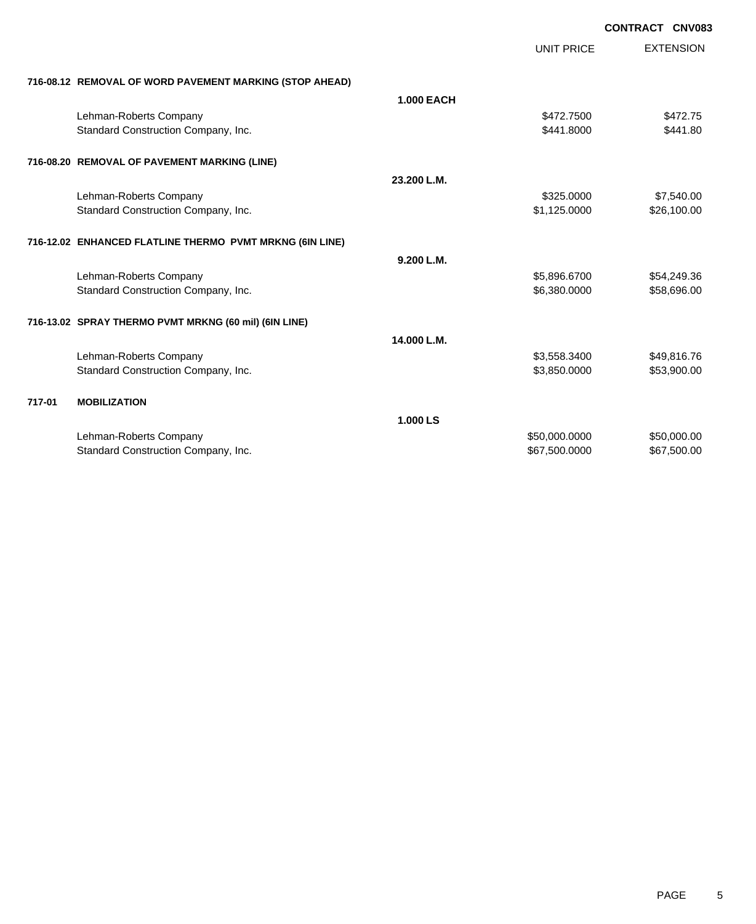|        |                                                          |                   |                   | <b>CONTRACT CNV083</b> |
|--------|----------------------------------------------------------|-------------------|-------------------|------------------------|
|        |                                                          |                   | <b>UNIT PRICE</b> | <b>EXTENSION</b>       |
|        | 716-08.12 REMOVAL OF WORD PAVEMENT MARKING (STOP AHEAD)  |                   |                   |                        |
|        |                                                          | <b>1.000 EACH</b> |                   |                        |
|        | Lehman-Roberts Company                                   |                   | \$472,7500        | \$472.75               |
|        | Standard Construction Company, Inc.                      |                   | \$441.8000        | \$441.80               |
|        | 716-08.20 REMOVAL OF PAVEMENT MARKING (LINE)             |                   |                   |                        |
|        |                                                          | 23.200 L.M.       |                   |                        |
|        | Lehman-Roberts Company                                   |                   | \$325.0000        | \$7,540.00             |
|        | Standard Construction Company, Inc.                      |                   | \$1,125.0000      | \$26,100.00            |
|        | 716-12.02 ENHANCED FLATLINE THERMO PVMT MRKNG (6IN LINE) |                   |                   |                        |
|        |                                                          | 9.200 L.M.        |                   |                        |
|        | Lehman-Roberts Company                                   |                   | \$5,896.6700      | \$54,249.36            |
|        | Standard Construction Company, Inc.                      |                   | \$6,380.0000      | \$58,696.00            |
|        | 716-13.02 SPRAY THERMO PVMT MRKNG (60 mil) (6IN LINE)    |                   |                   |                        |
|        |                                                          | 14.000 L.M.       |                   |                        |
|        | Lehman-Roberts Company                                   |                   | \$3,558.3400      | \$49,816.76            |
|        | Standard Construction Company, Inc.                      |                   | \$3,850.0000      | \$53,900.00            |
| 717-01 | <b>MOBILIZATION</b>                                      |                   |                   |                        |
|        |                                                          | 1.000 LS          |                   |                        |
|        | Lehman-Roberts Company                                   |                   | \$50,000.0000     | \$50,000.00            |
|        | Standard Construction Company, Inc.                      |                   | \$67,500.0000     | \$67,500.00            |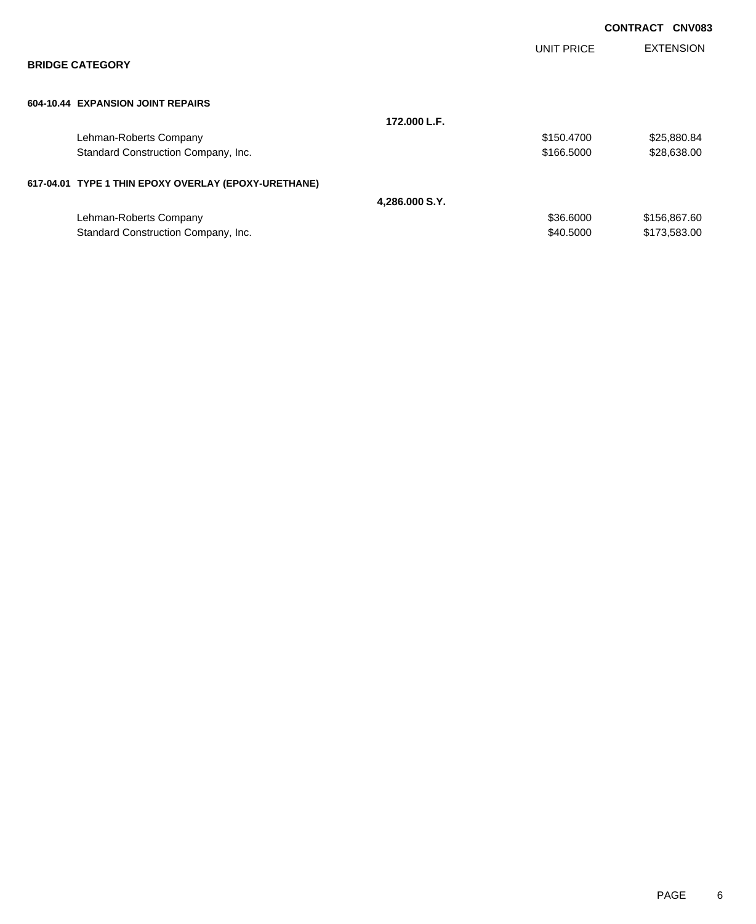|                                                      |                |            | <b>CONTRACT</b> | <b>CNV083</b>    |
|------------------------------------------------------|----------------|------------|-----------------|------------------|
|                                                      |                | UNIT PRICE |                 | <b>EXTENSION</b> |
| <b>BRIDGE CATEGORY</b>                               |                |            |                 |                  |
| 604-10.44 EXPANSION JOINT REPAIRS                    |                |            |                 |                  |
|                                                      | 172.000 L.F.   |            |                 |                  |
| Lehman-Roberts Company                               |                | \$150.4700 |                 | \$25,880.84      |
| Standard Construction Company, Inc.                  |                | \$166.5000 |                 | \$28,638.00      |
| 617-04.01 TYPE 1 THIN EPOXY OVERLAY (EPOXY-URETHANE) |                |            |                 |                  |
|                                                      | 4,286.000 S.Y. |            |                 |                  |
| Lehman-Roberts Company                               |                | \$36.6000  |                 | \$156,867.60     |
| Standard Construction Company, Inc.                  |                | \$40,5000  |                 | \$173,583.00     |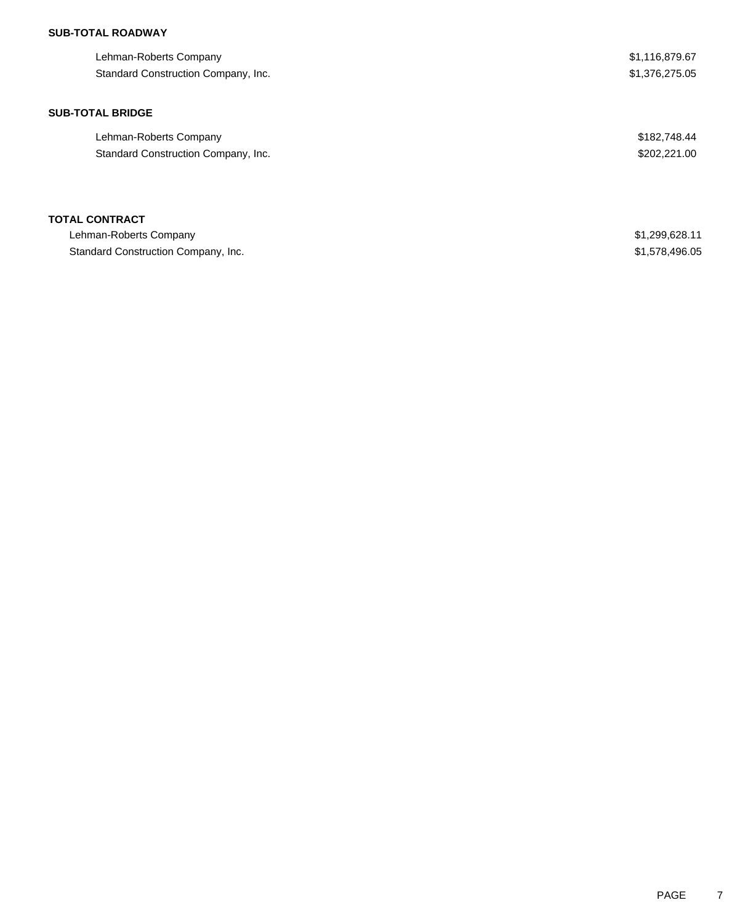## **SUB-TOTAL ROADWAY**

| Lehman-Roberts Company<br>Standard Construction Company, Inc. | \$1,116,879.67<br>\$1,376,275.05 |
|---------------------------------------------------------------|----------------------------------|
|                                                               |                                  |
| <b>SUB-TOTAL BRIDGE</b>                                       |                                  |
| Lehman-Roberts Company                                        | \$182,748.44                     |
| Standard Construction Company, Inc.                           | \$202,221.00                     |
| <b>TOTAL CONTRACT</b>                                         |                                  |
| Lehman-Roberts Company                                        | \$1,299,628.11                   |
| Standard Construction Company, Inc.                           | \$1,578,496.05                   |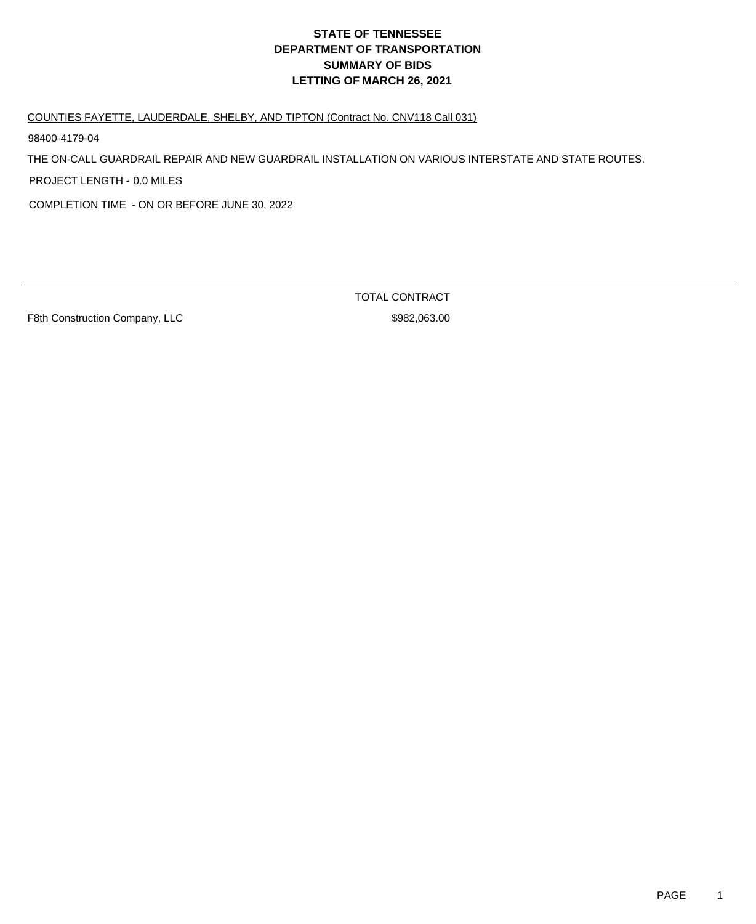### COUNTIES FAYETTE, LAUDERDALE, SHELBY, AND TIPTON (Contract No. CNV118 Call 031)

98400-4179-04

THE ON-CALL GUARDRAIL REPAIR AND NEW GUARDRAIL INSTALLATION ON VARIOUS INTERSTATE AND STATE ROUTES.

PROJECT LENGTH - 0.0 MILES

COMPLETION TIME - ON OR BEFORE JUNE 30, 2022

F8th Construction Company, LLC \$982,063.00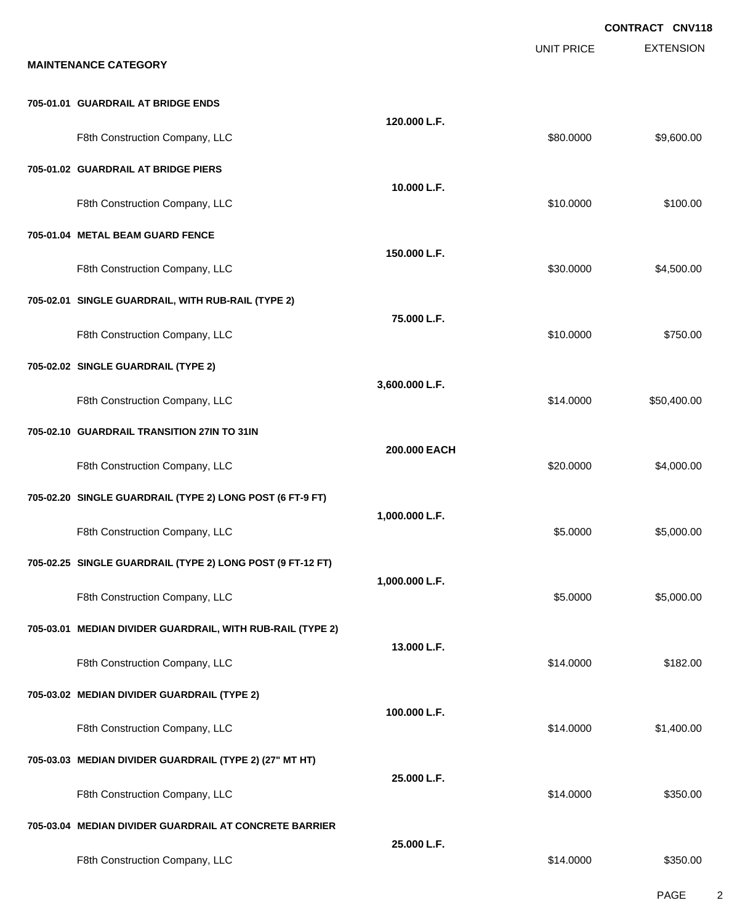|                                                            |                |                   | CONTRACT CNV118  |
|------------------------------------------------------------|----------------|-------------------|------------------|
| <b>MAINTENANCE CATEGORY</b>                                |                | <b>UNIT PRICE</b> | <b>EXTENSION</b> |
|                                                            |                |                   |                  |
| 705-01.01 GUARDRAIL AT BRIDGE ENDS                         |                |                   |                  |
| F8th Construction Company, LLC                             | 120.000 L.F.   | \$80.0000         | \$9,600.00       |
| 705-01.02 GUARDRAIL AT BRIDGE PIERS                        |                |                   |                  |
| F8th Construction Company, LLC                             | 10.000 L.F.    | \$10.0000         | \$100.00         |
| 705-01.04 METAL BEAM GUARD FENCE                           |                |                   |                  |
| F8th Construction Company, LLC                             | 150.000 L.F.   | \$30.0000         | \$4,500.00       |
| 705-02.01 SINGLE GUARDRAIL, WITH RUB-RAIL (TYPE 2)         |                |                   |                  |
| F8th Construction Company, LLC                             | 75,000 L.F.    | \$10.0000         | \$750.00         |
| 705-02.02 SINGLE GUARDRAIL (TYPE 2)                        |                |                   |                  |
| F8th Construction Company, LLC                             | 3,600.000 L.F. | \$14.0000         | \$50,400.00      |
| 705-02.10 GUARDRAIL TRANSITION 27IN TO 31IN                |                |                   |                  |
| F8th Construction Company, LLC                             | 200.000 EACH   | \$20.0000         | \$4,000.00       |
| 705-02.20 SINGLE GUARDRAIL (TYPE 2) LONG POST (6 FT-9 FT)  |                |                   |                  |
| F8th Construction Company, LLC                             | 1,000.000 L.F. | \$5.0000          | \$5,000.00       |
| 705-02.25 SINGLE GUARDRAIL (TYPE 2) LONG POST (9 FT-12 FT) |                |                   |                  |
| F8th Construction Company, LLC                             | 1,000.000 L.F. | \$5.0000          | \$5,000.00       |
| 705-03.01 MEDIAN DIVIDER GUARDRAIL, WITH RUB-RAIL (TYPE 2) |                |                   |                  |
| F8th Construction Company, LLC                             | 13.000 L.F.    | \$14.0000         | \$182.00         |
| 705-03.02 MEDIAN DIVIDER GUARDRAIL (TYPE 2)                |                |                   |                  |
| F8th Construction Company, LLC                             | 100.000 L.F.   | \$14.0000         | \$1,400.00       |
| 705-03.03 MEDIAN DIVIDER GUARDRAIL (TYPE 2) (27" MT HT)    |                |                   |                  |
| F8th Construction Company, LLC                             | 25,000 L.F.    | \$14.0000         | \$350.00         |
| 705-03.04 MEDIAN DIVIDER GUARDRAIL AT CONCRETE BARRIER     |                |                   |                  |
| F8th Construction Company, LLC                             | 25.000 L.F.    | \$14.0000         | \$350.00         |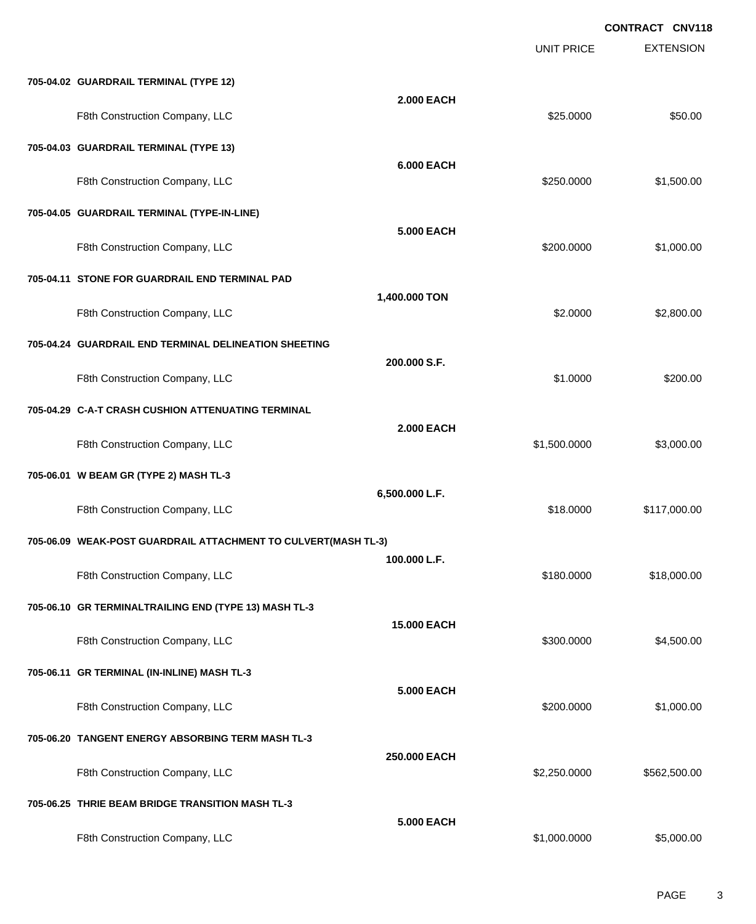|                                                                |                    | <b>UNIT PRICE</b> | <b>EXTENSION</b> |
|----------------------------------------------------------------|--------------------|-------------------|------------------|
| 705-04.02 GUARDRAIL TERMINAL (TYPE 12)                         |                    |                   |                  |
| F8th Construction Company, LLC                                 | <b>2.000 EACH</b>  | \$25.0000         | \$50.00          |
| 705-04.03 GUARDRAIL TERMINAL (TYPE 13)                         |                    |                   |                  |
| F8th Construction Company, LLC                                 | <b>6.000 EACH</b>  | \$250.0000        | \$1,500.00       |
| 705-04.05 GUARDRAIL TERMINAL (TYPE-IN-LINE)                    |                    |                   |                  |
| F8th Construction Company, LLC                                 | 5.000 EACH         | \$200.0000        | \$1,000.00       |
| 705-04.11 STONE FOR GUARDRAIL END TERMINAL PAD                 | 1,400.000 TON      |                   |                  |
| F8th Construction Company, LLC                                 |                    | \$2.0000          | \$2,800.00       |
| 705-04.24 GUARDRAIL END TERMINAL DELINEATION SHEETING          | 200.000 S.F.       |                   |                  |
| F8th Construction Company, LLC                                 |                    | \$1.0000          | \$200.00         |
| 705-04.29 C-A-T CRASH CUSHION ATTENUATING TERMINAL             | <b>2.000 EACH</b>  |                   |                  |
| F8th Construction Company, LLC                                 |                    | \$1,500.0000      | \$3,000.00       |
| 705-06.01 W BEAM GR (TYPE 2) MASH TL-3                         | 6,500.000 L.F.     |                   |                  |
| F8th Construction Company, LLC                                 |                    | \$18.0000         | \$117,000.00     |
| 705-06.09 WEAK-POST GUARDRAIL ATTACHMENT TO CULVERT(MASH TL-3) | 100.000 L.F.       |                   |                  |
| F8th Construction Company, LLC                                 |                    | \$180.0000        | \$18,000.00      |
| 705-06.10 GR TERMINALTRAILING END (TYPE 13) MASH TL-3          | <b>15.000 EACH</b> |                   |                  |
| F8th Construction Company, LLC                                 |                    | \$300.0000        | \$4,500.00       |
| 705-06.11 GR TERMINAL (IN-INLINE) MASH TL-3                    | <b>5.000 EACH</b>  |                   |                  |
| F8th Construction Company, LLC                                 |                    | \$200.0000        | \$1,000.00       |
| 705-06.20 TANGENT ENERGY ABSORBING TERM MASH TL-3              | 250.000 EACH       |                   |                  |
| F8th Construction Company, LLC                                 |                    | \$2,250.0000      | \$562,500.00     |
| 705-06.25 THRIE BEAM BRIDGE TRANSITION MASH TL-3               | 5.000 EACH         |                   |                  |
| F8th Construction Company, LLC                                 |                    | \$1,000.0000      | \$5,000.00       |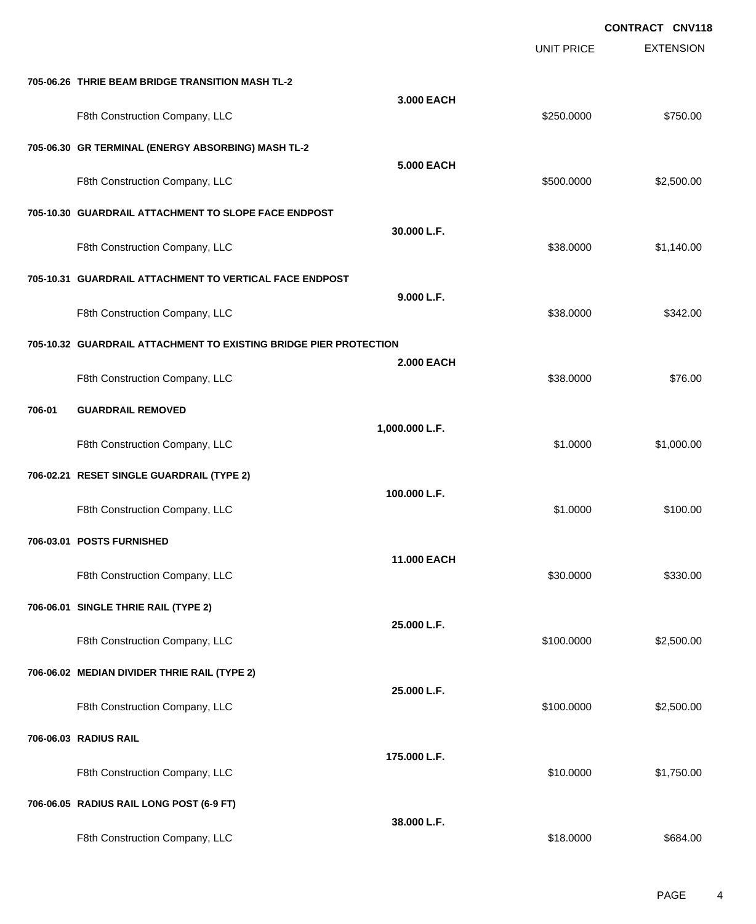EXTENSION **CONTRACT CNV118** UNIT PRICE **705-06.26 THRIE BEAM BRIDGE TRANSITION MASH TL-2 3.000 EACH** F8th Construction Company, LLC 6750.000 \$750.000 \$750.00 **705-06.30 GR TERMINAL (ENERGY ABSORBING) MASH TL-2 5.000 EACH** F8th Construction Company, LLC 6. The state of the state of the state of the state of the state of the state of the state of the state of the state of the state of the state of the state of the state of the state of the st **705-10.30 GUARDRAIL ATTACHMENT TO SLOPE FACE ENDPOST 30.000 L.F.** F8th Construction Company, LLC 6 and the state of the state of the state of the state of the state of the state of the state of the state of the state of the state of the state of the state of the state of the state of the **705-10.31 GUARDRAIL ATTACHMENT TO VERTICAL FACE ENDPOST 9.000 L.F.** F8th Construction Company, LLC 6342.00 \$38.0000 \$342.00 **705-10.32 GUARDRAIL ATTACHMENT TO EXISTING BRIDGE PIER PROTECTION 2.000 EACH** F8th Construction Company, LLC 6 and the state of the state of the state  $$38.0000$  \$76.00 **706-01 GUARDRAIL REMOVED 1,000.000 L.F.** F8th Construction Company, LLC 61.000.00 \$1,000.00 \$1,000.00 \$1,000.00 \$1,000.00 **706-02.21 RESET SINGLE GUARDRAIL (TYPE 2) 100.000 L.F.** F8th Construction Company, LLC 61.0000 \$100.00 **706-03.01 POSTS FURNISHED 11.000 EACH** F8th Construction Company, LLC 6330.000 \$330.000 \$330.000 \$330.000 \$330.000 \$330.00 **706-06.01 SINGLE THRIE RAIL (TYPE 2) 25.000 L.F.** F8th Construction Company, LLC 6. The Construction Company, LLC 6. The Construction Company, LLC 6. The Construction Company, LLC **706-06.02 MEDIAN DIVIDER THRIE RAIL (TYPE 2) 25.000 L.F.** F8th Construction Company, LLC 6. The Construction Company, LLC 6. The Construction Company, LLC 6. The Construction Company, LLC **706-06.03 RADIUS RAIL 175.000 L.F.** F8th Construction Company, LLC 61,750.00 \$1,750.00 **706-06.05 RADIUS RAIL LONG POST (6-9 FT) 38.000 L.F.** F8th Construction Company, LLC 6684.00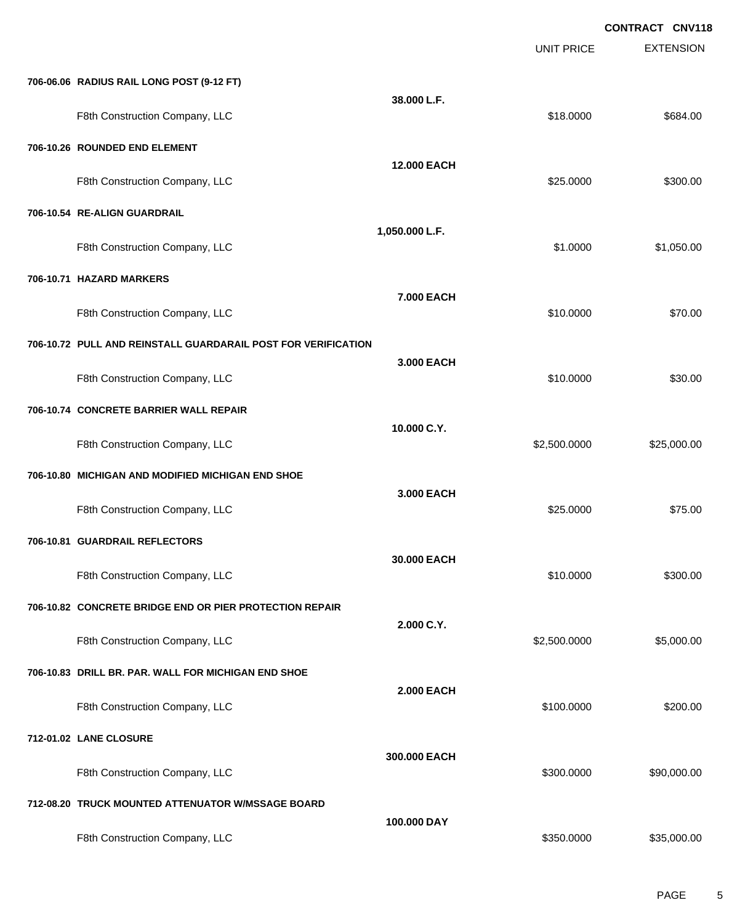EXTENSION **CONTRACT CNV118** UNIT PRICE **706-06.06 RADIUS RAIL LONG POST (9-12 FT) 38.000 L.F.** F8th Construction Company, LLC 6684.00 **706-10.26 ROUNDED END ELEMENT 12.000 EACH** F8th Construction Company, LLC 6300.00 \$300.00 \$300.00 **706-10.54 RE-ALIGN GUARDRAIL 1,050.000 L.F.** F8th Construction Company, LLC 61,050.00 \$1,050.00 **706-10.71 HAZARD MARKERS 7.000 EACH** F8th Construction Company, LLC 610 and the state of the state of the state of the state of the state of the state of the state of the state of the state of the state of the state of the state of the state of the state of t **706-10.72 PULL AND REINSTALL GUARDARAIL POST FOR VERIFICATION 3.000 EACH** F8th Construction Company, LLC 61 and the state of the state of the state of the state of the state of the state of the state of the state of the state of the state of the state of the state of the state of the state of th **706-10.74 CONCRETE BARRIER WALL REPAIR 10.000 C.Y.** F8th Construction Company, LLC 6.6 and 525,000.00 \$2,500.000 \$2,500.000 \$25,000.00 **706-10.80 MICHIGAN AND MODIFIED MICHIGAN END SHOE 3.000 EACH** F8th Construction Company, LLC 6 and the state of the state of the state of the state of the state of the state of the state of the state of the state of the state of the state of the state of the state of the state of the **706-10.81 GUARDRAIL REFLECTORS 30.000 EACH** F8th Construction Company, LLC 6300.00 \$300.00 \$300.00 **706-10.82 CONCRETE BRIDGE END OR PIER PROTECTION REPAIR 2.000 C.Y.** F8th Construction Company, LLC 6. The Construction Company, LLC 6. The Construction Company, LLC **706-10.83 DRILL BR. PAR. WALL FOR MICHIGAN END SHOE 2.000 EACH** F8th Construction Company, LLC 6200.000 \$200.000 \$200.000 \$200.000 \$200.00 **712-01.02 LANE CLOSURE 300.000 EACH** F8th Construction Company, LLC 6. The state of the state of the state of the state  $$300.0000$  \$90,000.000 \$90,000.00 **712-08.20 TRUCK MOUNTED ATTENUATOR W/MSSAGE BOARD 100.000 DAY** F8th Construction Company, LLC 6. The state of the state of the state of the state  $$350.0000$  \$35,000.00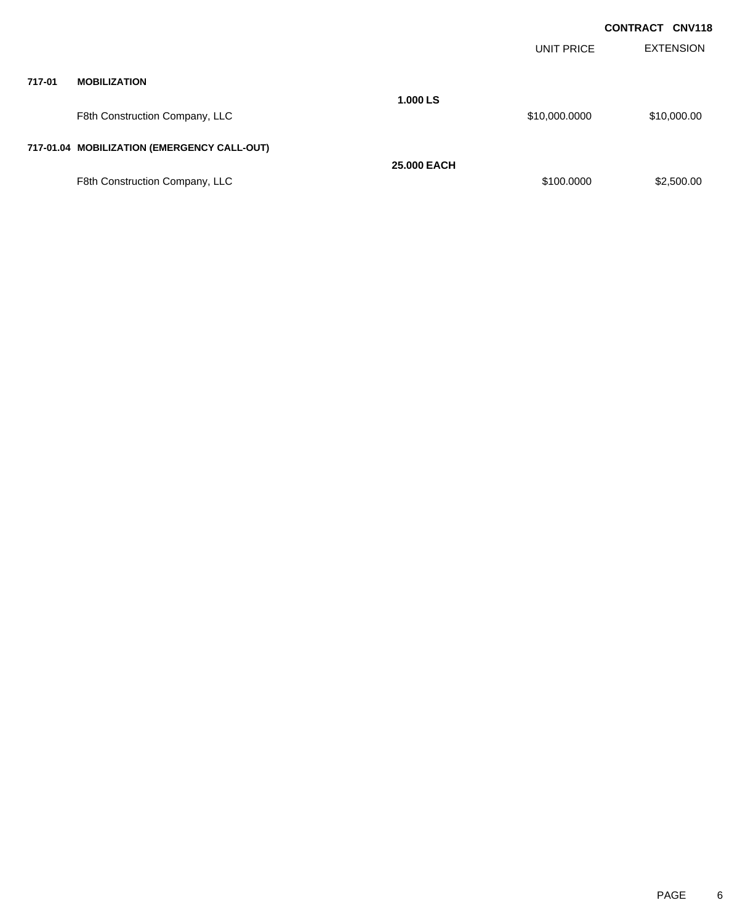|        |                                             |                    |               | <b>CONTRACT CNV118</b> |
|--------|---------------------------------------------|--------------------|---------------|------------------------|
|        |                                             |                    | UNIT PRICE    | <b>EXTENSION</b>       |
| 717-01 | <b>MOBILIZATION</b>                         |                    |               |                        |
|        | F8th Construction Company, LLC              | 1.000 LS           | \$10,000.0000 | \$10,000.00            |
|        | 717-01.04 MOBILIZATION (EMERGENCY CALL-OUT) |                    |               |                        |
|        |                                             | <b>25,000 EACH</b> |               |                        |
|        | F8th Construction Company, LLC              |                    | \$100.0000    | \$2,500.00             |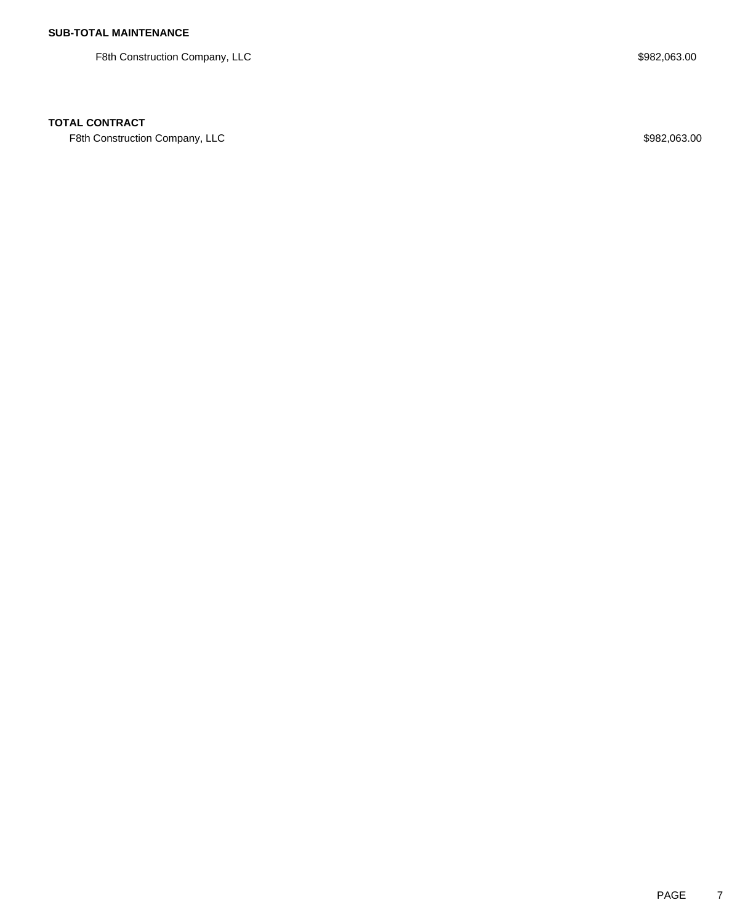F8th Construction Company, LLC 600 and the state of the state of the state of the state of the state of the state of the state of the state of the state of the state of the state of the state of the state of the state of t

## **TOTAL CONTRACT**

F8th Construction Company, LLC 600 and the state of the state of the state of the state of the state of the state of the state of the state of the state of the state of the state of the state of the state of the state of t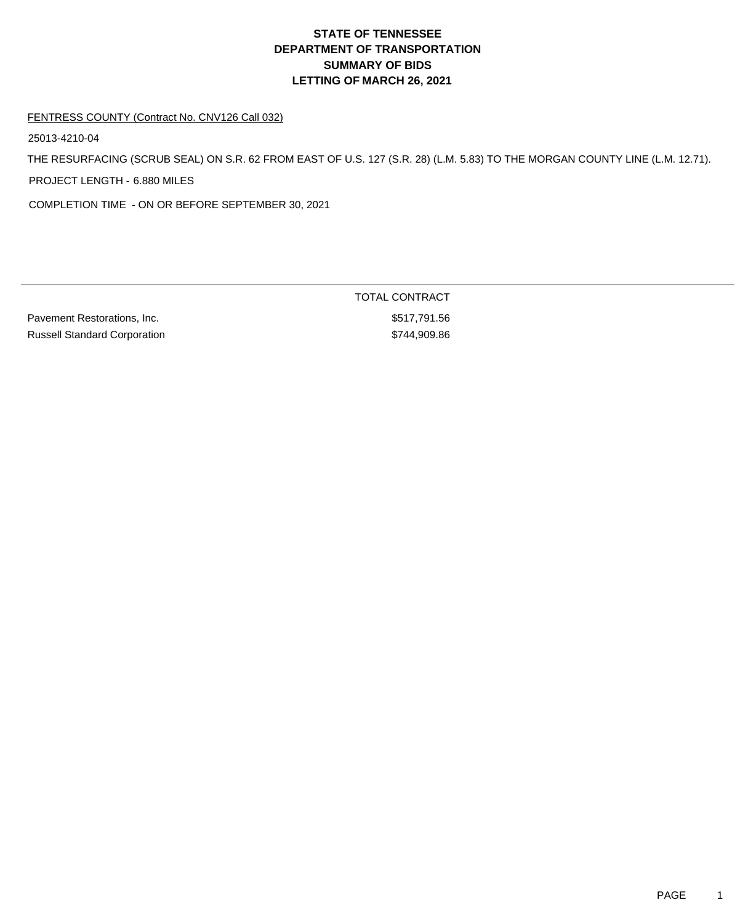#### FENTRESS COUNTY (Contract No. CNV126 Call 032)

25013-4210-04

THE RESURFACING (SCRUB SEAL) ON S.R. 62 FROM EAST OF U.S. 127 (S.R. 28) (L.M. 5.83) TO THE MORGAN COUNTY LINE (L.M. 12.71). PROJECT LENGTH - 6.880 MILES

COMPLETION TIME - ON OR BEFORE SEPTEMBER 30, 2021

Pavement Restorations, Inc. 6. The extension of the state of the state of the state of the state of the state of the state of the state of the state of the state of the state of the state of the state of the state of the s Russell Standard Corporation **\$744,909.86**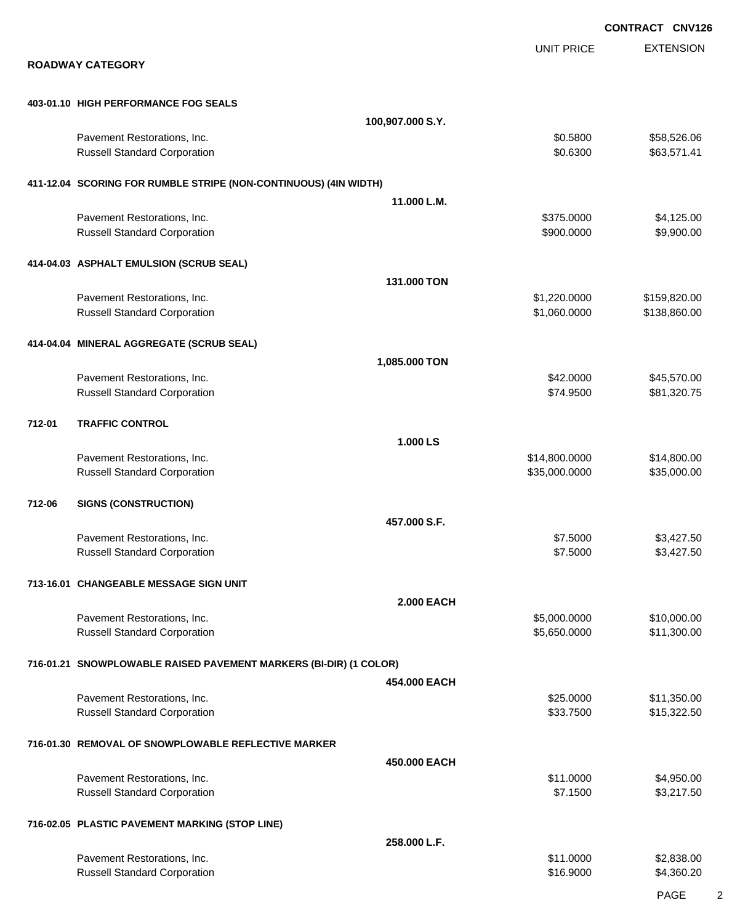|        |                                                                    |                   |                                | <b>CONTRACT CNV126</b>       |
|--------|--------------------------------------------------------------------|-------------------|--------------------------------|------------------------------|
|        | <b>ROADWAY CATEGORY</b>                                            |                   | <b>UNIT PRICE</b>              | <b>EXTENSION</b>             |
|        |                                                                    |                   |                                |                              |
|        | 403-01.10 HIGH PERFORMANCE FOG SEALS                               |                   |                                |                              |
|        |                                                                    | 100,907.000 S.Y.  |                                |                              |
|        | Pavement Restorations, Inc.<br><b>Russell Standard Corporation</b> |                   | \$0.5800<br>\$0.6300           | \$58,526.06<br>\$63,571.41   |
|        | 411-12.04 SCORING FOR RUMBLE STRIPE (NON-CONTINUOUS) (4IN WIDTH)   |                   |                                |                              |
|        |                                                                    | 11.000 L.M.       |                                |                              |
|        | Pavement Restorations, Inc.<br><b>Russell Standard Corporation</b> |                   | \$375.0000<br>\$900.0000       | \$4,125.00<br>\$9,900.00     |
|        | 414-04.03 ASPHALT EMULSION (SCRUB SEAL)                            |                   |                                |                              |
|        |                                                                    | 131.000 TON       |                                |                              |
|        | Pavement Restorations, Inc.<br><b>Russell Standard Corporation</b> |                   | \$1,220.0000<br>\$1,060.0000   | \$159,820.00<br>\$138,860.00 |
|        | 414-04.04 MINERAL AGGREGATE (SCRUB SEAL)                           |                   |                                |                              |
|        |                                                                    | 1,085.000 TON     |                                |                              |
|        | Pavement Restorations, Inc.<br><b>Russell Standard Corporation</b> |                   | \$42.0000<br>\$74.9500         | \$45,570.00<br>\$81,320.75   |
| 712-01 | <b>TRAFFIC CONTROL</b>                                             |                   |                                |                              |
|        |                                                                    | 1.000 LS          |                                |                              |
|        | Pavement Restorations, Inc.<br><b>Russell Standard Corporation</b> |                   | \$14,800.0000<br>\$35,000.0000 | \$14,800.00<br>\$35,000.00   |
| 712-06 | <b>SIGNS (CONSTRUCTION)</b>                                        |                   |                                |                              |
|        |                                                                    | 457.000 S.F.      |                                |                              |
|        | Pavement Restorations, Inc.<br><b>Russell Standard Corporation</b> |                   | \$7.5000<br>\$7.5000           | \$3,427.50<br>\$3,427.50     |
|        | 713-16.01 CHANGEABLE MESSAGE SIGN UNIT                             |                   |                                |                              |
|        |                                                                    | <b>2.000 EACH</b> |                                |                              |
|        | Pavement Restorations, Inc.<br><b>Russell Standard Corporation</b> |                   | \$5,000.0000<br>\$5,650.0000   | \$10,000.00<br>\$11,300.00   |
|        | 716-01.21 SNOWPLOWABLE RAISED PAVEMENT MARKERS (BI-DIR) (1 COLOR)  |                   |                                |                              |
|        |                                                                    | 454.000 EACH      |                                |                              |
|        | Pavement Restorations, Inc.<br><b>Russell Standard Corporation</b> |                   | \$25.0000<br>\$33.7500         | \$11,350.00<br>\$15,322.50   |
|        | 716-01.30 REMOVAL OF SNOWPLOWABLE REFLECTIVE MARKER                |                   |                                |                              |
|        |                                                                    | 450.000 EACH      |                                |                              |
|        | Pavement Restorations, Inc.<br><b>Russell Standard Corporation</b> |                   | \$11.0000<br>\$7.1500          | \$4,950.00<br>\$3,217.50     |
|        | 716-02.05 PLASTIC PAVEMENT MARKING (STOP LINE)                     |                   |                                |                              |
|        | Pavement Restorations, Inc.                                        | 258.000 L.F.      | \$11.0000                      | \$2,838.00                   |
|        | <b>Russell Standard Corporation</b>                                |                   | \$16.9000                      | \$4,360.20                   |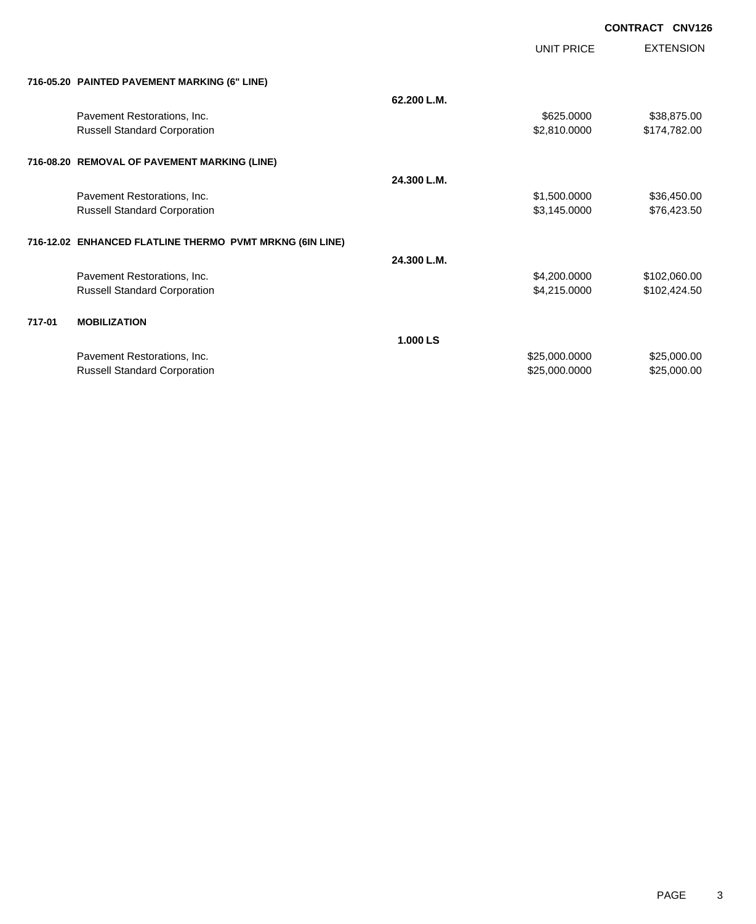|        |                                                          |             | <b>UNIT PRICE</b> | <b>EXTENSION</b> |
|--------|----------------------------------------------------------|-------------|-------------------|------------------|
|        |                                                          |             |                   |                  |
|        | 716-05.20 PAINTED PAVEMENT MARKING (6" LINE)             | 62.200 L.M. |                   |                  |
|        |                                                          |             |                   |                  |
|        | Pavement Restorations, Inc.                              |             | \$625.0000        | \$38,875.00      |
|        | <b>Russell Standard Corporation</b>                      |             | \$2,810.0000      | \$174,782.00     |
|        | 716-08.20 REMOVAL OF PAVEMENT MARKING (LINE)             |             |                   |                  |
|        |                                                          | 24.300 L.M. |                   |                  |
|        | Pavement Restorations, Inc.                              |             | \$1,500.0000      | \$36,450.00      |
|        | <b>Russell Standard Corporation</b>                      |             | \$3,145.0000      | \$76,423.50      |
|        |                                                          |             |                   |                  |
|        | 716-12.02 ENHANCED FLATLINE THERMO PVMT MRKNG (6IN LINE) |             |                   |                  |
|        |                                                          | 24.300 L.M. |                   |                  |
|        | Pavement Restorations, Inc.                              |             | \$4,200.0000      | \$102,060.00     |
|        | <b>Russell Standard Corporation</b>                      |             | \$4,215.0000      | \$102,424.50     |
|        |                                                          |             |                   |                  |
| 717-01 | <b>MOBILIZATION</b>                                      |             |                   |                  |
|        |                                                          | 1.000 LS    |                   |                  |
|        | Pavement Restorations, Inc.                              |             | \$25,000.0000     | \$25,000.00      |
|        | <b>Russell Standard Corporation</b>                      |             | \$25,000.0000     | \$25,000.00      |
|        |                                                          |             |                   |                  |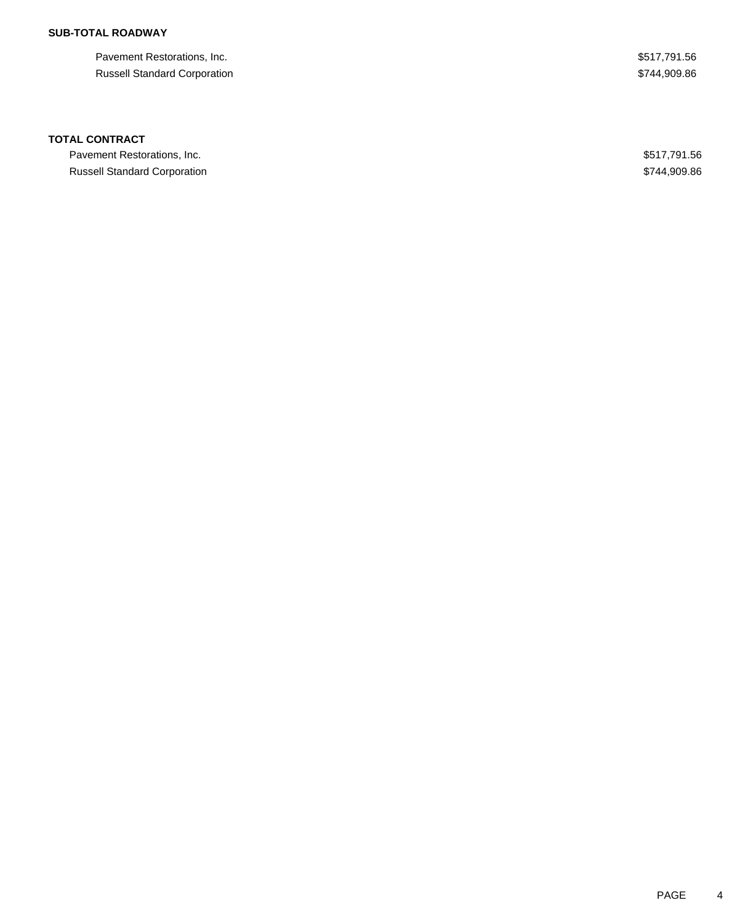## **SUB-TOTAL ROADWAY**

Pavement Restorations, Inc. 6. The Second Second Second Second Second Second Seconds Assembly \$517,791.56 Russell Standard Corporation  $$744,909.86$ 

## **TOTAL CONTRACT**

Pavement Restorations, Inc. 6. The Second Second Second Seconds of the Second Seconds Assembly 1.56 and Seconds Seconds Seconds Seconds Seconds Seconds Seconds Seconds Seconds Seconds Seconds Seconds Seconds Seconds Second Russell Standard Corporation **\$744,909.86**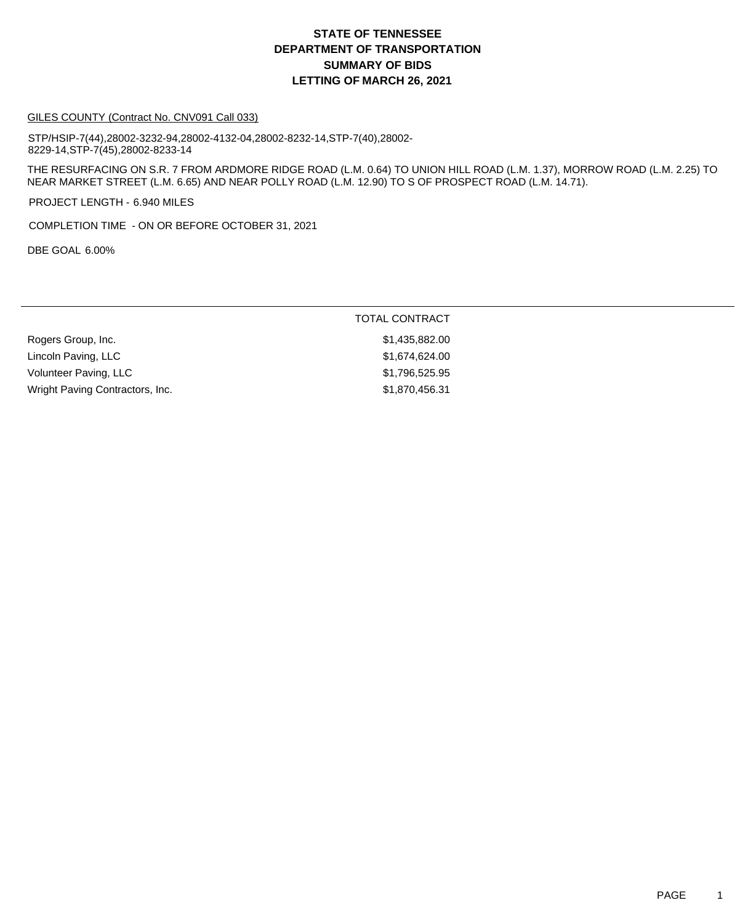#### GILES COUNTY (Contract No. CNV091 Call 033)

STP/HSIP-7(44),28002-3232-94,28002-4132-04,28002-8232-14,STP-7(40),28002- 8229-14,STP-7(45),28002-8233-14

THE RESURFACING ON S.R. 7 FROM ARDMORE RIDGE ROAD (L.M. 0.64) TO UNION HILL ROAD (L.M. 1.37), MORROW ROAD (L.M. 2.25) TO NEAR MARKET STREET (L.M. 6.65) AND NEAR POLLY ROAD (L.M. 12.90) TO S OF PROSPECT ROAD (L.M. 14.71).

PROJECT LENGTH - 6.940 MILES

COMPLETION TIME - ON OR BEFORE OCTOBER 31, 2021

DBE GOAL 6.00%

| Rogers Group, Inc.              | \$1,435,882.00 |
|---------------------------------|----------------|
| Lincoln Paving, LLC             | \$1,674,624.00 |
| Volunteer Paving, LLC           | \$1,796,525.95 |
| Wright Paving Contractors, Inc. | \$1,870,456.31 |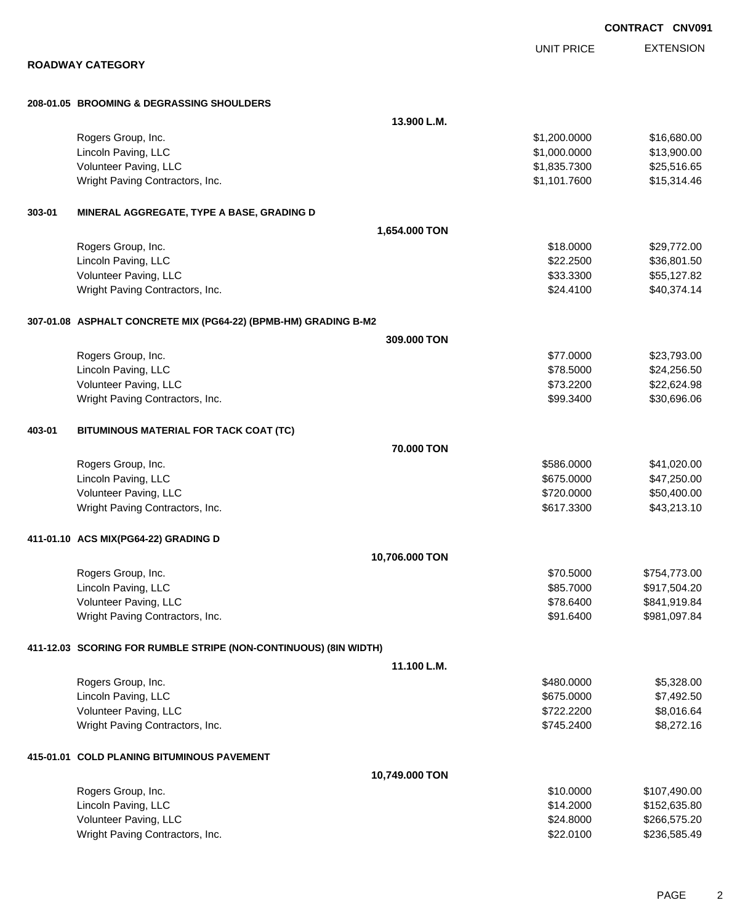|        |                                                                  |                              | <b>CONTRACT CNV09</b>        |
|--------|------------------------------------------------------------------|------------------------------|------------------------------|
|        |                                                                  | <b>UNIT PRICE</b>            | <b>EXTENSION</b>             |
|        | <b>ROADWAY CATEGORY</b>                                          |                              |                              |
|        |                                                                  |                              |                              |
|        | 208-01.05 BROOMING & DEGRASSING SHOULDERS                        |                              |                              |
|        |                                                                  | 13.900 L.M.                  |                              |
|        | Rogers Group, Inc.<br>Lincoln Paving, LLC                        | \$1,200.0000<br>\$1,000.0000 | \$16,680.00<br>\$13,900.00   |
|        | Volunteer Paving, LLC                                            | \$1,835.7300                 | \$25,516.65                  |
|        | Wright Paving Contractors, Inc.                                  | \$1,101.7600                 | \$15,314.46                  |
|        |                                                                  |                              |                              |
| 303-01 | MINERAL AGGREGATE, TYPE A BASE, GRADING D                        |                              |                              |
|        |                                                                  | 1,654.000 TON                |                              |
|        | Rogers Group, Inc.                                               | \$18.0000                    | \$29,772.00                  |
|        | Lincoln Paving, LLC                                              | \$22.2500                    | \$36,801.50                  |
|        | Volunteer Paving, LLC                                            | \$33.3300                    | \$55,127.82                  |
|        | Wright Paving Contractors, Inc.                                  | \$24.4100                    | \$40,374.14                  |
|        | 307-01.08 ASPHALT CONCRETE MIX (PG64-22) (BPMB-HM) GRADING B-M2  |                              |                              |
|        |                                                                  | 309,000 TON                  |                              |
|        | Rogers Group, Inc.                                               | \$77.0000                    | \$23,793.00                  |
|        | Lincoln Paving, LLC                                              | \$78.5000                    | \$24,256.50                  |
|        | Volunteer Paving, LLC                                            | \$73.2200                    | \$22,624.98                  |
|        | Wright Paving Contractors, Inc.                                  | \$99.3400                    | \$30,696.06                  |
| 403-01 | BITUMINOUS MATERIAL FOR TACK COAT (TC)                           |                              |                              |
|        |                                                                  | 70.000 TON                   |                              |
|        | Rogers Group, Inc.                                               | \$586.0000                   | \$41,020.00                  |
|        | Lincoln Paving, LLC                                              | \$675.0000                   | \$47,250.00                  |
|        | Volunteer Paving, LLC                                            | \$720.0000                   | \$50,400.00                  |
|        | Wright Paving Contractors, Inc.                                  | \$617.3300                   | \$43,213.10                  |
|        |                                                                  |                              |                              |
|        | 411-01.10 ACS MIX(PG64-22) GRADING D                             |                              |                              |
|        |                                                                  | 10,706.000 TON               |                              |
|        | Rogers Group, Inc.                                               | \$70.5000                    | \$754,773.00                 |
|        | Lincoln Paving, LLC                                              | \$85.7000                    | \$917,504.20                 |
|        | Volunteer Paving, LLC<br>Wright Paving Contractors, Inc.         | \$78.6400<br>\$91.6400       | \$841,919.84<br>\$981,097.84 |
|        |                                                                  |                              |                              |
|        | 411-12.03 SCORING FOR RUMBLE STRIPE (NON-CONTINUOUS) (8IN WIDTH) |                              |                              |
|        |                                                                  | 11.100 L.M.                  |                              |
|        | Rogers Group, Inc.                                               | \$480.0000                   | \$5,328.00                   |
|        | Lincoln Paving, LLC                                              | \$675.0000                   | \$7,492.50                   |
|        | Volunteer Paving, LLC                                            | \$722.2200                   | \$8,016.64                   |
|        | Wright Paving Contractors, Inc.                                  | \$745.2400                   | \$8,272.16                   |
|        | 415-01.01 COLD PLANING BITUMINOUS PAVEMENT                       |                              |                              |
|        |                                                                  | 10,749.000 TON               |                              |
|        | Rogers Group, Inc.                                               | \$10.0000                    | \$107,490.00                 |
|        | Lincoln Paving, LLC                                              | \$14.2000                    | \$152,635.80                 |
|        | Volunteer Paving, LLC                                            | \$24.8000                    | \$266,575.20                 |
|        | Wright Paving Contractors, Inc.                                  | \$22.0100                    | \$236,585.49                 |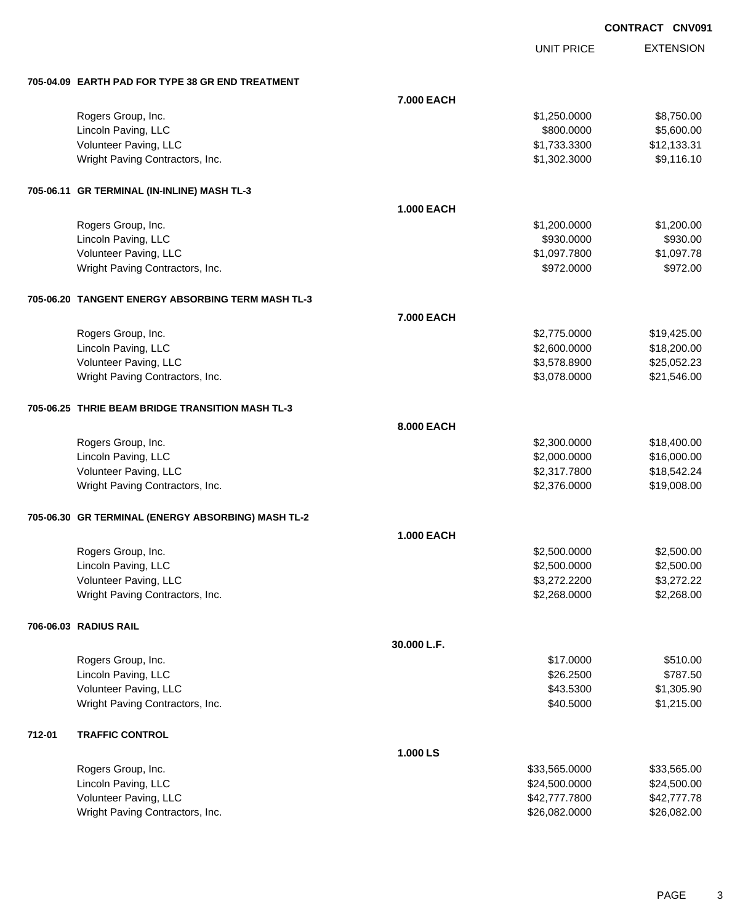UNIT PRICE

EXTENSION

|        | 705-04.09 EARTH PAD FOR TYPE 38 GR END TREATMENT   |                   |               |             |  |
|--------|----------------------------------------------------|-------------------|---------------|-------------|--|
|        |                                                    | 7.000 EACH        |               |             |  |
|        | Rogers Group, Inc.                                 |                   | \$1,250.0000  | \$8,750.00  |  |
|        | Lincoln Paving, LLC                                |                   | \$800.0000    | \$5,600.00  |  |
|        | Volunteer Paving, LLC                              |                   | \$1,733.3300  | \$12,133.31 |  |
|        | Wright Paving Contractors, Inc.                    |                   | \$1,302.3000  | \$9,116.10  |  |
|        | 705-06.11 GR TERMINAL (IN-INLINE) MASH TL-3        |                   |               |             |  |
|        |                                                    | <b>1.000 EACH</b> |               |             |  |
|        | Rogers Group, Inc.                                 |                   | \$1,200.0000  | \$1,200.00  |  |
|        | Lincoln Paving, LLC                                |                   | \$930.0000    | \$930.00    |  |
|        | Volunteer Paving, LLC                              |                   | \$1,097.7800  | \$1,097.78  |  |
|        | Wright Paving Contractors, Inc.                    |                   | \$972.0000    | \$972.00    |  |
|        | 705-06.20 TANGENT ENERGY ABSORBING TERM MASH TL-3  |                   |               |             |  |
|        |                                                    | 7.000 EACH        |               |             |  |
|        | Rogers Group, Inc.                                 |                   | \$2,775.0000  | \$19,425.00 |  |
|        | Lincoln Paving, LLC                                |                   | \$2,600.0000  | \$18,200.00 |  |
|        | Volunteer Paving, LLC                              |                   | \$3,578.8900  | \$25,052.23 |  |
|        | Wright Paving Contractors, Inc.                    |                   | \$3,078.0000  | \$21,546.00 |  |
|        | 705-06.25 THRIE BEAM BRIDGE TRANSITION MASH TL-3   |                   |               |             |  |
|        |                                                    | 8.000 EACH        |               |             |  |
|        | Rogers Group, Inc.                                 |                   | \$2,300.0000  | \$18,400.00 |  |
|        | Lincoln Paving, LLC                                |                   | \$2,000.0000  | \$16,000.00 |  |
|        | Volunteer Paving, LLC                              |                   | \$2,317.7800  | \$18,542.24 |  |
|        | Wright Paving Contractors, Inc.                    |                   | \$2,376.0000  | \$19,008.00 |  |
|        | 705-06.30 GR TERMINAL (ENERGY ABSORBING) MASH TL-2 |                   |               |             |  |
|        |                                                    | <b>1.000 EACH</b> |               |             |  |
|        | Rogers Group, Inc.                                 |                   | \$2,500.0000  | \$2,500.00  |  |
|        | Lincoln Paving, LLC                                |                   | \$2,500.0000  | \$2,500.00  |  |
|        | Volunteer Paving, LLC                              |                   | \$3,272.2200  | \$3,272.22  |  |
|        | Wright Paving Contractors, Inc.                    |                   | \$2,268.0000  | \$2,268.00  |  |
|        | 706-06.03 RADIUS RAIL                              |                   |               |             |  |
|        |                                                    | 30.000 L.F.       |               |             |  |
|        | Rogers Group, Inc.                                 |                   | \$17.0000     | \$510.00    |  |
|        | Lincoln Paving, LLC                                |                   | \$26.2500     | \$787.50    |  |
|        | Volunteer Paving, LLC                              |                   | \$43.5300     | \$1,305.90  |  |
|        | Wright Paving Contractors, Inc.                    |                   | \$40.5000     | \$1,215.00  |  |
| 712-01 | <b>TRAFFIC CONTROL</b>                             |                   |               |             |  |
|        |                                                    | 1.000 LS          |               |             |  |
|        | Rogers Group, Inc.                                 |                   | \$33,565.0000 | \$33,565.00 |  |
|        | Lincoln Paving, LLC                                |                   | \$24,500.0000 | \$24,500.00 |  |
|        | Volunteer Paving, LLC                              |                   | \$42,777.7800 | \$42,777.78 |  |
|        | Wright Paving Contractors, Inc.                    |                   | \$26,082.0000 | \$26,082.00 |  |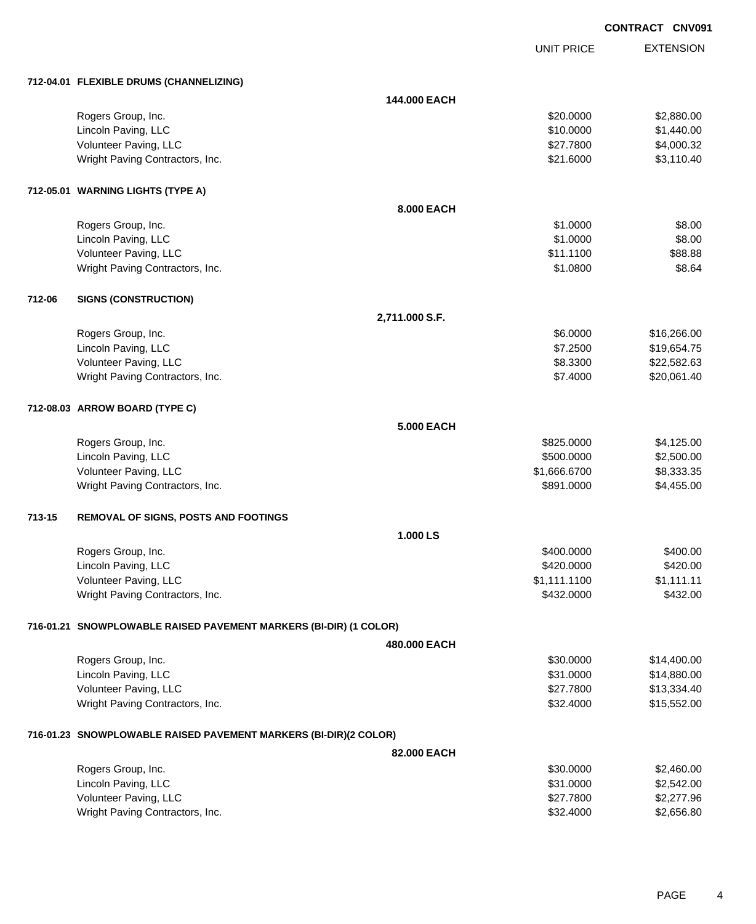|        |                                                                   |                |                   | <b>CONTRACT CNV091</b> |                  |
|--------|-------------------------------------------------------------------|----------------|-------------------|------------------------|------------------|
|        |                                                                   |                | <b>UNIT PRICE</b> |                        | <b>EXTENSION</b> |
|        | 712-04.01 FLEXIBLE DRUMS (CHANNELIZING)                           |                |                   |                        |                  |
|        |                                                                   | 144.000 EACH   |                   |                        |                  |
|        | Rogers Group, Inc.                                                |                | \$20.0000         |                        | \$2,880.00       |
|        | Lincoln Paving, LLC                                               |                | \$10.0000         |                        | \$1,440.00       |
|        | Volunteer Paving, LLC                                             |                | \$27.7800         |                        | \$4,000.32       |
|        | Wright Paving Contractors, Inc.                                   |                | \$21.6000         |                        | \$3,110.40       |
|        | 712-05.01 WARNING LIGHTS (TYPE A)                                 |                |                   |                        |                  |
|        |                                                                   | 8,000 EACH     |                   |                        |                  |
|        | Rogers Group, Inc.                                                |                | \$1.0000          |                        | \$8.00           |
|        | Lincoln Paving, LLC                                               |                | \$1.0000          |                        | \$8.00           |
|        | Volunteer Paving, LLC                                             |                | \$11.1100         |                        | \$88.88          |
|        | Wright Paving Contractors, Inc.                                   |                | \$1.0800          |                        | \$8.64           |
| 712-06 | <b>SIGNS (CONSTRUCTION)</b>                                       |                |                   |                        |                  |
|        |                                                                   | 2,711.000 S.F. |                   |                        |                  |
|        | Rogers Group, Inc.                                                |                | \$6.0000          |                        | \$16,266.00      |
|        | Lincoln Paving, LLC                                               |                | \$7.2500          |                        | \$19,654.75      |
|        | Volunteer Paving, LLC                                             |                | \$8.3300          |                        | \$22,582.63      |
|        | Wright Paving Contractors, Inc.                                   |                | \$7.4000          |                        | \$20,061.40      |
|        | 712-08.03 ARROW BOARD (TYPE C)                                    |                |                   |                        |                  |
|        |                                                                   | 5.000 EACH     |                   |                        |                  |
|        | Rogers Group, Inc.                                                |                | \$825.0000        |                        | \$4,125.00       |
|        | Lincoln Paving, LLC                                               |                | \$500.0000        |                        | \$2,500.00       |
|        | Volunteer Paving, LLC                                             |                | \$1,666.6700      |                        | \$8,333.35       |
|        | Wright Paving Contractors, Inc.                                   |                | \$891.0000        |                        | \$4,455.00       |
| 713-15 | <b>REMOVAL OF SIGNS, POSTS AND FOOTINGS</b>                       |                |                   |                        |                  |
|        |                                                                   | 1.000LS        |                   |                        |                  |
|        | Rogers Group, Inc.                                                |                | \$400.0000        |                        | \$400.00         |
|        | Lincoln Paving, LLC                                               |                | \$420.0000        |                        | \$420.00         |
|        | Volunteer Paving, LLC                                             |                | \$1,111.1100      |                        | \$1,111.11       |
|        | Wright Paving Contractors, Inc.                                   |                | \$432.0000        |                        | \$432.00         |
|        | 716-01.21 SNOWPLOWABLE RAISED PAVEMENT MARKERS (BI-DIR) (1 COLOR) |                |                   |                        |                  |
|        |                                                                   | 480.000 EACH   |                   |                        |                  |
|        | Rogers Group, Inc.                                                |                | \$30.0000         |                        | \$14,400.00      |
|        | Lincoln Paving, LLC                                               |                | \$31.0000         |                        | \$14,880.00      |
|        | Volunteer Paving, LLC                                             |                | \$27.7800         |                        | \$13,334.40      |
|        | Wright Paving Contractors, Inc.                                   |                | \$32.4000         |                        | \$15,552.00      |
|        | 716-01.23 SNOWPLOWABLE RAISED PAVEMENT MARKERS (BI-DIR)(2 COLOR)  |                |                   |                        |                  |
|        |                                                                   | 82.000 EACH    |                   |                        |                  |
|        | Rogers Group, Inc.                                                |                | \$30.0000         |                        | \$2,460.00       |
|        | Lincoln Paving, LLC                                               |                | \$31.0000         |                        | \$2,542.00       |
|        | Volunteer Paving, LLC                                             |                | \$27.7800         |                        | \$2,277.96       |

Volunteer Paving, LLC<br>
Wright Paving Contractors, Inc.<br>
Wright Paving Contractors, Inc.<br>
\$2,656.80

Wright Paving Contractors, Inc. 6532.4000 \$32.4000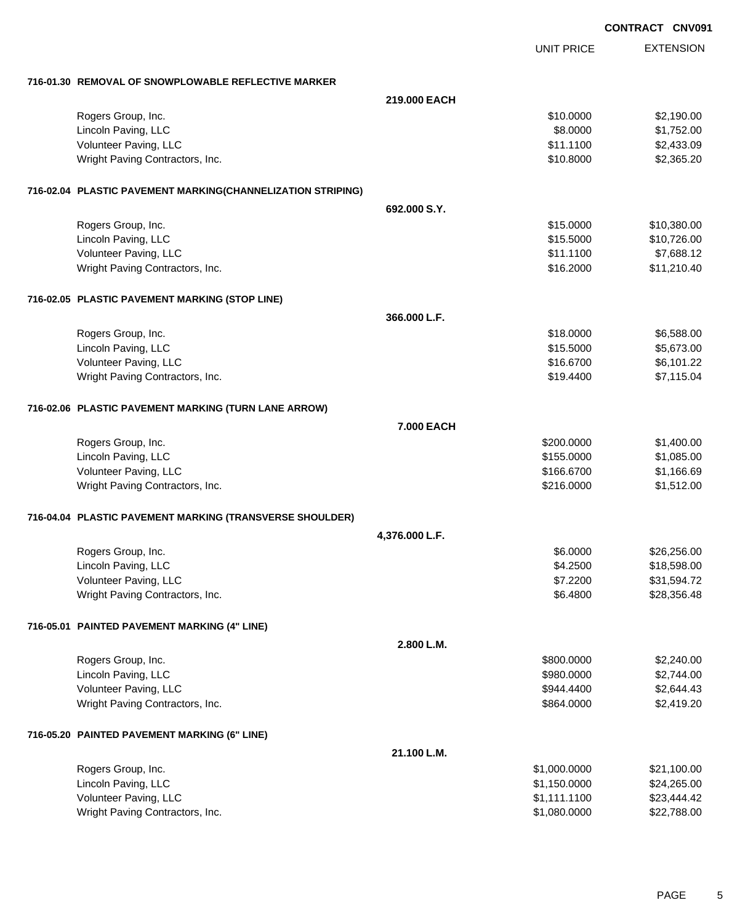|                                                             |                | <b>CONTRACT CNV091</b> |                  |
|-------------------------------------------------------------|----------------|------------------------|------------------|
|                                                             |                | UNIT PRICE             | <b>EXTENSION</b> |
| 716-01.30 REMOVAL OF SNOWPLOWABLE REFLECTIVE MARKER         |                |                        |                  |
|                                                             | 219,000 EACH   |                        |                  |
| Rogers Group, Inc.                                          |                | \$10.0000              | \$2,190.00       |
| Lincoln Paving, LLC                                         |                | \$8.0000               | \$1,752.00       |
| Volunteer Paving, LLC                                       |                | \$11.1100              | \$2,433.09       |
| Wright Paving Contractors, Inc.                             |                | \$10.8000              | \$2,365.20       |
| 716-02.04 PLASTIC PAVEMENT MARKING(CHANNELIZATION STRIPING) |                |                        |                  |
|                                                             | 692.000 S.Y.   |                        |                  |
| Rogers Group, Inc.                                          |                | \$15.0000              | \$10,380.00      |
| Lincoln Paving, LLC                                         |                | \$15.5000              | \$10,726.00      |
| Volunteer Paving, LLC                                       |                | \$11.1100              | \$7,688.12       |
| Wright Paving Contractors, Inc.                             |                | \$16.2000              | \$11,210.40      |
| 716-02.05 PLASTIC PAVEMENT MARKING (STOP LINE)              |                |                        |                  |
|                                                             | 366,000 L.F.   |                        |                  |
| Rogers Group, Inc.                                          |                | \$18.0000              | \$6,588.00       |
| Lincoln Paving, LLC                                         |                | \$15.5000              | \$5,673.00       |
| Volunteer Paving, LLC                                       |                | \$16.6700              | \$6,101.22       |
| Wright Paving Contractors, Inc.                             |                | \$19.4400              | \$7,115.04       |
| 716-02.06 PLASTIC PAVEMENT MARKING (TURN LANE ARROW)        |                |                        |                  |
|                                                             | 7.000 EACH     |                        |                  |
| Rogers Group, Inc.                                          |                | \$200.0000             | \$1,400.00       |
| Lincoln Paving, LLC                                         |                | \$155.0000             | \$1,085.00       |
| Volunteer Paving, LLC                                       |                | \$166.6700             | \$1,166.69       |
| Wright Paving Contractors, Inc.                             |                | \$216.0000             | \$1,512.00       |
| 716-04.04 PLASTIC PAVEMENT MARKING (TRANSVERSE SHOULDER)    |                |                        |                  |
|                                                             | 4,376.000 L.F. |                        |                  |
| Rogers Group, Inc.                                          |                | \$6.0000               | \$26,256.00      |
| Lincoln Paving, LLC                                         |                | \$4.2500               | \$18,598.00      |
| Volunteer Paving, LLC                                       |                | \$7.2200               | \$31,594.72      |
| Wright Paving Contractors, Inc.                             |                | \$6.4800               | \$28,356.48      |
| 716-05.01 PAINTED PAVEMENT MARKING (4" LINE)                |                |                        |                  |
|                                                             | 2.800 L.M.     |                        |                  |
| Rogers Group, Inc.                                          |                | \$800.0000             | \$2,240.00       |
| Lincoln Paving, LLC                                         |                | \$980.0000             | \$2,744.00       |
| Volunteer Paving, LLC                                       |                | \$944.4400             | \$2,644.43       |
| Wright Paving Contractors, Inc.                             |                | \$864.0000             | \$2,419.20       |
| 716-05.20 PAINTED PAVEMENT MARKING (6" LINE)                |                |                        |                  |
|                                                             | 21.100 L.M.    |                        |                  |
| Rogers Group, Inc.                                          |                | \$1,000.0000           | \$21,100.00      |
| Lincoln Paving, LLC                                         |                | \$1,150.0000           | \$24,265.00      |
| Volunteer Paving, LLC                                       |                | \$1,111.1100           | \$23,444.42      |
| Wright Paving Contractors, Inc.                             |                | \$1,080.0000           | \$22,788.00      |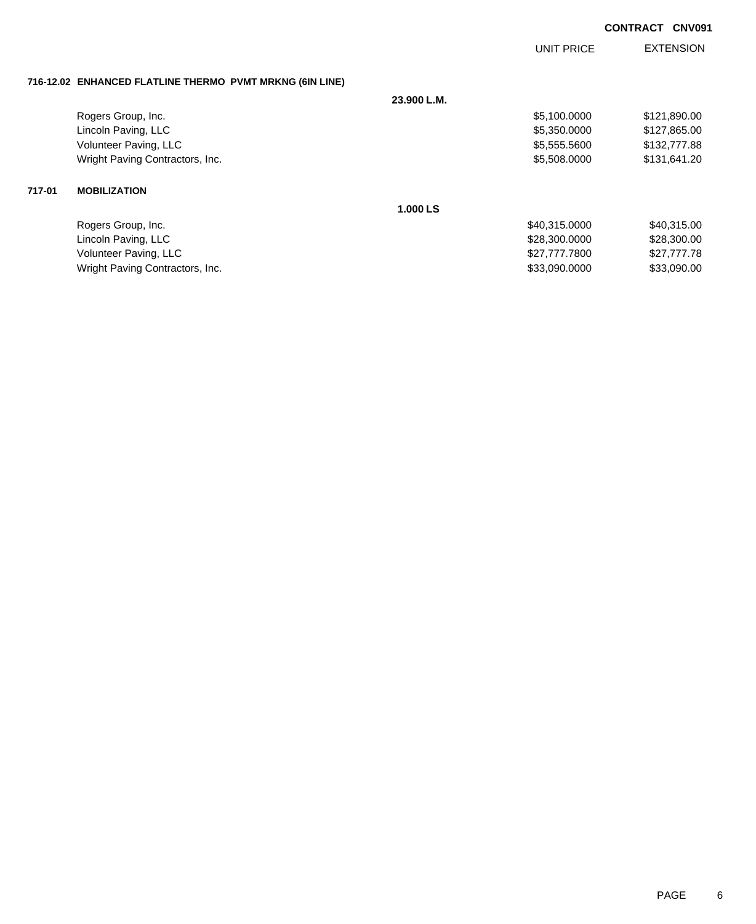|        |                                                          |             | <b>UNIT PRICE</b> | <b>EXTENSION</b> |
|--------|----------------------------------------------------------|-------------|-------------------|------------------|
|        | 716-12.02 ENHANCED FLATLINE THERMO PVMT MRKNG (6IN LINE) |             |                   |                  |
|        |                                                          | 23.900 L.M. |                   |                  |
|        | Rogers Group, Inc.                                       |             | \$5,100.0000      | \$121,890.00     |
|        | Lincoln Paving, LLC                                      |             | \$5,350.0000      | \$127,865.00     |
|        | Volunteer Paving, LLC                                    |             | \$5,555.5600      | \$132,777.88     |
|        | Wright Paving Contractors, Inc.                          |             | \$5,508.0000      | \$131,641.20     |
| 717-01 | <b>MOBILIZATION</b>                                      |             |                   |                  |
|        |                                                          | 1.000 LS    |                   |                  |
|        | Rogers Group, Inc.                                       |             | \$40,315,0000     | \$40,315.00      |
|        | Lincoln Paving, LLC                                      |             | \$28,300.0000     | \$28,300.00      |
|        | Volunteer Paving, LLC                                    |             | \$27,777.7800     | \$27,777.78      |
|        | Wright Paving Contractors, Inc.                          |             | \$33,090.0000     | \$33,090.00      |
|        |                                                          |             |                   |                  |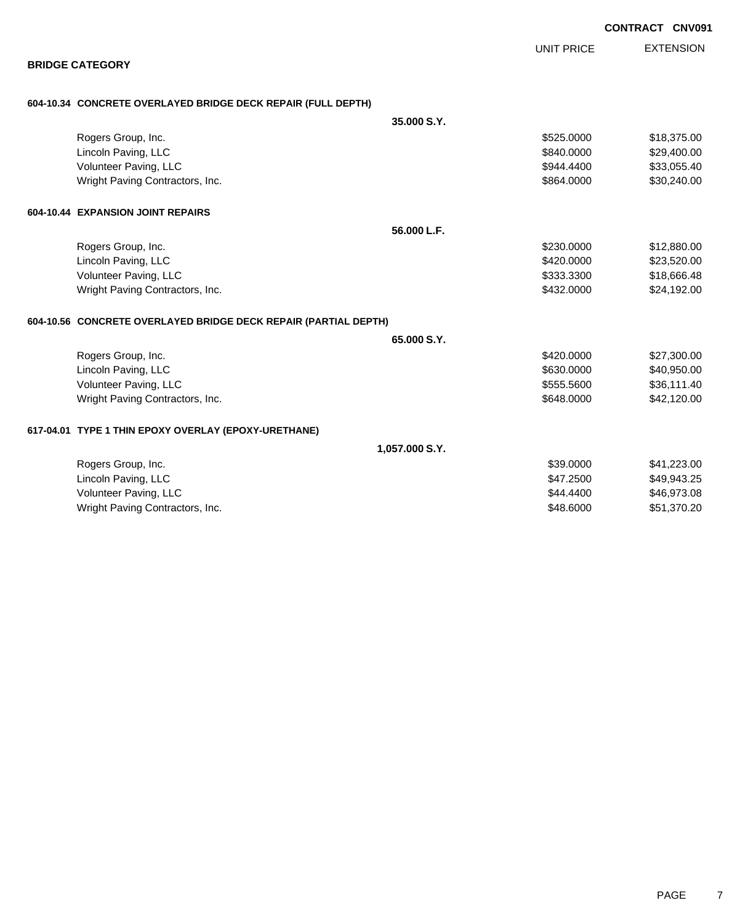|                                                                 |                | <b>UNIT PRICE</b> | <b>EXTENSION</b> |
|-----------------------------------------------------------------|----------------|-------------------|------------------|
| <b>BRIDGE CATEGORY</b>                                          |                |                   |                  |
| 604-10.34 CONCRETE OVERLAYED BRIDGE DECK REPAIR (FULL DEPTH)    |                |                   |                  |
|                                                                 | 35,000 S.Y.    |                   |                  |
| Rogers Group, Inc.                                              |                | \$525,0000        | \$18,375.00      |
| Lincoln Paving, LLC                                             |                | \$840.0000        | \$29,400.00      |
| Volunteer Paving, LLC                                           |                | \$944.4400        | \$33,055.40      |
| Wright Paving Contractors, Inc.                                 |                | \$864.0000        | \$30,240.00      |
| 604-10.44 EXPANSION JOINT REPAIRS                               |                |                   |                  |
|                                                                 | 56.000 L.F.    |                   |                  |
| Rogers Group, Inc.                                              |                | \$230.0000        | \$12,880.00      |
| Lincoln Paving, LLC                                             |                | \$420.0000        | \$23,520.00      |
| Volunteer Paving, LLC                                           |                | \$333.3300        | \$18,666.48      |
| Wright Paving Contractors, Inc.                                 |                | \$432.0000        | \$24,192.00      |
| 604-10.56 CONCRETE OVERLAYED BRIDGE DECK REPAIR (PARTIAL DEPTH) |                |                   |                  |
|                                                                 | 65,000 S.Y.    |                   |                  |
| Rogers Group, Inc.                                              |                | \$420.0000        | \$27,300.00      |
| Lincoln Paving, LLC                                             |                | \$630,0000        | \$40,950.00      |
| Volunteer Paving, LLC                                           |                | \$555.5600        | \$36,111.40      |
| Wright Paving Contractors, Inc.                                 |                | \$648.0000        | \$42,120.00      |
| 617-04.01 TYPE 1 THIN EPOXY OVERLAY (EPOXY-URETHANE)            |                |                   |                  |
|                                                                 | 1,057.000 S.Y. |                   |                  |
| Rogers Group, Inc.                                              |                | \$39,0000         | \$41,223.00      |
| Lincoln Paving, LLC                                             |                | \$47.2500         | \$49,943.25      |
| Volunteer Paving, LLC                                           |                | \$44,4400         | \$46,973.08      |
| Wright Paving Contractors, Inc.                                 |                | \$48,6000         | \$51,370.20      |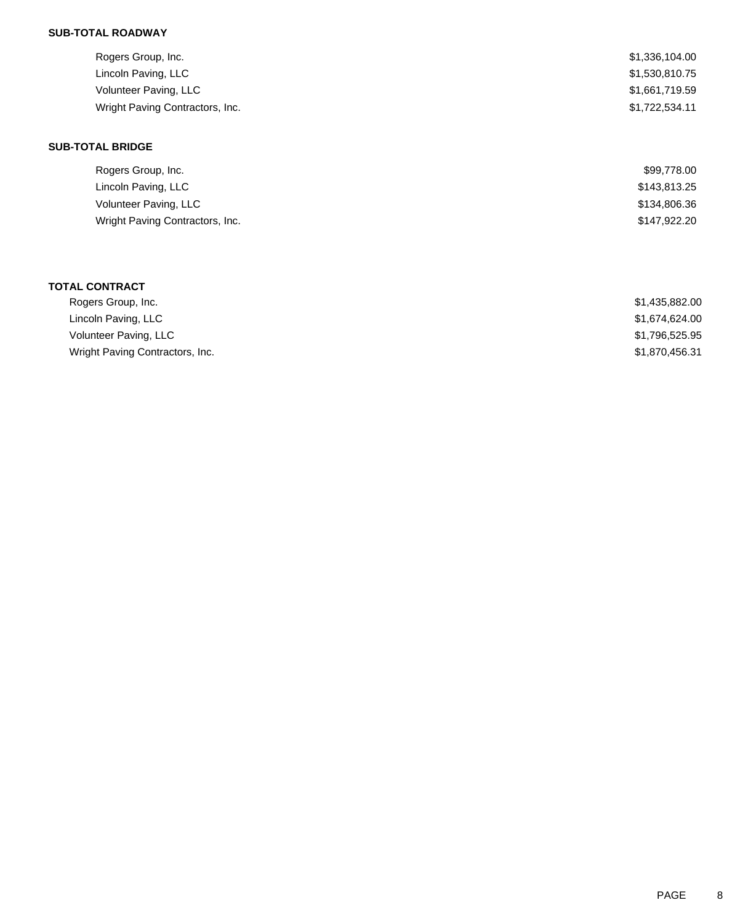| Rogers Group, Inc.              | \$1,336,104.00 |
|---------------------------------|----------------|
| Lincoln Paving, LLC             | \$1,530,810.75 |
| Volunteer Paving, LLC           | \$1,661,719.59 |
| Wright Paving Contractors, Inc. | \$1,722,534.11 |
|                                 |                |

### **SUB-TOTAL BRIDGE**

| Rogers Group, Inc.              | \$99,778.00  |
|---------------------------------|--------------|
| Lincoln Paving, LLC             | \$143,813.25 |
| Volunteer Paving, LLC           | \$134,806.36 |
| Wright Paving Contractors, Inc. | \$147,922.20 |

### **TOTAL CONTRACT**

| Rogers Group, Inc.              | \$1,435,882.00 |
|---------------------------------|----------------|
| Lincoln Paving, LLC             | \$1.674.624.00 |
| Volunteer Paving, LLC           | \$1,796,525.95 |
| Wright Paving Contractors, Inc. | \$1,870,456.31 |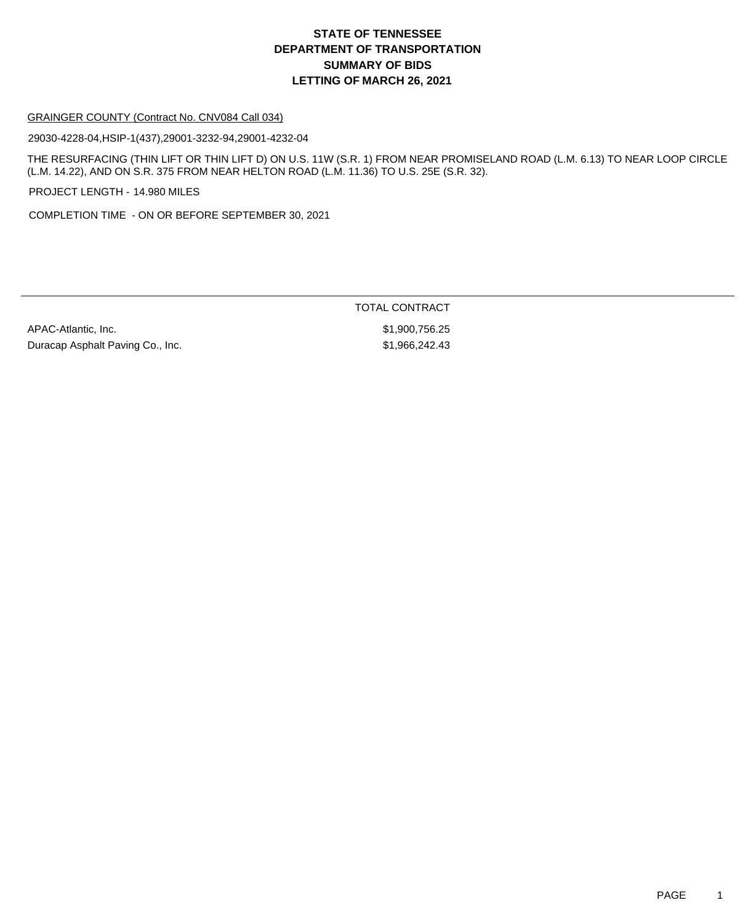#### GRAINGER COUNTY (Contract No. CNV084 Call 034)

29030-4228-04,HSIP-1(437),29001-3232-94,29001-4232-04

THE RESURFACING (THIN LIFT OR THIN LIFT D) ON U.S. 11W (S.R. 1) FROM NEAR PROMISELAND ROAD (L.M. 6.13) TO NEAR LOOP CIRCLE (L.M. 14.22), AND ON S.R. 375 FROM NEAR HELTON ROAD (L.M. 11.36) TO U.S. 25E (S.R. 32).

PROJECT LENGTH - 14.980 MILES

COMPLETION TIME - ON OR BEFORE SEPTEMBER 30, 2021

| APAC-Atlantic, Inc.              |
|----------------------------------|
| Duracap Asphalt Paving Co., Inc. |

TOTAL CONTRACT

\$1,900,756.25  $$1,966,242.43$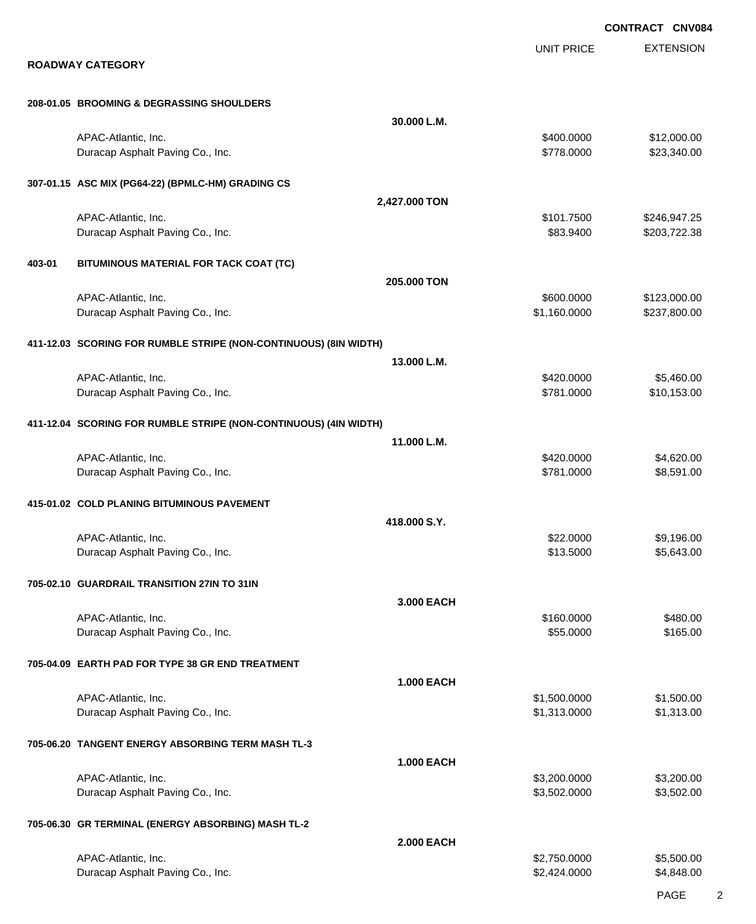|        |                                                                  |                   |                            | <b>CONTRACT CNV084</b>       |
|--------|------------------------------------------------------------------|-------------------|----------------------------|------------------------------|
|        | <b>ROADWAY CATEGORY</b>                                          |                   | <b>UNIT PRICE</b>          | <b>EXTENSION</b>             |
|        | 208-01.05 BROOMING & DEGRASSING SHOULDERS                        |                   |                            |                              |
|        |                                                                  | 30.000 L.M.       |                            |                              |
|        | APAC-Atlantic, Inc.<br>Duracap Asphalt Paving Co., Inc.          |                   | \$400.0000<br>\$778.0000   | \$12,000.00<br>\$23,340.00   |
|        | 307-01.15 ASC MIX (PG64-22) (BPMLC-HM) GRADING CS                |                   |                            |                              |
|        |                                                                  | 2,427.000 TON     |                            |                              |
|        | APAC-Atlantic, Inc.<br>Duracap Asphalt Paving Co., Inc.          |                   | \$101.7500<br>\$83.9400    | \$246,947.25<br>\$203,722.38 |
| 403-01 | BITUMINOUS MATERIAL FOR TACK COAT (TC)                           |                   |                            |                              |
|        |                                                                  | 205.000 TON       |                            |                              |
|        | APAC-Atlantic, Inc.<br>Duracap Asphalt Paving Co., Inc.          |                   | \$600.0000<br>\$1,160.0000 | \$123,000.00<br>\$237,800.00 |
|        | 411-12.03 SCORING FOR RUMBLE STRIPE (NON-CONTINUOUS) (8IN WIDTH) |                   |                            |                              |
|        |                                                                  | 13.000 L.M.       |                            |                              |
|        | APAC-Atlantic, Inc.<br>Duracap Asphalt Paving Co., Inc.          |                   | \$420.0000<br>\$781.0000   | \$5,460.00<br>\$10,153.00    |
|        | 411-12.04 SCORING FOR RUMBLE STRIPE (NON-CONTINUOUS) (4IN WIDTH) |                   |                            |                              |
|        |                                                                  | 11.000 L.M.       |                            |                              |
|        | APAC-Atlantic, Inc.<br>Duracap Asphalt Paving Co., Inc.          |                   | \$420.0000<br>\$781.0000   | \$4,620.00<br>\$8,591.00     |
|        | 415-01.02 COLD PLANING BITUMINOUS PAVEMENT                       |                   |                            |                              |
|        |                                                                  | 418.000 S.Y.      |                            |                              |
|        | APAC-Atlantic, Inc.<br>Duracap Asphalt Paving Co., Inc.          |                   | \$22.0000<br>\$13.5000     | \$9,196.00<br>\$5,643.00     |
|        | 705-02.10 GUARDRAIL TRANSITION 27IN TO 31IN                      |                   |                            |                              |
|        |                                                                  | 3.000 EACH        | \$160.0000                 | \$480.00                     |
|        | APAC-Atlantic, Inc.<br>Duracap Asphalt Paving Co., Inc.          |                   | \$55.0000                  | \$165.00                     |
|        | 705-04.09 EARTH PAD FOR TYPE 38 GR END TREATMENT                 |                   |                            |                              |
|        | APAC-Atlantic, Inc.                                              | <b>1.000 EACH</b> | \$1,500.0000               | \$1,500.00                   |
|        | Duracap Asphalt Paving Co., Inc.                                 |                   | \$1,313.0000               | \$1,313.00                   |
|        | 705-06.20 TANGENT ENERGY ABSORBING TERM MASH TL-3                | <b>1.000 EACH</b> |                            |                              |
|        | APAC-Atlantic, Inc.                                              |                   | \$3,200.0000               | \$3,200.00                   |
|        | Duracap Asphalt Paving Co., Inc.                                 |                   | \$3,502.0000               | \$3,502.00                   |
|        | 705-06.30 GR TERMINAL (ENERGY ABSORBING) MASH TL-2               |                   |                            |                              |
|        | APAC-Atlantic, Inc.                                              | <b>2.000 EACH</b> | \$2,750.0000               | \$5,500.00                   |
|        | Duracap Asphalt Paving Co., Inc.                                 |                   | \$2,424.0000               | \$4,848.00                   |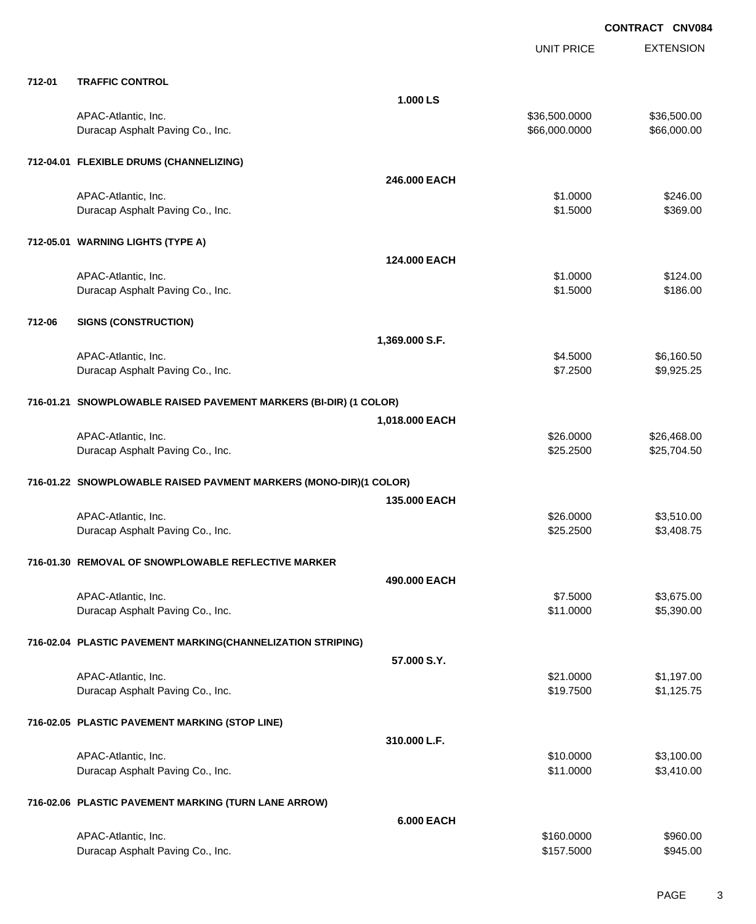|        |                                                                   | <b>UNIT PRICE</b> | <b>EXTENSION</b> |
|--------|-------------------------------------------------------------------|-------------------|------------------|
| 712-01 | <b>TRAFFIC CONTROL</b>                                            |                   |                  |
|        | 1.000 LS                                                          |                   |                  |
|        | APAC-Atlantic, Inc.                                               | \$36,500.0000     | \$36,500.00      |
|        | Duracap Asphalt Paving Co., Inc.                                  | \$66,000.0000     | \$66,000.00      |
|        | 712-04.01 FLEXIBLE DRUMS (CHANNELIZING)                           |                   |                  |
|        |                                                                   | 246,000 EACH      |                  |
|        | APAC-Atlantic, Inc.                                               | \$1,0000          | \$246.00         |
|        | Duracap Asphalt Paving Co., Inc.                                  | \$1.5000          | \$369.00         |
|        | 712-05.01 WARNING LIGHTS (TYPE A)                                 |                   |                  |
|        |                                                                   | 124.000 EACH      |                  |
|        | APAC-Atlantic, Inc.                                               | \$1.0000          | \$124.00         |
|        | Duracap Asphalt Paving Co., Inc.                                  | \$1.5000          | \$186.00         |
| 712-06 | <b>SIGNS (CONSTRUCTION)</b>                                       |                   |                  |
|        | 1,369.000 S.F.                                                    |                   |                  |
|        | APAC-Atlantic, Inc.                                               | \$4.5000          | \$6,160.50       |
|        | Duracap Asphalt Paving Co., Inc.                                  | \$7.2500          | \$9,925.25       |
|        | 716-01.21 SNOWPLOWABLE RAISED PAVEMENT MARKERS (BI-DIR) (1 COLOR) |                   |                  |
|        | 1,018.000 EACH                                                    |                   |                  |
|        | APAC-Atlantic, Inc.                                               | \$26.0000         | \$26,468.00      |
|        | Duracap Asphalt Paving Co., Inc.                                  | \$25.2500         | \$25,704.50      |
|        | 716-01.22 SNOWPLOWABLE RAISED PAVMENT MARKERS (MONO-DIR)(1 COLOR) |                   |                  |
|        |                                                                   | 135,000 EACH      |                  |
|        | APAC-Atlantic, Inc.                                               | \$26.0000         | \$3,510.00       |
|        | Duracap Asphalt Paving Co., Inc.                                  | \$25.2500         | \$3,408.75       |
|        | 716-01.30 REMOVAL OF SNOWPLOWABLE REFLECTIVE MARKER               |                   |                  |
|        |                                                                   | 490.000 EACH      |                  |
|        | APAC-Atlantic, Inc.                                               | \$7.5000          | \$3,675.00       |
|        | Duracap Asphalt Paving Co., Inc.                                  | \$11.0000         | \$5,390.00       |
|        | 716-02.04 PLASTIC PAVEMENT MARKING(CHANNELIZATION STRIPING)       |                   |                  |
|        | 57.000 S.Y.                                                       |                   |                  |
|        | APAC-Atlantic, Inc.                                               | \$21.0000         | \$1,197.00       |
|        | Duracap Asphalt Paving Co., Inc.                                  | \$19.7500         | \$1,125.75       |
|        | 716-02.05 PLASTIC PAVEMENT MARKING (STOP LINE)                    |                   |                  |
|        | 310.000 L.F.                                                      |                   |                  |
|        | APAC-Atlantic, Inc.                                               | \$10.0000         | \$3,100.00       |
|        | Duracap Asphalt Paving Co., Inc.                                  | \$11.0000         | \$3,410.00       |
|        | 716-02.06 PLASTIC PAVEMENT MARKING (TURN LANE ARROW)              |                   |                  |
|        |                                                                   | <b>6.000 EACH</b> |                  |
|        | APAC-Atlantic, Inc.                                               | \$160.0000        | \$960.00         |
|        | Duracap Asphalt Paving Co., Inc.                                  | \$157.5000        | \$945.00         |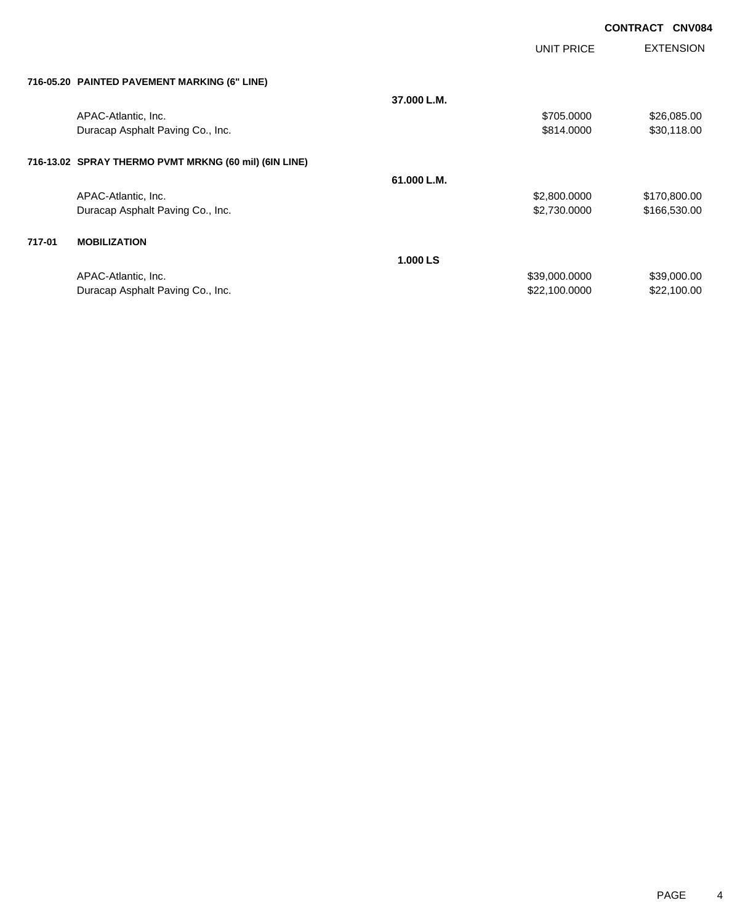UNIT PRICE

EXTENSION

| 716-05.20 PAINTED PAVEMENT MARKING (6" LINE)          |             |              |              |
|-------------------------------------------------------|-------------|--------------|--------------|
|                                                       | 37.000 L.M. |              |              |
| APAC-Atlantic, Inc.                                   |             | \$705.0000   | \$26,085.00  |
| Duracap Asphalt Paving Co., Inc.                      |             | \$814,0000   | \$30,118.00  |
| 716-13.02 SPRAY THERMO PVMT MRKNG (60 mil) (6IN LINE) |             |              |              |
|                                                       | 61.000 L.M. |              |              |
| APAC-Atlantic, Inc.                                   |             | \$2,800.0000 | \$170,800.00 |

### **717-01 MOBILIZATION**

|                                  | <b>1.000 LS</b> |             |
|----------------------------------|-----------------|-------------|
| APAC-Atlantic, Inc.              | \$39,000,0000   | \$39,000.00 |
| Duracap Asphalt Paving Co., Inc. | \$22,100,0000   | \$22,100.00 |

Duracap Asphalt Paving Co., Inc. 6. 2012 12:30 12:30 12:30 12:30 12:30 12:30 12:30 12:30 12:30 12:30 12:30 12:30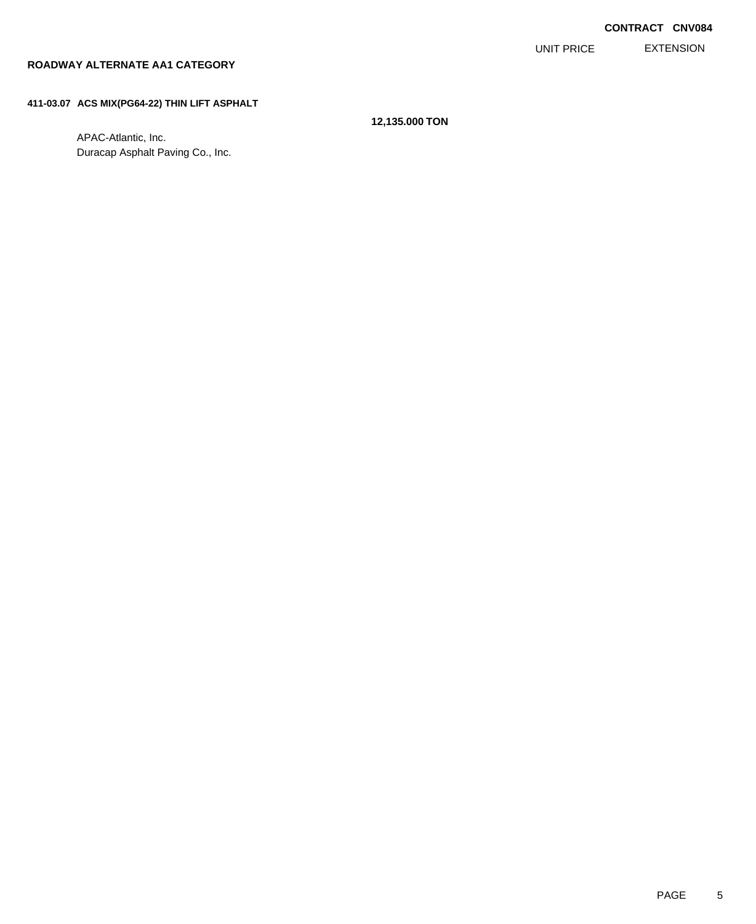EXTENSION UNIT PRICE

### **ROADWAY ALTERNATE AA1 CATEGORY**

### **411-03.07 ACS MIX(PG64-22) THIN LIFT ASPHALT**

**12,135.000 TON**

APAC-Atlantic, Inc. Duracap Asphalt Paving Co., Inc.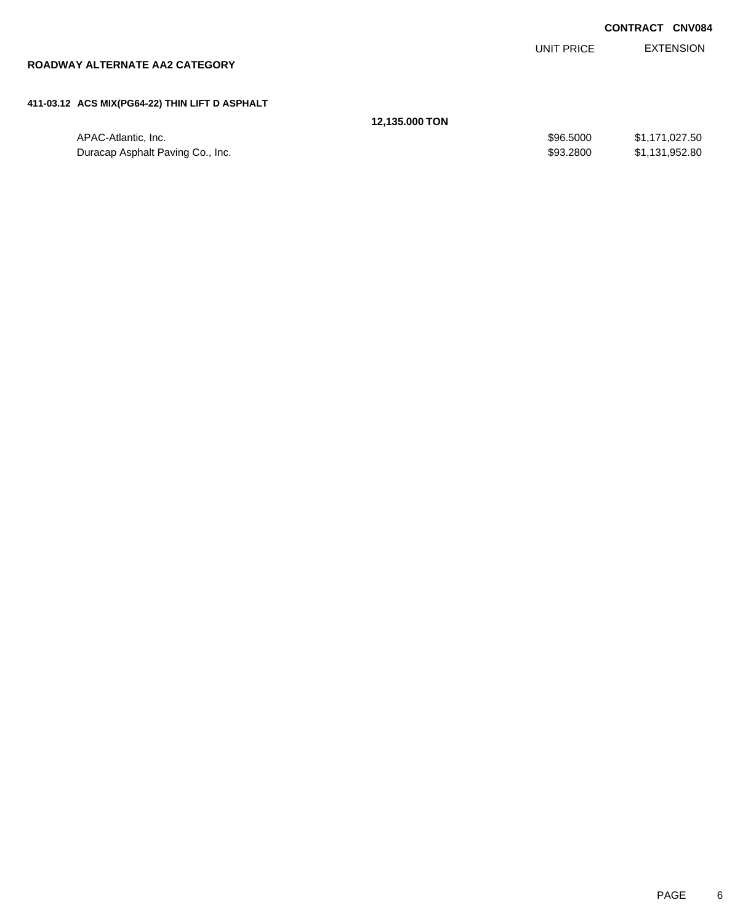|  | <b>CONTRACT CNV084</b> |
|--|------------------------|
|  |                        |

EXTENSION UNIT PRICE

# **ROADWAY ALTERNATE AA2 CATEGORY**

### **411-03.12 ACS MIX(PG64-22) THIN LIFT D ASPHALT**

| 12,135.000 TON |  |
|----------------|--|
|----------------|--|

| \$96,5000<br>APAC-Atlantic, Inc.              | \$1.171.027.50 |
|-----------------------------------------------|----------------|
| \$93,2800<br>Duracap Asphalt Paving Co., Inc. | \$1,131,952.80 |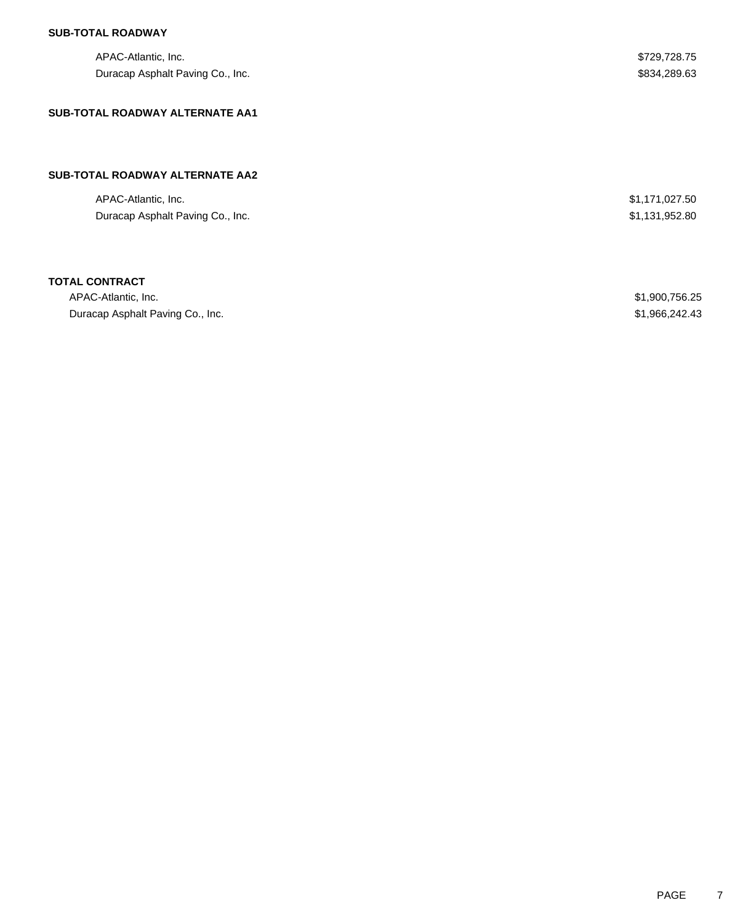| APAC-Atlantic, Inc.              | \$729,728.75   |
|----------------------------------|----------------|
| Duracap Asphalt Paving Co., Inc. | \$834,289.63   |
| SUB-TOTAL ROADWAY ALTERNATE AA1  |                |
|                                  |                |
|                                  |                |
| SUB-TOTAL ROADWAY ALTERNATE AA2  |                |
| APAC-Atlantic, Inc.              | \$1,171,027.50 |
| Duracap Asphalt Paving Co., Inc. | \$1,131,952.80 |
|                                  |                |
| <b>TOTAL CONTRACT</b>            |                |
|                                  |                |

| APAC-Atlantic. Inc.              | \$1,900,756.25 |
|----------------------------------|----------------|
| Duracap Asphalt Paving Co., Inc. | \$1,966,242.43 |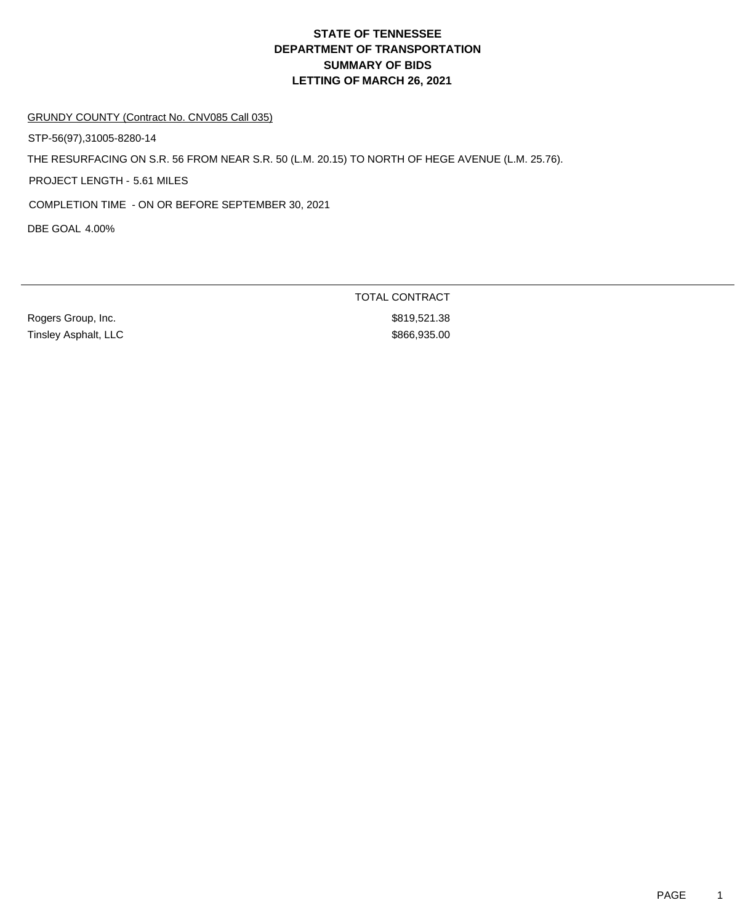GRUNDY COUNTY (Contract No. CNV085 Call 035)

STP-56(97),31005-8280-14

THE RESURFACING ON S.R. 56 FROM NEAR S.R. 50 (L.M. 20.15) TO NORTH OF HEGE AVENUE (L.M. 25.76).

PROJECT LENGTH - 5.61 MILES

COMPLETION TIME - ON OR BEFORE SEPTEMBER 30, 2021

DBE GOAL 4.00%

Rogers Group, Inc. **\$819,521.38** Tinsley Asphalt, LLC \$866,935.00

TOTAL CONTRACT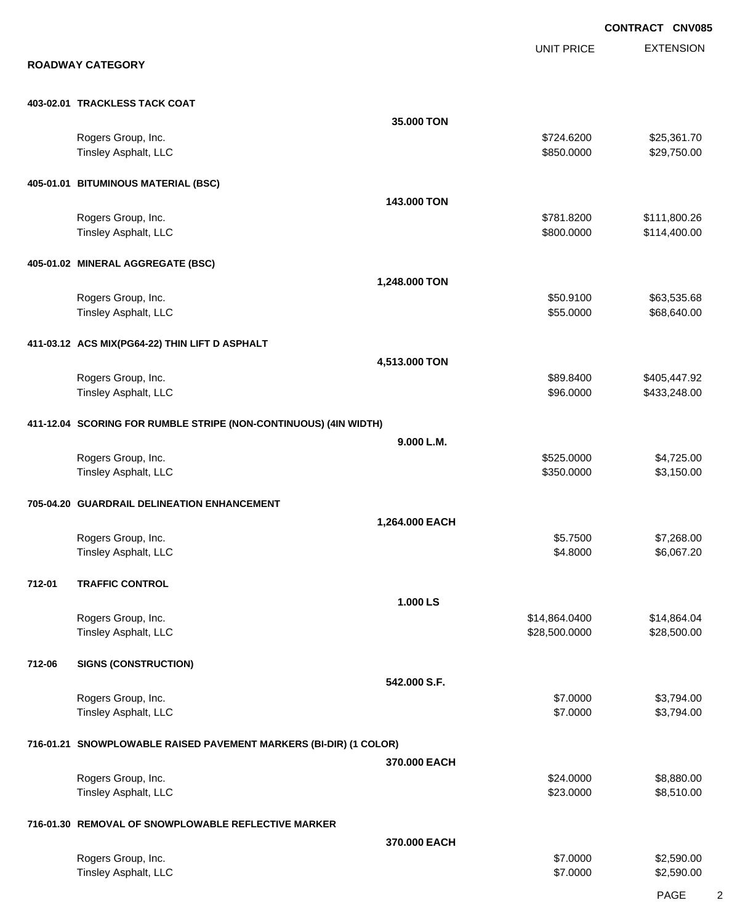EXTENSION **CONTRACT CNV085** UNIT PRICE **ROADWAY CATEGORY 403-02.01 TRACKLESS TACK COAT 35.000 TON** Rogers Group, Inc. \$25,361.70 Tinsley Asphalt, LLC  $$850.0000$   $$29,750.00$ **405-01.01 BITUMINOUS MATERIAL (BSC) 143.000 TON** Rogers Group, Inc. \$111,800.26 Tinsley Asphalt, LLC **\$800.0000 \$114,400.00** \$114,400.00 **405-01.02 MINERAL AGGREGATE (BSC) 1,248.000 TON** Rogers Group, Inc. \$63,535.68 \$60.9100 \$63,535.68 Tinsley Asphalt, LLC \$68,640.00 **411-03.12 ACS MIX(PG64-22) THIN LIFT D ASPHALT 4,513.000 TON** Rogers Group, Inc. \$89.8400 \$405,447.92 Tinsley Asphalt, LLC 6. The state of the state of the state of the state of the state of the state of the state of the state of the state of the state of the state of the state of the state of the state of the state of the **411-12.04 SCORING FOR RUMBLE STRIPE (NON-CONTINUOUS) (4IN WIDTH) 9.000 L.M.** Rogers Group, Inc. \$525.0000 \$4,725.00 Tinsley Asphalt, LLC \$3,150.00 \$3,150.00 **705-04.20 GUARDRAIL DELINEATION ENHANCEMENT 1,264.000 EACH** Rogers Group, Inc. \$5.7500 \$7,268.00 Tinsley Asphalt, LLC \$6,067.20 **712-01 TRAFFIC CONTROL 1.000 LS** Rogers Group, Inc. \$14,864.04 \$15,864.0400 \$14,864.0400 \$14,864.0400 Tinsley Asphalt, LLC \$28,500.000 \$28,500.000 \$28,500.000 \$28,500.000 \$28,500.000 \$28,500.00 **712-06 SIGNS (CONSTRUCTION) 542.000 S.F.** Rogers Group, Inc. \$3,794.00 \$3,794.00 \$3,794.00 \$3,794.00 \$3,794.00 \$3,794.00 \$3,794.00 \$3,794.00 \$3,794.00 \$3,794.00 \$3,794.00 \$3,794.00 \$3,794.00 \$3,794.00 \$3,794.00 \$3,794.00 \$3,794.00 \$3,794.00 \$3,794.00 \$3,794.00 \$3, Tinsley Asphalt, LLC \$3,794.00 **716-01.21 SNOWPLOWABLE RAISED PAVEMENT MARKERS (BI-DIR) (1 COLOR) 370.000 EACH** Rogers Group, Inc. \$2,880.00 \$8,880.00 \$8,880.00 \$8,880.00 \$8,880.00 \$8,880.00 \$8,880.00 \$8,880.00 \$8,880.00 \$8,980.00 \$8,880.00 \$8,880.00 \$8,880.00 \$8,880.00 \$8,880.00 \$8,880.00 \$8,880.00 \$8,880.00 \$8,880.00 \$8,880.00 \$8, Tinsley Asphalt, LLC \$23.0000 \$8,510.00 **716-01.30 REMOVAL OF SNOWPLOWABLE REFLECTIVE MARKER 370.000 EACH** Rogers Group, Inc. \$2,590.00 \$2,590.00 \$2,590.00 \$2,590.00 \$2,590.00 \$2,590.00 \$2,590.00 \$2,590.00 \$2,590.00 \$2,590.00 \$2,590.00 \$2,590.00 \$2,590.00 \$2,590.00 \$2,590.00 \$2,590.00 \$2,590.00 \$2,590.00 \$2,590.00 \$2,590.00 \$2, Tinsley Asphalt, LLC \$2,590.00 \$2,590.00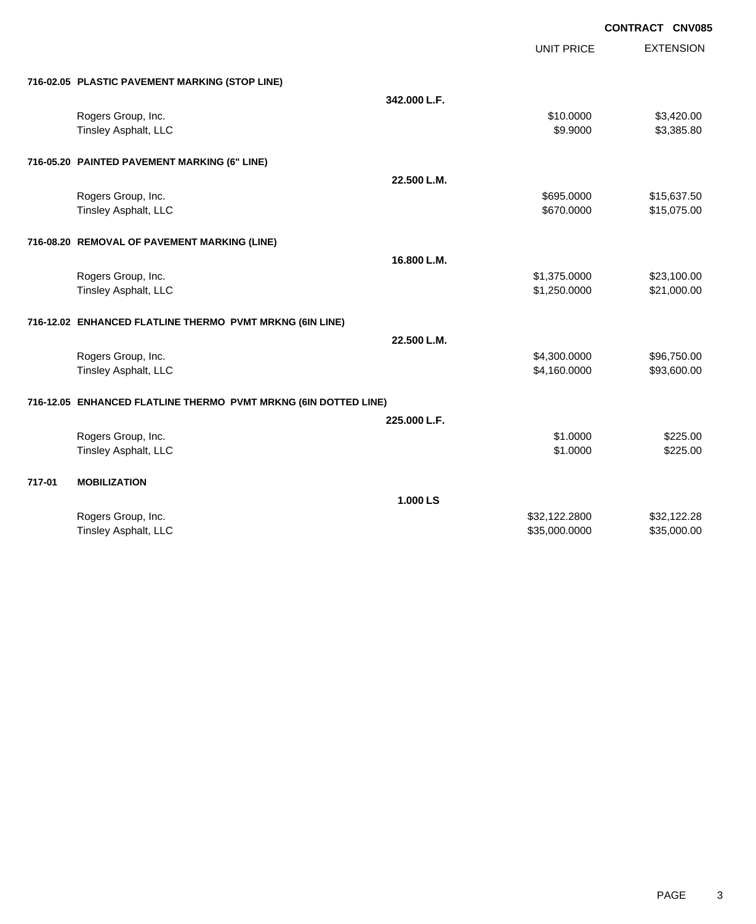|        |                                                                 |              | <b>UNIT PRICE</b> | <b>EXTENSION</b> |
|--------|-----------------------------------------------------------------|--------------|-------------------|------------------|
|        | 716-02.05 PLASTIC PAVEMENT MARKING (STOP LINE)                  |              |                   |                  |
|        |                                                                 | 342.000 L.F. |                   |                  |
|        | Rogers Group, Inc.                                              |              | \$10.0000         | \$3,420.00       |
|        | Tinsley Asphalt, LLC                                            |              | \$9.9000          | \$3,385.80       |
|        | 716-05.20 PAINTED PAVEMENT MARKING (6" LINE)                    |              |                   |                  |
|        |                                                                 | 22.500 L.M.  |                   |                  |
|        | Rogers Group, Inc.                                              |              | \$695.0000        | \$15,637.50      |
|        | <b>Tinsley Asphalt, LLC</b>                                     |              | \$670.0000        | \$15,075.00      |
|        | 716-08.20 REMOVAL OF PAVEMENT MARKING (LINE)                    |              |                   |                  |
|        |                                                                 | 16.800 L.M.  |                   |                  |
|        | Rogers Group, Inc.                                              |              | \$1,375.0000      | \$23,100.00      |
|        | Tinsley Asphalt, LLC                                            |              | \$1,250.0000      | \$21,000.00      |
|        | 716-12.02 ENHANCED FLATLINE THERMO PVMT MRKNG (6IN LINE)        |              |                   |                  |
|        |                                                                 | 22.500 L.M.  |                   |                  |
|        | Rogers Group, Inc.                                              |              | \$4,300.0000      | \$96,750.00      |
|        | Tinsley Asphalt, LLC                                            |              | \$4,160.0000      | \$93,600.00      |
|        | 716-12.05 ENHANCED FLATLINE THERMO PVMT MRKNG (6IN DOTTED LINE) |              |                   |                  |
|        |                                                                 | 225.000 L.F. |                   |                  |
|        | Rogers Group, Inc.                                              |              | \$1.0000          | \$225.00         |
|        | Tinsley Asphalt, LLC                                            |              | \$1.0000          | \$225.00         |
| 717-01 | <b>MOBILIZATION</b>                                             |              |                   |                  |
|        |                                                                 | 1.000 LS     |                   |                  |
|        | Rogers Group, Inc.                                              |              | \$32,122.2800     | \$32,122.28      |
|        | Tinsley Asphalt, LLC                                            |              | \$35,000.0000     | \$35,000.00      |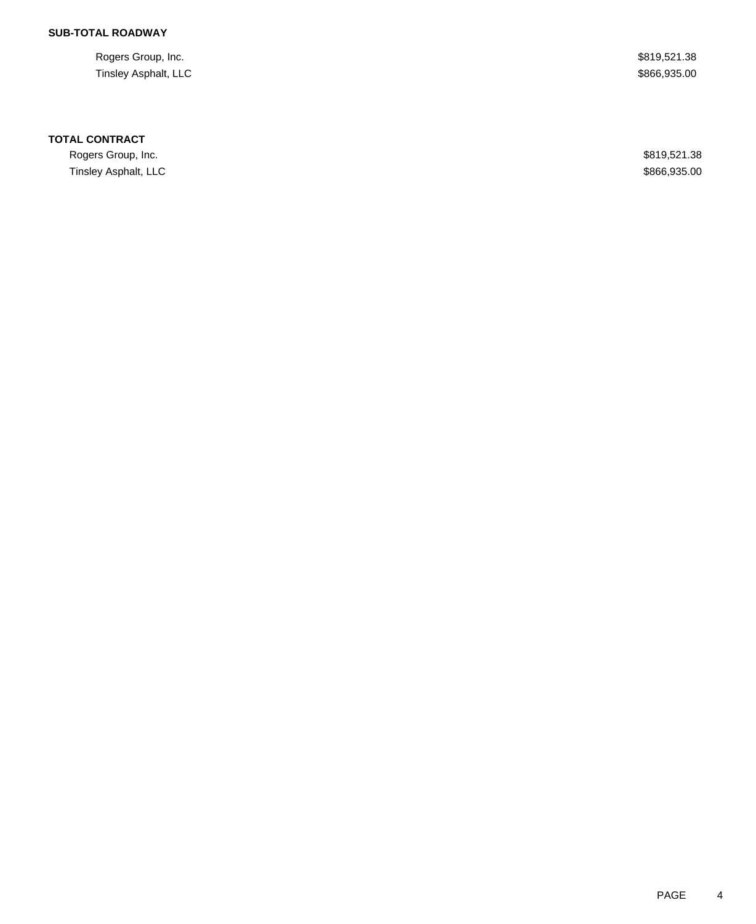Rogers Group, Inc. \$819,521.38 Tinsley Asphalt, LLC \$866,935.00

### **TOTAL CONTRACT**

Rogers Group, Inc. \$819,521.38 Tinsley Asphalt, LLC \$866,935.00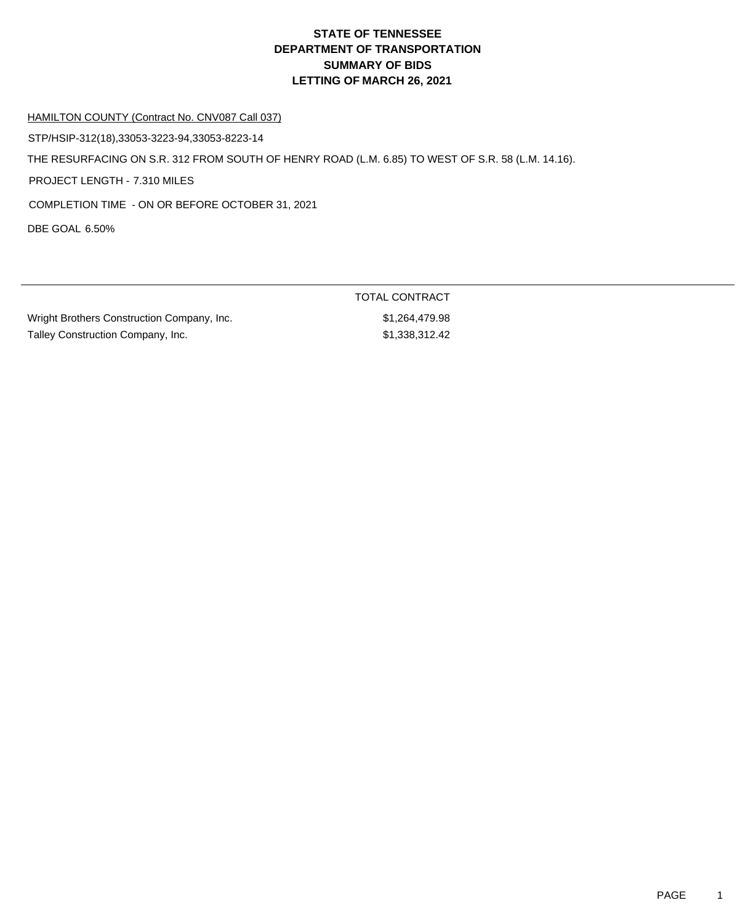#### HAMILTON COUNTY (Contract No. CNV087 Call 037)

STP/HSIP-312(18),33053-3223-94,33053-8223-14

THE RESURFACING ON S.R. 312 FROM SOUTH OF HENRY ROAD (L.M. 6.85) TO WEST OF S.R. 58 (L.M. 14.16).

PROJECT LENGTH - 7.310 MILES

COMPLETION TIME - ON OR BEFORE OCTOBER 31, 2021

DBE GOAL 6.50%

|                                            | TUTAL UUNTIVAUT |
|--------------------------------------------|-----------------|
| Wright Brothers Construction Company, Inc. | \$1,264,479.98  |
| Talley Construction Company, Inc.          | \$1.338.312.42  |

TOTAL CONTRACT  $$1,264,479.98$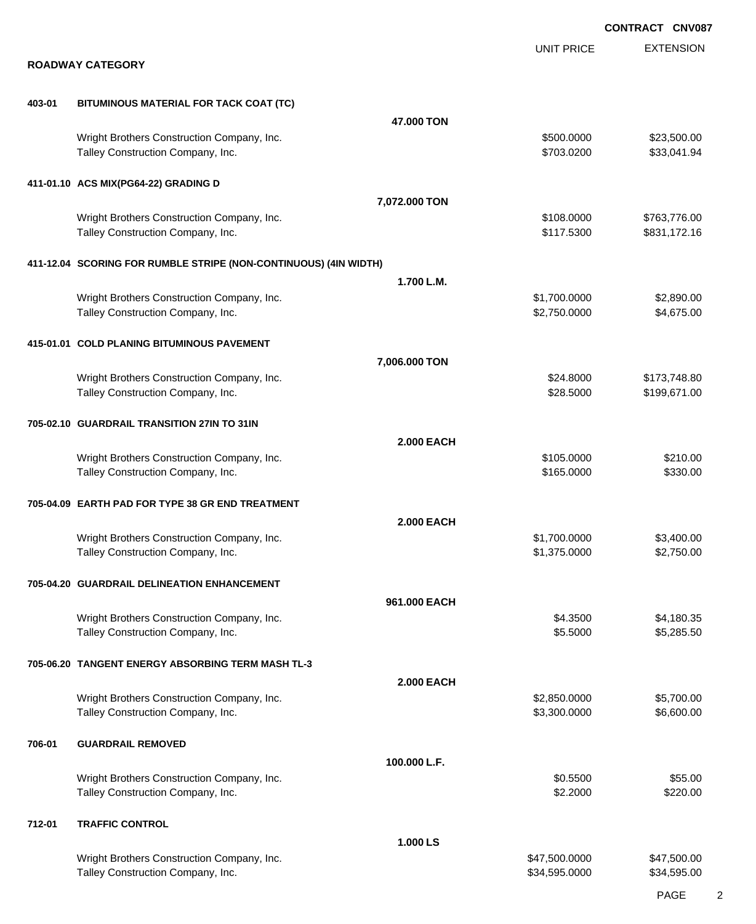EXTENSION **CONTRACT CNV087** UNIT PRICE **ROADWAY CATEGORY 403-01 BITUMINOUS MATERIAL FOR TACK COAT (TC) 47.000 TON** Wright Brothers Construction Company, Inc.  $$500.000$  \$23,500.00 Talley Construction Company, Inc. 6. The Construction Company, Inc. 6. The Construction Company, Inc. 6. The Construction Company, Inc. 6. The Construction Company, Inc. 6. The Construction Company, Inc. 6. The Constructio **411-01.10 ACS MIX(PG64-22) GRADING D 7,072.000 TON** Wright Brothers Construction Company, Inc. 6. 2008.000 \$108.0000 \$763,776.00 Talley Construction Company, Inc. 6. The Construction Company, Inc. 6. The Construction Company, Inc. 6. The Construction Company, Inc. 6. The Construction Company, Inc. 6. The Construction Company, Inc. 6. The Constructio **411-12.04 SCORING FOR RUMBLE STRIPE (NON-CONTINUOUS) (4IN WIDTH) 1.700 L.M.** Wright Brothers Construction Company, Inc. 6. The Construction Company, Inc. 6. The Construction Company, Inc. 6. The Construction Company, Inc. 6. The Construction Company, Inc. 6. The Construction Company, Inc. 6. The Co Talley Construction Company, Inc. 6. The Construction Company, Inc. 6. The Construction Company, Inc. 6. The Construction Company, Inc. 6. The Construction Company, Inc. 6. The Construction Company, Inc. 6. The Constructio **415-01.01 COLD PLANING BITUMINOUS PAVEMENT 7,006.000 TON** Wright Brothers Construction Company, Inc. 6. 2012 12:30 12:30 12:30 12:30 12:30 12:30 12:30 12:30 12:30 12:30 Talley Construction Company, Inc. 6. The Construction Company, Inc. 6. The Construction Company, Inc. 6. The Construction Company, Inc. 6. The Construction Company, Inc. 6. The Construction Company, Inc. 6. The Constructio **705-02.10 GUARDRAIL TRANSITION 27IN TO 31IN 2.000 EACH** Wright Brothers Construction Company, Inc. 6210.000 \$105.0000 \$210.00 Talley Construction Company, Inc. 6330.00 \$330.00 **705-04.09 EARTH PAD FOR TYPE 38 GR END TREATMENT 2.000 EACH** Wright Brothers Construction Company, Inc. 6. The State of the State of State State State State State State State State State State State State State State State State State State State State State State State State State Talley Construction Company, Inc. 6. The Construction Company, Inc. 6. The Construction Company, Inc. 6. The Construction Company, Inc. 6. The Construction Company, Inc. 6. The Construction Company, Inc. 6. The Constructio **705-04.20 GUARDRAIL DELINEATION ENHANCEMENT 961.000 EACH** Wright Brothers Construction Company, Inc. 64.3500 \$4,180.35 Talley Construction Company, Inc. 6. The Construction Company, Inc. 6.5000 \$5,285.500 \$5,285.50 **705-06.20 TANGENT ENERGY ABSORBING TERM MASH TL-3 2.000 EACH** Wright Brothers Construction Company, Inc. 6. The Construction Company, Inc. \$2,850.0000 \$5,700.00 Talley Construction Company, Inc. 6.600.00 \$5,300.000 \$6,600.00 **706-01 GUARDRAIL REMOVED 100.000 L.F.** Wright Brothers Construction Company, Inc. 6. 2008 1999 10:3500 \$0.5500 \$55.00 Talley Construction Company, Inc. 6220.00 \$2.2000 \$2.2000 \$2.2000 \$220.00 **712-01 TRAFFIC CONTROL 1.000 LS** Wright Brothers Construction Company, Inc. 647,600.000 \$47,500.000 \$47,500.000 \$47,500.00 Talley Construction Company, Inc. 634,595.000 \$34,595.000 \$34,595.000 \$34,595.000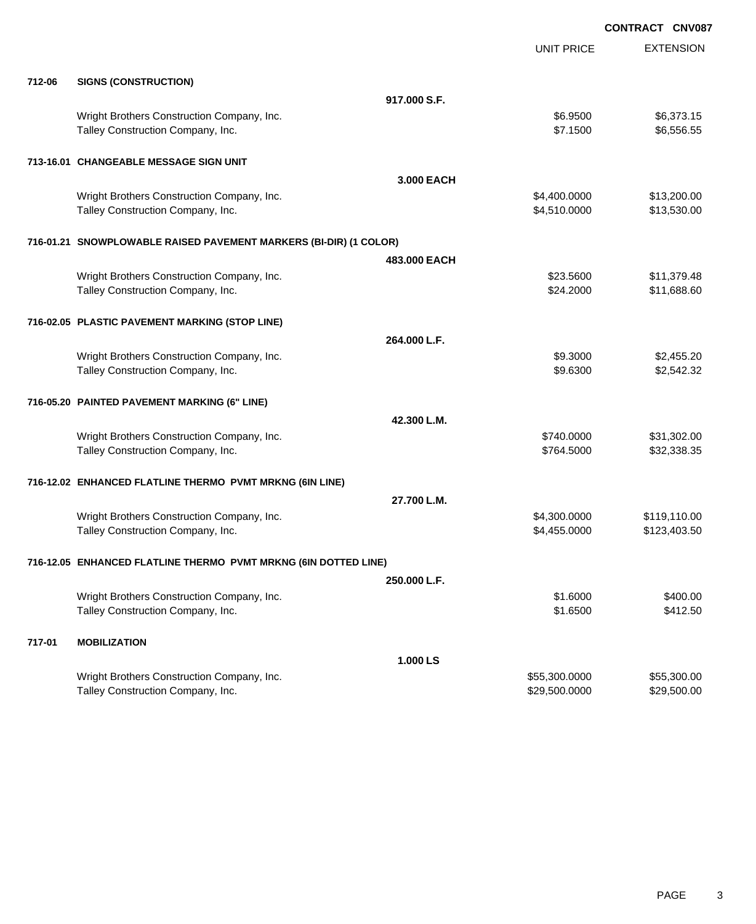|        |                                                                                 |              |                      | <b>CONTRACT CNV087</b>   |
|--------|---------------------------------------------------------------------------------|--------------|----------------------|--------------------------|
|        |                                                                                 |              | <b>UNIT PRICE</b>    | <b>EXTENSION</b>         |
| 712-06 | <b>SIGNS (CONSTRUCTION)</b>                                                     |              |                      |                          |
|        |                                                                                 | 917,000 S.F. |                      |                          |
|        | Wright Brothers Construction Company, Inc.<br>Talley Construction Company, Inc. |              | \$6.9500<br>\$7.1500 | \$6,373.15<br>\$6,556.55 |
|        | 713-16.01 CHANGEABLE MESSAGE SIGN UNIT                                          |              |                      |                          |
|        |                                                                                 | 3.000 EACH   |                      |                          |
|        | Wright Brothers Construction Company, Inc.                                      |              | \$4,400.0000         | \$13,200.00              |
|        | Talley Construction Company, Inc.                                               |              | \$4,510.0000         | \$13,530.00              |
|        | 716-01.21 SNOWPLOWABLE RAISED PAVEMENT MARKERS (BI-DIR) (1 COLOR)               |              |                      |                          |
|        |                                                                                 | 483,000 EACH |                      |                          |
|        | Wright Brothers Construction Company, Inc.                                      |              | \$23.5600            | \$11,379.48              |
|        | Talley Construction Company, Inc.                                               |              | \$24.2000            | \$11,688.60              |
|        | 716-02.05 PLASTIC PAVEMENT MARKING (STOP LINE)                                  |              |                      |                          |
|        |                                                                                 | 264.000 L.F. |                      |                          |
|        | Wright Brothers Construction Company, Inc.                                      |              | \$9.3000             | \$2,455.20               |
|        | Talley Construction Company, Inc.                                               |              | \$9.6300             | \$2,542.32               |
|        | 716-05.20 PAINTED PAVEMENT MARKING (6" LINE)                                    |              |                      |                          |
|        |                                                                                 | 42.300 L.M.  |                      |                          |
|        | Wright Brothers Construction Company, Inc.                                      |              | \$740.0000           | \$31,302.00              |
|        | Talley Construction Company, Inc.                                               |              | \$764.5000           | \$32,338.35              |
|        | 716-12.02 ENHANCED FLATLINE THERMO PVMT MRKNG (6IN LINE)                        |              |                      |                          |
|        |                                                                                 | 27.700 L.M.  |                      |                          |
|        | Wright Brothers Construction Company, Inc.                                      |              | \$4,300.0000         | \$119,110.00             |
|        | Talley Construction Company, Inc.                                               |              | \$4,455.0000         | \$123,403.50             |
|        | 716-12.05 ENHANCED FLATLINE THERMO PVMT MRKNG (6IN DOTTED LINE)                 |              |                      |                          |
|        |                                                                                 | 250.000 L.F. |                      |                          |
|        | Wright Brothers Construction Company, Inc.                                      |              | \$1.6000             | \$400.00                 |
|        | Talley Construction Company, Inc.                                               |              | \$1.6500             | \$412.50                 |
| 717-01 | <b>MOBILIZATION</b>                                                             |              |                      |                          |
|        |                                                                                 | 1.000 LS     |                      |                          |
|        | Wright Brothers Construction Company, Inc.                                      |              | \$55,300.0000        | \$55,300.00              |
|        | Talley Construction Company, Inc.                                               |              | \$29,500.0000        | \$29,500.00              |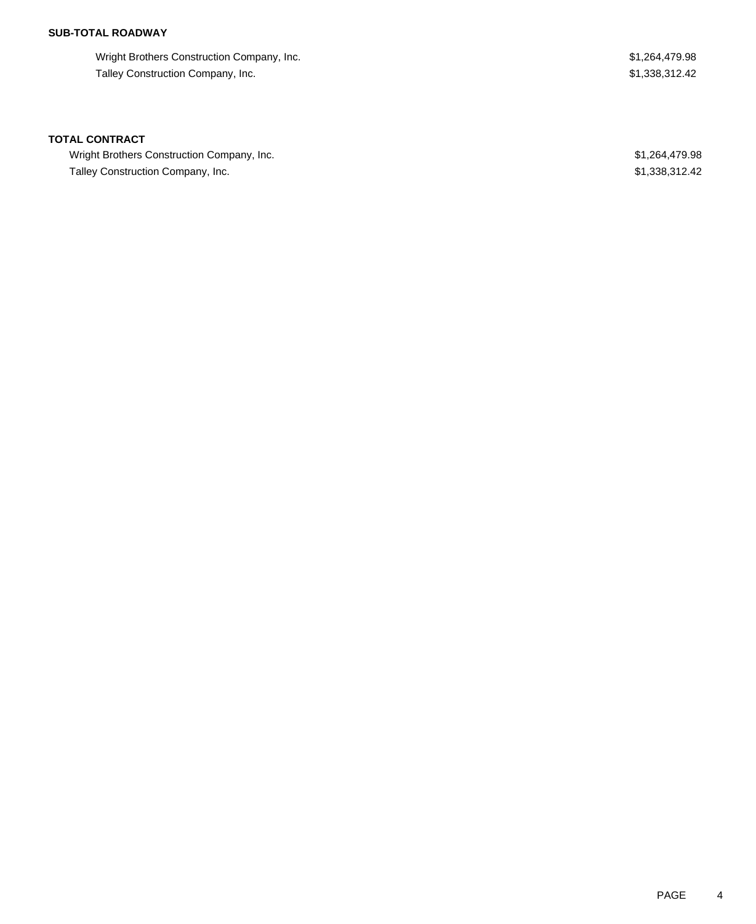Wright Brothers Construction Company, Inc. 6. The State of the State of the State of State State State State State State State State State State State State State State State State State State State State State State State Talley Construction Company, Inc. 6. The state of the state of the state of the state of the state of the state of the state of the state of the state of the state of the state of the state of the state of the state of the

#### **TOTAL CONTRACT**

Wright Brothers Construction Company, Inc. 6. The Superior Company, Inc. 6. The Superior Company, Inc. 51,264,479.98 Talley Construction Company, Inc. 6. The state of the state of the state of the state of the state of the state of the state of the state of the state of the state of the state of the state of the state of the state of the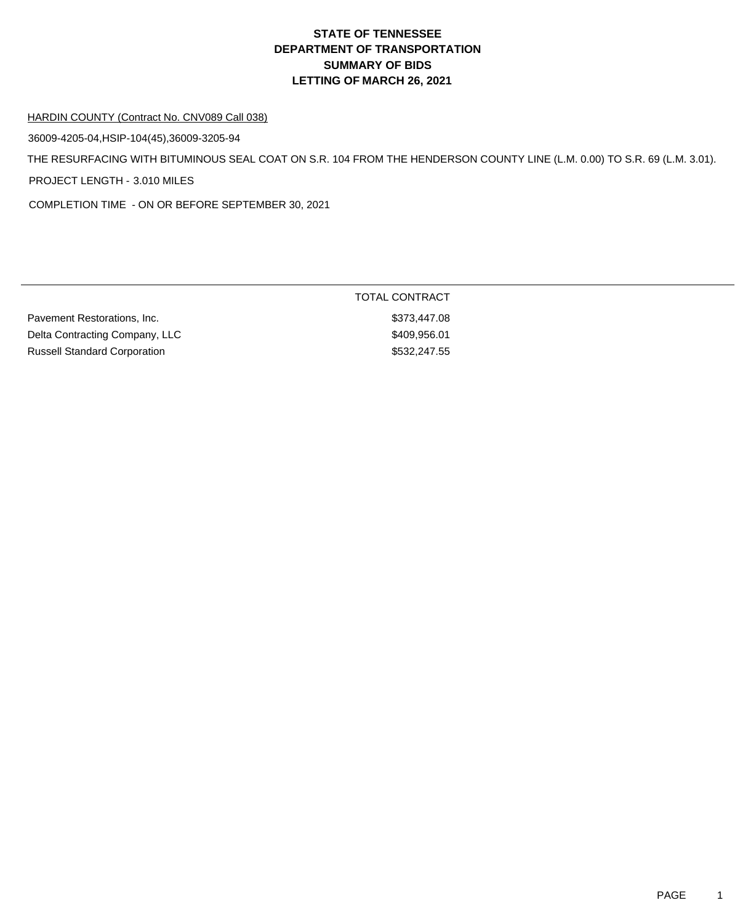#### HARDIN COUNTY (Contract No. CNV089 Call 038)

36009-4205-04,HSIP-104(45),36009-3205-94

THE RESURFACING WITH BITUMINOUS SEAL COAT ON S.R. 104 FROM THE HENDERSON COUNTY LINE (L.M. 0.00) TO S.R. 69 (L.M. 3.01).

PROJECT LENGTH - 3.010 MILES

COMPLETION TIME - ON OR BEFORE SEPTEMBER 30, 2021

|                                     | TOTAL CONTRACT |  |
|-------------------------------------|----------------|--|
| Pavement Restorations, Inc.         | \$373.447.08   |  |
| Delta Contracting Company, LLC      | \$409.956.01   |  |
| <b>Russell Standard Corporation</b> | \$532.247.55   |  |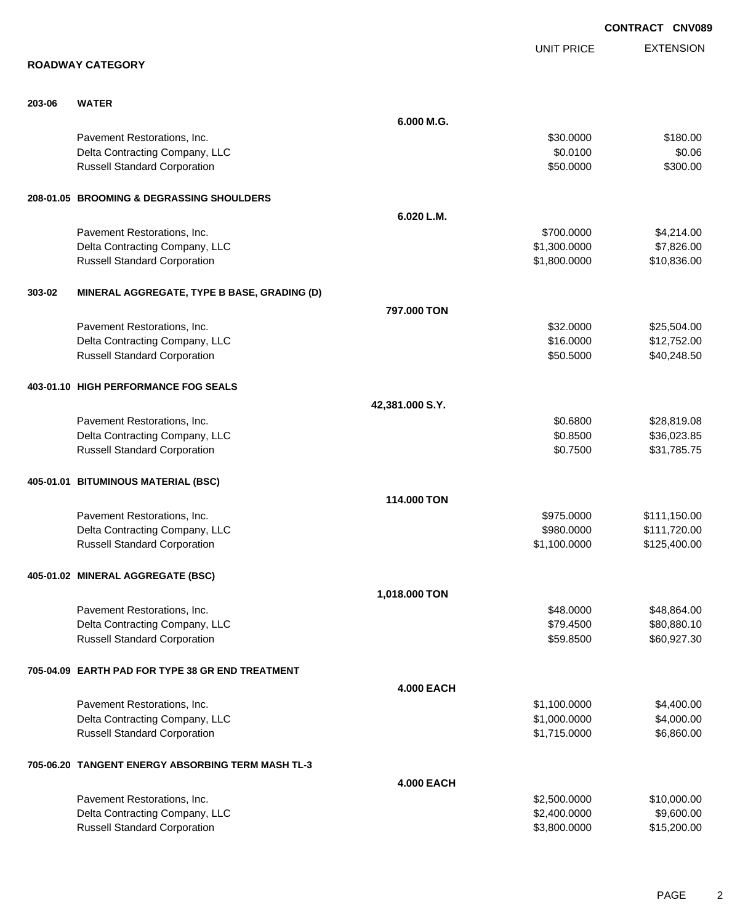|        |                                                   |                   |                   | CONTRACT CNV089  |
|--------|---------------------------------------------------|-------------------|-------------------|------------------|
|        |                                                   |                   | <b>UNIT PRICE</b> | <b>EXTENSION</b> |
|        | <b>ROADWAY CATEGORY</b>                           |                   |                   |                  |
| 203-06 | <b>WATER</b>                                      |                   |                   |                  |
|        |                                                   | 6.000 M.G.        |                   |                  |
|        | Pavement Restorations, Inc.                       |                   | \$30.0000         | \$180.00         |
|        | Delta Contracting Company, LLC                    |                   | \$0.0100          | \$0.06           |
|        | <b>Russell Standard Corporation</b>               |                   | \$50.0000         | \$300.00         |
|        | 208-01.05 BROOMING & DEGRASSING SHOULDERS         |                   |                   |                  |
|        |                                                   | 6.020 L.M.        |                   |                  |
|        | Pavement Restorations, Inc.                       |                   | \$700.0000        | \$4,214.00       |
|        | Delta Contracting Company, LLC                    |                   | \$1,300.0000      | \$7,826.00       |
|        | <b>Russell Standard Corporation</b>               |                   | \$1,800.0000      | \$10,836.00      |
| 303-02 | MINERAL AGGREGATE, TYPE B BASE, GRADING (D)       |                   |                   |                  |
|        |                                                   | 797,000 TON       |                   |                  |
|        | Pavement Restorations, Inc.                       |                   | \$32.0000         | \$25,504.00      |
|        | Delta Contracting Company, LLC                    |                   | \$16.0000         | \$12,752.00      |
|        | <b>Russell Standard Corporation</b>               |                   | \$50.5000         | \$40,248.50      |
|        | 403-01.10 HIGH PERFORMANCE FOG SEALS              |                   |                   |                  |
|        |                                                   | 42,381.000 S.Y.   |                   |                  |
|        | Pavement Restorations, Inc.                       |                   | \$0.6800          | \$28,819.08      |
|        | Delta Contracting Company, LLC                    |                   | \$0.8500          | \$36,023.85      |
|        | <b>Russell Standard Corporation</b>               |                   | \$0.7500          | \$31,785.75      |
|        | 405-01.01 BITUMINOUS MATERIAL (BSC)               |                   |                   |                  |
|        |                                                   | 114.000 TON       |                   |                  |
|        | Pavement Restorations, Inc.                       |                   | \$975.0000        | \$111,150.00     |
|        | Delta Contracting Company, LLC                    |                   | \$980.0000        | \$111,720.00     |
|        | <b>Russell Standard Corporation</b>               |                   | \$1,100.0000      | \$125,400.00     |
|        | 405-01.02 MINERAL AGGREGATE (BSC)                 |                   |                   |                  |
|        |                                                   | 1,018.000 TON     |                   |                  |
|        | Pavement Restorations, Inc.                       |                   | \$48.0000         | \$48,864.00      |
|        | Delta Contracting Company, LLC                    |                   | \$79.4500         | \$80,880.10      |
|        | <b>Russell Standard Corporation</b>               |                   | \$59.8500         | \$60,927.30      |
|        | 705-04.09 EARTH PAD FOR TYPE 38 GR END TREATMENT  |                   |                   |                  |
|        |                                                   | <b>4.000 EACH</b> |                   |                  |
|        | Pavement Restorations, Inc.                       |                   | \$1,100.0000      | \$4,400.00       |
|        | Delta Contracting Company, LLC                    |                   | \$1,000.0000      | \$4,000.00       |
|        | <b>Russell Standard Corporation</b>               |                   | \$1,715.0000      | \$6,860.00       |
|        | 705-06.20 TANGENT ENERGY ABSORBING TERM MASH TL-3 |                   |                   |                  |
|        |                                                   | <b>4.000 EACH</b> |                   |                  |
|        | Pavement Restorations, Inc.                       |                   | \$2,500.0000      | \$10,000.00      |
|        | Delta Contracting Company, LLC                    |                   | \$2,400.0000      | \$9,600.00       |
|        | <b>Russell Standard Corporation</b>               |                   | \$3,800.0000      | \$15,200.00      |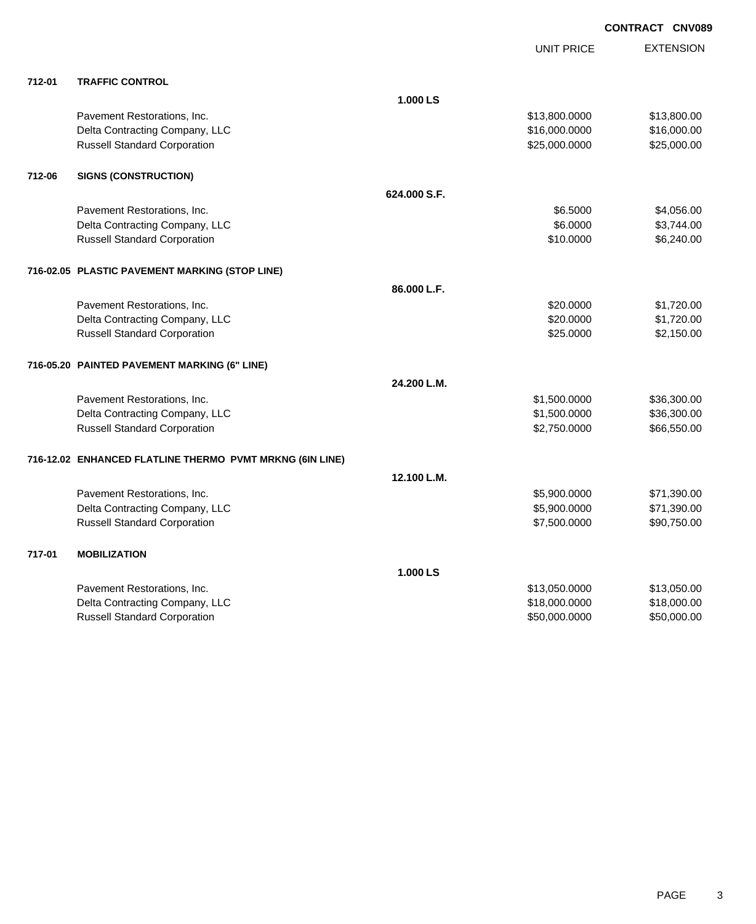|        |                                                          |              | UNIT PRICE    | <b>EXTENSION</b> |
|--------|----------------------------------------------------------|--------------|---------------|------------------|
| 712-01 | <b>TRAFFIC CONTROL</b>                                   |              |               |                  |
|        |                                                          | 1.000 LS     |               |                  |
|        | Pavement Restorations, Inc.                              |              | \$13,800.0000 | \$13,800.00      |
|        | Delta Contracting Company, LLC                           |              | \$16,000.0000 | \$16,000.00      |
|        | <b>Russell Standard Corporation</b>                      |              | \$25,000.0000 | \$25,000.00      |
| 712-06 | <b>SIGNS (CONSTRUCTION)</b>                              |              |               |                  |
|        |                                                          | 624,000 S.F. |               |                  |
|        | Pavement Restorations, Inc.                              |              | \$6.5000      | \$4,056.00       |
|        | Delta Contracting Company, LLC                           |              | \$6.0000      | \$3,744.00       |
|        | <b>Russell Standard Corporation</b>                      |              | \$10.0000     | \$6,240.00       |
|        | 716-02.05 PLASTIC PAVEMENT MARKING (STOP LINE)           |              |               |                  |
|        |                                                          | 86.000 L.F.  |               |                  |
|        | Pavement Restorations, Inc.                              |              | \$20.0000     | \$1,720.00       |
|        | Delta Contracting Company, LLC                           |              | \$20.0000     | \$1,720.00       |
|        | <b>Russell Standard Corporation</b>                      |              | \$25.0000     | \$2,150.00       |
|        | 716-05.20 PAINTED PAVEMENT MARKING (6" LINE)             |              |               |                  |
|        |                                                          | 24.200 L.M.  |               |                  |
|        | Pavement Restorations, Inc.                              |              | \$1,500.0000  | \$36,300.00      |
|        | Delta Contracting Company, LLC                           |              | \$1,500.0000  | \$36,300.00      |
|        | <b>Russell Standard Corporation</b>                      |              | \$2,750.0000  | \$66,550.00      |
|        | 716-12.02 ENHANCED FLATLINE THERMO PVMT MRKNG (6IN LINE) |              |               |                  |
|        |                                                          | 12.100 L.M.  |               |                  |
|        | Pavement Restorations, Inc.                              |              | \$5,900.0000  | \$71,390.00      |
|        | Delta Contracting Company, LLC                           |              | \$5,900.0000  | \$71,390.00      |
|        | <b>Russell Standard Corporation</b>                      |              | \$7,500.0000  | \$90,750.00      |
| 717-01 | <b>MOBILIZATION</b>                                      |              |               |                  |
|        |                                                          | 1.000 LS     |               |                  |
|        | Pavement Restorations, Inc.                              |              | \$13,050.0000 | \$13,050.00      |
|        | Delta Contracting Company, LLC                           |              | \$18,000.0000 | \$18,000.00      |
|        | <b>Russell Standard Corporation</b>                      |              | \$50,000.0000 | \$50,000.00      |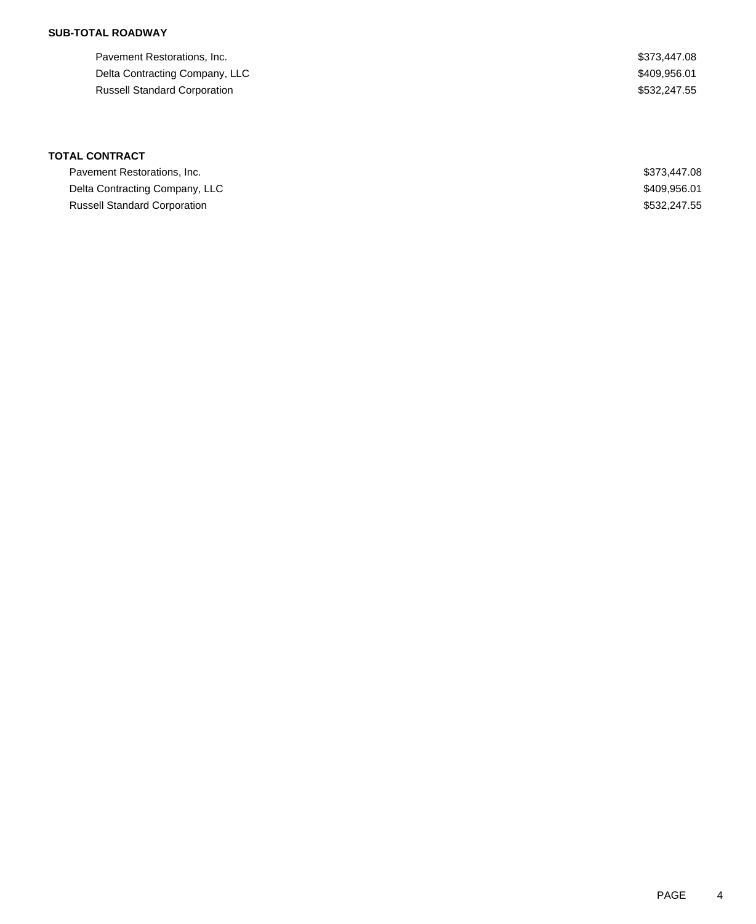| Pavement Restorations, Inc.         | \$373,447.08 |
|-------------------------------------|--------------|
| Delta Contracting Company, LLC      | \$409,956.01 |
| <b>Russell Standard Corporation</b> | \$532,247.55 |

# **TOTAL CONTRACT**

| Pavement Restorations, Inc.         | \$373,447.08 |
|-------------------------------------|--------------|
| Delta Contracting Company, LLC      | \$409.956.01 |
| <b>Russell Standard Corporation</b> | \$532,247.55 |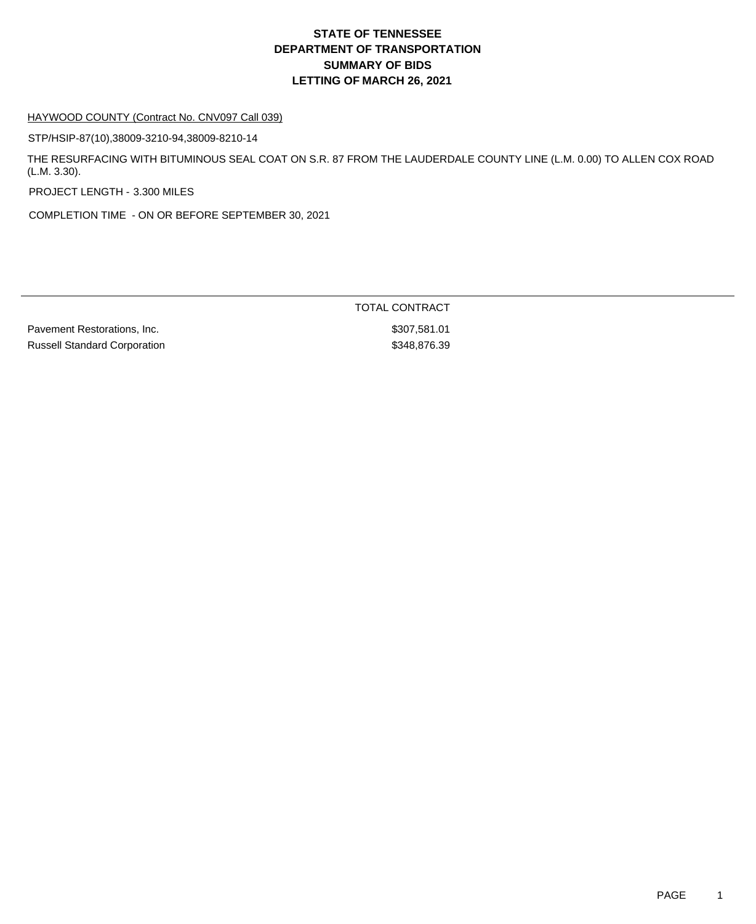#### HAYWOOD COUNTY (Contract No. CNV097 Call 039)

STP/HSIP-87(10),38009-3210-94,38009-8210-14

THE RESURFACING WITH BITUMINOUS SEAL COAT ON S.R. 87 FROM THE LAUDERDALE COUNTY LINE (L.M. 0.00) TO ALLEN COX ROAD (L.M. 3.30).

PROJECT LENGTH - 3.300 MILES

COMPLETION TIME - ON OR BEFORE SEPTEMBER 30, 2021

Pavement Restorations, Inc. 6. The contract of the state of the state of the state of the state of the state of the state of the state of the state of the state of the state of the state of the state of the state of the st Russell Standard Corporation  $$348,876.39$ 

TOTAL CONTRACT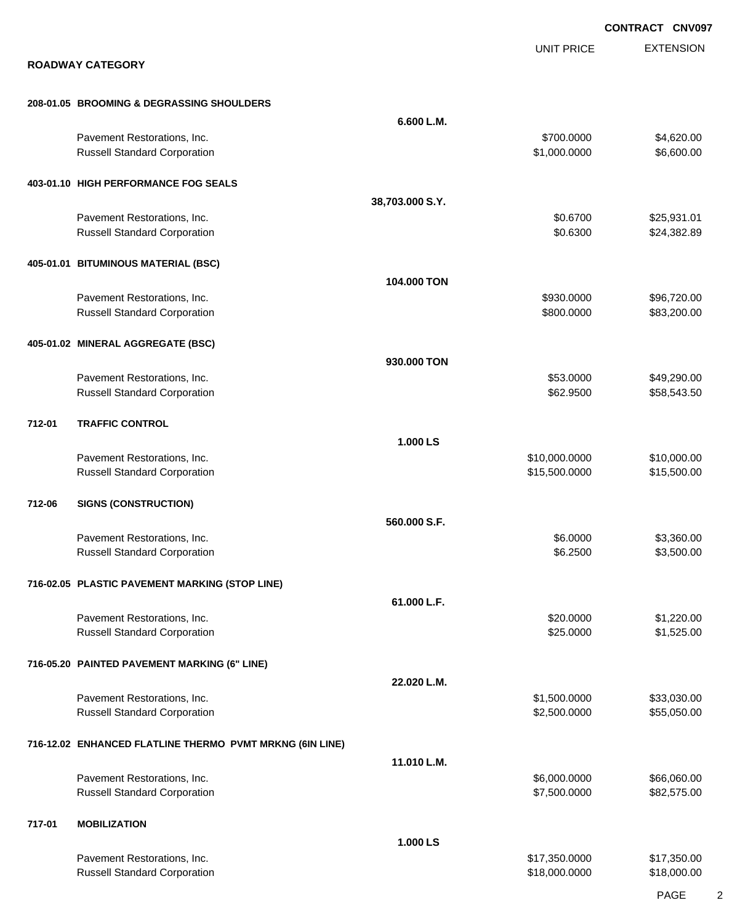|        |                                                                    |                 |                                | <b>CONTRACT CNV097</b>     |
|--------|--------------------------------------------------------------------|-----------------|--------------------------------|----------------------------|
|        | <b>ROADWAY CATEGORY</b>                                            |                 | <b>UNIT PRICE</b>              | <b>EXTENSION</b>           |
|        | 208-01.05 BROOMING & DEGRASSING SHOULDERS                          |                 |                                |                            |
|        |                                                                    | 6.600 L.M.      |                                |                            |
|        | Pavement Restorations, Inc.<br><b>Russell Standard Corporation</b> |                 | \$700.0000<br>\$1,000.0000     | \$4,620.00<br>\$6,600.00   |
|        | 403-01.10 HIGH PERFORMANCE FOG SEALS                               |                 |                                |                            |
|        |                                                                    | 38,703.000 S.Y. |                                |                            |
|        | Pavement Restorations, Inc.<br><b>Russell Standard Corporation</b> |                 | \$0.6700<br>\$0.6300           | \$25,931.01<br>\$24,382.89 |
|        | 405-01.01 BITUMINOUS MATERIAL (BSC)                                |                 |                                |                            |
|        |                                                                    | 104.000 TON     |                                |                            |
|        | Pavement Restorations, Inc.<br><b>Russell Standard Corporation</b> |                 | \$930.0000<br>\$800.0000       | \$96,720.00<br>\$83,200.00 |
|        | 405-01.02 MINERAL AGGREGATE (BSC)                                  |                 |                                |                            |
|        |                                                                    | 930.000 TON     |                                |                            |
|        | Pavement Restorations, Inc.                                        |                 | \$53.0000                      | \$49,290.00                |
|        | <b>Russell Standard Corporation</b>                                |                 | \$62.9500                      | \$58,543.50                |
| 712-01 | <b>TRAFFIC CONTROL</b>                                             |                 |                                |                            |
|        |                                                                    | 1.000 LS        |                                |                            |
|        | Pavement Restorations, Inc.                                        |                 | \$10,000.0000                  | \$10,000.00                |
|        | <b>Russell Standard Corporation</b>                                |                 | \$15,500.0000                  | \$15,500.00                |
| 712-06 | <b>SIGNS (CONSTRUCTION)</b>                                        |                 |                                |                            |
|        |                                                                    | 560.000 S.F.    |                                |                            |
|        | Pavement Restorations, Inc.                                        |                 | \$6.0000                       | \$3,360.00                 |
|        | <b>Russell Standard Corporation</b>                                |                 | \$6.2500                       | \$3,500.00                 |
|        | 716-02.05 PLASTIC PAVEMENT MARKING (STOP LINE)                     |                 |                                |                            |
|        |                                                                    | 61.000 L.F.     |                                |                            |
|        | Pavement Restorations, Inc.                                        |                 | \$20.0000                      | \$1,220.00                 |
|        | <b>Russell Standard Corporation</b>                                |                 | \$25.0000                      | \$1,525.00                 |
|        | 716-05.20 PAINTED PAVEMENT MARKING (6" LINE)                       |                 |                                |                            |
|        |                                                                    | 22.020 L.M.     |                                |                            |
|        | Pavement Restorations, Inc.                                        |                 | \$1,500.0000                   | \$33,030.00                |
|        | <b>Russell Standard Corporation</b>                                |                 | \$2,500.0000                   | \$55,050.00                |
|        | 716-12.02 ENHANCED FLATLINE THERMO PVMT MRKNG (6IN LINE)           |                 |                                |                            |
|        |                                                                    | 11.010 L.M.     |                                |                            |
|        | Pavement Restorations, Inc.                                        |                 | \$6,000.0000                   | \$66,060.00                |
|        | <b>Russell Standard Corporation</b>                                |                 | \$7,500.0000                   | \$82,575.00                |
| 717-01 | <b>MOBILIZATION</b>                                                |                 |                                |                            |
|        |                                                                    | 1.000 LS        |                                |                            |
|        | Pavement Restorations, Inc.<br><b>Russell Standard Corporation</b> |                 | \$17,350.0000<br>\$18,000.0000 | \$17,350.00<br>\$18,000.00 |
|        |                                                                    |                 |                                |                            |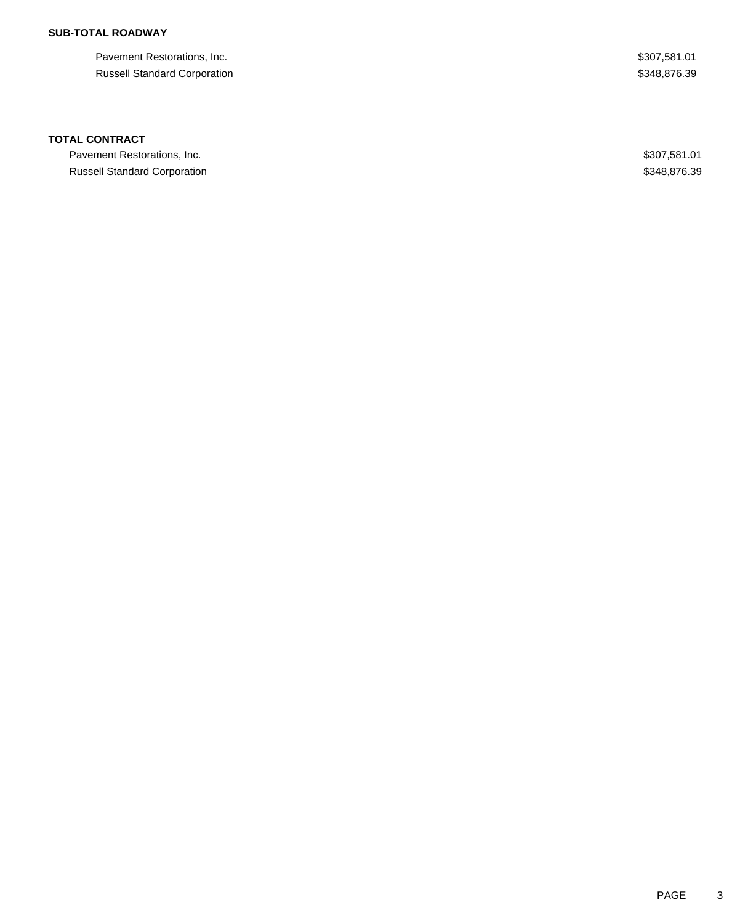Pavement Restorations, Inc. 6. The Second Second Second Second Second Second Seconds Assembly \$307,581.01 Russell Standard Corporation  $$348,876.39$ 

### **TOTAL CONTRACT**

Pavement Restorations, Inc. 6. The Saudio of the Saudio of the Saudio of the Saudio of the Saudio of Saudio Saudio Saudio Saudio Saudio Saudio Saudio Saudio Saudio Saudio Saudio Saudio Saudio Saudio Saudio Saudio Saudio Sa Russell Standard Corporation **\$348,876.39** 348,876.39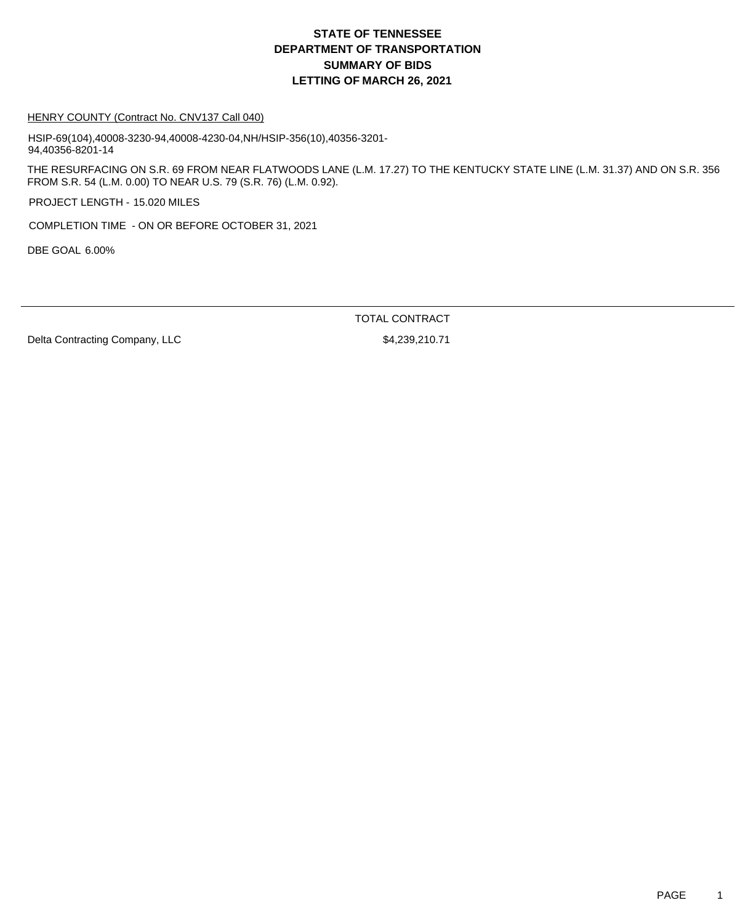#### HENRY COUNTY (Contract No. CNV137 Call 040)

HSIP-69(104),40008-3230-94,40008-4230-04,NH/HSIP-356(10),40356-3201- 94,40356-8201-14

THE RESURFACING ON S.R. 69 FROM NEAR FLATWOODS LANE (L.M. 17.27) TO THE KENTUCKY STATE LINE (L.M. 31.37) AND ON S.R. 356 FROM S.R. 54 (L.M. 0.00) TO NEAR U.S. 79 (S.R. 76) (L.M. 0.92).

PROJECT LENGTH - 15.020 MILES

COMPLETION TIME - ON OR BEFORE OCTOBER 31, 2021

DBE GOAL 6.00%

TOTAL CONTRACT

Delta Contracting Company, LLC \$4,239,210.71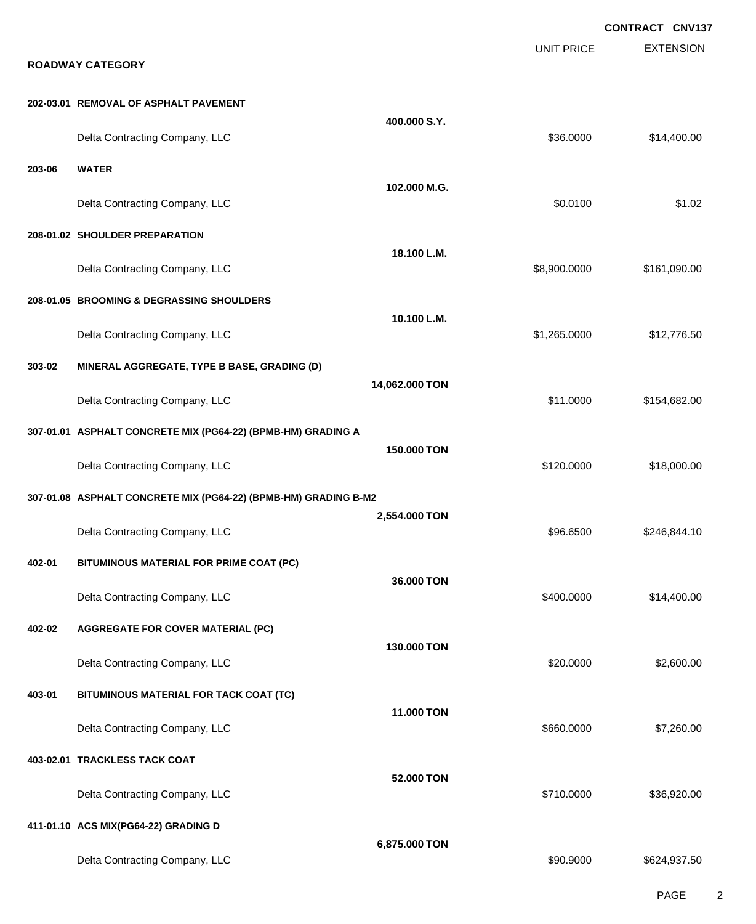EXTENSION **CONTRACT CNV137** UNIT PRICE **ROADWAY CATEGORY 202-03.01 REMOVAL OF ASPHALT PAVEMENT 400.000 S.Y.** Delta Contracting Company, LLC 6. The contracting Company, LLC 6. The contraction of the contracting Company, LLC **203-06 WATER 102.000 M.G.** Delta Contracting Company, LLC \$0.0100 \$1.02 **208-01.02 SHOULDER PREPARATION 18.100 L.M.** Delta Contracting Company, LLC 6.00000 \$161,090.000 \$161,090.000 \$161,090.00 **208-01.05 BROOMING & DEGRASSING SHOULDERS 10.100 L.M.** Delta Contracting Company, LLC **1.265.0000** \$12,776.50 **303-02 MINERAL AGGREGATE, TYPE B BASE, GRADING (D) 14,062.000 TON** Delta Contracting Company, LLC **but a struck of the struck of the struck of the struck of the struck of the struck of the struck of the struck of the struck of the struck of the struck of the struck of the struck of the st 307-01.01 ASPHALT CONCRETE MIX (PG64-22) (BPMB-HM) GRADING A 150.000 TON** Delta Contracting Company, LLC 6. The contraction of the state of the state of the state of the state of the state of the state of the state of the state of the state of the state of the state of the state of the state of **307-01.08 ASPHALT CONCRETE MIX (PG64-22) (BPMB-HM) GRADING B-M2 2,554.000 TON** Delta Contracting Company, LLC **196.6500** \$246,844.10 **402-01 BITUMINOUS MATERIAL FOR PRIME COAT (PC) 36.000 TON** Delta Contracting Company, LLC **600000 \$14,400.000 \$14,400.000** \$14,400.00 **402-02 AGGREGATE FOR COVER MATERIAL (PC) 130.000 TON** Delta Contracting Company, LLC \$20.0000 \$2,600.00 **403-01 BITUMINOUS MATERIAL FOR TACK COAT (TC) 11.000 TON** Delta Contracting Company, LLC 660.000 \$7,260.000 \$7,260.000 \$7,260.000 **403-02.01 TRACKLESS TACK COAT 52.000 TON** Delta Contracting Company, LLC **but a contraction of the Contraction Contraction Contraction Contraction Contraction Contraction Contraction Contraction Contraction Contraction Contraction Contraction Contraction Contracti 411-01.10 ACS MIX(PG64-22) GRADING D 6,875.000 TON** Delta Contracting Company, LLC 60000 \$624,937.50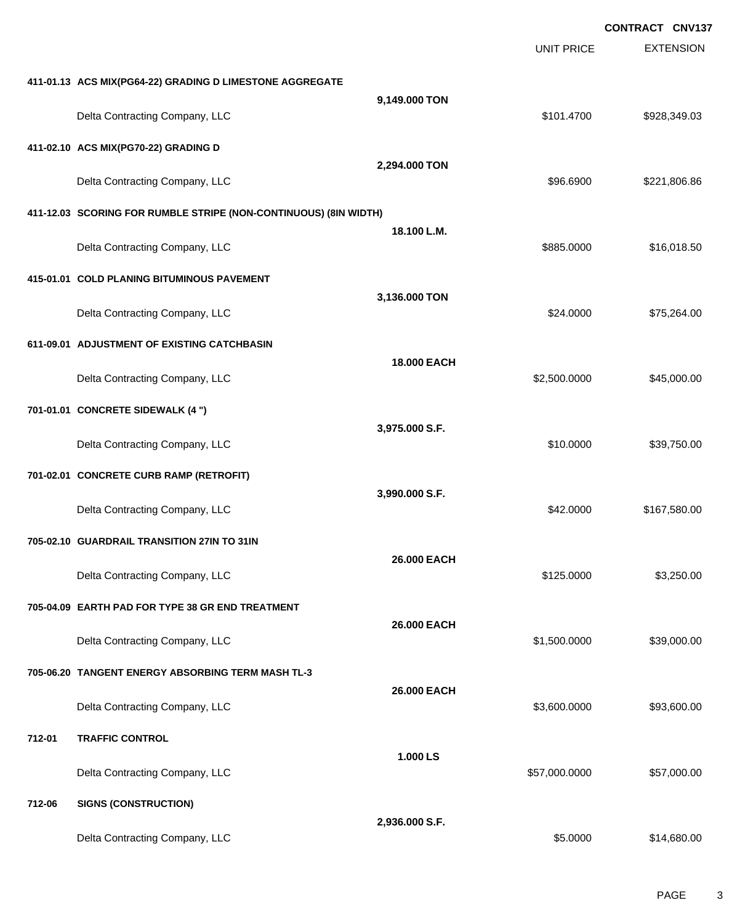|        |                                                                  |                |                   | <b>CONTRACT CNV137</b> |
|--------|------------------------------------------------------------------|----------------|-------------------|------------------------|
|        |                                                                  |                | <b>UNIT PRICE</b> | <b>EXTENSION</b>       |
|        | 411-01.13 ACS MIX(PG64-22) GRADING D LIMESTONE AGGREGATE         |                |                   |                        |
|        | Delta Contracting Company, LLC                                   | 9,149.000 TON  | \$101.4700        | \$928,349.03           |
|        | 411-02.10 ACS MIX(PG70-22) GRADING D                             |                |                   |                        |
|        | Delta Contracting Company, LLC                                   | 2,294.000 TON  | \$96.6900         | \$221,806.86           |
|        | 411-12.03 SCORING FOR RUMBLE STRIPE (NON-CONTINUOUS) (8IN WIDTH) |                |                   |                        |
|        | Delta Contracting Company, LLC                                   | 18.100 L.M.    | \$885.0000        | \$16,018.50            |
|        | 415-01.01 COLD PLANING BITUMINOUS PAVEMENT                       |                |                   |                        |
|        | Delta Contracting Company, LLC                                   | 3,136.000 TON  | \$24.0000         | \$75,264.00            |
|        | 611-09.01 ADJUSTMENT OF EXISTING CATCHBASIN                      |                |                   |                        |
|        | Delta Contracting Company, LLC                                   | 18.000 EACH    | \$2,500.0000      | \$45,000.00            |
|        | 701-01.01 CONCRETE SIDEWALK (4 ")                                |                |                   |                        |
|        | Delta Contracting Company, LLC                                   | 3,975.000 S.F. | \$10.0000         | \$39,750.00            |
|        | 701-02.01 CONCRETE CURB RAMP (RETROFIT)                          |                |                   |                        |
|        | Delta Contracting Company, LLC                                   | 3,990.000 S.F. | \$42.0000         | \$167,580.00           |
|        | 705-02.10 GUARDRAIL TRANSITION 27IN TO 31IN                      |                |                   |                        |
|        | Delta Contracting Company, LLC                                   | 26.000 EACH    | \$125.0000        | \$3,250.00             |
|        | 705-04.09 EARTH PAD FOR TYPE 38 GR END TREATMENT                 |                |                   |                        |
|        | Delta Contracting Company, LLC                                   | 26.000 EACH    | \$1,500.0000      | \$39,000.00            |
|        | 705-06.20 TANGENT ENERGY ABSORBING TERM MASH TL-3                |                |                   |                        |
|        | Delta Contracting Company, LLC                                   | 26.000 EACH    | \$3,600.0000      | \$93,600.00            |
| 712-01 | <b>TRAFFIC CONTROL</b>                                           |                |                   |                        |
|        | Delta Contracting Company, LLC                                   | 1.000 LS       | \$57,000.0000     | \$57,000.00            |
| 712-06 | <b>SIGNS (CONSTRUCTION)</b>                                      |                |                   |                        |
|        | Delta Contracting Company, LLC                                   | 2,936.000 S.F. | \$5.0000          | \$14,680.00            |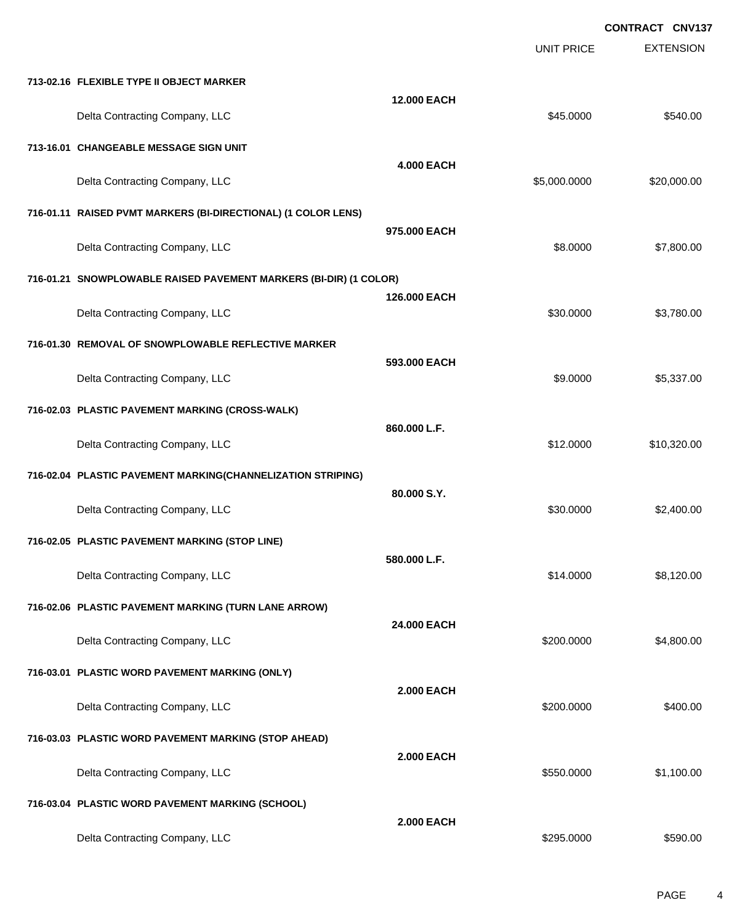|                                                                   |                   | <b>UNIT PRICE</b> | <b>EXTENSION</b> |
|-------------------------------------------------------------------|-------------------|-------------------|------------------|
| 713-02.16 FLEXIBLE TYPE II OBJECT MARKER                          |                   |                   |                  |
| Delta Contracting Company, LLC                                    | 12.000 EACH       | \$45.0000         | \$540.00         |
| 713-16.01 CHANGEABLE MESSAGE SIGN UNIT                            |                   |                   |                  |
| Delta Contracting Company, LLC                                    | <b>4.000 EACH</b> | \$5,000.0000      | \$20,000.00      |
| 716-01.11 RAISED PVMT MARKERS (BI-DIRECTIONAL) (1 COLOR LENS)     |                   |                   |                  |
| Delta Contracting Company, LLC                                    | 975.000 EACH      | \$8.0000          | \$7,800.00       |
| 716-01.21 SNOWPLOWABLE RAISED PAVEMENT MARKERS (BI-DIR) (1 COLOR) |                   |                   |                  |
| Delta Contracting Company, LLC                                    | 126.000 EACH      | \$30.0000         | \$3,780.00       |
| 716-01.30 REMOVAL OF SNOWPLOWABLE REFLECTIVE MARKER               |                   |                   |                  |
| Delta Contracting Company, LLC                                    | 593.000 EACH      | \$9.0000          | \$5,337.00       |
| 716-02.03 PLASTIC PAVEMENT MARKING (CROSS-WALK)                   |                   |                   |                  |
| Delta Contracting Company, LLC                                    | 860,000 L.F.      | \$12.0000         | \$10,320.00      |
| 716-02.04 PLASTIC PAVEMENT MARKING(CHANNELIZATION STRIPING)       | 80.000 S.Y.       |                   |                  |
| Delta Contracting Company, LLC                                    |                   | \$30.0000         | \$2,400.00       |
| 716-02.05 PLASTIC PAVEMENT MARKING (STOP LINE)                    | 580.000 L.F.      |                   |                  |
| Delta Contracting Company, LLC                                    |                   | \$14.0000         | \$8,120.00       |
| 716-02.06 PLASTIC PAVEMENT MARKING (TURN LANE ARROW)              | 24.000 EACH       |                   |                  |
| Delta Contracting Company, LLC                                    |                   | \$200.0000        | \$4,800.00       |
| 716-03.01 PLASTIC WORD PAVEMENT MARKING (ONLY)                    | <b>2.000 EACH</b> |                   |                  |
| Delta Contracting Company, LLC                                    |                   | \$200.0000        | \$400.00         |
| 716-03.03 PLASTIC WORD PAVEMENT MARKING (STOP AHEAD)              | <b>2.000 EACH</b> |                   |                  |
| Delta Contracting Company, LLC                                    |                   | \$550.0000        | \$1,100.00       |
| 716-03.04 PLASTIC WORD PAVEMENT MARKING (SCHOOL)                  | <b>2.000 EACH</b> |                   |                  |
| Delta Contracting Company, LLC                                    |                   | \$295.0000        | \$590.00         |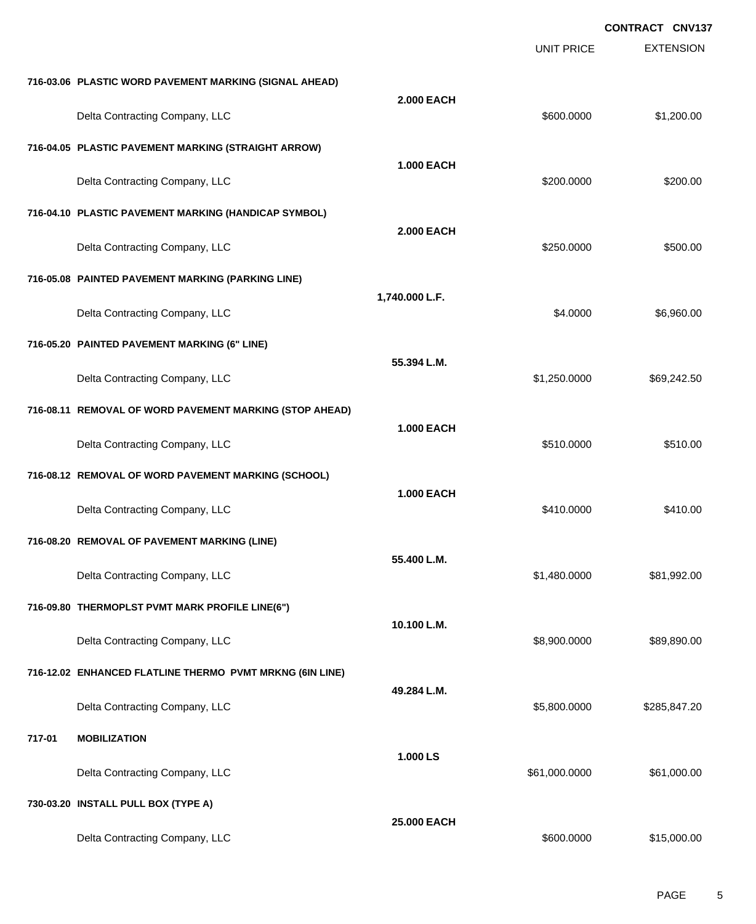EXTENSION **CONTRACT CNV137** UNIT PRICE **716-03.06 PLASTIC WORD PAVEMENT MARKING (SIGNAL AHEAD) 2.000 EACH** Delta Contracting Company, LLC **600000 \$1,200.000 \$1,200.000** \$1,200.000 **716-04.05 PLASTIC PAVEMENT MARKING (STRAIGHT ARROW) 1.000 EACH** Delta Contracting Company, LLC 6. The contraction of the contraction of the second second second second second structure second second second second second second second second second second second second second second sec **716-04.10 PLASTIC PAVEMENT MARKING (HANDICAP SYMBOL) 2.000 EACH** Delta Contracting Company, LLC 6500.000 \$500.000 \$500.00 **716-05.08 PAINTED PAVEMENT MARKING (PARKING LINE) 1,740.000 L.F.** Delta Contracting Company, LLC **6.960.00** \$6,960.00 **716-05.20 PAINTED PAVEMENT MARKING (6" LINE) 55.394 L.M.** Delta Contracting Company, LLC 6. The contraction of the contraction of the state of the state of the state of the state of the state of the state of the state of the state of the state of the state of the state of the sta **716-08.11 REMOVAL OF WORD PAVEMENT MARKING (STOP AHEAD) 1.000 EACH** Delta Contracting Company, LLC 6510.000 \$510.000 \$510.000 \$510.000 **716-08.12 REMOVAL OF WORD PAVEMENT MARKING (SCHOOL) 1.000 EACH** Delta Contracting Company, LLC 6410.000 \$410.000 \$410.000 \$410.000 **716-08.20 REMOVAL OF PAVEMENT MARKING (LINE) 55.400 L.M.** Delta Contracting Company, LLC **1992.00** \$1,480.0000 \$81,992.00 **716-09.80 THERMOPLST PVMT MARK PROFILE LINE(6") 10.100 L.M.** Delta Contracting Company, LLC 6.0000 \$89,890.000 \$8,900.000 \$89,890.000 \$89,890.00 **716-12.02 ENHANCED FLATLINE THERMO PVMT MRKNG (6IN LINE) 49.284 L.M.** Delta Contracting Company, LLC 6.600.000 \$285,847.20 **717-01 MOBILIZATION 1.000 LS** Delta Contracting Company, LLC 61,000.000 \$61,000.000 \$61,000.000 \$61,000.000 \$61,000.00 **730-03.20 INSTALL PULL BOX (TYPE A) 25.000 EACH**

Delta Contracting Company, LLC and the contraction of the state of the state of the state of the state of the state of the state of the state of the state of the state of the state of the state of the state of the state of

PAGE 5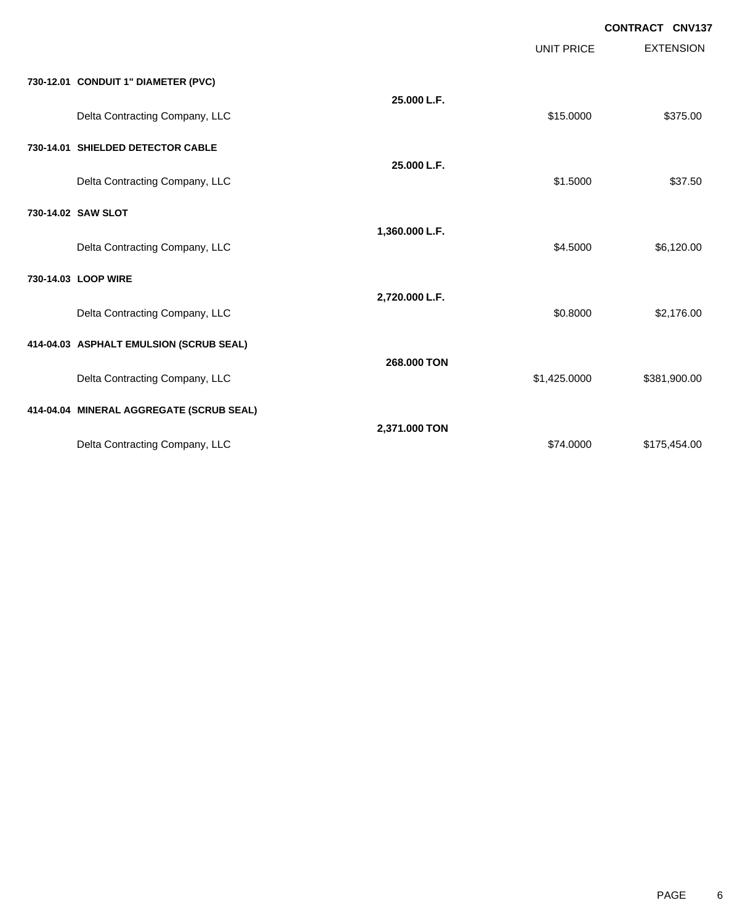|                                          |                | <b>UNIT PRICE</b> | <b>EXTENSION</b> |
|------------------------------------------|----------------|-------------------|------------------|
| 730-12.01 CONDUIT 1" DIAMETER (PVC)      |                |                   |                  |
| Delta Contracting Company, LLC           | 25.000 L.F.    | \$15.0000         | \$375.00         |
| 730-14.01 SHIELDED DETECTOR CABLE        |                |                   |                  |
| Delta Contracting Company, LLC           | 25.000 L.F.    | \$1.5000          | \$37.50          |
| 730-14.02 SAW SLOT                       |                |                   |                  |
| Delta Contracting Company, LLC           | 1,360.000 L.F. | \$4.5000          | \$6,120.00       |
| 730-14.03 LOOP WIRE                      |                |                   |                  |
| Delta Contracting Company, LLC           | 2,720.000 L.F. | \$0.8000          | \$2,176.00       |
| 414-04.03 ASPHALT EMULSION (SCRUB SEAL)  |                |                   |                  |
| Delta Contracting Company, LLC           | 268,000 TON    | \$1,425.0000      | \$381,900.00     |
| 414-04.04 MINERAL AGGREGATE (SCRUB SEAL) |                |                   |                  |
| Delta Contracting Company, LLC           | 2,371.000 TON  | \$74.0000         | \$175,454.00     |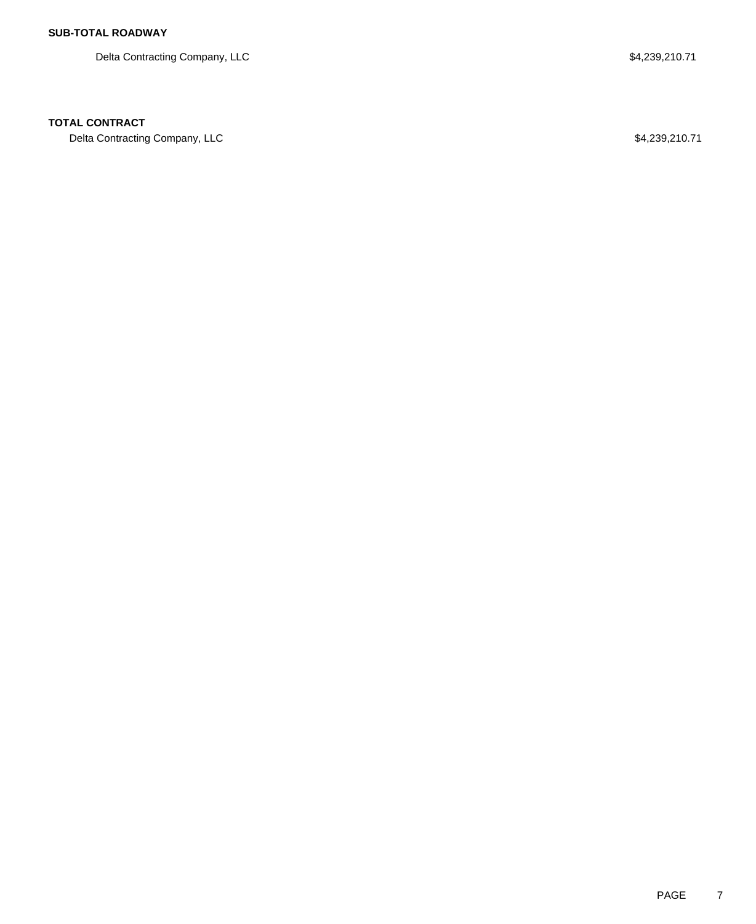Delta Contracting Company, LLC 64,239,210.71

## **TOTAL CONTRACT**

Delta Contracting Company, LLC 64,239,210.71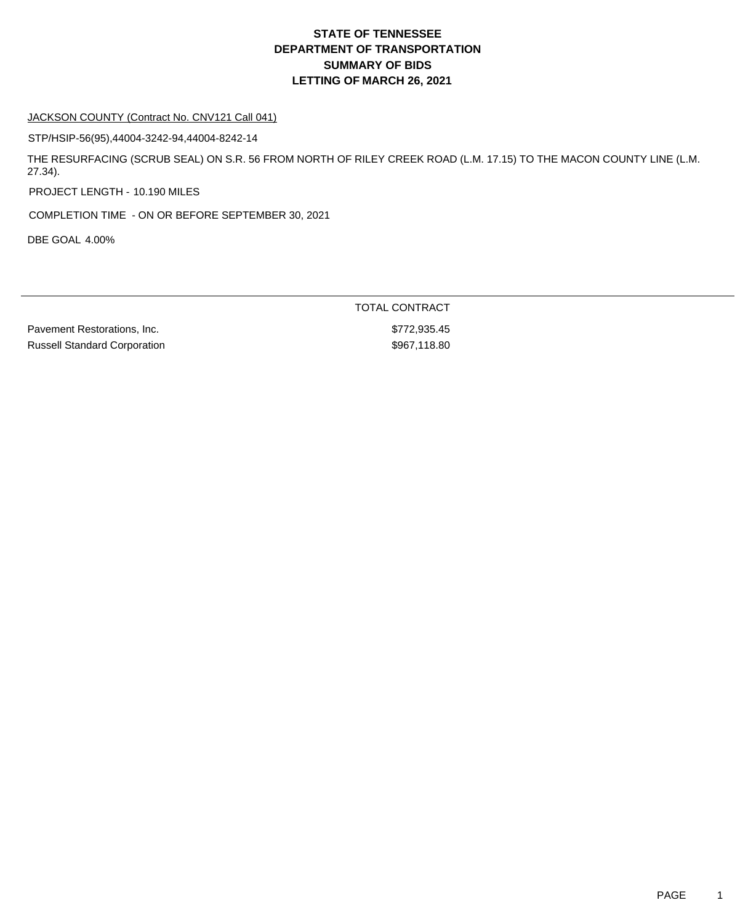#### JACKSON COUNTY (Contract No. CNV121 Call 041)

STP/HSIP-56(95),44004-3242-94,44004-8242-14

THE RESURFACING (SCRUB SEAL) ON S.R. 56 FROM NORTH OF RILEY CREEK ROAD (L.M. 17.15) TO THE MACON COUNTY LINE (L.M. 27.34).

PROJECT LENGTH - 10.190 MILES

COMPLETION TIME - ON OR BEFORE SEPTEMBER 30, 2021

DBE GOAL 4.00%

TOTAL CONTRACT Pavement Restorations, Inc.  $\blacksquare$ Russell Standard Corporation  $$967,118.80$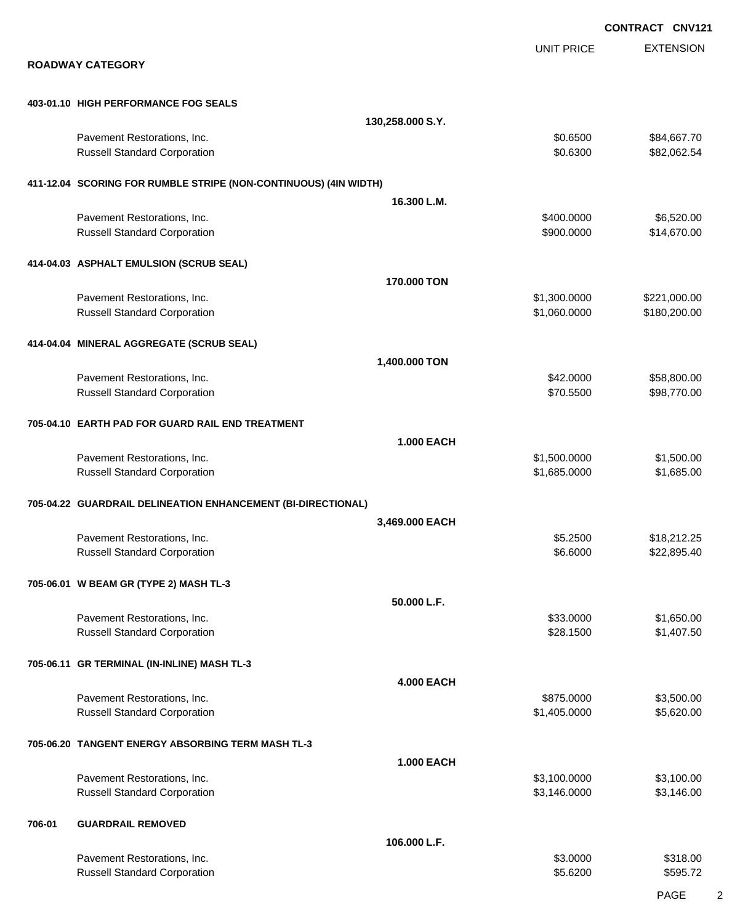|        |                                                                    |                   |                              | <b>CONTRACT CNV121</b>     |
|--------|--------------------------------------------------------------------|-------------------|------------------------------|----------------------------|
|        | <b>ROADWAY CATEGORY</b>                                            |                   | <b>UNIT PRICE</b>            | <b>EXTENSION</b>           |
|        | 403-01.10 HIGH PERFORMANCE FOG SEALS                               |                   |                              |                            |
|        |                                                                    | 130,258.000 S.Y.  |                              |                            |
|        | Pavement Restorations, Inc.                                        |                   | \$0.6500                     | \$84,667.70                |
|        | <b>Russell Standard Corporation</b>                                |                   | \$0.6300                     | \$82,062.54                |
|        | 411-12.04 SCORING FOR RUMBLE STRIPE (NON-CONTINUOUS) (4IN WIDTH)   |                   |                              |                            |
|        |                                                                    | 16.300 L.M.       |                              |                            |
|        | Pavement Restorations, Inc.<br><b>Russell Standard Corporation</b> |                   | \$400.0000<br>\$900.0000     | \$6,520.00<br>\$14,670.00  |
|        | 414-04.03 ASPHALT EMULSION (SCRUB SEAL)                            |                   |                              |                            |
|        |                                                                    | 170.000 TON       |                              |                            |
|        | Pavement Restorations, Inc.                                        |                   | \$1,300.0000<br>\$1,060.0000 | \$221,000.00               |
|        | <b>Russell Standard Corporation</b>                                |                   |                              | \$180,200.00               |
|        | 414-04.04 MINERAL AGGREGATE (SCRUB SEAL)                           |                   |                              |                            |
|        |                                                                    | 1,400.000 TON     |                              |                            |
|        | Pavement Restorations, Inc.<br><b>Russell Standard Corporation</b> |                   | \$42.0000<br>\$70.5500       | \$58,800.00<br>\$98,770.00 |
|        | 705-04.10 EARTH PAD FOR GUARD RAIL END TREATMENT                   |                   |                              |                            |
|        |                                                                    | <b>1.000 EACH</b> |                              |                            |
|        | Pavement Restorations, Inc.                                        |                   | \$1,500.0000                 | \$1,500.00                 |
|        | <b>Russell Standard Corporation</b>                                |                   | \$1,685.0000                 | \$1,685.00                 |
|        | 705-04.22 GUARDRAIL DELINEATION ENHANCEMENT (BI-DIRECTIONAL)       |                   |                              |                            |
|        |                                                                    | 3,469.000 EACH    |                              |                            |
|        | Pavement Restorations, Inc.<br><b>Russell Standard Corporation</b> |                   | \$5.2500<br>\$6.6000         | \$18,212.25<br>\$22,895.40 |
|        | 705-06.01 W BEAM GR (TYPE 2) MASH TL-3                             |                   |                              |                            |
|        |                                                                    | 50.000 L.F.       |                              |                            |
|        | Pavement Restorations, Inc.                                        |                   | \$33.0000                    | \$1,650.00                 |
|        | <b>Russell Standard Corporation</b>                                |                   | \$28.1500                    | \$1,407.50                 |
|        | 705-06.11 GR TERMINAL (IN-INLINE) MASH TL-3                        |                   |                              |                            |
|        |                                                                    | <b>4.000 EACH</b> |                              |                            |
|        | Pavement Restorations, Inc.<br><b>Russell Standard Corporation</b> |                   | \$875.0000<br>\$1,405.0000   | \$3,500.00<br>\$5,620.00   |
|        | 705-06.20 TANGENT ENERGY ABSORBING TERM MASH TL-3                  |                   |                              |                            |
|        |                                                                    | <b>1.000 EACH</b> |                              |                            |
|        | Pavement Restorations, Inc.                                        |                   | \$3,100.0000                 | \$3,100.00                 |
|        | <b>Russell Standard Corporation</b>                                |                   | \$3,146.0000                 | \$3,146.00                 |
| 706-01 | <b>GUARDRAIL REMOVED</b>                                           |                   |                              |                            |
|        | Pavement Restorations, Inc.                                        | 106.000 L.F.      | \$3.0000                     | \$318.00                   |
|        | <b>Russell Standard Corporation</b>                                |                   | \$5.6200                     | \$595.72                   |
|        |                                                                    |                   |                              |                            |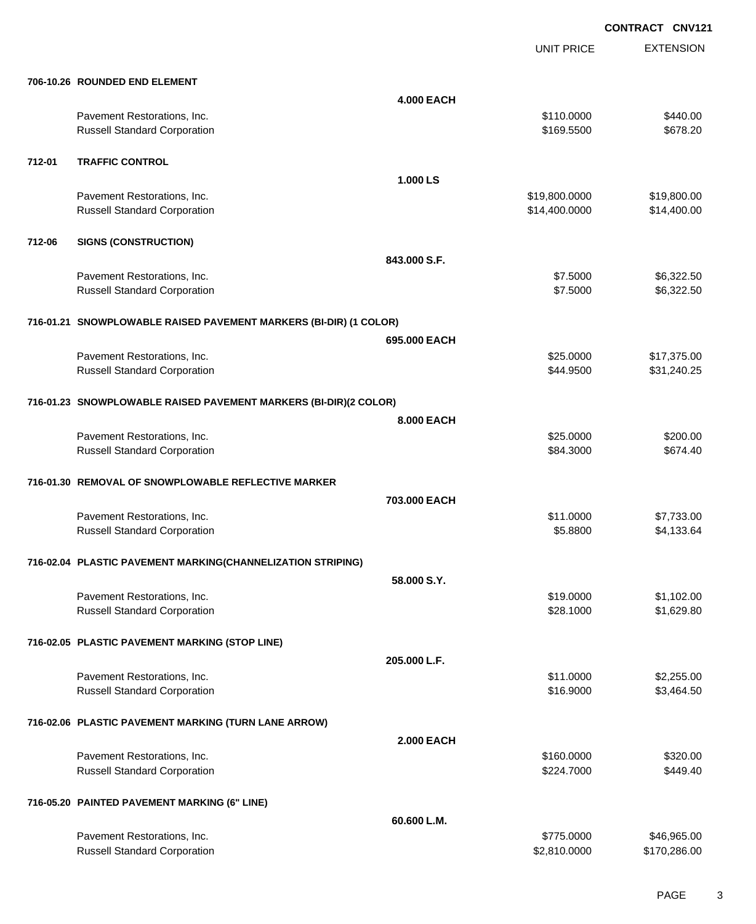UNIT PRICE

EXTENSION

|        | 706-10.26 ROUNDED END ELEMENT                                      |                   |                        |                             |
|--------|--------------------------------------------------------------------|-------------------|------------------------|-----------------------------|
|        |                                                                    | <b>4.000 EACH</b> |                        |                             |
|        | Pavement Restorations, Inc.                                        |                   | \$110.0000             | \$440.00                    |
|        | <b>Russell Standard Corporation</b>                                |                   | \$169.5500             | \$678.20                    |
| 712-01 | <b>TRAFFIC CONTROL</b>                                             |                   |                        |                             |
|        |                                                                    | 1.000 LS          |                        |                             |
|        | Pavement Restorations, Inc.                                        |                   | \$19,800.0000          | \$19,800.00                 |
|        | <b>Russell Standard Corporation</b>                                |                   | \$14,400.0000          | \$14,400.00                 |
|        |                                                                    |                   |                        |                             |
| 712-06 | <b>SIGNS (CONSTRUCTION)</b>                                        |                   |                        |                             |
|        |                                                                    | 843.000 S.F.      |                        |                             |
|        | Pavement Restorations, Inc.                                        |                   | \$7.5000               | \$6,322.50                  |
|        | <b>Russell Standard Corporation</b>                                |                   | \$7.5000               | \$6,322.50                  |
|        | 716-01.21 SNOWPLOWABLE RAISED PAVEMENT MARKERS (BI-DIR) (1 COLOR)  |                   |                        |                             |
|        |                                                                    | 695.000 EACH      |                        |                             |
|        | Pavement Restorations, Inc.                                        |                   | \$25.0000              | \$17,375.00                 |
|        | <b>Russell Standard Corporation</b>                                |                   | \$44.9500              | \$31,240.25                 |
|        |                                                                    |                   |                        |                             |
|        | 716-01.23 SNOWPLOWABLE RAISED PAVEMENT MARKERS (BI-DIR)(2 COLOR)   |                   |                        |                             |
|        |                                                                    | 8.000 EACH        |                        |                             |
|        | Pavement Restorations, Inc.<br><b>Russell Standard Corporation</b> |                   | \$25.0000<br>\$84.3000 | \$200.00<br>\$674.40        |
|        |                                                                    |                   |                        |                             |
|        | 716-01.30 REMOVAL OF SNOWPLOWABLE REFLECTIVE MARKER                |                   |                        |                             |
|        |                                                                    | 703.000 EACH      |                        |                             |
|        | Pavement Restorations, Inc.                                        |                   | \$11.0000              | \$7,733.00                  |
|        | <b>Russell Standard Corporation</b>                                |                   | \$5.8800               | \$4,133.64                  |
|        | 716-02.04 PLASTIC PAVEMENT MARKING(CHANNELIZATION STRIPING)        |                   |                        |                             |
|        |                                                                    | 58,000 S.Y.       |                        |                             |
|        | Pavement Restorations, Inc.                                        |                   | \$19.0000              | \$1,102.00                  |
|        | <b>Russell Standard Corporation</b>                                |                   | \$28.1000              | \$1,629.80                  |
|        |                                                                    |                   |                        |                             |
|        | 716-02.05 PLASTIC PAVEMENT MARKING (STOP LINE)                     |                   |                        |                             |
|        |                                                                    | 205.000 L.F.      |                        |                             |
|        | Pavement Restorations, Inc.                                        |                   | \$11.0000              | \$2,255.00                  |
|        | <b>Russell Standard Corporation</b>                                |                   | \$16.9000              | \$3,464.50                  |
|        | 716-02.06 PLASTIC PAVEMENT MARKING (TURN LANE ARROW)               |                   |                        |                             |
|        |                                                                    | <b>2.000 EACH</b> |                        |                             |
|        | Pavement Restorations, Inc.                                        |                   | \$160.0000             | \$320.00                    |
|        | <b>Russell Standard Corporation</b>                                |                   | \$224.7000             | \$449.40                    |
|        |                                                                    |                   |                        |                             |
|        | 716-05.20 PAINTED PAVEMENT MARKING (6" LINE)                       |                   |                        |                             |
|        |                                                                    | 60.600 L.M.       | \$775.0000             |                             |
|        | Pavement Restorations, Inc.<br><b>Russell Standard Corporation</b> |                   | \$2,810.0000           | \$46,965.00<br>\$170,286.00 |
|        |                                                                    |                   |                        |                             |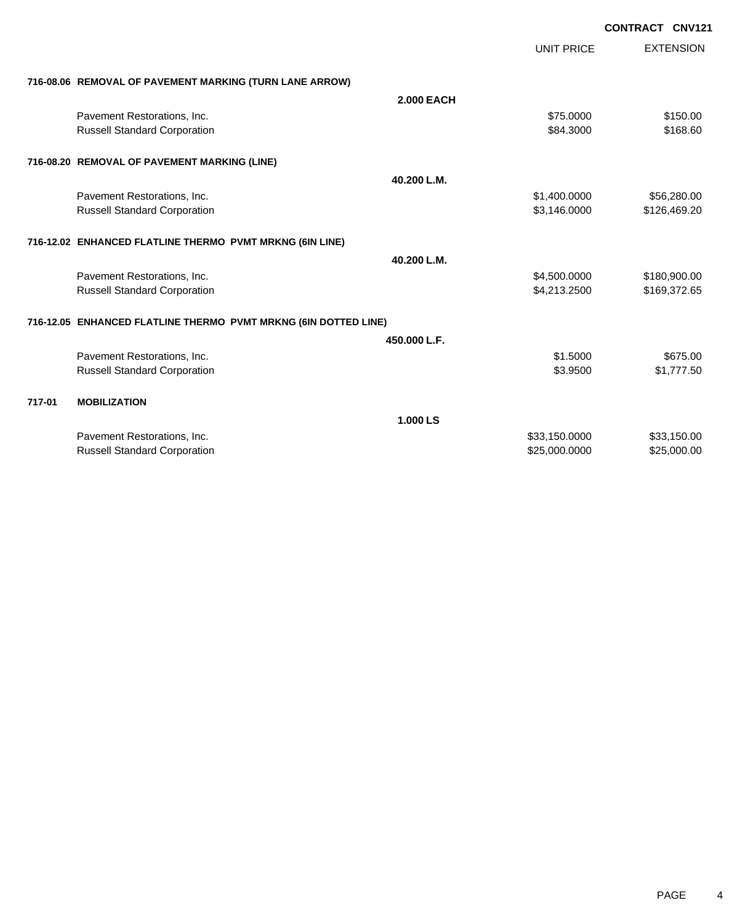|        |                                                                 |                   |                   | CONTRACT CNV121  |
|--------|-----------------------------------------------------------------|-------------------|-------------------|------------------|
|        |                                                                 |                   | <b>UNIT PRICE</b> | <b>EXTENSION</b> |
|        | 716-08.06 REMOVAL OF PAVEMENT MARKING (TURN LANE ARROW)         |                   |                   |                  |
|        |                                                                 | <b>2.000 EACH</b> |                   |                  |
|        | Pavement Restorations, Inc.                                     |                   | \$75.0000         | \$150.00         |
|        | <b>Russell Standard Corporation</b>                             |                   | \$84.3000         | \$168.60         |
|        | 716-08.20 REMOVAL OF PAVEMENT MARKING (LINE)                    |                   |                   |                  |
|        |                                                                 | 40.200 L.M.       |                   |                  |
|        | Pavement Restorations, Inc.                                     |                   | \$1,400.0000      | \$56,280.00      |
|        | <b>Russell Standard Corporation</b>                             |                   | \$3,146.0000      | \$126,469.20     |
|        | 716-12.02 ENHANCED FLATLINE THERMO PVMT MRKNG (6IN LINE)        |                   |                   |                  |
|        |                                                                 | 40.200 L.M.       |                   |                  |
|        | Pavement Restorations, Inc.                                     |                   | \$4,500.0000      | \$180,900.00     |
|        | <b>Russell Standard Corporation</b>                             |                   | \$4,213.2500      | \$169,372.65     |
|        | 716-12.05 ENHANCED FLATLINE THERMO PVMT MRKNG (6IN DOTTED LINE) |                   |                   |                  |
|        |                                                                 | 450.000 L.F.      |                   |                  |
|        | Pavement Restorations, Inc.                                     |                   | \$1.5000          | \$675.00         |
|        | <b>Russell Standard Corporation</b>                             |                   | \$3.9500          | \$1,777.50       |
| 717-01 | <b>MOBILIZATION</b>                                             |                   |                   |                  |
|        |                                                                 | 1.000 LS          |                   |                  |
|        | Pavement Restorations, Inc.                                     |                   | \$33,150.0000     | \$33,150.00      |
|        | <b>Russell Standard Corporation</b>                             |                   | \$25,000.0000     | \$25,000.00      |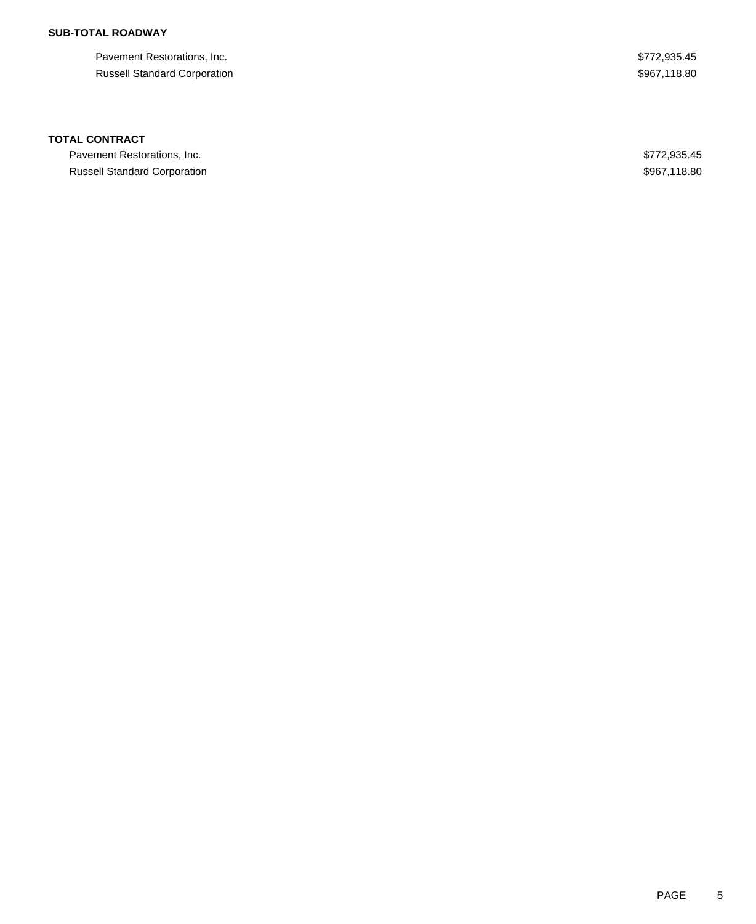Pavement Restorations, Inc. 6. The Second Second Second Second Second Second Seconds Assembly 1980. Russell Standard Corporation  $$967,118.80$ 

### **TOTAL CONTRACT**

Pavement Restorations, Inc. 6. The Second Second Second Seconds of the Second Seconds Assembly 1980. Russell Standard Corporation **\$967,118.80**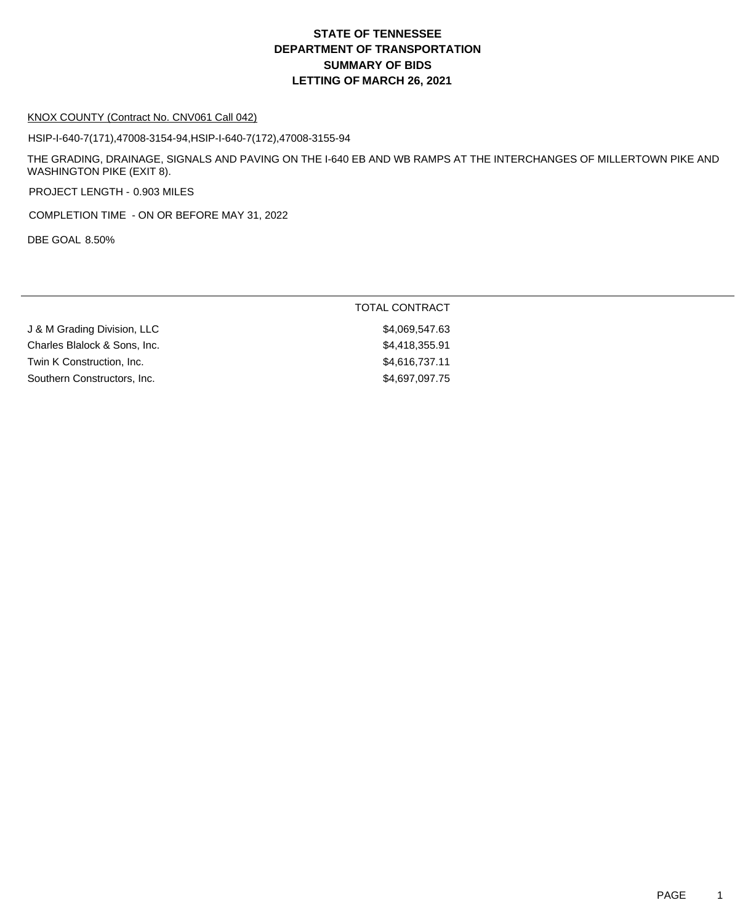# **DEPARTMENT OF TRANSPORTATION SUMMARY OF BIDS LETTING OF MARCH 26, 2021 STATE OF TENNESSEE**

#### KNOX COUNTY (Contract No. CNV061 Call 042)

HSIP-I-640-7(171),47008-3154-94,HSIP-I-640-7(172),47008-3155-94

THE GRADING, DRAINAGE, SIGNALS AND PAVING ON THE I-640 EB AND WB RAMPS AT THE INTERCHANGES OF MILLERTOWN PIKE AND WASHINGTON PIKE (EXIT 8).

PROJECT LENGTH - 0.903 MILES

COMPLETION TIME - ON OR BEFORE MAY 31, 2022

DBE GOAL 8.50%

|                              | <b>TOTAL CONTRACT</b> |
|------------------------------|-----------------------|
| J & M Grading Division, LLC  | \$4,069,547.63        |
| Charles Blalock & Sons, Inc. | \$4,418,355.91        |
| Twin K Construction, Inc.    | \$4,616,737.11        |
| Southern Constructors, Inc.  | \$4,697,097.75        |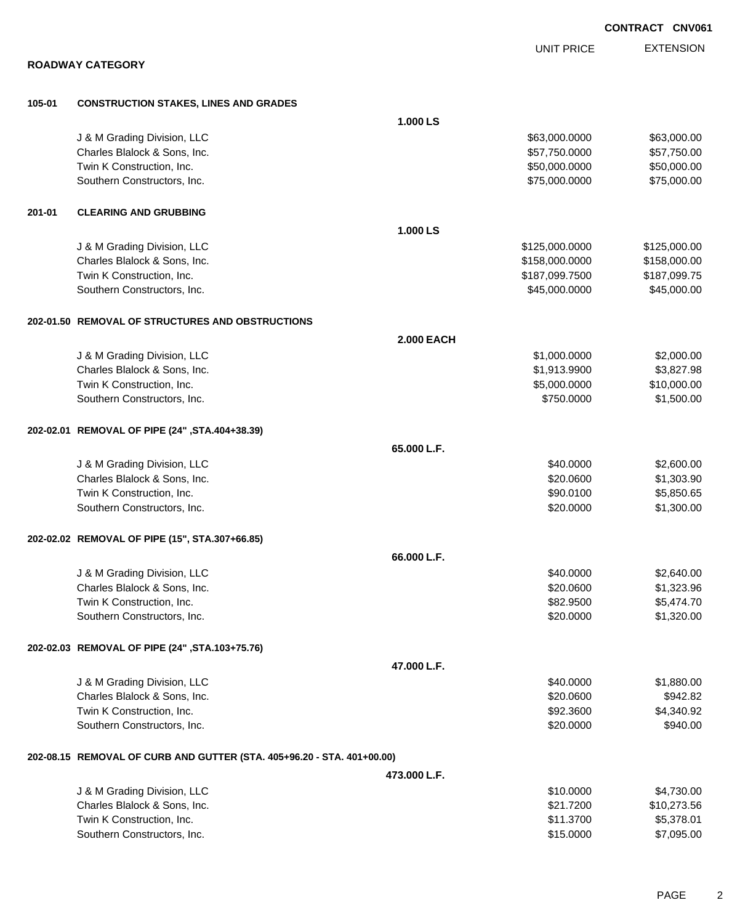|        |                                                                        |                        | <b>CONTRACT CNV061</b>   |
|--------|------------------------------------------------------------------------|------------------------|--------------------------|
|        |                                                                        | <b>UNIT PRICE</b>      | <b>EXTENSION</b>         |
|        | <b>ROADWAY CATEGORY</b>                                                |                        |                          |
|        |                                                                        |                        |                          |
| 105-01 | <b>CONSTRUCTION STAKES, LINES AND GRADES</b>                           |                        |                          |
|        |                                                                        | 1.000 LS               |                          |
|        | J & M Grading Division, LLC                                            | \$63,000.0000          | \$63,000.00              |
|        | Charles Blalock & Sons, Inc.                                           | \$57,750.0000          | \$57,750.00              |
|        | Twin K Construction, Inc.                                              | \$50,000.0000          | \$50,000.00              |
|        | Southern Constructors, Inc.                                            | \$75,000.0000          | \$75,000.00              |
| 201-01 | <b>CLEARING AND GRUBBING</b>                                           |                        |                          |
|        |                                                                        | 1.000 LS               |                          |
|        | J & M Grading Division, LLC                                            | \$125,000.0000         | \$125,000.00             |
|        | Charles Blalock & Sons, Inc.                                           | \$158,000.0000         | \$158,000.00             |
|        | Twin K Construction, Inc.                                              | \$187,099.7500         | \$187,099.75             |
|        | Southern Constructors, Inc.                                            | \$45,000.0000          | \$45,000.00              |
|        | 202-01.50 REMOVAL OF STRUCTURES AND OBSTRUCTIONS                       |                        |                          |
|        |                                                                        | <b>2.000 EACH</b>      |                          |
|        | J & M Grading Division, LLC                                            | \$1,000.0000           | \$2,000.00               |
|        | Charles Blalock & Sons, Inc.                                           | \$1,913.9900           | \$3,827.98               |
|        | Twin K Construction, Inc.                                              | \$5,000.0000           | \$10,000.00              |
|        | Southern Constructors, Inc.                                            | \$750.0000             | \$1,500.00               |
|        | 202-02.01 REMOVAL OF PIPE (24", STA.404+38.39)                         |                        |                          |
|        |                                                                        | 65.000 L.F.            |                          |
|        | J & M Grading Division, LLC                                            | \$40.0000              | \$2,600.00               |
|        | Charles Blalock & Sons, Inc.                                           | \$20.0600              | \$1,303.90               |
|        | Twin K Construction, Inc.                                              | \$90.0100              | \$5,850.65               |
|        | Southern Constructors, Inc.                                            | \$20.0000              | \$1,300.00               |
|        |                                                                        |                        |                          |
|        | 202-02.02 REMOVAL OF PIPE (15", STA.307+66.85)                         |                        |                          |
|        |                                                                        | 66.000 L.F.            |                          |
|        | J & M Grading Division, LLC                                            | \$40.0000              | \$2,640.00               |
|        | Charles Blalock & Sons, Inc.<br>Twin K Construction, Inc.              | \$20.0600<br>\$82.9500 | \$1,323.96<br>\$5,474.70 |
|        | Southern Constructors, Inc.                                            | \$20.0000              | \$1,320.00               |
|        |                                                                        |                        |                          |
|        | 202-02.03 REMOVAL OF PIPE (24", STA.103+75.76)                         |                        |                          |
|        |                                                                        | 47.000 L.F.            |                          |
|        | J & M Grading Division, LLC                                            | \$40.0000              | \$1,880.00               |
|        | Charles Blalock & Sons, Inc.                                           | \$20.0600              | \$942.82                 |
|        | Twin K Construction, Inc.                                              | \$92.3600              | \$4,340.92               |
|        | Southern Constructors, Inc.                                            | \$20.0000              | \$940.00                 |
|        | 202-08.15 REMOVAL OF CURB AND GUTTER (STA. 405+96.20 - STA. 401+00.00) |                        |                          |
|        |                                                                        | 473.000 L.F.           |                          |
|        | J & M Grading Division, LLC                                            | \$10.0000              | \$4,730.00               |
|        | Charles Blalock & Sons, Inc.                                           | \$21.7200              | \$10,273.56              |
|        | Twin K Construction, Inc.                                              | \$11.3700              | \$5,378.01               |
|        | Southern Constructors, Inc.                                            | \$15.0000              | \$7,095.00               |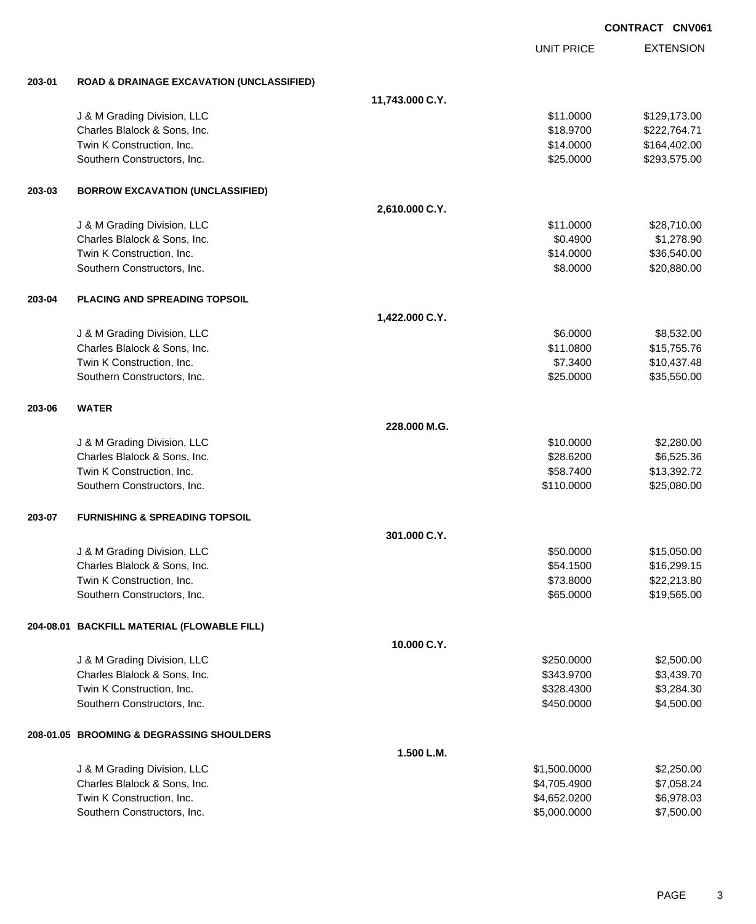|        |                                                      |                 |                   | <b>CONTRACT CNV061</b> |
|--------|------------------------------------------------------|-----------------|-------------------|------------------------|
|        |                                                      |                 | <b>UNIT PRICE</b> | <b>EXTENSION</b>       |
| 203-01 | <b>ROAD &amp; DRAINAGE EXCAVATION (UNCLASSIFIED)</b> |                 |                   |                        |
|        |                                                      | 11,743.000 C.Y. |                   |                        |
|        | J & M Grading Division, LLC                          |                 | \$11.0000         | \$129,173.00           |
|        | Charles Blalock & Sons, Inc.                         |                 | \$18.9700         | \$222,764.71           |
|        | Twin K Construction, Inc.                            |                 | \$14.0000         | \$164,402.00           |
|        | Southern Constructors, Inc.                          |                 | \$25.0000         | \$293,575.00           |
| 203-03 | <b>BORROW EXCAVATION (UNCLASSIFIED)</b>              |                 |                   |                        |
|        |                                                      | 2,610.000 C.Y.  |                   |                        |
|        | J & M Grading Division, LLC                          |                 | \$11.0000         | \$28,710.00            |
|        | Charles Blalock & Sons, Inc.                         |                 | \$0.4900          | \$1,278.90             |
|        | Twin K Construction, Inc.                            |                 | \$14.0000         | \$36,540.00            |
|        | Southern Constructors, Inc.                          |                 | \$8.0000          | \$20,880.00            |
| 203-04 | <b>PLACING AND SPREADING TOPSOIL</b>                 |                 |                   |                        |
|        |                                                      | 1,422.000 C.Y.  |                   |                        |
|        | J & M Grading Division, LLC                          |                 | \$6.0000          | \$8,532.00             |
|        | Charles Blalock & Sons, Inc.                         |                 | \$11.0800         | \$15,755.76            |
|        | Twin K Construction, Inc.                            |                 | \$7.3400          | \$10,437.48            |
|        | Southern Constructors, Inc.                          |                 | \$25.0000         | \$35,550.00            |
| 203-06 | <b>WATER</b>                                         |                 |                   |                        |
|        |                                                      | 228.000 M.G.    |                   |                        |
|        | J & M Grading Division, LLC                          |                 | \$10.0000         | \$2,280.00             |
|        | Charles Blalock & Sons, Inc.                         |                 | \$28.6200         | \$6,525.36             |
|        | Twin K Construction, Inc.                            |                 | \$58.7400         | \$13,392.72            |
|        | Southern Constructors, Inc.                          |                 | \$110.0000        | \$25,080.00            |
| 203-07 | <b>FURNISHING &amp; SPREADING TOPSOIL</b>            |                 |                   |                        |
|        |                                                      | 301.000 C.Y.    |                   |                        |
|        | J & M Grading Division, LLC                          |                 | \$50.0000         | \$15,050.00            |
|        | Charles Blalock & Sons, Inc.                         |                 | \$54.1500         | \$16,299.15            |
|        | Twin K Construction, Inc.                            |                 | \$73.8000         | \$22,213.80            |
|        | Southern Constructors, Inc.                          |                 | \$65.0000         | \$19,565.00            |
|        | 204-08.01 BACKFILL MATERIAL (FLOWABLE FILL)          |                 |                   |                        |
|        |                                                      | 10.000 C.Y.     |                   |                        |
|        | J & M Grading Division, LLC                          |                 | \$250.0000        | \$2,500.00             |
|        | Charles Blalock & Sons, Inc.                         |                 | \$343.9700        | \$3,439.70             |
|        | Twin K Construction, Inc.                            |                 | \$328.4300        | \$3,284.30             |
|        | Southern Constructors, Inc.                          |                 | \$450.0000        | \$4,500.00             |
|        | 208-01.05 BROOMING & DEGRASSING SHOULDERS            |                 |                   |                        |
|        |                                                      | 1.500 L.M.      |                   |                        |
|        | J & M Grading Division, LLC                          |                 | \$1,500.0000      | \$2,250.00             |
|        | Charles Blalock & Sons, Inc.                         |                 | \$4,705.4900      | \$7,058.24             |
|        | Twin K Construction, Inc.                            |                 | \$4,652.0200      | \$6,978.03             |
|        | Southern Constructors, Inc.                          |                 | \$5,000.0000      | \$7,500.00             |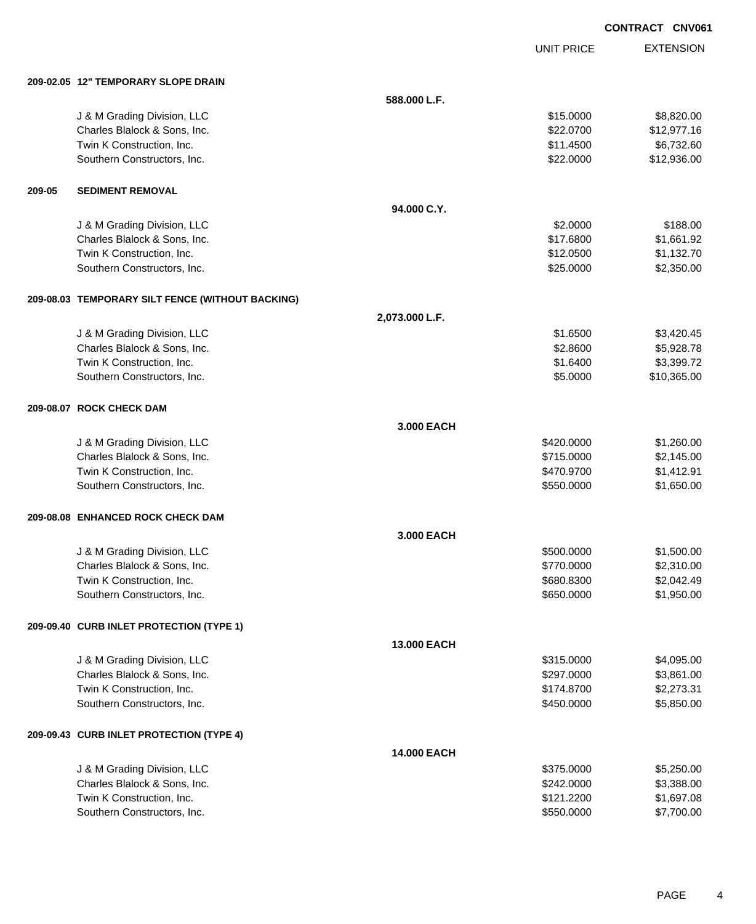UNIT PRICE EXTENSION

|        | 209-02.05 12" TEMPORARY SLOPE DRAIN              |                |            |             |
|--------|--------------------------------------------------|----------------|------------|-------------|
|        |                                                  | 588.000 L.F.   |            |             |
|        | J & M Grading Division, LLC                      |                | \$15.0000  | \$8,820.00  |
|        | Charles Blalock & Sons, Inc.                     |                | \$22.0700  | \$12,977.16 |
|        | Twin K Construction, Inc.                        |                | \$11.4500  | \$6,732.60  |
|        | Southern Constructors, Inc.                      |                | \$22.0000  | \$12,936.00 |
| 209-05 | <b>SEDIMENT REMOVAL</b>                          |                |            |             |
|        |                                                  | 94.000 C.Y.    |            |             |
|        | J & M Grading Division, LLC                      |                | \$2.0000   | \$188.00    |
|        | Charles Blalock & Sons, Inc.                     |                | \$17.6800  | \$1,661.92  |
|        | Twin K Construction, Inc.                        |                | \$12.0500  | \$1,132.70  |
|        | Southern Constructors, Inc.                      |                | \$25.0000  | \$2,350.00  |
|        | 209-08.03 TEMPORARY SILT FENCE (WITHOUT BACKING) |                |            |             |
|        |                                                  | 2,073.000 L.F. |            |             |
|        | J & M Grading Division, LLC                      |                | \$1.6500   | \$3,420.45  |
|        | Charles Blalock & Sons, Inc.                     |                | \$2.8600   | \$5,928.78  |
|        | Twin K Construction, Inc.                        |                | \$1.6400   | \$3,399.72  |
|        | Southern Constructors, Inc.                      |                | \$5.0000   | \$10,365.00 |
|        | 209-08.07 ROCK CHECK DAM                         |                |            |             |
|        |                                                  | 3.000 EACH     |            |             |
|        | J & M Grading Division, LLC                      |                | \$420.0000 | \$1,260.00  |
|        | Charles Blalock & Sons, Inc.                     |                | \$715.0000 | \$2,145.00  |
|        | Twin K Construction, Inc.                        |                | \$470.9700 | \$1,412.91  |
|        | Southern Constructors, Inc.                      |                | \$550.0000 | \$1,650.00  |
|        | 209-08.08 ENHANCED ROCK CHECK DAM                |                |            |             |
|        |                                                  | 3.000 EACH     |            |             |
|        | J & M Grading Division, LLC                      |                | \$500.0000 | \$1,500.00  |
|        | Charles Blalock & Sons, Inc.                     |                | \$770.0000 | \$2,310.00  |
|        | Twin K Construction, Inc.                        |                | \$680.8300 | \$2,042.49  |
|        | Southern Constructors, Inc.                      |                | \$650.0000 | \$1,950.00  |
|        | 209-09.40 CURB INLET PROTECTION (TYPE 1)         |                |            |             |
|        |                                                  | 13.000 EACH    |            |             |
|        | J & M Grading Division, LLC                      |                | \$315.0000 | \$4,095.00  |
|        | Charles Blalock & Sons, Inc.                     |                | \$297.0000 | \$3,861.00  |
|        | Twin K Construction, Inc.                        |                | \$174.8700 | \$2,273.31  |
|        | Southern Constructors, Inc.                      |                | \$450.0000 | \$5,850.00  |
|        | 209-09.43 CURB INLET PROTECTION (TYPE 4)         |                |            |             |
|        |                                                  | 14.000 EACH    |            |             |
|        | J & M Grading Division, LLC                      |                | \$375.0000 | \$5,250.00  |
|        | Charles Blalock & Sons, Inc.                     |                | \$242.0000 | \$3,388.00  |
|        | Twin K Construction, Inc.                        |                | \$121.2200 | \$1,697.08  |
|        | Southern Constructors, Inc.                      |                | \$550.0000 | \$7,700.00  |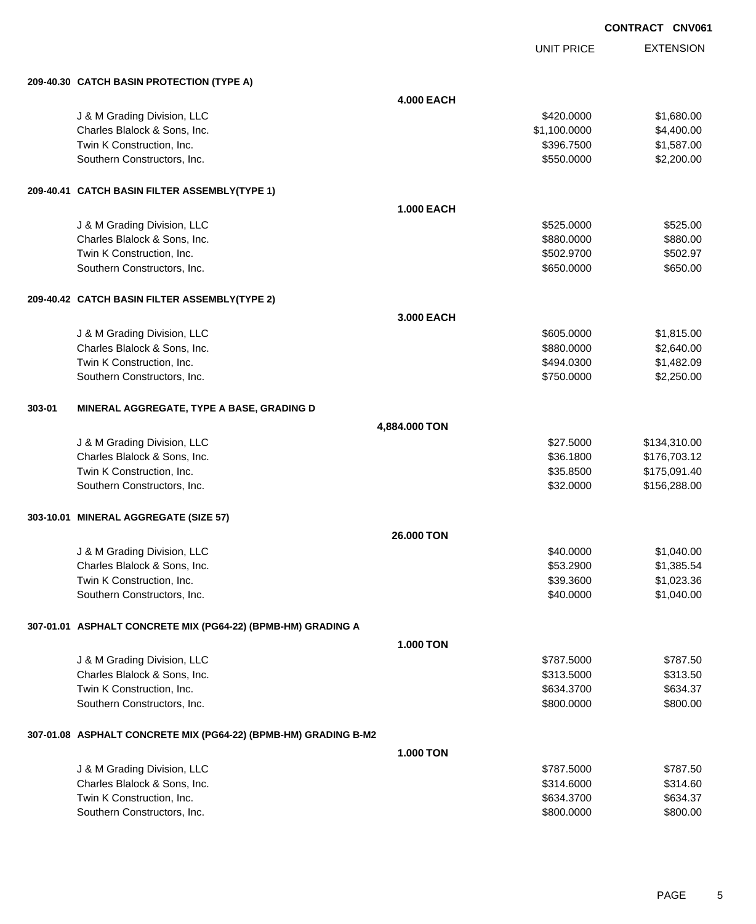UNIT PRICE

|        | 209-40.30 CATCH BASIN PROTECTION (TYPE A)                       |                   |              |              |
|--------|-----------------------------------------------------------------|-------------------|--------------|--------------|
|        |                                                                 | <b>4.000 EACH</b> |              |              |
|        | J & M Grading Division, LLC                                     |                   | \$420.0000   | \$1,680.00   |
|        | Charles Blalock & Sons, Inc.                                    |                   | \$1,100.0000 | \$4,400.00   |
|        | Twin K Construction, Inc.                                       |                   | \$396.7500   | \$1,587.00   |
|        | Southern Constructors, Inc.                                     |                   | \$550.0000   | \$2,200.00   |
|        |                                                                 |                   |              |              |
|        | 209-40.41 CATCH BASIN FILTER ASSEMBLY(TYPE 1)                   |                   |              |              |
|        |                                                                 | <b>1.000 EACH</b> |              |              |
|        | J & M Grading Division, LLC                                     |                   | \$525.0000   | \$525.00     |
|        | Charles Blalock & Sons, Inc.                                    |                   | \$880.0000   | \$880.00     |
|        | Twin K Construction, Inc.                                       |                   | \$502.9700   | \$502.97     |
|        | Southern Constructors, Inc.                                     |                   | \$650.0000   | \$650.00     |
|        |                                                                 |                   |              |              |
|        | 209-40.42 CATCH BASIN FILTER ASSEMBLY(TYPE 2)                   |                   |              |              |
|        |                                                                 | 3.000 EACH        |              |              |
|        | J & M Grading Division, LLC                                     |                   | \$605.0000   | \$1,815.00   |
|        | Charles Blalock & Sons, Inc.                                    |                   | \$880.0000   | \$2,640.00   |
|        | Twin K Construction, Inc.                                       |                   | \$494.0300   | \$1,482.09   |
|        | Southern Constructors, Inc.                                     |                   | \$750.0000   | \$2,250.00   |
|        |                                                                 |                   |              |              |
| 303-01 | MINERAL AGGREGATE, TYPE A BASE, GRADING D                       |                   |              |              |
|        |                                                                 | 4,884.000 TON     |              |              |
|        | J & M Grading Division, LLC                                     |                   | \$27.5000    | \$134,310.00 |
|        | Charles Blalock & Sons, Inc.                                    |                   | \$36.1800    | \$176,703.12 |
|        | Twin K Construction, Inc.                                       |                   | \$35.8500    | \$175,091.40 |
|        | Southern Constructors, Inc.                                     |                   | \$32.0000    | \$156,288.00 |
|        |                                                                 |                   |              |              |
|        | 303-10.01 MINERAL AGGREGATE (SIZE 57)                           |                   |              |              |
|        |                                                                 | 26.000 TON        |              |              |
|        | J & M Grading Division, LLC                                     |                   | \$40.0000    | \$1,040.00   |
|        | Charles Blalock & Sons, Inc.                                    |                   | \$53.2900    | \$1,385.54   |
|        | Twin K Construction, Inc.                                       |                   | \$39.3600    | \$1,023.36   |
|        | Southern Constructors, Inc.                                     |                   | \$40.0000    | \$1,040.00   |
|        |                                                                 |                   |              |              |
|        | 307-01.01 ASPHALT CONCRETE MIX (PG64-22) (BPMB-HM) GRADING A    |                   |              |              |
|        |                                                                 | <b>1.000 TON</b>  |              |              |
|        | J & M Grading Division, LLC                                     |                   | \$787.5000   | \$787.50     |
|        | Charles Blalock & Sons, Inc.                                    |                   | \$313.5000   | \$313.50     |
|        | Twin K Construction, Inc.                                       |                   | \$634.3700   | \$634.37     |
|        | Southern Constructors, Inc.                                     |                   | \$800.0000   | \$800.00     |
|        | 307-01.08 ASPHALT CONCRETE MIX (PG64-22) (BPMB-HM) GRADING B-M2 |                   |              |              |
|        |                                                                 | <b>1.000 TON</b>  |              |              |
|        | J & M Grading Division, LLC                                     |                   | \$787.5000   | \$787.50     |
|        | Charles Blalock & Sons, Inc.                                    |                   | \$314.6000   | \$314.60     |
|        | Twin K Construction, Inc.                                       |                   | \$634.3700   | \$634.37     |
|        | Southern Constructors, Inc.                                     |                   | \$800.0000   | \$800.00     |
|        |                                                                 |                   |              |              |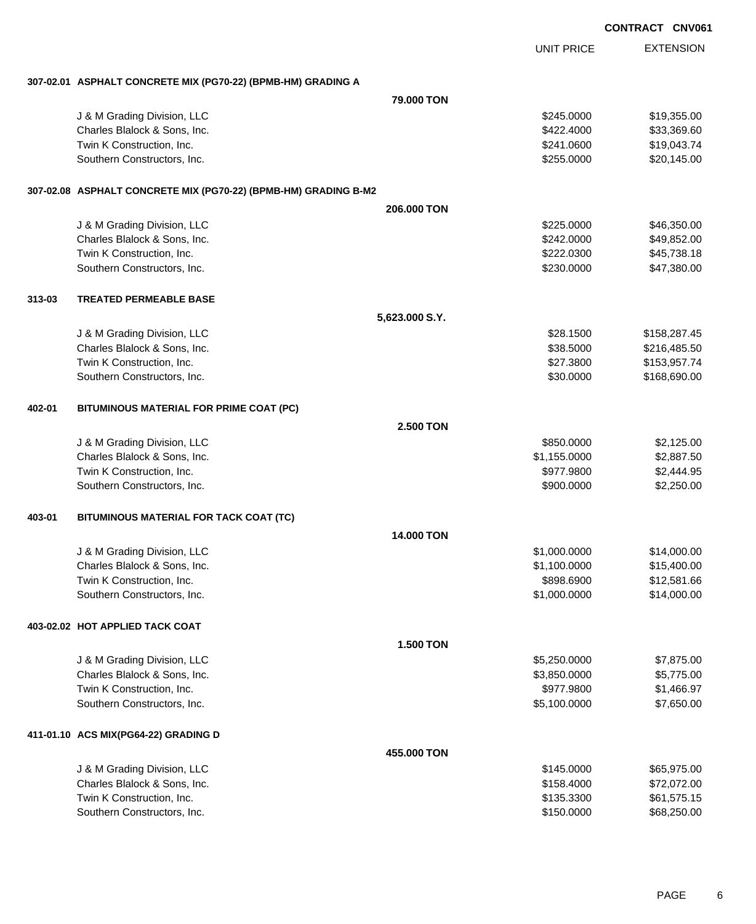|        |                                                                 |                   |                   | <b>CONTRACT CNV061</b> |                  |
|--------|-----------------------------------------------------------------|-------------------|-------------------|------------------------|------------------|
|        |                                                                 |                   | <b>UNIT PRICE</b> |                        | <b>EXTENSION</b> |
|        | 307-02.01 ASPHALT CONCRETE MIX (PG70-22) (BPMB-HM) GRADING A    |                   |                   |                        |                  |
|        |                                                                 | 79,000 TON        |                   |                        |                  |
|        | J & M Grading Division, LLC                                     |                   | \$245.0000        |                        | \$19,355.00      |
|        | Charles Blalock & Sons, Inc.                                    |                   | \$422.4000        |                        | \$33,369.60      |
|        | Twin K Construction, Inc.                                       |                   | \$241.0600        |                        | \$19,043.74      |
|        | Southern Constructors, Inc.                                     |                   | \$255.0000        |                        | \$20,145.00      |
|        | 307-02.08 ASPHALT CONCRETE MIX (PG70-22) (BPMB-HM) GRADING B-M2 |                   |                   |                        |                  |
|        |                                                                 | 206,000 TON       |                   |                        |                  |
|        | J & M Grading Division, LLC                                     |                   | \$225.0000        |                        | \$46,350.00      |
|        | Charles Blalock & Sons, Inc.                                    |                   | \$242.0000        |                        | \$49,852.00      |
|        | Twin K Construction, Inc.                                       |                   | \$222.0300        |                        | \$45,738.18      |
|        | Southern Constructors, Inc.                                     |                   | \$230.0000        |                        | \$47,380.00      |
| 313-03 | <b>TREATED PERMEABLE BASE</b>                                   |                   |                   |                        |                  |
|        |                                                                 | 5,623.000 S.Y.    |                   |                        |                  |
|        | J & M Grading Division, LLC                                     |                   | \$28.1500         |                        | \$158,287.45     |
|        | Charles Blalock & Sons, Inc.                                    |                   | \$38.5000         |                        | \$216,485.50     |
|        | Twin K Construction, Inc.                                       |                   | \$27.3800         |                        | \$153,957.74     |
|        | Southern Constructors, Inc.                                     |                   | \$30.0000         |                        | \$168,690.00     |
| 402-01 | BITUMINOUS MATERIAL FOR PRIME COAT (PC)                         |                   |                   |                        |                  |
|        |                                                                 | 2.500 TON         |                   |                        |                  |
|        | J & M Grading Division, LLC                                     |                   | \$850.0000        |                        | \$2,125.00       |
|        | Charles Blalock & Sons, Inc.                                    |                   | \$1,155.0000      |                        | \$2,887.50       |
|        | Twin K Construction, Inc.                                       |                   | \$977.9800        |                        | \$2,444.95       |
|        | Southern Constructors, Inc.                                     |                   | \$900.0000        |                        | \$2,250.00       |
| 403-01 | BITUMINOUS MATERIAL FOR TACK COAT (TC)                          |                   |                   |                        |                  |
|        |                                                                 | <b>14.000 TON</b> |                   |                        |                  |
|        | J & M Grading Division, LLC                                     |                   | \$1,000.0000      |                        | \$14,000.00      |
|        | Charles Blalock & Sons, Inc.                                    |                   | \$1,100.0000      |                        | \$15,400.00      |
|        | Twin K Construction, Inc.                                       |                   | \$898.6900        |                        | \$12,581.66      |
|        | Southern Constructors, Inc.                                     |                   | \$1,000.0000      |                        | \$14,000.00      |
|        | 403-02.02 HOT APPLIED TACK COAT                                 |                   |                   |                        |                  |
|        |                                                                 | <b>1.500 TON</b>  |                   |                        |                  |
|        | J & M Grading Division, LLC                                     |                   | \$5,250.0000      |                        | \$7,875.00       |
|        | Charles Blalock & Sons, Inc.                                    |                   | \$3,850.0000      |                        | \$5,775.00       |
|        | Twin K Construction, Inc.                                       |                   | \$977.9800        |                        | \$1,466.97       |
|        | Southern Constructors, Inc.                                     |                   | \$5,100.0000      |                        | \$7,650.00       |
|        | 411-01.10 ACS MIX(PG64-22) GRADING D                            |                   |                   |                        |                  |
|        |                                                                 | 455.000 TON       |                   |                        |                  |
|        | J & M Grading Division, LLC                                     |                   | \$145.0000        |                        | \$65,975.00      |
|        | Charles Blalock & Sons, Inc.                                    |                   | \$158.4000        |                        | \$72,072.00      |
|        | Twin K Construction, Inc.                                       |                   | \$135.3300        |                        | \$61,575.15      |
|        | Southern Constructors, Inc.                                     |                   | \$150.0000        |                        | \$68,250.00      |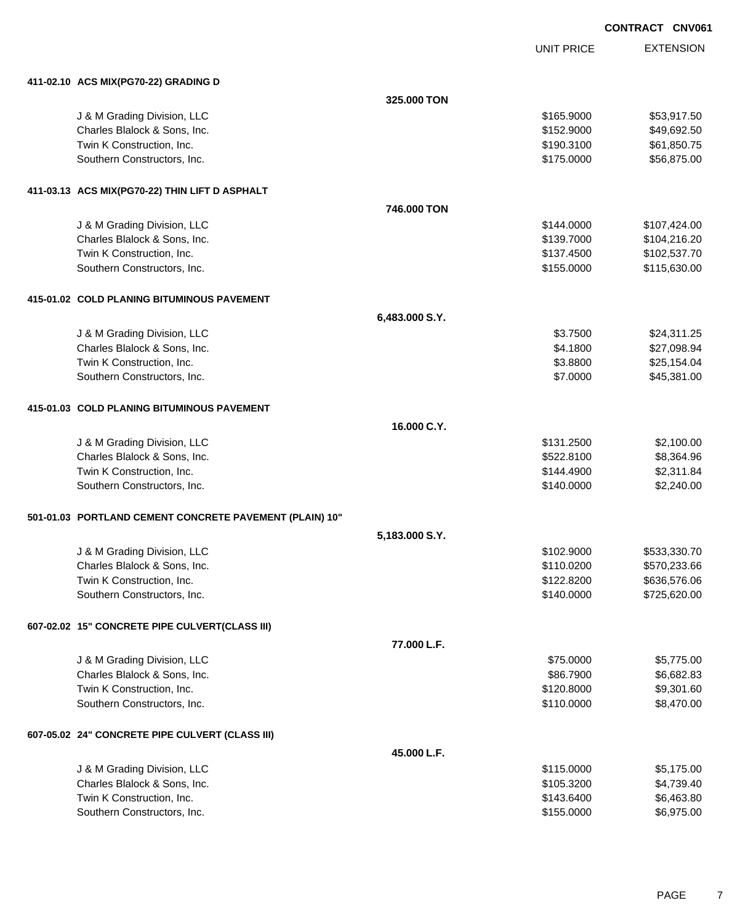UNIT PRICE

| 325.000 TON<br>\$165.9000<br>\$53,917.50<br>J & M Grading Division, LLC<br>Charles Blalock & Sons, Inc.<br>\$152.9000<br>\$49,692.50<br>Twin K Construction, Inc.<br>\$61,850.75<br>\$190.3100<br>Southern Constructors, Inc.<br>\$175.0000<br>\$56,875.00<br>411-03.13 ACS MIX(PG70-22) THIN LIFT D ASPHALT<br>746.000 TON<br>\$144.0000<br>\$107,424.00<br>J & M Grading Division, LLC<br>Charles Blalock & Sons, Inc.<br>\$139.7000<br>\$104,216.20<br>Twin K Construction, Inc.<br>\$137.4500<br>\$102,537.70<br>\$115,630.00<br>Southern Constructors, Inc.<br>\$155.0000<br>415-01.02 COLD PLANING BITUMINOUS PAVEMENT<br>6,483.000 S.Y.<br>\$3.7500<br>\$24,311.25<br>J & M Grading Division, LLC<br>Charles Blalock & Sons, Inc.<br>\$4.1800<br>\$27,098.94<br>Twin K Construction, Inc.<br>\$3.8800<br>\$25,154.04<br>\$45,381.00<br>Southern Constructors, Inc.<br>\$7.0000<br>415-01.03 COLD PLANING BITUMINOUS PAVEMENT<br>16.000 C.Y.<br>\$131.2500<br>\$2,100.00<br>J & M Grading Division, LLC<br>\$8,364.96<br>Charles Blalock & Sons, Inc.<br>\$522.8100<br>\$2,311.84<br>Twin K Construction, Inc.<br>\$144.4900<br>\$2,240.00<br>Southern Constructors, Inc.<br>\$140.0000<br>501-01.03 PORTLAND CEMENT CONCRETE PAVEMENT (PLAIN) 10"<br>5,183.000 S.Y.<br>J & M Grading Division, LLC<br>\$102.9000<br>\$533,330.70<br>Charles Blalock & Sons, Inc.<br>\$110.0200<br>\$570,233.66<br>Twin K Construction, Inc.<br>\$122.8200<br>\$636,576.06<br>Southern Constructors, Inc.<br>\$140.0000<br>\$725,620.00<br>607-02.02 15" CONCRETE PIPE CULVERT(CLASS III)<br>77.000 L.F.<br>J & M Grading Division, LLC<br>\$75.0000<br>\$5,775.00<br>Charles Blalock & Sons, Inc.<br>\$86.7900<br>\$6,682.83<br>Twin K Construction, Inc.<br>\$120.8000<br>\$9,301.60<br>Southern Constructors, Inc.<br>\$8,470.00<br>\$110.0000<br>607-05.02 24" CONCRETE PIPE CULVERT (CLASS III)<br>45.000 L.F.<br>J & M Grading Division, LLC<br>\$115.0000<br>\$5,175.00 | 411-02.10 ACS MIX(PG70-22) GRADING D |            |            |
|----------------------------------------------------------------------------------------------------------------------------------------------------------------------------------------------------------------------------------------------------------------------------------------------------------------------------------------------------------------------------------------------------------------------------------------------------------------------------------------------------------------------------------------------------------------------------------------------------------------------------------------------------------------------------------------------------------------------------------------------------------------------------------------------------------------------------------------------------------------------------------------------------------------------------------------------------------------------------------------------------------------------------------------------------------------------------------------------------------------------------------------------------------------------------------------------------------------------------------------------------------------------------------------------------------------------------------------------------------------------------------------------------------------------------------------------------------------------------------------------------------------------------------------------------------------------------------------------------------------------------------------------------------------------------------------------------------------------------------------------------------------------------------------------------------------------------------------------------------------------------------------------------------------------------------------------------------------------|--------------------------------------|------------|------------|
|                                                                                                                                                                                                                                                                                                                                                                                                                                                                                                                                                                                                                                                                                                                                                                                                                                                                                                                                                                                                                                                                                                                                                                                                                                                                                                                                                                                                                                                                                                                                                                                                                                                                                                                                                                                                                                                                                                                                                                      |                                      |            |            |
|                                                                                                                                                                                                                                                                                                                                                                                                                                                                                                                                                                                                                                                                                                                                                                                                                                                                                                                                                                                                                                                                                                                                                                                                                                                                                                                                                                                                                                                                                                                                                                                                                                                                                                                                                                                                                                                                                                                                                                      |                                      |            |            |
|                                                                                                                                                                                                                                                                                                                                                                                                                                                                                                                                                                                                                                                                                                                                                                                                                                                                                                                                                                                                                                                                                                                                                                                                                                                                                                                                                                                                                                                                                                                                                                                                                                                                                                                                                                                                                                                                                                                                                                      |                                      |            |            |
|                                                                                                                                                                                                                                                                                                                                                                                                                                                                                                                                                                                                                                                                                                                                                                                                                                                                                                                                                                                                                                                                                                                                                                                                                                                                                                                                                                                                                                                                                                                                                                                                                                                                                                                                                                                                                                                                                                                                                                      |                                      |            |            |
|                                                                                                                                                                                                                                                                                                                                                                                                                                                                                                                                                                                                                                                                                                                                                                                                                                                                                                                                                                                                                                                                                                                                                                                                                                                                                                                                                                                                                                                                                                                                                                                                                                                                                                                                                                                                                                                                                                                                                                      |                                      |            |            |
|                                                                                                                                                                                                                                                                                                                                                                                                                                                                                                                                                                                                                                                                                                                                                                                                                                                                                                                                                                                                                                                                                                                                                                                                                                                                                                                                                                                                                                                                                                                                                                                                                                                                                                                                                                                                                                                                                                                                                                      |                                      |            |            |
|                                                                                                                                                                                                                                                                                                                                                                                                                                                                                                                                                                                                                                                                                                                                                                                                                                                                                                                                                                                                                                                                                                                                                                                                                                                                                                                                                                                                                                                                                                                                                                                                                                                                                                                                                                                                                                                                                                                                                                      |                                      |            |            |
|                                                                                                                                                                                                                                                                                                                                                                                                                                                                                                                                                                                                                                                                                                                                                                                                                                                                                                                                                                                                                                                                                                                                                                                                                                                                                                                                                                                                                                                                                                                                                                                                                                                                                                                                                                                                                                                                                                                                                                      |                                      |            |            |
|                                                                                                                                                                                                                                                                                                                                                                                                                                                                                                                                                                                                                                                                                                                                                                                                                                                                                                                                                                                                                                                                                                                                                                                                                                                                                                                                                                                                                                                                                                                                                                                                                                                                                                                                                                                                                                                                                                                                                                      |                                      |            |            |
|                                                                                                                                                                                                                                                                                                                                                                                                                                                                                                                                                                                                                                                                                                                                                                                                                                                                                                                                                                                                                                                                                                                                                                                                                                                                                                                                                                                                                                                                                                                                                                                                                                                                                                                                                                                                                                                                                                                                                                      |                                      |            |            |
|                                                                                                                                                                                                                                                                                                                                                                                                                                                                                                                                                                                                                                                                                                                                                                                                                                                                                                                                                                                                                                                                                                                                                                                                                                                                                                                                                                                                                                                                                                                                                                                                                                                                                                                                                                                                                                                                                                                                                                      |                                      |            |            |
|                                                                                                                                                                                                                                                                                                                                                                                                                                                                                                                                                                                                                                                                                                                                                                                                                                                                                                                                                                                                                                                                                                                                                                                                                                                                                                                                                                                                                                                                                                                                                                                                                                                                                                                                                                                                                                                                                                                                                                      |                                      |            |            |
|                                                                                                                                                                                                                                                                                                                                                                                                                                                                                                                                                                                                                                                                                                                                                                                                                                                                                                                                                                                                                                                                                                                                                                                                                                                                                                                                                                                                                                                                                                                                                                                                                                                                                                                                                                                                                                                                                                                                                                      |                                      |            |            |
|                                                                                                                                                                                                                                                                                                                                                                                                                                                                                                                                                                                                                                                                                                                                                                                                                                                                                                                                                                                                                                                                                                                                                                                                                                                                                                                                                                                                                                                                                                                                                                                                                                                                                                                                                                                                                                                                                                                                                                      |                                      |            |            |
|                                                                                                                                                                                                                                                                                                                                                                                                                                                                                                                                                                                                                                                                                                                                                                                                                                                                                                                                                                                                                                                                                                                                                                                                                                                                                                                                                                                                                                                                                                                                                                                                                                                                                                                                                                                                                                                                                                                                                                      |                                      |            |            |
|                                                                                                                                                                                                                                                                                                                                                                                                                                                                                                                                                                                                                                                                                                                                                                                                                                                                                                                                                                                                                                                                                                                                                                                                                                                                                                                                                                                                                                                                                                                                                                                                                                                                                                                                                                                                                                                                                                                                                                      |                                      |            |            |
|                                                                                                                                                                                                                                                                                                                                                                                                                                                                                                                                                                                                                                                                                                                                                                                                                                                                                                                                                                                                                                                                                                                                                                                                                                                                                                                                                                                                                                                                                                                                                                                                                                                                                                                                                                                                                                                                                                                                                                      |                                      |            |            |
|                                                                                                                                                                                                                                                                                                                                                                                                                                                                                                                                                                                                                                                                                                                                                                                                                                                                                                                                                                                                                                                                                                                                                                                                                                                                                                                                                                                                                                                                                                                                                                                                                                                                                                                                                                                                                                                                                                                                                                      |                                      |            |            |
|                                                                                                                                                                                                                                                                                                                                                                                                                                                                                                                                                                                                                                                                                                                                                                                                                                                                                                                                                                                                                                                                                                                                                                                                                                                                                                                                                                                                                                                                                                                                                                                                                                                                                                                                                                                                                                                                                                                                                                      |                                      |            |            |
|                                                                                                                                                                                                                                                                                                                                                                                                                                                                                                                                                                                                                                                                                                                                                                                                                                                                                                                                                                                                                                                                                                                                                                                                                                                                                                                                                                                                                                                                                                                                                                                                                                                                                                                                                                                                                                                                                                                                                                      |                                      |            |            |
|                                                                                                                                                                                                                                                                                                                                                                                                                                                                                                                                                                                                                                                                                                                                                                                                                                                                                                                                                                                                                                                                                                                                                                                                                                                                                                                                                                                                                                                                                                                                                                                                                                                                                                                                                                                                                                                                                                                                                                      |                                      |            |            |
|                                                                                                                                                                                                                                                                                                                                                                                                                                                                                                                                                                                                                                                                                                                                                                                                                                                                                                                                                                                                                                                                                                                                                                                                                                                                                                                                                                                                                                                                                                                                                                                                                                                                                                                                                                                                                                                                                                                                                                      |                                      |            |            |
|                                                                                                                                                                                                                                                                                                                                                                                                                                                                                                                                                                                                                                                                                                                                                                                                                                                                                                                                                                                                                                                                                                                                                                                                                                                                                                                                                                                                                                                                                                                                                                                                                                                                                                                                                                                                                                                                                                                                                                      |                                      |            |            |
|                                                                                                                                                                                                                                                                                                                                                                                                                                                                                                                                                                                                                                                                                                                                                                                                                                                                                                                                                                                                                                                                                                                                                                                                                                                                                                                                                                                                                                                                                                                                                                                                                                                                                                                                                                                                                                                                                                                                                                      |                                      |            |            |
|                                                                                                                                                                                                                                                                                                                                                                                                                                                                                                                                                                                                                                                                                                                                                                                                                                                                                                                                                                                                                                                                                                                                                                                                                                                                                                                                                                                                                                                                                                                                                                                                                                                                                                                                                                                                                                                                                                                                                                      |                                      |            |            |
|                                                                                                                                                                                                                                                                                                                                                                                                                                                                                                                                                                                                                                                                                                                                                                                                                                                                                                                                                                                                                                                                                                                                                                                                                                                                                                                                                                                                                                                                                                                                                                                                                                                                                                                                                                                                                                                                                                                                                                      |                                      |            |            |
|                                                                                                                                                                                                                                                                                                                                                                                                                                                                                                                                                                                                                                                                                                                                                                                                                                                                                                                                                                                                                                                                                                                                                                                                                                                                                                                                                                                                                                                                                                                                                                                                                                                                                                                                                                                                                                                                                                                                                                      |                                      |            |            |
|                                                                                                                                                                                                                                                                                                                                                                                                                                                                                                                                                                                                                                                                                                                                                                                                                                                                                                                                                                                                                                                                                                                                                                                                                                                                                                                                                                                                                                                                                                                                                                                                                                                                                                                                                                                                                                                                                                                                                                      |                                      |            |            |
|                                                                                                                                                                                                                                                                                                                                                                                                                                                                                                                                                                                                                                                                                                                                                                                                                                                                                                                                                                                                                                                                                                                                                                                                                                                                                                                                                                                                                                                                                                                                                                                                                                                                                                                                                                                                                                                                                                                                                                      |                                      |            |            |
|                                                                                                                                                                                                                                                                                                                                                                                                                                                                                                                                                                                                                                                                                                                                                                                                                                                                                                                                                                                                                                                                                                                                                                                                                                                                                                                                                                                                                                                                                                                                                                                                                                                                                                                                                                                                                                                                                                                                                                      |                                      |            |            |
|                                                                                                                                                                                                                                                                                                                                                                                                                                                                                                                                                                                                                                                                                                                                                                                                                                                                                                                                                                                                                                                                                                                                                                                                                                                                                                                                                                                                                                                                                                                                                                                                                                                                                                                                                                                                                                                                                                                                                                      |                                      |            |            |
|                                                                                                                                                                                                                                                                                                                                                                                                                                                                                                                                                                                                                                                                                                                                                                                                                                                                                                                                                                                                                                                                                                                                                                                                                                                                                                                                                                                                                                                                                                                                                                                                                                                                                                                                                                                                                                                                                                                                                                      |                                      |            |            |
|                                                                                                                                                                                                                                                                                                                                                                                                                                                                                                                                                                                                                                                                                                                                                                                                                                                                                                                                                                                                                                                                                                                                                                                                                                                                                                                                                                                                                                                                                                                                                                                                                                                                                                                                                                                                                                                                                                                                                                      |                                      |            |            |
|                                                                                                                                                                                                                                                                                                                                                                                                                                                                                                                                                                                                                                                                                                                                                                                                                                                                                                                                                                                                                                                                                                                                                                                                                                                                                                                                                                                                                                                                                                                                                                                                                                                                                                                                                                                                                                                                                                                                                                      |                                      |            |            |
|                                                                                                                                                                                                                                                                                                                                                                                                                                                                                                                                                                                                                                                                                                                                                                                                                                                                                                                                                                                                                                                                                                                                                                                                                                                                                                                                                                                                                                                                                                                                                                                                                                                                                                                                                                                                                                                                                                                                                                      |                                      |            |            |
|                                                                                                                                                                                                                                                                                                                                                                                                                                                                                                                                                                                                                                                                                                                                                                                                                                                                                                                                                                                                                                                                                                                                                                                                                                                                                                                                                                                                                                                                                                                                                                                                                                                                                                                                                                                                                                                                                                                                                                      |                                      |            |            |
|                                                                                                                                                                                                                                                                                                                                                                                                                                                                                                                                                                                                                                                                                                                                                                                                                                                                                                                                                                                                                                                                                                                                                                                                                                                                                                                                                                                                                                                                                                                                                                                                                                                                                                                                                                                                                                                                                                                                                                      |                                      |            |            |
|                                                                                                                                                                                                                                                                                                                                                                                                                                                                                                                                                                                                                                                                                                                                                                                                                                                                                                                                                                                                                                                                                                                                                                                                                                                                                                                                                                                                                                                                                                                                                                                                                                                                                                                                                                                                                                                                                                                                                                      |                                      |            |            |
|                                                                                                                                                                                                                                                                                                                                                                                                                                                                                                                                                                                                                                                                                                                                                                                                                                                                                                                                                                                                                                                                                                                                                                                                                                                                                                                                                                                                                                                                                                                                                                                                                                                                                                                                                                                                                                                                                                                                                                      |                                      |            |            |
|                                                                                                                                                                                                                                                                                                                                                                                                                                                                                                                                                                                                                                                                                                                                                                                                                                                                                                                                                                                                                                                                                                                                                                                                                                                                                                                                                                                                                                                                                                                                                                                                                                                                                                                                                                                                                                                                                                                                                                      |                                      |            |            |
|                                                                                                                                                                                                                                                                                                                                                                                                                                                                                                                                                                                                                                                                                                                                                                                                                                                                                                                                                                                                                                                                                                                                                                                                                                                                                                                                                                                                                                                                                                                                                                                                                                                                                                                                                                                                                                                                                                                                                                      |                                      |            |            |
|                                                                                                                                                                                                                                                                                                                                                                                                                                                                                                                                                                                                                                                                                                                                                                                                                                                                                                                                                                                                                                                                                                                                                                                                                                                                                                                                                                                                                                                                                                                                                                                                                                                                                                                                                                                                                                                                                                                                                                      |                                      |            |            |
|                                                                                                                                                                                                                                                                                                                                                                                                                                                                                                                                                                                                                                                                                                                                                                                                                                                                                                                                                                                                                                                                                                                                                                                                                                                                                                                                                                                                                                                                                                                                                                                                                                                                                                                                                                                                                                                                                                                                                                      |                                      |            |            |
|                                                                                                                                                                                                                                                                                                                                                                                                                                                                                                                                                                                                                                                                                                                                                                                                                                                                                                                                                                                                                                                                                                                                                                                                                                                                                                                                                                                                                                                                                                                                                                                                                                                                                                                                                                                                                                                                                                                                                                      |                                      |            |            |
|                                                                                                                                                                                                                                                                                                                                                                                                                                                                                                                                                                                                                                                                                                                                                                                                                                                                                                                                                                                                                                                                                                                                                                                                                                                                                                                                                                                                                                                                                                                                                                                                                                                                                                                                                                                                                                                                                                                                                                      |                                      |            |            |
|                                                                                                                                                                                                                                                                                                                                                                                                                                                                                                                                                                                                                                                                                                                                                                                                                                                                                                                                                                                                                                                                                                                                                                                                                                                                                                                                                                                                                                                                                                                                                                                                                                                                                                                                                                                                                                                                                                                                                                      | Charles Blalock & Sons, Inc.         | \$105.3200 | \$4,739.40 |
| Twin K Construction, Inc.<br>\$6,463.80<br>\$143.6400                                                                                                                                                                                                                                                                                                                                                                                                                                                                                                                                                                                                                                                                                                                                                                                                                                                                                                                                                                                                                                                                                                                                                                                                                                                                                                                                                                                                                                                                                                                                                                                                                                                                                                                                                                                                                                                                                                                |                                      |            |            |
| Southern Constructors, Inc.<br>\$6,975.00<br>\$155.0000                                                                                                                                                                                                                                                                                                                                                                                                                                                                                                                                                                                                                                                                                                                                                                                                                                                                                                                                                                                                                                                                                                                                                                                                                                                                                                                                                                                                                                                                                                                                                                                                                                                                                                                                                                                                                                                                                                              |                                      |            |            |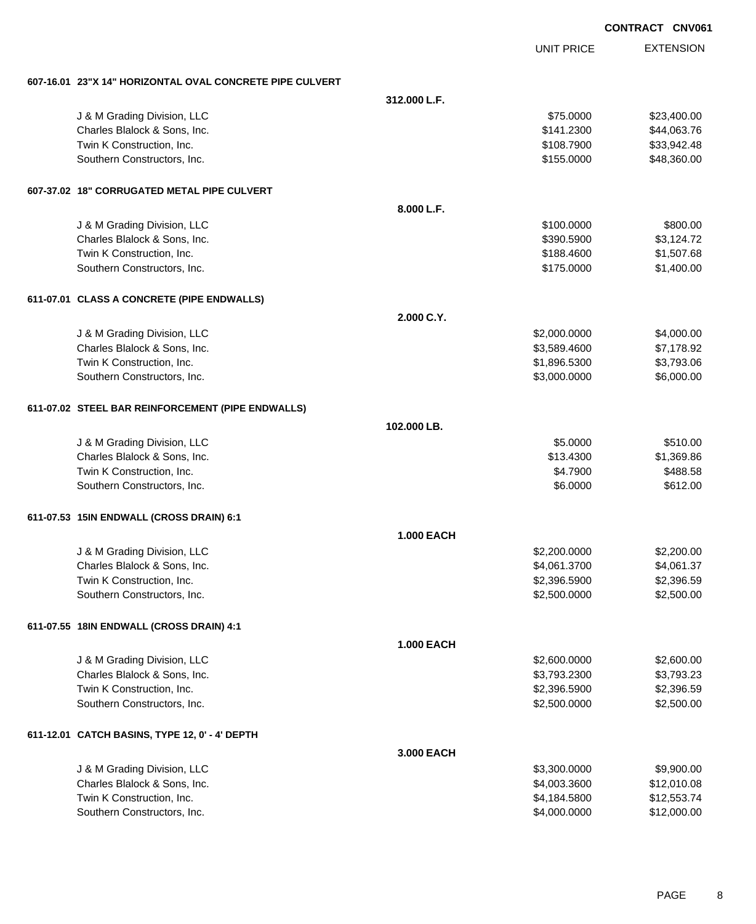|                                                          |                   |                   | <b>CONTRACT CNV061</b> |
|----------------------------------------------------------|-------------------|-------------------|------------------------|
|                                                          |                   | <b>UNIT PRICE</b> | <b>EXTENSION</b>       |
| 607-16.01 23"X 14" HORIZONTAL OVAL CONCRETE PIPE CULVERT |                   |                   |                        |
|                                                          | 312.000 L.F.      |                   |                        |
| J & M Grading Division, LLC                              |                   | \$75.0000         | \$23,400.00            |
| Charles Blalock & Sons, Inc.                             |                   | \$141.2300        | \$44,063.76            |
| Twin K Construction, Inc.                                |                   | \$108,7900        | \$33,942.48            |
| Southern Constructors, Inc.                              |                   | \$155.0000        | \$48,360.00            |
| 607-37.02 18" CORRUGATED METAL PIPE CULVERT              |                   |                   |                        |
|                                                          | 8.000 L.F.        |                   |                        |
| J & M Grading Division, LLC                              |                   | \$100.0000        | \$800.00               |
| Charles Blalock & Sons, Inc.                             |                   | \$390.5900        | \$3,124.72             |
| Twin K Construction, Inc.                                |                   | \$188.4600        | \$1,507.68             |
| Southern Constructors, Inc.                              |                   | \$175.0000        | \$1,400.00             |
| 611-07.01 CLASS A CONCRETE (PIPE ENDWALLS)               |                   |                   |                        |
|                                                          | 2.000 C.Y.        |                   |                        |
| J & M Grading Division, LLC                              |                   | \$2,000.0000      | \$4,000.00             |
| Charles Blalock & Sons, Inc.                             |                   | \$3,589.4600      | \$7,178.92             |
| Twin K Construction, Inc.                                |                   | \$1,896.5300      | \$3,793.06             |
| Southern Constructors, Inc.                              |                   | \$3,000.0000      | \$6,000.00             |
| 611-07.02 STEEL BAR REINFORCEMENT (PIPE ENDWALLS)        |                   |                   |                        |
|                                                          | 102.000 LB.       |                   |                        |
| J & M Grading Division, LLC                              |                   | \$5.0000          | \$510.00               |
| Charles Blalock & Sons, Inc.                             |                   | \$13.4300         | \$1,369.86             |
| Twin K Construction, Inc.                                |                   | \$4.7900          | \$488.58               |
| Southern Constructors, Inc.                              |                   | \$6.0000          | \$612.00               |
| 611-07.53 15IN ENDWALL (CROSS DRAIN) 6:1                 |                   |                   |                        |
|                                                          | <b>1.000 EACH</b> |                   |                        |
| J & M Grading Division, LLC                              |                   | \$2,200.0000      | \$2,200.00             |
| Charles Blalock & Sons, Inc.                             |                   | \$4,061.3700      | \$4,061.37             |
| Twin K Construction, Inc.                                |                   | \$2,396.5900      | \$2,396.59             |
| Southern Constructors, Inc.                              |                   | \$2,500.0000      | \$2,500.00             |
| 611-07.55 18IN ENDWALL (CROSS DRAIN) 4:1                 |                   |                   |                        |
|                                                          | <b>1.000 EACH</b> |                   |                        |
| J & M Grading Division, LLC                              |                   | \$2,600.0000      | \$2,600.00             |
| Charles Blalock & Sons, Inc.                             |                   | \$3,793.2300      | \$3,793.23             |
| Twin K Construction, Inc.                                |                   | \$2,396.5900      | \$2,396.59             |
| Southern Constructors, Inc.                              |                   | \$2,500.0000      | \$2,500.00             |
| 611-12.01 CATCH BASINS, TYPE 12, 0' - 4' DEPTH           |                   |                   |                        |
|                                                          | 3.000 EACH        |                   |                        |
| J & M Grading Division, LLC                              |                   | \$3,300.0000      | \$9,900.00             |
| Charles Blalock & Sons, Inc.                             |                   | \$4,003.3600      | \$12,010.08            |
| Twin K Construction, Inc.                                |                   | \$4,184.5800      | \$12,553.74            |
| Southern Constructors, Inc.                              |                   | \$4,000.0000      | \$12,000.00            |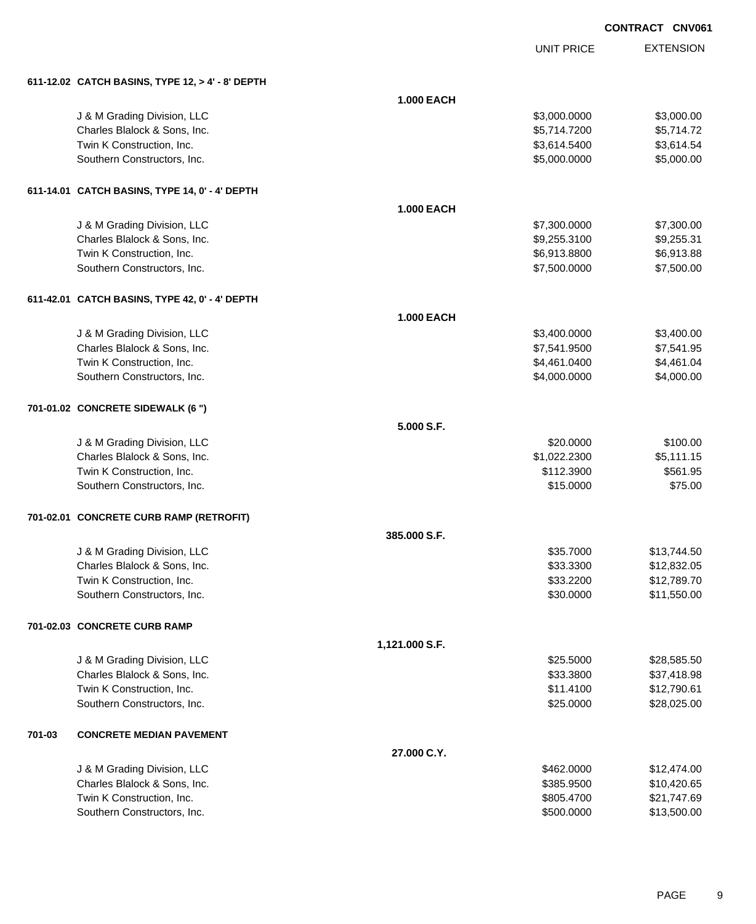UNIT PRICE

|        | 611-12.02 CATCH BASINS, TYPE 12, > 4' - 8' DEPTH |                   |              |             |
|--------|--------------------------------------------------|-------------------|--------------|-------------|
|        |                                                  | <b>1.000 EACH</b> |              |             |
|        | J & M Grading Division, LLC                      |                   | \$3,000.0000 | \$3,000.00  |
|        | Charles Blalock & Sons, Inc.                     |                   | \$5,714.7200 | \$5,714.72  |
|        | Twin K Construction, Inc.                        |                   | \$3,614.5400 | \$3,614.54  |
|        | Southern Constructors, Inc.                      |                   | \$5,000.0000 | \$5,000.00  |
|        |                                                  |                   |              |             |
|        | 611-14.01 CATCH BASINS, TYPE 14, 0' - 4' DEPTH   |                   |              |             |
|        |                                                  | <b>1.000 EACH</b> |              |             |
|        | J & M Grading Division, LLC                      |                   | \$7,300.0000 | \$7,300.00  |
|        | Charles Blalock & Sons, Inc.                     |                   | \$9,255.3100 | \$9,255.31  |
|        | Twin K Construction, Inc.                        |                   | \$6,913.8800 | \$6,913.88  |
|        | Southern Constructors, Inc.                      |                   | \$7,500.0000 | \$7,500.00  |
|        | 611-42.01 CATCH BASINS, TYPE 42, 0' - 4' DEPTH   |                   |              |             |
|        |                                                  | <b>1.000 EACH</b> |              |             |
|        | J & M Grading Division, LLC                      |                   | \$3,400.0000 | \$3,400.00  |
|        | Charles Blalock & Sons, Inc.                     |                   | \$7,541.9500 | \$7,541.95  |
|        | Twin K Construction, Inc.                        |                   | \$4,461.0400 | \$4,461.04  |
|        | Southern Constructors, Inc.                      |                   | \$4,000.0000 | \$4,000.00  |
|        | 701-01.02 CONCRETE SIDEWALK (6 ")                |                   |              |             |
|        |                                                  | 5.000 S.F.        |              |             |
|        | J & M Grading Division, LLC                      |                   | \$20.0000    | \$100.00    |
|        | Charles Blalock & Sons, Inc.                     |                   | \$1,022.2300 | \$5,111.15  |
|        | Twin K Construction, Inc.                        |                   | \$112.3900   | \$561.95    |
|        | Southern Constructors, Inc.                      |                   | \$15.0000    | \$75.00     |
|        | 701-02.01 CONCRETE CURB RAMP (RETROFIT)          |                   |              |             |
|        |                                                  | 385.000 S.F.      |              |             |
|        | J & M Grading Division, LLC                      |                   | \$35.7000    | \$13,744.50 |
|        | Charles Blalock & Sons, Inc.                     |                   | \$33.3300    | \$12,832.05 |
|        | Twin K Construction, Inc.                        |                   | \$33.2200    | \$12,789.70 |
|        | Southern Constructors, Inc.                      |                   | \$30.0000    | \$11,550.00 |
|        | 701-02.03 CONCRETE CURB RAMP                     |                   |              |             |
|        |                                                  | 1,121.000 S.F.    |              |             |
|        | J & M Grading Division, LLC                      |                   | \$25.5000    | \$28,585.50 |
|        | Charles Blalock & Sons, Inc.                     |                   | \$33.3800    | \$37,418.98 |
|        | Twin K Construction, Inc.                        |                   | \$11.4100    | \$12,790.61 |
|        | Southern Constructors, Inc.                      |                   | \$25.0000    | \$28,025.00 |
|        |                                                  |                   |              |             |
| 701-03 | <b>CONCRETE MEDIAN PAVEMENT</b>                  |                   |              |             |
|        |                                                  | 27.000 C.Y.       |              |             |
|        | J & M Grading Division, LLC                      |                   | \$462.0000   | \$12,474.00 |
|        | Charles Blalock & Sons, Inc.                     |                   | \$385.9500   | \$10,420.65 |
|        | Twin K Construction, Inc.                        |                   | \$805.4700   | \$21,747.69 |
|        | Southern Constructors, Inc.                      |                   | \$500.0000   | \$13,500.00 |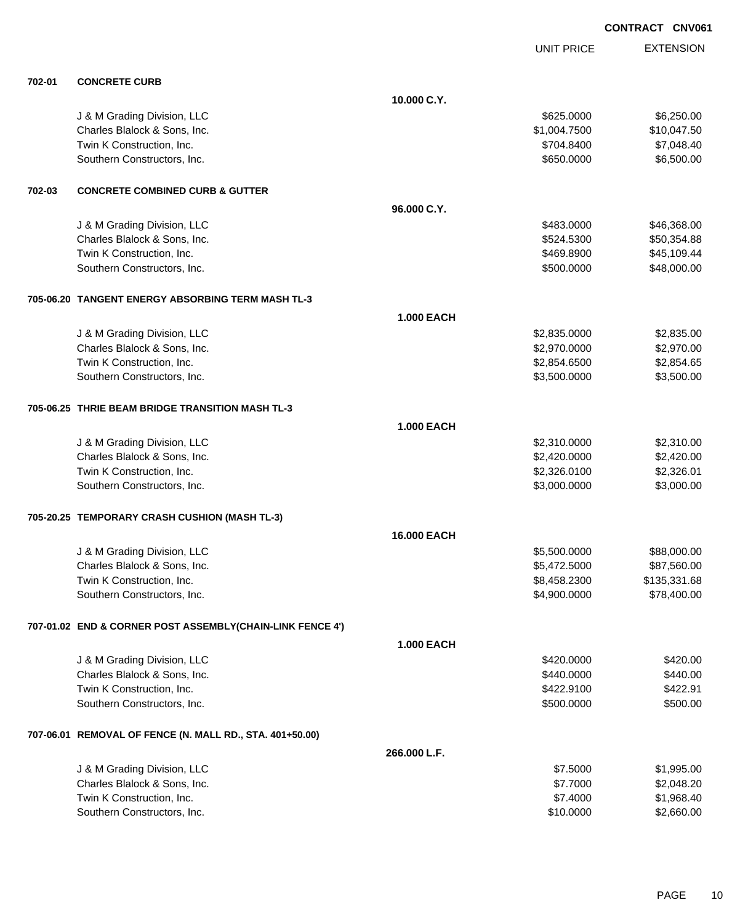UNIT PRICE

| 702-01 | <b>CONCRETE CURB</b>                                      |                   |              |              |
|--------|-----------------------------------------------------------|-------------------|--------------|--------------|
|        |                                                           | 10.000 C.Y.       |              |              |
|        | J & M Grading Division, LLC                               |                   | \$625.0000   | \$6,250.00   |
|        | Charles Blalock & Sons, Inc.                              |                   | \$1,004.7500 | \$10,047.50  |
|        | Twin K Construction, Inc.                                 |                   | \$704.8400   | \$7,048.40   |
|        | Southern Constructors, Inc.                               |                   | \$650.0000   | \$6,500.00   |
| 702-03 | <b>CONCRETE COMBINED CURB &amp; GUTTER</b>                |                   |              |              |
|        |                                                           | 96.000 C.Y.       |              |              |
|        | J & M Grading Division, LLC                               |                   | \$483.0000   | \$46,368.00  |
|        | Charles Blalock & Sons, Inc.                              |                   | \$524.5300   | \$50,354.88  |
|        | Twin K Construction, Inc.                                 |                   | \$469.8900   | \$45,109.44  |
|        | Southern Constructors, Inc.                               |                   | \$500.0000   | \$48,000.00  |
|        |                                                           |                   |              |              |
|        | 705-06.20 TANGENT ENERGY ABSORBING TERM MASH TL-3         |                   |              |              |
|        |                                                           | <b>1.000 EACH</b> |              |              |
|        | J & M Grading Division, LLC                               |                   | \$2,835.0000 | \$2,835.00   |
|        | Charles Blalock & Sons, Inc.                              |                   | \$2,970.0000 | \$2,970.00   |
|        | Twin K Construction, Inc.                                 |                   | \$2,854.6500 | \$2,854.65   |
|        | Southern Constructors, Inc.                               |                   | \$3,500.0000 | \$3,500.00   |
|        | 705-06.25 THRIE BEAM BRIDGE TRANSITION MASH TL-3          |                   |              |              |
|        |                                                           | <b>1.000 EACH</b> |              |              |
|        | J & M Grading Division, LLC                               |                   | \$2,310.0000 | \$2,310.00   |
|        | Charles Blalock & Sons, Inc.                              |                   | \$2,420.0000 | \$2,420.00   |
|        | Twin K Construction, Inc.                                 |                   | \$2,326.0100 | \$2,326.01   |
|        | Southern Constructors, Inc.                               |                   | \$3,000.0000 | \$3,000.00   |
|        | 705-20.25 TEMPORARY CRASH CUSHION (MASH TL-3)             |                   |              |              |
|        |                                                           | 16.000 EACH       |              |              |
|        | J & M Grading Division, LLC                               |                   | \$5,500.0000 | \$88,000.00  |
|        | Charles Blalock & Sons, Inc.                              |                   | \$5,472.5000 | \$87,560.00  |
|        | Twin K Construction, Inc.                                 |                   | \$8,458.2300 | \$135,331.68 |
|        | Southern Constructors, Inc.                               |                   | \$4,900.0000 | \$78,400.00  |
|        |                                                           |                   |              |              |
|        | 707-01.02 END & CORNER POST ASSEMBLY(CHAIN-LINK FENCE 4') |                   |              |              |
|        |                                                           | <b>1.000 EACH</b> |              |              |
|        | J & M Grading Division, LLC                               |                   | \$420.0000   | \$420.00     |
|        | Charles Blalock & Sons, Inc.                              |                   | \$440.0000   | \$440.00     |
|        | Twin K Construction, Inc.                                 |                   | \$422.9100   | \$422.91     |
|        | Southern Constructors, Inc.                               |                   | \$500.0000   | \$500.00     |
|        | 707-06.01 REMOVAL OF FENCE (N. MALL RD., STA. 401+50.00)  |                   |              |              |
|        |                                                           | 266,000 L.F.      |              |              |
|        | J & M Grading Division, LLC                               |                   | \$7.5000     | \$1,995.00   |
|        | Charles Blalock & Sons, Inc.                              |                   | \$7.7000     | \$2,048.20   |
|        | Twin K Construction, Inc.                                 |                   | \$7.4000     | \$1,968.40   |
|        | Southern Constructors, Inc.                               |                   | \$10.0000    | \$2,660.00   |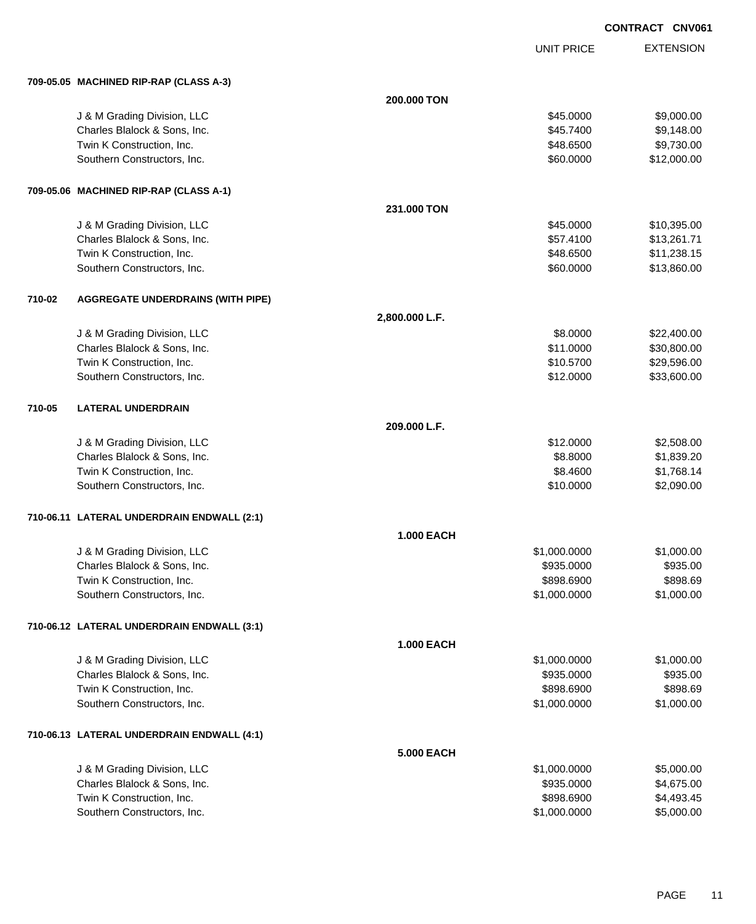UNIT PRICE

|        | 709-05.05 MACHINED RIP-RAP (CLASS A-3)     |                   |              |             |
|--------|--------------------------------------------|-------------------|--------------|-------------|
|        |                                            | 200.000 TON       |              |             |
|        | J & M Grading Division, LLC                |                   | \$45.0000    | \$9,000.00  |
|        | Charles Blalock & Sons, Inc.               |                   | \$45.7400    | \$9,148.00  |
|        | Twin K Construction, Inc.                  |                   | \$48.6500    | \$9,730.00  |
|        | Southern Constructors, Inc.                |                   | \$60.0000    | \$12,000.00 |
|        |                                            |                   |              |             |
|        | 709-05.06 MACHINED RIP-RAP (CLASS A-1)     |                   |              |             |
|        |                                            | 231.000 TON       |              |             |
|        | J & M Grading Division, LLC                |                   | \$45.0000    | \$10,395.00 |
|        | Charles Blalock & Sons, Inc.               |                   | \$57.4100    | \$13,261.71 |
|        | Twin K Construction, Inc.                  |                   | \$48.6500    | \$11,238.15 |
|        | Southern Constructors, Inc.                |                   | \$60.0000    | \$13,860.00 |
|        |                                            |                   |              |             |
| 710-02 | <b>AGGREGATE UNDERDRAINS (WITH PIPE)</b>   |                   |              |             |
|        |                                            |                   |              |             |
|        |                                            | 2,800.000 L.F.    |              |             |
|        | J & M Grading Division, LLC                |                   | \$8.0000     | \$22,400.00 |
|        | Charles Blalock & Sons, Inc.               |                   | \$11.0000    | \$30,800.00 |
|        | Twin K Construction, Inc.                  |                   | \$10.5700    | \$29,596.00 |
|        | Southern Constructors, Inc.                |                   | \$12.0000    | \$33,600.00 |
|        |                                            |                   |              |             |
| 710-05 | <b>LATERAL UNDERDRAIN</b>                  |                   |              |             |
|        |                                            | 209.000 L.F.      |              |             |
|        | J & M Grading Division, LLC                |                   | \$12.0000    | \$2,508.00  |
|        | Charles Blalock & Sons, Inc.               |                   | \$8.8000     | \$1,839.20  |
|        | Twin K Construction, Inc.                  |                   | \$8.4600     | \$1,768.14  |
|        | Southern Constructors, Inc.                |                   | \$10.0000    | \$2,090.00  |
|        |                                            |                   |              |             |
|        | 710-06.11 LATERAL UNDERDRAIN ENDWALL (2:1) |                   |              |             |
|        |                                            | <b>1.000 EACH</b> |              |             |
|        | J & M Grading Division, LLC                |                   | \$1,000.0000 | \$1,000.00  |
|        | Charles Blalock & Sons, Inc.               |                   | \$935.0000   | \$935.00    |
|        | Twin K Construction, Inc.                  |                   | \$898.6900   | \$898.69    |
|        | Southern Constructors, Inc.                |                   | \$1,000.0000 | \$1,000.00  |
|        |                                            |                   |              |             |
|        | 710-06.12 LATERAL UNDERDRAIN ENDWALL (3:1) |                   |              |             |
|        |                                            | <b>1.000 EACH</b> |              |             |
|        | J & M Grading Division, LLC                |                   | \$1,000.0000 | \$1,000.00  |
|        | Charles Blalock & Sons, Inc.               |                   | \$935.0000   | \$935.00    |
|        | Twin K Construction, Inc.                  |                   | \$898.6900   | \$898.69    |
|        | Southern Constructors, Inc.                |                   | \$1,000.0000 | \$1,000.00  |
|        |                                            |                   |              |             |
|        | 710-06.13 LATERAL UNDERDRAIN ENDWALL (4:1) |                   |              |             |
|        |                                            |                   |              |             |
|        |                                            | 5.000 EACH        |              |             |
|        | J & M Grading Division, LLC                |                   | \$1,000.0000 | \$5,000.00  |
|        | Charles Blalock & Sons, Inc.               |                   | \$935.0000   | \$4,675.00  |
|        | Twin K Construction, Inc.                  |                   | \$898.6900   | \$4,493.45  |
|        | Southern Constructors, Inc.                |                   | \$1,000.0000 | \$5,000.00  |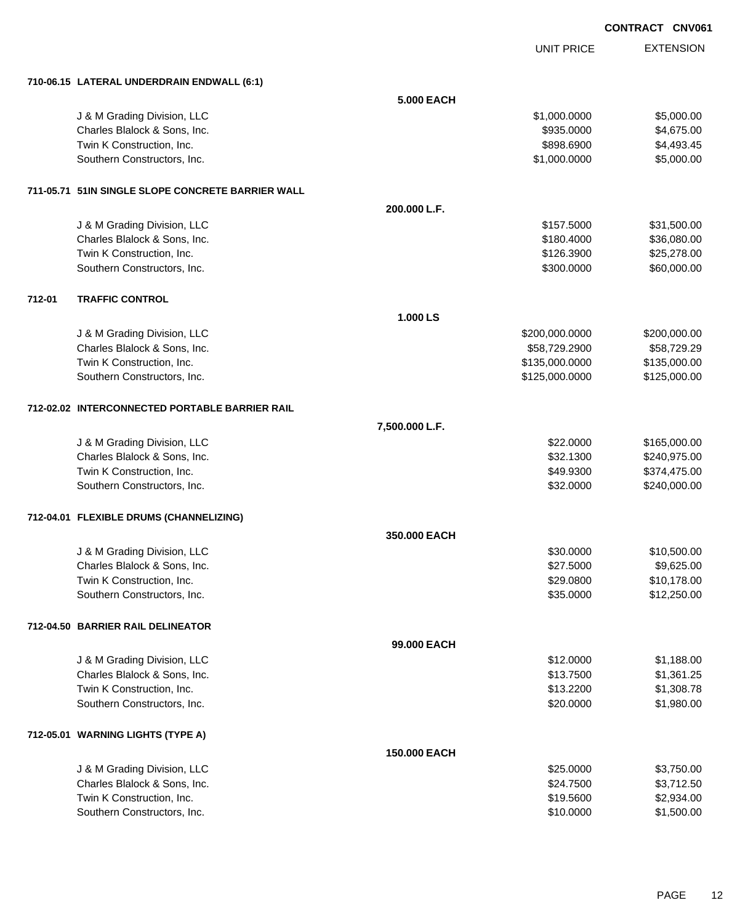| <b>CONTRACT</b> | CNV061 |
|-----------------|--------|
|                 |        |

UNIT PRICE

EXTENSION

**710-06.15 LATERAL UNDERDRAIN ENDWALL (6:1)**

|        | 710-06.15 LATERAL UNDERDRAIN ENDWALL (6:1)        |                   |                |              |
|--------|---------------------------------------------------|-------------------|----------------|--------------|
|        |                                                   | <b>5.000 EACH</b> |                |              |
|        | J & M Grading Division, LLC                       |                   | \$1,000.0000   | \$5,000.00   |
|        | Charles Blalock & Sons, Inc.                      |                   | \$935.0000     | \$4,675.00   |
|        | Twin K Construction, Inc.                         |                   | \$898.6900     | \$4,493.45   |
|        | Southern Constructors, Inc.                       |                   | \$1,000.0000   | \$5,000.00   |
|        | 711-05.71 51IN SINGLE SLOPE CONCRETE BARRIER WALL |                   |                |              |
|        |                                                   | 200.000 L.F.      |                |              |
|        | J & M Grading Division, LLC                       |                   | \$157.5000     | \$31,500.00  |
|        | Charles Blalock & Sons, Inc.                      |                   | \$180.4000     | \$36,080.00  |
|        | Twin K Construction, Inc.                         |                   | \$126.3900     | \$25,278.00  |
|        | Southern Constructors, Inc.                       |                   | \$300.0000     | \$60,000.00  |
| 712-01 | <b>TRAFFIC CONTROL</b>                            |                   |                |              |
|        |                                                   | 1.000 LS          |                |              |
|        | J & M Grading Division, LLC                       |                   | \$200,000.0000 | \$200,000.00 |
|        | Charles Blalock & Sons, Inc.                      |                   | \$58,729.2900  | \$58,729.29  |
|        | Twin K Construction, Inc.                         |                   | \$135,000.0000 | \$135,000.00 |
|        | Southern Constructors, Inc.                       |                   | \$125,000.0000 | \$125,000.00 |
|        | 712-02.02 INTERCONNECTED PORTABLE BARRIER RAIL    |                   |                |              |
|        |                                                   | 7,500.000 L.F.    |                |              |
|        | J & M Grading Division, LLC                       |                   | \$22.0000      | \$165,000.00 |
|        | Charles Blalock & Sons, Inc.                      |                   | \$32.1300      | \$240,975.00 |
|        | Twin K Construction, Inc.                         |                   | \$49.9300      | \$374,475.00 |
|        | Southern Constructors, Inc.                       |                   | \$32.0000      | \$240,000.00 |
|        | 712-04.01 FLEXIBLE DRUMS (CHANNELIZING)           |                   |                |              |
|        |                                                   | 350.000 EACH      |                |              |
|        | J & M Grading Division, LLC                       |                   | \$30.0000      | \$10,500.00  |
|        | Charles Blalock & Sons, Inc.                      |                   | \$27.5000      | \$9,625.00   |
|        | Twin K Construction, Inc.                         |                   | \$29.0800      | \$10,178.00  |
|        | Southern Constructors, Inc.                       |                   | \$35.0000      | \$12,250.00  |
|        | 712-04.50 BARRIER RAIL DELINEATOR                 |                   |                |              |
|        |                                                   | 99.000 EACH       |                |              |
|        | J & M Grading Division, LLC                       |                   | \$12.0000      | \$1,188.00   |
|        | Charles Blalock & Sons, Inc.                      |                   | \$13.7500      | \$1,361.25   |
|        | Twin K Construction, Inc.                         |                   | \$13.2200      | \$1,308.78   |
|        | Southern Constructors, Inc.                       |                   | \$20.0000      | \$1,980.00   |
|        | 712-05.01 WARNING LIGHTS (TYPE A)                 |                   |                |              |
|        |                                                   | 150.000 EACH      |                |              |
|        | J & M Grading Division, LLC                       |                   | \$25.0000      | \$3,750.00   |
|        | Charles Blalock & Sons, Inc.                      |                   | \$24.7500      | \$3,712.50   |
|        | Twin K Construction, Inc.                         |                   | \$19.5600      | \$2,934.00   |
|        | Southern Constructors, Inc.                       |                   | \$10.0000      | \$1,500.00   |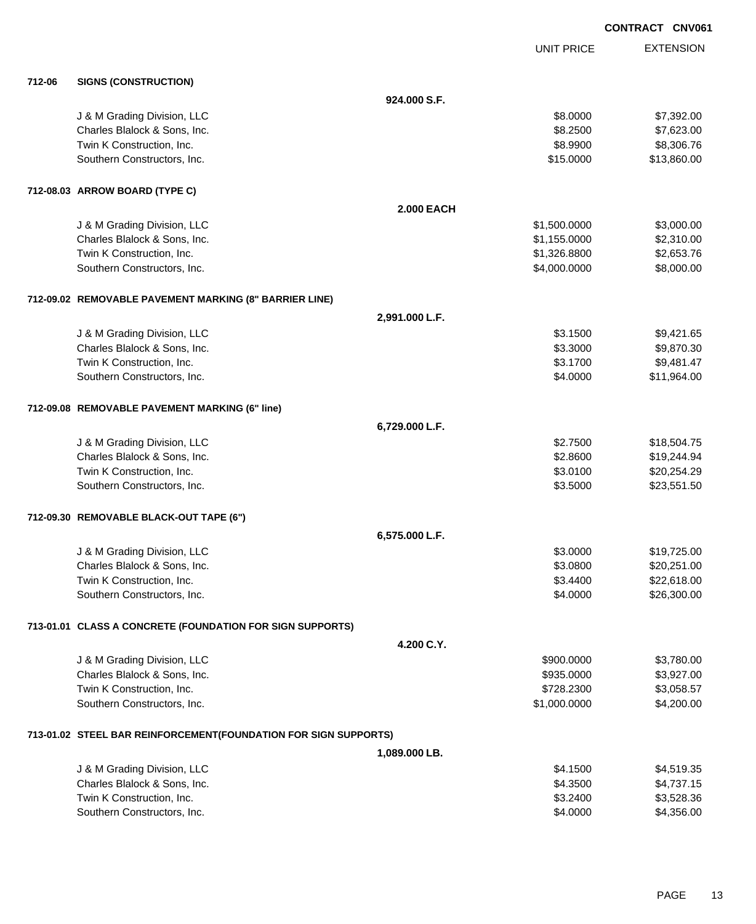|        |                                                                 |                   |              | <b>CONTRACT CNV061</b> |
|--------|-----------------------------------------------------------------|-------------------|--------------|------------------------|
|        |                                                                 |                   | UNIT PRICE   | <b>EXTENSION</b>       |
| 712-06 | <b>SIGNS (CONSTRUCTION)</b>                                     |                   |              |                        |
|        |                                                                 | 924.000 S.F.      |              |                        |
|        | J & M Grading Division, LLC                                     |                   | \$8.0000     | \$7,392.00             |
|        | Charles Blalock & Sons, Inc.                                    |                   | \$8.2500     | \$7,623.00             |
|        | Twin K Construction, Inc.                                       |                   | \$8.9900     | \$8,306.76             |
|        | Southern Constructors, Inc.                                     |                   | \$15.0000    | \$13,860.00            |
|        | 712-08.03 ARROW BOARD (TYPE C)                                  |                   |              |                        |
|        |                                                                 | <b>2.000 EACH</b> |              |                        |
|        | J & M Grading Division, LLC                                     |                   | \$1,500.0000 | \$3,000.00             |
|        | Charles Blalock & Sons, Inc.                                    |                   | \$1,155.0000 | \$2,310.00             |
|        | Twin K Construction, Inc.                                       |                   | \$1,326.8800 | \$2,653.76             |
|        | Southern Constructors, Inc.                                     |                   | \$4,000.0000 | \$8,000.00             |
|        | 712-09.02 REMOVABLE PAVEMENT MARKING (8" BARRIER LINE)          |                   |              |                        |
|        |                                                                 | 2,991.000 L.F.    |              |                        |
|        | J & M Grading Division, LLC                                     |                   | \$3.1500     | \$9,421.65             |
|        | Charles Blalock & Sons, Inc.                                    |                   | \$3.3000     | \$9,870.30             |
|        | Twin K Construction, Inc.                                       |                   | \$3.1700     | \$9,481.47             |
|        | Southern Constructors, Inc.                                     |                   | \$4.0000     | \$11,964.00            |
|        | 712-09.08 REMOVABLE PAVEMENT MARKING (6" line)                  |                   |              |                        |
|        |                                                                 | 6,729.000 L.F.    |              |                        |
|        | J & M Grading Division, LLC                                     |                   | \$2.7500     | \$18,504.75            |
|        | Charles Blalock & Sons, Inc.                                    |                   | \$2.8600     | \$19,244.94            |
|        | Twin K Construction, Inc.                                       |                   | \$3.0100     | \$20,254.29            |
|        | Southern Constructors, Inc.                                     |                   | \$3.5000     | \$23,551.50            |
|        | 712-09.30 REMOVABLE BLACK-OUT TAPE (6")                         |                   |              |                        |
|        |                                                                 | 6,575.000 L.F.    |              |                        |
|        | J & M Grading Division, LLC                                     |                   | \$3.0000     | \$19,725.00            |
|        | Charles Blalock & Sons, Inc.                                    |                   | \$3.0800     | \$20,251.00            |
|        | Twin K Construction, Inc.                                       |                   | \$3.4400     | \$22,618.00            |
|        | Southern Constructors, Inc.                                     |                   | \$4.0000     | \$26,300.00            |
|        | 713-01.01 CLASS A CONCRETE (FOUNDATION FOR SIGN SUPPORTS)       |                   |              |                        |
|        |                                                                 | 4.200 C.Y.        |              |                        |
|        | J & M Grading Division, LLC                                     |                   | \$900.0000   | \$3,780.00             |
|        | Charles Blalock & Sons, Inc.                                    |                   | \$935.0000   | \$3,927.00             |
|        | Twin K Construction, Inc.                                       |                   | \$728.2300   | \$3,058.57             |
|        | Southern Constructors, Inc.                                     |                   | \$1,000.0000 | \$4,200.00             |
|        | 713-01.02 STEEL BAR REINFORCEMENT(FOUNDATION FOR SIGN SUPPORTS) |                   |              |                        |
|        |                                                                 | 1,089.000 LB.     |              |                        |
|        | J & M Grading Division, LLC                                     |                   | \$4.1500     | \$4,519.35             |
|        | Charles Blalock & Sons, Inc.                                    |                   | \$4.3500     | \$4,737.15             |
|        | Twin K Construction, Inc.                                       |                   | \$3.2400     | \$3,528.36             |
|        | Southern Constructors, Inc.                                     |                   | \$4.0000     | \$4,356.00             |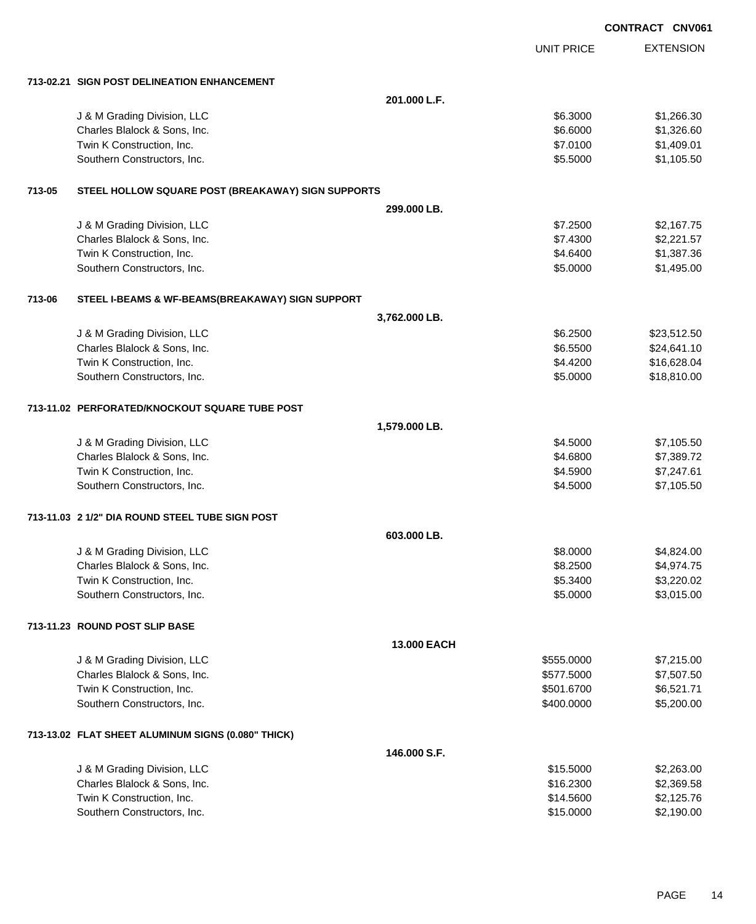|        |                                                    |               |                   | <b>CONTRACT CNV061</b> |
|--------|----------------------------------------------------|---------------|-------------------|------------------------|
|        |                                                    |               | <b>UNIT PRICE</b> | <b>EXTENSION</b>       |
|        | 713-02.21 SIGN POST DELINEATION ENHANCEMENT        |               |                   |                        |
|        |                                                    | 201.000 L.F.  |                   |                        |
|        | J & M Grading Division, LLC                        |               | \$6.3000          | \$1,266.30             |
|        | Charles Blalock & Sons, Inc.                       |               | \$6.6000          | \$1,326.60             |
|        | Twin K Construction, Inc.                          |               | \$7.0100          | \$1,409.01             |
|        | Southern Constructors, Inc.                        |               | \$5.5000          | \$1,105.50             |
| 713-05 | STEEL HOLLOW SQUARE POST (BREAKAWAY) SIGN SUPPORTS |               |                   |                        |
|        |                                                    | 299,000 LB.   |                   |                        |
|        | J & M Grading Division, LLC                        |               | \$7.2500          | \$2,167.75             |
|        | Charles Blalock & Sons, Inc.                       |               | \$7.4300          | \$2,221.57             |
|        | Twin K Construction, Inc.                          |               | \$4.6400          | \$1,387.36             |
|        | Southern Constructors, Inc.                        |               | \$5.0000          | \$1,495.00             |
| 713-06 | STEEL I-BEAMS & WF-BEAMS(BREAKAWAY) SIGN SUPPORT   |               |                   |                        |
|        |                                                    | 3,762.000 LB. |                   |                        |
|        | J & M Grading Division, LLC                        |               | \$6.2500          | \$23,512.50            |
|        | Charles Blalock & Sons, Inc.                       |               | \$6.5500          | \$24,641.10            |
|        | Twin K Construction, Inc.                          |               | \$4.4200          | \$16,628.04            |
|        | Southern Constructors, Inc.                        |               | \$5.0000          | \$18,810.00            |
|        | 713-11.02 PERFORATED/KNOCKOUT SQUARE TUBE POST     |               |                   |                        |
|        |                                                    | 1,579.000 LB. |                   |                        |
|        | J & M Grading Division, LLC                        |               | \$4.5000          | \$7,105.50             |
|        | Charles Blalock & Sons, Inc.                       |               | \$4.6800          | \$7,389.72             |
|        | Twin K Construction, Inc.                          |               | \$4.5900          | \$7,247.61             |
|        | Southern Constructors, Inc.                        |               | \$4.5000          | \$7,105.50             |
|        | 713-11.03 2 1/2" DIA ROUND STEEL TUBE SIGN POST    |               |                   |                        |
|        |                                                    | 603,000 LB    |                   |                        |
|        | J & M Grading Division, LLC                        |               | \$8.0000          | \$4,824.00             |
|        | Charles Blalock & Sons, Inc.                       |               | \$8.2500          | \$4,974.75             |
|        | Twin K Construction, Inc.                          |               | \$5.3400          | \$3,220.02             |
|        | Southern Constructors, Inc.                        |               | \$5.0000          | \$3,015.00             |
|        | 713-11.23 ROUND POST SLIP BASE                     |               |                   |                        |
|        |                                                    | 13.000 EACH   |                   |                        |
|        | J & M Grading Division, LLC                        |               | \$555.0000        | \$7,215.00             |
|        | Charles Blalock & Sons, Inc.                       |               | \$577.5000        | \$7,507.50             |
|        | Twin K Construction, Inc.                          |               | \$501.6700        | \$6,521.71             |
|        | Southern Constructors, Inc.                        |               | \$400.0000        | \$5,200.00             |
|        | 713-13.02 FLAT SHEET ALUMINUM SIGNS (0.080" THICK) |               |                   |                        |
|        |                                                    | 146.000 S.F.  |                   |                        |
|        | J & M Grading Division, LLC                        |               | \$15.5000         | \$2,263.00             |
|        | Charles Blalock & Sons, Inc.                       |               | \$16.2300         | \$2,369.58             |
|        | Twin K Construction, Inc.                          |               | \$14.5600         | \$2,125.76             |
|        | Southern Constructors, Inc.                        |               | \$15.0000         | \$2,190.00             |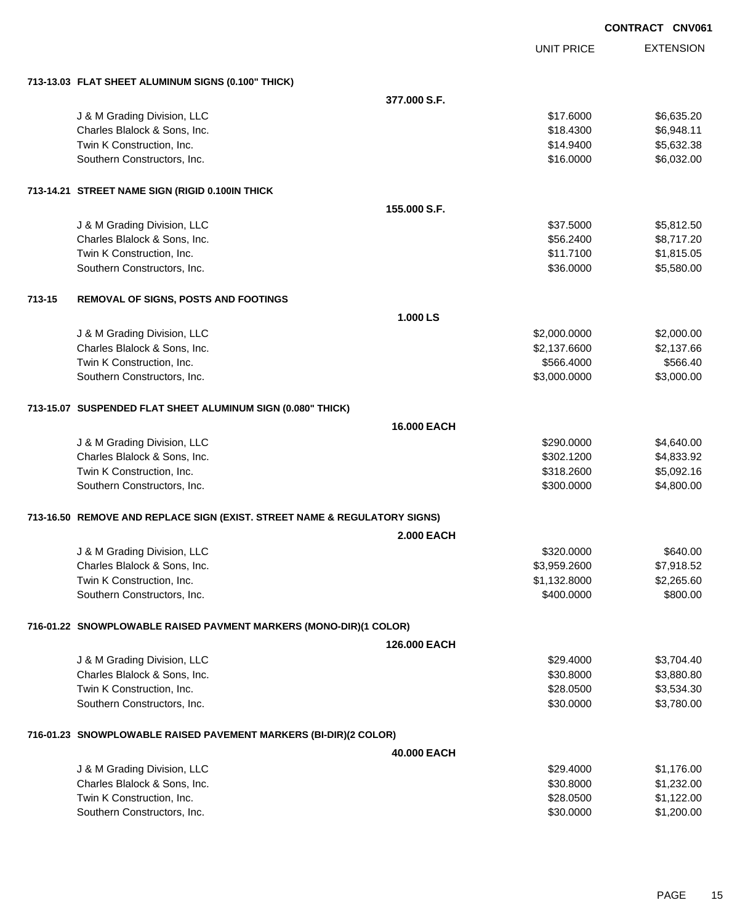|        |                                                                           |                    |                   | <b>CONTRACT CNV061</b> |
|--------|---------------------------------------------------------------------------|--------------------|-------------------|------------------------|
|        |                                                                           |                    | <b>UNIT PRICE</b> | <b>EXTENSION</b>       |
|        | 713-13.03 FLAT SHEET ALUMINUM SIGNS (0.100" THICK)                        |                    |                   |                        |
|        |                                                                           | 377,000 S.F.       |                   |                        |
|        | J & M Grading Division, LLC                                               |                    | \$17.6000         | \$6,635.20             |
|        | Charles Blalock & Sons, Inc.                                              |                    | \$18.4300         | \$6,948.11             |
|        | Twin K Construction, Inc.                                                 |                    | \$14.9400         | \$5,632.38             |
|        | Southern Constructors, Inc.                                               |                    | \$16,0000         | \$6,032.00             |
|        | 713-14.21 STREET NAME SIGN (RIGID 0.100IN THICK                           |                    |                   |                        |
|        |                                                                           | 155.000 S.F.       |                   |                        |
|        | J & M Grading Division, LLC                                               |                    | \$37.5000         | \$5,812.50             |
|        | Charles Blalock & Sons, Inc.                                              |                    | \$56.2400         | \$8,717.20             |
|        | Twin K Construction, Inc.                                                 |                    | \$11.7100         | \$1,815.05             |
|        | Southern Constructors, Inc.                                               |                    | \$36.0000         | \$5,580.00             |
| 713-15 | <b>REMOVAL OF SIGNS, POSTS AND FOOTINGS</b>                               |                    |                   |                        |
|        |                                                                           | 1.000 LS           |                   |                        |
|        | J & M Grading Division, LLC                                               |                    | \$2,000.0000      | \$2,000.00             |
|        | Charles Blalock & Sons, Inc.                                              |                    | \$2,137.6600      | \$2,137.66             |
|        | Twin K Construction, Inc.                                                 |                    | \$566.4000        | \$566.40               |
|        | Southern Constructors, Inc.                                               |                    | \$3,000.0000      | \$3,000.00             |
|        | 713-15.07 SUSPENDED FLAT SHEET ALUMINUM SIGN (0.080" THICK)               |                    |                   |                        |
|        |                                                                           | <b>16,000 EACH</b> |                   |                        |
|        | J & M Grading Division, LLC                                               |                    | \$290.0000        | \$4,640.00             |
|        | Charles Blalock & Sons, Inc.                                              |                    | \$302.1200        | \$4,833.92             |
|        | Twin K Construction, Inc.                                                 |                    | \$318.2600        | \$5,092.16             |
|        | Southern Constructors, Inc.                                               |                    | \$300.0000        | \$4,800.00             |
|        | 713-16.50 REMOVE AND REPLACE SIGN (EXIST. STREET NAME & REGULATORY SIGNS) |                    |                   |                        |
|        |                                                                           | <b>2.000 EACH</b>  |                   |                        |
|        | J & M Grading Division, LLC                                               |                    | \$320.0000        | \$640.00               |
|        | Charles Blalock & Sons, Inc.                                              |                    | \$3,959.2600      | \$7,918.52             |
|        | Twin K Construction, Inc.                                                 |                    | \$1,132.8000      | \$2,265.60             |
|        | Southern Constructors, Inc.                                               |                    | \$400.0000        | \$800.00               |
|        | 716-01.22 SNOWPLOWABLE RAISED PAVMENT MARKERS (MONO-DIR)(1 COLOR)         |                    |                   |                        |
|        |                                                                           | 126.000 EACH       |                   |                        |
|        | J & M Grading Division, LLC                                               |                    | \$29.4000         | \$3,704.40             |
|        | Charles Blalock & Sons, Inc.                                              |                    | \$30.8000         | \$3,880.80             |
|        | Twin K Construction, Inc.                                                 |                    | \$28.0500         | \$3,534.30             |
|        | Southern Constructors, Inc.                                               |                    | \$30.0000         | \$3,780.00             |
|        | 716-01.23 SNOWPLOWABLE RAISED PAVEMENT MARKERS (BI-DIR)(2 COLOR)          |                    |                   |                        |
|        |                                                                           | 40.000 EACH        |                   |                        |
|        | J & M Grading Division, LLC                                               |                    | \$29.4000         | \$1,176.00             |
|        | Charles Blalock & Sons, Inc.                                              |                    | \$30.8000         | \$1,232.00             |
|        | Twin K Construction, Inc.                                                 |                    | \$28.0500         | \$1,122.00             |
|        | Southern Constructors, Inc.                                               |                    | \$30.0000         | \$1,200.00             |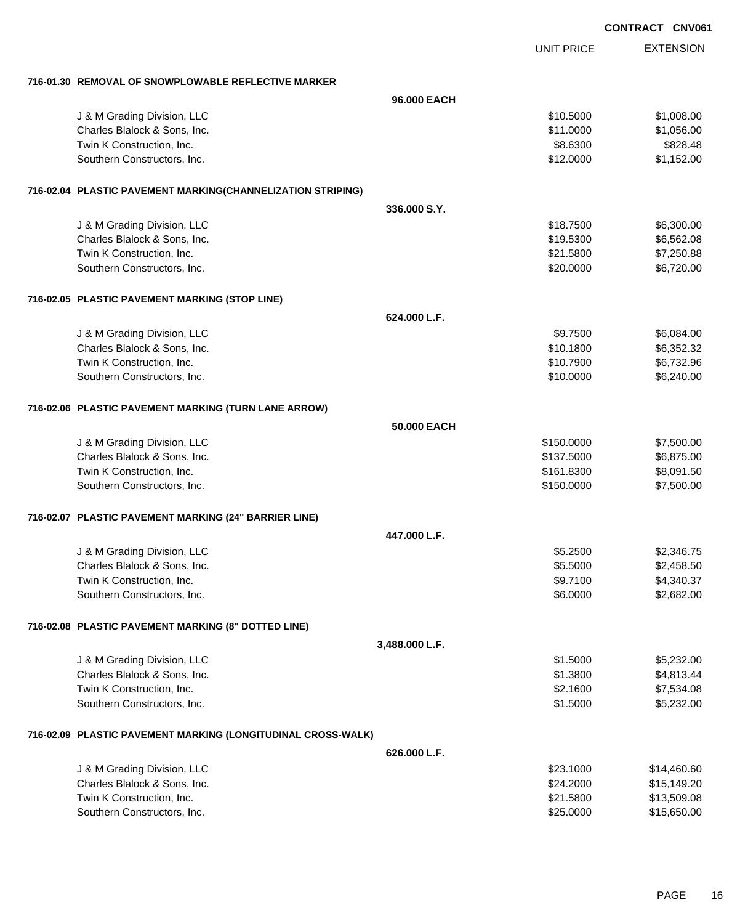|                                                              |                |                   | <b>CONTRACT CNV061</b> |
|--------------------------------------------------------------|----------------|-------------------|------------------------|
|                                                              |                | <b>UNIT PRICE</b> | <b>EXTENSION</b>       |
| 716-01.30 REMOVAL OF SNOWPLOWABLE REFLECTIVE MARKER          |                |                   |                        |
|                                                              | 96,000 EACH    |                   |                        |
| J & M Grading Division, LLC                                  |                | \$10.5000         | \$1,008.00             |
| Charles Blalock & Sons, Inc.                                 |                | \$11.0000         | \$1,056.00             |
| Twin K Construction, Inc.                                    |                | \$8.6300          | \$828.48               |
| Southern Constructors, Inc.                                  |                | \$12.0000         | \$1,152.00             |
| 716-02.04 PLASTIC PAVEMENT MARKING(CHANNELIZATION STRIPING)  |                |                   |                        |
|                                                              | 336,000 S.Y.   |                   |                        |
| J & M Grading Division, LLC                                  |                | \$18.7500         | \$6,300.00             |
| Charles Blalock & Sons, Inc.                                 |                | \$19.5300         | \$6,562.08             |
| Twin K Construction, Inc.                                    |                | \$21.5800         | \$7,250.88             |
| Southern Constructors, Inc.                                  |                | \$20.0000         | \$6,720.00             |
| 716-02.05 PLASTIC PAVEMENT MARKING (STOP LINE)               |                |                   |                        |
|                                                              | 624.000 L.F.   |                   |                        |
| J & M Grading Division, LLC                                  |                | \$9.7500          | \$6,084.00             |
| Charles Blalock & Sons, Inc.                                 |                | \$10.1800         | \$6,352.32             |
| Twin K Construction, Inc.                                    |                | \$10.7900         | \$6,732.96             |
| Southern Constructors, Inc.                                  |                | \$10.0000         | \$6,240.00             |
| 716-02.06 PLASTIC PAVEMENT MARKING (TURN LANE ARROW)         |                |                   |                        |
|                                                              | 50,000 EACH    |                   |                        |
| J & M Grading Division, LLC                                  |                | \$150.0000        | \$7,500.00             |
| Charles Blalock & Sons, Inc.                                 |                | \$137.5000        | \$6,875.00             |
| Twin K Construction, Inc.                                    |                | \$161.8300        | \$8,091.50             |
| Southern Constructors, Inc.                                  |                | \$150.0000        | \$7,500.00             |
| 716-02.07 PLASTIC PAVEMENT MARKING (24" BARRIER LINE)        |                |                   |                        |
|                                                              | 447.000 L.F.   |                   |                        |
| J & M Grading Division, LLC                                  |                | \$5.2500          | \$2,346.75             |
| Charles Blalock & Sons, Inc.                                 |                | \$5.5000          | \$2,458.50             |
| Twin K Construction, Inc.                                    |                | \$9.7100          | \$4,340.37             |
| Southern Constructors, Inc.                                  |                | \$6.0000          | \$2,682.00             |
| 716-02.08 PLASTIC PAVEMENT MARKING (8" DOTTED LINE)          |                |                   |                        |
|                                                              | 3,488.000 L.F. |                   |                        |
| J & M Grading Division, LLC                                  |                | \$1.5000          | \$5,232.00             |
| Charles Blalock & Sons, Inc.                                 |                | \$1.3800          | \$4,813.44             |
| Twin K Construction, Inc.                                    |                | \$2.1600          | \$7,534.08             |
| Southern Constructors, Inc.                                  |                | \$1.5000          | \$5,232.00             |
| 716-02.09 PLASTIC PAVEMENT MARKING (LONGITUDINAL CROSS-WALK) |                |                   |                        |
|                                                              | 626.000 L.F.   |                   |                        |
| J & M Grading Division, LLC                                  |                | \$23.1000         | \$14,460.60            |
| Charles Blalock & Sons, Inc.                                 |                | \$24.2000         | \$15,149.20            |
| Twin K Construction, Inc.                                    |                | \$21.5800         | \$13,509.08            |
| Southern Constructors, Inc.                                  |                | \$25.0000         | \$15,650.00            |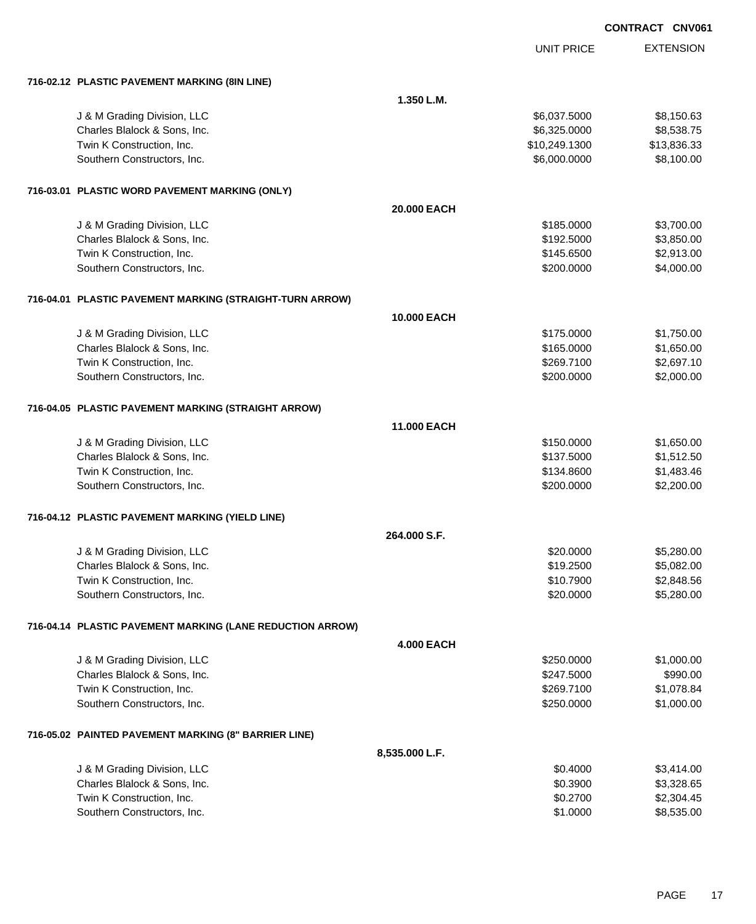|                                                           |                   |                   | CONTRACT CNV061 |                  |
|-----------------------------------------------------------|-------------------|-------------------|-----------------|------------------|
|                                                           |                   | <b>UNIT PRICE</b> |                 | <b>EXTENSION</b> |
| 716-02.12 PLASTIC PAVEMENT MARKING (8IN LINE)             |                   |                   |                 |                  |
|                                                           | 1.350 L.M.        |                   |                 |                  |
| J & M Grading Division, LLC                               |                   | \$6,037.5000      |                 | \$8,150.63       |
| Charles Blalock & Sons, Inc.                              |                   | \$6,325.0000      |                 | \$8,538.75       |
| Twin K Construction, Inc.                                 |                   | \$10,249.1300     |                 | \$13,836.33      |
| Southern Constructors, Inc.                               |                   | \$6,000.0000      |                 | \$8,100.00       |
| 716-03.01 PLASTIC WORD PAVEMENT MARKING (ONLY)            |                   |                   |                 |                  |
|                                                           | 20.000 EACH       |                   |                 |                  |
| J & M Grading Division, LLC                               |                   | \$185.0000        |                 | \$3,700.00       |
| Charles Blalock & Sons, Inc.                              |                   | \$192.5000        |                 | \$3,850.00       |
| Twin K Construction, Inc.                                 |                   | \$145.6500        |                 | \$2,913.00       |
| Southern Constructors, Inc.                               |                   | \$200.0000        |                 | \$4,000.00       |
| 716-04.01 PLASTIC PAVEMENT MARKING (STRAIGHT-TURN ARROW)  |                   |                   |                 |                  |
|                                                           | 10.000 EACH       |                   |                 |                  |
| J & M Grading Division, LLC                               |                   | \$175.0000        |                 | \$1,750.00       |
| Charles Blalock & Sons, Inc.                              |                   | \$165.0000        |                 | \$1,650.00       |
| Twin K Construction, Inc.                                 |                   | \$269.7100        |                 | \$2,697.10       |
| Southern Constructors, Inc.                               |                   | \$200.0000        |                 | \$2,000.00       |
| 716-04.05 PLASTIC PAVEMENT MARKING (STRAIGHT ARROW)       |                   |                   |                 |                  |
|                                                           | 11,000 EACH       |                   |                 |                  |
| J & M Grading Division, LLC                               |                   | \$150.0000        |                 | \$1,650.00       |
| Charles Blalock & Sons, Inc.                              |                   | \$137.5000        |                 | \$1,512.50       |
| Twin K Construction, Inc.                                 |                   | \$134.8600        |                 | \$1,483.46       |
| Southern Constructors, Inc.                               |                   | \$200.0000        |                 | \$2,200.00       |
| 716-04.12 PLASTIC PAVEMENT MARKING (YIELD LINE)           |                   |                   |                 |                  |
|                                                           | 264,000 S.F.      |                   |                 |                  |
| J & M Grading Division, LLC                               |                   | \$20.0000         |                 | \$5,280.00       |
| Charles Blalock & Sons, Inc.                              |                   | \$19.2500         |                 | \$5,082.00       |
| Twin K Construction, Inc.                                 |                   | \$10.7900         |                 | \$2,848.56       |
| Southern Constructors, Inc.                               |                   | \$20.0000         |                 | \$5,280.00       |
| 716-04.14 PLASTIC PAVEMENT MARKING (LANE REDUCTION ARROW) |                   |                   |                 |                  |
|                                                           | <b>4.000 EACH</b> |                   |                 |                  |
| J & M Grading Division, LLC                               |                   | \$250.0000        |                 | \$1,000.00       |
| Charles Blalock & Sons, Inc.                              |                   | \$247.5000        |                 | \$990.00         |
| Twin K Construction, Inc.                                 |                   | \$269.7100        |                 | \$1,078.84       |
| Southern Constructors, Inc.                               |                   | \$250.0000        |                 | \$1,000.00       |
| 716-05.02 PAINTED PAVEMENT MARKING (8" BARRIER LINE)      |                   |                   |                 |                  |
|                                                           | 8,535.000 L.F.    |                   |                 |                  |
| J & M Grading Division, LLC                               |                   | \$0.4000          |                 | \$3,414.00       |
| Charles Blalock & Sons, Inc.                              |                   | \$0.3900          |                 | \$3,328.65       |
| Twin K Construction, Inc.                                 |                   | \$0.2700          |                 | \$2,304.45       |
| Southern Constructors, Inc.                               |                   | \$1.0000          |                 | \$8,535.00       |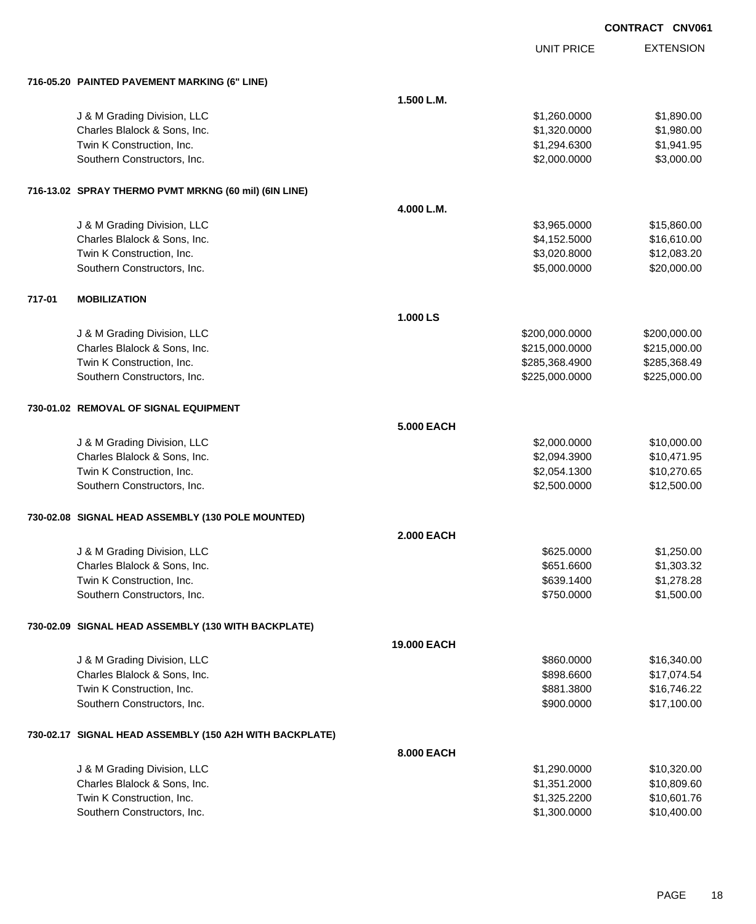UNIT PRICE

|  | 716-05.20 PAINTED PAVEMENT MARKING (6" LINE) |  |  |
|--|----------------------------------------------|--|--|
|  |                                              |  |  |

|        | 716-05.20 PAINTED PAVEMENT MARKING (6" LINE)            |                   |                |              |
|--------|---------------------------------------------------------|-------------------|----------------|--------------|
|        |                                                         | 1.500 L.M.        |                |              |
|        | J & M Grading Division, LLC                             |                   | \$1,260.0000   | \$1,890.00   |
|        | Charles Blalock & Sons, Inc.                            |                   | \$1,320.0000   | \$1,980.00   |
|        | Twin K Construction, Inc.                               |                   | \$1,294.6300   | \$1,941.95   |
|        | Southern Constructors, Inc.                             |                   | \$2,000.0000   | \$3,000.00   |
|        |                                                         |                   |                |              |
|        | 716-13.02 SPRAY THERMO PVMT MRKNG (60 mil) (6IN LINE)   |                   |                |              |
|        |                                                         |                   |                |              |
|        |                                                         | 4.000 L.M.        |                |              |
|        | J & M Grading Division, LLC                             |                   | \$3,965.0000   | \$15,860.00  |
|        | Charles Blalock & Sons, Inc.                            |                   | \$4,152.5000   | \$16,610.00  |
|        | Twin K Construction, Inc.                               |                   | \$3,020.8000   | \$12,083.20  |
|        | Southern Constructors, Inc.                             |                   | \$5,000.0000   | \$20,000.00  |
| 717-01 | <b>MOBILIZATION</b>                                     |                   |                |              |
|        |                                                         | 1.000 LS          |                |              |
|        | J & M Grading Division, LLC                             |                   | \$200,000.0000 | \$200,000.00 |
|        | Charles Blalock & Sons, Inc.                            |                   | \$215,000.0000 | \$215,000.00 |
|        | Twin K Construction, Inc.                               |                   | \$285,368.4900 | \$285,368.49 |
|        | Southern Constructors, Inc.                             |                   | \$225,000.0000 | \$225,000.00 |
|        |                                                         |                   |                |              |
|        | 730-01.02 REMOVAL OF SIGNAL EQUIPMENT                   |                   |                |              |
|        |                                                         | <b>5.000 EACH</b> |                |              |
|        | J & M Grading Division, LLC                             |                   | \$2,000.0000   | \$10,000.00  |
|        | Charles Blalock & Sons, Inc.                            |                   | \$2,094.3900   | \$10,471.95  |
|        | Twin K Construction, Inc.                               |                   | \$2,054.1300   | \$10,270.65  |
|        | Southern Constructors, Inc.                             |                   | \$2,500.0000   | \$12,500.00  |
|        |                                                         |                   |                |              |
|        | 730-02.08 SIGNAL HEAD ASSEMBLY (130 POLE MOUNTED)       |                   |                |              |
|        |                                                         | <b>2.000 EACH</b> |                |              |
|        | J & M Grading Division, LLC                             |                   | \$625.0000     | \$1,250.00   |
|        | Charles Blalock & Sons, Inc.                            |                   | \$651.6600     | \$1,303.32   |
|        | Twin K Construction, Inc.                               |                   | \$639.1400     | \$1,278.28   |
|        | Southern Constructors, Inc.                             |                   | \$750.0000     | \$1,500.00   |
|        |                                                         |                   |                |              |
|        | 730-02.09 SIGNAL HEAD ASSEMBLY (130 WITH BACKPLATE)     |                   |                |              |
|        |                                                         | 19.000 EACH       |                |              |
|        | J & M Grading Division, LLC                             |                   | \$860.0000     | \$16,340.00  |
|        | Charles Blalock & Sons, Inc.                            |                   | \$898.6600     | \$17,074.54  |
|        | Twin K Construction, Inc.                               |                   | \$881.3800     | \$16,746.22  |
|        | Southern Constructors, Inc.                             |                   | \$900.0000     | \$17,100.00  |
|        |                                                         |                   |                |              |
|        | 730-02.17 SIGNAL HEAD ASSEMBLY (150 A2H WITH BACKPLATE) |                   |                |              |
|        |                                                         | 8.000 EACH        |                |              |
|        | J & M Grading Division, LLC                             |                   | \$1,290.0000   | \$10,320.00  |
|        | Charles Blalock & Sons, Inc.                            |                   | \$1,351.2000   | \$10,809.60  |
|        | Twin K Construction, Inc.                               |                   | \$1,325.2200   | \$10,601.76  |
|        | Southern Constructors, Inc.                             |                   | \$1,300.0000   | \$10,400.00  |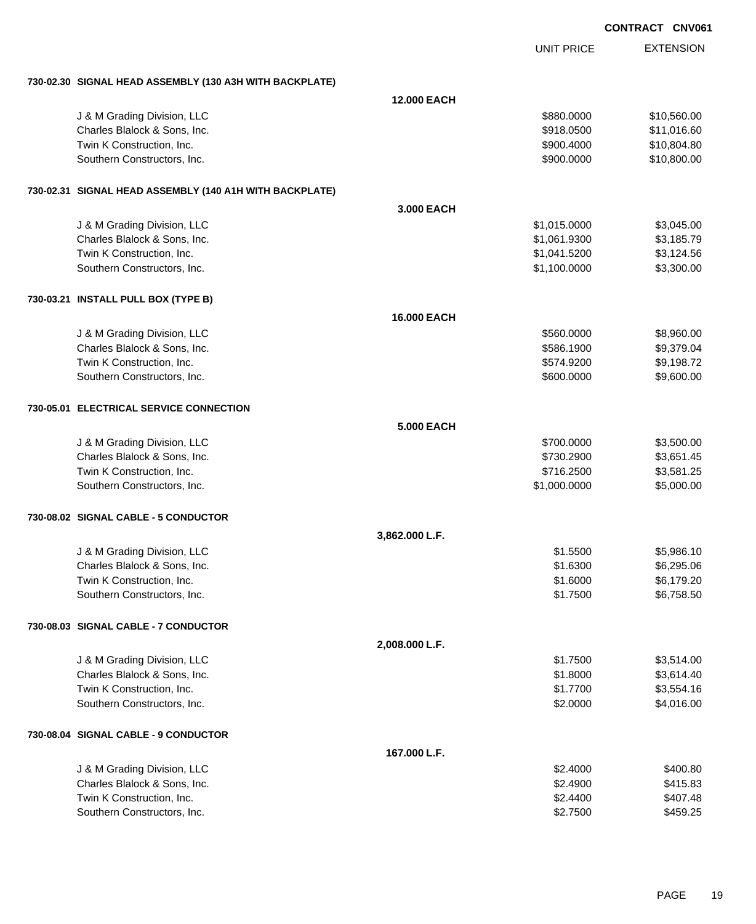|                                                         |                    |                   | <b>CONTRACT CNV061</b> |
|---------------------------------------------------------|--------------------|-------------------|------------------------|
|                                                         |                    | <b>UNIT PRICE</b> | <b>EXTENSION</b>       |
| 730-02.30 SIGNAL HEAD ASSEMBLY (130 A3H WITH BACKPLATE) |                    |                   |                        |
|                                                         | <b>12.000 EACH</b> |                   |                        |
| J & M Grading Division, LLC                             |                    | \$880.0000        | \$10,560.00            |
| Charles Blalock & Sons, Inc.                            |                    | \$918.0500        | \$11,016.60            |
| Twin K Construction, Inc.                               |                    | \$900.4000        | \$10,804.80            |
| Southern Constructors, Inc.                             |                    | \$900.0000        | \$10,800.00            |
| 730-02.31 SIGNAL HEAD ASSEMBLY (140 A1H WITH BACKPLATE) |                    |                   |                        |
|                                                         | 3,000 EACH         |                   |                        |
| J & M Grading Division, LLC                             |                    | \$1,015.0000      | \$3,045.00             |
| Charles Blalock & Sons, Inc.                            |                    | \$1,061.9300      | \$3,185.79             |
| Twin K Construction, Inc.                               |                    | \$1,041.5200      | \$3,124.56             |
| Southern Constructors, Inc.                             |                    | \$1,100.0000      | \$3,300.00             |
| 730-03.21 INSTALL PULL BOX (TYPE B)                     |                    |                   |                        |
|                                                         | <b>16.000 EACH</b> |                   |                        |
| J & M Grading Division, LLC                             |                    | \$560.0000        | \$8,960.00             |
| Charles Blalock & Sons, Inc.                            |                    | \$586.1900        | \$9,379.04             |
| Twin K Construction, Inc.                               |                    | \$574.9200        | \$9,198.72             |
| Southern Constructors, Inc.                             |                    | \$600.0000        | \$9,600.00             |
| 730-05.01 ELECTRICAL SERVICE CONNECTION                 |                    |                   |                        |
|                                                         | <b>5.000 EACH</b>  |                   |                        |
| J & M Grading Division, LLC                             |                    | \$700.0000        | \$3,500.00             |
| Charles Blalock & Sons, Inc.                            |                    | \$730.2900        | \$3,651.45             |
| Twin K Construction, Inc.                               |                    | \$716.2500        | \$3,581.25             |
| Southern Constructors, Inc.                             |                    | \$1,000.0000      | \$5,000.00             |
| 730-08.02 SIGNAL CABLE - 5 CONDUCTOR                    |                    |                   |                        |
|                                                         | 3,862.000 L.F.     |                   |                        |
| J & M Grading Division, LLC                             |                    | \$1.5500          | \$5,986.10             |
| Charles Blalock & Sons, Inc.                            |                    | \$1.6300          | \$6,295.06             |
| Twin K Construction, Inc.                               |                    | \$1.6000          | \$6,179.20             |
| Southern Constructors, Inc.                             |                    | \$1.7500          | \$6,758.50             |
| 730-08.03 SIGNAL CABLE - 7 CONDUCTOR                    |                    |                   |                        |
|                                                         | 2,008.000 L.F.     |                   |                        |
| J & M Grading Division, LLC                             |                    | \$1.7500          | \$3,514.00             |
| Charles Blalock & Sons, Inc.                            |                    | \$1.8000          | \$3,614.40             |
| Twin K Construction, Inc.                               |                    | \$1.7700          | \$3,554.16             |
| Southern Constructors, Inc.                             |                    | \$2.0000          | \$4,016.00             |
| 730-08.04 SIGNAL CABLE - 9 CONDUCTOR                    |                    |                   |                        |
|                                                         | 167.000 L.F.       |                   |                        |
| J & M Grading Division, LLC                             |                    | \$2.4000          | \$400.80               |
| Charles Blalock & Sons, Inc.                            |                    | \$2.4900          | \$415.83               |
| Twin K Construction, Inc.                               |                    | \$2.4400          | \$407.48               |
| Southern Constructors, Inc.                             |                    | \$2.7500          | \$459.25               |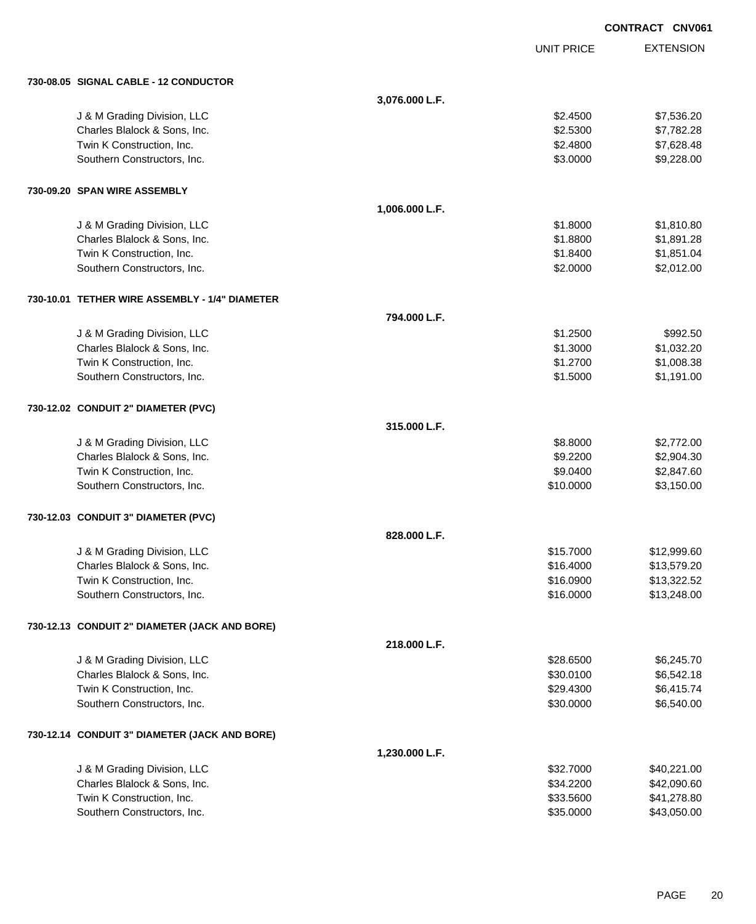|                                                |                |                   | <b>CONTRACT CNV061</b> |
|------------------------------------------------|----------------|-------------------|------------------------|
|                                                |                | <b>UNIT PRICE</b> | <b>EXTENSION</b>       |
| 730-08.05 SIGNAL CABLE - 12 CONDUCTOR          |                |                   |                        |
|                                                | 3,076.000 L.F. |                   |                        |
| J & M Grading Division, LLC                    |                | \$2.4500          | \$7,536.20             |
| Charles Blalock & Sons, Inc.                   |                | \$2.5300          | \$7,782.28             |
| Twin K Construction, Inc.                      |                | \$2.4800          | \$7,628.48             |
| Southern Constructors, Inc.                    |                | \$3.0000          | \$9,228.00             |
| 730-09.20 SPAN WIRE ASSEMBLY                   |                |                   |                        |
|                                                | 1,006.000 L.F. |                   |                        |
| J & M Grading Division, LLC                    |                | \$1.8000          | \$1,810.80             |
| Charles Blalock & Sons, Inc.                   |                | \$1.8800          | \$1,891.28             |
| Twin K Construction, Inc.                      |                | \$1.8400          | \$1,851.04             |
| Southern Constructors, Inc.                    |                | \$2.0000          | \$2,012.00             |
| 730-10.01 TETHER WIRE ASSEMBLY - 1/4" DIAMETER |                |                   |                        |
|                                                | 794.000 L.F.   |                   |                        |
| J & M Grading Division, LLC                    |                | \$1.2500          | \$992.50               |
| Charles Blalock & Sons, Inc.                   |                | \$1.3000          | \$1,032.20             |
| Twin K Construction, Inc.                      |                | \$1.2700          | \$1,008.38             |
| Southern Constructors, Inc.                    |                | \$1.5000          | \$1,191.00             |
| 730-12.02 CONDUIT 2" DIAMETER (PVC)            |                |                   |                        |
|                                                | 315.000 L.F.   |                   |                        |
| J & M Grading Division, LLC                    |                | \$8.8000          | \$2,772.00             |
| Charles Blalock & Sons, Inc.                   |                | \$9.2200          | \$2,904.30             |
| Twin K Construction, Inc.                      |                | \$9.0400          | \$2,847.60             |
| Southern Constructors, Inc.                    |                | \$10.0000         | \$3,150.00             |
| 730-12.03 CONDUIT 3" DIAMETER (PVC)            |                |                   |                        |
|                                                | 828.000 L.F.   |                   |                        |
| J & M Grading Division, LLC                    |                | \$15.7000         | \$12,999.60            |
| Charles Blalock & Sons, Inc.                   |                | \$16.4000         | \$13,579.20            |
| Twin K Construction, Inc.                      |                | \$16.0900         | \$13,322.52            |
| Southern Constructors, Inc.                    |                | \$16.0000         | \$13,248.00            |
| 730-12.13 CONDUIT 2" DIAMETER (JACK AND BORE)  |                |                   |                        |
|                                                | 218.000 L.F.   |                   |                        |
| J & M Grading Division, LLC                    |                | \$28.6500         | \$6,245.70             |
| Charles Blalock & Sons, Inc.                   |                | \$30.0100         | \$6,542.18             |
| Twin K Construction, Inc.                      |                | \$29.4300         | \$6,415.74             |
| Southern Constructors, Inc.                    |                | \$30.0000         | \$6,540.00             |
| 730-12.14 CONDUIT 3" DIAMETER (JACK AND BORE)  |                |                   |                        |
|                                                | 1,230.000 L.F. |                   |                        |
| J & M Grading Division, LLC                    |                | \$32.7000         | \$40,221.00            |
| Charles Blalock & Sons, Inc.                   |                | \$34.2200         | \$42,090.60            |
| Twin K Construction, Inc.                      |                | \$33.5600         | \$41,278.80            |
| Southern Constructors, Inc.                    |                | \$35.0000         | \$43,050.00            |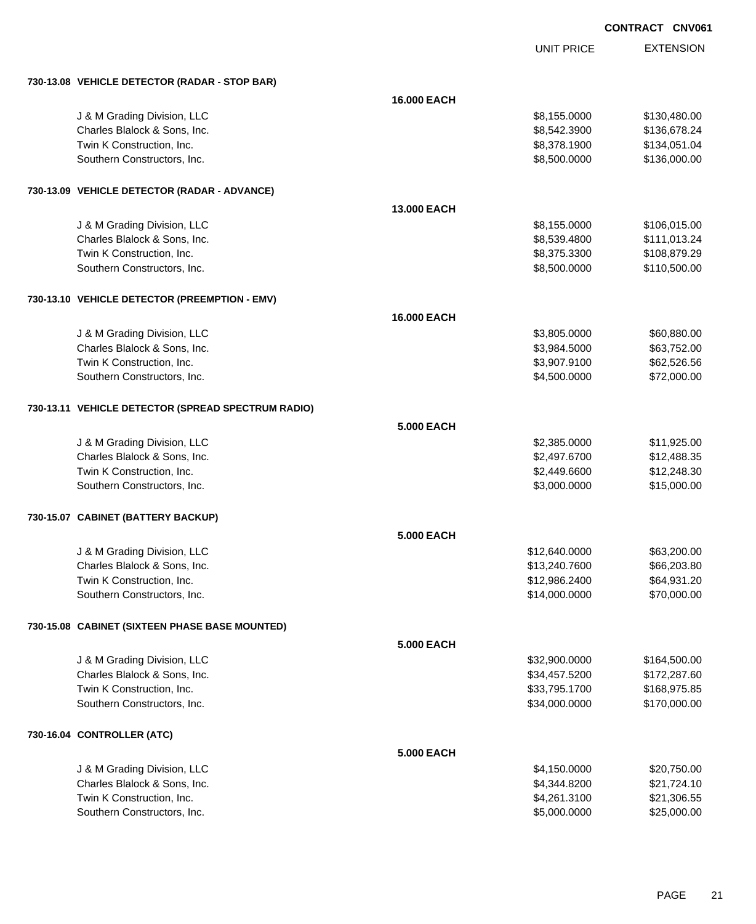| CONTRACT CNV061 |  |
|-----------------|--|
|-----------------|--|

UNIT PRICE

| 730-13.08 VEHICLE DETECTOR (RADAR - STOP BAR)      |                   |               |              |
|----------------------------------------------------|-------------------|---------------|--------------|
|                                                    | 16.000 EACH       |               |              |
| J & M Grading Division, LLC                        |                   | \$8,155.0000  | \$130,480.00 |
| Charles Blalock & Sons, Inc.                       |                   | \$8,542.3900  | \$136,678.24 |
| Twin K Construction, Inc.                          |                   | \$8,378.1900  | \$134,051.04 |
| Southern Constructors, Inc.                        |                   | \$8,500.0000  | \$136,000.00 |
| 730-13.09 VEHICLE DETECTOR (RADAR - ADVANCE)       |                   |               |              |
|                                                    | 13.000 EACH       |               |              |
| J & M Grading Division, LLC                        |                   | \$8,155.0000  | \$106,015.00 |
| Charles Blalock & Sons, Inc.                       |                   | \$8,539.4800  | \$111,013.24 |
| Twin K Construction, Inc.                          |                   | \$8,375.3300  | \$108,879.29 |
| Southern Constructors, Inc.                        |                   | \$8,500.0000  | \$110,500.00 |
| 730-13.10 VEHICLE DETECTOR (PREEMPTION - EMV)      |                   |               |              |
|                                                    | 16.000 EACH       |               |              |
| J & M Grading Division, LLC                        |                   | \$3,805.0000  | \$60,880.00  |
| Charles Blalock & Sons, Inc.                       |                   | \$3,984.5000  | \$63,752.00  |
| Twin K Construction, Inc.                          |                   | \$3,907.9100  | \$62,526.56  |
| Southern Constructors, Inc.                        |                   | \$4,500.0000  | \$72,000.00  |
| 730-13.11 VEHICLE DETECTOR (SPREAD SPECTRUM RADIO) |                   |               |              |
|                                                    | <b>5.000 EACH</b> |               |              |
| J & M Grading Division, LLC                        |                   | \$2,385.0000  | \$11,925.00  |
| Charles Blalock & Sons, Inc.                       |                   | \$2,497.6700  | \$12,488.35  |
| Twin K Construction, Inc.                          |                   | \$2,449.6600  | \$12,248.30  |
| Southern Constructors, Inc.                        |                   | \$3,000.0000  | \$15,000.00  |
| 730-15.07 CABINET (BATTERY BACKUP)                 |                   |               |              |
|                                                    | <b>5.000 EACH</b> |               |              |
| J & M Grading Division, LLC                        |                   | \$12,640.0000 | \$63,200.00  |
| Charles Blalock & Sons, Inc.                       |                   | \$13,240.7600 | \$66,203.80  |
| Twin K Construction, Inc.                          |                   | \$12,986.2400 | \$64,931.20  |
| Southern Constructors, Inc.                        |                   | \$14,000.0000 | \$70,000.00  |
| 730-15.08 CABINET (SIXTEEN PHASE BASE MOUNTED)     |                   |               |              |
|                                                    | <b>5.000 EACH</b> |               |              |
| J & M Grading Division, LLC                        |                   | \$32,900.0000 | \$164,500.00 |
| Charles Blalock & Sons, Inc.                       |                   | \$34,457.5200 | \$172,287.60 |
| Twin K Construction, Inc.                          |                   | \$33,795.1700 | \$168,975.85 |
| Southern Constructors, Inc.                        |                   | \$34,000.0000 | \$170,000.00 |
| 730-16.04 CONTROLLER (ATC)                         |                   |               |              |
|                                                    | <b>5.000 EACH</b> |               |              |
| J & M Grading Division, LLC                        |                   | \$4,150.0000  | \$20,750.00  |
| Charles Blalock & Sons, Inc.                       |                   | \$4,344.8200  | \$21,724.10  |
| Twin K Construction, Inc.                          |                   | \$4,261.3100  | \$21,306.55  |
| Southern Constructors, Inc.                        |                   | \$5,000.0000  | \$25,000.00  |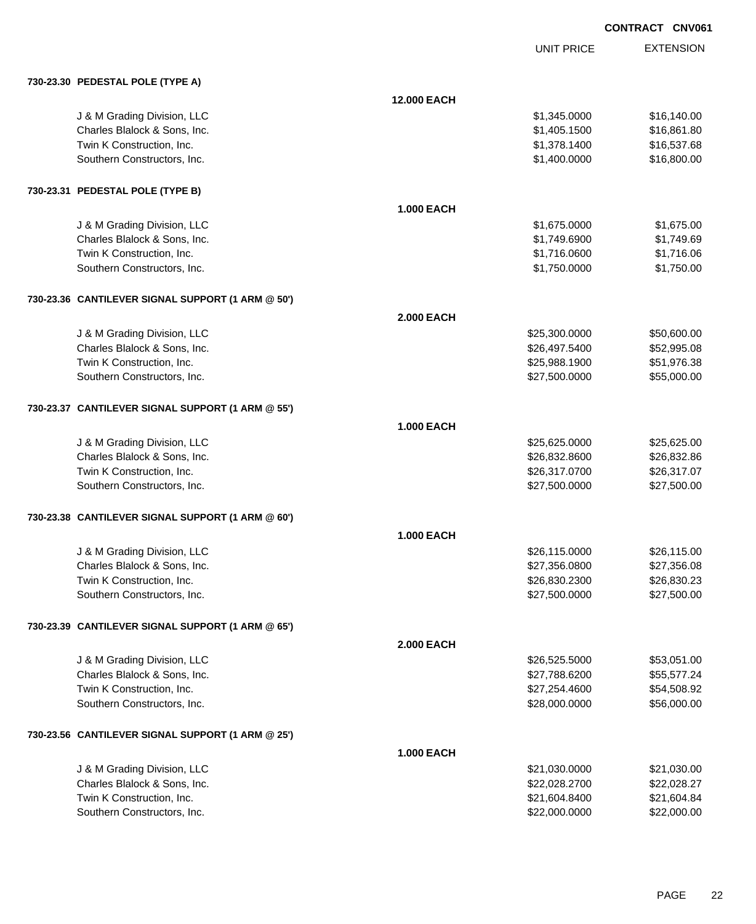|            | <b>CONTRACT CNV061</b> |                  |
|------------|------------------------|------------------|
| UNIT PRICE |                        | <b>EXTENSION</b> |
|            |                        |                  |
|            |                        |                  |

# **730-23.30 PEDESTAL POLE (TYPE A)**

| 730-23.30 PEDESTAL POLE (TYPE A)                  |                    |               |             |
|---------------------------------------------------|--------------------|---------------|-------------|
|                                                   | <b>12.000 EACH</b> |               |             |
| J & M Grading Division, LLC                       |                    | \$1,345.0000  | \$16,140.00 |
| Charles Blalock & Sons, Inc.                      |                    | \$1,405.1500  | \$16,861.80 |
| Twin K Construction, Inc.                         |                    | \$1,378.1400  | \$16,537.68 |
| Southern Constructors, Inc.                       |                    | \$1,400.0000  | \$16,800.00 |
|                                                   |                    |               |             |
| 730-23.31 PEDESTAL POLE (TYPE B)                  |                    |               |             |
|                                                   | <b>1.000 EACH</b>  |               |             |
| J & M Grading Division, LLC                       |                    | \$1,675.0000  | \$1,675.00  |
| Charles Blalock & Sons, Inc.                      |                    | \$1,749.6900  | \$1,749.69  |
| Twin K Construction, Inc.                         |                    | \$1,716.0600  | \$1,716.06  |
| Southern Constructors, Inc.                       |                    | \$1,750.0000  | \$1,750.00  |
| 730-23.36 CANTILEVER SIGNAL SUPPORT (1 ARM @ 50') |                    |               |             |
|                                                   | <b>2.000 EACH</b>  |               |             |
| J & M Grading Division, LLC                       |                    | \$25,300.0000 | \$50,600.00 |
| Charles Blalock & Sons, Inc.                      |                    | \$26,497.5400 | \$52,995.08 |
| Twin K Construction, Inc.                         |                    | \$25,988.1900 | \$51,976.38 |
| Southern Constructors, Inc.                       |                    | \$27,500.0000 | \$55,000.00 |
|                                                   |                    |               |             |
| 730-23.37 CANTILEVER SIGNAL SUPPORT (1 ARM @ 55') |                    |               |             |
|                                                   | <b>1.000 EACH</b>  |               |             |
| J & M Grading Division, LLC                       |                    | \$25,625.0000 | \$25,625.00 |
| Charles Blalock & Sons, Inc.                      |                    | \$26,832.8600 | \$26,832.86 |
| Twin K Construction, Inc.                         |                    | \$26,317.0700 | \$26,317.07 |
| Southern Constructors, Inc.                       |                    | \$27,500.0000 | \$27,500.00 |
| 730-23.38 CANTILEVER SIGNAL SUPPORT (1 ARM @ 60') |                    |               |             |
|                                                   | <b>1.000 EACH</b>  |               |             |
| J & M Grading Division, LLC                       |                    | \$26,115.0000 | \$26,115.00 |
| Charles Blalock & Sons, Inc.                      |                    | \$27,356.0800 | \$27,356.08 |
| Twin K Construction, Inc.                         |                    | \$26,830.2300 | \$26,830.23 |
| Southern Constructors, Inc.                       |                    | \$27,500.0000 | \$27,500.00 |
| 730-23.39 CANTILEVER SIGNAL SUPPORT (1 ARM @ 65') |                    |               |             |
|                                                   | <b>2.000 EACH</b>  |               |             |
| J & M Grading Division, LLC                       |                    | \$26,525.5000 | \$53,051.00 |
| Charles Blalock & Sons, Inc.                      |                    | \$27,788.6200 | \$55,577.24 |
| Twin K Construction, Inc.                         |                    | \$27,254.4600 | \$54,508.92 |
| Southern Constructors, Inc.                       |                    | \$28,000.0000 | \$56,000.00 |
| 730-23.56 CANTILEVER SIGNAL SUPPORT (1 ARM @ 25') |                    |               |             |
|                                                   | <b>1.000 EACH</b>  |               |             |
| J & M Grading Division, LLC                       |                    | \$21,030.0000 | \$21,030.00 |
| Charles Blalock & Sons, Inc.                      |                    | \$22,028.2700 | \$22,028.27 |
| Twin K Construction, Inc.                         |                    | \$21,604.8400 | \$21,604.84 |
| Southern Constructors, Inc.                       |                    | \$22,000.0000 | \$22,000.00 |
|                                                   |                    |               |             |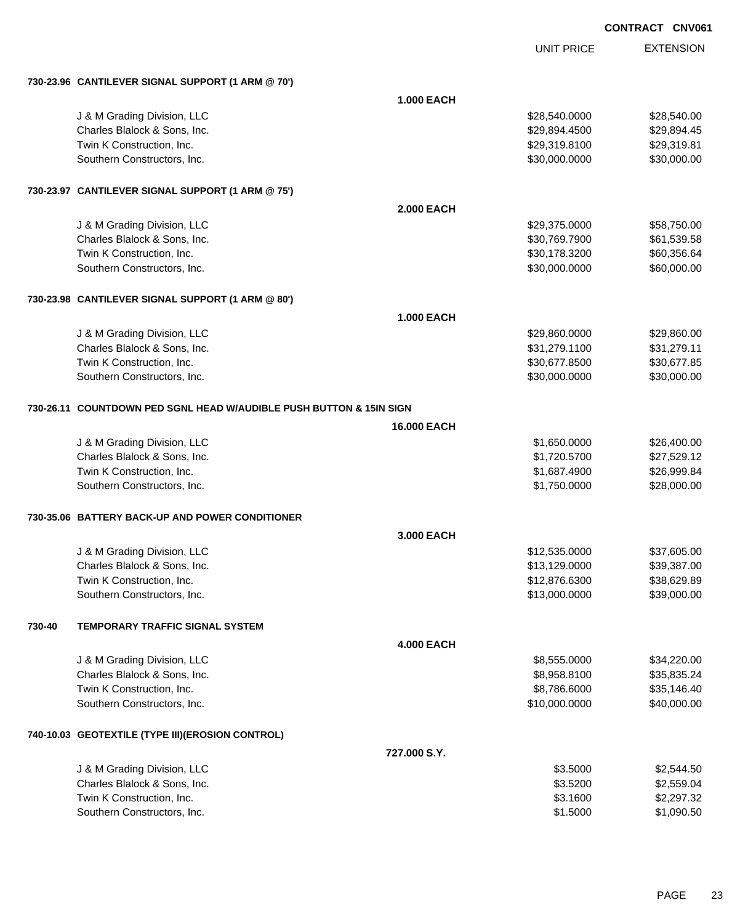|        |                                                                     |                   |                   | <b>CONTRACT CNV061</b> |
|--------|---------------------------------------------------------------------|-------------------|-------------------|------------------------|
|        |                                                                     |                   | <b>UNIT PRICE</b> | <b>EXTENSION</b>       |
|        | 730-23.96 CANTILEVER SIGNAL SUPPORT (1 ARM @ 70')                   |                   |                   |                        |
|        |                                                                     | <b>1.000 EACH</b> |                   |                        |
|        | J & M Grading Division, LLC                                         |                   | \$28,540.0000     | \$28,540.00            |
|        | Charles Blalock & Sons, Inc.                                        |                   | \$29,894.4500     | \$29,894.45            |
|        | Twin K Construction, Inc.                                           |                   | \$29,319.8100     | \$29,319.81            |
|        | Southern Constructors, Inc.                                         |                   | \$30,000.0000     | \$30,000.00            |
|        | 730-23.97 CANTILEVER SIGNAL SUPPORT (1 ARM @ 75')                   |                   |                   |                        |
|        |                                                                     | <b>2.000 EACH</b> |                   |                        |
|        | J & M Grading Division, LLC                                         |                   | \$29,375.0000     | \$58,750.00            |
|        | Charles Blalock & Sons, Inc.                                        |                   | \$30,769.7900     | \$61,539.58            |
|        | Twin K Construction, Inc.                                           |                   | \$30,178.3200     | \$60,356.64            |
|        | Southern Constructors, Inc.                                         |                   | \$30,000.0000     | \$60,000.00            |
|        | 730-23.98 CANTILEVER SIGNAL SUPPORT (1 ARM @ 80')                   |                   |                   |                        |
|        |                                                                     | <b>1.000 EACH</b> |                   |                        |
|        | J & M Grading Division, LLC                                         |                   | \$29,860.0000     | \$29,860.00            |
|        | Charles Blalock & Sons, Inc.                                        |                   | \$31,279.1100     | \$31,279.11            |
|        | Twin K Construction, Inc.                                           |                   | \$30,677.8500     | \$30,677.85            |
|        | Southern Constructors, Inc.                                         |                   | \$30,000.0000     | \$30,000.00            |
|        | 730-26.11 COUNTDOWN PED SGNL HEAD W/AUDIBLE PUSH BUTTON & 15IN SIGN |                   |                   |                        |
|        |                                                                     | 16.000 EACH       |                   |                        |
|        | J & M Grading Division, LLC                                         |                   | \$1,650.0000      | \$26,400.00            |
|        | Charles Blalock & Sons, Inc.                                        |                   | \$1,720.5700      | \$27,529.12            |
|        | Twin K Construction, Inc.                                           |                   | \$1,687.4900      | \$26,999.84            |
|        | Southern Constructors, Inc.                                         |                   | \$1,750.0000      | \$28,000.00            |
|        | 730-35.06 BATTERY BACK-UP AND POWER CONDITIONER                     |                   |                   |                        |
|        |                                                                     | 3.000 EACH        |                   |                        |
|        | J & M Grading Division, LLC                                         |                   | \$12,535.0000     | \$37,605.00            |
|        | Charles Blalock & Sons, Inc.                                        |                   | \$13,129.0000     | \$39,387.00            |
|        | Twin K Construction, Inc.                                           |                   | \$12,876.6300     | \$38,629.89            |
|        | Southern Constructors, Inc.                                         |                   | \$13,000.0000     | \$39,000.00            |
| 730-40 | <b>TEMPORARY TRAFFIC SIGNAL SYSTEM</b>                              |                   |                   |                        |
|        |                                                                     | <b>4.000 EACH</b> |                   |                        |
|        | J & M Grading Division, LLC                                         |                   | \$8,555.0000      | \$34,220.00            |
|        | Charles Blalock & Sons, Inc.                                        |                   | \$8,958.8100      | \$35,835.24            |
|        | Twin K Construction, Inc.                                           |                   | \$8,786.6000      | \$35,146.40            |

#### **740-10.03 GEOTEXTILE (TYPE III)(EROSION CONTROL)**

| 727.000 S.Y.                 |          |            |
|------------------------------|----------|------------|
| J & M Grading Division, LLC  | \$3.5000 | \$2,544.50 |
| Charles Blalock & Sons, Inc. | \$3,5200 | \$2,559.04 |
| Twin K Construction, Inc.    | \$3.1600 | \$2,297,32 |
| Southern Constructors, Inc.  | \$1,5000 | \$1,090.50 |

Southern Constructors, Inc. 640,000.000 \$40,000.000 \$40,000.000 \$40,000.000 \$540,000.00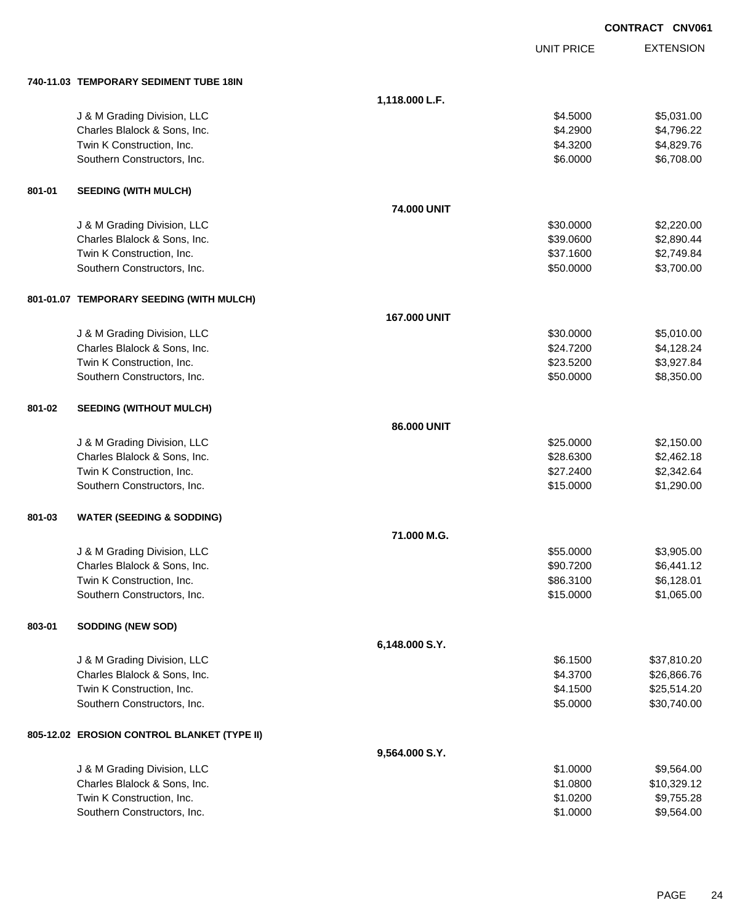|        |                                             |                    |                   | <b>CONTRACT CNV061</b> |
|--------|---------------------------------------------|--------------------|-------------------|------------------------|
|        |                                             |                    | <b>UNIT PRICE</b> | <b>EXTENSION</b>       |
|        | 740-11.03 TEMPORARY SEDIMENT TUBE 18IN      |                    |                   |                        |
|        |                                             | 1,118.000 L.F.     |                   |                        |
|        | J & M Grading Division, LLC                 |                    | \$4.5000          | \$5,031.00             |
|        | Charles Blalock & Sons, Inc.                |                    | \$4.2900          | \$4,796.22             |
|        | Twin K Construction, Inc.                   |                    | \$4.3200          | \$4,829.76             |
|        | Southern Constructors, Inc.                 |                    | \$6.0000          | \$6,708.00             |
| 801-01 | <b>SEEDING (WITH MULCH)</b>                 |                    |                   |                        |
|        |                                             | <b>74,000 UNIT</b> |                   |                        |
|        | J & M Grading Division, LLC                 |                    | \$30.0000         | \$2,220.00             |
|        | Charles Blalock & Sons, Inc.                |                    | \$39.0600         | \$2,890.44             |
|        | Twin K Construction, Inc.                   |                    | \$37.1600         | \$2,749.84             |
|        | Southern Constructors, Inc.                 |                    | \$50.0000         | \$3,700.00             |
|        | 801-01.07 TEMPORARY SEEDING (WITH MULCH)    |                    |                   |                        |
|        |                                             | 167.000 UNIT       |                   |                        |
|        | J & M Grading Division, LLC                 |                    | \$30.0000         | \$5,010.00             |
|        | Charles Blalock & Sons, Inc.                |                    | \$24.7200         | \$4,128.24             |
|        | Twin K Construction, Inc.                   |                    | \$23.5200         | \$3,927.84             |
|        | Southern Constructors, Inc.                 |                    | \$50.0000         | \$8,350.00             |
| 801-02 | <b>SEEDING (WITHOUT MULCH)</b>              |                    |                   |                        |
|        |                                             | 86.000 UNIT        |                   |                        |
|        | J & M Grading Division, LLC                 |                    | \$25.0000         | \$2,150.00             |
|        | Charles Blalock & Sons, Inc.                |                    | \$28.6300         | \$2,462.18             |
|        | Twin K Construction, Inc.                   |                    | \$27.2400         | \$2,342.64             |
|        | Southern Constructors, Inc.                 |                    | \$15.0000         | \$1,290.00             |
| 801-03 | <b>WATER (SEEDING &amp; SODDING)</b>        |                    |                   |                        |
|        |                                             | 71.000 M.G.        |                   |                        |
|        | J & M Grading Division, LLC                 |                    | \$55.0000         | \$3,905.00             |
|        | Charles Blalock & Sons, Inc.                |                    | \$90.7200         | \$6,441.12             |
|        | Twin K Construction, Inc.                   |                    | \$86.3100         | \$6,128.01             |
|        | Southern Constructors, Inc.                 |                    | \$15.0000         | \$1,065.00             |
| 803-01 | <b>SODDING (NEW SOD)</b>                    |                    |                   |                        |
|        |                                             | 6,148.000 S.Y.     |                   |                        |
|        | J & M Grading Division, LLC                 |                    | \$6.1500          | \$37,810.20            |
|        | Charles Blalock & Sons, Inc.                |                    | \$4.3700          | \$26,866.76            |
|        | Twin K Construction, Inc.                   |                    | \$4.1500          | \$25,514.20            |
|        | Southern Constructors, Inc.                 |                    | \$5.0000          | \$30,740.00            |
|        | 805-12.02 EROSION CONTROL BLANKET (TYPE II) |                    |                   |                        |
|        |                                             | 9,564.000 S.Y.     |                   |                        |
|        | J & M Grading Division, LLC                 |                    | \$1.0000          | \$9,564.00             |
|        | Charles Blalock & Sons, Inc.                |                    | \$1.0800          | \$10,329.12            |
|        | Twin K Construction, Inc.                   |                    | \$1.0200          | \$9,755.28             |
|        | Southern Constructors, Inc.                 |                    | \$1.0000          | \$9,564.00             |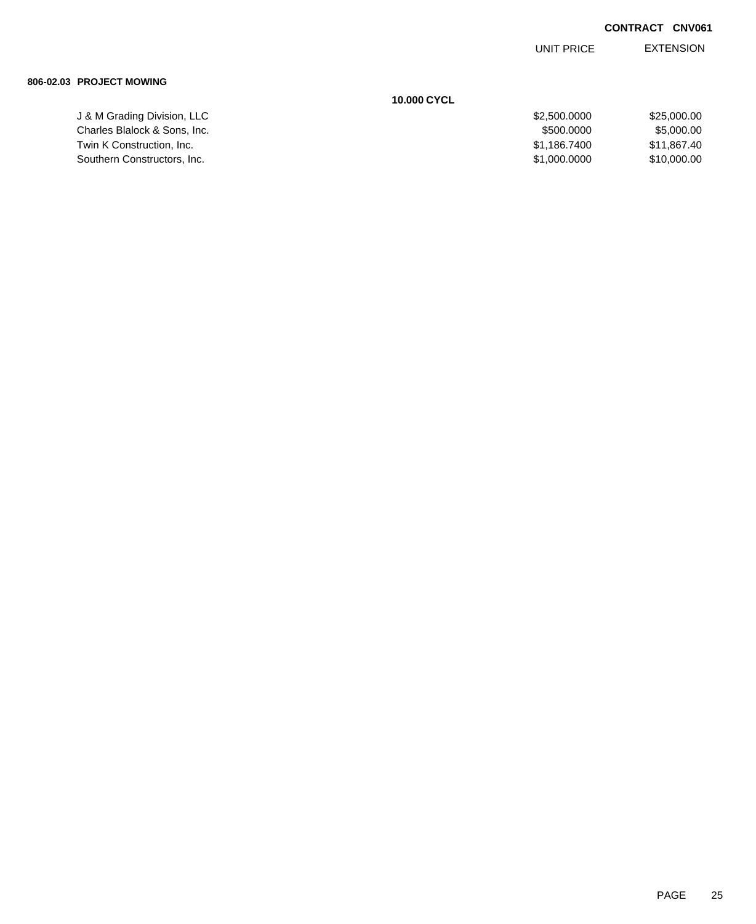EXTENSION UNIT PRICE

#### **806-02.03 PROJECT MOWING**

|                              | <b>10.000 CYCL</b> |             |
|------------------------------|--------------------|-------------|
| J & M Grading Division, LLC  | \$2,500,0000       | \$25,000.00 |
| Charles Blalock & Sons, Inc. | \$500,0000         | \$5,000,00  |
| Twin K Construction, Inc.    | \$1.186.7400       | \$11.867.40 |
| Southern Constructors, Inc.  | \$1,000,0000       | \$10,000,00 |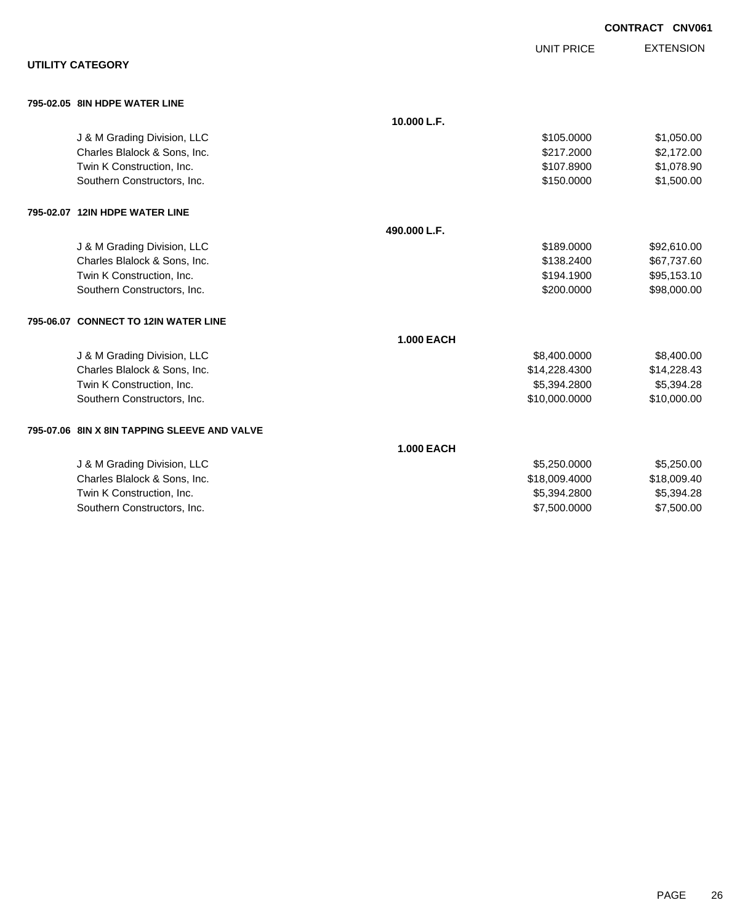|                                              |                   |                   | <b>CONTRACT CNV061</b> |  |
|----------------------------------------------|-------------------|-------------------|------------------------|--|
|                                              |                   | <b>UNIT PRICE</b> | <b>EXTENSION</b>       |  |
| <b>UTILITY CATEGORY</b>                      |                   |                   |                        |  |
| 795-02.05 8IN HDPE WATER LINE                |                   |                   |                        |  |
|                                              | 10.000 L.F.       |                   |                        |  |
| J & M Grading Division, LLC                  |                   | \$105.0000        | \$1,050.00             |  |
| Charles Blalock & Sons, Inc.                 |                   | \$217.2000        | \$2,172.00             |  |
| Twin K Construction, Inc.                    |                   | \$107.8900        | \$1,078.90             |  |
| Southern Constructors, Inc.                  |                   | \$150.0000        | \$1,500.00             |  |
| 795-02.07 12IN HDPE WATER LINE               |                   |                   |                        |  |
|                                              | 490,000 L.F.      |                   |                        |  |
| J & M Grading Division, LLC                  |                   | \$189,0000        | \$92,610.00            |  |
| Charles Blalock & Sons, Inc.                 |                   | \$138.2400        | \$67,737.60            |  |
| Twin K Construction, Inc.                    |                   | \$194.1900        | \$95,153.10            |  |
| Southern Constructors, Inc.                  |                   | \$200.0000        | \$98,000.00            |  |
| 795-06.07 CONNECT TO 12IN WATER LINE         |                   |                   |                        |  |
|                                              | <b>1.000 EACH</b> |                   |                        |  |
| J & M Grading Division, LLC                  |                   | \$8,400.0000      | \$8,400.00             |  |
| Charles Blalock & Sons, Inc.                 |                   | \$14,228.4300     | \$14,228.43            |  |
| Twin K Construction, Inc.                    |                   | \$5,394.2800      | \$5,394.28             |  |
| Southern Constructors, Inc.                  |                   | \$10,000.0000     | \$10,000.00            |  |
| 795-07.06 8IN X 8IN TAPPING SLEEVE AND VALVE |                   |                   |                        |  |
|                                              | <b>1.000 EACH</b> |                   |                        |  |
| J & M Grading Division, LLC                  |                   | \$5,250.0000      | \$5,250.00             |  |
| Charles Blalock & Sons, Inc.                 |                   | \$18,009.4000     | \$18,009.40            |  |
| Twin K Construction, Inc.                    |                   | \$5,394.2800      | \$5,394.28             |  |
| Southern Constructors, Inc.                  |                   | \$7,500.0000      | \$7,500.00             |  |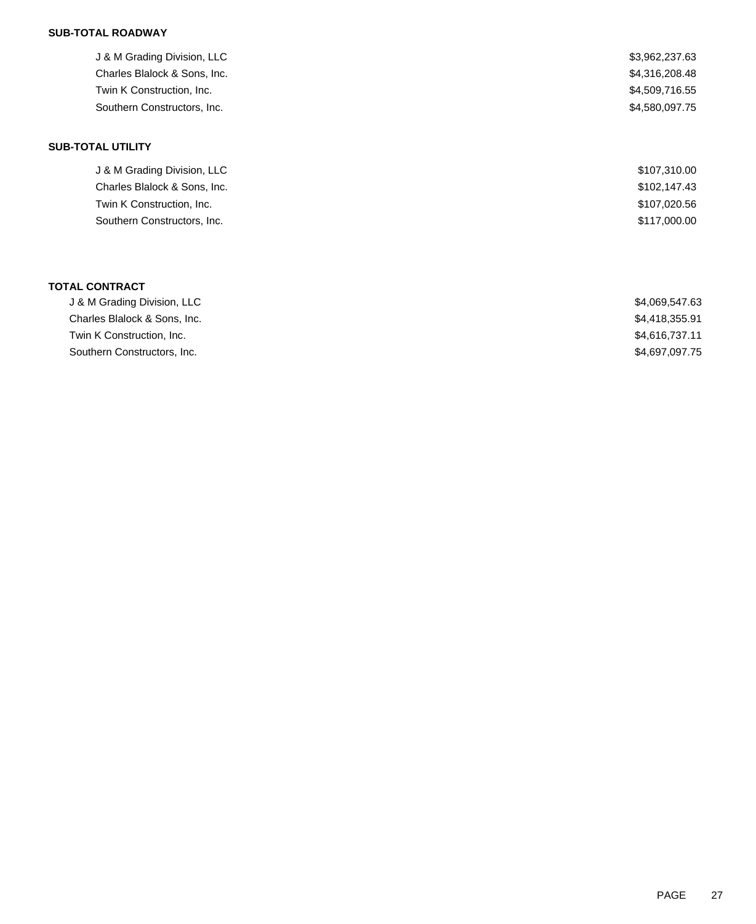### **SUB-TOTAL ROADWAY**

| J & M Grading Division, LLC  | \$3,962,237.63 |
|------------------------------|----------------|
| Charles Blalock & Sons, Inc. | \$4,316,208.48 |
| Twin K Construction, Inc.    | \$4,509,716.55 |
| Southern Constructors, Inc.  | \$4,580,097.75 |
| <b>SUB-TOTAL UTILITY</b>     |                |
| J & M Grading Division, LLC  | \$107,310.00   |
| Charles Blalock & Sons, Inc. | \$102,147.43   |
| Twin K Construction, Inc.    | \$107,020.56   |
| Southern Constructors, Inc.  | \$117,000.00   |
|                              |                |
| <b>TOTAL CONTRACT</b>        |                |
| J & M Grading Division, LLC  | \$4,069,547.63 |

| J & M Grading Division, LLC  | \$4.069.547.63 |
|------------------------------|----------------|
| Charles Blalock & Sons. Inc. | \$4.418.355.91 |
| Twin K Construction, Inc.    | \$4,616,737.11 |
| Southern Constructors, Inc.  | \$4,697,097.75 |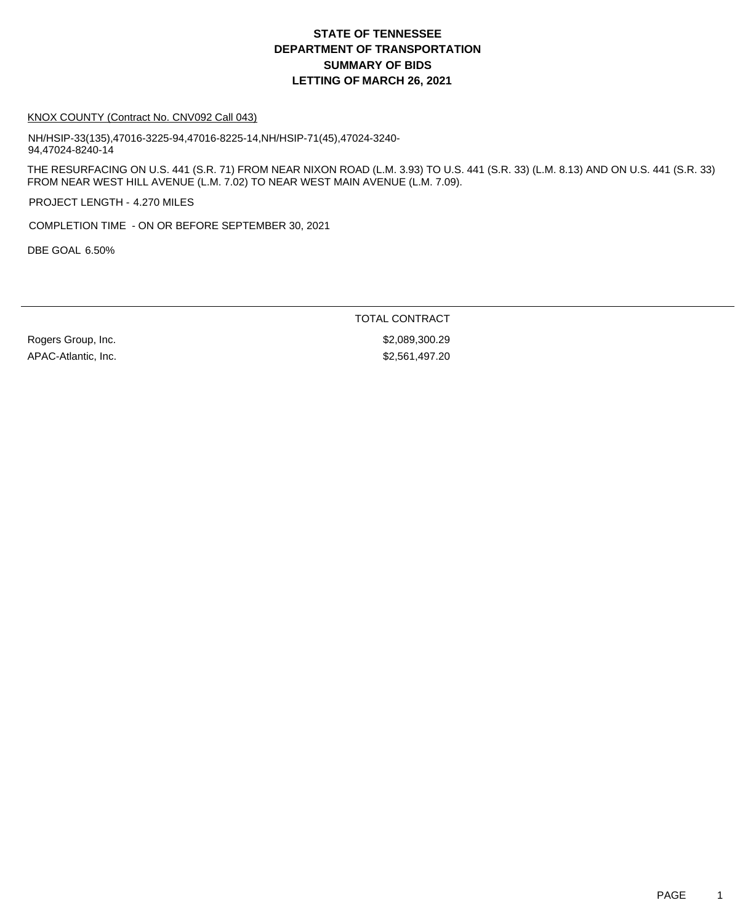# **DEPARTMENT OF TRANSPORTATION SUMMARY OF BIDS LETTING OF MARCH 26, 2021 STATE OF TENNESSEE**

#### KNOX COUNTY (Contract No. CNV092 Call 043)

NH/HSIP-33(135),47016-3225-94,47016-8225-14,NH/HSIP-71(45),47024-3240- 94,47024-8240-14

THE RESURFACING ON U.S. 441 (S.R. 71) FROM NEAR NIXON ROAD (L.M. 3.93) TO U.S. 441 (S.R. 33) (L.M. 8.13) AND ON U.S. 441 (S.R. 33) FROM NEAR WEST HILL AVENUE (L.M. 7.02) TO NEAR WEST MAIN AVENUE (L.M. 7.09).

PROJECT LENGTH - 4.270 MILES

COMPLETION TIME - ON OR BEFORE SEPTEMBER 30, 2021

DBE GOAL 6.50%

TOTAL CONTRACT

APAC-Atlantic, Inc. 62,561,497.20

Rogers Group, Inc. 6. 2008. The State of the Second State of the Second State of Second State of Second State S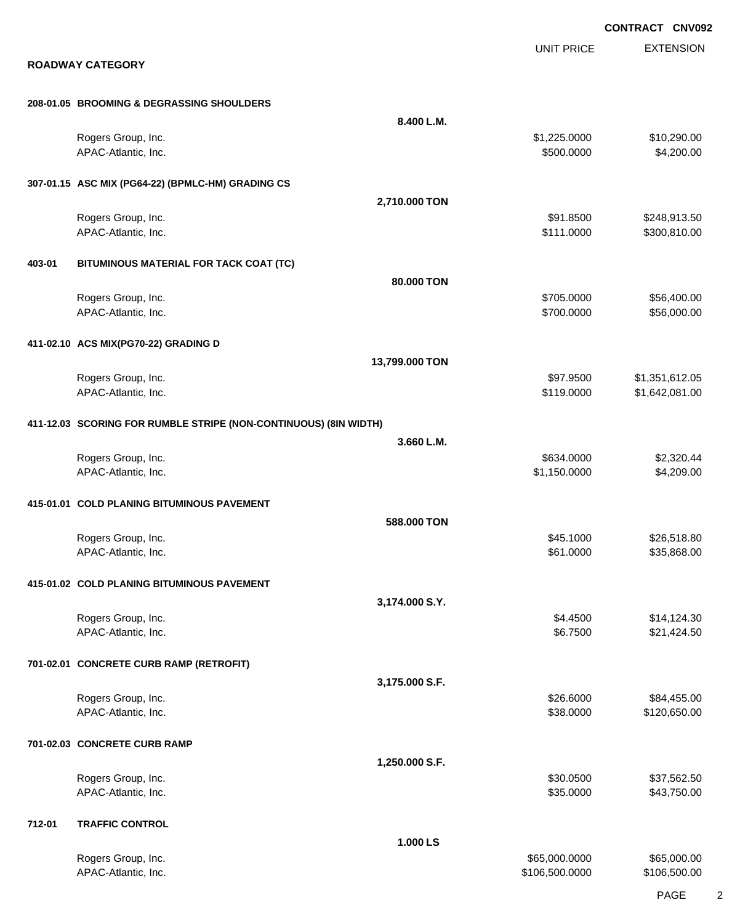EXTENSION **CONTRACT CNV092** UNIT PRICE **ROADWAY CATEGORY 208-01.05 BROOMING & DEGRASSING SHOULDERS 8.400 L.M.** Rogers Group, Inc. \$1,225.0000 \$1,225.0000 \$10,290.00 APAC-Atlantic, Inc. \$500.000 \$4,200.00 **307-01.15 ASC MIX (PG64-22) (BPMLC-HM) GRADING CS 2,710.000 TON** Rogers Group, Inc. \$91.8500 \$248,913.50 APAC-Atlantic, Inc. \$11.0000 \$300,810.00 **403-01 BITUMINOUS MATERIAL FOR TACK COAT (TC) 80.000 TON** Rogers Group, Inc. \$56,400.00 \$56,400.00 \$56,400.00 \$56,400.00 APAC-Atlantic, Inc. \$56,000.00 \$56,000.00 \$56,000.00 \$56,000.00 \$56,000.00 \$56,000.00 \$56,000.00 \$56,000.00 \$56,000 **411-02.10 ACS MIX(PG70-22) GRADING D 13,799.000 TON** Rogers Group, Inc. \$97.9500 \$1,351,612.05 APAC-Atlantic, Inc. \$1,642,081.00 \$1,642,081.00 **411-12.03 SCORING FOR RUMBLE STRIPE (NON-CONTINUOUS) (8IN WIDTH) 3.660 L.M.** Rogers Group, Inc. \$634.0000 \$2,320.44 APAC-Atlantic, Inc. \$1,209.00 \$4,209.00 \$4,209.00 \$4,209.00 \$4,209.00 \$4,209.00 \$4,209.00 \$4,209.00 \$4,209.00 \$4,209.00 \$4,209.00 \$4,209.00 \$4,209.00 \$4,209.00 \$4,209.00 \$4,209.00 \$4,209.00 \$4,209.00 \$4,209.00 \$4,209.00 \$4 **415-01.01 COLD PLANING BITUMINOUS PAVEMENT 588.000 TON** Rogers Group, Inc. \$26,518.80 \$26,518.80 APAC-Atlantic, Inc. \$61.0000 \$35,868.00 **415-01.02 COLD PLANING BITUMINOUS PAVEMENT 3,174.000 S.Y.** Rogers Group, Inc. \$14,124.30 APAC-Atlantic, Inc. \$21,424.50 **701-02.01 CONCRETE CURB RAMP (RETROFIT) 3,175.000 S.F.** Rogers Group, Inc. \$26.6000 \$84,455.00 APAC-Atlantic, Inc. \$38.0000 \$120,650.00 **701-02.03 CONCRETE CURB RAMP 1,250.000 S.F.** Rogers Group, Inc. \$37,562.50 APAC-Atlantic, Inc. \$35.000 \$43,750.00 **712-01 TRAFFIC CONTROL 1.000 LS** Rogers Group, Inc. \$65,000.000 \$65,000.000 \$65,000.000 \$65,000.000 \$65,000.000 \$65,000.00 APAC-Atlantic, Inc. \$106,500.000 \$106,500.000 \$106,500.000 \$106,500.000 \$106,500.000 \$106,500.00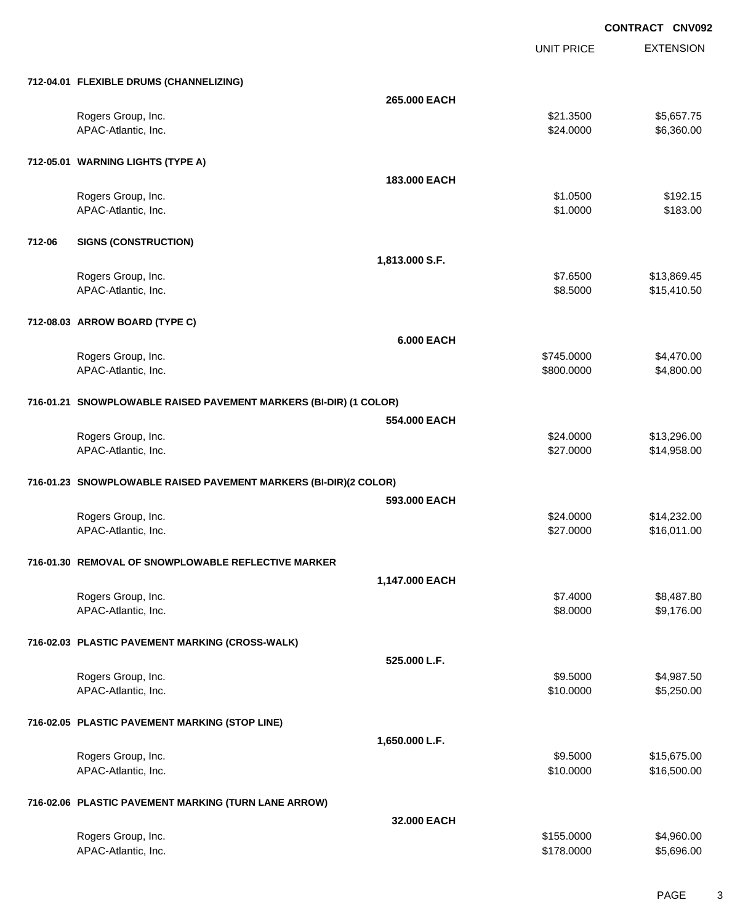UNIT PRICE

|        | 712-04.01 FLEXIBLE DRUMS (CHANNELIZING)                           |                   |                      |                            |
|--------|-------------------------------------------------------------------|-------------------|----------------------|----------------------------|
|        |                                                                   | 265.000 EACH      |                      |                            |
|        | Rogers Group, Inc.                                                |                   | \$21.3500            | \$5,657.75                 |
|        | APAC-Atlantic, Inc.                                               |                   | \$24.0000            | \$6,360.00                 |
|        |                                                                   |                   |                      |                            |
|        | 712-05.01 WARNING LIGHTS (TYPE A)                                 |                   |                      |                            |
|        |                                                                   | 183.000 EACH      |                      |                            |
|        | Rogers Group, Inc.                                                |                   | \$1.0500             | \$192.15                   |
|        | APAC-Atlantic, Inc.                                               |                   | \$1.0000             | \$183.00                   |
| 712-06 | <b>SIGNS (CONSTRUCTION)</b>                                       |                   |                      |                            |
|        |                                                                   |                   |                      |                            |
|        |                                                                   | 1,813.000 S.F.    |                      |                            |
|        | Rogers Group, Inc.<br>APAC-Atlantic, Inc.                         |                   | \$7.6500<br>\$8.5000 | \$13,869.45<br>\$15,410.50 |
|        |                                                                   |                   |                      |                            |
|        | 712-08.03 ARROW BOARD (TYPE C)                                    |                   |                      |                            |
|        |                                                                   | <b>6.000 EACH</b> |                      |                            |
|        | Rogers Group, Inc.                                                |                   | \$745.0000           | \$4,470.00                 |
|        | APAC-Atlantic, Inc.                                               |                   | \$800.0000           | \$4,800.00                 |
|        |                                                                   |                   |                      |                            |
|        | 716-01.21 SNOWPLOWABLE RAISED PAVEMENT MARKERS (BI-DIR) (1 COLOR) |                   |                      |                            |
|        |                                                                   | 554.000 EACH      |                      |                            |
|        | Rogers Group, Inc.                                                |                   | \$24.0000            | \$13,296.00                |
|        | APAC-Atlantic, Inc.                                               |                   | \$27.0000            | \$14,958.00                |
|        |                                                                   |                   |                      |                            |
|        | 716-01.23 SNOWPLOWABLE RAISED PAVEMENT MARKERS (BI-DIR)(2 COLOR)  |                   |                      |                            |
|        |                                                                   | 593,000 EACH      |                      |                            |
|        | Rogers Group, Inc.                                                |                   | \$24.0000            | \$14,232.00                |
|        | APAC-Atlantic, Inc.                                               |                   | \$27.0000            | \$16,011.00                |
|        | 716-01.30 REMOVAL OF SNOWPLOWABLE REFLECTIVE MARKER               |                   |                      |                            |
|        |                                                                   | 1,147.000 EACH    |                      |                            |
|        | Rogers Group, Inc.                                                |                   | \$7.4000             |                            |
|        | APAC-Atlantic, Inc.                                               |                   | \$8.0000             | \$8,487.80<br>\$9,176.00   |
|        |                                                                   |                   |                      |                            |
|        | 716-02.03 PLASTIC PAVEMENT MARKING (CROSS-WALK)                   |                   |                      |                            |
|        |                                                                   | 525.000 L.F.      |                      |                            |
|        | Rogers Group, Inc.                                                |                   | \$9.5000             | \$4,987.50                 |
|        | APAC-Atlantic, Inc.                                               |                   | \$10.0000            | \$5,250.00                 |
|        |                                                                   |                   |                      |                            |
|        | 716-02.05 PLASTIC PAVEMENT MARKING (STOP LINE)                    |                   |                      |                            |
|        |                                                                   | 1,650.000 L.F.    |                      |                            |
|        | Rogers Group, Inc.                                                |                   | \$9.5000             | \$15,675.00                |
|        | APAC-Atlantic, Inc.                                               |                   | \$10.0000            | \$16,500.00                |
|        |                                                                   |                   |                      |                            |
|        | 716-02.06 PLASTIC PAVEMENT MARKING (TURN LANE ARROW)              |                   |                      |                            |
|        |                                                                   | 32.000 EACH       |                      |                            |
|        | Rogers Group, Inc.                                                |                   | \$155.0000           | \$4,960.00                 |
|        | APAC-Atlantic, Inc.                                               |                   | \$178.0000           | \$5,696.00                 |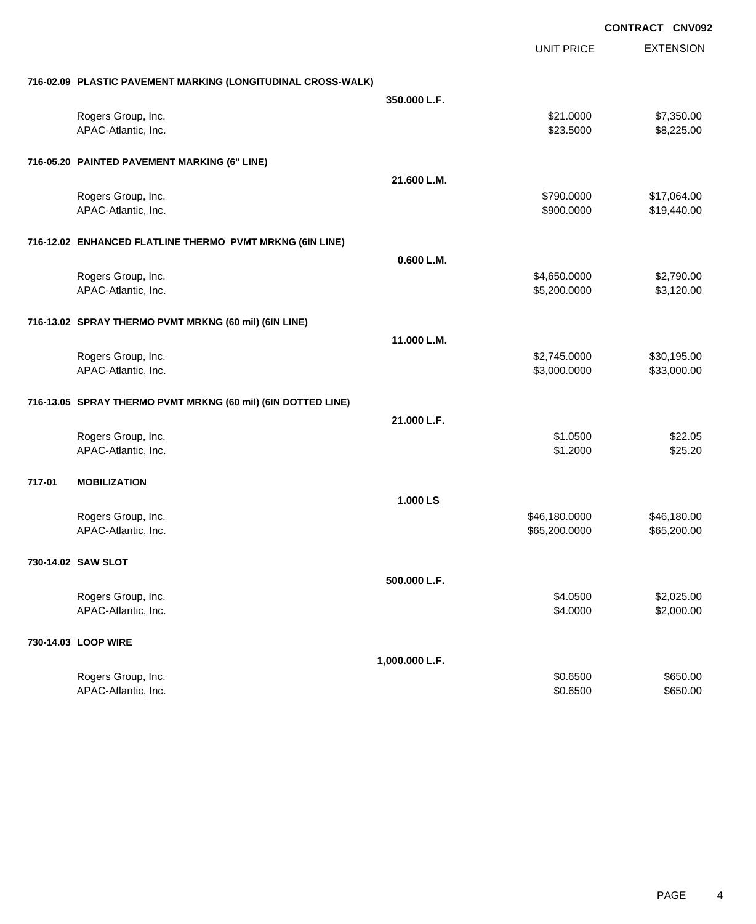**EXTENSION CONTRACT CNV092** UNIT PRICE **716-02.09 PLASTIC PAVEMENT MARKING (LONGITUDINAL CROSS-WALK) 350.000 L.F.** Rogers Group, Inc. \$21.0000 \$7,350.00 APAC-Atlantic, Inc. \$23.5000 \$8,225.00 **716-05.20 PAINTED PAVEMENT MARKING (6" LINE) 21.600 L.M.** Rogers Group, Inc. \$17,064.00 APAC-Atlantic, Inc. \$19,440.00 \$19,440.00 \$19,440.00 \$19,440.00 \$19,440.00 \$19,440.00 \$19,440.00 \$19,440.00 \$1 **716-12.02 ENHANCED FLATLINE THERMO PVMT MRKNG (6IN LINE) 0.600 L.M.** Rogers Group, Inc. \$4,650.0000 \$2,790.00 APAC-Atlantic, Inc. \$5,200.000 \$3,120.00 **716-13.02 SPRAY THERMO PVMT MRKNG (60 mil) (6IN LINE) 11.000 L.M.** Rogers Group, Inc. \$2,745.0000 \$30,195.00 APAC-Atlantic, Inc. \$3,000.000 \$3,000.000 \$3,000.000 \$3,000.000 \$3,000.000 \$3,000.00 **716-13.05 SPRAY THERMO PVMT MRKNG (60 mil) (6IN DOTTED LINE) 21.000 L.F.** Rogers Group, Inc. \$22.05 APAC-Atlantic, Inc. \$1.2000 \$25.20 **717-01 MOBILIZATION 1.000 LS** Rogers Group, Inc. \$46,180.000 \$46,180.000 \$46,180.000 \$46,180.000 \$46,180.000 \$46,180.00 APAC-Atlantic, Inc. \$65,200.000 \$65,200.000 \$65,200.000 \$65,200.000 \$65,200.000 \$65,200.00 **730-14.02 SAW SLOT 500.000 L.F.** Rogers Group, Inc. \$2,025.00 \$2,025.00 \$2,025.00 \$2,025.00 \$2,025.00 \$2,025.00 \$2,025.00 \$2,025.00 \$2,025.00 \$2,025.00 \$2,025.00 \$2,025.00 \$2,025.00 \$2,025.00 \$2,025.00 \$2,025.00 \$2,025.00 \$2,025.00 \$2,025.00 \$2,025.00 \$2, APAC-Atlantic, Inc. \$2,000.00 \$2,000.00 \$2,000.00 \$2,000.00 \$2,000.00 \$2,000.00 \$2,000.00 \$2,000.00 \$2,000.00 \$2,000.00 \$2,000.00 \$2,000.00 \$2,000.00 \$2,000.00 \$2,000.00 \$2,000.00 \$2,000.00 \$2,000.00 \$2,000.00 \$2,000.00 \$2 **730-14.03 LOOP WIRE 1,000.000 L.F.** Rogers Group, Inc. \$650.00 \$650.00 \$650.00 \$650.00 \$650.00 \$650.00 \$650.00 \$650.00 \$650.00 \$650.00 \$650.00 \$650 APAC-Atlantic, Inc. \$650.00 \$650.00 \$650.00 \$650.00 \$650.00 \$650.00 \$650.00 \$650.00 \$650.00 \$650.00 \$650.00 \$650.00 \$650.00 \$650.00 \$650.00 \$650.00 \$650.00 \$650.00 \$650.00 \$650.00 \$650.00 \$650.00 \$650.00 \$650.00 \$650.00 \$6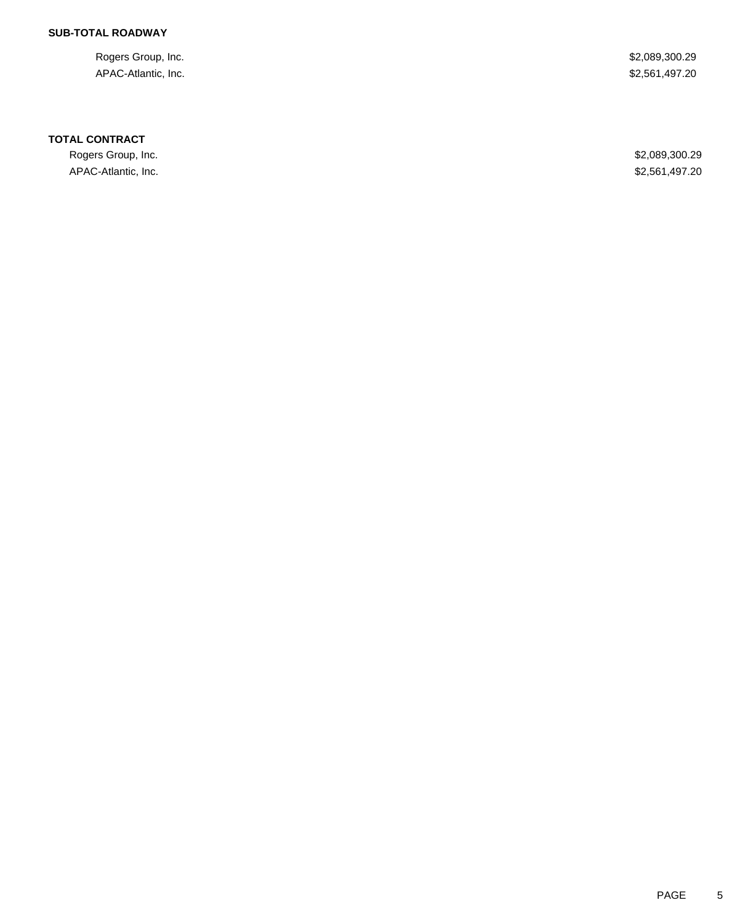### **SUB-TOTAL ROADWAY**

Rogers Group, Inc. \$2,089,300.29 APAC-Atlantic, Inc. \$2,561,497.20

#### **TOTAL CONTRACT**

Rogers Group, Inc. \$2,089,300.29 APAC-Atlantic, Inc. \$2,561,497.20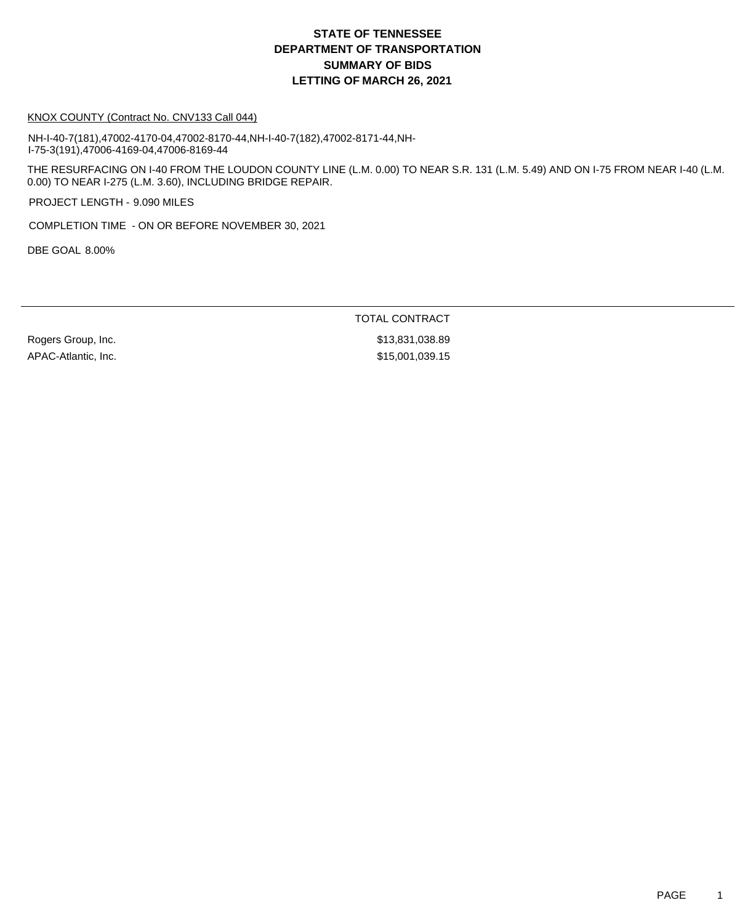# **DEPARTMENT OF TRANSPORTATION SUMMARY OF BIDS LETTING OF MARCH 26, 2021 STATE OF TENNESSEE**

#### KNOX COUNTY (Contract No. CNV133 Call 044)

NH-I-40-7(181),47002-4170-04,47002-8170-44,NH-I-40-7(182),47002-8171-44,NH-I-75-3(191),47006-4169-04,47006-8169-44

THE RESURFACING ON I-40 FROM THE LOUDON COUNTY LINE (L.M. 0.00) TO NEAR S.R. 131 (L.M. 5.49) AND ON I-75 FROM NEAR I-40 (L.M. 0.00) TO NEAR I-275 (L.M. 3.60), INCLUDING BRIDGE REPAIR.

PROJECT LENGTH - 9.090 MILES

COMPLETION TIME - ON OR BEFORE NOVEMBER 30, 2021

DBE GOAL 8.00%

TOTAL CONTRACT

APAC-Atlantic, Inc. 6. 2010 12:30 12:30 12:30 12:30 12:30 12:30 12:30 12:30 12:30 12:30 12:30 12:30 12:30 12:30

Rogers Group, Inc. 6. 2010 12:30 13:30:31 1038.89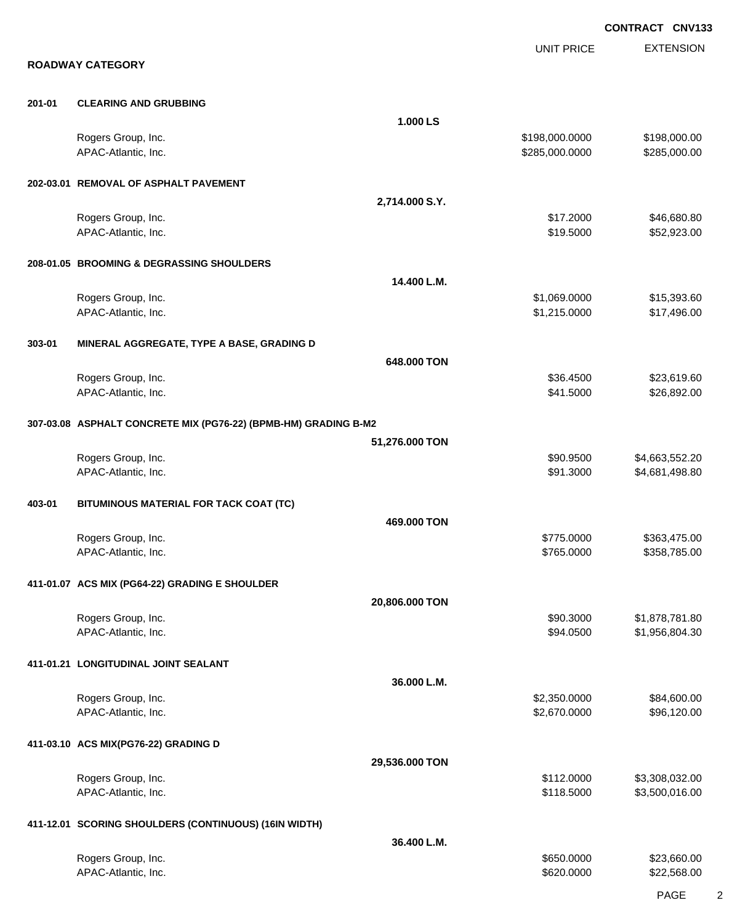EXTENSION **CONTRACT CNV133** UNIT PRICE **ROADWAY CATEGORY 201-01 CLEARING AND GRUBBING 1.000 LS** Rogers Group, Inc. 6. 2012. The State of the State of the State of the State of State of State of State of State of State of State of State of State of State of State of State of State of State of State of State of State o APAC-Atlantic, Inc. 6. 285,000.000 \$285,000.000 \$285,000.000 \$285,000.000 \$285,000.000 \$285,000.00 **202-03.01 REMOVAL OF ASPHALT PAVEMENT 2,714.000 S.Y.** Rogers Group, Inc. \$16,680.80 APAC-Atlantic, Inc. \$19.5000 \$52,923.00 **208-01.05 BROOMING & DEGRASSING SHOULDERS 14.400 L.M.** Rogers Group, Inc. \$15,393.60 APAC-Atlantic, Inc. \$1,215.0000 \$1,215.0000 \$17,496.00 **303-01 MINERAL AGGREGATE, TYPE A BASE, GRADING D 648.000 TON** Rogers Group, Inc. \$36.4500 \$23,619.60 APAC-Atlantic, Inc. \$26,892.00 \$26,892.00 \$26,892.00 \$26,892.00 \$26,892.00 \$26,892.00 **307-03.08 ASPHALT CONCRETE MIX (PG76-22) (BPMB-HM) GRADING B-M2 51,276.000 TON** Rogers Group, Inc. \$90.9500 \$4,663,552.20 APAC-Atlantic, Inc. 6. 2011 19:30 12:3000 \$4,681,498.80 **403-01 BITUMINOUS MATERIAL FOR TACK COAT (TC) 469.000 TON** Rogers Group, Inc. \$363,475.000 \$363,475.000 \$363,475.000 \$363,475.000 \$363,475.000 \$363,475.00 APAC-Atlantic, Inc. 6. 2010. The state of the state of the state of the state of the state of the state of the state of the state of the state of the state of the state of the state of the state of the state of the state o **411-01.07 ACS MIX (PG64-22) GRADING E SHOULDER 20,806.000 TON** Rogers Group, Inc. \$90.3000 \$1,878,781.80 APAC-Atlantic, Inc. \$94.0500 \$1,956,804.30 **411-01.21 LONGITUDINAL JOINT SEALANT 36.000 L.M.** Rogers Group, Inc. \$2,350.0000 \$84,600.00 APAC-Atlantic, Inc. \$2,670.0000 \$96,120.00 **411-03.10 ACS MIX(PG76-22) GRADING D 29,536.000 TON** Rogers Group, Inc. \$112.0000 \$3,308,032.00 APAC-Atlantic, Inc. 6. 2010. The state of the state of the state of the state of the state of the state of the state of the state of the state of the state of the state of the state of the state of the state of the state o **411-12.01 SCORING SHOULDERS (CONTINUOUS) (16IN WIDTH) 36.400 L.M.** Rogers Group, Inc. \$23,660.00 \$23,660.00 \$23,660.00 \$23,660.00 \$23,660.00 \$23,660.00 \$23,660.00 APAC-Atlantic, Inc. \$620.000 \$22,568.00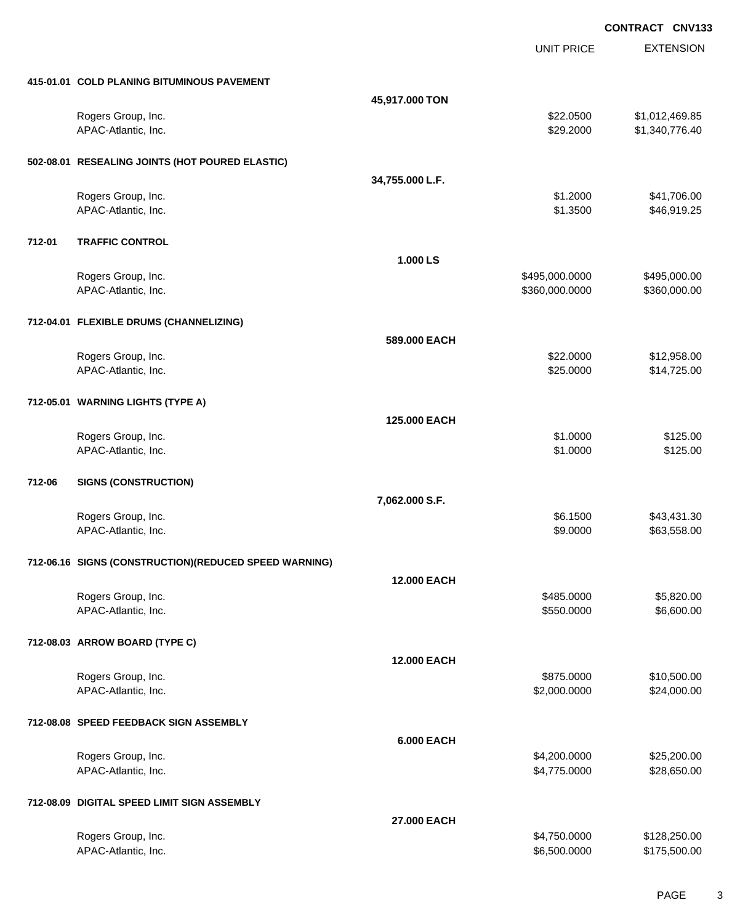UNIT PRICE

EXTENSION

**415-01.01 COLD PLANING BITUMINOUS PAVEMENT**

|        | 415-01.01 COLD PLANING BITUMINOUS PAVEMENT            |                    |                |                            |
|--------|-------------------------------------------------------|--------------------|----------------|----------------------------|
|        |                                                       | 45,917.000 TON     |                |                            |
|        | Rogers Group, Inc.                                    |                    | \$22.0500      | \$1,012,469.85             |
|        | APAC-Atlantic, Inc.                                   |                    | \$29.2000      | \$1,340,776.40             |
|        |                                                       |                    |                |                            |
|        | 502-08.01 RESEALING JOINTS (HOT POURED ELASTIC)       |                    |                |                            |
|        |                                                       | 34,755.000 L.F.    |                |                            |
|        |                                                       |                    |                |                            |
|        | Rogers Group, Inc.                                    |                    | \$1.2000       | \$41,706.00                |
|        | APAC-Atlantic, Inc.                                   |                    | \$1.3500       | \$46,919.25                |
| 712-01 | <b>TRAFFIC CONTROL</b>                                |                    |                |                            |
|        |                                                       |                    |                |                            |
|        |                                                       | 1.000 LS           |                |                            |
|        | Rogers Group, Inc.                                    |                    | \$495,000.0000 | \$495,000.00               |
|        | APAC-Atlantic, Inc.                                   |                    | \$360,000.0000 | \$360,000.00               |
|        | 712-04.01 FLEXIBLE DRUMS (CHANNELIZING)               |                    |                |                            |
|        |                                                       | 589.000 EACH       |                |                            |
|        |                                                       |                    |                |                            |
|        | Rogers Group, Inc.                                    |                    | \$22.0000      | \$12,958.00                |
|        | APAC-Atlantic, Inc.                                   |                    | \$25.0000      | \$14,725.00                |
|        | 712-05.01 WARNING LIGHTS (TYPE A)                     |                    |                |                            |
|        |                                                       |                    |                |                            |
|        |                                                       | 125.000 EACH       |                |                            |
|        | Rogers Group, Inc.                                    |                    | \$1.0000       | \$125.00                   |
|        | APAC-Atlantic, Inc.                                   |                    | \$1.0000       | \$125.00                   |
| 712-06 | <b>SIGNS (CONSTRUCTION)</b>                           |                    |                |                            |
|        |                                                       | 7,062.000 S.F.     |                |                            |
|        |                                                       |                    |                |                            |
|        | Rogers Group, Inc.                                    |                    | \$6.1500       | \$43,431.30                |
|        | APAC-Atlantic, Inc.                                   |                    | \$9.0000       | \$63,558.00                |
|        | 712-06.16 SIGNS (CONSTRUCTION)(REDUCED SPEED WARNING) |                    |                |                            |
|        |                                                       | <b>12.000 EACH</b> |                |                            |
|        |                                                       |                    |                |                            |
|        | Rogers Group, Inc.                                    |                    | \$485.0000     | \$5,820.00                 |
|        | APAC-Atlantic, Inc.                                   |                    | \$550.0000     | \$6,600.00                 |
|        | 712-08.03 ARROW BOARD (TYPE C)                        |                    |                |                            |
|        |                                                       | 12.000 EACH        |                |                            |
|        |                                                       |                    | \$875.0000     |                            |
|        | Rogers Group, Inc.<br>APAC-Atlantic, Inc.             |                    | \$2,000.0000   | \$10,500.00<br>\$24,000.00 |
|        |                                                       |                    |                |                            |
|        | 712-08.08 SPEED FEEDBACK SIGN ASSEMBLY                |                    |                |                            |
|        |                                                       | <b>6.000 EACH</b>  |                |                            |
|        | Rogers Group, Inc.                                    |                    | \$4,200.0000   | \$25,200.00                |
|        | APAC-Atlantic, Inc.                                   |                    | \$4,775.0000   | \$28,650.00                |
|        |                                                       |                    |                |                            |
|        | 712-08.09 DIGITAL SPEED LIMIT SIGN ASSEMBLY           |                    |                |                            |
|        |                                                       | 27.000 EACH        |                |                            |
|        | Rogers Group, Inc.                                    |                    | \$4,750.0000   | \$128,250.00               |
|        | APAC-Atlantic, Inc.                                   |                    | \$6,500.0000   | \$175,500.00               |
|        |                                                       |                    |                |                            |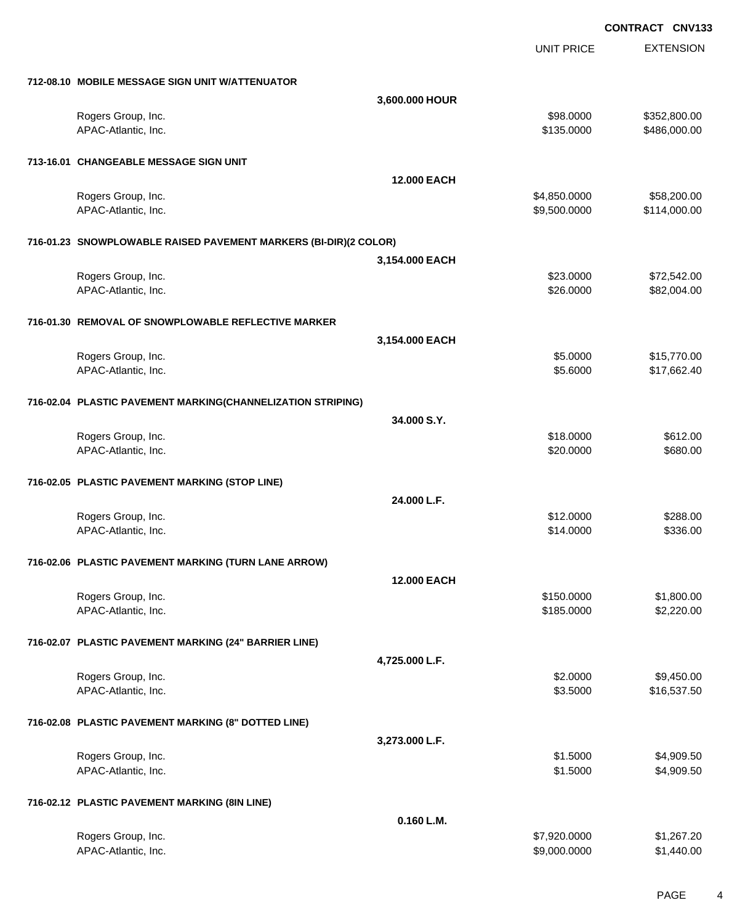|                                                                  |                    | UNIT PRICE   | <b>EXTENSION</b> |
|------------------------------------------------------------------|--------------------|--------------|------------------|
| 712-08.10 MOBILE MESSAGE SIGN UNIT W/ATTENUATOR                  |                    |              |                  |
|                                                                  | 3,600.000 HOUR     |              |                  |
|                                                                  |                    |              |                  |
| Rogers Group, Inc.                                               |                    | \$98.0000    | \$352,800.00     |
| APAC-Atlantic, Inc.                                              |                    | \$135.0000   | \$486,000.00     |
| 713-16.01 CHANGEABLE MESSAGE SIGN UNIT                           |                    |              |                  |
|                                                                  | <b>12.000 EACH</b> |              |                  |
| Rogers Group, Inc.                                               |                    | \$4,850.0000 | \$58,200.00      |
| APAC-Atlantic, Inc.                                              |                    | \$9,500.0000 | \$114,000.00     |
|                                                                  |                    |              |                  |
| 716-01.23 SNOWPLOWABLE RAISED PAVEMENT MARKERS (BI-DIR)(2 COLOR) |                    |              |                  |
|                                                                  | 3,154.000 EACH     |              |                  |
| Rogers Group, Inc.                                               |                    | \$23.0000    | \$72,542.00      |
| APAC-Atlantic, Inc.                                              |                    | \$26.0000    | \$82,004.00      |
| 716-01.30 REMOVAL OF SNOWPLOWABLE REFLECTIVE MARKER              |                    |              |                  |
|                                                                  | 3,154.000 EACH     |              |                  |
| Rogers Group, Inc.                                               |                    | \$5.0000     | \$15,770.00      |
| APAC-Atlantic, Inc.                                              |                    | \$5.6000     | \$17,662.40      |
|                                                                  |                    |              |                  |
| 716-02.04 PLASTIC PAVEMENT MARKING(CHANNELIZATION STRIPING)      |                    |              |                  |
|                                                                  | 34.000 S.Y.        |              |                  |
| Rogers Group, Inc.                                               |                    | \$18.0000    | \$612.00         |
| APAC-Atlantic, Inc.                                              |                    | \$20.0000    | \$680.00         |
| 716-02.05 PLASTIC PAVEMENT MARKING (STOP LINE)                   |                    |              |                  |
|                                                                  | 24.000 L.F.        |              |                  |
|                                                                  |                    |              |                  |
| Rogers Group, Inc.                                               |                    | \$12.0000    | \$288.00         |
| APAC-Atlantic, Inc.                                              |                    | \$14.0000    | \$336.00         |
| 716-02.06 PLASTIC PAVEMENT MARKING (TURN LANE ARROW)             |                    |              |                  |
|                                                                  | 12.000 EACH        |              |                  |
| Rogers Group, Inc.                                               |                    | \$150.0000   | \$1,800.00       |
| APAC-Atlantic, Inc.                                              |                    | \$185.0000   | \$2,220.00       |
| 716-02.07 PLASTIC PAVEMENT MARKING (24" BARRIER LINE)            |                    |              |                  |
|                                                                  | 4,725.000 L.F.     |              |                  |
| Rogers Group, Inc.                                               |                    | \$2.0000     | \$9,450.00       |
| APAC-Atlantic, Inc.                                              |                    | \$3.5000     |                  |
|                                                                  |                    |              | \$16,537.50      |
| 716-02.08 PLASTIC PAVEMENT MARKING (8" DOTTED LINE)              |                    |              |                  |
|                                                                  | 3,273.000 L.F.     |              |                  |
| Rogers Group, Inc.                                               |                    | \$1.5000     | \$4,909.50       |
| APAC-Atlantic, Inc.                                              |                    | \$1.5000     | \$4,909.50       |
|                                                                  |                    |              |                  |
| 716-02.12 PLASTIC PAVEMENT MARKING (8IN LINE)                    | 0.160 L.M.         |              |                  |
|                                                                  |                    |              |                  |
| Rogers Group, Inc.                                               |                    | \$7,920.0000 | \$1,267.20       |
| APAC-Atlantic, Inc.                                              |                    | \$9,000.0000 | \$1,440.00       |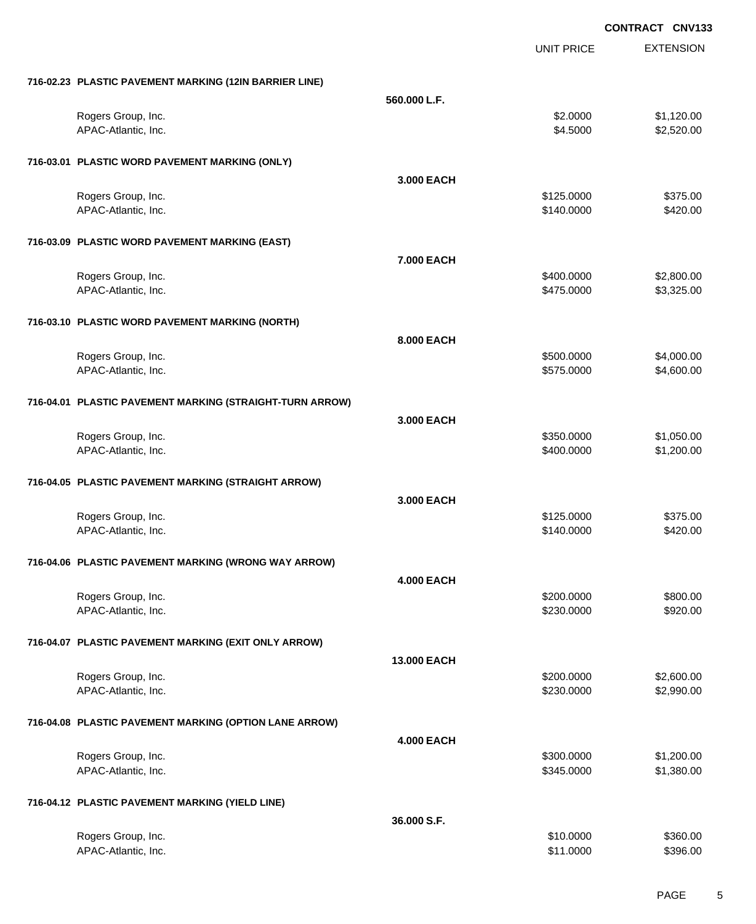|                                                          |                   | <b>UNIT PRICE</b>        | <b>EXTENSION</b>         |
|----------------------------------------------------------|-------------------|--------------------------|--------------------------|
| 716-02.23 PLASTIC PAVEMENT MARKING (12IN BARRIER LINE)   |                   |                          |                          |
|                                                          | 560.000 L.F.      |                          |                          |
| Rogers Group, Inc.                                       |                   | \$2.0000                 | \$1,120.00               |
| APAC-Atlantic, Inc.                                      |                   | \$4.5000                 | \$2,520.00               |
| 716-03.01 PLASTIC WORD PAVEMENT MARKING (ONLY)           |                   |                          |                          |
|                                                          | 3.000 EACH        |                          |                          |
| Rogers Group, Inc.                                       |                   | \$125.0000               | \$375.00                 |
| APAC-Atlantic, Inc.                                      |                   | \$140.0000               | \$420.00                 |
| 716-03.09 PLASTIC WORD PAVEMENT MARKING (EAST)           |                   |                          |                          |
|                                                          | 7.000 EACH        |                          |                          |
| Rogers Group, Inc.                                       |                   | \$400.0000               | \$2,800.00               |
| APAC-Atlantic, Inc.                                      |                   | \$475.0000               | \$3,325.00               |
| 716-03.10 PLASTIC WORD PAVEMENT MARKING (NORTH)          |                   |                          |                          |
|                                                          | 8.000 EACH        |                          |                          |
| Rogers Group, Inc.<br>APAC-Atlantic, Inc.                |                   | \$500.0000<br>\$575.0000 | \$4,000.00<br>\$4,600.00 |
|                                                          |                   |                          |                          |
| 716-04.01 PLASTIC PAVEMENT MARKING (STRAIGHT-TURN ARROW) |                   |                          |                          |
|                                                          | 3.000 EACH        |                          | \$1,050.00               |
| Rogers Group, Inc.<br>APAC-Atlantic, Inc.                |                   | \$350.0000<br>\$400.0000 | \$1,200.00               |
|                                                          |                   |                          |                          |
| 716-04.05 PLASTIC PAVEMENT MARKING (STRAIGHT ARROW)      |                   |                          |                          |
|                                                          | 3.000 EACH        |                          |                          |
| Rogers Group, Inc.                                       |                   | \$125.0000               | \$375.00                 |
| APAC-Atlantic, Inc.                                      |                   | \$140.0000               | \$420.00                 |
| 716-04.06 PLASTIC PAVEMENT MARKING (WRONG WAY ARROW)     |                   |                          |                          |
|                                                          | <b>4.000 EACH</b> |                          |                          |
| Rogers Group, Inc.                                       |                   | \$200.0000               | \$800.00                 |
| APAC-Atlantic, Inc.                                      |                   | \$230.0000               | \$920.00                 |
| 716-04.07 PLASTIC PAVEMENT MARKING (EXIT ONLY ARROW)     |                   |                          |                          |
|                                                          | 13.000 EACH       |                          |                          |
| Rogers Group, Inc.                                       |                   | \$200.0000<br>\$230.0000 | \$2,600.00<br>\$2,990.00 |
| APAC-Atlantic, Inc.                                      |                   |                          |                          |
| 716-04.08 PLASTIC PAVEMENT MARKING (OPTION LANE ARROW)   |                   |                          |                          |
|                                                          | <b>4.000 EACH</b> |                          |                          |
| Rogers Group, Inc.<br>APAC-Atlantic, Inc.                |                   | \$300.0000<br>\$345.0000 | \$1,200.00<br>\$1,380.00 |
|                                                          |                   |                          |                          |
| 716-04.12 PLASTIC PAVEMENT MARKING (YIELD LINE)          |                   |                          |                          |
|                                                          | 36.000 S.F.       |                          |                          |
| Rogers Group, Inc.<br>APAC-Atlantic, Inc.                |                   | \$10.0000<br>\$11.0000   | \$360.00<br>\$396.00     |
|                                                          |                   |                          |                          |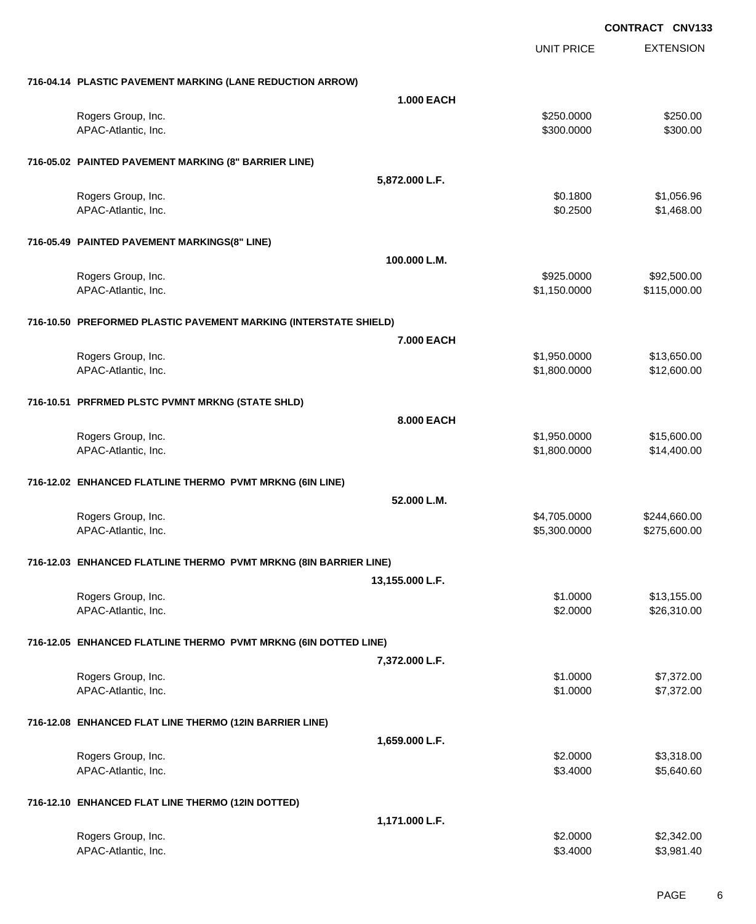|                                                                  |                   | <b>UNIT PRICE</b> | <b>EXTENSION</b> |
|------------------------------------------------------------------|-------------------|-------------------|------------------|
| 716-04.14 PLASTIC PAVEMENT MARKING (LANE REDUCTION ARROW)        |                   |                   |                  |
|                                                                  | <b>1.000 EACH</b> |                   |                  |
| Rogers Group, Inc.                                               |                   | \$250.0000        | \$250.00         |
| APAC-Atlantic, Inc.                                              |                   | \$300.0000        | \$300.00         |
| 716-05.02 PAINTED PAVEMENT MARKING (8" BARRIER LINE)             |                   |                   |                  |
|                                                                  | 5,872.000 L.F.    |                   |                  |
| Rogers Group, Inc.                                               |                   | \$0.1800          | \$1,056.96       |
| APAC-Atlantic, Inc.                                              |                   | \$0.2500          | \$1,468.00       |
| 716-05.49 PAINTED PAVEMENT MARKINGS(8" LINE)                     |                   |                   |                  |
|                                                                  | 100.000 L.M.      |                   |                  |
| Rogers Group, Inc.                                               |                   | \$925.0000        | \$92,500.00      |
| APAC-Atlantic, Inc.                                              |                   | \$1,150.0000      | \$115,000.00     |
| 716-10.50 PREFORMED PLASTIC PAVEMENT MARKING (INTERSTATE SHIELD) |                   |                   |                  |
|                                                                  | 7.000 EACH        |                   |                  |
| Rogers Group, Inc.                                               |                   | \$1,950.0000      | \$13,650.00      |
| APAC-Atlantic, Inc.                                              |                   | \$1,800.0000      | \$12,600.00      |
| 716-10.51 PRFRMED PLSTC PVMNT MRKNG (STATE SHLD)                 |                   |                   |                  |
|                                                                  | 8.000 EACH        |                   |                  |
| Rogers Group, Inc.                                               |                   | \$1,950.0000      | \$15,600.00      |
| APAC-Atlantic, Inc.                                              |                   | \$1,800.0000      | \$14,400.00      |
| 716-12.02 ENHANCED FLATLINE THERMO PVMT MRKNG (6IN LINE)         |                   |                   |                  |
|                                                                  | 52.000 L.M.       |                   |                  |
| Rogers Group, Inc.                                               |                   | \$4,705.0000      | \$244,660.00     |
| APAC-Atlantic, Inc.                                              |                   | \$5,300.0000      | \$275,600.00     |
| 716-12.03 ENHANCED FLATLINE THERMO PVMT MRKNG (8IN BARRIER LINE) |                   |                   |                  |
|                                                                  | 13,155.000 L.F.   |                   |                  |
| Rogers Group, Inc.                                               |                   | \$1.0000          | \$13,155.00      |
| APAC-Atlantic, Inc.                                              |                   | \$2.0000          | \$26,310.00      |
| 716-12.05 ENHANCED FLATLINE THERMO PVMT MRKNG (6IN DOTTED LINE)  |                   |                   |                  |
|                                                                  | 7,372.000 L.F.    |                   |                  |
| Rogers Group, Inc.                                               |                   | \$1.0000          | \$7,372.00       |
| APAC-Atlantic, Inc.                                              |                   | \$1.0000          | \$7,372.00       |
| 716-12.08 ENHANCED FLAT LINE THERMO (12IN BARRIER LINE)          |                   |                   |                  |
|                                                                  | 1,659.000 L.F.    |                   |                  |
| Rogers Group, Inc.                                               |                   | \$2.0000          | \$3,318.00       |
| APAC-Atlantic, Inc.                                              |                   | \$3.4000          | \$5,640.60       |
| 716-12.10 ENHANCED FLAT LINE THERMO (12IN DOTTED)                |                   |                   |                  |
|                                                                  | 1,171.000 L.F.    |                   |                  |
| Rogers Group, Inc.                                               |                   | \$2.0000          | \$2,342.00       |
| APAC-Atlantic, Inc.                                              |                   | \$3.4000          | \$3,981.40       |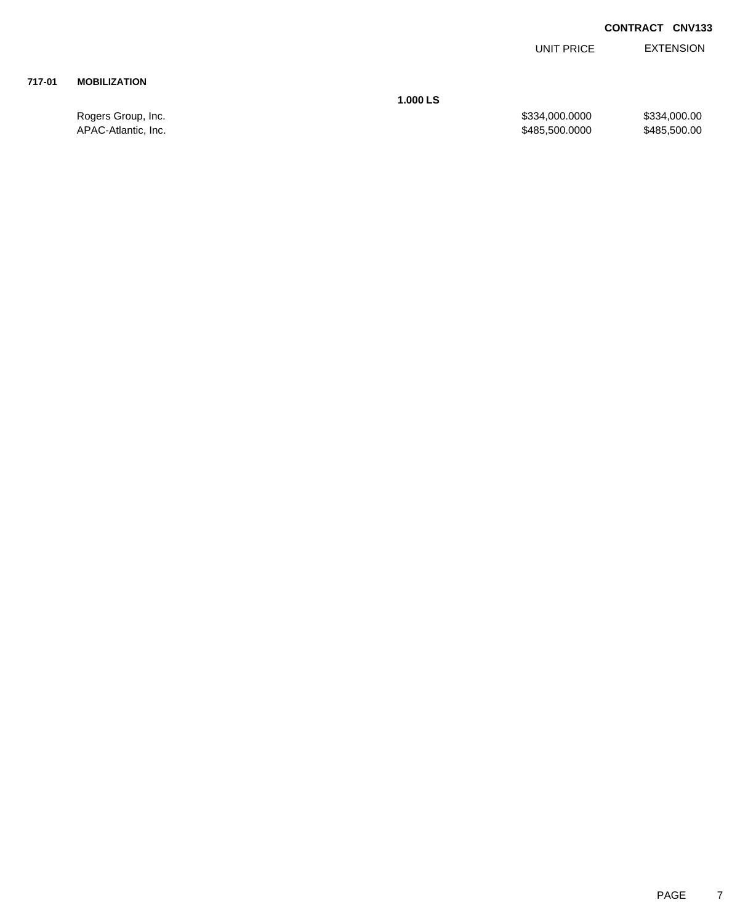EXTENSION UNIT PRICE

# **717-01 MOBILIZATION**

**1.000 LS**

Rogers Group, Inc. \$334,000.000 \$334,000.000 \$334,000.000 \$334,000.000 APAC-Atlantic, Inc. \$485,500.000 \$485,500.000 \$485,500.000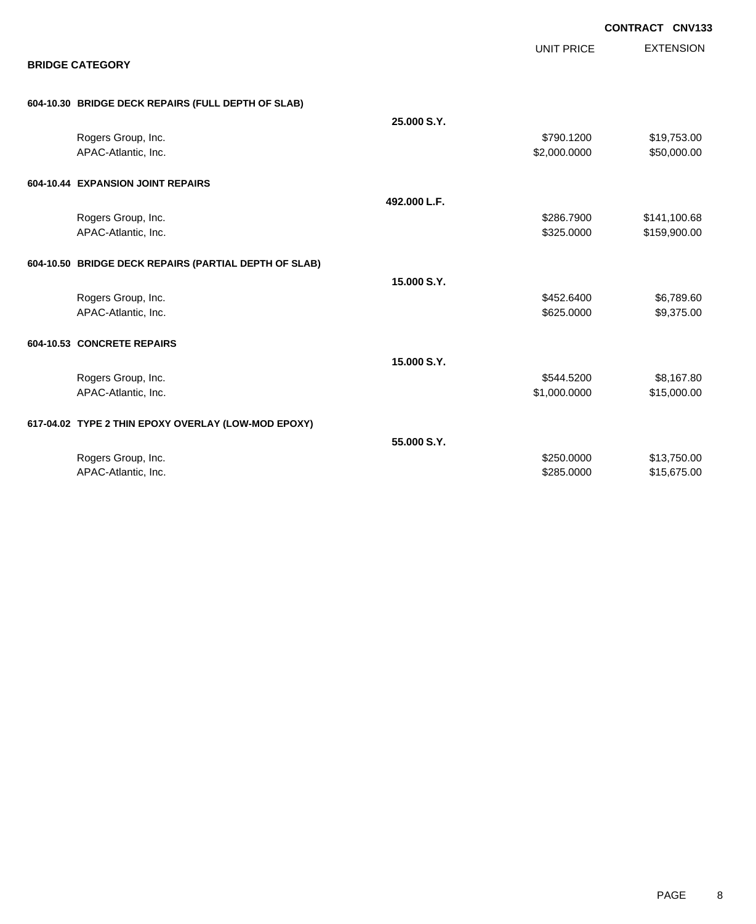|                            |                                                       |              |                   | <b>CONTRACT CNV133</b> |
|----------------------------|-------------------------------------------------------|--------------|-------------------|------------------------|
|                            |                                                       |              | <b>UNIT PRICE</b> | <b>EXTENSION</b>       |
| <b>BRIDGE CATEGORY</b>     |                                                       |              |                   |                        |
|                            | 604-10.30 BRIDGE DECK REPAIRS (FULL DEPTH OF SLAB)    |              |                   |                        |
|                            |                                                       | 25.000 S.Y.  |                   |                        |
|                            | Rogers Group, Inc.                                    |              | \$790.1200        | \$19,753.00            |
|                            | APAC-Atlantic, Inc.                                   |              | \$2,000.0000      | \$50,000.00            |
|                            | 604-10.44 EXPANSION JOINT REPAIRS                     |              |                   |                        |
|                            |                                                       | 492.000 L.F. |                   |                        |
|                            | Rogers Group, Inc.                                    |              | \$286.7900        | \$141,100.68           |
|                            | APAC-Atlantic, Inc.                                   |              | \$325.0000        | \$159,900.00           |
|                            | 604-10.50 BRIDGE DECK REPAIRS (PARTIAL DEPTH OF SLAB) |              |                   |                        |
|                            |                                                       | 15.000 S.Y.  |                   |                        |
|                            | Rogers Group, Inc.                                    |              | \$452.6400        | \$6,789.60             |
|                            | APAC-Atlantic, Inc.                                   |              | \$625.0000        | \$9,375.00             |
| 604-10.53 CONCRETE REPAIRS |                                                       |              |                   |                        |
|                            |                                                       | 15.000 S.Y.  |                   |                        |
|                            | Rogers Group, Inc.                                    |              | \$544.5200        | \$8,167.80             |
|                            | APAC-Atlantic, Inc.                                   |              | \$1,000.0000      | \$15,000.00            |
|                            | 617-04.02 TYPE 2 THIN EPOXY OVERLAY (LOW-MOD EPOXY)   |              |                   |                        |
|                            |                                                       | 55,000 S.Y.  |                   |                        |
|                            | Rogers Group, Inc.                                    |              | \$250.0000        | \$13,750.00            |
|                            | APAC-Atlantic, Inc.                                   |              | \$285.0000        | \$15,675.00            |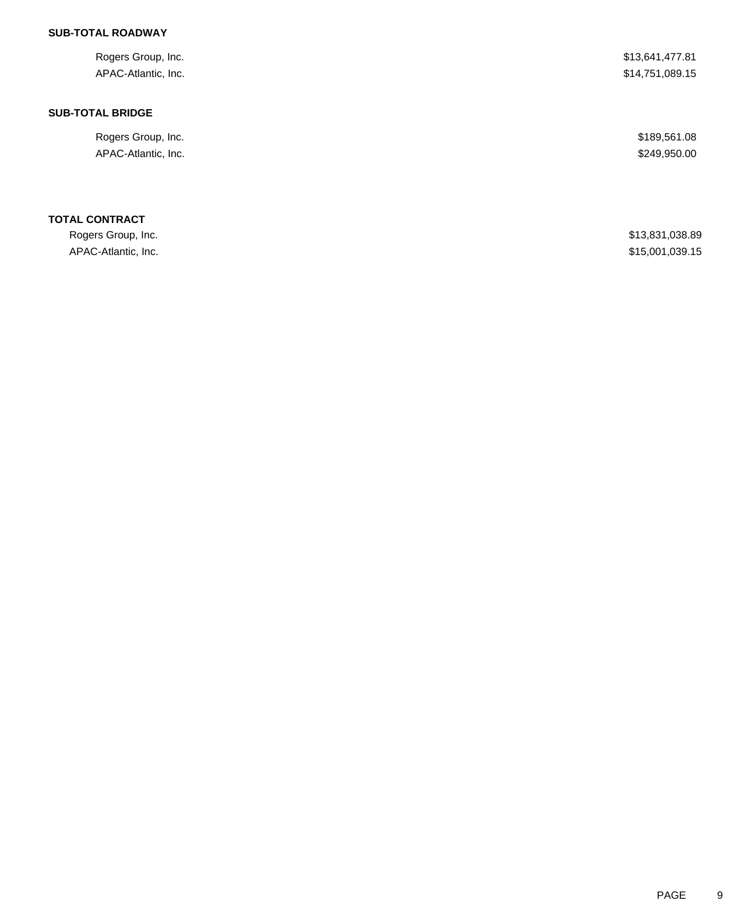# **SUB-TOTAL ROADWAY**

| Rogers Group, Inc.      | \$13,641,477.81 |
|-------------------------|-----------------|
| APAC-Atlantic, Inc.     | \$14,751,089.15 |
| <b>SUB-TOTAL BRIDGE</b> |                 |
| Rogers Group, Inc.      | \$189,561.08    |
| APAC-Atlantic, Inc.     | \$249,950.00    |
| <b>TOTAL CONTRACT</b>   |                 |
| Rogers Group, Inc.      | \$13,831,038.89 |
| APAC-Atlantic, Inc.     | \$15,001,039.15 |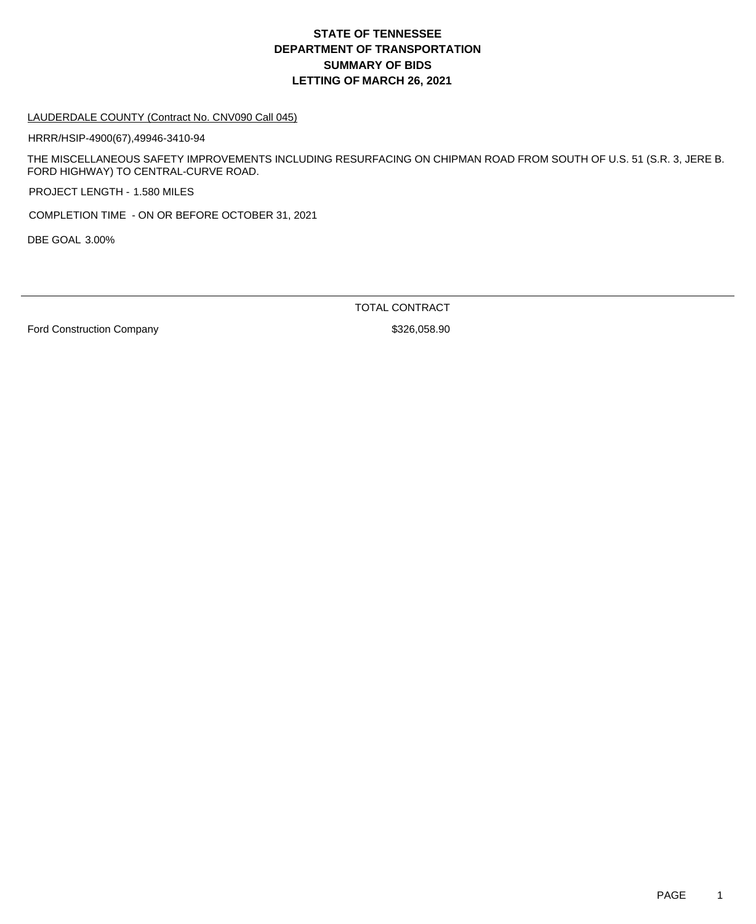# **DEPARTMENT OF TRANSPORTATION SUMMARY OF BIDS LETTING OF MARCH 26, 2021 STATE OF TENNESSEE**

#### LAUDERDALE COUNTY (Contract No. CNV090 Call 045)

HRRR/HSIP-4900(67),49946-3410-94

THE MISCELLANEOUS SAFETY IMPROVEMENTS INCLUDING RESURFACING ON CHIPMAN ROAD FROM SOUTH OF U.S. 51 (S.R. 3, JERE B. FORD HIGHWAY) TO CENTRAL-CURVE ROAD.

PROJECT LENGTH - 1.580 MILES

COMPLETION TIME - ON OR BEFORE OCTOBER 31, 2021

DBE GOAL 3.00%

TOTAL CONTRACT

Ford Construction Company **\$326,058.90** \$326,058.90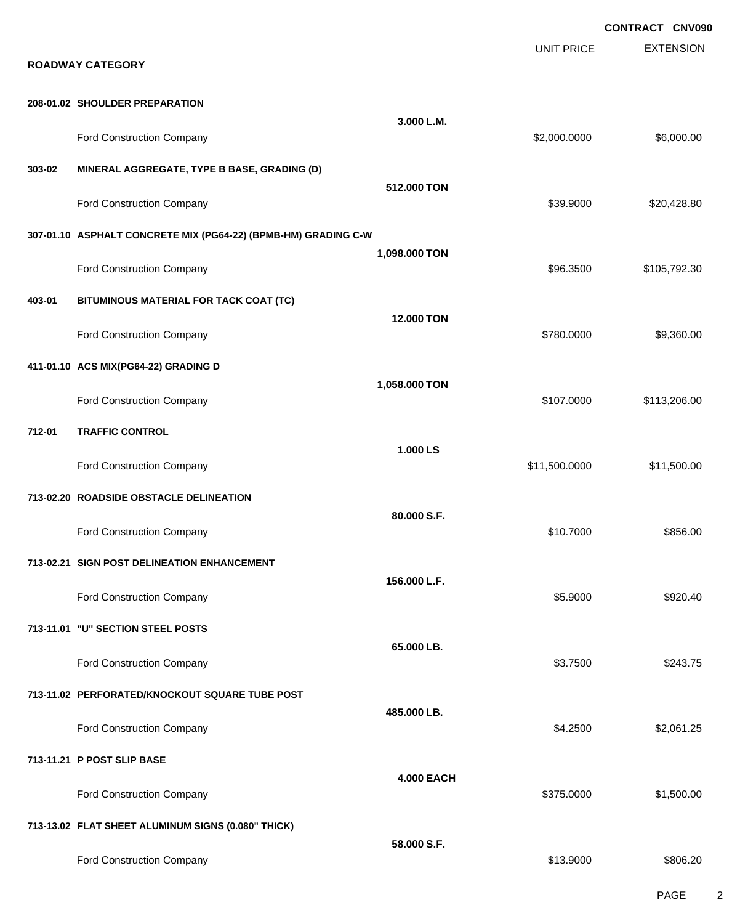**EXTENSION CONTRACT CNV090** UNIT PRICE **ROADWAY CATEGORY 208-01.02 SHOULDER PREPARATION 3.000 L.M.** Ford Construction Company 6.000.000 \$6,000.000 \$6,000.000 \$6,000.000 \$6,000.000 \$6,000.00 **303-02 MINERAL AGGREGATE, TYPE B BASE, GRADING (D) 512.000 TON** Ford Construction Company 620,428.80 **307-01.10 ASPHALT CONCRETE MIX (PG64-22) (BPMB-HM) GRADING C-W 1,098.000 TON** Ford Construction Company **600 and 105,792.30** \$105,792.30 **403-01 BITUMINOUS MATERIAL FOR TACK COAT (TC) 12.000 TON** Ford Construction Company 69,360.00 \$9,360.00 \$9,360.00 \$9,360.00 \$9,360.00 \$9,360.00 \$9,360.00 \$9,360.00 \$9,360 **411-01.10 ACS MIX(PG64-22) GRADING D 1,058.000 TON** Ford Construction Company 6107.0000 \$113,206.00 **712-01 TRAFFIC CONTROL 1.000 LS** Ford Construction Company **611,500.000** \$11,500.000 \$11,500.000 \$11,500.000 \$11,500.00 **713-02.20 ROADSIDE OBSTACLE DELINEATION 80.000 S.F.** Ford Construction Company 6856.00 \$856.00 \$856.00 \$856.00 \$856.00 \$856.00 \$856.00 \$ **713-02.21 SIGN POST DELINEATION ENHANCEMENT 156.000 L.F.** Ford Construction Company 6920.40 **713-11.01 "U" SECTION STEEL POSTS 65.000 LB.** Ford Construction Company 6243.75 **713-11.02 PERFORATED/KNOCKOUT SQUARE TUBE POST 485.000 LB.** Ford Construction Company 62,061.25 **713-11.21 P POST SLIP BASE 4.000 EACH** Ford Construction Company 6375.0000 \$1,500.00 **713-13.02 FLAT SHEET ALUMINUM SIGNS (0.080" THICK) 58.000 S.F.** Ford Construction Company \$806.20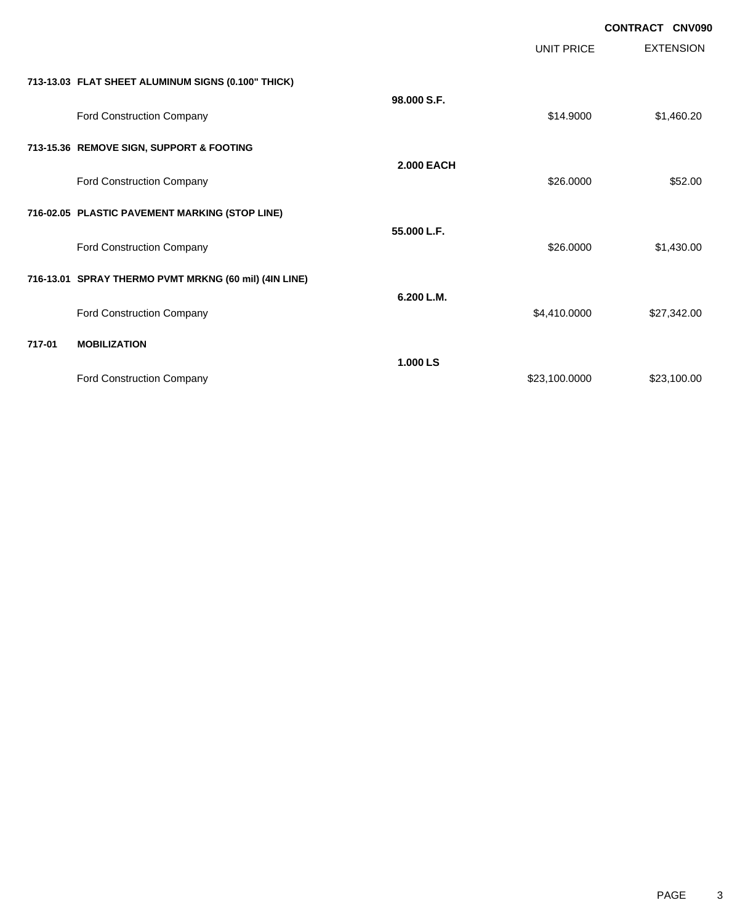|        |                                                       |                   |                   | CONTRACT CNV090  |
|--------|-------------------------------------------------------|-------------------|-------------------|------------------|
|        |                                                       |                   | <b>UNIT PRICE</b> | <b>EXTENSION</b> |
|        | 713-13.03 FLAT SHEET ALUMINUM SIGNS (0.100" THICK)    |                   |                   |                  |
|        | Ford Construction Company                             | 98.000 S.F.       | \$14.9000         | \$1,460.20       |
|        | 713-15.36 REMOVE SIGN, SUPPORT & FOOTING              |                   |                   |                  |
|        | Ford Construction Company                             | <b>2.000 EACH</b> | \$26.0000         | \$52.00          |
|        | 716-02.05 PLASTIC PAVEMENT MARKING (STOP LINE)        |                   |                   |                  |
|        | Ford Construction Company                             | 55,000 L.F.       | \$26.0000         | \$1,430.00       |
|        | 716-13.01 SPRAY THERMO PVMT MRKNG (60 mil) (4IN LINE) |                   |                   |                  |
|        | Ford Construction Company                             | 6.200 L.M.        | \$4,410.0000      | \$27,342.00      |
| 717-01 | <b>MOBILIZATION</b>                                   |                   |                   |                  |
|        | Ford Construction Company                             | 1.000 LS          | \$23,100.0000     | \$23,100.00      |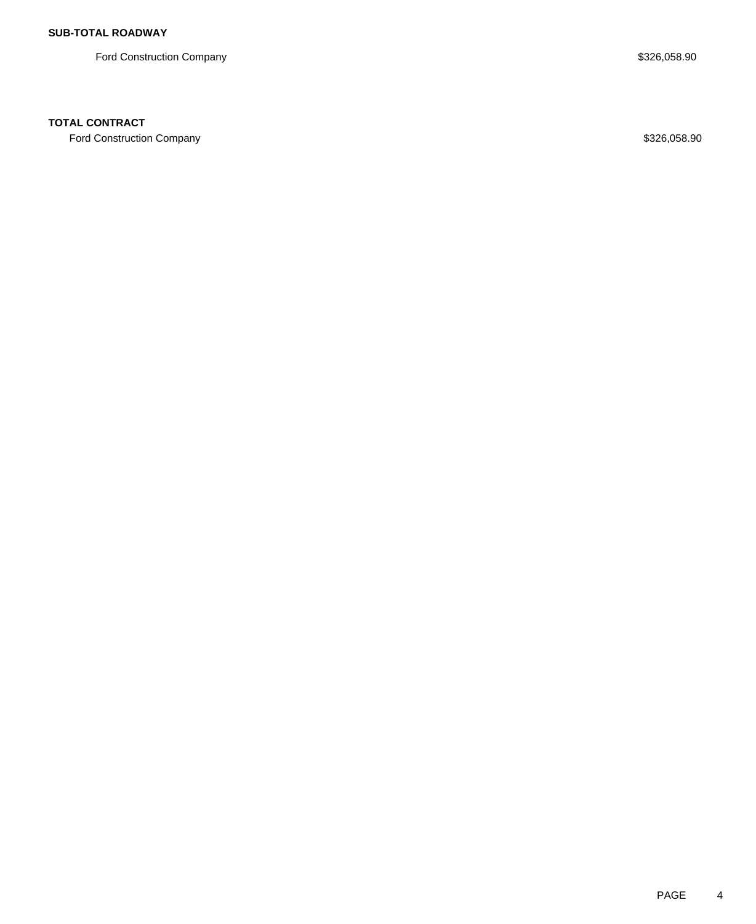Ford Construction Company **\$326,058.90** \$326,058.90

## **TOTAL CONTRACT**

Ford Construction Company **\$326,058.90** \$326,058.90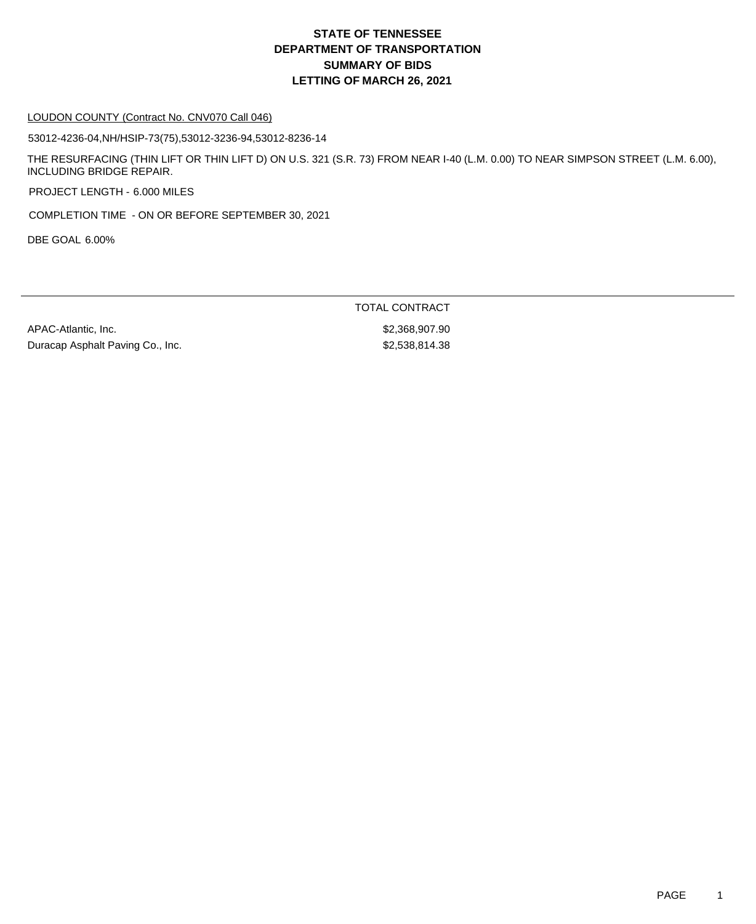# **DEPARTMENT OF TRANSPORTATION SUMMARY OF BIDS LETTING OF MARCH 26, 2021 STATE OF TENNESSEE**

#### LOUDON COUNTY (Contract No. CNV070 Call 046)

53012-4236-04,NH/HSIP-73(75),53012-3236-94,53012-8236-14

THE RESURFACING (THIN LIFT OR THIN LIFT D) ON U.S. 321 (S.R. 73) FROM NEAR I-40 (L.M. 0.00) TO NEAR SIMPSON STREET (L.M. 6.00), INCLUDING BRIDGE REPAIR.

PROJECT LENGTH - 6.000 MILES

COMPLETION TIME - ON OR BEFORE SEPTEMBER 30, 2021

DBE GOAL 6.00%

APAC-Atlantic, Inc. 62,368,907.90 Duracap Asphalt Paving Co., Inc. 6. \$2,538,814.38

TOTAL CONTRACT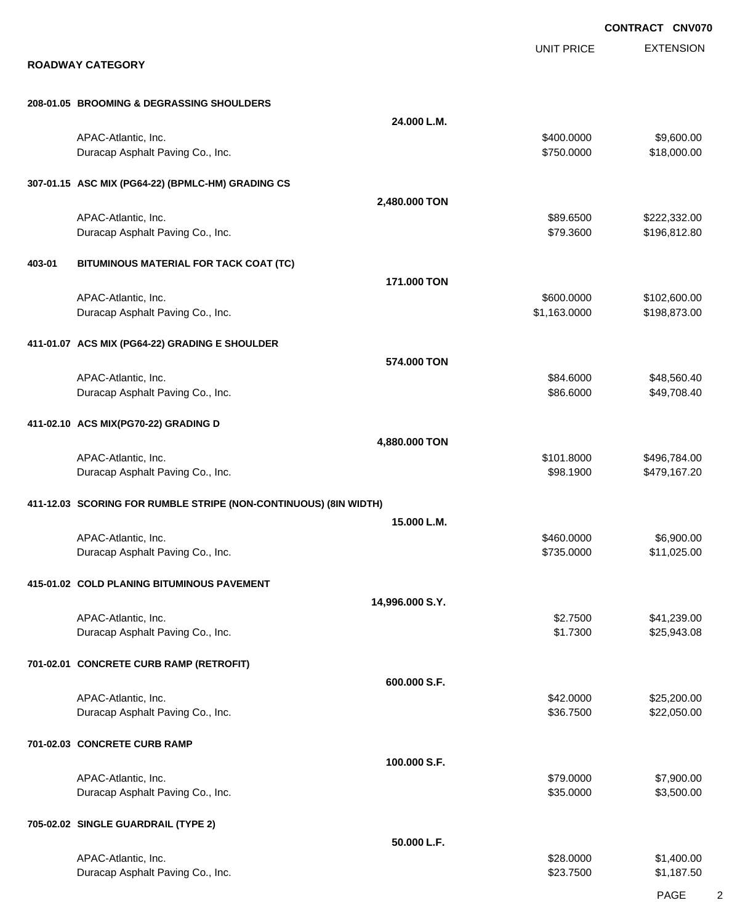|        |                                                                  |                 |                            | <b>CONTRACT CNV070</b>       |
|--------|------------------------------------------------------------------|-----------------|----------------------------|------------------------------|
|        | <b>ROADWAY CATEGORY</b>                                          |                 | <b>UNIT PRICE</b>          | <b>EXTENSION</b>             |
|        | 208-01.05 BROOMING & DEGRASSING SHOULDERS                        |                 |                            |                              |
|        |                                                                  | 24.000 L.M.     |                            |                              |
|        | APAC-Atlantic, Inc.<br>Duracap Asphalt Paving Co., Inc.          |                 | \$400.0000<br>\$750.0000   | \$9,600.00<br>\$18,000.00    |
|        | 307-01.15 ASC MIX (PG64-22) (BPMLC-HM) GRADING CS                |                 |                            |                              |
|        |                                                                  | 2,480.000 TON   |                            |                              |
|        | APAC-Atlantic, Inc.<br>Duracap Asphalt Paving Co., Inc.          |                 | \$89.6500<br>\$79.3600     | \$222,332.00<br>\$196,812.80 |
| 403-01 | BITUMINOUS MATERIAL FOR TACK COAT (TC)                           |                 |                            |                              |
|        |                                                                  | 171,000 TON     |                            |                              |
|        | APAC-Atlantic, Inc.<br>Duracap Asphalt Paving Co., Inc.          |                 | \$600.0000<br>\$1,163.0000 | \$102,600.00<br>\$198,873.00 |
|        | 411-01.07 ACS MIX (PG64-22) GRADING E SHOULDER                   |                 |                            |                              |
|        | APAC-Atlantic, Inc.                                              | 574.000 TON     | \$84.6000                  | \$48,560.40                  |
|        | Duracap Asphalt Paving Co., Inc.                                 |                 | \$86.6000                  | \$49,708.40                  |
|        | 411-02.10 ACS MIX(PG70-22) GRADING D                             | 4,880.000 TON   |                            |                              |
|        | APAC-Atlantic, Inc.                                              |                 | \$101.8000                 | \$496,784.00                 |
|        | Duracap Asphalt Paving Co., Inc.                                 |                 | \$98.1900                  | \$479,167.20                 |
|        | 411-12.03 SCORING FOR RUMBLE STRIPE (NON-CONTINUOUS) (8IN WIDTH) | 15.000 L.M.     |                            |                              |
|        | APAC-Atlantic, Inc.                                              |                 | \$460,0000                 | \$6,900.00                   |
|        | Duracap Asphalt Paving Co., Inc.                                 |                 | \$735.0000                 | \$11,025.00                  |
|        | 415-01.02 COLD PLANING BITUMINOUS PAVEMENT                       | 14,996.000 S.Y. |                            |                              |
|        | APAC-Atlantic, Inc.                                              |                 | \$2.7500                   | \$41,239.00                  |
|        | Duracap Asphalt Paving Co., Inc.                                 |                 | \$1.7300                   | \$25,943.08                  |
|        | 701-02.01 CONCRETE CURB RAMP (RETROFIT)                          | 600.000 S.F.    |                            |                              |
|        | APAC-Atlantic, Inc.                                              |                 | \$42.0000                  | \$25,200.00                  |
|        | Duracap Asphalt Paving Co., Inc.                                 |                 | \$36.7500                  | \$22,050.00                  |
|        | 701-02.03 CONCRETE CURB RAMP                                     | 100.000 S.F.    |                            |                              |
|        | APAC-Atlantic, Inc.                                              |                 | \$79.0000                  | \$7,900.00                   |
|        | Duracap Asphalt Paving Co., Inc.                                 |                 | \$35.0000                  | \$3,500.00                   |
|        | 705-02.02 SINGLE GUARDRAIL (TYPE 2)                              | 50.000 L.F.     |                            |                              |
|        | APAC-Atlantic, Inc.                                              |                 | \$28.0000                  | \$1,400.00                   |
|        | Duracap Asphalt Paving Co., Inc.                                 |                 | \$23.7500                  | \$1,187.50                   |
|        |                                                                  |                 |                            |                              |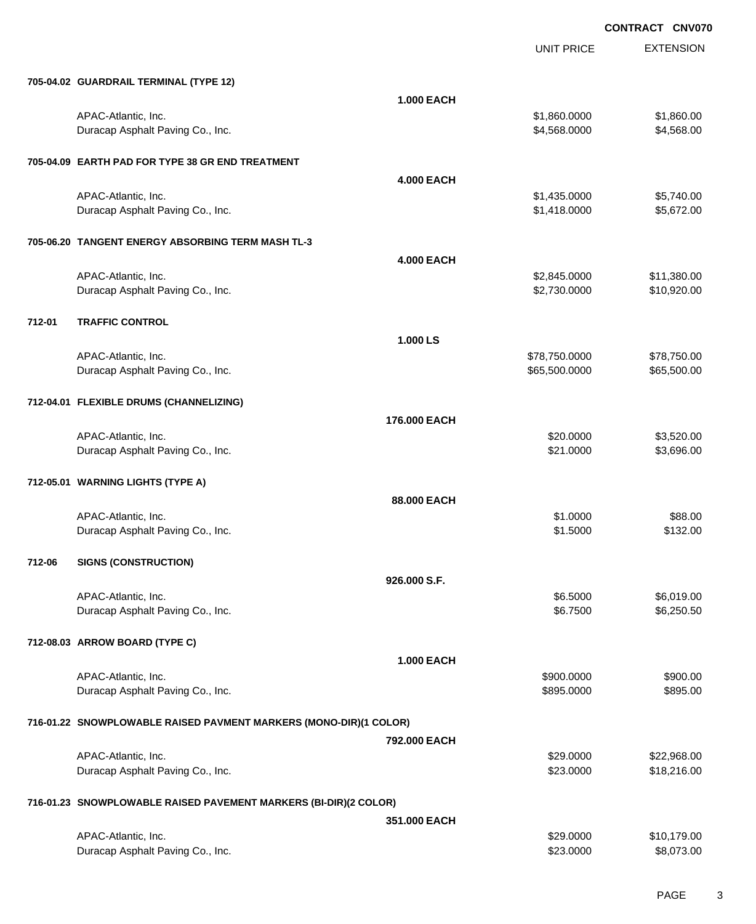UNIT PRICE

EXTENSION

|        | 705-04.02 GUARDRAIL TERMINAL (TYPE 12)                            |                   |                          |                            |
|--------|-------------------------------------------------------------------|-------------------|--------------------------|----------------------------|
|        |                                                                   | <b>1.000 EACH</b> |                          |                            |
|        | APAC-Atlantic, Inc.                                               |                   | \$1,860.0000             | \$1,860.00                 |
|        | Duracap Asphalt Paving Co., Inc.                                  |                   | \$4,568.0000             | \$4,568.00                 |
|        | 705-04.09 EARTH PAD FOR TYPE 38 GR END TREATMENT                  |                   |                          |                            |
|        |                                                                   | <b>4.000 EACH</b> |                          |                            |
|        | APAC-Atlantic, Inc.                                               |                   | \$1,435.0000             | \$5,740.00                 |
|        | Duracap Asphalt Paving Co., Inc.                                  |                   | \$1,418.0000             | \$5,672.00                 |
|        | 705-06.20 TANGENT ENERGY ABSORBING TERM MASH TL-3                 |                   |                          |                            |
|        |                                                                   | <b>4.000 EACH</b> |                          |                            |
|        | APAC-Atlantic, Inc.                                               |                   | \$2,845.0000             | \$11,380.00                |
|        | Duracap Asphalt Paving Co., Inc.                                  |                   | \$2,730.0000             | \$10,920.00                |
| 712-01 | <b>TRAFFIC CONTROL</b>                                            |                   |                          |                            |
|        |                                                                   | 1.000 LS          |                          |                            |
|        | APAC-Atlantic, Inc.                                               |                   | \$78,750.0000            | \$78,750.00                |
|        | Duracap Asphalt Paving Co., Inc.                                  |                   | \$65,500.0000            | \$65,500.00                |
|        |                                                                   |                   |                          |                            |
|        | 712-04.01 FLEXIBLE DRUMS (CHANNELIZING)                           |                   |                          |                            |
|        |                                                                   | 176,000 EACH      |                          |                            |
|        | APAC-Atlantic, Inc.<br>Duracap Asphalt Paving Co., Inc.           |                   | \$20.0000<br>\$21.0000   | \$3,520.00<br>\$3,696.00   |
|        |                                                                   |                   |                          |                            |
|        | 712-05.01 WARNING LIGHTS (TYPE A)                                 |                   |                          |                            |
|        |                                                                   | 88,000 EACH       |                          |                            |
|        | APAC-Atlantic, Inc.                                               |                   | \$1.0000                 | \$88.00                    |
|        |                                                                   |                   |                          |                            |
|        | Duracap Asphalt Paving Co., Inc.                                  |                   | \$1.5000                 | \$132.00                   |
| 712-06 | <b>SIGNS (CONSTRUCTION)</b>                                       |                   |                          |                            |
|        |                                                                   | 926,000 S.F.      |                          |                            |
|        | APAC-Atlantic, Inc.                                               |                   | \$6.5000                 | \$6,019.00                 |
|        | Duracap Asphalt Paving Co., Inc.                                  |                   | \$6.7500                 | \$6,250.50                 |
|        |                                                                   |                   |                          |                            |
|        | 712-08.03 ARROW BOARD (TYPE C)                                    |                   |                          |                            |
|        |                                                                   | <b>1.000 EACH</b> |                          | \$900.00                   |
|        | APAC-Atlantic, Inc.<br>Duracap Asphalt Paving Co., Inc.           |                   | \$900.0000<br>\$895.0000 | \$895.00                   |
|        |                                                                   |                   |                          |                            |
|        | 716-01.22 SNOWPLOWABLE RAISED PAVMENT MARKERS (MONO-DIR)(1 COLOR) |                   |                          |                            |
|        |                                                                   | 792.000 EACH      |                          |                            |
|        | APAC-Atlantic, Inc.<br>Duracap Asphalt Paving Co., Inc.           |                   | \$29.0000<br>\$23.0000   | \$22,968.00<br>\$18,216.00 |
|        |                                                                   |                   |                          |                            |
|        | 716-01.23 SNOWPLOWABLE RAISED PAVEMENT MARKERS (BI-DIR)(2 COLOR)  |                   |                          |                            |
|        |                                                                   | 351.000 EACH      |                          |                            |
|        | APAC-Atlantic, Inc.<br>Duracap Asphalt Paving Co., Inc.           |                   | \$29.0000<br>\$23.0000   | \$10,179.00<br>\$8,073.00  |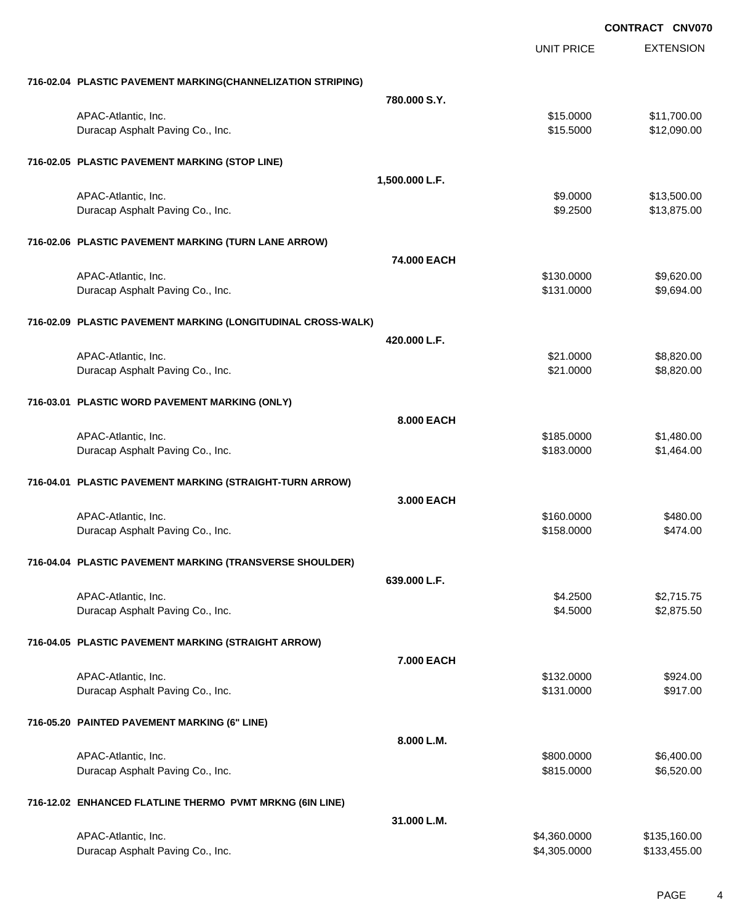EXTENSION **CONTRACT CNV070** UNIT PRICE **716-02.04 PLASTIC PAVEMENT MARKING(CHANNELIZATION STRIPING) 780.000 S.Y.** APAC-Atlantic, Inc. \$11,700.00 \$11,700.00 \$11,700.00 \$11,700.00 \$11,700.00 \$11,700.00 \$11,700.00 \$11,700.00 \$1 Duracap Asphalt Paving Co., Inc. \$12,090.00 \$12,090.00 \$12,090.00 **716-02.05 PLASTIC PAVEMENT MARKING (STOP LINE) 1,500.000 L.F.** APAC-Atlantic, Inc. \$13,500.00 \$13,500.00 \$13,500.00 \$13,500.00 \$13,500.00 \$13,500.00 \$13,500.00 \$13,500.00 \$13,500 Duracap Asphalt Paving Co., Inc. 6. 2500 \$13,875.00 **716-02.06 PLASTIC PAVEMENT MARKING (TURN LANE ARROW) 74.000 EACH** APAC-Atlantic, Inc. \$130.0000 \$9,620.00 Duracap Asphalt Paving Co., Inc. 6. The Contract of the Contract of the State of the State of State of State of State of State of State of State of State of State of State of State of State of State of State of State of St **716-02.09 PLASTIC PAVEMENT MARKING (LONGITUDINAL CROSS-WALK) 420.000 L.F.** APAC-Atlantic, Inc. \$21.0000 \$8,820.00 Duracap Asphalt Paving Co., Inc. 6. The Contract of the Contract of the Contract of the State of the State of the State of the State of the State of the State of the State of the State of the State of the State of the Stat **716-03.01 PLASTIC WORD PAVEMENT MARKING (ONLY) 8.000 EACH** APAC-Atlantic, Inc. \$1,480.00 \$1,480.00 Duracap Asphalt Paving Co., Inc. 64.000 \$1,464.00 **716-04.01 PLASTIC PAVEMENT MARKING (STRAIGHT-TURN ARROW) 3.000 EACH** APAC-Atlantic, Inc. \$160.0000 \$480.00 Duracap Asphalt Paving Co., Inc. 6474.00 **716-04.04 PLASTIC PAVEMENT MARKING (TRANSVERSE SHOULDER) 639.000 L.F.** APAC-Atlantic, Inc. \$2,715.75 Duracap Asphalt Paving Co., Inc. 6. 2012 12:375.50 \$4.5000 \$2,875.50 **716-04.05 PLASTIC PAVEMENT MARKING (STRAIGHT ARROW) 7.000 EACH** APAC-Atlantic, Inc. \$924.00 Duracap Asphalt Paving Co., Inc. 6917.00 \$917.00 \$917.00 \$917.00 **716-05.20 PAINTED PAVEMENT MARKING (6" LINE) 8.000 L.M.** APAC-Atlantic, Inc. \$800.000 \$6,400.00 Duracap Asphalt Paving Co., Inc. 6. The Contract of the Contract of the State of the State of the State of the State of the State of the State of the State of the State of the State of the State of the State of the State o **716-12.02 ENHANCED FLATLINE THERMO PVMT MRKNG (6IN LINE) 31.000 L.M.** APAC-Atlantic, Inc. \$4,360.000 \$135,160.00

Duracap Asphalt Paving Co., Inc. \$4,305.000 \$133,455.00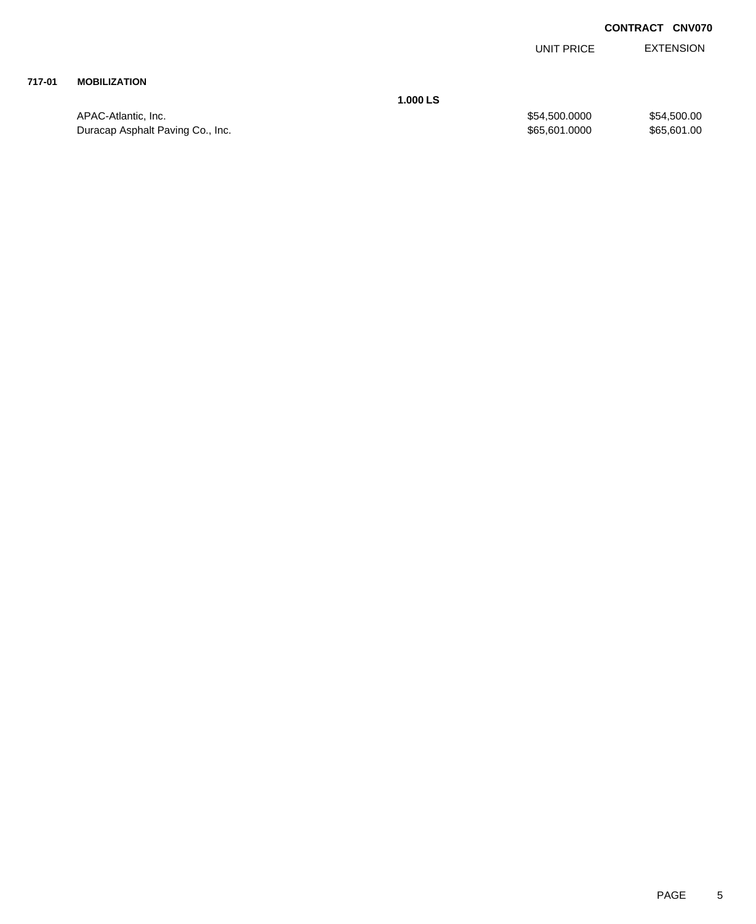EXTENSION UNIT PRICE

# **717-01 MOBILIZATION**

APAC-Atlantic, Inc. \$54,500.000 \$54,500.000 \$54,500.000 \$54,500.000 Duracap Asphalt Paving Co., Inc. 601.0000 \$65,601.0000 \$65,601.0000 \$65,601.000

**1.000 LS**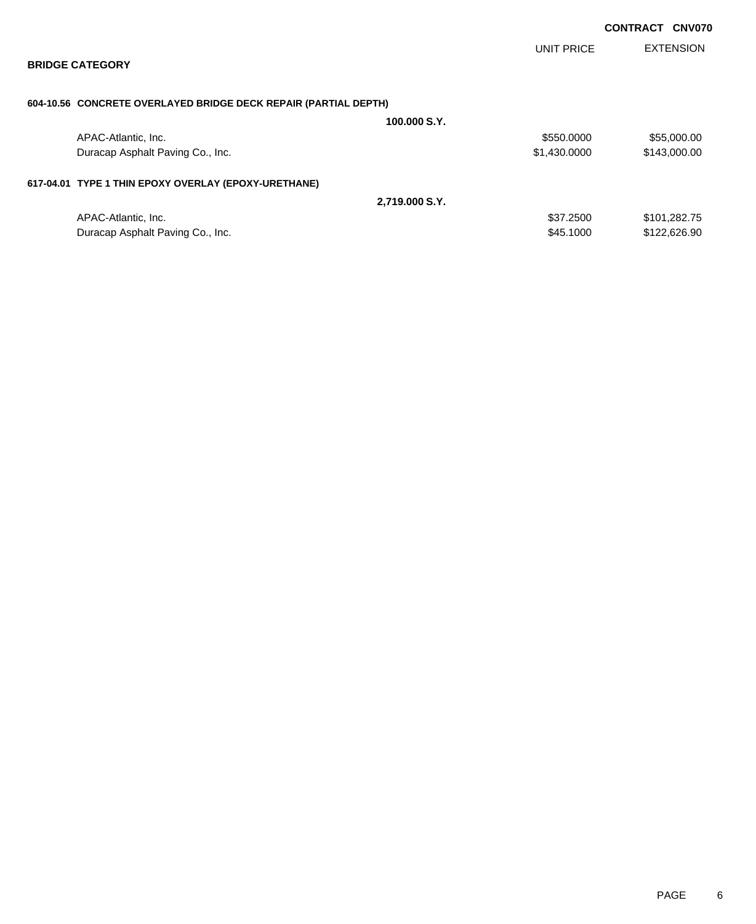|                                                                 |                |              | <b>CONTRACT CNV070</b> |                  |
|-----------------------------------------------------------------|----------------|--------------|------------------------|------------------|
|                                                                 |                | UNIT PRICE   |                        | <b>EXTENSION</b> |
| <b>BRIDGE CATEGORY</b>                                          |                |              |                        |                  |
| 604-10.56 CONCRETE OVERLAYED BRIDGE DECK REPAIR (PARTIAL DEPTH) |                |              |                        |                  |
|                                                                 | 100.000 S.Y.   |              |                        |                  |
| APAC-Atlantic, Inc.                                             |                | \$550.0000   |                        | \$55,000.00      |
| Duracap Asphalt Paving Co., Inc.                                |                | \$1,430.0000 |                        | \$143,000.00     |
| 617-04.01 TYPE 1 THIN EPOXY OVERLAY (EPOXY-URETHANE)            |                |              |                        |                  |
|                                                                 | 2,719.000 S.Y. |              |                        |                  |
| APAC-Atlantic, Inc.                                             |                | \$37.2500    |                        | \$101,282.75     |
| Duracap Asphalt Paving Co., Inc.                                |                | \$45.1000    |                        | \$122,626.90     |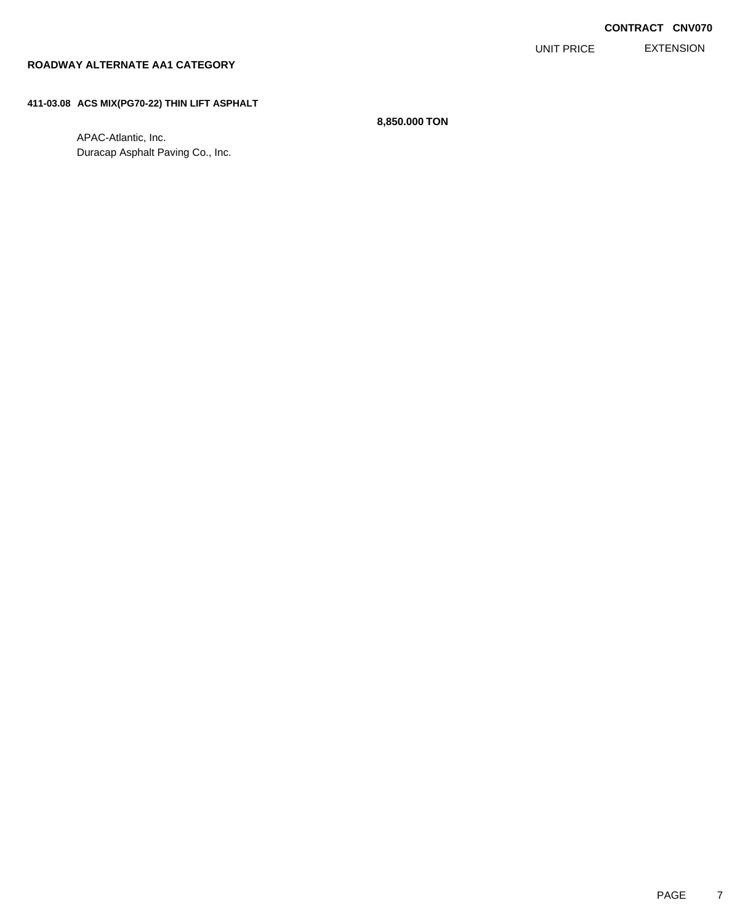EXTENSION UNIT PRICE

# **ROADWAY ALTERNATE AA1 CATEGORY**

### **411-03.08 ACS MIX(PG70-22) THIN LIFT ASPHALT**

APAC-Atlantic, Inc. Duracap Asphalt Paving Co., Inc.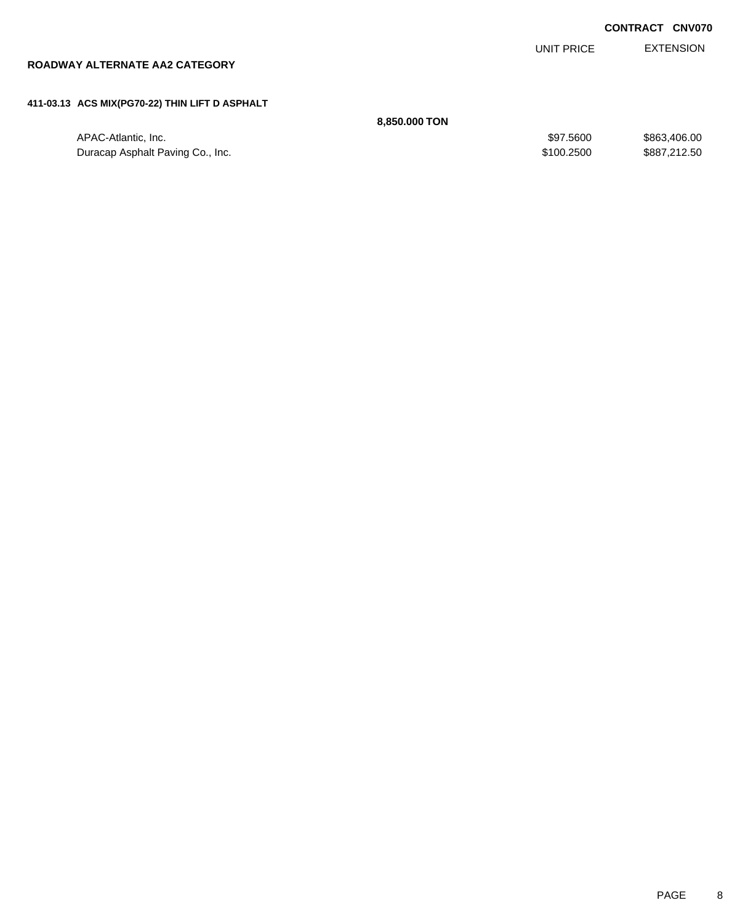| <b>CONTRACT CNV070</b> |  |
|------------------------|--|
|------------------------|--|

EXTENSION UNIT PRICE

# **ROADWAY ALTERNATE AA2 CATEGORY**

### **411-03.13 ACS MIX(PG70-22) THIN LIFT D ASPHALT**

**8,850.000 TON**

| APAC-Atlantic, Inc.              | \$97,5600  | \$863,406,00 |
|----------------------------------|------------|--------------|
| Duracap Asphalt Paving Co., Inc. | \$100.2500 | \$887,212,50 |
|                                  |            |              |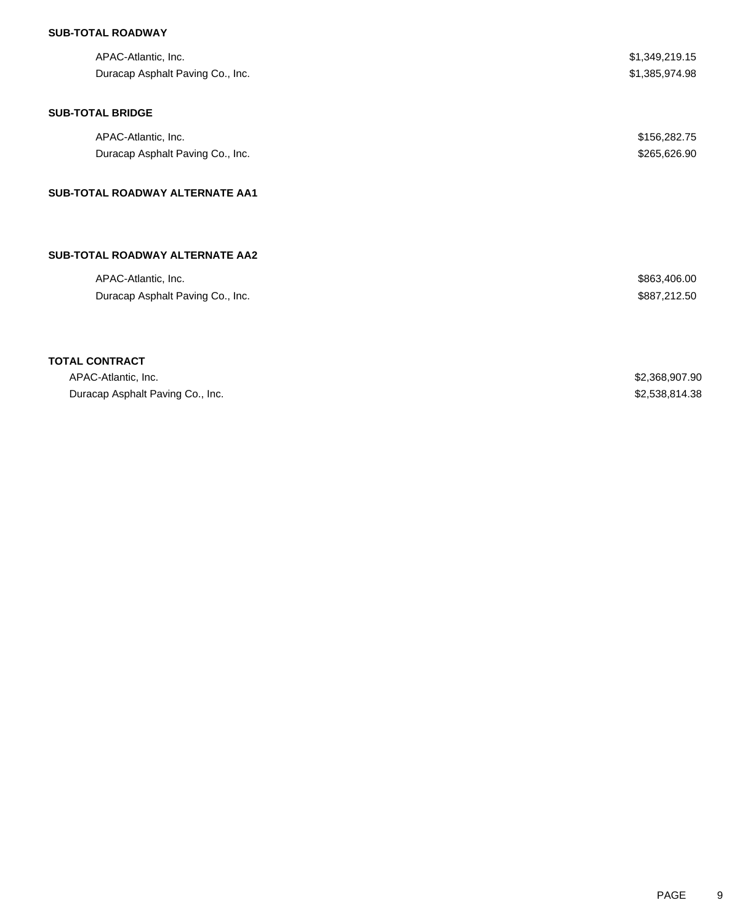## **SUB-TOTAL ROADWAY**

| APAC-Atlantic, Inc.                    | \$1,349,219.15 |
|----------------------------------------|----------------|
| Duracap Asphalt Paving Co., Inc.       | \$1,385,974.98 |
| <b>SUB-TOTAL BRIDGE</b>                |                |
| APAC-Atlantic, Inc.                    | \$156,282.75   |
| Duracap Asphalt Paving Co., Inc.       | \$265,626.90   |
| <b>SUB-TOTAL ROADWAY ALTERNATE AA1</b> |                |
| <b>SUB-TOTAL ROADWAY ALTERNATE AA2</b> |                |
| APAC-Atlantic, Inc.                    | \$863,406.00   |
| Duracap Asphalt Paving Co., Inc.       | \$887,212.50   |

# **TOTAL CONTRACT**

| APAC-Atlantic. Inc.              | \$2,368,907.90 |
|----------------------------------|----------------|
| Duracap Asphalt Paving Co., Inc. | \$2,538,814.38 |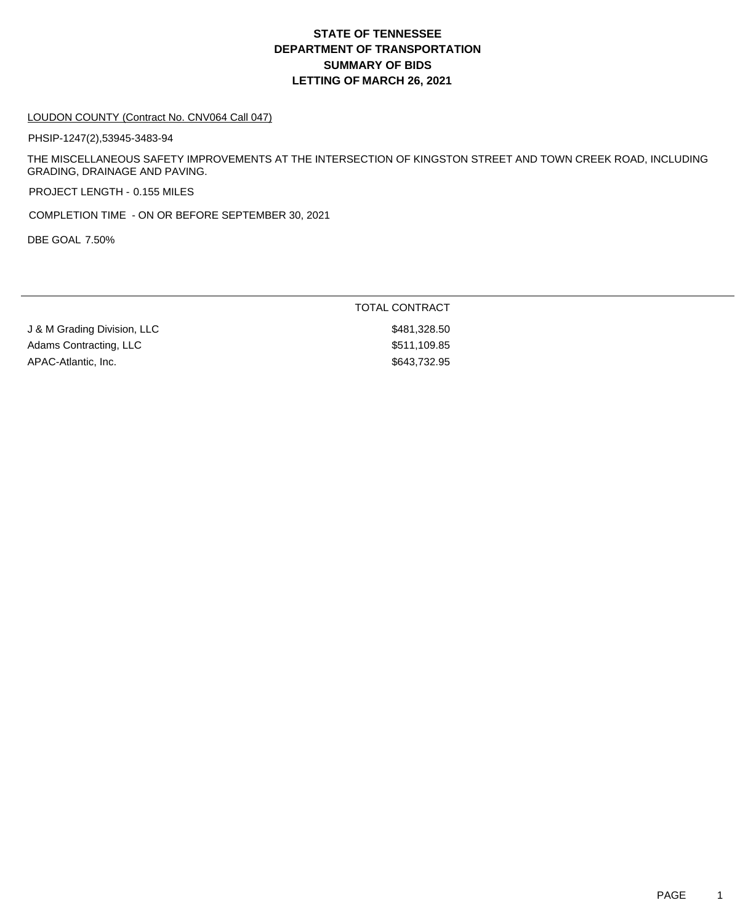# **DEPARTMENT OF TRANSPORTATION SUMMARY OF BIDS LETTING OF MARCH 26, 2021 STATE OF TENNESSEE**

#### LOUDON COUNTY (Contract No. CNV064 Call 047)

PHSIP-1247(2),53945-3483-94

THE MISCELLANEOUS SAFETY IMPROVEMENTS AT THE INTERSECTION OF KINGSTON STREET AND TOWN CREEK ROAD, INCLUDING GRADING, DRAINAGE AND PAVING.

PROJECT LENGTH - 0.155 MILES

COMPLETION TIME - ON OR BEFORE SEPTEMBER 30, 2021

DBE GOAL 7.50%

|                             | TOTAL CONTRACT |
|-----------------------------|----------------|
| J & M Grading Division, LLC | \$481,328.50   |
| Adams Contracting, LLC      | \$511,109.85   |
| APAC-Atlantic, Inc.         | \$643,732.95   |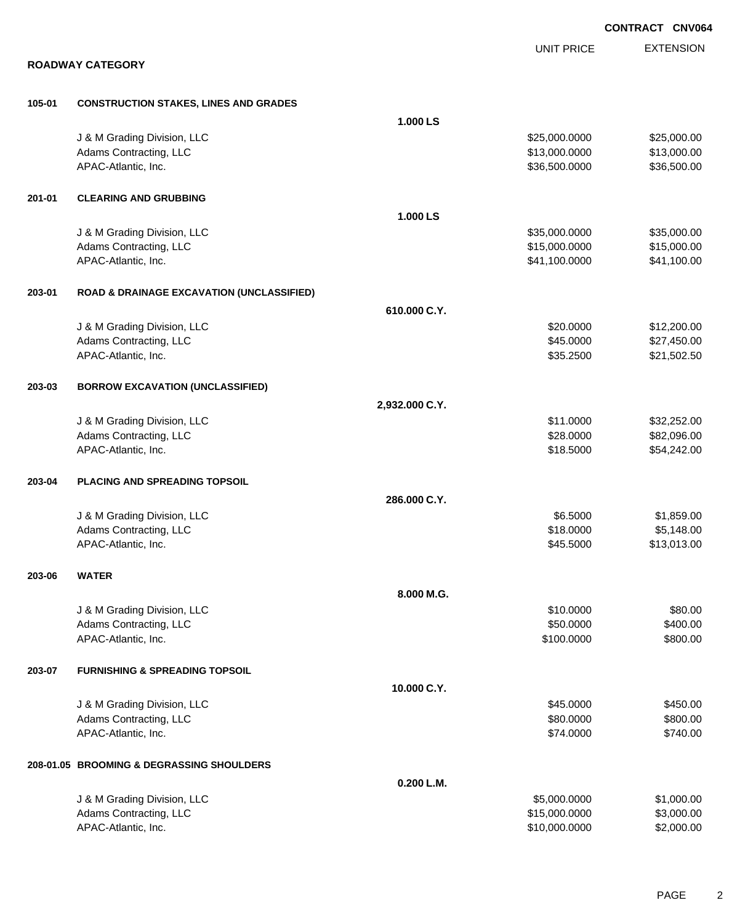|        |                                                      |                |                   | <b>CONTRACT CNV064</b> |
|--------|------------------------------------------------------|----------------|-------------------|------------------------|
|        |                                                      |                | <b>UNIT PRICE</b> | <b>EXTENSION</b>       |
|        | <b>ROADWAY CATEGORY</b>                              |                |                   |                        |
| 105-01 | <b>CONSTRUCTION STAKES, LINES AND GRADES</b>         |                |                   |                        |
|        |                                                      | 1.000 LS       |                   |                        |
|        | J & M Grading Division, LLC                          |                | \$25,000.0000     | \$25,000.00            |
|        | Adams Contracting, LLC                               |                | \$13,000.0000     | \$13,000.00            |
|        | APAC-Atlantic, Inc.                                  |                | \$36,500.0000     | \$36,500.00            |
| 201-01 | <b>CLEARING AND GRUBBING</b>                         |                |                   |                        |
|        |                                                      | 1.000 LS       |                   |                        |
|        | J & M Grading Division, LLC                          |                | \$35,000.0000     | \$35,000.00            |
|        | Adams Contracting, LLC                               |                | \$15,000.0000     | \$15,000.00            |
|        | APAC-Atlantic, Inc.                                  |                | \$41,100.0000     | \$41,100.00            |
| 203-01 | <b>ROAD &amp; DRAINAGE EXCAVATION (UNCLASSIFIED)</b> |                |                   |                        |
|        |                                                      | 610.000 C.Y.   |                   |                        |
|        | J & M Grading Division, LLC                          |                | \$20.0000         | \$12,200.00            |
|        | Adams Contracting, LLC                               |                | \$45.0000         | \$27,450.00            |
|        | APAC-Atlantic, Inc.                                  |                | \$35.2500         | \$21,502.50            |
| 203-03 | <b>BORROW EXCAVATION (UNCLASSIFIED)</b>              |                |                   |                        |
|        |                                                      | 2,932.000 C.Y. |                   |                        |
|        | J & M Grading Division, LLC                          |                | \$11.0000         | \$32,252.00            |
|        | Adams Contracting, LLC                               |                | \$28.0000         | \$82,096.00            |
|        | APAC-Atlantic, Inc.                                  |                | \$18.5000         | \$54,242.00            |
| 203-04 | PLACING AND SPREADING TOPSOIL                        |                |                   |                        |
|        |                                                      | 286.000 C.Y.   |                   |                        |
|        | J & M Grading Division, LLC                          |                | \$6.5000          | \$1,859.00             |
|        | Adams Contracting, LLC                               |                | \$18.0000         | \$5,148.00             |
|        | APAC-Atlantic, Inc.                                  |                | \$45.5000         | \$13,013.00            |
| 203-06 | <b>WATER</b>                                         |                |                   |                        |
|        |                                                      | 8.000 M.G.     |                   |                        |
|        | J & M Grading Division, LLC                          |                | \$10.0000         | \$80.00                |
|        | Adams Contracting, LLC                               |                | \$50.0000         | \$400.00               |
|        | APAC-Atlantic, Inc.                                  |                | \$100.0000        | \$800.00               |
| 203-07 | <b>FURNISHING &amp; SPREADING TOPSOIL</b>            |                |                   |                        |
|        |                                                      | 10.000 C.Y.    |                   |                        |
|        | J & M Grading Division, LLC                          |                | \$45.0000         | \$450.00               |
|        | Adams Contracting, LLC                               |                | \$80.0000         | \$800.00               |
|        | APAC-Atlantic, Inc.                                  |                | \$74.0000         | \$740.00               |
|        | 208-01.05 BROOMING & DEGRASSING SHOULDERS            |                |                   |                        |
|        |                                                      | 0.200 L.M.     |                   |                        |
|        | J & M Grading Division, LLC                          |                | \$5,000.0000      | \$1,000.00             |
|        | Adams Contracting, LLC                               |                | \$15,000.0000     | \$3,000.00             |
|        | APAC-Atlantic, Inc.                                  |                | \$10,000.0000     | \$2,000.00             |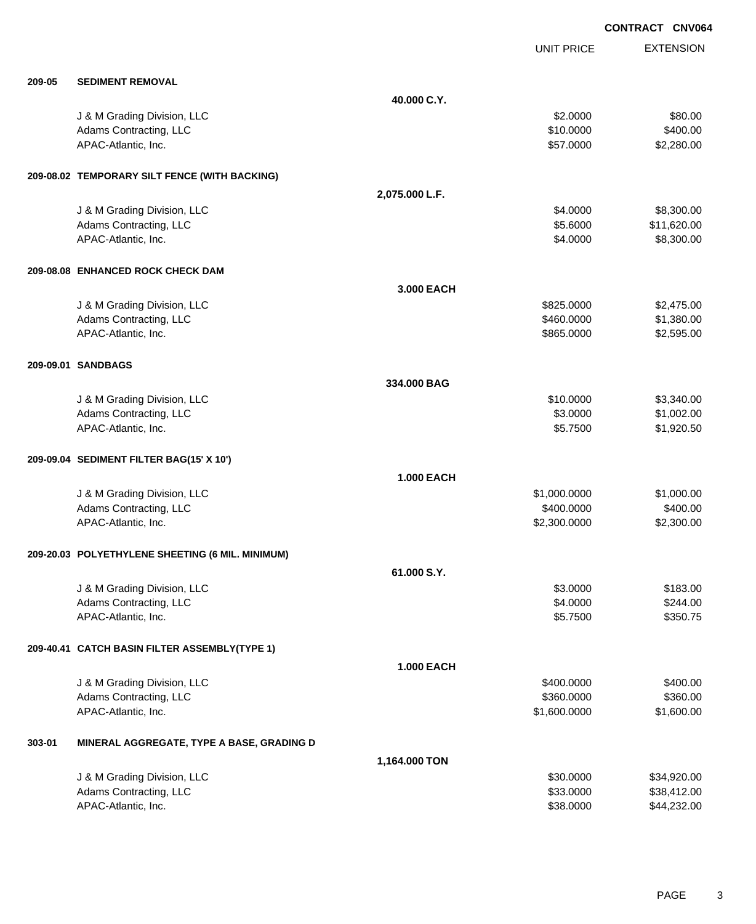EXTENSION **CONTRACT CNV064** UNIT PRICE **209-05 SEDIMENT REMOVAL 40.000 C.Y.** J & M Grading Division, LLC \$80.00 Adams Contracting, LLC 6400.00 APAC-Atlantic, Inc. \$57.0000 \$2,280.00 **209-08.02 TEMPORARY SILT FENCE (WITH BACKING) 2,075.000 L.F.** J & M Grading Division, LLC \$4.0000 \$8,300.00 Adams Contracting, LLC 6.6000 \$11,620.00 APAC-Atlantic, Inc. \$8,300.00 \$8,300.00 \$8,300.00 \$8,300.00 \$8,300.00 \$8,300.00 \$8,300.00 \$8,300.00 \$8,300.00 \$8,300 **209-08.08 ENHANCED ROCK CHECK DAM 3.000 EACH** J & M Grading Division, LLC \$825.0000 \$2,475.00 Adams Contracting, LLC 61,380.000 \$1,380.00 APAC-Atlantic, Inc. \$865.0000 \$2,595.00 **209-09.01 SANDBAGS 334.000 BAG** J & M Grading Division, LLC \$10.0000 \$3,340.00 Adams Contracting, LLC \$3.0000 \$1,002.00 APAC-Atlantic, Inc. \$1,920.50 **209-09.04 SEDIMENT FILTER BAG(15' X 10') 1.000 EACH** J & M Grading Division, LLC \$1,000.0000 \$1,000.00 Adams Contracting, LLC 6400.000 \$400.000 \$400.000 \$400.000 \$400.000 \$400.000 \$400.00 APAC-Atlantic, Inc. \$2,300.000 \$2,300.000 \$2,300.000 \$2,300.000 \$2,300.000 \$2,300.00 **209-20.03 POLYETHYLENE SHEETING (6 MIL. MINIMUM) 61.000 S.Y.** U.& M Grading Division, LLC \$183.00 \$183.00 \$183.00 \$183.00 \$183.00 \$183.00 \$183.00 \$183.00 \$183.00 \$183.00 \$1 Adams Contracting, LLC 6244.00 APAC-Atlantic, Inc. \$350.75 **209-40.41 CATCH BASIN FILTER ASSEMBLY(TYPE 1) 1.000 EACH** J & M Grading Division, LLC \$400.000 \$400.000 \$400.000 \$400.000 \$400.000 \$400.000 \$400.00 Adams Contracting, LLC 6360.000 \$360.000 \$360.000 \$360.000 \$360.000 \$360.000 \$360.000 \$360.00 APAC-Atlantic, Inc. \$1,600.000 \$1,600.000 \$1,600.000 \$1,600.000 \$1,600.000 \$1,600.000 \$1,600.00 \$1,600.00 \$1,600 **303-01 MINERAL AGGREGATE, TYPE A BASE, GRADING D**

| \$30,0000 | \$34,920.00   |
|-----------|---------------|
| \$33,0000 | \$38,412,00   |
| \$38,0000 | \$44.232.00   |
|           | 1.164.000 TON |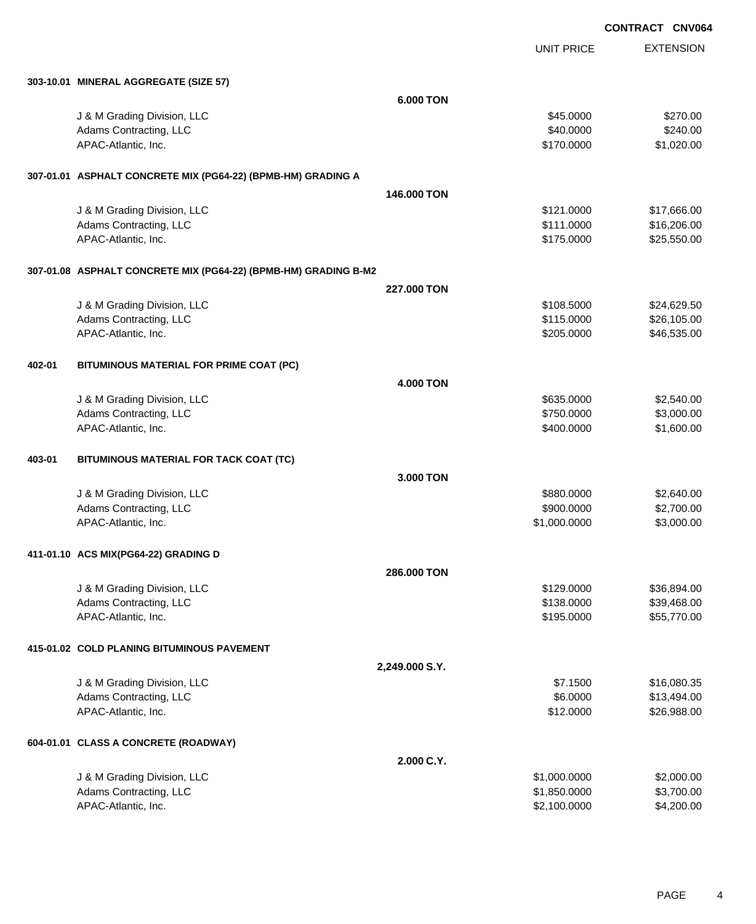UNIT PRICE

EXTENSION

|        | 303-10.01 MINERAL AGGREGATE (SIZE 57)                           |                  |              |             |
|--------|-----------------------------------------------------------------|------------------|--------------|-------------|
|        |                                                                 | <b>6.000 TON</b> |              |             |
|        | J & M Grading Division, LLC                                     |                  | \$45.0000    | \$270.00    |
|        | Adams Contracting, LLC                                          |                  | \$40.0000    | \$240.00    |
|        | APAC-Atlantic, Inc.                                             |                  | \$170.0000   | \$1,020.00  |
|        | 307-01.01 ASPHALT CONCRETE MIX (PG64-22) (BPMB-HM) GRADING A    |                  |              |             |
|        |                                                                 | 146,000 TON      |              |             |
|        | J & M Grading Division, LLC                                     |                  | \$121.0000   | \$17,666.00 |
|        | Adams Contracting, LLC                                          |                  | \$111.0000   | \$16,206.00 |
|        | APAC-Atlantic, Inc.                                             |                  | \$175.0000   | \$25,550.00 |
|        | 307-01.08 ASPHALT CONCRETE MIX (PG64-22) (BPMB-HM) GRADING B-M2 |                  |              |             |
|        |                                                                 | 227,000 TON      |              |             |
|        | J & M Grading Division, LLC                                     |                  | \$108.5000   | \$24,629.50 |
|        | Adams Contracting, LLC                                          |                  | \$115.0000   | \$26,105.00 |
|        | APAC-Atlantic, Inc.                                             |                  | \$205.0000   | \$46,535.00 |
| 402-01 | BITUMINOUS MATERIAL FOR PRIME COAT (PC)                         |                  |              |             |
|        |                                                                 | <b>4.000 TON</b> |              |             |
|        | J & M Grading Division, LLC                                     |                  | \$635.0000   | \$2,540.00  |
|        | Adams Contracting, LLC                                          |                  | \$750.0000   | \$3,000.00  |
|        | APAC-Atlantic, Inc.                                             |                  | \$400.0000   | \$1,600.00  |
| 403-01 | BITUMINOUS MATERIAL FOR TACK COAT (TC)                          |                  |              |             |
|        |                                                                 | 3.000 TON        |              |             |
|        | J & M Grading Division, LLC                                     |                  | \$880.0000   | \$2,640.00  |
|        | Adams Contracting, LLC                                          |                  | \$900.0000   | \$2,700.00  |
|        | APAC-Atlantic, Inc.                                             |                  | \$1,000.0000 | \$3,000.00  |
|        | 411-01.10 ACS MIX(PG64-22) GRADING D                            |                  |              |             |
|        |                                                                 | 286,000 TON      |              |             |
|        | J & M Grading Division, LLC                                     |                  | \$129,0000   | \$36,894.00 |
|        | Adams Contracting, LLC                                          |                  | \$138.0000   | \$39,468.00 |
|        | APAC-Atlantic, Inc.                                             |                  | \$195.0000   | \$55,770.00 |
|        | 415-01.02 COLD PLANING BITUMINOUS PAVEMENT                      |                  |              |             |
|        |                                                                 | 2,249.000 S.Y.   |              |             |
|        | J & M Grading Division, LLC                                     |                  | \$7.1500     | \$16,080.35 |
|        | Adams Contracting, LLC                                          |                  | \$6.0000     | \$13,494.00 |
|        | APAC-Atlantic, Inc.                                             |                  | \$12.0000    | \$26,988.00 |
|        | 604-01.01 CLASS A CONCRETE (ROADWAY)                            |                  |              |             |
|        |                                                                 | 2.000 C.Y.       |              |             |
|        | J & M Grading Division, LLC                                     |                  | \$1,000.0000 | \$2,000.00  |
|        | Adams Contracting, LLC                                          |                  | \$1,850.0000 | \$3,700.00  |
|        | APAC-Atlantic, Inc.                                             |                  | \$2,100.0000 | \$4,200.00  |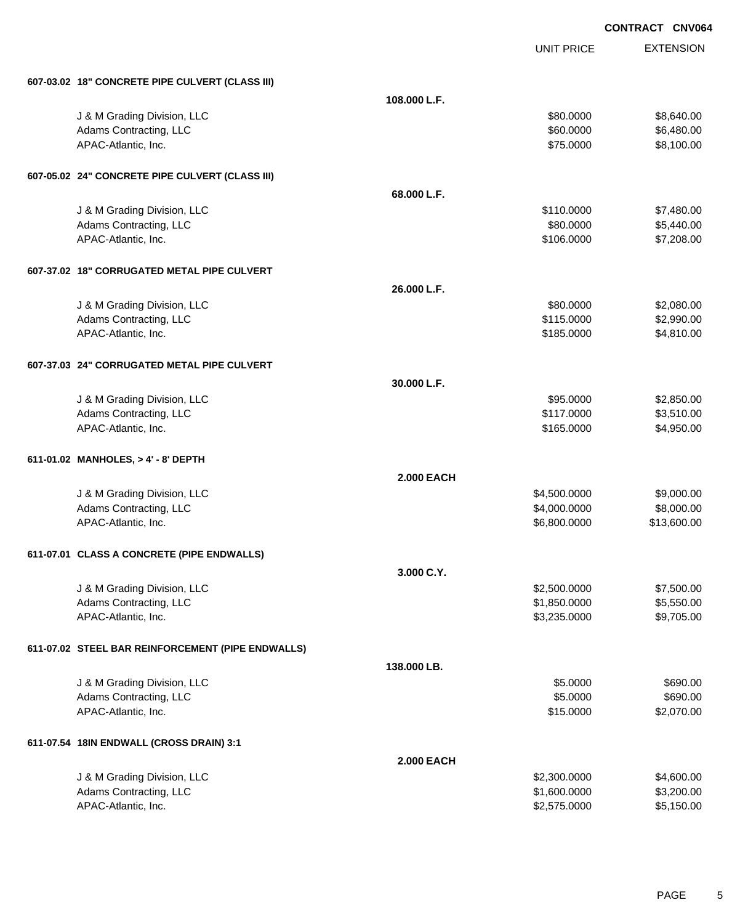|                                                   | <b>UNIT PRICE</b> | <b>EXTENSION</b> |
|---------------------------------------------------|-------------------|------------------|
| 607-03.02 18" CONCRETE PIPE CULVERT (CLASS III)   |                   |                  |
|                                                   | 108.000 L.F.      |                  |
| J & M Grading Division, LLC                       | \$80.0000         | \$8,640.00       |
| Adams Contracting, LLC                            | \$60.0000         | \$6,480.00       |
| APAC-Atlantic, Inc.                               | \$75.0000         | \$8,100.00       |
| 607-05.02 24" CONCRETE PIPE CULVERT (CLASS III)   |                   |                  |
|                                                   | 68.000 L.F.       |                  |
| J & M Grading Division, LLC                       | \$110.0000        | \$7,480.00       |
| Adams Contracting, LLC                            | \$80.0000         | \$5,440.00       |
| APAC-Atlantic, Inc.                               | \$106.0000        | \$7,208.00       |
| 607-37.02 18" CORRUGATED METAL PIPE CULVERT       |                   |                  |
|                                                   | 26.000 L.F.       |                  |
| J & M Grading Division, LLC                       | \$80.0000         | \$2,080.00       |
| Adams Contracting, LLC                            | \$115.0000        | \$2,990.00       |
| APAC-Atlantic, Inc.                               | \$185.0000        | \$4,810.00       |
| 607-37.03 24" CORRUGATED METAL PIPE CULVERT       |                   |                  |
|                                                   | 30.000 L.F.       |                  |
| J & M Grading Division, LLC                       | \$95.0000         | \$2,850.00       |
| Adams Contracting, LLC                            | \$117.0000        | \$3,510.00       |
| APAC-Atlantic, Inc.                               | \$165.0000        | \$4,950.00       |
| 611-01.02 MANHOLES, > 4' - 8' DEPTH               |                   |                  |
|                                                   | <b>2.000 EACH</b> |                  |
| J & M Grading Division, LLC                       | \$4,500.0000      | \$9,000.00       |
| Adams Contracting, LLC                            | \$4,000.0000      | \$8,000.00       |
| APAC-Atlantic, Inc.                               | \$6,800.0000      | \$13,600.00      |
| 611-07.01 CLASS A CONCRETE (PIPE ENDWALLS)        |                   |                  |
|                                                   | 3.000 C.Y.        |                  |
| J & M Grading Division, LLC                       | \$2,500.0000      | \$7,500.00       |
| Adams Contracting, LLC                            | \$1,850.0000      | \$5,550.00       |
| APAC-Atlantic, Inc.                               | \$3,235.0000      | \$9,705.00       |
| 611-07.02 STEEL BAR REINFORCEMENT (PIPE ENDWALLS) |                   |                  |
|                                                   | 138.000 LB.       |                  |
| J & M Grading Division, LLC                       | \$5.0000          | \$690.00         |
| Adams Contracting, LLC                            | \$5.0000          | \$690.00         |
| APAC-Atlantic, Inc.                               | \$15.0000         | \$2,070.00       |
| 611-07.54 18IN ENDWALL (CROSS DRAIN) 3:1          |                   |                  |
|                                                   | <b>2.000 EACH</b> |                  |
| J & M Grading Division, LLC                       | \$2,300.0000      | \$4,600.00       |
| Adams Contracting, LLC                            | \$1,600.0000      | \$3,200.00       |
| APAC-Atlantic, Inc.                               | \$2,575.0000      | \$5,150.00       |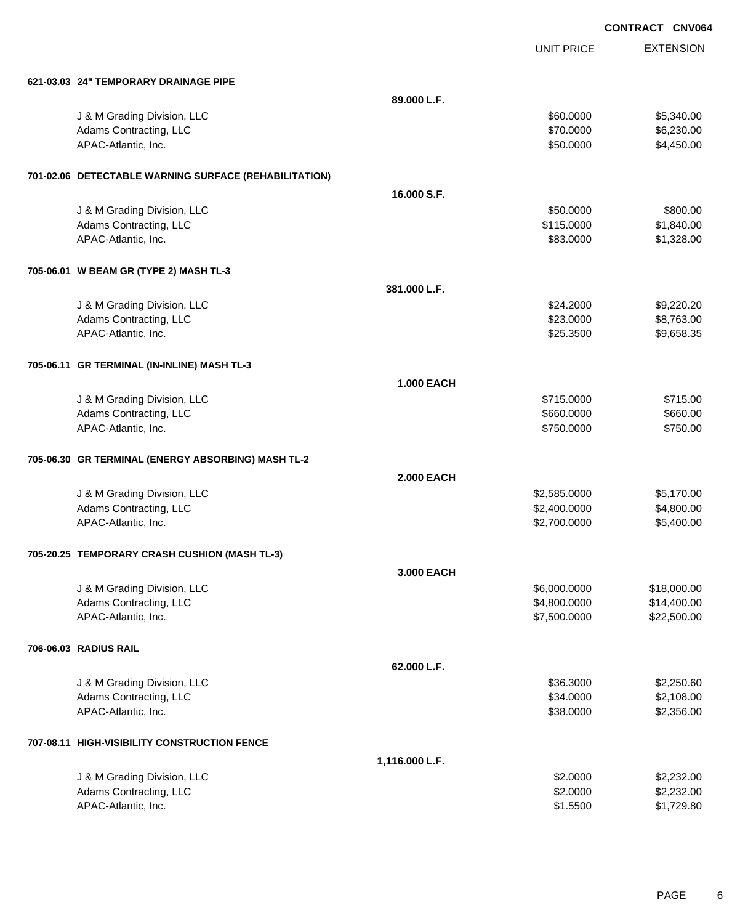|                                                       | <b>UNIT PRICE</b> | <b>EXTENSION</b> |
|-------------------------------------------------------|-------------------|------------------|
| 621-03.03 24" TEMPORARY DRAINAGE PIPE                 |                   |                  |
| 89.000 L.F.                                           |                   |                  |
| J & M Grading Division, LLC                           | \$60.0000         | \$5,340.00       |
| Adams Contracting, LLC                                | \$70.0000         | \$6,230.00       |
| APAC-Atlantic, Inc.                                   | \$50.0000         | \$4,450.00       |
| 701-02.06 DETECTABLE WARNING SURFACE (REHABILITATION) |                   |                  |
| 16.000 S.F.                                           |                   |                  |
| J & M Grading Division, LLC                           | \$50.0000         | \$800.00         |
| Adams Contracting, LLC                                | \$115.0000        | \$1,840.00       |
| APAC-Atlantic, Inc.                                   | \$83.0000         | \$1,328.00       |
| 705-06.01 W BEAM GR (TYPE 2) MASH TL-3                |                   |                  |
| 381.000 L.F.                                          |                   |                  |
| J & M Grading Division, LLC                           | \$24.2000         | \$9,220.20       |
| Adams Contracting, LLC                                | \$23.0000         | \$8,763.00       |
| APAC-Atlantic, Inc.                                   | \$25.3500         | \$9,658.35       |
| 705-06.11 GR TERMINAL (IN-INLINE) MASH TL-3           |                   |                  |
| <b>1.000 EACH</b>                                     |                   |                  |
| J & M Grading Division, LLC                           | \$715.0000        | \$715.00         |
| Adams Contracting, LLC                                | \$660.0000        | \$660.00         |
| APAC-Atlantic, Inc.                                   | \$750.0000        | \$750.00         |
| 705-06.30 GR TERMINAL (ENERGY ABSORBING) MASH TL-2    |                   |                  |
| <b>2.000 EACH</b>                                     |                   |                  |
| J & M Grading Division, LLC                           | \$2,585.0000      | \$5,170.00       |
| Adams Contracting, LLC                                | \$2,400.0000      | \$4,800.00       |
| APAC-Atlantic, Inc.                                   | \$2,700.0000      | \$5,400.00       |
| 705-20.25 TEMPORARY CRASH CUSHION (MASH TL-3)         |                   |                  |
| 3.000 EACH                                            |                   |                  |
| J & M Grading Division, LLC                           | \$6,000.0000      | \$18,000.00      |
| Adams Contracting, LLC                                | \$4,800.0000      | \$14,400.00      |
| APAC-Atlantic, Inc.                                   | \$7,500.0000      | \$22,500.00      |
| 706-06.03 RADIUS RAIL                                 |                   |                  |
| 62.000 L.F.                                           |                   |                  |
| J & M Grading Division, LLC                           | \$36,3000         | \$2,250.60       |
| Adams Contracting, LLC                                | \$34.0000         | \$2,108.00       |
| APAC-Atlantic, Inc.                                   | \$38.0000         | \$2,356.00       |
| 707-08.11 HIGH-VISIBILITY CONSTRUCTION FENCE          |                   |                  |
| 1,116.000 L.F.                                        |                   |                  |
| J & M Grading Division, LLC                           | \$2.0000          | \$2,232.00       |
| Adams Contracting, LLC                                | \$2.0000          | \$2,232.00       |
| APAC-Atlantic, Inc.                                   | \$1.5500          | \$1,729.80       |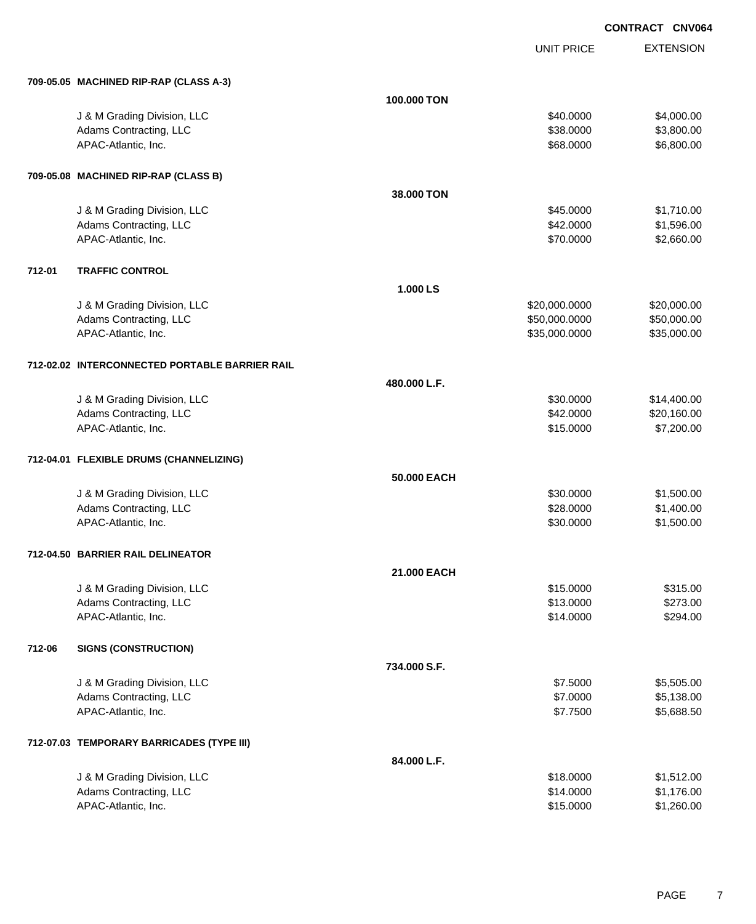UNIT PRICE

EXTENSION

|        | 709-05.05 MACHINED RIP-RAP (CLASS A-3)                |              |               |                      |
|--------|-------------------------------------------------------|--------------|---------------|----------------------|
|        |                                                       | 100,000 TON  |               |                      |
|        | J & M Grading Division, LLC                           |              | \$40.0000     | \$4,000.00           |
|        | Adams Contracting, LLC                                |              | \$38.0000     | \$3,800.00           |
|        | APAC-Atlantic, Inc.                                   |              | \$68.0000     | \$6,800.00           |
|        |                                                       |              |               |                      |
|        | 709-05.08 MACHINED RIP-RAP (CLASS B)                  |              |               |                      |
|        |                                                       | 38,000 TON   |               |                      |
|        | J & M Grading Division, LLC                           |              | \$45.0000     | \$1,710.00           |
|        | Adams Contracting, LLC                                |              | \$42.0000     | \$1,596.00           |
|        | APAC-Atlantic, Inc.                                   |              | \$70.0000     | \$2,660.00           |
| 712-01 | <b>TRAFFIC CONTROL</b>                                |              |               |                      |
|        |                                                       | 1.000 LS     |               |                      |
|        | J & M Grading Division, LLC                           |              | \$20,000.0000 | \$20,000.00          |
|        | Adams Contracting, LLC                                |              | \$50,000.0000 | \$50,000.00          |
|        | APAC-Atlantic, Inc.                                   |              | \$35,000.0000 | \$35,000.00          |
|        |                                                       |              |               |                      |
|        | 712-02.02 INTERCONNECTED PORTABLE BARRIER RAIL        |              |               |                      |
|        |                                                       | 480.000 L.F. |               |                      |
|        | J & M Grading Division, LLC                           |              | \$30.0000     | \$14,400.00          |
|        | Adams Contracting, LLC                                |              | \$42.0000     | \$20,160.00          |
|        | APAC-Atlantic, Inc.                                   |              | \$15.0000     | \$7,200.00           |
|        | 712-04.01 FLEXIBLE DRUMS (CHANNELIZING)               |              |               |                      |
|        |                                                       | 50.000 EACH  |               |                      |
|        | J & M Grading Division, LLC                           |              | \$30.0000     | \$1,500.00           |
|        | Adams Contracting, LLC                                |              | \$28.0000     | \$1,400.00           |
|        | APAC-Atlantic, Inc.                                   |              | \$30.0000     | \$1,500.00           |
|        |                                                       |              |               |                      |
|        | 712-04.50 BARRIER RAIL DELINEATOR                     | 21.000 EACH  |               |                      |
|        |                                                       |              |               |                      |
|        | J & M Grading Division, LLC<br>Adams Contracting, LLC |              | \$15.0000     | \$315.00<br>\$273.00 |
|        |                                                       |              | \$13.0000     |                      |
|        | APAC-Atlantic, Inc.                                   |              | \$14.0000     | \$294.00             |
| 712-06 | <b>SIGNS (CONSTRUCTION)</b>                           |              |               |                      |
|        |                                                       | 734.000 S.F. |               |                      |
|        | J & M Grading Division, LLC                           |              | \$7.5000      | \$5,505.00           |
|        | Adams Contracting, LLC                                |              | \$7.0000      | \$5,138.00           |
|        | APAC-Atlantic, Inc.                                   |              | \$7.7500      | \$5,688.50           |
|        | 712-07.03 TEMPORARY BARRICADES (TYPE III)             |              |               |                      |
|        |                                                       | 84.000 L.F.  |               |                      |
|        | J & M Grading Division, LLC                           |              | \$18.0000     | \$1,512.00           |
|        | Adams Contracting, LLC                                |              | \$14.0000     | \$1,176.00           |
|        | APAC-Atlantic, Inc.                                   |              | \$15.0000     | \$1,260.00           |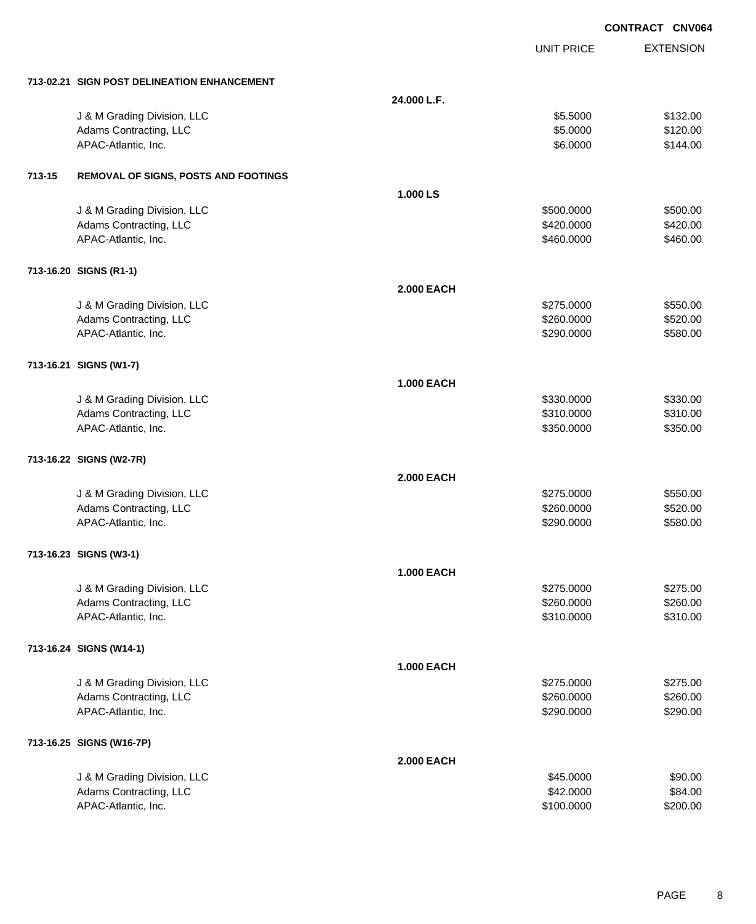|        |                                             |                   |                   | <b>CONTRACT CNV064</b> |
|--------|---------------------------------------------|-------------------|-------------------|------------------------|
|        |                                             |                   | <b>UNIT PRICE</b> | <b>EXTENSION</b>       |
|        | 713-02.21 SIGN POST DELINEATION ENHANCEMENT |                   |                   |                        |
|        |                                             | 24.000 L.F.       |                   |                        |
|        | J & M Grading Division, LLC                 |                   | \$5.5000          | \$132.00               |
|        | Adams Contracting, LLC                      |                   | \$5.0000          | \$120.00               |
|        | APAC-Atlantic, Inc.                         |                   | \$6.0000          | \$144.00               |
| 713-15 | <b>REMOVAL OF SIGNS, POSTS AND FOOTINGS</b> |                   |                   |                        |
|        |                                             | 1.000 LS          |                   |                        |
|        | J & M Grading Division, LLC                 |                   | \$500.0000        | \$500.00               |
|        | Adams Contracting, LLC                      |                   | \$420.0000        | \$420.00               |
|        | APAC-Atlantic, Inc.                         |                   | \$460.0000        | \$460.00               |
|        | 713-16.20 SIGNS (R1-1)                      |                   |                   |                        |
|        |                                             | <b>2.000 EACH</b> |                   |                        |
|        | J & M Grading Division, LLC                 |                   | \$275.0000        | \$550.00               |
|        | Adams Contracting, LLC                      |                   | \$260.0000        | \$520.00               |
|        | APAC-Atlantic, Inc.                         |                   | \$290.0000        | \$580.00               |
|        | 713-16.21 SIGNS (W1-7)                      |                   |                   |                        |
|        |                                             | <b>1.000 EACH</b> |                   |                        |
|        | J & M Grading Division, LLC                 |                   | \$330.0000        | \$330.00               |
|        | Adams Contracting, LLC                      |                   | \$310.0000        | \$310.00               |
|        | APAC-Atlantic, Inc.                         |                   | \$350.0000        | \$350.00               |
|        | 713-16.22 SIGNS (W2-7R)                     |                   |                   |                        |
|        |                                             | <b>2.000 EACH</b> |                   |                        |
|        | J & M Grading Division, LLC                 |                   | \$275.0000        | \$550.00               |
|        | Adams Contracting, LLC                      |                   | \$260.0000        | \$520.00               |
|        | APAC-Atlantic, Inc.                         |                   | \$290.0000        | \$580.00               |
|        | 713-16.23 SIGNS (W3-1)                      |                   |                   |                        |
|        |                                             | <b>1.000 EACH</b> |                   |                        |
|        | J & M Grading Division, LLC                 |                   | \$275.0000        | \$275.00               |
|        | Adams Contracting, LLC                      |                   | \$260.0000        | \$260.00               |
|        | APAC-Atlantic, Inc.                         |                   | \$310.0000        | \$310.00               |
|        | 713-16.24 SIGNS (W14-1)                     |                   |                   |                        |
|        |                                             | <b>1.000 EACH</b> |                   |                        |
|        | J & M Grading Division, LLC                 |                   | \$275.0000        | \$275.00               |
|        | Adams Contracting, LLC                      |                   | \$260.0000        | \$260.00               |
|        | APAC-Atlantic, Inc.                         |                   | \$290.0000        | \$290.00               |
|        | 713-16.25 SIGNS (W16-7P)                    |                   |                   |                        |
|        |                                             | <b>2.000 EACH</b> |                   |                        |
|        | J & M Grading Division, LLC                 |                   | \$45.0000         | \$90.00                |
|        | Adams Contracting, LLC                      |                   | \$42.0000         | \$84.00                |
|        | APAC-Atlantic, Inc.                         |                   | \$100.0000        | \$200.00               |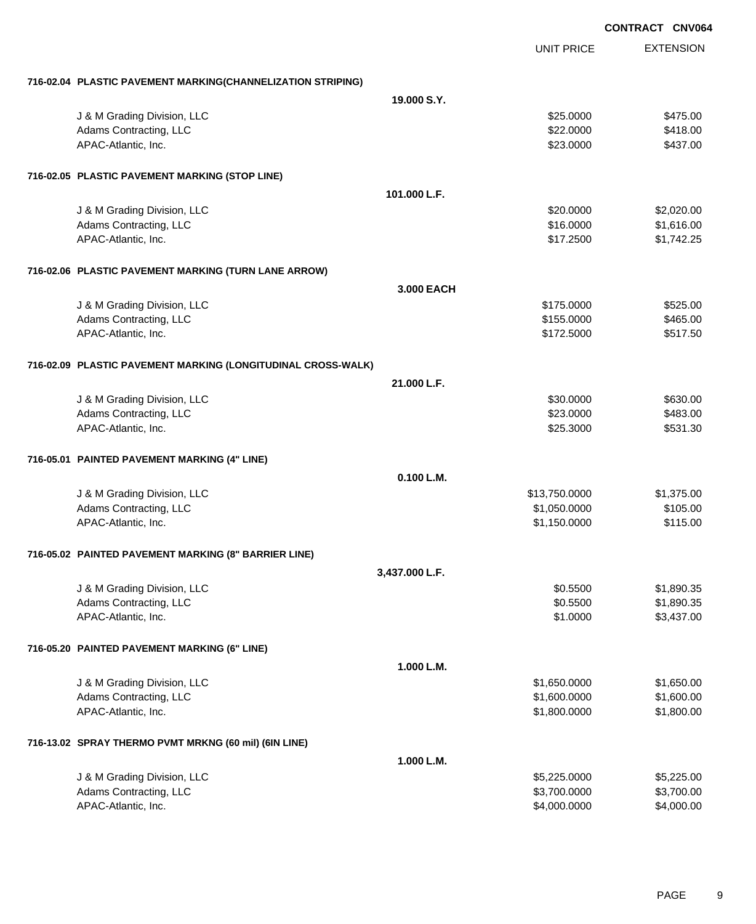|                                                              |                |                   | <b>CONTRACT CNV064</b> |
|--------------------------------------------------------------|----------------|-------------------|------------------------|
|                                                              |                | <b>UNIT PRICE</b> | <b>EXTENSION</b>       |
| 716-02.04 PLASTIC PAVEMENT MARKING(CHANNELIZATION STRIPING)  |                |                   |                        |
|                                                              | 19,000 S.Y.    |                   |                        |
| J & M Grading Division, LLC                                  |                | \$25.0000         | \$475.00               |
| Adams Contracting, LLC                                       |                | \$22.0000         | \$418.00               |
| APAC-Atlantic, Inc.                                          |                | \$23.0000         | \$437.00               |
| 716-02.05 PLASTIC PAVEMENT MARKING (STOP LINE)               |                |                   |                        |
|                                                              | 101.000 L.F.   |                   |                        |
| J & M Grading Division, LLC                                  |                | \$20.0000         | \$2,020.00             |
| Adams Contracting, LLC                                       |                | \$16.0000         | \$1,616.00             |
| APAC-Atlantic, Inc.                                          |                | \$17.2500         | \$1,742.25             |
| 716-02.06 PLASTIC PAVEMENT MARKING (TURN LANE ARROW)         |                |                   |                        |
|                                                              | 3,000 EACH     |                   |                        |
| J & M Grading Division, LLC                                  |                | \$175.0000        | \$525.00               |
| Adams Contracting, LLC                                       |                | \$155.0000        | \$465.00               |
| APAC-Atlantic, Inc.                                          |                | \$172.5000        | \$517.50               |
| 716-02.09 PLASTIC PAVEMENT MARKING (LONGITUDINAL CROSS-WALK) |                |                   |                        |
|                                                              | 21.000 L.F.    |                   |                        |
| J & M Grading Division, LLC                                  |                | \$30.0000         | \$630.00               |
| Adams Contracting, LLC                                       |                | \$23.0000         | \$483.00               |
| APAC-Atlantic, Inc.                                          |                | \$25.3000         | \$531.30               |
| 716-05.01 PAINTED PAVEMENT MARKING (4" LINE)                 |                |                   |                        |
|                                                              | 0.100 L.M.     |                   |                        |
| J & M Grading Division, LLC                                  |                | \$13,750.0000     | \$1,375.00             |
| Adams Contracting, LLC                                       |                | \$1,050.0000      | \$105.00               |
| APAC-Atlantic, Inc.                                          |                | \$1,150.0000      | \$115.00               |
| 716-05.02 PAINTED PAVEMENT MARKING (8" BARRIER LINE)         |                |                   |                        |
|                                                              | 3,437.000 L.F. |                   |                        |
| J & M Grading Division, LLC                                  |                | \$0.5500          | \$1,890.35             |
| Adams Contracting, LLC                                       |                | \$0.5500          | \$1,890.35             |
| APAC-Atlantic, Inc.                                          |                | \$1.0000          | \$3,437.00             |
| 716-05.20 PAINTED PAVEMENT MARKING (6" LINE)                 |                |                   |                        |
|                                                              | 1.000 L.M.     |                   |                        |
| J & M Grading Division, LLC                                  |                | \$1,650.0000      | \$1,650.00             |
| Adams Contracting, LLC                                       |                | \$1,600.0000      | \$1,600.00             |
| APAC-Atlantic, Inc.                                          |                | \$1,800.0000      | \$1,800.00             |
|                                                              |                |                   |                        |
| 716-13.02 SPRAY THERMO PVMT MRKNG (60 mil) (6IN LINE)        | 1.000 L.M.     |                   |                        |
| J & M Grading Division, LLC                                  |                | \$5,225.0000      | \$5,225.00             |
| Adams Contracting, LLC                                       |                | \$3,700.0000      | \$3,700.00             |
| APAC-Atlantic, Inc.                                          |                | \$4,000.0000      | \$4,000.00             |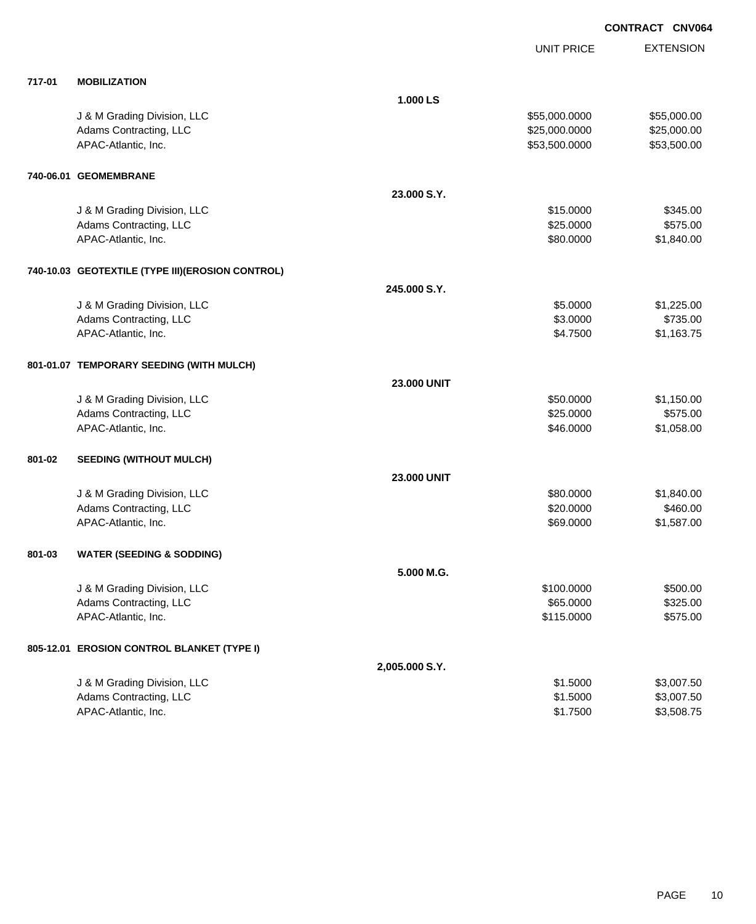|        |                                                  |                    | UNIT PRICE    | <b>EXTENSION</b> |
|--------|--------------------------------------------------|--------------------|---------------|------------------|
| 717-01 | <b>MOBILIZATION</b>                              |                    |               |                  |
|        |                                                  | 1.000 LS           |               |                  |
|        | J & M Grading Division, LLC                      |                    | \$55,000.0000 | \$55,000.00      |
|        | Adams Contracting, LLC                           |                    | \$25,000.0000 | \$25,000.00      |
|        | APAC-Atlantic, Inc.                              |                    | \$53,500.0000 | \$53,500.00      |
|        | 740-06.01 GEOMEMBRANE                            |                    |               |                  |
|        |                                                  | 23.000 S.Y.        |               |                  |
|        | J & M Grading Division, LLC                      |                    | \$15.0000     | \$345.00         |
|        | Adams Contracting, LLC                           |                    | \$25.0000     | \$575.00         |
|        | APAC-Atlantic, Inc.                              |                    | \$80.0000     | \$1,840.00       |
|        | 740-10.03 GEOTEXTILE (TYPE III)(EROSION CONTROL) |                    |               |                  |
|        |                                                  | 245.000 S.Y.       |               |                  |
|        | J & M Grading Division, LLC                      |                    | \$5.0000      | \$1,225.00       |
|        | Adams Contracting, LLC                           |                    | \$3.0000      | \$735.00         |
|        | APAC-Atlantic, Inc.                              |                    | \$4.7500      | \$1,163.75       |
|        | 801-01.07 TEMPORARY SEEDING (WITH MULCH)         |                    |               |                  |
|        |                                                  | <b>23.000 UNIT</b> |               |                  |
|        | J & M Grading Division, LLC                      |                    | \$50.0000     | \$1,150.00       |
|        | Adams Contracting, LLC                           |                    | \$25.0000     | \$575.00         |
|        | APAC-Atlantic, Inc.                              |                    | \$46.0000     | \$1,058.00       |
| 801-02 | <b>SEEDING (WITHOUT MULCH)</b>                   |                    |               |                  |
|        |                                                  | <b>23.000 UNIT</b> |               |                  |
|        | J & M Grading Division, LLC                      |                    | \$80.0000     | \$1,840.00       |
|        | Adams Contracting, LLC                           |                    | \$20.0000     | \$460.00         |
|        | APAC-Atlantic, Inc.                              |                    | \$69.0000     | \$1,587.00       |
| 801-03 | <b>WATER (SEEDING &amp; SODDING)</b>             |                    |               |                  |
|        |                                                  | 5.000 M.G.         |               |                  |
|        | J & M Grading Division, LLC                      |                    | \$100.0000    | \$500.00         |
|        | Adams Contracting, LLC                           |                    | \$65.0000     | \$325.00         |
|        | APAC-Atlantic, Inc.                              |                    | \$115.0000    | \$575.00         |
|        | 805-12.01 EROSION CONTROL BLANKET (TYPE I)       |                    |               |                  |
|        |                                                  | 2,005.000 S.Y.     |               |                  |
|        | J & M Grading Division, LLC                      |                    | \$1.5000      | \$3,007.50       |
|        | Adams Contracting, LLC                           |                    | \$1.5000      | \$3,007.50       |
|        | APAC-Atlantic, Inc.                              |                    | \$1.7500      | \$3,508.75       |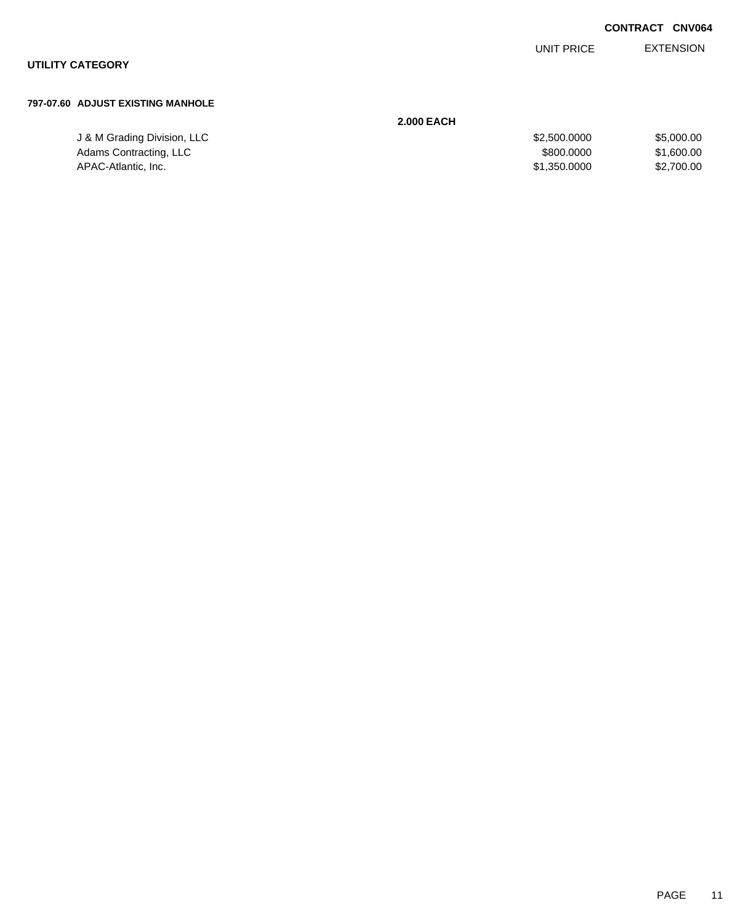EXTENSION UNIT PRICE

## **UTILITY CATEGORY**

### **797-07.60 ADJUST EXISTING MANHOLE**

|                             | <b>2.000 EACH</b> |            |
|-----------------------------|-------------------|------------|
| J & M Grading Division, LLC | \$2,500,0000      | \$5,000.00 |
| Adams Contracting, LLC      | \$800,0000        | \$1,600.00 |
| APAC-Atlantic, Inc.         | \$1,350,0000      | \$2,700.00 |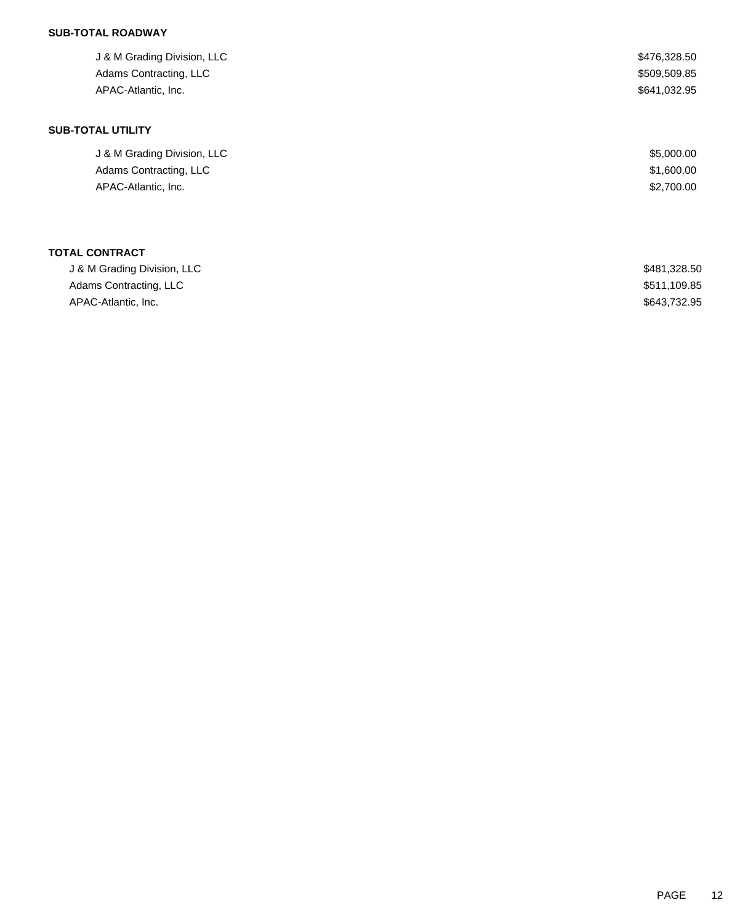# **SUB-TOTAL ROADWAY**

| J & M Grading Division, LLC<br>Adams Contracting, LLC<br>APAC-Atlantic, Inc. | \$476,328.50<br>\$509,509.85<br>\$641,032.95 |
|------------------------------------------------------------------------------|----------------------------------------------|
| <b>SUB-TOTAL UTILITY</b>                                                     |                                              |
| J & M Grading Division, LLC                                                  | \$5,000.00                                   |
| Adams Contracting, LLC                                                       | \$1,600.00                                   |
| APAC-Atlantic, Inc.                                                          | \$2,700.00                                   |
| <b>TOTAL CONTRACT</b>                                                        |                                              |
| J & M Grading Division, LLC                                                  | \$481,328.50                                 |

| J & M Oldung Division, LLC | טט.ס∠ט,דס <del>ד</del> ע |
|----------------------------|--------------------------|
| Adams Contracting, LLC     | \$511,109.85             |
| APAC-Atlantic. Inc.        | \$643,732.95             |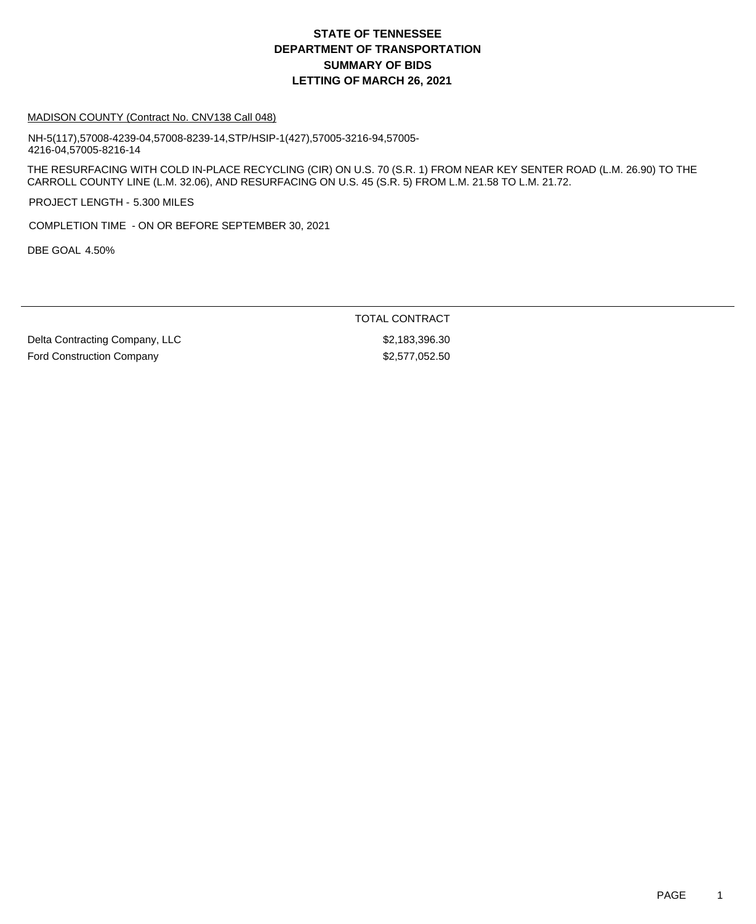# **DEPARTMENT OF TRANSPORTATION SUMMARY OF BIDS LETTING OF MARCH 26, 2021 STATE OF TENNESSEE**

#### MADISON COUNTY (Contract No. CNV138 Call 048)

NH-5(117),57008-4239-04,57008-8239-14,STP/HSIP-1(427),57005-3216-94,57005- 4216-04,57005-8216-14

THE RESURFACING WITH COLD IN-PLACE RECYCLING (CIR) ON U.S. 70 (S.R. 1) FROM NEAR KEY SENTER ROAD (L.M. 26.90) TO THE CARROLL COUNTY LINE (L.M. 32.06), AND RESURFACING ON U.S. 45 (S.R. 5) FROM L.M. 21.58 TO L.M. 21.72.

PROJECT LENGTH - 5.300 MILES

COMPLETION TIME - ON OR BEFORE SEPTEMBER 30, 2021

DBE GOAL 4.50%

### TOTAL CONTRACT

Delta Contracting Company, LLC \$2,183,396.30 Ford Construction Company 62,577,052.50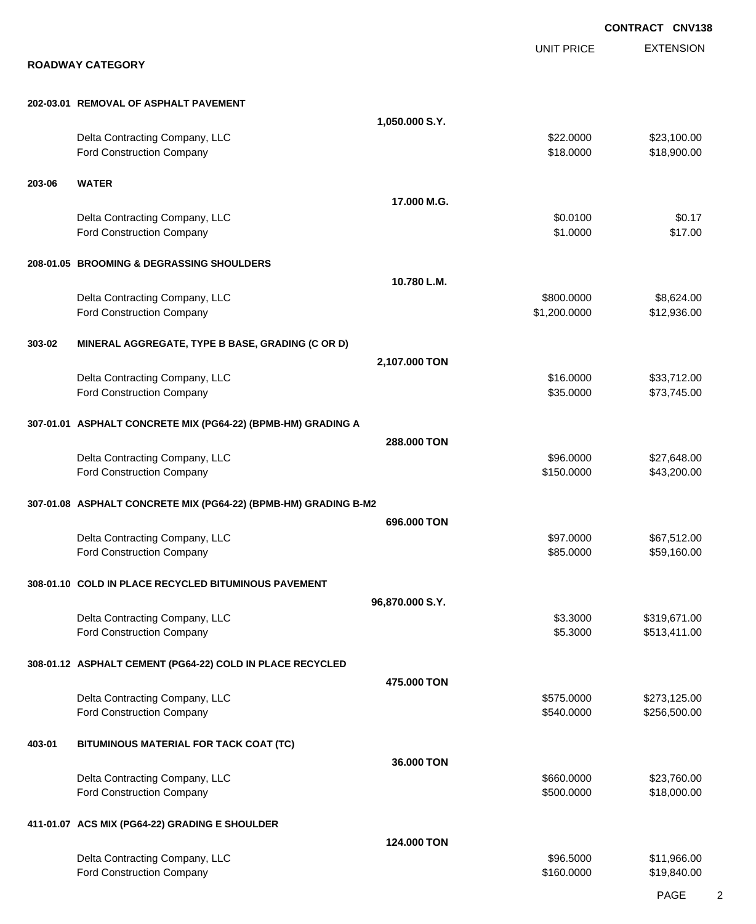|        |                                                                 |                 |                            | <b>CONTRACT CNV138</b>       |
|--------|-----------------------------------------------------------------|-----------------|----------------------------|------------------------------|
|        |                                                                 |                 | <b>UNIT PRICE</b>          | <b>EXTENSION</b>             |
|        | <b>ROADWAY CATEGORY</b>                                         |                 |                            |                              |
|        | 202-03.01 REMOVAL OF ASPHALT PAVEMENT                           |                 |                            |                              |
|        |                                                                 | 1,050.000 S.Y.  |                            |                              |
|        | Delta Contracting Company, LLC<br>Ford Construction Company     |                 | \$22.0000<br>\$18.0000     | \$23,100.00<br>\$18,900.00   |
| 203-06 | <b>WATER</b>                                                    |                 |                            |                              |
|        |                                                                 | 17.000 M.G.     |                            |                              |
|        | Delta Contracting Company, LLC<br>Ford Construction Company     |                 | \$0.0100<br>\$1.0000       | \$0.17<br>\$17.00            |
|        | 208-01.05 BROOMING & DEGRASSING SHOULDERS                       |                 |                            |                              |
|        |                                                                 | 10.780 L.M.     |                            |                              |
|        | Delta Contracting Company, LLC<br>Ford Construction Company     |                 | \$800.0000<br>\$1,200.0000 | \$8,624.00<br>\$12,936.00    |
| 303-02 | MINERAL AGGREGATE, TYPE B BASE, GRADING (C OR D)                |                 |                            |                              |
|        |                                                                 | 2,107.000 TON   |                            |                              |
|        | Delta Contracting Company, LLC<br>Ford Construction Company     |                 | \$16.0000<br>\$35.0000     | \$33,712.00<br>\$73,745.00   |
|        | 307-01.01 ASPHALT CONCRETE MIX (PG64-22) (BPMB-HM) GRADING A    |                 |                            |                              |
|        |                                                                 | 288,000 TON     |                            |                              |
|        | Delta Contracting Company, LLC<br>Ford Construction Company     |                 | \$96.0000<br>\$150.0000    | \$27,648.00<br>\$43,200.00   |
|        | 307-01.08 ASPHALT CONCRETE MIX (PG64-22) (BPMB-HM) GRADING B-M2 |                 |                            |                              |
|        |                                                                 | 696,000 TON     |                            |                              |
|        | Delta Contracting Company, LLC<br>Ford Construction Company     |                 | \$97.0000<br>\$85.0000     | \$67,512.00<br>\$59,160.00   |
|        | 308-01.10 COLD IN PLACE RECYCLED BITUMINOUS PAVEMENT            |                 |                            |                              |
|        |                                                                 | 96,870.000 S.Y. |                            |                              |
|        | Delta Contracting Company, LLC<br>Ford Construction Company     |                 | \$3.3000<br>\$5.3000       | \$319,671.00<br>\$513,411.00 |
|        | 308-01.12 ASPHALT CEMENT (PG64-22) COLD IN PLACE RECYCLED       |                 |                            |                              |
|        |                                                                 | 475.000 TON     |                            |                              |
|        | Delta Contracting Company, LLC                                  |                 | \$575.0000                 | \$273,125.00                 |
|        | Ford Construction Company                                       |                 | \$540.0000                 | \$256,500.00                 |
| 403-01 | BITUMINOUS MATERIAL FOR TACK COAT (TC)                          |                 |                            |                              |
|        |                                                                 | 36.000 TON      |                            |                              |
|        | Delta Contracting Company, LLC<br>Ford Construction Company     |                 | \$660.0000<br>\$500.0000   | \$23,760.00<br>\$18,000.00   |
|        | 411-01.07 ACS MIX (PG64-22) GRADING E SHOULDER                  |                 |                            |                              |
|        |                                                                 | 124.000 TON     |                            |                              |
|        | Delta Contracting Company, LLC<br>Ford Construction Company     |                 | \$96.5000<br>\$160.0000    | \$11,966.00<br>\$19,840.00   |

PAGE 2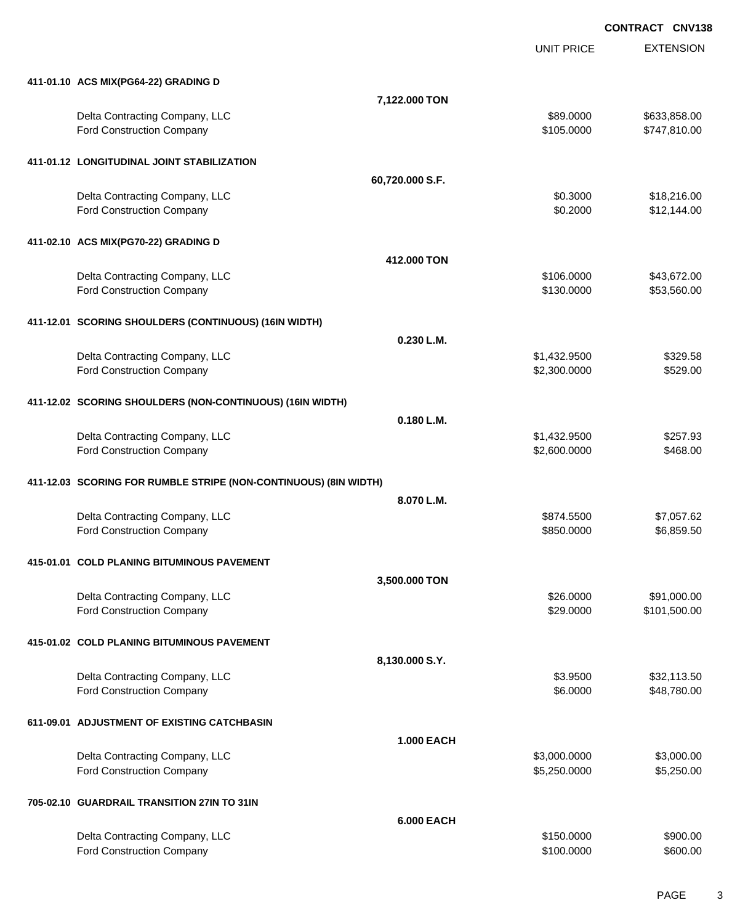UNIT PRICE

EXTENSION

| 7,122.000 TON<br>Delta Contracting Company, LLC<br>\$89.0000<br>\$633,858.00<br>\$105.0000<br>\$747,810.00<br>Ford Construction Company<br>411-01.12 LONGITUDINAL JOINT STABILIZATION<br>60,720.000 S.F.<br>Delta Contracting Company, LLC<br>\$18,216.00<br>\$0.3000<br>Ford Construction Company<br>\$0.2000<br>\$12,144.00<br>411-02.10 ACS MIX(PG70-22) GRADING D<br>412,000 TON<br>Delta Contracting Company, LLC<br>\$106.0000<br>\$43,672.00<br>Ford Construction Company<br>\$130.0000<br>\$53,560.00<br>411-12.01 SCORING SHOULDERS (CONTINUOUS) (16IN WIDTH)<br>0.230 L.M.<br>Delta Contracting Company, LLC<br>\$1,432.9500<br>\$329.58<br>Ford Construction Company<br>\$2,300.0000<br>\$529.00<br>411-12.02 SCORING SHOULDERS (NON-CONTINUOUS) (16IN WIDTH)<br>0.180 L.M.<br>Delta Contracting Company, LLC<br>\$1,432.9500<br>\$257.93<br>Ford Construction Company<br>\$468.00<br>\$2,600.0000<br>411-12.03 SCORING FOR RUMBLE STRIPE (NON-CONTINUOUS) (8IN WIDTH)<br>8.070 L.M.<br>Delta Contracting Company, LLC<br>\$874.5500<br>\$7,057.62<br>\$6,859.50<br>Ford Construction Company<br>\$850.0000<br>415-01.01 COLD PLANING BITUMINOUS PAVEMENT<br>3,500.000 TON<br>Delta Contracting Company, LLC<br>\$26.0000<br>\$91,000.00<br>Ford Construction Company<br>\$29.0000<br>\$101,500.00<br>415-01.02 COLD PLANING BITUMINOUS PAVEMENT<br>8,130.000 S.Y.<br>Delta Contracting Company, LLC<br>\$3.9500<br>\$32,113.50<br>\$6.0000<br>Ford Construction Company<br>\$48,780.00<br>611-09.01 ADJUSTMENT OF EXISTING CATCHBASIN<br><b>1.000 EACH</b><br>Delta Contracting Company, LLC<br>\$3,000.0000<br>\$3,000.00<br>Ford Construction Company<br>\$5,250.0000<br>\$5,250.00<br>705-02.10 GUARDRAIL TRANSITION 27IN TO 31IN<br><b>6.000 EACH</b><br>Delta Contracting Company, LLC<br>\$150.0000<br>\$900.00<br>Ford Construction Company<br>\$100.0000<br>\$600.00 | 411-01.10 ACS MIX(PG64-22) GRADING D |  |  |
|------------------------------------------------------------------------------------------------------------------------------------------------------------------------------------------------------------------------------------------------------------------------------------------------------------------------------------------------------------------------------------------------------------------------------------------------------------------------------------------------------------------------------------------------------------------------------------------------------------------------------------------------------------------------------------------------------------------------------------------------------------------------------------------------------------------------------------------------------------------------------------------------------------------------------------------------------------------------------------------------------------------------------------------------------------------------------------------------------------------------------------------------------------------------------------------------------------------------------------------------------------------------------------------------------------------------------------------------------------------------------------------------------------------------------------------------------------------------------------------------------------------------------------------------------------------------------------------------------------------------------------------------------------------------------------------------------------------------------------------------------------------------------------------------------------------------------------------------------------------------------------------|--------------------------------------|--|--|
|                                                                                                                                                                                                                                                                                                                                                                                                                                                                                                                                                                                                                                                                                                                                                                                                                                                                                                                                                                                                                                                                                                                                                                                                                                                                                                                                                                                                                                                                                                                                                                                                                                                                                                                                                                                                                                                                                          |                                      |  |  |
|                                                                                                                                                                                                                                                                                                                                                                                                                                                                                                                                                                                                                                                                                                                                                                                                                                                                                                                                                                                                                                                                                                                                                                                                                                                                                                                                                                                                                                                                                                                                                                                                                                                                                                                                                                                                                                                                                          |                                      |  |  |
|                                                                                                                                                                                                                                                                                                                                                                                                                                                                                                                                                                                                                                                                                                                                                                                                                                                                                                                                                                                                                                                                                                                                                                                                                                                                                                                                                                                                                                                                                                                                                                                                                                                                                                                                                                                                                                                                                          |                                      |  |  |
|                                                                                                                                                                                                                                                                                                                                                                                                                                                                                                                                                                                                                                                                                                                                                                                                                                                                                                                                                                                                                                                                                                                                                                                                                                                                                                                                                                                                                                                                                                                                                                                                                                                                                                                                                                                                                                                                                          |                                      |  |  |
|                                                                                                                                                                                                                                                                                                                                                                                                                                                                                                                                                                                                                                                                                                                                                                                                                                                                                                                                                                                                                                                                                                                                                                                                                                                                                                                                                                                                                                                                                                                                                                                                                                                                                                                                                                                                                                                                                          |                                      |  |  |
|                                                                                                                                                                                                                                                                                                                                                                                                                                                                                                                                                                                                                                                                                                                                                                                                                                                                                                                                                                                                                                                                                                                                                                                                                                                                                                                                                                                                                                                                                                                                                                                                                                                                                                                                                                                                                                                                                          |                                      |  |  |
|                                                                                                                                                                                                                                                                                                                                                                                                                                                                                                                                                                                                                                                                                                                                                                                                                                                                                                                                                                                                                                                                                                                                                                                                                                                                                                                                                                                                                                                                                                                                                                                                                                                                                                                                                                                                                                                                                          |                                      |  |  |
|                                                                                                                                                                                                                                                                                                                                                                                                                                                                                                                                                                                                                                                                                                                                                                                                                                                                                                                                                                                                                                                                                                                                                                                                                                                                                                                                                                                                                                                                                                                                                                                                                                                                                                                                                                                                                                                                                          |                                      |  |  |
|                                                                                                                                                                                                                                                                                                                                                                                                                                                                                                                                                                                                                                                                                                                                                                                                                                                                                                                                                                                                                                                                                                                                                                                                                                                                                                                                                                                                                                                                                                                                                                                                                                                                                                                                                                                                                                                                                          |                                      |  |  |
|                                                                                                                                                                                                                                                                                                                                                                                                                                                                                                                                                                                                                                                                                                                                                                                                                                                                                                                                                                                                                                                                                                                                                                                                                                                                                                                                                                                                                                                                                                                                                                                                                                                                                                                                                                                                                                                                                          |                                      |  |  |
|                                                                                                                                                                                                                                                                                                                                                                                                                                                                                                                                                                                                                                                                                                                                                                                                                                                                                                                                                                                                                                                                                                                                                                                                                                                                                                                                                                                                                                                                                                                                                                                                                                                                                                                                                                                                                                                                                          |                                      |  |  |
|                                                                                                                                                                                                                                                                                                                                                                                                                                                                                                                                                                                                                                                                                                                                                                                                                                                                                                                                                                                                                                                                                                                                                                                                                                                                                                                                                                                                                                                                                                                                                                                                                                                                                                                                                                                                                                                                                          |                                      |  |  |
|                                                                                                                                                                                                                                                                                                                                                                                                                                                                                                                                                                                                                                                                                                                                                                                                                                                                                                                                                                                                                                                                                                                                                                                                                                                                                                                                                                                                                                                                                                                                                                                                                                                                                                                                                                                                                                                                                          |                                      |  |  |
|                                                                                                                                                                                                                                                                                                                                                                                                                                                                                                                                                                                                                                                                                                                                                                                                                                                                                                                                                                                                                                                                                                                                                                                                                                                                                                                                                                                                                                                                                                                                                                                                                                                                                                                                                                                                                                                                                          |                                      |  |  |
|                                                                                                                                                                                                                                                                                                                                                                                                                                                                                                                                                                                                                                                                                                                                                                                                                                                                                                                                                                                                                                                                                                                                                                                                                                                                                                                                                                                                                                                                                                                                                                                                                                                                                                                                                                                                                                                                                          |                                      |  |  |
|                                                                                                                                                                                                                                                                                                                                                                                                                                                                                                                                                                                                                                                                                                                                                                                                                                                                                                                                                                                                                                                                                                                                                                                                                                                                                                                                                                                                                                                                                                                                                                                                                                                                                                                                                                                                                                                                                          |                                      |  |  |
|                                                                                                                                                                                                                                                                                                                                                                                                                                                                                                                                                                                                                                                                                                                                                                                                                                                                                                                                                                                                                                                                                                                                                                                                                                                                                                                                                                                                                                                                                                                                                                                                                                                                                                                                                                                                                                                                                          |                                      |  |  |
|                                                                                                                                                                                                                                                                                                                                                                                                                                                                                                                                                                                                                                                                                                                                                                                                                                                                                                                                                                                                                                                                                                                                                                                                                                                                                                                                                                                                                                                                                                                                                                                                                                                                                                                                                                                                                                                                                          |                                      |  |  |
|                                                                                                                                                                                                                                                                                                                                                                                                                                                                                                                                                                                                                                                                                                                                                                                                                                                                                                                                                                                                                                                                                                                                                                                                                                                                                                                                                                                                                                                                                                                                                                                                                                                                                                                                                                                                                                                                                          |                                      |  |  |
|                                                                                                                                                                                                                                                                                                                                                                                                                                                                                                                                                                                                                                                                                                                                                                                                                                                                                                                                                                                                                                                                                                                                                                                                                                                                                                                                                                                                                                                                                                                                                                                                                                                                                                                                                                                                                                                                                          |                                      |  |  |
|                                                                                                                                                                                                                                                                                                                                                                                                                                                                                                                                                                                                                                                                                                                                                                                                                                                                                                                                                                                                                                                                                                                                                                                                                                                                                                                                                                                                                                                                                                                                                                                                                                                                                                                                                                                                                                                                                          |                                      |  |  |
|                                                                                                                                                                                                                                                                                                                                                                                                                                                                                                                                                                                                                                                                                                                                                                                                                                                                                                                                                                                                                                                                                                                                                                                                                                                                                                                                                                                                                                                                                                                                                                                                                                                                                                                                                                                                                                                                                          |                                      |  |  |
|                                                                                                                                                                                                                                                                                                                                                                                                                                                                                                                                                                                                                                                                                                                                                                                                                                                                                                                                                                                                                                                                                                                                                                                                                                                                                                                                                                                                                                                                                                                                                                                                                                                                                                                                                                                                                                                                                          |                                      |  |  |
|                                                                                                                                                                                                                                                                                                                                                                                                                                                                                                                                                                                                                                                                                                                                                                                                                                                                                                                                                                                                                                                                                                                                                                                                                                                                                                                                                                                                                                                                                                                                                                                                                                                                                                                                                                                                                                                                                          |                                      |  |  |
|                                                                                                                                                                                                                                                                                                                                                                                                                                                                                                                                                                                                                                                                                                                                                                                                                                                                                                                                                                                                                                                                                                                                                                                                                                                                                                                                                                                                                                                                                                                                                                                                                                                                                                                                                                                                                                                                                          |                                      |  |  |
|                                                                                                                                                                                                                                                                                                                                                                                                                                                                                                                                                                                                                                                                                                                                                                                                                                                                                                                                                                                                                                                                                                                                                                                                                                                                                                                                                                                                                                                                                                                                                                                                                                                                                                                                                                                                                                                                                          |                                      |  |  |
|                                                                                                                                                                                                                                                                                                                                                                                                                                                                                                                                                                                                                                                                                                                                                                                                                                                                                                                                                                                                                                                                                                                                                                                                                                                                                                                                                                                                                                                                                                                                                                                                                                                                                                                                                                                                                                                                                          |                                      |  |  |
|                                                                                                                                                                                                                                                                                                                                                                                                                                                                                                                                                                                                                                                                                                                                                                                                                                                                                                                                                                                                                                                                                                                                                                                                                                                                                                                                                                                                                                                                                                                                                                                                                                                                                                                                                                                                                                                                                          |                                      |  |  |
|                                                                                                                                                                                                                                                                                                                                                                                                                                                                                                                                                                                                                                                                                                                                                                                                                                                                                                                                                                                                                                                                                                                                                                                                                                                                                                                                                                                                                                                                                                                                                                                                                                                                                                                                                                                                                                                                                          |                                      |  |  |
|                                                                                                                                                                                                                                                                                                                                                                                                                                                                                                                                                                                                                                                                                                                                                                                                                                                                                                                                                                                                                                                                                                                                                                                                                                                                                                                                                                                                                                                                                                                                                                                                                                                                                                                                                                                                                                                                                          |                                      |  |  |
|                                                                                                                                                                                                                                                                                                                                                                                                                                                                                                                                                                                                                                                                                                                                                                                                                                                                                                                                                                                                                                                                                                                                                                                                                                                                                                                                                                                                                                                                                                                                                                                                                                                                                                                                                                                                                                                                                          |                                      |  |  |
|                                                                                                                                                                                                                                                                                                                                                                                                                                                                                                                                                                                                                                                                                                                                                                                                                                                                                                                                                                                                                                                                                                                                                                                                                                                                                                                                                                                                                                                                                                                                                                                                                                                                                                                                                                                                                                                                                          |                                      |  |  |
|                                                                                                                                                                                                                                                                                                                                                                                                                                                                                                                                                                                                                                                                                                                                                                                                                                                                                                                                                                                                                                                                                                                                                                                                                                                                                                                                                                                                                                                                                                                                                                                                                                                                                                                                                                                                                                                                                          |                                      |  |  |
|                                                                                                                                                                                                                                                                                                                                                                                                                                                                                                                                                                                                                                                                                                                                                                                                                                                                                                                                                                                                                                                                                                                                                                                                                                                                                                                                                                                                                                                                                                                                                                                                                                                                                                                                                                                                                                                                                          |                                      |  |  |
|                                                                                                                                                                                                                                                                                                                                                                                                                                                                                                                                                                                                                                                                                                                                                                                                                                                                                                                                                                                                                                                                                                                                                                                                                                                                                                                                                                                                                                                                                                                                                                                                                                                                                                                                                                                                                                                                                          |                                      |  |  |
|                                                                                                                                                                                                                                                                                                                                                                                                                                                                                                                                                                                                                                                                                                                                                                                                                                                                                                                                                                                                                                                                                                                                                                                                                                                                                                                                                                                                                                                                                                                                                                                                                                                                                                                                                                                                                                                                                          |                                      |  |  |
|                                                                                                                                                                                                                                                                                                                                                                                                                                                                                                                                                                                                                                                                                                                                                                                                                                                                                                                                                                                                                                                                                                                                                                                                                                                                                                                                                                                                                                                                                                                                                                                                                                                                                                                                                                                                                                                                                          |                                      |  |  |
|                                                                                                                                                                                                                                                                                                                                                                                                                                                                                                                                                                                                                                                                                                                                                                                                                                                                                                                                                                                                                                                                                                                                                                                                                                                                                                                                                                                                                                                                                                                                                                                                                                                                                                                                                                                                                                                                                          |                                      |  |  |
|                                                                                                                                                                                                                                                                                                                                                                                                                                                                                                                                                                                                                                                                                                                                                                                                                                                                                                                                                                                                                                                                                                                                                                                                                                                                                                                                                                                                                                                                                                                                                                                                                                                                                                                                                                                                                                                                                          |                                      |  |  |
|                                                                                                                                                                                                                                                                                                                                                                                                                                                                                                                                                                                                                                                                                                                                                                                                                                                                                                                                                                                                                                                                                                                                                                                                                                                                                                                                                                                                                                                                                                                                                                                                                                                                                                                                                                                                                                                                                          |                                      |  |  |
|                                                                                                                                                                                                                                                                                                                                                                                                                                                                                                                                                                                                                                                                                                                                                                                                                                                                                                                                                                                                                                                                                                                                                                                                                                                                                                                                                                                                                                                                                                                                                                                                                                                                                                                                                                                                                                                                                          |                                      |  |  |
|                                                                                                                                                                                                                                                                                                                                                                                                                                                                                                                                                                                                                                                                                                                                                                                                                                                                                                                                                                                                                                                                                                                                                                                                                                                                                                                                                                                                                                                                                                                                                                                                                                                                                                                                                                                                                                                                                          |                                      |  |  |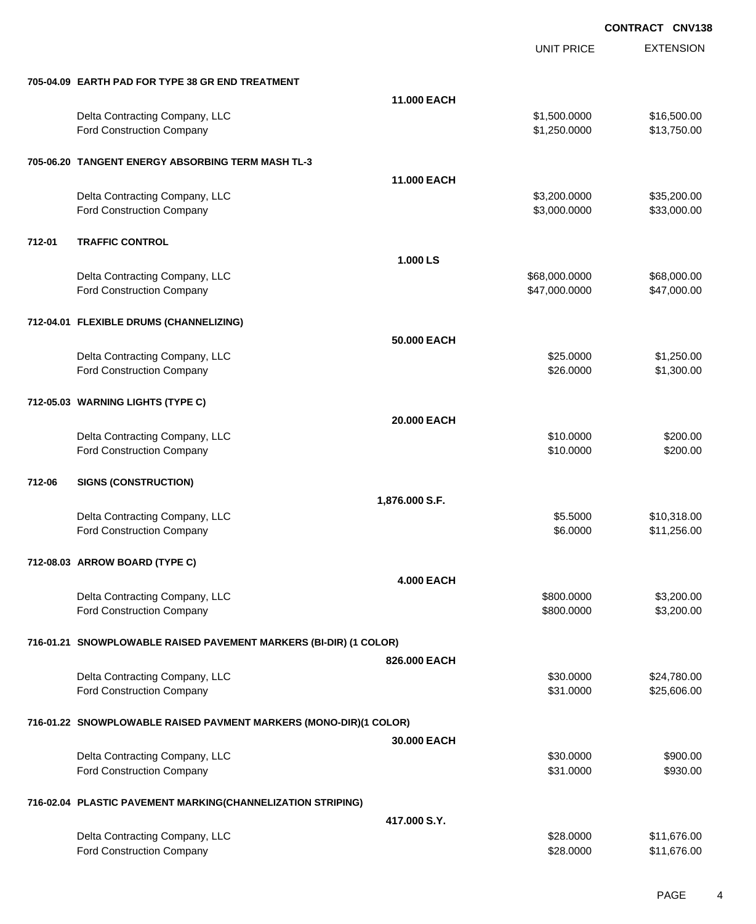|        |                                                                   |                   | <b>UNIT PRICE</b> | <b>EXTENSION</b> |
|--------|-------------------------------------------------------------------|-------------------|-------------------|------------------|
|        | 705-04.09 EARTH PAD FOR TYPE 38 GR END TREATMENT                  |                   |                   |                  |
|        |                                                                   | 11.000 EACH       |                   |                  |
|        | Delta Contracting Company, LLC                                    |                   | \$1,500.0000      | \$16,500.00      |
|        | Ford Construction Company                                         |                   | \$1,250.0000      | \$13,750.00      |
|        | 705-06.20 TANGENT ENERGY ABSORBING TERM MASH TL-3                 |                   |                   |                  |
|        |                                                                   | 11.000 EACH       |                   |                  |
|        | Delta Contracting Company, LLC                                    |                   | \$3,200.0000      | \$35,200.00      |
|        | Ford Construction Company                                         |                   | \$3,000.0000      | \$33,000.00      |
| 712-01 | <b>TRAFFIC CONTROL</b>                                            |                   |                   |                  |
|        |                                                                   | 1.000 LS          |                   |                  |
|        | Delta Contracting Company, LLC                                    |                   | \$68,000.0000     | \$68,000.00      |
|        | Ford Construction Company                                         |                   | \$47,000.0000     | \$47,000.00      |
|        | 712-04.01 FLEXIBLE DRUMS (CHANNELIZING)                           |                   |                   |                  |
|        |                                                                   | 50.000 EACH       |                   |                  |
|        | Delta Contracting Company, LLC                                    |                   | \$25.0000         | \$1,250.00       |
|        | <b>Ford Construction Company</b>                                  |                   | \$26.0000         | \$1,300.00       |
|        | 712-05.03 WARNING LIGHTS (TYPE C)                                 |                   |                   |                  |
|        |                                                                   | 20.000 EACH       |                   |                  |
|        | Delta Contracting Company, LLC                                    |                   | \$10.0000         | \$200.00         |
|        | Ford Construction Company                                         |                   | \$10.0000         | \$200.00         |
| 712-06 | <b>SIGNS (CONSTRUCTION)</b>                                       |                   |                   |                  |
|        |                                                                   | 1,876.000 S.F.    |                   |                  |
|        | Delta Contracting Company, LLC                                    |                   | \$5.5000          | \$10,318.00      |
|        | Ford Construction Company                                         |                   | \$6.0000          | \$11,256.00      |
|        | 712-08.03 ARROW BOARD (TYPE C)                                    |                   |                   |                  |
|        |                                                                   | <b>4.000 EACH</b> |                   |                  |
|        | Delta Contracting Company, LLC                                    |                   | \$800.0000        | \$3,200.00       |
|        | Ford Construction Company                                         |                   | \$800.0000        | \$3,200.00       |
|        | 716-01.21 SNOWPLOWABLE RAISED PAVEMENT MARKERS (BI-DIR) (1 COLOR) |                   |                   |                  |
|        |                                                                   | 826.000 EACH      |                   |                  |
|        | Delta Contracting Company, LLC                                    |                   | \$30.0000         | \$24,780.00      |
|        | Ford Construction Company                                         |                   | \$31.0000         | \$25,606.00      |
|        | 716-01.22 SNOWPLOWABLE RAISED PAVMENT MARKERS (MONO-DIR)(1 COLOR) |                   |                   |                  |
|        |                                                                   | 30.000 EACH       |                   |                  |
|        | Delta Contracting Company, LLC                                    |                   | \$30.0000         | \$900.00         |
|        | Ford Construction Company                                         |                   | \$31.0000         | \$930.00         |
|        | 716-02.04 PLASTIC PAVEMENT MARKING(CHANNELIZATION STRIPING)       |                   |                   |                  |
|        |                                                                   | 417.000 S.Y.      |                   |                  |
|        | Delta Contracting Company, LLC                                    |                   | \$28.0000         | \$11,676.00      |
|        | Ford Construction Company                                         |                   | \$28.0000         | \$11,676.00      |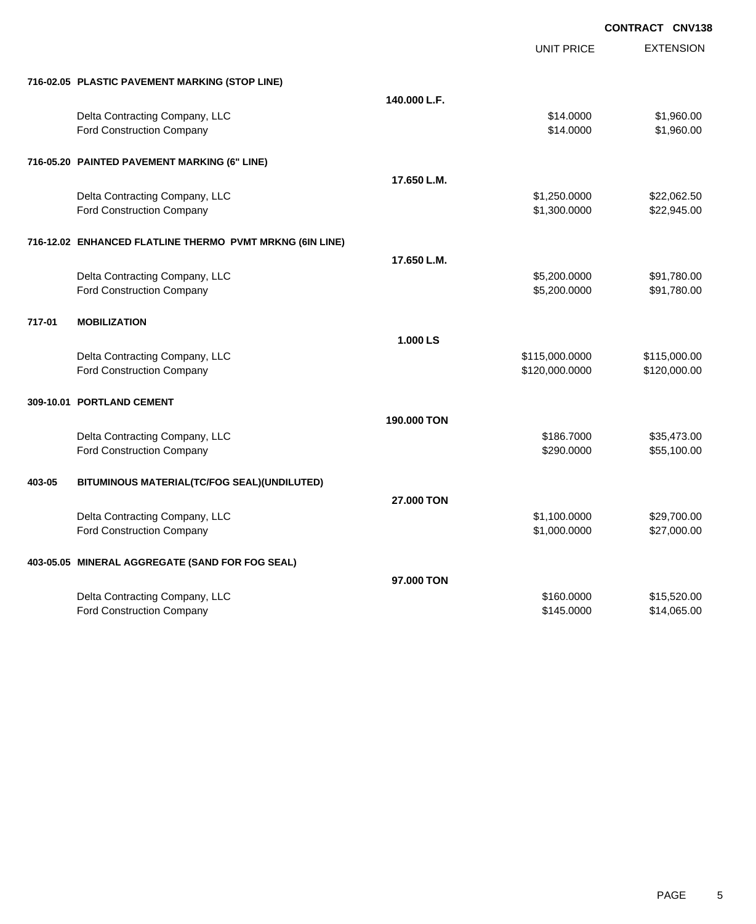**EXTENSION CONTRACT CNV138** UNIT PRICE **716-02.05 PLASTIC PAVEMENT MARKING (STOP LINE) 140.000 L.F.** Delta Contracting Company, LLC 61.960.00 \$1,960.00 Ford Construction Company 61,960.00 \$1,960.00 **716-05.20 PAINTED PAVEMENT MARKING (6" LINE) 17.650 L.M.** Delta Contracting Company, LLC 6. The contracting Company, LLC 6. The contracting Company, LLC 6. The contraction of the contraction of  $\frac{1}{2}$ ,062.50 Ford Construction Company 622,945.00 **716-12.02 ENHANCED FLATLINE THERMO PVMT MRKNG (6IN LINE) 17.650 L.M.** Delta Contracting Company, LLC 6.0000 \$91,780.00 Ford Construction Company **65,200.0000** \$91,780.00 **717-01 MOBILIZATION 1.000 LS** Delta Contracting Company, LLC 6. 2012 12:00:000 \$115,000.000 \$115,000.000 \$115,000.000 \$115,000.00 Ford Construction Company 6120,000 \$120,000 \$120,000 \$120,000 \$120,000 \$120,000 \$120,000 \$120,000 \$120,000 \$120 **309-10.01 PORTLAND CEMENT 190.000 TON** Delta Contracting Company, LLC 6. The state of the state of the state of the state of the state of the state of the state of the state of the state of the state of the state of the state of the state of the state of the st Ford Construction Company **655,100.00** \$55,100.00 **403-05 BITUMINOUS MATERIAL(TC/FOG SEAL)(UNDILUTED) 27.000 TON** Delta Contracting Company, LLC 6. 2002. The state of the state of the state of the state of the state of the state of the state of the state of the state of the state of the state of the state of the state of the state of Ford Construction Company 627,000.000 \$27,000.000 \$27,000.000 \$27,000.000 \$27,000.00 **403-05.05 MINERAL AGGREGATE (SAND FOR FOG SEAL) 97.000 TON** Delta Contracting Company, LLC **60000 \$15,520.00** \$15,520.00 Ford Construction Company 614,065.00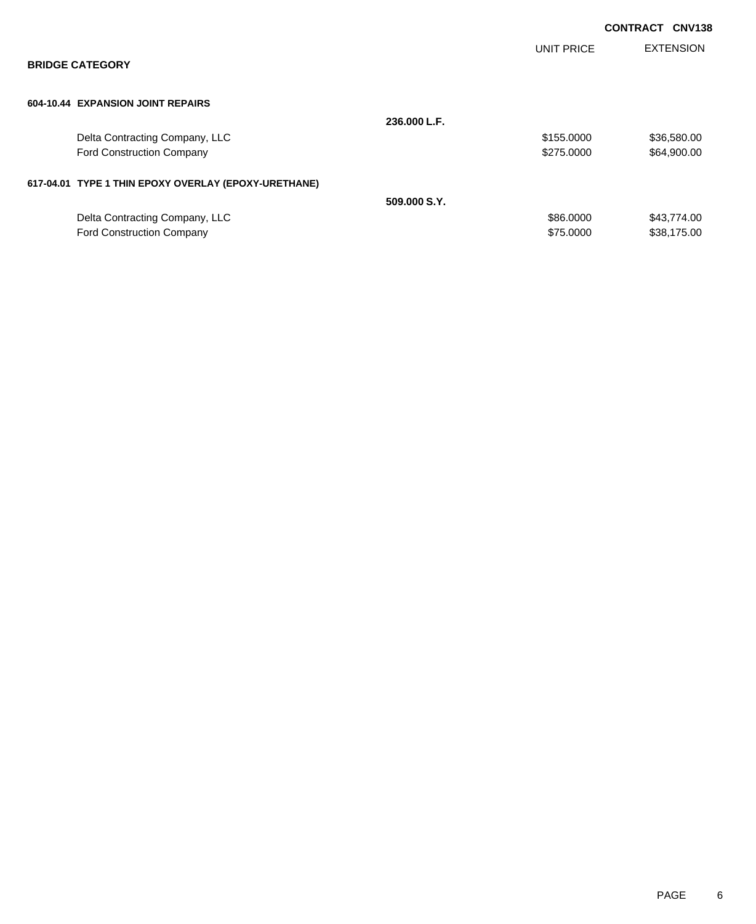|                                                      |              |                   | <b>CONTRACT</b> | <b>CNV138</b>    |
|------------------------------------------------------|--------------|-------------------|-----------------|------------------|
| <b>BRIDGE CATEGORY</b>                               |              | <b>UNIT PRICE</b> |                 | <b>EXTENSION</b> |
| 604-10.44 EXPANSION JOINT REPAIRS                    |              |                   |                 |                  |
|                                                      | 236.000 L.F. |                   |                 |                  |
| Delta Contracting Company, LLC                       |              | \$155.0000        |                 | \$36,580.00      |
| <b>Ford Construction Company</b>                     |              | \$275,0000        |                 | \$64,900.00      |
| 617-04.01 TYPE 1 THIN EPOXY OVERLAY (EPOXY-URETHANE) |              |                   |                 |                  |
|                                                      | 509.000 S.Y. |                   |                 |                  |
| Delta Contracting Company, LLC                       |              | \$86.0000         |                 | \$43,774.00      |
| <b>Ford Construction Company</b>                     |              | \$75.0000         |                 | \$38,175.00      |
|                                                      |              |                   |                 |                  |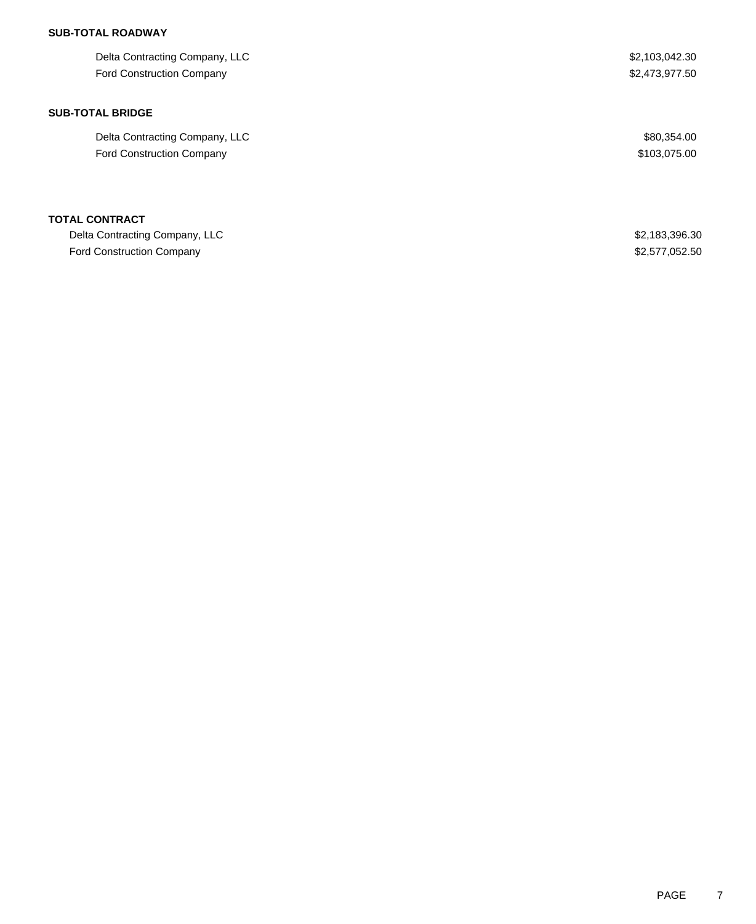| Delta Contracting Company, LLC   | \$2,103,042.30 |
|----------------------------------|----------------|
| <b>Ford Construction Company</b> | \$2,473,977.50 |
|                                  |                |
| <b>SUB-TOTAL BRIDGE</b>          |                |
| Delta Contracting Company, LLC   | \$80,354.00    |
| <b>Ford Construction Company</b> | \$103,075.00   |
|                                  |                |
|                                  |                |
| <b>TOTAL CONTRACT</b>            |                |
| Delta Contracting Company, LLC   | \$2,183,396.30 |
| Ford Construction Company        | \$2,577,052.50 |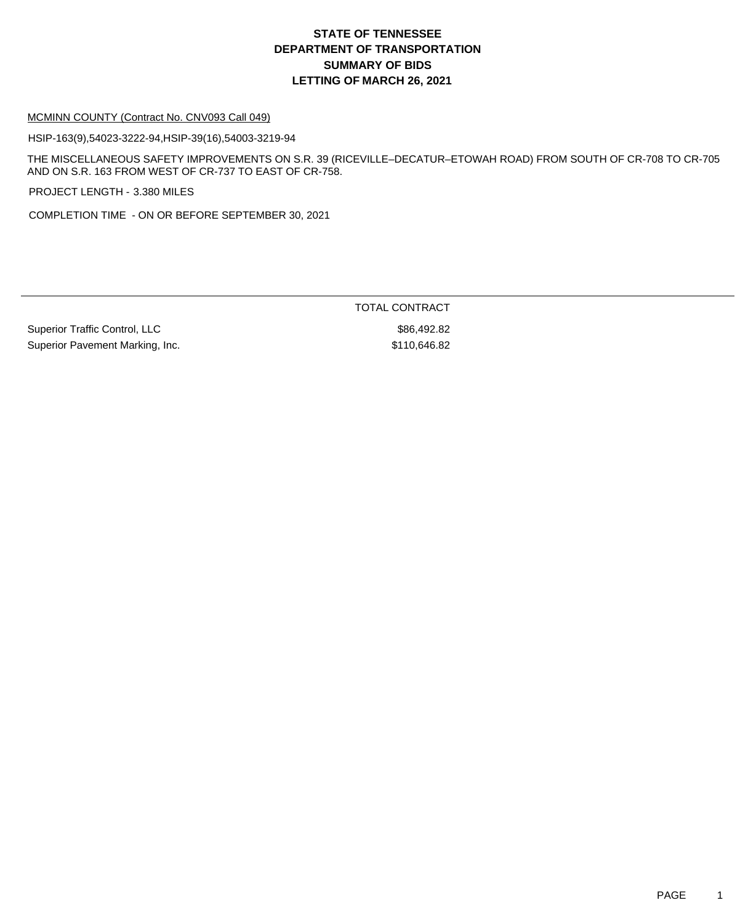#### MCMINN COUNTY (Contract No. CNV093 Call 049)

HSIP-163(9),54023-3222-94,HSIP-39(16),54003-3219-94

THE MISCELLANEOUS SAFETY IMPROVEMENTS ON S.R. 39 (RICEVILLE–DECATUR–ETOWAH ROAD) FROM SOUTH OF CR-708 TO CR-705 AND ON S.R. 163 FROM WEST OF CR-737 TO EAST OF CR-758.

PROJECT LENGTH - 3.380 MILES

COMPLETION TIME - ON OR BEFORE SEPTEMBER 30, 2021

Superior Traffic Control, LLC \$86,492.82 Superior Pavement Marking, Inc. 69 and the state of the state of the state of the state of the state of the state of the state of the state of the state of the state of the state of the state of the state of the state of t

TOTAL CONTRACT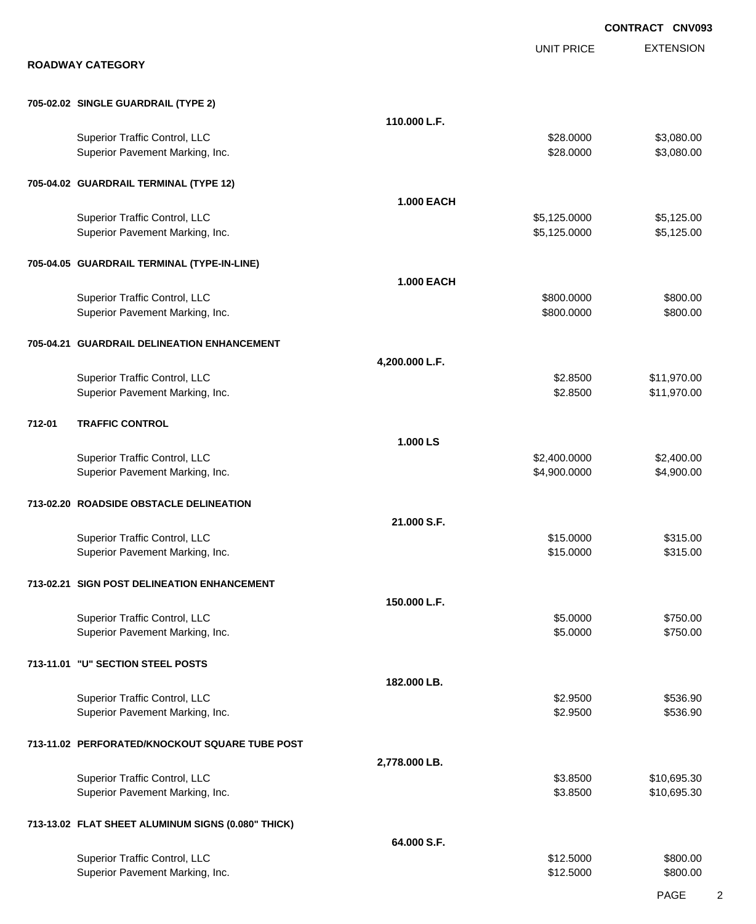|        |                                                                  |                   |                              | <b>CONTRACT CNV093</b>     |
|--------|------------------------------------------------------------------|-------------------|------------------------------|----------------------------|
|        | <b>ROADWAY CATEGORY</b>                                          |                   | <b>UNIT PRICE</b>            | <b>EXTENSION</b>           |
|        |                                                                  |                   |                              |                            |
|        | 705-02.02 SINGLE GUARDRAIL (TYPE 2)                              |                   |                              |                            |
|        |                                                                  | 110.000 L.F.      |                              |                            |
|        | Superior Traffic Control, LLC<br>Superior Pavement Marking, Inc. |                   | \$28.0000<br>\$28.0000       | \$3,080.00<br>\$3,080.00   |
|        | 705-04.02 GUARDRAIL TERMINAL (TYPE 12)                           |                   |                              |                            |
|        |                                                                  | <b>1.000 EACH</b> |                              |                            |
|        | Superior Traffic Control, LLC<br>Superior Pavement Marking, Inc. |                   | \$5,125.0000<br>\$5,125.0000 | \$5,125.00<br>\$5,125.00   |
|        | 705-04.05 GUARDRAIL TERMINAL (TYPE-IN-LINE)                      |                   |                              |                            |
|        |                                                                  | <b>1.000 EACH</b> |                              |                            |
|        | Superior Traffic Control, LLC                                    |                   | \$800.0000                   | \$800.00                   |
|        | Superior Pavement Marking, Inc.                                  |                   | \$800.0000                   | \$800.00                   |
|        | 705-04.21 GUARDRAIL DELINEATION ENHANCEMENT                      |                   |                              |                            |
|        |                                                                  | 4,200.000 L.F.    |                              |                            |
|        | Superior Traffic Control, LLC<br>Superior Pavement Marking, Inc. |                   | \$2.8500<br>\$2.8500         | \$11,970.00<br>\$11,970.00 |
| 712-01 | <b>TRAFFIC CONTROL</b>                                           |                   |                              |                            |
|        |                                                                  | 1.000 LS          |                              |                            |
|        | Superior Traffic Control, LLC                                    |                   | \$2,400.0000                 | \$2,400.00                 |
|        | Superior Pavement Marking, Inc.                                  |                   | \$4,900.0000                 | \$4,900.00                 |
|        | 713-02.20 ROADSIDE OBSTACLE DELINEATION                          |                   |                              |                            |
|        |                                                                  | 21.000 S.F.       |                              |                            |
|        | Superior Traffic Control, LLC                                    |                   | \$15.0000                    | \$315.00                   |
|        | Superior Pavement Marking, Inc.                                  |                   | \$15.0000                    | \$315.00                   |
|        | 713-02.21 SIGN POST DELINEATION ENHANCEMENT                      |                   |                              |                            |
|        |                                                                  | 150.000 L.F.      |                              |                            |
|        | Superior Traffic Control, LLC<br>Superior Pavement Marking, Inc. |                   | \$5.0000<br>\$5.0000         | \$750.00<br>\$750.00       |
|        | 713-11.01 "U" SECTION STEEL POSTS                                |                   |                              |                            |
|        |                                                                  | 182.000 LB.       |                              |                            |
|        | Superior Traffic Control, LLC                                    |                   | \$2.9500                     | \$536.90                   |
|        | Superior Pavement Marking, Inc.                                  |                   | \$2.9500                     | \$536.90                   |
|        | 713-11.02 PERFORATED/KNOCKOUT SQUARE TUBE POST                   |                   |                              |                            |
|        |                                                                  | 2,778.000 LB.     |                              |                            |
|        | Superior Traffic Control, LLC<br>Superior Pavement Marking, Inc. |                   | \$3.8500<br>\$3.8500         | \$10,695.30<br>\$10,695.30 |
|        | 713-13.02 FLAT SHEET ALUMINUM SIGNS (0.080" THICK)               |                   |                              |                            |
|        |                                                                  | 64.000 S.F.       |                              |                            |
|        | Superior Traffic Control, LLC                                    |                   | \$12.5000                    | \$800.00                   |
|        | Superior Pavement Marking, Inc.                                  |                   | \$12.5000                    | \$800.00                   |
|        |                                                                  |                   |                              |                            |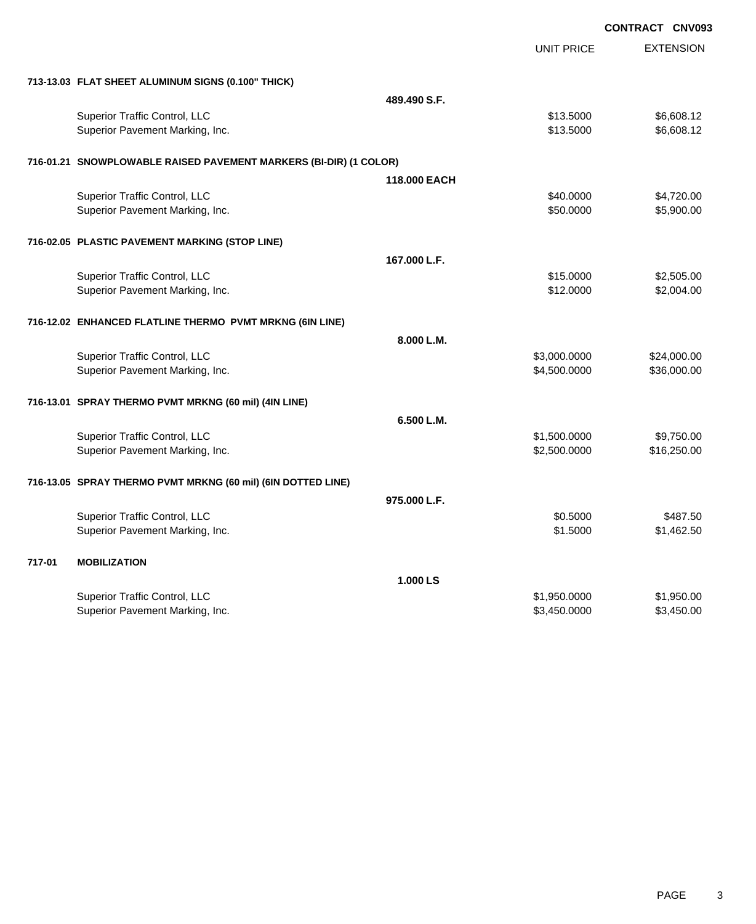|                                                                   |              | <b>CONTRACT CNV093</b> |                  |
|-------------------------------------------------------------------|--------------|------------------------|------------------|
|                                                                   |              | <b>UNIT PRICE</b>      | <b>EXTENSION</b> |
| 713-13.03 FLAT SHEET ALUMINUM SIGNS (0.100" THICK)                |              |                        |                  |
|                                                                   | 489.490 S.F. |                        |                  |
| Superior Traffic Control, LLC                                     |              | \$13.5000              | \$6,608.12       |
| Superior Pavement Marking, Inc.                                   |              | \$13.5000              | \$6,608.12       |
| 716-01.21 SNOWPLOWABLE RAISED PAVEMENT MARKERS (BI-DIR) (1 COLOR) |              |                        |                  |
|                                                                   | 118,000 EACH |                        |                  |
| <b>Superior Traffic Control, LLC</b>                              |              | \$40.0000              | \$4,720.00       |
| Superior Pavement Marking, Inc.                                   |              | \$50,0000              | \$5,900.00       |
| 716-02.05 PLASTIC PAVEMENT MARKING (STOP LINE)                    |              |                        |                  |
|                                                                   | 167.000 L.F. |                        |                  |
| Superior Traffic Control, LLC                                     |              | \$15.0000              | \$2,505.00       |
| Superior Pavement Marking, Inc.                                   |              | \$12.0000              | \$2,004.00       |
| 716-12.02 ENHANCED FLATLINE THERMO PVMT MRKNG (6IN LINE)          |              |                        |                  |
|                                                                   | 8.000 L.M.   |                        |                  |
| Superior Traffic Control, LLC                                     |              | \$3,000.0000           | \$24,000.00      |
| Superior Pavement Marking, Inc.                                   |              | \$4,500.0000           | \$36,000.00      |
| 716-13.01 SPRAY THERMO PVMT MRKNG (60 mil) (4IN LINE)             |              |                        |                  |
|                                                                   | 6.500 L.M.   |                        |                  |
| Superior Traffic Control, LLC                                     |              | \$1,500.0000           | \$9,750.00       |
| Superior Pavement Marking, Inc.                                   |              | \$2,500.0000           | \$16,250.00      |
| 716-13.05 SPRAY THERMO PVMT MRKNG (60 mil) (6IN DOTTED LINE)      |              |                        |                  |
|                                                                   | 975,000 L.F. |                        |                  |
| Superior Traffic Control, LLC                                     |              | \$0.5000               | \$487.50         |
| Superior Pavement Marking, Inc.                                   |              | \$1.5000               | \$1,462.50       |
| 717-01<br><b>MOBILIZATION</b>                                     |              |                        |                  |
|                                                                   | 1.000 LS     |                        |                  |
| <b>Superior Traffic Control, LLC</b>                              |              | \$1,950.0000           | \$1,950.00       |
| Superior Pavement Marking, Inc.                                   |              | \$3,450.0000           | \$3,450.00       |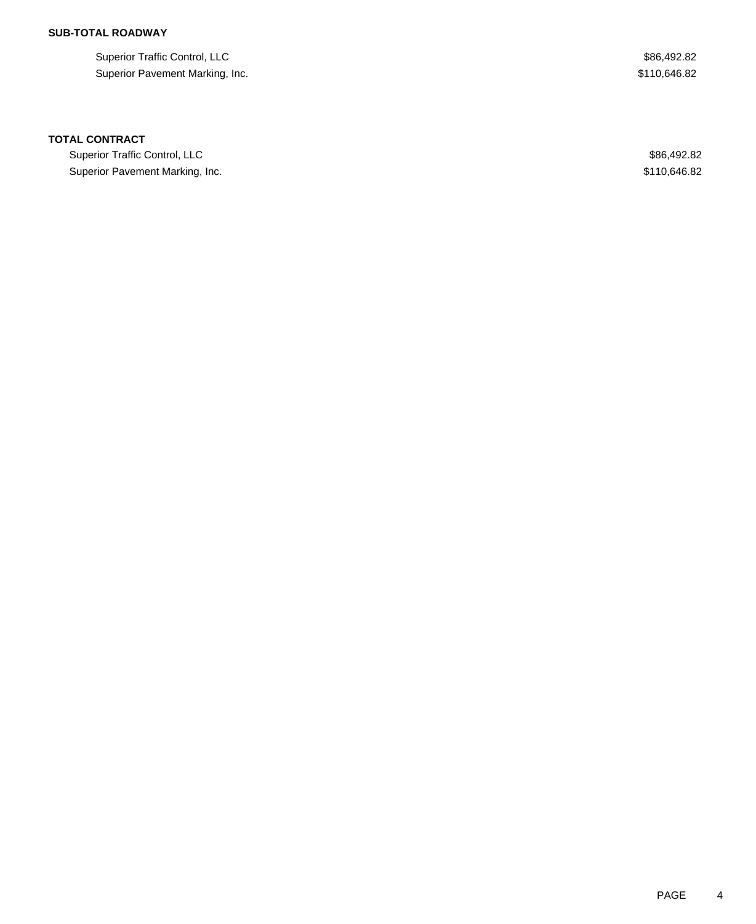Superior Traffic Control, LLC \$86,492.82 Superior Pavement Marking, Inc. 69 and the state of the state of the state of the state of the state of the state of the state of the state of the state of the state of the state of the state of the state of the state of t

### **TOTAL CONTRACT**

Superior Traffic Control, LLC \$86,492.82 Superior Pavement Marking, Inc. 69. The Superior Pavement Marking, Inc. 69. The Superior Pavement Marking, Inc.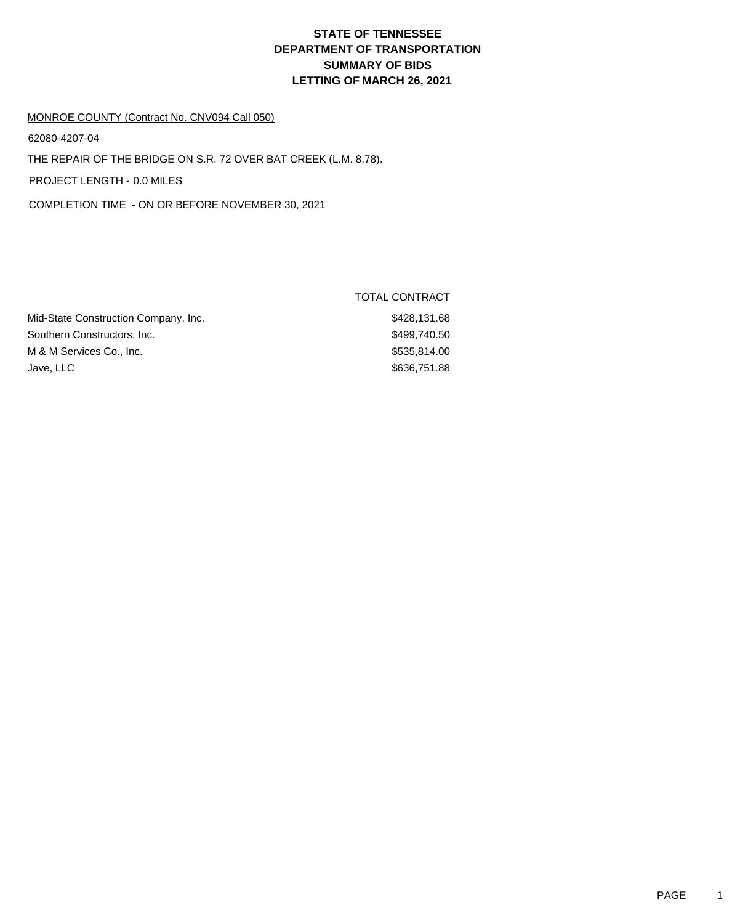#### MONROE COUNTY (Contract No. CNV094 Call 050)

62080-4207-04

THE REPAIR OF THE BRIDGE ON S.R. 72 OVER BAT CREEK (L.M. 8.78).

PROJECT LENGTH - 0.0 MILES

COMPLETION TIME - ON OR BEFORE NOVEMBER 30, 2021

|                                      | <b>TOTAL CONTRACT</b> |
|--------------------------------------|-----------------------|
| Mid-State Construction Company, Inc. | \$428,131.68          |
| Southern Constructors, Inc.          | \$499,740.50          |
| M & M Services Co., Inc.             | \$535,814.00          |
| Jave, LLC                            | \$636,751.88          |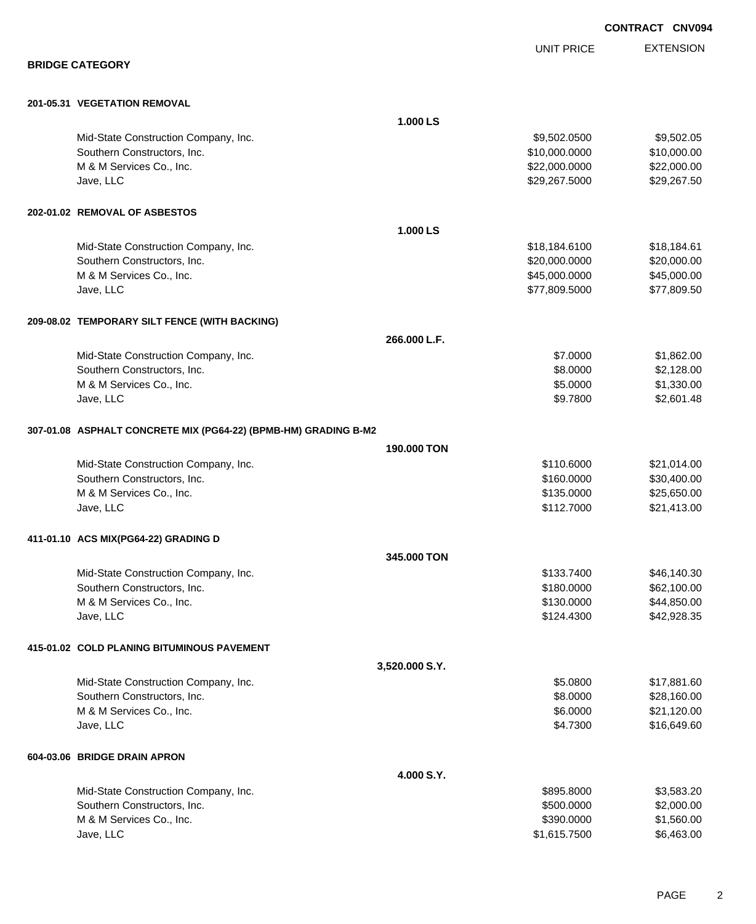|                                                                 |                    |                            | CONTRACT CNV094          |
|-----------------------------------------------------------------|--------------------|----------------------------|--------------------------|
|                                                                 |                    | <b>UNIT PRICE</b>          | <b>EXTENSION</b>         |
| <b>BRIDGE CATEGORY</b>                                          |                    |                            |                          |
| 201-05.31 VEGETATION REMOVAL                                    |                    |                            |                          |
|                                                                 | 1.000 LS           |                            |                          |
| Mid-State Construction Company, Inc.                            |                    | \$9,502.0500               | \$9,502.05               |
| Southern Constructors, Inc.                                     |                    | \$10,000.0000              | \$10,000.00              |
| M & M Services Co., Inc.                                        |                    | \$22,000.0000              | \$22,000.00              |
| Jave, LLC                                                       |                    | \$29,267.5000              | \$29,267.50              |
| 202-01.02 REMOVAL OF ASBESTOS                                   |                    |                            |                          |
|                                                                 | 1.000 LS           |                            |                          |
| Mid-State Construction Company, Inc.                            |                    | \$18,184.6100              | \$18,184.61              |
| Southern Constructors, Inc.                                     |                    | \$20,000.0000              | \$20,000.00              |
| M & M Services Co., Inc.                                        |                    | \$45,000.0000              | \$45,000.00              |
| Jave, LLC                                                       |                    | \$77,809.5000              | \$77,809.50              |
| 209-08.02 TEMPORARY SILT FENCE (WITH BACKING)                   |                    |                            |                          |
|                                                                 | 266.000 L.F.       |                            |                          |
| Mid-State Construction Company, Inc.                            |                    | \$7.0000                   | \$1,862.00               |
| Southern Constructors, Inc.                                     |                    | \$8.0000                   | \$2,128.00               |
| M & M Services Co., Inc.                                        |                    | \$5.0000                   | \$1,330.00               |
| Jave, LLC                                                       |                    | \$9.7800                   | \$2,601.48               |
| 307-01.08 ASPHALT CONCRETE MIX (PG64-22) (BPMB-HM) GRADING B-M2 |                    |                            |                          |
|                                                                 | <b>190,000 TON</b> |                            |                          |
| Mid-State Construction Company, Inc.                            |                    | \$110.6000                 | \$21,014.00              |
| Southern Constructors, Inc.                                     |                    | \$160.0000                 | \$30,400.00              |
| M & M Services Co., Inc.                                        |                    | \$135.0000                 | \$25,650.00              |
| Jave, LLC                                                       |                    | \$112.7000                 | \$21,413.00              |
| 411-01.10 ACS MIX(PG64-22) GRADING D                            |                    |                            |                          |
|                                                                 | 345,000 TON        |                            |                          |
| Mid-State Construction Company, Inc.                            |                    | \$133.7400                 | \$46,140.30              |
| Southern Constructors, Inc.                                     |                    | \$180.0000                 | \$62,100.00              |
| M & M Services Co., Inc.                                        |                    | \$130.0000                 | \$44,850.00              |
| Jave, LLC                                                       |                    | \$124.4300                 | \$42,928.35              |
| 415-01.02 COLD PLANING BITUMINOUS PAVEMENT                      |                    |                            |                          |
|                                                                 | 3,520.000 S.Y.     |                            |                          |
| Mid-State Construction Company, Inc.                            |                    | \$5.0800                   | \$17,881.60              |
| Southern Constructors, Inc.                                     |                    | \$8.0000                   | \$28,160.00              |
| M & M Services Co., Inc.                                        |                    | \$6.0000                   | \$21,120.00              |
| Jave, LLC                                                       |                    | \$4.7300                   | \$16,649.60              |
| 604-03.06 BRIDGE DRAIN APRON                                    |                    |                            |                          |
|                                                                 | 4.000 S.Y.         |                            |                          |
| Mid-State Construction Company, Inc.                            |                    | \$895.8000                 | \$3,583.20               |
| Southern Constructors, Inc.                                     |                    | \$500.0000                 | \$2,000.00               |
| M & M Services Co., Inc.<br>Jave, LLC                           |                    | \$390.0000<br>\$1,615.7500 | \$1,560.00<br>\$6,463.00 |
|                                                                 |                    |                            |                          |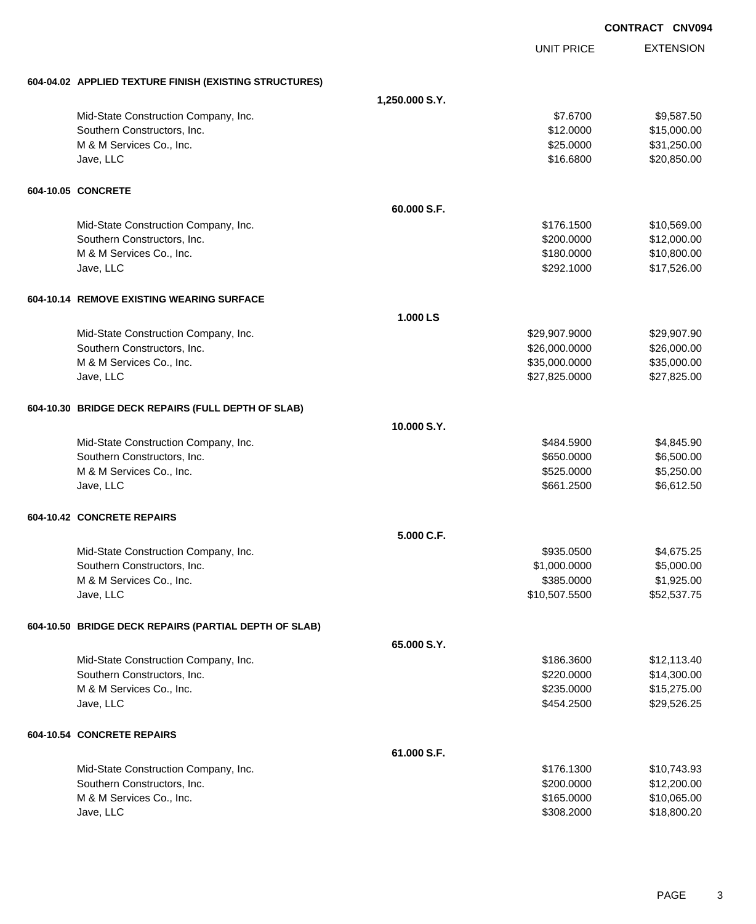|                                                        | <b>CONTRACT CNV094</b> |                   |                  |
|--------------------------------------------------------|------------------------|-------------------|------------------|
|                                                        |                        | <b>UNIT PRICE</b> | <b>EXTENSION</b> |
| 604-04.02 APPLIED TEXTURE FINISH (EXISTING STRUCTURES) |                        |                   |                  |
|                                                        | 1,250.000 S.Y.         |                   |                  |
| Mid-State Construction Company, Inc.                   |                        | \$7.6700          | \$9,587.50       |
| Southern Constructors, Inc.                            |                        | \$12.0000         | \$15,000.00      |
| M & M Services Co., Inc.                               |                        | \$25.0000         | \$31,250.00      |
| Jave, LLC                                              |                        | \$16.6800         | \$20,850.00      |
| 604-10.05 CONCRETE                                     |                        |                   |                  |
|                                                        | 60.000 S.F.            |                   |                  |
| Mid-State Construction Company, Inc.                   |                        | \$176.1500        | \$10,569.00      |
| Southern Constructors, Inc.                            |                        | \$200.0000        | \$12,000.00      |
| M & M Services Co., Inc.                               |                        | \$180.0000        | \$10,800.00      |
| Jave, LLC                                              |                        | \$292.1000        | \$17,526.00      |
| 604-10.14 REMOVE EXISTING WEARING SURFACE              |                        |                   |                  |
|                                                        | 1.000 LS               |                   |                  |
| Mid-State Construction Company, Inc.                   |                        | \$29,907.9000     | \$29,907.90      |
| Southern Constructors, Inc.                            |                        | \$26,000.0000     | \$26,000.00      |
| M & M Services Co., Inc.                               |                        | \$35,000.0000     | \$35,000.00      |
| Jave, LLC                                              |                        | \$27,825.0000     | \$27,825.00      |
| 604-10.30 BRIDGE DECK REPAIRS (FULL DEPTH OF SLAB)     |                        |                   |                  |
|                                                        | 10.000 S.Y.            |                   |                  |
| Mid-State Construction Company, Inc.                   |                        | \$484.5900        | \$4,845.90       |
| Southern Constructors, Inc.                            |                        | \$650.0000        | \$6,500.00       |
| M & M Services Co., Inc.                               |                        | \$525.0000        | \$5,250.00       |
| Jave, LLC                                              |                        | \$661.2500        | \$6,612.50       |
| 604-10.42 CONCRETE REPAIRS                             |                        |                   |                  |
|                                                        | 5.000 C.F.             |                   |                  |
| Mid-State Construction Company, Inc.                   |                        | \$935.0500        | \$4,675.25       |
| Southern Constructors, Inc.                            |                        | \$1,000.0000      | \$5,000.00       |
| M & M Services Co., Inc.                               |                        | \$385.0000        | \$1,925.00       |
| Jave, LLC                                              |                        | \$10,507.5500     | \$52,537.75      |
| 604-10.50 BRIDGE DECK REPAIRS (PARTIAL DEPTH OF SLAB)  |                        |                   |                  |
|                                                        | 65.000 S.Y.            |                   |                  |
| Mid-State Construction Company, Inc.                   |                        | \$186.3600        | \$12,113.40      |
| Southern Constructors, Inc.                            |                        | \$220.0000        | \$14,300.00      |
| M & M Services Co., Inc.                               |                        | \$235.0000        | \$15,275.00      |
| Jave, LLC                                              |                        | \$454.2500        | \$29,526.25      |
| 604-10.54 CONCRETE REPAIRS                             |                        |                   |                  |
|                                                        | 61.000 S.F.            |                   |                  |
| Mid-State Construction Company, Inc.                   |                        | \$176.1300        | \$10,743.93      |
| Southern Constructors, Inc.                            |                        | \$200.0000        | \$12,200.00      |
| M & M Services Co., Inc.                               |                        | \$165.0000        | \$10,065.00      |
| Jave, LLC                                              |                        | \$308.2000        | \$18,800.20      |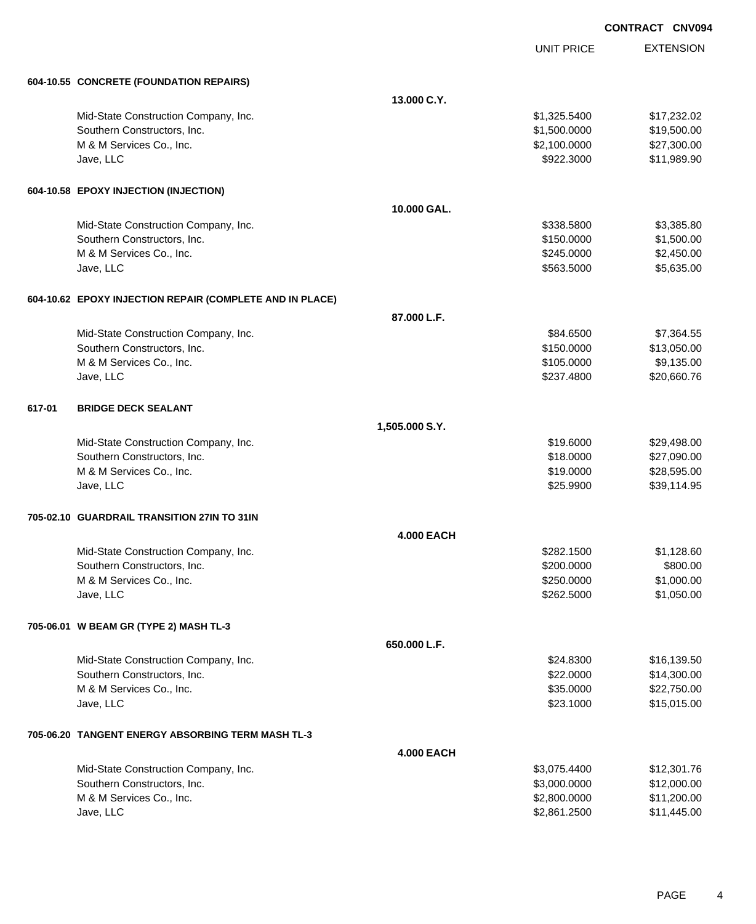| <b>CONTRACT</b> | <b>CNV094</b> |
|-----------------|---------------|
|                 |               |

|        |                                                          |                   | <b>UNIT PRICE</b> | <b>EXTENSION</b> |
|--------|----------------------------------------------------------|-------------------|-------------------|------------------|
|        | 604-10.55 CONCRETE (FOUNDATION REPAIRS)                  |                   |                   |                  |
|        |                                                          | 13.000 C.Y.       |                   |                  |
|        | Mid-State Construction Company, Inc.                     |                   | \$1,325.5400      | \$17,232.02      |
|        | Southern Constructors, Inc.                              |                   | \$1,500.0000      | \$19,500.00      |
|        | M & M Services Co., Inc.                                 |                   | \$2,100.0000      | \$27,300.00      |
|        | Jave, LLC                                                |                   | \$922.3000        | \$11,989.90      |
|        | 604-10.58 EPOXY INJECTION (INJECTION)                    |                   |                   |                  |
|        |                                                          | 10.000 GAL.       |                   |                  |
|        | Mid-State Construction Company, Inc.                     |                   | \$338.5800        | \$3,385.80       |
|        | Southern Constructors, Inc.                              |                   | \$150.0000        | \$1,500.00       |
|        | M & M Services Co., Inc.                                 |                   | \$245.0000        | \$2,450.00       |
|        | Jave, LLC                                                |                   | \$563.5000        | \$5,635.00       |
|        | 604-10.62 EPOXY INJECTION REPAIR (COMPLETE AND IN PLACE) |                   |                   |                  |
|        |                                                          | 87.000 L.F.       |                   |                  |
|        | Mid-State Construction Company, Inc.                     |                   | \$84.6500         | \$7,364.55       |
|        | Southern Constructors, Inc.                              |                   | \$150.0000        | \$13,050.00      |
|        | M & M Services Co., Inc.                                 |                   | \$105.0000        | \$9,135.00       |
|        | Jave, LLC                                                |                   | \$237.4800        | \$20,660.76      |
| 617-01 | <b>BRIDGE DECK SEALANT</b>                               |                   |                   |                  |
|        |                                                          | 1,505.000 S.Y.    |                   |                  |
|        | Mid-State Construction Company, Inc.                     |                   | \$19.6000         | \$29,498.00      |
|        | Southern Constructors, Inc.                              |                   | \$18.0000         | \$27,090.00      |
|        | M & M Services Co., Inc.                                 |                   | \$19.0000         | \$28,595.00      |
|        | Jave, LLC                                                |                   | \$25.9900         | \$39,114.95      |
|        | 705-02.10 GUARDRAIL TRANSITION 27IN TO 31IN              |                   |                   |                  |
|        |                                                          | <b>4.000 EACH</b> |                   |                  |
|        | Mid-State Construction Company, Inc.                     |                   | \$282.1500        | \$1,128.60       |
|        | Southern Constructors, Inc.                              |                   | \$200.0000        | \$800.00         |
|        | M & M Services Co., Inc.                                 |                   | \$250.0000        | \$1,000.00       |
|        | Jave, LLC                                                |                   | \$262.5000        | \$1,050.00       |
|        | 705-06.01 W BEAM GR (TYPE 2) MASH TL-3                   |                   |                   |                  |
|        |                                                          | 650.000 L.F.      |                   |                  |
|        | Mid-State Construction Company, Inc.                     |                   | \$24.8300         | \$16,139.50      |
|        | Southern Constructors, Inc.                              |                   | \$22.0000         | \$14,300.00      |
|        | M & M Services Co., Inc.                                 |                   | \$35.0000         | \$22,750.00      |
|        | Jave, LLC                                                |                   | \$23.1000         | \$15,015.00      |
|        | 705-06.20   TANGENT ENERGY ABSORBING TERM MASH TL-3      |                   |                   |                  |
|        |                                                          | <b>4.000 EACH</b> |                   |                  |
|        | Mid-State Construction Company, Inc.                     |                   | \$3,075.4400      | \$12,301.76      |
|        | Southern Constructors, Inc.                              |                   | \$3,000.0000      | \$12,000.00      |
|        | M & M Services Co., Inc.                                 |                   | \$2,800.0000      | \$11,200.00      |
|        | Jave, LLC                                                |                   | \$2,861.2500      | \$11,445.00      |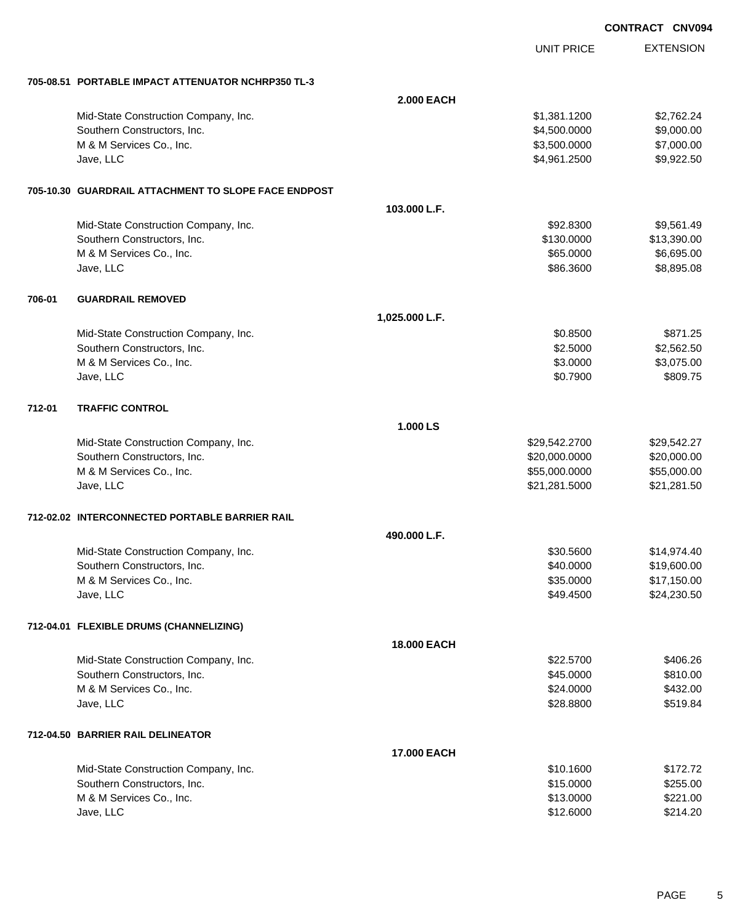|        |                                                      |                    |                   | <b>CONTRACT CNV094</b> |
|--------|------------------------------------------------------|--------------------|-------------------|------------------------|
|        |                                                      |                    | <b>UNIT PRICE</b> | <b>EXTENSION</b>       |
|        | 705-08.51 PORTABLE IMPACT ATTENUATOR NCHRP350 TL-3   |                    |                   |                        |
|        |                                                      | <b>2.000 EACH</b>  |                   |                        |
|        | Mid-State Construction Company, Inc.                 |                    | \$1,381.1200      | \$2,762.24             |
|        | Southern Constructors, Inc.                          |                    | \$4,500.0000      | \$9,000.00             |
|        | M & M Services Co., Inc.                             |                    | \$3,500.0000      | \$7,000.00             |
|        | Jave, LLC                                            |                    | \$4,961.2500      | \$9,922.50             |
|        | 705-10.30 GUARDRAIL ATTACHMENT TO SLOPE FACE ENDPOST |                    |                   |                        |
|        |                                                      | 103.000 L.F.       |                   |                        |
|        | Mid-State Construction Company, Inc.                 |                    | \$92.8300         | \$9,561.49             |
|        | Southern Constructors, Inc.                          |                    | \$130.0000        | \$13,390.00            |
|        | M & M Services Co., Inc.                             |                    | \$65.0000         | \$6,695.00             |
|        | Jave, LLC                                            |                    | \$86.3600         | \$8,895.08             |
| 706-01 | <b>GUARDRAIL REMOVED</b>                             |                    |                   |                        |
|        |                                                      | 1,025.000 L.F.     |                   |                        |
|        | Mid-State Construction Company, Inc.                 |                    | \$0.8500          | \$871.25               |
|        | Southern Constructors, Inc.                          |                    | \$2.5000          | \$2,562.50             |
|        | M & M Services Co., Inc.                             |                    | \$3.0000          | \$3,075.00             |
|        | Jave, LLC                                            |                    | \$0.7900          | \$809.75               |
| 712-01 | <b>TRAFFIC CONTROL</b>                               |                    |                   |                        |
|        |                                                      | 1.000 LS           |                   |                        |
|        | Mid-State Construction Company, Inc.                 |                    | \$29,542.2700     | \$29,542.27            |
|        | Southern Constructors, Inc.                          |                    | \$20,000.0000     | \$20,000.00            |
|        | M & M Services Co., Inc.                             |                    | \$55,000.0000     | \$55,000.00            |
|        | Jave, LLC                                            |                    | \$21,281.5000     | \$21,281.50            |
|        | 712-02.02 INTERCONNECTED PORTABLE BARRIER RAIL       |                    |                   |                        |
|        |                                                      | 490.000 L.F.       |                   |                        |
|        | Mid-State Construction Company, Inc.                 |                    | \$30.5600         | \$14,974.40            |
|        | Southern Constructors, Inc.                          |                    | \$40.0000         | \$19,600.00            |
|        | M & M Services Co., Inc.                             |                    | \$35.0000         | \$17,150.00            |
|        | Jave, LLC                                            |                    | \$49.4500         | \$24,230.50            |
|        | 712-04.01 FLEXIBLE DRUMS (CHANNELIZING)              |                    |                   |                        |
|        |                                                      | <b>18.000 EACH</b> |                   |                        |
|        | Mid-State Construction Company, Inc.                 |                    | \$22.5700         | \$406.26               |
|        | Southern Constructors, Inc.                          |                    | \$45.0000         | \$810.00               |
|        | M & M Services Co., Inc.                             |                    | \$24.0000         | \$432.00               |
|        | Jave, LLC                                            |                    | \$28.8800         | \$519.84               |
|        | 712-04.50 BARRIER RAIL DELINEATOR                    |                    |                   |                        |
|        |                                                      | 17.000 EACH        |                   |                        |
|        | Mid-State Construction Company, Inc.                 |                    | \$10.1600         | \$172.72               |
|        | Southern Constructors, Inc.                          |                    | \$15.0000         | \$255.00               |
|        | M & M Services Co., Inc.                             |                    | \$13.0000         | \$221.00               |
|        | Jave, LLC                                            |                    | \$12.6000         | \$214.20               |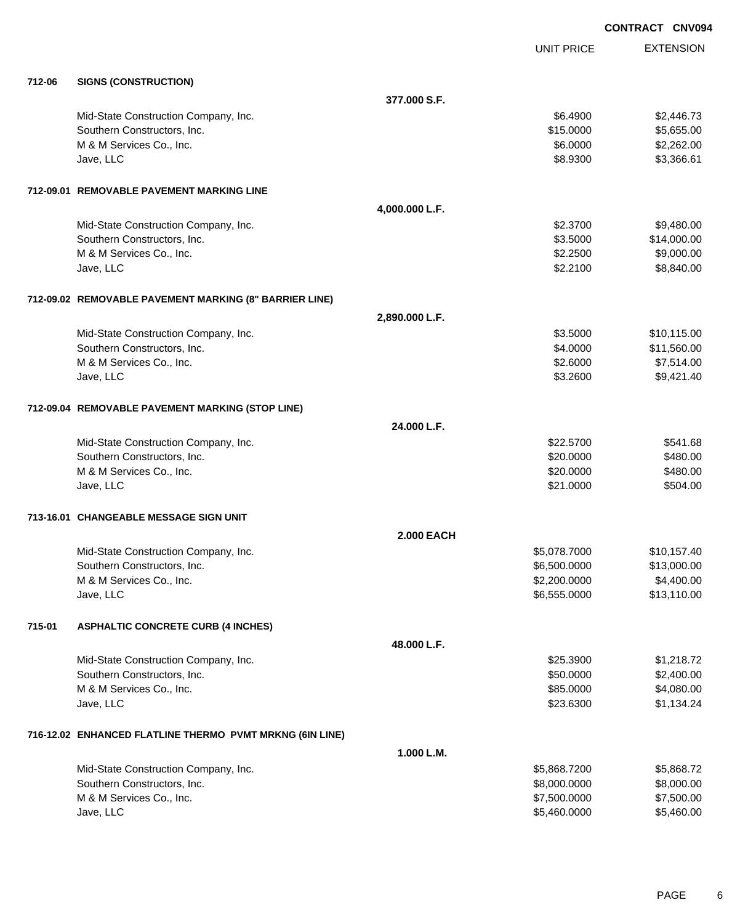|        |                                                          |                   |                   | <b>CONTRACT CNV094</b> |
|--------|----------------------------------------------------------|-------------------|-------------------|------------------------|
|        |                                                          |                   | <b>UNIT PRICE</b> | <b>EXTENSION</b>       |
| 712-06 | <b>SIGNS (CONSTRUCTION)</b>                              |                   |                   |                        |
|        |                                                          | 377,000 S.F.      |                   |                        |
|        | Mid-State Construction Company, Inc.                     |                   | \$6.4900          | \$2,446.73             |
|        | Southern Constructors, Inc.                              |                   | \$15.0000         | \$5,655.00             |
|        | M & M Services Co., Inc.                                 |                   | \$6.0000          | \$2,262.00             |
|        | Jave, LLC                                                |                   | \$8.9300          | \$3,366.61             |
|        | 712-09.01 REMOVABLE PAVEMENT MARKING LINE                |                   |                   |                        |
|        |                                                          | 4,000.000 L.F.    |                   |                        |
|        | Mid-State Construction Company, Inc.                     |                   | \$2.3700          | \$9,480.00             |
|        | Southern Constructors, Inc.                              |                   | \$3.5000          | \$14,000.00            |
|        | M & M Services Co., Inc.                                 |                   | \$2.2500          | \$9,000.00             |
|        | Jave, LLC                                                |                   | \$2.2100          | \$8,840.00             |
|        | 712-09.02 REMOVABLE PAVEMENT MARKING (8" BARRIER LINE)   |                   |                   |                        |
|        |                                                          | 2,890.000 L.F.    |                   |                        |
|        | Mid-State Construction Company, Inc.                     |                   | \$3.5000          | \$10,115.00            |
|        | Southern Constructors, Inc.                              |                   | \$4.0000          | \$11,560.00            |
|        | M & M Services Co., Inc.                                 |                   | \$2.6000          | \$7,514.00             |
|        | Jave, LLC                                                |                   | \$3.2600          | \$9,421.40             |
|        | 712-09.04 REMOVABLE PAVEMENT MARKING (STOP LINE)         |                   |                   |                        |
|        |                                                          | 24.000 L.F.       |                   |                        |
|        | Mid-State Construction Company, Inc.                     |                   | \$22.5700         | \$541.68               |
|        | Southern Constructors, Inc.                              |                   | \$20.0000         | \$480.00               |
|        | M & M Services Co., Inc.                                 |                   | \$20.0000         | \$480.00               |
|        | Jave, LLC                                                |                   | \$21.0000         | \$504.00               |
|        | 713-16.01   CHANGEABLE MESSAGE SIGN UNIT                 |                   |                   |                        |
|        |                                                          | <b>2.000 EACH</b> |                   |                        |
|        | Mid-State Construction Company, Inc.                     |                   | \$5,078.7000      | \$10,157.40            |
|        | Southern Constructors, Inc.                              |                   | \$6,500.0000      | \$13,000.00            |
|        | M & M Services Co., Inc.                                 |                   | \$2,200.0000      | \$4,400.00             |
|        | Jave, LLC                                                |                   | \$6,555.0000      | \$13,110.00            |
| 715-01 | <b>ASPHALTIC CONCRETE CURB (4 INCHES)</b>                |                   |                   |                        |
|        |                                                          | 48.000 L.F.       |                   |                        |
|        | Mid-State Construction Company, Inc.                     |                   | \$25.3900         | \$1,218.72             |
|        | Southern Constructors, Inc.                              |                   | \$50.0000         | \$2,400.00             |
|        | M & M Services Co., Inc.                                 |                   | \$85.0000         | \$4,080.00             |
|        | Jave, LLC                                                |                   | \$23.6300         | \$1,134.24             |
|        | 716-12.02 ENHANCED FLATLINE THERMO PVMT MRKNG (6IN LINE) |                   |                   |                        |
|        |                                                          | 1.000 L.M.        |                   |                        |
|        | Mid-State Construction Company, Inc.                     |                   | \$5,868.7200      | \$5,868.72             |
|        | Southern Constructors, Inc.                              |                   | \$8,000.0000      | \$8,000.00             |
|        | M & M Services Co., Inc.                                 |                   | \$7,500.0000      | \$7,500.00             |
|        | Jave, LLC                                                |                   | \$5,460.0000      | \$5,460.00             |

PAGE 6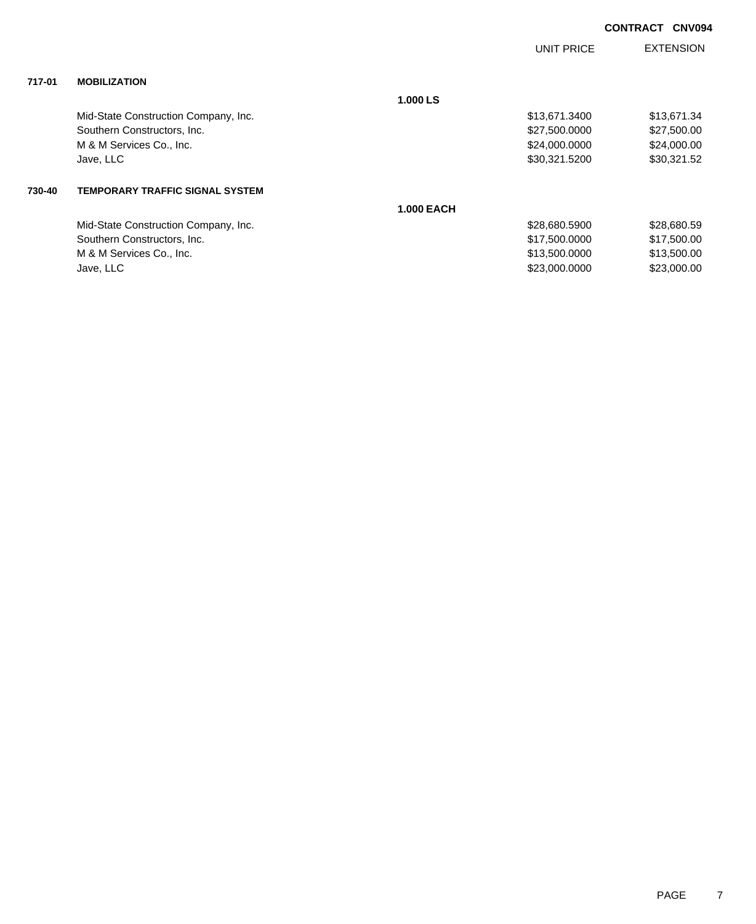| <b>CONTRACT CNV094</b> |  |
|------------------------|--|
|                        |  |

|        |                                        |                   | <b>UNIT PRICE</b> | <b>EXTENSION</b> |
|--------|----------------------------------------|-------------------|-------------------|------------------|
| 717-01 | <b>MOBILIZATION</b>                    |                   |                   |                  |
|        |                                        | 1.000 LS          |                   |                  |
|        | Mid-State Construction Company, Inc.   |                   | \$13,671.3400     | \$13,671.34      |
|        | Southern Constructors, Inc.            |                   | \$27,500.0000     | \$27,500.00      |
|        | M & M Services Co., Inc.               |                   | \$24,000.0000     | \$24,000.00      |
|        | Jave, LLC                              |                   | \$30,321.5200     | \$30,321.52      |
| 730-40 | <b>TEMPORARY TRAFFIC SIGNAL SYSTEM</b> |                   |                   |                  |
|        |                                        | <b>1.000 EACH</b> |                   |                  |
|        | Mid-State Construction Company, Inc.   |                   | \$28,680.5900     | \$28,680.59      |
|        | Southern Constructors, Inc.            |                   | \$17,500.0000     | \$17,500.00      |
|        | M & M Services Co., Inc.               |                   | \$13,500.0000     | \$13,500.00      |
|        | Jave, LLC                              |                   | \$23,000.0000     | \$23,000.00      |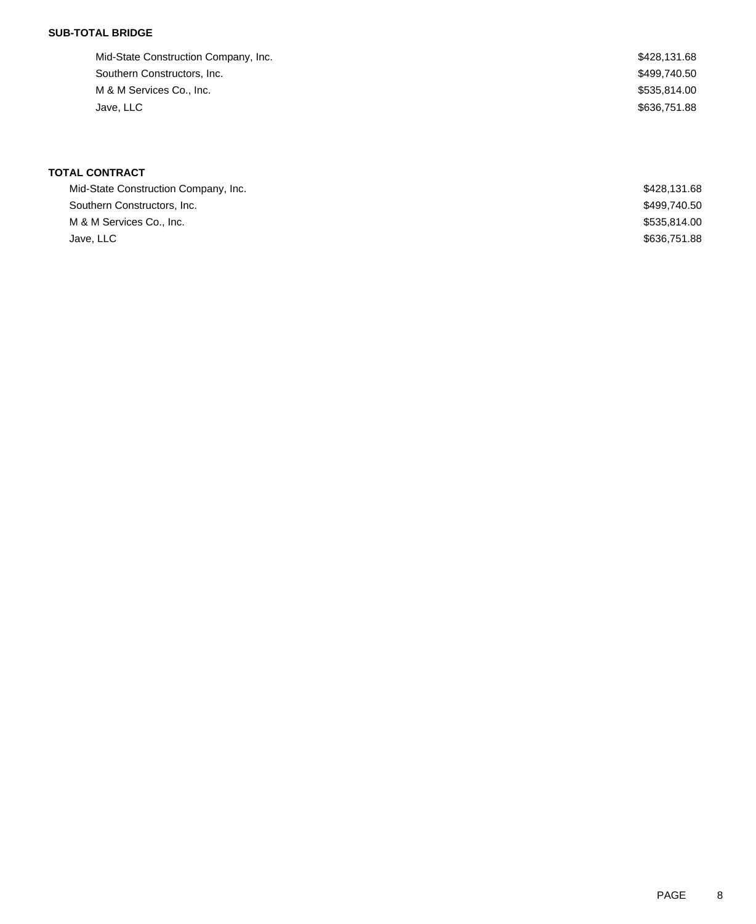### **SUB-TOTAL BRIDGE**

| Mid-State Construction Company, Inc. | \$428,131.68 |
|--------------------------------------|--------------|
| Southern Constructors, Inc.          | \$499,740.50 |
| M & M Services Co., Inc.             | \$535.814.00 |
| Jave, LLC                            | \$636,751.88 |
|                                      |              |

# **TOTAL CONTRACT**

| Mid-State Construction Company, Inc. | \$428,131.68 |
|--------------------------------------|--------------|
| Southern Constructors, Inc.          | \$499,740.50 |
| M & M Services Co., Inc.             | \$535,814.00 |
| Jave, LLC                            | \$636,751.88 |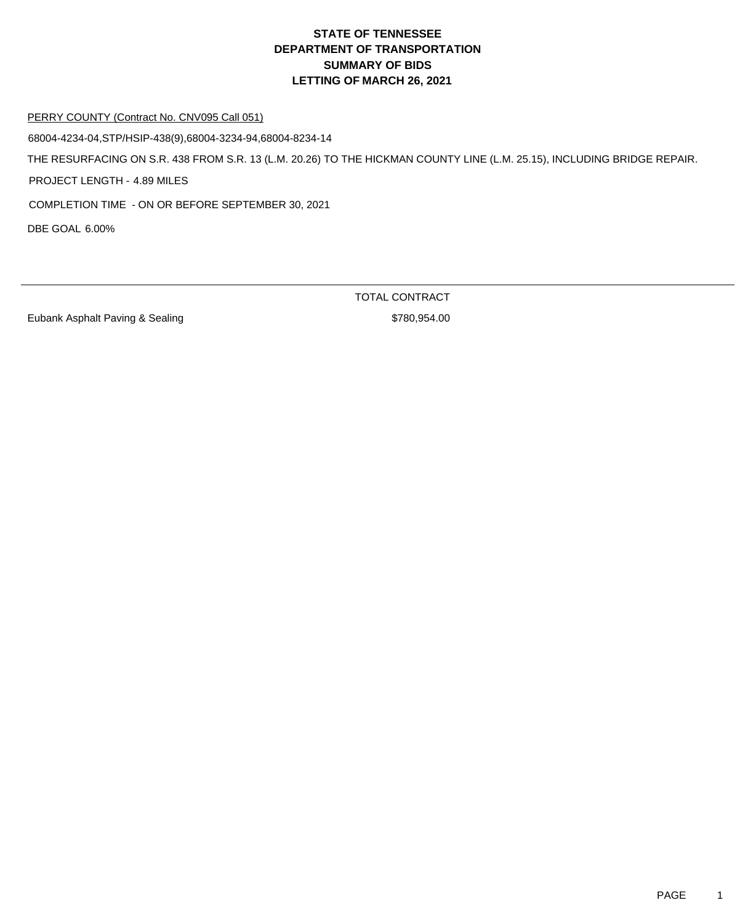#### PERRY COUNTY (Contract No. CNV095 Call 051)

68004-4234-04,STP/HSIP-438(9),68004-3234-94,68004-8234-14

THE RESURFACING ON S.R. 438 FROM S.R. 13 (L.M. 20.26) TO THE HICKMAN COUNTY LINE (L.M. 25.15), INCLUDING BRIDGE REPAIR.

PROJECT LENGTH - 4.89 MILES

COMPLETION TIME - ON OR BEFORE SEPTEMBER 30, 2021

DBE GOAL 6.00%

Eubank Asphalt Paving & Sealing \$780,954.00

TOTAL CONTRACT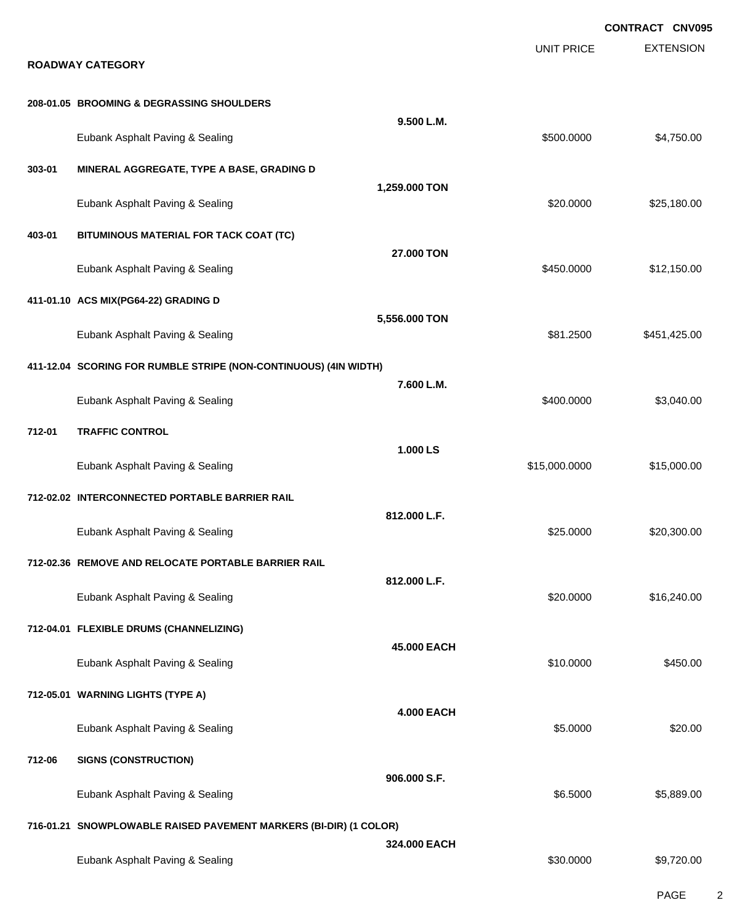|        |                                                                   |                   |                   | <b>CONTRACT CNV095</b> |
|--------|-------------------------------------------------------------------|-------------------|-------------------|------------------------|
|        | <b>ROADWAY CATEGORY</b>                                           |                   | <b>UNIT PRICE</b> | <b>EXTENSION</b>       |
|        | 208-01.05 BROOMING & DEGRASSING SHOULDERS                         |                   |                   |                        |
|        | Eubank Asphalt Paving & Sealing                                   | 9.500 L.M.        | \$500.0000        | \$4,750.00             |
| 303-01 | MINERAL AGGREGATE, TYPE A BASE, GRADING D                         |                   |                   |                        |
|        | Eubank Asphalt Paving & Sealing                                   | 1,259.000 TON     | \$20.0000         | \$25,180.00            |
| 403-01 | BITUMINOUS MATERIAL FOR TACK COAT (TC)                            |                   |                   |                        |
|        | Eubank Asphalt Paving & Sealing                                   | 27.000 TON        | \$450.0000        | \$12,150.00            |
|        | 411-01.10 ACS MIX(PG64-22) GRADING D                              |                   |                   |                        |
|        | Eubank Asphalt Paving & Sealing                                   | 5,556.000 TON     | \$81.2500         | \$451,425.00           |
|        | 411-12.04 SCORING FOR RUMBLE STRIPE (NON-CONTINUOUS) (4IN WIDTH)  |                   |                   |                        |
|        | Eubank Asphalt Paving & Sealing                                   | 7.600 L.M.        | \$400.0000        | \$3,040.00             |
| 712-01 | <b>TRAFFIC CONTROL</b>                                            |                   |                   |                        |
|        | Eubank Asphalt Paving & Sealing                                   | 1.000 LS          | \$15,000.0000     | \$15,000.00            |
|        | 712-02.02 INTERCONNECTED PORTABLE BARRIER RAIL                    |                   |                   |                        |
|        | Eubank Asphalt Paving & Sealing                                   | 812.000 L.F.      | \$25.0000         | \$20,300.00            |
|        | 712-02.36 REMOVE AND RELOCATE PORTABLE BARRIER RAIL               |                   |                   |                        |
|        | Eubank Asphalt Paving & Sealing                                   | 812.000 L.F.      | \$20.0000         | \$16,240.00            |
|        | 712-04.01 FLEXIBLE DRUMS (CHANNELIZING)                           |                   |                   |                        |
|        | Eubank Asphalt Paving & Sealing                                   | 45,000 EACH       | \$10.0000         | \$450.00               |
|        | 712-05.01 WARNING LIGHTS (TYPE A)                                 |                   |                   |                        |
|        | Eubank Asphalt Paving & Sealing                                   | <b>4.000 EACH</b> | \$5.0000          | \$20.00                |
| 712-06 | <b>SIGNS (CONSTRUCTION)</b>                                       |                   |                   |                        |
|        | Eubank Asphalt Paving & Sealing                                   | 906.000 S.F.      | \$6.5000          | \$5,889.00             |
|        | 716-01.21 SNOWPLOWABLE RAISED PAVEMENT MARKERS (BI-DIR) (1 COLOR) |                   |                   |                        |
|        | Eubank Asphalt Paving & Sealing                                   | 324.000 EACH      | \$30.0000         | \$9,720.00             |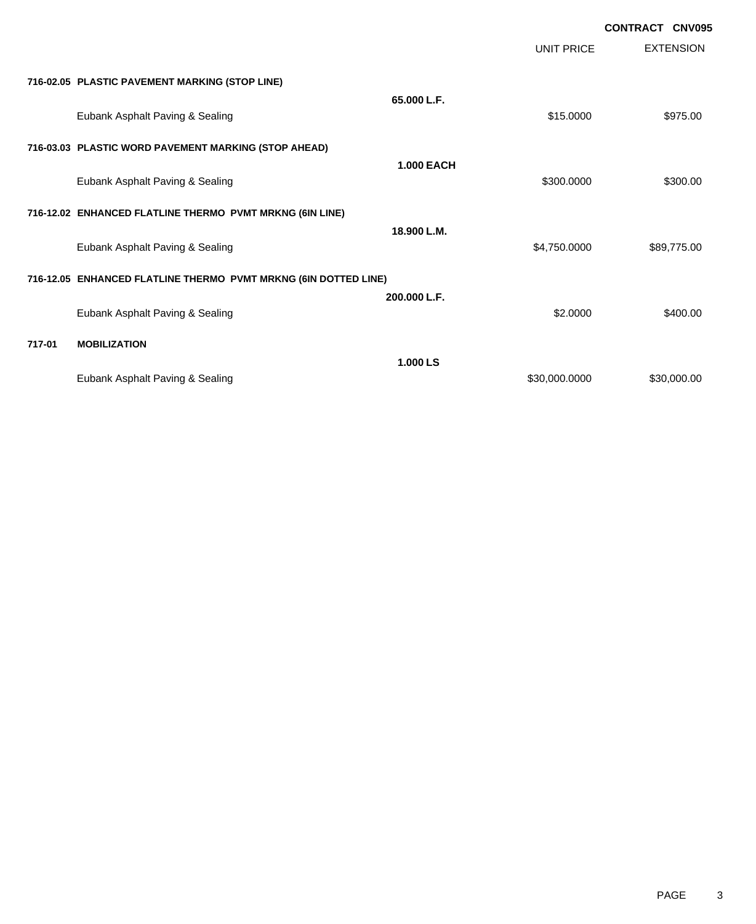|        |                                                                 |                   |                   | <b>CONTRACT CNV095</b> |                  |
|--------|-----------------------------------------------------------------|-------------------|-------------------|------------------------|------------------|
|        |                                                                 |                   | <b>UNIT PRICE</b> |                        | <b>EXTENSION</b> |
|        | 716-02.05 PLASTIC PAVEMENT MARKING (STOP LINE)                  |                   |                   |                        |                  |
|        | Eubank Asphalt Paving & Sealing                                 | 65,000 L.F.       | \$15.0000         |                        | \$975.00         |
|        | 716-03.03 PLASTIC WORD PAVEMENT MARKING (STOP AHEAD)            |                   |                   |                        |                  |
|        |                                                                 | <b>1.000 EACH</b> |                   |                        |                  |
|        | Eubank Asphalt Paving & Sealing                                 |                   | \$300.0000        |                        | \$300.00         |
|        | 716-12.02 ENHANCED FLATLINE THERMO PVMT MRKNG (6IN LINE)        |                   |                   |                        |                  |
|        | Eubank Asphalt Paving & Sealing                                 | 18.900 L.M.       | \$4,750,0000      |                        | \$89,775.00      |
|        | 716-12.05 ENHANCED FLATLINE THERMO PVMT MRKNG (6IN DOTTED LINE) |                   |                   |                        |                  |
|        | Eubank Asphalt Paving & Sealing                                 | 200.000 L.F.      | \$2.0000          |                        | \$400.00         |
| 717-01 | <b>MOBILIZATION</b>                                             |                   |                   |                        |                  |
|        |                                                                 | 1.000 LS          |                   |                        |                  |
|        | Eubank Asphalt Paving & Sealing                                 |                   | \$30,000.0000     |                        | \$30,000.00      |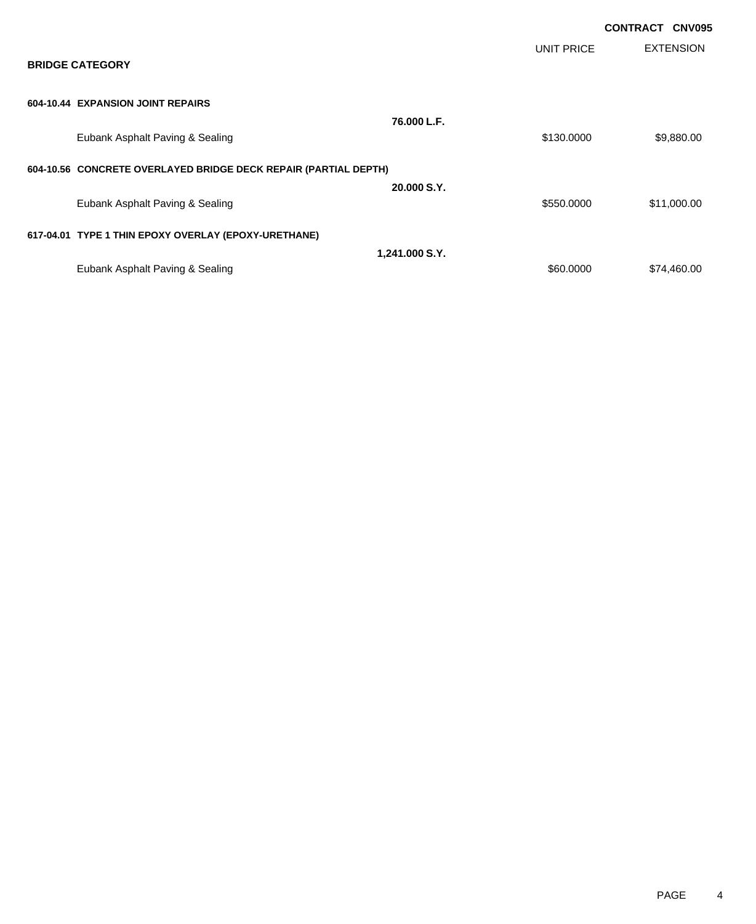|                                                                 |                |            | <b>CONTRACT CNV095</b> |
|-----------------------------------------------------------------|----------------|------------|------------------------|
| <b>BRIDGE CATEGORY</b>                                          |                | UNIT PRICE | <b>EXTENSION</b>       |
| 604-10.44 EXPANSION JOINT REPAIRS                               |                |            |                        |
| Eubank Asphalt Paving & Sealing                                 | 76.000 L.F.    | \$130.0000 | \$9,880.00             |
| 604-10.56 CONCRETE OVERLAYED BRIDGE DECK REPAIR (PARTIAL DEPTH) |                |            |                        |
| Eubank Asphalt Paving & Sealing                                 | 20.000 S.Y.    | \$550.0000 | \$11,000.00            |
| 617-04.01 TYPE 1 THIN EPOXY OVERLAY (EPOXY-URETHANE)            |                |            |                        |
|                                                                 | 1,241.000 S.Y. |            |                        |
| Eubank Asphalt Paving & Sealing                                 |                | \$60,0000  | \$74,460.00            |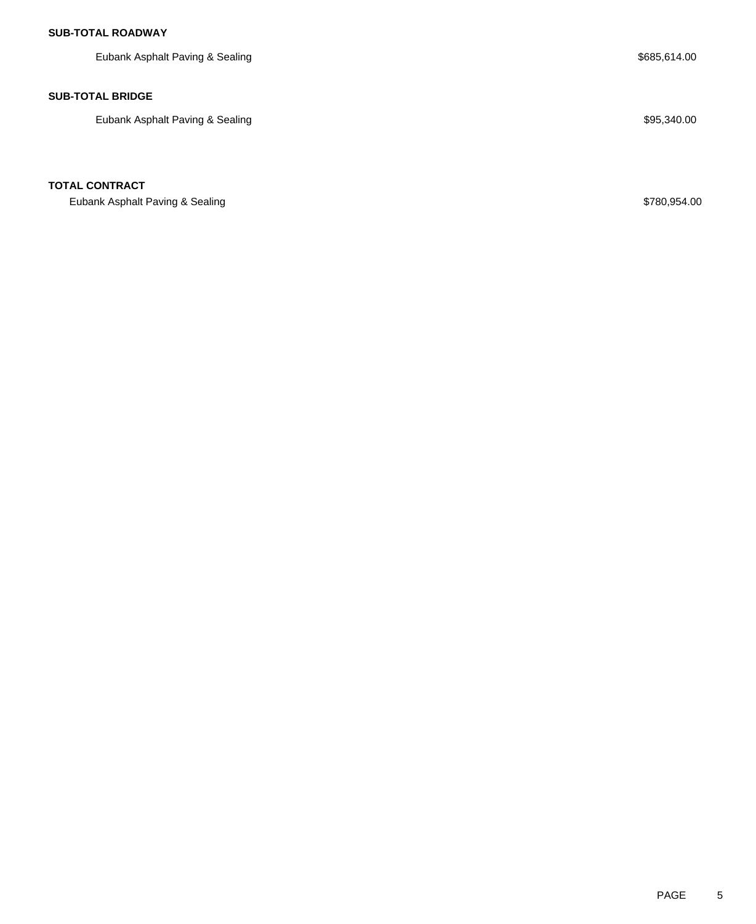Eubank Asphalt Paving & Sealing  $$685,614.00$ **SUB-TOTAL BRIDGE**

Eubank Asphalt Paving & Sealing  $$95,340.00$ 

# **TOTAL CONTRACT**

Eubank Asphalt Paving & Sealing \$780,954.00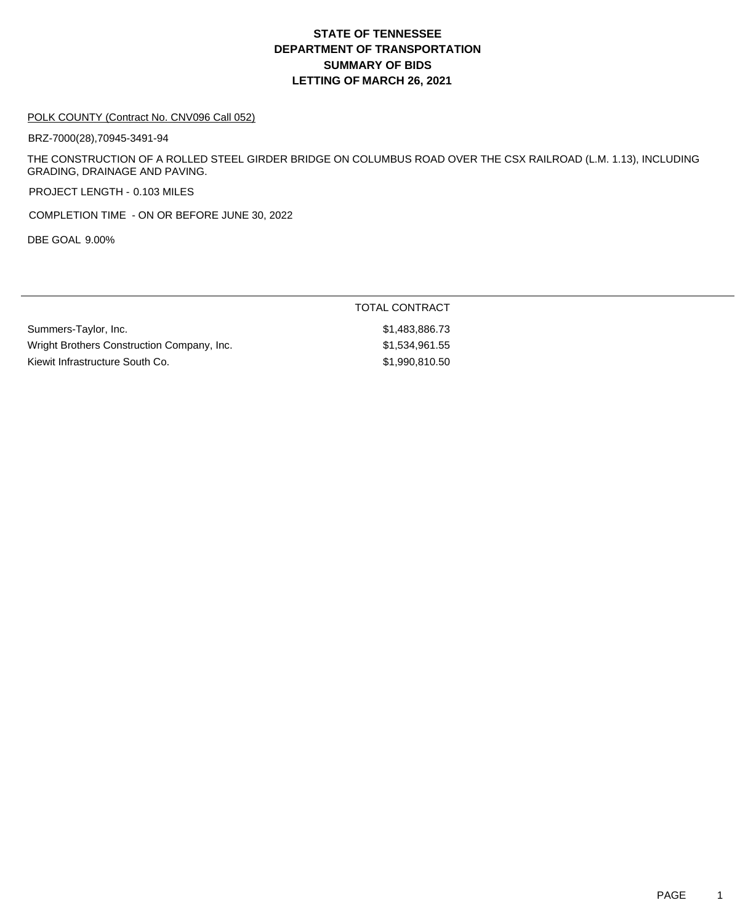#### POLK COUNTY (Contract No. CNV096 Call 052)

BRZ-7000(28),70945-3491-94

THE CONSTRUCTION OF A ROLLED STEEL GIRDER BRIDGE ON COLUMBUS ROAD OVER THE CSX RAILROAD (L.M. 1.13), INCLUDING GRADING, DRAINAGE AND PAVING.

PROJECT LENGTH - 0.103 MILES

COMPLETION TIME - ON OR BEFORE JUNE 30, 2022

DBE GOAL 9.00%

|                                            | TOTAL CONTRACT |
|--------------------------------------------|----------------|
| Summers-Taylor, Inc.                       | \$1,483,886.73 |
| Wright Brothers Construction Company, Inc. | \$1,534,961.55 |
| Kiewit Infrastructure South Co.            | \$1,990,810,50 |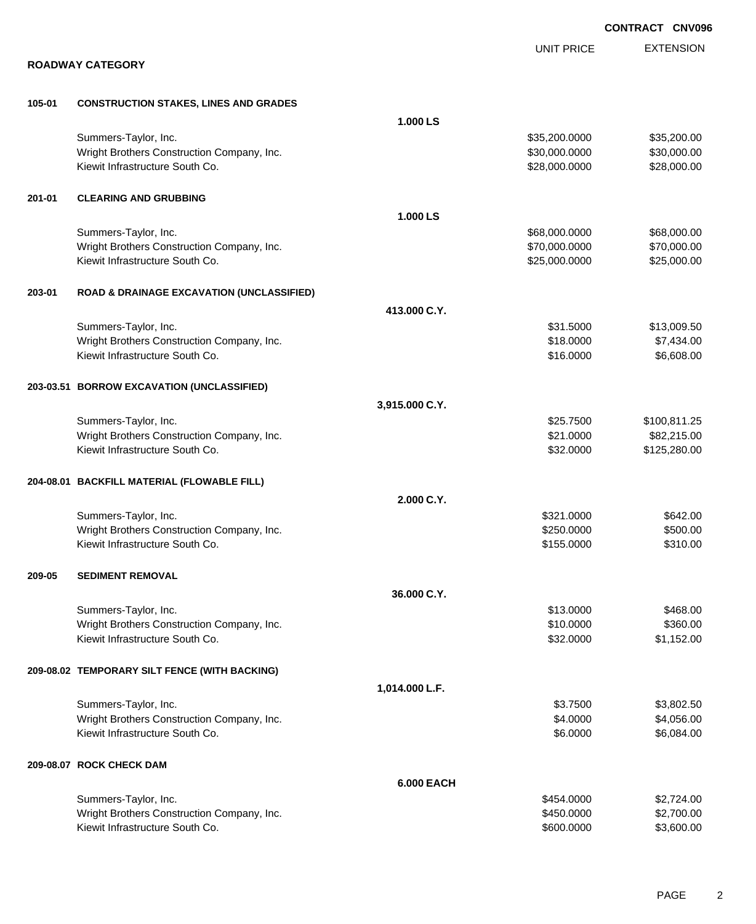|        |                                                      |                   |                   | <b>CONTRACT CNV09</b> |
|--------|------------------------------------------------------|-------------------|-------------------|-----------------------|
|        |                                                      |                   | <b>UNIT PRICE</b> | <b>EXTENSION</b>      |
|        | <b>ROADWAY CATEGORY</b>                              |                   |                   |                       |
| 105-01 | <b>CONSTRUCTION STAKES, LINES AND GRADES</b>         |                   |                   |                       |
|        |                                                      | 1.000 LS          |                   |                       |
|        | Summers-Taylor, Inc.                                 |                   | \$35,200.0000     | \$35,200.00           |
|        | Wright Brothers Construction Company, Inc.           |                   | \$30,000.0000     | \$30,000.00           |
|        | Kiewit Infrastructure South Co.                      |                   | \$28,000.0000     | \$28,000.00           |
| 201-01 | <b>CLEARING AND GRUBBING</b>                         |                   |                   |                       |
|        |                                                      | 1.000 LS          |                   |                       |
|        | Summers-Taylor, Inc.                                 |                   | \$68,000.0000     | \$68,000.00           |
|        | Wright Brothers Construction Company, Inc.           |                   | \$70,000.0000     | \$70,000.00           |
|        | Kiewit Infrastructure South Co.                      |                   | \$25,000.0000     | \$25,000.00           |
| 203-01 | <b>ROAD &amp; DRAINAGE EXCAVATION (UNCLASSIFIED)</b> |                   |                   |                       |
|        |                                                      | 413.000 C.Y.      |                   |                       |
|        | Summers-Taylor, Inc.                                 |                   | \$31.5000         | \$13,009.50           |
|        | Wright Brothers Construction Company, Inc.           |                   | \$18.0000         | \$7,434.00            |
|        | Kiewit Infrastructure South Co.                      |                   | \$16.0000         | \$6,608.00            |
|        | 203-03.51 BORROW EXCAVATION (UNCLASSIFIED)           |                   |                   |                       |
|        |                                                      | 3,915.000 C.Y.    |                   |                       |
|        | Summers-Taylor, Inc.                                 |                   | \$25.7500         | \$100,811.25          |
|        | Wright Brothers Construction Company, Inc.           |                   | \$21.0000         | \$82,215.00           |
|        | Kiewit Infrastructure South Co.                      |                   | \$32.0000         | \$125,280.00          |
|        | 204-08.01 BACKFILL MATERIAL (FLOWABLE FILL)          |                   |                   |                       |
|        |                                                      | 2.000 C.Y.        |                   |                       |
|        | Summers-Taylor, Inc.                                 |                   | \$321.0000        | \$642.00              |
|        | Wright Brothers Construction Company, Inc.           |                   | \$250.0000        | \$500.00              |
|        | Kiewit Infrastructure South Co.                      |                   | \$155.0000        | \$310.00              |
| 209-05 | <b>SEDIMENT REMOVAL</b>                              |                   |                   |                       |
|        |                                                      | 36.000 C.Y.       |                   |                       |
|        | Summers-Taylor, Inc.                                 |                   | \$13.0000         | \$468.00              |
|        | Wright Brothers Construction Company, Inc.           |                   | \$10.0000         | \$360.00              |
|        | Kiewit Infrastructure South Co.                      |                   | \$32.0000         | \$1,152.00            |
|        | 209-08.02 TEMPORARY SILT FENCE (WITH BACKING)        |                   |                   |                       |
|        |                                                      | 1,014.000 L.F.    |                   |                       |
|        | Summers-Taylor, Inc.                                 |                   | \$3.7500          | \$3,802.50            |
|        | Wright Brothers Construction Company, Inc.           |                   | \$4.0000          | \$4,056.00            |
|        | Kiewit Infrastructure South Co.                      |                   | \$6.0000          | \$6,084.00            |
|        | 209-08.07 ROCK CHECK DAM                             |                   |                   |                       |
|        |                                                      | <b>6.000 EACH</b> |                   |                       |
|        | Summers-Taylor, Inc.                                 |                   | \$454.0000        | \$2,724.00            |
|        | Wright Brothers Construction Company, Inc.           |                   | \$450.0000        | \$2,700.00            |
|        | Kiewit Infrastructure South Co.                      |                   | \$600.0000        | \$3,600.00            |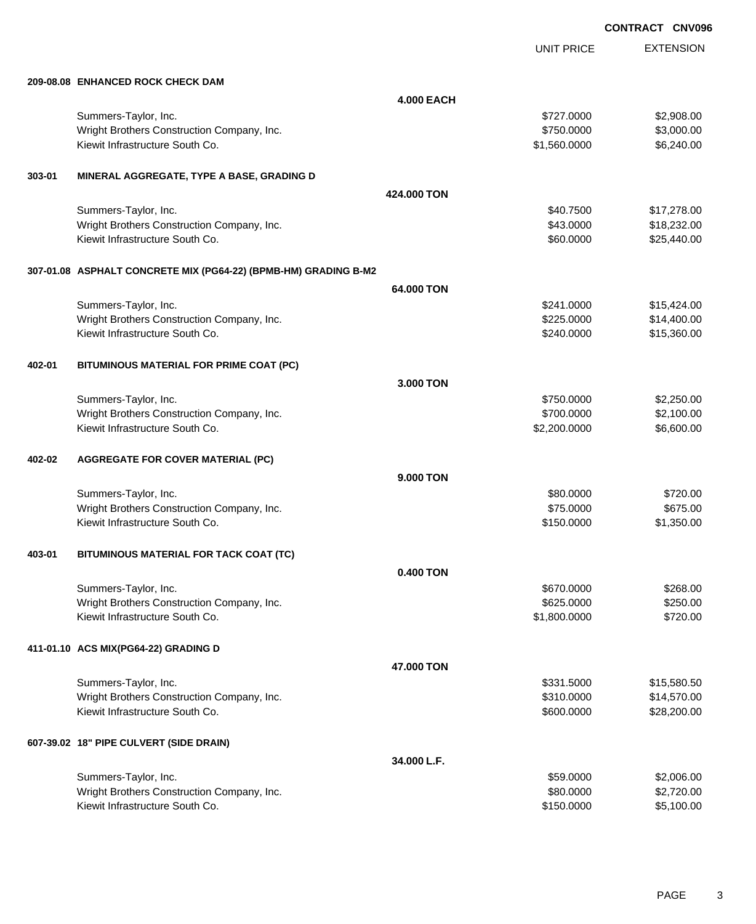UNIT PRICE

EXTENSION

|        |                                                                 | <b>4.000 EACH</b> |             |
|--------|-----------------------------------------------------------------|-------------------|-------------|
|        | Summers-Taylor, Inc.                                            | \$727,0000        | \$2,908.00  |
|        | Wright Brothers Construction Company, Inc.                      | \$750.0000        | \$3,000.00  |
|        | Kiewit Infrastructure South Co.                                 | \$1,560.0000      | \$6,240.00  |
| 303-01 | MINERAL AGGREGATE, TYPE A BASE, GRADING D                       |                   |             |
|        |                                                                 | 424,000 TON       |             |
|        | Summers-Taylor, Inc.                                            | \$40.7500         | \$17,278.00 |
|        | Wright Brothers Construction Company, Inc.                      | \$43.0000         | \$18,232.00 |
|        | Kiewit Infrastructure South Co.                                 | \$60.0000         | \$25,440.00 |
|        | 307-01.08 ASPHALT CONCRETE MIX (PG64-22) (BPMB-HM) GRADING B-M2 |                   |             |
|        |                                                                 | 64,000 TON        |             |
|        | Summers-Taylor, Inc.                                            | \$241,0000        | \$15,424.00 |
|        | Wright Brothers Construction Company, Inc.                      | \$225,0000        | \$14,400.00 |
|        | Kiewit Infrastructure South Co.                                 | \$240,0000        | \$15,360.00 |

**209-08.08 ENHANCED ROCK CHECK DAM**

| 402-01 | BITUMINOUS MATERIAL FOR PRIME COAT (PC)    |             |              |             |
|--------|--------------------------------------------|-------------|--------------|-------------|
|        |                                            | 3.000 TON   |              |             |
|        | Summers-Taylor, Inc.                       |             | \$750.0000   | \$2,250.00  |
|        | Wright Brothers Construction Company, Inc. |             | \$700.0000   | \$2,100.00  |
|        | Kiewit Infrastructure South Co.            |             | \$2,200.0000 | \$6,600.00  |
| 402-02 | <b>AGGREGATE FOR COVER MATERIAL (PC)</b>   |             |              |             |
|        |                                            | 9.000 TON   |              |             |
|        | Summers-Taylor, Inc.                       |             | \$80.0000    | \$720.00    |
|        | Wright Brothers Construction Company, Inc. |             | \$75.0000    | \$675.00    |
|        | Kiewit Infrastructure South Co.            |             | \$150.0000   | \$1,350.00  |
| 403-01 | BITUMINOUS MATERIAL FOR TACK COAT (TC)     |             |              |             |
|        |                                            | 0.400 TON   |              |             |
|        | Summers-Taylor, Inc.                       |             | \$670.0000   | \$268.00    |
|        | Wright Brothers Construction Company, Inc. |             | \$625,0000   | \$250.00    |
|        | Kiewit Infrastructure South Co.            |             | \$1,800.0000 | \$720.00    |
|        | 411-01.10 ACS MIX(PG64-22) GRADING D       |             |              |             |
|        |                                            | 47.000 TON  |              |             |
|        | Summers-Taylor, Inc.                       |             | \$331.5000   | \$15,580.50 |
|        | Wright Brothers Construction Company, Inc. |             | \$310.0000   | \$14,570.00 |
|        | Kiewit Infrastructure South Co.            |             | \$600.0000   | \$28,200.00 |
|        | 607-39.02 18" PIPE CULVERT (SIDE DRAIN)    |             |              |             |
|        |                                            | 34.000 L.F. |              |             |

| Summers-Taylor, Inc.                       | \$59,0000  | \$2,006.00 |
|--------------------------------------------|------------|------------|
| Wright Brothers Construction Company, Inc. | \$80,0000  | \$2.720.00 |
| Kiewit Infrastructure South Co.            | \$150,0000 | \$5.100.00 |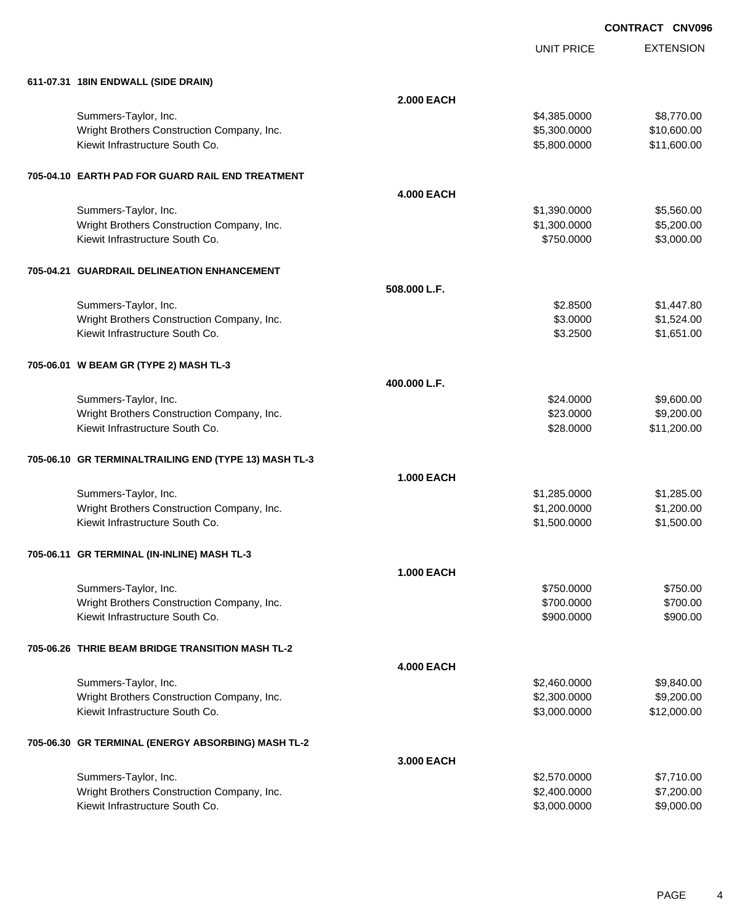UNIT PRICE EXTENSION

| 611-07.31 18IN ENDWALL (SIDE DRAIN)                   |                   |                              |                          |
|-------------------------------------------------------|-------------------|------------------------------|--------------------------|
|                                                       | <b>2.000 EACH</b> |                              |                          |
| Summers-Taylor, Inc.                                  |                   | \$4,385.0000                 | \$8,770.00               |
| Wright Brothers Construction Company, Inc.            |                   | \$5,300.0000                 | \$10,600.00              |
| Kiewit Infrastructure South Co.                       |                   | \$5,800.0000                 | \$11,600.00              |
|                                                       |                   |                              |                          |
| 705-04.10 EARTH PAD FOR GUARD RAIL END TREATMENT      |                   |                              |                          |
|                                                       | <b>4.000 EACH</b> |                              |                          |
| Summers-Taylor, Inc.                                  |                   | \$1,390.0000                 | \$5,560.00               |
| Wright Brothers Construction Company, Inc.            |                   | \$1,300.0000                 | \$5,200.00               |
| Kiewit Infrastructure South Co.                       |                   | \$750.0000                   | \$3,000.00               |
| 705-04.21 GUARDRAIL DELINEATION ENHANCEMENT           |                   |                              |                          |
|                                                       | 508,000 L.F.      |                              |                          |
| Summers-Taylor, Inc.                                  |                   | \$2.8500                     | \$1,447.80               |
| Wright Brothers Construction Company, Inc.            |                   | \$3.0000                     | \$1,524.00               |
| Kiewit Infrastructure South Co.                       |                   | \$3.2500                     | \$1,651.00               |
| 705-06.01 W BEAM GR (TYPE 2) MASH TL-3                |                   |                              |                          |
|                                                       | 400.000 L.F.      |                              |                          |
| Summers-Taylor, Inc.                                  |                   | \$24.0000                    | \$9,600.00               |
| Wright Brothers Construction Company, Inc.            |                   | \$23.0000                    | \$9,200.00               |
| Kiewit Infrastructure South Co.                       |                   | \$28.0000                    | \$11,200.00              |
| 705-06.10 GR TERMINALTRAILING END (TYPE 13) MASH TL-3 |                   |                              |                          |
|                                                       | <b>1.000 EACH</b> |                              |                          |
| Summers-Taylor, Inc.                                  |                   | \$1,285.0000                 | \$1,285.00               |
| Wright Brothers Construction Company, Inc.            |                   | \$1,200.0000                 | \$1,200.00               |
| Kiewit Infrastructure South Co.                       |                   | \$1,500.0000                 | \$1,500.00               |
| 705-06.11 GR TERMINAL (IN-INLINE) MASH TL-3           |                   |                              |                          |
|                                                       | <b>1.000 EACH</b> |                              |                          |
| Summers-Taylor, Inc.                                  |                   | \$750,0000                   | \$750.00                 |
| Wright Brothers Construction Company, Inc.            |                   | \$700.0000                   | \$700.00                 |
| Kiewit Infrastructure South Co.                       |                   | \$900.0000                   | \$900.00                 |
| 705-06.26 THRIE BEAM BRIDGE TRANSITION MASH TL-2      |                   |                              |                          |
|                                                       | <b>4.000 EACH</b> |                              |                          |
| Summers-Taylor, Inc.                                  |                   | \$2,460.0000                 | \$9,840.00               |
| Wright Brothers Construction Company, Inc.            |                   | \$2,300.0000                 | \$9,200.00               |
| Kiewit Infrastructure South Co.                       |                   | \$3,000.0000                 | \$12,000.00              |
|                                                       |                   |                              |                          |
| 705-06.30 GR TERMINAL (ENERGY ABSORBING) MASH TL-2    |                   |                              |                          |
| Summers-Taylor, Inc.                                  | 3.000 EACH        |                              |                          |
| Wright Brothers Construction Company, Inc.            |                   | \$2,570.0000<br>\$2,400.0000 | \$7,710.00<br>\$7,200.00 |
| Kiewit Infrastructure South Co.                       |                   | \$3,000.0000                 | \$9,000.00               |
|                                                       |                   |                              |                          |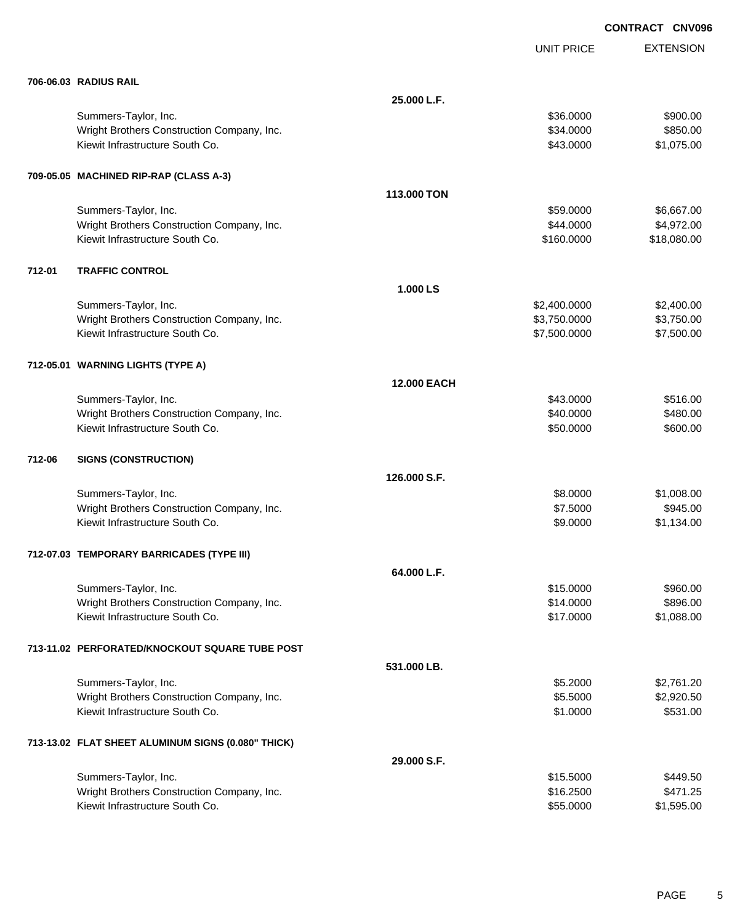|        |                                                    |                    | <b>UNIT PRICE</b> | <b>EXTENSION</b> |
|--------|----------------------------------------------------|--------------------|-------------------|------------------|
|        | 706-06.03 RADIUS RAIL                              |                    |                   |                  |
|        |                                                    | 25.000 L.F.        |                   |                  |
|        | Summers-Taylor, Inc.                               |                    | \$36.0000         | \$900.00         |
|        | Wright Brothers Construction Company, Inc.         |                    | \$34.0000         | \$850.00         |
|        | Kiewit Infrastructure South Co.                    |                    | \$43.0000         | \$1,075.00       |
|        | 709-05.05 MACHINED RIP-RAP (CLASS A-3)             |                    |                   |                  |
|        |                                                    | 113,000 TON        |                   |                  |
|        | Summers-Taylor, Inc.                               |                    | \$59.0000         | \$6,667.00       |
|        | Wright Brothers Construction Company, Inc.         |                    | \$44.0000         | \$4,972.00       |
|        | Kiewit Infrastructure South Co.                    |                    | \$160.0000        | \$18,080.00      |
| 712-01 | <b>TRAFFIC CONTROL</b>                             |                    |                   |                  |
|        |                                                    | 1.000 LS           |                   |                  |
|        | Summers-Taylor, Inc.                               |                    | \$2,400.0000      | \$2,400.00       |
|        | Wright Brothers Construction Company, Inc.         |                    | \$3,750.0000      | \$3,750.00       |
|        | Kiewit Infrastructure South Co.                    |                    | \$7,500.0000      | \$7,500.00       |
|        | 712-05.01 WARNING LIGHTS (TYPE A)                  |                    |                   |                  |
|        |                                                    | <b>12,000 EACH</b> |                   |                  |
|        | Summers-Taylor, Inc.                               |                    | \$43.0000         | \$516.00         |
|        | Wright Brothers Construction Company, Inc.         |                    | \$40.0000         | \$480.00         |
|        | Kiewit Infrastructure South Co.                    |                    | \$50.0000         | \$600.00         |
| 712-06 | <b>SIGNS (CONSTRUCTION)</b>                        |                    |                   |                  |
|        |                                                    | 126,000 S.F.       |                   |                  |
|        | Summers-Taylor, Inc.                               |                    | \$8.0000          | \$1,008.00       |
|        | Wright Brothers Construction Company, Inc.         |                    | \$7.5000          | \$945.00         |
|        | Kiewit Infrastructure South Co.                    |                    | \$9.0000          | \$1,134.00       |
|        | 712-07.03 TEMPORARY BARRICADES (TYPE III)          |                    |                   |                  |
|        |                                                    | 64.000 L.F.        |                   |                  |
|        | Summers-Taylor, Inc.                               |                    | \$15.0000         | \$960.00         |
|        | Wright Brothers Construction Company, Inc.         |                    | \$14.0000         | \$896.00         |
|        | Kiewit Infrastructure South Co.                    |                    | \$17.0000         | \$1,088.00       |
|        | 713-11.02 PERFORATED/KNOCKOUT SQUARE TUBE POST     |                    |                   |                  |
|        |                                                    | 531.000 LB.        |                   |                  |
|        | Summers-Taylor, Inc.                               |                    | \$5.2000          | \$2,761.20       |
|        | Wright Brothers Construction Company, Inc.         |                    | \$5.5000          | \$2,920.50       |
|        | Kiewit Infrastructure South Co.                    |                    | \$1.0000          | \$531.00         |
|        | 713-13.02 FLAT SHEET ALUMINUM SIGNS (0.080" THICK) |                    |                   |                  |
|        |                                                    | 29.000 S.F.        |                   |                  |
|        | Summers-Taylor, Inc.                               |                    | \$15.5000         | \$449.50         |
|        | Wright Brothers Construction Company, Inc.         |                    | \$16.2500         | \$471.25         |
|        | Kiewit Infrastructure South Co.                    |                    | \$55.0000         | \$1,595.00       |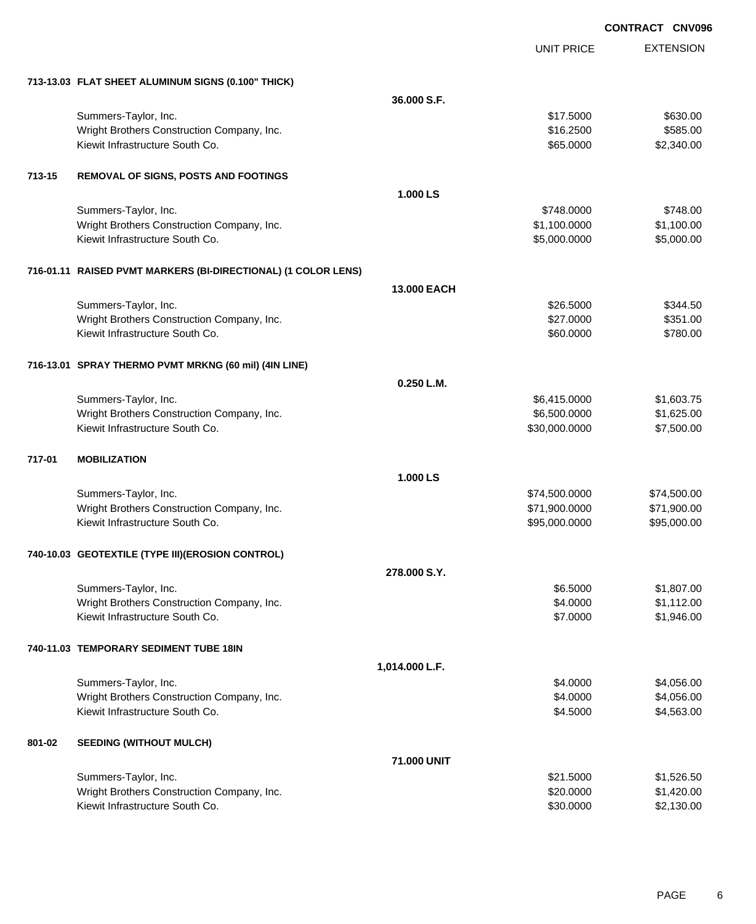|        |                                                                               |                | <b>UNIT PRICE</b>    | <b>EXTENSION</b>         |
|--------|-------------------------------------------------------------------------------|----------------|----------------------|--------------------------|
|        | 713-13.03 FLAT SHEET ALUMINUM SIGNS (0.100" THICK)                            |                |                      |                          |
|        |                                                                               | 36.000 S.F.    |                      |                          |
|        | Summers-Taylor, Inc.                                                          |                | \$17.5000            | \$630.00                 |
|        | Wright Brothers Construction Company, Inc.                                    |                | \$16.2500            | \$585.00                 |
|        | Kiewit Infrastructure South Co.                                               |                | \$65.0000            | \$2,340.00               |
| 713-15 | <b>REMOVAL OF SIGNS, POSTS AND FOOTINGS</b>                                   |                |                      |                          |
|        |                                                                               | 1.000 LS       |                      |                          |
|        | Summers-Taylor, Inc.                                                          |                | \$748.0000           | \$748.00                 |
|        | Wright Brothers Construction Company, Inc.                                    |                | \$1,100.0000         | \$1,100.00               |
|        | Kiewit Infrastructure South Co.                                               |                | \$5,000.0000         | \$5,000.00               |
|        | 716-01.11 RAISED PVMT MARKERS (BI-DIRECTIONAL) (1 COLOR LENS)                 |                |                      |                          |
|        |                                                                               | 13.000 EACH    |                      |                          |
|        | Summers-Taylor, Inc.                                                          |                | \$26.5000            | \$344.50                 |
|        | Wright Brothers Construction Company, Inc.                                    |                | \$27.0000            | \$351.00                 |
|        | Kiewit Infrastructure South Co.                                               |                | \$60.0000            | \$780.00                 |
|        | 716-13.01 SPRAY THERMO PVMT MRKNG (60 mil) (4IN LINE)                         |                |                      |                          |
|        |                                                                               | 0.250 L.M.     |                      |                          |
|        | Summers-Taylor, Inc.                                                          |                | \$6,415.0000         | \$1,603.75               |
|        | Wright Brothers Construction Company, Inc.<br>Kiewit Infrastructure South Co. |                | \$6,500.0000         | \$1,625.00               |
|        |                                                                               |                | \$30,000.0000        | \$7,500.00               |
| 717-01 | <b>MOBILIZATION</b>                                                           |                |                      |                          |
|        |                                                                               | 1.000 LS       |                      |                          |
|        | Summers-Taylor, Inc.                                                          |                | \$74,500.0000        | \$74,500.00              |
|        | Wright Brothers Construction Company, Inc.<br>Kiewit Infrastructure South Co. |                | \$71,900.0000        | \$71,900.00              |
|        |                                                                               |                | \$95,000.0000        | \$95,000.00              |
|        | 740-10.03 GEOTEXTILE (TYPE III) (EROSION CONTROL)                             |                |                      |                          |
|        |                                                                               | 278,000 S.Y.   |                      |                          |
|        | Summers-Taylor, Inc.                                                          |                | \$6.5000             | \$1,807.00               |
|        | Wright Brothers Construction Company, Inc.<br>Kiewit Infrastructure South Co. |                | \$4.0000<br>\$7.0000 | \$1,112.00<br>\$1,946.00 |
|        |                                                                               |                |                      |                          |
|        | 740-11.03 TEMPORARY SEDIMENT TUBE 18IN                                        |                |                      |                          |
|        |                                                                               | 1,014.000 L.F. |                      |                          |
|        | Summers-Taylor, Inc.                                                          |                | \$4.0000             | \$4,056.00               |
|        | Wright Brothers Construction Company, Inc.<br>Kiewit Infrastructure South Co. |                | \$4.0000             | \$4,056.00<br>\$4,563.00 |
|        |                                                                               |                | \$4.5000             |                          |
| 801-02 | <b>SEEDING (WITHOUT MULCH)</b>                                                |                |                      |                          |
|        |                                                                               | 71.000 UNIT    |                      |                          |
|        | Summers-Taylor, Inc.                                                          |                | \$21.5000            | \$1,526.50               |
|        | Wright Brothers Construction Company, Inc.<br>Kiewit Infrastructure South Co. |                | \$20.0000            | \$1,420.00               |
|        |                                                                               |                | \$30.0000            | \$2,130.00               |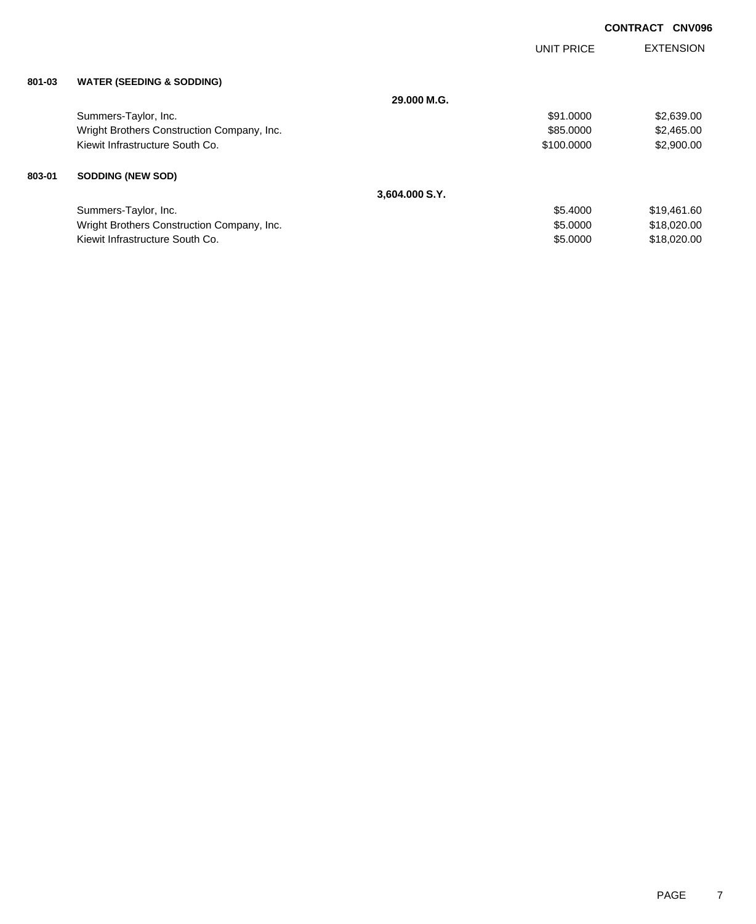|        |                                            |                | <b>UNIT PRICE</b> | <b>EXTENSION</b> |
|--------|--------------------------------------------|----------------|-------------------|------------------|
| 801-03 | <b>WATER (SEEDING &amp; SODDING)</b>       |                |                   |                  |
|        |                                            | 29.000 M.G.    |                   |                  |
|        | Summers-Taylor, Inc.                       |                | \$91,0000         | \$2,639.00       |
|        | Wright Brothers Construction Company, Inc. |                | \$85,0000         | \$2,465.00       |
|        | Kiewit Infrastructure South Co.            |                | \$100,0000        | \$2,900.00       |
| 803-01 | <b>SODDING (NEW SOD)</b>                   |                |                   |                  |
|        |                                            | 3,604.000 S.Y. |                   |                  |
|        | Summers-Taylor, Inc.                       |                | \$5.4000          | \$19,461.60      |
|        | Wright Brothers Construction Company, Inc. |                | \$5.0000          | \$18,020.00      |
|        | Kiewit Infrastructure South Co.            |                | \$5,0000          | \$18,020.00      |
|        |                                            |                |                   |                  |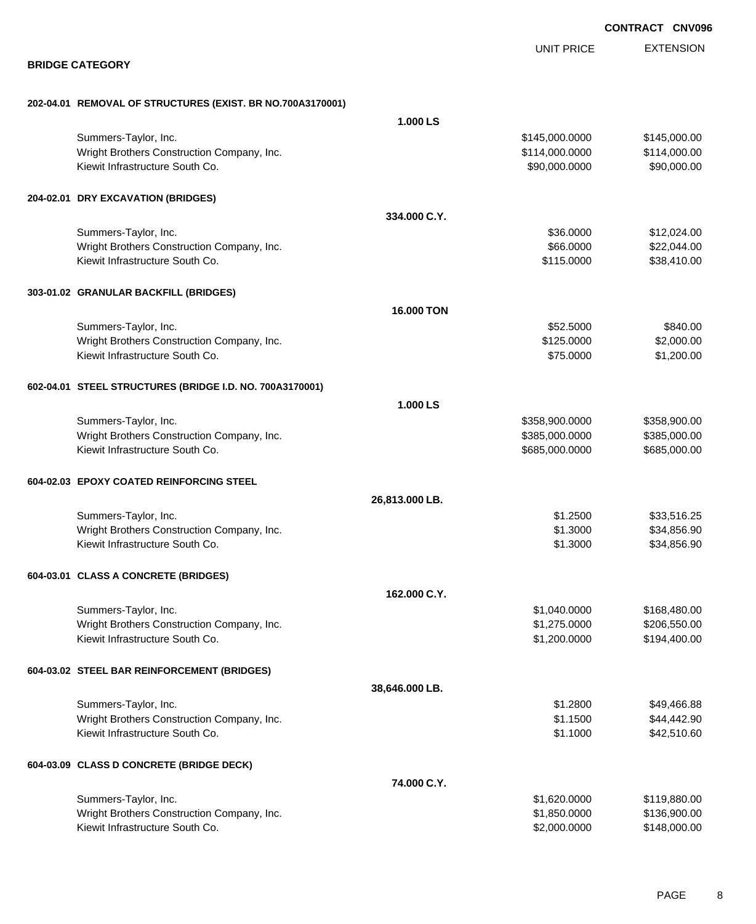|                                                            |                   |                   | <b>CONTRACT CNV096</b> |
|------------------------------------------------------------|-------------------|-------------------|------------------------|
|                                                            |                   | <b>UNIT PRICE</b> | <b>EXTENSION</b>       |
| <b>BRIDGE CATEGORY</b>                                     |                   |                   |                        |
| 202-04.01 REMOVAL OF STRUCTURES (EXIST. BR NO.700A3170001) |                   |                   |                        |
|                                                            | 1.000 LS          |                   |                        |
| Summers-Taylor, Inc.                                       |                   | \$145,000.0000    | \$145,000.00           |
| Wright Brothers Construction Company, Inc.                 |                   | \$114,000.0000    | \$114,000.00           |
| Kiewit Infrastructure South Co.                            |                   | \$90,000.0000     | \$90,000.00            |
| 204-02.01 DRY EXCAVATION (BRIDGES)                         |                   |                   |                        |
|                                                            | 334.000 C.Y.      |                   |                        |
| Summers-Taylor, Inc.                                       |                   | \$36.0000         | \$12,024.00            |
| Wright Brothers Construction Company, Inc.                 |                   | \$66.0000         | \$22,044.00            |
| Kiewit Infrastructure South Co.                            |                   | \$115.0000        | \$38,410.00            |
| 303-01.02 GRANULAR BACKFILL (BRIDGES)                      |                   |                   |                        |
|                                                            | <b>16.000 TON</b> |                   |                        |
| Summers-Taylor, Inc.                                       |                   | \$52.5000         | \$840.00               |
| Wright Brothers Construction Company, Inc.                 |                   | \$125.0000        | \$2,000.00             |
| Kiewit Infrastructure South Co.                            |                   | \$75.0000         | \$1,200.00             |
| 602-04.01 STEEL STRUCTURES (BRIDGE I.D. NO. 700A3170001)   |                   |                   |                        |
|                                                            | 1.000 LS          |                   |                        |
| Summers-Taylor, Inc.                                       |                   | \$358,900.0000    | \$358,900.00           |
| Wright Brothers Construction Company, Inc.                 |                   | \$385,000.0000    | \$385,000.00           |
| Kiewit Infrastructure South Co.                            |                   | \$685,000.0000    | \$685,000.00           |
| 604-02.03 EPOXY COATED REINFORCING STEEL                   |                   |                   |                        |
|                                                            | 26,813.000 LB.    |                   |                        |
| Summers-Taylor, Inc.                                       |                   | \$1.2500          | \$33,516.25            |
| Wright Brothers Construction Company, Inc.                 |                   | \$1.3000          | \$34,856.90            |
| Kiewit Infrastructure South Co.                            |                   | \$1.3000          | \$34,856.90            |
| 604-03.01 CLASS A CONCRETE (BRIDGES)                       |                   |                   |                        |
|                                                            | 162.000 C.Y.      |                   |                        |
| Summers-Taylor, Inc.                                       |                   | \$1,040.0000      | \$168,480.00           |
| Wright Brothers Construction Company, Inc.                 |                   | \$1,275.0000      | \$206,550.00           |
| Kiewit Infrastructure South Co.                            |                   | \$1,200.0000      | \$194,400.00           |
| 604-03.02 STEEL BAR REINFORCEMENT (BRIDGES)                |                   |                   |                        |
|                                                            | 38,646.000 LB.    |                   |                        |
| Summers-Taylor, Inc.                                       |                   | \$1.2800          | \$49,466.88            |
| Wright Brothers Construction Company, Inc.                 |                   | \$1.1500          | \$44,442.90            |
| Kiewit Infrastructure South Co.                            |                   | \$1.1000          | \$42,510.60            |
| 604-03.09 CLASS D CONCRETE (BRIDGE DECK)                   |                   |                   |                        |
|                                                            | 74.000 C.Y.       |                   |                        |
| Summers-Taylor, Inc.                                       |                   | \$1,620.0000      | \$119,880.00           |
| Wright Brothers Construction Company, Inc.                 |                   | \$1,850.0000      | \$136,900.00           |
| Kiewit Infrastructure South Co.                            |                   | \$2,000.0000      | \$148,000.00           |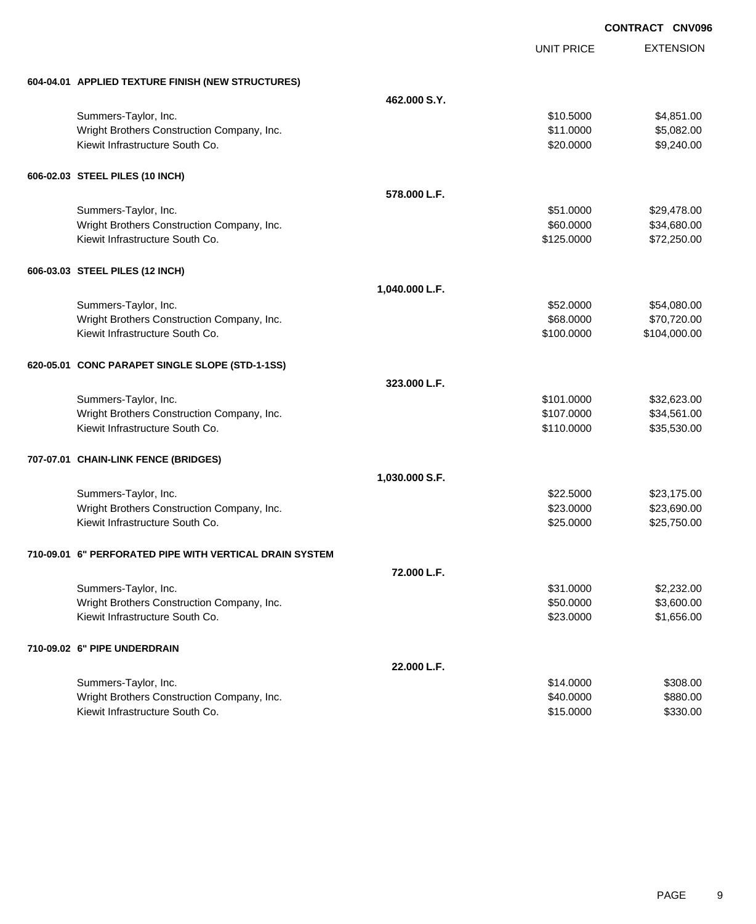|                                                         |                |                   | <b>CONTRACT CNV09</b> |
|---------------------------------------------------------|----------------|-------------------|-----------------------|
|                                                         |                | <b>UNIT PRICE</b> | <b>EXTENSION</b>      |
| 604-04.01 APPLIED TEXTURE FINISH (NEW STRUCTURES)       |                |                   |                       |
|                                                         | 462.000 S.Y.   |                   |                       |
| Summers-Taylor, Inc.                                    |                | \$10.5000         | \$4,851.00            |
| Wright Brothers Construction Company, Inc.              |                | \$11.0000         | \$5,082.00            |
| Kiewit Infrastructure South Co.                         |                | \$20.0000         | \$9,240.00            |
| 606-02.03 STEEL PILES (10 INCH)                         |                |                   |                       |
|                                                         | 578,000 L.F.   |                   |                       |
| Summers-Taylor, Inc.                                    |                | \$51.0000         | \$29,478.00           |
| Wright Brothers Construction Company, Inc.              |                | \$60.0000         | \$34,680.00           |
| Kiewit Infrastructure South Co.                         |                | \$125.0000        | \$72,250.00           |
| 606-03.03 STEEL PILES (12 INCH)                         |                |                   |                       |
|                                                         | 1,040.000 L.F. |                   |                       |
| Summers-Taylor, Inc.                                    |                | \$52.0000         | \$54,080.00           |
| Wright Brothers Construction Company, Inc.              |                | \$68.0000         | \$70,720.00           |
| Kiewit Infrastructure South Co.                         |                | \$100.0000        | \$104,000.00          |
| 620-05.01 CONC PARAPET SINGLE SLOPE (STD-1-1SS)         |                |                   |                       |
|                                                         | 323,000 L.F.   |                   |                       |
| Summers-Taylor, Inc.                                    |                | \$101.0000        | \$32,623.00           |
| Wright Brothers Construction Company, Inc.              |                | \$107.0000        | \$34,561.00           |
| Kiewit Infrastructure South Co.                         |                | \$110.0000        | \$35,530.00           |
| 707-07.01 CHAIN-LINK FENCE (BRIDGES)                    |                |                   |                       |
|                                                         | 1,030.000 S.F. |                   |                       |
| Summers-Taylor, Inc.                                    |                | \$22.5000         | \$23,175.00           |
| Wright Brothers Construction Company, Inc.              |                | \$23.0000         | \$23,690.00           |
| Kiewit Infrastructure South Co.                         |                | \$25.0000         | \$25,750.00           |
| 710-09.01 6" PERFORATED PIPE WITH VERTICAL DRAIN SYSTEM |                |                   |                       |
|                                                         | 72.000 L.F.    |                   |                       |
| Summers-Taylor, Inc.                                    |                | \$31.0000         | \$2,232.00            |
| Wright Brothers Construction Company, Inc.              |                | \$50.0000         | \$3,600.00            |
| Kiewit Infrastructure South Co.                         |                | \$23.0000         | \$1,656.00            |
| 710-09.02 6" PIPE UNDERDRAIN                            |                |                   |                       |
|                                                         | 22.000 L.F.    |                   |                       |
| Summers-Taylor, Inc.                                    |                | \$14.0000         | \$308.00              |
| Wright Brothers Construction Company, Inc.              |                | \$40.0000         | \$880.00              |
| Kiewit Infrastructure South Co.                         |                | \$15.0000         | \$330.00              |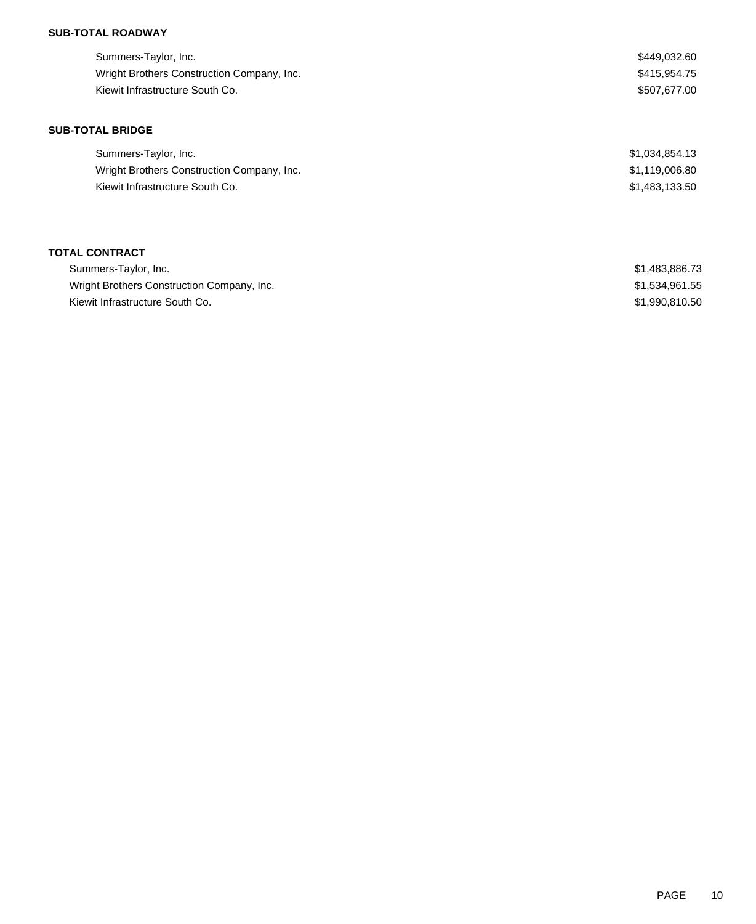| \$449,032.60 |
|--------------|
| \$415,954.75 |
| \$507.677.00 |
|              |

### **SUB-TOTAL BRIDGE**

| Summers-Taylor, Inc.                       | \$1,034,854.13 |
|--------------------------------------------|----------------|
| Wright Brothers Construction Company, Inc. | \$1,119,006.80 |
| Kiewit Infrastructure South Co.            | \$1.483.133.50 |

## **TOTAL CONTRACT**

| Summers-Taylor, Inc.                       | \$1,483,886.73 |
|--------------------------------------------|----------------|
| Wright Brothers Construction Company, Inc. | \$1.534.961.55 |
| Kiewit Infrastructure South Co.            | \$1.990.810.50 |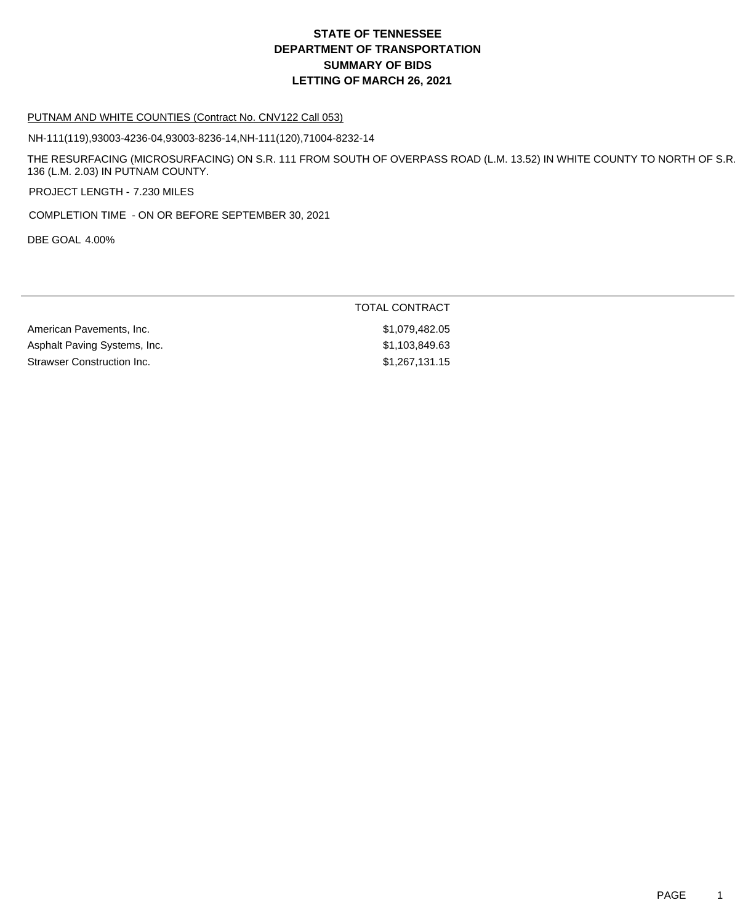#### PUTNAM AND WHITE COUNTIES (Contract No. CNV122 Call 053)

NH-111(119),93003-4236-04,93003-8236-14,NH-111(120),71004-8232-14

THE RESURFACING (MICROSURFACING) ON S.R. 111 FROM SOUTH OF OVERPASS ROAD (L.M. 13.52) IN WHITE COUNTY TO NORTH OF S.R. 136 (L.M. 2.03) IN PUTNAM COUNTY.

PROJECT LENGTH - 7.230 MILES

COMPLETION TIME - ON OR BEFORE SEPTEMBER 30, 2021

DBE GOAL 4.00%

# TOTAL CONTRACT

American Pavements, Inc. 6. The State of the State of the State of the State of the State of the State of the State of the State of the State of the State of the State of the State of the State of the State of the State of Asphalt Paving Systems, Inc. 63 and the state of the state of the state of the state of the state of the state of the state of the state of the state of the state of the state of the state of the state of the state of the Strawser Construction Inc. 61,267,131.15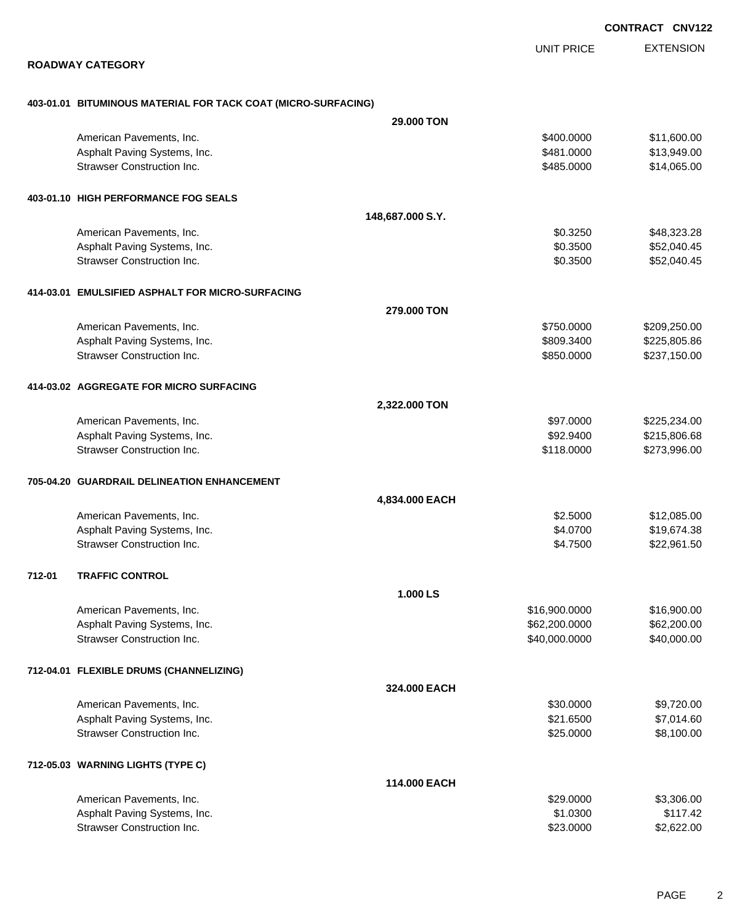EXTENSION UNIT PRICE

### **ROADWAY CATEGORY**

### **403-01.01 BITUMINOUS MATERIAL FOR TACK COAT (MICRO-SURFACING)**

| \$11,600.00<br>\$13,949.00<br>\$14,065.00<br>\$48,323.28<br>\$52,040.45<br>\$52,040.45 |
|----------------------------------------------------------------------------------------|
|                                                                                        |
|                                                                                        |
|                                                                                        |
|                                                                                        |
|                                                                                        |
|                                                                                        |
|                                                                                        |
|                                                                                        |
|                                                                                        |
|                                                                                        |
| \$209,250.00                                                                           |
| \$225,805.86                                                                           |
| \$237,150.00                                                                           |
|                                                                                        |
|                                                                                        |
| \$225,234.00                                                                           |
| \$215,806.68                                                                           |
| \$273,996.00                                                                           |
|                                                                                        |
|                                                                                        |
| \$12,085.00                                                                            |
| \$19,674.38                                                                            |
| \$22,961.50                                                                            |
|                                                                                        |
|                                                                                        |
| \$16,900.00                                                                            |
| \$62,200.00                                                                            |
| \$40,000.00                                                                            |
|                                                                                        |
|                                                                                        |
| \$9,720.00                                                                             |
| \$7,014.60                                                                             |
| \$8,100.00                                                                             |
|                                                                                        |
|                                                                                        |
| \$3,306.00                                                                             |
|                                                                                        |
| \$117.42                                                                               |
|                                                                                        |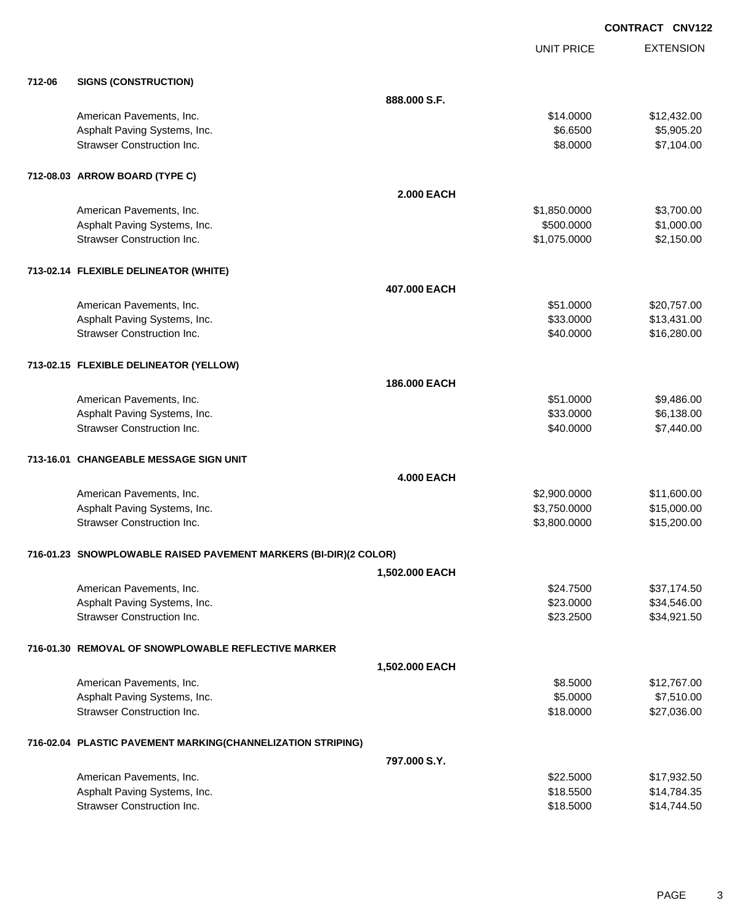|        |                                                                  |                   | <b>UNIT PRICE</b> | <b>EXTENSION</b> |
|--------|------------------------------------------------------------------|-------------------|-------------------|------------------|
| 712-06 | <b>SIGNS (CONSTRUCTION)</b>                                      |                   |                   |                  |
|        |                                                                  | 888.000 S.F.      |                   |                  |
|        | American Pavements, Inc.                                         |                   | \$14.0000         | \$12,432.00      |
|        | Asphalt Paving Systems, Inc.                                     |                   | \$6.6500          | \$5,905.20       |
|        | <b>Strawser Construction Inc.</b>                                |                   | \$8.0000          | \$7,104.00       |
|        | 712-08.03 ARROW BOARD (TYPE C)                                   |                   |                   |                  |
|        |                                                                  | <b>2.000 EACH</b> |                   |                  |
|        | American Pavements, Inc.                                         |                   | \$1,850.0000      | \$3,700.00       |
|        | Asphalt Paving Systems, Inc.                                     |                   | \$500.0000        | \$1,000.00       |
|        | <b>Strawser Construction Inc.</b>                                |                   | \$1,075.0000      | \$2,150.00       |
|        | 713-02.14 FLEXIBLE DELINEATOR (WHITE)                            |                   |                   |                  |
|        |                                                                  | 407.000 EACH      |                   |                  |
|        | American Pavements, Inc.                                         |                   | \$51.0000         | \$20,757.00      |
|        | Asphalt Paving Systems, Inc.                                     |                   | \$33.0000         | \$13,431.00      |
|        | <b>Strawser Construction Inc.</b>                                |                   | \$40.0000         | \$16,280.00      |
|        | 713-02.15 FLEXIBLE DELINEATOR (YELLOW)                           |                   |                   |                  |
|        |                                                                  | 186.000 EACH      |                   |                  |
|        | American Pavements, Inc.                                         |                   | \$51.0000         | \$9,486.00       |
|        | Asphalt Paving Systems, Inc.                                     |                   | \$33.0000         | \$6,138.00       |
|        | <b>Strawser Construction Inc.</b>                                |                   | \$40.0000         | \$7,440.00       |
|        | 713-16.01 CHANGEABLE MESSAGE SIGN UNIT                           |                   |                   |                  |
|        |                                                                  | <b>4.000 EACH</b> |                   |                  |
|        | American Pavements, Inc.                                         |                   | \$2,900.0000      | \$11,600.00      |
|        | Asphalt Paving Systems, Inc.                                     |                   | \$3,750.0000      | \$15,000.00      |
|        | <b>Strawser Construction Inc.</b>                                |                   | \$3,800.0000      | \$15,200.00      |
|        | 716-01.23 SNOWPLOWABLE RAISED PAVEMENT MARKERS (BI-DIR)(2 COLOR) |                   |                   |                  |
|        |                                                                  | 1,502.000 EACH    |                   |                  |
|        | American Pavements, Inc.                                         |                   | \$24.7500         | \$37,174.50      |
|        | Asphalt Paving Systems, Inc.                                     |                   | \$23.0000         | \$34,546.00      |
|        | <b>Strawser Construction Inc.</b>                                |                   | \$23.2500         | \$34,921.50      |
|        | 716-01.30 REMOVAL OF SNOWPLOWABLE REFLECTIVE MARKER              |                   |                   |                  |
|        |                                                                  | 1,502.000 EACH    |                   |                  |
|        | American Pavements, Inc.                                         |                   | \$8.5000          | \$12,767.00      |
|        | Asphalt Paving Systems, Inc.                                     |                   | \$5.0000          | \$7,510.00       |
|        | <b>Strawser Construction Inc.</b>                                |                   | \$18.0000         | \$27,036.00      |
|        | 716-02.04 PLASTIC PAVEMENT MARKING(CHANNELIZATION STRIPING)      |                   |                   |                  |
|        |                                                                  | 797.000 S.Y.      |                   |                  |
|        | American Pavements, Inc.                                         |                   | \$22.5000         | \$17,932.50      |
|        | Asphalt Paving Systems, Inc.                                     |                   | \$18.5500         | \$14,784.35      |
|        | Strawser Construction Inc.                                       |                   | \$18.5000         | \$14,744.50      |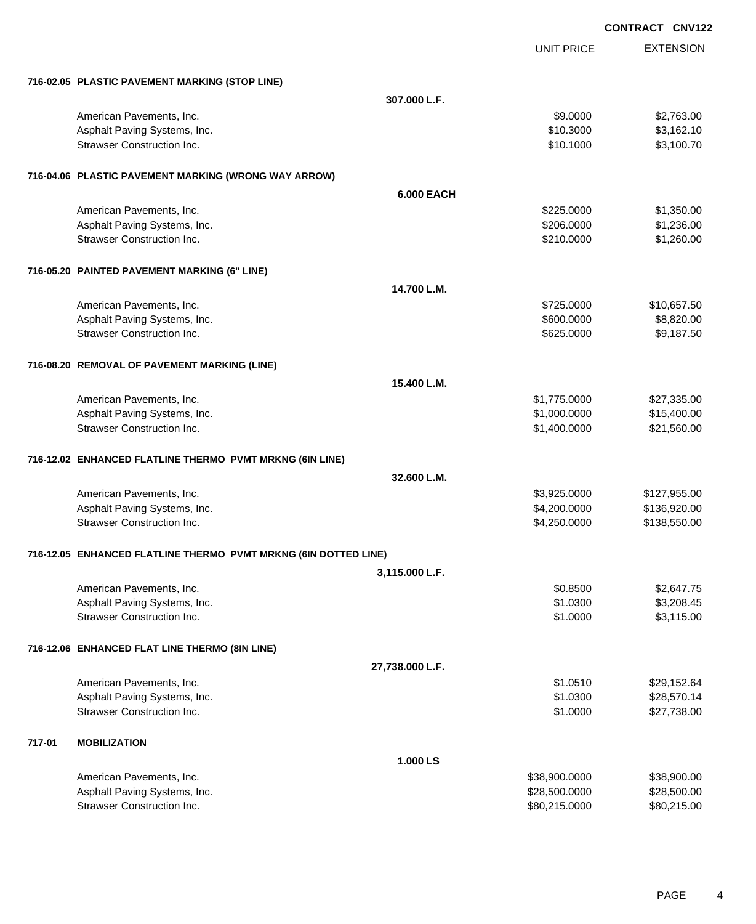|        |                                                                 |                 |                   | <b>CONTRACT CNV122</b> |
|--------|-----------------------------------------------------------------|-----------------|-------------------|------------------------|
|        |                                                                 |                 | <b>UNIT PRICE</b> | <b>EXTENSION</b>       |
|        | 716-02.05 PLASTIC PAVEMENT MARKING (STOP LINE)                  |                 |                   |                        |
|        |                                                                 | 307.000 L.F.    |                   |                        |
|        | American Pavements, Inc.                                        |                 | \$9.0000          | \$2,763.00             |
|        | Asphalt Paving Systems, Inc.                                    |                 | \$10.3000         | \$3,162.10             |
|        | <b>Strawser Construction Inc.</b>                               |                 | \$10.1000         | \$3,100.70             |
|        | 716-04.06 PLASTIC PAVEMENT MARKING (WRONG WAY ARROW)            |                 |                   |                        |
|        |                                                                 | 6.000 EACH      |                   |                        |
|        | American Pavements, Inc.                                        |                 | \$225.0000        | \$1,350.00             |
|        | Asphalt Paving Systems, Inc.                                    |                 | \$206.0000        | \$1,236.00             |
|        | <b>Strawser Construction Inc.</b>                               |                 | \$210.0000        | \$1,260.00             |
|        | 716-05.20 PAINTED PAVEMENT MARKING (6" LINE)                    |                 |                   |                        |
|        |                                                                 | 14.700 L.M.     |                   |                        |
|        | American Pavements, Inc.                                        |                 | \$725.0000        | \$10,657.50            |
|        | Asphalt Paving Systems, Inc.                                    |                 | \$600.0000        | \$8,820.00             |
|        | <b>Strawser Construction Inc.</b>                               |                 | \$625,0000        | \$9,187.50             |
|        | 716-08.20 REMOVAL OF PAVEMENT MARKING (LINE)                    |                 |                   |                        |
|        |                                                                 | 15.400 L.M.     |                   |                        |
|        | American Pavements, Inc.                                        |                 | \$1,775.0000      | \$27,335.00            |
|        | Asphalt Paving Systems, Inc.                                    |                 | \$1,000.0000      | \$15,400.00            |
|        | <b>Strawser Construction Inc.</b>                               |                 | \$1,400.0000      | \$21,560.00            |
|        | 716-12.02 ENHANCED FLATLINE THERMO PVMT MRKNG (6IN LINE)        |                 |                   |                        |
|        |                                                                 | 32.600 L.M.     |                   |                        |
|        | American Pavements, Inc.                                        |                 | \$3,925.0000      | \$127,955.00           |
|        | Asphalt Paving Systems, Inc.                                    |                 | \$4,200.0000      | \$136,920.00           |
|        | <b>Strawser Construction Inc.</b>                               |                 | \$4,250.0000      | \$138,550.00           |
|        | 716-12.05 ENHANCED FLATLINE THERMO PVMT MRKNG (6IN DOTTED LINE) |                 |                   |                        |
|        |                                                                 | 3,115.000 L.F.  |                   |                        |
|        | American Pavements, Inc.                                        |                 | \$0.8500          | \$2,647.75             |
|        | Asphalt Paving Systems, Inc.                                    |                 | \$1.0300          | \$3,208.45             |
|        | <b>Strawser Construction Inc.</b>                               |                 | \$1.0000          | \$3,115.00             |
|        | 716-12.06 ENHANCED FLAT LINE THERMO (8IN LINE)                  |                 |                   |                        |
|        |                                                                 | 27,738.000 L.F. |                   |                        |
|        | American Pavements, Inc.                                        |                 | \$1.0510          | \$29,152.64            |
|        | Asphalt Paving Systems, Inc.                                    |                 | \$1.0300          | \$28,570.14            |
|        | <b>Strawser Construction Inc.</b>                               |                 | \$1.0000          | \$27,738.00            |
| 717-01 | <b>MOBILIZATION</b>                                             |                 |                   |                        |
|        |                                                                 | 1.000 LS        |                   |                        |
|        | American Pavements, Inc.                                        |                 | \$38,900.0000     | \$38,900.00            |
|        | Asphalt Paving Systems, Inc.                                    |                 | \$28,500.0000     | \$28,500.00            |
|        | Strawser Construction Inc.                                      |                 | \$80,215.0000     | \$80,215.00            |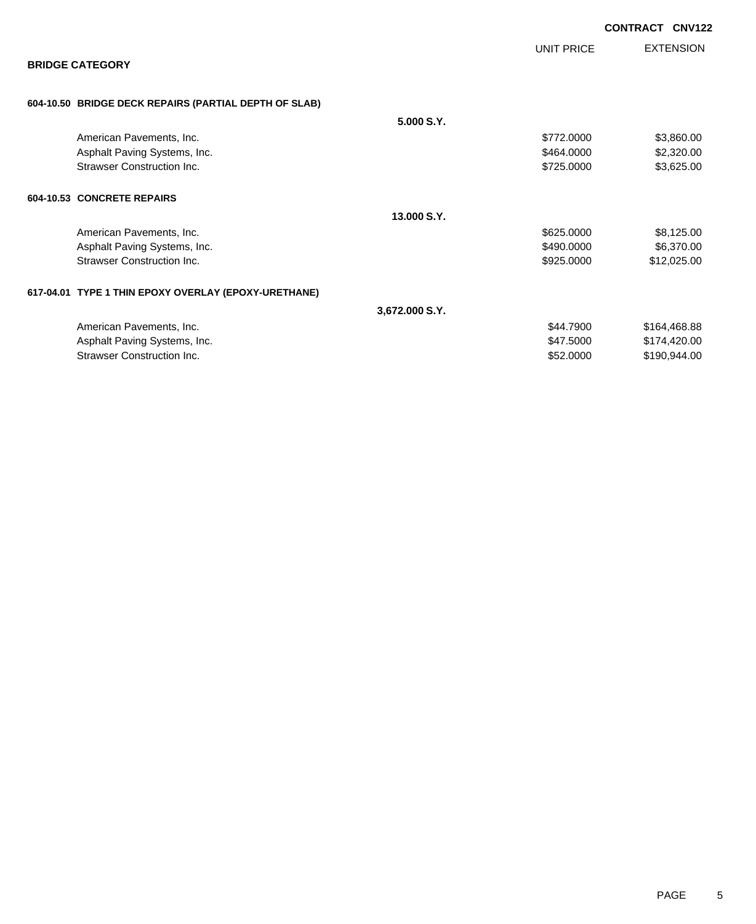|                                                       |                |            | CONTRACT CNV122  |
|-------------------------------------------------------|----------------|------------|------------------|
|                                                       |                | UNIT PRICE | <b>EXTENSION</b> |
| <b>BRIDGE CATEGORY</b>                                |                |            |                  |
| 604-10.50 BRIDGE DECK REPAIRS (PARTIAL DEPTH OF SLAB) |                |            |                  |
|                                                       | 5.000 S.Y.     |            |                  |
| American Pavements, Inc.                              |                | \$772,0000 | \$3,860.00       |
| Asphalt Paving Systems, Inc.                          |                | \$464.0000 | \$2,320.00       |
| <b>Strawser Construction Inc.</b>                     |                | \$725.0000 | \$3,625.00       |
| 604-10.53 CONCRETE REPAIRS                            |                |            |                  |
|                                                       | 13,000 S.Y.    |            |                  |
| American Pavements, Inc.                              |                | \$625.0000 | \$8,125.00       |
| Asphalt Paving Systems, Inc.                          |                | \$490.0000 | \$6,370.00       |
| <b>Strawser Construction Inc.</b>                     |                | \$925.0000 | \$12,025.00      |
| 617-04.01 TYPE 1 THIN EPOXY OVERLAY (EPOXY-URETHANE)  |                |            |                  |
|                                                       | 3,672.000 S.Y. |            |                  |
| American Pavements, Inc.                              |                | \$44.7900  | \$164,468.88     |
| Asphalt Paving Systems, Inc.                          |                | \$47.5000  | \$174,420.00     |
| <b>Strawser Construction Inc.</b>                     |                | \$52.0000  | \$190,944.00     |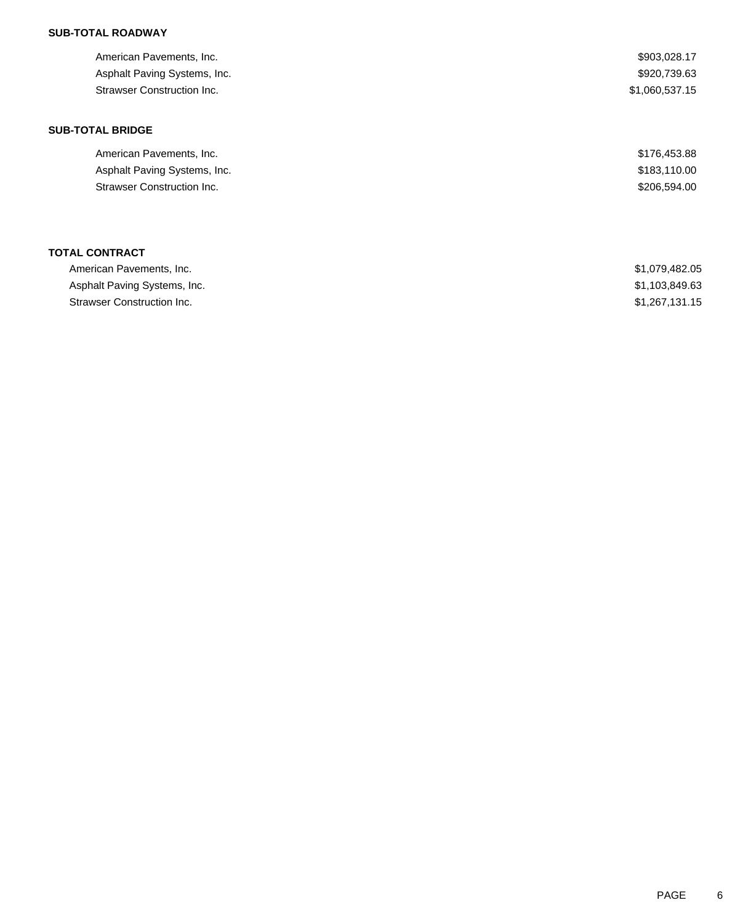| American Pavements, Inc.<br>Asphalt Paving Systems, Inc.<br><b>Strawser Construction Inc.</b> | \$903,028.17<br>\$920,739.63<br>\$1,060,537.15 |
|-----------------------------------------------------------------------------------------------|------------------------------------------------|
| <b>SUB-TOTAL BRIDGE</b>                                                                       |                                                |
| American Pavements, Inc.                                                                      | \$176,453.88                                   |
| Asphalt Paving Systems, Inc.                                                                  | \$183,110.00                                   |
| <b>Strawser Construction Inc.</b>                                                             | \$206,594.00                                   |
| <b>TOTAL CONTRACT</b>                                                                         |                                                |
| American Pavements, Inc.                                                                      | \$1,079,482.05                                 |
| Asphalt Paving Systems, Inc.                                                                  | \$1,103,849.63                                 |

Strawser Construction Inc. 6. The Strawser Construction Inc. 6. The Strawser Construction Inc.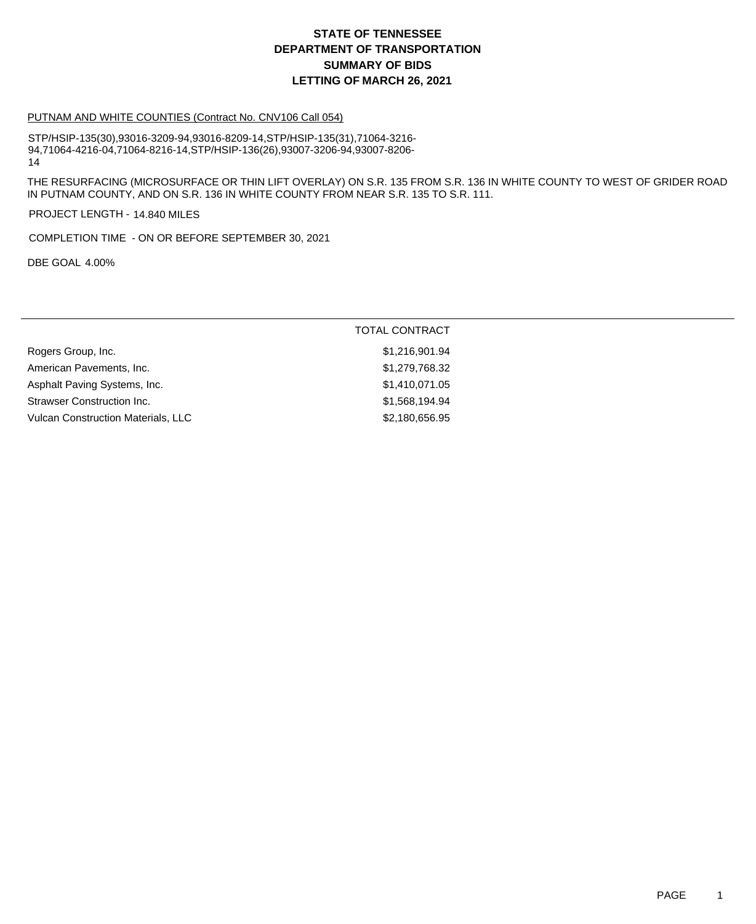#### PUTNAM AND WHITE COUNTIES (Contract No. CNV106 Call 054)

STP/HSIP-135(30),93016-3209-94,93016-8209-14,STP/HSIP-135(31),71064-3216- 94,71064-4216-04,71064-8216-14,STP/HSIP-136(26),93007-3206-94,93007-8206- 14

THE RESURFACING (MICROSURFACE OR THIN LIFT OVERLAY) ON S.R. 135 FROM S.R. 136 IN WHITE COUNTY TO WEST OF GRIDER ROAD IN PUTNAM COUNTY, AND ON S.R. 136 IN WHITE COUNTY FROM NEAR S.R. 135 TO S.R. 111.

PROJECT LENGTH - 14.840 MILES

COMPLETION TIME - ON OR BEFORE SEPTEMBER 30, 2021

DBE GOAL 4.00%

| <b>TOTAL CONTRACT</b> |
|-----------------------|
| \$1,216,901.94        |
| \$1,279,768.32        |
| \$1,410,071.05        |
| \$1,568,194.94        |
| \$2,180,656.95        |
|                       |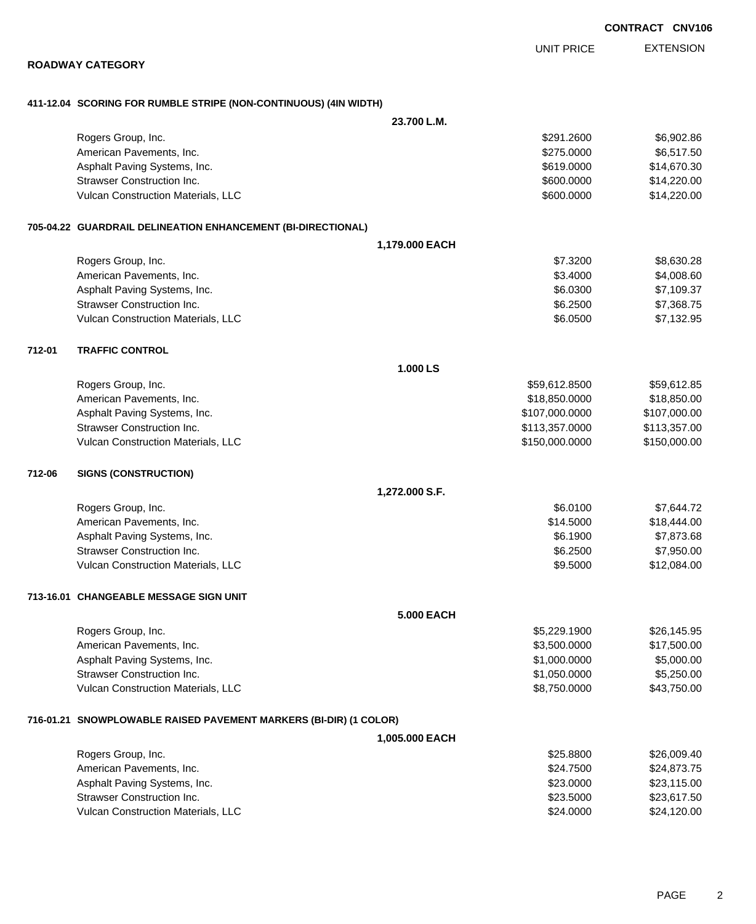EXTENSION UNIT PRICE

#### **ROADWAY CATEGORY**

### **411-12.04 SCORING FOR RUMBLE STRIPE (NON-CONTINUOUS) (4IN WIDTH)**

|        |                                                                   | 23.700 L.M.       |                |              |
|--------|-------------------------------------------------------------------|-------------------|----------------|--------------|
|        | Rogers Group, Inc.                                                |                   | \$291.2600     | \$6,902.86   |
|        | American Pavements, Inc.                                          |                   | \$275.0000     | \$6,517.50   |
|        | Asphalt Paving Systems, Inc.                                      |                   | \$619.0000     | \$14,670.30  |
|        | Strawser Construction Inc.                                        |                   | \$600.0000     | \$14,220.00  |
|        | Vulcan Construction Materials, LLC                                |                   | \$600.0000     | \$14,220.00  |
|        | 705-04.22 GUARDRAIL DELINEATION ENHANCEMENT (BI-DIRECTIONAL)      |                   |                |              |
|        |                                                                   | 1,179.000 EACH    |                |              |
|        | Rogers Group, Inc.                                                |                   | \$7.3200       | \$8,630.28   |
|        | American Pavements, Inc.                                          |                   | \$3.4000       | \$4,008.60   |
|        | Asphalt Paving Systems, Inc.                                      |                   | \$6.0300       | \$7,109.37   |
|        | <b>Strawser Construction Inc.</b>                                 |                   | \$6.2500       | \$7,368.75   |
|        | Vulcan Construction Materials, LLC                                |                   | \$6.0500       | \$7,132.95   |
| 712-01 | <b>TRAFFIC CONTROL</b>                                            |                   |                |              |
|        |                                                                   | 1.000 LS          |                |              |
|        | Rogers Group, Inc.                                                |                   | \$59,612.8500  | \$59,612.85  |
|        | American Pavements, Inc.                                          |                   | \$18,850.0000  | \$18,850.00  |
|        | Asphalt Paving Systems, Inc.                                      |                   | \$107,000.0000 | \$107,000.00 |
|        | <b>Strawser Construction Inc.</b>                                 |                   | \$113,357.0000 | \$113,357.00 |
|        | Vulcan Construction Materials, LLC                                |                   | \$150,000.0000 | \$150,000.00 |
| 712-06 | <b>SIGNS (CONSTRUCTION)</b>                                       |                   |                |              |
|        |                                                                   | 1,272.000 S.F.    |                |              |
|        | Rogers Group, Inc.                                                |                   | \$6.0100       | \$7,644.72   |
|        | American Pavements, Inc.                                          |                   | \$14.5000      | \$18,444.00  |
|        | Asphalt Paving Systems, Inc.                                      |                   | \$6.1900       | \$7,873.68   |
|        | Strawser Construction Inc.                                        |                   | \$6.2500       | \$7,950.00   |
|        | Vulcan Construction Materials, LLC                                |                   | \$9.5000       | \$12,084.00  |
|        | 713-16.01 CHANGEABLE MESSAGE SIGN UNIT                            |                   |                |              |
|        |                                                                   | <b>5.000 EACH</b> |                |              |
|        | Rogers Group, Inc.                                                |                   | \$5,229.1900   | \$26,145.95  |
|        | American Pavements, Inc.                                          |                   | \$3,500.0000   | \$17,500.00  |
|        | Asphalt Paving Systems, Inc.                                      |                   | \$1,000.0000   | \$5,000.00   |
|        | Strawser Construction Inc.                                        |                   | \$1,050.0000   | \$5,250.00   |
|        | Vulcan Construction Materials, LLC                                |                   | \$8,750.0000   | \$43,750.00  |
|        | 716-01.21 SNOWPLOWABLE RAISED PAVEMENT MARKERS (BI-DIR) (1 COLOR) |                   |                |              |
|        |                                                                   | 1,005.000 EACH    |                |              |
|        | Rogers Group, Inc.                                                |                   | \$25.8800      | \$26,009.40  |
|        | American Pavements, Inc.                                          |                   | \$24.7500      | \$24,873.75  |
|        | Asphalt Paving Systems, Inc.                                      |                   | \$23.0000      | \$23,115.00  |
|        | Strawser Construction Inc.                                        |                   | \$23.5000      | \$23,617.50  |
|        | Vulcan Construction Materials, LLC                                |                   | \$24.0000      | \$24,120.00  |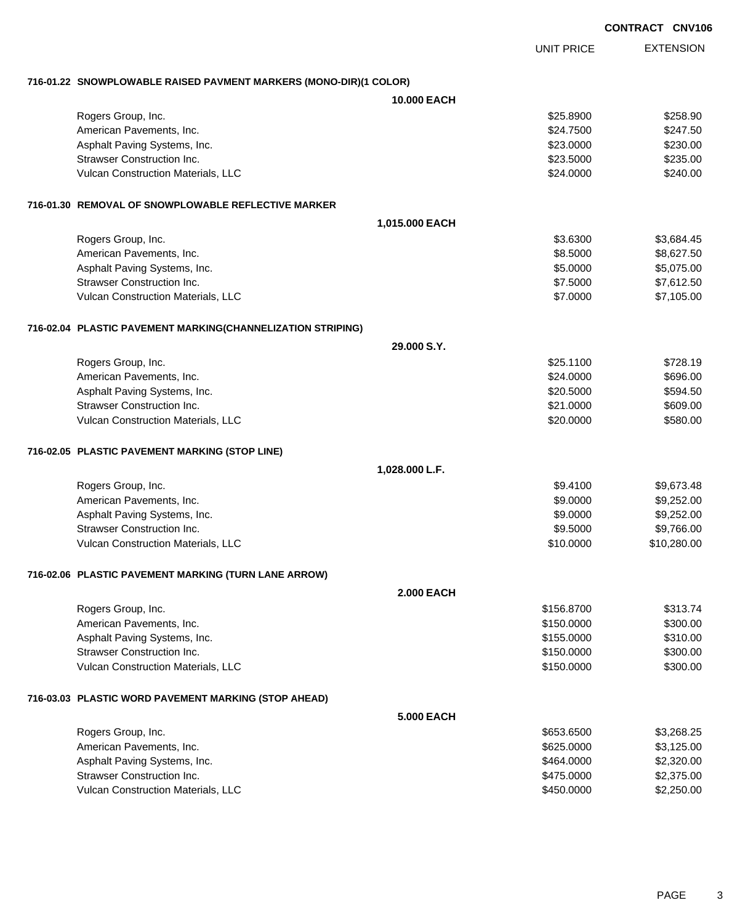EXTENSION UNIT PRICE **716-01.22 SNOWPLOWABLE RAISED PAVMENT MARKERS (MONO-DIR)(1 COLOR) 10.000 EACH** Rogers Group, Inc. \$258.900 \$258.900 \$258.900 \$258.900 \$258.900 \$258.900 \$258.900 \$258.900 \$258.900 \$258.90 American Pavements, Inc. 6. The Second State of the Second State of the Second State of Second State State State State State State State State State State State State State State State State State State State State State S Asphalt Paving Systems, Inc. 6230.000 \$230.000 \$230.000 \$23.000 \$230.00 Strawser Construction Inc. 6235.00 Vulcan Construction Materials, LLC 6240.00 \$240.00 \$240.00 \$240.00 **716-01.30 REMOVAL OF SNOWPLOWABLE REFLECTIVE MARKER 1,015.000 EACH** Rogers Group, Inc. \$3.684.45 American Pavements, Inc. 6. 2012 12:30 12:30 12:30 12:30 12:30 13:30 14:30 14:30 14:30 14:30 14:30 14:30 14:30 Asphalt Paving Systems, Inc. 6. 2016 19:30 19:30 19:30 19:30 19:30 19:30 19:30 19:30 19:30 19:30 19:30 19:30 1 Strawser Construction Inc. 6. The Strawser Construction Inc. 6. The Strawser Construction Inc. 6. Strawser Construction Inc. Vulcan Construction Materials, LLC 67,105.00 \$7,105.00 **716-02.04 PLASTIC PAVEMENT MARKING(CHANNELIZATION STRIPING) 29.000 S.Y.** Rogers Group, Inc. \$25.1100 \$728.19 American Pavements, Inc. 6696.00 \$696.00 \$696.00 \$696.00 Asphalt Paving Systems, Inc. 6. The Second Second Second Second Second Second Second Second Second Seconds Second Seconds Seconds Seconds Seconds Seconds Seconds Seconds Seconds Seconds Seconds Seconds Seconds Seconds Seco Strawser Construction Inc. 6609.00 Vulcan Construction Materials, LLC 6. The Construction Materials, LLC 6. The Construction Materials, LLC 6. The Construction of the S580.000 \$580.000 \$580.00 **716-02.05 PLASTIC PAVEMENT MARKING (STOP LINE) 1,028.000 L.F.** Rogers Group, Inc. \$9.673.48 American Pavements, Inc. 68.252.00 Asphalt Paving Systems, Inc. 6. 2012 12:30 12:30 12:30 12:30 12:30 12:30 12:30 12:30 12:30 12:30 12:30 12:30 1 Strawser Construction Inc. **6.6000 \$9.766.00** \$9.766.00 Vulcan Construction Materials, LLC 60000 \$10,280.00 **716-02.06 PLASTIC PAVEMENT MARKING (TURN LANE ARROW) 2.000 EACH** Rogers Group, Inc. \$313.74 American Pavements, Inc. 6300.00 \$300.00 \$300.00 \$300.00 Asphalt Paving Systems, Inc. 6310.00 \$315.000 \$310.00 Strawser Construction Inc. 6300.00 Vulcan Construction Materials, LLC 60000 \$300.00 **716-03.03 PLASTIC WORD PAVEMENT MARKING (STOP AHEAD) 5.000 EACH** Rogers Group, Inc. \$3,268.25 (\$3,268.25) \$653.6500 \$3,268.25 American Pavements, Inc. 6625.000 \$3,125.00 Asphalt Paving Systems, Inc. 6. The Contract of the Contract of the State of the State of State of the State of State of State of the State of State of State of State of the State of State of State of State of State of Sta

Strawser Construction Inc. **62,375.00** \$2,375.00 Vulcan Construction Materials, LLC 60000 \$2,250.000 \$2,250.000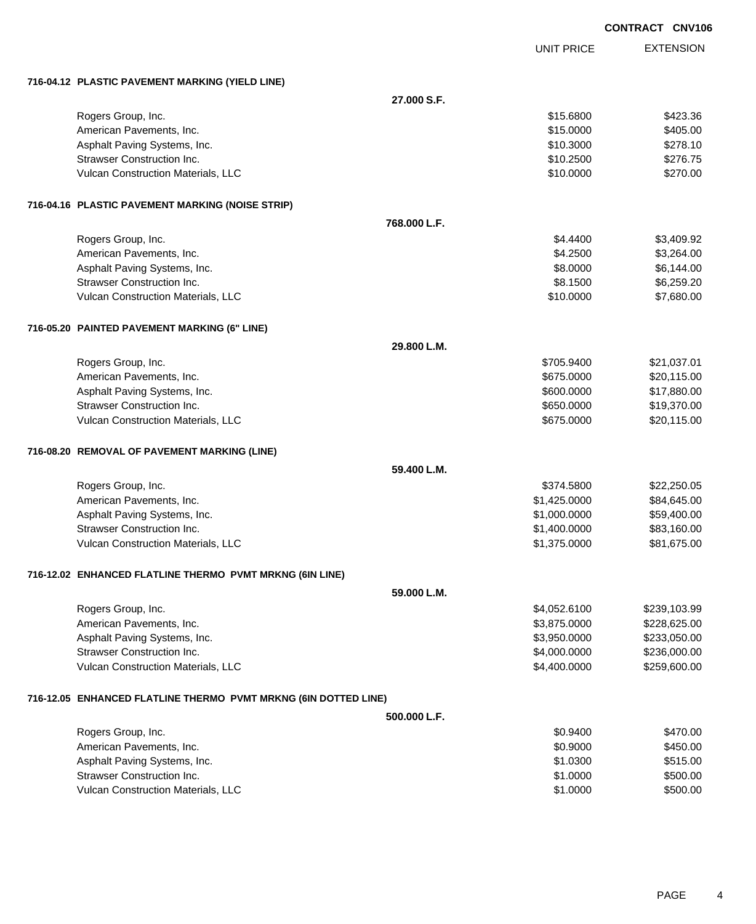|                                                                 |              |                   | <b>CONTRACT CNV106</b> |
|-----------------------------------------------------------------|--------------|-------------------|------------------------|
|                                                                 |              | <b>UNIT PRICE</b> | <b>EXTENSION</b>       |
| 716-04.12 PLASTIC PAVEMENT MARKING (YIELD LINE)                 |              |                   |                        |
|                                                                 | 27.000 S.F.  |                   |                        |
| Rogers Group, Inc.                                              |              | \$15.6800         | \$423.36               |
| American Pavements, Inc.                                        |              | \$15.0000         | \$405.00               |
| Asphalt Paving Systems, Inc.                                    |              | \$10.3000         | \$278.10               |
| <b>Strawser Construction Inc.</b>                               |              | \$10.2500         | \$276.75               |
| Vulcan Construction Materials, LLC                              |              | \$10.0000         | \$270.00               |
| 716-04.16 PLASTIC PAVEMENT MARKING (NOISE STRIP)                |              |                   |                        |
|                                                                 | 768.000 L.F. |                   |                        |
| Rogers Group, Inc.                                              |              | \$4.4400          | \$3,409.92             |
| American Pavements, Inc.                                        |              | \$4.2500          | \$3,264.00             |
| Asphalt Paving Systems, Inc.                                    |              | \$8.0000          | \$6,144.00             |
| Strawser Construction Inc.                                      |              | \$8.1500          | \$6,259.20             |
| Vulcan Construction Materials, LLC                              |              | \$10.0000         | \$7,680.00             |
| 716-05.20 PAINTED PAVEMENT MARKING (6" LINE)                    |              |                   |                        |
|                                                                 | 29.800 L.M.  |                   |                        |
| Rogers Group, Inc.                                              |              | \$705.9400        | \$21,037.01            |
| American Pavements, Inc.                                        |              | \$675.0000        | \$20,115.00            |
| Asphalt Paving Systems, Inc.                                    |              | \$600.0000        | \$17,880.00            |
| <b>Strawser Construction Inc.</b>                               |              | \$650.0000        | \$19,370.00            |
| Vulcan Construction Materials, LLC                              |              | \$675.0000        | \$20,115.00            |
| 716-08.20 REMOVAL OF PAVEMENT MARKING (LINE)                    |              |                   |                        |
|                                                                 | 59.400 L.M.  |                   |                        |
| Rogers Group, Inc.                                              |              | \$374.5800        | \$22,250.05            |
| American Pavements, Inc.                                        |              | \$1,425.0000      | \$84,645.00            |
| Asphalt Paving Systems, Inc.                                    |              | \$1,000.0000      | \$59,400.00            |
| Strawser Construction Inc.                                      |              | \$1,400.0000      | \$83,160.00            |
| Vulcan Construction Materials, LLC                              |              | \$1,375.0000      | \$81,675.00            |
| 716-12.02 ENHANCED FLATLINE THERMO PVMT MRKNG (6IN LINE)        |              |                   |                        |
|                                                                 | 59.000 L.M.  |                   |                        |
| Rogers Group, Inc.                                              |              | \$4,052.6100      | \$239,103.99           |
| American Pavements, Inc.                                        |              | \$3,875.0000      | \$228,625.00           |
| Asphalt Paving Systems, Inc.                                    |              | \$3,950.0000      | \$233,050.00           |
| <b>Strawser Construction Inc.</b>                               |              | \$4,000.0000      | \$236,000.00           |
| Vulcan Construction Materials, LLC                              |              | \$4,400.0000      | \$259,600.00           |
| 716-12.05 ENHANCED FLATLINE THERMO PVMT MRKNG (6IN DOTTED LINE) |              |                   |                        |
|                                                                 | 500.000 L.F. |                   |                        |
| Rogers Group, Inc.                                              |              | \$0.9400          | \$470.00               |
| American Pavements, Inc.                                        |              | \$0.9000          | \$450.00               |
| Asphalt Paving Systems, Inc.                                    |              | \$1.0300          | \$515.00               |
| <b>Strawser Construction Inc.</b>                               |              | \$1.0000          | \$500.00               |

Vulcan Construction Materials, LLC 60000 \$500.00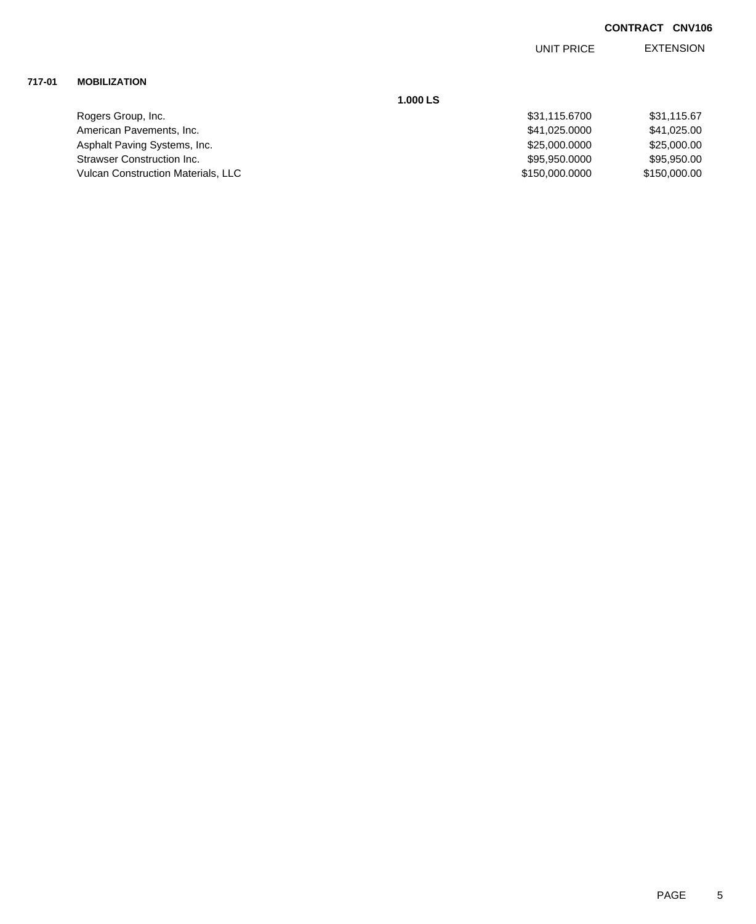EXTENSION UNIT PRICE

## **717-01 MOBILIZATION**

| Rogers Group, Inc.                        | \$31,115.6700  | \$31,115.67  |
|-------------------------------------------|----------------|--------------|
| American Pavements, Inc.                  | \$41.025.0000  | \$41,025.00  |
| Asphalt Paving Systems, Inc.              | \$25,000,0000  | \$25,000.00  |
| Strawser Construction Inc.                | \$95,950,0000  | \$95,950.00  |
| <b>Vulcan Construction Materials, LLC</b> | \$150,000.0000 | \$150,000,00 |

**1.000 LS**

| \$31.115.6700  | \$31,115.67  |
|----------------|--------------|
| \$41.025.0000  | \$41.025.00  |
| \$25,000,0000  | \$25,000,00  |
| \$95,950.0000  | \$95.950.00  |
| \$150,000.0000 | \$150,000.00 |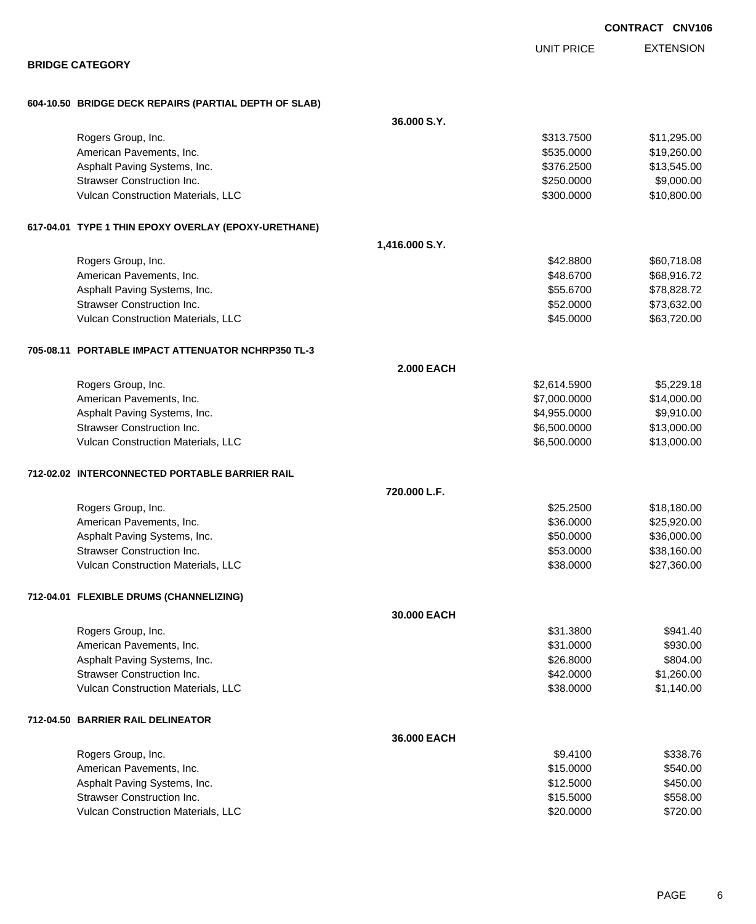|                                                                         |                   | CONTRACT CNV10                                             |
|-------------------------------------------------------------------------|-------------------|------------------------------------------------------------|
|                                                                         |                   | <b>EXTENSION</b><br><b>UNIT PRICE</b>                      |
| <b>BRIDGE CATEGORY</b>                                                  |                   |                                                            |
| 604-10.50 BRIDGE DECK REPAIRS (PARTIAL DEPTH OF SLAB)                   |                   |                                                            |
|                                                                         | 36.000 S.Y.       |                                                            |
| Rogers Group, Inc.                                                      |                   | \$313.7500<br>\$11,295.00                                  |
| American Pavements, Inc.                                                |                   | \$535.0000<br>\$19,260.00                                  |
| Asphalt Paving Systems, Inc.                                            |                   | \$13,545.00<br>\$376.2500                                  |
| <b>Strawser Construction Inc.</b>                                       |                   | \$9,000.00<br>\$250.0000                                   |
| Vulcan Construction Materials, LLC                                      |                   | \$10,800.00<br>\$300.0000                                  |
| 617-04.01 TYPE 1 THIN EPOXY OVERLAY (EPOXY-URETHANE)                    |                   |                                                            |
|                                                                         | 1,416.000 S.Y.    |                                                            |
| Rogers Group, Inc.                                                      |                   | \$42.8800<br>\$60,718.08                                   |
| American Pavements, Inc.                                                |                   | \$48.6700<br>\$68,916.72                                   |
| Asphalt Paving Systems, Inc.                                            |                   | \$55.6700<br>\$78,828.72                                   |
| <b>Strawser Construction Inc.</b>                                       |                   | \$52.0000<br>\$73,632.00                                   |
| Vulcan Construction Materials, LLC                                      |                   | \$45.0000<br>\$63,720.00                                   |
| 705-08.11 PORTABLE IMPACT ATTENUATOR NCHRP350 TL-3                      |                   |                                                            |
|                                                                         | <b>2.000 EACH</b> |                                                            |
| Rogers Group, Inc.                                                      |                   | \$5,229.18<br>\$2,614.5900                                 |
| American Pavements, Inc.                                                |                   | \$14,000.00<br>\$7,000.0000                                |
| Asphalt Paving Systems, Inc.                                            |                   | \$9,910.00<br>\$4,955.0000                                 |
| <b>Strawser Construction Inc.</b><br>Vulcan Construction Materials, LLC |                   | \$13,000.00<br>\$6,500.0000<br>\$6,500.0000<br>\$13,000.00 |
|                                                                         |                   |                                                            |
| 712-02.02 INTERCONNECTED PORTABLE BARRIER RAIL                          | 720.000 L.F.      |                                                            |
| Rogers Group, Inc.                                                      |                   | \$25.2500<br>\$18,180.00                                   |
| American Pavements, Inc.                                                |                   | \$36.0000<br>\$25,920.00                                   |
| Asphalt Paving Systems, Inc.                                            |                   | \$50.0000<br>\$36,000.00                                   |
| <b>Strawser Construction Inc.</b>                                       |                   | \$53.0000<br>\$38,160.00                                   |
| Vulcan Construction Materials, LLC                                      |                   | \$38.0000<br>\$27,360.00                                   |
| 712-04.01 FLEXIBLE DRUMS (CHANNELIZING)                                 |                   |                                                            |
|                                                                         | 30.000 EACH       |                                                            |
| Rogers Group, Inc.                                                      |                   | \$31.3800<br>\$941.40                                      |
| American Pavements, Inc.                                                |                   | \$31.0000<br>\$930.00                                      |
| Asphalt Paving Systems, Inc.                                            |                   | \$26.8000<br>\$804.00                                      |
| <b>Strawser Construction Inc.</b>                                       |                   | \$42.0000<br>\$1,260.00                                    |
| Vulcan Construction Materials, LLC                                      |                   | \$38.0000<br>\$1,140.00                                    |
| 712-04.50 BARRIER RAIL DELINEATOR                                       |                   |                                                            |
|                                                                         | 36.000 EACH       |                                                            |
| Rogers Group, Inc.                                                      |                   | \$9.4100<br>\$338.76                                       |
| American Pavements, Inc.                                                |                   | \$15.0000<br>\$540.00                                      |
| Asphalt Paving Systems, Inc.                                            |                   | \$12.5000<br>\$450.00                                      |
| <b>Strawser Construction Inc.</b>                                       |                   | \$15.5000<br>\$558.00                                      |
| Vulcan Construction Materials, LLC                                      |                   | \$20.0000<br>\$720.00                                      |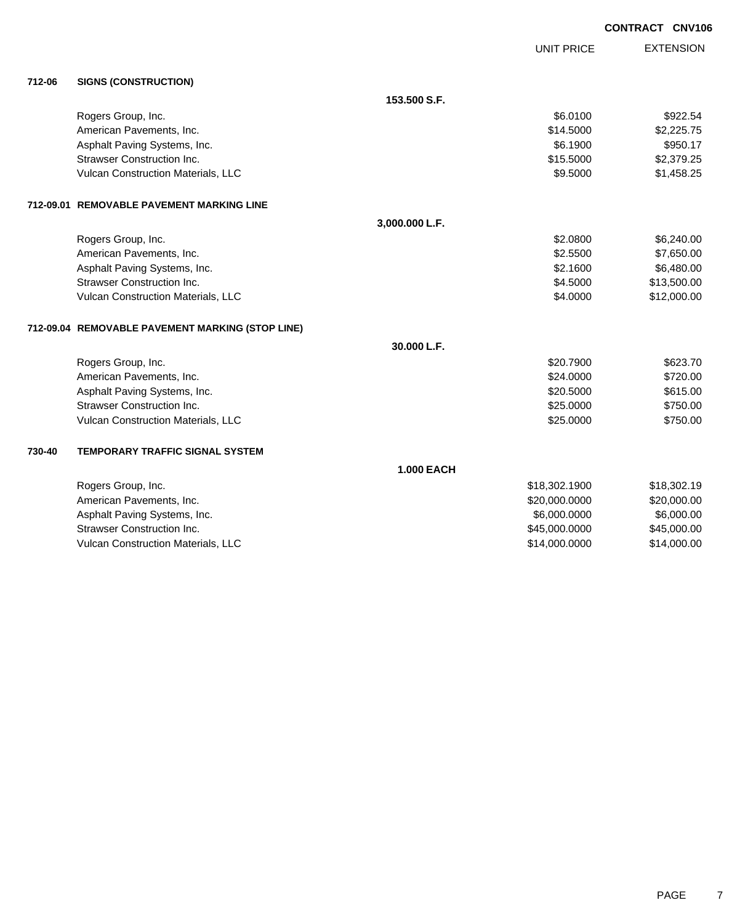|        |                                                  |                   |                   | <b>CONTRACT CNV106</b> |
|--------|--------------------------------------------------|-------------------|-------------------|------------------------|
|        |                                                  |                   | <b>UNIT PRICE</b> | <b>EXTENSION</b>       |
| 712-06 | <b>SIGNS (CONSTRUCTION)</b>                      |                   |                   |                        |
|        |                                                  | 153.500 S.F.      |                   |                        |
|        | Rogers Group, Inc.                               |                   | \$6.0100          | \$922.54               |
|        | American Pavements, Inc.                         |                   | \$14.5000         | \$2,225.75             |
|        | Asphalt Paving Systems, Inc.                     |                   | \$6.1900          | \$950.17               |
|        | <b>Strawser Construction Inc.</b>                |                   | \$15.5000         | \$2,379.25             |
|        | Vulcan Construction Materials, LLC               |                   | \$9.5000          | \$1,458.25             |
|        | 712-09.01 REMOVABLE PAVEMENT MARKING LINE        |                   |                   |                        |
|        |                                                  | 3,000.000 L.F.    |                   |                        |
|        | Rogers Group, Inc.                               |                   | \$2.0800          | \$6,240.00             |
|        | American Pavements, Inc.                         |                   | \$2.5500          | \$7,650.00             |
|        | Asphalt Paving Systems, Inc.                     |                   | \$2.1600          | \$6,480.00             |
|        | <b>Strawser Construction Inc.</b>                |                   | \$4.5000          | \$13,500.00            |
|        | Vulcan Construction Materials, LLC               |                   | \$4.0000          | \$12,000.00            |
|        | 712-09.04 REMOVABLE PAVEMENT MARKING (STOP LINE) |                   |                   |                        |
|        |                                                  | 30.000 L.F.       |                   |                        |
|        | Rogers Group, Inc.                               |                   | \$20.7900         | \$623.70               |
|        | American Pavements, Inc.                         |                   | \$24.0000         | \$720.00               |
|        | Asphalt Paving Systems, Inc.                     |                   | \$20.5000         | \$615.00               |
|        | <b>Strawser Construction Inc.</b>                |                   | \$25.0000         | \$750.00               |
|        | Vulcan Construction Materials, LLC               |                   | \$25.0000         | \$750.00               |
| 730-40 | TEMPORARY TRAFFIC SIGNAL SYSTEM                  |                   |                   |                        |
|        |                                                  | <b>1.000 EACH</b> |                   |                        |
|        | Rogers Group, Inc.                               |                   | \$18,302.1900     | \$18,302.19            |
|        | American Pavements, Inc.                         |                   | \$20,000.0000     | \$20,000.00            |
|        | Asphalt Paving Systems, Inc.                     |                   | \$6,000.0000      | \$6,000.00             |
|        | <b>Strawser Construction Inc.</b>                |                   | \$45,000.0000     | \$45,000.00            |
|        | Vulcan Construction Materials, LLC               |                   | \$14,000.0000     | \$14,000.00            |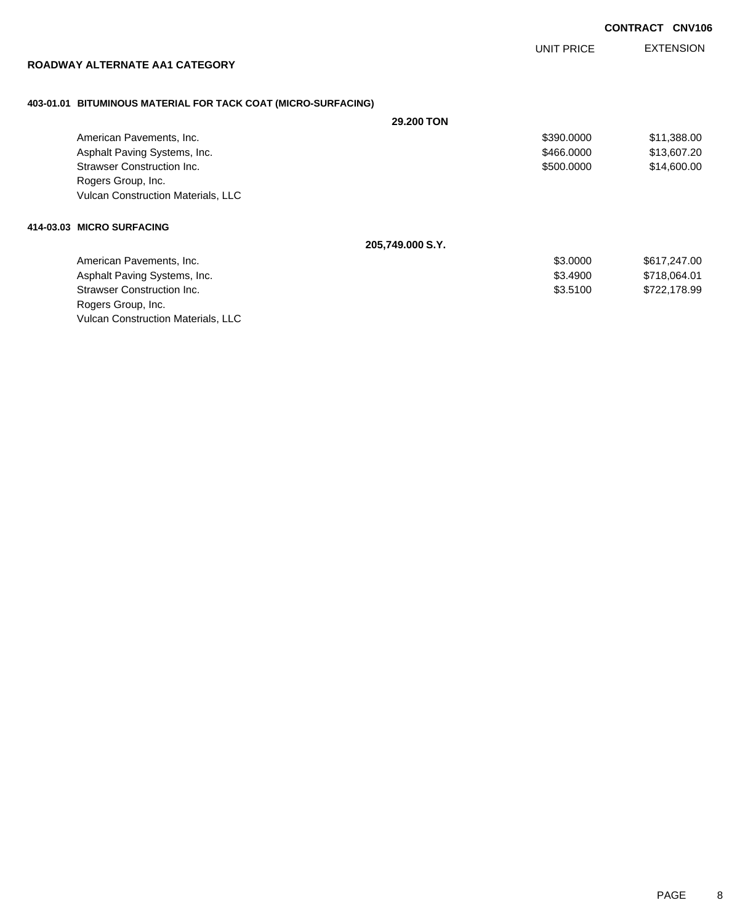EXTENSION UNIT PRICE

### **ROADWAY ALTERNATE AA1 CATEGORY**

### **403-01.01 BITUMINOUS MATERIAL FOR TACK COAT (MICRO-SURFACING)**

|                                           | <b>29,200 TON</b> |            |              |
|-------------------------------------------|-------------------|------------|--------------|
| American Pavements, Inc.                  |                   | \$390,0000 | \$11,388.00  |
| Asphalt Paving Systems, Inc.              |                   | \$466.0000 | \$13,607.20  |
| Strawser Construction Inc.                |                   | \$500,0000 | \$14,600.00  |
| Rogers Group, Inc.                        |                   |            |              |
| <b>Vulcan Construction Materials, LLC</b> |                   |            |              |
| 414-03.03 MICRO SURFACING                 |                   |            |              |
|                                           | 205,749.000 S.Y.  |            |              |
| American Pavements, Inc.                  |                   | \$3,0000   | \$617,247.00 |
| Asphalt Paving Systems, Inc.              |                   | \$3,4900   | \$718,064.01 |
| Strawser Construction Inc.                |                   | \$3.5100   | \$722,178.99 |
| Rogers Group, Inc.                        |                   |            |              |
| <b>Vulcan Construction Materials, LLC</b> |                   |            |              |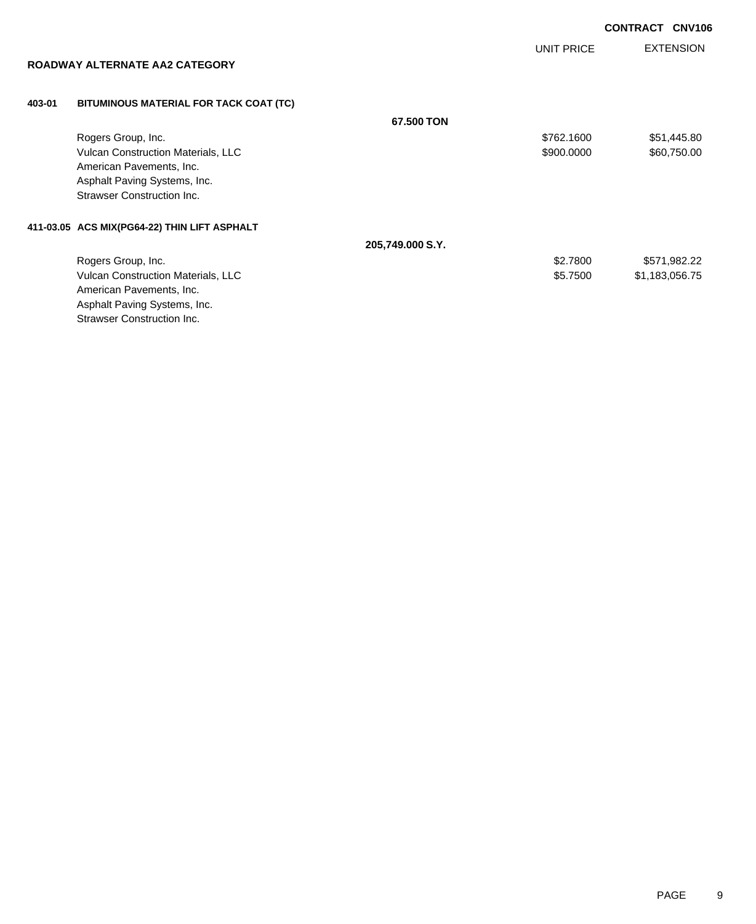EXTENSION **CONTRACT CNV106** UNIT PRICE **ROADWAY ALTERNATE AA2 CATEGORY 403-01 BITUMINOUS MATERIAL FOR TACK COAT (TC) 67.500 TON** Rogers Group, Inc. \$1,445.80 Vulcan Construction Materials, LLC 600000 \$60,750.00 American Pavements, Inc. Asphalt Paving Systems, Inc. Strawser Construction Inc. **411-03.05 ACS MIX(PG64-22) THIN LIFT ASPHALT 205,749.000 S.Y.** Rogers Group, Inc. \$2.7800 \$571,982.22 Vulcan Construction Materials, LLC 600 \$1,183,056.75 American Pavements, Inc.

Asphalt Paving Systems, Inc. Strawser Construction Inc.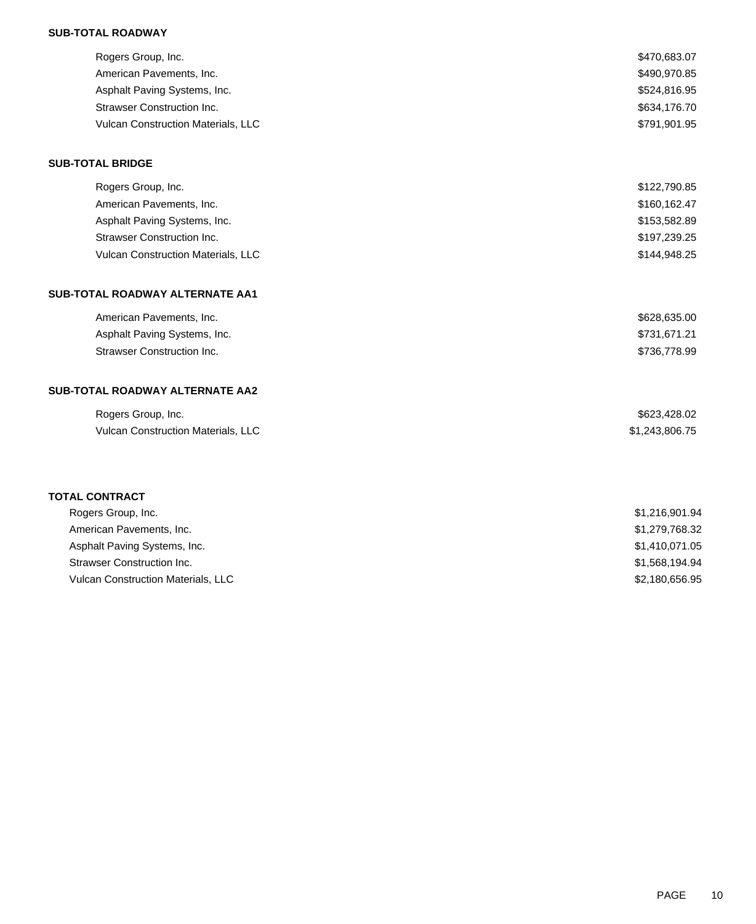### **SUB-TOTAL ROADWAY**

| Rogers Group, Inc.                 | \$470,683.07   |
|------------------------------------|----------------|
| American Pavements, Inc.           | \$490,970.85   |
| Asphalt Paving Systems, Inc.       | \$524,816.95   |
| Strawser Construction Inc.         | \$634,176.70   |
| Vulcan Construction Materials, LLC | \$791,901.95   |
| <b>SUB-TOTAL BRIDGE</b>            |                |
| Rogers Group, Inc.                 | \$122,790.85   |
| American Pavements, Inc.           | \$160,162.47   |
| Asphalt Paving Systems, Inc.       | \$153,582.89   |
| <b>Strawser Construction Inc.</b>  | \$197,239.25   |
| Vulcan Construction Materials, LLC | \$144,948.25   |
| SUB-TOTAL ROADWAY ALTERNATE AA1    |                |
| American Pavements, Inc.           | \$628,635.00   |
| Asphalt Paving Systems, Inc.       | \$731,671.21   |
| <b>Strawser Construction Inc.</b>  | \$736,778.99   |
| SUB-TOTAL ROADWAY ALTERNATE AA2    |                |
| Rogers Group, Inc.                 | \$623,428.02   |
| Vulcan Construction Materials, LLC | \$1,243,806.75 |
|                                    |                |
| <b>TOTAL CONTRACT</b>              |                |
| Rogers Group, Inc.                 | \$1,216,901.94 |
| American Pavements, Inc.           | \$1,279,768.32 |
| Asphalt Paving Systems, Inc.       | \$1,410,071.05 |
| <b>Strawser Construction Inc.</b>  | \$1,568,194.94 |
| Vulcan Construction Materials, LLC | \$2,180,656.95 |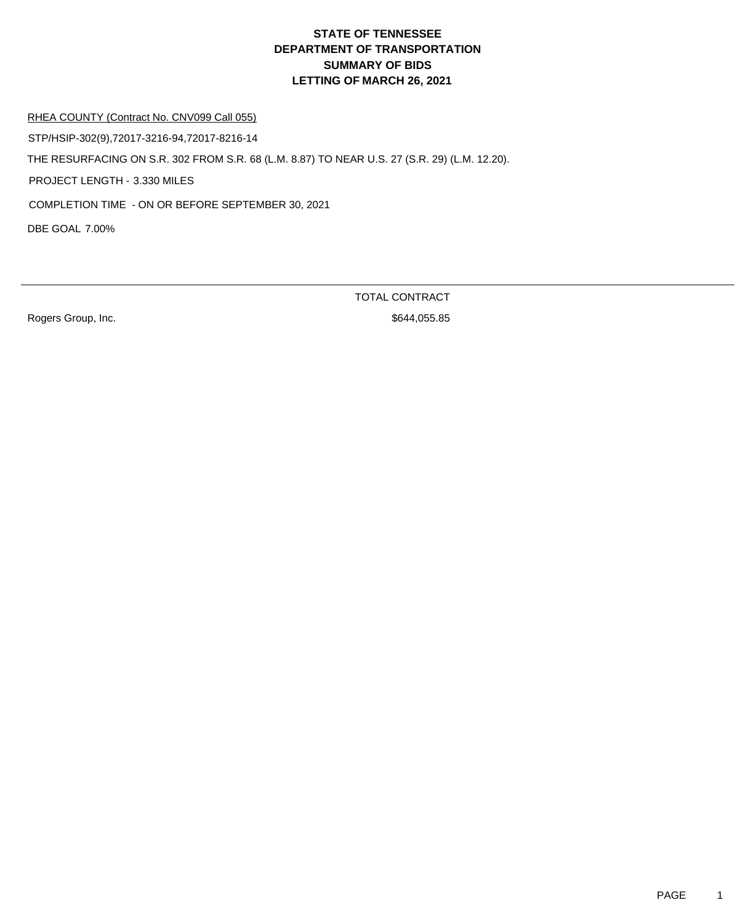# **DEPARTMENT OF TRANSPORTATION SUMMARY OF BIDS LETTING OF MARCH 26, 2021 STATE OF TENNESSEE**

RHEA COUNTY (Contract No. CNV099 Call 055)

DBE GOAL 7.00% THE RESURFACING ON S.R. 302 FROM S.R. 68 (L.M. 8.87) TO NEAR U.S. 27 (S.R. 29) (L.M. 12.20). PROJECT LENGTH - 3.330 MILES STP/HSIP-302(9),72017-3216-94,72017-8216-14 COMPLETION TIME - ON OR BEFORE SEPTEMBER 30, 2021

Rogers Group, Inc. 6644,055.85

TOTAL CONTRACT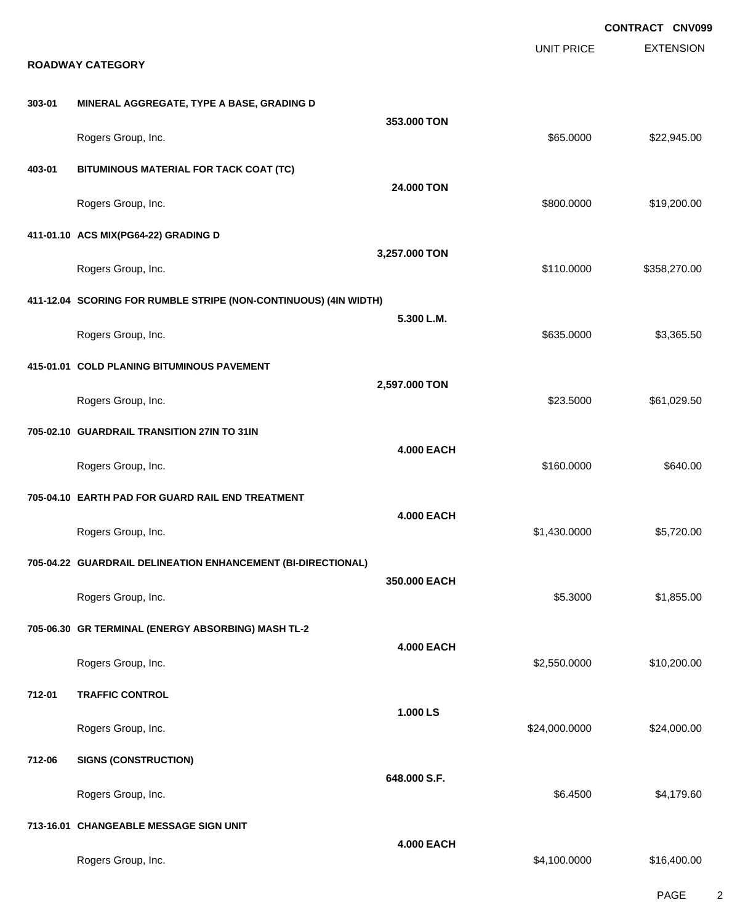**EXTENSION CONTRACT CNV099** UNIT PRICE **ROADWAY CATEGORY 303-01 MINERAL AGGREGATE, TYPE A BASE, GRADING D 353.000 TON** Rogers Group, Inc. \$65.0000 \$22,945.00 **403-01 BITUMINOUS MATERIAL FOR TACK COAT (TC) 24.000 TON** Rogers Group, Inc. \$800.0000 \$19,200.00 **411-01.10 ACS MIX(PG64-22) GRADING D 3,257.000 TON** Rogers Group, Inc. 6. 2012. The State of the State of the State of the State of State of State of State of State of State of State of State of State of State of State of State of State of State of State of State of State o **411-12.04 SCORING FOR RUMBLE STRIPE (NON-CONTINUOUS) (4IN WIDTH) 5.300 L.M.** Rogers Group, Inc. \$635.0000 \$3,365.50 **415-01.01 COLD PLANING BITUMINOUS PAVEMENT 2,597.000 TON** Rogers Group, Inc. \$23.5000 \$61,029.50 **705-02.10 GUARDRAIL TRANSITION 27IN TO 31IN 4.000 EACH** Rogers Group, Inc. \$160.0000 \$640.00 **705-04.10 EARTH PAD FOR GUARD RAIL END TREATMENT 4.000 EACH** Rogers Group, Inc. \$1,430.0000 \$5,720.00 **705-04.22 GUARDRAIL DELINEATION ENHANCEMENT (BI-DIRECTIONAL) 350.000 EACH** Rogers Group, Inc. \$1,855.00 \$1,855.00 \$1,855.00 \$1,855.00 \$1,855.00 \$1,855.00 \$1,855.00 \$1,855.00 \$1,855.00 \$1,855.00 \$1,855.00 \$1,855.00 \$1,855.00 \$1,855.00 \$1,855.00 \$1,855.00 \$1,855.00 \$1,855.00 \$1,855.00 \$1,855.00 \$1, **705-06.30 GR TERMINAL (ENERGY ABSORBING) MASH TL-2 4.000 EACH** Rogers Group, Inc. \$2,550.0000 \$10,200.00 **712-01 TRAFFIC CONTROL 1.000 LS** Rogers Group, Inc. \$24,000.000 \$24,000.000 \$24,000.000 \$24,000.000 \$24,000.000 \$24,000.00 **712-06 SIGNS (CONSTRUCTION) 648.000 S.F.** Rogers Group, Inc. \$4,179.60 **713-16.01 CHANGEABLE MESSAGE SIGN UNIT 4.000 EACH** Rogers Group, Inc. \$16,400.00 \$16,400.00 \$16,400.00 \$16,400.00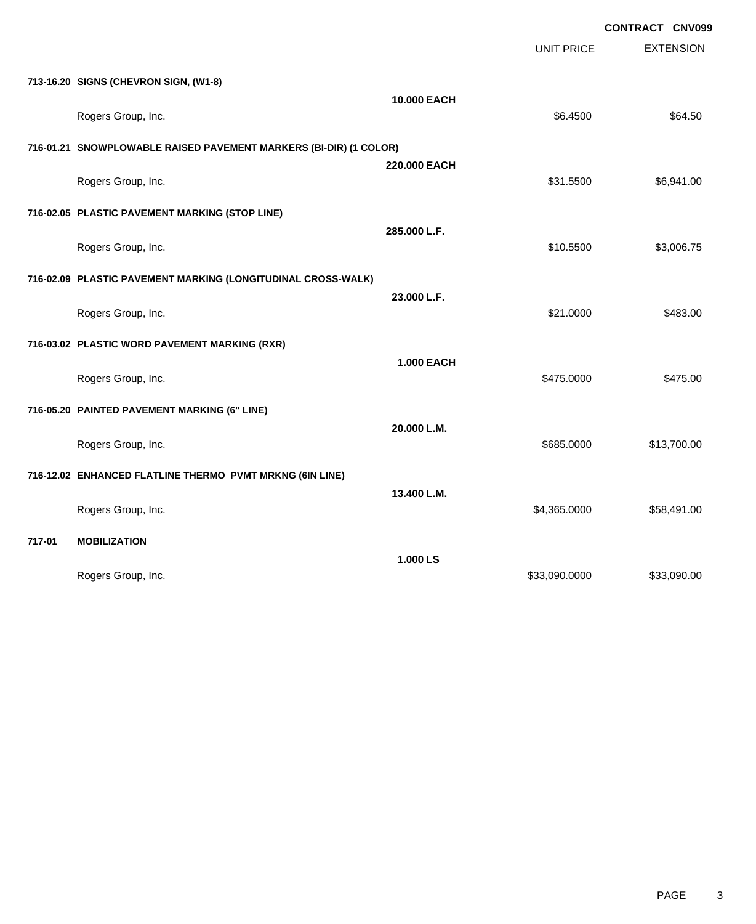|        |                                                                   |                   | UNIT PRICE    | <b>EXTENSION</b> |
|--------|-------------------------------------------------------------------|-------------------|---------------|------------------|
|        | 713-16.20 SIGNS (CHEVRON SIGN, (W1-8)                             |                   |               |                  |
|        | Rogers Group, Inc.                                                | 10.000 EACH       | \$6.4500      | \$64.50          |
|        | 716-01.21 SNOWPLOWABLE RAISED PAVEMENT MARKERS (BI-DIR) (1 COLOR) |                   |               |                  |
|        | Rogers Group, Inc.                                                | 220.000 EACH      | \$31.5500     | \$6,941.00       |
|        | 716-02.05 PLASTIC PAVEMENT MARKING (STOP LINE)                    |                   |               |                  |
|        | Rogers Group, Inc.                                                | 285.000 L.F.      | \$10.5500     | \$3,006.75       |
|        | 716-02.09 PLASTIC PAVEMENT MARKING (LONGITUDINAL CROSS-WALK)      |                   |               |                  |
|        | Rogers Group, Inc.                                                | 23.000 L.F.       | \$21.0000     | \$483.00         |
|        | 716-03.02 PLASTIC WORD PAVEMENT MARKING (RXR)                     |                   |               |                  |
|        | Rogers Group, Inc.                                                | <b>1.000 EACH</b> | \$475.0000    | \$475.00         |
|        | 716-05.20 PAINTED PAVEMENT MARKING (6" LINE)                      |                   |               |                  |
|        | Rogers Group, Inc.                                                | 20.000 L.M.       | \$685.0000    | \$13,700.00      |
|        | 716-12.02 ENHANCED FLATLINE THERMO PVMT MRKNG (6IN LINE)          |                   |               |                  |
|        | Rogers Group, Inc.                                                | 13.400 L.M.       | \$4,365.0000  | \$58,491.00      |
| 717-01 | <b>MOBILIZATION</b>                                               |                   |               |                  |
|        | Rogers Group, Inc.                                                | 1.000 LS          | \$33,090.0000 | \$33,090.00      |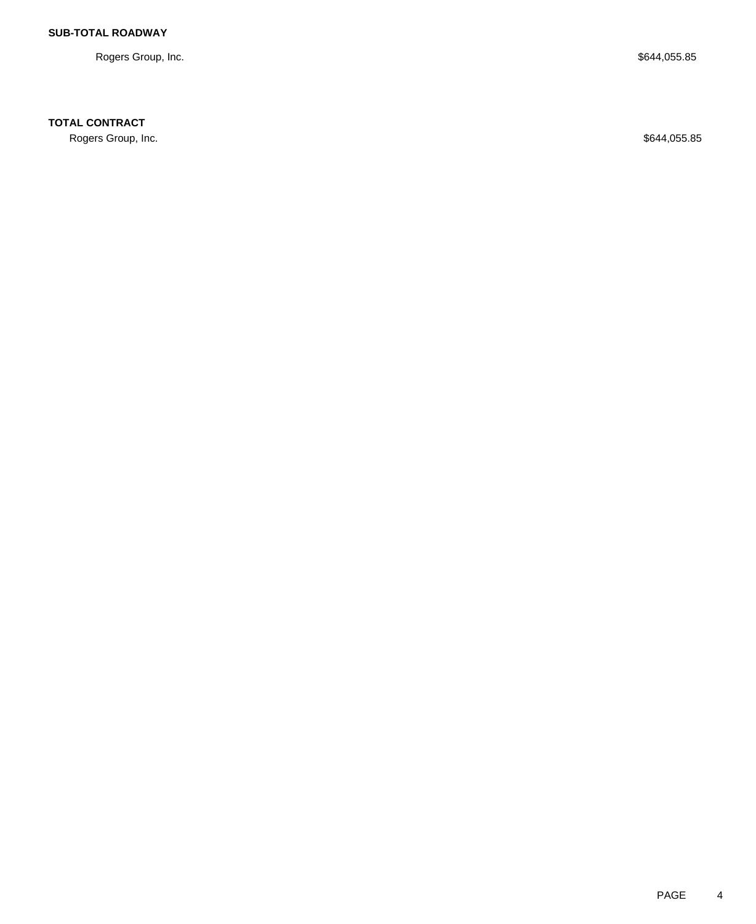Rogers Group, Inc. \$644,055.85

# **TOTAL CONTRACT**

Rogers Group, Inc. \$644,055.85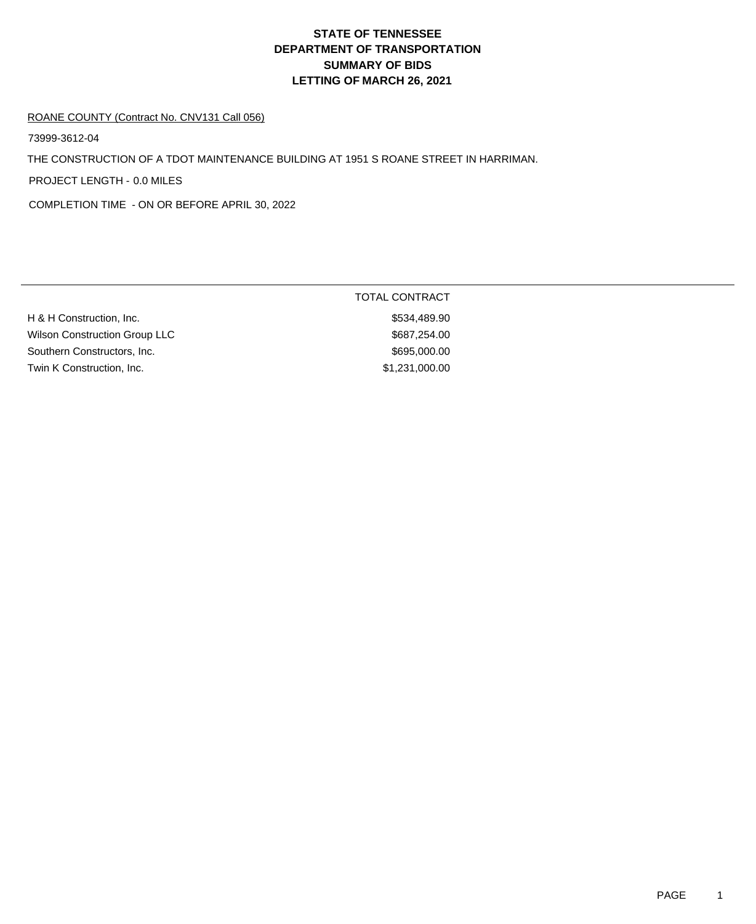# **DEPARTMENT OF TRANSPORTATION SUMMARY OF BIDS LETTING OF MARCH 26, 2021 STATE OF TENNESSEE**

#### ROANE COUNTY (Contract No. CNV131 Call 056)

73999-3612-04

THE CONSTRUCTION OF A TDOT MAINTENANCE BUILDING AT 1951 S ROANE STREET IN HARRIMAN.

PROJECT LENGTH - 0.0 MILES

COMPLETION TIME - ON OR BEFORE APRIL 30, 2022

|                                      | <b>TOTAL CONTRACT</b> |  |
|--------------------------------------|-----------------------|--|
| H & H Construction, Inc.             | \$534,489.90          |  |
| <b>Wilson Construction Group LLC</b> | \$687.254.00          |  |
| Southern Constructors, Inc.          | \$695,000.00          |  |
| Twin K Construction, Inc.            | \$1,231,000.00        |  |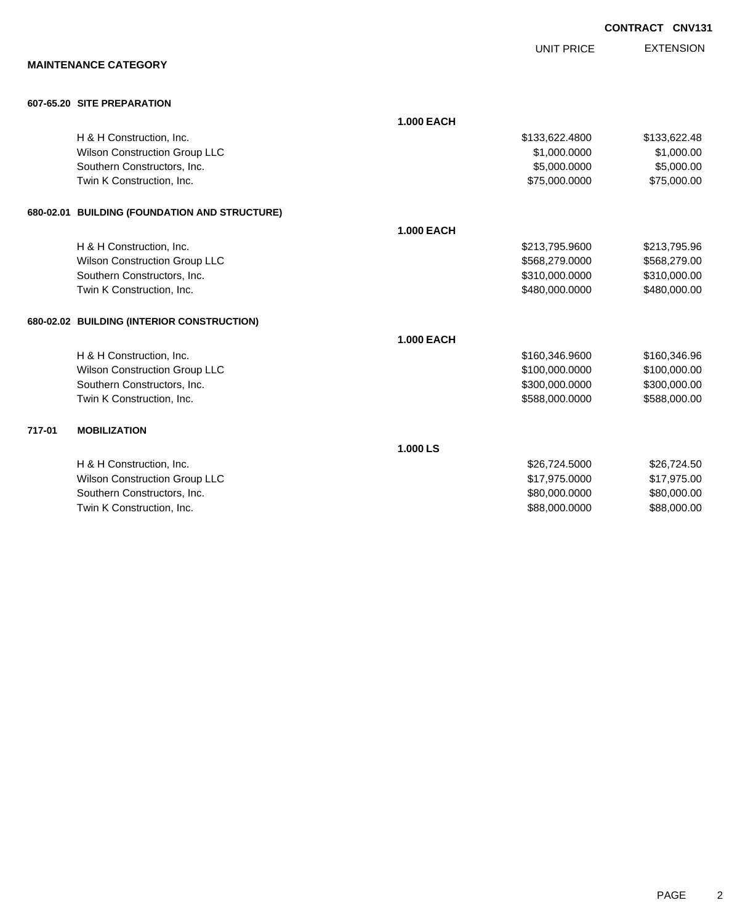|        |                                               |                   |                   | <b>CONTRACT CNV131</b> |
|--------|-----------------------------------------------|-------------------|-------------------|------------------------|
|        |                                               |                   | <b>UNIT PRICE</b> | <b>EXTENSION</b>       |
|        | <b>MAINTENANCE CATEGORY</b>                   |                   |                   |                        |
|        | 607-65.20 SITE PREPARATION                    |                   |                   |                        |
|        |                                               | <b>1.000 EACH</b> |                   |                        |
|        | H & H Construction, Inc.                      |                   | \$133,622.4800    | \$133,622.48           |
|        | Wilson Construction Group LLC                 |                   | \$1,000.0000      | \$1,000.00             |
|        | Southern Constructors, Inc.                   |                   | \$5,000.0000      | \$5,000.00             |
|        | Twin K Construction, Inc.                     |                   | \$75,000.0000     | \$75,000.00            |
|        | 680-02.01 BUILDING (FOUNDATION AND STRUCTURE) |                   |                   |                        |
|        |                                               | <b>1.000 EACH</b> |                   |                        |
|        | H & H Construction, Inc.                      |                   | \$213,795.9600    | \$213,795.96           |
|        | <b>Wilson Construction Group LLC</b>          |                   | \$568,279.0000    | \$568,279.00           |
|        | Southern Constructors, Inc.                   |                   | \$310,000.0000    | \$310,000.00           |
|        | Twin K Construction, Inc.                     |                   | \$480,000.0000    | \$480,000.00           |
|        | 680-02.02 BUILDING (INTERIOR CONSTRUCTION)    |                   |                   |                        |
|        |                                               | <b>1.000 EACH</b> |                   |                        |
|        | H & H Construction, Inc.                      |                   | \$160,346.9600    | \$160,346.96           |
|        | Wilson Construction Group LLC                 |                   | \$100,000.0000    | \$100,000.00           |
|        | Southern Constructors, Inc.                   |                   | \$300,000.0000    | \$300,000.00           |
|        | Twin K Construction, Inc.                     |                   | \$588,000.0000    | \$588,000.00           |
| 717-01 | <b>MOBILIZATION</b>                           |                   |                   |                        |
|        |                                               | 1.000 LS          |                   |                        |
|        | H & H Construction, Inc.                      |                   | \$26,724.5000     | \$26,724.50            |
|        | <b>Wilson Construction Group LLC</b>          |                   | \$17,975.0000     | \$17,975.00            |
|        | Southern Constructors, Inc.                   |                   | \$80,000.0000     | \$80,000.00            |
|        | Twin K Construction, Inc.                     |                   | \$88,000.0000     | \$88,000.00            |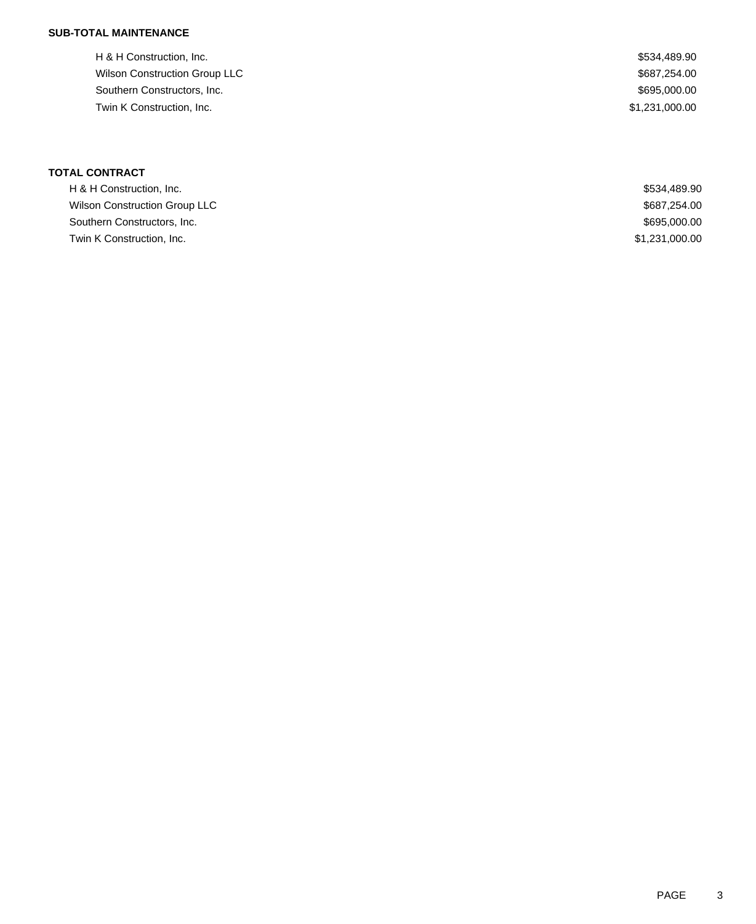## **SUB-TOTAL MAINTENANCE**

H & H Construction, Inc.  $$534,489.90$ Wilson Construction Group LLC  $$687,254.00$ Southern Constructors, Inc. 695,000.00 Twin K Construction, Inc. \$1,231,000.00

| <b>TOTAL CONTRACT</b>         |                |
|-------------------------------|----------------|
| H & H Construction, Inc.      | \$534,489.90   |
| Wilson Construction Group LLC | \$687,254.00   |
| Southern Constructors, Inc.   | \$695,000.00   |
| Twin K Construction, Inc.     | \$1,231,000.00 |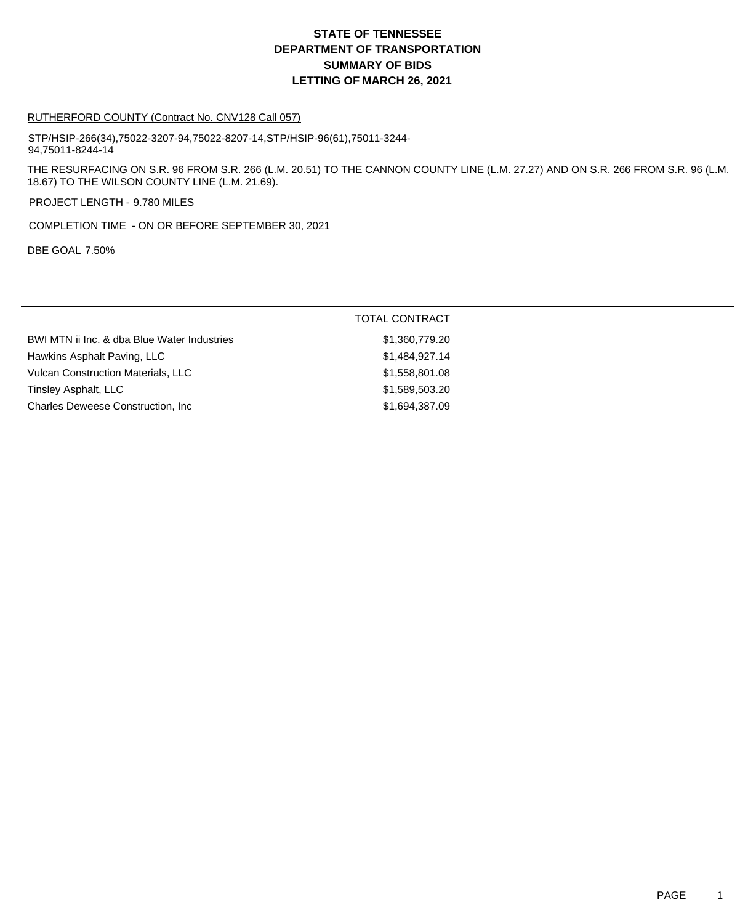## **DEPARTMENT OF TRANSPORTATION SUMMARY OF BIDS LETTING OF MARCH 26, 2021 STATE OF TENNESSEE**

#### RUTHERFORD COUNTY (Contract No. CNV128 Call 057)

STP/HSIP-266(34),75022-3207-94,75022-8207-14,STP/HSIP-96(61),75011-3244- 94,75011-8244-14

THE RESURFACING ON S.R. 96 FROM S.R. 266 (L.M. 20.51) TO THE CANNON COUNTY LINE (L.M. 27.27) AND ON S.R. 266 FROM S.R. 96 (L.M. 18.67) TO THE WILSON COUNTY LINE (L.M. 21.69).

PROJECT LENGTH - 9.780 MILES

COMPLETION TIME - ON OR BEFORE SEPTEMBER 30, 2021

DBE GOAL 7.50%

#### TOTAL CONTRACT

| \$1,360,779.20 |
|----------------|
| \$1,484,927.14 |
| \$1,558,801.08 |
| \$1,589,503,20 |
| \$1,694,387.09 |
|                |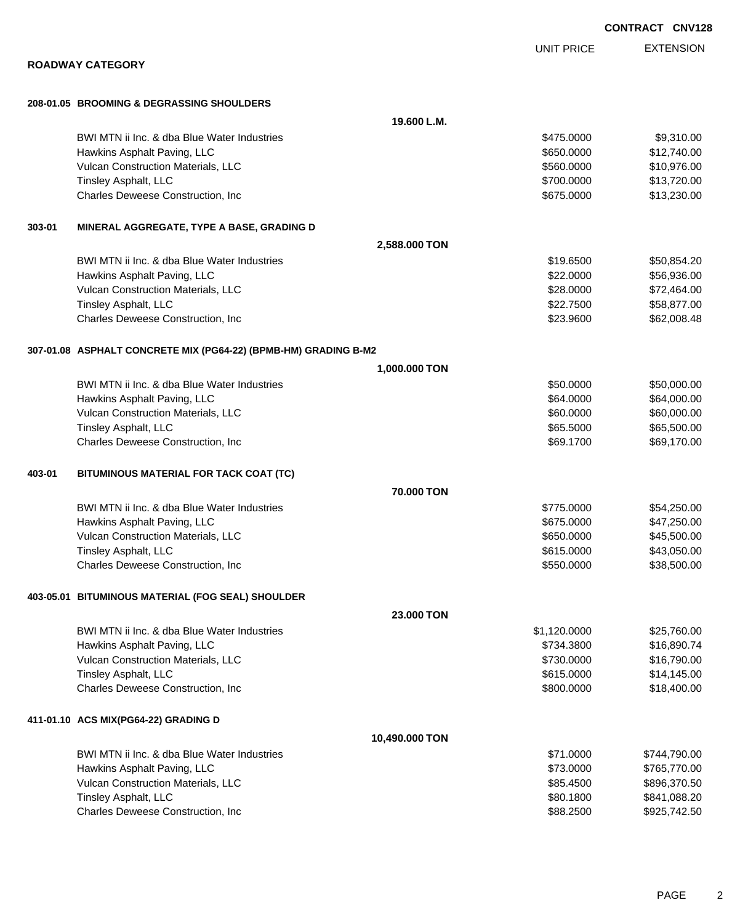|                                                                 |                   | <b>UNIT PRICE</b> | <b>EXTENSION</b> |
|-----------------------------------------------------------------|-------------------|-------------------|------------------|
| <b>ROADWAY CATEGORY</b>                                         |                   |                   |                  |
| 208-01.05 BROOMING & DEGRASSING SHOULDERS                       |                   |                   |                  |
|                                                                 | 19.600 L.M.       |                   |                  |
| BWI MTN ii Inc. & dba Blue Water Industries                     |                   | \$475.0000        | \$9,310.00       |
| Hawkins Asphalt Paving, LLC                                     |                   | \$650.0000        | \$12,740.00      |
| Vulcan Construction Materials, LLC                              |                   | \$560.0000        | \$10,976.00      |
| Tinsley Asphalt, LLC                                            |                   | \$700.0000        | \$13,720.00      |
| Charles Deweese Construction, Inc.                              |                   | \$675.0000        | \$13,230.00      |
| 303-01<br>MINERAL AGGREGATE, TYPE A BASE, GRADING D             |                   |                   |                  |
|                                                                 | 2,588.000 TON     |                   |                  |
| BWI MTN ii Inc. & dba Blue Water Industries                     |                   | \$19.6500         | \$50,854.20      |
| Hawkins Asphalt Paving, LLC                                     |                   | \$22.0000         | \$56,936.00      |
| Vulcan Construction Materials, LLC                              |                   | \$28.0000         | \$72,464.00      |
| Tinsley Asphalt, LLC                                            |                   | \$22.7500         | \$58,877.00      |
| Charles Deweese Construction, Inc.                              |                   | \$23.9600         | \$62,008.48      |
| 307-01.08 ASPHALT CONCRETE MIX (PG64-22) (BPMB-HM) GRADING B-M2 |                   |                   |                  |
|                                                                 | 1,000.000 TON     |                   |                  |
| BWI MTN ii Inc. & dba Blue Water Industries                     |                   | \$50.0000         | \$50,000.00      |
| Hawkins Asphalt Paving, LLC                                     |                   | \$64.0000         | \$64,000.00      |
| Vulcan Construction Materials, LLC                              |                   | \$60.0000         | \$60,000.00      |
| Tinsley Asphalt, LLC                                            |                   | \$65.5000         | \$65,500.00      |
| Charles Deweese Construction, Inc                               |                   | \$69.1700         | \$69,170.00      |
| 403-01<br>BITUMINOUS MATERIAL FOR TACK COAT (TC)                |                   |                   |                  |
|                                                                 | 70.000 TON        |                   |                  |
| BWI MTN ii Inc. & dba Blue Water Industries                     |                   | \$775.0000        | \$54,250.00      |
| Hawkins Asphalt Paving, LLC                                     |                   | \$675.0000        | \$47,250.00      |
| Vulcan Construction Materials, LLC                              |                   | \$650.0000        | \$45,500.00      |
| Tinsley Asphalt, LLC                                            |                   | \$615.0000        | \$43,050.00      |
| Charles Deweese Construction, Inc.                              |                   | \$550.0000        | \$38,500.00      |
| 403-05.01 BITUMINOUS MATERIAL (FOG SEAL) SHOULDER               |                   |                   |                  |
|                                                                 | <b>23,000 TON</b> |                   |                  |
| BWI MTN ii Inc. & dba Blue Water Industries                     |                   | \$1,120.0000      | \$25,760.00      |
| Hawkins Asphalt Paving, LLC                                     |                   | \$734.3800        | \$16,890.74      |
| Vulcan Construction Materials, LLC                              |                   | \$730.0000        | \$16,790.00      |
| <b>Tinsley Asphalt, LLC</b>                                     |                   | \$615.0000        | \$14,145.00      |
| Charles Deweese Construction, Inc.                              |                   | \$800.0000        | \$18,400.00      |
| 411-01.10 ACS MIX(PG64-22) GRADING D                            |                   |                   |                  |
|                                                                 | 10,490.000 TON    |                   |                  |
| BWI MTN ii Inc. & dba Blue Water Industries                     |                   | \$71.0000         | \$744,790.00     |
| Hawkins Asphalt Paving, LLC                                     |                   | \$73.0000         | \$765,770.00     |
| Vulcan Construction Materials, LLC                              |                   | \$85.4500         | \$896,370.50     |
| Tinsley Asphalt, LLC                                            |                   | \$80.1800         | \$841,088.20     |
| Charles Deweese Construction, Inc                               |                   | \$88.2500         | \$925,742.50     |

PAGE 2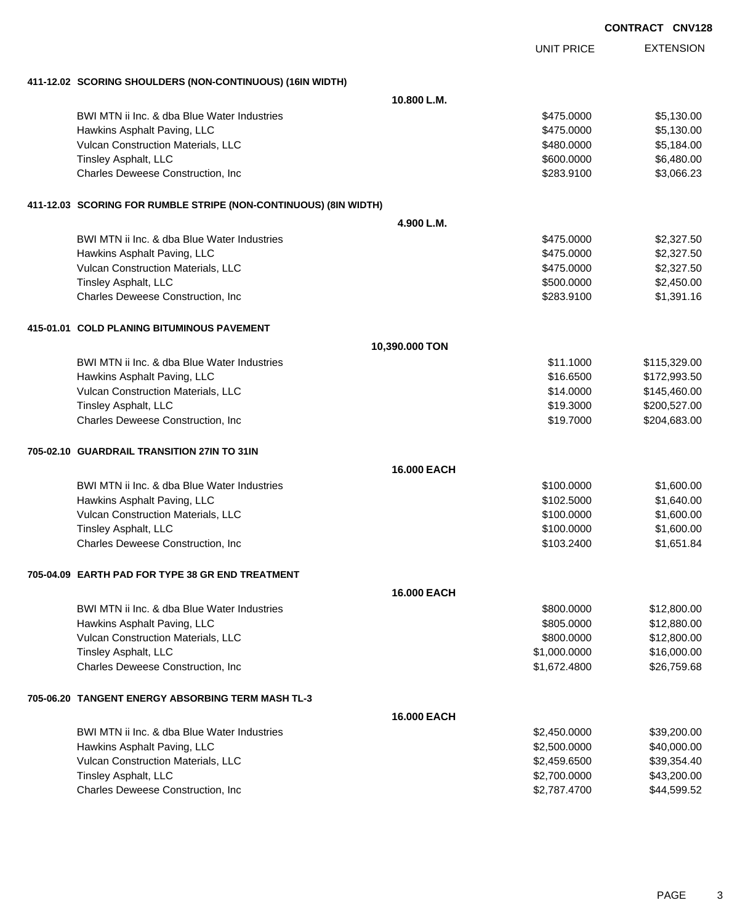| <b>CONTRACT CNV128</b> |  |
|------------------------|--|
|------------------------|--|

EXTENSION UNIT PRICE **411-12.02 SCORING SHOULDERS (NON-CONTINUOUS) (16IN WIDTH) 10.800 L.M.** BWI MTN ii Inc. & dba Blue Water Industries **\$475.0000** \$5,130.00 Hawkins Asphalt Paving, LLC 6. The state of the state of the state of the state of the state of the state of the state of the state of the state of the state of the state of the state of the state of the state of the state Vulcan Construction Materials, LLC 66 and the state of the state of the state of the state of the state of the state  $$480.0000$  \$5,184.00 Tinsley Asphalt, LLC 6.480.000 \$6,480.00 \$6,480.00 \$6,480.00 Charles Deweese Construction, Inc **Charles Deweese Construction, Inc** 63,066.23 **411-12.03 SCORING FOR RUMBLE STRIPE (NON-CONTINUOUS) (8IN WIDTH) 4.900 L.M.** BWI MTN ii Inc. & dba Blue Water Industries  $$475.0000$  \$2,327.50 Hawkins Asphalt Paving, LLC 63.327.50 and the state of the state of the state of the state of the state of the state of the state of the state of the state of the state of the state of the state of the state of the state o Vulcan Construction Materials, LLC 66 and the state of the state of the state of the state of the state of the state  $$475.0000$  \$2,327.50 Tinsley Asphalt, LLC \$2,450.000 \$2,450.00 Charles Deweese Construction, Inc **Charles Deweese Construction, Inc** 651,391.16 **415-01.01 COLD PLANING BITUMINOUS PAVEMENT 10,390.000 TON** BWI MTN ii Inc. & dba Blue Water Industries **\$11.1000** \$11.1000 \$115,329.00 Hawkins Asphalt Paving, LLC **\$16.6500** \$172,993.50 Vulcan Construction Materials, LLC 61.000 \$145,460.00 Tinsley Asphalt, LLC 6. 200.527.00 Charles Deweese Construction, Inc **Charles Deweese Construction, Inc** 6519.7000 \$204,683.00 **705-02.10 GUARDRAIL TRANSITION 27IN TO 31IN 16.000 EACH** BWI MTN ii Inc. & dba Blue Water Industries **\$100.000 \$1,600.000 \$1,600.00** \$1,600.00 Hawkins Asphalt Paving, LLC 61,640.00 Vulcan Construction Materials, LLC 600.000 \$1,600.000 \$1,600.000 \$1,600.000 \$1,600.00 Tinsley Asphalt, LLC 600.000 \$1,600.000 \$1,600.000 \$1,600.000 \$1,600.000 \$1,600.00 Charles Deweese Construction, Inc **Charles Deweese Construction, Inc Notified the Charles Construction**, Inc **51,651.84 705-04.09 EARTH PAD FOR TYPE 38 GR END TREATMENT 16.000 EACH** BWI MTN ii Inc. & dba Blue Water Industries **\$800.000 \$12,800.000 \$12,800.00** Hawkins Asphalt Paving, LLC 6. The state of the state of the state of the state of the state of the state of the state of the state of the state of the state of the state of the state of the state of the state of the state Vulcan Construction Materials, LLC 600000 \$12,800.000 \$12,800.000 \$12,800.000 Tinsley Asphalt, LLC \$1,000.000 \$16,000.000 \$16,000.000 \$16,000.000 \$16,000.000 \$16,000.00 Charles Deweese Construction, Inc **Charles Deweese Construction, Inc** 651,672.4800 \$26,759.68 **705-06.20 TANGENT ENERGY ABSORBING TERM MASH TL-3 16.000 EACH** BWI MTN ii Inc. & dba Blue Water Industries **\$2,450.0000 \$2,450.0000 \$39,200.00** Hawkins Asphalt Paving, LLC 6. The state of the state of the state of the state of the state of the state of the state of the state of the state of the state of the state of the state of the state of the state of the state Vulcan Construction Materials, LLC 6. The Construction Materials, LLC 6. The Construction Materials, LLC 6. The Construction of the Construction of the Construction of the Construction of the Construction of the Constructi Tinsley Asphalt, LLC \$2,700.0000 \$43,200.00

Charles Deweese Construction, Inc **Charles Deweese Construction, Inc** 644,599.52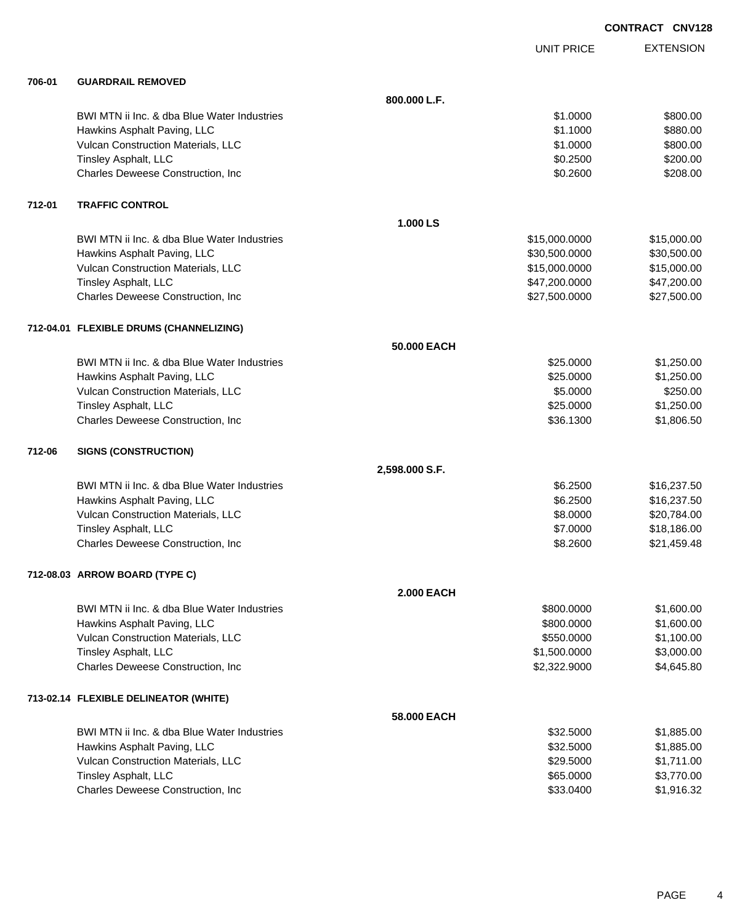| <b>CONTRACT CNV128</b> |  |
|------------------------|--|
|                        |  |

|        |                                             |                   | <b>UNIT PRICE</b> | <b>EXTENSION</b> |
|--------|---------------------------------------------|-------------------|-------------------|------------------|
| 706-01 | <b>GUARDRAIL REMOVED</b>                    |                   |                   |                  |
|        |                                             | 800.000 L.F.      |                   |                  |
|        | BWI MTN ii Inc. & dba Blue Water Industries |                   | \$1,0000          | \$800.00         |
|        | Hawkins Asphalt Paving, LLC                 |                   | \$1.1000          | \$880.00         |
|        | Vulcan Construction Materials, LLC          |                   | \$1.0000          | \$800.00         |
|        | Tinsley Asphalt, LLC                        |                   | \$0.2500          | \$200.00         |
|        | Charles Deweese Construction, Inc.          |                   | \$0.2600          | \$208.00         |
| 712-01 | <b>TRAFFIC CONTROL</b>                      |                   |                   |                  |
|        |                                             | 1.000 LS          |                   |                  |
|        | BWI MTN ii Inc. & dba Blue Water Industries |                   | \$15,000.0000     | \$15,000.00      |
|        | Hawkins Asphalt Paving, LLC                 |                   | \$30,500.0000     | \$30,500.00      |
|        | Vulcan Construction Materials, LLC          |                   | \$15,000.0000     | \$15,000.00      |
|        | Tinsley Asphalt, LLC                        |                   | \$47,200.0000     | \$47,200.00      |
|        | Charles Deweese Construction, Inc           |                   | \$27,500.0000     | \$27,500.00      |
|        | 712-04.01 FLEXIBLE DRUMS (CHANNELIZING)     |                   |                   |                  |
|        |                                             | 50.000 EACH       |                   |                  |
|        | BWI MTN ii Inc. & dba Blue Water Industries |                   | \$25,0000         | \$1,250.00       |
|        | Hawkins Asphalt Paving, LLC                 |                   | \$25.0000         | \$1,250.00       |
|        | Vulcan Construction Materials, LLC          |                   | \$5.0000          | \$250.00         |
|        | Tinsley Asphalt, LLC                        |                   | \$25.0000         | \$1,250.00       |
|        | Charles Deweese Construction, Inc           |                   | \$36.1300         | \$1,806.50       |
| 712-06 | <b>SIGNS (CONSTRUCTION)</b>                 |                   |                   |                  |
|        |                                             | 2,598.000 S.F.    |                   |                  |
|        | BWI MTN ii Inc. & dba Blue Water Industries |                   | \$6.2500          | \$16,237.50      |
|        | Hawkins Asphalt Paving, LLC                 |                   | \$6.2500          | \$16,237.50      |
|        | Vulcan Construction Materials, LLC          |                   | \$8.0000          | \$20,784.00      |
|        | Tinsley Asphalt, LLC                        |                   | \$7.0000          | \$18,186.00      |
|        | Charles Deweese Construction, Inc           |                   | \$8.2600          | \$21,459.48      |
|        | 712-08.03 ARROW BOARD (TYPE C)              |                   |                   |                  |
|        |                                             | <b>2.000 EACH</b> |                   |                  |
|        | BWI MTN ii Inc. & dba Blue Water Industries |                   | \$800.0000        | \$1,600.00       |
|        | Hawkins Asphalt Paving, LLC                 |                   | \$800.0000        | \$1,600.00       |
|        | Vulcan Construction Materials, LLC          |                   | \$550.0000        | \$1,100.00       |
|        | Tinsley Asphalt, LLC                        |                   | \$1,500.0000      | \$3,000.00       |
|        | Charles Deweese Construction, Inc.          |                   | \$2,322.9000      | \$4,645.80       |
|        | 713-02.14 FLEXIBLE DELINEATOR (WHITE)       |                   |                   |                  |
|        |                                             | 58,000 EACH       |                   |                  |
|        | BWI MTN ii Inc. & dba Blue Water Industries |                   | \$32.5000         | \$1,885.00       |
|        | Hawkins Asphalt Paving, LLC                 |                   | \$32.5000         | \$1,885.00       |
|        | Vulcan Construction Materials, LLC          |                   | \$29.5000         | \$1,711.00       |
|        | Tinsley Asphalt, LLC                        |                   | \$65.0000         | \$3,770.00       |
|        | Charles Deweese Construction, Inc           |                   | \$33.0400         | \$1,916.32       |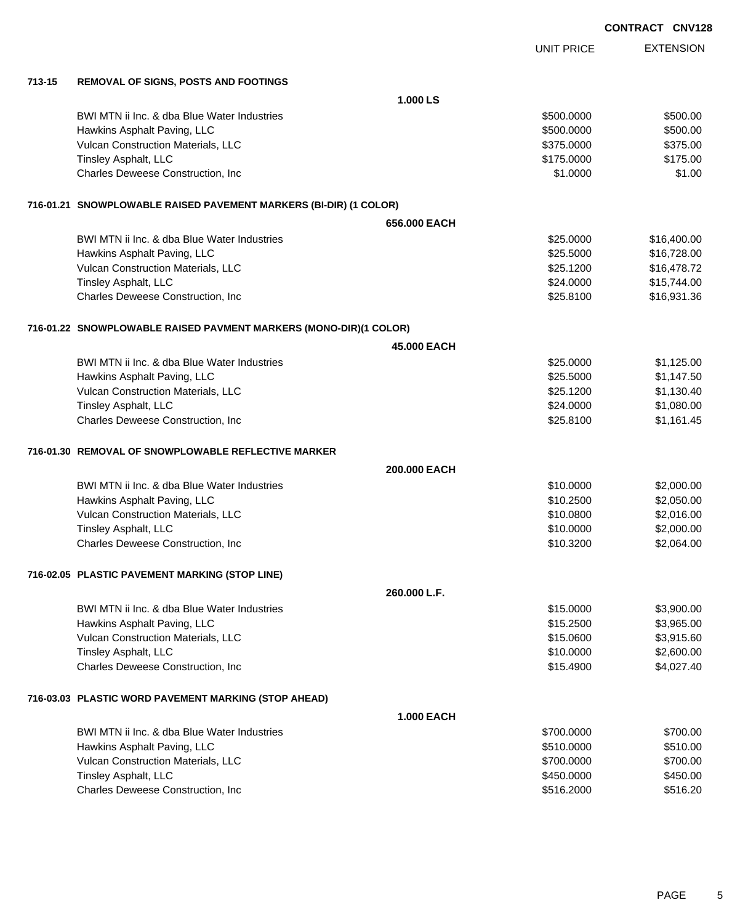|        |                                                                   |                   | <b>UNIT PRICE</b> | <b>EXTENSION</b> |
|--------|-------------------------------------------------------------------|-------------------|-------------------|------------------|
| 713-15 | <b>REMOVAL OF SIGNS, POSTS AND FOOTINGS</b>                       |                   |                   |                  |
|        |                                                                   | 1.000 LS          |                   |                  |
|        | BWI MTN ii Inc. & dba Blue Water Industries                       |                   | \$500.0000        | \$500.00         |
|        | Hawkins Asphalt Paving, LLC                                       |                   | \$500.0000        | \$500.00         |
|        | Vulcan Construction Materials, LLC                                |                   | \$375.0000        | \$375.00         |
|        | Tinsley Asphalt, LLC                                              |                   | \$175.0000        | \$175.00         |
|        | Charles Deweese Construction, Inc                                 |                   | \$1.0000          | \$1.00           |
|        | 716-01.21 SNOWPLOWABLE RAISED PAVEMENT MARKERS (BI-DIR) (1 COLOR) |                   |                   |                  |
|        |                                                                   | 656,000 EACH      |                   |                  |
|        | BWI MTN ii Inc. & dba Blue Water Industries                       |                   | \$25.0000         | \$16,400.00      |
|        | Hawkins Asphalt Paving, LLC                                       |                   | \$25.5000         | \$16,728.00      |
|        | Vulcan Construction Materials, LLC                                |                   | \$25.1200         | \$16,478.72      |
|        | Tinsley Asphalt, LLC                                              |                   | \$24.0000         | \$15,744.00      |
|        | Charles Deweese Construction, Inc                                 |                   | \$25.8100         | \$16,931.36      |
|        | 716-01.22 SNOWPLOWABLE RAISED PAVMENT MARKERS (MONO-DIR)(1 COLOR) |                   |                   |                  |
|        |                                                                   | 45.000 EACH       |                   |                  |
|        | BWI MTN ii Inc. & dba Blue Water Industries                       |                   | \$25.0000         | \$1,125.00       |
|        | Hawkins Asphalt Paving, LLC                                       |                   | \$25.5000         | \$1,147.50       |
|        | Vulcan Construction Materials, LLC                                |                   | \$25.1200         | \$1,130.40       |
|        | Tinsley Asphalt, LLC                                              |                   | \$24.0000         | \$1,080.00       |
|        | Charles Deweese Construction, Inc                                 |                   | \$25.8100         | \$1,161.45       |
|        | 716-01.30 REMOVAL OF SNOWPLOWABLE REFLECTIVE MARKER               |                   |                   |                  |
|        |                                                                   | 200,000 EACH      |                   |                  |
|        | BWI MTN ii Inc. & dba Blue Water Industries                       |                   | \$10.0000         | \$2,000.00       |
|        | Hawkins Asphalt Paving, LLC                                       |                   | \$10.2500         | \$2,050.00       |
|        | Vulcan Construction Materials, LLC                                |                   | \$10.0800         | \$2,016.00       |
|        | Tinsley Asphalt, LLC                                              |                   | \$10.0000         | \$2,000.00       |
|        | Charles Deweese Construction, Inc                                 |                   | \$10.3200         | \$2,064.00       |
|        | 716-02.05 PLASTIC PAVEMENT MARKING (STOP LINE)                    |                   |                   |                  |
|        |                                                                   | 260,000 L.F.      |                   |                  |
|        | BWI MTN ii Inc. & dba Blue Water Industries                       |                   | \$15.0000         | \$3,900.00       |
|        | Hawkins Asphalt Paving, LLC                                       |                   | \$15.2500         | \$3,965.00       |
|        | Vulcan Construction Materials, LLC                                |                   | \$15.0600         | \$3,915.60       |
|        | Tinsley Asphalt, LLC                                              |                   | \$10.0000         | \$2,600.00       |
|        | Charles Deweese Construction, Inc.                                |                   | \$15.4900         | \$4,027.40       |
|        | 716-03.03 PLASTIC WORD PAVEMENT MARKING (STOP AHEAD)              |                   |                   |                  |
|        |                                                                   | <b>1.000 EACH</b> |                   |                  |
|        | BWI MTN ii Inc. & dba Blue Water Industries                       |                   | \$700.0000        | \$700.00         |
|        | Hawkins Asphalt Paving, LLC                                       |                   | \$510.0000        | \$510.00         |
|        | Vulcan Construction Materials, LLC                                |                   | \$700.0000        | \$700.00         |
|        | Tinsley Asphalt, LLC                                              |                   | \$450.0000        | \$450.00         |
|        | Charles Deweese Construction, Inc                                 |                   | \$516.2000        | \$516.20         |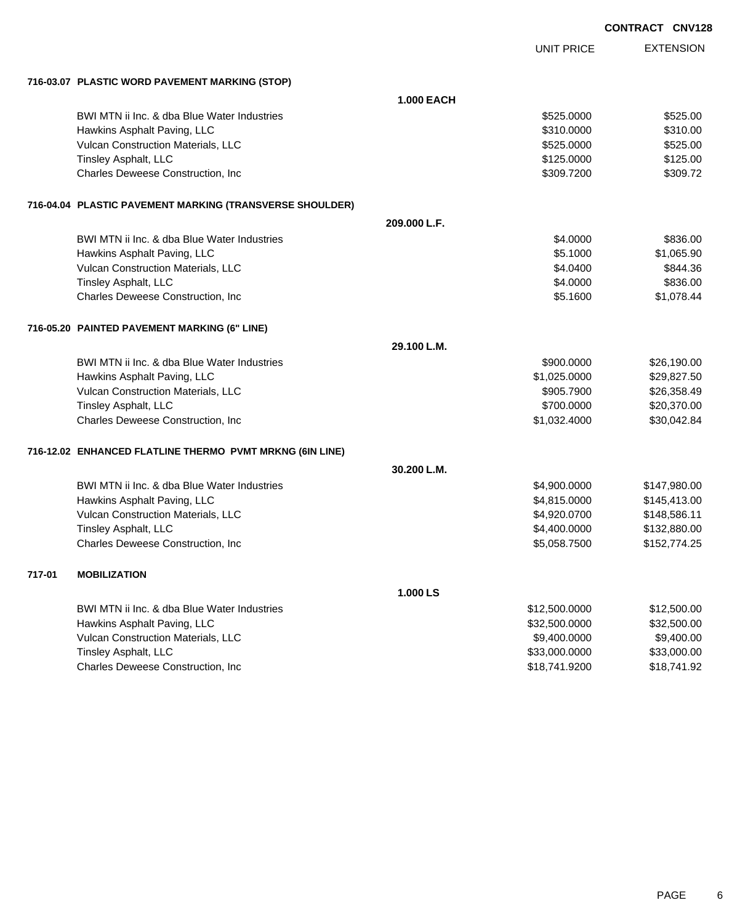| CONTRACT CNV128 |  |
|-----------------|--|

|        |                                                          |                   |                   | <b>CONTRACT CNV12</b> |
|--------|----------------------------------------------------------|-------------------|-------------------|-----------------------|
|        |                                                          |                   | <b>UNIT PRICE</b> | <b>EXTENSION</b>      |
|        | 716-03.07 PLASTIC WORD PAVEMENT MARKING (STOP)           |                   |                   |                       |
|        |                                                          | <b>1.000 EACH</b> |                   |                       |
|        | BWI MTN ii Inc. & dba Blue Water Industries              |                   | \$525.0000        | \$525.00              |
|        | Hawkins Asphalt Paving, LLC                              |                   | \$310.0000        | \$310.00              |
|        | Vulcan Construction Materials, LLC                       |                   | \$525.0000        | \$525.00              |
|        | Tinsley Asphalt, LLC                                     |                   | \$125.0000        | \$125.00              |
|        | Charles Deweese Construction, Inc                        |                   | \$309.7200        | \$309.72              |
|        | 716-04.04 PLASTIC PAVEMENT MARKING (TRANSVERSE SHOULDER) |                   |                   |                       |
|        |                                                          | 209.000 L.F.      |                   |                       |
|        | BWI MTN ii Inc. & dba Blue Water Industries              |                   | \$4.0000          | \$836.00              |
|        | Hawkins Asphalt Paving, LLC                              |                   | \$5.1000          | \$1,065.90            |
|        | Vulcan Construction Materials, LLC                       |                   | \$4.0400          | \$844.36              |
|        | Tinsley Asphalt, LLC                                     |                   | \$4.0000          | \$836.00              |
|        | Charles Deweese Construction, Inc                        |                   | \$5.1600          | \$1,078.44            |
|        | 716-05.20 PAINTED PAVEMENT MARKING (6" LINE)             |                   |                   |                       |
|        |                                                          | 29.100 L.M.       |                   |                       |
|        | BWI MTN ii Inc. & dba Blue Water Industries              |                   | \$900,0000        | \$26,190.00           |
|        | Hawkins Asphalt Paving, LLC                              |                   | \$1,025.0000      | \$29,827.50           |
|        | Vulcan Construction Materials, LLC                       |                   | \$905.7900        | \$26,358.49           |
|        | Tinsley Asphalt, LLC                                     |                   | \$700.0000        | \$20,370.00           |
|        | Charles Deweese Construction, Inc                        |                   | \$1,032.4000      | \$30,042.84           |
|        | 716-12.02 ENHANCED FLATLINE THERMO PVMT MRKNG (6IN LINE) |                   |                   |                       |
|        |                                                          | 30.200 L.M.       |                   |                       |
|        | BWI MTN ii Inc. & dba Blue Water Industries              |                   | \$4,900.0000      | \$147,980.00          |
|        | Hawkins Asphalt Paving, LLC                              |                   | \$4,815.0000      | \$145,413.00          |
|        | Vulcan Construction Materials, LLC                       |                   | \$4,920.0700      | \$148,586.11          |
|        | Tinsley Asphalt, LLC                                     |                   | \$4,400.0000      | \$132,880.00          |
|        | Charles Deweese Construction, Inc                        |                   | \$5,058.7500      | \$152,774.25          |
| 717-01 | <b>MOBILIZATION</b>                                      |                   |                   |                       |
|        |                                                          | 1.000 LS          |                   |                       |
|        | BWI MTN ii Inc. & dba Blue Water Industries              |                   | \$12,500.0000     | \$12,500.00           |
|        | Hawkins Asphalt Paving, LLC                              |                   | \$32,500.0000     | \$32,500.00           |
|        | Vulcan Construction Materials, LLC                       |                   | \$9,400.0000      | \$9,400.00            |
|        | Tinsley Asphalt, LLC                                     |                   | \$33,000.0000     | \$33,000.00           |
|        | Charles Deweese Construction, Inc                        |                   | \$18,741.9200     | \$18,741.92           |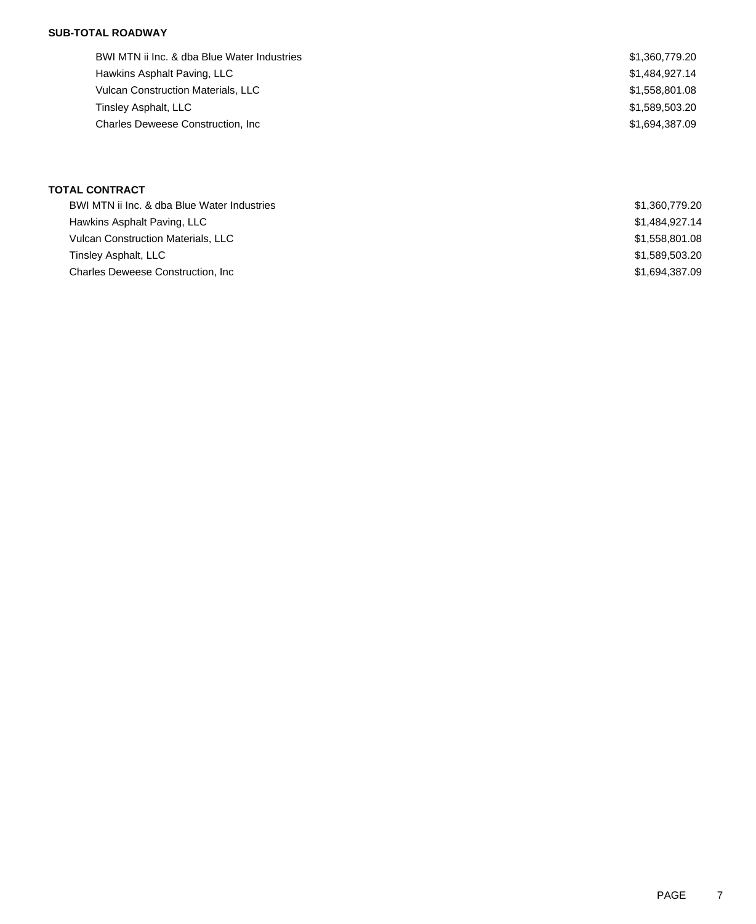### **SUB-TOTAL ROADWAY**

| BWI MTN ii Inc. & dba Blue Water Industries | \$1,360,779.20 |
|---------------------------------------------|----------------|
| Hawkins Asphalt Paving, LLC                 | \$1,484,927.14 |
| <b>Vulcan Construction Materials, LLC</b>   | \$1,558,801.08 |
| Tinsley Asphalt, LLC                        | \$1,589,503.20 |
| <b>Charles Deweese Construction, Inc.</b>   | \$1.694.387.09 |

## **TOTAL CONTRACT**

| BWI MTN ii Inc. & dba Blue Water Industries | \$1,360,779.20 |
|---------------------------------------------|----------------|
| Hawkins Asphalt Paving, LLC                 | \$1,484,927.14 |
| Vulcan Construction Materials, LLC          | \$1,558,801.08 |
| Tinsley Asphalt, LLC                        | \$1,589,503,20 |
| <b>Charles Deweese Construction, Inc.</b>   | \$1.694.387.09 |
|                                             |                |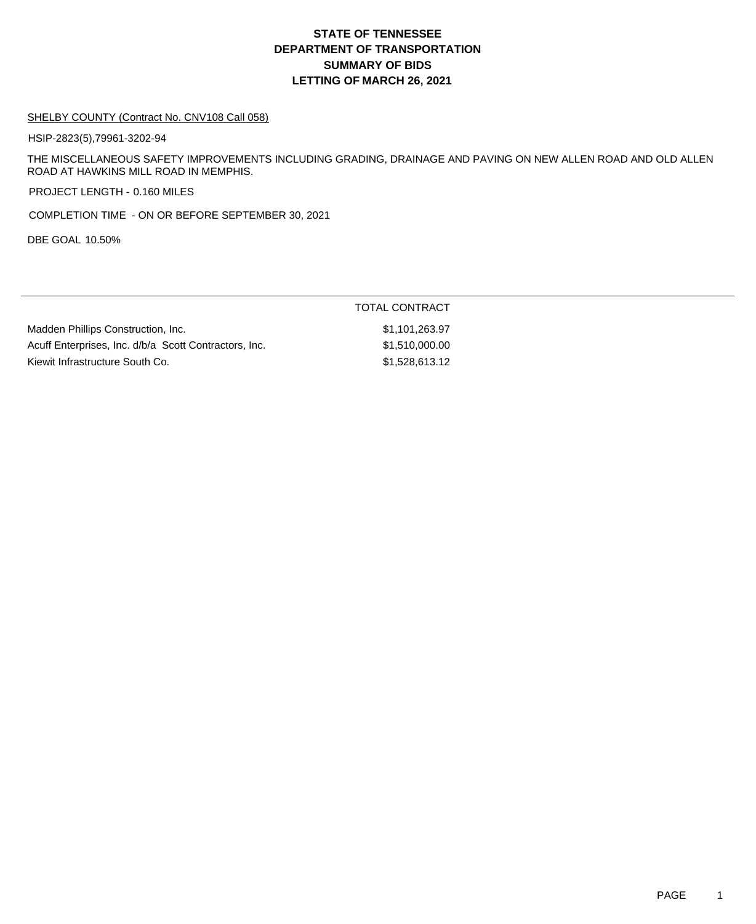## **DEPARTMENT OF TRANSPORTATION SUMMARY OF BIDS LETTING OF MARCH 26, 2021 STATE OF TENNESSEE**

#### SHELBY COUNTY (Contract No. CNV108 Call 058)

HSIP-2823(5),79961-3202-94

THE MISCELLANEOUS SAFETY IMPROVEMENTS INCLUDING GRADING, DRAINAGE AND PAVING ON NEW ALLEN ROAD AND OLD ALLEN ROAD AT HAWKINS MILL ROAD IN MEMPHIS.

PROJECT LENGTH - 0.160 MILES

COMPLETION TIME - ON OR BEFORE SEPTEMBER 30, 2021

DBE GOAL 10.50%

|                                                       | <b>TOTAL CONTRACT</b> |
|-------------------------------------------------------|-----------------------|
| Madden Phillips Construction, Inc.                    | \$1,101,263.97        |
| Acuff Enterprises, Inc. d/b/a Scott Contractors, Inc. | \$1,510,000.00        |
| Kiewit Infrastructure South Co.                       | \$1,528,613.12        |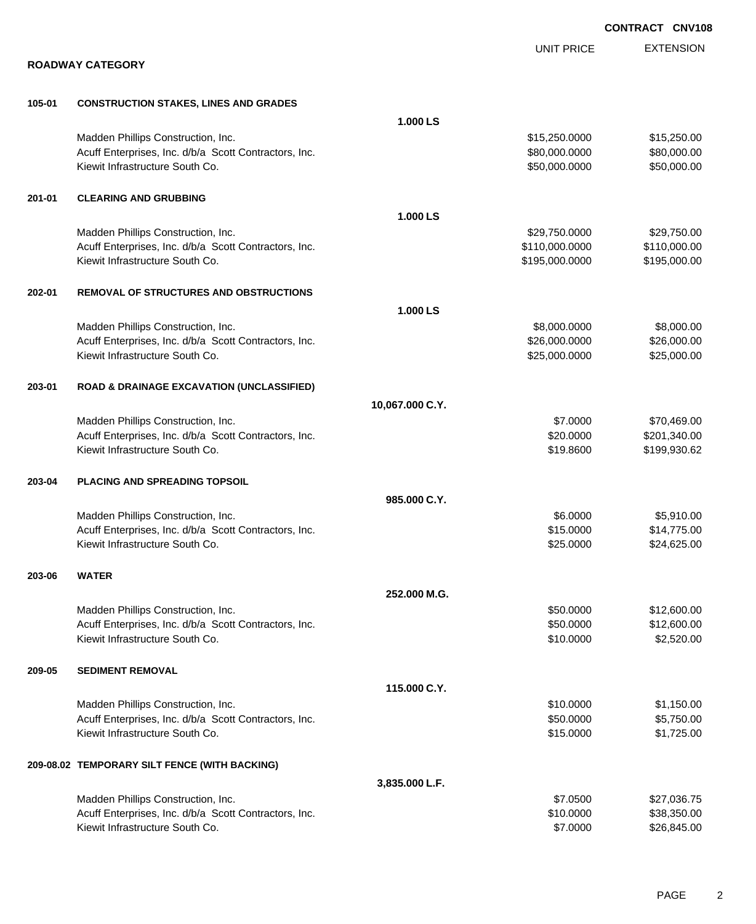|        |                                                       |                 |                   | <b>CONTRACT CNV108</b> |
|--------|-------------------------------------------------------|-----------------|-------------------|------------------------|
|        |                                                       |                 | <b>UNIT PRICE</b> | <b>EXTENSION</b>       |
|        | <b>ROADWAY CATEGORY</b>                               |                 |                   |                        |
| 105-01 | <b>CONSTRUCTION STAKES, LINES AND GRADES</b>          |                 |                   |                        |
|        |                                                       | 1.000 LS        |                   |                        |
|        | Madden Phillips Construction, Inc.                    |                 | \$15,250.0000     | \$15,250.00            |
|        | Acuff Enterprises, Inc. d/b/a Scott Contractors, Inc. |                 | \$80,000.0000     | \$80,000.00            |
|        | Kiewit Infrastructure South Co.                       |                 | \$50,000.0000     | \$50,000.00            |
| 201-01 | <b>CLEARING AND GRUBBING</b>                          |                 |                   |                        |
|        |                                                       | 1.000 LS        |                   |                        |
|        | Madden Phillips Construction, Inc.                    |                 | \$29,750.0000     | \$29,750.00            |
|        | Acuff Enterprises, Inc. d/b/a Scott Contractors, Inc. |                 | \$110,000.0000    | \$110,000.00           |
|        | Kiewit Infrastructure South Co.                       |                 | \$195,000.0000    | \$195,000.00           |
| 202-01 | <b>REMOVAL OF STRUCTURES AND OBSTRUCTIONS</b>         |                 |                   |                        |
|        |                                                       | 1.000LS         |                   |                        |
|        | Madden Phillips Construction, Inc.                    |                 | \$8,000.0000      | \$8,000.00             |
|        | Acuff Enterprises, Inc. d/b/a Scott Contractors, Inc. |                 | \$26,000.0000     | \$26,000.00            |
|        | Kiewit Infrastructure South Co.                       |                 | \$25,000.0000     | \$25,000.00            |
| 203-01 | <b>ROAD &amp; DRAINAGE EXCAVATION (UNCLASSIFIED)</b>  |                 |                   |                        |
|        |                                                       | 10,067.000 C.Y. |                   |                        |
|        | Madden Phillips Construction, Inc.                    |                 | \$7.0000          | \$70,469.00            |
|        | Acuff Enterprises, Inc. d/b/a Scott Contractors, Inc. |                 | \$20.0000         | \$201,340.00           |
|        | Kiewit Infrastructure South Co.                       |                 | \$19.8600         | \$199,930.62           |
| 203-04 | <b>PLACING AND SPREADING TOPSOIL</b>                  |                 |                   |                        |
|        |                                                       | 985.000 C.Y.    |                   |                        |
|        | Madden Phillips Construction, Inc.                    |                 | \$6.0000          | \$5,910.00             |
|        | Acuff Enterprises, Inc. d/b/a Scott Contractors, Inc. |                 | \$15.0000         | \$14,775.00            |
|        | Kiewit Infrastructure South Co.                       |                 | \$25.0000         | \$24,625.00            |
| 203-06 | <b>WATER</b>                                          |                 |                   |                        |
|        |                                                       | 252.000 M.G.    |                   |                        |
|        | Madden Phillips Construction, Inc.                    |                 | \$50.0000         | \$12,600.00            |
|        | Acuff Enterprises, Inc. d/b/a Scott Contractors, Inc. |                 | \$50.0000         | \$12,600.00            |
|        | Kiewit Infrastructure South Co.                       |                 | \$10.0000         | \$2,520.00             |
| 209-05 | <b>SEDIMENT REMOVAL</b>                               |                 |                   |                        |
|        |                                                       | 115.000 C.Y.    |                   |                        |
|        | Madden Phillips Construction, Inc.                    |                 | \$10.0000         | \$1,150.00             |
|        | Acuff Enterprises, Inc. d/b/a Scott Contractors, Inc. |                 | \$50.0000         | \$5,750.00             |
|        | Kiewit Infrastructure South Co.                       |                 | \$15.0000         | \$1,725.00             |
|        | 209-08.02 TEMPORARY SILT FENCE (WITH BACKING)         |                 |                   |                        |
|        |                                                       | 3,835.000 L.F.  |                   |                        |
|        | Madden Phillips Construction, Inc.                    |                 | \$7.0500          | \$27,036.75            |
|        | Acuff Enterprises, Inc. d/b/a Scott Contractors, Inc. |                 | \$10.0000         | \$38,350.00            |
|        | Kiewit Infrastructure South Co.                       |                 | \$7.0000          | \$26,845.00            |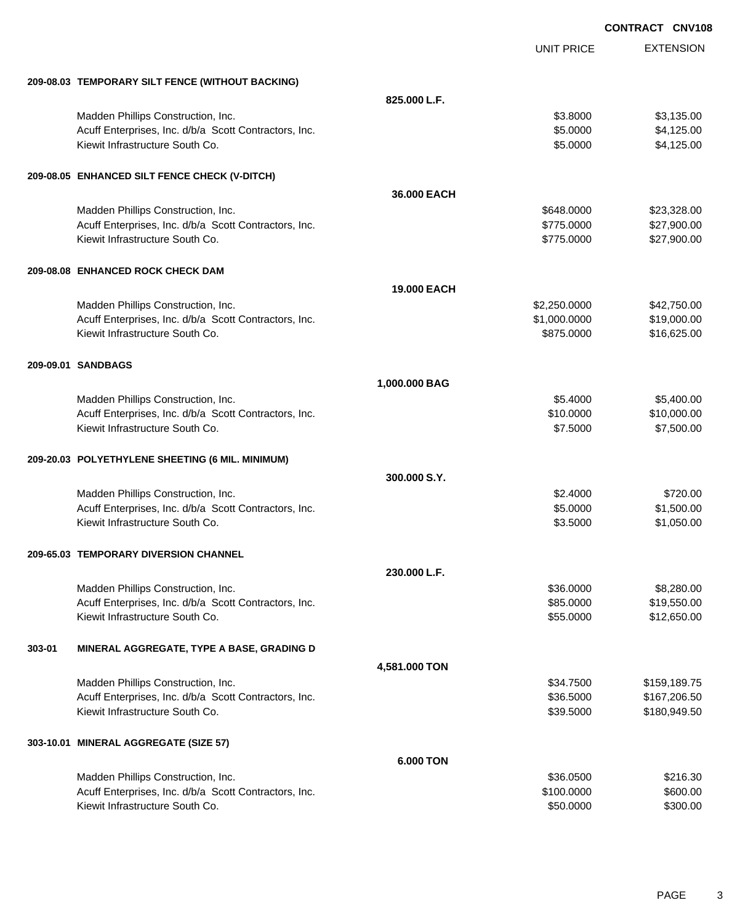|        |                                                       |               |                   | <b>CONTRACT CNV108</b> |
|--------|-------------------------------------------------------|---------------|-------------------|------------------------|
|        |                                                       |               | <b>UNIT PRICE</b> | <b>EXTENSION</b>       |
|        | 209-08.03 TEMPORARY SILT FENCE (WITHOUT BACKING)      |               |                   |                        |
|        |                                                       | 825.000 L.F.  |                   |                        |
|        | Madden Phillips Construction, Inc.                    |               | \$3.8000          | \$3,135.00             |
|        | Acuff Enterprises, Inc. d/b/a Scott Contractors, Inc. |               | \$5.0000          | \$4,125.00             |
|        | Kiewit Infrastructure South Co.                       |               | \$5.0000          | \$4,125.00             |
|        | 209-08.05 ENHANCED SILT FENCE CHECK (V-DITCH)         |               |                   |                        |
|        |                                                       | 36,000 EACH   |                   |                        |
|        | Madden Phillips Construction, Inc.                    |               | \$648.0000        | \$23,328.00            |
|        | Acuff Enterprises, Inc. d/b/a Scott Contractors, Inc. |               | \$775.0000        | \$27,900.00            |
|        | Kiewit Infrastructure South Co.                       |               | \$775.0000        | \$27,900.00            |
|        | 209-08.08 ENHANCED ROCK CHECK DAM                     |               |                   |                        |
|        |                                                       | 19.000 EACH   |                   |                        |
|        | Madden Phillips Construction, Inc.                    |               | \$2,250.0000      | \$42,750.00            |
|        | Acuff Enterprises, Inc. d/b/a Scott Contractors, Inc. |               | \$1,000.0000      | \$19,000.00            |
|        | Kiewit Infrastructure South Co.                       |               | \$875.0000        | \$16,625.00            |
|        | 209-09.01 SANDBAGS                                    |               |                   |                        |
|        |                                                       | 1,000.000 BAG |                   |                        |
|        | Madden Phillips Construction, Inc.                    |               | \$5.4000          | \$5,400.00             |
|        | Acuff Enterprises, Inc. d/b/a Scott Contractors, Inc. |               | \$10.0000         | \$10,000.00            |
|        | Kiewit Infrastructure South Co.                       |               | \$7.5000          | \$7,500.00             |
|        | 209-20.03 POLYETHYLENE SHEETING (6 MIL. MINIMUM)      |               |                   |                        |
|        |                                                       | 300.000 S.Y.  |                   |                        |
|        | Madden Phillips Construction, Inc.                    |               | \$2.4000          | \$720.00               |
|        | Acuff Enterprises, Inc. d/b/a Scott Contractors, Inc. |               | \$5.0000          | \$1,500.00             |
|        | Kiewit Infrastructure South Co.                       |               | \$3.5000          | \$1,050.00             |
|        | 209-65.03 TEMPORARY DIVERSION CHANNEL                 |               |                   |                        |
|        |                                                       | 230.000 L.F.  |                   |                        |
|        | Madden Phillips Construction, Inc.                    |               | \$36.0000         | \$8,280.00             |
|        | Acuff Enterprises, Inc. d/b/a Scott Contractors, Inc. |               | \$85.0000         | \$19,550.00            |
|        | Kiewit Infrastructure South Co.                       |               | \$55.0000         | \$12,650.00            |
| 303-01 | MINERAL AGGREGATE, TYPE A BASE, GRADING D             |               |                   |                        |
|        |                                                       | 4,581.000 TON |                   |                        |
|        | Madden Phillips Construction, Inc.                    |               | \$34.7500         | \$159,189.75           |
|        | Acuff Enterprises, Inc. d/b/a Scott Contractors, Inc. |               | \$36.5000         | \$167,206.50           |
|        | Kiewit Infrastructure South Co.                       |               | \$39.5000         | \$180,949.50           |
|        | 303-10.01 MINERAL AGGREGATE (SIZE 57)                 |               |                   |                        |
|        |                                                       | 6.000 TON     |                   |                        |
|        | Madden Phillips Construction, Inc.                    |               | \$36.0500         | \$216.30               |
|        | Acuff Enterprises, Inc. d/b/a Scott Contractors, Inc. |               | \$100.0000        | \$600.00               |
|        | Kiewit Infrastructure South Co.                       |               | \$50.0000         | \$300.00               |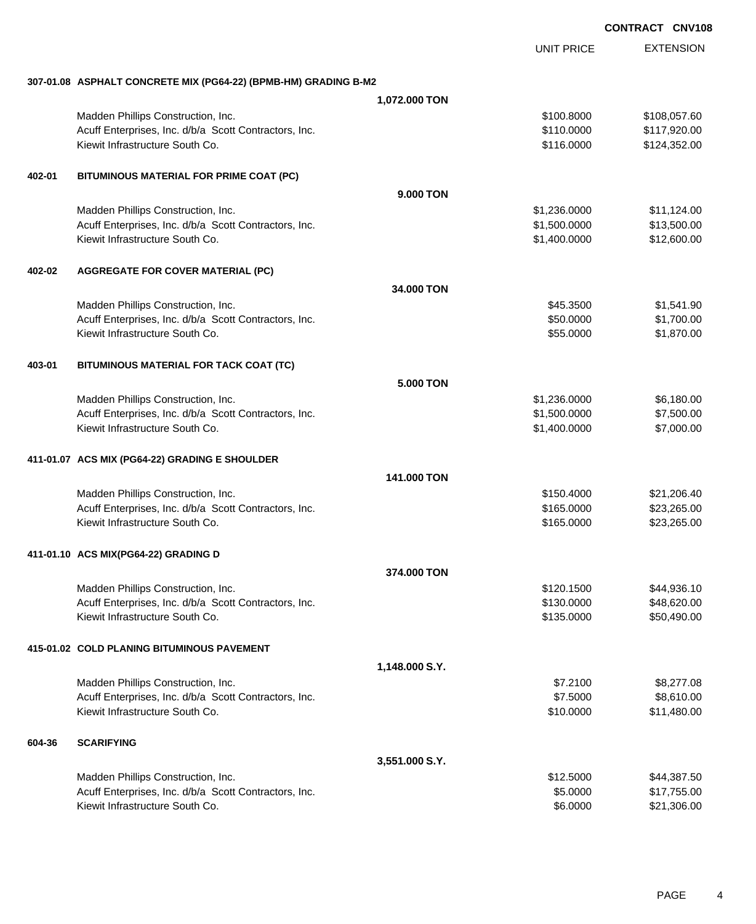EXTENSION UNIT PRICE **307-01.08 ASPHALT CONCRETE MIX (PG64-22) (BPMB-HM) GRADING B-M2 1,072.000 TON** Madden Phillips Construction, Inc. 60 and the construction, Inc. 60 and the construction, Inc. 60 and the construction, Inc. 60 and the construction, Inc. 60 and the construction, Inc. 60 and the construction, Inc. 60 and Acuff Enterprises, Inc. d/b/a Scott Contractors, Inc. 6. The Contractors of the Contractors, Inc. \$110.0000 \$117,920.00 Kiewit Infrastructure South Co. **6. 2012** States and the South Co. **\$116.0000** \$124,352.00 **402-01 BITUMINOUS MATERIAL FOR PRIME COAT (PC) 9.000 TON** Madden Phillips Construction, Inc. 6. The Construction of the Construction, Inc. 6. The Construction of the Construction of the Construction of the Construction, Inc. 6. The Construction of the Construction of the Construc Acuff Enterprises, Inc. d/b/a Scott Contractors, Inc. 6. The State of the State of State State State State State State State State State State State State State State State State State State State State State State State S Kiewit Infrastructure South Co. **\$1,400.000 \$1,400.000 \$1,400.000** \$12,600.00 **402-02 AGGREGATE FOR COVER MATERIAL (PC) 34.000 TON** Madden Phillips Construction, Inc. 6. The Construction of the Construction of the Construction, Inc. 545.3500 \$1,541.90 Acuff Enterprises, Inc. d/b/a Scott Contractors, Inc. 6. The State of the State of State State State State State State State State State State State State State State State State State State State State State State State S Kiewit Infrastructure South Co. **\$55.0000 \$1,870.00** \$1,870.00 **403-01 BITUMINOUS MATERIAL FOR TACK COAT (TC) 5.000 TON** Madden Phillips Construction, Inc. 6. The Construction of the Construction of the Construction, Inc. 6.180.00 Acuff Enterprises, Inc. d/b/a Scott Contractors, Inc. 6. The State of the State of State State State State State State State State State State State State State State State State State State State State State State State S Kiewit Infrastructure South Co. **\$1,400.0000 \$7,000.00** \$7,000.00 **411-01.07 ACS MIX (PG64-22) GRADING E SHOULDER 141.000 TON** Madden Phillips Construction, Inc. 621, 2008.40 Acuff Enterprises, Inc. d/b/a Scott Contractors, Inc. 623,265.000 \$165.0000 \$23,265.00 Kiewit Infrastructure South Co. **\$23,265.00** \$23,265.00 **411-01.10 ACS MIX(PG64-22) GRADING D 374.000 TON** Madden Phillips Construction, Inc. 644,936.10 Acuff Enterprises, Inc. d/b/a Scott Contractors, Inc. 648,620.00 \$130.0000 \$48,620.00 Kiewit Infrastructure South Co. **\$135.0000** \$50,490.00 **415-01.02 COLD PLANING BITUMINOUS PAVEMENT 1,148.000 S.Y.** Madden Phillips Construction, Inc. 68.277.08 (1992) 12:00 \$8,277.08 Acuff Enterprises, Inc. d/b/a Scott Contractors, Inc. 67.5000 \$8,610.00 Kiewit Infrastructure South Co. **\$10.000 \$11,480.00** \$11,480.00 **604-36 SCARIFYING 3,551.000 S.Y.** Madden Phillips Construction, Inc. 644,387.50 Acuff Enterprises, Inc. d/b/a Scott Contractors, Inc. 6. The State of the State of the State of State State State State State State State State State State State State State State State State State State State State State Kiewit Infrastructure South Co. \$6.0000 \$21,306.00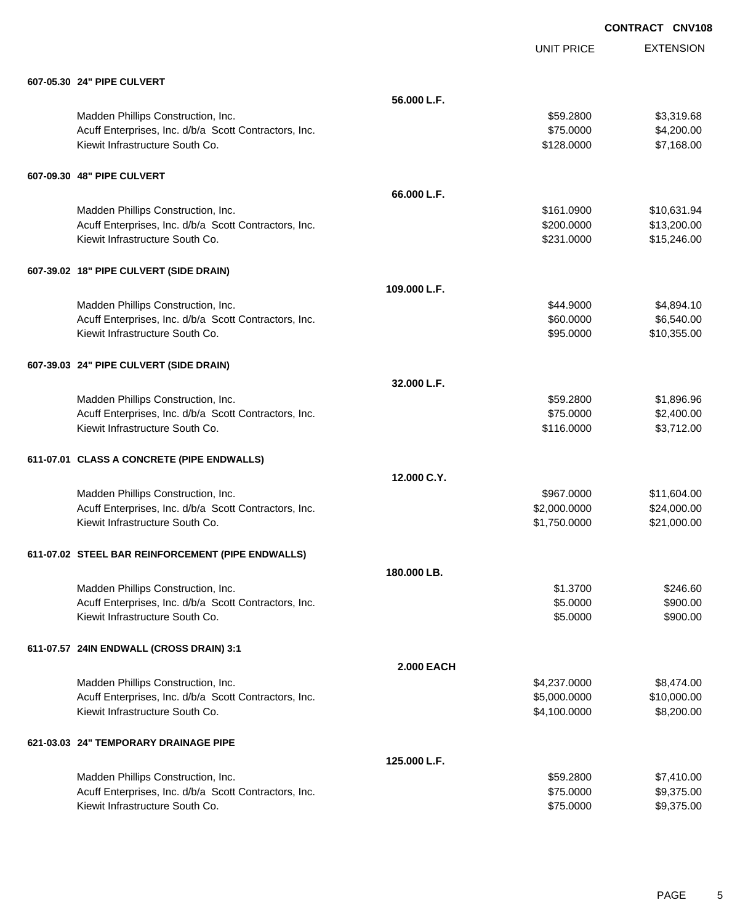|                                                       |                   | <b>UNIT PRICE</b> | <b>EXTENSION</b> |
|-------------------------------------------------------|-------------------|-------------------|------------------|
| 607-05.30 24" PIPE CULVERT                            |                   |                   |                  |
|                                                       | 56.000 L.F.       |                   |                  |
| Madden Phillips Construction, Inc.                    |                   | \$59.2800         | \$3,319.68       |
| Acuff Enterprises, Inc. d/b/a Scott Contractors, Inc. |                   | \$75.0000         | \$4,200.00       |
| Kiewit Infrastructure South Co.                       |                   | \$128.0000        | \$7,168.00       |
| 607-09.30 48" PIPE CULVERT                            |                   |                   |                  |
|                                                       | 66.000 L.F.       |                   |                  |
| Madden Phillips Construction, Inc.                    |                   | \$161.0900        | \$10,631.94      |
| Acuff Enterprises, Inc. d/b/a Scott Contractors, Inc. |                   | \$200.0000        | \$13,200.00      |
| Kiewit Infrastructure South Co.                       |                   | \$231.0000        | \$15,246.00      |
| 607-39.02 18" PIPE CULVERT (SIDE DRAIN)               |                   |                   |                  |
|                                                       | 109.000 L.F.      |                   |                  |
| Madden Phillips Construction, Inc.                    |                   | \$44.9000         | \$4,894.10       |
| Acuff Enterprises, Inc. d/b/a Scott Contractors, Inc. |                   | \$60.0000         | \$6,540.00       |
| Kiewit Infrastructure South Co.                       |                   | \$95.0000         | \$10,355.00      |
| 607-39.03 24" PIPE CULVERT (SIDE DRAIN)               |                   |                   |                  |
|                                                       | 32.000 L.F.       |                   |                  |
| Madden Phillips Construction, Inc.                    |                   | \$59.2800         | \$1,896.96       |
| Acuff Enterprises, Inc. d/b/a Scott Contractors, Inc. |                   | \$75.0000         | \$2,400.00       |
| Kiewit Infrastructure South Co.                       |                   | \$116.0000        | \$3,712.00       |
| 611-07.01 CLASS A CONCRETE (PIPE ENDWALLS)            |                   |                   |                  |
|                                                       | 12.000 C.Y.       |                   |                  |
| Madden Phillips Construction, Inc.                    |                   | \$967.0000        | \$11,604.00      |
| Acuff Enterprises, Inc. d/b/a Scott Contractors, Inc. |                   | \$2,000.0000      | \$24,000.00      |
| Kiewit Infrastructure South Co.                       |                   | \$1,750.0000      | \$21,000.00      |
| 611-07.02 STEEL BAR REINFORCEMENT (PIPE ENDWALLS)     |                   |                   |                  |
|                                                       | 180.000 LB.       |                   |                  |
| Madden Phillips Construction, Inc.                    |                   | \$1.3700          | \$246.60         |
| Acuff Enterprises, Inc. d/b/a Scott Contractors, Inc. |                   | \$5.0000          | \$900.00         |
| Kiewit Infrastructure South Co.                       |                   | \$5.0000          | \$900.00         |
| 611-07.57 24IN ENDWALL (CROSS DRAIN) 3:1              |                   |                   |                  |
|                                                       | <b>2.000 EACH</b> |                   |                  |
| Madden Phillips Construction, Inc.                    |                   | \$4,237.0000      | \$8,474.00       |
| Acuff Enterprises, Inc. d/b/a Scott Contractors, Inc. |                   | \$5,000.0000      | \$10,000.00      |
| Kiewit Infrastructure South Co.                       |                   | \$4,100.0000      | \$8,200.00       |
| 621-03.03 24" TEMPORARY DRAINAGE PIPE                 |                   |                   |                  |
|                                                       | 125.000 L.F.      |                   |                  |
| Madden Phillips Construction, Inc.                    |                   | \$59.2800         | \$7,410.00       |
| Acuff Enterprises, Inc. d/b/a Scott Contractors, Inc. |                   | \$75.0000         | \$9,375.00       |
| Kiewit Infrastructure South Co.                       |                   | \$75.0000         | \$9,375.00       |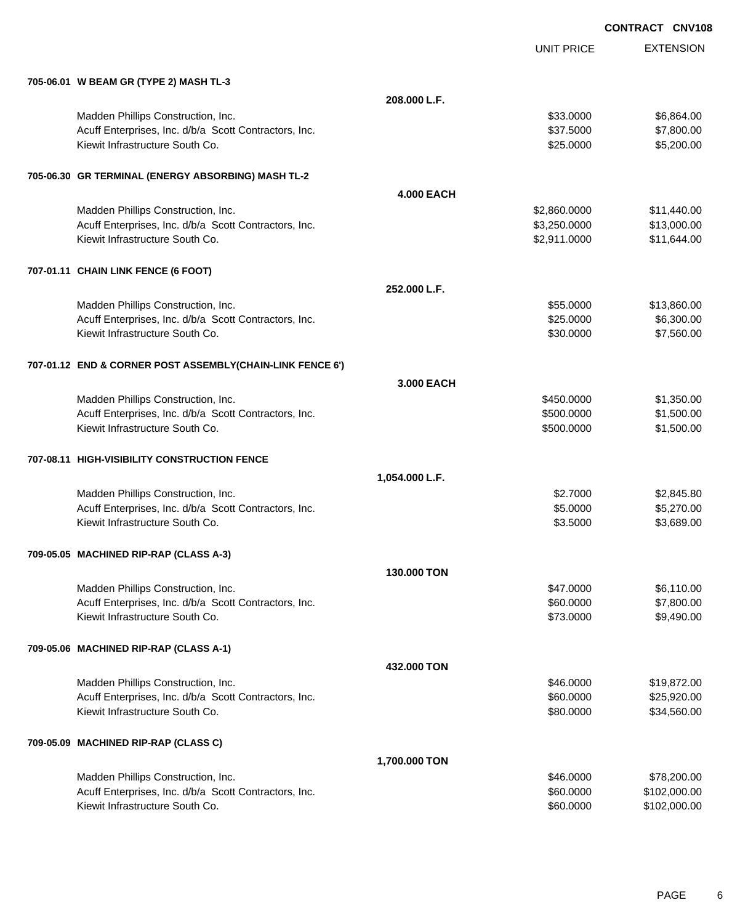|                                                           |                   | <b>UNIT PRICE</b> | <b>EXTENSION</b> |
|-----------------------------------------------------------|-------------------|-------------------|------------------|
| 705-06.01 W BEAM GR (TYPE 2) MASH TL-3                    |                   |                   |                  |
|                                                           | 208.000 L.F.      |                   |                  |
| Madden Phillips Construction, Inc.                        |                   | \$33.0000         | \$6,864.00       |
| Acuff Enterprises, Inc. d/b/a Scott Contractors, Inc.     |                   | \$37.5000         | \$7,800.00       |
| Kiewit Infrastructure South Co.                           |                   | \$25.0000         | \$5,200.00       |
| 705-06.30 GR TERMINAL (ENERGY ABSORBING) MASH TL-2        |                   |                   |                  |
|                                                           | <b>4.000 EACH</b> |                   |                  |
| Madden Phillips Construction, Inc.                        |                   | \$2,860.0000      | \$11,440.00      |
| Acuff Enterprises, Inc. d/b/a Scott Contractors, Inc.     |                   | \$3,250.0000      | \$13,000.00      |
| Kiewit Infrastructure South Co.                           |                   | \$2,911.0000      | \$11,644.00      |
| 707-01.11 CHAIN LINK FENCE (6 FOOT)                       |                   |                   |                  |
|                                                           | 252.000 L.F.      |                   |                  |
| Madden Phillips Construction, Inc.                        |                   | \$55.0000         | \$13,860.00      |
| Acuff Enterprises, Inc. d/b/a Scott Contractors, Inc.     |                   | \$25.0000         | \$6,300.00       |
| Kiewit Infrastructure South Co.                           |                   | \$30.0000         | \$7,560.00       |
| 707-01.12 END & CORNER POST ASSEMBLY(CHAIN-LINK FENCE 6') |                   |                   |                  |
|                                                           | 3.000 EACH        |                   |                  |
| Madden Phillips Construction, Inc.                        |                   | \$450.0000        | \$1,350.00       |
| Acuff Enterprises, Inc. d/b/a Scott Contractors, Inc.     |                   | \$500.0000        | \$1,500.00       |
| Kiewit Infrastructure South Co.                           |                   | \$500.0000        | \$1,500.00       |
| 707-08.11 HIGH-VISIBILITY CONSTRUCTION FENCE              |                   |                   |                  |
|                                                           | 1,054.000 L.F.    |                   |                  |
| Madden Phillips Construction, Inc.                        |                   | \$2.7000          | \$2,845.80       |
| Acuff Enterprises, Inc. d/b/a Scott Contractors, Inc.     |                   | \$5.0000          | \$5,270.00       |
| Kiewit Infrastructure South Co.                           |                   | \$3.5000          | \$3,689.00       |
| 709-05.05 MACHINED RIP-RAP (CLASS A-3)                    |                   |                   |                  |
|                                                           | 130,000 TON       |                   |                  |
| Madden Phillips Construction, Inc.                        |                   | \$47.0000         | \$6,110.00       |
| Acuff Enterprises, Inc. d/b/a Scott Contractors, Inc.     |                   | \$60.0000         | \$7,800.00       |
| Kiewit Infrastructure South Co.                           |                   | \$73.0000         | \$9,490.00       |
| 709-05.06 MACHINED RIP-RAP (CLASS A-1)                    |                   |                   |                  |
|                                                           | 432.000 TON       |                   |                  |
| Madden Phillips Construction, Inc.                        |                   | \$46.0000         | \$19,872.00      |
| Acuff Enterprises, Inc. d/b/a Scott Contractors, Inc.     |                   | \$60.0000         | \$25,920.00      |
| Kiewit Infrastructure South Co.                           |                   | \$80.0000         | \$34,560.00      |
| 709-05.09 MACHINED RIP-RAP (CLASS C)                      |                   |                   |                  |
|                                                           | 1,700.000 TON     |                   |                  |
| Madden Phillips Construction, Inc.                        |                   | \$46.0000         | \$78,200.00      |
| Acuff Enterprises, Inc. d/b/a Scott Contractors, Inc.     |                   | \$60.0000         | \$102,000.00     |
| Kiewit Infrastructure South Co.                           |                   | \$60.0000         | \$102,000.00     |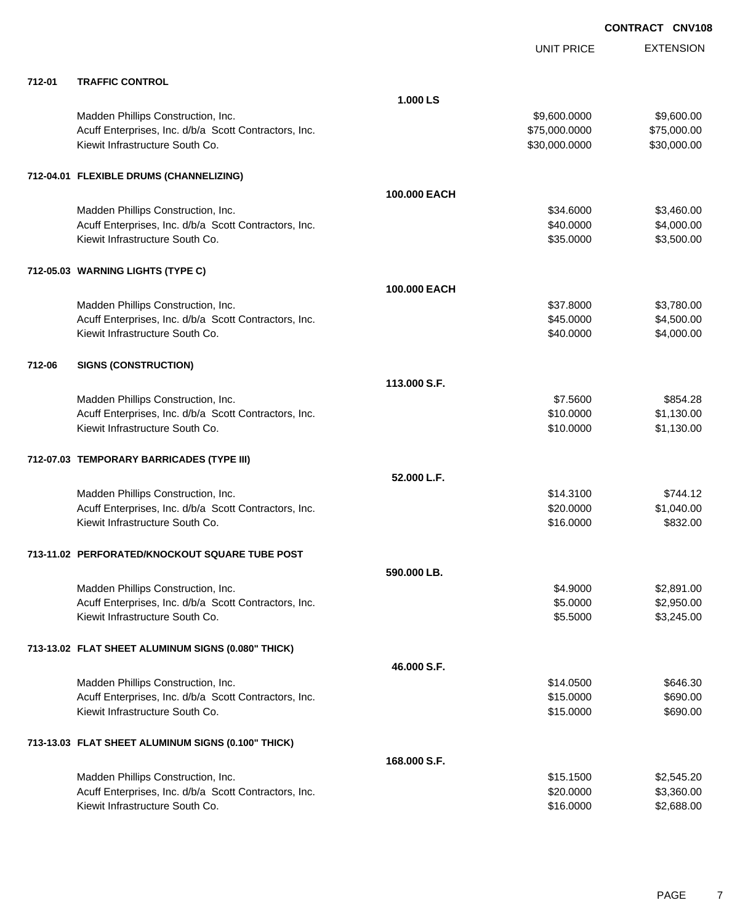|        |                                                       |              | <b>UNIT PRICE</b> | <b>EXTENSION</b> |
|--------|-------------------------------------------------------|--------------|-------------------|------------------|
| 712-01 | <b>TRAFFIC CONTROL</b>                                |              |                   |                  |
|        |                                                       | 1.000 LS     |                   |                  |
|        | Madden Phillips Construction, Inc.                    |              | \$9,600.0000      | \$9,600.00       |
|        | Acuff Enterprises, Inc. d/b/a Scott Contractors, Inc. |              | \$75,000.0000     | \$75,000.00      |
|        | Kiewit Infrastructure South Co.                       |              | \$30,000.0000     | \$30,000.00      |
|        | 712-04.01 FLEXIBLE DRUMS (CHANNELIZING)               |              |                   |                  |
|        |                                                       | 100.000 EACH |                   |                  |
|        | Madden Phillips Construction, Inc.                    |              | \$34.6000         | \$3,460.00       |
|        | Acuff Enterprises, Inc. d/b/a Scott Contractors, Inc. |              | \$40.0000         | \$4,000.00       |
|        | Kiewit Infrastructure South Co.                       |              | \$35.0000         | \$3,500.00       |
|        | 712-05.03 WARNING LIGHTS (TYPE C)                     |              |                   |                  |
|        |                                                       | 100.000 EACH |                   |                  |
|        | Madden Phillips Construction, Inc.                    |              | \$37.8000         | \$3,780.00       |
|        | Acuff Enterprises, Inc. d/b/a Scott Contractors, Inc. |              | \$45.0000         | \$4,500.00       |
|        | Kiewit Infrastructure South Co.                       |              | \$40.0000         | \$4,000.00       |
| 712-06 | <b>SIGNS (CONSTRUCTION)</b>                           |              |                   |                  |
|        |                                                       | 113.000 S.F. |                   |                  |
|        | Madden Phillips Construction, Inc.                    |              | \$7.5600          | \$854.28         |
|        | Acuff Enterprises, Inc. d/b/a Scott Contractors, Inc. |              | \$10.0000         | \$1,130.00       |
|        | Kiewit Infrastructure South Co.                       |              | \$10.0000         | \$1,130.00       |
|        | 712-07.03 TEMPORARY BARRICADES (TYPE III)             |              |                   |                  |
|        |                                                       | 52.000 L.F.  |                   |                  |
|        | Madden Phillips Construction, Inc.                    |              | \$14.3100         | \$744.12         |
|        | Acuff Enterprises, Inc. d/b/a Scott Contractors, Inc. |              | \$20.0000         | \$1,040.00       |
|        | Kiewit Infrastructure South Co.                       |              | \$16.0000         | \$832.00         |
|        | 713-11.02 PERFORATED/KNOCKOUT SQUARE TUBE POST        |              |                   |                  |
|        |                                                       | 590.000 LB.  |                   |                  |
|        | Madden Phillips Construction, Inc.                    |              | \$4.9000          | \$2,891.00       |
|        | Acuff Enterprises, Inc. d/b/a Scott Contractors, Inc. |              | \$5.0000          | \$2,950.00       |
|        | Kiewit Infrastructure South Co.                       |              | \$5.5000          | \$3,245.00       |
|        | 713-13.02 FLAT SHEET ALUMINUM SIGNS (0.080" THICK)    |              |                   |                  |
|        |                                                       | 46.000 S.F.  |                   |                  |
|        | Madden Phillips Construction, Inc.                    |              | \$14.0500         | \$646.30         |
|        | Acuff Enterprises, Inc. d/b/a Scott Contractors, Inc. |              | \$15.0000         | \$690.00         |
|        | Kiewit Infrastructure South Co.                       |              | \$15.0000         | \$690.00         |
|        | 713-13.03 FLAT SHEET ALUMINUM SIGNS (0.100" THICK)    |              |                   |                  |
|        |                                                       | 168.000 S.F. |                   |                  |
|        | Madden Phillips Construction, Inc.                    |              | \$15.1500         | \$2,545.20       |
|        | Acuff Enterprises, Inc. d/b/a Scott Contractors, Inc. |              | \$20.0000         | \$3,360.00       |
|        | Kiewit Infrastructure South Co.                       |              | \$16.0000         | \$2,688.00       |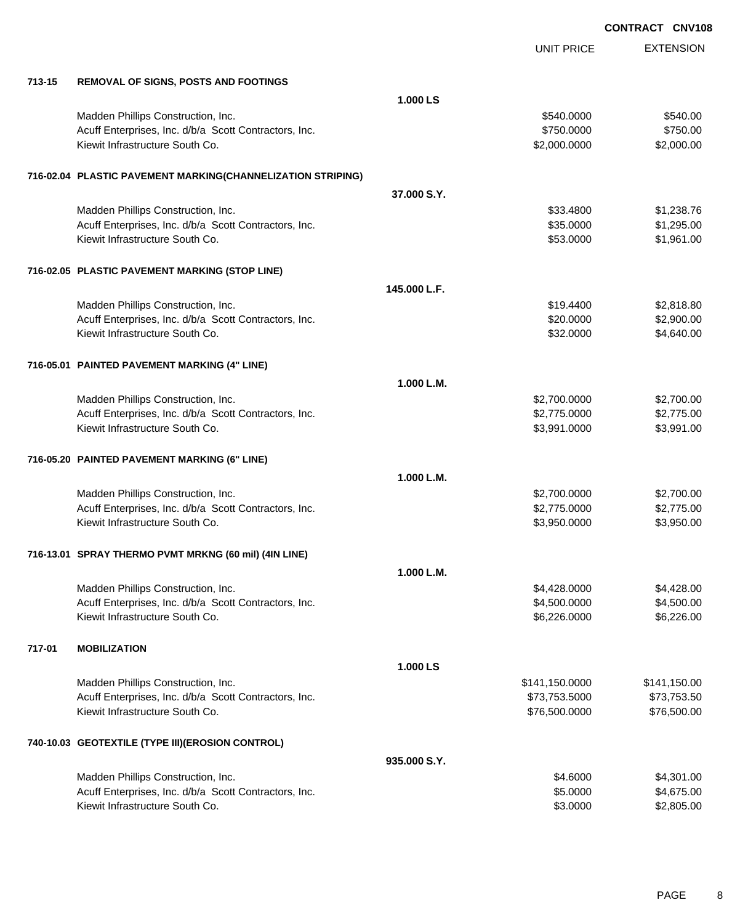EXTENSION **CONTRACT CNV108** UNIT PRICE **713-15 REMOVAL OF SIGNS, POSTS AND FOOTINGS 1.000 LS** Madden Phillips Construction, Inc. 6540.000 \$540.000 \$540.000 \$540.000 Acuff Enterprises, Inc. d/b/a Scott Contractors, Inc. 6750.000 \$750.000 \$750.000 Kiewit Infrastructure South Co. **\$2,000.000 \$2,000.000 \$2,000.000** \$2,000.000 \$2,000.00 **716-02.04 PLASTIC PAVEMENT MARKING(CHANNELIZATION STRIPING) 37.000 S.Y.** Madden Phillips Construction, Inc. 6. The Construction of the Construction, Inc. 6. The Construction of the Construction of the Construction of the Construction, Inc. 6. The Construction of the Construction of the Construc Acuff Enterprises, Inc. d/b/a Scott Contractors, Inc. 635.0000 \$1,295.000 \$1,295.00 Kiewit Infrastructure South Co. **\$53.0000** \$1,961.00 **716-02.05 PLASTIC PAVEMENT MARKING (STOP LINE) 145.000 L.F.** Madden Phillips Construction, Inc. 6. The Construction of the Construction, Inc. 6. The Construction of the Construction of the Construction of the Construction of the Construction of the Construction of the Construction o Acuff Enterprises, Inc. d/b/a Scott Contractors, Inc. 6. The State of the State of S2,900.00 \$2,900.00 Kiewit Infrastructure South Co. **\$32.0000** \$4,640.00 **716-05.01 PAINTED PAVEMENT MARKING (4" LINE) 1.000 L.M.** Madden Phillips Construction, Inc. 6. The Construction of the Construction of the Construction, Inc. 6. The Construction of the Construction of the Construction of the Construction of the Construction of the Construction o Acuff Enterprises, Inc. d/b/a Scott Contractors, Inc. 6. The Same Security of the Security of the Security of Security 10000 \$2,775.0000 \$2,775.000 Kiewit Infrastructure South Co. **\$3,991.000** \$3,991.0000 \$3,991.0000 \$3,991.000 **716-05.20 PAINTED PAVEMENT MARKING (6" LINE) 1.000 L.M.** Madden Phillips Construction, Inc. 6. The Construction of the Construction of the Construction, Inc. 6. The Construction of the Construction of the Construction of the Construction of the Construction of the Construction o Acuff Enterprises, Inc. d/b/a Scott Contractors, Inc. 6. The Same Security of the Security of the Security of Security 10000 \$2,775.0000 \$2,775.000 Kiewit Infrastructure South Co. **\$3,950.000** \$3,950.000 \$3,950.000 **716-13.01 SPRAY THERMO PVMT MRKNG (60 mil) (4IN LINE) 1.000 L.M.** Madden Phillips Construction, Inc. 66 and the state of the state of the state of the state of the state of the state of the state of the state of the state of the state of the state of the state of the state of the state o Acuff Enterprises, Inc. d/b/a Scott Contractors, Inc. 64,500.000 \$4,500.000 \$4,500.000 Kiewit Infrastructure South Co. **\$6,226.000** \$6,226.000 \$6,226.000 \$6,226.000 **717-01 MOBILIZATION 1.000 LS** Madden Phillips Construction, Inc. 6. The Construction of the Construction, Inc. 6. The Construction of the Construction of the Construction of the Construction, Inc. 6. The Construction of the Construction of the Construc Acuff Enterprises, Inc. d/b/a Scott Contractors, Inc. 673,753.5000 \$73,753.5000 \$73,753.500 Kiewit Infrastructure South Co. **\$76,500.000 \$76,500.000 \$76,500.000** \$76,500.000 **740-10.03 GEOTEXTILE (TYPE III)(EROSION CONTROL) 935.000 S.Y.** Madden Phillips Construction, Inc. 64.6000 \$4,301.00 Acuff Enterprises, Inc. d/b/a Scott Contractors, Inc. 65.000 \$4,675.00

Kiewit Infrastructure South Co. **6.2.805.00** \$2,805.00 \$3.0000 \$2,805.00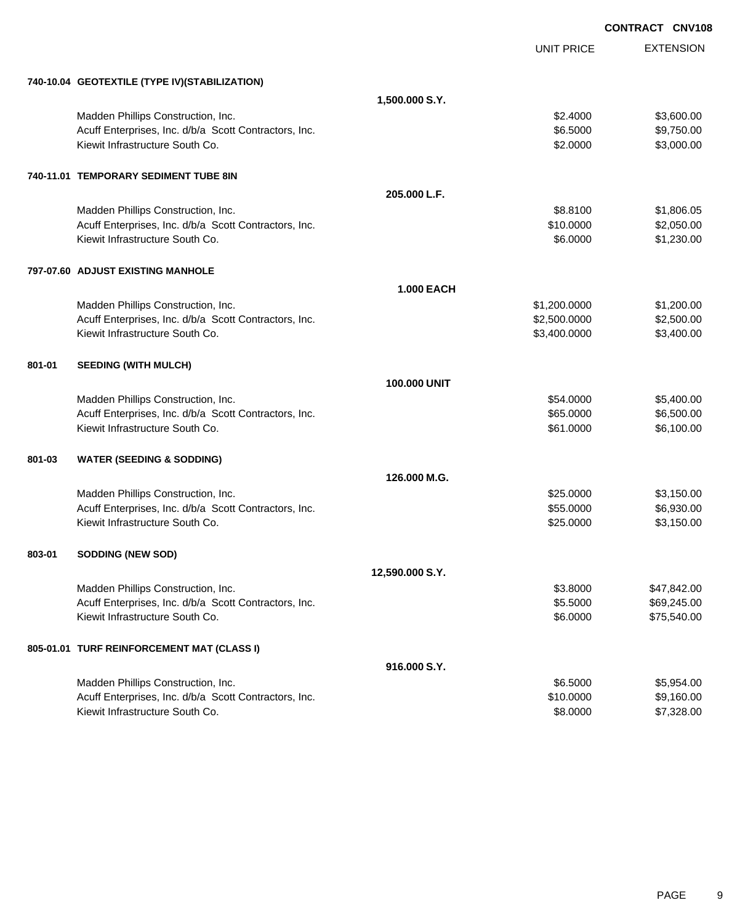|        |                                                       |                     |                   | <b>CONTRACT CNV108</b> |
|--------|-------------------------------------------------------|---------------------|-------------------|------------------------|
|        |                                                       |                     | <b>UNIT PRICE</b> | <b>EXTENSION</b>       |
|        | 740-10.04 GEOTEXTILE (TYPE IV) (STABILIZATION)        |                     |                   |                        |
|        |                                                       | 1,500.000 S.Y.      |                   |                        |
|        | Madden Phillips Construction, Inc.                    |                     | \$2.4000          | \$3,600.00             |
|        | Acuff Enterprises, Inc. d/b/a Scott Contractors, Inc. |                     | \$6.5000          | \$9,750.00             |
|        | Kiewit Infrastructure South Co.                       |                     | \$2.0000          | \$3,000.00             |
|        | 740-11.01 TEMPORARY SEDIMENT TUBE 8IN                 |                     |                   |                        |
|        |                                                       | 205.000 L.F.        |                   |                        |
|        | Madden Phillips Construction, Inc.                    |                     | \$8.8100          | \$1,806.05             |
|        | Acuff Enterprises, Inc. d/b/a Scott Contractors, Inc. |                     | \$10.0000         | \$2,050.00             |
|        | Kiewit Infrastructure South Co.                       |                     | \$6.0000          | \$1,230.00             |
|        | 797-07.60 ADJUST EXISTING MANHOLE                     |                     |                   |                        |
|        |                                                       | <b>1.000 EACH</b>   |                   |                        |
|        | Madden Phillips Construction, Inc.                    |                     | \$1,200.0000      | \$1,200.00             |
|        | Acuff Enterprises, Inc. d/b/a Scott Contractors, Inc. |                     | \$2,500.0000      | \$2,500.00             |
|        | Kiewit Infrastructure South Co.                       |                     | \$3,400.0000      | \$3,400.00             |
| 801-01 | <b>SEEDING (WITH MULCH)</b>                           |                     |                   |                        |
|        |                                                       | <b>100.000 UNIT</b> |                   |                        |
|        | Madden Phillips Construction, Inc.                    |                     | \$54.0000         | \$5,400.00             |
|        | Acuff Enterprises, Inc. d/b/a Scott Contractors, Inc. |                     | \$65.0000         | \$6,500.00             |
|        | Kiewit Infrastructure South Co.                       |                     | \$61.0000         | \$6,100.00             |
| 801-03 | <b>WATER (SEEDING &amp; SODDING)</b>                  |                     |                   |                        |
|        |                                                       | 126,000 M.G.        |                   |                        |
|        | Madden Phillips Construction, Inc.                    |                     | \$25.0000         | \$3,150.00             |
|        | Acuff Enterprises, Inc. d/b/a Scott Contractors, Inc. |                     | \$55.0000         | \$6,930.00             |
|        | Kiewit Infrastructure South Co.                       |                     | \$25.0000         | \$3,150.00             |
| 803-01 | <b>SODDING (NEW SOD)</b>                              |                     |                   |                        |
|        |                                                       | 12,590.000 S.Y.     |                   |                        |
|        | Madden Phillips Construction, Inc.                    |                     | \$3.8000          | \$47,842.00            |
|        | Acuff Enterprises, Inc. d/b/a Scott Contractors, Inc. |                     | \$5.5000          | \$69,245.00            |
|        | Kiewit Infrastructure South Co.                       |                     | \$6.0000          | \$75,540.00            |
|        | 805-01.01 TURF REINFORCEMENT MAT (CLASS I)            |                     |                   |                        |
|        |                                                       | 916.000 S.Y.        |                   |                        |
|        | Madden Phillips Construction, Inc.                    |                     | \$6.5000          | \$5,954.00             |
|        | Acuff Enterprises, Inc. d/b/a Scott Contractors, Inc. |                     | \$10.0000         | \$9,160.00             |
|        | Kiewit Infrastructure South Co.                       |                     | \$8.0000          | \$7,328.00             |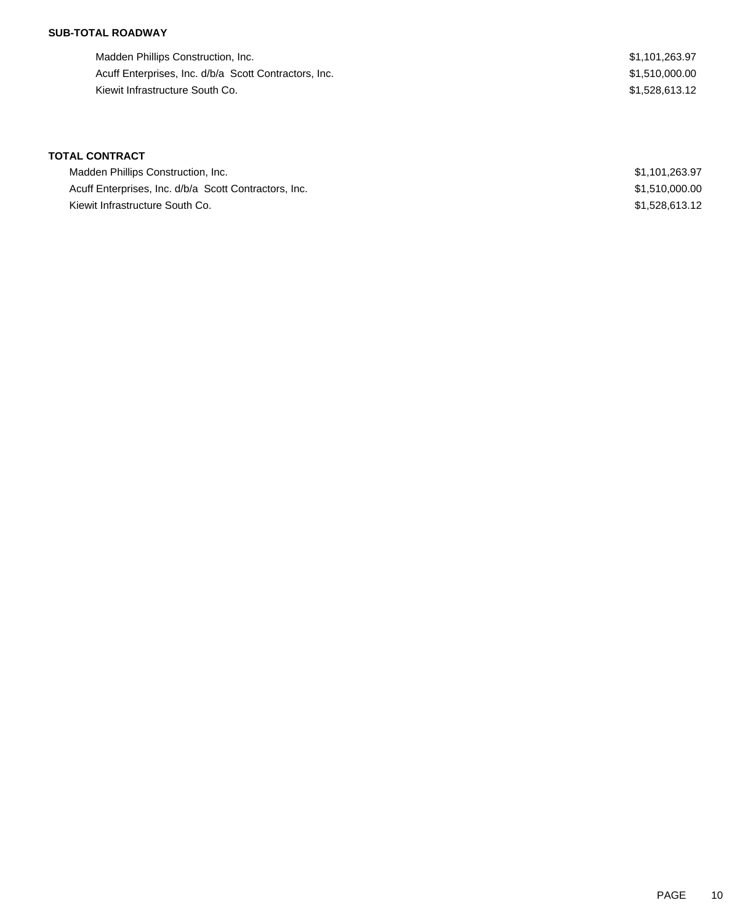### **SUB-TOTAL ROADWAY**

Madden Phillips Construction, Inc. 63.97 Acuff Enterprises, Inc. d/b/a Scott Contractors, Inc. 631,510,000.00 Kiewit Infrastructure South Co. 6. \$1,528,613.12

## **TOTAL CONTRACT**

| Madden Phillips Construction, Inc.                    | \$1,101,263.97 |
|-------------------------------------------------------|----------------|
| Acuff Enterprises, Inc. d/b/a Scott Contractors, Inc. | \$1,510,000.00 |
| Kiewit Infrastructure South Co.                       | \$1,528,613.12 |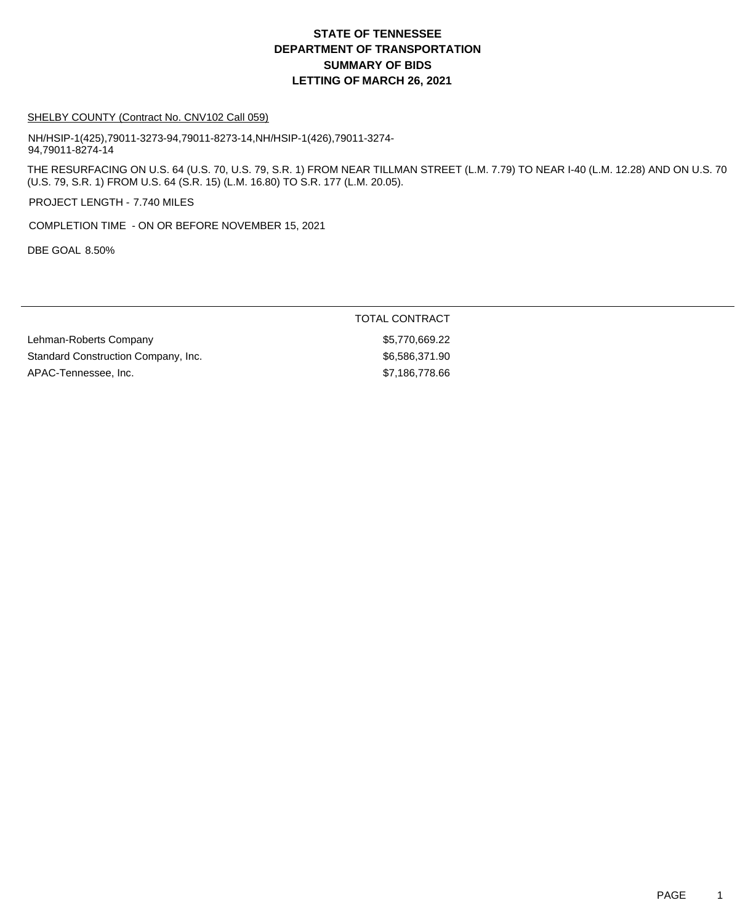## **DEPARTMENT OF TRANSPORTATION SUMMARY OF BIDS LETTING OF MARCH 26, 2021 STATE OF TENNESSEE**

#### SHELBY COUNTY (Contract No. CNV102 Call 059)

NH/HSIP-1(425),79011-3273-94,79011-8273-14,NH/HSIP-1(426),79011-3274- 94,79011-8274-14

THE RESURFACING ON U.S. 64 (U.S. 70, U.S. 79, S.R. 1) FROM NEAR TILLMAN STREET (L.M. 7.79) TO NEAR I-40 (L.M. 12.28) AND ON U.S. 70 (U.S. 79, S.R. 1) FROM U.S. 64 (S.R. 15) (L.M. 16.80) TO S.R. 177 (L.M. 20.05).

PROJECT LENGTH - 7.740 MILES

COMPLETION TIME - ON OR BEFORE NOVEMBER 15, 2021

DBE GOAL 8.50%

### TOTAL CONTRACT

Lehman-Roberts Company **\$5,770,669.22** Standard Construction Company, Inc. 6.6586,371.90 APAC-Tennessee, Inc. 66 and the state of the state of the state of the state  $$7,186,778.66$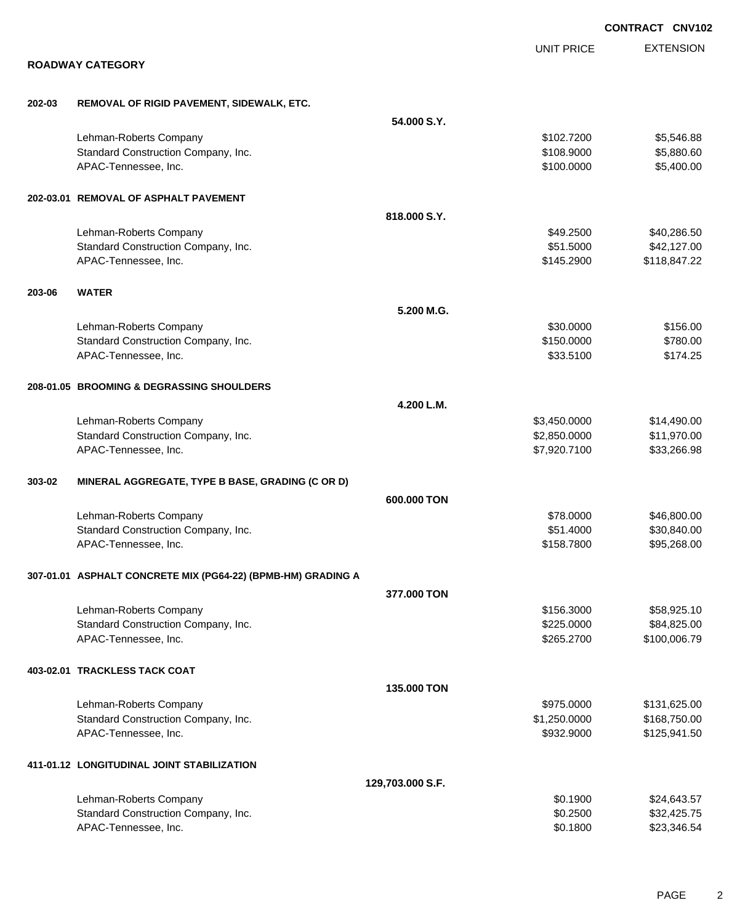|        |                                                              |                  |                   | <b>CONTRACT CNV102</b> |
|--------|--------------------------------------------------------------|------------------|-------------------|------------------------|
|        |                                                              |                  | <b>UNIT PRICE</b> | <b>EXTENSION</b>       |
|        | <b>ROADWAY CATEGORY</b>                                      |                  |                   |                        |
| 202-03 | REMOVAL OF RIGID PAVEMENT, SIDEWALK, ETC.                    |                  |                   |                        |
|        |                                                              | 54.000 S.Y.      |                   |                        |
|        | Lehman-Roberts Company                                       |                  | \$102,7200        | \$5,546.88             |
|        | Standard Construction Company, Inc.                          |                  | \$108.9000        | \$5,880.60             |
|        | APAC-Tennessee, Inc.                                         |                  | \$100.0000        | \$5,400.00             |
|        | 202-03.01 REMOVAL OF ASPHALT PAVEMENT                        |                  |                   |                        |
|        |                                                              | 818,000 S.Y.     |                   |                        |
|        | Lehman-Roberts Company                                       |                  | \$49.2500         | \$40,286.50            |
|        | Standard Construction Company, Inc.                          |                  | \$51.5000         | \$42,127.00            |
|        | APAC-Tennessee, Inc.                                         |                  | \$145.2900        | \$118,847.22           |
| 203-06 | <b>WATER</b>                                                 |                  |                   |                        |
|        |                                                              | 5.200 M.G.       |                   |                        |
|        | Lehman-Roberts Company                                       |                  | \$30,0000         | \$156.00               |
|        | Standard Construction Company, Inc.                          |                  | \$150.0000        | \$780.00               |
|        | APAC-Tennessee, Inc.                                         |                  | \$33.5100         | \$174.25               |
|        | 208-01.05 BROOMING & DEGRASSING SHOULDERS                    |                  |                   |                        |
|        |                                                              | 4.200 L.M.       |                   |                        |
|        | Lehman-Roberts Company                                       |                  | \$3,450.0000      | \$14,490.00            |
|        | Standard Construction Company, Inc.                          |                  | \$2,850.0000      | \$11,970.00            |
|        | APAC-Tennessee, Inc.                                         |                  | \$7,920.7100      | \$33,266.98            |
| 303-02 | MINERAL AGGREGATE, TYPE B BASE, GRADING (C OR D)             |                  |                   |                        |
|        |                                                              | 600,000 TON      |                   |                        |
|        | Lehman-Roberts Company                                       |                  | \$78,0000         | \$46,800.00            |
|        | Standard Construction Company, Inc.                          |                  | \$51,4000         | \$30,840.00            |
|        | APAC-Tennessee, Inc.                                         |                  | \$158.7800        | \$95,268.00            |
|        | 307-01.01 ASPHALT CONCRETE MIX (PG64-22) (BPMB-HM) GRADING A |                  |                   |                        |
|        |                                                              | 377,000 TON      |                   |                        |
|        | Lehman-Roberts Company                                       |                  | \$156.3000        | \$58,925.10            |
|        | Standard Construction Company, Inc.                          |                  | \$225.0000        | \$84,825.00            |
|        | APAC-Tennessee, Inc.                                         |                  | \$265.2700        | \$100,006.79           |
|        | 403-02.01 TRACKLESS TACK COAT                                |                  |                   |                        |
|        |                                                              | 135.000 TON      |                   |                        |
|        | Lehman-Roberts Company                                       |                  | \$975.0000        | \$131,625.00           |
|        | Standard Construction Company, Inc.                          |                  | \$1,250.0000      | \$168,750.00           |
|        | APAC-Tennessee, Inc.                                         |                  | \$932.9000        | \$125,941.50           |
|        | 411-01.12 LONGITUDINAL JOINT STABILIZATION                   |                  |                   |                        |
|        |                                                              | 129,703.000 S.F. |                   |                        |
|        | Lehman-Roberts Company                                       |                  | \$0.1900          | \$24,643.57            |
|        | Standard Construction Company, Inc.                          |                  | \$0.2500          | \$32,425.75            |
|        | APAC-Tennessee, Inc.                                         |                  | \$0.1800          | \$23,346.54            |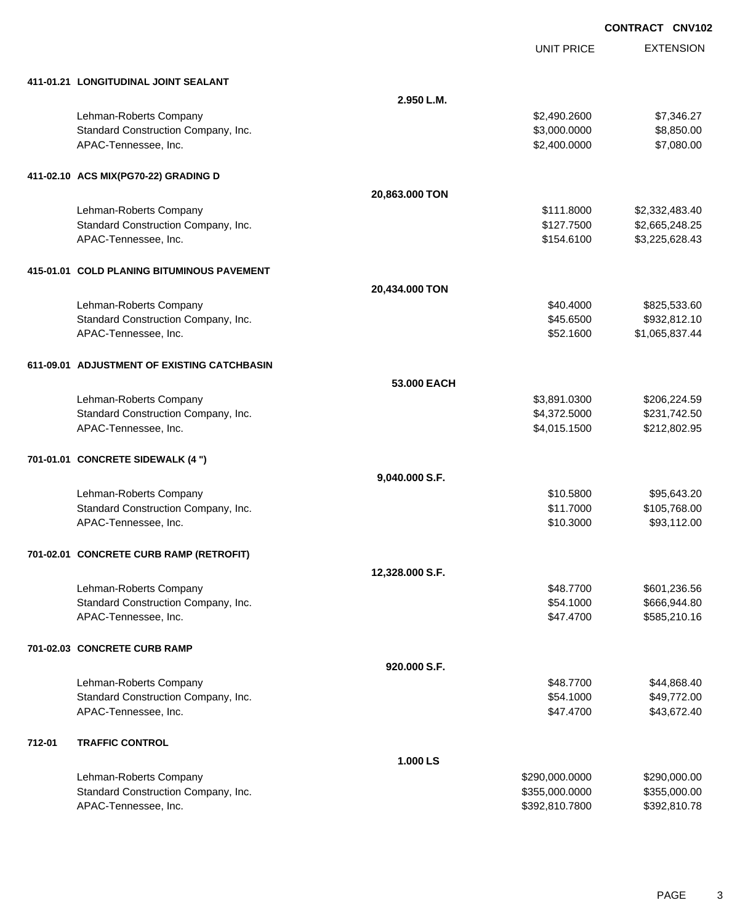UNIT PRICE

EXTENSION

|  | 411-01.21 LONGITUDINAL JOINT SEALANT |
|--|--------------------------------------|

|        | 411-01.21 LONGITUDINAL JOINT SEALANT        |                 |                |                |
|--------|---------------------------------------------|-----------------|----------------|----------------|
|        |                                             | 2.950 L.M.      |                |                |
|        | Lehman-Roberts Company                      |                 | \$2,490.2600   | \$7,346.27     |
|        | Standard Construction Company, Inc.         |                 | \$3,000.0000   | \$8,850.00     |
|        | APAC-Tennessee, Inc.                        |                 | \$2,400.0000   | \$7,080.00     |
|        | 411-02.10 ACS MIX(PG70-22) GRADING D        |                 |                |                |
|        |                                             | 20,863.000 TON  |                |                |
|        | Lehman-Roberts Company                      |                 | \$111.8000     | \$2,332,483.40 |
|        | Standard Construction Company, Inc.         |                 | \$127.7500     | \$2,665,248.25 |
|        | APAC-Tennessee, Inc.                        |                 | \$154.6100     | \$3,225,628.43 |
|        | 415-01.01 COLD PLANING BITUMINOUS PAVEMENT  |                 |                |                |
|        |                                             | 20,434.000 TON  |                |                |
|        | Lehman-Roberts Company                      |                 | \$40.4000      | \$825,533.60   |
|        | Standard Construction Company, Inc.         |                 | \$45.6500      | \$932,812.10   |
|        | APAC-Tennessee, Inc.                        |                 | \$52.1600      | \$1,065,837.44 |
|        | 611-09.01 ADJUSTMENT OF EXISTING CATCHBASIN |                 |                |                |
|        |                                             | 53,000 EACH     |                |                |
|        | Lehman-Roberts Company                      |                 | \$3,891.0300   | \$206,224.59   |
|        | Standard Construction Company, Inc.         |                 | \$4,372.5000   | \$231,742.50   |
|        | APAC-Tennessee, Inc.                        |                 | \$4,015.1500   | \$212,802.95   |
|        | 701-01.01 CONCRETE SIDEWALK (4 ")           |                 |                |                |
|        |                                             | 9,040.000 S.F.  |                |                |
|        | Lehman-Roberts Company                      |                 | \$10.5800      | \$95,643.20    |
|        | Standard Construction Company, Inc.         |                 | \$11.7000      | \$105,768.00   |
|        | APAC-Tennessee, Inc.                        |                 | \$10.3000      | \$93,112.00    |
|        | 701-02.01 CONCRETE CURB RAMP (RETROFIT)     |                 |                |                |
|        |                                             | 12,328.000 S.F. |                |                |
|        | Lehman-Roberts Company                      |                 | \$48,7700      | \$601,236.56   |
|        | Standard Construction Company, Inc.         |                 | \$54.1000      | \$666,944.80   |
|        | APAC-Tennessee, Inc.                        |                 | \$47.4700      | \$585,210.16   |
|        | 701-02.03 CONCRETE CURB RAMP                |                 |                |                |
|        |                                             | 920.000 S.F.    |                |                |
|        | Lehman-Roberts Company                      |                 | \$48.7700      | \$44,868.40    |
|        | Standard Construction Company, Inc.         |                 | \$54.1000      | \$49,772.00    |
|        | APAC-Tennessee, Inc.                        |                 | \$47.4700      | \$43,672.40    |
| 712-01 | <b>TRAFFIC CONTROL</b>                      |                 |                |                |
|        |                                             | 1.000 LS        |                |                |
|        | Lehman-Roberts Company                      |                 | \$290,000.0000 | \$290,000.00   |
|        | Standard Construction Company, Inc.         |                 | \$355,000.0000 | \$355,000.00   |
|        | APAC-Tennessee, Inc.                        |                 | \$392,810.7800 | \$392,810.78   |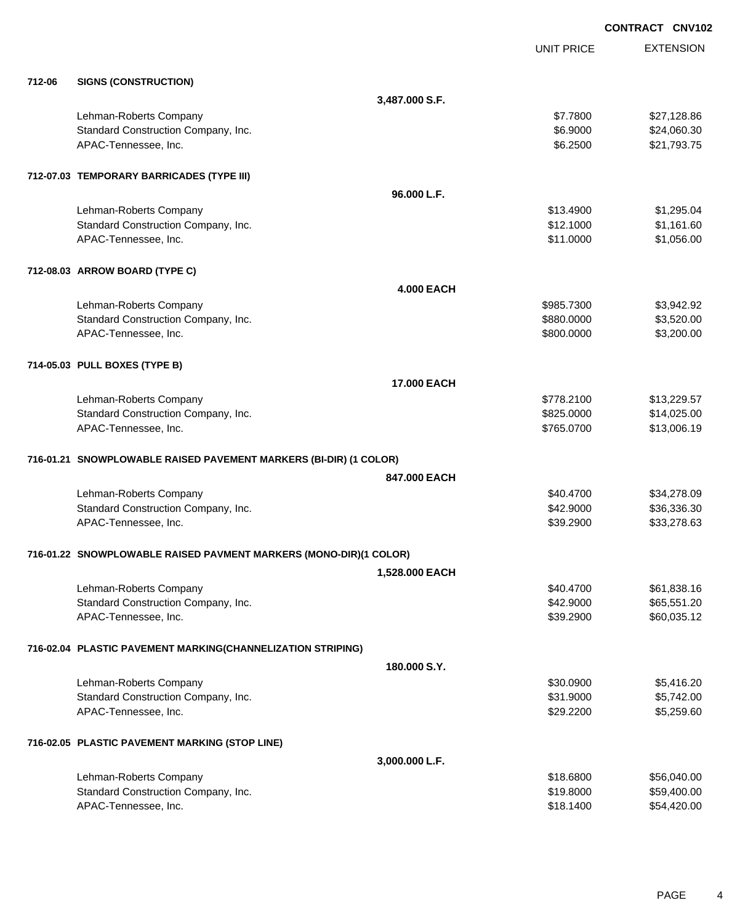|        |                                                                   |                    |                   | <b>CONTRACT CNV102</b> |
|--------|-------------------------------------------------------------------|--------------------|-------------------|------------------------|
|        |                                                                   |                    | <b>UNIT PRICE</b> | <b>EXTENSION</b>       |
| 712-06 | <b>SIGNS (CONSTRUCTION)</b>                                       |                    |                   |                        |
|        |                                                                   | 3,487.000 S.F.     |                   |                        |
|        | Lehman-Roberts Company                                            |                    | \$7.7800          | \$27,128.86            |
|        | Standard Construction Company, Inc.                               |                    | \$6.9000          | \$24,060.30            |
|        | APAC-Tennessee, Inc.                                              |                    | \$6.2500          | \$21,793.75            |
|        | 712-07.03 TEMPORARY BARRICADES (TYPE III)                         |                    |                   |                        |
|        |                                                                   | 96.000 L.F.        |                   |                        |
|        | Lehman-Roberts Company                                            |                    | \$13.4900         | \$1,295.04             |
|        | Standard Construction Company, Inc.                               |                    | \$12.1000         | \$1,161.60             |
|        | APAC-Tennessee, Inc.                                              |                    | \$11.0000         | \$1,056.00             |
|        | 712-08.03 ARROW BOARD (TYPE C)                                    |                    |                   |                        |
|        |                                                                   | <b>4.000 EACH</b>  |                   |                        |
|        | Lehman-Roberts Company                                            |                    | \$985.7300        | \$3,942.92             |
|        | Standard Construction Company, Inc.                               |                    | \$880.0000        | \$3,520.00             |
|        | APAC-Tennessee, Inc.                                              |                    | \$800.0000        | \$3,200.00             |
|        | 714-05.03 PULL BOXES (TYPE B)                                     |                    |                   |                        |
|        |                                                                   | <b>17.000 EACH</b> |                   |                        |
|        | Lehman-Roberts Company                                            |                    | \$778.2100        | \$13,229.57            |
|        | Standard Construction Company, Inc.                               |                    | \$825.0000        | \$14,025.00            |
|        | APAC-Tennessee, Inc.                                              |                    | \$765.0700        | \$13,006.19            |
|        | 716-01.21 SNOWPLOWABLE RAISED PAVEMENT MARKERS (BI-DIR) (1 COLOR) |                    |                   |                        |
|        |                                                                   | 847,000 EACH       |                   |                        |
|        | Lehman-Roberts Company                                            |                    | \$40.4700         | \$34,278.09            |
|        | Standard Construction Company, Inc.                               |                    | \$42.9000         | \$36,336.30            |
|        | APAC-Tennessee, Inc.                                              |                    | \$39.2900         | \$33,278.63            |
|        | 716-01.22 SNOWPLOWABLE RAISED PAVMENT MARKERS (MONO-DIR)(1 COLOR) |                    |                   |                        |
|        |                                                                   | 1,528.000 EACH     |                   |                        |
|        | Lehman-Roberts Company                                            |                    | \$40.4700         | \$61,838.16            |
|        | Standard Construction Company, Inc.                               |                    | \$42.9000         | \$65,551.20            |
|        | APAC-Tennessee, Inc.                                              |                    | \$39.2900         | \$60,035.12            |
|        | 716-02.04 PLASTIC PAVEMENT MARKING(CHANNELIZATION STRIPING)       |                    |                   |                        |
|        |                                                                   | 180.000 S.Y.       |                   |                        |
|        | Lehman-Roberts Company                                            |                    | \$30.0900         | \$5,416.20             |
|        | Standard Construction Company, Inc.                               |                    | \$31.9000         | \$5,742.00             |
|        | APAC-Tennessee, Inc.                                              |                    | \$29.2200         | \$5,259.60             |
|        | 716-02.05 PLASTIC PAVEMENT MARKING (STOP LINE)                    |                    |                   |                        |
|        |                                                                   | 3,000.000 L.F.     |                   |                        |
|        | Lehman-Roberts Company                                            |                    | \$18.6800         | \$56,040.00            |
|        | Standard Construction Company, Inc.                               |                    | \$19.8000         | \$59,400.00            |
|        | APAC-Tennessee, Inc.                                              |                    | \$18.1400         | \$54,420.00            |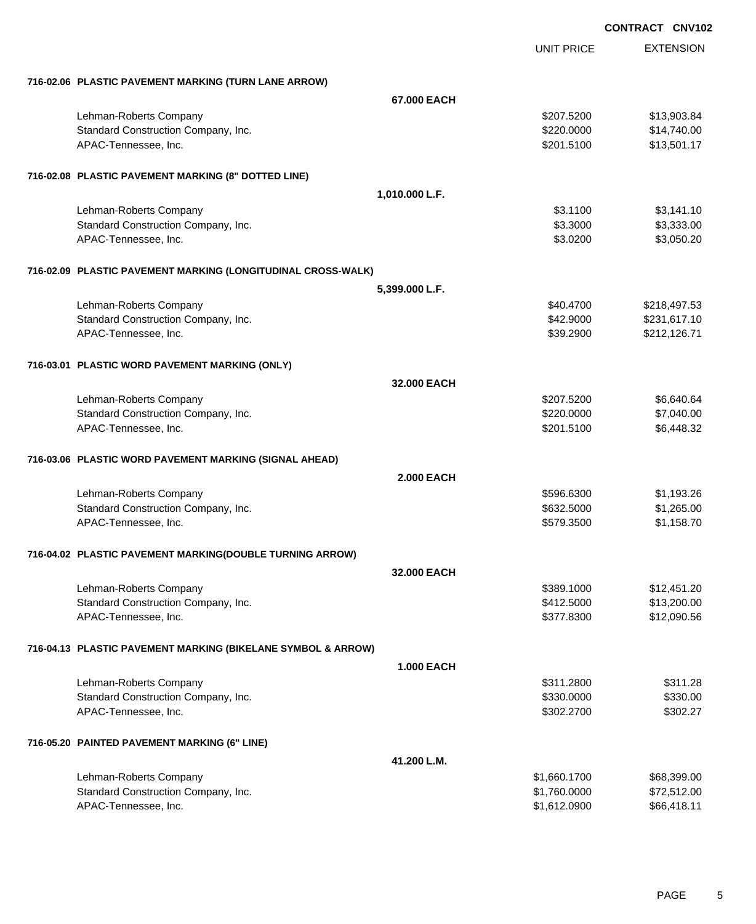|                                                              |                   |                   | CONTRACT CNV102 |                  |
|--------------------------------------------------------------|-------------------|-------------------|-----------------|------------------|
|                                                              |                   | <b>UNIT PRICE</b> |                 | <b>EXTENSION</b> |
| 716-02.06 PLASTIC PAVEMENT MARKING (TURN LANE ARROW)         |                   |                   |                 |                  |
|                                                              | 67.000 EACH       |                   |                 |                  |
| Lehman-Roberts Company                                       |                   | \$207.5200        |                 | \$13,903.84      |
| Standard Construction Company, Inc.                          |                   | \$220.0000        |                 | \$14,740.00      |
| APAC-Tennessee, Inc.                                         |                   | \$201.5100        |                 | \$13,501.17      |
| 716-02.08 PLASTIC PAVEMENT MARKING (8" DOTTED LINE)          |                   |                   |                 |                  |
|                                                              | 1,010.000 L.F.    |                   |                 |                  |
| Lehman-Roberts Company                                       |                   | \$3.1100          |                 | \$3,141.10       |
| Standard Construction Company, Inc.                          |                   | \$3.3000          |                 | \$3,333.00       |
| APAC-Tennessee, Inc.                                         |                   | \$3.0200          |                 | \$3,050.20       |
| 716-02.09 PLASTIC PAVEMENT MARKING (LONGITUDINAL CROSS-WALK) |                   |                   |                 |                  |
|                                                              | 5,399.000 L.F.    |                   |                 |                  |
| Lehman-Roberts Company                                       |                   | \$40.4700         |                 | \$218,497.53     |
| Standard Construction Company, Inc.                          |                   | \$42.9000         |                 | \$231,617.10     |
| APAC-Tennessee, Inc.                                         |                   | \$39.2900         |                 | \$212,126.71     |
| 716-03.01 PLASTIC WORD PAVEMENT MARKING (ONLY)               |                   |                   |                 |                  |
|                                                              | 32,000 EACH       |                   |                 |                  |
| Lehman-Roberts Company                                       |                   | \$207.5200        |                 | \$6,640.64       |
| Standard Construction Company, Inc.                          |                   | \$220.0000        |                 | \$7,040.00       |
| APAC-Tennessee, Inc.                                         |                   | \$201.5100        |                 | \$6,448.32       |
| 716-03.06 PLASTIC WORD PAVEMENT MARKING (SIGNAL AHEAD)       |                   |                   |                 |                  |
|                                                              | <b>2.000 EACH</b> |                   |                 |                  |
| Lehman-Roberts Company                                       |                   | \$596,6300        |                 | \$1,193.26       |
| Standard Construction Company, Inc.                          |                   | \$632.5000        |                 | \$1,265.00       |
| APAC-Tennessee, Inc.                                         |                   | \$579.3500        |                 | \$1,158.70       |
| 716-04.02 PLASTIC PAVEMENT MARKING(DOUBLE TURNING ARROW)     |                   |                   |                 |                  |
|                                                              | 32.000 EACH       |                   |                 |                  |
| Lehman-Roberts Company                                       |                   | \$389.1000        |                 | \$12,451.20      |
| Standard Construction Company, Inc.                          |                   | \$412.5000        |                 | \$13,200.00      |
| APAC-Tennessee, Inc.                                         |                   | \$377.8300        |                 | \$12,090.56      |
| 716-04.13 PLASTIC PAVEMENT MARKING (BIKELANE SYMBOL & ARROW) |                   |                   |                 |                  |
|                                                              | <b>1.000 EACH</b> |                   |                 |                  |
| Lehman-Roberts Company                                       |                   | \$311.2800        |                 | \$311.28         |
| Standard Construction Company, Inc.                          |                   | \$330.0000        |                 | \$330.00         |
| APAC-Tennessee, Inc.                                         |                   | \$302.2700        |                 | \$302.27         |
| 716-05.20 PAINTED PAVEMENT MARKING (6" LINE)                 |                   |                   |                 |                  |
|                                                              | 41.200 L.M.       |                   |                 |                  |
| Lehman-Roberts Company                                       |                   | \$1,660.1700      |                 | \$68,399.00      |
| Standard Construction Company, Inc.                          |                   | \$1,760.0000      |                 | \$72,512.00      |
| APAC-Tennessee, Inc.                                         |                   | \$1,612.0900      |                 | \$66,418.11      |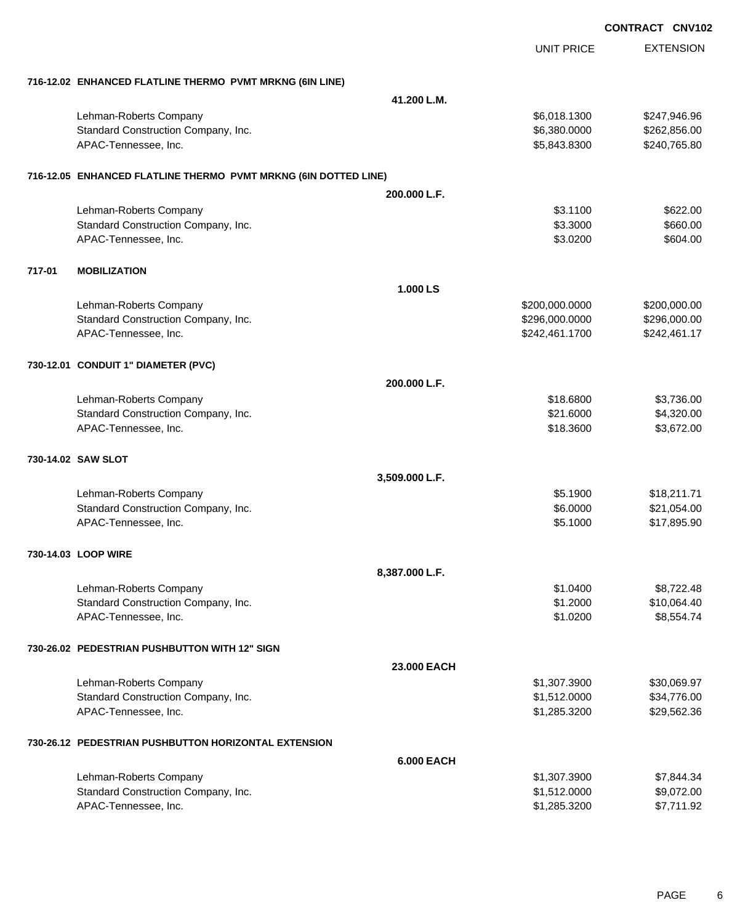|        |                                                                 |                   |                   | <b>CONTRACT CNV102</b> |
|--------|-----------------------------------------------------------------|-------------------|-------------------|------------------------|
|        |                                                                 |                   | <b>UNIT PRICE</b> | <b>EXTENSION</b>       |
|        | 716-12.02 ENHANCED FLATLINE THERMO PVMT MRKNG (6IN LINE)        |                   |                   |                        |
|        |                                                                 | 41.200 L.M.       |                   |                        |
|        | Lehman-Roberts Company                                          |                   | \$6,018.1300      | \$247,946.96           |
|        | Standard Construction Company, Inc.                             |                   | \$6,380.0000      | \$262,856.00           |
|        | APAC-Tennessee, Inc.                                            |                   | \$5,843.8300      | \$240,765.80           |
|        | 716-12.05 ENHANCED FLATLINE THERMO PVMT MRKNG (6IN DOTTED LINE) |                   |                   |                        |
|        |                                                                 | 200.000 L.F.      |                   |                        |
|        | Lehman-Roberts Company                                          |                   | \$3.1100          | \$622.00               |
|        | Standard Construction Company, Inc.                             |                   | \$3.3000          | \$660.00               |
|        | APAC-Tennessee, Inc.                                            |                   | \$3.0200          | \$604.00               |
| 717-01 | <b>MOBILIZATION</b>                                             |                   |                   |                        |
|        |                                                                 | 1.000 LS          |                   |                        |
|        | Lehman-Roberts Company                                          |                   | \$200,000.0000    | \$200,000.00           |
|        | Standard Construction Company, Inc.                             |                   | \$296,000.0000    | \$296,000.00           |
|        | APAC-Tennessee, Inc.                                            |                   | \$242,461.1700    | \$242,461.17           |
|        | 730-12.01 CONDUIT 1" DIAMETER (PVC)                             |                   |                   |                        |
|        |                                                                 | 200.000 L.F.      |                   |                        |
|        | Lehman-Roberts Company                                          |                   | \$18.6800         | \$3,736.00             |
|        | Standard Construction Company, Inc.                             |                   | \$21.6000         | \$4,320.00             |
|        | APAC-Tennessee, Inc.                                            |                   | \$18.3600         | \$3,672.00             |
|        | 730-14.02 SAW SLOT                                              |                   |                   |                        |
|        |                                                                 | 3,509.000 L.F.    |                   |                        |
|        | Lehman-Roberts Company                                          |                   | \$5.1900          | \$18,211.71            |
|        | Standard Construction Company, Inc.                             |                   | \$6.0000          | \$21,054.00            |
|        | APAC-Tennessee, Inc.                                            |                   | \$5.1000          | \$17,895.90            |
|        | 730-14.03 LOOP WIRE                                             |                   |                   |                        |
|        |                                                                 | 8,387.000 L.F.    |                   |                        |
|        | Lehman-Roberts Company                                          |                   | \$1.0400          | \$8,722.48             |
|        | Standard Construction Company, Inc.                             |                   | \$1.2000          | \$10,064.40            |
|        | APAC-Tennessee, Inc.                                            |                   | \$1.0200          | \$8,554.74             |
|        | 730-26.02 PEDESTRIAN PUSHBUTTON WITH 12" SIGN                   |                   |                   |                        |
|        |                                                                 | 23.000 EACH       |                   |                        |
|        | Lehman-Roberts Company                                          |                   | \$1,307.3900      | \$30,069.97            |
|        | Standard Construction Company, Inc.                             |                   | \$1,512.0000      | \$34,776.00            |
|        | APAC-Tennessee, Inc.                                            |                   | \$1,285.3200      | \$29,562.36            |
|        | 730-26.12 PEDESTRIAN PUSHBUTTON HORIZONTAL EXTENSION            |                   |                   |                        |
|        |                                                                 | <b>6.000 EACH</b> |                   |                        |
|        | Lehman-Roberts Company                                          |                   | \$1,307.3900      | \$7,844.34             |
|        | Standard Construction Company, Inc.                             |                   | \$1,512.0000      | \$9,072.00             |
|        | APAC-Tennessee, Inc.                                            |                   | \$1,285.3200      | \$7,711.92             |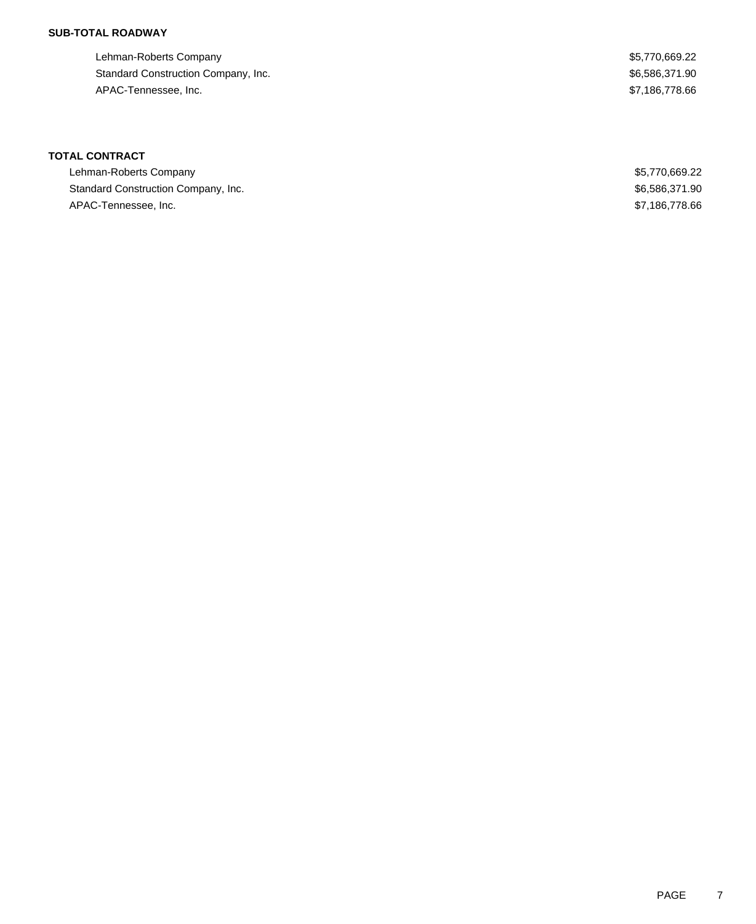### **SUB-TOTAL ROADWAY**

Lehman-Roberts Company **\$5,770,669.22** Standard Construction Company, Inc. 6. The Standard Construction Company, Inc. 6. The Standard Construction Company, Inc. APAC-Tennessee, Inc. \$7,186,778.66

| Lehman-Roberts Company              | \$5,770,669.22 |
|-------------------------------------|----------------|
| Standard Construction Company, Inc. | \$6,586,371.90 |
| APAC-Tennessee, Inc.                | \$7,186,778.66 |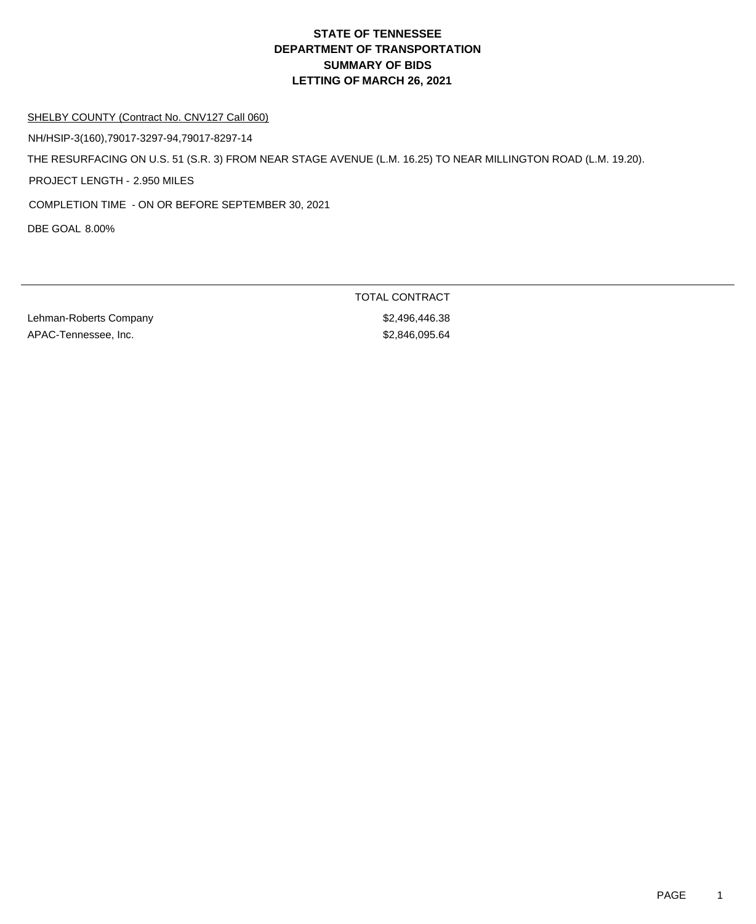#### SHELBY COUNTY (Contract No. CNV127 Call 060)

NH/HSIP-3(160),79017-3297-94,79017-8297-14

THE RESURFACING ON U.S. 51 (S.R. 3) FROM NEAR STAGE AVENUE (L.M. 16.25) TO NEAR MILLINGTON ROAD (L.M. 19.20).

PROJECT LENGTH - 2.950 MILES

COMPLETION TIME - ON OR BEFORE SEPTEMBER 30, 2021

DBE GOAL 8.00%

Lehman-Roberts Company **\$2,496,446.38** APAC-Tennessee, Inc. 6. 2006 12:38:46,095.64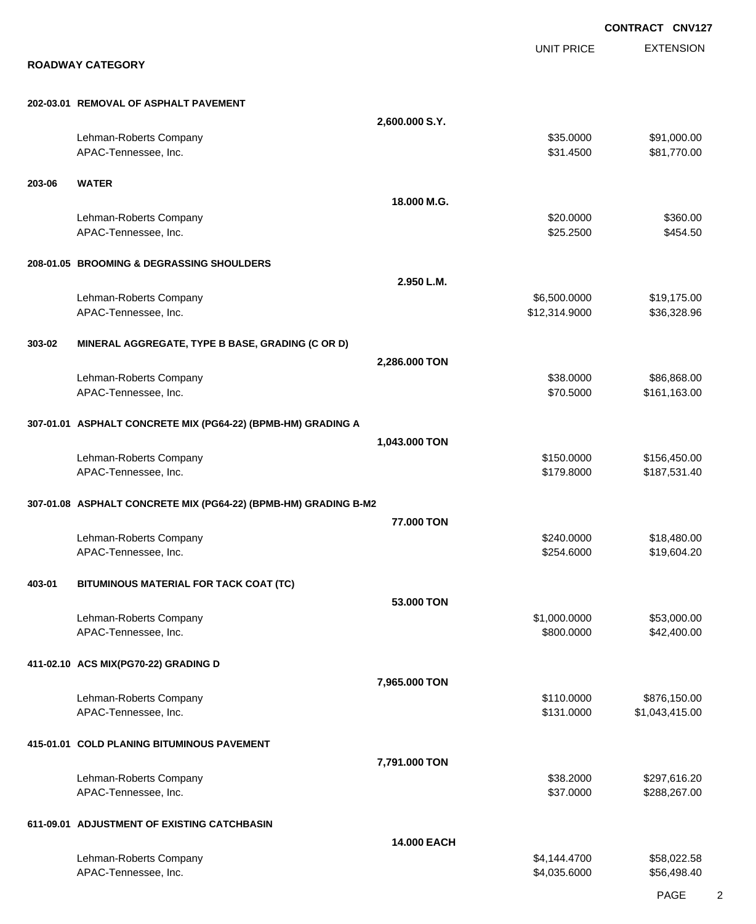EXTENSION **CONTRACT CNV127** UNIT PRICE **ROADWAY CATEGORY 202-03.01 REMOVAL OF ASPHALT PAVEMENT 2,600.000 S.Y.** Lehman-Roberts Company 600 and the company state of the company state of the company state of the state of the state of the state of the state of the state of the state of the state of the state of the state of the state o APAC-Tennessee, Inc. \$31.4500 \$81,770.00 **203-06 WATER 18.000 M.G.** Lehman-Roberts Company **\$20.000 \$360.00** \$360.00 APAC-Tennessee, Inc. \$25.2500 \$454.50 **208-01.05 BROOMING & DEGRASSING SHOULDERS 2.950 L.M.** Lehman-Roberts Company 6.600.0000 \$19,175.00 APAC-Tennessee, Inc. \$12,314.9000 \$36,328.96 **303-02 MINERAL AGGREGATE, TYPE B BASE, GRADING (C OR D) 2,286.000 TON** Lehman-Roberts Company **\$38.000** \$86,868.00 APAC-Tennessee, Inc. \$70.5000 \$161,163.00 **307-01.01 ASPHALT CONCRETE MIX (PG64-22) (BPMB-HM) GRADING A 1,043.000 TON** Lehman-Roberts Company 6. The company state of the company state of the company state of the state of the state of the state of the state of the state of the state of the state of the state of the state of the state of the APAC-Tennessee, Inc. 6. The contract of the contract of the contract of the state of the state of the state of  $$179.8000$  \$187,531.40 **307-01.08 ASPHALT CONCRETE MIX (PG64-22) (BPMB-HM) GRADING B-M2 77.000 TON** Lehman-Roberts Company **\$240.0000 \$18,480.00** APAC-Tennessee, Inc. \$19,604.20 \$19,604.20 \$19,604.20 \$254.6000 \$19,604.20 **403-01 BITUMINOUS MATERIAL FOR TACK COAT (TC) 53.000 TON** Lehman-Roberts Company 653,000.000 \$53,000.000 \$53,000.000 \$53,000.000 \$53,000.00 APAC-Tennessee, Inc. \$800.000 \$42,400.00 **411-02.10 ACS MIX(PG70-22) GRADING D 7,965.000 TON** Lehman-Roberts Company **60 and 100 and 100 and 100 and 100 and 100 and 100 and 100 and 100 and 100 and 100 and 100 and 100 and 100 and 100 and 100 and 100 and 100 and 100 and 100 and 100 and 100 and 100 and 100 and 100 and** APAC-Tennessee, Inc. 6. The contract of the contract of the contract of the state of the state of the state of  $$131.0000$  \$1,043,415.00 **415-01.01 COLD PLANING BITUMINOUS PAVEMENT 7,791.000 TON** Lehman-Roberts Company 6.2000 \$297,616.20 APAC-Tennessee, Inc. \$37.0000 \$288,267.00 **611-09.01 ADJUSTMENT OF EXISTING CATCHBASIN 14.000 EACH** Lehman-Roberts Company **\$4,144.4700** \$58,022.58 APAC-Tennessee, Inc. \$4,035.6000 \$56,498.40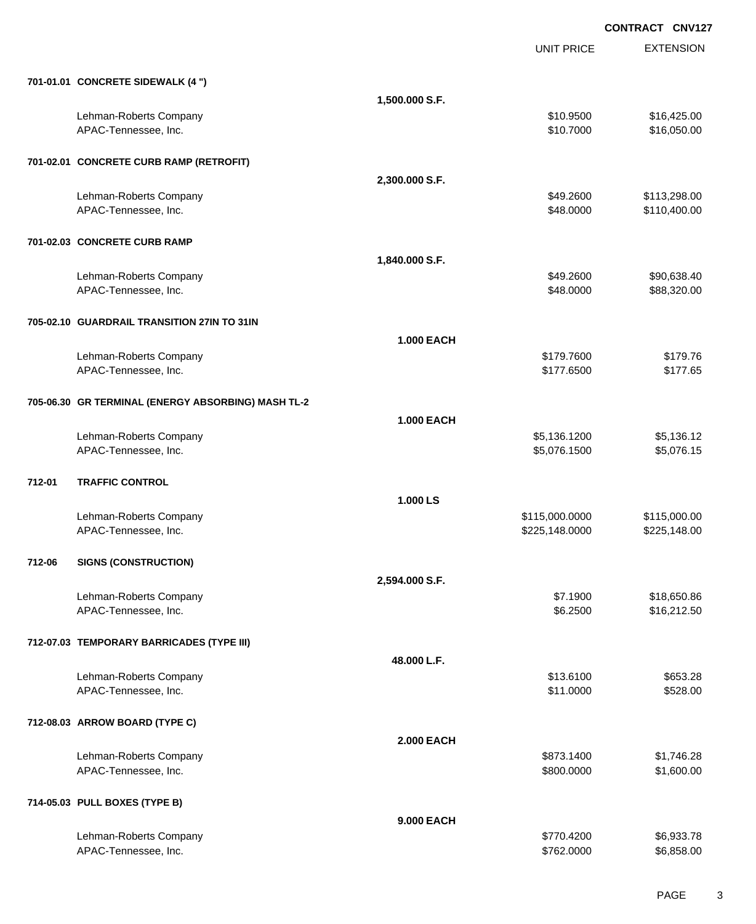EXTENSION **CONTRACT CNV127** UNIT PRICE **701-01.01 CONCRETE SIDEWALK (4 ") 1,500.000 S.F.** Lehman-Roberts Company **616,425.00** \$16,425.00 APAC-Tennessee, Inc. \$10.7000 \$16,050.00 **701-02.01 CONCRETE CURB RAMP (RETROFIT) 2,300.000 S.F.** Lehman-Roberts Company **6113,298.00 \$113,298.00** \$113,298.00 APAC-Tennessee, Inc. 6. The contract of the contract of the contract of the contract of the contract of the contract of the contract of the contract of the contract of the contract of the contract of the contract of the co **701-02.03 CONCRETE CURB RAMP 1,840.000 S.F.** Lehman-Roberts Company 60 and the company state of the company state of the company state of the company state of the company state of the company state of the company state of the company state of the company state of the APAC-Tennessee, Inc. \$48.0000 \$88,320.00 **705-02.10 GUARDRAIL TRANSITION 27IN TO 31IN 1.000 EACH** Lehman-Roberts Company 6179.7600 \$179.7600 \$179.7600 \$179.7600 \$179.7600 \$179.7600 \$179.76 APAC-Tennessee, Inc. \$177.6500 \$177.6500 \$177.6500 \$177.6500 \$177.6500 \$177.6500 \$177.65 **705-06.30 GR TERMINAL (ENERGY ABSORBING) MASH TL-2 1.000 EACH** Lehman-Roberts Company 65,136.12 APAC-Tennessee, Inc. \$5,076.1500 \$5,076.1500 \$5,076.1500 \$5,076.1500 \$5,076.1500 \$5,076.15 **712-01 TRAFFIC CONTROL 1.000 LS** Lehman-Roberts Company 6115,000.000 \$115,000.000 \$115,000.000 \$115,000.000 \$115,000.00 APAC-Tennessee, Inc. 6. 225,148.000 \$225,148.000 \$225,148.000 \$225,148.000 \$225,148.000 \$225,148.00 **712-06 SIGNS (CONSTRUCTION) 2,594.000 S.F.** Lehman-Roberts Company **\$18,650.86 \$18,650.86 \$18,650.86 \$18,650.86 \$18,650.86** APAC-Tennessee, Inc. \$16,212.50 **712-07.03 TEMPORARY BARRICADES (TYPE III) 48.000 L.F.** Lehman-Roberts Company \$13.6100 \$653.28 APAC-Tennessee, Inc. \$11.0000 \$528.00 **712-08.03 ARROW BOARD (TYPE C) 2.000 EACH** Lehman-Roberts Company **6873.1400** \$1,746.28 APAC-Tennessee, Inc. \$800.000 \$1,600.00 \$1,600.00 \$1,600.00 \$1,600.00 \$1,600.00 \$1,600.00 \$1,600.00 \$1,600.00 \$1,600 **714-05.03 PULL BOXES (TYPE B)**

**9.000 EACH** Lehman-Roberts Company **\$28.933.78** Company the state of the state of the state of the state of the state of the state of the state of the state of the state of the state of the state of the state of the state of the state APAC-Tennessee, Inc. \$6,858.00 \$6,858.00 \$6,858.00 \$6,858.00 \$6,858.00 \$6,858.00 \$6,858.00 \$6,858.00 \$6,858.00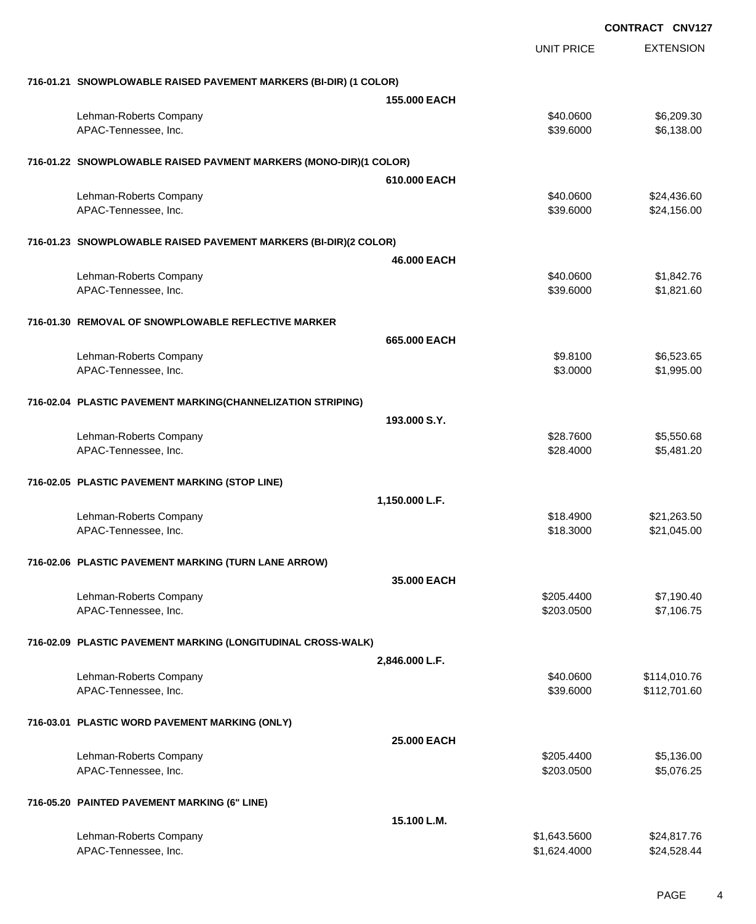EXTENSION **CONTRACT CNV127** UNIT PRICE **716-01.21 SNOWPLOWABLE RAISED PAVEMENT MARKERS (BI-DIR) (1 COLOR) 155.000 EACH** Lehman-Roberts Company 6. 2009.30 APAC-Tennessee, Inc. \$39.6000 \$6,138.00 **716-01.22 SNOWPLOWABLE RAISED PAVMENT MARKERS (MONO-DIR)(1 COLOR) 610.000 EACH** Lehman-Roberts Company 624,436.60 APAC-Tennessee, Inc. \$39.6000 \$24,156.00 **716-01.23 SNOWPLOWABLE RAISED PAVEMENT MARKERS (BI-DIR)(2 COLOR) 46.000 EACH** Lehman-Roberts Company 61,842.76 APAC-Tennessee, Inc. \$39.6000 \$1,821.60 **716-01.30 REMOVAL OF SNOWPLOWABLE REFLECTIVE MARKER 665.000 EACH** Lehman-Roberts Company **60.523.65 Company** \$9.8100 **\$6,523.65 \$9.8100** \$6,523.65 APAC-Tennessee, Inc. \$1,995.00 \$1,995.00 \$1,995.00 \$1,995.00 \$1,995.00 \$1,995.00 \$1,995.00 \$1,995.00 \$1,995.00 **716-02.04 PLASTIC PAVEMENT MARKING(CHANNELIZATION STRIPING) 193.000 S.Y.** Lehman-Roberts Company \$28.7600 \$5,550.68 APAC-Tennessee, Inc. \$28.4000 \$5,481.20 **716-02.05 PLASTIC PAVEMENT MARKING (STOP LINE) 1,150.000 L.F.** Lehman-Roberts Company **618.4900** \$21,263.50 APAC-Tennessee, Inc. \$18.3000 \$21,045.00 **716-02.06 PLASTIC PAVEMENT MARKING (TURN LANE ARROW) 35.000 EACH** Lehman-Roberts Company 67,190.40 APAC-Tennessee, Inc. \$203.0500 \$7,106.75 **716-02.09 PLASTIC PAVEMENT MARKING (LONGITUDINAL CROSS-WALK) 2,846.000 L.F.** Lehman-Roberts Company **6.114,010.76 Company** \$40.0600 \$114,010.76 APAC-Tennessee, Inc. \$39.6000 \$112,701.60 **716-03.01 PLASTIC WORD PAVEMENT MARKING (ONLY) 25.000 EACH** Lehman-Roberts Company **6.136.00 \$205.4400** \$5,136.00 APAC-Tennessee, Inc. \$203.0500 \$5,076.25 **716-05.20 PAINTED PAVEMENT MARKING (6" LINE) 15.100 L.M.** Lehman-Roberts Company **\$1,643.5600** \$24,817.76

APAC-Tennessee, Inc. \$1,624.4000 \$24,528.44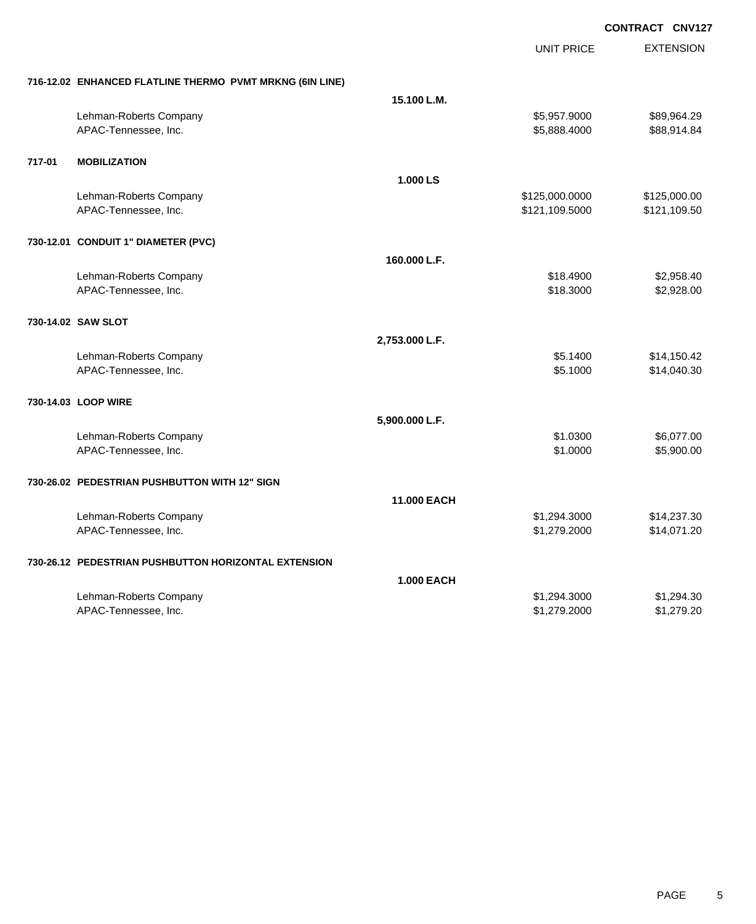UNIT PRICE EXTENSION

|  | 716-12.02 ENHANCED FLATLINE THERMO PVMT MRKNG (6IN LINE) |  |
|--|----------------------------------------------------------|--|
|  |                                                          |  |

|        | 716-12.02 ENHANCED FLATLINE THERMO PVMT MRKNG (6IN LINE) |                   |                |              |
|--------|----------------------------------------------------------|-------------------|----------------|--------------|
|        |                                                          | 15.100 L.M.       |                |              |
|        | Lehman-Roberts Company                                   |                   | \$5,957.9000   | \$89,964.29  |
|        | APAC-Tennessee, Inc.                                     |                   | \$5,888.4000   | \$88,914.84  |
|        |                                                          |                   |                |              |
| 717-01 | <b>MOBILIZATION</b>                                      |                   |                |              |
|        |                                                          | 1.000 LS          |                |              |
|        | Lehman-Roberts Company                                   |                   | \$125,000.0000 | \$125,000.00 |
|        | APAC-Tennessee, Inc.                                     |                   | \$121,109.5000 | \$121,109.50 |
|        |                                                          |                   |                |              |
|        | 730-12.01 CONDUIT 1" DIAMETER (PVC)                      |                   |                |              |
|        |                                                          |                   |                |              |
|        |                                                          | 160.000 L.F.      |                |              |
|        | Lehman-Roberts Company                                   |                   | \$18.4900      | \$2,958.40   |
|        | APAC-Tennessee, Inc.                                     |                   | \$18.3000      | \$2,928.00   |
|        |                                                          |                   |                |              |
|        | 730-14.02 SAW SLOT                                       |                   |                |              |
|        |                                                          | 2,753.000 L.F.    |                |              |
|        | Lehman-Roberts Company                                   |                   | \$5.1400       | \$14,150.42  |
|        | APAC-Tennessee, Inc.                                     |                   | \$5.1000       | \$14,040.30  |
|        |                                                          |                   |                |              |
|        | 730-14.03 LOOP WIRE                                      |                   |                |              |
|        |                                                          | 5,900.000 L.F.    |                |              |
|        | Lehman-Roberts Company                                   |                   | \$1.0300       | \$6,077.00   |
|        | APAC-Tennessee, Inc.                                     |                   | \$1.0000       | \$5,900.00   |
|        |                                                          |                   |                |              |
|        | 730-26.02 PEDESTRIAN PUSHBUTTON WITH 12" SIGN            |                   |                |              |
|        |                                                          |                   |                |              |
|        |                                                          | 11.000 EACH       |                |              |
|        | Lehman-Roberts Company                                   |                   | \$1,294.3000   | \$14,237.30  |
|        | APAC-Tennessee, Inc.                                     |                   | \$1,279.2000   | \$14,071.20  |
|        |                                                          |                   |                |              |
|        | 730-26.12 PEDESTRIAN PUSHBUTTON HORIZONTAL EXTENSION     |                   |                |              |
|        |                                                          | <b>1.000 EACH</b> |                |              |
|        | Lehman-Roberts Company                                   |                   | \$1,294.3000   | \$1,294.30   |
|        | APAC-Tennessee, Inc.                                     |                   | \$1,279.2000   | \$1,279.20   |
|        |                                                          |                   |                |              |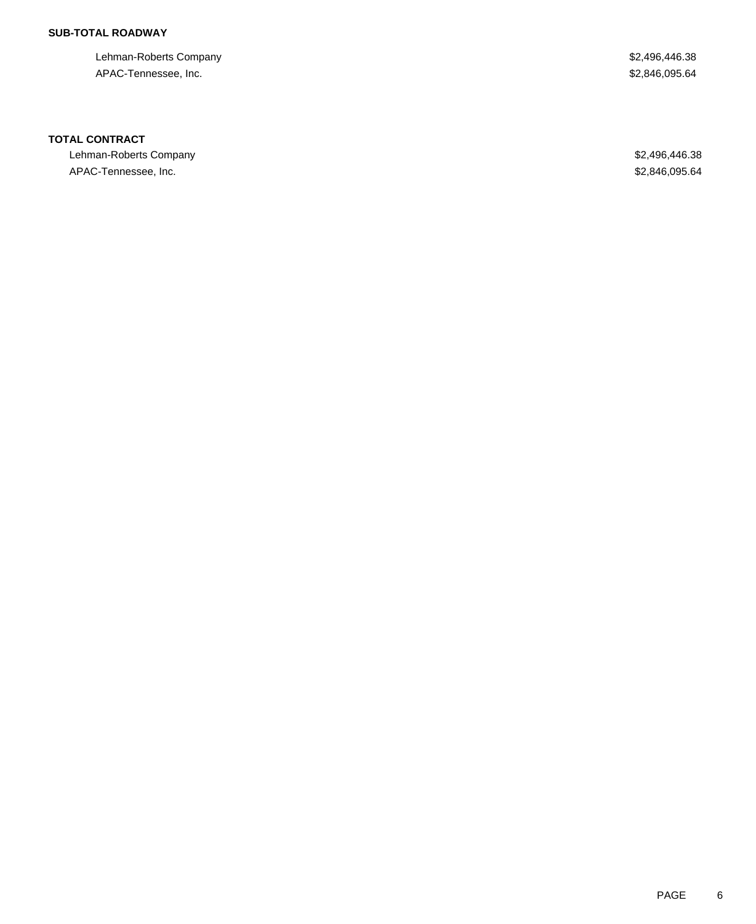### **SUB-TOTAL ROADWAY**

Lehman-Roberts Company **\$2,496,446.38** APAC-Tennessee, Inc. \$2,846,095.64

### **TOTAL CONTRACT**

Lehman-Roberts Company \$2,496,446.38 APAC-Tennessee, Inc. 66 and the set of the set of the set of the set of the set of the set of the set of the set of the set of the set of the set of the set of the set of the set of the set of the set of the set of the set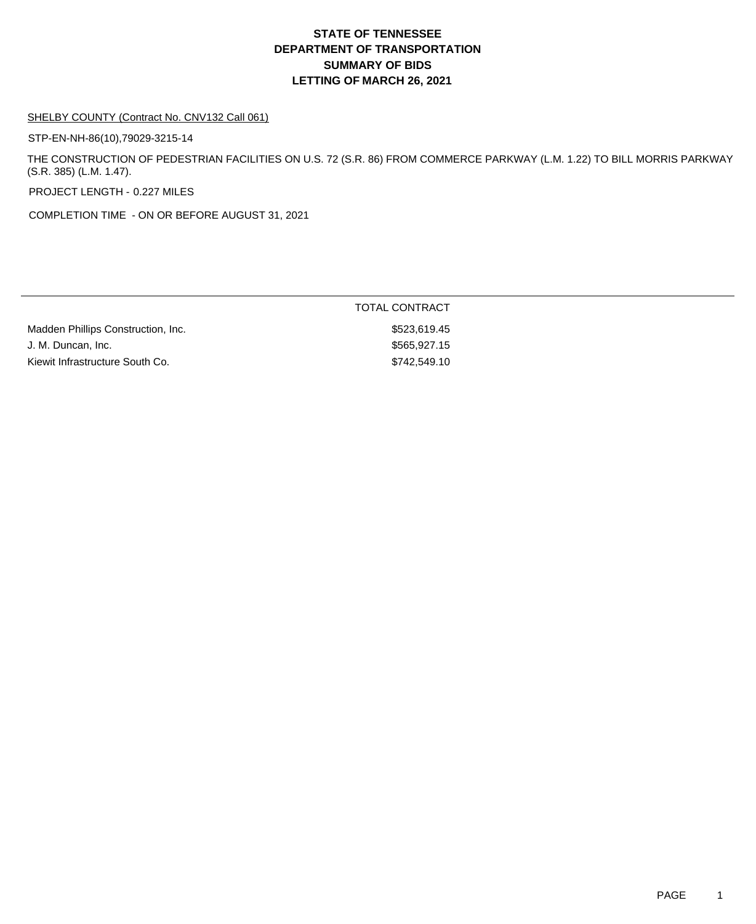#### SHELBY COUNTY (Contract No. CNV132 Call 061)

STP-EN-NH-86(10),79029-3215-14

THE CONSTRUCTION OF PEDESTRIAN FACILITIES ON U.S. 72 (S.R. 86) FROM COMMERCE PARKWAY (L.M. 1.22) TO BILL MORRIS PARKWAY (S.R. 385) (L.M. 1.47).

PROJECT LENGTH - 0.227 MILES

COMPLETION TIME - ON OR BEFORE AUGUST 31, 2021

|                                    | <b>TOTAL CONTRACT</b> |
|------------------------------------|-----------------------|
| Madden Phillips Construction, Inc. | \$523.619.45          |
| J. M. Duncan, Inc.                 | \$565.927.15          |
| Kiewit Infrastructure South Co.    | \$742.549.10          |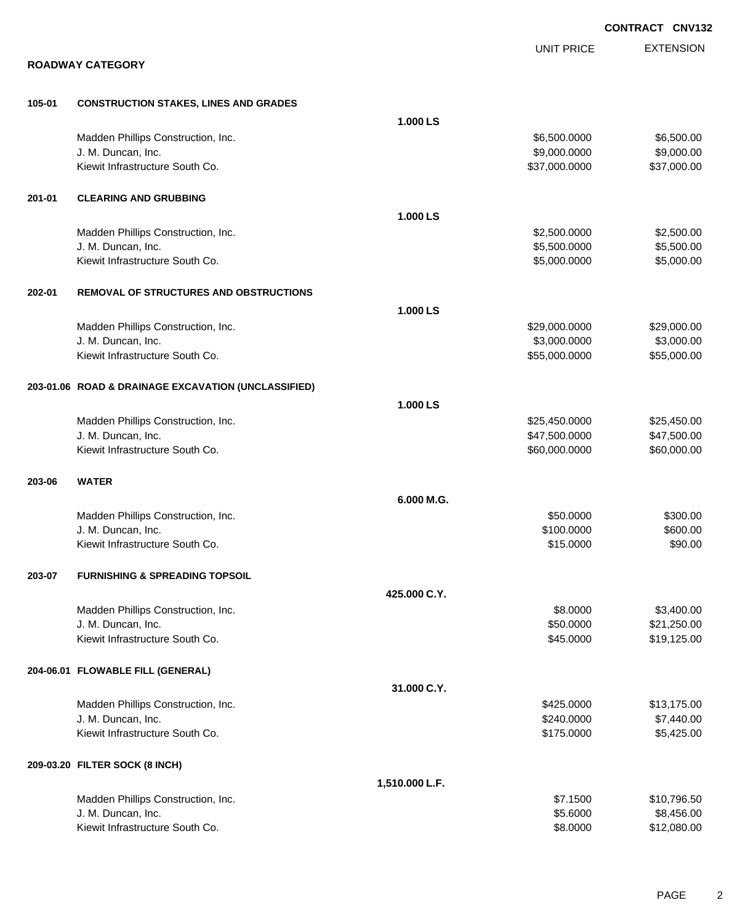|        |                                                     |                |                   | <b>CONTRACT CNV132</b> |
|--------|-----------------------------------------------------|----------------|-------------------|------------------------|
|        |                                                     |                | <b>UNIT PRICE</b> | <b>EXTENSION</b>       |
|        | <b>ROADWAY CATEGORY</b>                             |                |                   |                        |
| 105-01 | <b>CONSTRUCTION STAKES, LINES AND GRADES</b>        |                |                   |                        |
|        |                                                     | 1.000 LS       |                   |                        |
|        | Madden Phillips Construction, Inc.                  |                | \$6,500.0000      | \$6,500.00             |
|        | J. M. Duncan, Inc.                                  |                | \$9,000.0000      | \$9,000.00             |
|        | Kiewit Infrastructure South Co.                     |                | \$37,000.0000     | \$37,000.00            |
| 201-01 | <b>CLEARING AND GRUBBING</b>                        |                |                   |                        |
|        |                                                     | 1.000 LS       |                   |                        |
|        | Madden Phillips Construction, Inc.                  |                | \$2,500.0000      | \$2,500.00             |
|        | J. M. Duncan, Inc.                                  |                | \$5,500.0000      | \$5,500.00             |
|        | Kiewit Infrastructure South Co.                     |                | \$5,000.0000      | \$5,000.00             |
| 202-01 | <b>REMOVAL OF STRUCTURES AND OBSTRUCTIONS</b>       |                |                   |                        |
|        |                                                     | 1.000 LS       |                   |                        |
|        | Madden Phillips Construction, Inc.                  |                | \$29,000.0000     | \$29,000.00            |
|        | J. M. Duncan, Inc.                                  |                | \$3,000.0000      | \$3,000.00             |
|        | Kiewit Infrastructure South Co.                     |                | \$55,000.0000     | \$55,000.00            |
|        | 203-01.06 ROAD & DRAINAGE EXCAVATION (UNCLASSIFIED) |                |                   |                        |
|        |                                                     | 1.000 LS       |                   |                        |
|        | Madden Phillips Construction, Inc.                  |                | \$25,450.0000     | \$25,450.00            |
|        | J. M. Duncan, Inc.                                  |                | \$47,500.0000     | \$47,500.00            |
|        | Kiewit Infrastructure South Co.                     |                | \$60,000.0000     | \$60,000.00            |
| 203-06 | <b>WATER</b>                                        |                |                   |                        |
|        |                                                     | 6.000 M.G.     |                   |                        |
|        | Madden Phillips Construction, Inc.                  |                | \$50.0000         | \$300.00               |
|        | J. M. Duncan, Inc.                                  |                | \$100.0000        | \$600.00               |
|        | Kiewit Infrastructure South Co.                     |                | \$15.0000         | \$90.00                |
| 203-07 | <b>FURNISHING &amp; SPREADING TOPSOIL</b>           |                |                   |                        |
|        |                                                     | 425.000 C.Y.   |                   |                        |
|        | Madden Phillips Construction, Inc.                  |                | \$8.0000          | \$3,400.00             |
|        | J. M. Duncan, Inc.                                  |                | \$50.0000         | \$21,250.00            |
|        | Kiewit Infrastructure South Co.                     |                | \$45.0000         | \$19,125.00            |
|        | 204-06.01 FLOWABLE FILL (GENERAL)                   |                |                   |                        |
|        |                                                     | 31.000 C.Y.    |                   |                        |
|        | Madden Phillips Construction, Inc.                  |                | \$425.0000        | \$13,175.00            |
|        | J. M. Duncan, Inc.                                  |                | \$240.0000        | \$7,440.00             |
|        | Kiewit Infrastructure South Co.                     |                | \$175.0000        | \$5,425.00             |
|        | 209-03.20 FILTER SOCK (8 INCH)                      |                |                   |                        |
|        |                                                     | 1,510.000 L.F. |                   |                        |
|        | Madden Phillips Construction, Inc.                  |                | \$7.1500          | \$10,796.50            |
|        | J. M. Duncan, Inc.                                  |                | \$5.6000          | \$8,456.00             |
|        | Kiewit Infrastructure South Co.                     |                | \$8.0000          | \$12,080.00            |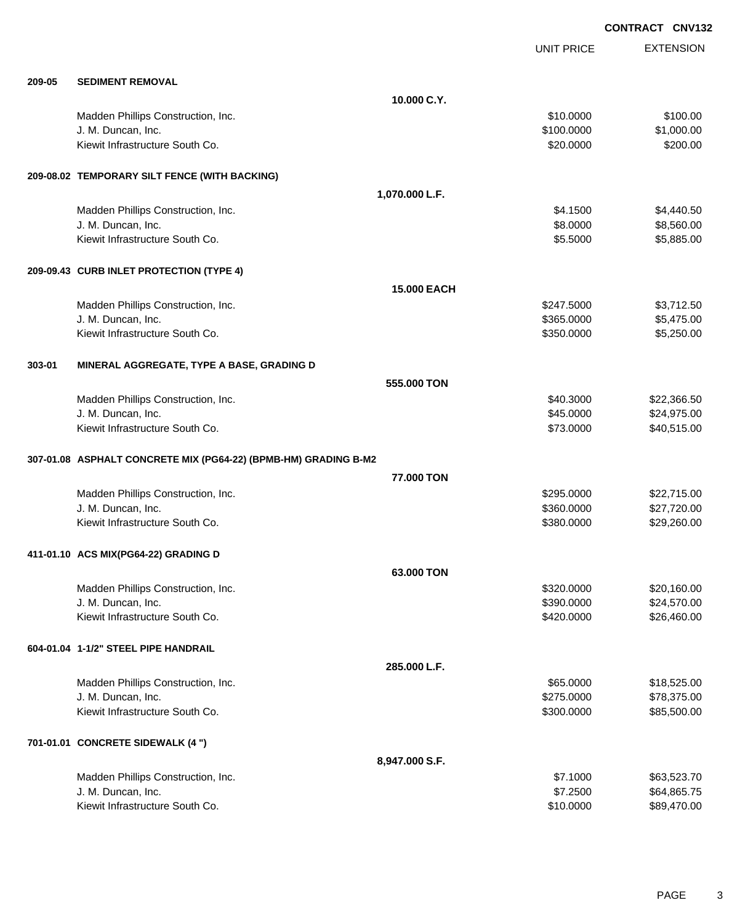EXTENSION **CONTRACT CNV132** UNIT PRICE **209-05 SEDIMENT REMOVAL 10.000 C.Y.** Madden Phillips Construction, Inc. 6100.000 \$100.00 \$100.00 J. M. Duncan, Inc. \$100.0000 \$1,000.00 Kiewit Infrastructure South Co. 6200.000 \$200.000 \$200.000 \$200.000 \$200.00 **209-08.02 TEMPORARY SILT FENCE (WITH BACKING) 1,070.000 L.F.** Madden Phillips Construction, Inc. 66 and the construction, Inc. 66 and the construction, Inc. 66,440.50 J. M. Duncan, Inc. \$8.0000 \$8,560.00 Kiewit Infrastructure South Co. **6.2.5000** \$5,885.00 **209-09.43 CURB INLET PROTECTION (TYPE 4) 15.000 EACH** Madden Phillips Construction, Inc. 63,712.50 J. M. Duncan, Inc. \$365.0000 \$5,475.00 Kiewit Infrastructure South Co. **6. 1999 12:350.000 \$5,250.000** \$5,250.000 \$5,250.00 **303-01 MINERAL AGGREGATE, TYPE A BASE, GRADING D 555.000 TON** Madden Phillips Construction, Inc. 6. The Construction of the Construction, Inc. 6. The Construction of the Construction of the Construction of the Construction, Inc. 6. The Construction of the Construction of the Construc J. M. Duncan, Inc. \$45.0000 \$24,975.00 Kiewit Infrastructure South Co. **\$73.0000 \$40,515.00** \$40,515.00 **307-01.08 ASPHALT CONCRETE MIX (PG64-22) (BPMB-HM) GRADING B-M2 77.000 TON** Madden Phillips Construction, Inc. 6. The Construction of the Construction, Inc. 6295.0000 \$22,715.00 J. M. Duncan, Inc. \$360.0000 \$27,720.00 Kiewit Infrastructure South Co. **\$29,260.00** \$29,260.00 \$29,260.00 **411-01.10 ACS MIX(PG64-22) GRADING D 63.000 TON** Madden Phillips Construction, Inc. 68 and the construction of the construction, Inc. 620,160.00 J. M. Duncan, Inc. \$390.0000 \$24,570.00 Kiewit Infrastructure South Co. **\$26,460.00** \$26,460.00 **604-01.04 1-1/2" STEEL PIPE HANDRAIL 285.000 L.F.** Madden Phillips Construction, Inc. 665.000 \$18,525.00 J. M. Duncan, Inc. \$275.0000 \$78,375.00 Kiewit Infrastructure South Co. **\$300.000 \$85,500.000 \$85,500.00 701-01.01 CONCRETE SIDEWALK (4 ") 8,947.000 S.F.** Madden Phillips Construction, Inc. 663,523.70

J. M. Duncan, Inc. \$7.2500 \$64,865.75 Kiewit Infrastructure South Co. **\$10.000 \$89,470.00** \$89,470.00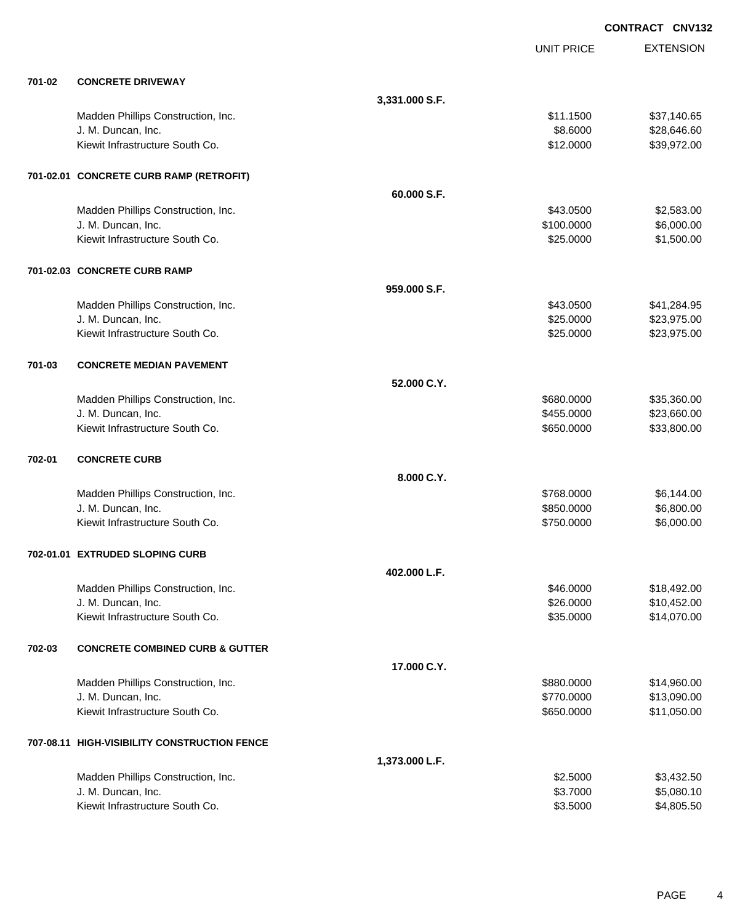EXTENSION **CONTRACT CNV132** UNIT PRICE **701-02 CONCRETE DRIVEWAY 3,331.000 S.F.** Madden Phillips Construction, Inc. 651 and the construction, Inc. 651 and the construction, Inc. 651,140.65 J. M. Duncan, Inc. \$8.6000 \$28,646.60 Kiewit Infrastructure South Co. **\$12.0000 \$39,972.00** \$39,972.00 **701-02.01 CONCRETE CURB RAMP (RETROFIT) 60.000 S.F.** Madden Phillips Construction, Inc. 69. The Construction of the Construction, Inc. 69.583.00 \$2,583.00 J. M. Duncan, Inc. \$100.0000 \$6,000.00 Kiewit Infrastructure South Co. **\$25.0000** \$1,500.00 **701-02.03 CONCRETE CURB RAMP 959.000 S.F.** Madden Phillips Construction, Inc. 641,284.95 J. M. Duncan, Inc. \$25.0000 \$23,975.00 Kiewit Infrastructure South Co. **\$23,975.00** \$23,975.00 **701-03 CONCRETE MEDIAN PAVEMENT 52.000 C.Y.** Madden Phillips Construction, Inc. 6880.000 \$35,360.000 \$35,360.000 \$35,360.000 J. M. Duncan, Inc. \$455.0000 \$23,660.00 Kiewit Infrastructure South Co. **\$33,800.00** \$33,800.00 **702-01 CONCRETE CURB 8.000 C.Y.** Madden Phillips Construction, Inc. 6. 2010 12:30 12:30 13:30 14:30 15:30 15:30 15:30 15:30 15:30 15:30 15:30 15:30 15:30 15:30 15:30 15:30 15:30 15:30 15:30 15:30 15:30 15:30 15:30 15:30 15:30 15:30 15:30 15:30 15:30 15:30 J. M. Duncan, Inc. \$850.0000 \$6,800.00 Kiewit Infrastructure South Co. **Example 20** and the South Co. \$750.0000 \$6,000.00 **702-01.01 EXTRUDED SLOPING CURB 402.000 L.F.** Madden Phillips Construction, Inc. 6. The Construction of the Construction, Inc. 6. The Construction of the Construction of the Construction of the Construction, Inc. 6. The Construction of the Construction of the Construc J. M. Duncan, Inc. \$26.0000 \$10,452.00 Kiewit Infrastructure South Co. **\$14,070.00** \$14,070.00 **702-03 CONCRETE COMBINED CURB & GUTTER 17.000 C.Y.** Madden Phillips Construction, Inc. 6. The Construction of the Construction, Inc. 6. The Construction of the Construction of the Construction of the Construction, Inc. 6. The Construction of the Construction of the Construc J. M. Duncan, Inc. \$770.0000 \$13,090.00 Kiewit Infrastructure South Co. **\$11,050.00** \$11,050.00 **707-08.11 HIGH-VISIBILITY CONSTRUCTION FENCE 1,373.000 L.F.** Madden Phillips Construction, Inc. 63,432.500 \$3,432.500 \$3,432.50 J. M. Duncan, Inc. \$3.7000 \$5,080.10 Kiewit Infrastructure South Co. **6.2.5000** \$4,805.50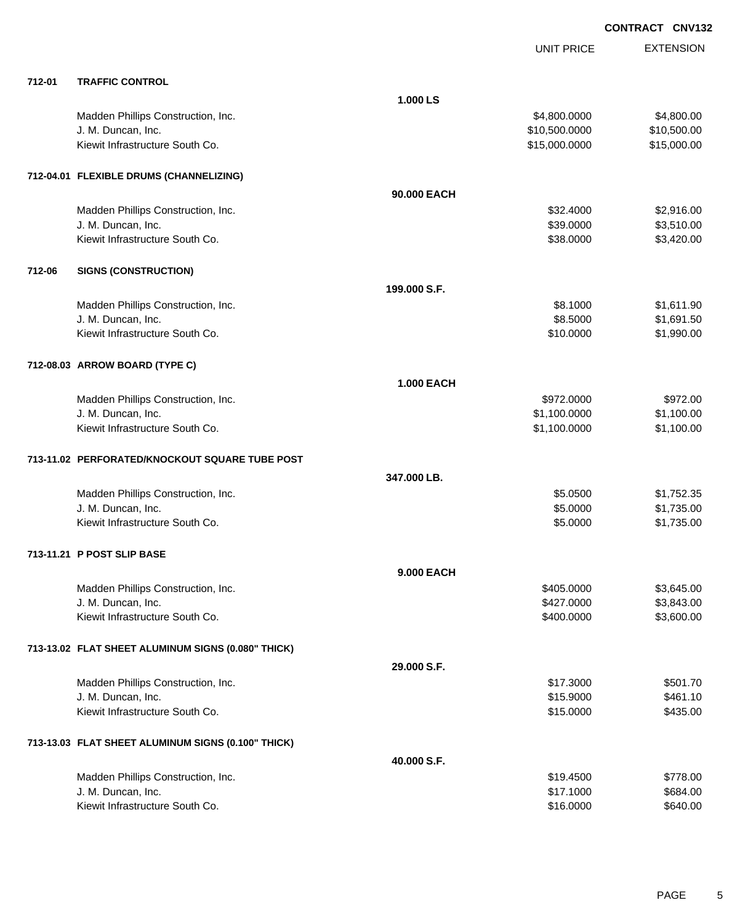|        |                                                    |                   | <b>UNIT PRICE</b> | <b>EXTENSION</b> |
|--------|----------------------------------------------------|-------------------|-------------------|------------------|
| 712-01 | <b>TRAFFIC CONTROL</b>                             |                   |                   |                  |
|        |                                                    | 1.000 LS          |                   |                  |
|        | Madden Phillips Construction, Inc.                 |                   | \$4,800.0000      | \$4,800.00       |
|        | J. M. Duncan, Inc.                                 |                   | \$10,500.0000     | \$10,500.00      |
|        | Kiewit Infrastructure South Co.                    |                   | \$15,000.0000     | \$15,000.00      |
|        | 712-04.01 FLEXIBLE DRUMS (CHANNELIZING)            |                   |                   |                  |
|        |                                                    | 90.000 EACH       |                   |                  |
|        | Madden Phillips Construction, Inc.                 |                   | \$32.4000         | \$2,916.00       |
|        | J. M. Duncan, Inc.                                 |                   | \$39.0000         | \$3,510.00       |
|        | Kiewit Infrastructure South Co.                    |                   | \$38.0000         | \$3,420.00       |
| 712-06 | <b>SIGNS (CONSTRUCTION)</b>                        |                   |                   |                  |
|        |                                                    | 199,000 S.F.      |                   |                  |
|        | Madden Phillips Construction, Inc.                 |                   | \$8.1000          | \$1,611.90       |
|        | J. M. Duncan, Inc.                                 |                   | \$8.5000          | \$1,691.50       |
|        | Kiewit Infrastructure South Co.                    |                   | \$10.0000         | \$1,990.00       |
|        | 712-08.03 ARROW BOARD (TYPE C)                     |                   |                   |                  |
|        |                                                    | <b>1.000 EACH</b> |                   |                  |
|        | Madden Phillips Construction, Inc.                 |                   | \$972.0000        | \$972.00         |
|        | J. M. Duncan, Inc.                                 |                   | \$1,100.0000      | \$1,100.00       |
|        | Kiewit Infrastructure South Co.                    |                   | \$1,100.0000      | \$1,100.00       |
|        | 713-11.02 PERFORATED/KNOCKOUT SQUARE TUBE POST     |                   |                   |                  |
|        |                                                    | 347.000 LB.       |                   |                  |
|        | Madden Phillips Construction, Inc.                 |                   | \$5.0500          | \$1,752.35       |
|        | J. M. Duncan, Inc.                                 |                   | \$5.0000          | \$1,735.00       |
|        | Kiewit Infrastructure South Co.                    |                   | \$5.0000          | \$1,735.00       |
|        | 713-11.21 P POST SLIP BASE                         |                   |                   |                  |
|        |                                                    | 9.000 EACH        |                   |                  |
|        | Madden Phillips Construction, Inc.                 |                   | \$405.0000        | \$3,645.00       |
|        | J. M. Duncan, Inc.                                 |                   | \$427.0000        | \$3,843.00       |
|        | Kiewit Infrastructure South Co.                    |                   | \$400.0000        | \$3,600.00       |
|        | 713-13.02 FLAT SHEET ALUMINUM SIGNS (0.080" THICK) |                   |                   |                  |
|        |                                                    | 29.000 S.F.       |                   |                  |
|        | Madden Phillips Construction, Inc.                 |                   | \$17.3000         | \$501.70         |
|        | J. M. Duncan, Inc.                                 |                   | \$15.9000         | \$461.10         |
|        | Kiewit Infrastructure South Co.                    |                   | \$15.0000         | \$435.00         |
|        | 713-13.03 FLAT SHEET ALUMINUM SIGNS (0.100" THICK) |                   |                   |                  |
|        |                                                    | 40.000 S.F.       |                   |                  |
|        | Madden Phillips Construction, Inc.                 |                   | \$19.4500         | \$778.00         |
|        | J. M. Duncan, Inc.                                 |                   | \$17.1000         | \$684.00         |
|        | Kiewit Infrastructure South Co.                    |                   | \$16.0000         | \$640.00         |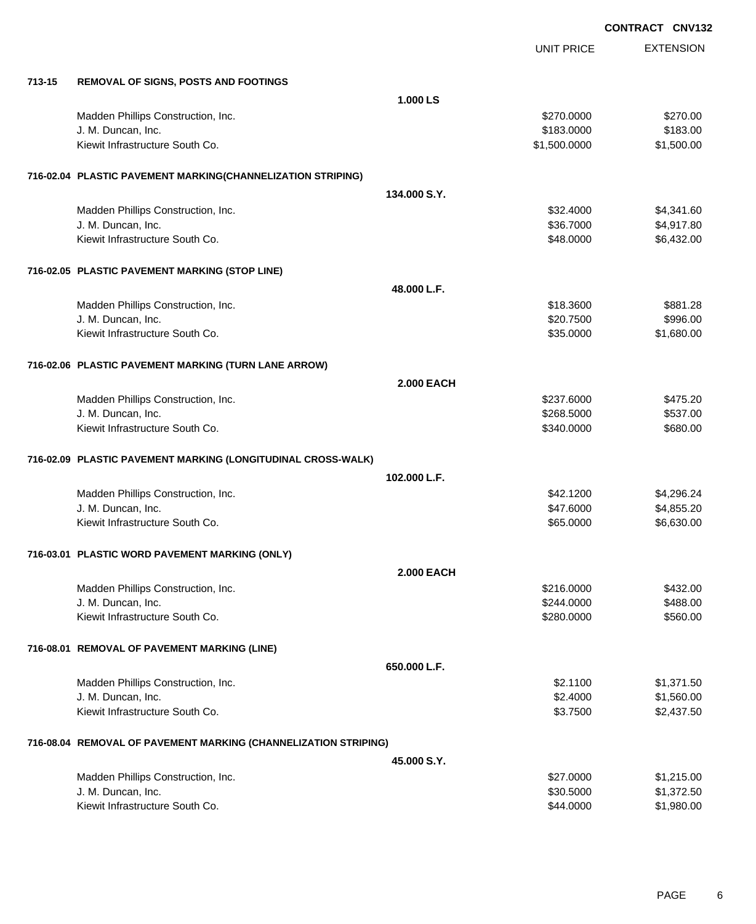|        |                                                                 |                   |                   | CONTRACT CNV132  |
|--------|-----------------------------------------------------------------|-------------------|-------------------|------------------|
|        |                                                                 |                   | <b>UNIT PRICE</b> | <b>EXTENSION</b> |
| 713-15 | <b>REMOVAL OF SIGNS, POSTS AND FOOTINGS</b>                     |                   |                   |                  |
|        |                                                                 | 1.000 LS          |                   |                  |
|        | Madden Phillips Construction, Inc.                              |                   | \$270.0000        | \$270.00         |
|        | J. M. Duncan, Inc.                                              |                   | \$183.0000        | \$183.00         |
|        | Kiewit Infrastructure South Co.                                 |                   | \$1,500.0000      | \$1,500.00       |
|        | 716-02.04 PLASTIC PAVEMENT MARKING(CHANNELIZATION STRIPING)     |                   |                   |                  |
|        |                                                                 | 134.000 S.Y.      |                   |                  |
|        | Madden Phillips Construction, Inc.                              |                   | \$32.4000         | \$4,341.60       |
|        | J. M. Duncan, Inc.                                              |                   | \$36.7000         | \$4,917.80       |
|        | Kiewit Infrastructure South Co.                                 |                   | \$48.0000         | \$6,432.00       |
|        | 716-02.05 PLASTIC PAVEMENT MARKING (STOP LINE)                  |                   |                   |                  |
|        |                                                                 | 48.000 L.F.       |                   |                  |
|        | Madden Phillips Construction, Inc.                              |                   | \$18.3600         | \$881.28         |
|        | J. M. Duncan, Inc.                                              |                   | \$20.7500         | \$996.00         |
|        | Kiewit Infrastructure South Co.                                 |                   | \$35.0000         | \$1,680.00       |
|        | 716-02.06 PLASTIC PAVEMENT MARKING (TURN LANE ARROW)            |                   |                   |                  |
|        |                                                                 | <b>2.000 EACH</b> |                   |                  |
|        | Madden Phillips Construction, Inc.                              |                   | \$237.6000        | \$475.20         |
|        | J. M. Duncan, Inc.                                              |                   | \$268.5000        | \$537.00         |
|        | Kiewit Infrastructure South Co.                                 |                   | \$340.0000        | \$680.00         |
|        | 716-02.09 PLASTIC PAVEMENT MARKING (LONGITUDINAL CROSS-WALK)    |                   |                   |                  |
|        |                                                                 | 102.000 L.F.      |                   |                  |
|        | Madden Phillips Construction, Inc.                              |                   | \$42.1200         | \$4,296.24       |
|        | J. M. Duncan, Inc.                                              |                   | \$47.6000         | \$4,855.20       |
|        | Kiewit Infrastructure South Co.                                 |                   | \$65.0000         | \$6,630.00       |
|        | 716-03.01 PLASTIC WORD PAVEMENT MARKING (ONLY)                  |                   |                   |                  |
|        |                                                                 | <b>2.000 EACH</b> |                   |                  |
|        | Madden Phillips Construction, Inc.                              |                   | \$216.0000        | \$432.00         |
|        | J. M. Duncan, Inc.                                              |                   | \$244.0000        | \$488.00         |
|        | Kiewit Infrastructure South Co.                                 |                   | \$280.0000        | \$560.00         |
|        | 716-08.01 REMOVAL OF PAVEMENT MARKING (LINE)                    |                   |                   |                  |
|        |                                                                 | 650.000 L.F.      |                   |                  |
|        | Madden Phillips Construction, Inc.                              |                   | \$2.1100          | \$1,371.50       |
|        | J. M. Duncan, Inc.                                              |                   | \$2.4000          | \$1,560.00       |
|        | Kiewit Infrastructure South Co.                                 |                   | \$3.7500          | \$2,437.50       |
|        | 716-08.04 REMOVAL OF PAVEMENT MARKING (CHANNELIZATION STRIPING) |                   |                   |                  |
|        |                                                                 | 45.000 S.Y.       |                   |                  |
|        | Madden Phillips Construction, Inc.                              |                   | \$27.0000         | \$1,215.00       |
|        | J. M. Duncan, Inc.                                              |                   | \$30.5000         | \$1,372.50       |
|        | Kiewit Infrastructure South Co.                                 |                   | \$44.0000         | \$1,980.00       |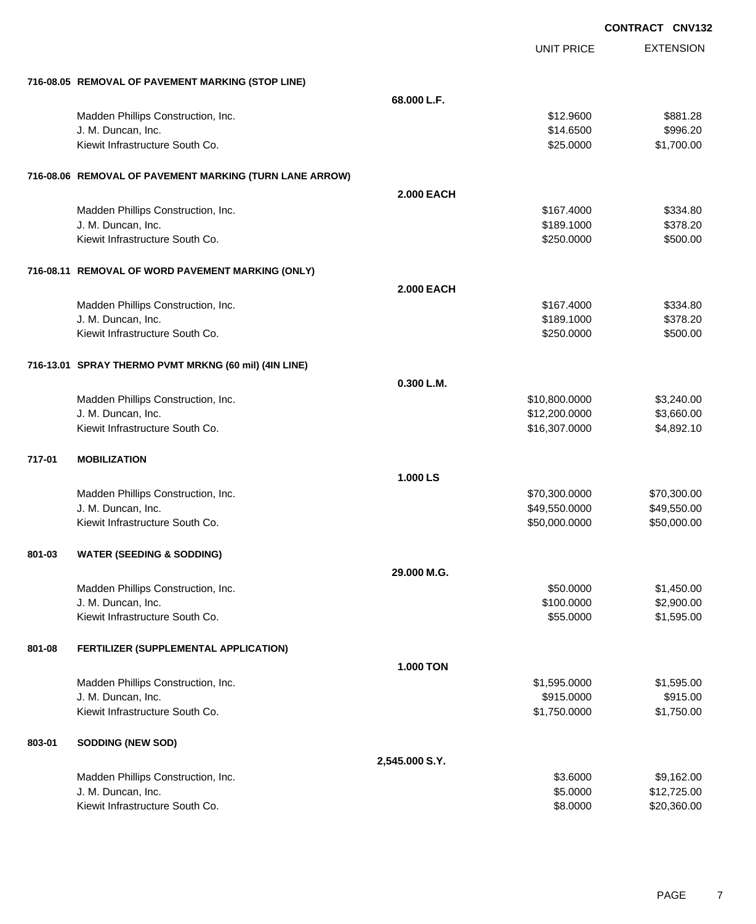|        |                                                         |                   |                   | <b>CONTRACT CNV132</b> |
|--------|---------------------------------------------------------|-------------------|-------------------|------------------------|
|        |                                                         |                   | <b>UNIT PRICE</b> | <b>EXTENSION</b>       |
|        | 716-08.05 REMOVAL OF PAVEMENT MARKING (STOP LINE)       |                   |                   |                        |
|        |                                                         | 68.000 L.F.       |                   |                        |
|        | Madden Phillips Construction, Inc.                      |                   | \$12.9600         | \$881.28               |
|        | J. M. Duncan, Inc.                                      |                   | \$14.6500         | \$996.20               |
|        | Kiewit Infrastructure South Co.                         |                   | \$25.0000         | \$1,700.00             |
|        | 716-08.06 REMOVAL OF PAVEMENT MARKING (TURN LANE ARROW) |                   |                   |                        |
|        |                                                         | <b>2.000 EACH</b> |                   |                        |
|        | Madden Phillips Construction, Inc.                      |                   | \$167.4000        | \$334.80               |
|        | J. M. Duncan, Inc.                                      |                   | \$189.1000        | \$378.20               |
|        | Kiewit Infrastructure South Co.                         |                   | \$250.0000        | \$500.00               |
|        | 716-08.11 REMOVAL OF WORD PAVEMENT MARKING (ONLY)       |                   |                   |                        |
|        |                                                         | <b>2.000 EACH</b> |                   |                        |
|        | Madden Phillips Construction, Inc.                      |                   | \$167.4000        | \$334.80               |
|        | J. M. Duncan, Inc.                                      |                   | \$189.1000        | \$378.20               |
|        | Kiewit Infrastructure South Co.                         |                   | \$250.0000        | \$500.00               |
|        | 716-13.01 SPRAY THERMO PVMT MRKNG (60 mil) (4IN LINE)   |                   |                   |                        |
|        |                                                         | 0.300 L.M.        |                   |                        |
|        | Madden Phillips Construction, Inc.                      |                   | \$10,800.0000     | \$3,240.00             |
|        | J. M. Duncan, Inc.                                      |                   | \$12,200.0000     | \$3,660.00             |
|        | Kiewit Infrastructure South Co.                         |                   | \$16,307.0000     | \$4,892.10             |
| 717-01 | <b>MOBILIZATION</b>                                     |                   |                   |                        |
|        |                                                         | 1.000LS           |                   |                        |
|        | Madden Phillips Construction, Inc.                      |                   | \$70,300.0000     | \$70,300.00            |
|        | J. M. Duncan, Inc.                                      |                   | \$49,550.0000     | \$49,550.00            |
|        | Kiewit Infrastructure South Co.                         |                   | \$50,000.0000     | \$50,000.00            |
| 801-03 | <b>WATER (SEEDING &amp; SODDING)</b>                    |                   |                   |                        |
|        |                                                         | 29.000 M.G.       |                   |                        |
|        | Madden Phillips Construction, Inc.                      |                   | \$50.0000         | \$1,450.00             |
|        | J. M. Duncan, Inc.                                      |                   | \$100.0000        | \$2,900.00             |
|        | Kiewit Infrastructure South Co.                         |                   | \$55.0000         | \$1,595.00             |
| 801-08 | FERTILIZER (SUPPLEMENTAL APPLICATION)                   |                   |                   |                        |
|        |                                                         | <b>1.000 TON</b>  |                   |                        |
|        | Madden Phillips Construction, Inc.                      |                   | \$1,595.0000      | \$1,595.00             |
|        | J. M. Duncan, Inc.                                      |                   | \$915.0000        | \$915.00               |
|        | Kiewit Infrastructure South Co.                         |                   | \$1,750.0000      | \$1,750.00             |
| 803-01 | <b>SODDING (NEW SOD)</b>                                |                   |                   |                        |
|        |                                                         | 2,545.000 S.Y.    |                   |                        |
|        | Madden Phillips Construction, Inc.                      |                   | \$3.6000          | \$9,162.00             |
|        | J. M. Duncan, Inc.                                      |                   | \$5.0000          | \$12,725.00            |
|        | Kiewit Infrastructure South Co.                         |                   | \$8.0000          | \$20,360.00            |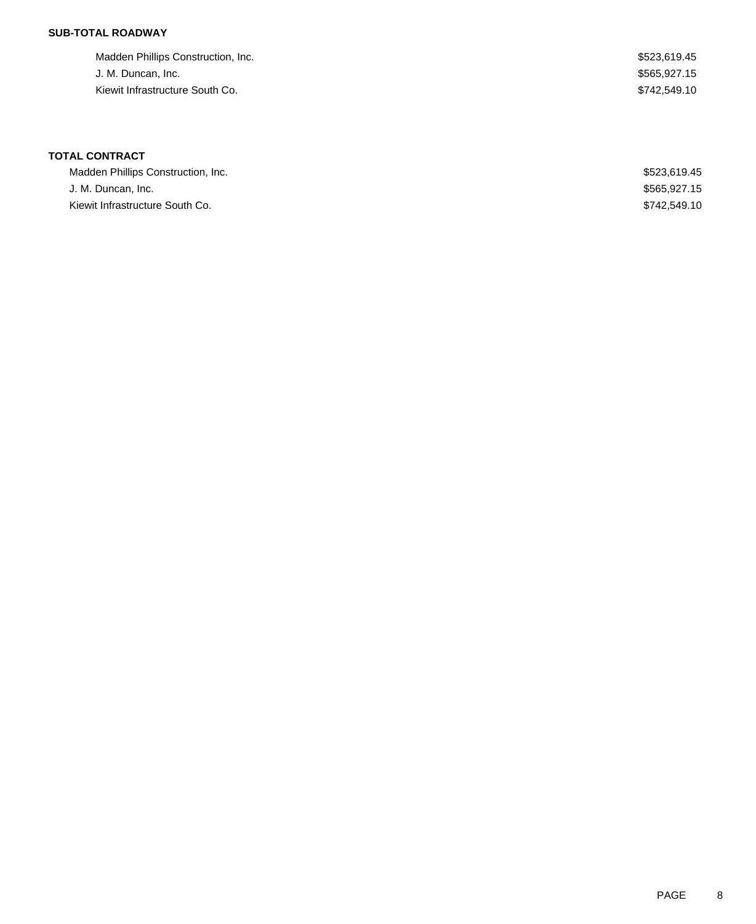### **SUB-TOTAL ROADWAY**

| Madden Phillips Construction, Inc. | \$523.619.45 |
|------------------------------------|--------------|
| J. M. Duncan, Inc.                 | \$565.927.15 |
| Kiewit Infrastructure South Co.    | \$742.549.10 |

| Madden Phillips Construction, Inc. | \$523,619,45 |
|------------------------------------|--------------|
| J. M. Duncan, Inc.                 | \$565,927.15 |
| Kiewit Infrastructure South Co.    | \$742,549.10 |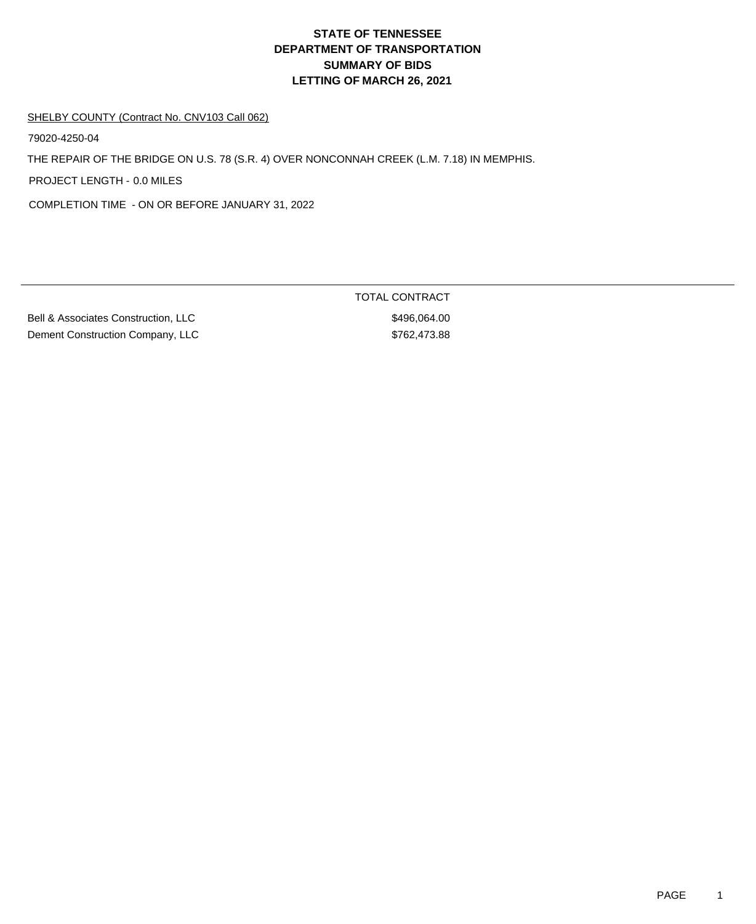#### SHELBY COUNTY (Contract No. CNV103 Call 062)

79020-4250-04

THE REPAIR OF THE BRIDGE ON U.S. 78 (S.R. 4) OVER NONCONNAH CREEK (L.M. 7.18) IN MEMPHIS.

PROJECT LENGTH - 0.0 MILES

COMPLETION TIME - ON OR BEFORE JANUARY 31, 2022

Bell & Associates Construction, LLC \$496,064.00 Dement Construction Company, LLC \$762,473.88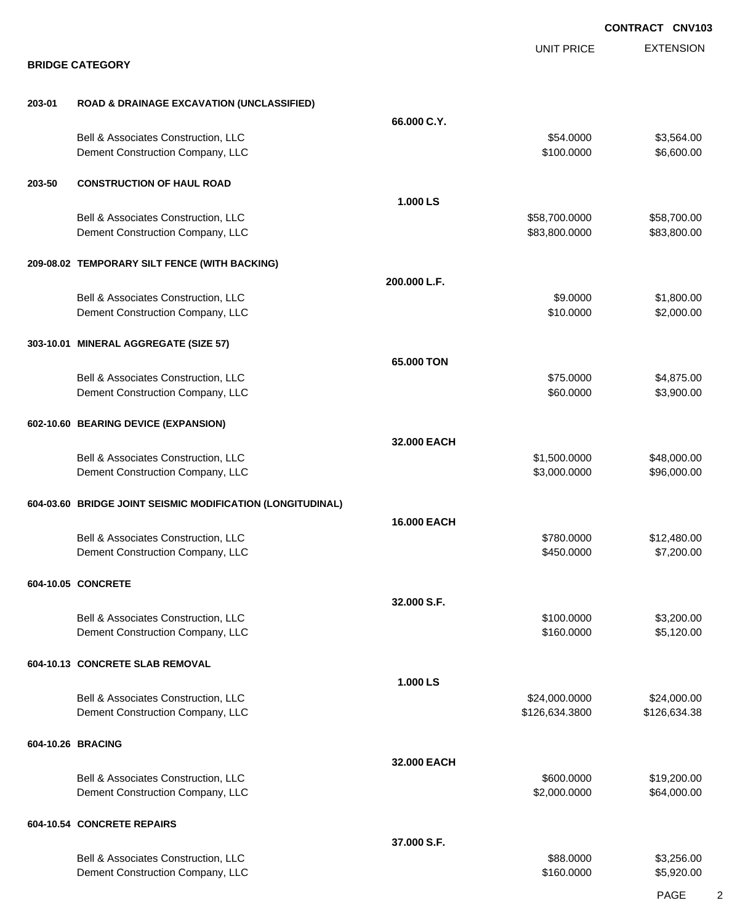|        |                                                                         |              |                                 | <b>CONTRACT CNV103</b>      |
|--------|-------------------------------------------------------------------------|--------------|---------------------------------|-----------------------------|
|        | <b>BRIDGE CATEGORY</b>                                                  |              | <b>UNIT PRICE</b>               | <b>EXTENSION</b>            |
|        |                                                                         |              |                                 |                             |
| 203-01 | <b>ROAD &amp; DRAINAGE EXCAVATION (UNCLASSIFIED)</b>                    |              |                                 |                             |
|        |                                                                         | 66.000 C.Y.  |                                 |                             |
|        | Bell & Associates Construction, LLC<br>Dement Construction Company, LLC |              | \$54.0000<br>\$100.0000         | \$3,564.00<br>\$6,600.00    |
| 203-50 | <b>CONSTRUCTION OF HAUL ROAD</b>                                        |              |                                 |                             |
|        |                                                                         | 1.000 LS     |                                 |                             |
|        | Bell & Associates Construction, LLC<br>Dement Construction Company, LLC |              | \$58,700.0000<br>\$83,800.0000  | \$58,700.00<br>\$83,800.00  |
|        | 209-08.02 TEMPORARY SILT FENCE (WITH BACKING)                           |              |                                 |                             |
|        |                                                                         | 200.000 L.F. |                                 |                             |
|        | Bell & Associates Construction, LLC<br>Dement Construction Company, LLC |              | \$9.0000<br>\$10.0000           | \$1,800.00<br>\$2,000.00    |
|        | 303-10.01 MINERAL AGGREGATE (SIZE 57)                                   |              |                                 |                             |
|        |                                                                         | 65,000 TON   |                                 |                             |
|        | Bell & Associates Construction, LLC                                     |              | \$75.0000                       | \$4,875.00                  |
|        | Dement Construction Company, LLC                                        |              | \$60.0000                       | \$3,900.00                  |
|        | 602-10.60 BEARING DEVICE (EXPANSION)                                    |              |                                 |                             |
|        |                                                                         | 32.000 EACH  |                                 |                             |
|        | Bell & Associates Construction, LLC<br>Dement Construction Company, LLC |              | \$1,500.0000<br>\$3,000.0000    | \$48,000.00<br>\$96,000.00  |
|        | 604-03.60 BRIDGE JOINT SEISMIC MODIFICATION (LONGITUDINAL)              |              |                                 |                             |
|        |                                                                         | 16.000 EACH  |                                 |                             |
|        | Bell & Associates Construction, LLC<br>Dement Construction Company, LLC |              | \$780.0000<br>\$450.0000        | \$12,480.00<br>\$7,200.00   |
|        | 604-10.05 CONCRETE                                                      |              |                                 |                             |
|        |                                                                         | 32.000 S.F.  |                                 |                             |
|        | Bell & Associates Construction, LLC<br>Dement Construction Company, LLC |              | \$100.0000<br>\$160.0000        | \$3,200.00<br>\$5,120.00    |
|        | 604-10.13 CONCRETE SLAB REMOVAL                                         |              |                                 |                             |
|        |                                                                         | 1.000 LS     |                                 |                             |
|        | Bell & Associates Construction, LLC<br>Dement Construction Company, LLC |              | \$24,000.0000<br>\$126,634.3800 | \$24,000.00<br>\$126,634.38 |
|        | 604-10.26 BRACING                                                       |              |                                 |                             |
|        |                                                                         | 32.000 EACH  |                                 |                             |
|        | Bell & Associates Construction, LLC<br>Dement Construction Company, LLC |              | \$600.0000<br>\$2,000.0000      | \$19,200.00<br>\$64,000.00  |
|        | 604-10.54 CONCRETE REPAIRS                                              |              |                                 |                             |
|        |                                                                         | 37.000 S.F.  |                                 |                             |
|        | Bell & Associates Construction, LLC<br>Dement Construction Company, LLC |              | \$88.0000<br>\$160.0000         | \$3,256.00<br>\$5,920.00    |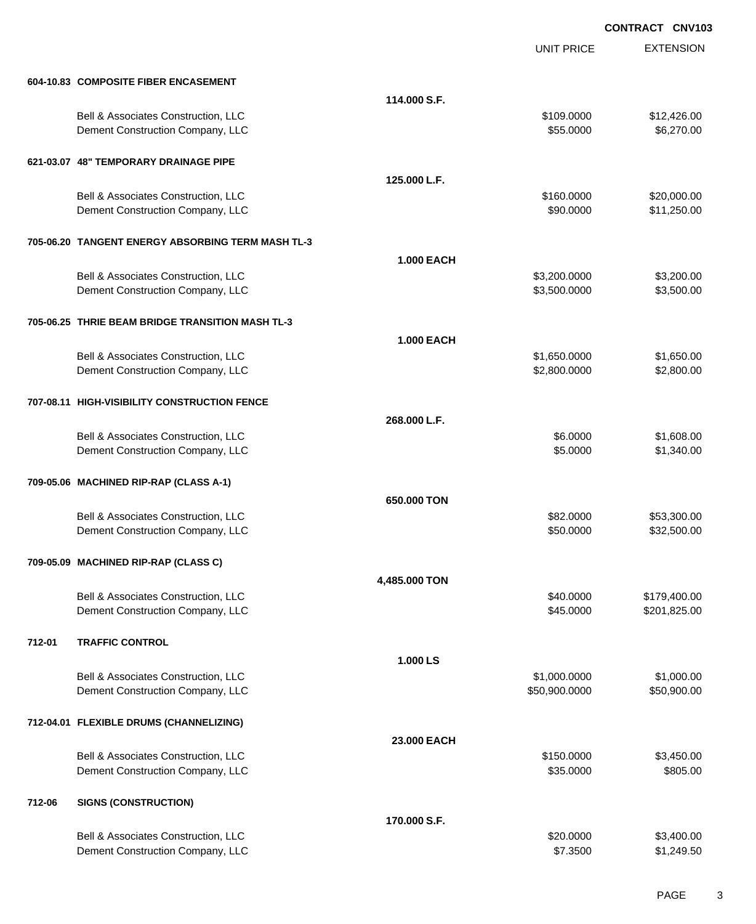EXTENSION **CONTRACT CNV103** UNIT PRICE **604-10.83 COMPOSITE FIBER ENCASEMENT 114.000 S.F.** Bell & Associates Construction, LLC 612,426.00 Dement Construction Company, LLC 6. The state of the state of the state of the state of the state of the state of the state of the state of the state of the state of the state of the state of the state of the state of the **621-03.07 48" TEMPORARY DRAINAGE PIPE 125.000 L.F.** Bell & Associates Construction, LLC 60000 \$20,000.00 \$20,000.00 Dement Construction Company, LLC **but a set of the set of the set of the set of the set of the set of the set of the set of the set of the set of the set of the set of the set of the set of the set of the set of the set of 705-06.20 TANGENT ENERGY ABSORBING TERM MASH TL-3 1.000 EACH** Bell & Associates Construction, LLC 63,200.000 \$3,200.000 \$3,200.000 \$3,200.000 Dement Construction Company, LLC 6 and the state of the state of the state  $$3,500.000$  \$3,500.000 \$3,500.00 **705-06.25 THRIE BEAM BRIDGE TRANSITION MASH TL-3 1.000 EACH** Bell & Associates Construction, LLC 60000 \$1,650.000 \$1,650.000 \$1,650.000 Dement Construction Company, LLC 6 and the construction Company, LLC 6 and the construction Company, LLC 6 and the construction of  $\frac{1}{2}$ ,800.000 \$2,800.000 \$2,800.000 \$2,800.000 \$2,800.000 \$2,800.00 **707-08.11 HIGH-VISIBILITY CONSTRUCTION FENCE 268.000 L.F.** Bell & Associates Construction, LLC 68.000 \$1,608.00 Dement Construction Company, LLC 6. The construction Company, LLC 6. The construction Company, LLC 6. The construction of the construction of the construction Company, LLC 6. The construction of the construction of the con **709-05.06 MACHINED RIP-RAP (CLASS A-1) 650.000 TON** Bell & Associates Construction, LLC 60000 \$53,300.00 Dement Construction Company, LLC 60000 \$32,500.00 **709-05.09 MACHINED RIP-RAP (CLASS C) 4,485.000 TON** Bell & Associates Construction, LLC 60000 \$179,400.00 Dement Construction Company, LLC 6 and the construction Company, LLC 6 and the construction Company, LLC **712-01 TRAFFIC CONTROL 1.000 LS** Bell & Associates Construction, LLC 600000 \$1,000.000 \$1,000.000 \$1,000.000 Dement Construction Company, LLC 6000000 \$50,900.000 \$50,900.000 \$50,900.000 \$50,900.00 **712-04.01 FLEXIBLE DRUMS (CHANNELIZING) 23.000 EACH** Bell & Associates Construction, LLC 6 and the state of the state of the state  $$150.0000$  \$3,450.00 Dement Construction Company, LLC 6 and the state of the state of the state of the state of the state of the state of the state of the state of the state of the state of the state of the state of the state of the state of t **712-06 SIGNS (CONSTRUCTION) 170.000 S.F.** Bell & Associates Construction, LLC 60000 \$3,400.00

Dement Construction Company, LLC **6.1.249.50** \$1,249.50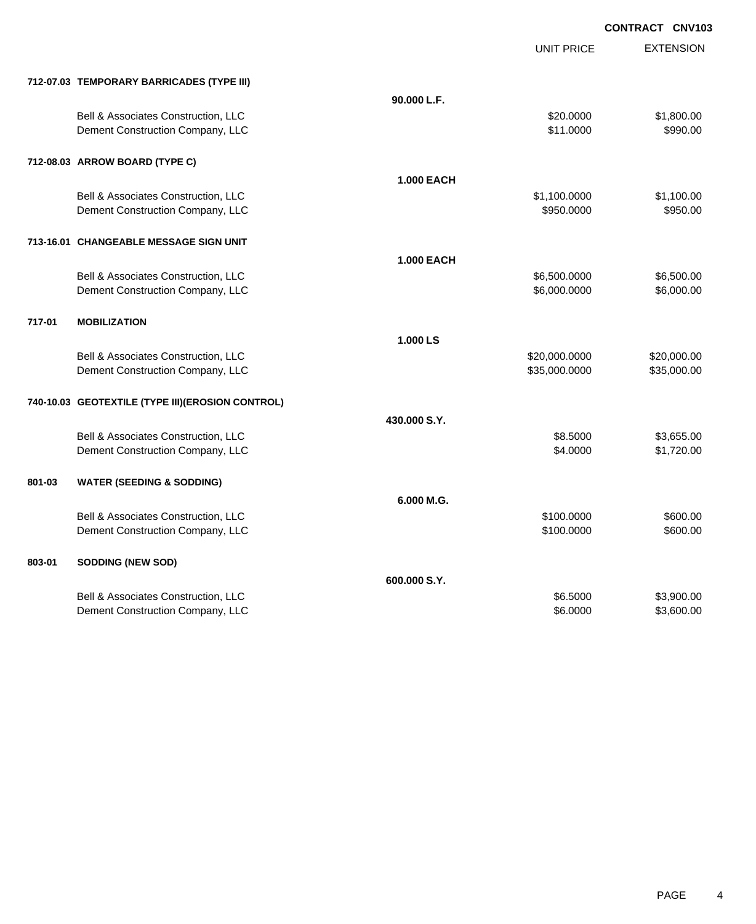|        |                                                  |                   | <b>UNIT PRICE</b> | <b>EXTENSION</b> |
|--------|--------------------------------------------------|-------------------|-------------------|------------------|
|        | 712-07.03 TEMPORARY BARRICADES (TYPE III)        |                   |                   |                  |
|        |                                                  | 90.000 L.F.       |                   |                  |
|        | Bell & Associates Construction, LLC              |                   | \$20.0000         | \$1,800.00       |
|        | Dement Construction Company, LLC                 |                   | \$11.0000         | \$990.00         |
|        | 712-08.03 ARROW BOARD (TYPE C)                   |                   |                   |                  |
|        |                                                  | <b>1.000 EACH</b> |                   |                  |
|        | Bell & Associates Construction, LLC              |                   | \$1,100.0000      | \$1,100.00       |
|        | Dement Construction Company, LLC                 |                   | \$950,0000        | \$950.00         |
|        | 713-16.01 CHANGEABLE MESSAGE SIGN UNIT           |                   |                   |                  |
|        |                                                  | <b>1.000 EACH</b> |                   |                  |
|        | Bell & Associates Construction, LLC              |                   | \$6,500.0000      | \$6,500.00       |
|        | Dement Construction Company, LLC                 |                   | \$6,000.0000      | \$6,000.00       |
| 717-01 | <b>MOBILIZATION</b>                              |                   |                   |                  |
|        |                                                  | 1.000 LS          |                   |                  |
|        | Bell & Associates Construction, LLC              |                   | \$20,000.0000     | \$20,000.00      |
|        | Dement Construction Company, LLC                 |                   | \$35,000.0000     | \$35,000.00      |
|        | 740-10.03 GEOTEXTILE (TYPE III)(EROSION CONTROL) |                   |                   |                  |
|        |                                                  | 430.000 S.Y.      |                   |                  |
|        | Bell & Associates Construction, LLC              |                   | \$8.5000          | \$3,655.00       |
|        | Dement Construction Company, LLC                 |                   | \$4,0000          | \$1,720.00       |
| 801-03 | <b>WATER (SEEDING &amp; SODDING)</b>             |                   |                   |                  |
|        |                                                  | 6.000 M.G.        |                   |                  |
|        | Bell & Associates Construction, LLC              |                   | \$100.0000        | \$600.00         |
|        | Dement Construction Company, LLC                 |                   | \$100.0000        | \$600.00         |
| 803-01 | <b>SODDING (NEW SOD)</b>                         |                   |                   |                  |
|        |                                                  | 600.000 S.Y.      |                   |                  |
|        | Bell & Associates Construction, LLC              |                   | \$6.5000          | \$3,900.00       |
|        | Dement Construction Company, LLC                 |                   | \$6.0000          | \$3,600.00       |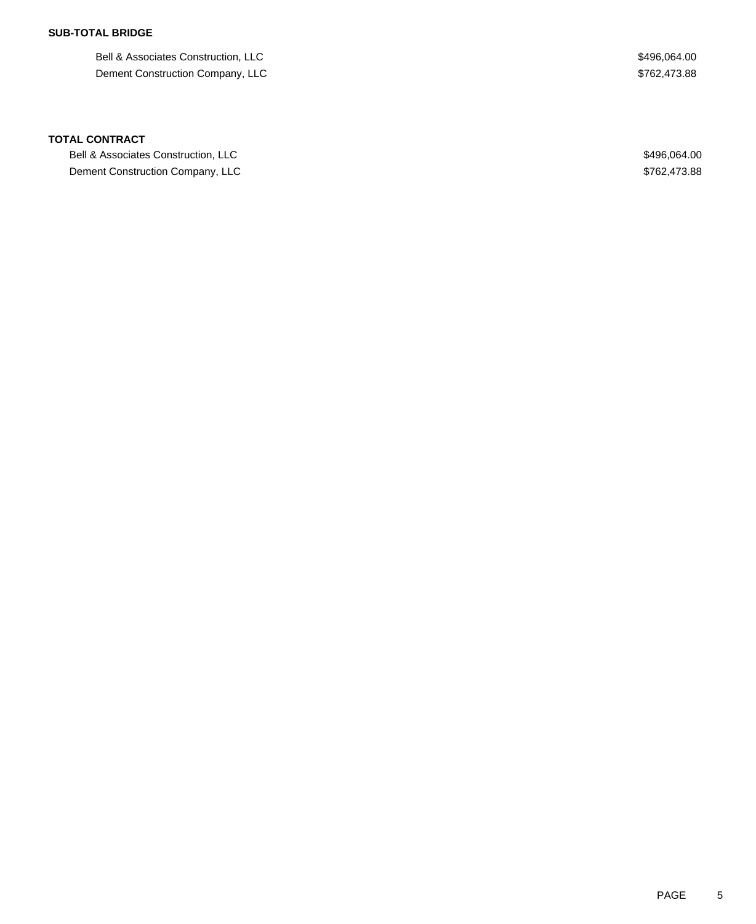### **SUB-TOTAL BRIDGE**

Bell & Associates Construction, LLC 6496,064.00 Dement Construction Company, LLC  $$762,473.88$ 

#### **TOTAL CONTRACT**

Bell & Associates Construction, LLC  $$496,064.00$ Dement Construction Company, LLC  $$762,473.88$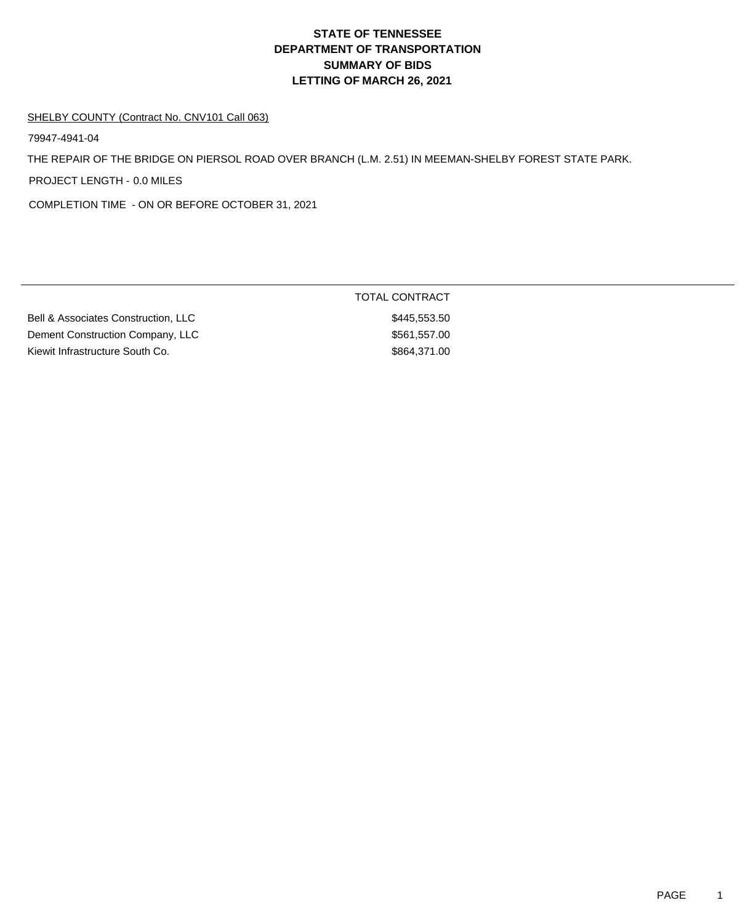#### SHELBY COUNTY (Contract No. CNV101 Call 063)

79947-4941-04

THE REPAIR OF THE BRIDGE ON PIERSOL ROAD OVER BRANCH (L.M. 2.51) IN MEEMAN-SHELBY FOREST STATE PARK.

PROJECT LENGTH - 0.0 MILES

COMPLETION TIME - ON OR BEFORE OCTOBER 31, 2021

| Bell & Associates Construction, LLC |  |
|-------------------------------------|--|
| Dement Construction Company, LLC    |  |
| Kiewit Infrastructure South Co.     |  |

TOTAL CONTRACT \$445,553.50  $$561,557.00$  $$864,371.00$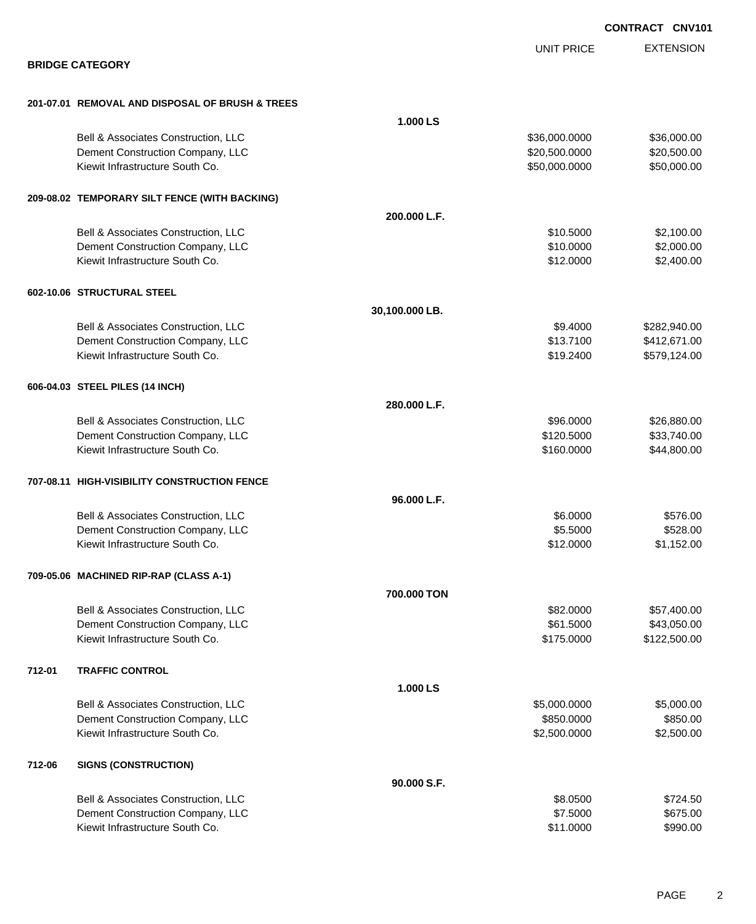|        |                                                 |                |                   | <b>CONTRACT CNV101</b> |
|--------|-------------------------------------------------|----------------|-------------------|------------------------|
|        |                                                 |                | <b>UNIT PRICE</b> | <b>EXTENSION</b>       |
|        | <b>BRIDGE CATEGORY</b>                          |                |                   |                        |
|        | 201-07.01 REMOVAL AND DISPOSAL OF BRUSH & TREES |                |                   |                        |
|        |                                                 | 1.000 LS       |                   |                        |
|        | Bell & Associates Construction, LLC             |                | \$36,000.0000     | \$36,000.00            |
|        | Dement Construction Company, LLC                |                | \$20,500.0000     | \$20,500.00            |
|        | Kiewit Infrastructure South Co.                 |                | \$50,000.0000     | \$50,000.00            |
|        | 209-08.02 TEMPORARY SILT FENCE (WITH BACKING)   |                |                   |                        |
|        |                                                 | 200.000 L.F.   |                   |                        |
|        | Bell & Associates Construction, LLC             |                | \$10.5000         | \$2,100.00             |
|        | Dement Construction Company, LLC                |                | \$10.0000         | \$2,000.00             |
|        | Kiewit Infrastructure South Co.                 |                | \$12.0000         | \$2,400.00             |
|        | 602-10.06 STRUCTURAL STEEL                      |                |                   |                        |
|        |                                                 | 30,100.000 LB. |                   |                        |
|        | Bell & Associates Construction, LLC             |                | \$9.4000          | \$282,940.00           |
|        | Dement Construction Company, LLC                |                | \$13.7100         | \$412,671.00           |
|        | Kiewit Infrastructure South Co.                 |                | \$19.2400         | \$579,124.00           |
|        | 606-04.03 STEEL PILES (14 INCH)                 |                |                   |                        |
|        |                                                 | 280.000 L.F.   |                   |                        |
|        | Bell & Associates Construction, LLC             |                | \$96.0000         | \$26,880.00            |
|        | Dement Construction Company, LLC                |                | \$120.5000        | \$33,740.00            |
|        | Kiewit Infrastructure South Co.                 |                | \$160.0000        | \$44,800.00            |
|        | 707-08.11 HIGH-VISIBILITY CONSTRUCTION FENCE    |                |                   |                        |
|        |                                                 | 96.000 L.F.    |                   |                        |
|        | Bell & Associates Construction, LLC             |                | \$6.0000          | \$576.00               |
|        | Dement Construction Company, LLC                |                | \$5.5000          | \$528.00               |
|        | Kiewit Infrastructure South Co.                 |                | \$12.0000         | \$1,152.00             |
|        | 709-05.06 MACHINED RIP-RAP (CLASS A-1)          |                |                   |                        |
|        |                                                 | 700.000 TON    |                   |                        |
|        | Bell & Associates Construction, LLC             |                | \$82.0000         | \$57,400.00            |
|        | Dement Construction Company, LLC                |                | \$61.5000         | \$43,050.00            |
|        | Kiewit Infrastructure South Co.                 |                | \$175.0000        | \$122,500.00           |
| 712-01 | <b>TRAFFIC CONTROL</b>                          |                |                   |                        |
|        |                                                 | 1.000 LS       |                   |                        |
|        | Bell & Associates Construction, LLC             |                | \$5,000.0000      | \$5,000.00             |
|        | Dement Construction Company, LLC                |                | \$850.0000        | \$850.00               |
|        | Kiewit Infrastructure South Co.                 |                | \$2,500.0000      | \$2,500.00             |
| 712-06 | <b>SIGNS (CONSTRUCTION)</b>                     |                |                   |                        |
|        |                                                 | 90.000 S.F.    |                   |                        |
|        | Bell & Associates Construction, LLC             |                | \$8.0500          | \$724.50               |
|        | Dement Construction Company, LLC                |                | \$7.5000          | \$675.00               |
|        | Kiewit Infrastructure South Co.                 |                | \$11.0000         | \$990.00               |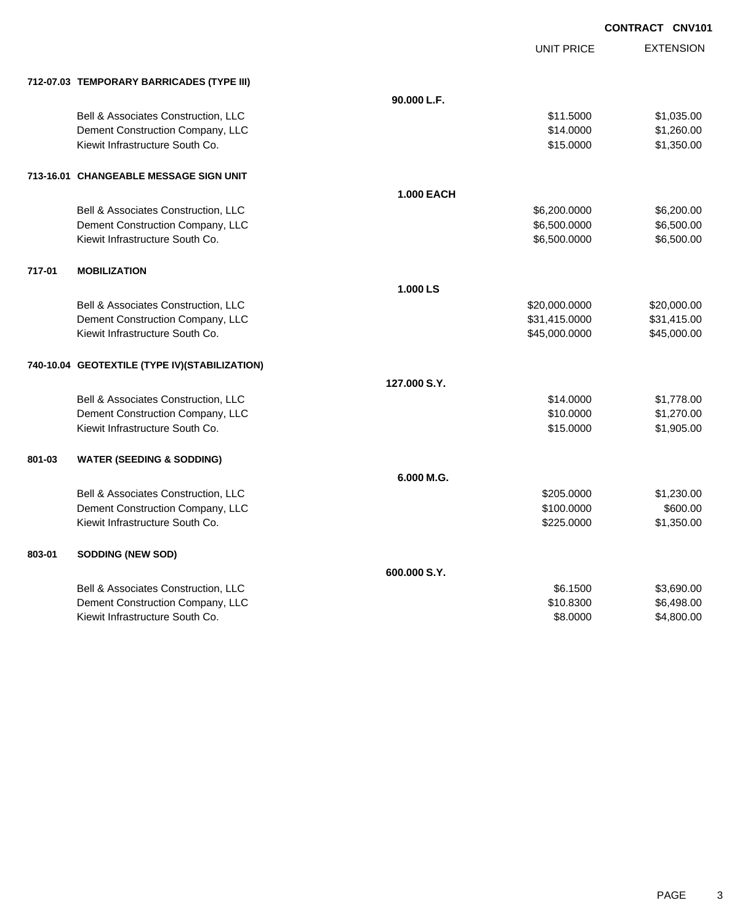|        |                                               |                   | <b>UNIT PRICE</b> | <b>EXTENSION</b> |
|--------|-----------------------------------------------|-------------------|-------------------|------------------|
|        | 712-07.03 TEMPORARY BARRICADES (TYPE III)     |                   |                   |                  |
|        |                                               | 90.000 L.F.       |                   |                  |
|        | Bell & Associates Construction, LLC           |                   | \$11.5000         | \$1,035.00       |
|        | Dement Construction Company, LLC              |                   | \$14.0000         | \$1,260.00       |
|        | Kiewit Infrastructure South Co.               |                   | \$15.0000         | \$1,350.00       |
|        | 713-16.01 CHANGEABLE MESSAGE SIGN UNIT        |                   |                   |                  |
|        |                                               | <b>1.000 EACH</b> |                   |                  |
|        | Bell & Associates Construction, LLC           |                   | \$6,200.0000      | \$6,200.00       |
|        | Dement Construction Company, LLC              |                   | \$6,500.0000      | \$6,500.00       |
|        | Kiewit Infrastructure South Co.               |                   | \$6,500.0000      | \$6,500.00       |
| 717-01 | <b>MOBILIZATION</b>                           |                   |                   |                  |
|        |                                               | 1.000 LS          |                   |                  |
|        | Bell & Associates Construction, LLC           |                   | \$20,000.0000     | \$20,000.00      |
|        | Dement Construction Company, LLC              |                   | \$31,415.0000     | \$31,415.00      |
|        | Kiewit Infrastructure South Co.               |                   | \$45,000.0000     | \$45,000.00      |
|        | 740-10.04 GEOTEXTILE (TYPE IV)(STABILIZATION) |                   |                   |                  |
|        |                                               | 127.000 S.Y.      |                   |                  |
|        | Bell & Associates Construction, LLC           |                   | \$14.0000         | \$1,778.00       |
|        | Dement Construction Company, LLC              |                   | \$10.0000         | \$1,270.00       |
|        | Kiewit Infrastructure South Co.               |                   | \$15.0000         | \$1,905.00       |
| 801-03 | <b>WATER (SEEDING &amp; SODDING)</b>          |                   |                   |                  |
|        |                                               | 6.000 M.G.        |                   |                  |
|        | Bell & Associates Construction, LLC           |                   | \$205.0000        | \$1,230.00       |
|        | Dement Construction Company, LLC              |                   | \$100.0000        | \$600.00         |
|        | Kiewit Infrastructure South Co.               |                   | \$225.0000        | \$1,350.00       |
| 803-01 | <b>SODDING (NEW SOD)</b>                      |                   |                   |                  |
|        |                                               | 600.000 S.Y.      |                   |                  |
|        | Bell & Associates Construction, LLC           |                   | \$6.1500          | \$3,690.00       |
|        | Dement Construction Company, LLC              |                   | \$10.8300         | \$6,498.00       |
|        | Kiewit Infrastructure South Co.               |                   | \$8.0000          | \$4,800.00       |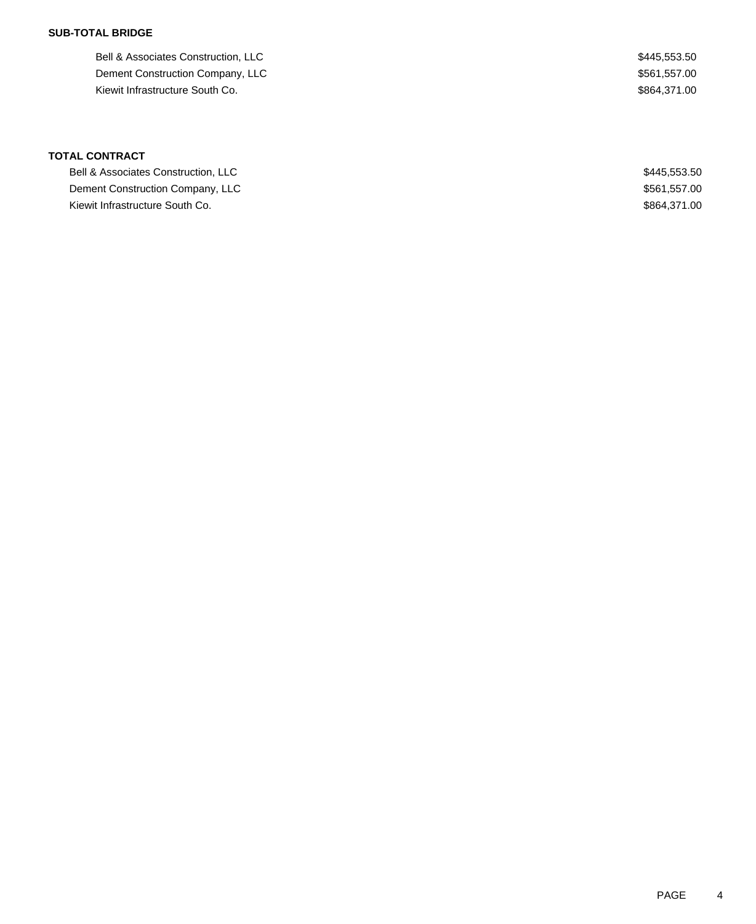### **SUB-TOTAL BRIDGE**

Bell & Associates Construction, LLC  $$445,553.50$ Dement Construction Company, LLC  $$561,557.00$ Kiewit Infrastructure South Co. **\$864,371.00** Space 3.5 and 5.5 and 5.5 and 5.5 and 5.5 and 5.5 and 5.5 and 5.5 and 5.5 and 5.5 and 5.5 and 5.5 and 5.5 and 5.5 and 5.5 and 5.5 and 5.5 and 5.5 and 5.5 and 5.5 and 5.5 and 5.

| Bell & Associates Construction, LLC | \$445,553,50 |
|-------------------------------------|--------------|
| Dement Construction Company, LLC    | \$561,557.00 |
| Kiewit Infrastructure South Co.     | \$864,371.00 |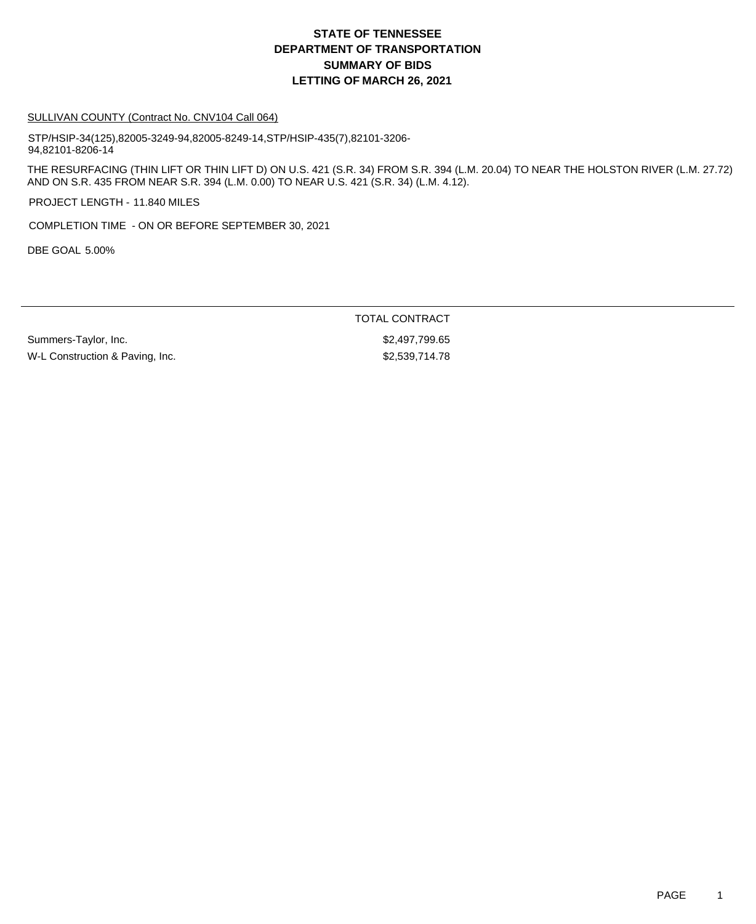#### SULLIVAN COUNTY (Contract No. CNV104 Call 064)

STP/HSIP-34(125),82005-3249-94,82005-8249-14,STP/HSIP-435(7),82101-3206- 94,82101-8206-14

THE RESURFACING (THIN LIFT OR THIN LIFT D) ON U.S. 421 (S.R. 34) FROM S.R. 394 (L.M. 20.04) TO NEAR THE HOLSTON RIVER (L.M. 27.72) AND ON S.R. 435 FROM NEAR S.R. 394 (L.M. 0.00) TO NEAR U.S. 421 (S.R. 34) (L.M. 4.12).

PROJECT LENGTH - 11.840 MILES

COMPLETION TIME - ON OR BEFORE SEPTEMBER 30, 2021

DBE GOAL 5.00%

TOTAL CONTRACT

Summers-Taylor, Inc. 6. 2012 12:30 12:30 12:31 12:32 12:33 12:3497,799.65 W-L Construction & Paving, Inc. 6. The State of the S2,539,714.78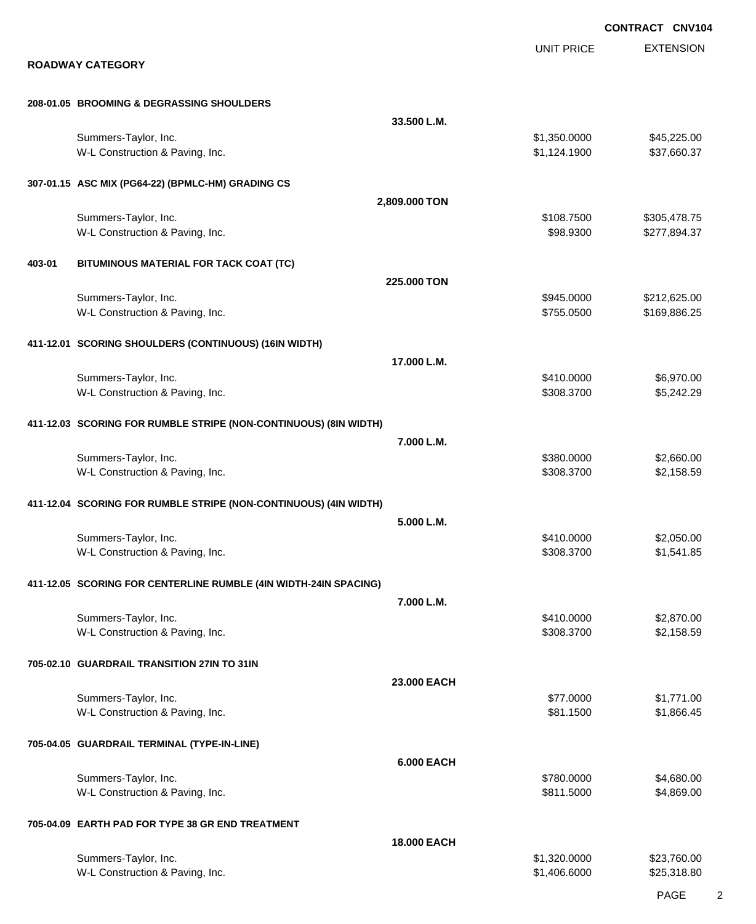|        |                                                                  |                    |                              | CONTRACT CNV104              |
|--------|------------------------------------------------------------------|--------------------|------------------------------|------------------------------|
|        | <b>ROADWAY CATEGORY</b>                                          |                    | <b>UNIT PRICE</b>            | <b>EXTENSION</b>             |
|        | 208-01.05 BROOMING & DEGRASSING SHOULDERS                        |                    |                              |                              |
|        |                                                                  | 33.500 L.M.        |                              |                              |
|        | Summers-Taylor, Inc.<br>W-L Construction & Paving, Inc.          |                    | \$1,350.0000<br>\$1,124.1900 | \$45,225.00<br>\$37,660.37   |
|        | 307-01.15 ASC MIX (PG64-22) (BPMLC-HM) GRADING CS                |                    |                              |                              |
|        |                                                                  | 2,809.000 TON      |                              |                              |
|        | Summers-Taylor, Inc.<br>W-L Construction & Paving, Inc.          |                    | \$108.7500<br>\$98.9300      | \$305,478.75<br>\$277,894.37 |
| 403-01 | BITUMINOUS MATERIAL FOR TACK COAT (TC)                           |                    |                              |                              |
|        |                                                                  | 225,000 TON        |                              |                              |
|        | Summers-Taylor, Inc.<br>W-L Construction & Paving, Inc.          |                    | \$945.0000<br>\$755.0500     | \$212,625.00<br>\$169,886.25 |
|        | 411-12.01 SCORING SHOULDERS (CONTINUOUS) (16IN WIDTH)            |                    |                              |                              |
|        |                                                                  | 17.000 L.M.        |                              |                              |
|        | Summers-Taylor, Inc.<br>W-L Construction & Paving, Inc.          |                    | \$410.0000<br>\$308.3700     | \$6,970.00<br>\$5,242.29     |
|        | 411-12.03 SCORING FOR RUMBLE STRIPE (NON-CONTINUOUS) (8IN WIDTH) |                    |                              |                              |
|        |                                                                  | 7.000 L.M.         |                              |                              |
|        | Summers-Taylor, Inc.<br>W-L Construction & Paving, Inc.          |                    | \$380.0000<br>\$308.3700     | \$2,660.00<br>\$2,158.59     |
|        | 411-12.04 SCORING FOR RUMBLE STRIPE (NON-CONTINUOUS) (4IN WIDTH) |                    |                              |                              |
|        |                                                                  | 5.000 L.M.         |                              |                              |
|        | Summers-Taylor, Inc.<br>W-L Construction & Paving, Inc.          |                    | \$410.0000<br>\$308.3700     | \$2,050.00<br>\$1,541.85     |
|        | 411-12.05 SCORING FOR CENTERLINE RUMBLE (4IN WIDTH-24IN SPACING) |                    |                              |                              |
|        |                                                                  | 7.000 L.M.         |                              |                              |
|        | Summers-Taylor, Inc.<br>W-L Construction & Paving, Inc.          |                    | \$410.0000<br>\$308.3700     | \$2,870.00<br>\$2,158.59     |
|        | 705-02.10 GUARDRAIL TRANSITION 27IN TO 31IN                      |                    |                              |                              |
|        | Summers-Taylor, Inc.                                             | 23.000 EACH        | \$77.0000                    | \$1,771.00                   |
|        | W-L Construction & Paving, Inc.                                  |                    | \$81.1500                    | \$1,866.45                   |
|        | 705-04.05 GUARDRAIL TERMINAL (TYPE-IN-LINE)                      |                    |                              |                              |
|        | Summers-Taylor, Inc.                                             | <b>6.000 EACH</b>  | \$780.0000                   | \$4,680.00                   |
|        | W-L Construction & Paving, Inc.                                  |                    | \$811.5000                   | \$4,869.00                   |
|        | 705-04.09 EARTH PAD FOR TYPE 38 GR END TREATMENT                 |                    |                              |                              |
|        |                                                                  | <b>18.000 EACH</b> |                              |                              |
|        | Summers-Taylor, Inc.<br>W-L Construction & Paving, Inc.          |                    | \$1,320.0000<br>\$1,406.6000 | \$23,760.00<br>\$25,318.80   |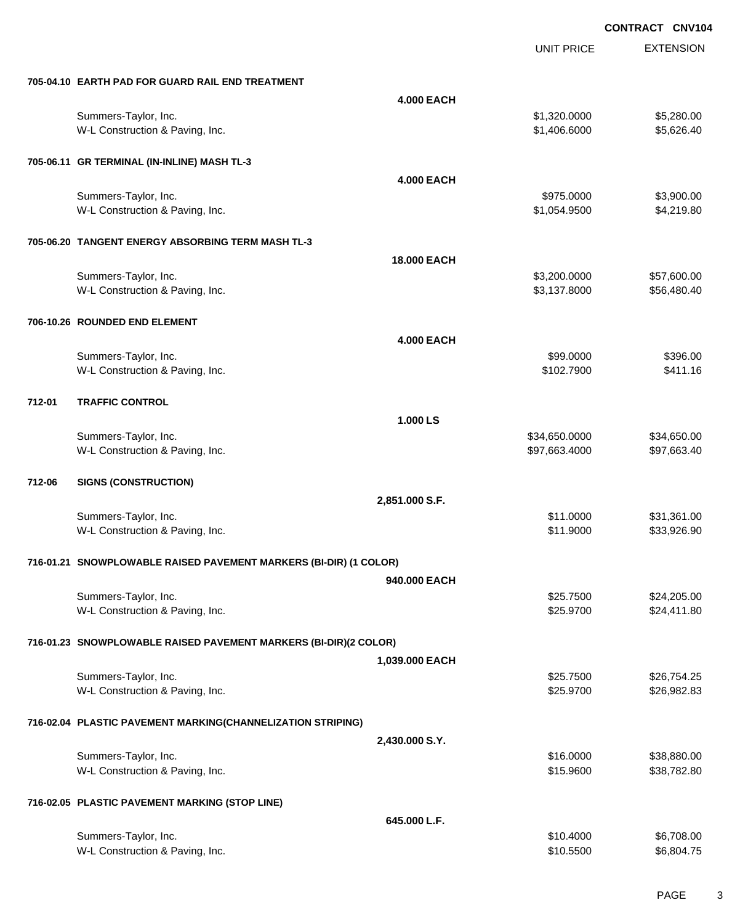UNIT PRICE

EXTENSION

| <b>4.000 EACH</b><br>\$1,320.0000<br>Summers-Taylor, Inc.<br>W-L Construction & Paving, Inc.<br>\$1,406.6000<br>705-06.11 GR TERMINAL (IN-INLINE) MASH TL-3<br><b>4.000 EACH</b><br>\$975.0000<br>Summers-Taylor, Inc.<br>\$4,219.80<br>W-L Construction & Paving, Inc.<br>\$1,054.9500<br>705-06.20 TANGENT ENERGY ABSORBING TERM MASH TL-3<br><b>18.000 EACH</b><br>Summers-Taylor, Inc.<br>\$3,200.0000<br>\$57,600.00<br>\$3,137.8000<br>\$56,480.40<br>W-L Construction & Paving, Inc.<br>706-10.26 ROUNDED END ELEMENT<br><b>4.000 EACH</b><br>Summers-Taylor, Inc.<br>\$99.0000<br>W-L Construction & Paving, Inc.<br>\$102.7900<br>712-01<br><b>TRAFFIC CONTROL</b><br>1.000 LS<br>Summers-Taylor, Inc.<br>\$34,650.0000<br>\$34,650.00<br>W-L Construction & Paving, Inc.<br>\$97,663.4000 |  |           | \$5,280.00<br>\$5,626.40<br>\$3,900.00 |
|-----------------------------------------------------------------------------------------------------------------------------------------------------------------------------------------------------------------------------------------------------------------------------------------------------------------------------------------------------------------------------------------------------------------------------------------------------------------------------------------------------------------------------------------------------------------------------------------------------------------------------------------------------------------------------------------------------------------------------------------------------------------------------------------------------|--|-----------|----------------------------------------|
|                                                                                                                                                                                                                                                                                                                                                                                                                                                                                                                                                                                                                                                                                                                                                                                                     |  |           |                                        |
|                                                                                                                                                                                                                                                                                                                                                                                                                                                                                                                                                                                                                                                                                                                                                                                                     |  |           |                                        |
|                                                                                                                                                                                                                                                                                                                                                                                                                                                                                                                                                                                                                                                                                                                                                                                                     |  |           |                                        |
|                                                                                                                                                                                                                                                                                                                                                                                                                                                                                                                                                                                                                                                                                                                                                                                                     |  |           |                                        |
|                                                                                                                                                                                                                                                                                                                                                                                                                                                                                                                                                                                                                                                                                                                                                                                                     |  |           |                                        |
|                                                                                                                                                                                                                                                                                                                                                                                                                                                                                                                                                                                                                                                                                                                                                                                                     |  |           |                                        |
|                                                                                                                                                                                                                                                                                                                                                                                                                                                                                                                                                                                                                                                                                                                                                                                                     |  |           |                                        |
|                                                                                                                                                                                                                                                                                                                                                                                                                                                                                                                                                                                                                                                                                                                                                                                                     |  |           |                                        |
|                                                                                                                                                                                                                                                                                                                                                                                                                                                                                                                                                                                                                                                                                                                                                                                                     |  |           |                                        |
|                                                                                                                                                                                                                                                                                                                                                                                                                                                                                                                                                                                                                                                                                                                                                                                                     |  |           |                                        |
|                                                                                                                                                                                                                                                                                                                                                                                                                                                                                                                                                                                                                                                                                                                                                                                                     |  |           |                                        |
|                                                                                                                                                                                                                                                                                                                                                                                                                                                                                                                                                                                                                                                                                                                                                                                                     |  |           |                                        |
|                                                                                                                                                                                                                                                                                                                                                                                                                                                                                                                                                                                                                                                                                                                                                                                                     |  |           |                                        |
|                                                                                                                                                                                                                                                                                                                                                                                                                                                                                                                                                                                                                                                                                                                                                                                                     |  |           |                                        |
|                                                                                                                                                                                                                                                                                                                                                                                                                                                                                                                                                                                                                                                                                                                                                                                                     |  |           |                                        |
|                                                                                                                                                                                                                                                                                                                                                                                                                                                                                                                                                                                                                                                                                                                                                                                                     |  |           | \$396.00                               |
|                                                                                                                                                                                                                                                                                                                                                                                                                                                                                                                                                                                                                                                                                                                                                                                                     |  |           | \$411.16                               |
|                                                                                                                                                                                                                                                                                                                                                                                                                                                                                                                                                                                                                                                                                                                                                                                                     |  |           |                                        |
|                                                                                                                                                                                                                                                                                                                                                                                                                                                                                                                                                                                                                                                                                                                                                                                                     |  |           |                                        |
|                                                                                                                                                                                                                                                                                                                                                                                                                                                                                                                                                                                                                                                                                                                                                                                                     |  |           |                                        |
|                                                                                                                                                                                                                                                                                                                                                                                                                                                                                                                                                                                                                                                                                                                                                                                                     |  |           |                                        |
|                                                                                                                                                                                                                                                                                                                                                                                                                                                                                                                                                                                                                                                                                                                                                                                                     |  |           | \$97,663.40                            |
|                                                                                                                                                                                                                                                                                                                                                                                                                                                                                                                                                                                                                                                                                                                                                                                                     |  |           |                                        |
| 712-06<br><b>SIGNS (CONSTRUCTION)</b>                                                                                                                                                                                                                                                                                                                                                                                                                                                                                                                                                                                                                                                                                                                                                               |  |           |                                        |
| 2,851.000 S.F.                                                                                                                                                                                                                                                                                                                                                                                                                                                                                                                                                                                                                                                                                                                                                                                      |  |           |                                        |
| Summers-Taylor, Inc.<br>\$11.0000                                                                                                                                                                                                                                                                                                                                                                                                                                                                                                                                                                                                                                                                                                                                                                   |  |           | \$31,361.00                            |
| W-L Construction & Paving, Inc.<br>\$11.9000                                                                                                                                                                                                                                                                                                                                                                                                                                                                                                                                                                                                                                                                                                                                                        |  |           | \$33,926.90                            |
|                                                                                                                                                                                                                                                                                                                                                                                                                                                                                                                                                                                                                                                                                                                                                                                                     |  |           |                                        |
| 716-01.21 SNOWPLOWABLE RAISED PAVEMENT MARKERS (BI-DIR) (1 COLOR)                                                                                                                                                                                                                                                                                                                                                                                                                                                                                                                                                                                                                                                                                                                                   |  |           |                                        |
| 940.000 EACH                                                                                                                                                                                                                                                                                                                                                                                                                                                                                                                                                                                                                                                                                                                                                                                        |  |           |                                        |
|                                                                                                                                                                                                                                                                                                                                                                                                                                                                                                                                                                                                                                                                                                                                                                                                     |  | \$25.7500 | \$24,205.00                            |
| Summers-Taylor, Inc.                                                                                                                                                                                                                                                                                                                                                                                                                                                                                                                                                                                                                                                                                                                                                                                |  |           | \$24,411.80                            |
| W-L Construction & Paving, Inc.<br>\$25.9700                                                                                                                                                                                                                                                                                                                                                                                                                                                                                                                                                                                                                                                                                                                                                        |  |           |                                        |
|                                                                                                                                                                                                                                                                                                                                                                                                                                                                                                                                                                                                                                                                                                                                                                                                     |  |           |                                        |
| 716-01.23 SNOWPLOWABLE RAISED PAVEMENT MARKERS (BI-DIR)(2 COLOR)                                                                                                                                                                                                                                                                                                                                                                                                                                                                                                                                                                                                                                                                                                                                    |  |           |                                        |
| 1,039.000 EACH                                                                                                                                                                                                                                                                                                                                                                                                                                                                                                                                                                                                                                                                                                                                                                                      |  |           |                                        |
| Summers-Taylor, Inc.<br>\$25.7500<br>\$26,754.25                                                                                                                                                                                                                                                                                                                                                                                                                                                                                                                                                                                                                                                                                                                                                    |  |           |                                        |
| W-L Construction & Paving, Inc.<br>\$25.9700<br>\$26,982.83                                                                                                                                                                                                                                                                                                                                                                                                                                                                                                                                                                                                                                                                                                                                         |  |           |                                        |
|                                                                                                                                                                                                                                                                                                                                                                                                                                                                                                                                                                                                                                                                                                                                                                                                     |  |           |                                        |
| 716-02.04 PLASTIC PAVEMENT MARKING(CHANNELIZATION STRIPING)                                                                                                                                                                                                                                                                                                                                                                                                                                                                                                                                                                                                                                                                                                                                         |  |           |                                        |
| 2,430.000 S.Y.                                                                                                                                                                                                                                                                                                                                                                                                                                                                                                                                                                                                                                                                                                                                                                                      |  |           |                                        |
| Summers-Taylor, Inc.<br>\$16.0000                                                                                                                                                                                                                                                                                                                                                                                                                                                                                                                                                                                                                                                                                                                                                                   |  |           | \$38,880.00                            |
| W-L Construction & Paving, Inc.<br>\$15.9600                                                                                                                                                                                                                                                                                                                                                                                                                                                                                                                                                                                                                                                                                                                                                        |  |           | \$38,782.80                            |
|                                                                                                                                                                                                                                                                                                                                                                                                                                                                                                                                                                                                                                                                                                                                                                                                     |  |           |                                        |
| 716-02.05 PLASTIC PAVEMENT MARKING (STOP LINE)<br>645.000 L.F.                                                                                                                                                                                                                                                                                                                                                                                                                                                                                                                                                                                                                                                                                                                                      |  |           |                                        |
| Summers-Taylor, Inc.<br>\$10.4000                                                                                                                                                                                                                                                                                                                                                                                                                                                                                                                                                                                                                                                                                                                                                                   |  |           | \$6,708.00                             |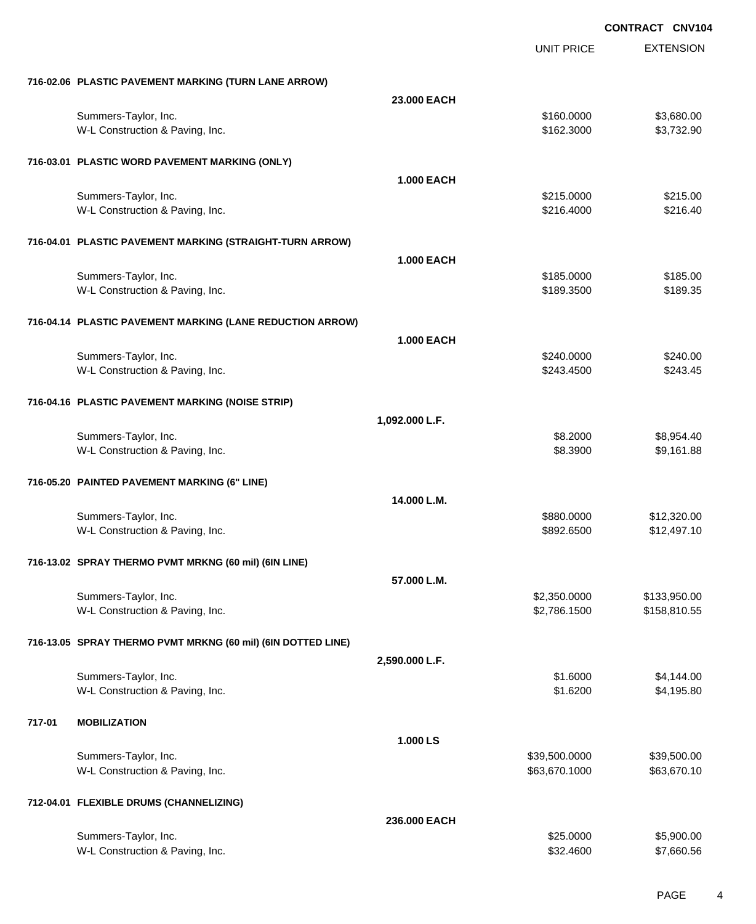|        |                                                              |                   | <b>UNIT PRICE</b> | <b>EXTENSION</b> |
|--------|--------------------------------------------------------------|-------------------|-------------------|------------------|
|        | 716-02.06 PLASTIC PAVEMENT MARKING (TURN LANE ARROW)         |                   |                   |                  |
|        |                                                              | 23.000 EACH       |                   |                  |
|        | Summers-Taylor, Inc.                                         |                   | \$160.0000        | \$3,680.00       |
|        | W-L Construction & Paving, Inc.                              |                   | \$162.3000        | \$3,732.90       |
|        | 716-03.01 PLASTIC WORD PAVEMENT MARKING (ONLY)               |                   |                   |                  |
|        |                                                              | <b>1.000 EACH</b> |                   |                  |
|        | Summers-Taylor, Inc.                                         |                   | \$215.0000        | \$215.00         |
|        | W-L Construction & Paving, Inc.                              |                   | \$216.4000        | \$216.40         |
|        | 716-04.01 PLASTIC PAVEMENT MARKING (STRAIGHT-TURN ARROW)     |                   |                   |                  |
|        |                                                              | <b>1.000 EACH</b> |                   |                  |
|        | Summers-Taylor, Inc.                                         |                   | \$185.0000        | \$185.00         |
|        | W-L Construction & Paving, Inc.                              |                   | \$189.3500        | \$189.35         |
|        | 716-04.14 PLASTIC PAVEMENT MARKING (LANE REDUCTION ARROW)    |                   |                   |                  |
|        |                                                              | <b>1.000 EACH</b> |                   |                  |
|        | Summers-Taylor, Inc.                                         |                   | \$240.0000        | \$240.00         |
|        | W-L Construction & Paving, Inc.                              |                   | \$243.4500        | \$243.45         |
|        | 716-04.16 PLASTIC PAVEMENT MARKING (NOISE STRIP)             |                   |                   |                  |
|        |                                                              | 1,092.000 L.F.    |                   |                  |
|        | Summers-Taylor, Inc.                                         |                   | \$8.2000          | \$8,954.40       |
|        | W-L Construction & Paving, Inc.                              |                   | \$8.3900          | \$9,161.88       |
|        | 716-05.20 PAINTED PAVEMENT MARKING (6" LINE)                 |                   |                   |                  |
|        |                                                              | 14.000 L.M.       |                   |                  |
|        | Summers-Taylor, Inc.                                         |                   | \$880.0000        | \$12,320.00      |
|        | W-L Construction & Paving, Inc.                              |                   | \$892.6500        | \$12,497.10      |
|        | 716-13.02 SPRAY THERMO PVMT MRKNG (60 mil) (6IN LINE)        |                   |                   |                  |
|        |                                                              | 57.000 L.M.       |                   |                  |
|        | Summers-Taylor, Inc.                                         |                   | \$2,350.0000      | \$133,950.00     |
|        | W-L Construction & Paving, Inc.                              |                   | \$2,786.1500      | \$158,810.55     |
|        | 716-13.05 SPRAY THERMO PVMT MRKNG (60 mil) (6IN DOTTED LINE) |                   |                   |                  |
|        |                                                              | 2,590.000 L.F.    |                   |                  |
|        | Summers-Taylor, Inc.                                         |                   | \$1.6000          | \$4,144.00       |
|        | W-L Construction & Paving, Inc.                              |                   | \$1.6200          | \$4,195.80       |
| 717-01 | <b>MOBILIZATION</b>                                          |                   |                   |                  |
|        |                                                              | 1.000 LS          |                   |                  |
|        | Summers-Taylor, Inc.                                         |                   | \$39,500.0000     | \$39,500.00      |
|        | W-L Construction & Paving, Inc.                              |                   | \$63,670.1000     | \$63,670.10      |
|        | 712-04.01 FLEXIBLE DRUMS (CHANNELIZING)                      |                   |                   |                  |
|        |                                                              | 236.000 EACH      |                   |                  |
|        | Summers-Taylor, Inc.                                         |                   | \$25.0000         | \$5,900.00       |
|        | W-L Construction & Paving, Inc.                              |                   | \$32.4600         | \$7,660.56       |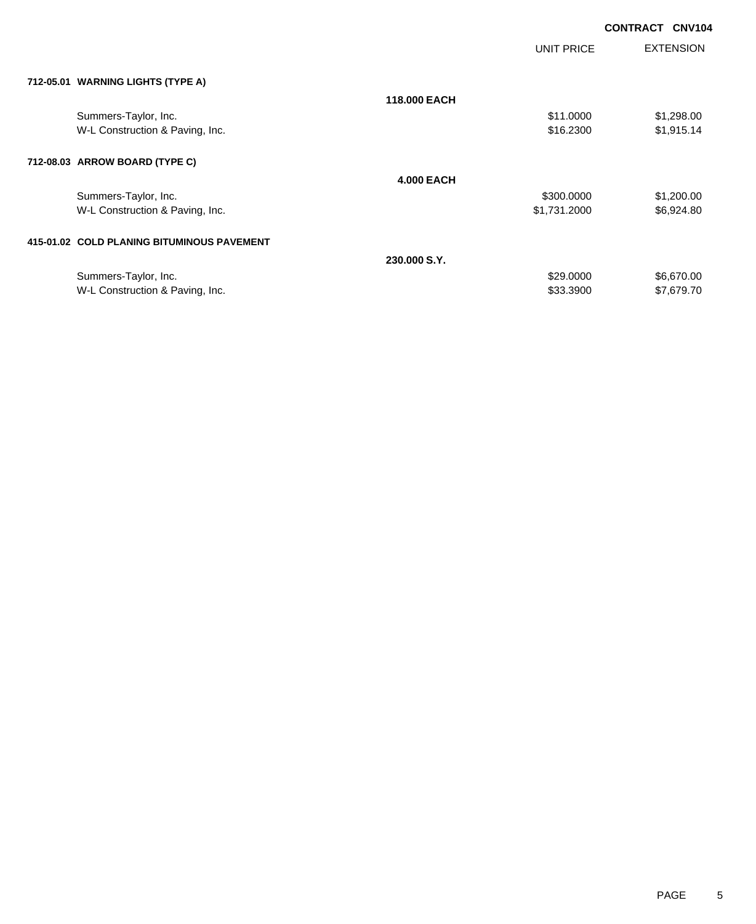| <b>CONTRACT</b> | <b>CNV104</b> |
|-----------------|---------------|
|                 |               |

|                                            |                   | UNIT PRICE   | <b>EXTENSION</b> |
|--------------------------------------------|-------------------|--------------|------------------|
| 712-05.01 WARNING LIGHTS (TYPE A)          |                   |              |                  |
|                                            | 118,000 EACH      |              |                  |
| Summers-Taylor, Inc.                       |                   | \$11.0000    | \$1,298.00       |
| W-L Construction & Paving, Inc.            |                   | \$16.2300    | \$1,915.14       |
| 712-08.03 ARROW BOARD (TYPE C)             |                   |              |                  |
|                                            | <b>4.000 EACH</b> |              |                  |
| Summers-Taylor, Inc.                       |                   | \$300.0000   | \$1,200.00       |
| W-L Construction & Paving, Inc.            |                   | \$1,731.2000 | \$6,924.80       |
| 415-01.02 COLD PLANING BITUMINOUS PAVEMENT |                   |              |                  |
|                                            | 230,000 S.Y.      |              |                  |
| Summers-Taylor, Inc.                       |                   | \$29.0000    | \$6,670.00       |

W-L Construction & Paving, Inc. 67,679.70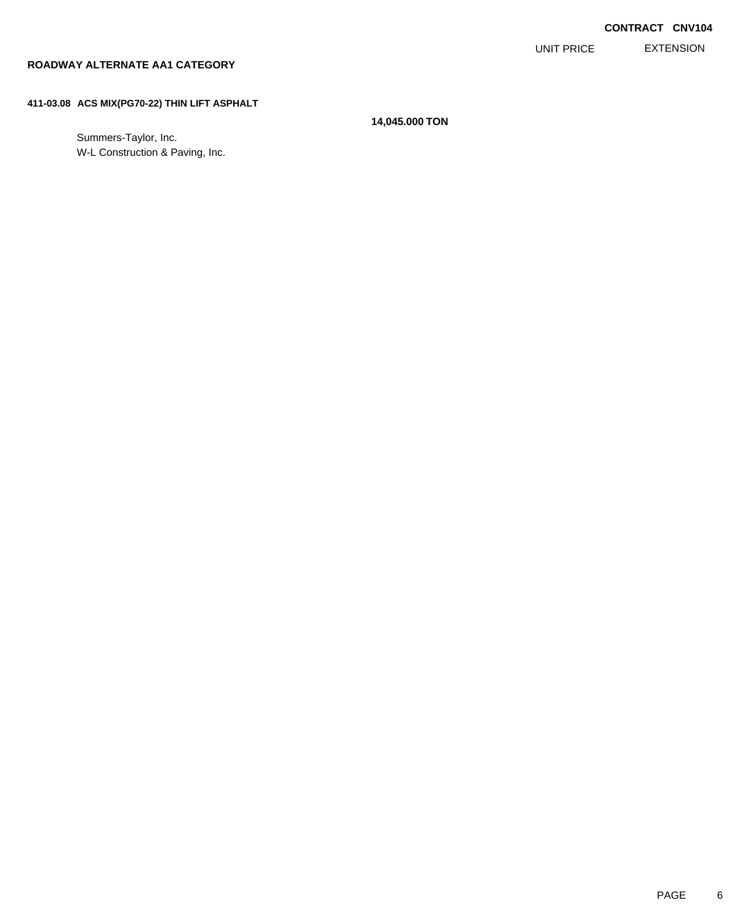EXTENSION UNIT PRICE

### **ROADWAY ALTERNATE AA1 CATEGORY**

### **411-03.08 ACS MIX(PG70-22) THIN LIFT ASPHALT**

**14,045.000 TON**

Summers-Taylor, Inc. W-L Construction & Paving, Inc.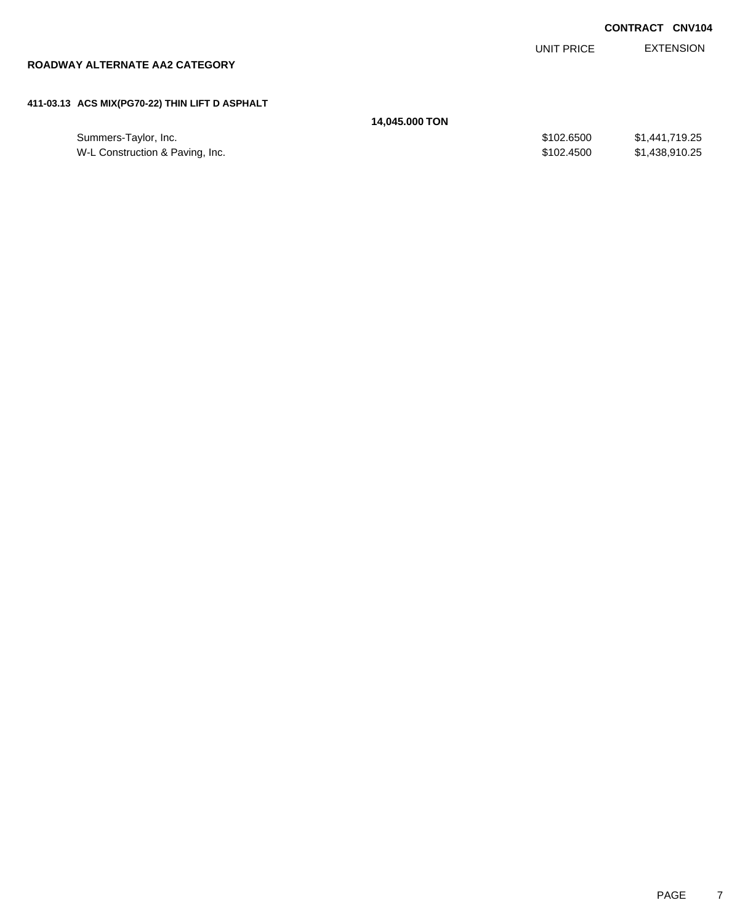|                                                |                |            | <b>CONTRACT CNV104</b> |
|------------------------------------------------|----------------|------------|------------------------|
|                                                |                | UNIT PRICE | <b>EXTENSION</b>       |
| ROADWAY ALTERNATE AA2 CATEGORY                 |                |            |                        |
|                                                |                |            |                        |
| 411-03.13 ACS MIX(PG70-22) THIN LIFT D ASPHALT |                |            |                        |
|                                                | 14,045.000 TON |            |                        |
| Summers-Taylor, Inc.                           |                | \$102,6500 | \$1,441,719.25         |

W-L Construction & Paving, Inc. \$102.4500 \$1,438,910.25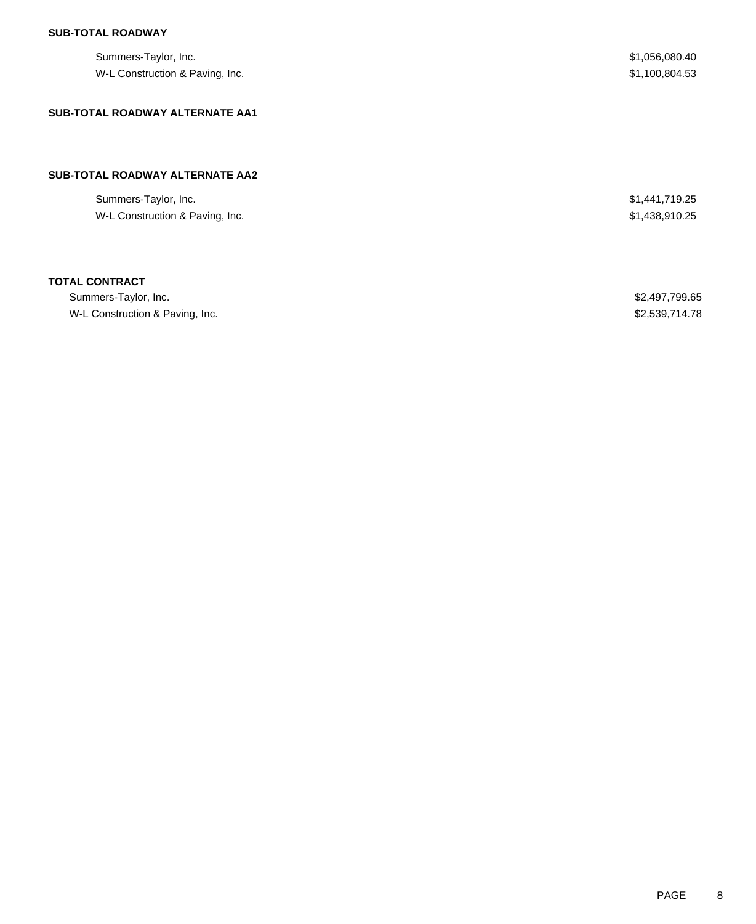### **SUB-TOTAL ROADWAY**

| Summers-Taylor, Inc.<br>W-L Construction & Paving, Inc. | \$1,056,080.40<br>\$1,100,804.53 |
|---------------------------------------------------------|----------------------------------|
| <b>SUB-TOTAL ROADWAY ALTERNATE AA1</b>                  |                                  |
| SUB-TOTAL ROADWAY ALTERNATE AA2                         |                                  |
|                                                         |                                  |
| Summers-Taylor, Inc.                                    | \$1,441,719.25                   |
| W-L Construction & Paving, Inc.                         | \$1,438,910.25                   |
|                                                         |                                  |
| <b>TOTAL CONTRACT</b>                                   |                                  |

| Summers-Taylor, Inc.            | \$2,497,799.65 |
|---------------------------------|----------------|
| W-L Construction & Paving, Inc. | \$2,539,714.78 |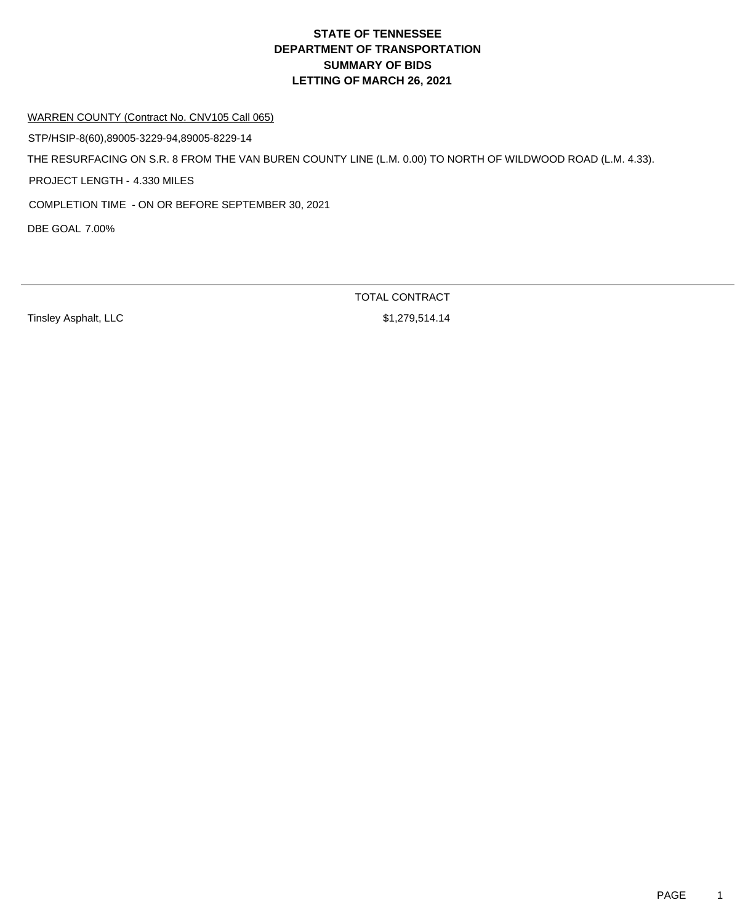WARREN COUNTY (Contract No. CNV105 Call 065)

STP/HSIP-8(60),89005-3229-94,89005-8229-14

THE RESURFACING ON S.R. 8 FROM THE VAN BUREN COUNTY LINE (L.M. 0.00) TO NORTH OF WILDWOOD ROAD (L.M. 4.33).

PROJECT LENGTH - 4.330 MILES

COMPLETION TIME - ON OR BEFORE SEPTEMBER 30, 2021

DBE GOAL 7.00%

Tinsley Asphalt, LLC \$1,279,514.14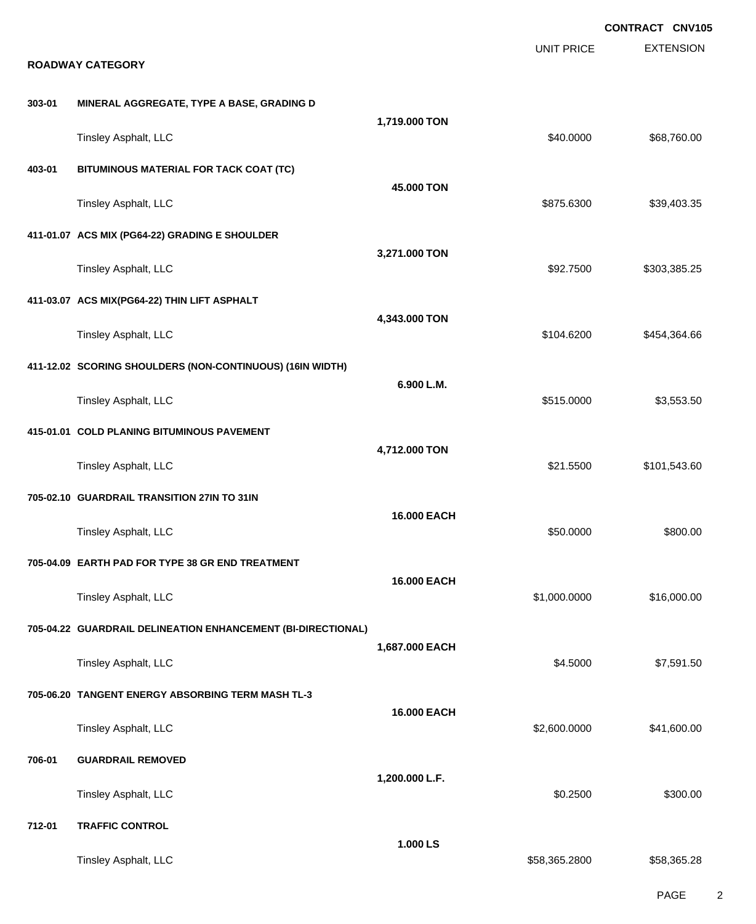|        | <b>ROADWAY CATEGORY</b>                                      |                    | <b>UNIT PRICE</b> | <b>CONTRACT CNV105</b><br><b>EXTENSION</b> |  |
|--------|--------------------------------------------------------------|--------------------|-------------------|--------------------------------------------|--|
| 303-01 | MINERAL AGGREGATE, TYPE A BASE, GRADING D                    |                    |                   |                                            |  |
|        | Tinsley Asphalt, LLC                                         | 1,719.000 TON      | \$40.0000         | \$68,760.00                                |  |
| 403-01 | BITUMINOUS MATERIAL FOR TACK COAT (TC)                       | 45.000 TON         |                   |                                            |  |
|        | Tinsley Asphalt, LLC                                         |                    | \$875.6300        | \$39,403.35                                |  |
|        | 411-01.07 ACS MIX (PG64-22) GRADING E SHOULDER               |                    |                   |                                            |  |
|        | Tinsley Asphalt, LLC                                         | 3,271.000 TON      | \$92.7500         | \$303,385.25                               |  |
|        | 411-03.07 ACS MIX(PG64-22) THIN LIFT ASPHALT                 |                    |                   |                                            |  |
|        | Tinsley Asphalt, LLC                                         | 4,343.000 TON      | \$104.6200        | \$454,364.66                               |  |
|        | 411-12.02 SCORING SHOULDERS (NON-CONTINUOUS) (16IN WIDTH)    |                    |                   |                                            |  |
|        | Tinsley Asphalt, LLC                                         | 6.900 L.M.         | \$515.0000        | \$3,553.50                                 |  |
|        | 415-01.01 COLD PLANING BITUMINOUS PAVEMENT                   |                    |                   |                                            |  |
|        | Tinsley Asphalt, LLC                                         | 4,712.000 TON      | \$21.5500         | \$101,543.60                               |  |
|        | 705-02.10 GUARDRAIL TRANSITION 27IN TO 31IN                  |                    |                   |                                            |  |
|        | Tinsley Asphalt, LLC                                         | <b>16.000 EACH</b> | \$50.0000         | \$800.00                                   |  |
|        | 705-04.09 EARTH PAD FOR TYPE 38 GR END TREATMENT             |                    |                   |                                            |  |
|        | Tinsley Asphalt, LLC                                         | 16.000 EACH        | \$1,000.0000      | \$16,000.00                                |  |
|        | 705-04.22 GUARDRAIL DELINEATION ENHANCEMENT (BI-DIRECTIONAL) |                    |                   |                                            |  |
|        | Tinsley Asphalt, LLC                                         | 1,687.000 EACH     | \$4.5000          | \$7,591.50                                 |  |
|        | 705-06.20 TANGENT ENERGY ABSORBING TERM MASH TL-3            |                    |                   |                                            |  |
|        | Tinsley Asphalt, LLC                                         | 16.000 EACH        | \$2,600.0000      | \$41,600.00                                |  |
| 706-01 | <b>GUARDRAIL REMOVED</b>                                     |                    |                   |                                            |  |
|        | Tinsley Asphalt, LLC                                         | 1,200.000 L.F.     | \$0.2500          | \$300.00                                   |  |
| 712-01 | <b>TRAFFIC CONTROL</b>                                       |                    |                   |                                            |  |
|        | Tinsley Asphalt, LLC                                         | 1.000 LS           | \$58,365.2800     | \$58,365.28                                |  |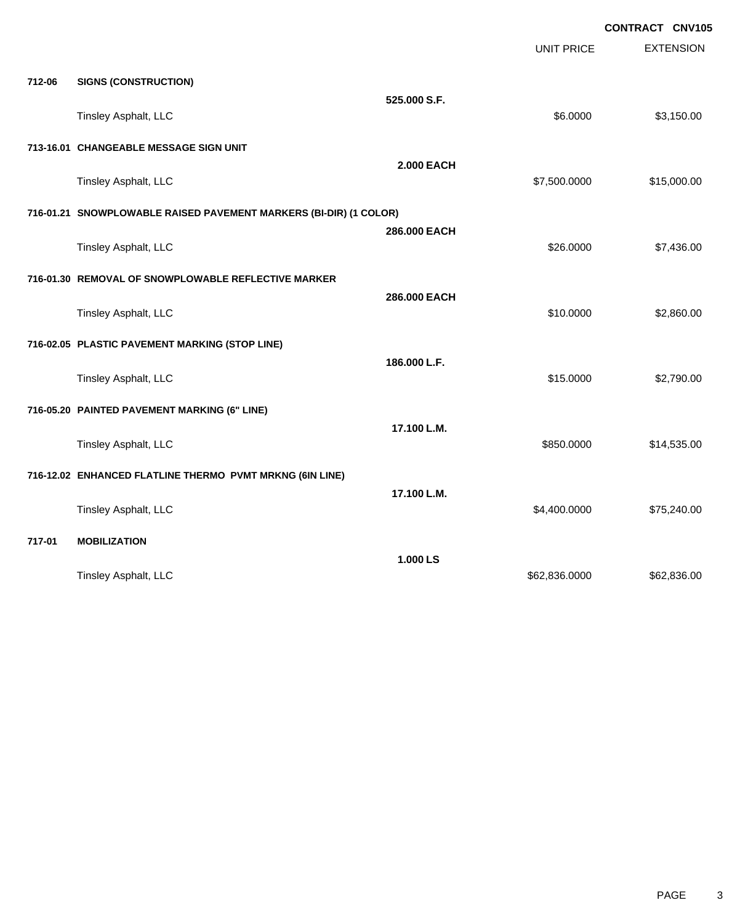|        |                                                                   |                   |                   | CONTRACT CNV105  |
|--------|-------------------------------------------------------------------|-------------------|-------------------|------------------|
|        |                                                                   |                   | <b>UNIT PRICE</b> | <b>EXTENSION</b> |
| 712-06 | <b>SIGNS (CONSTRUCTION)</b>                                       |                   |                   |                  |
|        |                                                                   | 525.000 S.F.      |                   |                  |
|        | Tinsley Asphalt, LLC                                              |                   | \$6.0000          | \$3,150.00       |
|        | 713-16.01 CHANGEABLE MESSAGE SIGN UNIT                            |                   |                   |                  |
|        | Tinsley Asphalt, LLC                                              | <b>2.000 EACH</b> | \$7,500.0000      | \$15,000.00      |
|        | 716-01.21 SNOWPLOWABLE RAISED PAVEMENT MARKERS (BI-DIR) (1 COLOR) |                   |                   |                  |
|        | Tinsley Asphalt, LLC                                              | 286.000 EACH      | \$26.0000         | \$7,436.00       |
|        |                                                                   |                   |                   |                  |
|        | 716-01.30 REMOVAL OF SNOWPLOWABLE REFLECTIVE MARKER               | 286.000 EACH      |                   |                  |
|        | Tinsley Asphalt, LLC                                              |                   | \$10.0000         | \$2,860.00       |
|        | 716-02.05 PLASTIC PAVEMENT MARKING (STOP LINE)                    |                   |                   |                  |
|        | Tinsley Asphalt, LLC                                              | 186.000 L.F.      | \$15.0000         | \$2,790.00       |
|        | 716-05.20 PAINTED PAVEMENT MARKING (6" LINE)                      |                   |                   |                  |
|        |                                                                   | 17.100 L.M.       |                   |                  |
|        | Tinsley Asphalt, LLC                                              |                   | \$850.0000        | \$14,535.00      |
|        | 716-12.02 ENHANCED FLATLINE THERMO PVMT MRKNG (6IN LINE)          |                   |                   |                  |
|        | Tinsley Asphalt, LLC                                              | 17.100 L.M.       | \$4,400.0000      | \$75,240.00      |
|        |                                                                   |                   |                   |                  |
| 717-01 | <b>MOBILIZATION</b>                                               | 1.000 LS          |                   |                  |
|        | Tinsley Asphalt, LLC                                              |                   | \$62,836.0000     | \$62,836.00      |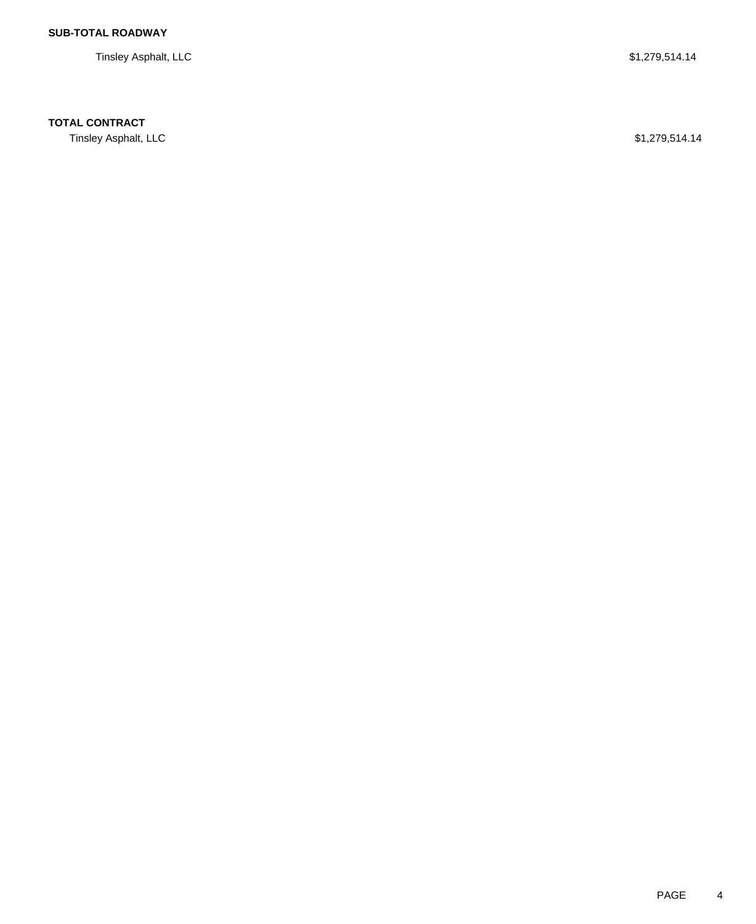Tinsley Asphalt, LLC \$1,279,514.14

## **TOTAL CONTRACT**

Tinsley Asphalt, LLC \$1,279,514.14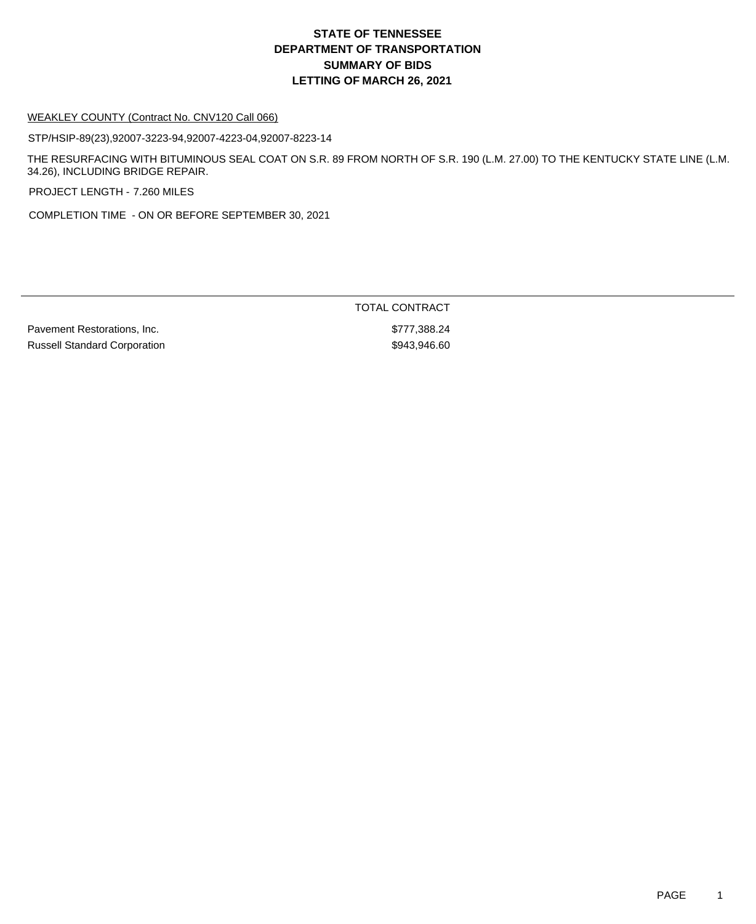# **DEPARTMENT OF TRANSPORTATION SUMMARY OF BIDS LETTING OF MARCH 26, 2021 STATE OF TENNESSEE**

#### WEAKLEY COUNTY (Contract No. CNV120 Call 066)

STP/HSIP-89(23),92007-3223-94,92007-4223-04,92007-8223-14

THE RESURFACING WITH BITUMINOUS SEAL COAT ON S.R. 89 FROM NORTH OF S.R. 190 (L.M. 27.00) TO THE KENTUCKY STATE LINE (L.M. 34.26), INCLUDING BRIDGE REPAIR.

PROJECT LENGTH - 7.260 MILES

COMPLETION TIME - ON OR BEFORE SEPTEMBER 30, 2021

Pavement Restorations, Inc. **\$777,388.24** Russell Standard Corporation  $$943,946.60$ 

TOTAL CONTRACT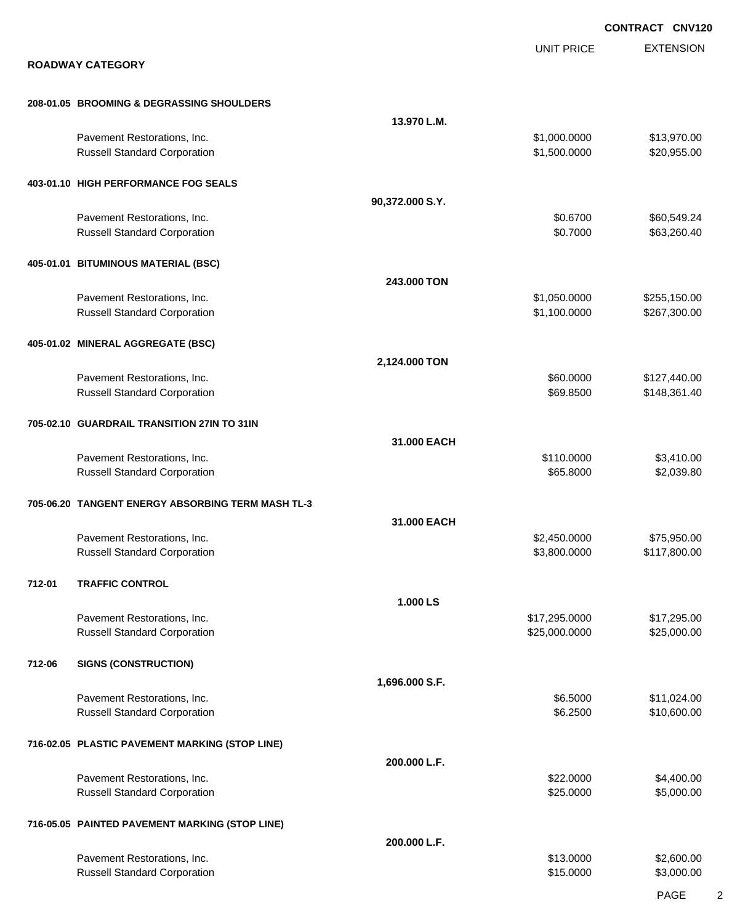|        |                                                                    |                 |                              | <b>CONTRACT CNV120</b>       |
|--------|--------------------------------------------------------------------|-----------------|------------------------------|------------------------------|
|        | <b>ROADWAY CATEGORY</b>                                            |                 | <b>UNIT PRICE</b>            | <b>EXTENSION</b>             |
|        |                                                                    |                 |                              |                              |
|        | 208-01.05 BROOMING & DEGRASSING SHOULDERS                          |                 |                              |                              |
|        |                                                                    | 13.970 L.M.     |                              |                              |
|        | Pavement Restorations, Inc.<br><b>Russell Standard Corporation</b> |                 | \$1,000.0000<br>\$1,500.0000 | \$13,970.00<br>\$20,955.00   |
|        | 403-01.10 HIGH PERFORMANCE FOG SEALS                               |                 |                              |                              |
|        |                                                                    | 90,372.000 S.Y. |                              |                              |
|        | Pavement Restorations, Inc.<br><b>Russell Standard Corporation</b> |                 | \$0.6700<br>\$0.7000         | \$60,549.24<br>\$63,260.40   |
|        | 405-01.01 BITUMINOUS MATERIAL (BSC)                                |                 |                              |                              |
|        |                                                                    | 243.000 TON     |                              |                              |
|        | Pavement Restorations, Inc.<br><b>Russell Standard Corporation</b> |                 | \$1,050.0000<br>\$1,100.0000 | \$255,150.00<br>\$267,300.00 |
|        | 405-01.02 MINERAL AGGREGATE (BSC)                                  |                 |                              |                              |
|        |                                                                    | 2,124.000 TON   |                              |                              |
|        | Pavement Restorations, Inc.<br><b>Russell Standard Corporation</b> |                 | \$60.0000<br>\$69.8500       | \$127,440.00<br>\$148,361.40 |
|        | 705-02.10 GUARDRAIL TRANSITION 27IN TO 31IN                        |                 |                              |                              |
|        |                                                                    | 31.000 EACH     |                              |                              |
|        | Pavement Restorations, Inc.<br><b>Russell Standard Corporation</b> |                 | \$110.0000<br>\$65.8000      | \$3,410.00<br>\$2,039.80     |
|        | 705-06.20 TANGENT ENERGY ABSORBING TERM MASH TL-3                  |                 |                              |                              |
|        | Pavement Restorations, Inc.                                        | 31.000 EACH     | \$2.450,0000                 | \$75,950.00                  |
|        | <b>Russell Standard Corporation</b>                                |                 | \$3,800.0000                 | \$117,800.00                 |
| 712-01 | <b>TRAFFIC CONTROL</b>                                             |                 |                              |                              |
|        | Pavement Restorations, Inc.                                        | 1.000 LS        | \$17,295.0000                | \$17,295.00                  |
|        | <b>Russell Standard Corporation</b>                                |                 | \$25,000.0000                | \$25,000.00                  |
| 712-06 | <b>SIGNS (CONSTRUCTION)</b>                                        |                 |                              |                              |
|        | Pavement Restorations, Inc.                                        | 1,696.000 S.F.  | \$6.5000                     | \$11,024.00                  |
|        | <b>Russell Standard Corporation</b>                                |                 | \$6.2500                     | \$10,600.00                  |
|        | 716-02.05 PLASTIC PAVEMENT MARKING (STOP LINE)                     |                 |                              |                              |
|        | Pavement Restorations, Inc.                                        | 200.000 L.F.    | \$22.0000                    | \$4,400.00                   |
|        | <b>Russell Standard Corporation</b>                                |                 | \$25.0000                    | \$5,000.00                   |
|        | 716-05.05 PAINTED PAVEMENT MARKING (STOP LINE)                     | 200.000 L.F.    |                              |                              |
|        | Pavement Restorations, Inc.                                        |                 | \$13.0000                    | \$2,600.00                   |
|        | <b>Russell Standard Corporation</b>                                |                 | \$15.0000                    | \$3,000.00                   |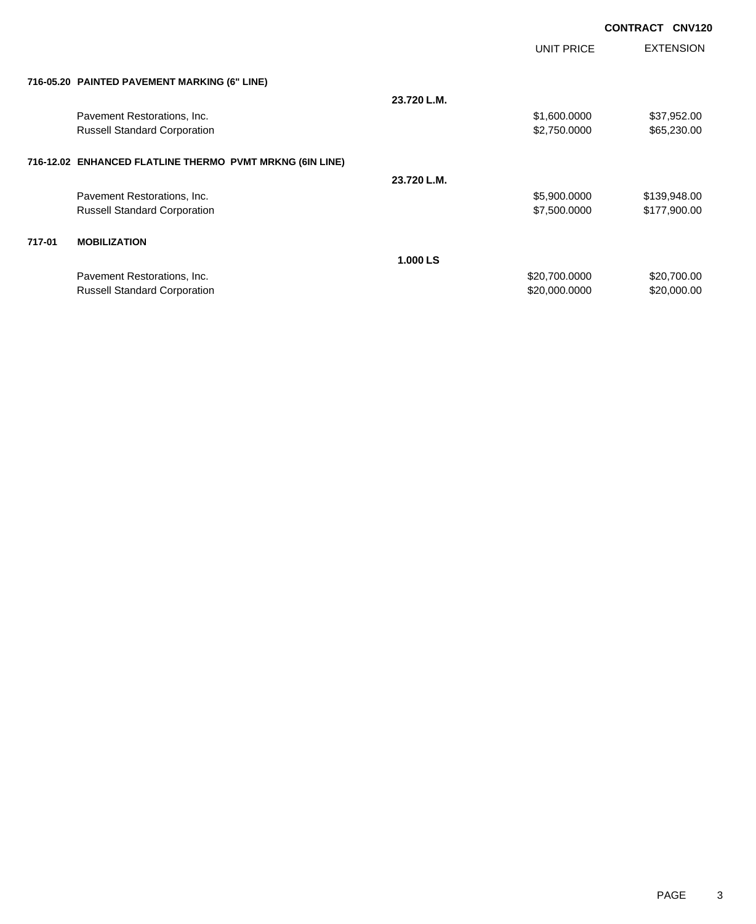**CONTRACT CNV120**

|        |                                                          |             | UNIT PRICE    | <b>EXTENSION</b> |
|--------|----------------------------------------------------------|-------------|---------------|------------------|
|        | 716-05.20 PAINTED PAVEMENT MARKING (6" LINE)             |             |               |                  |
|        |                                                          | 23.720 L.M. |               |                  |
|        | Pavement Restorations, Inc.                              |             | \$1,600.0000  | \$37,952.00      |
|        | <b>Russell Standard Corporation</b>                      |             | \$2,750.0000  | \$65,230.00      |
|        | 716-12.02 ENHANCED FLATLINE THERMO PVMT MRKNG (6IN LINE) |             |               |                  |
|        |                                                          | 23.720 L.M. |               |                  |
|        | Pavement Restorations, Inc.                              |             | \$5,900.0000  | \$139,948.00     |
|        | <b>Russell Standard Corporation</b>                      |             | \$7,500.0000  | \$177,900.00     |
| 717-01 | <b>MOBILIZATION</b>                                      |             |               |                  |
|        |                                                          | 1.000 LS    |               |                  |
|        | Pavement Restorations, Inc.                              |             | \$20,700.0000 | \$20,700.00      |
|        | <b>Russell Standard Corporation</b>                      |             | \$20,000.0000 | \$20,000.00      |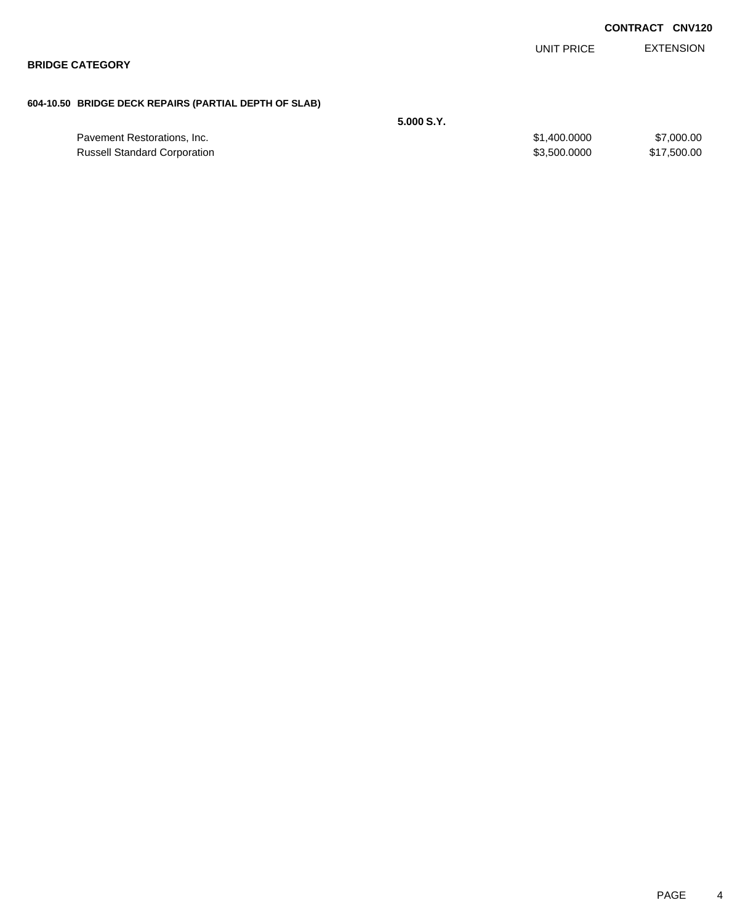|                                                       |            |              | <b>CONTRACT CNV120</b> |
|-------------------------------------------------------|------------|--------------|------------------------|
|                                                       |            | UNIT PRICE   | <b>EXTENSION</b>       |
| <b>BRIDGE CATEGORY</b>                                |            |              |                        |
| 604-10.50 BRIDGE DECK REPAIRS (PARTIAL DEPTH OF SLAB) |            |              |                        |
|                                                       | 5.000 S.Y. |              |                        |
| Pavement Restorations, Inc.                           |            | \$1,400.0000 | \$7,000.00             |
| <b>Russell Standard Corporation</b>                   |            | \$3,500.0000 | \$17,500.00            |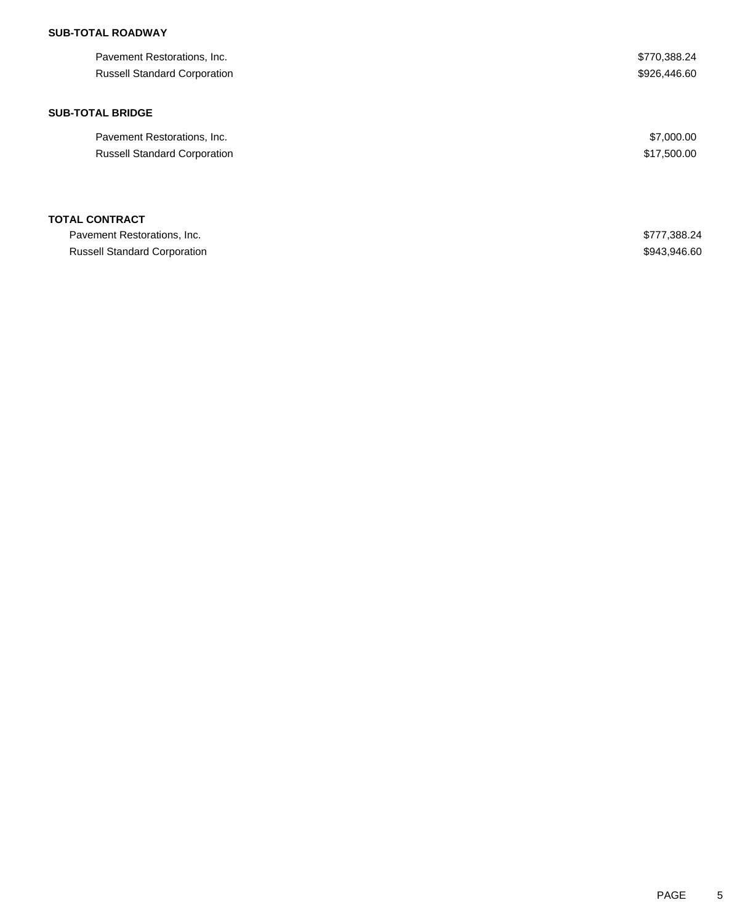## **SUB-TOTAL ROADWAY**

| Pavement Restorations, Inc.         | \$770,388.24 |
|-------------------------------------|--------------|
| <b>Russell Standard Corporation</b> | \$926,446.60 |
|                                     |              |
| <b>SUB-TOTAL BRIDGE</b>             |              |
| Pavement Restorations, Inc.         | \$7,000.00   |
| <b>Russell Standard Corporation</b> | \$17,500.00  |
|                                     |              |
| <b>TOTAL CONTRACT</b>               |              |
| Pavement Restorations, Inc.         | \$777,388.24 |
| <b>Russell Standard Corporation</b> | \$943,946.60 |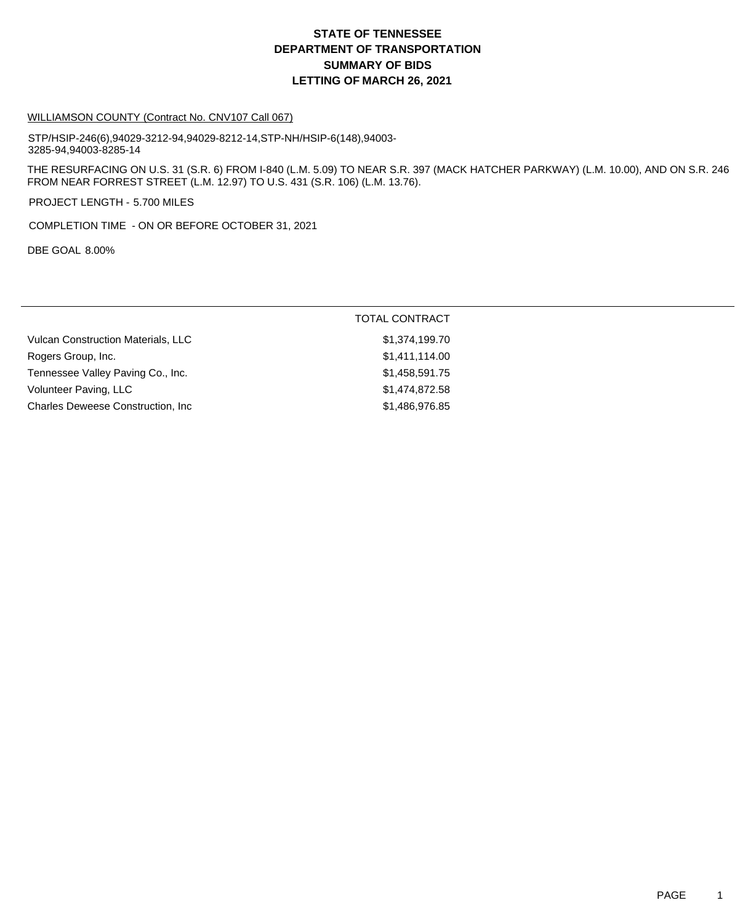# **DEPARTMENT OF TRANSPORTATION SUMMARY OF BIDS LETTING OF MARCH 26, 2021 STATE OF TENNESSEE**

#### WILLIAMSON COUNTY (Contract No. CNV107 Call 067)

STP/HSIP-246(6),94029-3212-94,94029-8212-14,STP-NH/HSIP-6(148),94003- 3285-94,94003-8285-14

THE RESURFACING ON U.S. 31 (S.R. 6) FROM I-840 (L.M. 5.09) TO NEAR S.R. 397 (MACK HATCHER PARKWAY) (L.M. 10.00), AND ON S.R. 246 FROM NEAR FORREST STREET (L.M. 12.97) TO U.S. 431 (S.R. 106) (L.M. 13.76).

PROJECT LENGTH - 5.700 MILES

COMPLETION TIME - ON OR BEFORE OCTOBER 31, 2021

DBE GOAL 8.00%

#### TOTAL CONTRACT

| <b>Vulcan Construction Materials, LLC</b> | \$1,374,199.70 |
|-------------------------------------------|----------------|
| Rogers Group, Inc.                        | \$1,411,114.00 |
| Tennessee Valley Paving Co., Inc.         | \$1,458,591,75 |
| Volunteer Paving, LLC                     | \$1,474,872.58 |
| <b>Charles Deweese Construction, Inc.</b> | \$1,486,976.85 |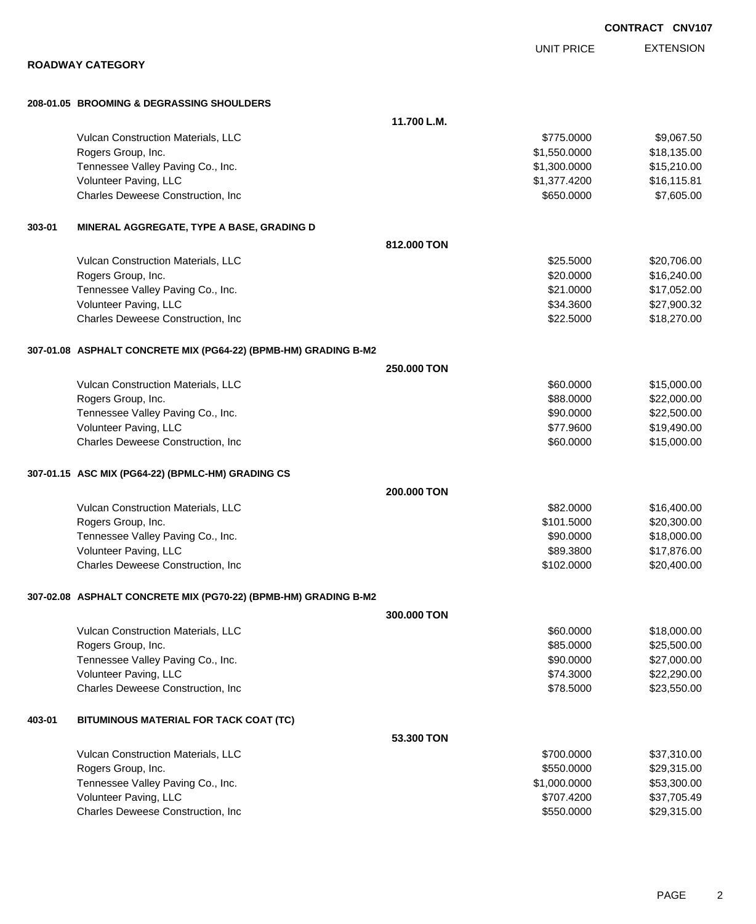|        |                                                                 |             | <b>UNIT PRICE</b> | <b>EXTENSION</b> |
|--------|-----------------------------------------------------------------|-------------|-------------------|------------------|
|        | <b>ROADWAY CATEGORY</b>                                         |             |                   |                  |
|        | 208-01.05 BROOMING & DEGRASSING SHOULDERS                       |             |                   |                  |
|        |                                                                 | 11.700 L.M. |                   |                  |
|        | Vulcan Construction Materials, LLC                              |             | \$775.0000        | \$9,067.50       |
|        | Rogers Group, Inc.                                              |             | \$1,550.0000      | \$18,135.00      |
|        | Tennessee Valley Paving Co., Inc.                               |             | \$1,300.0000      | \$15,210.00      |
|        | Volunteer Paving, LLC                                           |             | \$1,377.4200      | \$16,115.81      |
|        | Charles Deweese Construction, Inc                               |             | \$650.0000        | \$7,605.00       |
| 303-01 | MINERAL AGGREGATE, TYPE A BASE, GRADING D                       |             |                   |                  |
|        |                                                                 | 812.000 TON |                   |                  |
|        | Vulcan Construction Materials, LLC                              |             | \$25.5000         | \$20,706.00      |
|        | Rogers Group, Inc.                                              |             | \$20.0000         | \$16,240.00      |
|        | Tennessee Valley Paving Co., Inc.                               |             | \$21.0000         | \$17,052.00      |
|        | Volunteer Paving, LLC                                           |             | \$34.3600         | \$27,900.32      |
|        | Charles Deweese Construction, Inc                               |             | \$22.5000         | \$18,270.00      |
|        | 307-01.08 ASPHALT CONCRETE MIX (PG64-22) (BPMB-HM) GRADING B-M2 |             |                   |                  |
|        |                                                                 | 250.000 TON |                   |                  |
|        | Vulcan Construction Materials, LLC                              |             | \$60.0000         | \$15,000.00      |
|        | Rogers Group, Inc.                                              |             | \$88.0000         | \$22,000.00      |
|        | Tennessee Valley Paving Co., Inc.                               |             | \$90.0000         | \$22,500.00      |
|        | Volunteer Paving, LLC                                           |             | \$77.9600         | \$19,490.00      |
|        | Charles Deweese Construction, Inc                               |             | \$60.0000         | \$15,000.00      |
|        | 307-01.15 ASC MIX (PG64-22) (BPMLC-HM) GRADING CS               |             |                   |                  |
|        |                                                                 | 200.000 TON |                   |                  |
|        | Vulcan Construction Materials, LLC                              |             | \$82.0000         | \$16,400.00      |
|        | Rogers Group, Inc.                                              |             | \$101.5000        | \$20,300.00      |
|        | Tennessee Valley Paving Co., Inc.                               |             | \$90.0000         | \$18,000.00      |
|        | Volunteer Paving, LLC                                           |             | \$89.3800         | \$17,876.00      |
|        | Charles Deweese Construction, Inc                               |             | \$102.0000        | \$20,400.00      |
|        | 307-02.08 ASPHALT CONCRETE MIX (PG70-22) (BPMB-HM) GRADING B-M2 |             |                   |                  |
|        |                                                                 | 300,000 TON |                   |                  |
|        | Vulcan Construction Materials, LLC                              |             | \$60.0000         | \$18,000.00      |
|        | Rogers Group, Inc.                                              |             | \$85.0000         | \$25,500.00      |
|        | Tennessee Valley Paving Co., Inc.                               |             | \$90.0000         | \$27,000.00      |
|        | Volunteer Paving, LLC                                           |             | \$74.3000         | \$22,290.00      |
|        | Charles Deweese Construction, Inc                               |             | \$78.5000         | \$23,550.00      |
| 403-01 | BITUMINOUS MATERIAL FOR TACK COAT (TC)                          |             |                   |                  |
|        |                                                                 | 53.300 TON  |                   |                  |
|        | Vulcan Construction Materials, LLC                              |             | \$700.0000        | \$37,310.00      |
|        | Rogers Group, Inc.                                              |             | \$550.0000        | \$29,315.00      |
|        | Tennessee Valley Paving Co., Inc.                               |             | \$1,000.0000      | \$53,300.00      |
|        | Volunteer Paving, LLC                                           |             | \$707.4200        | \$37,705.49      |

Charles Deweese Construction, Inc **Example 2018** 329,315.00

**CONTRACT CNV107**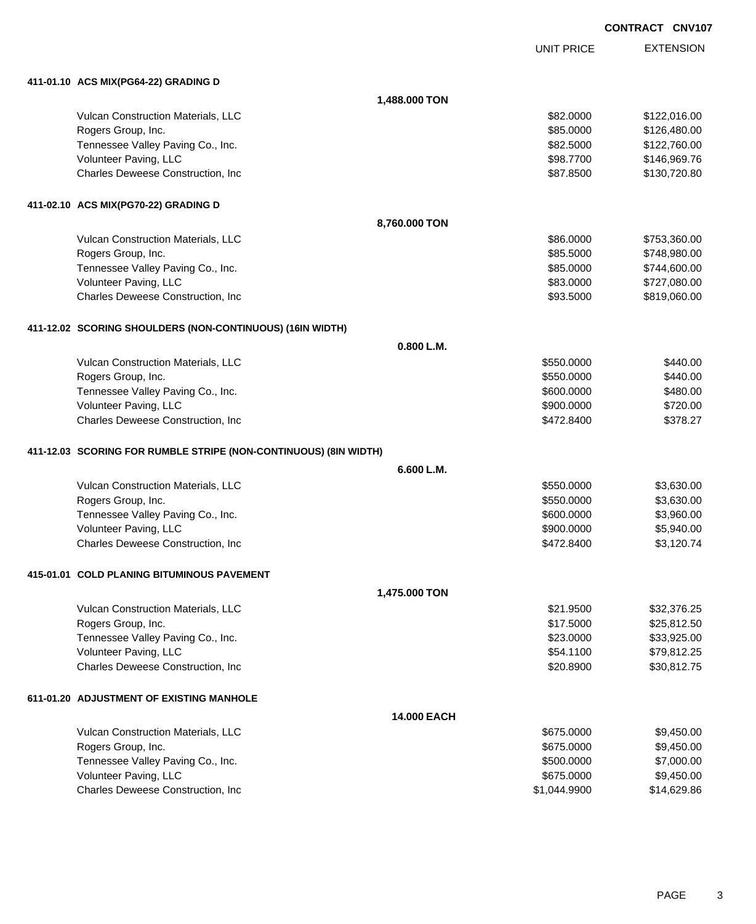|                                                                  |               |                   | CONTRACT CNV107 |                  |
|------------------------------------------------------------------|---------------|-------------------|-----------------|------------------|
|                                                                  |               | <b>UNIT PRICE</b> |                 | <b>EXTENSION</b> |
| 411-01.10 ACS MIX(PG64-22) GRADING D                             |               |                   |                 |                  |
|                                                                  | 1,488.000 TON |                   |                 |                  |
| Vulcan Construction Materials, LLC                               |               | \$82.0000         |                 | \$122,016.00     |
| Rogers Group, Inc.                                               |               | \$85.0000         |                 | \$126,480.00     |
| Tennessee Valley Paving Co., Inc.                                |               | \$82.5000         |                 | \$122,760.00     |
| Volunteer Paving, LLC                                            |               | \$98.7700         |                 | \$146,969.76     |
| Charles Deweese Construction, Inc.                               |               | \$87.8500         |                 | \$130,720.80     |
| 411-02.10 ACS MIX(PG70-22) GRADING D                             |               |                   |                 |                  |
|                                                                  | 8,760.000 TON |                   |                 |                  |
| Vulcan Construction Materials, LLC                               |               | \$86.0000         |                 | \$753,360.00     |
| Rogers Group, Inc.                                               |               | \$85.5000         |                 | \$748,980.00     |
| Tennessee Valley Paving Co., Inc.                                |               | \$85.0000         |                 | \$744,600.00     |
| Volunteer Paving, LLC                                            |               | \$83.0000         |                 | \$727,080.00     |
| Charles Deweese Construction, Inc.                               |               | \$93.5000         |                 | \$819,060.00     |
| 411-12.02 SCORING SHOULDERS (NON-CONTINUOUS) (16IN WIDTH)        |               |                   |                 |                  |
|                                                                  | 0.800 L.M.    |                   |                 |                  |
| Vulcan Construction Materials, LLC                               |               | \$550.0000        |                 | \$440.00         |
| Rogers Group, Inc.                                               |               | \$550.0000        |                 | \$440.00         |
| Tennessee Valley Paving Co., Inc.                                |               | \$600.0000        |                 | \$480.00         |
| Volunteer Paving, LLC                                            |               | \$900.0000        |                 | \$720.00         |
| Charles Deweese Construction, Inc.                               |               | \$472.8400        |                 | \$378.27         |
| 411-12.03 SCORING FOR RUMBLE STRIPE (NON-CONTINUOUS) (8IN WIDTH) |               |                   |                 |                  |
|                                                                  | 6.600 L.M.    |                   |                 |                  |
| Vulcan Construction Materials, LLC                               |               | \$550.0000        |                 | \$3,630.00       |
| Rogers Group, Inc.                                               |               | \$550.0000        |                 | \$3,630.00       |
| Tennessee Valley Paving Co., Inc.                                |               | \$600.0000        |                 | \$3,960.00       |
| Volunteer Paving, LLC                                            |               | \$900.0000        |                 | \$5,940.00       |
| Charles Deweese Construction, Inc.                               |               | \$472.8400        |                 | \$3,120.74       |
| 415-01.01 COLD PLANING BITUMINOUS PAVEMENT                       |               |                   |                 |                  |
|                                                                  | 1,475.000 TON |                   |                 |                  |
| Vulcan Construction Materials, LLC                               |               | \$21.9500         |                 | \$32,376.25      |
| Rogers Group, Inc.                                               |               | \$17.5000         |                 | \$25,812.50      |
| Tennessee Valley Paving Co., Inc.                                |               | \$23.0000         |                 | \$33,925.00      |
| Volunteer Paving, LLC                                            |               | \$54.1100         |                 | \$79,812.25      |
| Charles Deweese Construction, Inc.                               |               | \$20.8900         |                 | \$30,812.75      |
| 611-01.20 ADJUSTMENT OF EXISTING MANHOLE                         |               |                   |                 |                  |
|                                                                  | 14.000 EACH   |                   |                 |                  |
| Vulcan Construction Materials, LLC                               |               | \$675.0000        |                 | \$9,450.00       |
| Rogers Group, Inc.                                               |               | \$675.0000        |                 | \$9,450.00       |
| Tennessee Valley Paving Co., Inc.                                |               | \$500.0000        |                 | \$7,000.00       |
| Volunteer Paving, LLC                                            |               | \$675.0000        |                 | \$9,450.00       |

Charles Deweese Construction, Inc **Charles Deweese Construction, Inc** 651,044.9900 \$1,044.9900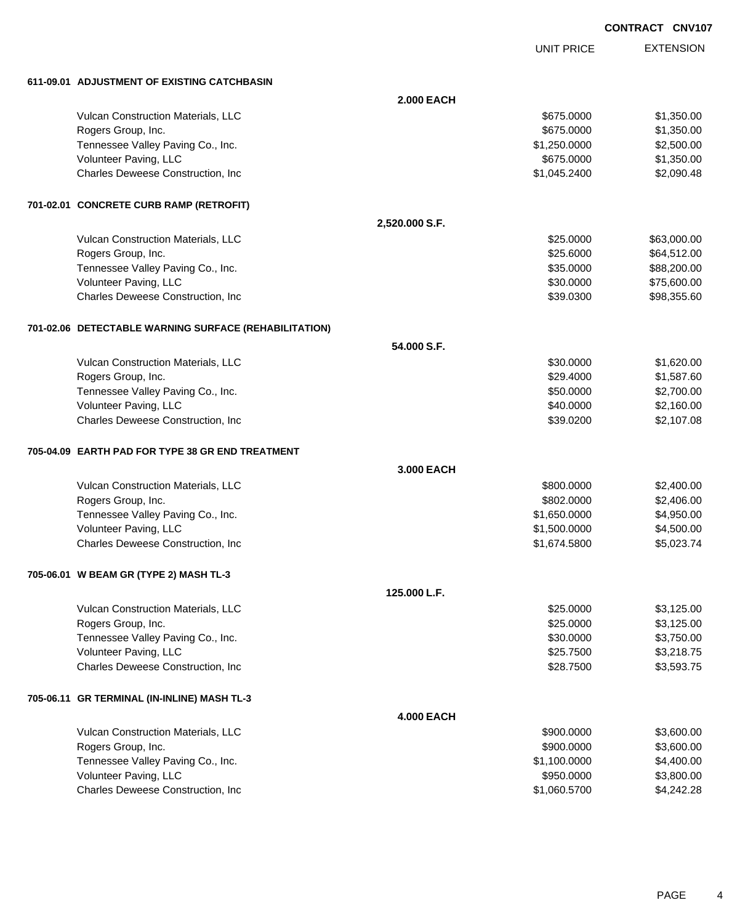**CONTRACT CNV107**

UNIT PRICE

EXTENSION

**611-09.01 ADJUSTMENT OF EXISTING CATCHBASIN**

|                                                       | <b>2.000 EACH</b> |              |             |
|-------------------------------------------------------|-------------------|--------------|-------------|
| Vulcan Construction Materials, LLC                    |                   | \$675.0000   | \$1,350.00  |
| Rogers Group, Inc.                                    |                   | \$675.0000   | \$1,350.00  |
| Tennessee Valley Paving Co., Inc.                     |                   | \$1,250.0000 | \$2,500.00  |
| Volunteer Paving, LLC                                 |                   | \$675.0000   | \$1,350.00  |
| Charles Deweese Construction, Inc                     |                   | \$1,045.2400 | \$2,090.48  |
| 701-02.01 CONCRETE CURB RAMP (RETROFIT)               |                   |              |             |
|                                                       | 2,520.000 S.F.    |              |             |
| Vulcan Construction Materials, LLC                    |                   | \$25.0000    | \$63,000.00 |
| Rogers Group, Inc.                                    |                   | \$25.6000    | \$64,512.00 |
| Tennessee Valley Paving Co., Inc.                     |                   | \$35.0000    | \$88,200.00 |
| Volunteer Paving, LLC                                 |                   | \$30.0000    | \$75,600.00 |
| Charles Deweese Construction, Inc                     |                   | \$39.0300    | \$98,355.60 |
| 701-02.06 DETECTABLE WARNING SURFACE (REHABILITATION) |                   |              |             |
|                                                       | 54,000 S.F.       |              |             |
| Vulcan Construction Materials, LLC                    |                   | \$30.0000    | \$1,620.00  |
| Rogers Group, Inc.                                    |                   | \$29.4000    | \$1,587.60  |
| Tennessee Valley Paving Co., Inc.                     |                   | \$50.0000    | \$2,700.00  |
| Volunteer Paving, LLC                                 |                   | \$40.0000    | \$2,160.00  |
| Charles Deweese Construction, Inc.                    |                   | \$39.0200    | \$2,107.08  |
| 705-04.09 EARTH PAD FOR TYPE 38 GR END TREATMENT      |                   |              |             |
|                                                       | 3.000 EACH        |              |             |
| Vulcan Construction Materials, LLC                    |                   | \$800.0000   | \$2,400.00  |
| Rogers Group, Inc.                                    |                   | \$802.0000   | \$2,406.00  |
| Tennessee Valley Paving Co., Inc.                     |                   | \$1,650.0000 | \$4,950.00  |
| Volunteer Paving, LLC                                 |                   | \$1,500.0000 | \$4,500.00  |
| Charles Deweese Construction, Inc                     |                   | \$1,674.5800 | \$5,023.74  |
| 705-06.01 W BEAM GR (TYPE 2) MASH TL-3                |                   |              |             |
|                                                       | 125.000 L.F.      |              |             |
| Vulcan Construction Materials, LLC                    |                   | \$25.0000    | \$3,125.00  |
| Rogers Group, Inc.                                    |                   | \$25.0000    | \$3,125.00  |
| Tennessee Valley Paving Co., Inc.                     |                   | \$30.0000    | \$3,750.00  |
| Volunteer Paving, LLC                                 |                   | \$25.7500    | \$3,218.75  |
| Charles Deweese Construction, Inc.                    |                   | \$28.7500    | \$3,593.75  |
| 705-06.11 GR TERMINAL (IN-INLINE) MASH TL-3           |                   |              |             |
|                                                       | <b>4.000 EACH</b> |              |             |
| Vulcan Construction Materials, LLC                    |                   | \$900.0000   | \$3,600.00  |
| Rogers Group, Inc.                                    |                   | \$900.0000   | \$3,600.00  |
| Tennessee Valley Paving Co., Inc.                     |                   | \$1,100.0000 | \$4,400.00  |
| Volunteer Paving, LLC                                 |                   | \$950.0000   | \$3,800.00  |
| Charles Deweese Construction, Inc                     |                   | \$1,060.5700 | \$4,242.28  |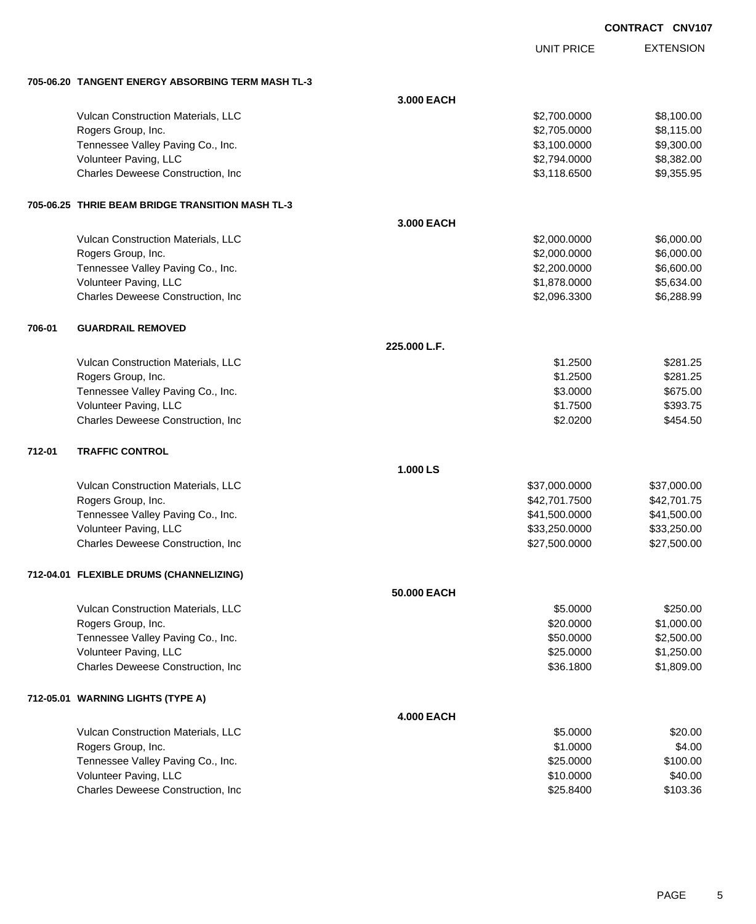|        |                                                   |                   |                   | CONTRACT CNV107 |                  |
|--------|---------------------------------------------------|-------------------|-------------------|-----------------|------------------|
|        |                                                   |                   | <b>UNIT PRICE</b> |                 | <b>EXTENSION</b> |
|        | 705-06.20 TANGENT ENERGY ABSORBING TERM MASH TL-3 |                   |                   |                 |                  |
|        |                                                   | 3.000 EACH        |                   |                 |                  |
|        | Vulcan Construction Materials, LLC                |                   | \$2,700.0000      |                 | \$8,100.00       |
|        | Rogers Group, Inc.                                |                   | \$2,705.0000      |                 | \$8,115.00       |
|        | Tennessee Valley Paving Co., Inc.                 |                   | \$3,100.0000      |                 | \$9,300.00       |
|        | Volunteer Paving, LLC                             |                   | \$2,794.0000      |                 | \$8,382.00       |
|        | Charles Deweese Construction, Inc.                |                   | \$3,118.6500      |                 | \$9,355.95       |
|        | 705-06.25 THRIE BEAM BRIDGE TRANSITION MASH TL-3  |                   |                   |                 |                  |
|        |                                                   | 3.000 EACH        |                   |                 |                  |
|        | Vulcan Construction Materials, LLC                |                   | \$2,000.0000      |                 | \$6,000.00       |
|        | Rogers Group, Inc.                                |                   | \$2,000.0000      |                 | \$6,000.00       |
|        | Tennessee Valley Paving Co., Inc.                 |                   | \$2,200.0000      |                 | \$6,600.00       |
|        | Volunteer Paving, LLC                             |                   | \$1,878.0000      |                 | \$5,634.00       |
|        | Charles Deweese Construction, Inc.                |                   | \$2,096.3300      |                 | \$6,288.99       |
| 706-01 | <b>GUARDRAIL REMOVED</b>                          |                   |                   |                 |                  |
|        |                                                   | 225.000 L.F.      |                   |                 |                  |
|        | Vulcan Construction Materials, LLC                |                   | \$1.2500          |                 | \$281.25         |
|        | Rogers Group, Inc.                                |                   | \$1.2500          |                 | \$281.25         |
|        | Tennessee Valley Paving Co., Inc.                 |                   | \$3.0000          |                 | \$675.00         |
|        | Volunteer Paving, LLC                             |                   | \$1.7500          |                 | \$393.75         |
|        | Charles Deweese Construction, Inc.                |                   | \$2.0200          |                 | \$454.50         |
| 712-01 | <b>TRAFFIC CONTROL</b>                            |                   |                   |                 |                  |
|        |                                                   | 1.000 LS          |                   |                 |                  |
|        | Vulcan Construction Materials, LLC                |                   | \$37,000.0000     |                 | \$37,000.00      |
|        | Rogers Group, Inc.                                |                   | \$42,701.7500     |                 | \$42,701.75      |
|        | Tennessee Valley Paving Co., Inc.                 |                   | \$41,500.0000     |                 | \$41,500.00      |
|        | Volunteer Paving, LLC                             |                   | \$33,250.0000     |                 | \$33,250.00      |
|        | Charles Deweese Construction, Inc                 |                   | \$27,500.0000     |                 | \$27,500.00      |
|        | 712-04.01 FLEXIBLE DRUMS (CHANNELIZING)           |                   |                   |                 |                  |
|        |                                                   | 50.000 EACH       |                   |                 |                  |
|        | Vulcan Construction Materials, LLC                |                   | \$5.0000          |                 | \$250.00         |
|        | Rogers Group, Inc.                                |                   | \$20.0000         |                 | \$1,000.00       |
|        | Tennessee Valley Paving Co., Inc.                 |                   | \$50.0000         |                 | \$2,500.00       |
|        | Volunteer Paving, LLC                             |                   | \$25.0000         |                 | \$1,250.00       |
|        | Charles Deweese Construction, Inc.                |                   | \$36.1800         |                 | \$1,809.00       |
|        | 712-05.01 WARNING LIGHTS (TYPE A)                 |                   |                   |                 |                  |
|        |                                                   | <b>4.000 EACH</b> |                   |                 |                  |
|        | Vulcan Construction Materials, LLC                |                   | \$5.0000          |                 | \$20.00          |
|        | Rogers Group, Inc.                                |                   | \$1.0000          |                 | \$4.00           |
|        | Tennessee Valley Paving Co., Inc.                 |                   | \$25.0000         |                 | \$100.00         |
|        | Volunteer Paving, LLC                             |                   | \$10.0000         |                 | \$40.00          |
|        | Charles Deweese Construction, Inc                 |                   | \$25.8400         |                 | \$103.36         |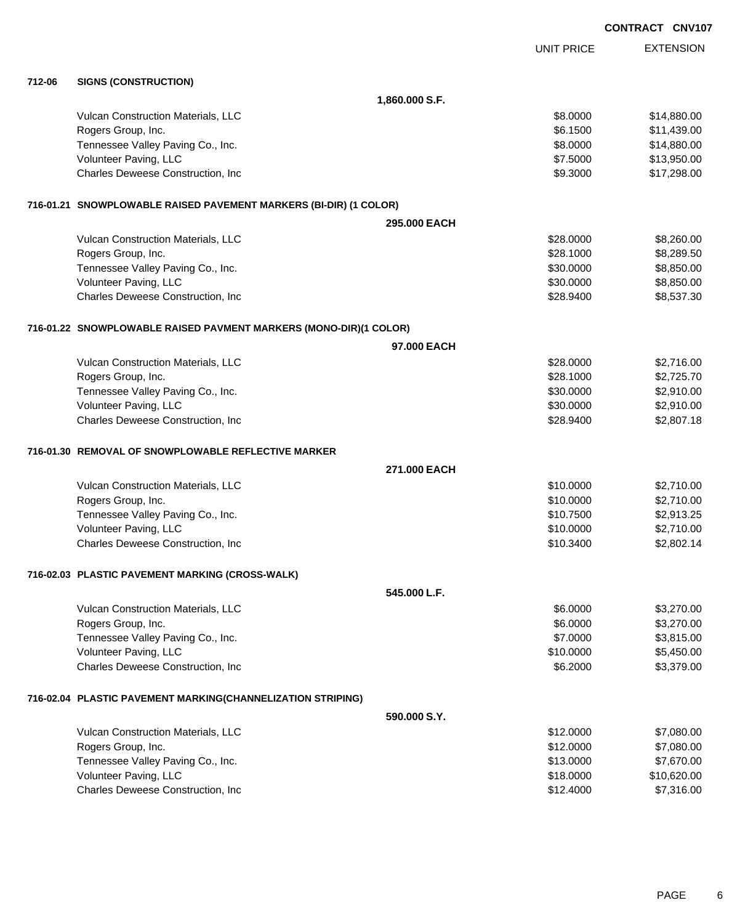EXTENSION **CONTRACT CNV107** UNIT PRICE **712-06 SIGNS (CONSTRUCTION) 1,860.000 S.F.** Vulcan Construction Materials, LLC 68.000 \$14,880.00 Rogers Group, Inc. \$11,439.00 Tennessee Valley Paving Co., Inc. 6. The Co. inc. \$8.0000 \$14,880.00 Volunteer Paving, LLC 6. 1.1.5000 \$13,950.00 Charles Deweese Construction, Inc **60.6 and 50.6 and 50.6 and 50.6 and 50.6 and 50.3000** \$17,298.00 **716-01.21 SNOWPLOWABLE RAISED PAVEMENT MARKERS (BI-DIR) (1 COLOR) 295.000 EACH** Vulcan Construction Materials, LLC 60000 \$8,260.00 Rogers Group, Inc. \$28.1000 \$8,289.50 Tennessee Valley Paving Co., Inc. \$3,850.00 \$8,850.00 \$8,850.00 Volunteer Paving, LLC 68,850.000 \$8,850.000 \$8,850.00 Charles Deweese Construction, Inc **Example 28.9400** \$28.9400 \$8,537.30 **716-01.22 SNOWPLOWABLE RAISED PAVMENT MARKERS (MONO-DIR)(1 COLOR) 97.000 EACH** Vulcan Construction Materials, LLC 6000 \$2,716.00 Rogers Group, Inc. \$2,725.70 Tennessee Valley Paving Co., Inc. \$30.000 \$2,910.00 Volunteer Paving, LLC 6. The state of the state of the state of the state of the state of the state of the state of the state of the state of the state of the state of the state of the state of the state of the state of th Charles Deweese Construction, Inc **Charles Deweese Construction, Inc** 628.9400 \$2,807.18 **716-01.30 REMOVAL OF SNOWPLOWABLE REFLECTIVE MARKER 271.000 EACH** Vulcan Construction Materials, LLC 60000 \$2,710.00 Rogers Group, Inc. \$10.0000 \$2,710.00 Tennessee Valley Paving Co., Inc. \$10.7500 \$2,913.25 Volunteer Paving, LLC 6. The state of the state of the state of the state of the state of the state of the state of the state of the state of the state of the state of the state of the state of the state of the state of th Charles Deweese Construction, Inc **Charles 2002.14** \$10.3400 \$2,802.14 **716-02.03 PLASTIC PAVEMENT MARKING (CROSS-WALK) 545.000 L.F.** Vulcan Construction Materials, LLC 66.000 \$3,270.00 Rogers Group, Inc. \$3,270.00 Tennessee Valley Paving Co., Inc. \$3,815.00 \$3,815.00 Volunteer Paving, LLC 65,450.00 Charles Deweese Construction, Inc **6.2000** \$3,379.00 **716-02.04 PLASTIC PAVEMENT MARKING(CHANNELIZATION STRIPING) 590.000 S.Y.** Vulcan Construction Materials, LLC 60000 \$7,080.00 Rogers Group, Inc. \$12.0000 \$7,080.00 Tennessee Valley Paving Co., Inc. \$13.0000 \$7,670.00

Volunteer Paving, LLC 618.000 \$10,620.00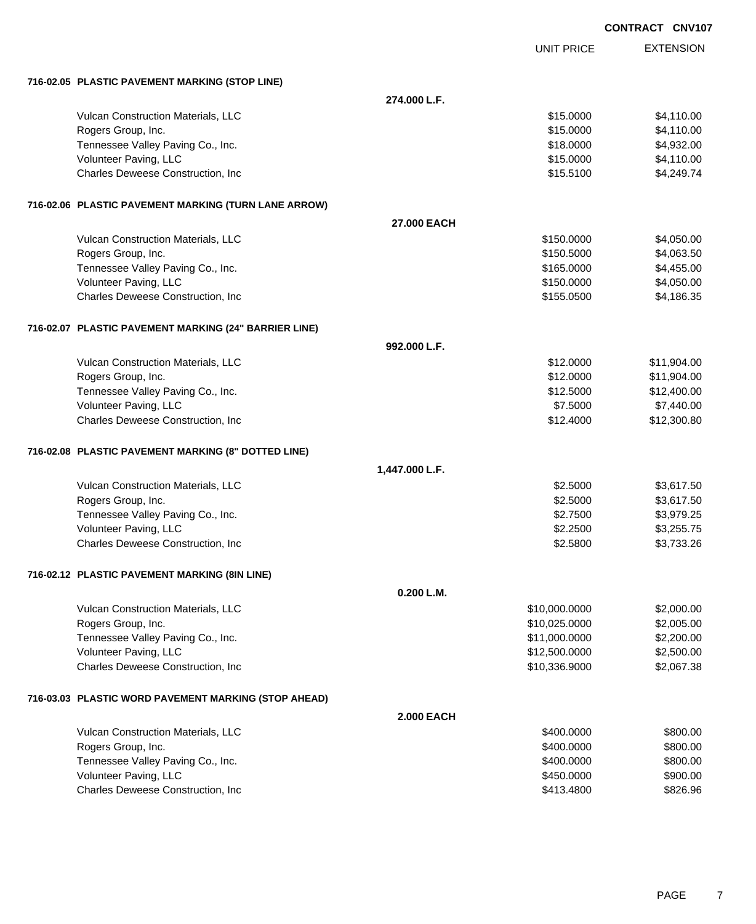|                                                       |                   |                   | <b>CONTRACT CNV107</b> |
|-------------------------------------------------------|-------------------|-------------------|------------------------|
|                                                       |                   | <b>UNIT PRICE</b> | <b>EXTENSION</b>       |
| 716-02.05 PLASTIC PAVEMENT MARKING (STOP LINE)        |                   |                   |                        |
|                                                       | 274.000 L.F.      |                   |                        |
| Vulcan Construction Materials, LLC                    |                   | \$15.0000         | \$4,110.00             |
| Rogers Group, Inc.                                    |                   | \$15.0000         | \$4,110.00             |
| Tennessee Valley Paving Co., Inc.                     |                   | \$18.0000         | \$4,932.00             |
| Volunteer Paving, LLC                                 |                   | \$15.0000         | \$4,110.00             |
| Charles Deweese Construction, Inc.                    |                   | \$15.5100         | \$4,249.74             |
| 716-02.06 PLASTIC PAVEMENT MARKING (TURN LANE ARROW)  |                   |                   |                        |
|                                                       | 27.000 EACH       |                   |                        |
| Vulcan Construction Materials, LLC                    |                   | \$150.0000        | \$4,050.00             |
| Rogers Group, Inc.                                    |                   | \$150.5000        | \$4,063.50             |
| Tennessee Valley Paving Co., Inc.                     |                   | \$165.0000        | \$4,455.00             |
| Volunteer Paving, LLC                                 |                   | \$150.0000        | \$4,050.00             |
| Charles Deweese Construction, Inc                     |                   | \$155.0500        | \$4,186.35             |
| 716-02.07 PLASTIC PAVEMENT MARKING (24" BARRIER LINE) |                   |                   |                        |
|                                                       | 992.000 L.F.      |                   |                        |
| Vulcan Construction Materials, LLC                    |                   | \$12.0000         | \$11,904.00            |
| Rogers Group, Inc.                                    |                   | \$12.0000         | \$11,904.00            |
| Tennessee Valley Paving Co., Inc.                     |                   | \$12.5000         | \$12,400.00            |
| Volunteer Paving, LLC                                 |                   | \$7.5000          | \$7,440.00             |
| Charles Deweese Construction, Inc                     |                   | \$12.4000         | \$12,300.80            |
| 716-02.08 PLASTIC PAVEMENT MARKING (8" DOTTED LINE)   |                   |                   |                        |
|                                                       | 1,447.000 L.F.    |                   |                        |
| Vulcan Construction Materials, LLC                    |                   | \$2.5000          | \$3,617.50             |
| Rogers Group, Inc.                                    |                   | \$2.5000          | \$3,617.50             |
| Tennessee Valley Paving Co., Inc.                     |                   | \$2.7500          | \$3,979.25             |
| Volunteer Paving, LLC                                 |                   | \$2.2500          | \$3,255.75             |
| Charles Deweese Construction, Inc                     |                   | \$2.5800          | \$3,733.26             |
| 716-02.12 PLASTIC PAVEMENT MARKING (8IN LINE)         |                   |                   |                        |
|                                                       | 0.200 L.M.        |                   |                        |
| Vulcan Construction Materials, LLC                    |                   | \$10,000.0000     | \$2,000.00             |
| Rogers Group, Inc.                                    |                   | \$10,025.0000     | \$2,005.00             |
| Tennessee Valley Paving Co., Inc.                     |                   | \$11,000.0000     | \$2,200.00             |
| Volunteer Paving, LLC                                 |                   | \$12,500.0000     | \$2,500.00             |
| Charles Deweese Construction, Inc                     |                   | \$10,336.9000     | \$2,067.38             |
| 716-03.03 PLASTIC WORD PAVEMENT MARKING (STOP AHEAD)  |                   |                   |                        |
|                                                       | <b>2.000 EACH</b> |                   |                        |
| Vulcan Construction Materials, LLC                    |                   | \$400.0000        | \$800.00               |
| Rogers Group, Inc.                                    |                   | \$400.0000        | \$800.00               |
| Tennessee Valley Paving Co., Inc.                     |                   | \$400.0000        | \$800.00               |
| Volunteer Paving, LLC                                 |                   | \$450.0000        | \$900.00               |
| Charles Deweese Construction, Inc                     |                   | \$413.4800        | \$826.96               |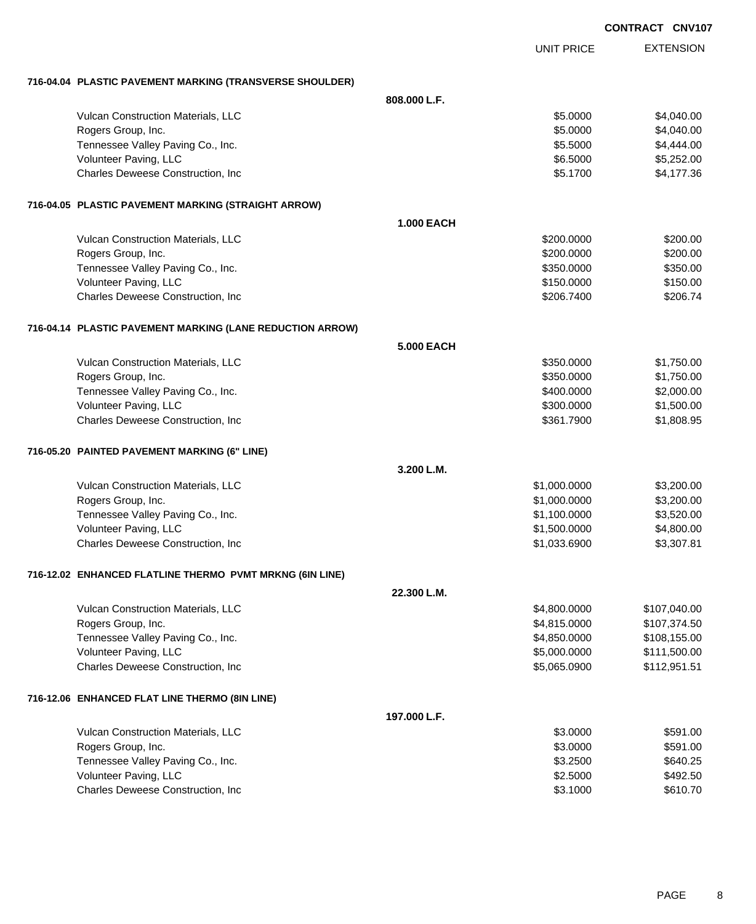|                                                           |                   |                   | <b>CONTRACT CNV107</b> |
|-----------------------------------------------------------|-------------------|-------------------|------------------------|
|                                                           |                   | <b>UNIT PRICE</b> | <b>EXTENSION</b>       |
| 716-04.04 PLASTIC PAVEMENT MARKING (TRANSVERSE SHOULDER)  |                   |                   |                        |
|                                                           | 808,000 L.F.      |                   |                        |
| Vulcan Construction Materials, LLC                        |                   | \$5.0000          | \$4,040.00             |
| Rogers Group, Inc.                                        |                   | \$5.0000          | \$4,040.00             |
| Tennessee Valley Paving Co., Inc.                         |                   | \$5.5000          | \$4,444.00             |
| Volunteer Paving, LLC                                     |                   | \$6.5000          | \$5,252.00             |
| Charles Deweese Construction, Inc.                        |                   | \$5.1700          | \$4,177.36             |
| 716-04.05 PLASTIC PAVEMENT MARKING (STRAIGHT ARROW)       |                   |                   |                        |
|                                                           | <b>1.000 EACH</b> |                   |                        |
| Vulcan Construction Materials, LLC                        |                   | \$200.0000        | \$200.00               |
| Rogers Group, Inc.                                        |                   | \$200.0000        | \$200.00               |
| Tennessee Valley Paving Co., Inc.                         |                   | \$350.0000        | \$350.00               |
| Volunteer Paving, LLC                                     |                   | \$150.0000        | \$150.00               |
| Charles Deweese Construction, Inc.                        |                   | \$206,7400        | \$206.74               |
| 716-04.14 PLASTIC PAVEMENT MARKING (LANE REDUCTION ARROW) |                   |                   |                        |
|                                                           | <b>5.000 EACH</b> |                   |                        |
| Vulcan Construction Materials, LLC                        |                   | \$350.0000        | \$1,750.00             |
| Rogers Group, Inc.                                        |                   | \$350.0000        | \$1,750.00             |
| Tennessee Valley Paving Co., Inc.                         |                   | \$400.0000        | \$2,000.00             |
| Volunteer Paving, LLC                                     |                   | \$300.0000        | \$1,500.00             |
| Charles Deweese Construction, Inc                         |                   | \$361.7900        | \$1,808.95             |
| 716-05.20 PAINTED PAVEMENT MARKING (6" LINE)              |                   |                   |                        |
|                                                           | 3.200 L.M.        |                   |                        |
| Vulcan Construction Materials, LLC                        |                   | \$1,000.0000      | \$3,200.00             |
| Rogers Group, Inc.                                        |                   | \$1,000.0000      | \$3,200.00             |
| Tennessee Valley Paving Co., Inc.                         |                   | \$1,100.0000      | \$3,520.00             |
| Volunteer Paving, LLC                                     |                   | \$1,500.0000      | \$4,800.00             |
| Charles Deweese Construction, Inc                         |                   | \$1,033.6900      | \$3,307.81             |
| 716-12.02 ENHANCED FLATLINE THERMO PVMT MRKNG (6IN LINE)  |                   |                   |                        |
|                                                           | 22.300 L.M.       |                   |                        |
| Vulcan Construction Materials, LLC                        |                   | \$4,800.0000      | \$107,040.00           |
| Rogers Group, Inc.                                        |                   | \$4,815.0000      | \$107,374.50           |
| Tennessee Valley Paving Co., Inc.                         |                   | \$4,850.0000      | \$108,155.00           |
| Volunteer Paving, LLC                                     |                   | \$5,000.0000      | \$111,500.00           |
| Charles Deweese Construction, Inc                         |                   | \$5,065.0900      | \$112,951.51           |
| 716-12.06 ENHANCED FLAT LINE THERMO (8IN LINE)            |                   |                   |                        |
|                                                           | 197.000 L.F.      |                   |                        |
| Vulcan Construction Materials, LLC                        |                   | \$3.0000          | \$591.00               |
| Rogers Group, Inc.                                        |                   | \$3.0000          | \$591.00               |
| Tennessee Valley Paving Co., Inc.                         |                   | \$3.2500          | \$640.25               |
| Volunteer Paving, LLC                                     |                   | \$2.5000          | \$492.50               |
| Charles Deweese Construction, Inc                         |                   | \$3.1000          | \$610.70               |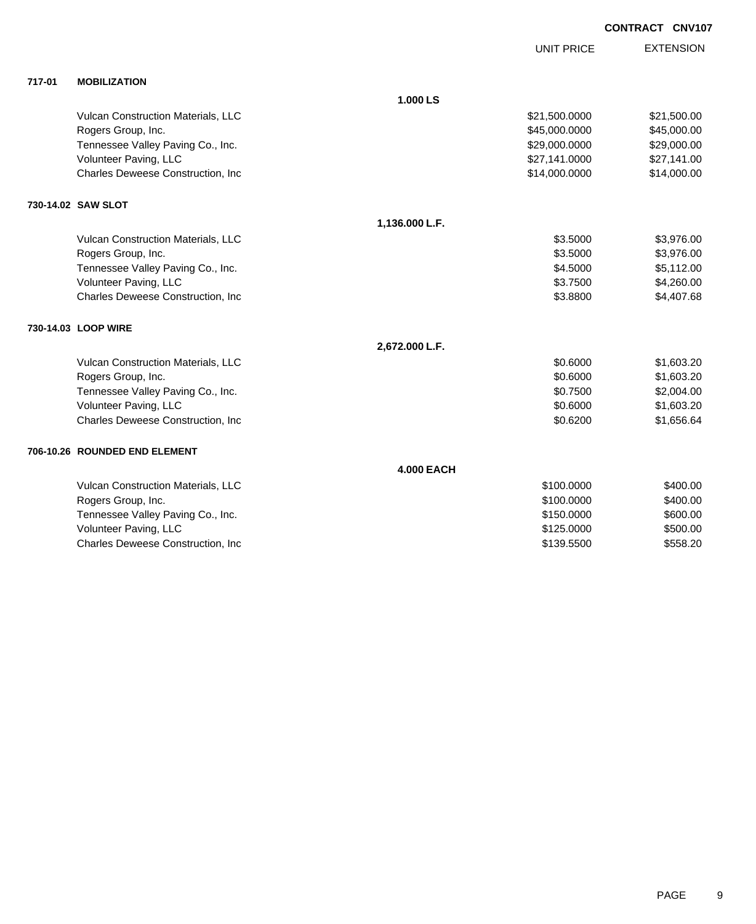**CONTRACT CNV107**

UNIT PRICE

EXTENSION

| 717-01 | <b>MOBILIZATION</b> |
|--------|---------------------|
|        |                     |

| 717-01 | <b>MOBILIZATION</b>                |                   |               |             |
|--------|------------------------------------|-------------------|---------------|-------------|
|        |                                    | 1.000 LS          |               |             |
|        | Vulcan Construction Materials, LLC |                   | \$21,500.0000 | \$21,500.00 |
|        | Rogers Group, Inc.                 |                   | \$45,000.0000 | \$45,000.00 |
|        | Tennessee Valley Paving Co., Inc.  |                   | \$29,000.0000 | \$29,000.00 |
|        | Volunteer Paving, LLC              |                   | \$27,141.0000 | \$27,141.00 |
|        | Charles Deweese Construction, Inc  |                   | \$14,000.0000 | \$14,000.00 |
|        | 730-14.02 SAW SLOT                 |                   |               |             |
|        |                                    | 1,136.000 L.F.    |               |             |
|        | Vulcan Construction Materials, LLC |                   | \$3.5000      | \$3,976.00  |
|        | Rogers Group, Inc.                 |                   | \$3.5000      | \$3,976.00  |
|        | Tennessee Valley Paving Co., Inc.  |                   | \$4.5000      | \$5,112.00  |
|        | Volunteer Paving, LLC              |                   | \$3.7500      | \$4,260.00  |
|        | Charles Deweese Construction, Inc  |                   | \$3.8800      | \$4,407.68  |
|        | 730-14.03 LOOP WIRE                |                   |               |             |
|        |                                    | 2,672.000 L.F.    |               |             |
|        | Vulcan Construction Materials, LLC |                   | \$0.6000      | \$1,603.20  |
|        | Rogers Group, Inc.                 |                   | \$0.6000      | \$1,603.20  |
|        | Tennessee Valley Paving Co., Inc.  |                   | \$0.7500      | \$2,004.00  |
|        | Volunteer Paving, LLC              |                   | \$0.6000      | \$1,603.20  |
|        | Charles Deweese Construction, Inc. |                   | \$0.6200      | \$1,656.64  |
|        | 706-10.26 ROUNDED END ELEMENT      |                   |               |             |
|        |                                    | <b>4.000 EACH</b> |               |             |
|        | Vulcan Construction Materials, LLC |                   | \$100.0000    | \$400.00    |
|        | Rogers Group, Inc.                 |                   | \$100.0000    | \$400.00    |
|        | Tennessee Valley Paving Co., Inc.  |                   | \$150.0000    | \$600.00    |
|        | Volunteer Paving, LLC              |                   | \$125.0000    | \$500.00    |
|        | Charles Deweese Construction, Inc  |                   | \$139.5500    | \$558.20    |
|        |                                    |                   |               |             |